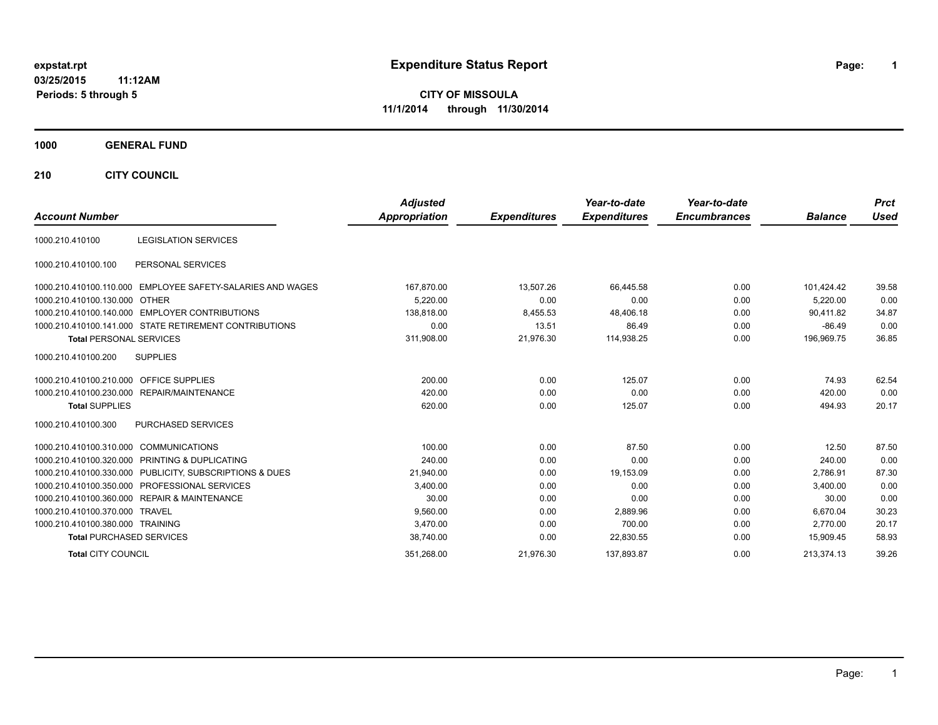# **expstat.rpt Expenditure Status Report Page:**

**1**

**CITY OF MISSOULA 11/1/2014 through 11/30/2014**

### **1000 GENERAL FUND**

**210 CITY COUNCIL**

| <b>Account Number</b>                                      | <b>Adjusted</b><br><b>Appropriation</b> | <b>Expenditures</b> | Year-to-date<br><b>Expenditures</b> | Year-to-date<br><b>Encumbrances</b> | <b>Balance</b> | <b>Prct</b><br><b>Used</b> |
|------------------------------------------------------------|-----------------------------------------|---------------------|-------------------------------------|-------------------------------------|----------------|----------------------------|
|                                                            |                                         |                     |                                     |                                     |                |                            |
| <b>LEGISLATION SERVICES</b><br>1000.210.410100             |                                         |                     |                                     |                                     |                |                            |
| PERSONAL SERVICES<br>1000.210.410100.100                   |                                         |                     |                                     |                                     |                |                            |
| 1000.210.410100.110.000 EMPLOYEE SAFETY-SALARIES AND WAGES | 167,870.00                              | 13,507.26           | 66,445.58                           | 0.00                                | 101,424.42     | 39.58                      |
| 1000.210.410100.130.000 OTHER                              | 5.220.00                                | 0.00                | 0.00                                | 0.00                                | 5.220.00       | 0.00                       |
| 1000.210.410100.140.000 EMPLOYER CONTRIBUTIONS             | 138.818.00                              | 8,455.53            | 48,406.18                           | 0.00                                | 90.411.82      | 34.87                      |
| 1000.210.410100.141.000 STATE RETIREMENT CONTRIBUTIONS     | 0.00                                    | 13.51               | 86.49                               | 0.00                                | $-86.49$       | 0.00                       |
| <b>Total PERSONAL SERVICES</b>                             | 311,908.00                              | 21.976.30           | 114.938.25                          | 0.00                                | 196.969.75     | 36.85                      |
| <b>SUPPLIES</b><br>1000.210.410100.200                     |                                         |                     |                                     |                                     |                |                            |
| 1000.210.410100.210.000 OFFICE SUPPLIES                    | 200.00                                  | 0.00                | 125.07                              | 0.00                                | 74.93          | 62.54                      |
| 1000.210.410100.230.000 REPAIR/MAINTENANCE                 | 420.00                                  | 0.00                | 0.00                                | 0.00                                | 420.00         | 0.00                       |
| <b>Total SUPPLIES</b>                                      | 620.00                                  | 0.00                | 125.07                              | 0.00                                | 494.93         | 20.17                      |
| PURCHASED SERVICES<br>1000.210.410100.300                  |                                         |                     |                                     |                                     |                |                            |
| 1000.210.410100.310.000 COMMUNICATIONS                     | 100.00                                  | 0.00                | 87.50                               | 0.00                                | 12.50          | 87.50                      |
| 1000.210.410100.320.000 PRINTING & DUPLICATING             | 240.00                                  | 0.00                | 0.00                                | 0.00                                | 240.00         | 0.00                       |
| 1000.210.410100.330.000 PUBLICITY, SUBSCRIPTIONS & DUES    | 21.940.00                               | 0.00                | 19,153.09                           | 0.00                                | 2.786.91       | 87.30                      |
| 1000.210.410100.350.000 PROFESSIONAL SERVICES              | 3.400.00                                | 0.00                | 0.00                                | 0.00                                | 3.400.00       | 0.00                       |
| 1000.210.410100.360.000 REPAIR & MAINTENANCE               | 30.00                                   | 0.00                | 0.00                                | 0.00                                | 30.00          | 0.00                       |
| 1000.210.410100.370.000 TRAVEL                             | 9.560.00                                | 0.00                | 2.889.96                            | 0.00                                | 6.670.04       | 30.23                      |
| 1000.210.410100.380.000 TRAINING                           | 3.470.00                                | 0.00                | 700.00                              | 0.00                                | 2.770.00       | 20.17                      |
| <b>Total PURCHASED SERVICES</b>                            | 38,740.00                               | 0.00                | 22,830.55                           | 0.00                                | 15,909.45      | 58.93                      |
| <b>Total CITY COUNCIL</b>                                  | 351,268.00                              | 21,976.30           | 137,893.87                          | 0.00                                | 213,374.13     | 39.26                      |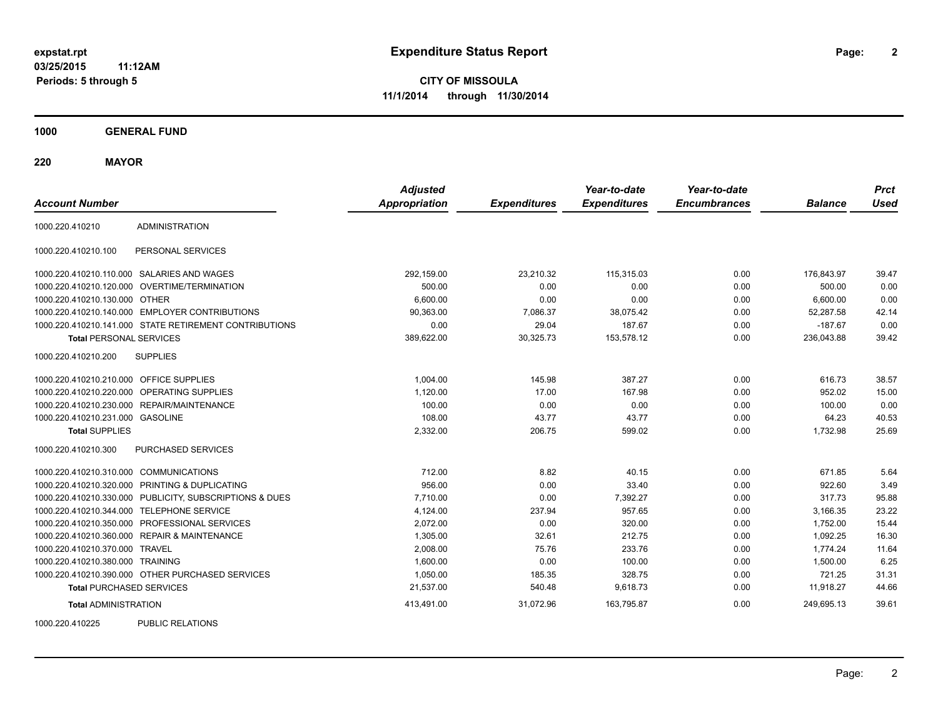**CITY OF MISSOULA 11/1/2014 through 11/30/2014**

**1000 GENERAL FUND**

**220 MAYOR**

| <b>Account Number</b>                   |                                                         | <b>Adjusted</b><br><b>Appropriation</b> | <b>Expenditures</b> | Year-to-date<br><b>Expenditures</b> | Year-to-date<br><b>Encumbrances</b> | <b>Balance</b> | <b>Prct</b><br><b>Used</b> |
|-----------------------------------------|---------------------------------------------------------|-----------------------------------------|---------------------|-------------------------------------|-------------------------------------|----------------|----------------------------|
| 1000.220.410210                         | <b>ADMINISTRATION</b>                                   |                                         |                     |                                     |                                     |                |                            |
| 1000.220.410210.100                     | PERSONAL SERVICES                                       |                                         |                     |                                     |                                     |                |                            |
|                                         | 1000.220.410210.110.000 SALARIES AND WAGES              | 292,159.00                              | 23,210.32           | 115,315.03                          | 0.00                                | 176,843.97     | 39.47                      |
|                                         | 1000.220.410210.120.000 OVERTIME/TERMINATION            | 500.00                                  | 0.00                | 0.00                                | 0.00                                | 500.00         | 0.00                       |
| 1000.220.410210.130.000 OTHER           |                                                         | 6,600.00                                | 0.00                | 0.00                                | 0.00                                | 6,600.00       | 0.00                       |
|                                         | 1000.220.410210.140.000 EMPLOYER CONTRIBUTIONS          | 90,363.00                               | 7,086.37            | 38,075.42                           | 0.00                                | 52,287.58      | 42.14                      |
|                                         | 1000.220.410210.141.000 STATE RETIREMENT CONTRIBUTIONS  | 0.00                                    | 29.04               | 187.67                              | 0.00                                | $-187.67$      | 0.00                       |
| <b>Total PERSONAL SERVICES</b>          |                                                         | 389,622.00                              | 30,325.73           | 153,578.12                          | 0.00                                | 236,043.88     | 39.42                      |
| 1000.220.410210.200                     | <b>SUPPLIES</b>                                         |                                         |                     |                                     |                                     |                |                            |
| 1000.220.410210.210.000 OFFICE SUPPLIES |                                                         | 1,004.00                                | 145.98              | 387.27                              | 0.00                                | 616.73         | 38.57                      |
|                                         | 1000.220.410210.220.000 OPERATING SUPPLIES              | 1,120.00                                | 17.00               | 167.98                              | 0.00                                | 952.02         | 15.00                      |
|                                         | 1000.220.410210.230.000 REPAIR/MAINTENANCE              | 100.00                                  | 0.00                | 0.00                                | 0.00                                | 100.00         | 0.00                       |
| 1000.220.410210.231.000 GASOLINE        |                                                         | 108.00                                  | 43.77               | 43.77                               | 0.00                                | 64.23          | 40.53                      |
| <b>Total SUPPLIES</b>                   |                                                         | 2,332.00                                | 206.75              | 599.02                              | 0.00                                | 1,732.98       | 25.69                      |
| 1000.220.410210.300                     | PURCHASED SERVICES                                      |                                         |                     |                                     |                                     |                |                            |
| 1000.220.410210.310.000 COMMUNICATIONS  |                                                         | 712.00                                  | 8.82                | 40.15                               | 0.00                                | 671.85         | 5.64                       |
|                                         | 1000.220.410210.320.000 PRINTING & DUPLICATING          | 956.00                                  | 0.00                | 33.40                               | 0.00                                | 922.60         | 3.49                       |
|                                         | 1000.220.410210.330.000 PUBLICITY, SUBSCRIPTIONS & DUES | 7,710.00                                | 0.00                | 7,392.27                            | 0.00                                | 317.73         | 95.88                      |
|                                         | 1000.220.410210.344.000 TELEPHONE SERVICE               | 4,124.00                                | 237.94              | 957.65                              | 0.00                                | 3,166.35       | 23.22                      |
|                                         | 1000.220.410210.350.000 PROFESSIONAL SERVICES           | 2,072.00                                | 0.00                | 320.00                              | 0.00                                | 1,752.00       | 15.44                      |
|                                         | 1000.220.410210.360.000 REPAIR & MAINTENANCE            | 1,305.00                                | 32.61               | 212.75                              | 0.00                                | 1,092.25       | 16.30                      |
| 1000.220.410210.370.000 TRAVEL          |                                                         | 2,008.00                                | 75.76               | 233.76                              | 0.00                                | 1,774.24       | 11.64                      |
| 1000.220.410210.380.000 TRAINING        |                                                         | 1,600.00                                | 0.00                | 100.00                              | 0.00                                | 1,500.00       | 6.25                       |
|                                         | 1000.220.410210.390.000 OTHER PURCHASED SERVICES        | 1,050.00                                | 185.35              | 328.75                              | 0.00                                | 721.25         | 31.31                      |
| <b>Total PURCHASED SERVICES</b>         |                                                         | 21,537.00                               | 540.48              | 9,618.73                            | 0.00                                | 11,918.27      | 44.66                      |
| <b>Total ADMINISTRATION</b>             |                                                         | 413,491.00                              | 31,072.96           | 163,795.87                          | 0.00                                | 249,695.13     | 39.61                      |
| 1000000110005                           | <b>DUDLIO DEL ATIONO</b>                                |                                         |                     |                                     |                                     |                |                            |

1000.220.410225 PUBLIC RELATIONS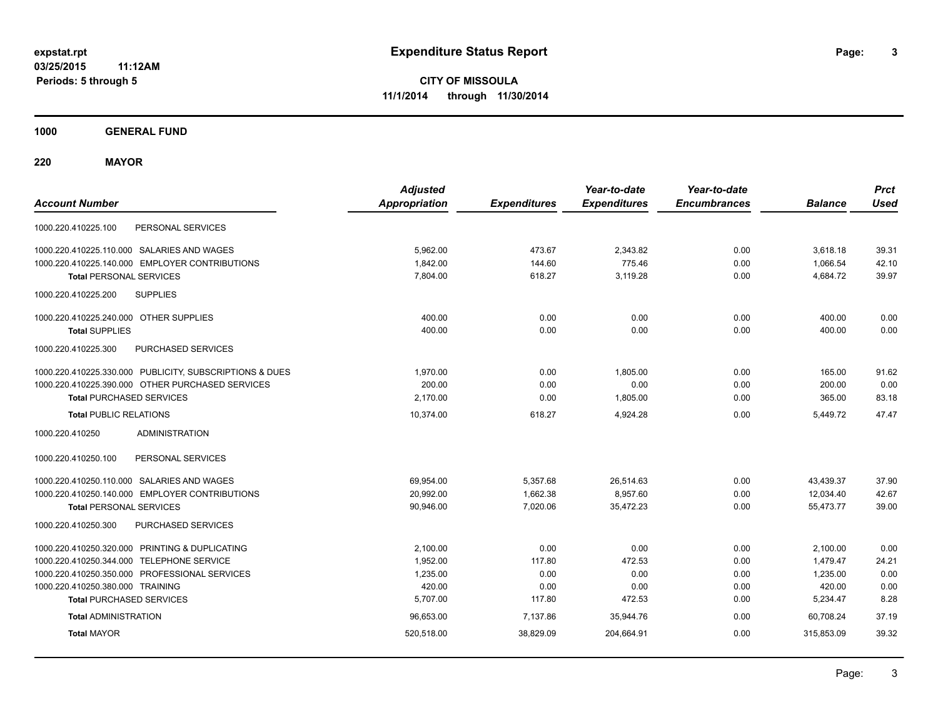**CITY OF MISSOULA 11/1/2014 through 11/30/2014**

**1000 GENERAL FUND**

**220 MAYOR**

| <b>Account Number</b>                                   | <b>Adjusted</b><br><b>Appropriation</b> | <b>Expenditures</b> | Year-to-date<br><b>Expenditures</b> | Year-to-date<br><b>Encumbrances</b> | <b>Balance</b> | <b>Prct</b><br><b>Used</b> |
|---------------------------------------------------------|-----------------------------------------|---------------------|-------------------------------------|-------------------------------------|----------------|----------------------------|
| PERSONAL SERVICES<br>1000.220.410225.100                |                                         |                     |                                     |                                     |                |                            |
| 1000.220.410225.110.000 SALARIES AND WAGES              | 5,962.00                                | 473.67              | 2,343.82                            | 0.00                                | 3,618.18       | 39.31                      |
| 1000.220.410225.140.000 EMPLOYER CONTRIBUTIONS          | 1,842.00                                | 144.60              | 775.46                              | 0.00                                | 1,066.54       | 42.10                      |
| <b>Total PERSONAL SERVICES</b>                          | 7.804.00                                | 618.27              | 3.119.28                            | 0.00                                | 4,684.72       | 39.97                      |
| <b>SUPPLIES</b><br>1000.220.410225.200                  |                                         |                     |                                     |                                     |                |                            |
| 1000.220.410225.240.000 OTHER SUPPLIES                  | 400.00                                  | 0.00                | 0.00                                | 0.00                                | 400.00         | 0.00                       |
| <b>Total SUPPLIES</b>                                   | 400.00                                  | 0.00                | 0.00                                | 0.00                                | 400.00         | 0.00                       |
| PURCHASED SERVICES<br>1000.220.410225.300               |                                         |                     |                                     |                                     |                |                            |
| 1000.220.410225.330.000 PUBLICITY, SUBSCRIPTIONS & DUES | 1,970.00                                | 0.00                | 1,805.00                            | 0.00                                | 165.00         | 91.62                      |
| 1000.220.410225.390.000 OTHER PURCHASED SERVICES        | 200.00                                  | 0.00                | 0.00                                | 0.00                                | 200.00         | 0.00                       |
| <b>Total PURCHASED SERVICES</b>                         | 2,170.00                                | 0.00                | 1,805.00                            | 0.00                                | 365.00         | 83.18                      |
| <b>Total PUBLIC RELATIONS</b>                           | 10.374.00                               | 618.27              | 4.924.28                            | 0.00                                | 5.449.72       | 47.47                      |
| <b>ADMINISTRATION</b><br>1000.220.410250                |                                         |                     |                                     |                                     |                |                            |
| PERSONAL SERVICES<br>1000.220.410250.100                |                                         |                     |                                     |                                     |                |                            |
| 1000.220.410250.110.000 SALARIES AND WAGES              | 69,954.00                               | 5,357.68            | 26,514.63                           | 0.00                                | 43,439.37      | 37.90                      |
| 1000.220.410250.140.000 EMPLOYER CONTRIBUTIONS          | 20,992.00                               | 1,662.38            | 8,957.60                            | 0.00                                | 12,034.40      | 42.67                      |
| <b>Total PERSONAL SERVICES</b>                          | 90,946.00                               | 7,020.06            | 35,472.23                           | 0.00                                | 55,473.77      | 39.00                      |
| PURCHASED SERVICES<br>1000.220.410250.300               |                                         |                     |                                     |                                     |                |                            |
| 1000.220.410250.320.000 PRINTING & DUPLICATING          | 2,100.00                                | 0.00                | 0.00                                | 0.00                                | 2,100.00       | 0.00                       |
| 1000.220.410250.344.000 TELEPHONE SERVICE               | 1,952.00                                | 117.80              | 472.53                              | 0.00                                | 1,479.47       | 24.21                      |
| 1000.220.410250.350.000 PROFESSIONAL SERVICES           | 1,235.00                                | 0.00                | 0.00                                | 0.00                                | 1,235.00       | 0.00                       |
| 1000.220.410250.380.000 TRAINING                        | 420.00                                  | 0.00                | 0.00                                | 0.00                                | 420.00         | 0.00                       |
| <b>Total PURCHASED SERVICES</b>                         | 5,707.00                                | 117.80              | 472.53                              | 0.00                                | 5,234.47       | 8.28                       |
| <b>Total ADMINISTRATION</b>                             | 96,653.00                               | 7,137.86            | 35,944.76                           | 0.00                                | 60.708.24      | 37.19                      |
| <b>Total MAYOR</b>                                      | 520,518.00                              | 38,829.09           | 204,664.91                          | 0.00                                | 315,853.09     | 39.32                      |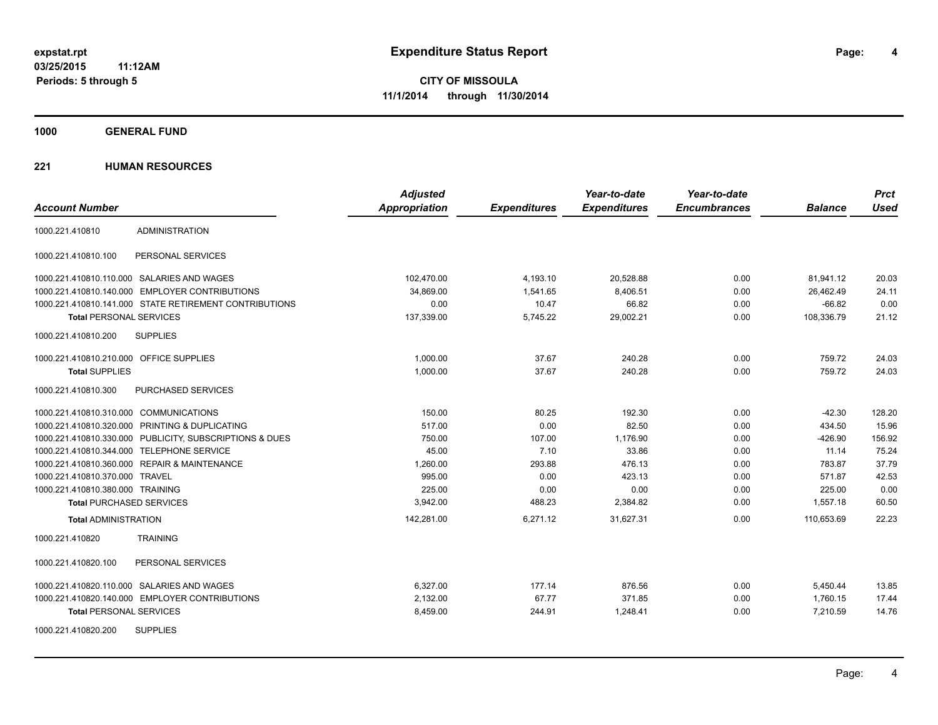**4**

**CITY OF MISSOULA 11/1/2014 through 11/30/2014**

**1000 GENERAL FUND**

| <b>Account Number</b>                                   | <b>Adjusted</b><br>Appropriation | <b>Expenditures</b> | Year-to-date<br><b>Expenditures</b> | Year-to-date<br><b>Encumbrances</b> | <b>Balance</b> | <b>Prct</b><br><b>Used</b> |
|---------------------------------------------------------|----------------------------------|---------------------|-------------------------------------|-------------------------------------|----------------|----------------------------|
| <b>ADMINISTRATION</b><br>1000.221.410810                |                                  |                     |                                     |                                     |                |                            |
| PERSONAL SERVICES<br>1000.221.410810.100                |                                  |                     |                                     |                                     |                |                            |
| 1000.221.410810.110.000 SALARIES AND WAGES              | 102,470.00                       | 4,193.10            | 20,528.88                           | 0.00                                | 81,941.12      | 20.03                      |
| 1000.221.410810.140.000 EMPLOYER CONTRIBUTIONS          | 34.869.00                        | 1,541.65            | 8,406.51                            | 0.00                                | 26.462.49      | 24.11                      |
| 1000.221.410810.141.000 STATE RETIREMENT CONTRIBUTIONS  | 0.00                             | 10.47               | 66.82                               | 0.00                                | $-66.82$       | 0.00                       |
| <b>Total PERSONAL SERVICES</b>                          | 137,339.00                       | 5,745.22            | 29,002.21                           | 0.00                                | 108,336.79     | 21.12                      |
| 1000.221.410810.200<br><b>SUPPLIES</b>                  |                                  |                     |                                     |                                     |                |                            |
| 1000.221.410810.210.000 OFFICE SUPPLIES                 | 1.000.00                         | 37.67               | 240.28                              | 0.00                                | 759.72         | 24.03                      |
| <b>Total SUPPLIES</b>                                   | 1,000.00                         | 37.67               | 240.28                              | 0.00                                | 759.72         | 24.03                      |
| 1000.221.410810.300<br>PURCHASED SERVICES               |                                  |                     |                                     |                                     |                |                            |
| 1000.221.410810.310.000 COMMUNICATIONS                  | 150.00                           | 80.25               | 192.30                              | 0.00                                | $-42.30$       | 128.20                     |
| 1000.221.410810.320.000 PRINTING & DUPLICATING          | 517.00                           | 0.00                | 82.50                               | 0.00                                | 434.50         | 15.96                      |
| 1000.221.410810.330.000 PUBLICITY, SUBSCRIPTIONS & DUES | 750.00                           | 107.00              | 1,176.90                            | 0.00                                | $-426.90$      | 156.92                     |
| 1000.221.410810.344.000 TELEPHONE SERVICE               | 45.00                            | 7.10                | 33.86                               | 0.00                                | 11.14          | 75.24                      |
| 1000.221.410810.360.000 REPAIR & MAINTENANCE            | 1,260.00                         | 293.88              | 476.13                              | 0.00                                | 783.87         | 37.79                      |
| 1000.221.410810.370.000 TRAVEL                          | 995.00                           | 0.00                | 423.13                              | 0.00                                | 571.87         | 42.53                      |
| 1000.221.410810.380.000 TRAINING                        | 225.00                           | 0.00                | 0.00                                | 0.00                                | 225.00         | 0.00                       |
| <b>Total PURCHASED SERVICES</b>                         | 3,942.00                         | 488.23              | 2,384.82                            | 0.00                                | 1,557.18       | 60.50                      |
| <b>Total ADMINISTRATION</b>                             | 142,281.00                       | 6,271.12            | 31,627.31                           | 0.00                                | 110,653.69     | 22.23                      |
| <b>TRAINING</b><br>1000.221.410820                      |                                  |                     |                                     |                                     |                |                            |
| PERSONAL SERVICES<br>1000.221.410820.100                |                                  |                     |                                     |                                     |                |                            |
| 1000.221.410820.110.000 SALARIES AND WAGES              | 6,327.00                         | 177.14              | 876.56                              | 0.00                                | 5,450.44       | 13.85                      |
| 1000.221.410820.140.000 EMPLOYER CONTRIBUTIONS          | 2,132.00                         | 67.77               | 371.85                              | 0.00                                | 1,760.15       | 17.44                      |
| <b>Total PERSONAL SERVICES</b>                          | 8,459.00                         | 244.91              | 1,248.41                            | 0.00                                | 7,210.59       | 14.76                      |
| <b>SUPPLIES</b><br>1000.221.410820.200                  |                                  |                     |                                     |                                     |                |                            |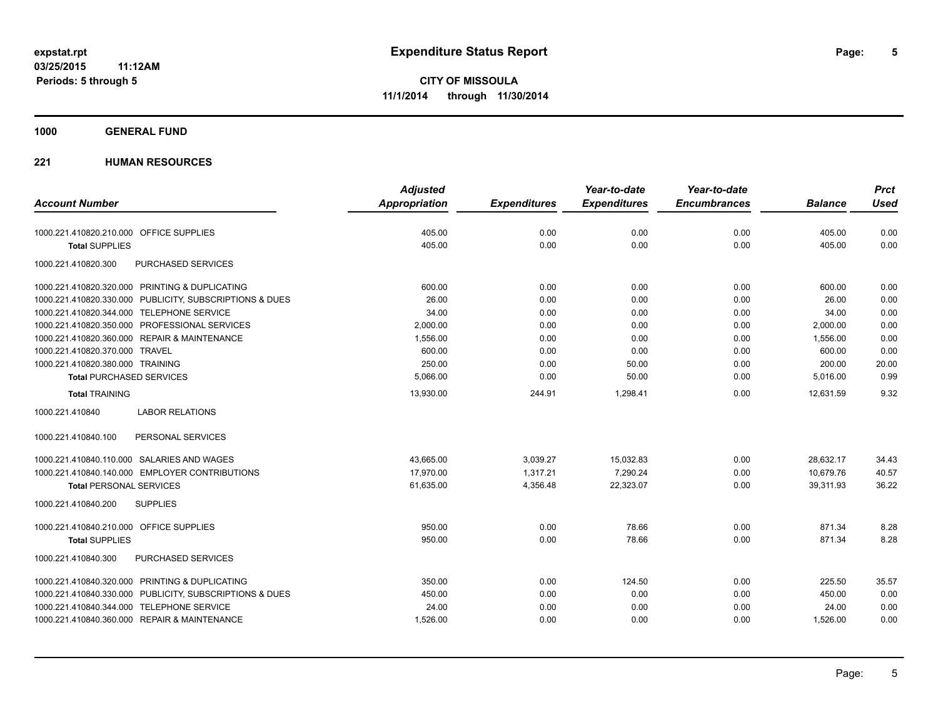**1000 GENERAL FUND**

|                                                         | <b>Adjusted</b> |                     | Year-to-date        | Year-to-date        |                | <b>Prct</b> |
|---------------------------------------------------------|-----------------|---------------------|---------------------|---------------------|----------------|-------------|
| <b>Account Number</b>                                   | Appropriation   | <b>Expenditures</b> | <b>Expenditures</b> | <b>Encumbrances</b> | <b>Balance</b> | <b>Used</b> |
| 1000.221.410820.210.000 OFFICE SUPPLIES                 | 405.00          | 0.00                | 0.00                | 0.00                | 405.00         | 0.00        |
| <b>Total SUPPLIES</b>                                   | 405.00          | 0.00                | 0.00                | 0.00                | 405.00         | 0.00        |
| PURCHASED SERVICES<br>1000.221.410820.300               |                 |                     |                     |                     |                |             |
| 1000.221.410820.320.000 PRINTING & DUPLICATING          | 600.00          | 0.00                | 0.00                | 0.00                | 600.00         | 0.00        |
| 1000.221.410820.330.000 PUBLICITY, SUBSCRIPTIONS & DUES | 26.00           | 0.00                | 0.00                | 0.00                | 26.00          | 0.00        |
| 1000.221.410820.344.000 TELEPHONE SERVICE               | 34.00           | 0.00                | 0.00                | 0.00                | 34.00          | 0.00        |
| 1000.221.410820.350.000 PROFESSIONAL SERVICES           | 2,000.00        | 0.00                | 0.00                | 0.00                | 2,000.00       | 0.00        |
| 1000.221.410820.360.000 REPAIR & MAINTENANCE            | 1,556.00        | 0.00                | 0.00                | 0.00                | 1,556.00       | 0.00        |
| 1000.221.410820.370.000 TRAVEL                          | 600.00          | 0.00                | 0.00                | 0.00                | 600.00         | 0.00        |
| 1000.221.410820.380.000 TRAINING                        | 250.00          | 0.00                | 50.00               | 0.00                | 200.00         | 20.00       |
| <b>Total PURCHASED SERVICES</b>                         | 5,066.00        | 0.00                | 50.00               | 0.00                | 5,016.00       | 0.99        |
| <b>Total TRAINING</b>                                   | 13,930.00       | 244.91              | 1,298.41            | 0.00                | 12,631.59      | 9.32        |
| 1000.221.410840<br><b>LABOR RELATIONS</b>               |                 |                     |                     |                     |                |             |
| PERSONAL SERVICES<br>1000.221.410840.100                |                 |                     |                     |                     |                |             |
| 1000.221.410840.110.000 SALARIES AND WAGES              | 43,665.00       | 3,039.27            | 15,032.83           | 0.00                | 28.632.17      | 34.43       |
| 1000.221.410840.140.000 EMPLOYER CONTRIBUTIONS          | 17,970.00       | 1,317.21            | 7,290.24            | 0.00                | 10,679.76      | 40.57       |
| <b>Total PERSONAL SERVICES</b>                          | 61,635.00       | 4,356.48            | 22,323.07           | 0.00                | 39,311.93      | 36.22       |
| 1000.221.410840.200<br><b>SUPPLIES</b>                  |                 |                     |                     |                     |                |             |
| 1000.221.410840.210.000 OFFICE SUPPLIES                 | 950.00          | 0.00                | 78.66               | 0.00                | 871.34         | 8.28        |
| <b>Total SUPPLIES</b>                                   | 950.00          | 0.00                | 78.66               | 0.00                | 871.34         | 8.28        |
| PURCHASED SERVICES<br>1000.221.410840.300               |                 |                     |                     |                     |                |             |
| 1000.221.410840.320.000 PRINTING & DUPLICATING          | 350.00          | 0.00                | 124.50              | 0.00                | 225.50         | 35.57       |
| 1000.221.410840.330.000 PUBLICITY, SUBSCRIPTIONS & DUES | 450.00          | 0.00                | 0.00                | 0.00                | 450.00         | 0.00        |
| 1000.221.410840.344.000 TELEPHONE SERVICE               | 24.00           | 0.00                | 0.00                | 0.00                | 24.00          | 0.00        |
| 1000.221.410840.360.000 REPAIR & MAINTENANCE            | 1,526.00        | 0.00                | 0.00                | 0.00                | 1,526.00       | 0.00        |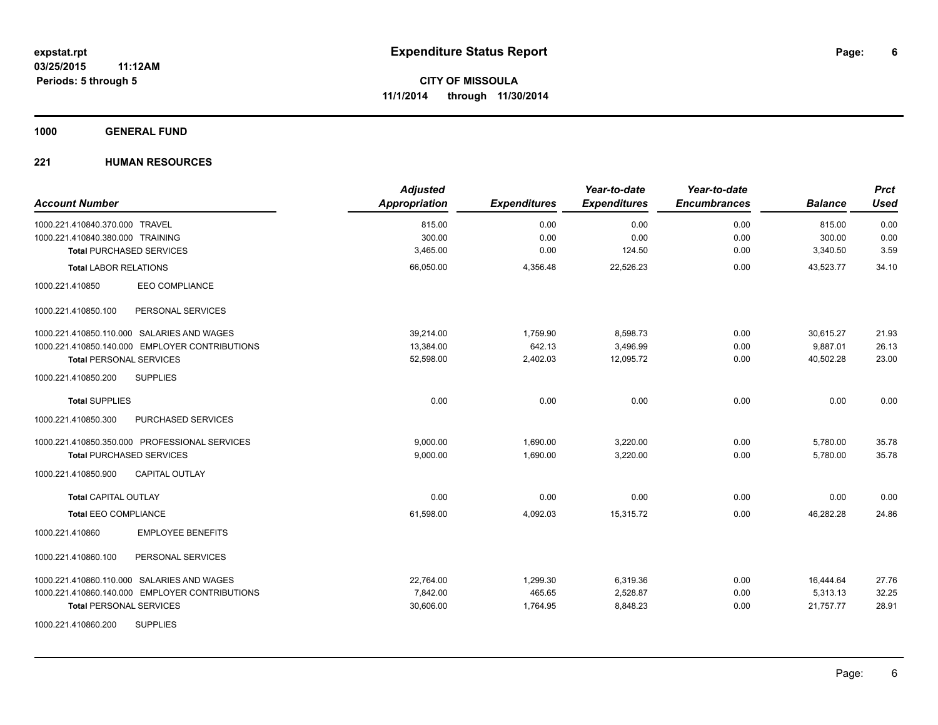**1000 GENERAL FUND**

| <b>Account Number</b>                          | <b>Adjusted</b><br>Appropriation | <b>Expenditures</b> | Year-to-date<br><b>Expenditures</b> | Year-to-date<br><b>Encumbrances</b> | <b>Balance</b> | <b>Prct</b><br><b>Used</b> |
|------------------------------------------------|----------------------------------|---------------------|-------------------------------------|-------------------------------------|----------------|----------------------------|
| 1000.221.410840.370.000 TRAVEL                 | 815.00                           | 0.00                | 0.00                                | 0.00                                | 815.00         | 0.00                       |
| 1000.221.410840.380.000 TRAINING               | 300.00                           | 0.00                | 0.00                                | 0.00                                | 300.00         | 0.00                       |
| <b>Total PURCHASED SERVICES</b>                | 3,465.00                         | 0.00                | 124.50                              | 0.00                                | 3,340.50       | 3.59                       |
| <b>Total LABOR RELATIONS</b>                   | 66,050.00                        | 4,356.48            | 22,526.23                           | 0.00                                | 43,523.77      | 34.10                      |
| EEO COMPLIANCE<br>1000.221.410850              |                                  |                     |                                     |                                     |                |                            |
| PERSONAL SERVICES<br>1000.221.410850.100       |                                  |                     |                                     |                                     |                |                            |
| 1000.221.410850.110.000 SALARIES AND WAGES     | 39,214.00                        | 1,759.90            | 8,598.73                            | 0.00                                | 30,615.27      | 21.93                      |
| 1000.221.410850.140.000 EMPLOYER CONTRIBUTIONS | 13,384.00                        | 642.13              | 3,496.99                            | 0.00                                | 9,887.01       | 26.13                      |
| <b>Total PERSONAL SERVICES</b>                 | 52,598.00                        | 2,402.03            | 12,095.72                           | 0.00                                | 40,502.28      | 23.00                      |
| <b>SUPPLIES</b><br>1000.221.410850.200         |                                  |                     |                                     |                                     |                |                            |
| <b>Total SUPPLIES</b>                          | 0.00                             | 0.00                | 0.00                                | 0.00                                | 0.00           | 0.00                       |
| 1000.221.410850.300<br>PURCHASED SERVICES      |                                  |                     |                                     |                                     |                |                            |
| 1000.221.410850.350.000 PROFESSIONAL SERVICES  | 9,000.00                         | 1,690.00            | 3,220.00                            | 0.00                                | 5,780.00       | 35.78                      |
| <b>Total PURCHASED SERVICES</b>                | 9,000.00                         | 1,690.00            | 3,220.00                            | 0.00                                | 5,780.00       | 35.78                      |
| 1000.221.410850.900<br><b>CAPITAL OUTLAY</b>   |                                  |                     |                                     |                                     |                |                            |
| <b>Total CAPITAL OUTLAY</b>                    | 0.00                             | 0.00                | 0.00                                | 0.00                                | 0.00           | 0.00                       |
| <b>Total EEO COMPLIANCE</b>                    | 61,598.00                        | 4,092.03            | 15,315.72                           | 0.00                                | 46.282.28      | 24.86                      |
| <b>EMPLOYEE BENEFITS</b><br>1000.221.410860    |                                  |                     |                                     |                                     |                |                            |
| 1000.221.410860.100<br>PERSONAL SERVICES       |                                  |                     |                                     |                                     |                |                            |
| 1000.221.410860.110.000 SALARIES AND WAGES     | 22,764.00                        | 1,299.30            | 6,319.36                            | 0.00                                | 16,444.64      | 27.76                      |
| 1000.221.410860.140.000 EMPLOYER CONTRIBUTIONS | 7,842.00                         | 465.65              | 2,528.87                            | 0.00                                | 5,313.13       | 32.25                      |
| <b>Total PERSONAL SERVICES</b>                 | 30,606.00                        | 1,764.95            | 8,848.23                            | 0.00                                | 21,757.77      | 28.91                      |
| <b>SUPPLIES</b><br>1000.221.410860.200         |                                  |                     |                                     |                                     |                |                            |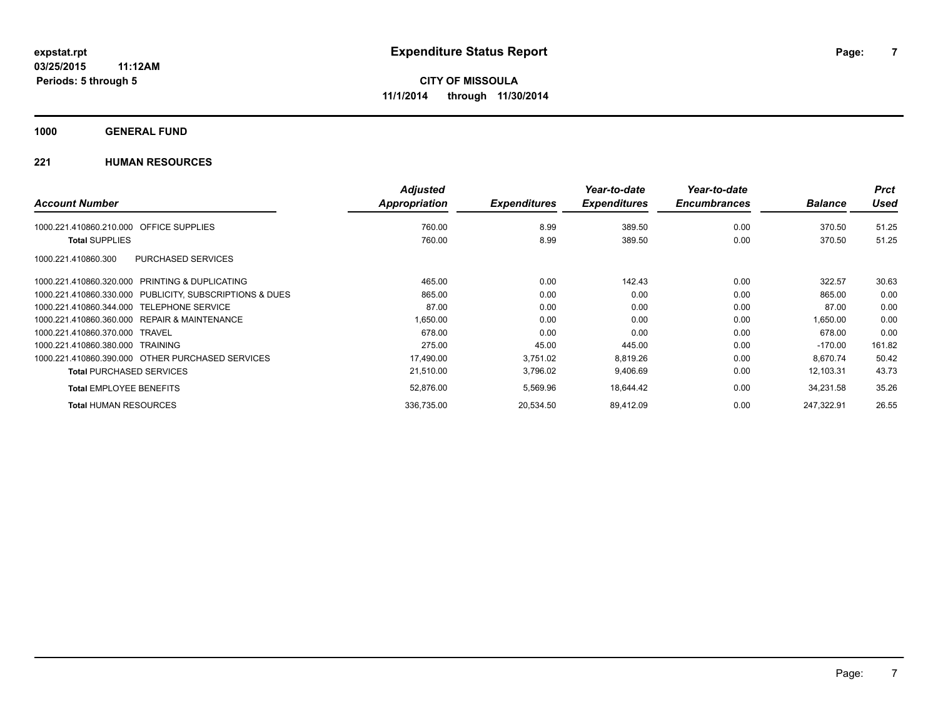**1000 GENERAL FUND**

|                                                         | <b>Adjusted</b> |                     | Year-to-date        | Year-to-date        |                | <b>Prct</b> |
|---------------------------------------------------------|-----------------|---------------------|---------------------|---------------------|----------------|-------------|
| <b>Account Number</b>                                   | Appropriation   | <b>Expenditures</b> | <b>Expenditures</b> | <b>Encumbrances</b> | <b>Balance</b> | <b>Used</b> |
| <b>OFFICE SUPPLIES</b><br>1000.221.410860.210.000       | 760.00          | 8.99                | 389.50              | 0.00                | 370.50         | 51.25       |
| <b>Total SUPPLIES</b>                                   | 760.00          | 8.99                | 389.50              | 0.00                | 370.50         | 51.25       |
| <b>PURCHASED SERVICES</b><br>1000.221.410860.300        |                 |                     |                     |                     |                |             |
| 1000.221.410860.320.000 PRINTING & DUPLICATING          | 465.00          | 0.00                | 142.43              | 0.00                | 322.57         | 30.63       |
| 1000.221.410860.330.000 PUBLICITY, SUBSCRIPTIONS & DUES | 865.00          | 0.00                | 0.00                | 0.00                | 865.00         | 0.00        |
| 1000.221.410860.344.000 TELEPHONE SERVICE               | 87.00           | 0.00                | 0.00                | 0.00                | 87.00          | 0.00        |
| 1000.221.410860.360.000 REPAIR & MAINTENANCE            | 1,650.00        | 0.00                | 0.00                | 0.00                | 1,650.00       | 0.00        |
| 1000.221.410860.370.000 TRAVEL                          | 678.00          | 0.00                | 0.00                | 0.00                | 678.00         | 0.00        |
| 1000.221.410860.380.000 TRAINING                        | 275.00          | 45.00               | 445.00              | 0.00                | $-170.00$      | 161.82      |
| 1000.221.410860.390.000 OTHER PURCHASED SERVICES        | 17,490.00       | 3,751.02            | 8,819.26            | 0.00                | 8,670.74       | 50.42       |
| <b>Total PURCHASED SERVICES</b>                         | 21,510.00       | 3,796.02            | 9,406.69            | 0.00                | 12,103.31      | 43.73       |
| <b>Total EMPLOYEE BENEFITS</b>                          | 52,876.00       | 5,569.96            | 18,644.42           | 0.00                | 34,231.58      | 35.26       |
| <b>Total HUMAN RESOURCES</b>                            | 336,735.00      | 20,534.50           | 89,412.09           | 0.00                | 247.322.91     | 26.55       |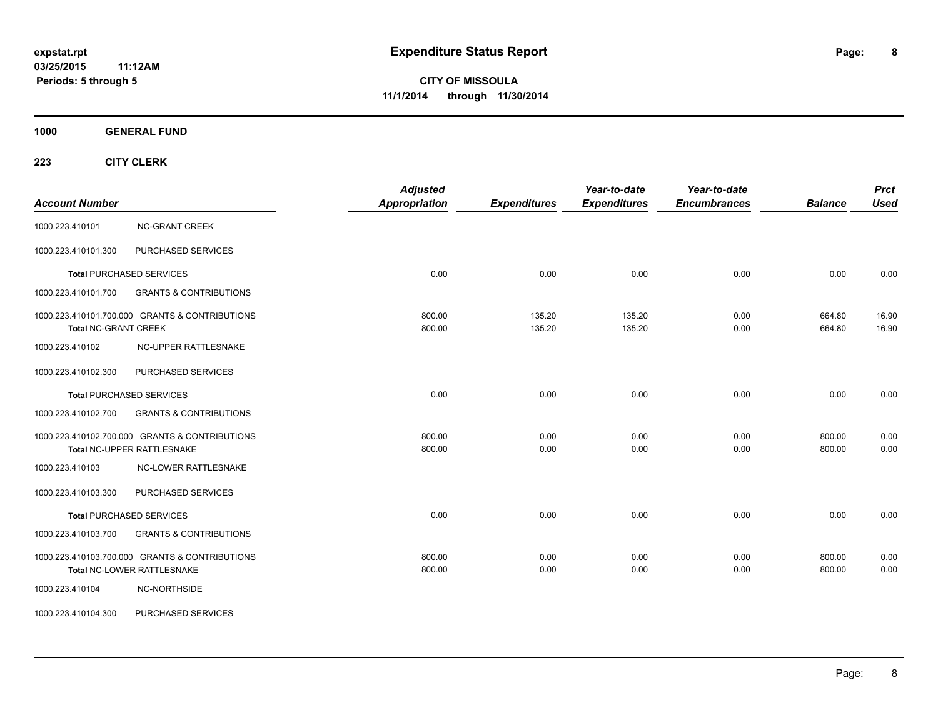**1000 GENERAL FUND**

| <b>Account Number</b>       |                                                                              | <b>Adjusted</b><br><b>Appropriation</b> | <b>Expenditures</b> | Year-to-date<br><b>Expenditures</b> | Year-to-date<br><b>Encumbrances</b> | <b>Balance</b>   | <b>Prct</b><br><b>Used</b> |
|-----------------------------|------------------------------------------------------------------------------|-----------------------------------------|---------------------|-------------------------------------|-------------------------------------|------------------|----------------------------|
| 1000.223.410101             | <b>NC-GRANT CREEK</b>                                                        |                                         |                     |                                     |                                     |                  |                            |
| 1000.223.410101.300         | PURCHASED SERVICES                                                           |                                         |                     |                                     |                                     |                  |                            |
|                             | <b>Total PURCHASED SERVICES</b>                                              | 0.00                                    | 0.00                | 0.00                                | 0.00                                | 0.00             | 0.00                       |
| 1000.223.410101.700         | <b>GRANTS &amp; CONTRIBUTIONS</b>                                            |                                         |                     |                                     |                                     |                  |                            |
| <b>Total NC-GRANT CREEK</b> | 1000.223.410101.700.000 GRANTS & CONTRIBUTIONS                               | 800.00<br>800.00                        | 135.20<br>135.20    | 135.20<br>135.20                    | 0.00<br>0.00                        | 664.80<br>664.80 | 16.90<br>16.90             |
| 1000.223.410102             | <b>NC-UPPER RATTLESNAKE</b>                                                  |                                         |                     |                                     |                                     |                  |                            |
| 1000.223.410102.300         | PURCHASED SERVICES                                                           |                                         |                     |                                     |                                     |                  |                            |
|                             | <b>Total PURCHASED SERVICES</b>                                              | 0.00                                    | 0.00                | 0.00                                | 0.00                                | 0.00             | 0.00                       |
| 1000.223.410102.700         | <b>GRANTS &amp; CONTRIBUTIONS</b>                                            |                                         |                     |                                     |                                     |                  |                            |
|                             | 1000.223.410102.700.000 GRANTS & CONTRIBUTIONS<br>Total NC-UPPER RATTLESNAKE | 800.00<br>800.00                        | 0.00<br>0.00        | 0.00<br>0.00                        | 0.00<br>0.00                        | 800.00<br>800.00 | 0.00<br>0.00               |
| 1000.223.410103             | <b>NC-LOWER RATTLESNAKE</b>                                                  |                                         |                     |                                     |                                     |                  |                            |
| 1000.223.410103.300         | PURCHASED SERVICES                                                           |                                         |                     |                                     |                                     |                  |                            |
|                             | <b>Total PURCHASED SERVICES</b>                                              | 0.00                                    | 0.00                | 0.00                                | 0.00                                | 0.00             | 0.00                       |
| 1000.223.410103.700         | <b>GRANTS &amp; CONTRIBUTIONS</b>                                            |                                         |                     |                                     |                                     |                  |                            |
|                             | 1000.223.410103.700.000 GRANTS & CONTRIBUTIONS<br>Total NC-LOWER RATTLESNAKE | 800.00<br>800.00                        | 0.00<br>0.00        | 0.00<br>0.00                        | 0.00<br>0.00                        | 800.00<br>800.00 | 0.00<br>0.00               |
| 1000.223.410104             | NC-NORTHSIDE                                                                 |                                         |                     |                                     |                                     |                  |                            |
| 1000.223.410104.300         | PURCHASED SERVICES                                                           |                                         |                     |                                     |                                     |                  |                            |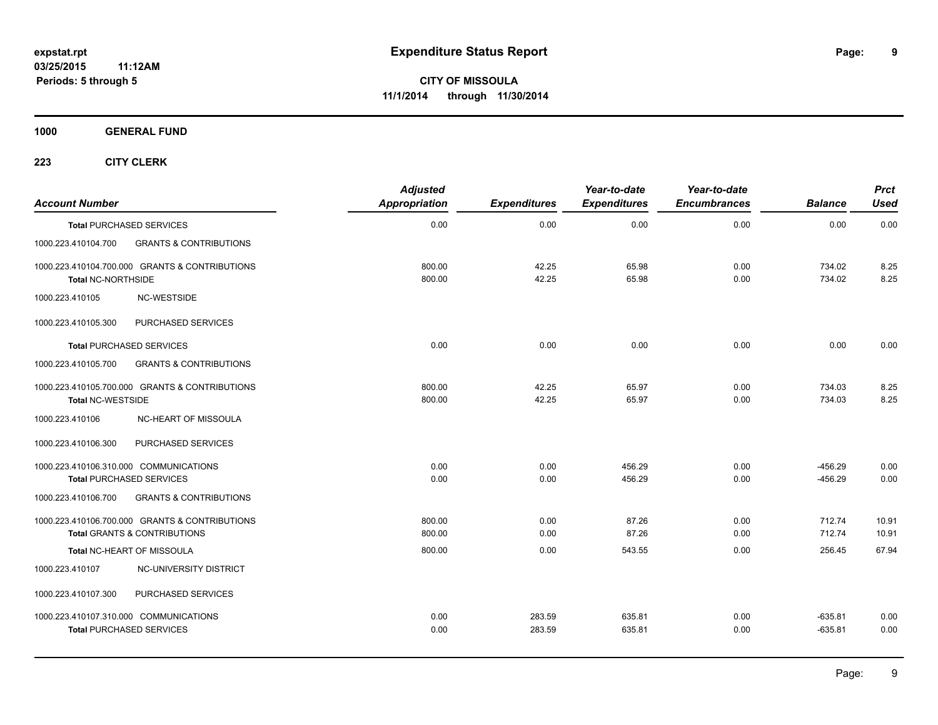**1000 GENERAL FUND**

| <b>Account Number</b>     |                                                                                           | <b>Adjusted</b><br><b>Appropriation</b> | <b>Expenditures</b> | Year-to-date<br><b>Expenditures</b> | Year-to-date<br><b>Encumbrances</b> | <b>Balance</b>         | <b>Prct</b><br><b>Used</b> |
|---------------------------|-------------------------------------------------------------------------------------------|-----------------------------------------|---------------------|-------------------------------------|-------------------------------------|------------------------|----------------------------|
|                           | <b>Total PURCHASED SERVICES</b>                                                           | 0.00                                    | 0.00                | 0.00                                | 0.00                                | 0.00                   | 0.00                       |
| 1000.223.410104.700       | <b>GRANTS &amp; CONTRIBUTIONS</b>                                                         |                                         |                     |                                     |                                     |                        |                            |
| <b>Total NC-NORTHSIDE</b> | 1000.223.410104.700.000 GRANTS & CONTRIBUTIONS                                            | 800.00<br>800.00                        | 42.25<br>42.25      | 65.98<br>65.98                      | 0.00<br>0.00                        | 734.02<br>734.02       | 8.25<br>8.25               |
| 1000.223.410105           | NC-WESTSIDE                                                                               |                                         |                     |                                     |                                     |                        |                            |
| 1000.223.410105.300       | PURCHASED SERVICES                                                                        |                                         |                     |                                     |                                     |                        |                            |
|                           | <b>Total PURCHASED SERVICES</b>                                                           | 0.00                                    | 0.00                | 0.00                                | 0.00                                | 0.00                   | 0.00                       |
| 1000.223.410105.700       | <b>GRANTS &amp; CONTRIBUTIONS</b>                                                         |                                         |                     |                                     |                                     |                        |                            |
| <b>Total NC-WESTSIDE</b>  | 1000.223.410105.700.000 GRANTS & CONTRIBUTIONS                                            | 800.00<br>800.00                        | 42.25<br>42.25      | 65.97<br>65.97                      | 0.00<br>0.00                        | 734.03<br>734.03       | 8.25<br>8.25               |
| 1000.223.410106           | <b>NC-HEART OF MISSOULA</b>                                                               |                                         |                     |                                     |                                     |                        |                            |
| 1000.223.410106.300       | PURCHASED SERVICES                                                                        |                                         |                     |                                     |                                     |                        |                            |
|                           | 1000.223.410106.310.000 COMMUNICATIONS<br><b>Total PURCHASED SERVICES</b>                 | 0.00<br>0.00                            | 0.00<br>0.00        | 456.29<br>456.29                    | 0.00<br>0.00                        | $-456.29$<br>$-456.29$ | 0.00<br>0.00               |
| 1000.223.410106.700       | <b>GRANTS &amp; CONTRIBUTIONS</b>                                                         |                                         |                     |                                     |                                     |                        |                            |
|                           | 1000.223.410106.700.000 GRANTS & CONTRIBUTIONS<br><b>Total GRANTS &amp; CONTRIBUTIONS</b> | 800.00<br>800.00                        | 0.00<br>0.00        | 87.26<br>87.26                      | 0.00<br>0.00                        | 712.74<br>712.74       | 10.91<br>10.91             |
|                           | Total NC-HEART OF MISSOULA                                                                | 800.00                                  | 0.00                | 543.55                              | 0.00                                | 256.45                 | 67.94                      |
| 1000.223.410107           | NC-UNIVERSITY DISTRICT                                                                    |                                         |                     |                                     |                                     |                        |                            |
| 1000.223.410107.300       | PURCHASED SERVICES                                                                        |                                         |                     |                                     |                                     |                        |                            |
|                           | 1000.223.410107.310.000 COMMUNICATIONS<br><b>Total PURCHASED SERVICES</b>                 | 0.00<br>0.00                            | 283.59<br>283.59    | 635.81<br>635.81                    | 0.00<br>0.00                        | $-635.81$<br>$-635.81$ | 0.00<br>0.00               |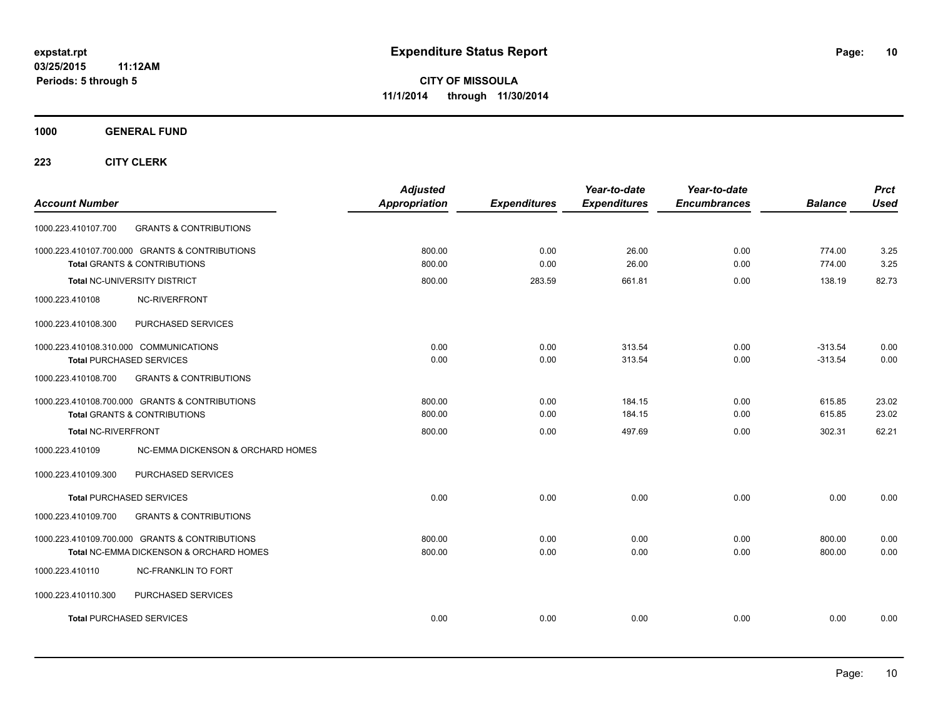**1000 GENERAL FUND**

| <b>Account Number</b>                                                                     |                                         | <b>Adjusted</b><br>Appropriation | <b>Expenditures</b> | Year-to-date<br><b>Expenditures</b> | Year-to-date<br><b>Encumbrances</b> | <b>Balance</b>         | <b>Prct</b><br>Used |
|-------------------------------------------------------------------------------------------|-----------------------------------------|----------------------------------|---------------------|-------------------------------------|-------------------------------------|------------------------|---------------------|
| 1000.223.410107.700                                                                       | <b>GRANTS &amp; CONTRIBUTIONS</b>       |                                  |                     |                                     |                                     |                        |                     |
| 1000.223.410107.700.000 GRANTS & CONTRIBUTIONS<br>Total GRANTS & CONTRIBUTIONS            |                                         | 800.00<br>800.00                 | 0.00<br>0.00        | 26.00<br>26.00                      | 0.00<br>0.00                        | 774.00<br>774.00       | 3.25<br>3.25        |
| Total NC-UNIVERSITY DISTRICT                                                              |                                         | 800.00                           | 283.59              | 661.81                              | 0.00                                | 138.19                 | 82.73               |
| 1000.223.410108                                                                           | NC-RIVERFRONT                           |                                  |                     |                                     |                                     |                        |                     |
| 1000.223.410108.300                                                                       | PURCHASED SERVICES                      |                                  |                     |                                     |                                     |                        |                     |
| 1000.223.410108.310.000 COMMUNICATIONS<br><b>Total PURCHASED SERVICES</b>                 |                                         | 0.00<br>0.00                     | 0.00<br>0.00        | 313.54<br>313.54                    | 0.00<br>0.00                        | $-313.54$<br>$-313.54$ | 0.00<br>0.00        |
| 1000.223.410108.700                                                                       | <b>GRANTS &amp; CONTRIBUTIONS</b>       |                                  |                     |                                     |                                     |                        |                     |
| 1000.223.410108.700.000 GRANTS & CONTRIBUTIONS<br><b>Total GRANTS &amp; CONTRIBUTIONS</b> |                                         | 800.00<br>800.00                 | 0.00<br>0.00        | 184.15<br>184.15                    | 0.00<br>0.00                        | 615.85<br>615.85       | 23.02<br>23.02      |
| <b>Total NC-RIVERFRONT</b>                                                                |                                         | 800.00                           | 0.00                | 497.69                              | 0.00                                | 302.31                 | 62.21               |
| 1000.223.410109                                                                           | NC-EMMA DICKENSON & ORCHARD HOMES       |                                  |                     |                                     |                                     |                        |                     |
| 1000.223.410109.300                                                                       | PURCHASED SERVICES                      |                                  |                     |                                     |                                     |                        |                     |
| <b>Total PURCHASED SERVICES</b>                                                           |                                         | 0.00                             | 0.00                | 0.00                                | 0.00                                | 0.00                   | 0.00                |
| 1000.223.410109.700                                                                       | <b>GRANTS &amp; CONTRIBUTIONS</b>       |                                  |                     |                                     |                                     |                        |                     |
| 1000.223.410109.700.000 GRANTS & CONTRIBUTIONS                                            | Total NC-EMMA DICKENSON & ORCHARD HOMES | 800.00<br>800.00                 | 0.00<br>0.00        | 0.00<br>0.00                        | 0.00<br>0.00                        | 800.00<br>800.00       | 0.00<br>0.00        |
| 1000.223.410110                                                                           | <b>NC-FRANKLIN TO FORT</b>              |                                  |                     |                                     |                                     |                        |                     |
| 1000.223.410110.300                                                                       | PURCHASED SERVICES                      |                                  |                     |                                     |                                     |                        |                     |
| <b>Total PURCHASED SERVICES</b>                                                           |                                         | 0.00                             | 0.00                | 0.00                                | 0.00                                | 0.00                   | 0.00                |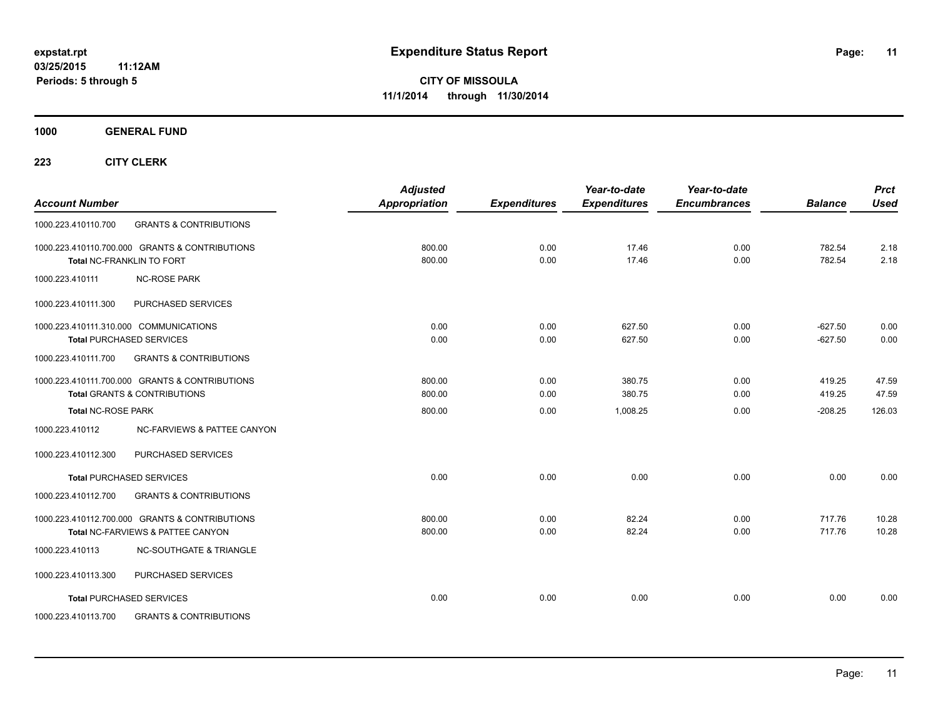**1000 GENERAL FUND**

| <b>Account Number</b>                                                     |                                                                                           | <b>Adjusted</b><br><b>Appropriation</b> | <b>Expenditures</b> | Year-to-date<br><b>Expenditures</b> | Year-to-date<br><b>Encumbrances</b> | <b>Balance</b>         | <b>Prct</b><br><b>Used</b> |
|---------------------------------------------------------------------------|-------------------------------------------------------------------------------------------|-----------------------------------------|---------------------|-------------------------------------|-------------------------------------|------------------------|----------------------------|
| 1000.223.410110.700                                                       | <b>GRANTS &amp; CONTRIBUTIONS</b>                                                         |                                         |                     |                                     |                                     |                        |                            |
| Total NC-FRANKLIN TO FORT                                                 | 1000.223.410110.700.000 GRANTS & CONTRIBUTIONS                                            | 800.00<br>800.00                        | 0.00<br>0.00        | 17.46<br>17.46                      | 0.00<br>0.00                        | 782.54<br>782.54       | 2.18<br>2.18               |
| 1000.223.410111                                                           | <b>NC-ROSE PARK</b>                                                                       |                                         |                     |                                     |                                     |                        |                            |
| 1000.223.410111.300                                                       | PURCHASED SERVICES                                                                        |                                         |                     |                                     |                                     |                        |                            |
| 1000.223.410111.310.000 COMMUNICATIONS<br><b>Total PURCHASED SERVICES</b> |                                                                                           | 0.00<br>0.00                            | 0.00<br>0.00        | 627.50<br>627.50                    | 0.00<br>0.00                        | $-627.50$<br>$-627.50$ | 0.00<br>0.00               |
| 1000.223.410111.700                                                       | <b>GRANTS &amp; CONTRIBUTIONS</b>                                                         |                                         |                     |                                     |                                     |                        |                            |
|                                                                           | 1000.223.410111.700.000 GRANTS & CONTRIBUTIONS<br><b>Total GRANTS &amp; CONTRIBUTIONS</b> | 800.00<br>800.00                        | 0.00<br>0.00        | 380.75<br>380.75                    | 0.00<br>0.00                        | 419.25<br>419.25       | 47.59<br>47.59             |
| <b>Total NC-ROSE PARK</b>                                                 |                                                                                           | 800.00                                  | 0.00                | 1,008.25                            | 0.00                                | $-208.25$              | 126.03                     |
| 1000.223.410112                                                           | NC-FARVIEWS & PATTEE CANYON                                                               |                                         |                     |                                     |                                     |                        |                            |
| 1000.223.410112.300                                                       | PURCHASED SERVICES                                                                        |                                         |                     |                                     |                                     |                        |                            |
| <b>Total PURCHASED SERVICES</b>                                           |                                                                                           | 0.00                                    | 0.00                | 0.00                                | 0.00                                | 0.00                   | 0.00                       |
| 1000.223.410112.700                                                       | <b>GRANTS &amp; CONTRIBUTIONS</b>                                                         |                                         |                     |                                     |                                     |                        |                            |
|                                                                           | 1000.223.410112.700.000 GRANTS & CONTRIBUTIONS<br>Total NC-FARVIEWS & PATTEE CANYON       | 800.00<br>800.00                        | 0.00<br>0.00        | 82.24<br>82.24                      | 0.00<br>0.00                        | 717.76<br>717.76       | 10.28<br>10.28             |
| 1000.223.410113                                                           | <b>NC-SOUTHGATE &amp; TRIANGLE</b>                                                        |                                         |                     |                                     |                                     |                        |                            |
| 1000.223.410113.300                                                       | PURCHASED SERVICES                                                                        |                                         |                     |                                     |                                     |                        |                            |
| <b>Total PURCHASED SERVICES</b>                                           |                                                                                           | 0.00                                    | 0.00                | 0.00                                | 0.00                                | 0.00                   | 0.00                       |
| 1000.223.410113.700                                                       | <b>GRANTS &amp; CONTRIBUTIONS</b>                                                         |                                         |                     |                                     |                                     |                        |                            |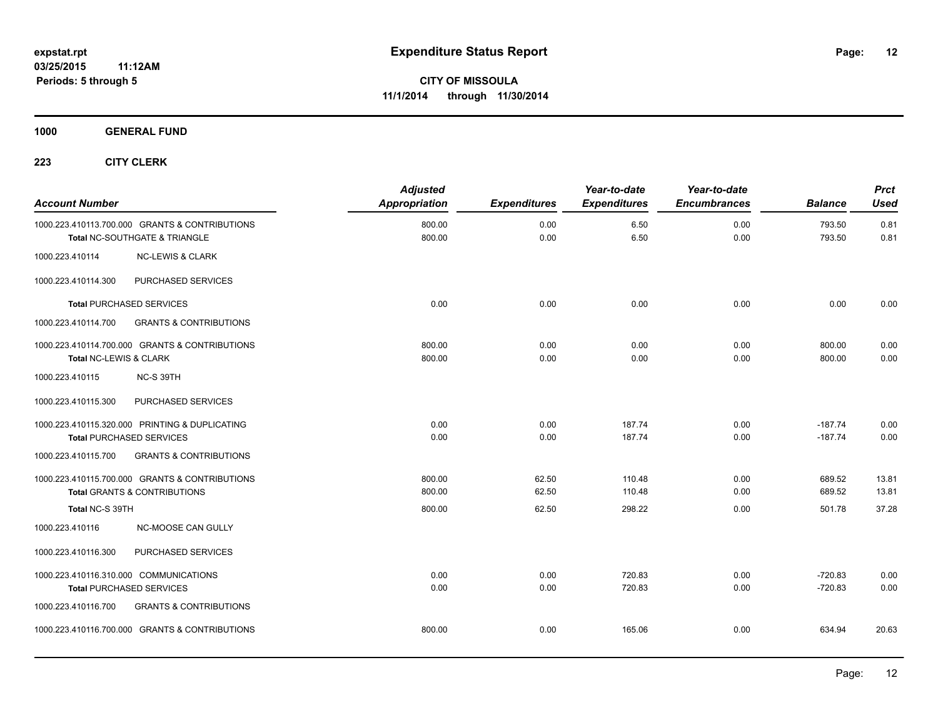**1000 GENERAL FUND**

| <b>Account Number</b>                                                           |                                   | <b>Adjusted</b><br><b>Appropriation</b> | <b>Expenditures</b> | Year-to-date<br><b>Expenditures</b> | Year-to-date<br><b>Encumbrances</b> | <b>Balance</b>         | <b>Prct</b><br><b>Used</b> |
|---------------------------------------------------------------------------------|-----------------------------------|-----------------------------------------|---------------------|-------------------------------------|-------------------------------------|------------------------|----------------------------|
| 1000.223.410113.700.000 GRANTS & CONTRIBUTIONS<br>Total NC-SOUTHGATE & TRIANGLE |                                   | 800.00<br>800.00                        | 0.00<br>0.00        | 6.50<br>6.50                        | 0.00<br>0.00                        | 793.50<br>793.50       | 0.81<br>0.81               |
| 1000.223.410114                                                                 | <b>NC-LEWIS &amp; CLARK</b>       |                                         |                     |                                     |                                     |                        |                            |
| 1000.223.410114.300                                                             | PURCHASED SERVICES                |                                         |                     |                                     |                                     |                        |                            |
| <b>Total PURCHASED SERVICES</b>                                                 |                                   | 0.00                                    | 0.00                | 0.00                                | 0.00                                | 0.00                   | 0.00                       |
| 1000.223.410114.700                                                             | <b>GRANTS &amp; CONTRIBUTIONS</b> |                                         |                     |                                     |                                     |                        |                            |
| 1000.223.410114.700.000 GRANTS & CONTRIBUTIONS<br>Total NC-LEWIS & CLARK        |                                   | 800.00<br>800.00                        | 0.00<br>0.00        | 0.00<br>0.00                        | 0.00<br>0.00                        | 800.00<br>800.00       | 0.00<br>0.00               |
| 1000.223.410115<br>NC-S 39TH                                                    |                                   |                                         |                     |                                     |                                     |                        |                            |
| 1000.223.410115.300                                                             | PURCHASED SERVICES                |                                         |                     |                                     |                                     |                        |                            |
| 1000.223.410115.320.000 PRINTING & DUPLICATING<br>Total PURCHASED SERVICES      |                                   | 0.00<br>0.00                            | 0.00<br>0.00        | 187.74<br>187.74                    | 0.00<br>0.00                        | $-187.74$<br>$-187.74$ | 0.00<br>0.00               |
| 1000.223.410115.700                                                             | <b>GRANTS &amp; CONTRIBUTIONS</b> |                                         |                     |                                     |                                     |                        |                            |
| 1000.223.410115.700.000 GRANTS & CONTRIBUTIONS<br>Total GRANTS & CONTRIBUTIONS  |                                   | 800.00<br>800.00                        | 62.50<br>62.50      | 110.48<br>110.48                    | 0.00<br>0.00                        | 689.52<br>689.52       | 13.81<br>13.81             |
| Total NC-S 39TH                                                                 |                                   | 800.00                                  | 62.50               | 298.22                              | 0.00                                | 501.78                 | 37.28                      |
| 1000.223.410116                                                                 | <b>NC-MOOSE CAN GULLY</b>         |                                         |                     |                                     |                                     |                        |                            |
| 1000.223.410116.300                                                             | PURCHASED SERVICES                |                                         |                     |                                     |                                     |                        |                            |
| 1000.223.410116.310.000 COMMUNICATIONS<br><b>Total PURCHASED SERVICES</b>       |                                   | 0.00<br>0.00                            | 0.00<br>0.00        | 720.83<br>720.83                    | 0.00<br>0.00                        | $-720.83$<br>$-720.83$ | 0.00<br>0.00               |
| 1000.223.410116.700                                                             | <b>GRANTS &amp; CONTRIBUTIONS</b> |                                         |                     |                                     |                                     |                        |                            |
| 1000.223.410116.700.000 GRANTS & CONTRIBUTIONS                                  |                                   | 800.00                                  | 0.00                | 165.06                              | 0.00                                | 634.94                 | 20.63                      |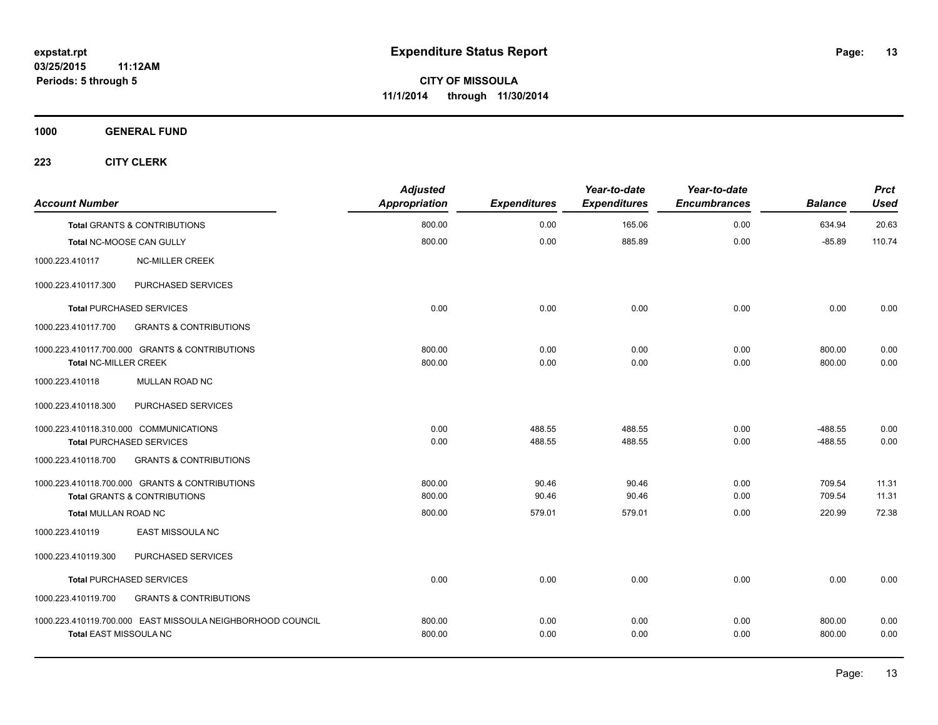**1000 GENERAL FUND**

| <b>Account Number</b>        |                                                                                           | <b>Adjusted</b><br>Appropriation | <b>Expenditures</b> | Year-to-date<br><b>Expenditures</b> | Year-to-date<br><b>Encumbrances</b> | <b>Balance</b>         | <b>Prct</b><br><b>Used</b> |
|------------------------------|-------------------------------------------------------------------------------------------|----------------------------------|---------------------|-------------------------------------|-------------------------------------|------------------------|----------------------------|
|                              | <b>Total GRANTS &amp; CONTRIBUTIONS</b>                                                   | 800.00                           | 0.00                | 165.06                              | 0.00                                | 634.94                 | 20.63                      |
|                              | Total NC-MOOSE CAN GULLY                                                                  | 800.00                           | 0.00                | 885.89                              | 0.00                                | $-85.89$               | 110.74                     |
| 1000.223.410117              | <b>NC-MILLER CREEK</b>                                                                    |                                  |                     |                                     |                                     |                        |                            |
| 1000.223.410117.300          | PURCHASED SERVICES                                                                        |                                  |                     |                                     |                                     |                        |                            |
|                              | <b>Total PURCHASED SERVICES</b>                                                           | 0.00                             | 0.00                | 0.00                                | 0.00                                | 0.00                   | 0.00                       |
| 1000.223.410117.700          | <b>GRANTS &amp; CONTRIBUTIONS</b>                                                         |                                  |                     |                                     |                                     |                        |                            |
| <b>Total NC-MILLER CREEK</b> | 1000.223.410117.700.000 GRANTS & CONTRIBUTIONS                                            | 800.00<br>800.00                 | 0.00<br>0.00        | 0.00<br>0.00                        | 0.00<br>0.00                        | 800.00<br>800.00       | 0.00<br>0.00               |
| 1000.223.410118              | MULLAN ROAD NC                                                                            |                                  |                     |                                     |                                     |                        |                            |
| 1000.223.410118.300          | <b>PURCHASED SERVICES</b>                                                                 |                                  |                     |                                     |                                     |                        |                            |
|                              | 1000.223.410118.310.000 COMMUNICATIONS<br><b>Total PURCHASED SERVICES</b>                 | 0.00<br>0.00                     | 488.55<br>488.55    | 488.55<br>488.55                    | 0.00<br>0.00                        | $-488.55$<br>$-488.55$ | 0.00<br>0.00               |
| 1000.223.410118.700          | <b>GRANTS &amp; CONTRIBUTIONS</b>                                                         |                                  |                     |                                     |                                     |                        |                            |
|                              | 1000.223.410118.700.000 GRANTS & CONTRIBUTIONS<br><b>Total GRANTS &amp; CONTRIBUTIONS</b> | 800.00<br>800.00                 | 90.46<br>90.46      | 90.46<br>90.46                      | 0.00<br>0.00                        | 709.54<br>709.54       | 11.31<br>11.31             |
| <b>Total MULLAN ROAD NC</b>  |                                                                                           | 800.00                           | 579.01              | 579.01                              | 0.00                                | 220.99                 | 72.38                      |
| 1000.223.410119              | EAST MISSOULA NC                                                                          |                                  |                     |                                     |                                     |                        |                            |
| 1000.223.410119.300          | PURCHASED SERVICES                                                                        |                                  |                     |                                     |                                     |                        |                            |
|                              | <b>Total PURCHASED SERVICES</b>                                                           | 0.00                             | 0.00                | 0.00                                | 0.00                                | 0.00                   | 0.00                       |
| 1000.223.410119.700          | <b>GRANTS &amp; CONTRIBUTIONS</b>                                                         |                                  |                     |                                     |                                     |                        |                            |
| Total EAST MISSOULA NC       | 1000.223.410119.700.000 EAST MISSOULA NEIGHBORHOOD COUNCIL                                | 800.00<br>800.00                 | 0.00<br>0.00        | 0.00<br>0.00                        | 0.00<br>0.00                        | 800.00<br>800.00       | 0.00<br>0.00               |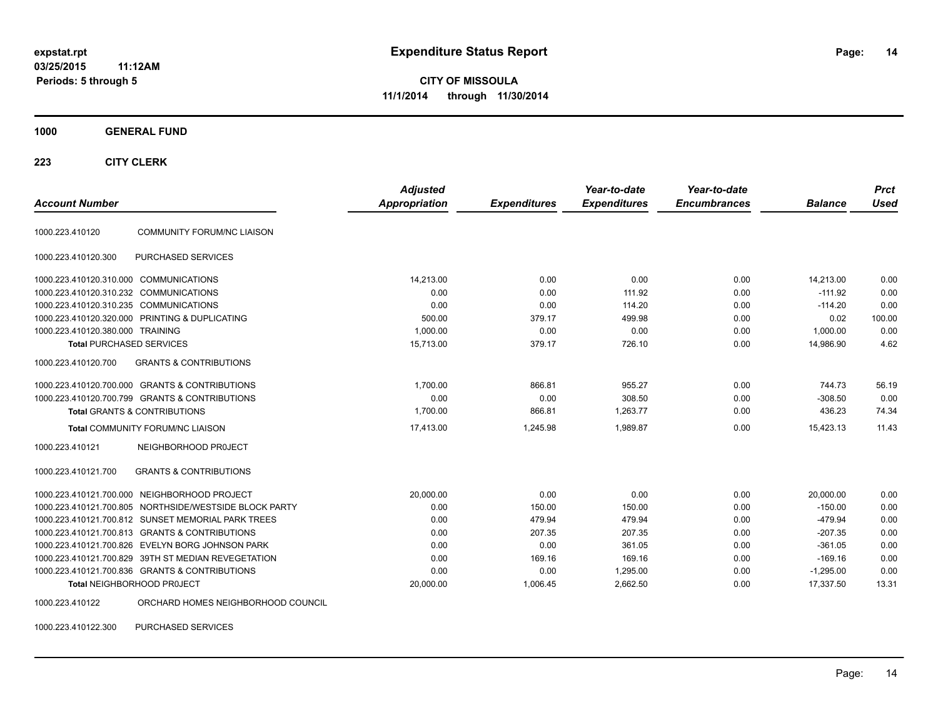**CITY OF MISSOULA 11/1/2014 through 11/30/2014**

#### **1000 GENERAL FUND**

#### **223 CITY CLERK**

| <b>Account Number</b>                  |                                                        | <b>Adjusted</b><br><b>Appropriation</b> | <b>Expenditures</b> | Year-to-date<br><b>Expenditures</b> | Year-to-date<br><b>Encumbrances</b> | <b>Balance</b> | <b>Prct</b><br><b>Used</b> |
|----------------------------------------|--------------------------------------------------------|-----------------------------------------|---------------------|-------------------------------------|-------------------------------------|----------------|----------------------------|
| 1000.223.410120                        | <b>COMMUNITY FORUM/NC LIAISON</b>                      |                                         |                     |                                     |                                     |                |                            |
| 1000.223.410120.300                    | <b>PURCHASED SERVICES</b>                              |                                         |                     |                                     |                                     |                |                            |
| 1000.223.410120.310.000 COMMUNICATIONS |                                                        | 14,213.00                               | 0.00                | 0.00                                | 0.00                                | 14,213.00      | 0.00                       |
| 1000.223.410120.310.232 COMMUNICATIONS |                                                        | 0.00                                    | 0.00                | 111.92                              | 0.00                                | $-111.92$      | 0.00                       |
| 1000.223.410120.310.235 COMMUNICATIONS |                                                        | 0.00                                    | 0.00                | 114.20                              | 0.00                                | $-114.20$      | 0.00                       |
|                                        | 1000.223.410120.320.000 PRINTING & DUPLICATING         | 500.00                                  | 379.17              | 499.98                              | 0.00                                | 0.02           | 100.00                     |
| 1000.223.410120.380.000 TRAINING       |                                                        | 1,000.00                                | 0.00                | 0.00                                | 0.00                                | 1,000.00       | 0.00                       |
| <b>Total PURCHASED SERVICES</b>        |                                                        | 15,713.00                               | 379.17              | 726.10                              | 0.00                                | 14,986.90      | 4.62                       |
| 1000.223.410120.700                    | <b>GRANTS &amp; CONTRIBUTIONS</b>                      |                                         |                     |                                     |                                     |                |                            |
|                                        | 1000.223.410120.700.000 GRANTS & CONTRIBUTIONS         | 1,700.00                                | 866.81              | 955.27                              | 0.00                                | 744.73         | 56.19                      |
|                                        | 1000.223.410120.700.799 GRANTS & CONTRIBUTIONS         | 0.00                                    | 0.00                | 308.50                              | 0.00                                | $-308.50$      | 0.00                       |
|                                        | <b>Total GRANTS &amp; CONTRIBUTIONS</b>                | 1,700.00                                | 866.81              | 1,263.77                            | 0.00                                | 436.23         | 74.34                      |
|                                        | <b>Total COMMUNITY FORUM/NC LIAISON</b>                | 17,413.00                               | 1.245.98            | 1.989.87                            | 0.00                                | 15.423.13      | 11.43                      |
| 1000.223.410121                        | NEIGHBORHOOD PROJECT                                   |                                         |                     |                                     |                                     |                |                            |
| 1000.223.410121.700                    | <b>GRANTS &amp; CONTRIBUTIONS</b>                      |                                         |                     |                                     |                                     |                |                            |
|                                        | 1000.223.410121.700.000 NEIGHBORHOOD PROJECT           | 20,000.00                               | 0.00                | 0.00                                | 0.00                                | 20,000.00      | 0.00                       |
|                                        | 1000.223.410121.700.805 NORTHSIDE/WESTSIDE BLOCK PARTY | 0.00                                    | 150.00              | 150.00                              | 0.00                                | $-150.00$      | 0.00                       |
|                                        | 1000.223.410121.700.812 SUNSET MEMORIAL PARK TREES     | 0.00                                    | 479.94              | 479.94                              | 0.00                                | $-479.94$      | 0.00                       |
|                                        | 1000.223.410121.700.813 GRANTS & CONTRIBUTIONS         | 0.00                                    | 207.35              | 207.35                              | 0.00                                | $-207.35$      | 0.00                       |
|                                        | 1000.223.410121.700.826 EVELYN BORG JOHNSON PARK       | 0.00                                    | 0.00                | 361.05                              | 0.00                                | $-361.05$      | 0.00                       |
|                                        | 1000.223.410121.700.829 39TH ST MEDIAN REVEGETATION    | 0.00                                    | 169.16              | 169.16                              | 0.00                                | $-169.16$      | 0.00                       |
|                                        | 1000.223.410121.700.836 GRANTS & CONTRIBUTIONS         | 0.00                                    | 0.00                | 1,295.00                            | 0.00                                | $-1,295.00$    | 0.00                       |
|                                        | Total NEIGHBORHOOD PROJECT                             | 20,000.00                               | 1,006.45            | 2,662.50                            | 0.00                                | 17,337.50      | 13.31                      |
| 1000.223.410122                        | ORCHARD HOMES NEIGHBORHOOD COUNCIL                     |                                         |                     |                                     |                                     |                |                            |

1000.223.410122.300 PURCHASED SERVICES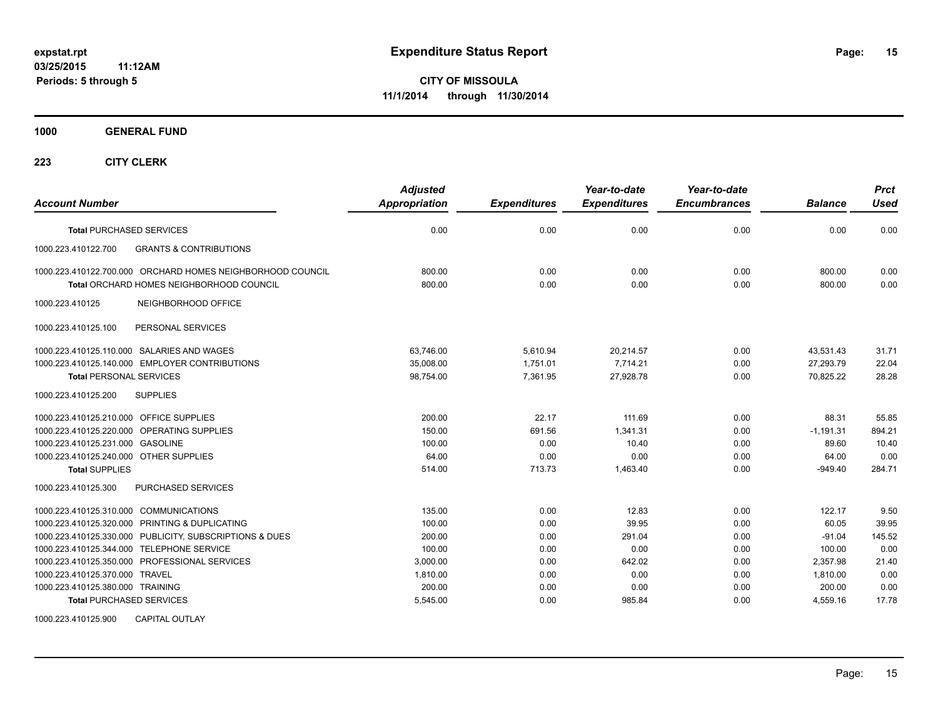**1000 GENERAL FUND**

**223 CITY CLERK**

| <b>Account Number</b>                                      | <b>Adjusted</b><br><b>Appropriation</b> | <b>Expenditures</b> | Year-to-date<br><b>Expenditures</b> | Year-to-date<br><b>Encumbrances</b> | <b>Balance</b> | <b>Prct</b><br><b>Used</b> |
|------------------------------------------------------------|-----------------------------------------|---------------------|-------------------------------------|-------------------------------------|----------------|----------------------------|
| <b>Total PURCHASED SERVICES</b>                            | 0.00                                    | 0.00                | 0.00                                | 0.00                                | 0.00           | 0.00                       |
| <b>GRANTS &amp; CONTRIBUTIONS</b><br>1000.223.410122.700   |                                         |                     |                                     |                                     |                |                            |
| 1000.223.410122.700.000 ORCHARD HOMES NEIGHBORHOOD COUNCIL | 800.00                                  | 0.00                | 0.00                                | 0.00                                | 800.00         | 0.00                       |
| <b>Total ORCHARD HOMES NEIGHBORHOOD COUNCIL</b>            | 800.00                                  | 0.00                | 0.00                                | 0.00                                | 800.00         | 0.00                       |
| 1000.223.410125<br>NEIGHBORHOOD OFFICE                     |                                         |                     |                                     |                                     |                |                            |
| 1000.223.410125.100<br>PERSONAL SERVICES                   |                                         |                     |                                     |                                     |                |                            |
| 1000.223.410125.110.000 SALARIES AND WAGES                 | 63,746.00                               | 5,610.94            | 20,214.57                           | 0.00                                | 43,531.43      | 31.71                      |
| 1000.223.410125.140.000 EMPLOYER CONTRIBUTIONS             | 35.008.00                               | 1.751.01            | 7.714.21                            | 0.00                                | 27.293.79      | 22.04                      |
| <b>Total PERSONAL SERVICES</b>                             | 98,754.00                               | 7,361.95            | 27,928.78                           | 0.00                                | 70.825.22      | 28.28                      |
| 1000.223.410125.200<br><b>SUPPLIES</b>                     |                                         |                     |                                     |                                     |                |                            |
| 1000.223.410125.210.000 OFFICE SUPPLIES                    | 200.00                                  | 22.17               | 111.69                              | 0.00                                | 88.31          | 55.85                      |
| 1000.223.410125.220.000 OPERATING SUPPLIES                 | 150.00                                  | 691.56              | 1,341.31                            | 0.00                                | $-1,191.31$    | 894.21                     |
| 1000.223.410125.231.000 GASOLINE                           | 100.00                                  | 0.00                | 10.40                               | 0.00                                | 89.60          | 10.40                      |
| 1000.223.410125.240.000 OTHER SUPPLIES                     | 64.00                                   | 0.00                | 0.00                                | 0.00                                | 64.00          | 0.00                       |
| <b>Total SUPPLIES</b>                                      | 514.00                                  | 713.73              | 1,463.40                            | 0.00                                | $-949.40$      | 284.71                     |
| 1000.223.410125.300<br>PURCHASED SERVICES                  |                                         |                     |                                     |                                     |                |                            |
| 1000.223.410125.310.000 COMMUNICATIONS                     | 135.00                                  | 0.00                | 12.83                               | 0.00                                | 122.17         | 9.50                       |
| 1000.223.410125.320.000 PRINTING & DUPLICATING             | 100.00                                  | 0.00                | 39.95                               | 0.00                                | 60.05          | 39.95                      |
| 1000.223.410125.330.000 PUBLICITY, SUBSCRIPTIONS & DUES    | 200.00                                  | 0.00                | 291.04                              | 0.00                                | $-91.04$       | 145.52                     |
| 1000.223.410125.344.000 TELEPHONE SERVICE                  | 100.00                                  | 0.00                | 0.00                                | 0.00                                | 100.00         | 0.00                       |
| 1000.223.410125.350.000 PROFESSIONAL SERVICES              | 3,000.00                                | 0.00                | 642.02                              | 0.00                                | 2,357.98       | 21.40                      |
| 1000.223.410125.370.000 TRAVEL                             | 1,810.00                                | 0.00                | 0.00                                | 0.00                                | 1,810.00       | 0.00                       |
| 1000.223.410125.380.000 TRAINING                           | 200.00                                  | 0.00                | 0.00                                | 0.00                                | 200.00         | 0.00                       |
| <b>Total PURCHASED SERVICES</b>                            | 5,545.00                                | 0.00                | 985.84                              | 0.00                                | 4,559.16       | 17.78                      |
|                                                            |                                         |                     |                                     |                                     |                |                            |

1000.223.410125.900 CAPITAL OUTLAY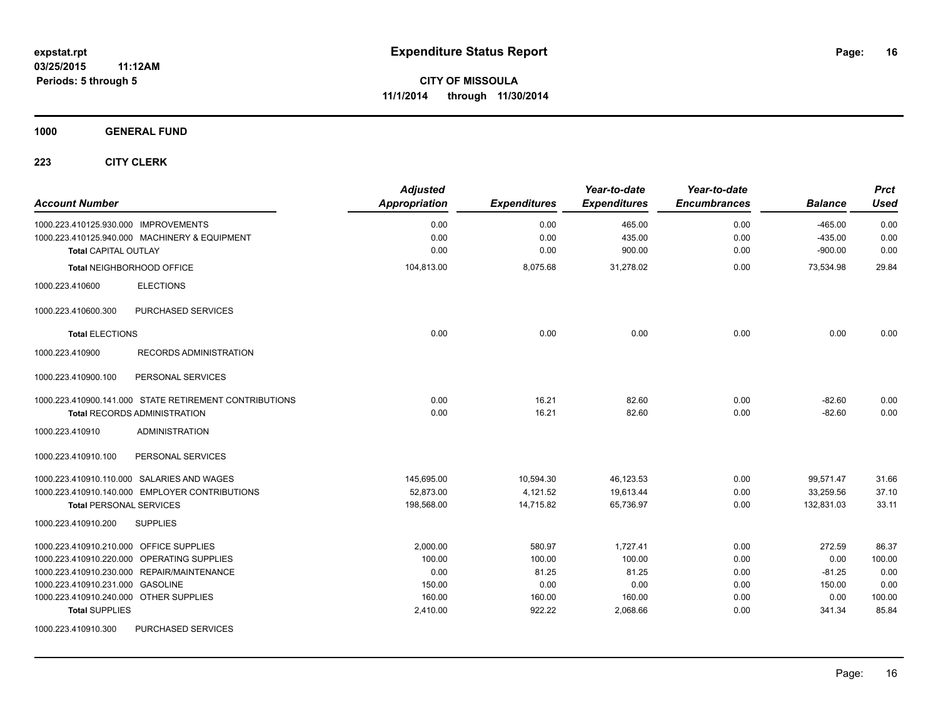**1000 GENERAL FUND**

| <b>Account Number</b>                                  | <b>Adjusted</b><br><b>Appropriation</b> | <b>Expenditures</b> | Year-to-date<br><b>Expenditures</b> | Year-to-date<br><b>Encumbrances</b> | <b>Balance</b> | <b>Prct</b><br><b>Used</b> |
|--------------------------------------------------------|-----------------------------------------|---------------------|-------------------------------------|-------------------------------------|----------------|----------------------------|
| 1000.223.410125.930.000 IMPROVEMENTS                   | 0.00                                    | 0.00                | 465.00                              | 0.00                                | $-465.00$      | 0.00                       |
| 1000.223.410125.940.000 MACHINERY & EQUIPMENT          | 0.00                                    | 0.00                | 435.00                              | 0.00                                | $-435.00$      | 0.00                       |
| <b>Total CAPITAL OUTLAY</b>                            | 0.00                                    | 0.00                | 900.00                              | 0.00                                | $-900.00$      | 0.00                       |
| Total NEIGHBORHOOD OFFICE                              | 104,813.00                              | 8,075.68            | 31,278.02                           | 0.00                                | 73,534.98      | 29.84                      |
| 1000.223.410600<br><b>ELECTIONS</b>                    |                                         |                     |                                     |                                     |                |                            |
| PURCHASED SERVICES<br>1000.223.410600.300              |                                         |                     |                                     |                                     |                |                            |
| <b>Total ELECTIONS</b>                                 | 0.00                                    | 0.00                | 0.00                                | 0.00                                | 0.00           | 0.00                       |
| RECORDS ADMINISTRATION<br>1000.223.410900              |                                         |                     |                                     |                                     |                |                            |
| 1000.223.410900.100<br>PERSONAL SERVICES               |                                         |                     |                                     |                                     |                |                            |
| 1000.223.410900.141.000 STATE RETIREMENT CONTRIBUTIONS | 0.00                                    | 16.21               | 82.60                               | 0.00                                | $-82.60$       | 0.00                       |
| <b>Total RECORDS ADMINISTRATION</b>                    | 0.00                                    | 16.21               | 82.60                               | 0.00                                | $-82.60$       | 0.00                       |
| <b>ADMINISTRATION</b><br>1000.223.410910               |                                         |                     |                                     |                                     |                |                            |
| 1000.223.410910.100<br>PERSONAL SERVICES               |                                         |                     |                                     |                                     |                |                            |
| 1000.223.410910.110.000 SALARIES AND WAGES             | 145,695.00                              | 10,594.30           | 46,123.53                           | 0.00                                | 99,571.47      | 31.66                      |
| 1000.223.410910.140.000 EMPLOYER CONTRIBUTIONS         | 52,873.00                               | 4,121.52            | 19,613.44                           | 0.00                                | 33,259.56      | 37.10                      |
| <b>Total PERSONAL SERVICES</b>                         | 198,568.00                              | 14,715.82           | 65,736.97                           | 0.00                                | 132,831.03     | 33.11                      |
| 1000.223.410910.200<br><b>SUPPLIES</b>                 |                                         |                     |                                     |                                     |                |                            |
| 1000.223.410910.210.000 OFFICE SUPPLIES                | 2,000.00                                | 580.97              | 1,727.41                            | 0.00                                | 272.59         | 86.37                      |
| 1000.223.410910.220.000 OPERATING SUPPLIES             | 100.00                                  | 100.00              | 100.00                              | 0.00                                | 0.00           | 100.00                     |
| 1000.223.410910.230.000 REPAIR/MAINTENANCE             | 0.00                                    | 81.25               | 81.25                               | 0.00                                | $-81.25$       | 0.00                       |
| 1000.223.410910.231.000 GASOLINE                       | 150.00                                  | 0.00                | 0.00                                | 0.00                                | 150.00         | 0.00                       |
| 1000.223.410910.240.000 OTHER SUPPLIES                 | 160.00                                  | 160.00              | 160.00                              | 0.00                                | 0.00           | 100.00                     |
| <b>Total SUPPLIES</b>                                  | 2,410.00                                | 922.22              | 2,068.66                            | 0.00                                | 341.34         | 85.84                      |
| 1000.223.410910.300<br>PURCHASED SERVICES              |                                         |                     |                                     |                                     |                |                            |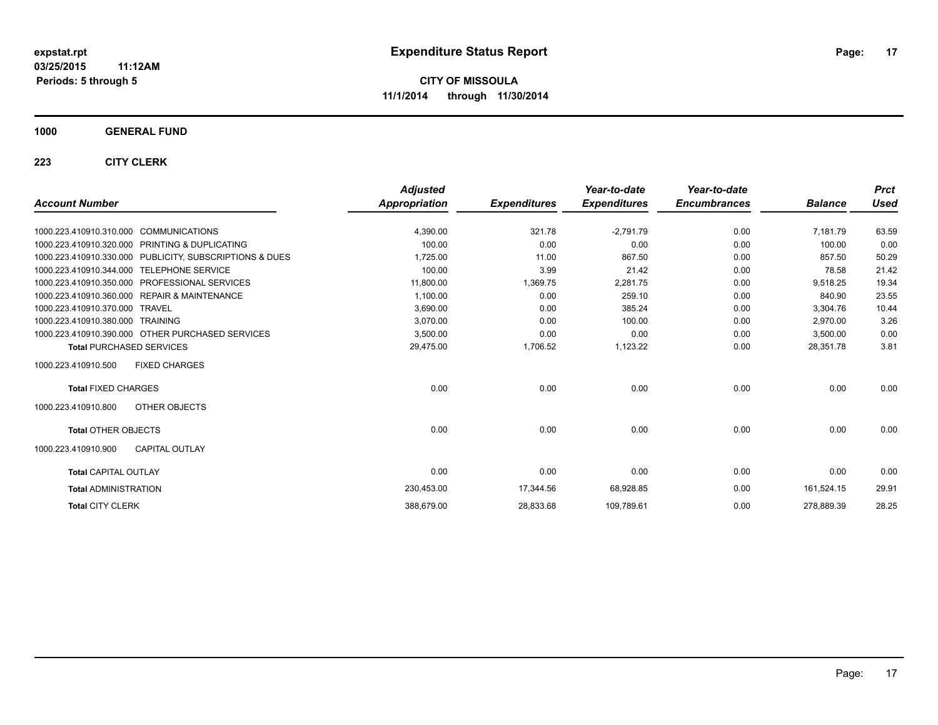**1000 GENERAL FUND**

|                                                         | <b>Adjusted</b>      |                     | Year-to-date        | Year-to-date        |                | <b>Prct</b> |
|---------------------------------------------------------|----------------------|---------------------|---------------------|---------------------|----------------|-------------|
| <b>Account Number</b>                                   | <b>Appropriation</b> | <b>Expenditures</b> | <b>Expenditures</b> | <b>Encumbrances</b> | <b>Balance</b> | Used        |
| 1000.223.410910.310.000 COMMUNICATIONS                  | 4,390.00             | 321.78              | $-2.791.79$         | 0.00                | 7.181.79       | 63.59       |
| 1000.223.410910.320.000 PRINTING & DUPLICATING          | 100.00               | 0.00                | 0.00                | 0.00                | 100.00         | 0.00        |
| 1000.223.410910.330.000 PUBLICITY, SUBSCRIPTIONS & DUES | 1,725.00             | 11.00               | 867.50              | 0.00                | 857.50         | 50.29       |
| 1000.223.410910.344.000<br><b>TELEPHONE SERVICE</b>     | 100.00               | 3.99                | 21.42               | 0.00                | 78.58          | 21.42       |
| 1000.223.410910.350.000 PROFESSIONAL SERVICES           | 11,800.00            | 1,369.75            | 2,281.75            | 0.00                | 9.518.25       | 19.34       |
| 1000.223.410910.360.000 REPAIR & MAINTENANCE            | 1,100.00             | 0.00                | 259.10              | 0.00                | 840.90         | 23.55       |
| 1000.223.410910.370.000 TRAVEL                          | 3,690.00             | 0.00                | 385.24              | 0.00                | 3,304.76       | 10.44       |
| 1000.223.410910.380.000 TRAINING                        | 3,070.00             | 0.00                | 100.00              | 0.00                | 2.970.00       | 3.26        |
| 1000.223.410910.390.000 OTHER PURCHASED SERVICES        | 3,500.00             | 0.00                | 0.00                | 0.00                | 3,500.00       | 0.00        |
| <b>Total PURCHASED SERVICES</b>                         | 29,475.00            | 1,706.52            | 1,123.22            | 0.00                | 28,351.78      | 3.81        |
| 1000.223.410910.500<br><b>FIXED CHARGES</b>             |                      |                     |                     |                     |                |             |
| <b>Total FIXED CHARGES</b>                              | 0.00                 | 0.00                | 0.00                | 0.00                | 0.00           | 0.00        |
| OTHER OBJECTS<br>1000.223.410910.800                    |                      |                     |                     |                     |                |             |
| <b>Total OTHER OBJECTS</b>                              | 0.00                 | 0.00                | 0.00                | 0.00                | 0.00           | 0.00        |
| 1000.223.410910.900<br><b>CAPITAL OUTLAY</b>            |                      |                     |                     |                     |                |             |
| <b>Total CAPITAL OUTLAY</b>                             | 0.00                 | 0.00                | 0.00                | 0.00                | 0.00           | 0.00        |
| <b>Total ADMINISTRATION</b>                             | 230,453.00           | 17,344.56           | 68,928.85           | 0.00                | 161,524.15     | 29.91       |
| <b>Total CITY CLERK</b>                                 | 388,679.00           | 28,833.68           | 109,789.61          | 0.00                | 278,889.39     | 28.25       |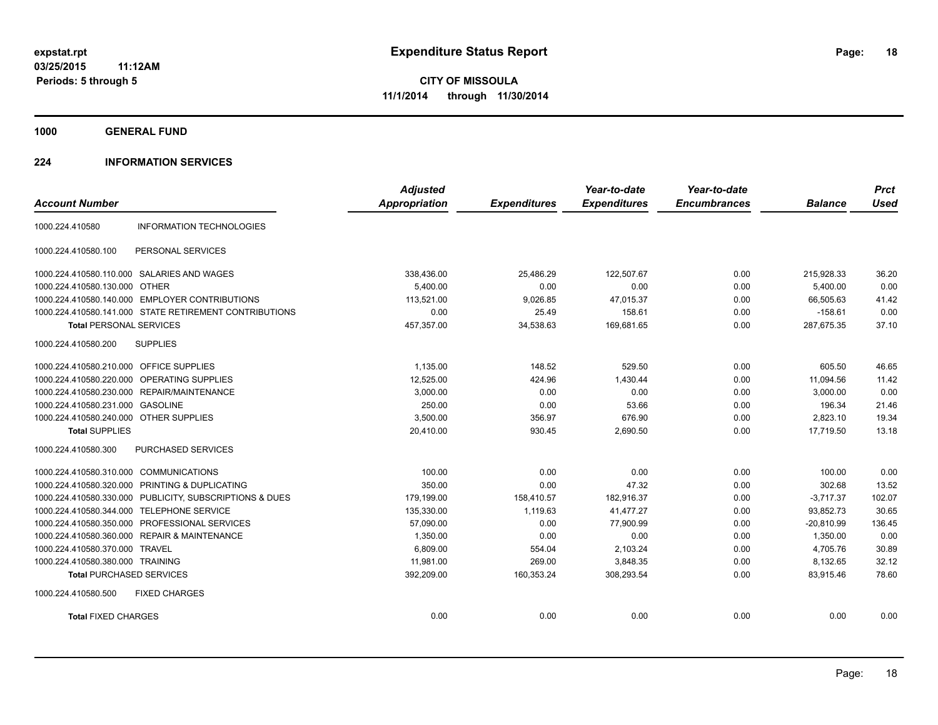**1000 GENERAL FUND**

#### **224 INFORMATION SERVICES**

|                                         |                                                        | <b>Adjusted</b>      |                     | Year-to-date        | Year-to-date        |                | <b>Prct</b> |
|-----------------------------------------|--------------------------------------------------------|----------------------|---------------------|---------------------|---------------------|----------------|-------------|
| <b>Account Number</b>                   |                                                        | <b>Appropriation</b> | <b>Expenditures</b> | <b>Expenditures</b> | <b>Encumbrances</b> | <b>Balance</b> | <b>Used</b> |
| 1000.224.410580                         | <b>INFORMATION TECHNOLOGIES</b>                        |                      |                     |                     |                     |                |             |
| 1000.224.410580.100                     | PERSONAL SERVICES                                      |                      |                     |                     |                     |                |             |
|                                         | 1000.224.410580.110.000 SALARIES AND WAGES             | 338,436.00           | 25,486.29           | 122,507.67          | 0.00                | 215,928.33     | 36.20       |
| 1000.224.410580.130.000 OTHER           |                                                        | 5.400.00             | 0.00                | 0.00                | 0.00                | 5,400.00       | 0.00        |
|                                         | 1000.224.410580.140.000 EMPLOYER CONTRIBUTIONS         | 113.521.00           | 9,026.85            | 47.015.37           | 0.00                | 66.505.63      | 41.42       |
|                                         | 1000.224.410580.141.000 STATE RETIREMENT CONTRIBUTIONS | 0.00                 | 25.49               | 158.61              | 0.00                | $-158.61$      | 0.00        |
| <b>Total PERSONAL SERVICES</b>          |                                                        | 457,357.00           | 34,538.63           | 169,681.65          | 0.00                | 287,675.35     | 37.10       |
| 1000.224.410580.200                     | <b>SUPPLIES</b>                                        |                      |                     |                     |                     |                |             |
| 1000.224.410580.210.000 OFFICE SUPPLIES |                                                        | 1,135.00             | 148.52              | 529.50              | 0.00                | 605.50         | 46.65       |
| 1000.224.410580.220.000                 | OPERATING SUPPLIES                                     | 12,525.00            | 424.96              | 1,430.44            | 0.00                | 11,094.56      | 11.42       |
|                                         | 1000.224.410580.230.000 REPAIR/MAINTENANCE             | 3,000.00             | 0.00                | 0.00                | 0.00                | 3,000.00       | 0.00        |
| 1000.224.410580.231.000                 | <b>GASOLINE</b>                                        | 250.00               | 0.00                | 53.66               | 0.00                | 196.34         | 21.46       |
| 1000.224.410580.240.000 OTHER SUPPLIES  |                                                        | 3,500.00             | 356.97              | 676.90              | 0.00                | 2.823.10       | 19.34       |
| <b>Total SUPPLIES</b>                   |                                                        | 20,410.00            | 930.45              | 2,690.50            | 0.00                | 17,719.50      | 13.18       |
| 1000.224.410580.300                     | PURCHASED SERVICES                                     |                      |                     |                     |                     |                |             |
| 1000.224.410580.310.000                 | <b>COMMUNICATIONS</b>                                  | 100.00               | 0.00                | 0.00                | 0.00                | 100.00         | 0.00        |
| 1000.224.410580.320.000                 | PRINTING & DUPLICATING                                 | 350.00               | 0.00                | 47.32               | 0.00                | 302.68         | 13.52       |
| 1000.224.410580.330.000                 | PUBLICITY, SUBSCRIPTIONS & DUES                        | 179,199.00           | 158,410.57          | 182,916.37          | 0.00                | $-3,717.37$    | 102.07      |
| 1000.224.410580.344.000                 | <b>TELEPHONE SERVICE</b>                               | 135,330.00           | 1,119.63            | 41,477.27           | 0.00                | 93,852.73      | 30.65       |
| 1000.224.410580.350.000                 | PROFESSIONAL SERVICES                                  | 57,090.00            | 0.00                | 77,900.99           | 0.00                | $-20,810.99$   | 136.45      |
| 1000.224.410580.360.000                 | <b>REPAIR &amp; MAINTENANCE</b>                        | 1.350.00             | 0.00                | 0.00                | 0.00                | 1.350.00       | 0.00        |
| 1000.224.410580.370.000                 | <b>TRAVEL</b>                                          | 6,809.00             | 554.04              | 2,103.24            | 0.00                | 4,705.76       | 30.89       |
| 1000.224.410580.380.000 TRAINING        |                                                        | 11,981.00            | 269.00              | 3,848.35            | 0.00                | 8,132.65       | 32.12       |
| <b>Total PURCHASED SERVICES</b>         |                                                        | 392,209.00           | 160,353.24          | 308,293.54          | 0.00                | 83,915.46      | 78.60       |
| 1000.224.410580.500                     | <b>FIXED CHARGES</b>                                   |                      |                     |                     |                     |                |             |
| <b>Total FIXED CHARGES</b>              |                                                        | 0.00                 | 0.00                | 0.00                | 0.00                | 0.00           | 0.00        |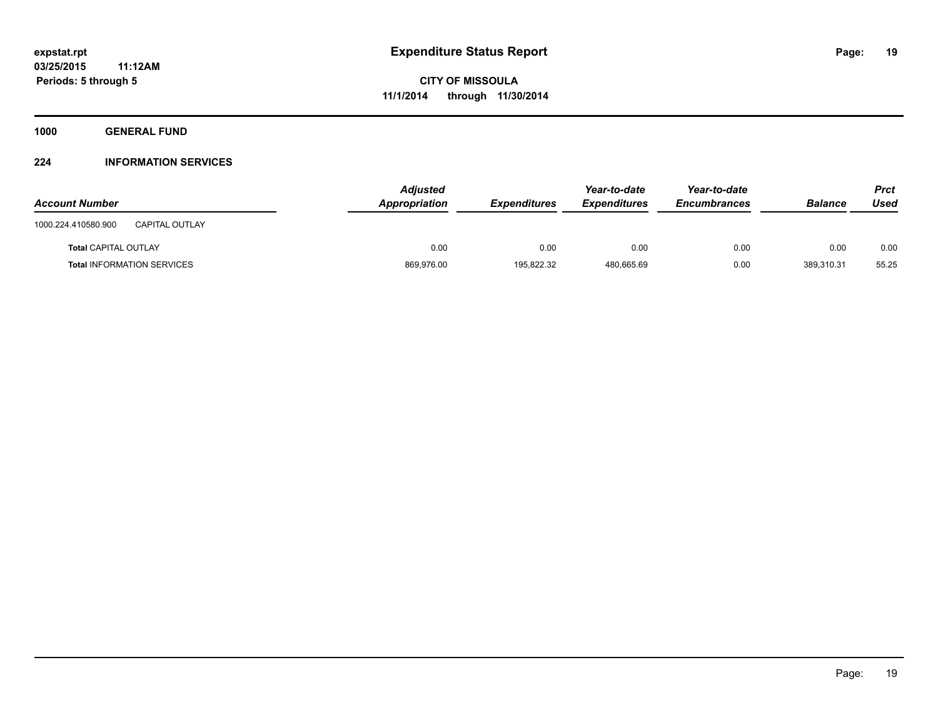**1000 GENERAL FUND**

#### **224 INFORMATION SERVICES**

| <b>Account Number</b>                        | <b>Adjusted</b><br>Appropriation | <b>Expenditures</b> | Year-to-date<br><b>Expenditures</b> | Year-to-date<br><b>Encumbrances</b> | <b>Balance</b> | Prct<br>Used |
|----------------------------------------------|----------------------------------|---------------------|-------------------------------------|-------------------------------------|----------------|--------------|
| 1000.224.410580.900<br><b>CAPITAL OUTLAY</b> |                                  |                     |                                     |                                     |                |              |
| <b>Total CAPITAL OUTLAY</b>                  | 0.00                             | 0.00                | 0.00                                | 0.00                                | 0.00           | 0.00         |
| <b>Total INFORMATION SERVICES</b>            | 869,976.00                       | 195.822.32          | 480.665.69                          | 0.00                                | 389.310.31     | 55.25        |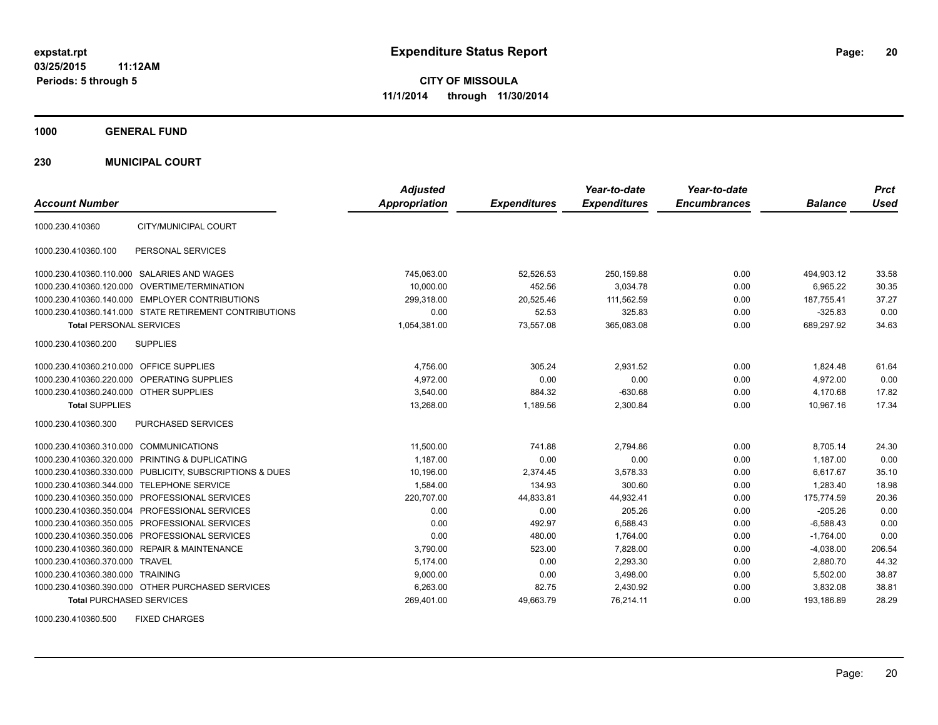**1000 GENERAL FUND**

**230 MUNICIPAL COURT**

| <b>Account Number</b>                   |                                                         | <b>Adjusted</b><br><b>Appropriation</b> | <b>Expenditures</b> | Year-to-date<br><b>Expenditures</b> | Year-to-date<br><b>Encumbrances</b> | <b>Balance</b> | <b>Prct</b><br><b>Used</b> |
|-----------------------------------------|---------------------------------------------------------|-----------------------------------------|---------------------|-------------------------------------|-------------------------------------|----------------|----------------------------|
| 1000.230.410360                         | CITY/MUNICIPAL COURT                                    |                                         |                     |                                     |                                     |                |                            |
| 1000.230.410360.100                     | PERSONAL SERVICES                                       |                                         |                     |                                     |                                     |                |                            |
|                                         | 1000.230.410360.110.000 SALARIES AND WAGES              | 745,063.00                              | 52,526.53           | 250,159.88                          | 0.00                                | 494,903.12     | 33.58                      |
|                                         | 1000.230.410360.120.000 OVERTIME/TERMINATION            | 10.000.00                               | 452.56              | 3.034.78                            | 0.00                                | 6.965.22       | 30.35                      |
|                                         | 1000.230.410360.140.000 EMPLOYER CONTRIBUTIONS          | 299,318.00                              | 20,525.46           | 111,562.59                          | 0.00                                | 187,755.41     | 37.27                      |
|                                         | 1000.230.410360.141.000 STATE RETIREMENT CONTRIBUTIONS  | 0.00                                    | 52.53               | 325.83                              | 0.00                                | $-325.83$      | 0.00                       |
| <b>Total PERSONAL SERVICES</b>          |                                                         | 1,054,381.00                            | 73,557.08           | 365,083.08                          | 0.00                                | 689,297.92     | 34.63                      |
| 1000.230.410360.200                     | <b>SUPPLIES</b>                                         |                                         |                     |                                     |                                     |                |                            |
| 1000.230.410360.210.000 OFFICE SUPPLIES |                                                         | 4,756.00                                | 305.24              | 2,931.52                            | 0.00                                | 1,824.48       | 61.64                      |
|                                         | 1000.230.410360.220.000 OPERATING SUPPLIES              | 4.972.00                                | 0.00                | 0.00                                | 0.00                                | 4,972.00       | 0.00                       |
| 1000.230.410360.240.000 OTHER SUPPLIES  |                                                         | 3.540.00                                | 884.32              | $-630.68$                           | 0.00                                | 4.170.68       | 17.82                      |
| <b>Total SUPPLIES</b>                   |                                                         | 13,268.00                               | 1,189.56            | 2,300.84                            | 0.00                                | 10,967.16      | 17.34                      |
| 1000.230.410360.300                     | PURCHASED SERVICES                                      |                                         |                     |                                     |                                     |                |                            |
| 1000.230.410360.310.000 COMMUNICATIONS  |                                                         | 11,500.00                               | 741.88              | 2,794.86                            | 0.00                                | 8,705.14       | 24.30                      |
|                                         | 1000.230.410360.320.000 PRINTING & DUPLICATING          | 1,187.00                                | 0.00                | 0.00                                | 0.00                                | 1,187.00       | 0.00                       |
|                                         | 1000.230.410360.330.000 PUBLICITY, SUBSCRIPTIONS & DUES | 10,196.00                               | 2,374.45            | 3,578.33                            | 0.00                                | 6,617.67       | 35.10                      |
|                                         | 1000.230.410360.344.000 TELEPHONE SERVICE               | 1,584.00                                | 134.93              | 300.60                              | 0.00                                | 1.283.40       | 18.98                      |
|                                         | 1000.230.410360.350.000 PROFESSIONAL SERVICES           | 220,707.00                              | 44,833.81           | 44,932.41                           | 0.00                                | 175,774.59     | 20.36                      |
|                                         | 1000.230.410360.350.004 PROFESSIONAL SERVICES           | 0.00                                    | 0.00                | 205.26                              | 0.00                                | $-205.26$      | 0.00                       |
|                                         | 1000.230.410360.350.005 PROFESSIONAL SERVICES           | 0.00                                    | 492.97              | 6,588.43                            | 0.00                                | $-6,588.43$    | 0.00                       |
|                                         | 1000.230.410360.350.006 PROFESSIONAL SERVICES           | 0.00                                    | 480.00              | 1.764.00                            | 0.00                                | $-1,764.00$    | 0.00                       |
|                                         | 1000.230.410360.360.000 REPAIR & MAINTENANCE            | 3,790.00                                | 523.00              | 7,828.00                            | 0.00                                | $-4,038.00$    | 206.54                     |
| 1000.230.410360.370.000 TRAVEL          |                                                         | 5.174.00                                | 0.00                | 2,293.30                            | 0.00                                | 2,880.70       | 44.32                      |
| 1000.230.410360.380.000 TRAINING        |                                                         | 9,000.00                                | 0.00                | 3,498.00                            | 0.00                                | 5,502.00       | 38.87                      |
|                                         | 1000.230.410360.390.000 OTHER PURCHASED SERVICES        | 6,263.00                                | 82.75               | 2,430.92                            | 0.00                                | 3,832.08       | 38.81                      |
| <b>Total PURCHASED SERVICES</b>         |                                                         | 269,401.00                              | 49,663.79           | 76,214.11                           | 0.00                                | 193,186.89     | 28.29                      |

1000.230.410360.500 FIXED CHARGES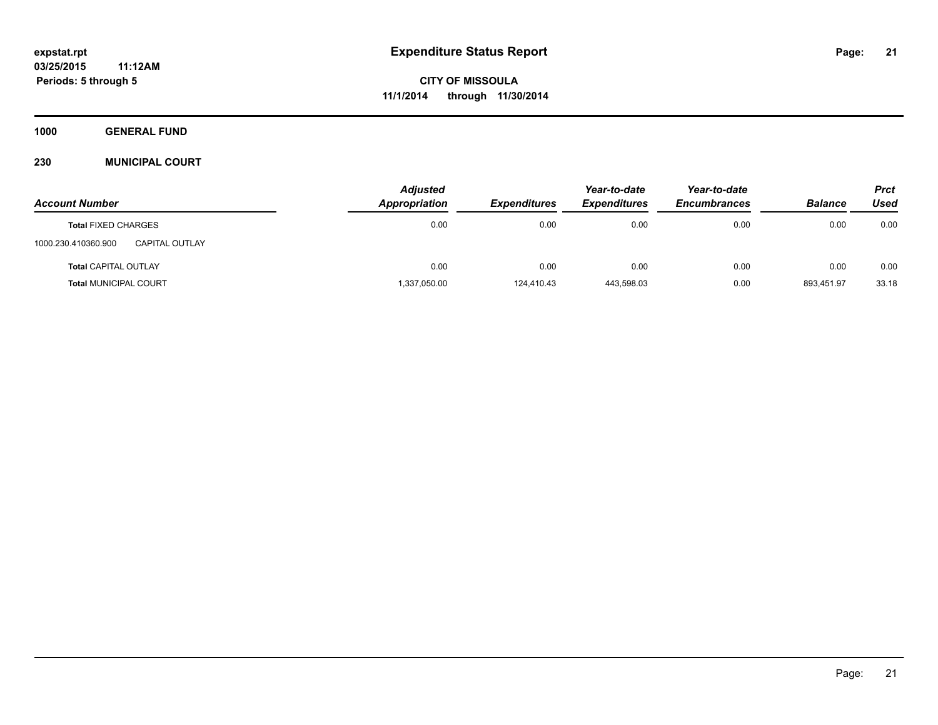**1000 GENERAL FUND**

#### **230 MUNICIPAL COURT**

|                                              | <b>Adjusted</b> |                     | Year-to-date        | Year-to-date        |                | <b>Prct</b> |
|----------------------------------------------|-----------------|---------------------|---------------------|---------------------|----------------|-------------|
| <b>Account Number</b>                        | Appropriation   | <b>Expenditures</b> | <b>Expenditures</b> | <b>Encumbrances</b> | <b>Balance</b> | Used        |
| <b>Total FIXED CHARGES</b>                   | 0.00            | 0.00                | 0.00                | 0.00                | 0.00           | 0.00        |
| 1000.230.410360.900<br><b>CAPITAL OUTLAY</b> |                 |                     |                     |                     |                |             |
| <b>Total CAPITAL OUTLAY</b>                  | 0.00            | 0.00                | 0.00                | 0.00                | 0.00           | 0.00        |
| <b>Total MUNICIPAL COURT</b>                 | 1,337,050.00    | 124,410.43          | 443,598.03          | 0.00                | 893,451.97     | 33.18       |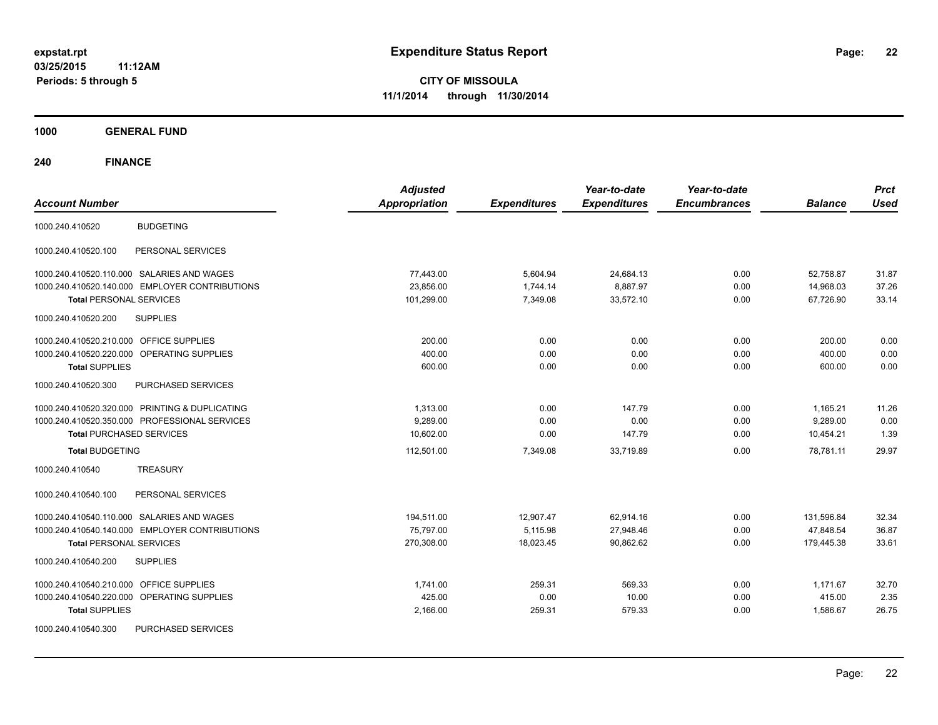**CITY OF MISSOULA 11/1/2014 through 11/30/2014**

**1000 GENERAL FUND**

| <b>Account Number</b>                                | <b>Adjusted</b><br><b>Appropriation</b> | <b>Expenditures</b> | Year-to-date<br><b>Expenditures</b> | Year-to-date<br><b>Encumbrances</b> | <b>Balance</b> | <b>Prct</b><br><b>Used</b> |
|------------------------------------------------------|-----------------------------------------|---------------------|-------------------------------------|-------------------------------------|----------------|----------------------------|
| <b>BUDGETING</b><br>1000.240.410520                  |                                         |                     |                                     |                                     |                |                            |
| PERSONAL SERVICES<br>1000.240.410520.100             |                                         |                     |                                     |                                     |                |                            |
| 1000.240.410520.110.000 SALARIES AND WAGES           | 77,443.00                               | 5,604.94            | 24,684.13                           | 0.00                                | 52,758.87      | 31.87                      |
| 1000.240.410520.140.000 EMPLOYER CONTRIBUTIONS       | 23,856.00                               | 1,744.14            | 8,887.97                            | 0.00                                | 14,968.03      | 37.26                      |
| <b>Total PERSONAL SERVICES</b>                       | 101,299.00                              | 7,349.08            | 33,572.10                           | 0.00                                | 67.726.90      | 33.14                      |
| 1000.240.410520.200<br><b>SUPPLIES</b>               |                                         |                     |                                     |                                     |                |                            |
| 1000.240.410520.210.000 OFFICE SUPPLIES              | 200.00                                  | 0.00                | 0.00                                | 0.00                                | 200.00         | 0.00                       |
| 1000.240.410520.220.000 OPERATING SUPPLIES           | 400.00                                  | 0.00                | 0.00                                | 0.00                                | 400.00         | 0.00                       |
| <b>Total SUPPLIES</b>                                | 600.00                                  | 0.00                | 0.00                                | 0.00                                | 600.00         | 0.00                       |
| 1000.240.410520.300<br><b>PURCHASED SERVICES</b>     |                                         |                     |                                     |                                     |                |                            |
| 1000.240.410520.320.000 PRINTING & DUPLICATING       | 1,313.00                                | 0.00                | 147.79                              | 0.00                                | 1,165.21       | 11.26                      |
| 1000.240.410520.350.000 PROFESSIONAL SERVICES        | 9.289.00                                | 0.00                | 0.00                                | 0.00                                | 9.289.00       | 0.00                       |
| <b>Total PURCHASED SERVICES</b>                      | 10,602.00                               | 0.00                | 147.79                              | 0.00                                | 10,454.21      | 1.39                       |
| <b>Total BUDGETING</b>                               | 112,501.00                              | 7,349.08            | 33.719.89                           | 0.00                                | 78.781.11      | 29.97                      |
| <b>TREASURY</b><br>1000.240.410540                   |                                         |                     |                                     |                                     |                |                            |
| PERSONAL SERVICES<br>1000.240.410540.100             |                                         |                     |                                     |                                     |                |                            |
| 1000.240.410540.110.000 SALARIES AND WAGES           | 194,511.00                              | 12,907.47           | 62,914.16                           | 0.00                                | 131,596.84     | 32.34                      |
| 1000.240.410540.140.000 EMPLOYER CONTRIBUTIONS       | 75,797.00                               | 5,115.98            | 27,948.46                           | 0.00                                | 47,848.54      | 36.87                      |
| <b>Total PERSONAL SERVICES</b>                       | 270.308.00                              | 18,023.45           | 90.862.62                           | 0.00                                | 179.445.38     | 33.61                      |
| 1000.240.410540.200<br><b>SUPPLIES</b>               |                                         |                     |                                     |                                     |                |                            |
| 1000.240.410540.210.000 OFFICE SUPPLIES              | 1,741.00                                | 259.31              | 569.33                              | 0.00                                | 1,171.67       | 32.70                      |
| 1000.240.410540.220.000<br><b>OPERATING SUPPLIES</b> | 425.00                                  | 0.00                | 10.00                               | 0.00                                | 415.00         | 2.35                       |
| <b>Total SUPPLIES</b>                                | 2,166.00                                | 259.31              | 579.33                              | 0.00                                | 1,586.67       | 26.75                      |
| 1000.240.410540.300<br>PURCHASED SERVICES            |                                         |                     |                                     |                                     |                |                            |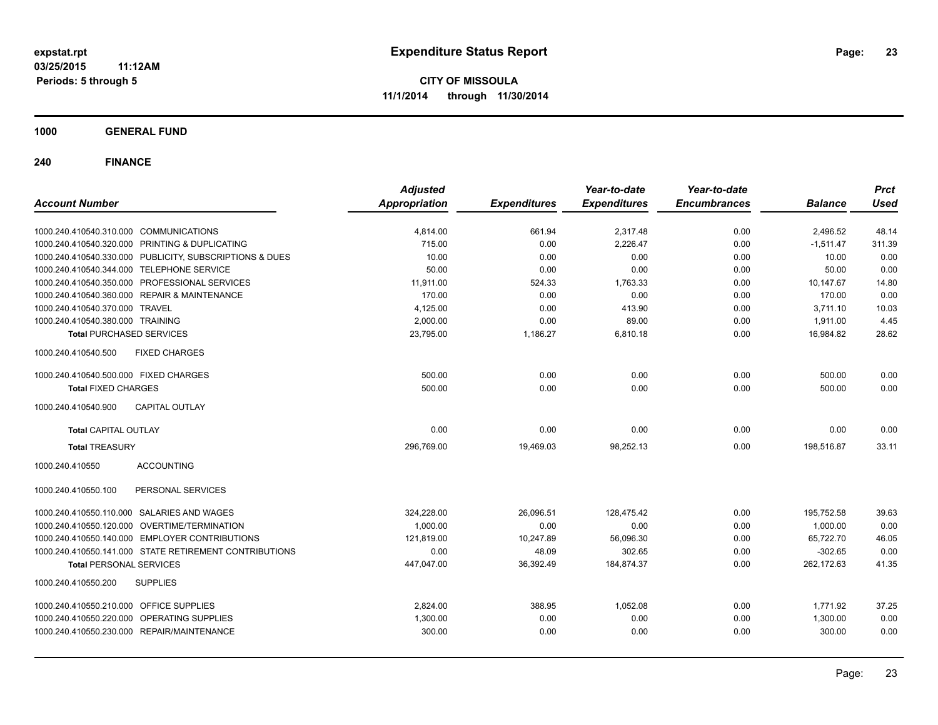**1000 GENERAL FUND**

| <b>Account Number</b>                          |                                                         | <b>Adjusted</b><br><b>Appropriation</b> | <b>Expenditures</b> | Year-to-date<br><b>Expenditures</b> | Year-to-date<br><b>Encumbrances</b> | <b>Balance</b> | <b>Prct</b><br><b>Used</b> |
|------------------------------------------------|---------------------------------------------------------|-----------------------------------------|---------------------|-------------------------------------|-------------------------------------|----------------|----------------------------|
|                                                |                                                         |                                         |                     |                                     |                                     |                |                            |
| 1000.240.410540.310.000 COMMUNICATIONS         |                                                         | 4,814.00                                | 661.94              | 2,317.48                            | 0.00                                | 2,496.52       | 48.14                      |
| 1000.240.410540.320.000 PRINTING & DUPLICATING |                                                         | 715.00                                  | 0.00                | 2,226.47                            | 0.00                                | $-1,511.47$    | 311.39                     |
|                                                | 1000.240.410540.330.000 PUBLICITY, SUBSCRIPTIONS & DUES | 10.00                                   | 0.00                | 0.00                                | 0.00                                | 10.00          | 0.00                       |
| 1000.240.410540.344.000 TELEPHONE SERVICE      |                                                         | 50.00                                   | 0.00                | 0.00                                | 0.00                                | 50.00          | 0.00                       |
| 1000.240.410540.350.000 PROFESSIONAL SERVICES  |                                                         | 11,911.00                               | 524.33              | 1,763.33                            | 0.00                                | 10,147.67      | 14.80                      |
| 1000.240.410540.360.000 REPAIR & MAINTENANCE   |                                                         | 170.00                                  | 0.00                | 0.00                                | 0.00                                | 170.00         | 0.00                       |
| 1000.240.410540.370.000 TRAVEL                 |                                                         | 4,125.00                                | 0.00                | 413.90                              | 0.00                                | 3,711.10       | 10.03                      |
| 1000.240.410540.380.000 TRAINING               |                                                         | 2,000.00                                | 0.00                | 89.00                               | 0.00                                | 1,911.00       | 4.45                       |
| <b>Total PURCHASED SERVICES</b>                |                                                         | 23,795.00                               | 1,186.27            | 6,810.18                            | 0.00                                | 16,984.82      | 28.62                      |
| 1000.240.410540.500                            | <b>FIXED CHARGES</b>                                    |                                         |                     |                                     |                                     |                |                            |
| 1000.240.410540.500.000 FIXED CHARGES          |                                                         | 500.00                                  | 0.00                | 0.00                                | 0.00                                | 500.00         | 0.00                       |
| <b>Total FIXED CHARGES</b>                     |                                                         | 500.00                                  | 0.00                | 0.00                                | 0.00                                | 500.00         | 0.00                       |
| 1000.240.410540.900                            | <b>CAPITAL OUTLAY</b>                                   |                                         |                     |                                     |                                     |                |                            |
| <b>Total CAPITAL OUTLAY</b>                    |                                                         | 0.00                                    | 0.00                | 0.00                                | 0.00                                | 0.00           | 0.00                       |
| <b>Total TREASURY</b>                          |                                                         | 296,769.00                              | 19,469.03           | 98,252.13                           | 0.00                                | 198,516.87     | 33.11                      |
| 1000.240.410550                                | <b>ACCOUNTING</b>                                       |                                         |                     |                                     |                                     |                |                            |
| 1000.240.410550.100                            | PERSONAL SERVICES                                       |                                         |                     |                                     |                                     |                |                            |
| 1000.240.410550.110.000 SALARIES AND WAGES     |                                                         | 324,228.00                              | 26,096.51           | 128,475.42                          | 0.00                                | 195,752.58     | 39.63                      |
| 1000.240.410550.120.000 OVERTIME/TERMINATION   |                                                         | 1,000.00                                | 0.00                | 0.00                                | 0.00                                | 1,000.00       | 0.00                       |
| 1000.240.410550.140.000 EMPLOYER CONTRIBUTIONS |                                                         | 121,819.00                              | 10,247.89           | 56,096.30                           | 0.00                                | 65,722.70      | 46.05                      |
|                                                | 1000.240.410550.141.000 STATE RETIREMENT CONTRIBUTIONS  | 0.00                                    | 48.09               | 302.65                              | 0.00                                | $-302.65$      | 0.00                       |
| <b>Total PERSONAL SERVICES</b>                 |                                                         | 447,047.00                              | 36,392.49           | 184,874.37                          | 0.00                                | 262,172.63     | 41.35                      |
| 1000.240.410550.200                            | <b>SUPPLIES</b>                                         |                                         |                     |                                     |                                     |                |                            |
| 1000.240.410550.210.000 OFFICE SUPPLIES        |                                                         | 2,824.00                                | 388.95              | 1,052.08                            | 0.00                                | 1,771.92       | 37.25                      |
| 1000.240.410550.220.000 OPERATING SUPPLIES     |                                                         | 1,300.00                                | 0.00                | 0.00                                | 0.00                                | 1,300.00       | 0.00                       |
| 1000.240.410550.230.000 REPAIR/MAINTENANCE     |                                                         | 300.00                                  | 0.00                | 0.00                                | 0.00                                | 300.00         | 0.00                       |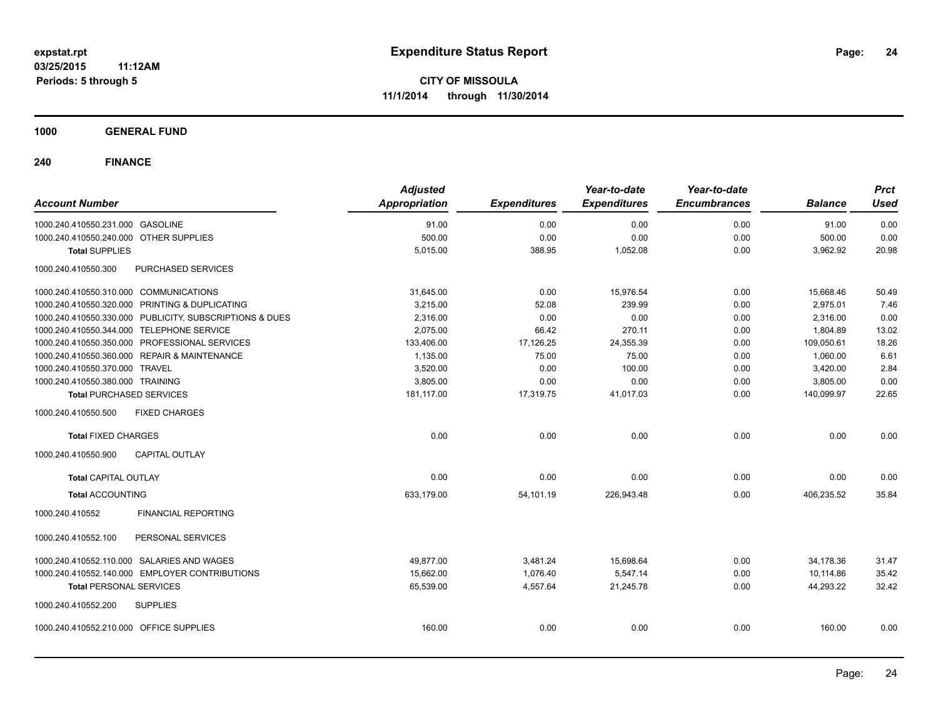**1000 GENERAL FUND**

| <b>Account Number</b>                                   | <b>Adjusted</b><br>Appropriation | <b>Expenditures</b> | Year-to-date<br><b>Expenditures</b> | Year-to-date<br><b>Encumbrances</b> | <b>Balance</b> | <b>Prct</b><br><b>Used</b> |
|---------------------------------------------------------|----------------------------------|---------------------|-------------------------------------|-------------------------------------|----------------|----------------------------|
| 1000.240.410550.231.000 GASOLINE                        | 91.00                            | 0.00                | 0.00                                | 0.00                                | 91.00          | 0.00                       |
| 1000.240.410550.240.000 OTHER SUPPLIES                  | 500.00                           | 0.00                | 0.00                                | 0.00                                | 500.00         | 0.00                       |
| <b>Total SUPPLIES</b>                                   | 5,015.00                         | 388.95              | 1,052.08                            | 0.00                                | 3,962.92       | 20.98                      |
| 1000.240.410550.300<br>PURCHASED SERVICES               |                                  |                     |                                     |                                     |                |                            |
| 1000.240.410550.310.000 COMMUNICATIONS                  | 31,645.00                        | 0.00                | 15,976.54                           | 0.00                                | 15,668.46      | 50.49                      |
| 1000.240.410550.320.000 PRINTING & DUPLICATING          | 3,215.00                         | 52.08               | 239.99                              | 0.00                                | 2,975.01       | 7.46                       |
| 1000.240.410550.330.000 PUBLICITY, SUBSCRIPTIONS & DUES | 2,316.00                         | 0.00                | 0.00                                | 0.00                                | 2,316.00       | 0.00                       |
| 1000.240.410550.344.000 TELEPHONE SERVICE               | 2,075.00                         | 66.42               | 270.11                              | 0.00                                | 1,804.89       | 13.02                      |
| 1000.240.410550.350.000 PROFESSIONAL SERVICES           | 133,406.00                       | 17,126.25           | 24,355.39                           | 0.00                                | 109,050.61     | 18.26                      |
| 1000.240.410550.360.000 REPAIR & MAINTENANCE            | 1,135.00                         | 75.00               | 75.00                               | 0.00                                | 1,060.00       | 6.61                       |
| 1000.240.410550.370.000 TRAVEL                          | 3,520.00                         | 0.00                | 100.00                              | 0.00                                | 3,420.00       | 2.84                       |
| 1000.240.410550.380.000 TRAINING                        | 3,805.00                         | 0.00                | 0.00                                | 0.00                                | 3,805.00       | 0.00                       |
| <b>Total PURCHASED SERVICES</b>                         | 181,117.00                       | 17,319.75           | 41,017.03                           | 0.00                                | 140,099.97     | 22.65                      |
| 1000.240.410550.500<br><b>FIXED CHARGES</b>             |                                  |                     |                                     |                                     |                |                            |
| <b>Total FIXED CHARGES</b>                              | 0.00                             | 0.00                | 0.00                                | 0.00                                | 0.00           | 0.00                       |
| CAPITAL OUTLAY<br>1000.240.410550.900                   |                                  |                     |                                     |                                     |                |                            |
| <b>Total CAPITAL OUTLAY</b>                             | 0.00                             | 0.00                | 0.00                                | 0.00                                | 0.00           | 0.00                       |
| <b>Total ACCOUNTING</b>                                 | 633,179.00                       | 54,101.19           | 226,943.48                          | 0.00                                | 406,235.52     | 35.84                      |
| 1000.240.410552<br><b>FINANCIAL REPORTING</b>           |                                  |                     |                                     |                                     |                |                            |
| PERSONAL SERVICES<br>1000.240.410552.100                |                                  |                     |                                     |                                     |                |                            |
| 1000.240.410552.110.000 SALARIES AND WAGES              | 49,877.00                        | 3,481.24            | 15,698.64                           | 0.00                                | 34,178.36      | 31.47                      |
| 1000.240.410552.140.000 EMPLOYER CONTRIBUTIONS          | 15,662.00                        | 1,076.40            | 5,547.14                            | 0.00                                | 10,114.86      | 35.42                      |
| <b>Total PERSONAL SERVICES</b>                          | 65,539.00                        | 4,557.64            | 21,245.78                           | 0.00                                | 44,293.22      | 32.42                      |
| 1000.240.410552.200<br><b>SUPPLIES</b>                  |                                  |                     |                                     |                                     |                |                            |
| 1000.240.410552.210.000 OFFICE SUPPLIES                 | 160.00                           | 0.00                | 0.00                                | 0.00                                | 160.00         | 0.00                       |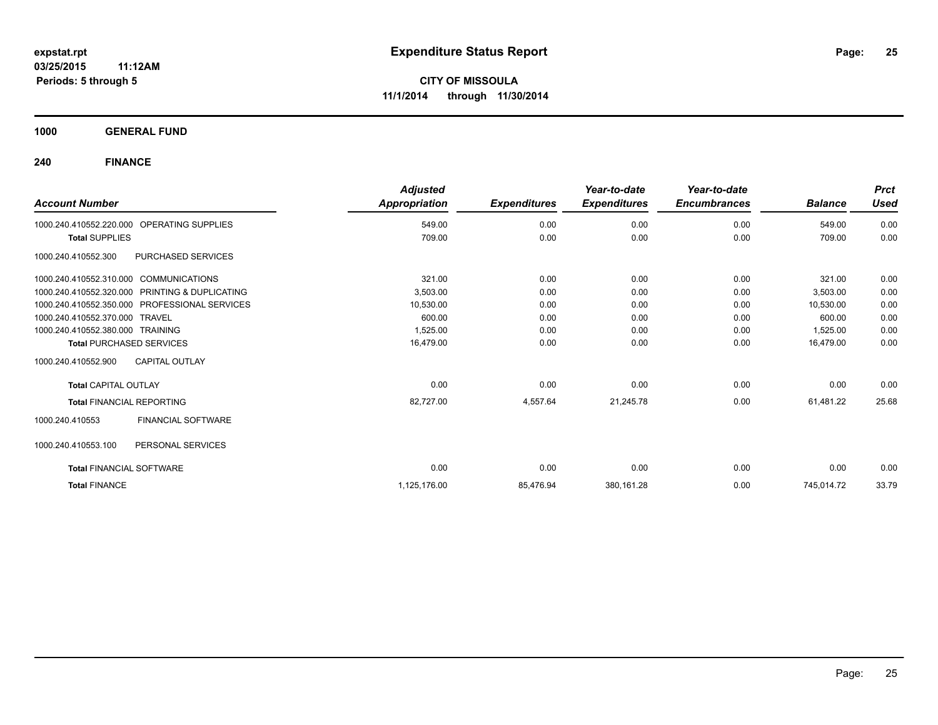**1000 GENERAL FUND**

| <b>Account Number</b>                  |                                               | <b>Adjusted</b><br>Appropriation | <b>Expenditures</b> | Year-to-date<br><b>Expenditures</b> | Year-to-date<br><b>Encumbrances</b> | <b>Balance</b> | <b>Prct</b><br><b>Used</b> |
|----------------------------------------|-----------------------------------------------|----------------------------------|---------------------|-------------------------------------|-------------------------------------|----------------|----------------------------|
| 1000.240.410552.220.000                | OPERATING SUPPLIES                            | 549.00                           | 0.00                | 0.00                                | 0.00                                | 549.00         | 0.00                       |
| <b>Total SUPPLIES</b>                  |                                               | 709.00                           | 0.00                | 0.00                                | 0.00                                | 709.00         | 0.00                       |
| 1000.240.410552.300                    | PURCHASED SERVICES                            |                                  |                     |                                     |                                     |                |                            |
| 1000.240.410552.310.000 COMMUNICATIONS |                                               | 321.00                           | 0.00                | 0.00                                | 0.00                                | 321.00         | 0.00                       |
| 1000.240.410552.320.000                | PRINTING & DUPLICATING                        | 3,503.00                         | 0.00                | 0.00                                | 0.00                                | 3,503.00       | 0.00                       |
|                                        | 1000.240.410552.350.000 PROFESSIONAL SERVICES | 10,530.00                        | 0.00                | 0.00                                | 0.00                                | 10,530.00      | 0.00                       |
| 1000.240.410552.370.000 TRAVEL         |                                               | 600.00                           | 0.00                | 0.00                                | 0.00                                | 600.00         | 0.00                       |
| 1000.240.410552.380.000 TRAINING       |                                               | 1,525.00                         | 0.00                | 0.00                                | 0.00                                | 1,525.00       | 0.00                       |
| <b>Total PURCHASED SERVICES</b>        |                                               | 16,479.00                        | 0.00                | 0.00                                | 0.00                                | 16.479.00      | 0.00                       |
| 1000.240.410552.900                    | <b>CAPITAL OUTLAY</b>                         |                                  |                     |                                     |                                     |                |                            |
| <b>Total CAPITAL OUTLAY</b>            |                                               | 0.00                             | 0.00                | 0.00                                | 0.00                                | 0.00           | 0.00                       |
| <b>Total FINANCIAL REPORTING</b>       |                                               | 82,727.00                        | 4,557.64            | 21,245.78                           | 0.00                                | 61,481.22      | 25.68                      |
| 1000.240.410553                        | FINANCIAL SOFTWARE                            |                                  |                     |                                     |                                     |                |                            |
| 1000.240.410553.100                    | PERSONAL SERVICES                             |                                  |                     |                                     |                                     |                |                            |
| <b>Total FINANCIAL SOFTWARE</b>        |                                               | 0.00                             | 0.00                | 0.00                                | 0.00                                | 0.00           | 0.00                       |
| <b>Total FINANCE</b>                   |                                               | 1,125,176.00                     | 85,476.94           | 380,161.28                          | 0.00                                | 745,014.72     | 33.79                      |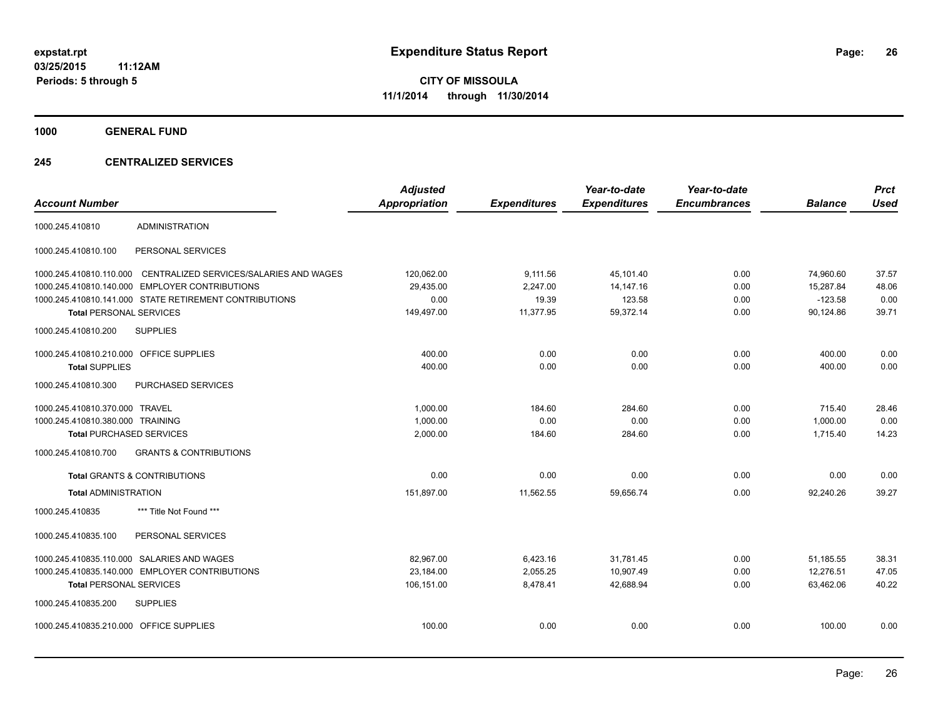**1000 GENERAL FUND**

#### **245 CENTRALIZED SERVICES**

| <b>Account Number</b>                   |                                                        | <b>Adjusted</b><br><b>Appropriation</b> | <b>Expenditures</b> | Year-to-date<br><b>Expenditures</b> | Year-to-date<br><b>Encumbrances</b> | <b>Balance</b> | <b>Prct</b><br><b>Used</b> |
|-----------------------------------------|--------------------------------------------------------|-----------------------------------------|---------------------|-------------------------------------|-------------------------------------|----------------|----------------------------|
| 1000.245.410810                         | <b>ADMINISTRATION</b>                                  |                                         |                     |                                     |                                     |                |                            |
| 1000.245.410810.100                     | PERSONAL SERVICES                                      |                                         |                     |                                     |                                     |                |                            |
| 1000.245.410810.110.000                 | CENTRALIZED SERVICES/SALARIES AND WAGES                | 120,062.00                              | 9,111.56            | 45,101.40                           | 0.00                                | 74,960.60      | 37.57                      |
| 1000.245.410810.140.000                 | <b>EMPLOYER CONTRIBUTIONS</b>                          | 29,435.00                               | 2,247.00            | 14, 147. 16                         | 0.00                                | 15,287.84      | 48.06                      |
|                                         | 1000.245.410810.141.000 STATE RETIREMENT CONTRIBUTIONS | 0.00                                    | 19.39               | 123.58                              | 0.00                                | $-123.58$      | 0.00                       |
| <b>Total PERSONAL SERVICES</b>          |                                                        | 149,497.00                              | 11,377.95           | 59,372.14                           | 0.00                                | 90,124.86      | 39.71                      |
| 1000.245.410810.200                     | <b>SUPPLIES</b>                                        |                                         |                     |                                     |                                     |                |                            |
| 1000.245.410810.210.000 OFFICE SUPPLIES |                                                        | 400.00                                  | 0.00                | 0.00                                | 0.00                                | 400.00         | 0.00                       |
| <b>Total SUPPLIES</b>                   |                                                        | 400.00                                  | 0.00                | 0.00                                | 0.00                                | 400.00         | 0.00                       |
| 1000.245.410810.300                     | PURCHASED SERVICES                                     |                                         |                     |                                     |                                     |                |                            |
| 1000.245.410810.370.000 TRAVEL          |                                                        | 1,000.00                                | 184.60              | 284.60                              | 0.00                                | 715.40         | 28.46                      |
| 1000.245.410810.380.000 TRAINING        |                                                        | 1,000.00                                | 0.00                | 0.00                                | 0.00                                | 1,000.00       | 0.00                       |
| <b>Total PURCHASED SERVICES</b>         |                                                        | 2,000.00                                | 184.60              | 284.60                              | 0.00                                | 1,715.40       | 14.23                      |
| 1000.245.410810.700                     | <b>GRANTS &amp; CONTRIBUTIONS</b>                      |                                         |                     |                                     |                                     |                |                            |
|                                         | <b>Total GRANTS &amp; CONTRIBUTIONS</b>                | 0.00                                    | 0.00                | 0.00                                | 0.00                                | 0.00           | 0.00                       |
| <b>Total ADMINISTRATION</b>             |                                                        | 151,897.00                              | 11,562.55           | 59,656.74                           | 0.00                                | 92,240.26      | 39.27                      |
| 1000.245.410835                         | *** Title Not Found ***                                |                                         |                     |                                     |                                     |                |                            |
| 1000.245.410835.100                     | PERSONAL SERVICES                                      |                                         |                     |                                     |                                     |                |                            |
| 1000.245.410835.110.000                 | SALARIES AND WAGES                                     | 82,967.00                               | 6,423.16            | 31,781.45                           | 0.00                                | 51,185.55      | 38.31                      |
|                                         | 1000.245.410835.140.000 EMPLOYER CONTRIBUTIONS         | 23,184.00                               | 2,055.25            | 10,907.49                           | 0.00                                | 12,276.51      | 47.05                      |
| <b>Total PERSONAL SERVICES</b>          |                                                        | 106,151.00                              | 8,478.41            | 42,688.94                           | 0.00                                | 63.462.06      | 40.22                      |
| 1000.245.410835.200                     | <b>SUPPLIES</b>                                        |                                         |                     |                                     |                                     |                |                            |
| 1000.245.410835.210.000 OFFICE SUPPLIES |                                                        | 100.00                                  | 0.00                | 0.00                                | 0.00                                | 100.00         | 0.00                       |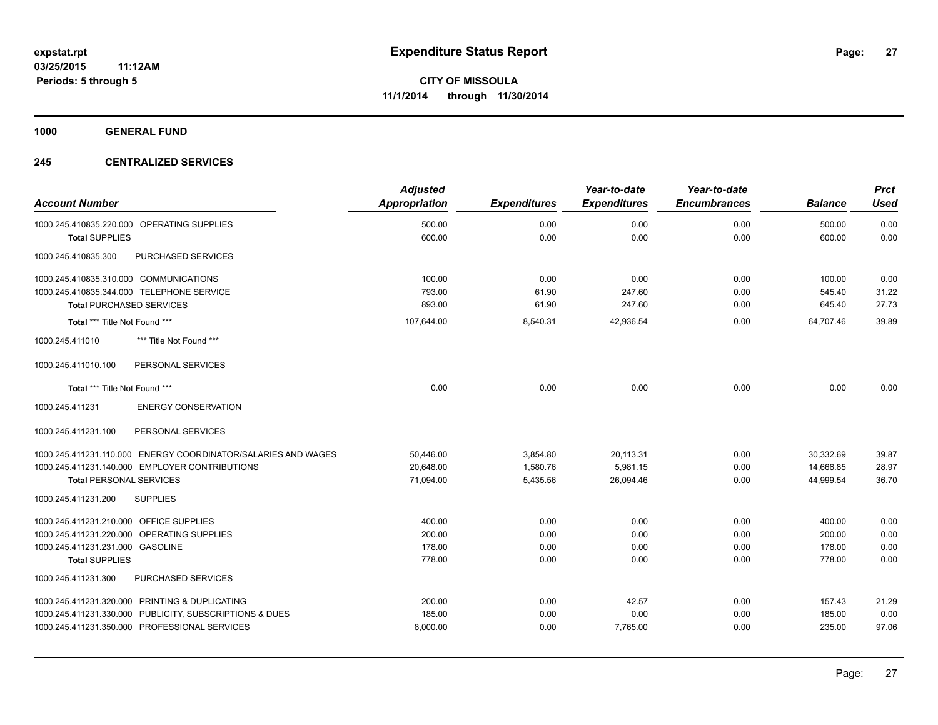**1000 GENERAL FUND**

#### **245 CENTRALIZED SERVICES**

|                                                               | <b>Adjusted</b> |                     | Year-to-date        | Year-to-date        |                | <b>Prct</b> |
|---------------------------------------------------------------|-----------------|---------------------|---------------------|---------------------|----------------|-------------|
| <b>Account Number</b>                                         | Appropriation   | <b>Expenditures</b> | <b>Expenditures</b> | <b>Encumbrances</b> | <b>Balance</b> | <b>Used</b> |
| 1000.245.410835.220.000 OPERATING SUPPLIES                    | 500.00          | 0.00                | 0.00                | 0.00                | 500.00         | 0.00        |
| <b>Total SUPPLIES</b>                                         | 600.00          | 0.00                | 0.00                | 0.00                | 600.00         | 0.00        |
| PURCHASED SERVICES<br>1000.245.410835.300                     |                 |                     |                     |                     |                |             |
| 1000.245.410835.310.000 COMMUNICATIONS                        | 100.00          | 0.00                | 0.00                | 0.00                | 100.00         | 0.00        |
| 1000.245.410835.344.000 TELEPHONE SERVICE                     | 793.00          | 61.90               | 247.60              | 0.00                | 545.40         | 31.22       |
| <b>Total PURCHASED SERVICES</b>                               | 893.00          | 61.90               | 247.60              | 0.00                | 645.40         | 27.73       |
| Total *** Title Not Found ***                                 | 107,644.00      | 8,540.31            | 42,936.54           | 0.00                | 64.707.46      | 39.89       |
| 1000.245.411010<br>*** Title Not Found ***                    |                 |                     |                     |                     |                |             |
| PERSONAL SERVICES<br>1000.245.411010.100                      |                 |                     |                     |                     |                |             |
| Total *** Title Not Found ***                                 | 0.00            | 0.00                | 0.00                | 0.00                | 0.00           | 0.00        |
| 1000.245.411231<br><b>ENERGY CONSERVATION</b>                 |                 |                     |                     |                     |                |             |
| PERSONAL SERVICES<br>1000.245.411231.100                      |                 |                     |                     |                     |                |             |
| 1000.245.411231.110.000 ENERGY COORDINATOR/SALARIES AND WAGES | 50.446.00       | 3.854.80            | 20.113.31           | 0.00                | 30.332.69      | 39.87       |
| 1000.245.411231.140.000 EMPLOYER CONTRIBUTIONS                | 20,648.00       | 1,580.76            | 5,981.15            | 0.00                | 14,666.85      | 28.97       |
| <b>Total PERSONAL SERVICES</b>                                | 71,094.00       | 5,435.56            | 26,094.46           | 0.00                | 44,999.54      | 36.70       |
| 1000.245.411231.200<br><b>SUPPLIES</b>                        |                 |                     |                     |                     |                |             |
| 1000.245.411231.210.000 OFFICE SUPPLIES                       | 400.00          | 0.00                | 0.00                | 0.00                | 400.00         | 0.00        |
| 1000.245.411231.220.000 OPERATING SUPPLIES                    | 200.00          | 0.00                | 0.00                | 0.00                | 200.00         | 0.00        |
| 1000.245.411231.231.000 GASOLINE                              | 178.00          | 0.00                | 0.00                | 0.00                | 178.00         | 0.00        |
| <b>Total SUPPLIES</b>                                         | 778.00          | 0.00                | 0.00                | 0.00                | 778.00         | 0.00        |
| 1000.245.411231.300<br>PURCHASED SERVICES                     |                 |                     |                     |                     |                |             |
| 1000.245.411231.320.000 PRINTING & DUPLICATING                | 200.00          | 0.00                | 42.57               | 0.00                | 157.43         | 21.29       |
| 1000.245.411231.330.000 PUBLICITY, SUBSCRIPTIONS & DUES       | 185.00          | 0.00                | 0.00                | 0.00                | 185.00         | 0.00        |
| 1000.245.411231.350.000 PROFESSIONAL SERVICES                 | 8,000.00        | 0.00                | 7,765.00            | 0.00                | 235.00         | 97.06       |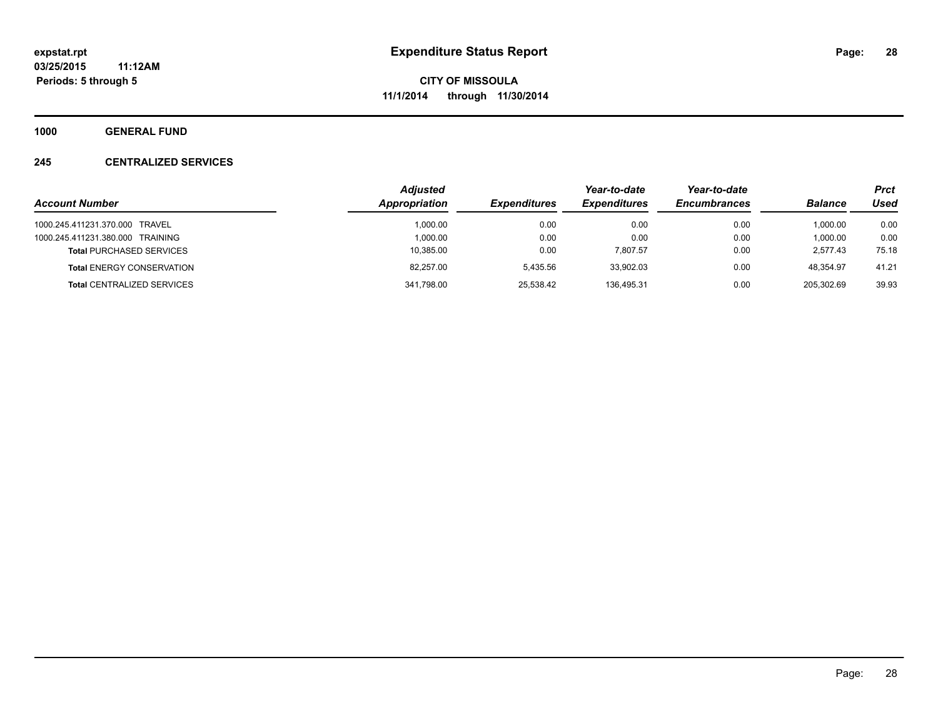**1000 GENERAL FUND**

#### **245 CENTRALIZED SERVICES**

|                                   | <b>Adjusted</b> |                     | Year-to-date        | Year-to-date        |                | <b>Prct</b> |
|-----------------------------------|-----------------|---------------------|---------------------|---------------------|----------------|-------------|
| <b>Account Number</b>             | Appropriation   | <b>Expenditures</b> | <b>Expenditures</b> | <b>Encumbrances</b> | <b>Balance</b> | Used        |
| 1000.245.411231.370.000 TRAVEL    | 1.000.00        | 0.00                | 0.00                | 0.00                | 1.000.00       | 0.00        |
| 1000.245.411231.380.000 TRAINING  | 1.000.00        | 0.00                | 0.00                | 0.00                | 1,000.00       | 0.00        |
| <b>Total PURCHASED SERVICES</b>   | 10,385.00       | 0.00                | 7.807.57            | 0.00                | 2.577.43       | 75.18       |
| <b>Total ENERGY CONSERVATION</b>  | 82.257.00       | 5.435.56            | 33.902.03           | 0.00                | 48.354.97      | 41.21       |
| <b>Total CENTRALIZED SERVICES</b> | 341,798.00      | 25.538.42           | 136.495.31          | 0.00                | 205,302.69     | 39.93       |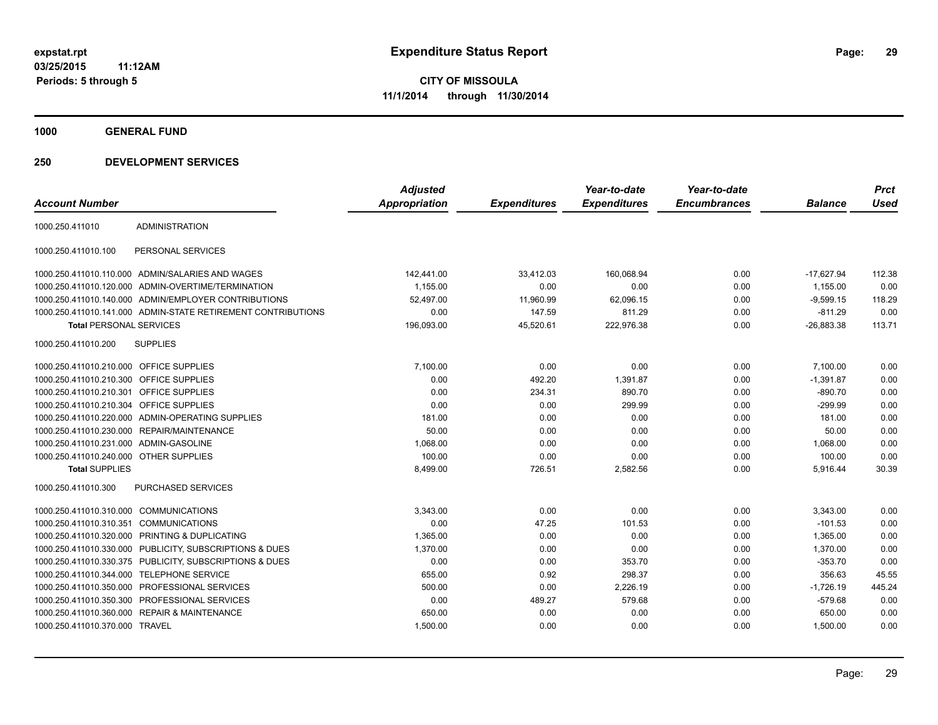**1000 GENERAL FUND**

| <b>Account Number</b>                   |                                                              | <b>Adjusted</b><br><b>Appropriation</b> | <b>Expenditures</b> | Year-to-date<br><b>Expenditures</b> | Year-to-date<br><b>Encumbrances</b> | <b>Balance</b> | <b>Prct</b><br><b>Used</b> |
|-----------------------------------------|--------------------------------------------------------------|-----------------------------------------|---------------------|-------------------------------------|-------------------------------------|----------------|----------------------------|
|                                         | <b>ADMINISTRATION</b>                                        |                                         |                     |                                     |                                     |                |                            |
| 1000.250.411010                         |                                                              |                                         |                     |                                     |                                     |                |                            |
| 1000.250.411010.100                     | PERSONAL SERVICES                                            |                                         |                     |                                     |                                     |                |                            |
|                                         | 1000.250.411010.110.000 ADMIN/SALARIES AND WAGES             | 142,441.00                              | 33,412.03           | 160,068.94                          | 0.00                                | $-17,627.94$   | 112.38                     |
|                                         | 1000.250.411010.120.000 ADMIN-OVERTIME/TERMINATION           | 1,155.00                                | 0.00                | 0.00                                | 0.00                                | 1.155.00       | 0.00                       |
|                                         | 1000.250.411010.140.000 ADMIN/EMPLOYER CONTRIBUTIONS         | 52.497.00                               | 11.960.99           | 62.096.15                           | 0.00                                | $-9.599.15$    | 118.29                     |
|                                         | 1000.250.411010.141.000 ADMIN-STATE RETIREMENT CONTRIBUTIONS | 0.00                                    | 147.59              | 811.29                              | 0.00                                | $-811.29$      | 0.00                       |
| <b>Total PERSONAL SERVICES</b>          |                                                              | 196,093.00                              | 45,520.61           | 222,976.38                          | 0.00                                | $-26,883.38$   | 113.71                     |
| 1000.250.411010.200                     | <b>SUPPLIES</b>                                              |                                         |                     |                                     |                                     |                |                            |
| 1000.250.411010.210.000 OFFICE SUPPLIES |                                                              | 7,100.00                                | 0.00                | 0.00                                | 0.00                                | 7,100.00       | 0.00                       |
| 1000.250.411010.210.300 OFFICE SUPPLIES |                                                              | 0.00                                    | 492.20              | 1,391.87                            | 0.00                                | $-1,391.87$    | 0.00                       |
| 1000.250.411010.210.301 OFFICE SUPPLIES |                                                              | 0.00                                    | 234.31              | 890.70                              | 0.00                                | $-890.70$      | 0.00                       |
| 1000.250.411010.210.304                 | <b>OFFICE SUPPLIES</b>                                       | 0.00                                    | 0.00                | 299.99                              | 0.00                                | $-299.99$      | 0.00                       |
|                                         | 1000.250.411010.220.000 ADMIN-OPERATING SUPPLIES             | 181.00                                  | 0.00                | 0.00                                | 0.00                                | 181.00         | 0.00                       |
|                                         | 1000.250.411010.230.000 REPAIR/MAINTENANCE                   | 50.00                                   | 0.00                | 0.00                                | 0.00                                | 50.00          | 0.00                       |
| 1000.250.411010.231.000 ADMIN-GASOLINE  |                                                              | 1,068.00                                | 0.00                | 0.00                                | 0.00                                | 1,068.00       | 0.00                       |
| 1000.250.411010.240.000 OTHER SUPPLIES  |                                                              | 100.00                                  | 0.00                | 0.00                                | 0.00                                | 100.00         | 0.00                       |
| <b>Total SUPPLIES</b>                   |                                                              | 8.499.00                                | 726.51              | 2,582.56                            | 0.00                                | 5.916.44       | 30.39                      |
| 1000.250.411010.300                     | <b>PURCHASED SERVICES</b>                                    |                                         |                     |                                     |                                     |                |                            |
| 1000.250.411010.310.000 COMMUNICATIONS  |                                                              | 3,343.00                                | 0.00                | 0.00                                | 0.00                                | 3,343.00       | 0.00                       |
| 1000.250.411010.310.351                 | <b>COMMUNICATIONS</b>                                        | 0.00                                    | 47.25               | 101.53                              | 0.00                                | $-101.53$      | 0.00                       |
| 1000.250.411010.320.000                 | PRINTING & DUPLICATING                                       | 1.365.00                                | 0.00                | 0.00                                | 0.00                                | 1,365.00       | 0.00                       |
|                                         | 1000.250.411010.330.000 PUBLICITY, SUBSCRIPTIONS & DUES      | 1,370.00                                | 0.00                | 0.00                                | 0.00                                | 1,370.00       | 0.00                       |
|                                         | 1000.250.411010.330.375 PUBLICITY, SUBSCRIPTIONS & DUES      | 0.00                                    | 0.00                | 353.70                              | 0.00                                | $-353.70$      | 0.00                       |
|                                         | 1000.250.411010.344.000 TELEPHONE SERVICE                    | 655.00                                  | 0.92                | 298.37                              | 0.00                                | 356.63         | 45.55                      |
|                                         | 1000.250.411010.350.000 PROFESSIONAL SERVICES                | 500.00                                  | 0.00                | 2,226.19                            | 0.00                                | $-1,726.19$    | 445.24                     |
|                                         | 1000.250.411010.350.300 PROFESSIONAL SERVICES                | 0.00                                    | 489.27              | 579.68                              | 0.00                                | $-579.68$      | 0.00                       |
| 1000.250.411010.360.000                 | <b>REPAIR &amp; MAINTENANCE</b>                              | 650.00                                  | 0.00                | 0.00                                | 0.00                                | 650.00         | 0.00                       |
| 1000.250.411010.370.000 TRAVEL          |                                                              | 1,500.00                                | 0.00                | 0.00                                | 0.00                                | 1,500.00       | 0.00                       |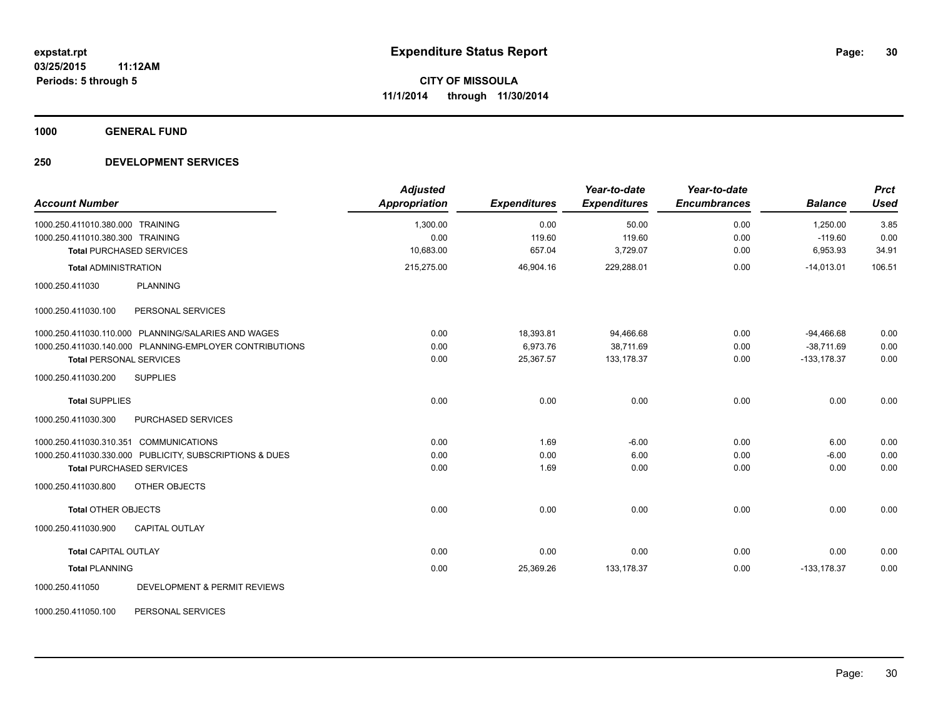**1000 GENERAL FUND**

#### **250 DEVELOPMENT SERVICES**

| <b>Account Number</b>                  |                                                         | <b>Adjusted</b><br><b>Appropriation</b> | <b>Expenditures</b> | Year-to-date<br><b>Expenditures</b> | Year-to-date<br><b>Encumbrances</b> | <b>Balance</b> | <b>Prct</b><br><b>Used</b> |
|----------------------------------------|---------------------------------------------------------|-----------------------------------------|---------------------|-------------------------------------|-------------------------------------|----------------|----------------------------|
| 1000.250.411010.380.000 TRAINING       |                                                         | 1,300.00                                | 0.00                | 50.00                               | 0.00                                | 1.250.00       | 3.85                       |
| 1000.250.411010.380.300 TRAINING       |                                                         | 0.00                                    | 119.60              | 119.60                              | 0.00                                | $-119.60$      | 0.00                       |
|                                        | <b>Total PURCHASED SERVICES</b>                         | 10,683.00                               | 657.04              | 3,729.07                            | 0.00                                | 6,953.93       | 34.91                      |
| <b>Total ADMINISTRATION</b>            |                                                         | 215,275.00                              | 46,904.16           | 229,288.01                          | 0.00                                | $-14,013.01$   | 106.51                     |
| 1000.250.411030                        | <b>PLANNING</b>                                         |                                         |                     |                                     |                                     |                |                            |
| 1000.250.411030.100                    | PERSONAL SERVICES                                       |                                         |                     |                                     |                                     |                |                            |
|                                        | 1000.250.411030.110.000 PLANNING/SALARIES AND WAGES     | 0.00                                    | 18,393.81           | 94,466.68                           | 0.00                                | $-94,466.68$   | 0.00                       |
|                                        | 1000.250.411030.140.000 PLANNING-EMPLOYER CONTRIBUTIONS | 0.00                                    | 6.973.76            | 38.711.69                           | 0.00                                | $-38.711.69$   | 0.00                       |
| <b>Total PERSONAL SERVICES</b>         |                                                         | 0.00                                    | 25,367.57           | 133, 178.37                         | 0.00                                | $-133,178.37$  | 0.00                       |
| 1000.250.411030.200                    | <b>SUPPLIES</b>                                         |                                         |                     |                                     |                                     |                |                            |
| <b>Total SUPPLIES</b>                  |                                                         | 0.00                                    | 0.00                | 0.00                                | 0.00                                | 0.00           | 0.00                       |
| 1000.250.411030.300                    | PURCHASED SERVICES                                      |                                         |                     |                                     |                                     |                |                            |
| 1000.250.411030.310.351 COMMUNICATIONS |                                                         | 0.00                                    | 1.69                | $-6.00$                             | 0.00                                | 6.00           | 0.00                       |
|                                        | 1000.250.411030.330.000 PUBLICITY, SUBSCRIPTIONS & DUES | 0.00                                    | 0.00                | 6.00                                | 0.00                                | $-6.00$        | 0.00                       |
|                                        | <b>Total PURCHASED SERVICES</b>                         | 0.00                                    | 1.69                | 0.00                                | 0.00                                | 0.00           | 0.00                       |
| 1000.250.411030.800                    | OTHER OBJECTS                                           |                                         |                     |                                     |                                     |                |                            |
| <b>Total OTHER OBJECTS</b>             |                                                         | 0.00                                    | 0.00                | 0.00                                | 0.00                                | 0.00           | 0.00                       |
| 1000.250.411030.900                    | <b>CAPITAL OUTLAY</b>                                   |                                         |                     |                                     |                                     |                |                            |
| <b>Total CAPITAL OUTLAY</b>            |                                                         | 0.00                                    | 0.00                | 0.00                                | 0.00                                | 0.00           | 0.00                       |
| <b>Total PLANNING</b>                  |                                                         | 0.00                                    | 25,369.26           | 133, 178.37                         | 0.00                                | $-133,178.37$  | 0.00                       |
| 1000.250.411050                        | DEVELOPMENT & PERMIT REVIEWS                            |                                         |                     |                                     |                                     |                |                            |

1000.250.411050.100 PERSONAL SERVICES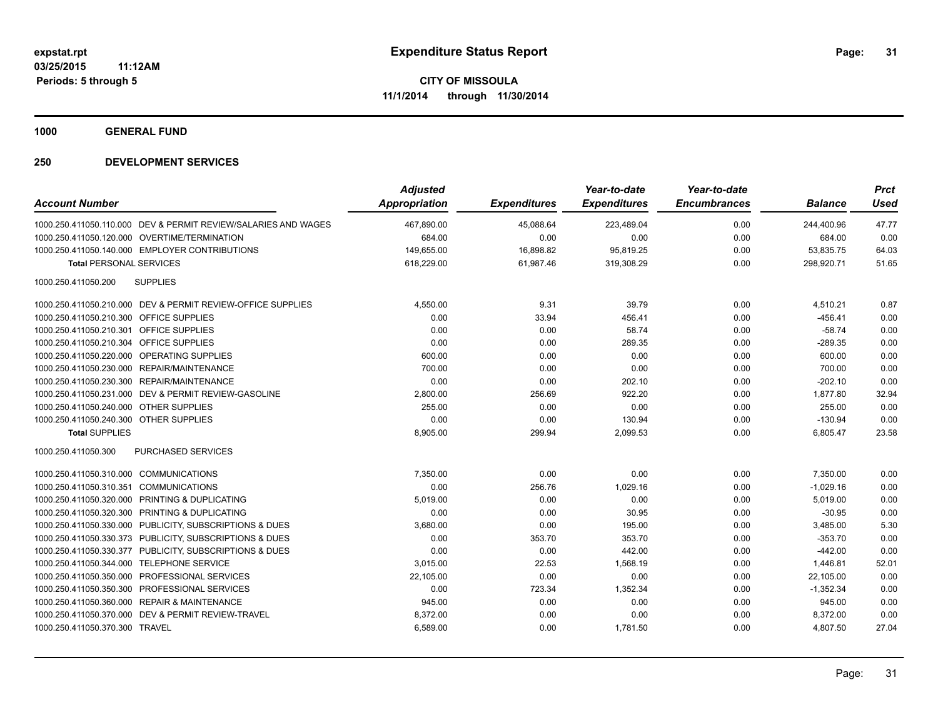**1000 GENERAL FUND**

| <b>Account Number</b>                                          | <b>Adjusted</b><br><b>Appropriation</b> | <b>Expenditures</b> | Year-to-date<br><b>Expenditures</b> | Year-to-date<br><b>Encumbrances</b> | <b>Balance</b> | <b>Prct</b><br><b>Used</b> |
|----------------------------------------------------------------|-----------------------------------------|---------------------|-------------------------------------|-------------------------------------|----------------|----------------------------|
| 1000.250.411050.110.000 DEV & PERMIT REVIEW/SALARIES AND WAGES | 467,890.00                              | 45,088.64           | 223,489.04                          | 0.00                                | 244,400.96     | 47.77                      |
| 1000.250.411050.120.000 OVERTIME/TERMINATION                   | 684.00                                  | 0.00                | 0.00                                | 0.00                                | 684.00         | 0.00                       |
| 1000.250.411050.140.000 EMPLOYER CONTRIBUTIONS                 | 149,655.00                              | 16,898.82           | 95,819.25                           | 0.00                                | 53,835.75      | 64.03                      |
| <b>Total PERSONAL SERVICES</b>                                 | 618,229.00                              | 61,987.46           | 319,308.29                          | 0.00                                | 298,920.71     | 51.65                      |
| <b>SUPPLIES</b><br>1000.250.411050.200                         |                                         |                     |                                     |                                     |                |                            |
| 1000.250.411050.210.000 DEV & PERMIT REVIEW-OFFICE SUPPLIES    | 4,550.00                                | 9.31                | 39.79                               | 0.00                                | 4,510.21       | 0.87                       |
| 1000.250.411050.210.300 OFFICE SUPPLIES                        | 0.00                                    | 33.94               | 456.41                              | 0.00                                | $-456.41$      | 0.00                       |
| 1000.250.411050.210.301 OFFICE SUPPLIES                        | 0.00                                    | 0.00                | 58.74                               | 0.00                                | $-58.74$       | 0.00                       |
| 1000.250.411050.210.304 OFFICE SUPPLIES                        | 0.00                                    | 0.00                | 289.35                              | 0.00                                | $-289.35$      | 0.00                       |
| 1000.250.411050.220.000 OPERATING SUPPLIES                     | 600.00                                  | 0.00                | 0.00                                | 0.00                                | 600.00         | 0.00                       |
| 1000.250.411050.230.000 REPAIR/MAINTENANCE                     | 700.00                                  | 0.00                | 0.00                                | 0.00                                | 700.00         | 0.00                       |
| 1000.250.411050.230.300 REPAIR/MAINTENANCE                     | 0.00                                    | 0.00                | 202.10                              | 0.00                                | $-202.10$      | 0.00                       |
| 1000.250.411050.231.000 DEV & PERMIT REVIEW-GASOLINE           | 2,800.00                                | 256.69              | 922.20                              | 0.00                                | 1,877.80       | 32.94                      |
| 1000.250.411050.240.000 OTHER SUPPLIES                         | 255.00                                  | 0.00                | 0.00                                | 0.00                                | 255.00         | 0.00                       |
| 1000.250.411050.240.300 OTHER SUPPLIES                         | 0.00                                    | 0.00                | 130.94                              | 0.00                                | $-130.94$      | 0.00                       |
| <b>Total SUPPLIES</b>                                          | 8,905.00                                | 299.94              | 2,099.53                            | 0.00                                | 6,805.47       | 23.58                      |
| PURCHASED SERVICES<br>1000.250.411050.300                      |                                         |                     |                                     |                                     |                |                            |
| 1000.250.411050.310.000 COMMUNICATIONS                         | 7,350.00                                | 0.00                | 0.00                                | 0.00                                | 7,350.00       | 0.00                       |
| 1000.250.411050.310.351 COMMUNICATIONS                         | 0.00                                    | 256.76              | 1,029.16                            | 0.00                                | $-1,029.16$    | 0.00                       |
| 1000.250.411050.320.000 PRINTING & DUPLICATING                 | 5,019.00                                | 0.00                | 0.00                                | 0.00                                | 5,019.00       | 0.00                       |
| 1000.250.411050.320.300 PRINTING & DUPLICATING                 | 0.00                                    | 0.00                | 30.95                               | 0.00                                | $-30.95$       | 0.00                       |
| 1000.250.411050.330.000 PUBLICITY, SUBSCRIPTIONS & DUES        | 3,680.00                                | 0.00                | 195.00                              | 0.00                                | 3,485.00       | 5.30                       |
| 1000.250.411050.330.373 PUBLICITY, SUBSCRIPTIONS & DUES        | 0.00                                    | 353.70              | 353.70                              | 0.00                                | $-353.70$      | 0.00                       |
| 1000.250.411050.330.377 PUBLICITY, SUBSCRIPTIONS & DUES        | 0.00                                    | 0.00                | 442.00                              | 0.00                                | $-442.00$      | 0.00                       |
| 1000.250.411050.344.000 TELEPHONE SERVICE                      | 3,015.00                                | 22.53               | 1,568.19                            | 0.00                                | 1,446.81       | 52.01                      |
| 1000.250.411050.350.000 PROFESSIONAL SERVICES                  | 22,105.00                               | 0.00                | 0.00                                | 0.00                                | 22,105.00      | 0.00                       |
| 1000.250.411050.350.300 PROFESSIONAL SERVICES                  | 0.00                                    | 723.34              | 1,352.34                            | 0.00                                | $-1,352.34$    | 0.00                       |
| 1000.250.411050.360.000 REPAIR & MAINTENANCE                   | 945.00                                  | 0.00                | 0.00                                | 0.00                                | 945.00         | 0.00                       |
| 1000.250.411050.370.000 DEV & PERMIT REVIEW-TRAVEL             | 8,372.00                                | 0.00                | 0.00                                | 0.00                                | 8,372.00       | 0.00                       |
| 1000.250.411050.370.300 TRAVEL                                 | 6,589.00                                | 0.00                | 1,781.50                            | 0.00                                | 4,807.50       | 27.04                      |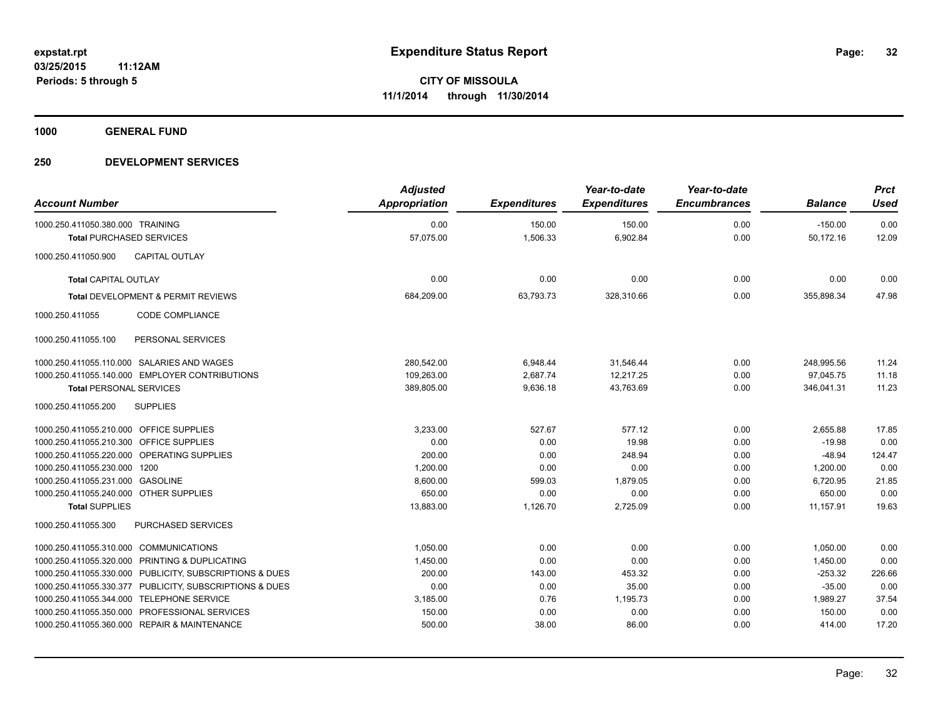**1000 GENERAL FUND**

| <b>Account Number</b>                                               |                                                         | <b>Adjusted</b><br><b>Appropriation</b> | <b>Expenditures</b> | Year-to-date<br><b>Expenditures</b> | Year-to-date<br><b>Encumbrances</b> | <b>Balance</b>         | <b>Prct</b><br><b>Used</b> |
|---------------------------------------------------------------------|---------------------------------------------------------|-----------------------------------------|---------------------|-------------------------------------|-------------------------------------|------------------------|----------------------------|
| 1000.250.411050.380.000 TRAINING<br><b>Total PURCHASED SERVICES</b> |                                                         | 0.00<br>57,075.00                       | 150.00<br>1,506.33  | 150.00<br>6,902.84                  | 0.00<br>0.00                        | $-150.00$<br>50,172.16 | 0.00<br>12.09              |
|                                                                     |                                                         |                                         |                     |                                     |                                     |                        |                            |
| 1000.250.411050.900                                                 | <b>CAPITAL OUTLAY</b>                                   |                                         |                     |                                     |                                     |                        |                            |
| <b>Total CAPITAL OUTLAY</b>                                         |                                                         | 0.00                                    | 0.00                | 0.00                                | 0.00                                | 0.00                   | 0.00                       |
| Total DEVELOPMENT & PERMIT REVIEWS                                  |                                                         | 684,209.00                              | 63,793.73           | 328,310.66                          | 0.00                                | 355,898.34             | 47.98                      |
| 1000.250.411055                                                     | <b>CODE COMPLIANCE</b>                                  |                                         |                     |                                     |                                     |                        |                            |
| 1000.250.411055.100                                                 | PERSONAL SERVICES                                       |                                         |                     |                                     |                                     |                        |                            |
|                                                                     | 1000.250.411055.110.000 SALARIES AND WAGES              | 280,542.00                              | 6,948.44            | 31,546.44                           | 0.00                                | 248,995.56             | 11.24                      |
|                                                                     | 1000.250.411055.140.000 EMPLOYER CONTRIBUTIONS          | 109,263.00                              | 2,687.74            | 12,217.25                           | 0.00                                | 97,045.75              | 11.18                      |
| <b>Total PERSONAL SERVICES</b>                                      |                                                         | 389,805.00                              | 9,636.18            | 43,763.69                           | 0.00                                | 346,041.31             | 11.23                      |
| 1000.250.411055.200                                                 | <b>SUPPLIES</b>                                         |                                         |                     |                                     |                                     |                        |                            |
| 1000.250.411055.210.000 OFFICE SUPPLIES                             |                                                         | 3.233.00                                | 527.67              | 577.12                              | 0.00                                | 2,655.88               | 17.85                      |
| 1000.250.411055.210.300 OFFICE SUPPLIES                             |                                                         | 0.00                                    | 0.00                | 19.98                               | 0.00                                | $-19.98$               | 0.00                       |
|                                                                     | 1000.250.411055.220.000 OPERATING SUPPLIES              | 200.00                                  | 0.00                | 248.94                              | 0.00                                | $-48.94$               | 124.47                     |
| 1000.250.411055.230.000 1200                                        |                                                         | 1,200.00                                | 0.00                | 0.00                                | 0.00                                | 1,200.00               | 0.00                       |
| 1000.250.411055.231.000 GASOLINE                                    |                                                         | 8,600.00                                | 599.03              | 1,879.05                            | 0.00                                | 6,720.95               | 21.85                      |
| 1000.250.411055.240.000 OTHER SUPPLIES                              |                                                         | 650.00                                  | 0.00                | 0.00                                | 0.00                                | 650.00                 | 0.00                       |
| <b>Total SUPPLIES</b>                                               |                                                         | 13,883.00                               | 1,126.70            | 2,725.09                            | 0.00                                | 11,157.91              | 19.63                      |
| 1000.250.411055.300                                                 | <b>PURCHASED SERVICES</b>                               |                                         |                     |                                     |                                     |                        |                            |
| 1000.250.411055.310.000 COMMUNICATIONS                              |                                                         | 1,050.00                                | 0.00                | 0.00                                | 0.00                                | 1,050.00               | 0.00                       |
|                                                                     | 1000.250.411055.320.000 PRINTING & DUPLICATING          | 1,450.00                                | 0.00                | 0.00                                | 0.00                                | 1,450.00               | 0.00                       |
|                                                                     | 1000.250.411055.330.000 PUBLICITY, SUBSCRIPTIONS & DUES | 200.00                                  | 143.00              | 453.32                              | 0.00                                | $-253.32$              | 226.66                     |
|                                                                     | 1000.250.411055.330.377 PUBLICITY, SUBSCRIPTIONS & DUES | 0.00                                    | 0.00                | 35.00                               | 0.00                                | $-35.00$               | 0.00                       |
|                                                                     | 1000.250.411055.344.000 TELEPHONE SERVICE               | 3,185.00                                | 0.76                | 1,195.73                            | 0.00                                | 1,989.27               | 37.54                      |
|                                                                     | 1000.250.411055.350.000 PROFESSIONAL SERVICES           | 150.00                                  | 0.00                | 0.00                                | 0.00                                | 150.00                 | 0.00                       |
|                                                                     | 1000.250.411055.360.000 REPAIR & MAINTENANCE            | 500.00                                  | 38.00               | 86.00                               | 0.00                                | 414.00                 | 17.20                      |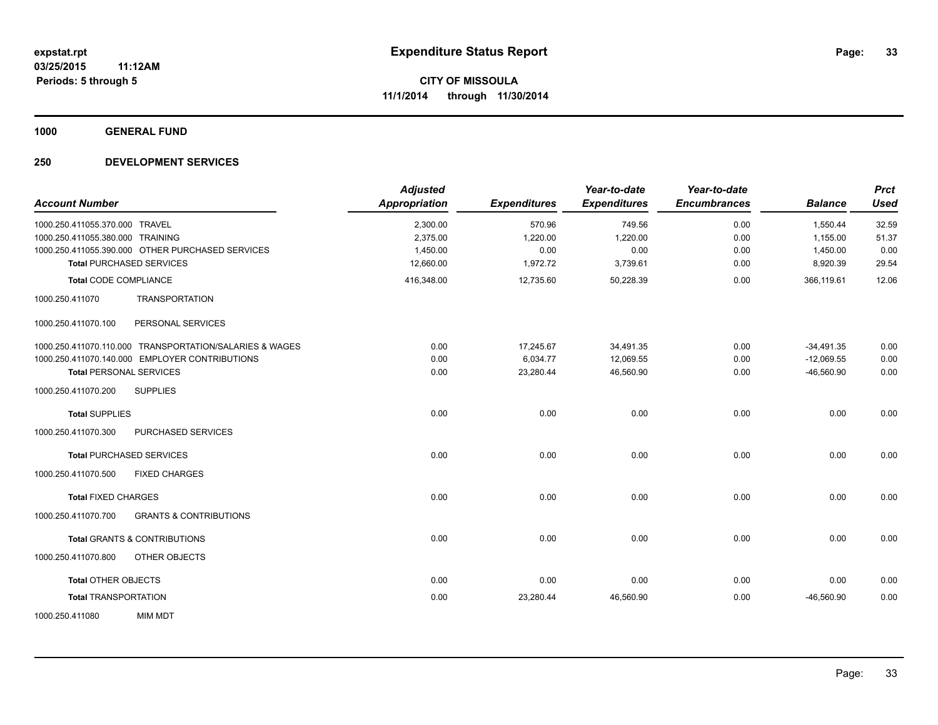**1000 GENERAL FUND**

| <b>Account Number</b>                                                                | <b>Adjusted</b><br><b>Appropriation</b> | <b>Expenditures</b> | Year-to-date<br><b>Expenditures</b> | Year-to-date<br><b>Encumbrances</b> | <b>Balance</b>       | <b>Prct</b><br><b>Used</b> |
|--------------------------------------------------------------------------------------|-----------------------------------------|---------------------|-------------------------------------|-------------------------------------|----------------------|----------------------------|
| 1000.250.411055.370.000 TRAVEL                                                       | 2,300.00                                | 570.96              | 749.56                              | 0.00                                | 1,550.44             | 32.59                      |
| 1000.250.411055.380.000 TRAINING<br>1000.250.411055.390.000 OTHER PURCHASED SERVICES | 2,375.00<br>1,450.00                    | 1,220.00<br>0.00    | 1,220.00<br>0.00                    | 0.00<br>0.00                        | 1,155.00<br>1,450.00 | 51.37<br>0.00              |
| <b>Total PURCHASED SERVICES</b>                                                      | 12,660.00                               | 1,972.72            | 3,739.61                            | 0.00                                | 8,920.39             | 29.54                      |
| <b>Total CODE COMPLIANCE</b>                                                         | 416,348.00                              | 12,735.60           | 50,228.39                           | 0.00                                | 366.119.61           | 12.06                      |
| 1000.250.411070<br><b>TRANSPORTATION</b>                                             |                                         |                     |                                     |                                     |                      |                            |
| PERSONAL SERVICES<br>1000.250.411070.100                                             |                                         |                     |                                     |                                     |                      |                            |
| 1000.250.411070.110.000 TRANSPORTATION/SALARIES & WAGES                              | 0.00                                    | 17,245.67           | 34,491.35                           | 0.00                                | $-34,491.35$         | 0.00                       |
| 1000.250.411070.140.000 EMPLOYER CONTRIBUTIONS                                       | 0.00                                    | 6,034.77            | 12,069.55                           | 0.00                                | $-12,069.55$         | 0.00                       |
| <b>Total PERSONAL SERVICES</b>                                                       | 0.00                                    | 23,280.44           | 46,560.90                           | 0.00                                | $-46,560.90$         | 0.00                       |
| <b>SUPPLIES</b><br>1000.250.411070.200                                               |                                         |                     |                                     |                                     |                      |                            |
| <b>Total SUPPLIES</b>                                                                | 0.00                                    | 0.00                | 0.00                                | 0.00                                | 0.00                 | 0.00                       |
| 1000.250.411070.300<br>PURCHASED SERVICES                                            |                                         |                     |                                     |                                     |                      |                            |
| <b>Total PURCHASED SERVICES</b>                                                      | 0.00                                    | 0.00                | 0.00                                | 0.00                                | 0.00                 | 0.00                       |
| 1000.250.411070.500<br><b>FIXED CHARGES</b>                                          |                                         |                     |                                     |                                     |                      |                            |
| <b>Total FIXED CHARGES</b>                                                           | 0.00                                    | 0.00                | 0.00                                | 0.00                                | 0.00                 | 0.00                       |
| <b>GRANTS &amp; CONTRIBUTIONS</b><br>1000.250.411070.700                             |                                         |                     |                                     |                                     |                      |                            |
| <b>Total GRANTS &amp; CONTRIBUTIONS</b>                                              | 0.00                                    | 0.00                | 0.00                                | 0.00                                | 0.00                 | 0.00                       |
| OTHER OBJECTS<br>1000.250.411070.800                                                 |                                         |                     |                                     |                                     |                      |                            |
| <b>Total OTHER OBJECTS</b>                                                           | 0.00                                    | 0.00                | 0.00                                | 0.00                                | 0.00                 | 0.00                       |
| <b>Total TRANSPORTATION</b>                                                          | 0.00                                    | 23,280.44           | 46,560.90                           | 0.00                                | $-46,560.90$         | 0.00                       |
| <b>MIM MDT</b><br>1000.250.411080                                                    |                                         |                     |                                     |                                     |                      |                            |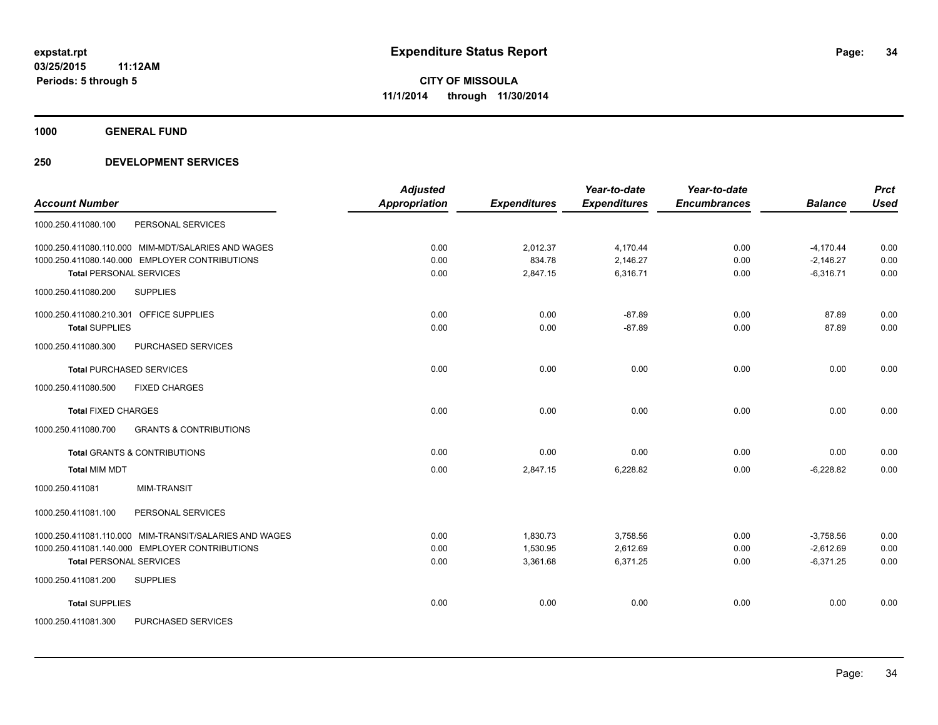**1000 GENERAL FUND**

|                                                          | <b>Adjusted</b>      |                     | Year-to-date        | Year-to-date        |                | <b>Prct</b> |
|----------------------------------------------------------|----------------------|---------------------|---------------------|---------------------|----------------|-------------|
| <b>Account Number</b>                                    | <b>Appropriation</b> | <b>Expenditures</b> | <b>Expenditures</b> | <b>Encumbrances</b> | <b>Balance</b> | <b>Used</b> |
| 1000.250.411080.100<br>PERSONAL SERVICES                 |                      |                     |                     |                     |                |             |
| 1000.250.411080.110.000 MIM-MDT/SALARIES AND WAGES       | 0.00                 | 2,012.37            | 4,170.44            | 0.00                | $-4,170.44$    | 0.00        |
| 1000.250.411080.140.000 EMPLOYER CONTRIBUTIONS           | 0.00                 | 834.78              | 2,146.27            | 0.00                | $-2,146.27$    | 0.00        |
| <b>Total PERSONAL SERVICES</b>                           | 0.00                 | 2,847.15            | 6,316.71            | 0.00                | $-6,316.71$    | 0.00        |
| 1000.250.411080.200<br><b>SUPPLIES</b>                   |                      |                     |                     |                     |                |             |
| 1000.250.411080.210.301 OFFICE SUPPLIES                  | 0.00                 | 0.00                | $-87.89$            | 0.00                | 87.89          | 0.00        |
| <b>Total SUPPLIES</b>                                    | 0.00                 | 0.00                | $-87.89$            | 0.00                | 87.89          | 0.00        |
| 1000.250.411080.300<br>PURCHASED SERVICES                |                      |                     |                     |                     |                |             |
| <b>Total PURCHASED SERVICES</b>                          | 0.00                 | 0.00                | 0.00                | 0.00                | 0.00           | 0.00        |
| <b>FIXED CHARGES</b><br>1000.250.411080.500              |                      |                     |                     |                     |                |             |
| <b>Total FIXED CHARGES</b>                               | 0.00                 | 0.00                | 0.00                | 0.00                | 0.00           | 0.00        |
| 1000.250.411080.700<br><b>GRANTS &amp; CONTRIBUTIONS</b> |                      |                     |                     |                     |                |             |
| <b>Total GRANTS &amp; CONTRIBUTIONS</b>                  | 0.00                 | 0.00                | 0.00                | 0.00                | 0.00           | 0.00        |
| <b>Total MIM MDT</b>                                     | 0.00                 | 2,847.15            | 6,228.82            | 0.00                | $-6.228.82$    | 0.00        |
| <b>MIM-TRANSIT</b><br>1000.250.411081                    |                      |                     |                     |                     |                |             |
| 1000.250.411081.100<br>PERSONAL SERVICES                 |                      |                     |                     |                     |                |             |
| 1000.250.411081.110.000 MIM-TRANSIT/SALARIES AND WAGES   | 0.00                 | 1,830.73            | 3,758.56            | 0.00                | $-3.758.56$    | 0.00        |
| 1000.250.411081.140.000 EMPLOYER CONTRIBUTIONS           | 0.00                 | 1,530.95            | 2,612.69            | 0.00                | $-2,612.69$    | 0.00        |
| <b>Total PERSONAL SERVICES</b>                           | 0.00                 | 3,361.68            | 6,371.25            | 0.00                | $-6,371.25$    | 0.00        |
| 1000.250.411081.200<br><b>SUPPLIES</b>                   |                      |                     |                     |                     |                |             |
| <b>Total SUPPLIES</b>                                    | 0.00                 | 0.00                | 0.00                | 0.00                | 0.00           | 0.00        |
| 1000.250.411081.300<br>PURCHASED SERVICES                |                      |                     |                     |                     |                |             |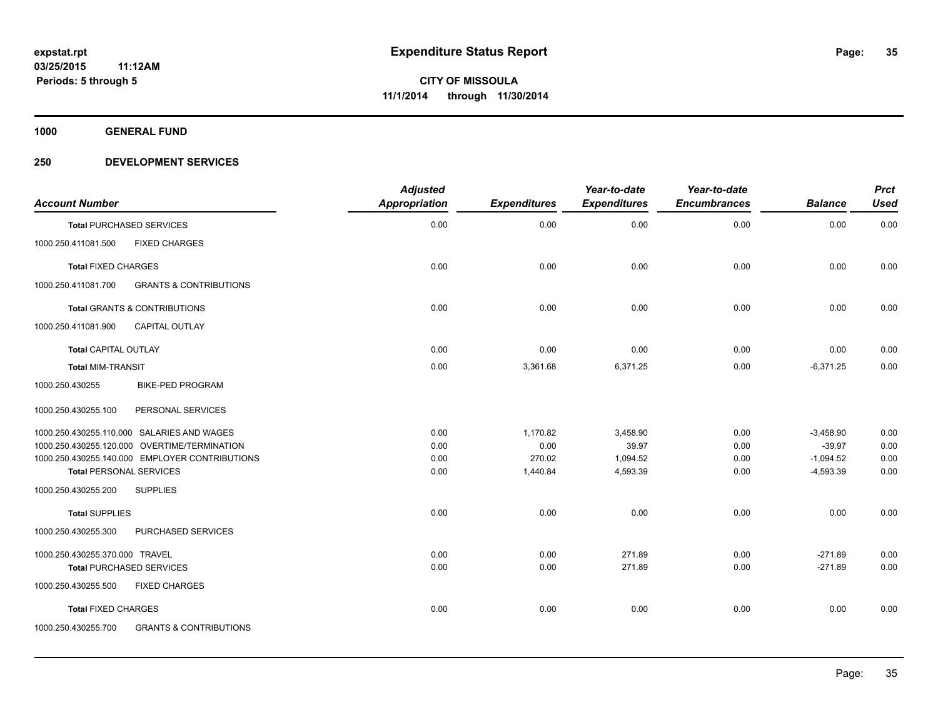**1000 GENERAL FUND**

| <b>Account Number</b>                          |                                   | <b>Adjusted</b><br>Appropriation | <b>Expenditures</b> | Year-to-date<br><b>Expenditures</b> | Year-to-date<br><b>Encumbrances</b> | <b>Balance</b> | <b>Prct</b><br><b>Used</b> |
|------------------------------------------------|-----------------------------------|----------------------------------|---------------------|-------------------------------------|-------------------------------------|----------------|----------------------------|
| <b>Total PURCHASED SERVICES</b>                |                                   | 0.00                             | 0.00                | 0.00                                | 0.00                                | 0.00           | 0.00                       |
| 1000.250.411081.500<br><b>FIXED CHARGES</b>    |                                   |                                  |                     |                                     |                                     |                |                            |
| <b>Total FIXED CHARGES</b>                     |                                   | 0.00                             | 0.00                | 0.00                                | 0.00                                | 0.00           | 0.00                       |
| 1000.250.411081.700                            | <b>GRANTS &amp; CONTRIBUTIONS</b> |                                  |                     |                                     |                                     |                |                            |
| <b>Total GRANTS &amp; CONTRIBUTIONS</b>        |                                   | 0.00                             | 0.00                | 0.00                                | 0.00                                | 0.00           | 0.00                       |
| 1000.250.411081.900<br><b>CAPITAL OUTLAY</b>   |                                   |                                  |                     |                                     |                                     |                |                            |
| <b>Total CAPITAL OUTLAY</b>                    |                                   | 0.00                             | 0.00                | 0.00                                | 0.00                                | 0.00           | 0.00                       |
| <b>Total MIM-TRANSIT</b>                       |                                   | 0.00                             | 3,361.68            | 6,371.25                            | 0.00                                | $-6,371.25$    | 0.00                       |
| <b>BIKE-PED PROGRAM</b><br>1000.250.430255     |                                   |                                  |                     |                                     |                                     |                |                            |
| 1000.250.430255.100<br>PERSONAL SERVICES       |                                   |                                  |                     |                                     |                                     |                |                            |
| 1000.250.430255.110.000 SALARIES AND WAGES     |                                   | 0.00                             | 1,170.82            | 3,458.90                            | 0.00                                | $-3,458.90$    | 0.00                       |
| 1000.250.430255.120.000 OVERTIME/TERMINATION   |                                   | 0.00                             | 0.00                | 39.97                               | 0.00                                | $-39.97$       | 0.00                       |
| 1000.250.430255.140.000 EMPLOYER CONTRIBUTIONS |                                   | 0.00                             | 270.02              | 1,094.52                            | 0.00                                | $-1,094.52$    | 0.00                       |
| <b>Total PERSONAL SERVICES</b>                 |                                   | 0.00                             | 1,440.84            | 4,593.39                            | 0.00                                | $-4,593.39$    | 0.00                       |
| 1000.250.430255.200<br><b>SUPPLIES</b>         |                                   |                                  |                     |                                     |                                     |                |                            |
| <b>Total SUPPLIES</b>                          |                                   | 0.00                             | 0.00                | 0.00                                | 0.00                                | 0.00           | 0.00                       |
| 1000.250.430255.300                            | PURCHASED SERVICES                |                                  |                     |                                     |                                     |                |                            |
| 1000.250.430255.370.000 TRAVEL                 |                                   | 0.00                             | 0.00                | 271.89                              | 0.00                                | $-271.89$      | 0.00                       |
| <b>Total PURCHASED SERVICES</b>                |                                   | 0.00                             | 0.00                | 271.89                              | 0.00                                | $-271.89$      | 0.00                       |
| 1000.250.430255.500<br><b>FIXED CHARGES</b>    |                                   |                                  |                     |                                     |                                     |                |                            |
| <b>Total FIXED CHARGES</b>                     |                                   | 0.00                             | 0.00                | 0.00                                | 0.00                                | 0.00           | 0.00                       |
| 1000.250.430255.700                            | <b>GRANTS &amp; CONTRIBUTIONS</b> |                                  |                     |                                     |                                     |                |                            |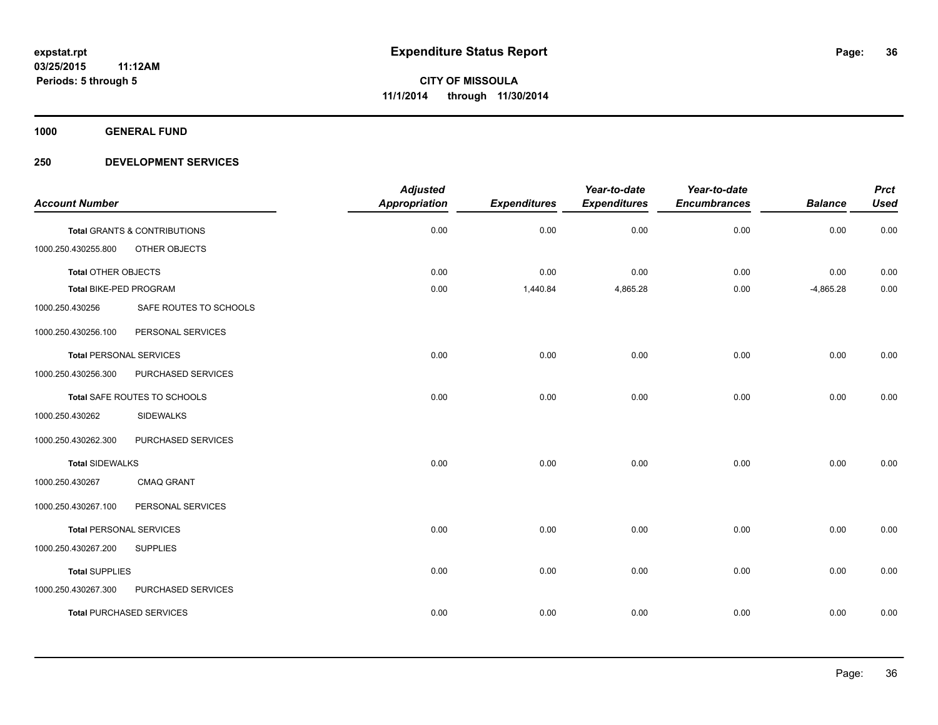**1000 GENERAL FUND**

| <b>Account Number</b>          |                                         | <b>Adjusted</b><br><b>Appropriation</b> | <b>Expenditures</b> | Year-to-date<br><b>Expenditures</b> | Year-to-date<br><b>Encumbrances</b> | <b>Balance</b> | <b>Prct</b><br><b>Used</b> |
|--------------------------------|-----------------------------------------|-----------------------------------------|---------------------|-------------------------------------|-------------------------------------|----------------|----------------------------|
|                                | <b>Total GRANTS &amp; CONTRIBUTIONS</b> | 0.00                                    | 0.00                | 0.00                                | 0.00                                | 0.00           | 0.00                       |
| 1000.250.430255.800            | OTHER OBJECTS                           |                                         |                     |                                     |                                     |                |                            |
| Total OTHER OBJECTS            |                                         | 0.00                                    | 0.00                | 0.00                                | 0.00                                | 0.00           | 0.00                       |
| Total BIKE-PED PROGRAM         |                                         | 0.00                                    | 1,440.84            | 4,865.28                            | 0.00                                | $-4,865.28$    | 0.00                       |
| 1000.250.430256                | SAFE ROUTES TO SCHOOLS                  |                                         |                     |                                     |                                     |                |                            |
| 1000.250.430256.100            | PERSONAL SERVICES                       |                                         |                     |                                     |                                     |                |                            |
| <b>Total PERSONAL SERVICES</b> |                                         | 0.00                                    | 0.00                | 0.00                                | 0.00                                | 0.00           | 0.00                       |
| 1000.250.430256.300            | PURCHASED SERVICES                      |                                         |                     |                                     |                                     |                |                            |
|                                | Total SAFE ROUTES TO SCHOOLS            | 0.00                                    | 0.00                | 0.00                                | 0.00                                | 0.00           | 0.00                       |
| 1000.250.430262                | <b>SIDEWALKS</b>                        |                                         |                     |                                     |                                     |                |                            |
| 1000.250.430262.300            | PURCHASED SERVICES                      |                                         |                     |                                     |                                     |                |                            |
| <b>Total SIDEWALKS</b>         |                                         | 0.00                                    | 0.00                | 0.00                                | 0.00                                | 0.00           | 0.00                       |
| 1000.250.430267                | <b>CMAQ GRANT</b>                       |                                         |                     |                                     |                                     |                |                            |
| 1000.250.430267.100            | PERSONAL SERVICES                       |                                         |                     |                                     |                                     |                |                            |
| <b>Total PERSONAL SERVICES</b> |                                         | 0.00                                    | 0.00                | 0.00                                | 0.00                                | 0.00           | 0.00                       |
| 1000.250.430267.200            | <b>SUPPLIES</b>                         |                                         |                     |                                     |                                     |                |                            |
| <b>Total SUPPLIES</b>          |                                         | 0.00                                    | 0.00                | 0.00                                | 0.00                                | 0.00           | 0.00                       |
| 1000.250.430267.300            | PURCHASED SERVICES                      |                                         |                     |                                     |                                     |                |                            |
|                                | <b>Total PURCHASED SERVICES</b>         | 0.00                                    | 0.00                | 0.00                                | 0.00                                | 0.00           | 0.00                       |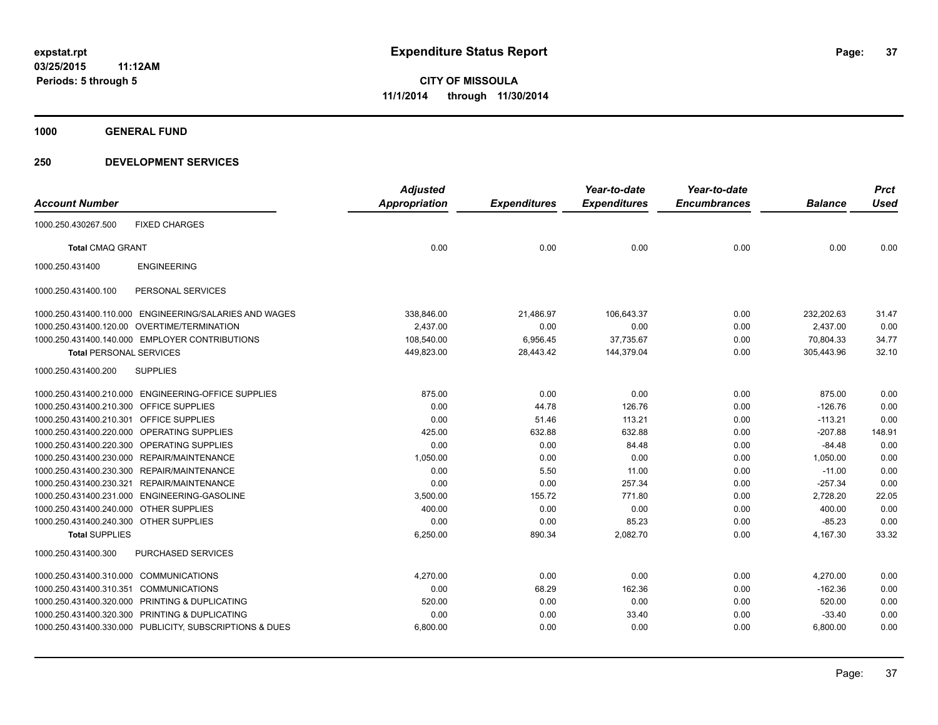**1000 GENERAL FUND**

## **250 DEVELOPMENT SERVICES**

| <b>Account Number</b>                   |                                                         | <b>Adjusted</b><br><b>Appropriation</b> | <b>Expenditures</b> | Year-to-date<br><b>Expenditures</b> | Year-to-date<br><b>Encumbrances</b> | <b>Balance</b> | <b>Prct</b><br><b>Used</b> |
|-----------------------------------------|---------------------------------------------------------|-----------------------------------------|---------------------|-------------------------------------|-------------------------------------|----------------|----------------------------|
|                                         |                                                         |                                         |                     |                                     |                                     |                |                            |
| 1000.250.430267.500                     | <b>FIXED CHARGES</b>                                    |                                         |                     |                                     |                                     |                |                            |
| <b>Total CMAQ GRANT</b>                 |                                                         | 0.00                                    | 0.00                | 0.00                                | 0.00                                | 0.00           | 0.00                       |
| 1000.250.431400                         | <b>ENGINEERING</b>                                      |                                         |                     |                                     |                                     |                |                            |
| 1000.250.431400.100                     | PERSONAL SERVICES                                       |                                         |                     |                                     |                                     |                |                            |
|                                         | 1000.250.431400.110.000 ENGINEERING/SALARIES AND WAGES  | 338,846.00                              | 21,486.97           | 106,643.37                          | 0.00                                | 232,202.63     | 31.47                      |
|                                         | 1000.250.431400.120.00 OVERTIME/TERMINATION             | 2,437.00                                | 0.00                | 0.00                                | 0.00                                | 2,437.00       | 0.00                       |
|                                         | 1000.250.431400.140.000 EMPLOYER CONTRIBUTIONS          | 108,540.00                              | 6,956.45            | 37,735.67                           | 0.00                                | 70,804.33      | 34.77                      |
| <b>Total PERSONAL SERVICES</b>          |                                                         | 449,823.00                              | 28,443.42           | 144,379.04                          | 0.00                                | 305,443.96     | 32.10                      |
| 1000.250.431400.200                     | <b>SUPPLIES</b>                                         |                                         |                     |                                     |                                     |                |                            |
|                                         | 1000.250.431400.210.000 ENGINEERING-OFFICE SUPPLIES     | 875.00                                  | 0.00                | 0.00                                | 0.00                                | 875.00         | 0.00                       |
| 1000.250.431400.210.300 OFFICE SUPPLIES |                                                         | 0.00                                    | 44.78               | 126.76                              | 0.00                                | $-126.76$      | 0.00                       |
| 1000.250.431400.210.301                 | OFFICE SUPPLIES                                         | 0.00                                    | 51.46               | 113.21                              | 0.00                                | $-113.21$      | 0.00                       |
| 1000.250.431400.220.000                 | OPERATING SUPPLIES                                      | 425.00                                  | 632.88              | 632.88                              | 0.00                                | $-207.88$      | 148.91                     |
| 1000.250.431400.220.300                 | OPERATING SUPPLIES                                      | 0.00                                    | 0.00                | 84.48                               | 0.00                                | $-84.48$       | 0.00                       |
|                                         | 1000.250.431400.230.000 REPAIR/MAINTENANCE              | 1,050.00                                | 0.00                | 0.00                                | 0.00                                | 1,050.00       | 0.00                       |
|                                         | 1000.250.431400.230.300 REPAIR/MAINTENANCE              | 0.00                                    | 5.50                | 11.00                               | 0.00                                | $-11.00$       | 0.00                       |
| 1000.250.431400.230.321                 | REPAIR/MAINTENANCE                                      | 0.00                                    | 0.00                | 257.34                              | 0.00                                | $-257.34$      | 0.00                       |
| 1000.250.431400.231.000                 | ENGINEERING-GASOLINE                                    | 3,500.00                                | 155.72              | 771.80                              | 0.00                                | 2,728.20       | 22.05                      |
| 1000.250.431400.240.000 OTHER SUPPLIES  |                                                         | 400.00                                  | 0.00                | 0.00                                | 0.00                                | 400.00         | 0.00                       |
| 1000.250.431400.240.300 OTHER SUPPLIES  |                                                         | 0.00                                    | 0.00                | 85.23                               | 0.00                                | $-85.23$       | 0.00                       |
| <b>Total SUPPLIES</b>                   |                                                         | 6,250.00                                | 890.34              | 2,082.70                            | 0.00                                | 4,167.30       | 33.32                      |
| 1000.250.431400.300                     | <b>PURCHASED SERVICES</b>                               |                                         |                     |                                     |                                     |                |                            |
| 1000.250.431400.310.000 COMMUNICATIONS  |                                                         | 4,270.00                                | 0.00                | 0.00                                | 0.00                                | 4,270.00       | 0.00                       |
| 1000.250.431400.310.351                 | <b>COMMUNICATIONS</b>                                   | 0.00                                    | 68.29               | 162.36                              | 0.00                                | $-162.36$      | 0.00                       |
| 1000.250.431400.320.000                 | PRINTING & DUPLICATING                                  | 520.00                                  | 0.00                | 0.00                                | 0.00                                | 520.00         | 0.00                       |
|                                         | 1000.250.431400.320.300 PRINTING & DUPLICATING          | 0.00                                    | 0.00                | 33.40                               | 0.00                                | $-33.40$       | 0.00                       |
|                                         | 1000.250.431400.330.000 PUBLICITY, SUBSCRIPTIONS & DUES | 6,800.00                                | 0.00                | 0.00                                | 0.00                                | 6,800.00       | 0.00                       |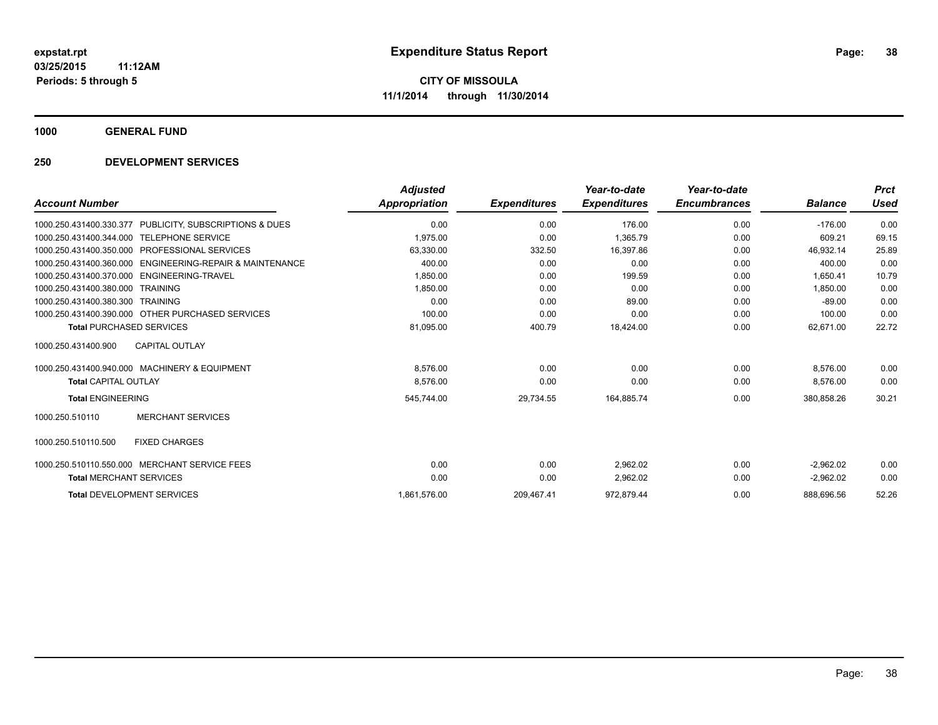**1000 GENERAL FUND**

## **250 DEVELOPMENT SERVICES**

| <b>Account Number</b>                                    | <b>Adjusted</b><br>Appropriation | <b>Expenditures</b> | Year-to-date<br><b>Expenditures</b> | Year-to-date<br><b>Encumbrances</b> | <b>Balance</b> | <b>Prct</b><br>Used |
|----------------------------------------------------------|----------------------------------|---------------------|-------------------------------------|-------------------------------------|----------------|---------------------|
| 1000.250.431400.330.377 PUBLICITY, SUBSCRIPTIONS & DUES  | 0.00                             | 0.00                | 176.00                              | 0.00                                | $-176.00$      | 0.00                |
| <b>TELEPHONE SERVICE</b><br>1000.250.431400.344.000      | 1.975.00                         | 0.00                | 1,365.79                            | 0.00                                | 609.21         | 69.15               |
| <b>PROFESSIONAL SERVICES</b><br>1000.250.431400.350.000  | 63,330.00                        | 332.50              | 16,397.86                           | 0.00                                | 46,932.14      | 25.89               |
| 1000.250.431400.360.000 ENGINEERING-REPAIR & MAINTENANCE | 400.00                           | 0.00                | 0.00                                | 0.00                                | 400.00         | 0.00                |
| ENGINEERING-TRAVEL<br>1000.250.431400.370.000            | 1,850.00                         | 0.00                | 199.59                              | 0.00                                | 1,650.41       | 10.79               |
| <b>TRAINING</b><br>1000.250.431400.380.000               | 1,850.00                         | 0.00                | 0.00                                | 0.00                                | 1,850.00       | 0.00                |
| 1000.250.431400.380.300<br><b>TRAINING</b>               | 0.00                             | 0.00                | 89.00                               | 0.00                                | $-89.00$       | 0.00                |
| 1000.250.431400.390.000 OTHER PURCHASED SERVICES         | 100.00                           | 0.00                | 0.00                                | 0.00                                | 100.00         | 0.00                |
| <b>Total PURCHASED SERVICES</b>                          | 81,095.00                        | 400.79              | 18,424.00                           | 0.00                                | 62.671.00      | 22.72               |
| <b>CAPITAL OUTLAY</b><br>1000.250.431400.900             |                                  |                     |                                     |                                     |                |                     |
| 1000.250.431400.940.000 MACHINERY & EQUIPMENT            | 8,576.00                         | 0.00                | 0.00                                | 0.00                                | 8.576.00       | 0.00                |
| <b>Total CAPITAL OUTLAY</b>                              | 8,576.00                         | 0.00                | 0.00                                | 0.00                                | 8,576.00       | 0.00                |
| <b>Total ENGINEERING</b>                                 | 545,744.00                       | 29,734.55           | 164,885.74                          | 0.00                                | 380,858.26     | 30.21               |
| <b>MERCHANT SERVICES</b><br>1000.250.510110              |                                  |                     |                                     |                                     |                |                     |
| 1000.250.510110.500<br><b>FIXED CHARGES</b>              |                                  |                     |                                     |                                     |                |                     |
| 1000.250.510110.550.000 MERCHANT SERVICE FEES            | 0.00                             | 0.00                | 2.962.02                            | 0.00                                | $-2.962.02$    | 0.00                |
| <b>Total MERCHANT SERVICES</b>                           | 0.00                             | 0.00                | 2,962.02                            | 0.00                                | $-2,962.02$    | 0.00                |
| <b>Total DEVELOPMENT SERVICES</b>                        | 1,861,576.00                     | 209,467.41          | 972,879.44                          | 0.00                                | 888.696.56     | 52.26               |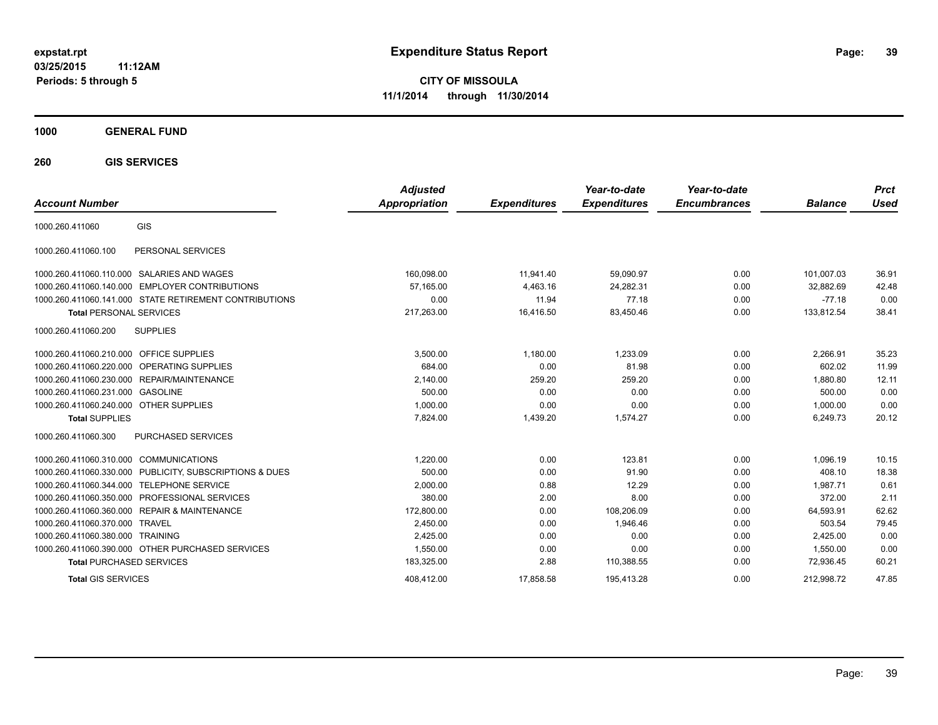**03/25/2015 11:12AM Periods: 5 through 5**

**CITY OF MISSOULA 11/1/2014 through 11/30/2014**

## **1000 GENERAL FUND**

**260 GIS SERVICES**

| <b>Account Number</b>                  |                                                        | <b>Adjusted</b><br><b>Appropriation</b> | <b>Expenditures</b> | Year-to-date<br><b>Expenditures</b> | Year-to-date<br><b>Encumbrances</b> | <b>Balance</b> | <b>Prct</b><br>Used |
|----------------------------------------|--------------------------------------------------------|-----------------------------------------|---------------------|-------------------------------------|-------------------------------------|----------------|---------------------|
| 1000.260.411060                        | GIS                                                    |                                         |                     |                                     |                                     |                |                     |
| 1000.260.411060.100                    | PERSONAL SERVICES                                      |                                         |                     |                                     |                                     |                |                     |
| 1000.260.411060.110.000                | SALARIES AND WAGES                                     | 160,098.00                              | 11,941.40           | 59,090.97                           | 0.00                                | 101,007.03     | 36.91               |
| 1000.260.411060.140.000                | <b>EMPLOYER CONTRIBUTIONS</b>                          | 57.165.00                               | 4,463.16            | 24,282.31                           | 0.00                                | 32,882.69      | 42.48               |
|                                        | 1000.260.411060.141.000 STATE RETIREMENT CONTRIBUTIONS | 0.00                                    | 11.94               | 77.18                               | 0.00                                | $-77.18$       | 0.00                |
| <b>Total PERSONAL SERVICES</b>         |                                                        | 217,263.00                              | 16,416.50           | 83,450.46                           | 0.00                                | 133,812.54     | 38.41               |
| 1000.260.411060.200                    | <b>SUPPLIES</b>                                        |                                         |                     |                                     |                                     |                |                     |
| 1000.260.411060.210.000                | <b>OFFICE SUPPLIES</b>                                 | 3,500.00                                | 1,180.00            | 1.233.09                            | 0.00                                | 2,266.91       | 35.23               |
| 1000.260.411060.220.000                | <b>OPERATING SUPPLIES</b>                              | 684.00                                  | 0.00                | 81.98                               | 0.00                                | 602.02         | 11.99               |
| 1000.260.411060.230.000                | REPAIR/MAINTENANCE                                     | 2,140.00                                | 259.20              | 259.20                              | 0.00                                | 1,880.80       | 12.11               |
| 1000.260.411060.231.000                | <b>GASOLINE</b>                                        | 500.00                                  | 0.00                | 0.00                                | 0.00                                | 500.00         | 0.00                |
| 1000.260.411060.240.000 OTHER SUPPLIES |                                                        | 1,000.00                                | 0.00                | 0.00                                | 0.00                                | 1,000.00       | 0.00                |
| <b>Total SUPPLIES</b>                  |                                                        | 7,824.00                                | 1,439.20            | 1,574.27                            | 0.00                                | 6,249.73       | 20.12               |
| 1000.260.411060.300                    | PURCHASED SERVICES                                     |                                         |                     |                                     |                                     |                |                     |
| 1000.260.411060.310.000 COMMUNICATIONS |                                                        | 1.220.00                                | 0.00                | 123.81                              | 0.00                                | 1.096.19       | 10.15               |
| 1000.260.411060.330.000                | PUBLICITY, SUBSCRIPTIONS & DUES                        | 500.00                                  | 0.00                | 91.90                               | 0.00                                | 408.10         | 18.38               |
| 1000.260.411060.344.000                | <b>TELEPHONE SERVICE</b>                               | 2,000.00                                | 0.88                | 12.29                               | 0.00                                | 1.987.71       | 0.61                |
| 1000.260.411060.350.000                | PROFESSIONAL SERVICES                                  | 380.00                                  | 2.00                | 8.00                                | 0.00                                | 372.00         | 2.11                |
| 1000.260.411060.360.000                | <b>REPAIR &amp; MAINTENANCE</b>                        | 172,800.00                              | 0.00                | 108,206.09                          | 0.00                                | 64,593.91      | 62.62               |
| 1000.260.411060.370.000                | <b>TRAVEL</b>                                          | 2,450.00                                | 0.00                | 1.946.46                            | 0.00                                | 503.54         | 79.45               |
| 1000.260.411060.380.000                | <b>TRAINING</b>                                        | 2,425.00                                | 0.00                | 0.00                                | 0.00                                | 2,425.00       | 0.00                |
|                                        | 1000.260.411060.390.000 OTHER PURCHASED SERVICES       | 1,550.00                                | 0.00                | 0.00                                | 0.00                                | 1,550.00       | 0.00                |
| <b>Total PURCHASED SERVICES</b>        |                                                        | 183,325.00                              | 2.88                | 110,388.55                          | 0.00                                | 72,936.45      | 60.21               |
| <b>Total GIS SERVICES</b>              |                                                        | 408.412.00                              | 17.858.58           | 195.413.28                          | 0.00                                | 212.998.72     | 47.85               |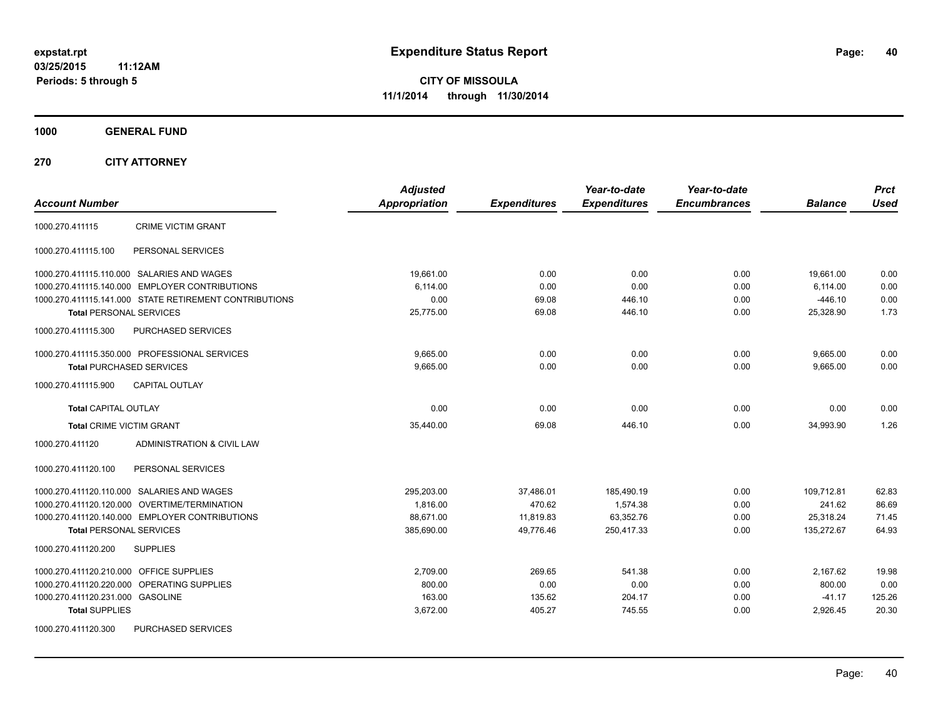**1000 GENERAL FUND**

**270 CITY ATTORNEY**

| <b>Account Number</b>                                  | <b>Adjusted</b><br><b>Appropriation</b> | <b>Expenditures</b> | Year-to-date<br><b>Expenditures</b> | Year-to-date<br><b>Encumbrances</b> | <b>Balance</b> | <b>Prct</b><br><b>Used</b> |
|--------------------------------------------------------|-----------------------------------------|---------------------|-------------------------------------|-------------------------------------|----------------|----------------------------|
| <b>CRIME VICTIM GRANT</b><br>1000.270.411115           |                                         |                     |                                     |                                     |                |                            |
| 1000.270.411115.100<br>PERSONAL SERVICES               |                                         |                     |                                     |                                     |                |                            |
| 1000.270.411115.110.000 SALARIES AND WAGES             | 19,661.00                               | 0.00                | 0.00                                | 0.00                                | 19,661.00      | 0.00                       |
| 1000.270.411115.140.000 EMPLOYER CONTRIBUTIONS         | 6.114.00                                | 0.00                | 0.00                                | 0.00                                | 6,114.00       | 0.00                       |
| 1000.270.411115.141.000 STATE RETIREMENT CONTRIBUTIONS | 0.00                                    | 69.08               | 446.10                              | 0.00                                | $-446.10$      | 0.00                       |
| <b>Total PERSONAL SERVICES</b>                         | 25,775.00                               | 69.08               | 446.10                              | 0.00                                | 25,328.90      | 1.73                       |
| <b>PURCHASED SERVICES</b><br>1000.270.411115.300       |                                         |                     |                                     |                                     |                |                            |
| 1000.270.411115.350.000 PROFESSIONAL SERVICES          | 9,665.00                                | 0.00                | 0.00                                | 0.00                                | 9,665.00       | 0.00                       |
| <b>Total PURCHASED SERVICES</b>                        | 9,665.00                                | 0.00                | 0.00                                | 0.00                                | 9,665.00       | 0.00                       |
| <b>CAPITAL OUTLAY</b><br>1000.270.411115.900           |                                         |                     |                                     |                                     |                |                            |
| <b>Total CAPITAL OUTLAY</b>                            | 0.00                                    | 0.00                | 0.00                                | 0.00                                | 0.00           | 0.00                       |
| <b>Total CRIME VICTIM GRANT</b>                        | 35,440.00                               | 69.08               | 446.10                              | 0.00                                | 34,993.90      | 1.26                       |
| 1000.270.411120<br>ADMINISTRATION & CIVIL LAW          |                                         |                     |                                     |                                     |                |                            |
| PERSONAL SERVICES<br>1000.270.411120.100               |                                         |                     |                                     |                                     |                |                            |
| 1000.270.411120.110.000 SALARIES AND WAGES             | 295,203.00                              | 37,486.01           | 185,490.19                          | 0.00                                | 109,712.81     | 62.83                      |
| 1000.270.411120.120.000 OVERTIME/TERMINATION           | 1,816.00                                | 470.62              | 1,574.38                            | 0.00                                | 241.62         | 86.69                      |
| 1000.270.411120.140.000 EMPLOYER CONTRIBUTIONS         | 88,671.00                               | 11,819.83           | 63,352.76                           | 0.00                                | 25,318.24      | 71.45                      |
| <b>Total PERSONAL SERVICES</b>                         | 385,690.00                              | 49,776.46           | 250,417.33                          | 0.00                                | 135,272.67     | 64.93                      |
| <b>SUPPLIES</b><br>1000.270.411120.200                 |                                         |                     |                                     |                                     |                |                            |
| 1000.270.411120.210.000<br><b>OFFICE SUPPLIES</b>      | 2,709.00                                | 269.65              | 541.38                              | 0.00                                | 2,167.62       | 19.98                      |
| 1000.270.411120.220.000 OPERATING SUPPLIES             | 800.00                                  | 0.00                | 0.00                                | 0.00                                | 800.00         | 0.00                       |
| 1000.270.411120.231.000 GASOLINE                       | 163.00                                  | 135.62              | 204.17                              | 0.00                                | $-41.17$       | 125.26                     |
| <b>Total SUPPLIES</b>                                  | 3,672.00                                | 405.27              | 745.55                              | 0.00                                | 2,926.45       | 20.30                      |
| 1000.270.411120.300<br><b>PURCHASED SERVICES</b>       |                                         |                     |                                     |                                     |                |                            |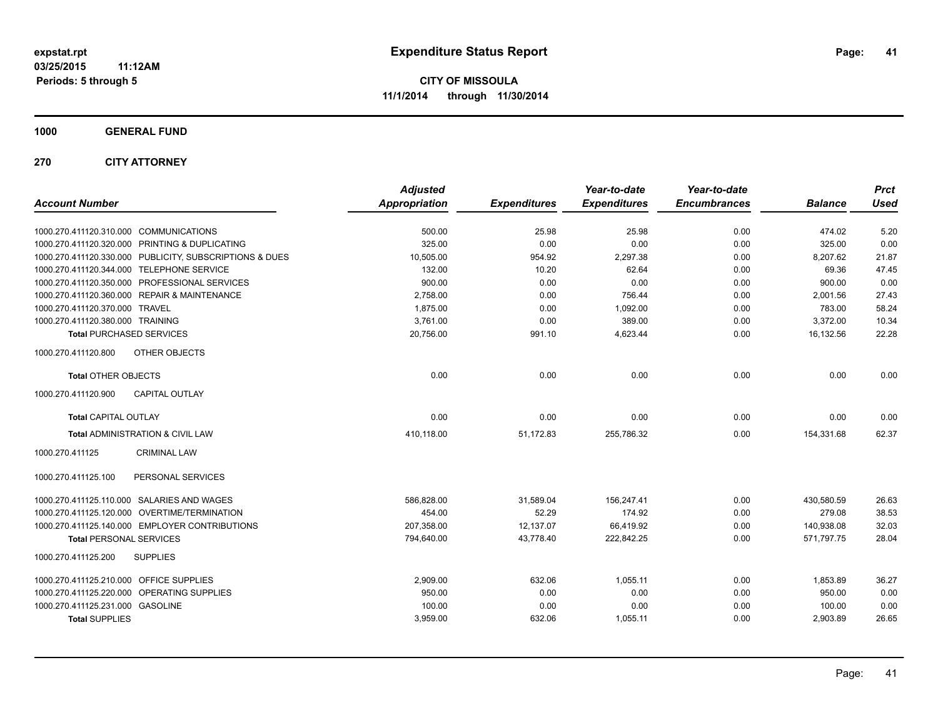**1000 GENERAL FUND**

**270 CITY ATTORNEY**

| 1000.270.411120.310.000 COMMUNICATIONS<br>500.00<br>25.98<br>25.98<br>0.00<br>474.02<br>1000.270.411120.320.000 PRINTING & DUPLICATING<br>325.00<br>0.00<br>0.00<br>0.00<br>325.00<br>1000.270.411120.330.000 PUBLICITY, SUBSCRIPTIONS & DUES<br>10,505.00<br>954.92<br>2,297.38<br>0.00<br>8,207.62<br>1000.270.411120.344.000 TELEPHONE SERVICE<br>132.00<br>10.20<br>62.64<br>0.00<br>69.36 | 5.20<br>0.00<br>21.87<br>47.45<br>0.00<br>27.43<br>58.24<br>10.34 |
|------------------------------------------------------------------------------------------------------------------------------------------------------------------------------------------------------------------------------------------------------------------------------------------------------------------------------------------------------------------------------------------------|-------------------------------------------------------------------|
|                                                                                                                                                                                                                                                                                                                                                                                                |                                                                   |
|                                                                                                                                                                                                                                                                                                                                                                                                |                                                                   |
|                                                                                                                                                                                                                                                                                                                                                                                                |                                                                   |
|                                                                                                                                                                                                                                                                                                                                                                                                |                                                                   |
| 1000.270.411120.350.000 PROFESSIONAL SERVICES<br>900.00<br>0.00<br>0.00<br>900.00<br>0.00                                                                                                                                                                                                                                                                                                      |                                                                   |
| 1000.270.411120.360.000 REPAIR & MAINTENANCE<br>2,758.00<br>756.44<br>0.00<br>0.00<br>2,001.56                                                                                                                                                                                                                                                                                                 |                                                                   |
| 1,875.00<br>1,092.00<br>0.00<br>783.00<br>1000.270.411120.370.000 TRAVEL<br>0.00                                                                                                                                                                                                                                                                                                               |                                                                   |
| 389.00<br>1000.270.411120.380.000 TRAINING<br>3,761.00<br>0.00<br>0.00<br>3,372.00                                                                                                                                                                                                                                                                                                             |                                                                   |
| 20,756.00<br>4,623.44<br>0.00<br>16,132.56<br><b>Total PURCHASED SERVICES</b><br>991.10                                                                                                                                                                                                                                                                                                        | 22.28                                                             |
| 1000.270.411120.800<br>OTHER OBJECTS                                                                                                                                                                                                                                                                                                                                                           |                                                                   |
| <b>Total OTHER OBJECTS</b><br>0.00<br>0.00<br>0.00<br>0.00<br>0.00                                                                                                                                                                                                                                                                                                                             | 0.00                                                              |
| <b>CAPITAL OUTLAY</b><br>1000.270.411120.900                                                                                                                                                                                                                                                                                                                                                   |                                                                   |
| 0.00<br>0.00<br>0.00<br>0.00<br>0.00<br><b>Total CAPITAL OUTLAY</b>                                                                                                                                                                                                                                                                                                                            | 0.00                                                              |
| Total ADMINISTRATION & CIVIL LAW<br>410,118.00<br>51,172.83<br>255,786.32<br>0.00<br>154,331.68                                                                                                                                                                                                                                                                                                | 62.37                                                             |
| 1000.270.411125<br><b>CRIMINAL LAW</b>                                                                                                                                                                                                                                                                                                                                                         |                                                                   |
| PERSONAL SERVICES<br>1000.270.411125.100                                                                                                                                                                                                                                                                                                                                                       |                                                                   |
| 1000.270.411125.110.000 SALARIES AND WAGES<br>586,828.00<br>31,589.04<br>156,247.41<br>0.00<br>430,580.59                                                                                                                                                                                                                                                                                      | 26.63                                                             |
| 1000.270.411125.120.000 OVERTIME/TERMINATION<br>454.00<br>52.29<br>174.92<br>0.00<br>279.08                                                                                                                                                                                                                                                                                                    | 38.53                                                             |
| 1000.270.411125.140.000 EMPLOYER CONTRIBUTIONS<br>207.358.00<br>12,137.07<br>66,419.92<br>0.00<br>140,938.08                                                                                                                                                                                                                                                                                   | 32.03                                                             |
| <b>Total PERSONAL SERVICES</b><br>794,640.00<br>43,778.40<br>0.00<br>571,797.75<br>222,842.25                                                                                                                                                                                                                                                                                                  | 28.04                                                             |
| 1000.270.411125.200<br><b>SUPPLIES</b>                                                                                                                                                                                                                                                                                                                                                         |                                                                   |
| 1000.270.411125.210.000 OFFICE SUPPLIES<br>2,909.00<br>1,055.11<br>632.06<br>0.00<br>1,853.89                                                                                                                                                                                                                                                                                                  | 36.27                                                             |
| 1000.270.411125.220.000 OPERATING SUPPLIES<br>950.00<br>0.00<br>0.00<br>0.00<br>950.00                                                                                                                                                                                                                                                                                                         | 0.00                                                              |
| 1000.270.411125.231.000 GASOLINE<br>100.00<br>0.00<br>0.00<br>0.00<br>100.00                                                                                                                                                                                                                                                                                                                   | 0.00                                                              |
| <b>Total SUPPLIES</b><br>1,055.11<br>0.00<br>3,959.00<br>632.06<br>2,903.89                                                                                                                                                                                                                                                                                                                    | 26.65                                                             |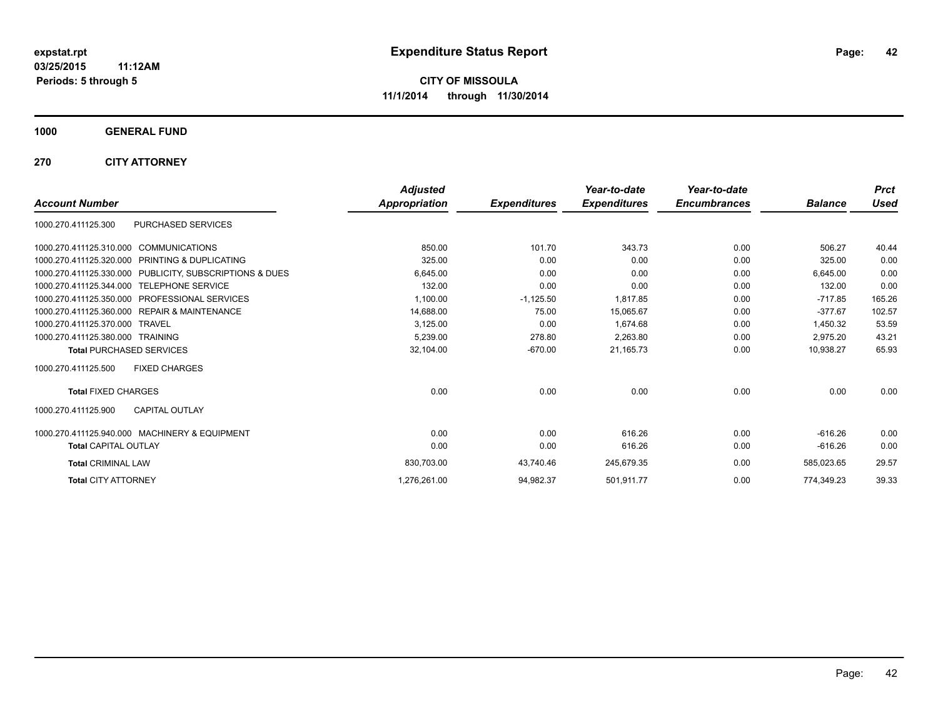**1000 GENERAL FUND**

**270 CITY ATTORNEY**

|                                                         | <b>Adjusted</b> |                     | Year-to-date        | Year-to-date        |                | <b>Prct</b> |
|---------------------------------------------------------|-----------------|---------------------|---------------------|---------------------|----------------|-------------|
| <b>Account Number</b>                                   | Appropriation   | <b>Expenditures</b> | <b>Expenditures</b> | <b>Encumbrances</b> | <b>Balance</b> | <b>Used</b> |
| PURCHASED SERVICES<br>1000.270.411125.300               |                 |                     |                     |                     |                |             |
| 1000.270.411125.310.000 COMMUNICATIONS                  | 850.00          | 101.70              | 343.73              | 0.00                | 506.27         | 40.44       |
| 1000.270.411125.320.000 PRINTING & DUPLICATING          | 325.00          | 0.00                | 0.00                | 0.00                | 325.00         | 0.00        |
| 1000.270.411125.330.000 PUBLICITY, SUBSCRIPTIONS & DUES | 6.645.00        | 0.00                | 0.00                | 0.00                | 6.645.00       | 0.00        |
| 1000.270.411125.344.000 TELEPHONE SERVICE               | 132.00          | 0.00                | 0.00                | 0.00                | 132.00         | 0.00        |
| 1000.270.411125.350.000 PROFESSIONAL SERVICES           | 1,100.00        | $-1,125.50$         | 1,817.85            | 0.00                | $-717.85$      | 165.26      |
| 1000.270.411125.360.000 REPAIR & MAINTENANCE            | 14,688.00       | 75.00               | 15,065.67           | 0.00                | $-377.67$      | 102.57      |
| 1000.270.411125.370.000 TRAVEL                          | 3,125.00        | 0.00                | 1.674.68            | 0.00                | 1,450.32       | 53.59       |
| 1000.270.411125.380.000 TRAINING                        | 5.239.00        | 278.80              | 2,263.80            | 0.00                | 2.975.20       | 43.21       |
| <b>Total PURCHASED SERVICES</b>                         | 32,104.00       | $-670.00$           | 21,165.73           | 0.00                | 10,938.27      | 65.93       |
| <b>FIXED CHARGES</b><br>1000.270.411125.500             |                 |                     |                     |                     |                |             |
| <b>Total FIXED CHARGES</b>                              | 0.00            | 0.00                | 0.00                | 0.00                | 0.00           | 0.00        |
| <b>CAPITAL OUTLAY</b><br>1000.270.411125.900            |                 |                     |                     |                     |                |             |
| 1000.270.411125.940.000 MACHINERY & EQUIPMENT           | 0.00            | 0.00                | 616.26              | 0.00                | $-616.26$      | 0.00        |
| <b>Total CAPITAL OUTLAY</b>                             | 0.00            | 0.00                | 616.26              | 0.00                | $-616.26$      | 0.00        |
| <b>Total CRIMINAL LAW</b>                               | 830,703.00      | 43,740.46           | 245,679.35          | 0.00                | 585,023.65     | 29.57       |
| <b>Total CITY ATTORNEY</b>                              | 1,276,261.00    | 94,982.37           | 501,911.77          | 0.00                | 774.349.23     | 39.33       |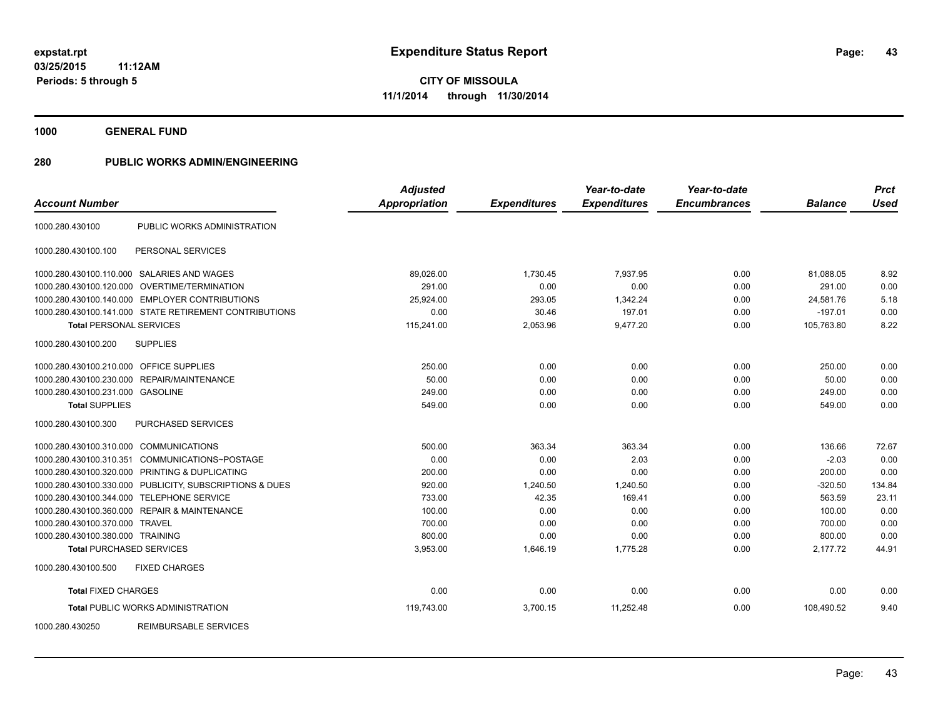**1000 GENERAL FUND**

| <b>Account Number</b>                   |                                                         | <b>Adjusted</b><br><b>Appropriation</b> | <b>Expenditures</b> | Year-to-date<br><b>Expenditures</b> | Year-to-date<br><b>Encumbrances</b> | <b>Balance</b> | <b>Prct</b><br><b>Used</b> |
|-----------------------------------------|---------------------------------------------------------|-----------------------------------------|---------------------|-------------------------------------|-------------------------------------|----------------|----------------------------|
|                                         |                                                         |                                         |                     |                                     |                                     |                |                            |
| 1000.280.430100                         | PUBLIC WORKS ADMINISTRATION                             |                                         |                     |                                     |                                     |                |                            |
| 1000.280.430100.100                     | PERSONAL SERVICES                                       |                                         |                     |                                     |                                     |                |                            |
|                                         | 1000.280.430100.110.000 SALARIES AND WAGES              | 89,026.00                               | 1,730.45            | 7.937.95                            | 0.00                                | 81,088.05      | 8.92                       |
|                                         | 1000.280.430100.120.000 OVERTIME/TERMINATION            | 291.00                                  | 0.00                | 0.00                                | 0.00                                | 291.00         | 0.00                       |
|                                         | 1000.280.430100.140.000 EMPLOYER CONTRIBUTIONS          | 25.924.00                               | 293.05              | 1,342.24                            | 0.00                                | 24.581.76      | 5.18                       |
|                                         | 1000.280.430100.141.000 STATE RETIREMENT CONTRIBUTIONS  | 0.00                                    | 30.46               | 197.01                              | 0.00                                | $-197.01$      | 0.00                       |
| <b>Total PERSONAL SERVICES</b>          |                                                         | 115,241.00                              | 2,053.96            | 9,477.20                            | 0.00                                | 105,763.80     | 8.22                       |
| 1000.280.430100.200                     | <b>SUPPLIES</b>                                         |                                         |                     |                                     |                                     |                |                            |
| 1000.280.430100.210.000 OFFICE SUPPLIES |                                                         | 250.00                                  | 0.00                | 0.00                                | 0.00                                | 250.00         | 0.00                       |
| 1000.280.430100.230.000                 | REPAIR/MAINTENANCE                                      | 50.00                                   | 0.00                | 0.00                                | 0.00                                | 50.00          | 0.00                       |
| 1000.280.430100.231.000 GASOLINE        |                                                         | 249.00                                  | 0.00                | 0.00                                | 0.00                                | 249.00         | 0.00                       |
| <b>Total SUPPLIES</b>                   |                                                         | 549.00                                  | 0.00                | 0.00                                | 0.00                                | 549.00         | 0.00                       |
| 1000.280.430100.300                     | PURCHASED SERVICES                                      |                                         |                     |                                     |                                     |                |                            |
| 1000.280.430100.310.000 COMMUNICATIONS  |                                                         | 500.00                                  | 363.34              | 363.34                              | 0.00                                | 136.66         | 72.67                      |
| 1000.280.430100.310.351                 | COMMUNICATIONS~POSTAGE                                  | 0.00                                    | 0.00                | 2.03                                | 0.00                                | $-2.03$        | 0.00                       |
|                                         | 1000.280.430100.320.000 PRINTING & DUPLICATING          | 200.00                                  | 0.00                | 0.00                                | 0.00                                | 200.00         | 0.00                       |
|                                         | 1000.280.430100.330.000 PUBLICITY, SUBSCRIPTIONS & DUES | 920.00                                  | 1,240.50            | 1,240.50                            | 0.00                                | $-320.50$      | 134.84                     |
|                                         | 1000.280.430100.344.000 TELEPHONE SERVICE               | 733.00                                  | 42.35               | 169.41                              | 0.00                                | 563.59         | 23.11                      |
|                                         | 1000.280.430100.360.000 REPAIR & MAINTENANCE            | 100.00                                  | 0.00                | 0.00                                | 0.00                                | 100.00         | 0.00                       |
| 1000.280.430100.370.000                 | TRAVEL                                                  | 700.00                                  | 0.00                | 0.00                                | 0.00                                | 700.00         | 0.00                       |
| 1000.280.430100.380.000 TRAINING        |                                                         | 800.00                                  | 0.00                | 0.00                                | 0.00                                | 800.00         | 0.00                       |
| <b>Total PURCHASED SERVICES</b>         |                                                         | 3,953.00                                | 1,646.19            | 1,775.28                            | 0.00                                | 2,177.72       | 44.91                      |
| 1000.280.430100.500                     | <b>FIXED CHARGES</b>                                    |                                         |                     |                                     |                                     |                |                            |
| <b>Total FIXED CHARGES</b>              |                                                         | 0.00                                    | 0.00                | 0.00                                | 0.00                                | 0.00           | 0.00                       |
|                                         | <b>Total PUBLIC WORKS ADMINISTRATION</b>                | 119,743.00                              | 3,700.15            | 11,252.48                           | 0.00                                | 108,490.52     | 9.40                       |
| 1000.280.430250                         | <b>REIMBURSABLE SERVICES</b>                            |                                         |                     |                                     |                                     |                |                            |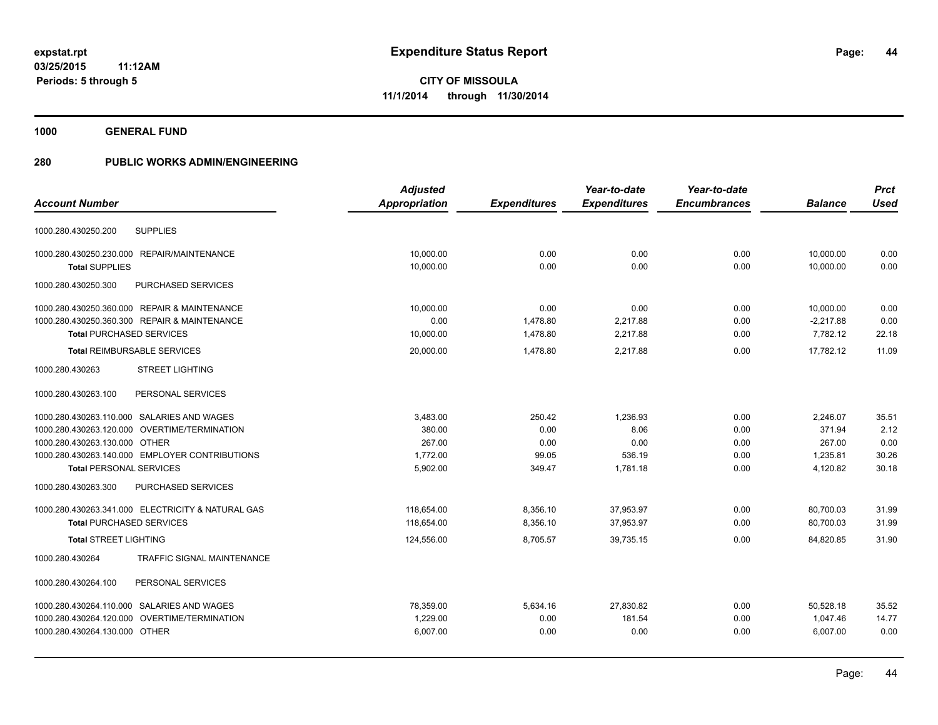**1000 GENERAL FUND**

|                                                      | <b>Adjusted</b> |                     | Year-to-date        | Year-to-date        |                | <b>Prct</b> |
|------------------------------------------------------|-----------------|---------------------|---------------------|---------------------|----------------|-------------|
| <b>Account Number</b>                                | Appropriation   | <b>Expenditures</b> | <b>Expenditures</b> | <b>Encumbrances</b> | <b>Balance</b> | <b>Used</b> |
| <b>SUPPLIES</b><br>1000.280.430250.200               |                 |                     |                     |                     |                |             |
| 1000.280.430250.230.000 REPAIR/MAINTENANCE           | 10,000.00       | 0.00                | 0.00                | 0.00                | 10,000.00      | 0.00        |
| <b>Total SUPPLIES</b>                                | 10.000.00       | 0.00                | 0.00                | 0.00                | 10.000.00      | 0.00        |
| 1000.280.430250.300<br>PURCHASED SERVICES            |                 |                     |                     |                     |                |             |
| 1000.280.430250.360.000 REPAIR & MAINTENANCE         | 10,000.00       | 0.00                | 0.00                | 0.00                | 10,000.00      | 0.00        |
| 1000.280.430250.360.300 REPAIR & MAINTENANCE         | 0.00            | 1,478.80            | 2,217.88            | 0.00                | $-2,217.88$    | 0.00        |
| <b>Total PURCHASED SERVICES</b>                      | 10,000.00       | 1,478.80            | 2,217.88            | 0.00                | 7,782.12       | 22.18       |
| <b>Total REIMBURSABLE SERVICES</b>                   | 20.000.00       | 1.478.80            | 2.217.88            | 0.00                | 17.782.12      | 11.09       |
| 1000.280.430263<br><b>STREET LIGHTING</b>            |                 |                     |                     |                     |                |             |
| 1000.280.430263.100<br>PERSONAL SERVICES             |                 |                     |                     |                     |                |             |
| 1000.280.430263.110.000 SALARIES AND WAGES           | 3,483.00        | 250.42              | 1,236.93            | 0.00                | 2,246.07       | 35.51       |
| 1000.280.430263.120.000 OVERTIME/TERMINATION         | 380.00          | 0.00                | 8.06                | 0.00                | 371.94         | 2.12        |
| 1000.280.430263.130.000 OTHER                        | 267.00          | 0.00                | 0.00                | 0.00                | 267.00         | 0.00        |
| 1000.280.430263.140.000 EMPLOYER CONTRIBUTIONS       | 1,772.00        | 99.05               | 536.19              | 0.00                | 1,235.81       | 30.26       |
| <b>Total PERSONAL SERVICES</b>                       | 5,902.00        | 349.47              | 1,781.18            | 0.00                | 4,120.82       | 30.18       |
| 1000.280.430263.300<br>PURCHASED SERVICES            |                 |                     |                     |                     |                |             |
| 1000.280.430263.341.000 ELECTRICITY & NATURAL GAS    | 118,654.00      | 8,356.10            | 37,953.97           | 0.00                | 80,700.03      | 31.99       |
| <b>Total PURCHASED SERVICES</b>                      | 118,654.00      | 8,356.10            | 37,953.97           | 0.00                | 80,700.03      | 31.99       |
| <b>Total STREET LIGHTING</b>                         | 124,556.00      | 8,705.57            | 39,735.15           | 0.00                | 84,820.85      | 31.90       |
| <b>TRAFFIC SIGNAL MAINTENANCE</b><br>1000.280.430264 |                 |                     |                     |                     |                |             |
| PERSONAL SERVICES<br>1000.280.430264.100             |                 |                     |                     |                     |                |             |
| 1000.280.430264.110.000 SALARIES AND WAGES           | 78,359.00       | 5,634.16            | 27,830.82           | 0.00                | 50,528.18      | 35.52       |
| 1000.280.430264.120.000 OVERTIME/TERMINATION         | 1,229.00        | 0.00                | 181.54              | 0.00                | 1,047.46       | 14.77       |
| 1000.280.430264.130.000 OTHER                        | 6,007.00        | 0.00                | 0.00                | 0.00                | 6,007.00       | 0.00        |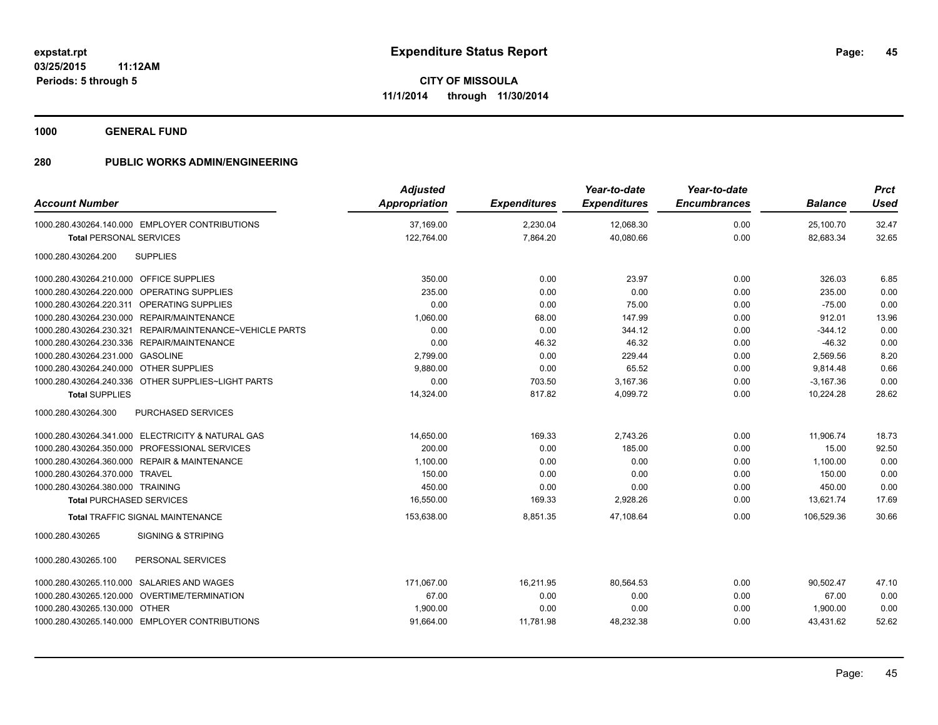**1000 GENERAL FUND**

| <b>Account Number</b>                   |                                                          | <b>Adjusted</b><br>Appropriation | <b>Expenditures</b> | Year-to-date<br><b>Expenditures</b> | Year-to-date<br><b>Encumbrances</b> | <b>Balance</b> | <b>Prct</b><br><b>Used</b> |
|-----------------------------------------|----------------------------------------------------------|----------------------------------|---------------------|-------------------------------------|-------------------------------------|----------------|----------------------------|
|                                         | 1000.280.430264.140.000 EMPLOYER CONTRIBUTIONS           | 37,169.00                        | 2,230.04            | 12,068.30                           | 0.00                                | 25,100.70      | 32.47                      |
| <b>Total PERSONAL SERVICES</b>          |                                                          | 122,764.00                       | 7,864.20            | 40,080.66                           | 0.00                                | 82,683.34      | 32.65                      |
| 1000.280.430264.200                     | <b>SUPPLIES</b>                                          |                                  |                     |                                     |                                     |                |                            |
| 1000.280.430264.210.000 OFFICE SUPPLIES |                                                          | 350.00                           | 0.00                | 23.97                               | 0.00                                | 326.03         | 6.85                       |
|                                         | 1000.280.430264.220.000 OPERATING SUPPLIES               | 235.00                           | 0.00                | 0.00                                | 0.00                                | 235.00         | 0.00                       |
|                                         | 1000.280.430264.220.311 OPERATING SUPPLIES               | 0.00                             | 0.00                | 75.00                               | 0.00                                | $-75.00$       | 0.00                       |
|                                         | 1000.280.430264.230.000 REPAIR/MAINTENANCE               | 1,060.00                         | 68.00               | 147.99                              | 0.00                                | 912.01         | 13.96                      |
|                                         | 1000.280.430264.230.321 REPAIR/MAINTENANCE~VEHICLE PARTS | 0.00                             | 0.00                | 344.12                              | 0.00                                | $-344.12$      | 0.00                       |
|                                         | 1000.280.430264.230.336 REPAIR/MAINTENANCE               | 0.00                             | 46.32               | 46.32                               | 0.00                                | $-46.32$       | 0.00                       |
| 1000.280.430264.231.000 GASOLINE        |                                                          | 2,799.00                         | 0.00                | 229.44                              | 0.00                                | 2,569.56       | 8.20                       |
| 1000.280.430264.240.000 OTHER SUPPLIES  |                                                          | 9,880.00                         | 0.00                | 65.52                               | 0.00                                | 9,814.48       | 0.66                       |
|                                         | 1000.280.430264.240.336 OTHER SUPPLIES~LIGHT PARTS       | 0.00                             | 703.50              | 3,167.36                            | 0.00                                | $-3,167.36$    | 0.00                       |
| <b>Total SUPPLIES</b>                   |                                                          | 14,324.00                        | 817.82              | 4,099.72                            | 0.00                                | 10,224.28      | 28.62                      |
| 1000.280.430264.300                     | <b>PURCHASED SERVICES</b>                                |                                  |                     |                                     |                                     |                |                            |
|                                         | 1000.280.430264.341.000 ELECTRICITY & NATURAL GAS        | 14,650.00                        | 169.33              | 2,743.26                            | 0.00                                | 11.906.74      | 18.73                      |
|                                         | 1000.280.430264.350.000 PROFESSIONAL SERVICES            | 200.00                           | 0.00                | 185.00                              | 0.00                                | 15.00          | 92.50                      |
|                                         | 1000.280.430264.360.000 REPAIR & MAINTENANCE             | 1.100.00                         | 0.00                | 0.00                                | 0.00                                | 1.100.00       | 0.00                       |
| 1000.280.430264.370.000 TRAVEL          |                                                          | 150.00                           | 0.00                | 0.00                                | 0.00                                | 150.00         | 0.00                       |
| 1000.280.430264.380.000 TRAINING        |                                                          | 450.00                           | 0.00                | 0.00                                | 0.00                                | 450.00         | 0.00                       |
| <b>Total PURCHASED SERVICES</b>         |                                                          | 16,550.00                        | 169.33              | 2,928.26                            | 0.00                                | 13,621.74      | 17.69                      |
|                                         | <b>Total TRAFFIC SIGNAL MAINTENANCE</b>                  | 153,638.00                       | 8,851.35            | 47,108.64                           | 0.00                                | 106,529.36     | 30.66                      |
| 1000.280.430265                         | <b>SIGNING &amp; STRIPING</b>                            |                                  |                     |                                     |                                     |                |                            |
| 1000.280.430265.100                     | PERSONAL SERVICES                                        |                                  |                     |                                     |                                     |                |                            |
|                                         | 1000.280.430265.110.000 SALARIES AND WAGES               | 171,067.00                       | 16,211.95           | 80,564.53                           | 0.00                                | 90,502.47      | 47.10                      |
|                                         | 1000.280.430265.120.000 OVERTIME/TERMINATION             | 67.00                            | 0.00                | 0.00                                | 0.00                                | 67.00          | 0.00                       |
| 1000.280.430265.130.000 OTHER           |                                                          | 1,900.00                         | 0.00                | 0.00                                | 0.00                                | 1,900.00       | 0.00                       |
|                                         | 1000.280.430265.140.000 EMPLOYER CONTRIBUTIONS           | 91,664.00                        | 11,781.98           | 48,232.38                           | 0.00                                | 43,431.62      | 52.62                      |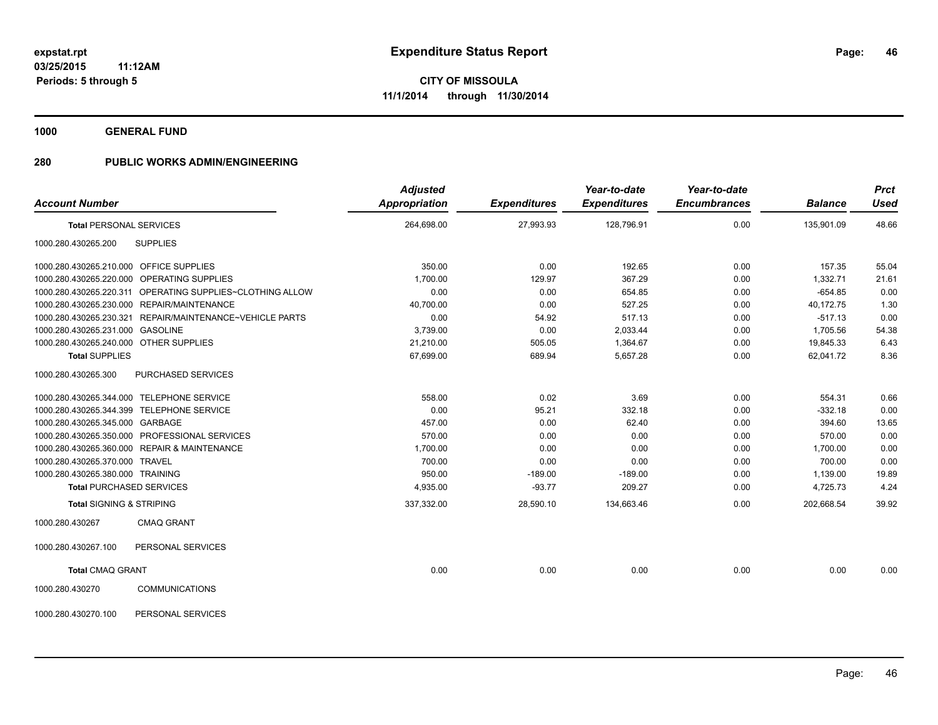**1000 GENERAL FUND**

| <b>Account Number</b>                   |                                                           | <b>Adjusted</b><br><b>Appropriation</b> | <b>Expenditures</b> | Year-to-date<br><b>Expenditures</b> | Year-to-date<br><b>Encumbrances</b> | <b>Balance</b> | <b>Prct</b><br>Used |
|-----------------------------------------|-----------------------------------------------------------|-----------------------------------------|---------------------|-------------------------------------|-------------------------------------|----------------|---------------------|
| <b>Total PERSONAL SERVICES</b>          |                                                           | 264,698.00                              | 27,993.93           | 128,796.91                          | 0.00                                | 135,901.09     | 48.66               |
| 1000.280.430265.200                     | <b>SUPPLIES</b>                                           |                                         |                     |                                     |                                     |                |                     |
| 1000.280.430265.210.000 OFFICE SUPPLIES |                                                           | 350.00                                  | 0.00                | 192.65                              | 0.00                                | 157.35         | 55.04               |
|                                         | 1000.280.430265.220.000 OPERATING SUPPLIES                | 1,700.00                                | 129.97              | 367.29                              | 0.00                                | 1,332.71       | 21.61               |
|                                         | 1000.280.430265.220.311 OPERATING SUPPLIES~CLOTHING ALLOW | 0.00                                    | 0.00                | 654.85                              | 0.00                                | $-654.85$      | 0.00                |
|                                         | 1000.280.430265.230.000 REPAIR/MAINTENANCE                | 40,700.00                               | 0.00                | 527.25                              | 0.00                                | 40,172.75      | 1.30                |
| 1000.280.430265.230.321                 | REPAIR/MAINTENANCE~VEHICLE PARTS                          | 0.00                                    | 54.92               | 517.13                              | 0.00                                | $-517.13$      | 0.00                |
| 1000.280.430265.231.000 GASOLINE        |                                                           | 3,739.00                                | 0.00                | 2,033.44                            | 0.00                                | 1,705.56       | 54.38               |
| 1000.280.430265.240.000 OTHER SUPPLIES  |                                                           | 21,210.00                               | 505.05              | 1,364.67                            | 0.00                                | 19,845.33      | 6.43                |
| <b>Total SUPPLIES</b>                   |                                                           | 67,699.00                               | 689.94              | 5,657.28                            | 0.00                                | 62,041.72      | 8.36                |
| 1000.280.430265.300                     | <b>PURCHASED SERVICES</b>                                 |                                         |                     |                                     |                                     |                |                     |
|                                         | 1000.280.430265.344.000 TELEPHONE SERVICE                 | 558.00                                  | 0.02                | 3.69                                | 0.00                                | 554.31         | 0.66                |
|                                         | 1000.280.430265.344.399 TELEPHONE SERVICE                 | 0.00                                    | 95.21               | 332.18                              | 0.00                                | $-332.18$      | 0.00                |
| 1000.280.430265.345.000 GARBAGE         |                                                           | 457.00                                  | 0.00                | 62.40                               | 0.00                                | 394.60         | 13.65               |
|                                         | 1000.280.430265.350.000 PROFESSIONAL SERVICES             | 570.00                                  | 0.00                | 0.00                                | 0.00                                | 570.00         | 0.00                |
|                                         | 1000.280.430265.360.000 REPAIR & MAINTENANCE              | 1,700.00                                | 0.00                | 0.00                                | 0.00                                | 1,700.00       | 0.00                |
| 1000.280.430265.370.000 TRAVEL          |                                                           | 700.00                                  | 0.00                | 0.00                                | 0.00                                | 700.00         | 0.00                |
| 1000.280.430265.380.000 TRAINING        |                                                           | 950.00                                  | $-189.00$           | $-189.00$                           | 0.00                                | 1,139.00       | 19.89               |
|                                         | <b>Total PURCHASED SERVICES</b>                           | 4,935.00                                | $-93.77$            | 209.27                              | 0.00                                | 4,725.73       | 4.24                |
| <b>Total SIGNING &amp; STRIPING</b>     |                                                           | 337,332.00                              | 28,590.10           | 134,663.46                          | 0.00                                | 202,668.54     | 39.92               |
| 1000.280.430267                         | <b>CMAQ GRANT</b>                                         |                                         |                     |                                     |                                     |                |                     |
| 1000.280.430267.100                     | PERSONAL SERVICES                                         |                                         |                     |                                     |                                     |                |                     |
| <b>Total CMAQ GRANT</b>                 |                                                           | 0.00                                    | 0.00                | 0.00                                | 0.00                                | 0.00           | 0.00                |
| 1000.280.430270                         | <b>COMMUNICATIONS</b>                                     |                                         |                     |                                     |                                     |                |                     |
| 1000.280.430270.100                     | PERSONAL SERVICES                                         |                                         |                     |                                     |                                     |                |                     |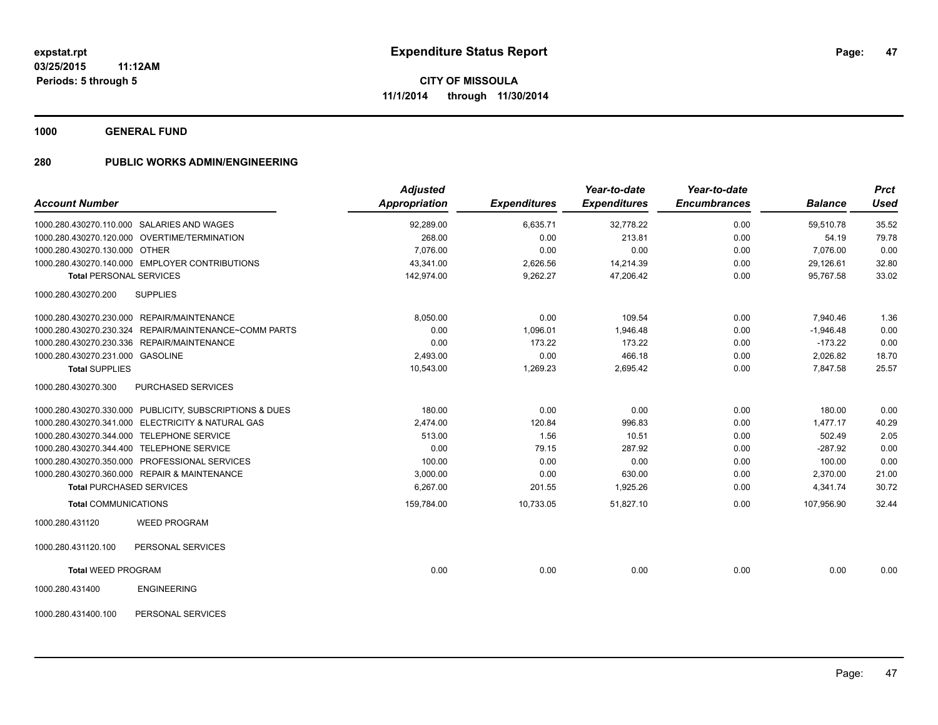**1000 GENERAL FUND**

| <b>Account Number</b>                                   | <b>Adjusted</b><br><b>Appropriation</b> | <b>Expenditures</b> | Year-to-date<br><b>Expenditures</b> | Year-to-date<br><b>Encumbrances</b> | <b>Balance</b> | <b>Prct</b><br>Used |
|---------------------------------------------------------|-----------------------------------------|---------------------|-------------------------------------|-------------------------------------|----------------|---------------------|
| 1000.280.430270.110.000 SALARIES AND WAGES              | 92,289.00                               | 6,635.71            | 32,778.22                           | 0.00                                | 59,510.78      | 35.52               |
| 1000.280.430270.120.000 OVERTIME/TERMINATION            | 268.00                                  | 0.00                | 213.81                              | 0.00                                | 54.19          | 79.78               |
| 1000.280.430270.130.000 OTHER                           | 7,076.00                                | 0.00                | 0.00                                | 0.00                                | 7,076.00       | 0.00                |
| 1000.280.430270.140.000 EMPLOYER CONTRIBUTIONS          | 43,341.00                               | 2,626.56            | 14,214.39                           | 0.00                                | 29,126.61      | 32.80               |
| <b>Total PERSONAL SERVICES</b>                          | 142,974.00                              | 9,262.27            | 47,206.42                           | 0.00                                | 95,767.58      | 33.02               |
| <b>SUPPLIES</b><br>1000.280.430270.200                  |                                         |                     |                                     |                                     |                |                     |
| 1000.280.430270.230.000 REPAIR/MAINTENANCE              | 8,050.00                                | 0.00                | 109.54                              | 0.00                                | 7,940.46       | 1.36                |
| 1000.280.430270.230.324 REPAIR/MAINTENANCE~COMM PARTS   | 0.00                                    | 1,096.01            | 1,946.48                            | 0.00                                | $-1,946.48$    | 0.00                |
| 1000.280.430270.230.336 REPAIR/MAINTENANCE              | 0.00                                    | 173.22              | 173.22                              | 0.00                                | $-173.22$      | 0.00                |
| 1000.280.430270.231.000 GASOLINE                        | 2,493.00                                | 0.00                | 466.18                              | 0.00                                | 2,026.82       | 18.70               |
| <b>Total SUPPLIES</b>                                   | 10,543.00                               | 1,269.23            | 2,695.42                            | 0.00                                | 7,847.58       | 25.57               |
| PURCHASED SERVICES<br>1000.280.430270.300               |                                         |                     |                                     |                                     |                |                     |
| 1000.280.430270.330.000 PUBLICITY, SUBSCRIPTIONS & DUES | 180.00                                  | 0.00                | 0.00                                | 0.00                                | 180.00         | 0.00                |
| 1000.280.430270.341.000 ELECTRICITY & NATURAL GAS       | 2,474.00                                | 120.84              | 996.83                              | 0.00                                | 1,477.17       | 40.29               |
| 1000.280.430270.344.000 TELEPHONE SERVICE               | 513.00                                  | 1.56                | 10.51                               | 0.00                                | 502.49         | 2.05                |
| 1000.280.430270.344.400 TELEPHONE SERVICE               | 0.00                                    | 79.15               | 287.92                              | 0.00                                | $-287.92$      | 0.00                |
| 1000.280.430270.350.000 PROFESSIONAL SERVICES           | 100.00                                  | 0.00                | 0.00                                | 0.00                                | 100.00         | 0.00                |
| 1000.280.430270.360.000 REPAIR & MAINTENANCE            | 3,000.00                                | 0.00                | 630.00                              | 0.00                                | 2,370.00       | 21.00               |
| <b>Total PURCHASED SERVICES</b>                         | 6,267.00                                | 201.55              | 1,925.26                            | 0.00                                | 4,341.74       | 30.72               |
| <b>Total COMMUNICATIONS</b>                             | 159,784.00                              | 10,733.05           | 51,827.10                           | 0.00                                | 107,956.90     | 32.44               |
| <b>WEED PROGRAM</b><br>1000.280.431120                  |                                         |                     |                                     |                                     |                |                     |
| 1000.280.431120.100<br>PERSONAL SERVICES                |                                         |                     |                                     |                                     |                |                     |
| <b>Total WEED PROGRAM</b>                               | 0.00                                    | 0.00                | 0.00                                | 0.00                                | 0.00           | 0.00                |
| <b>ENGINEERING</b><br>1000.280.431400                   |                                         |                     |                                     |                                     |                |                     |
| 1000.280.431400.100<br>PERSONAL SERVICES                |                                         |                     |                                     |                                     |                |                     |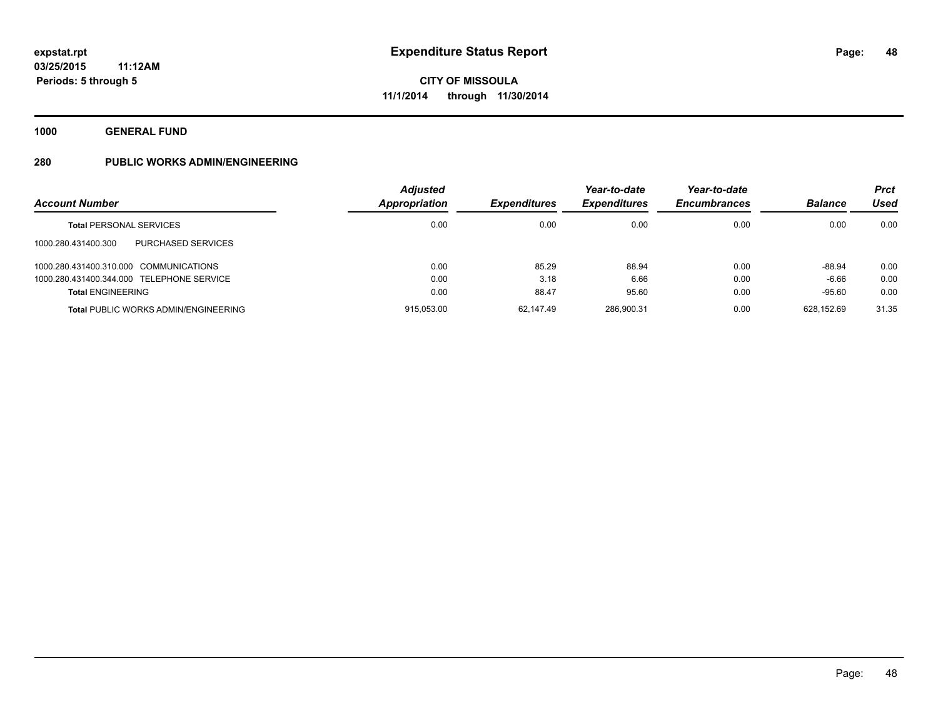**1000 GENERAL FUND**

| <b>Account Number</b>                       | <b>Adjusted</b><br>Appropriation | <b>Expenditures</b> | Year-to-date<br><b>Expenditures</b> | Year-to-date<br><b>Encumbrances</b> | <b>Balance</b> | <b>Prct</b><br><b>Used</b> |
|---------------------------------------------|----------------------------------|---------------------|-------------------------------------|-------------------------------------|----------------|----------------------------|
| <b>Total PERSONAL SERVICES</b>              | 0.00                             | 0.00                | 0.00                                | 0.00                                | 0.00           | 0.00                       |
| PURCHASED SERVICES<br>1000.280.431400.300   |                                  |                     |                                     |                                     |                |                            |
| 1000.280.431400.310.000 COMMUNICATIONS      | 0.00                             | 85.29               | 88.94                               | 0.00                                | -88.94         | 0.00                       |
| 1000.280.431400.344.000 TELEPHONE SERVICE   | 0.00                             | 3.18                | 6.66                                | 0.00                                | $-6.66$        | 0.00                       |
| <b>Total ENGINEERING</b>                    | 0.00                             | 88.47               | 95.60                               | 0.00                                | $-95.60$       | 0.00                       |
| <b>Total PUBLIC WORKS ADMIN/ENGINEERING</b> | 915.053.00                       | 62.147.49           | 286.900.31                          | 0.00                                | 628.152.69     | 31.35                      |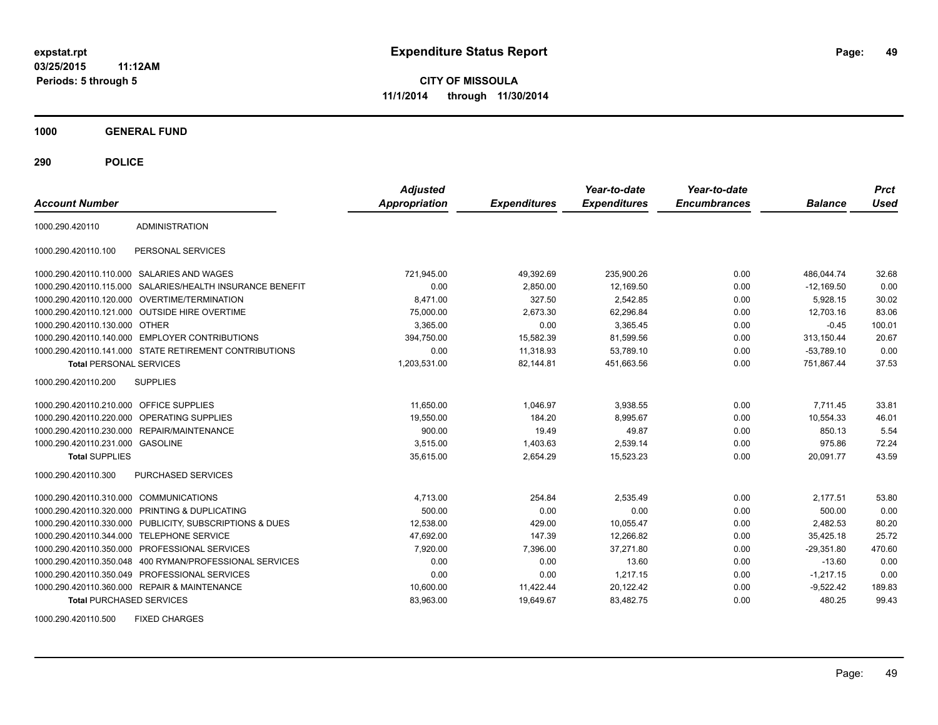**03/25/2015 11:12AM Periods: 5 through 5**

**CITY OF MISSOULA 11/1/2014 through 11/30/2014**

**1000 GENERAL FUND**

**290 POLICE**

| <b>Account Number</b>                   |                                                         | <b>Adjusted</b><br><b>Appropriation</b> | <b>Expenditures</b> | Year-to-date<br><b>Expenditures</b> | Year-to-date<br><b>Encumbrances</b> | <b>Balance</b> | <b>Prct</b><br>Used |
|-----------------------------------------|---------------------------------------------------------|-----------------------------------------|---------------------|-------------------------------------|-------------------------------------|----------------|---------------------|
| 1000.290.420110                         | <b>ADMINISTRATION</b>                                   |                                         |                     |                                     |                                     |                |                     |
| 1000.290.420110.100                     | PERSONAL SERVICES                                       |                                         |                     |                                     |                                     |                |                     |
|                                         | 1000.290.420110.110.000 SALARIES AND WAGES              | 721,945.00                              | 49,392.69           | 235,900.26                          | 0.00                                | 486,044.74     | 32.68               |
| 1000.290.420110.115.000                 | SALARIES/HEALTH INSURANCE BENEFIT                       | 0.00                                    | 2,850.00            | 12,169.50                           | 0.00                                | $-12,169.50$   | 0.00                |
|                                         | 1000.290.420110.120.000 OVERTIME/TERMINATION            | 8.471.00                                | 327.50              | 2,542.85                            | 0.00                                | 5,928.15       | 30.02               |
|                                         | 1000.290.420110.121.000 OUTSIDE HIRE OVERTIME           | 75,000.00                               | 2,673.30            | 62,296.84                           | 0.00                                | 12.703.16      | 83.06               |
| 1000.290.420110.130.000 OTHER           |                                                         | 3,365.00                                | 0.00                | 3,365.45                            | 0.00                                | $-0.45$        | 100.01              |
|                                         | 1000.290.420110.140.000 EMPLOYER CONTRIBUTIONS          | 394,750.00                              | 15,582.39           | 81,599.56                           | 0.00                                | 313,150.44     | 20.67               |
|                                         | 1000.290.420110.141.000 STATE RETIREMENT CONTRIBUTIONS  | 0.00                                    | 11,318.93           | 53,789.10                           | 0.00                                | $-53,789.10$   | 0.00                |
| <b>Total PERSONAL SERVICES</b>          |                                                         | 1,203,531.00                            | 82,144.81           | 451,663.56                          | 0.00                                | 751,867.44     | 37.53               |
| 1000.290.420110.200                     | <b>SUPPLIES</b>                                         |                                         |                     |                                     |                                     |                |                     |
| 1000.290.420110.210.000 OFFICE SUPPLIES |                                                         | 11,650.00                               | 1.046.97            | 3,938.55                            | 0.00                                | 7.711.45       | 33.81               |
| 1000.290.420110.220.000                 | <b>OPERATING SUPPLIES</b>                               | 19,550.00                               | 184.20              | 8,995.67                            | 0.00                                | 10,554.33      | 46.01               |
|                                         | 1000.290.420110.230.000 REPAIR/MAINTENANCE              | 900.00                                  | 19.49               | 49.87                               | 0.00                                | 850.13         | 5.54                |
| 1000.290.420110.231.000 GASOLINE        |                                                         | 3,515.00                                | 1,403.63            | 2,539.14                            | 0.00                                | 975.86         | 72.24               |
| <b>Total SUPPLIES</b>                   |                                                         | 35,615.00                               | 2,654.29            | 15,523.23                           | 0.00                                | 20,091.77      | 43.59               |
| 1000.290.420110.300                     | <b>PURCHASED SERVICES</b>                               |                                         |                     |                                     |                                     |                |                     |
| 1000.290.420110.310.000 COMMUNICATIONS  |                                                         | 4,713.00                                | 254.84              | 2.535.49                            | 0.00                                | 2.177.51       | 53.80               |
| 1000.290.420110.320.000                 | PRINTING & DUPLICATING                                  | 500.00                                  | 0.00                | 0.00                                | 0.00                                | 500.00         | 0.00                |
|                                         | 1000.290.420110.330.000 PUBLICITY, SUBSCRIPTIONS & DUES | 12,538.00                               | 429.00              | 10,055.47                           | 0.00                                | 2,482.53       | 80.20               |
| 1000.290.420110.344.000                 | <b>TELEPHONE SERVICE</b>                                | 47,692.00                               | 147.39              | 12,266.82                           | 0.00                                | 35,425.18      | 25.72               |
| 1000.290.420110.350.000                 | PROFESSIONAL SERVICES                                   | 7,920.00                                | 7,396.00            | 37,271.80                           | 0.00                                | $-29,351.80$   | 470.60              |
| 1000.290.420110.350.048                 | 400 RYMAN/PROFESSIONAL SERVICES                         | 0.00                                    | 0.00                | 13.60                               | 0.00                                | $-13.60$       | 0.00                |
|                                         | 1000.290.420110.350.049 PROFESSIONAL SERVICES           | 0.00                                    | 0.00                | 1,217.15                            | 0.00                                | $-1,217.15$    | 0.00                |
|                                         | 1000.290.420110.360.000 REPAIR & MAINTENANCE            | 10,600.00                               | 11,422.44           | 20,122.42                           | 0.00                                | $-9,522.42$    | 189.83              |
| <b>Total PURCHASED SERVICES</b>         |                                                         | 83,963.00                               | 19,649.67           | 83,482.75                           | 0.00                                | 480.25         | 99.43               |

1000.290.420110.500 FIXED CHARGES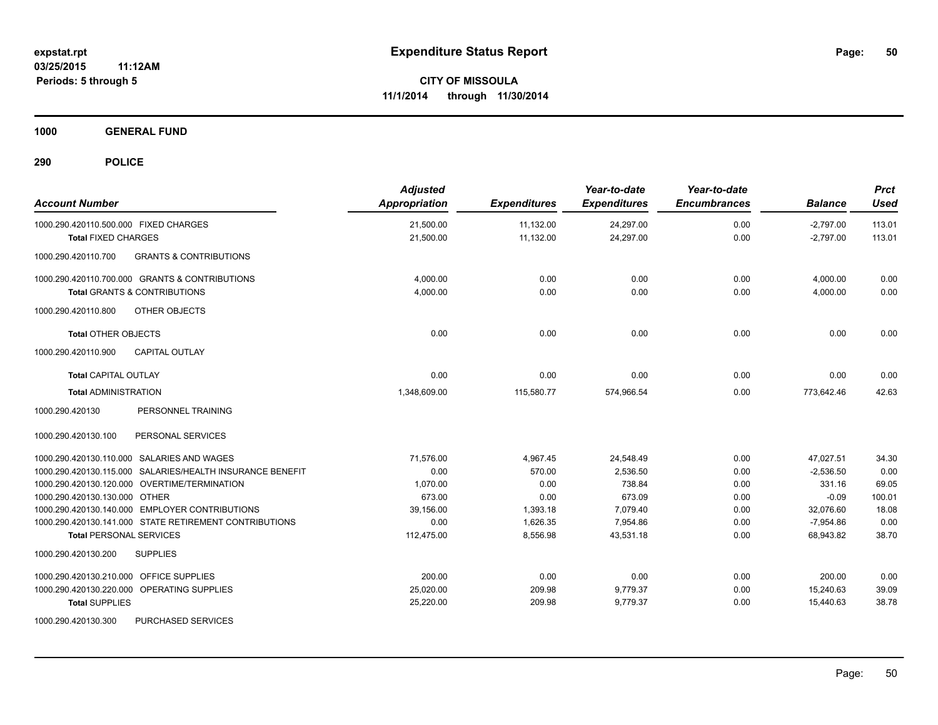**1000 GENERAL FUND**

| <b>Account Number</b>                                     | <b>Adjusted</b><br><b>Appropriation</b> | <b>Expenditures</b> | Year-to-date<br><b>Expenditures</b> | Year-to-date<br><b>Encumbrances</b> | <b>Balance</b> | <b>Prct</b><br><b>Used</b> |
|-----------------------------------------------------------|-----------------------------------------|---------------------|-------------------------------------|-------------------------------------|----------------|----------------------------|
| 1000.290.420110.500.000 FIXED CHARGES                     | 21,500.00                               | 11,132.00           | 24,297.00                           | 0.00                                | $-2,797.00$    | 113.01                     |
| <b>Total FIXED CHARGES</b>                                | 21,500.00                               | 11,132.00           | 24,297.00                           | 0.00                                | $-2,797.00$    | 113.01                     |
| 1000.290.420110.700<br><b>GRANTS &amp; CONTRIBUTIONS</b>  |                                         |                     |                                     |                                     |                |                            |
| 1000.290.420110.700.000 GRANTS & CONTRIBUTIONS            | 4,000.00                                | 0.00                | 0.00                                | 0.00                                | 4,000.00       | 0.00                       |
| <b>Total GRANTS &amp; CONTRIBUTIONS</b>                   | 4.000.00                                | 0.00                | 0.00                                | 0.00                                | 4,000.00       | 0.00                       |
| 1000.290.420110.800<br>OTHER OBJECTS                      |                                         |                     |                                     |                                     |                |                            |
| <b>Total OTHER OBJECTS</b>                                | 0.00                                    | 0.00                | 0.00                                | 0.00                                | 0.00           | 0.00                       |
| 1000.290.420110.900<br><b>CAPITAL OUTLAY</b>              |                                         |                     |                                     |                                     |                |                            |
| <b>Total CAPITAL OUTLAY</b>                               | 0.00                                    | 0.00                | 0.00                                | 0.00                                | 0.00           | 0.00                       |
| <b>Total ADMINISTRATION</b>                               | 1,348,609.00                            | 115,580.77          | 574,966.54                          | 0.00                                | 773,642.46     | 42.63                      |
| 1000.290.420130<br>PERSONNEL TRAINING                     |                                         |                     |                                     |                                     |                |                            |
| 1000.290.420130.100<br>PERSONAL SERVICES                  |                                         |                     |                                     |                                     |                |                            |
| 1000.290.420130.110.000 SALARIES AND WAGES                | 71.576.00                               | 4,967.45            | 24,548.49                           | 0.00                                | 47,027.51      | 34.30                      |
| 1000.290.420130.115.000 SALARIES/HEALTH INSURANCE BENEFIT | 0.00                                    | 570.00              | 2,536.50                            | 0.00                                | $-2,536.50$    | 0.00                       |
| 1000.290.420130.120.000 OVERTIME/TERMINATION              | 1,070.00                                | 0.00                | 738.84                              | 0.00                                | 331.16         | 69.05                      |
| 1000.290.420130.130.000 OTHER                             | 673.00                                  | 0.00                | 673.09                              | 0.00                                | $-0.09$        | 100.01                     |
| 1000.290.420130.140.000 EMPLOYER CONTRIBUTIONS            | 39.156.00                               | 1,393.18            | 7,079.40                            | 0.00                                | 32,076.60      | 18.08                      |
| 1000.290.420130.141.000 STATE RETIREMENT CONTRIBUTIONS    | 0.00                                    | 1,626.35            | 7,954.86                            | 0.00                                | $-7,954.86$    | 0.00                       |
| <b>Total PERSONAL SERVICES</b>                            | 112,475.00                              | 8,556.98            | 43,531.18                           | 0.00                                | 68,943.82      | 38.70                      |
| 1000.290.420130.200<br><b>SUPPLIES</b>                    |                                         |                     |                                     |                                     |                |                            |
| 1000.290.420130.210.000 OFFICE SUPPLIES                   | 200.00                                  | 0.00                | 0.00                                | 0.00                                | 200.00         | 0.00                       |
| 1000.290.420130.220.000 OPERATING SUPPLIES                | 25,020.00                               | 209.98              | 9,779.37                            | 0.00                                | 15,240.63      | 39.09                      |
| <b>Total SUPPLIES</b>                                     | 25,220.00                               | 209.98              | 9,779.37                            | 0.00                                | 15,440.63      | 38.78                      |
| 1000.290.420130.300<br>PURCHASED SERVICES                 |                                         |                     |                                     |                                     |                |                            |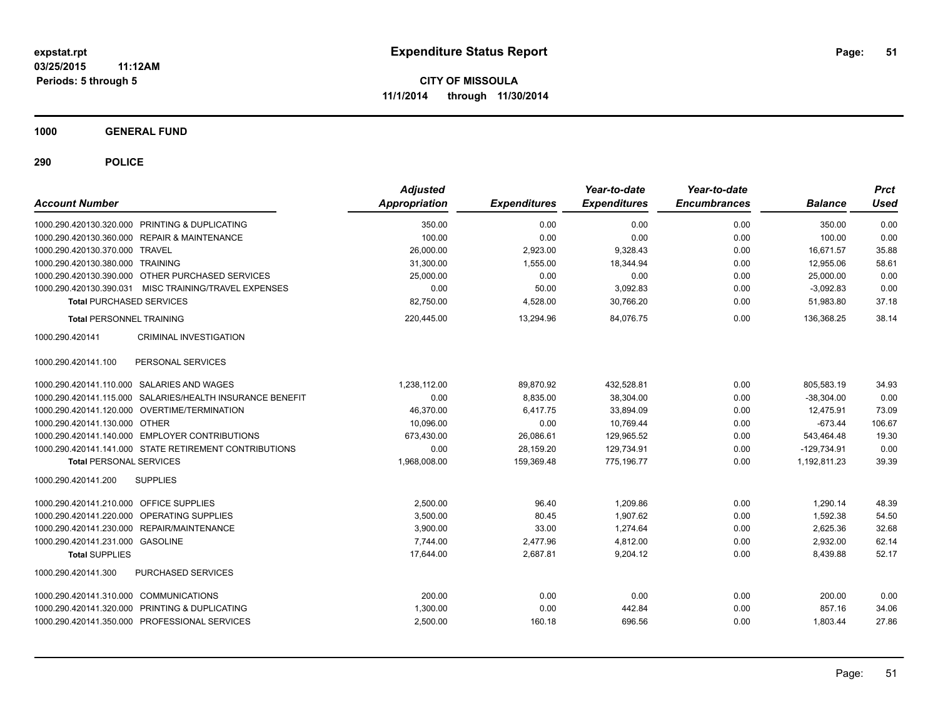**1000 GENERAL FUND**

| <b>Account Number</b>                      |                                                           | <b>Adjusted</b><br>Appropriation | <b>Expenditures</b> | Year-to-date<br><b>Expenditures</b> | Year-to-date<br><b>Encumbrances</b> | <b>Balance</b> | <b>Prct</b><br>Used |
|--------------------------------------------|-----------------------------------------------------------|----------------------------------|---------------------|-------------------------------------|-------------------------------------|----------------|---------------------|
|                                            |                                                           |                                  |                     |                                     |                                     |                |                     |
|                                            | 1000.290.420130.320.000 PRINTING & DUPLICATING            | 350.00                           | 0.00                | 0.00                                | 0.00                                | 350.00         | 0.00                |
|                                            | 1000.290.420130.360.000 REPAIR & MAINTENANCE              | 100.00                           | 0.00                | 0.00                                | 0.00                                | 100.00         | 0.00                |
| 1000.290.420130.370.000 TRAVEL             |                                                           | 26,000.00                        | 2,923.00            | 9,328.43                            | 0.00                                | 16,671.57      | 35.88               |
| 1000.290.420130.380.000 TRAINING           |                                                           | 31,300.00                        | 1,555.00            | 18,344.94                           | 0.00                                | 12,955.06      | 58.61               |
|                                            | 1000.290.420130.390.000 OTHER PURCHASED SERVICES          | 25,000.00                        | 0.00                | 0.00                                | 0.00                                | 25,000.00      | 0.00                |
|                                            | 1000.290.420130.390.031 MISC TRAINING/TRAVEL EXPENSES     | 0.00                             | 50.00               | 3,092.83                            | 0.00                                | $-3,092.83$    | 0.00                |
| <b>Total PURCHASED SERVICES</b>            |                                                           | 82,750.00                        | 4,528.00            | 30,766.20                           | 0.00                                | 51,983.80      | 37.18               |
| <b>Total PERSONNEL TRAINING</b>            |                                                           | 220,445.00                       | 13.294.96           | 84.076.75                           | 0.00                                | 136.368.25     | 38.14               |
| 1000.290.420141                            | <b>CRIMINAL INVESTIGATION</b>                             |                                  |                     |                                     |                                     |                |                     |
| 1000.290.420141.100                        | PERSONAL SERVICES                                         |                                  |                     |                                     |                                     |                |                     |
| 1000.290.420141.110.000 SALARIES AND WAGES |                                                           | 1,238,112.00                     | 89,870.92           | 432,528.81                          | 0.00                                | 805,583.19     | 34.93               |
|                                            | 1000.290.420141.115.000 SALARIES/HEALTH INSURANCE BENEFIT | 0.00                             | 8,835.00            | 38,304.00                           | 0.00                                | $-38,304.00$   | 0.00                |
|                                            | 1000.290.420141.120.000 OVERTIME/TERMINATION              | 46,370.00                        | 6,417.75            | 33,894.09                           | 0.00                                | 12,475.91      | 73.09               |
| 1000.290.420141.130.000 OTHER              |                                                           | 10,096.00                        | 0.00                | 10,769.44                           | 0.00                                | $-673.44$      | 106.67              |
|                                            | 1000.290.420141.140.000 EMPLOYER CONTRIBUTIONS            | 673.430.00                       | 26,086.61           | 129.965.52                          | 0.00                                | 543.464.48     | 19.30               |
|                                            | 1000.290.420141.141.000 STATE RETIREMENT CONTRIBUTIONS    | 0.00                             | 28,159.20           | 129,734.91                          | 0.00                                | $-129,734.91$  | 0.00                |
| <b>Total PERSONAL SERVICES</b>             |                                                           | 1,968,008.00                     | 159,369.48          | 775,196.77                          | 0.00                                | 1,192,811.23   | 39.39               |
| 1000.290.420141.200                        | <b>SUPPLIES</b>                                           |                                  |                     |                                     |                                     |                |                     |
| 1000.290.420141.210.000 OFFICE SUPPLIES    |                                                           | 2.500.00                         | 96.40               | 1.209.86                            | 0.00                                | 1,290.14       | 48.39               |
| 1000.290.420141.220.000 OPERATING SUPPLIES |                                                           | 3,500.00                         | 80.45               | 1,907.62                            | 0.00                                | 1,592.38       | 54.50               |
| 1000.290.420141.230.000 REPAIR/MAINTENANCE |                                                           | 3,900.00                         | 33.00               | 1,274.64                            | 0.00                                | 2,625.36       | 32.68               |
| 1000.290.420141.231.000 GASOLINE           |                                                           | 7,744.00                         | 2,477.96            | 4,812.00                            | 0.00                                | 2,932.00       | 62.14               |
| <b>Total SUPPLIES</b>                      |                                                           | 17,644.00                        | 2,687.81            | 9,204.12                            | 0.00                                | 8,439.88       | 52.17               |
| 1000.290.420141.300                        | PURCHASED SERVICES                                        |                                  |                     |                                     |                                     |                |                     |
| 1000.290.420141.310.000 COMMUNICATIONS     |                                                           | 200.00                           | 0.00                | 0.00                                | 0.00                                | 200.00         | 0.00                |
|                                            | 1000.290.420141.320.000 PRINTING & DUPLICATING            | 1,300.00                         | 0.00                | 442.84                              | 0.00                                | 857.16         | 34.06               |
|                                            | 1000.290.420141.350.000 PROFESSIONAL SERVICES             | 2,500.00                         | 160.18              | 696.56                              | 0.00                                | 1,803.44       | 27.86               |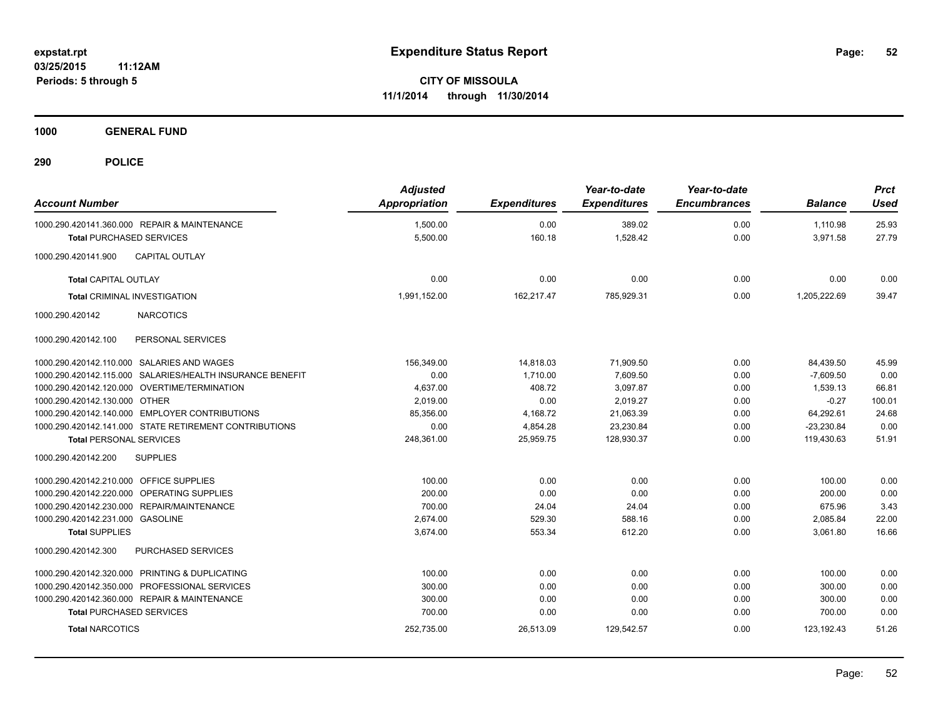**1000 GENERAL FUND**

| <b>Account Number</b>                   |                                                           | <b>Adjusted</b><br>Appropriation | <b>Expenditures</b> | Year-to-date<br><b>Expenditures</b> | Year-to-date<br><b>Encumbrances</b> | <b>Balance</b> | <b>Prct</b><br><b>Used</b> |
|-----------------------------------------|-----------------------------------------------------------|----------------------------------|---------------------|-------------------------------------|-------------------------------------|----------------|----------------------------|
|                                         | 1000.290.420141.360.000 REPAIR & MAINTENANCE              | 1,500.00                         | 0.00                | 389.02                              | 0.00                                | 1,110.98       | 25.93                      |
| <b>Total PURCHASED SERVICES</b>         |                                                           | 5,500.00                         | 160.18              | 1,528.42                            | 0.00                                | 3,971.58       | 27.79                      |
| 1000.290.420141.900                     | <b>CAPITAL OUTLAY</b>                                     |                                  |                     |                                     |                                     |                |                            |
| <b>Total CAPITAL OUTLAY</b>             |                                                           | 0.00                             | 0.00                | 0.00                                | 0.00                                | 0.00           | 0.00                       |
|                                         | <b>Total CRIMINAL INVESTIGATION</b>                       | 1,991,152.00                     | 162,217.47          | 785,929.31                          | 0.00                                | 1,205,222.69   | 39.47                      |
| 1000.290.420142                         | <b>NARCOTICS</b>                                          |                                  |                     |                                     |                                     |                |                            |
| 1000.290.420142.100                     | PERSONAL SERVICES                                         |                                  |                     |                                     |                                     |                |                            |
|                                         | 1000.290.420142.110.000 SALARIES AND WAGES                | 156.349.00                       | 14,818.03           | 71,909.50                           | 0.00                                | 84,439.50      | 45.99                      |
|                                         | 1000.290.420142.115.000 SALARIES/HEALTH INSURANCE BENEFIT | 0.00                             | 1.710.00            | 7.609.50                            | 0.00                                | $-7.609.50$    | 0.00                       |
|                                         | 1000.290.420142.120.000 OVERTIME/TERMINATION              | 4,637.00                         | 408.72              | 3,097.87                            | 0.00                                | 1,539.13       | 66.81                      |
| 1000.290.420142.130.000                 | <b>OTHER</b>                                              | 2.019.00                         | 0.00                | 2.019.27                            | 0.00                                | $-0.27$        | 100.01                     |
|                                         | 1000.290.420142.140.000 EMPLOYER CONTRIBUTIONS            | 85,356.00                        | 4,168.72            | 21,063.39                           | 0.00                                | 64,292.61      | 24.68                      |
|                                         | 1000.290.420142.141.000 STATE RETIREMENT CONTRIBUTIONS    | 0.00                             | 4,854.28            | 23,230.84                           | 0.00                                | $-23,230.84$   | 0.00                       |
| <b>Total PERSONAL SERVICES</b>          |                                                           | 248,361.00                       | 25,959.75           | 128,930.37                          | 0.00                                | 119,430.63     | 51.91                      |
| 1000.290.420142.200                     | <b>SUPPLIES</b>                                           |                                  |                     |                                     |                                     |                |                            |
| 1000.290.420142.210.000 OFFICE SUPPLIES |                                                           | 100.00                           | 0.00                | 0.00                                | 0.00                                | 100.00         | 0.00                       |
|                                         | 1000.290.420142.220.000 OPERATING SUPPLIES                | 200.00                           | 0.00                | 0.00                                | 0.00                                | 200.00         | 0.00                       |
|                                         | 1000.290.420142.230.000 REPAIR/MAINTENANCE                | 700.00                           | 24.04               | 24.04                               | 0.00                                | 675.96         | 3.43                       |
| 1000.290.420142.231.000 GASOLINE        |                                                           | 2,674.00                         | 529.30              | 588.16                              | 0.00                                | 2,085.84       | 22.00                      |
| <b>Total SUPPLIES</b>                   |                                                           | 3,674.00                         | 553.34              | 612.20                              | 0.00                                | 3,061.80       | 16.66                      |
| 1000.290.420142.300                     | PURCHASED SERVICES                                        |                                  |                     |                                     |                                     |                |                            |
|                                         | 1000.290.420142.320.000 PRINTING & DUPLICATING            | 100.00                           | 0.00                | 0.00                                | 0.00                                | 100.00         | 0.00                       |
|                                         | 1000.290.420142.350.000 PROFESSIONAL SERVICES             | 300.00                           | 0.00                | 0.00                                | 0.00                                | 300.00         | 0.00                       |
|                                         | 1000.290.420142.360.000 REPAIR & MAINTENANCE              | 300.00                           | 0.00                | 0.00                                | 0.00                                | 300.00         | 0.00                       |
| <b>Total PURCHASED SERVICES</b>         |                                                           | 700.00                           | 0.00                | 0.00                                | 0.00                                | 700.00         | 0.00                       |
| <b>Total NARCOTICS</b>                  |                                                           | 252,735.00                       | 26,513.09           | 129,542.57                          | 0.00                                | 123, 192. 43   | 51.26                      |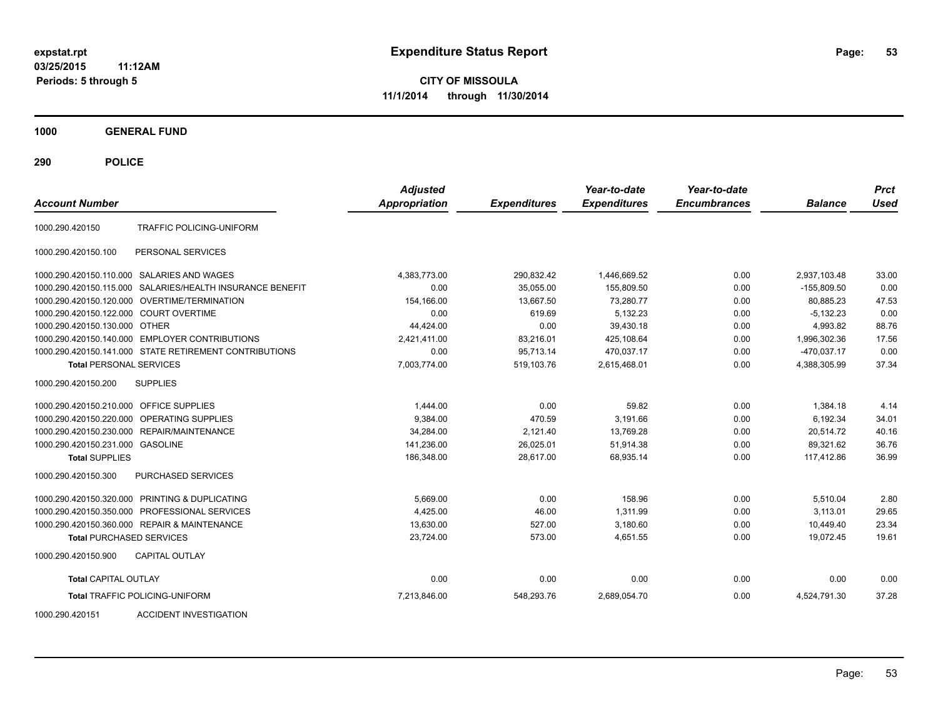**03/25/2015 11:12AM Periods: 5 through 5**

**CITY OF MISSOULA 11/1/2014 through 11/30/2014**

**1000 GENERAL FUND**

**290 POLICE**

| <b>Account Number</b>                  |                                                        | <b>Adjusted</b><br><b>Appropriation</b> | <b>Expenditures</b> | Year-to-date<br><b>Expenditures</b> | Year-to-date<br><b>Encumbrances</b> | <b>Balance</b> | <b>Prct</b><br>Used |
|----------------------------------------|--------------------------------------------------------|-----------------------------------------|---------------------|-------------------------------------|-------------------------------------|----------------|---------------------|
| 1000.290.420150                        | <b>TRAFFIC POLICING-UNIFORM</b>                        |                                         |                     |                                     |                                     |                |                     |
| 1000.290.420150.100                    | PERSONAL SERVICES                                      |                                         |                     |                                     |                                     |                |                     |
|                                        | 1000.290.420150.110.000 SALARIES AND WAGES             | 4,383,773.00                            | 290,832.42          | 1,446,669.52                        | 0.00                                | 2,937,103.48   | 33.00               |
| 1000.290.420150.115.000                | SALARIES/HEALTH INSURANCE BENEFIT                      | 0.00                                    | 35.055.00           | 155.809.50                          | 0.00                                | $-155.809.50$  | 0.00                |
| 1000.290.420150.120.000                | <b>OVERTIME/TERMINATION</b>                            | 154,166.00                              | 13,667.50           | 73,280.77                           | 0.00                                | 80,885.23      | 47.53               |
| 1000.290.420150.122.000 COURT OVERTIME |                                                        | 0.00                                    | 619.69              | 5,132.23                            | 0.00                                | $-5,132.23$    | 0.00                |
| 1000.290.420150.130.000 OTHER          |                                                        | 44.424.00                               | 0.00                | 39,430.18                           | 0.00                                | 4,993.82       | 88.76               |
|                                        | 1000.290.420150.140.000 EMPLOYER CONTRIBUTIONS         | 2.421.411.00                            | 83,216.01           | 425.108.64                          | 0.00                                | 1.996.302.36   | 17.56               |
|                                        | 1000.290.420150.141.000 STATE RETIREMENT CONTRIBUTIONS | 0.00                                    | 95,713.14           | 470.037.17                          | 0.00                                | $-470.037.17$  | 0.00                |
| <b>Total PERSONAL SERVICES</b>         |                                                        | 7,003,774.00                            | 519,103.76          | 2.615.468.01                        | 0.00                                | 4,388,305.99   | 37.34               |
| 1000.290.420150.200                    | <b>SUPPLIES</b>                                        |                                         |                     |                                     |                                     |                |                     |
| 1000.290.420150.210.000                | <b>OFFICE SUPPLIES</b>                                 | 1.444.00                                | 0.00                | 59.82                               | 0.00                                | 1,384.18       | 4.14                |
| 1000.290.420150.220.000                | <b>OPERATING SUPPLIES</b>                              | 9.384.00                                | 470.59              | 3.191.66                            | 0.00                                | 6.192.34       | 34.01               |
| 1000.290.420150.230.000                | REPAIR/MAINTENANCE                                     | 34.284.00                               | 2.121.40            | 13.769.28                           | 0.00                                | 20.514.72      | 40.16               |
| 1000.290.420150.231.000                | <b>GASOLINE</b>                                        | 141,236.00                              | 26,025.01           | 51,914.38                           | 0.00                                | 89,321.62      | 36.76               |
| <b>Total SUPPLIES</b>                  |                                                        | 186,348.00                              | 28,617.00           | 68,935.14                           | 0.00                                | 117,412.86     | 36.99               |
| 1000.290.420150.300                    | PURCHASED SERVICES                                     |                                         |                     |                                     |                                     |                |                     |
|                                        | 1000.290.420150.320.000 PRINTING & DUPLICATING         | 5,669.00                                | 0.00                | 158.96                              | 0.00                                | 5,510.04       | 2.80                |
| 1000.290.420150.350.000                | PROFESSIONAL SERVICES                                  | 4,425.00                                | 46.00               | 1,311.99                            | 0.00                                | 3,113.01       | 29.65               |
|                                        | 1000.290.420150.360.000 REPAIR & MAINTENANCE           | 13,630.00                               | 527.00              | 3,180.60                            | 0.00                                | 10,449.40      | 23.34               |
| <b>Total PURCHASED SERVICES</b>        |                                                        | 23,724.00                               | 573.00              | 4.651.55                            | 0.00                                | 19.072.45      | 19.61               |
| 1000.290.420150.900                    | <b>CAPITAL OUTLAY</b>                                  |                                         |                     |                                     |                                     |                |                     |
| <b>Total CAPITAL OUTLAY</b>            |                                                        | 0.00                                    | 0.00                | 0.00                                | 0.00                                | 0.00           | 0.00                |
|                                        | <b>Total TRAFFIC POLICING-UNIFORM</b>                  | 7,213,846.00                            | 548,293.76          | 2,689,054.70                        | 0.00                                | 4,524,791.30   | 37.28               |

1000.290.420151 ACCIDENT INVESTIGATION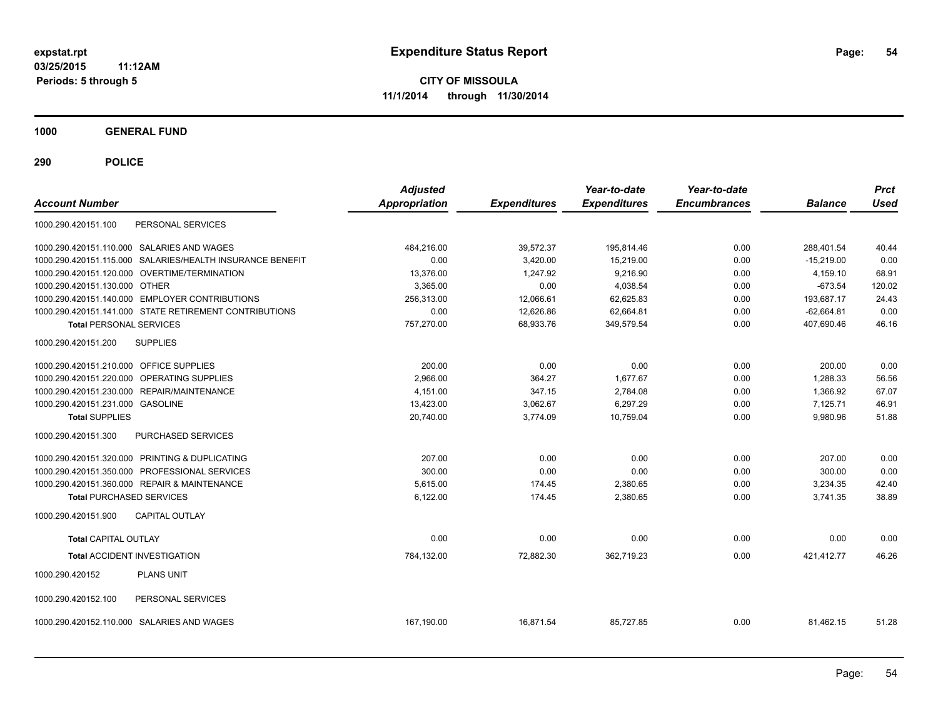**03/25/2015 11:12AM Periods: 5 through 5**

**CITY OF MISSOULA 11/1/2014 through 11/30/2014**

**1000 GENERAL FUND**

| <b>Account Number</b>                   |                                                           | <b>Adjusted</b><br>Appropriation | <b>Expenditures</b> | Year-to-date<br><b>Expenditures</b> | Year-to-date<br><b>Encumbrances</b> | <b>Balance</b> | <b>Prct</b><br><b>Used</b> |
|-----------------------------------------|-----------------------------------------------------------|----------------------------------|---------------------|-------------------------------------|-------------------------------------|----------------|----------------------------|
| 1000.290.420151.100                     | PERSONAL SERVICES                                         |                                  |                     |                                     |                                     |                |                            |
|                                         | 1000.290.420151.110.000 SALARIES AND WAGES                | 484,216.00                       | 39,572.37           | 195,814.46                          | 0.00                                | 288.401.54     | 40.44                      |
|                                         | 1000.290.420151.115.000 SALARIES/HEALTH INSURANCE BENEFIT | 0.00                             | 3,420.00            | 15,219.00                           | 0.00                                | $-15,219.00$   | 0.00                       |
|                                         | 1000.290.420151.120.000 OVERTIME/TERMINATION              | 13,376.00                        | 1,247.92            | 9,216.90                            | 0.00                                | 4,159.10       | 68.91                      |
| 1000.290.420151.130.000 OTHER           |                                                           | 3,365.00                         | 0.00                | 4,038.54                            | 0.00                                | $-673.54$      | 120.02                     |
|                                         | 1000.290.420151.140.000 EMPLOYER CONTRIBUTIONS            | 256,313.00                       | 12,066.61           | 62,625.83                           | 0.00                                | 193,687.17     | 24.43                      |
|                                         | 1000.290.420151.141.000 STATE RETIREMENT CONTRIBUTIONS    | 0.00                             | 12,626.86           | 62,664.81                           | 0.00                                | $-62,664.81$   | 0.00                       |
| <b>Total PERSONAL SERVICES</b>          |                                                           | 757,270.00                       | 68,933.76           | 349,579.54                          | 0.00                                | 407,690.46     | 46.16                      |
| 1000.290.420151.200                     | <b>SUPPLIES</b>                                           |                                  |                     |                                     |                                     |                |                            |
| 1000.290.420151.210.000 OFFICE SUPPLIES |                                                           | 200.00                           | 0.00                | 0.00                                | 0.00                                | 200.00         | 0.00                       |
|                                         | 1000.290.420151.220.000 OPERATING SUPPLIES                | 2.966.00                         | 364.27              | 1.677.67                            | 0.00                                | 1.288.33       | 56.56                      |
|                                         | 1000.290.420151.230.000 REPAIR/MAINTENANCE                | 4,151.00                         | 347.15              | 2,784.08                            | 0.00                                | 1,366.92       | 67.07                      |
| 1000.290.420151.231.000 GASOLINE        |                                                           | 13,423.00                        | 3,062.67            | 6,297.29                            | 0.00                                | 7,125.71       | 46.91                      |
| <b>Total SUPPLIES</b>                   |                                                           | 20,740.00                        | 3,774.09            | 10,759.04                           | 0.00                                | 9,980.96       | 51.88                      |
| 1000.290.420151.300                     | PURCHASED SERVICES                                        |                                  |                     |                                     |                                     |                |                            |
|                                         | 1000.290.420151.320.000 PRINTING & DUPLICATING            | 207.00                           | 0.00                | 0.00                                | 0.00                                | 207.00         | 0.00                       |
|                                         | 1000.290.420151.350.000 PROFESSIONAL SERVICES             | 300.00                           | 0.00                | 0.00                                | 0.00                                | 300.00         | 0.00                       |
|                                         | 1000.290.420151.360.000 REPAIR & MAINTENANCE              | 5.615.00                         | 174.45              | 2,380.65                            | 0.00                                | 3,234.35       | 42.40                      |
| <b>Total PURCHASED SERVICES</b>         |                                                           | 6,122.00                         | 174.45              | 2,380.65                            | 0.00                                | 3,741.35       | 38.89                      |
| 1000.290.420151.900                     | <b>CAPITAL OUTLAY</b>                                     |                                  |                     |                                     |                                     |                |                            |
| <b>Total CAPITAL OUTLAY</b>             |                                                           | 0.00                             | 0.00                | 0.00                                | 0.00                                | 0.00           | 0.00                       |
|                                         | <b>Total ACCIDENT INVESTIGATION</b>                       | 784,132.00                       | 72,882.30           | 362,719.23                          | 0.00                                | 421,412.77     | 46.26                      |
| 1000.290.420152                         | PLANS UNIT                                                |                                  |                     |                                     |                                     |                |                            |
| 1000.290.420152.100                     | PERSONAL SERVICES                                         |                                  |                     |                                     |                                     |                |                            |
|                                         | 1000.290.420152.110.000 SALARIES AND WAGES                | 167,190.00                       | 16,871.54           | 85,727.85                           | 0.00                                | 81,462.15      | 51.28                      |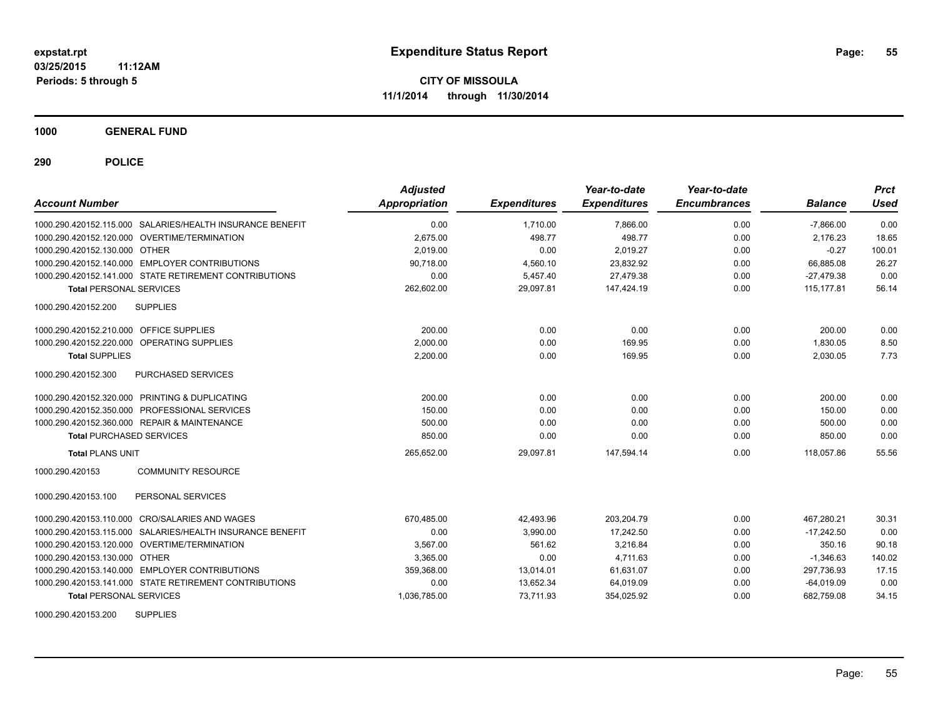**1000 GENERAL FUND**

**290 POLICE**

| <b>Account Number</b>                                     | <b>Adjusted</b><br>Appropriation | <b>Expenditures</b> | Year-to-date<br><b>Expenditures</b> | Year-to-date<br><b>Encumbrances</b> | <b>Balance</b> | <b>Prct</b><br>Used |
|-----------------------------------------------------------|----------------------------------|---------------------|-------------------------------------|-------------------------------------|----------------|---------------------|
| 1000.290.420152.115.000 SALARIES/HEALTH INSURANCE BENEFIT | 0.00                             | 1.710.00            | 7.866.00                            | 0.00                                | $-7.866.00$    | 0.00                |
| 1000.290.420152.120.000 OVERTIME/TERMINATION              | 2.675.00                         | 498.77              | 498.77                              | 0.00                                | 2.176.23       | 18.65               |
| 1000.290.420152.130.000 OTHER                             | 2,019.00                         | 0.00                | 2,019.27                            | 0.00                                | $-0.27$        | 100.01              |
| 1000.290.420152.140.000 EMPLOYER CONTRIBUTIONS            | 90.718.00                        | 4,560.10            | 23,832.92                           | 0.00                                | 66,885.08      | 26.27               |
| 1000.290.420152.141.000 STATE RETIREMENT CONTRIBUTIONS    | 0.00                             | 5,457.40            | 27.479.38                           | 0.00                                | $-27,479.38$   | 0.00                |
| <b>Total PERSONAL SERVICES</b>                            | 262,602.00                       | 29,097.81           | 147,424.19                          | 0.00                                | 115, 177.81    | 56.14               |
| 1000.290.420152.200<br><b>SUPPLIES</b>                    |                                  |                     |                                     |                                     |                |                     |
| 1000.290.420152.210.000 OFFICE SUPPLIES                   | 200.00                           | 0.00                | 0.00                                | 0.00                                | 200.00         | 0.00                |
| 1000.290.420152.220.000<br>OPERATING SUPPLIES             | 2,000.00                         | 0.00                | 169.95                              | 0.00                                | 1,830.05       | 8.50                |
| <b>Total SUPPLIES</b>                                     | 2,200.00                         | 0.00                | 169.95                              | 0.00                                | 2,030.05       | 7.73                |
| 1000.290.420152.300<br>PURCHASED SERVICES                 |                                  |                     |                                     |                                     |                |                     |
| 1000.290.420152.320.000 PRINTING & DUPLICATING            | 200.00                           | 0.00                | 0.00                                | 0.00                                | 200.00         | 0.00                |
| 1000.290.420152.350.000 PROFESSIONAL SERVICES             | 150.00                           | 0.00                | 0.00                                | 0.00                                | 150.00         | 0.00                |
| 1000.290.420152.360.000 REPAIR & MAINTENANCE              | 500.00                           | 0.00                | 0.00                                | 0.00                                | 500.00         | 0.00                |
| <b>Total PURCHASED SERVICES</b>                           | 850.00                           | 0.00                | 0.00                                | 0.00                                | 850.00         | 0.00                |
| <b>Total PLANS UNIT</b>                                   | 265,652.00                       | 29,097.81           | 147,594.14                          | 0.00                                | 118,057.86     | 55.56               |
| 1000.290.420153<br><b>COMMUNITY RESOURCE</b>              |                                  |                     |                                     |                                     |                |                     |
| 1000.290.420153.100<br>PERSONAL SERVICES                  |                                  |                     |                                     |                                     |                |                     |
| 1000.290.420153.110.000 CRO/SALARIES AND WAGES            | 670,485.00                       | 42,493.96           | 203,204.79                          | 0.00                                | 467.280.21     | 30.31               |
| 1000.290.420153.115.000 SALARIES/HEALTH INSURANCE BENEFIT | 0.00                             | 3,990.00            | 17,242.50                           | 0.00                                | $-17,242.50$   | 0.00                |
| 1000.290.420153.120.000 OVERTIME/TERMINATION              | 3,567.00                         | 561.62              | 3,216.84                            | 0.00                                | 350.16         | 90.18               |
| 1000.290.420153.130.000 OTHER                             | 3.365.00                         | 0.00                | 4.711.63                            | 0.00                                | $-1,346.63$    | 140.02              |
| 1000.290.420153.140.000 EMPLOYER CONTRIBUTIONS            | 359,368.00                       | 13,014.01           | 61,631.07                           | 0.00                                | 297,736.93     | 17.15               |
| 1000.290.420153.141.000 STATE RETIREMENT CONTRIBUTIONS    | 0.00                             | 13,652.34           | 64,019.09                           | 0.00                                | $-64,019.09$   | 0.00                |
| <b>Total PERSONAL SERVICES</b>                            | 1,036,785.00                     | 73,711.93           | 354,025.92                          | 0.00                                | 682,759.08     | 34.15               |

1000.290.420153.200 SUPPLIES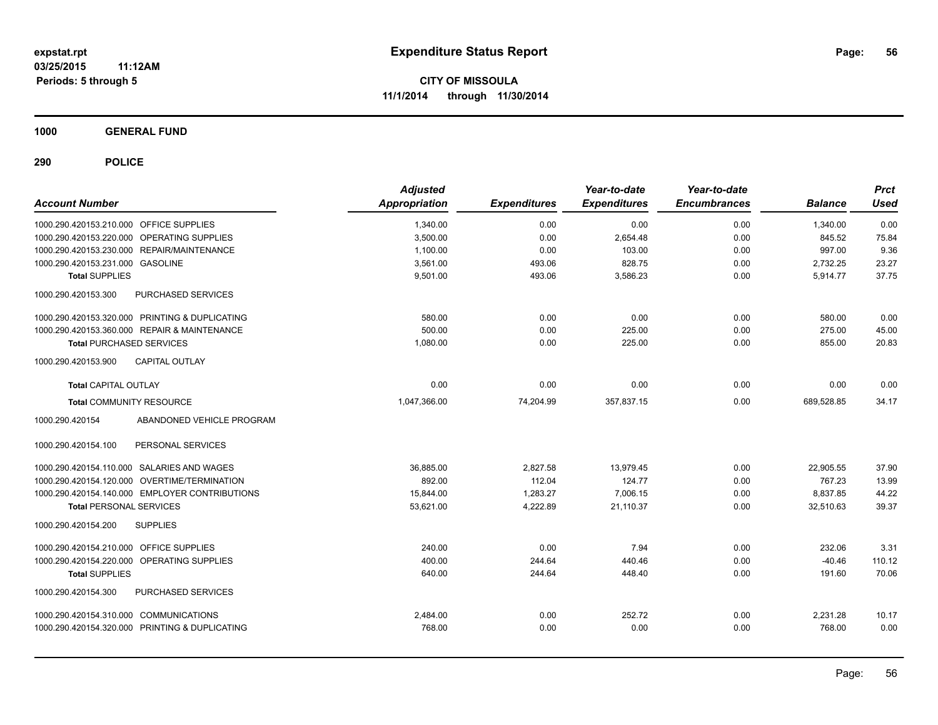**1000 GENERAL FUND**

| <b>Account Number</b>                   |                                                | <b>Adjusted</b><br><b>Appropriation</b> | <b>Expenditures</b> | Year-to-date<br><b>Expenditures</b> | Year-to-date<br><b>Encumbrances</b> | <b>Balance</b> | <b>Prct</b><br><b>Used</b> |
|-----------------------------------------|------------------------------------------------|-----------------------------------------|---------------------|-------------------------------------|-------------------------------------|----------------|----------------------------|
| 1000.290.420153.210.000 OFFICE SUPPLIES |                                                | 1,340.00                                | 0.00                | 0.00                                | 0.00                                | 1,340.00       | 0.00                       |
|                                         | 1000.290.420153.220.000 OPERATING SUPPLIES     | 3,500.00                                | 0.00                | 2,654.48                            | 0.00                                | 845.52         | 75.84                      |
|                                         | 1000.290.420153.230.000 REPAIR/MAINTENANCE     | 1,100.00                                | 0.00                | 103.00                              | 0.00                                | 997.00         | 9.36                       |
| 1000.290.420153.231.000 GASOLINE        |                                                | 3,561.00                                | 493.06              | 828.75                              | 0.00                                | 2.732.25       | 23.27                      |
| <b>Total SUPPLIES</b>                   |                                                | 9,501.00                                | 493.06              | 3,586.23                            | 0.00                                | 5,914.77       | 37.75                      |
| 1000.290.420153.300                     | PURCHASED SERVICES                             |                                         |                     |                                     |                                     |                |                            |
|                                         | 1000.290.420153.320.000 PRINTING & DUPLICATING | 580.00                                  | 0.00                | 0.00                                | 0.00                                | 580.00         | 0.00                       |
|                                         | 1000.290.420153.360.000 REPAIR & MAINTENANCE   | 500.00                                  | 0.00                | 225.00                              | 0.00                                | 275.00         | 45.00                      |
| <b>Total PURCHASED SERVICES</b>         |                                                | 1,080.00                                | 0.00                | 225.00                              | 0.00                                | 855.00         | 20.83                      |
| 1000.290.420153.900                     | CAPITAL OUTLAY                                 |                                         |                     |                                     |                                     |                |                            |
| <b>Total CAPITAL OUTLAY</b>             |                                                | 0.00                                    | 0.00                | 0.00                                | 0.00                                | 0.00           | 0.00                       |
| <b>Total COMMUNITY RESOURCE</b>         |                                                | 1,047,366.00                            | 74,204.99           | 357,837.15                          | 0.00                                | 689,528.85     | 34.17                      |
| 1000.290.420154                         | ABANDONED VEHICLE PROGRAM                      |                                         |                     |                                     |                                     |                |                            |
| 1000.290.420154.100                     | PERSONAL SERVICES                              |                                         |                     |                                     |                                     |                |                            |
|                                         | 1000.290.420154.110.000 SALARIES AND WAGES     | 36,885.00                               | 2,827.58            | 13,979.45                           | 0.00                                | 22,905.55      | 37.90                      |
|                                         | 1000.290.420154.120.000 OVERTIME/TERMINATION   | 892.00                                  | 112.04              | 124.77                              | 0.00                                | 767.23         | 13.99                      |
|                                         | 1000.290.420154.140.000 EMPLOYER CONTRIBUTIONS | 15,844.00                               | 1,283.27            | 7.006.15                            | 0.00                                | 8,837.85       | 44.22                      |
| <b>Total PERSONAL SERVICES</b>          |                                                | 53,621.00                               | 4,222.89            | 21,110.37                           | 0.00                                | 32,510.63      | 39.37                      |
| 1000.290.420154.200                     | <b>SUPPLIES</b>                                |                                         |                     |                                     |                                     |                |                            |
| 1000.290.420154.210.000                 | OFFICE SUPPLIES                                | 240.00                                  | 0.00                | 7.94                                | 0.00                                | 232.06         | 3.31                       |
| 1000.290.420154.220.000                 | OPERATING SUPPLIES                             | 400.00                                  | 244.64              | 440.46                              | 0.00                                | $-40.46$       | 110.12                     |
| <b>Total SUPPLIES</b>                   |                                                | 640.00                                  | 244.64              | 448.40                              | 0.00                                | 191.60         | 70.06                      |
| 1000.290.420154.300                     | PURCHASED SERVICES                             |                                         |                     |                                     |                                     |                |                            |
| 1000.290.420154.310.000 COMMUNICATIONS  |                                                | 2,484.00                                | 0.00                | 252.72                              | 0.00                                | 2,231.28       | 10.17                      |
|                                         | 1000.290.420154.320.000 PRINTING & DUPLICATING | 768.00                                  | 0.00                | 0.00                                | 0.00                                | 768.00         | 0.00                       |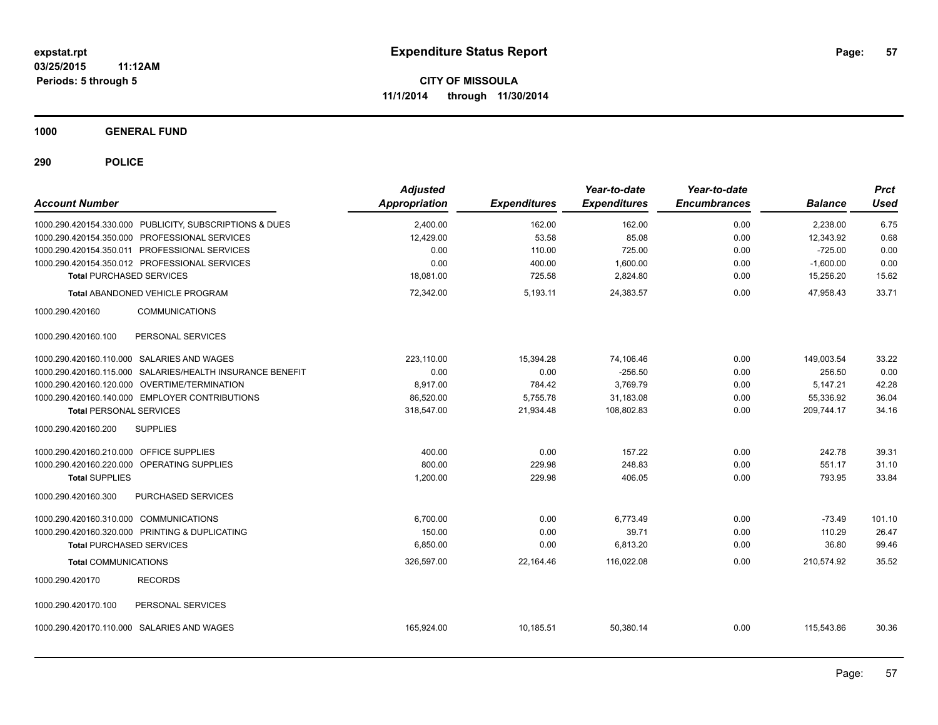**1000 GENERAL FUND**

| <b>Account Number</b>                                     | <b>Adjusted</b><br>Appropriation | <b>Expenditures</b> | Year-to-date<br><b>Expenditures</b> | Year-to-date<br><b>Encumbrances</b> | <b>Balance</b> | <b>Prct</b><br><b>Used</b> |
|-----------------------------------------------------------|----------------------------------|---------------------|-------------------------------------|-------------------------------------|----------------|----------------------------|
| 1000.290.420154.330.000 PUBLICITY, SUBSCRIPTIONS & DUES   | 2,400.00                         | 162.00              | 162.00                              | 0.00                                | 2,238.00       | 6.75                       |
| 1000.290.420154.350.000 PROFESSIONAL SERVICES             | 12,429.00                        | 53.58               | 85.08                               | 0.00                                | 12,343.92      | 0.68                       |
| 1000.290.420154.350.011 PROFESSIONAL SERVICES             | 0.00                             | 110.00              | 725.00                              | 0.00                                | $-725.00$      | 0.00                       |
| 1000.290.420154.350.012 PROFESSIONAL SERVICES             | 0.00                             | 400.00              | 1,600.00                            | 0.00                                | $-1,600.00$    | 0.00                       |
| <b>Total PURCHASED SERVICES</b>                           | 18,081.00                        | 725.58              | 2,824.80                            | 0.00                                | 15,256.20      | 15.62                      |
| <b>Total ABANDONED VEHICLE PROGRAM</b>                    | 72.342.00                        | 5,193.11            | 24.383.57                           | 0.00                                | 47.958.43      | 33.71                      |
| 1000.290.420160<br><b>COMMUNICATIONS</b>                  |                                  |                     |                                     |                                     |                |                            |
| 1000.290.420160.100<br>PERSONAL SERVICES                  |                                  |                     |                                     |                                     |                |                            |
| 1000.290.420160.110.000 SALARIES AND WAGES                | 223,110.00                       | 15,394.28           | 74,106.46                           | 0.00                                | 149,003.54     | 33.22                      |
| 1000.290.420160.115.000 SALARIES/HEALTH INSURANCE BENEFIT | 0.00                             | 0.00                | $-256.50$                           | 0.00                                | 256.50         | 0.00                       |
| 1000.290.420160.120.000 OVERTIME/TERMINATION              | 8,917.00                         | 784.42              | 3,769.79                            | 0.00                                | 5,147.21       | 42.28                      |
| 1000.290.420160.140.000 EMPLOYER CONTRIBUTIONS            | 86,520.00                        | 5,755.78            | 31,183.08                           | 0.00                                | 55,336.92      | 36.04                      |
| <b>Total PERSONAL SERVICES</b>                            | 318,547.00                       | 21,934.48           | 108,802.83                          | 0.00                                | 209,744.17     | 34.16                      |
| <b>SUPPLIES</b><br>1000.290.420160.200                    |                                  |                     |                                     |                                     |                |                            |
| 1000.290.420160.210.000 OFFICE SUPPLIES                   | 400.00                           | 0.00                | 157.22                              | 0.00                                | 242.78         | 39.31                      |
| 1000.290.420160.220.000 OPERATING SUPPLIES                | 800.00                           | 229.98              | 248.83                              | 0.00                                | 551.17         | 31.10                      |
| <b>Total SUPPLIES</b>                                     | 1,200.00                         | 229.98              | 406.05                              | 0.00                                | 793.95         | 33.84                      |
| 1000.290.420160.300<br>PURCHASED SERVICES                 |                                  |                     |                                     |                                     |                |                            |
| 1000.290.420160.310.000 COMMUNICATIONS                    | 6,700.00                         | 0.00                | 6,773.49                            | 0.00                                | $-73.49$       | 101.10                     |
| 1000.290.420160.320.000 PRINTING & DUPLICATING            | 150.00                           | 0.00                | 39.71                               | 0.00                                | 110.29         | 26.47                      |
| <b>Total PURCHASED SERVICES</b>                           | 6,850.00                         | 0.00                | 6,813.20                            | 0.00                                | 36.80          | 99.46                      |
| <b>Total COMMUNICATIONS</b>                               | 326,597.00                       | 22,164.46           | 116,022.08                          | 0.00                                | 210,574.92     | 35.52                      |
| <b>RECORDS</b><br>1000.290.420170                         |                                  |                     |                                     |                                     |                |                            |
| 1000.290.420170.100<br>PERSONAL SERVICES                  |                                  |                     |                                     |                                     |                |                            |
| 1000.290.420170.110.000 SALARIES AND WAGES                | 165,924.00                       | 10,185.51           | 50,380.14                           | 0.00                                | 115,543.86     | 30.36                      |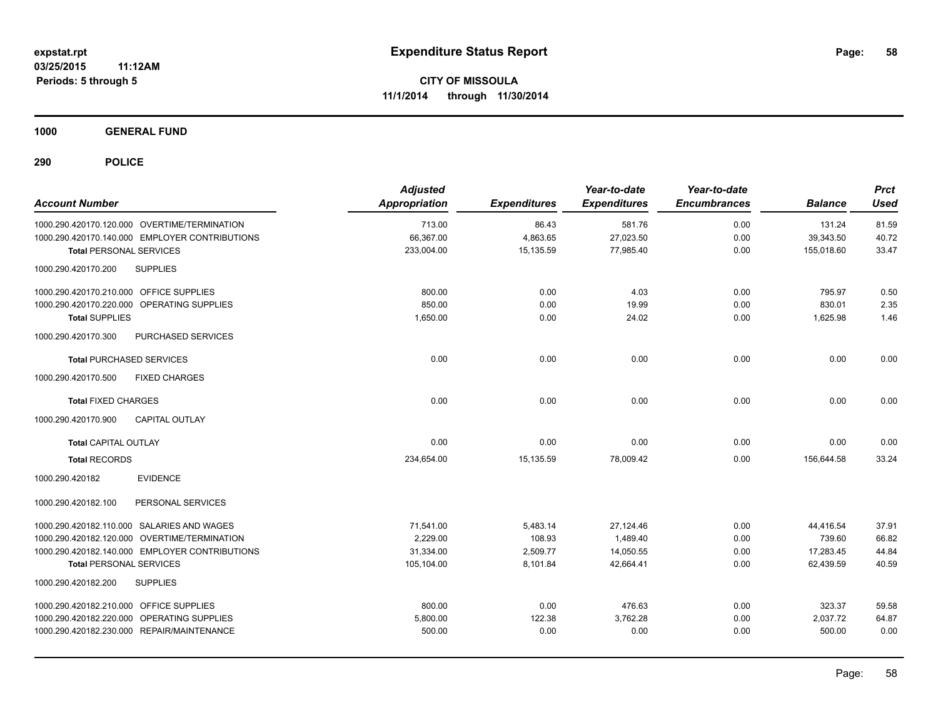**1000 GENERAL FUND**

| <b>Account Number</b>                          | <b>Adjusted</b><br><b>Appropriation</b> | <b>Expenditures</b> | Year-to-date<br><b>Expenditures</b> | Year-to-date<br><b>Encumbrances</b> | <b>Balance</b> | <b>Prct</b><br><b>Used</b> |
|------------------------------------------------|-----------------------------------------|---------------------|-------------------------------------|-------------------------------------|----------------|----------------------------|
| 1000.290.420170.120.000 OVERTIME/TERMINATION   | 713.00                                  | 86.43               | 581.76                              | 0.00                                | 131.24         | 81.59                      |
| 1000.290.420170.140.000 EMPLOYER CONTRIBUTIONS | 66,367.00                               | 4,863.65            | 27,023.50                           | 0.00                                | 39,343.50      | 40.72                      |
| <b>Total PERSONAL SERVICES</b>                 | 233,004.00                              | 15,135.59           | 77,985.40                           | 0.00                                | 155,018.60     | 33.47                      |
| 1000.290.420170.200<br><b>SUPPLIES</b>         |                                         |                     |                                     |                                     |                |                            |
| 1000.290.420170.210.000 OFFICE SUPPLIES        | 800.00                                  | 0.00                | 4.03                                | 0.00                                | 795.97         | 0.50                       |
| 1000.290.420170.220.000 OPERATING SUPPLIES     | 850.00                                  | 0.00                | 19.99                               | 0.00                                | 830.01         | 2.35                       |
| <b>Total SUPPLIES</b>                          | 1,650.00                                | 0.00                | 24.02                               | 0.00                                | 1,625.98       | 1.46                       |
| 1000.290.420170.300<br>PURCHASED SERVICES      |                                         |                     |                                     |                                     |                |                            |
| <b>Total PURCHASED SERVICES</b>                | 0.00                                    | 0.00                | 0.00                                | 0.00                                | 0.00           | 0.00                       |
| 1000.290.420170.500<br><b>FIXED CHARGES</b>    |                                         |                     |                                     |                                     |                |                            |
| <b>Total FIXED CHARGES</b>                     | 0.00                                    | 0.00                | 0.00                                | 0.00                                | 0.00           | 0.00                       |
| CAPITAL OUTLAY<br>1000.290.420170.900          |                                         |                     |                                     |                                     |                |                            |
| Total CAPITAL OUTLAY                           | 0.00                                    | 0.00                | 0.00                                | 0.00                                | 0.00           | 0.00                       |
| <b>Total RECORDS</b>                           | 234,654.00                              | 15,135.59           | 78,009.42                           | 0.00                                | 156,644.58     | 33.24                      |
| <b>EVIDENCE</b><br>1000.290.420182             |                                         |                     |                                     |                                     |                |                            |
| PERSONAL SERVICES<br>1000.290.420182.100       |                                         |                     |                                     |                                     |                |                            |
| 1000.290.420182.110.000 SALARIES AND WAGES     | 71,541.00                               | 5,483.14            | 27,124.46                           | 0.00                                | 44,416.54      | 37.91                      |
| 1000.290.420182.120.000 OVERTIME/TERMINATION   | 2.229.00                                | 108.93              | 1,489.40                            | 0.00                                | 739.60         | 66.82                      |
| 1000.290.420182.140.000 EMPLOYER CONTRIBUTIONS | 31,334.00                               | 2,509.77            | 14,050.55                           | 0.00                                | 17,283.45      | 44.84                      |
| <b>Total PERSONAL SERVICES</b>                 | 105,104.00                              | 8,101.84            | 42,664.41                           | 0.00                                | 62,439.59      | 40.59                      |
| 1000.290.420182.200<br><b>SUPPLIES</b>         |                                         |                     |                                     |                                     |                |                            |
| 1000.290.420182.210.000 OFFICE SUPPLIES        | 800.00                                  | 0.00                | 476.63                              | 0.00                                | 323.37         | 59.58                      |
| 1000.290.420182.220.000 OPERATING SUPPLIES     | 5,800.00                                | 122.38              | 3,762.28                            | 0.00                                | 2,037.72       | 64.87                      |
| 1000.290.420182.230.000 REPAIR/MAINTENANCE     | 500.00                                  | 0.00                | 0.00                                | 0.00                                | 500.00         | 0.00                       |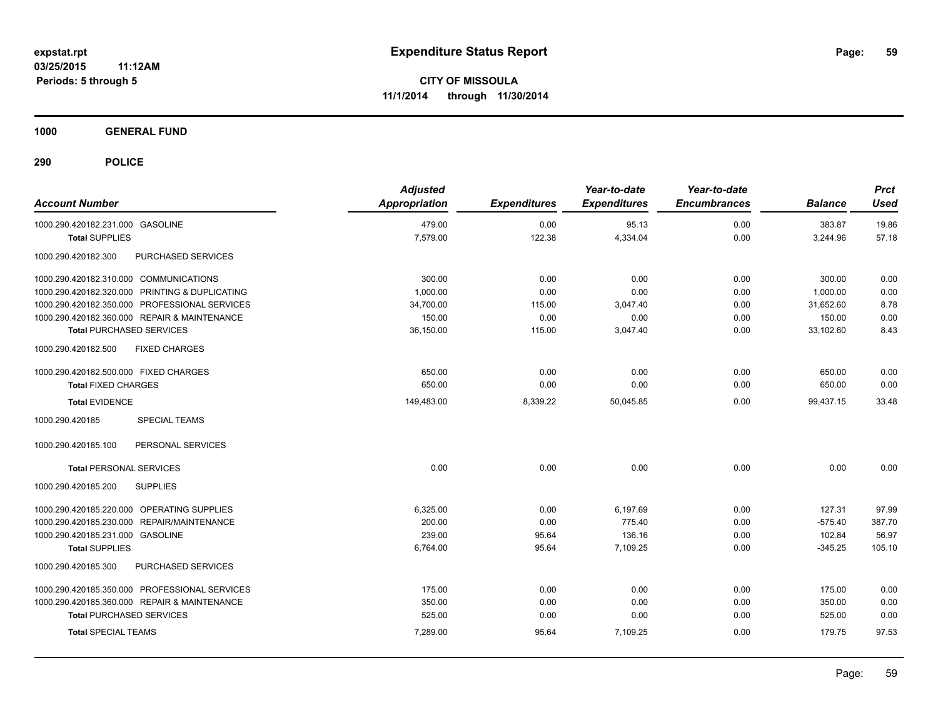**1000 GENERAL FUND**

| <b>Account Number</b>                          | <b>Adjusted</b><br><b>Appropriation</b> | <b>Expenditures</b> | Year-to-date<br><b>Expenditures</b> | Year-to-date<br><b>Encumbrances</b> | <b>Balance</b> | <b>Prct</b><br><b>Used</b> |
|------------------------------------------------|-----------------------------------------|---------------------|-------------------------------------|-------------------------------------|----------------|----------------------------|
| 1000.290.420182.231.000 GASOLINE               | 479.00                                  | 0.00                | 95.13                               | 0.00                                | 383.87         | 19.86                      |
| <b>Total SUPPLIES</b>                          | 7,579.00                                | 122.38              | 4,334.04                            | 0.00                                | 3,244.96       | 57.18                      |
| 1000.290.420182.300<br>PURCHASED SERVICES      |                                         |                     |                                     |                                     |                |                            |
| 1000.290.420182.310.000 COMMUNICATIONS         | 300.00                                  | 0.00                | 0.00                                | 0.00                                | 300.00         | 0.00                       |
| 1000.290.420182.320.000 PRINTING & DUPLICATING | 1,000.00                                | 0.00                | 0.00                                | 0.00                                | 1,000.00       | 0.00                       |
| 1000.290.420182.350.000 PROFESSIONAL SERVICES  | 34,700.00                               | 115.00              | 3,047.40                            | 0.00                                | 31,652.60      | 8.78                       |
| 1000.290.420182.360.000 REPAIR & MAINTENANCE   | 150.00                                  | 0.00                | 0.00                                | 0.00                                | 150.00         | 0.00                       |
| <b>Total PURCHASED SERVICES</b>                | 36,150.00                               | 115.00              | 3,047.40                            | 0.00                                | 33,102.60      | 8.43                       |
| 1000.290.420182.500<br><b>FIXED CHARGES</b>    |                                         |                     |                                     |                                     |                |                            |
| 1000.290.420182.500.000 FIXED CHARGES          | 650.00                                  | 0.00                | 0.00                                | 0.00                                | 650.00         | 0.00                       |
| <b>Total FIXED CHARGES</b>                     | 650.00                                  | 0.00                | 0.00                                | 0.00                                | 650.00         | 0.00                       |
| <b>Total EVIDENCE</b>                          | 149,483.00                              | 8,339.22            | 50,045.85                           | 0.00                                | 99,437.15      | 33.48                      |
| 1000.290.420185<br><b>SPECIAL TEAMS</b>        |                                         |                     |                                     |                                     |                |                            |
| 1000.290.420185.100<br>PERSONAL SERVICES       |                                         |                     |                                     |                                     |                |                            |
| <b>Total PERSONAL SERVICES</b>                 | 0.00                                    | 0.00                | 0.00                                | 0.00                                | 0.00           | 0.00                       |
| 1000.290.420185.200<br><b>SUPPLIES</b>         |                                         |                     |                                     |                                     |                |                            |
| 1000.290.420185.220.000 OPERATING SUPPLIES     | 6,325.00                                | 0.00                | 6,197.69                            | 0.00                                | 127.31         | 97.99                      |
| 1000.290.420185.230.000 REPAIR/MAINTENANCE     | 200.00                                  | 0.00                | 775.40                              | 0.00                                | $-575.40$      | 387.70                     |
| 1000.290.420185.231.000 GASOLINE               | 239.00                                  | 95.64               | 136.16                              | 0.00                                | 102.84         | 56.97                      |
| <b>Total SUPPLIES</b>                          | 6,764.00                                | 95.64               | 7,109.25                            | 0.00                                | $-345.25$      | 105.10                     |
| 1000.290.420185.300<br>PURCHASED SERVICES      |                                         |                     |                                     |                                     |                |                            |
| 1000.290.420185.350.000 PROFESSIONAL SERVICES  | 175.00                                  | 0.00                | 0.00                                | 0.00                                | 175.00         | 0.00                       |
| 1000.290.420185.360.000 REPAIR & MAINTENANCE   | 350.00                                  | 0.00                | 0.00                                | 0.00                                | 350.00         | 0.00                       |
| <b>Total PURCHASED SERVICES</b>                | 525.00                                  | 0.00                | 0.00                                | 0.00                                | 525.00         | 0.00                       |
| <b>Total SPECIAL TEAMS</b>                     | 7,289.00                                | 95.64               | 7,109.25                            | 0.00                                | 179.75         | 97.53                      |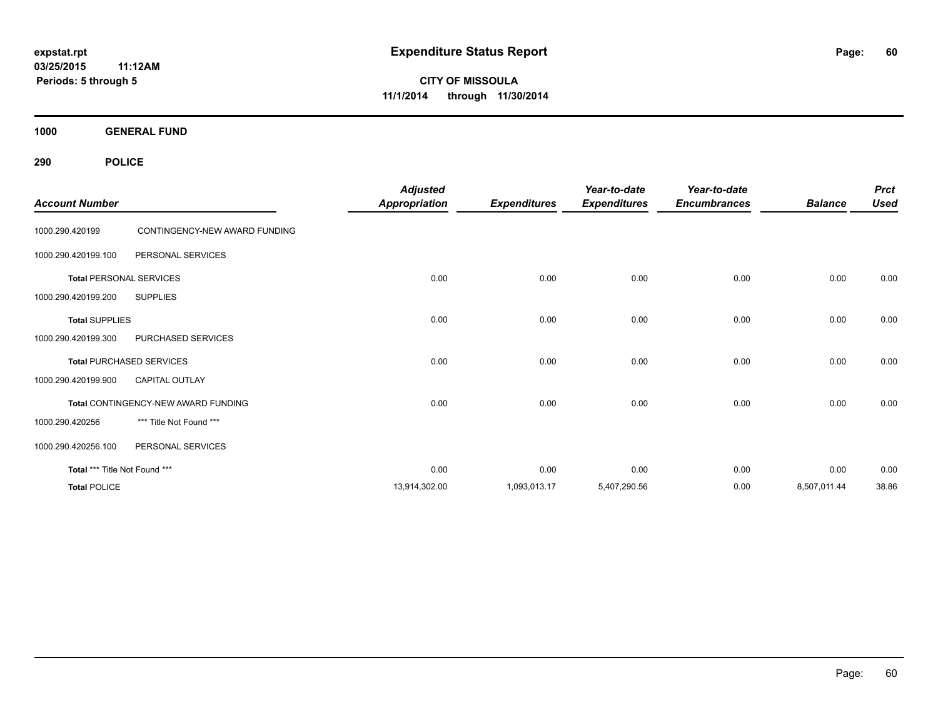**03/25/2015 11:12AM Periods: 5 through 5**

**CITY OF MISSOULA 11/1/2014 through 11/30/2014**

**1000 GENERAL FUND**

| <b>Account Number</b>         |                                     | <b>Adjusted</b><br><b>Appropriation</b> | <b>Expenditures</b> | Year-to-date<br><b>Expenditures</b> | Year-to-date<br><b>Encumbrances</b> | <b>Balance</b> | <b>Prct</b><br><b>Used</b> |
|-------------------------------|-------------------------------------|-----------------------------------------|---------------------|-------------------------------------|-------------------------------------|----------------|----------------------------|
| 1000.290.420199               | CONTINGENCY-NEW AWARD FUNDING       |                                         |                     |                                     |                                     |                |                            |
| 1000.290.420199.100           | PERSONAL SERVICES                   |                                         |                     |                                     |                                     |                |                            |
|                               | <b>Total PERSONAL SERVICES</b>      | 0.00                                    | 0.00                | 0.00                                | 0.00                                | 0.00           | 0.00                       |
| 1000.290.420199.200           | <b>SUPPLIES</b>                     |                                         |                     |                                     |                                     |                |                            |
| <b>Total SUPPLIES</b>         |                                     | 0.00                                    | 0.00                | 0.00                                | 0.00                                | 0.00           | 0.00                       |
| 1000.290.420199.300           | PURCHASED SERVICES                  |                                         |                     |                                     |                                     |                |                            |
|                               | <b>Total PURCHASED SERVICES</b>     | 0.00                                    | 0.00                | 0.00                                | 0.00                                | 0.00           | 0.00                       |
| 1000.290.420199.900           | <b>CAPITAL OUTLAY</b>               |                                         |                     |                                     |                                     |                |                            |
|                               | Total CONTINGENCY-NEW AWARD FUNDING | 0.00                                    | 0.00                | 0.00                                | 0.00                                | 0.00           | 0.00                       |
| 1000.290.420256               | *** Title Not Found ***             |                                         |                     |                                     |                                     |                |                            |
| 1000.290.420256.100           | PERSONAL SERVICES                   |                                         |                     |                                     |                                     |                |                            |
| Total *** Title Not Found *** |                                     | 0.00                                    | 0.00                | 0.00                                | 0.00                                | 0.00           | 0.00                       |
| <b>Total POLICE</b>           |                                     | 13,914,302.00                           | 1,093,013.17        | 5,407,290.56                        | 0.00                                | 8,507,011.44   | 38.86                      |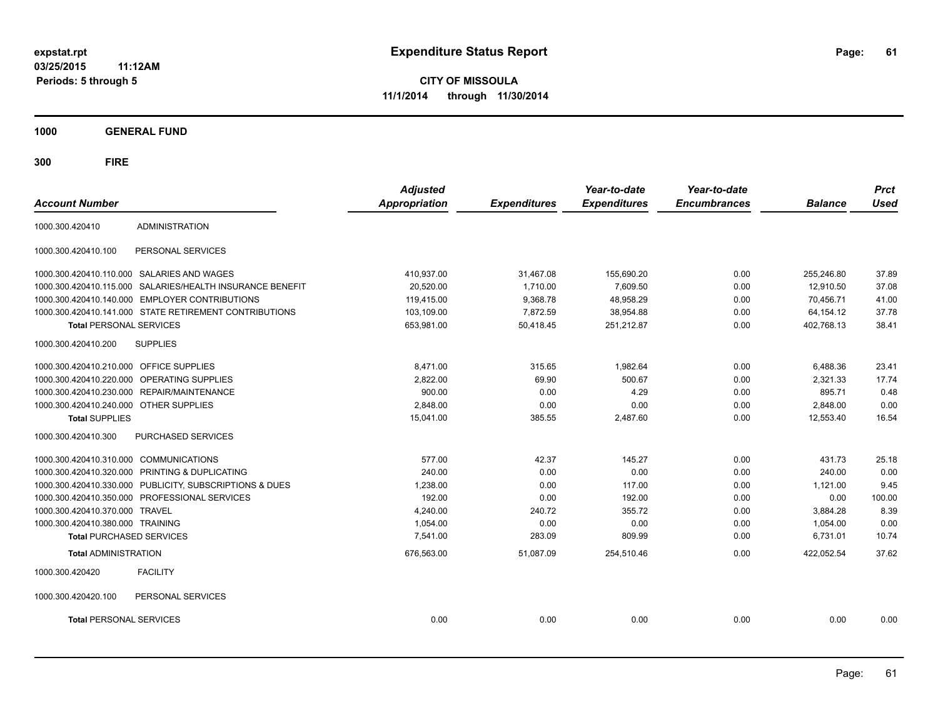**03/25/2015 11:12AM Periods: 5 through 5**

**CITY OF MISSOULA 11/1/2014 through 11/30/2014**

**1000 GENERAL FUND**

| <b>Account Number</b>                  |                                                         | <b>Adjusted</b><br><b>Appropriation</b> | <b>Expenditures</b> | Year-to-date<br><b>Expenditures</b> | Year-to-date<br><b>Encumbrances</b> | <b>Balance</b> | <b>Prct</b><br><b>Used</b> |
|----------------------------------------|---------------------------------------------------------|-----------------------------------------|---------------------|-------------------------------------|-------------------------------------|----------------|----------------------------|
| 1000.300.420410                        | <b>ADMINISTRATION</b>                                   |                                         |                     |                                     |                                     |                |                            |
| 1000.300.420410.100                    | PERSONAL SERVICES                                       |                                         |                     |                                     |                                     |                |                            |
|                                        | 1000.300.420410.110.000 SALARIES AND WAGES              | 410,937.00                              | 31,467.08           | 155,690.20                          | 0.00                                | 255,246.80     | 37.89                      |
| 1000.300.420410.115.000                | SALARIES/HEALTH INSURANCE BENEFIT                       | 20,520.00                               | 1,710.00            | 7,609.50                            | 0.00                                | 12,910.50      | 37.08                      |
| 1000.300.420410.140.000                | <b>EMPLOYER CONTRIBUTIONS</b>                           | 119,415.00                              | 9,368.78            | 48,958.29                           | 0.00                                | 70.456.71      | 41.00                      |
|                                        | 1000.300.420410.141.000 STATE RETIREMENT CONTRIBUTIONS  | 103,109.00                              | 7,872.59            | 38,954.88                           | 0.00                                | 64, 154. 12    | 37.78                      |
| <b>Total PERSONAL SERVICES</b>         |                                                         | 653,981.00                              | 50,418.45           | 251,212.87                          | 0.00                                | 402,768.13     | 38.41                      |
| 1000.300.420410.200                    | <b>SUPPLIES</b>                                         |                                         |                     |                                     |                                     |                |                            |
| 1000.300.420410.210.000                | <b>OFFICE SUPPLIES</b>                                  | 8,471.00                                | 315.65              | 1,982.64                            | 0.00                                | 6,488.36       | 23.41                      |
| 1000.300.420410.220.000                | OPERATING SUPPLIES                                      | 2,822.00                                | 69.90               | 500.67                              | 0.00                                | 2,321.33       | 17.74                      |
| 1000.300.420410.230.000                | REPAIR/MAINTENANCE                                      | 900.00                                  | 0.00                | 4.29                                | 0.00                                | 895.71         | 0.48                       |
| 1000.300.420410.240.000 OTHER SUPPLIES |                                                         | 2,848.00                                | 0.00                | 0.00                                | 0.00                                | 2,848.00       | 0.00                       |
| <b>Total SUPPLIES</b>                  |                                                         | 15,041.00                               | 385.55              | 2,487.60                            | 0.00                                | 12,553.40      | 16.54                      |
| 1000.300.420410.300                    | PURCHASED SERVICES                                      |                                         |                     |                                     |                                     |                |                            |
| 1000.300.420410.310.000                | <b>COMMUNICATIONS</b>                                   | 577.00                                  | 42.37               | 145.27                              | 0.00                                | 431.73         | 25.18                      |
| 1000.300.420410.320.000                | PRINTING & DUPLICATING                                  | 240.00                                  | 0.00                | 0.00                                | 0.00                                | 240.00         | 0.00                       |
|                                        | 1000.300.420410.330.000 PUBLICITY, SUBSCRIPTIONS & DUES | 1,238.00                                | 0.00                | 117.00                              | 0.00                                | 1,121.00       | 9.45                       |
|                                        | 1000.300.420410.350.000 PROFESSIONAL SERVICES           | 192.00                                  | 0.00                | 192.00                              | 0.00                                | 0.00           | 100.00                     |
| 1000.300.420410.370.000                | <b>TRAVEL</b>                                           | 4,240.00                                | 240.72              | 355.72                              | 0.00                                | 3,884.28       | 8.39                       |
| 1000.300.420410.380.000 TRAINING       |                                                         | 1,054.00                                | 0.00                | 0.00                                | 0.00                                | 1,054.00       | 0.00                       |
| <b>Total PURCHASED SERVICES</b>        |                                                         | 7,541.00                                | 283.09              | 809.99                              | 0.00                                | 6,731.01       | 10.74                      |
| <b>Total ADMINISTRATION</b>            |                                                         | 676,563.00                              | 51,087.09           | 254,510.46                          | 0.00                                | 422,052.54     | 37.62                      |
| 1000.300.420420                        | <b>FACILITY</b>                                         |                                         |                     |                                     |                                     |                |                            |
| 1000.300.420420.100                    | PERSONAL SERVICES                                       |                                         |                     |                                     |                                     |                |                            |
| <b>Total PERSONAL SERVICES</b>         |                                                         | 0.00                                    | 0.00                | 0.00                                | 0.00                                | 0.00           | 0.00                       |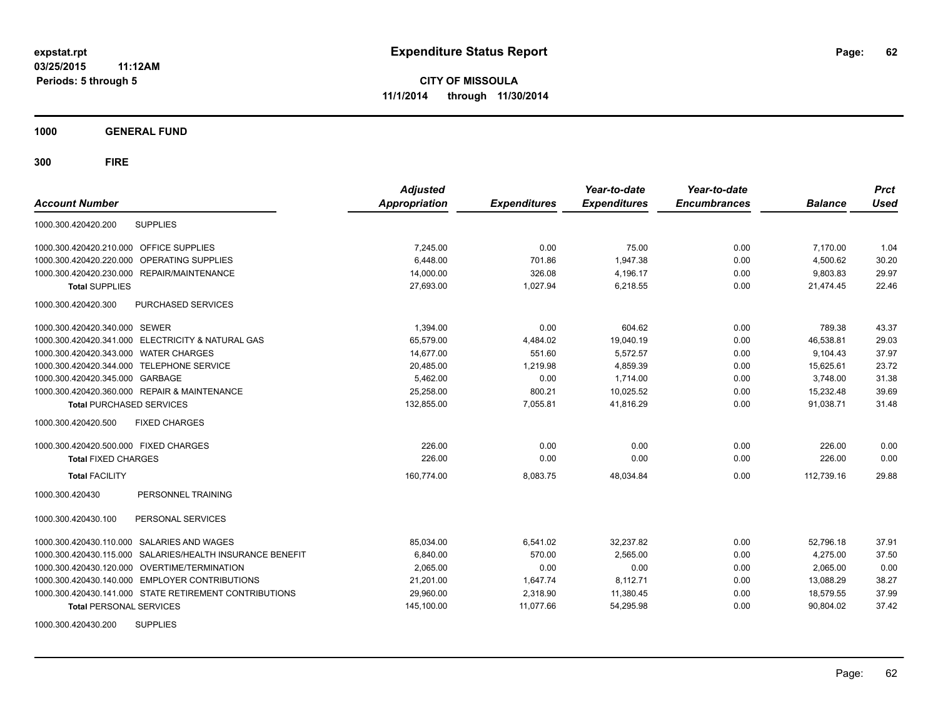**1000 GENERAL FUND**

| <b>Account Number</b>                                     | <b>Adjusted</b><br><b>Appropriation</b> | <b>Expenditures</b> | Year-to-date<br><b>Expenditures</b> | Year-to-date<br><b>Encumbrances</b> | <b>Balance</b> | <b>Prct</b><br><b>Used</b> |
|-----------------------------------------------------------|-----------------------------------------|---------------------|-------------------------------------|-------------------------------------|----------------|----------------------------|
| <b>SUPPLIES</b><br>1000.300.420420.200                    |                                         |                     |                                     |                                     |                |                            |
| 1000.300.420420.210.000 OFFICE SUPPLIES                   | 7,245.00                                | 0.00                | 75.00                               | 0.00                                | 7,170.00       | 1.04                       |
| OPERATING SUPPLIES<br>1000.300.420420.220.000             | 6.448.00                                | 701.86              | 1,947.38                            | 0.00                                | 4,500.62       | 30.20                      |
| 1000.300.420420.230.000 REPAIR/MAINTENANCE                | 14,000.00                               | 326.08              | 4,196.17                            | 0.00                                | 9,803.83       | 29.97                      |
| <b>Total SUPPLIES</b>                                     | 27,693.00                               | 1,027.94            | 6,218.55                            | 0.00                                | 21,474.45      | 22.46                      |
| PURCHASED SERVICES<br>1000.300.420420.300                 |                                         |                     |                                     |                                     |                |                            |
| 1000.300.420420.340.000 SEWER                             | 1,394.00                                | 0.00                | 604.62                              | 0.00                                | 789.38         | 43.37                      |
| 1000.300.420420.341.000 ELECTRICITY & NATURAL GAS         | 65,579.00                               | 4,484.02            | 19,040.19                           | 0.00                                | 46,538.81      | 29.03                      |
| 1000.300.420420.343.000 WATER CHARGES                     | 14.677.00                               | 551.60              | 5.572.57                            | 0.00                                | 9.104.43       | 37.97                      |
| 1000.300.420420.344.000 TELEPHONE SERVICE                 | 20,485.00                               | 1.219.98            | 4,859.39                            | 0.00                                | 15,625.61      | 23.72                      |
| 1000.300.420420.345.000 GARBAGE                           | 5,462.00                                | 0.00                | 1,714.00                            | 0.00                                | 3,748.00       | 31.38                      |
| 1000.300.420420.360.000 REPAIR & MAINTENANCE              | 25,258.00                               | 800.21              | 10,025.52                           | 0.00                                | 15,232.48      | 39.69                      |
| <b>Total PURCHASED SERVICES</b>                           | 132,855.00                              | 7,055.81            | 41,816.29                           | 0.00                                | 91,038.71      | 31.48                      |
| 1000.300.420420.500<br><b>FIXED CHARGES</b>               |                                         |                     |                                     |                                     |                |                            |
| 1000.300.420420.500.000 FIXED CHARGES                     | 226.00                                  | 0.00                | 0.00                                | 0.00                                | 226.00         | 0.00                       |
| <b>Total FIXED CHARGES</b>                                | 226.00                                  | 0.00                | 0.00                                | 0.00                                | 226.00         | 0.00                       |
| <b>Total FACILITY</b>                                     | 160,774.00                              | 8,083.75            | 48,034.84                           | 0.00                                | 112,739.16     | 29.88                      |
| PERSONNEL TRAINING<br>1000.300.420430                     |                                         |                     |                                     |                                     |                |                            |
| 1000.300.420430.100<br>PERSONAL SERVICES                  |                                         |                     |                                     |                                     |                |                            |
| 1000.300.420430.110.000 SALARIES AND WAGES                | 85,034.00                               | 6,541.02            | 32,237.82                           | 0.00                                | 52,796.18      | 37.91                      |
| 1000.300.420430.115.000 SALARIES/HEALTH INSURANCE BENEFIT | 6,840.00                                | 570.00              | 2,565.00                            | 0.00                                | 4,275.00       | 37.50                      |
| 1000.300.420430.120.000 OVERTIME/TERMINATION              | 2,065.00                                | 0.00                | 0.00                                | 0.00                                | 2,065.00       | 0.00                       |
| 1000.300.420430.140.000 EMPLOYER CONTRIBUTIONS            | 21,201.00                               | 1,647.74            | 8,112.71                            | 0.00                                | 13,088.29      | 38.27                      |
| 1000.300.420430.141.000 STATE RETIREMENT CONTRIBUTIONS    | 29,960.00                               | 2,318.90            | 11,380.45                           | 0.00                                | 18,579.55      | 37.99                      |
| <b>Total PERSONAL SERVICES</b>                            | 145,100.00                              | 11,077.66           | 54,295.98                           | 0.00                                | 90,804.02      | 37.42                      |
| <b>SUPPLIES</b><br>1000.300.420430.200                    |                                         |                     |                                     |                                     |                |                            |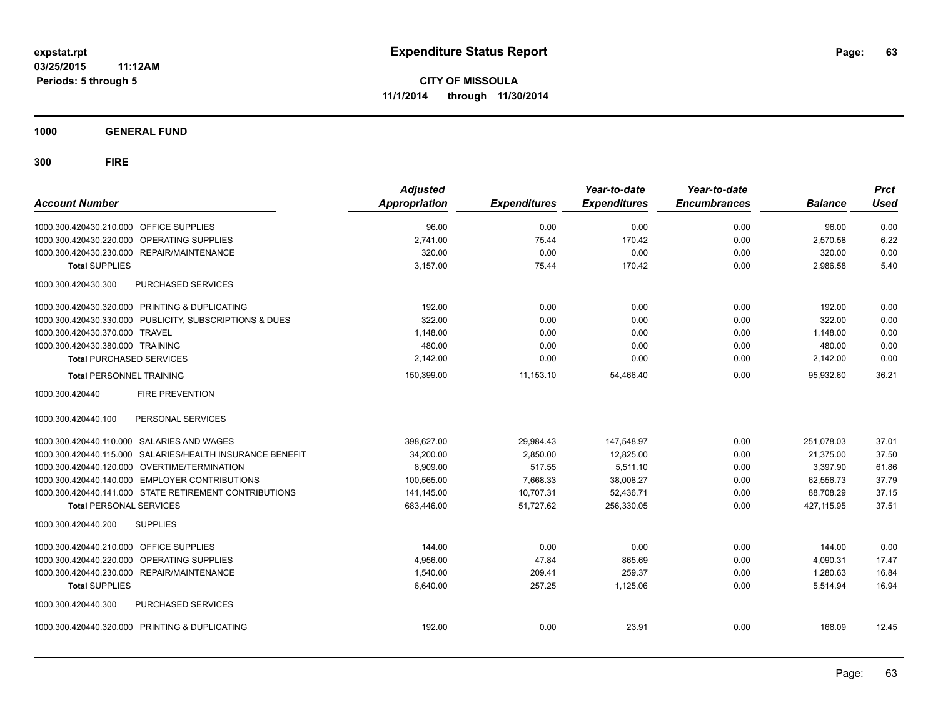**1000 GENERAL FUND**

| <b>Account Number</b>                                     | <b>Adjusted</b><br><b>Appropriation</b> | <b>Expenditures</b> | Year-to-date<br><b>Expenditures</b> | Year-to-date<br><b>Encumbrances</b> | <b>Balance</b> | <b>Prct</b><br><b>Used</b> |
|-----------------------------------------------------------|-----------------------------------------|---------------------|-------------------------------------|-------------------------------------|----------------|----------------------------|
| 1000.300.420430.210.000 OFFICE SUPPLIES                   | 96.00                                   | 0.00                | 0.00                                | 0.00                                | 96.00          | 0.00                       |
| 1000.300.420430.220.000 OPERATING SUPPLIES                | 2.741.00                                | 75.44               | 170.42                              | 0.00                                | 2.570.58       | 6.22                       |
| 1000.300.420430.230.000 REPAIR/MAINTENANCE                | 320.00                                  | 0.00                | 0.00                                | 0.00                                | 320.00         | 0.00                       |
| <b>Total SUPPLIES</b>                                     | 3.157.00                                | 75.44               | 170.42                              | 0.00                                | 2,986.58       | 5.40                       |
| 1000.300.420430.300<br>PURCHASED SERVICES                 |                                         |                     |                                     |                                     |                |                            |
| 1000.300.420430.320.000 PRINTING & DUPLICATING            | 192.00                                  | 0.00                | 0.00                                | 0.00                                | 192.00         | 0.00                       |
| 1000.300.420430.330.000 PUBLICITY, SUBSCRIPTIONS & DUES   | 322.00                                  | 0.00                | 0.00                                | 0.00                                | 322.00         | 0.00                       |
| 1000.300.420430.370.000 TRAVEL                            | 1,148.00                                | 0.00                | 0.00                                | 0.00                                | 1,148.00       | 0.00                       |
| 1000.300.420430.380.000 TRAINING                          | 480.00                                  | 0.00                | 0.00                                | 0.00                                | 480.00         | 0.00                       |
| <b>Total PURCHASED SERVICES</b>                           | 2,142.00                                | 0.00                | 0.00                                | 0.00                                | 2,142.00       | 0.00                       |
| <b>Total PERSONNEL TRAINING</b>                           | 150,399.00                              | 11,153.10           | 54,466.40                           | 0.00                                | 95,932.60      | 36.21                      |
| 1000.300.420440<br><b>FIRE PREVENTION</b>                 |                                         |                     |                                     |                                     |                |                            |
| 1000.300.420440.100<br>PERSONAL SERVICES                  |                                         |                     |                                     |                                     |                |                            |
| 1000.300.420440.110.000 SALARIES AND WAGES                | 398,627.00                              | 29,984.43           | 147,548.97                          | 0.00                                | 251,078.03     | 37.01                      |
| 1000.300.420440.115.000 SALARIES/HEALTH INSURANCE BENEFIT | 34,200.00                               | 2.850.00            | 12.825.00                           | 0.00                                | 21.375.00      | 37.50                      |
| 1000.300.420440.120.000 OVERTIME/TERMINATION              | 8,909.00                                | 517.55              | 5,511.10                            | 0.00                                | 3,397.90       | 61.86                      |
| 1000.300.420440.140.000 EMPLOYER CONTRIBUTIONS            | 100,565.00                              | 7,668.33            | 38,008.27                           | 0.00                                | 62,556.73      | 37.79                      |
| 1000.300.420440.141.000 STATE RETIREMENT CONTRIBUTIONS    | 141,145.00                              | 10,707.31           | 52,436.71                           | 0.00                                | 88,708.29      | 37.15                      |
| <b>Total PERSONAL SERVICES</b>                            | 683,446.00                              | 51,727.62           | 256,330.05                          | 0.00                                | 427,115.95     | 37.51                      |
| 1000.300.420440.200<br><b>SUPPLIES</b>                    |                                         |                     |                                     |                                     |                |                            |
| 1000.300.420440.210.000 OFFICE SUPPLIES                   | 144.00                                  | 0.00                | 0.00                                | 0.00                                | 144.00         | 0.00                       |
| 1000.300.420440.220.000 OPERATING SUPPLIES                | 4,956.00                                | 47.84               | 865.69                              | 0.00                                | 4,090.31       | 17.47                      |
| 1000.300.420440.230.000 REPAIR/MAINTENANCE                | 1.540.00                                | 209.41              | 259.37                              | 0.00                                | 1,280.63       | 16.84                      |
| <b>Total SUPPLIES</b>                                     | 6,640.00                                | 257.25              | 1,125.06                            | 0.00                                | 5,514.94       | 16.94                      |
| 1000.300.420440.300<br>PURCHASED SERVICES                 |                                         |                     |                                     |                                     |                |                            |
| 1000.300.420440.320.000 PRINTING & DUPLICATING            | 192.00                                  | 0.00                | 23.91                               | 0.00                                | 168.09         | 12.45                      |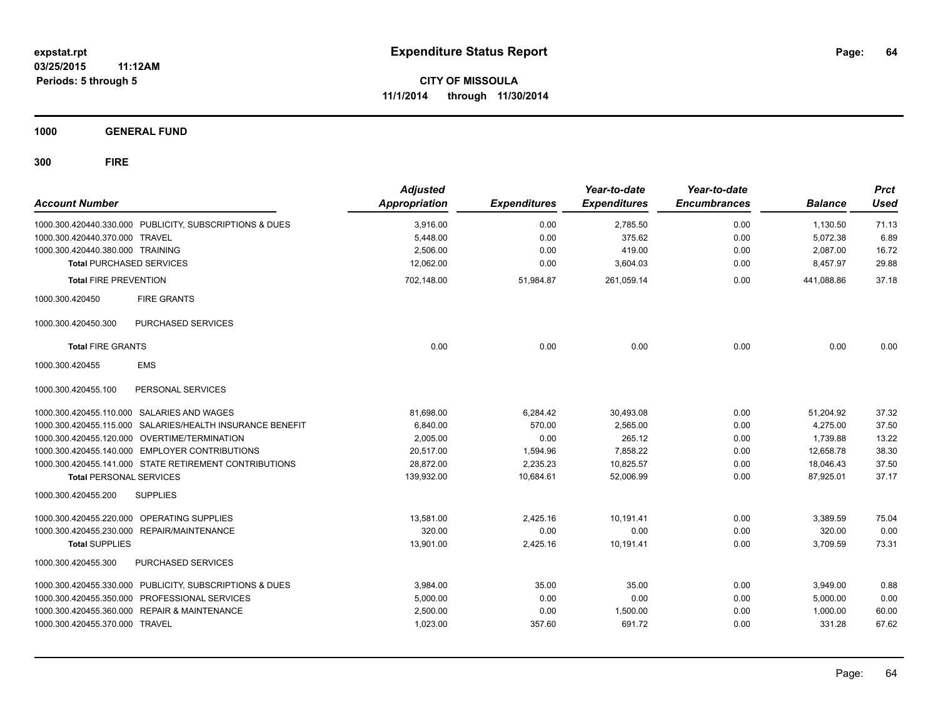**1000 GENERAL FUND**

| <b>Account Number</b>            |                                                           | <b>Adjusted</b><br>Appropriation | <b>Expenditures</b> | Year-to-date<br><b>Expenditures</b> | Year-to-date<br><b>Encumbrances</b> | <b>Balance</b> | <b>Prct</b><br><b>Used</b> |
|----------------------------------|-----------------------------------------------------------|----------------------------------|---------------------|-------------------------------------|-------------------------------------|----------------|----------------------------|
|                                  | 1000.300.420440.330.000 PUBLICITY, SUBSCRIPTIONS & DUES   | 3.916.00                         | 0.00                | 2,785.50                            | 0.00                                | 1,130.50       | 71.13                      |
| 1000.300.420440.370.000 TRAVEL   |                                                           | 5,448.00                         | 0.00                | 375.62                              | 0.00                                | 5,072.38       | 6.89                       |
| 1000.300.420440.380.000 TRAINING |                                                           | 2,506.00                         | 0.00                | 419.00                              | 0.00                                | 2,087.00       | 16.72                      |
| <b>Total PURCHASED SERVICES</b>  |                                                           | 12.062.00                        | 0.00                | 3,604.03                            | 0.00                                | 8,457.97       | 29.88                      |
| <b>Total FIRE PREVENTION</b>     |                                                           | 702,148.00                       | 51,984.87           | 261,059.14                          | 0.00                                | 441,088.86     | 37.18                      |
| 1000.300.420450                  | <b>FIRE GRANTS</b>                                        |                                  |                     |                                     |                                     |                |                            |
| 1000.300.420450.300              | PURCHASED SERVICES                                        |                                  |                     |                                     |                                     |                |                            |
| <b>Total FIRE GRANTS</b>         |                                                           | 0.00                             | 0.00                | 0.00                                | 0.00                                | 0.00           | 0.00                       |
| 1000.300.420455                  | <b>EMS</b>                                                |                                  |                     |                                     |                                     |                |                            |
| 1000.300.420455.100              | PERSONAL SERVICES                                         |                                  |                     |                                     |                                     |                |                            |
|                                  | 1000.300.420455.110.000 SALARIES AND WAGES                | 81,698.00                        | 6,284.42            | 30,493.08                           | 0.00                                | 51,204.92      | 37.32                      |
|                                  | 1000.300.420455.115.000 SALARIES/HEALTH INSURANCE BENEFIT | 6,840.00                         | 570.00              | 2,565.00                            | 0.00                                | 4,275.00       | 37.50                      |
|                                  | 1000.300.420455.120.000 OVERTIME/TERMINATION              | 2,005.00                         | 0.00                | 265.12                              | 0.00                                | 1,739.88       | 13.22                      |
|                                  | 1000.300.420455.140.000 EMPLOYER CONTRIBUTIONS            | 20,517.00                        | 1,594.96            | 7,858.22                            | 0.00                                | 12,658.78      | 38.30                      |
|                                  | 1000.300.420455.141.000 STATE RETIREMENT CONTRIBUTIONS    | 28.872.00                        | 2.235.23            | 10.825.57                           | 0.00                                | 18.046.43      | 37.50                      |
| <b>Total PERSONAL SERVICES</b>   |                                                           | 139,932.00                       | 10,684.61           | 52,006.99                           | 0.00                                | 87,925.01      | 37.17                      |
| 1000.300.420455.200              | <b>SUPPLIES</b>                                           |                                  |                     |                                     |                                     |                |                            |
|                                  | 1000.300.420455.220.000 OPERATING SUPPLIES                | 13,581.00                        | 2,425.16            | 10,191.41                           | 0.00                                | 3,389.59       | 75.04                      |
| 1000.300.420455.230.000          | REPAIR/MAINTENANCE                                        | 320.00                           | 0.00                | 0.00                                | 0.00                                | 320.00         | 0.00                       |
| <b>Total SUPPLIES</b>            |                                                           | 13,901.00                        | 2,425.16            | 10,191.41                           | 0.00                                | 3,709.59       | 73.31                      |
| 1000.300.420455.300              | PURCHASED SERVICES                                        |                                  |                     |                                     |                                     |                |                            |
|                                  | 1000.300.420455.330.000 PUBLICITY, SUBSCRIPTIONS & DUES   | 3.984.00                         | 35.00               | 35.00                               | 0.00                                | 3,949.00       | 0.88                       |
| 1000.300.420455.350.000          | PROFESSIONAL SERVICES                                     | 5,000.00                         | 0.00                | 0.00                                | 0.00                                | 5,000.00       | 0.00                       |
| 1000.300.420455.360.000          | <b>REPAIR &amp; MAINTENANCE</b>                           | 2,500.00                         | 0.00                | 1,500.00                            | 0.00                                | 1,000.00       | 60.00                      |
| 1000.300.420455.370.000 TRAVEL   |                                                           | 1,023.00                         | 357.60              | 691.72                              | 0.00                                | 331.28         | 67.62                      |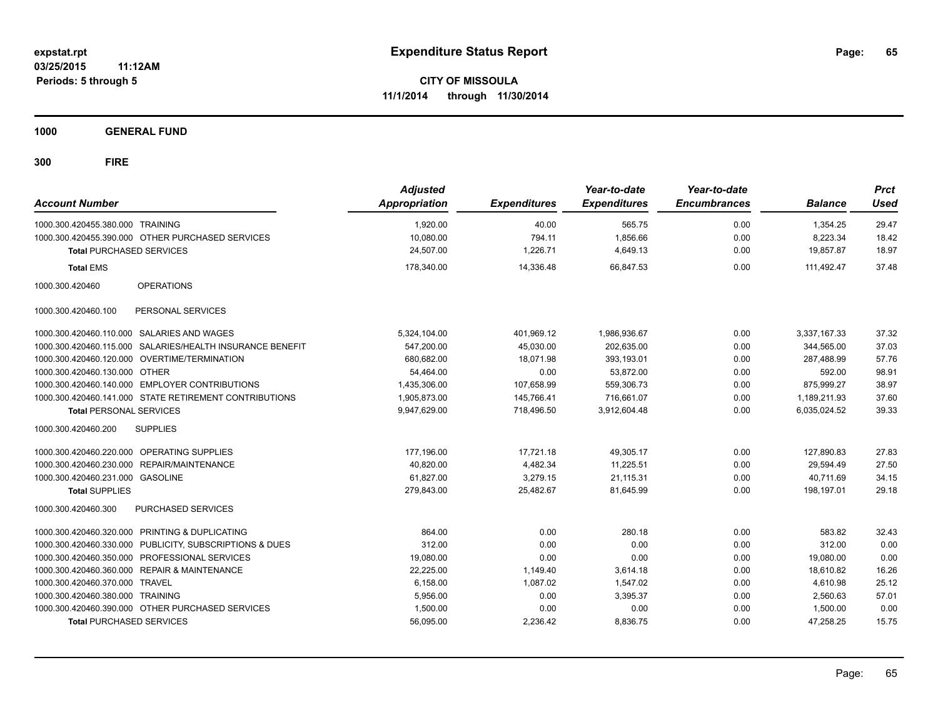**1000 GENERAL FUND**

| <b>Account Number</b>            |                                                           | <b>Adjusted</b><br><b>Appropriation</b> | <b>Expenditures</b> | Year-to-date<br><b>Expenditures</b> | Year-to-date<br><b>Encumbrances</b> | <b>Balance</b>        | <b>Prct</b><br><b>Used</b> |
|----------------------------------|-----------------------------------------------------------|-----------------------------------------|---------------------|-------------------------------------|-------------------------------------|-----------------------|----------------------------|
| 1000.300.420455.380.000 TRAINING |                                                           | 1,920.00                                | 40.00               | 565.75                              | 0.00                                | 1.354.25              | 29.47                      |
| <b>Total PURCHASED SERVICES</b>  | 1000.300.420455.390.000 OTHER PURCHASED SERVICES          | 10,080.00<br>24,507.00                  | 794.11<br>1,226.71  | 1,856.66<br>4,649.13                | 0.00<br>0.00                        | 8,223.34<br>19,857.87 | 18.42<br>18.97             |
| <b>Total EMS</b>                 |                                                           | 178,340.00                              | 14,336.48           | 66,847.53                           | 0.00                                | 111.492.47            | 37.48                      |
| 1000.300.420460                  | <b>OPERATIONS</b>                                         |                                         |                     |                                     |                                     |                       |                            |
| 1000.300.420460.100              | PERSONAL SERVICES                                         |                                         |                     |                                     |                                     |                       |                            |
|                                  | 1000.300.420460.110.000 SALARIES AND WAGES                | 5,324,104.00                            | 401,969.12          | 1,986,936.67                        | 0.00                                | 3,337,167.33          | 37.32                      |
|                                  | 1000.300.420460.115.000 SALARIES/HEALTH INSURANCE BENEFIT | 547,200.00                              | 45,030.00           | 202,635.00                          | 0.00                                | 344,565.00            | 37.03                      |
|                                  | 1000.300.420460.120.000 OVERTIME/TERMINATION              | 680,682.00                              | 18,071.98           | 393,193.01                          | 0.00                                | 287,488.99            | 57.76                      |
| 1000.300.420460.130.000 OTHER    |                                                           | 54,464.00                               | 0.00                | 53,872.00                           | 0.00                                | 592.00                | 98.91                      |
|                                  | 1000.300.420460.140.000 EMPLOYER CONTRIBUTIONS            | 1,435,306.00                            | 107,658.99          | 559,306.73                          | 0.00                                | 875.999.27            | 38.97                      |
|                                  | 1000.300.420460.141.000 STATE RETIREMENT CONTRIBUTIONS    | 1,905,873.00                            | 145,766.41          | 716,661.07                          | 0.00                                | 1,189,211.93          | 37.60                      |
| <b>Total PERSONAL SERVICES</b>   |                                                           | 9,947,629.00                            | 718,496.50          | 3,912,604.48                        | 0.00                                | 6,035,024.52          | 39.33                      |
| 1000.300.420460.200              | <b>SUPPLIES</b>                                           |                                         |                     |                                     |                                     |                       |                            |
|                                  | 1000.300.420460.220.000 OPERATING SUPPLIES                | 177,196.00                              | 17,721.18           | 49,305.17                           | 0.00                                | 127,890.83            | 27.83                      |
| 1000.300.420460.230.000          | REPAIR/MAINTENANCE                                        | 40,820.00                               | 4,482.34            | 11,225.51                           | 0.00                                | 29,594.49             | 27.50                      |
| 1000.300.420460.231.000 GASOLINE |                                                           | 61,827.00                               | 3,279.15            | 21,115.31                           | 0.00                                | 40,711.69             | 34.15                      |
| <b>Total SUPPLIES</b>            |                                                           | 279,843.00                              | 25,482.67           | 81,645.99                           | 0.00                                | 198,197.01            | 29.18                      |
| 1000.300.420460.300              | <b>PURCHASED SERVICES</b>                                 |                                         |                     |                                     |                                     |                       |                            |
| 1000.300.420460.320.000          | PRINTING & DUPLICATING                                    | 864.00                                  | 0.00                | 280.18                              | 0.00                                | 583.82                | 32.43                      |
|                                  | 1000.300.420460.330.000 PUBLICITY, SUBSCRIPTIONS & DUES   | 312.00                                  | 0.00                | 0.00                                | 0.00                                | 312.00                | 0.00                       |
|                                  | 1000.300.420460.350.000 PROFESSIONAL SERVICES             | 19,080.00                               | 0.00                | 0.00                                | 0.00                                | 19,080.00             | 0.00                       |
|                                  | 1000.300.420460.360.000 REPAIR & MAINTENANCE              | 22.225.00                               | 1,149.40            | 3.614.18                            | 0.00                                | 18,610.82             | 16.26                      |
| 1000.300.420460.370.000          | <b>TRAVEL</b>                                             | 6,158.00                                | 1,087.02            | 1,547.02                            | 0.00                                | 4,610.98              | 25.12                      |
| 1000.300.420460.380.000 TRAINING |                                                           | 5,956.00                                | 0.00                | 3,395.37                            | 0.00                                | 2,560.63              | 57.01                      |
|                                  | 1000.300.420460.390.000 OTHER PURCHASED SERVICES          | 1,500.00                                | 0.00                | 0.00                                | 0.00                                | 1,500.00              | 0.00                       |
| <b>Total PURCHASED SERVICES</b>  |                                                           | 56,095.00                               | 2,236.42            | 8,836.75                            | 0.00                                | 47,258.25             | 15.75                      |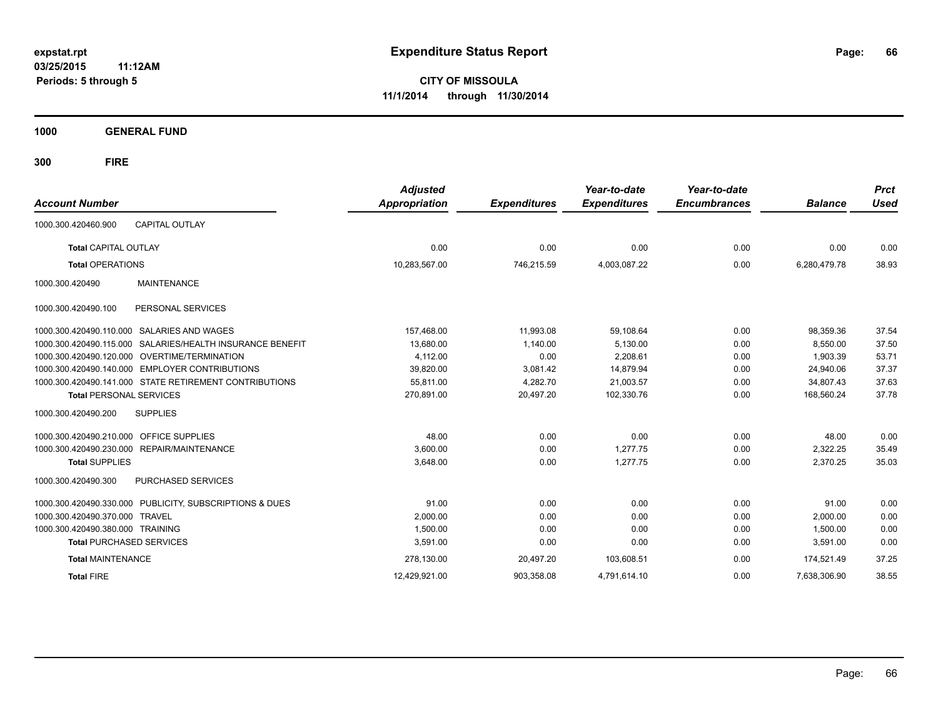**03/25/2015 11:12AM Periods: 5 through 5**

**CITY OF MISSOULA 11/1/2014 through 11/30/2014**

**1000 GENERAL FUND**

| <b>Account Number</b>                                        | <b>Adjusted</b><br>Appropriation | <b>Expenditures</b> | Year-to-date<br><b>Expenditures</b> | Year-to-date<br><b>Encumbrances</b> | <b>Balance</b> | <b>Prct</b><br><b>Used</b> |
|--------------------------------------------------------------|----------------------------------|---------------------|-------------------------------------|-------------------------------------|----------------|----------------------------|
| <b>CAPITAL OUTLAY</b><br>1000.300.420460.900                 |                                  |                     |                                     |                                     |                |                            |
| <b>Total CAPITAL OUTLAY</b>                                  | 0.00                             | 0.00                | 0.00                                | 0.00                                | 0.00           | 0.00                       |
| <b>Total OPERATIONS</b>                                      | 10.283.567.00                    | 746,215.59          | 4.003.087.22                        | 0.00                                | 6,280,479.78   | 38.93                      |
| <b>MAINTENANCE</b><br>1000.300.420490                        |                                  |                     |                                     |                                     |                |                            |
| PERSONAL SERVICES<br>1000.300.420490.100                     |                                  |                     |                                     |                                     |                |                            |
| SALARIES AND WAGES<br>1000.300.420490.110.000                | 157,468.00                       | 11,993.08           | 59,108.64                           | 0.00                                | 98,359.36      | 37.54                      |
| SALARIES/HEALTH INSURANCE BENEFIT<br>1000.300.420490.115.000 | 13,680.00                        | 1,140.00            | 5,130.00                            | 0.00                                | 8,550.00       | 37.50                      |
| OVERTIME/TERMINATION<br>1000.300.420490.120.000              | 4,112.00                         | 0.00                | 2,208.61                            | 0.00                                | 1,903.39       | 53.71                      |
| <b>EMPLOYER CONTRIBUTIONS</b><br>1000.300.420490.140.000     | 39,820.00                        | 3,081.42            | 14.879.94                           | 0.00                                | 24,940.06      | 37.37                      |
| 1000.300.420490.141.000 STATE RETIREMENT CONTRIBUTIONS       | 55,811.00                        | 4,282.70            | 21,003.57                           | 0.00                                | 34,807.43      | 37.63                      |
| <b>Total PERSONAL SERVICES</b>                               | 270,891.00                       | 20,497.20           | 102,330.76                          | 0.00                                | 168,560.24     | 37.78                      |
| <b>SUPPLIES</b><br>1000.300.420490.200                       |                                  |                     |                                     |                                     |                |                            |
| 1000.300.420490.210.000<br><b>OFFICE SUPPLIES</b>            | 48.00                            | 0.00                | 0.00                                | 0.00                                | 48.00          | 0.00                       |
| 1000.300.420490.230.000<br>REPAIR/MAINTENANCE                | 3,600.00                         | 0.00                | 1,277.75                            | 0.00                                | 2,322.25       | 35.49                      |
| <b>Total SUPPLIES</b>                                        | 3.648.00                         | 0.00                | 1.277.75                            | 0.00                                | 2,370.25       | 35.03                      |
| 1000.300.420490.300<br>PURCHASED SERVICES                    |                                  |                     |                                     |                                     |                |                            |
| 1000.300.420490.330.000 PUBLICITY, SUBSCRIPTIONS & DUES      | 91.00                            | 0.00                | 0.00                                | 0.00                                | 91.00          | 0.00                       |
| <b>TRAVEL</b><br>1000.300.420490.370.000                     | 2,000.00                         | 0.00                | 0.00                                | 0.00                                | 2,000.00       | 0.00                       |
| 1000.300.420490.380.000 TRAINING                             | 1,500.00                         | 0.00                | 0.00                                | 0.00                                | 1,500.00       | 0.00                       |
| <b>Total PURCHASED SERVICES</b>                              | 3,591.00                         | 0.00                | 0.00                                | 0.00                                | 3,591.00       | 0.00                       |
| <b>Total MAINTENANCE</b>                                     | 278.130.00                       | 20,497.20           | 103,608.51                          | 0.00                                | 174.521.49     | 37.25                      |
| <b>Total FIRE</b>                                            | 12.429.921.00                    | 903.358.08          | 4.791.614.10                        | 0.00                                | 7.638.306.90   | 38.55                      |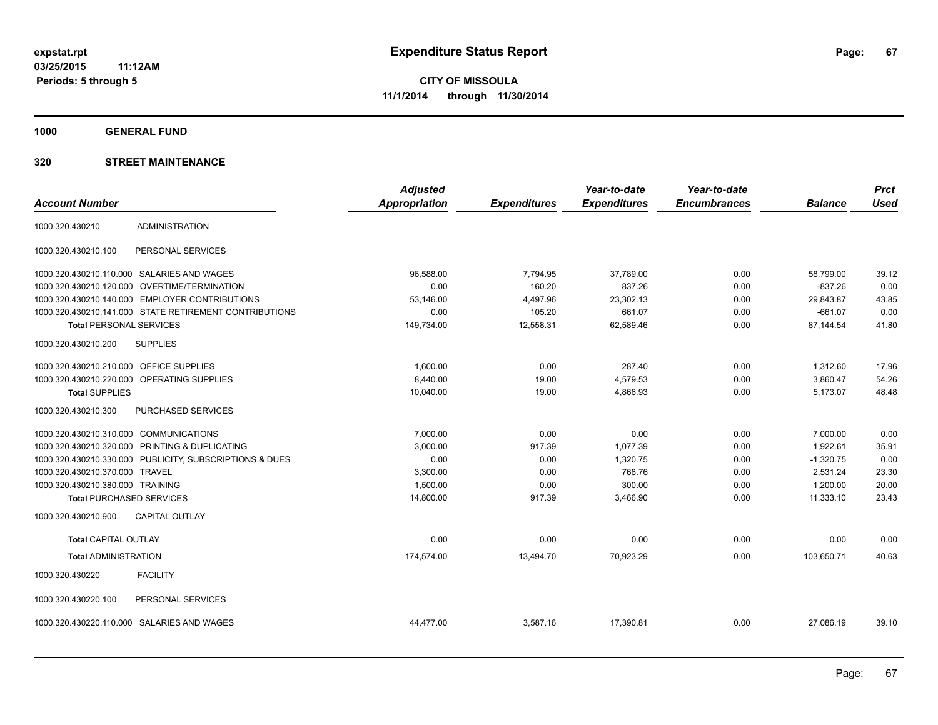**1000 GENERAL FUND**

|                                         |                                                         | <b>Adjusted</b>      |                     | Year-to-date        | Year-to-date        |                | <b>Prct</b> |
|-----------------------------------------|---------------------------------------------------------|----------------------|---------------------|---------------------|---------------------|----------------|-------------|
| <b>Account Number</b>                   |                                                         | <b>Appropriation</b> | <b>Expenditures</b> | <b>Expenditures</b> | <b>Encumbrances</b> | <b>Balance</b> | <b>Used</b> |
| 1000.320.430210                         | <b>ADMINISTRATION</b>                                   |                      |                     |                     |                     |                |             |
| 1000.320.430210.100                     | PERSONAL SERVICES                                       |                      |                     |                     |                     |                |             |
|                                         | 1000.320.430210.110.000 SALARIES AND WAGES              | 96.588.00            | 7,794.95            | 37,789.00           | 0.00                | 58,799.00      | 39.12       |
| 1000.320.430210.120.000                 | <b>OVERTIME/TERMINATION</b>                             | 0.00                 | 160.20              | 837.26              | 0.00                | $-837.26$      | 0.00        |
|                                         | 1000.320.430210.140.000 EMPLOYER CONTRIBUTIONS          | 53.146.00            | 4,497.96            | 23,302.13           | 0.00                | 29,843.87      | 43.85       |
|                                         | 1000.320.430210.141.000 STATE RETIREMENT CONTRIBUTIONS  | 0.00                 | 105.20              | 661.07              | 0.00                | $-661.07$      | 0.00        |
| <b>Total PERSONAL SERVICES</b>          |                                                         | 149,734.00           | 12,558.31           | 62,589.46           | 0.00                | 87,144.54      | 41.80       |
| 1000.320.430210.200                     | <b>SUPPLIES</b>                                         |                      |                     |                     |                     |                |             |
| 1000.320.430210.210.000 OFFICE SUPPLIES |                                                         | 1,600.00             | 0.00                | 287.40              | 0.00                | 1,312.60       | 17.96       |
|                                         | 1000.320.430210.220.000 OPERATING SUPPLIES              | 8,440.00             | 19.00               | 4,579.53            | 0.00                | 3,860.47       | 54.26       |
| <b>Total SUPPLIES</b>                   |                                                         | 10,040.00            | 19.00               | 4,866.93            | 0.00                | 5,173.07       | 48.48       |
| 1000.320.430210.300                     | PURCHASED SERVICES                                      |                      |                     |                     |                     |                |             |
| 1000.320.430210.310.000 COMMUNICATIONS  |                                                         | 7,000.00             | 0.00                | 0.00                | 0.00                | 7,000.00       | 0.00        |
| 1000.320.430210.320.000                 | PRINTING & DUPLICATING                                  | 3,000.00             | 917.39              | 1,077.39            | 0.00                | 1,922.61       | 35.91       |
|                                         | 1000.320.430210.330.000 PUBLICITY, SUBSCRIPTIONS & DUES | 0.00                 | 0.00                | 1,320.75            | 0.00                | $-1,320.75$    | 0.00        |
| 1000.320.430210.370.000                 | <b>TRAVEL</b>                                           | 3,300.00             | 0.00                | 768.76              | 0.00                | 2,531.24       | 23.30       |
| 1000.320.430210.380.000 TRAINING        |                                                         | 1,500.00             | 0.00                | 300.00              | 0.00                | 1,200.00       | 20.00       |
| <b>Total PURCHASED SERVICES</b>         |                                                         | 14,800.00            | 917.39              | 3,466.90            | 0.00                | 11,333.10      | 23.43       |
| 1000.320.430210.900                     | <b>CAPITAL OUTLAY</b>                                   |                      |                     |                     |                     |                |             |
| <b>Total CAPITAL OUTLAY</b>             |                                                         | 0.00                 | 0.00                | 0.00                | 0.00                | 0.00           | 0.00        |
| <b>Total ADMINISTRATION</b>             |                                                         | 174,574.00           | 13,494.70           | 70,923.29           | 0.00                | 103,650.71     | 40.63       |
| 1000.320.430220                         | <b>FACILITY</b>                                         |                      |                     |                     |                     |                |             |
| 1000.320.430220.100                     | PERSONAL SERVICES                                       |                      |                     |                     |                     |                |             |
|                                         | 1000.320.430220.110.000 SALARIES AND WAGES              | 44,477.00            | 3,587.16            | 17,390.81           | 0.00                | 27,086.19      | 39.10       |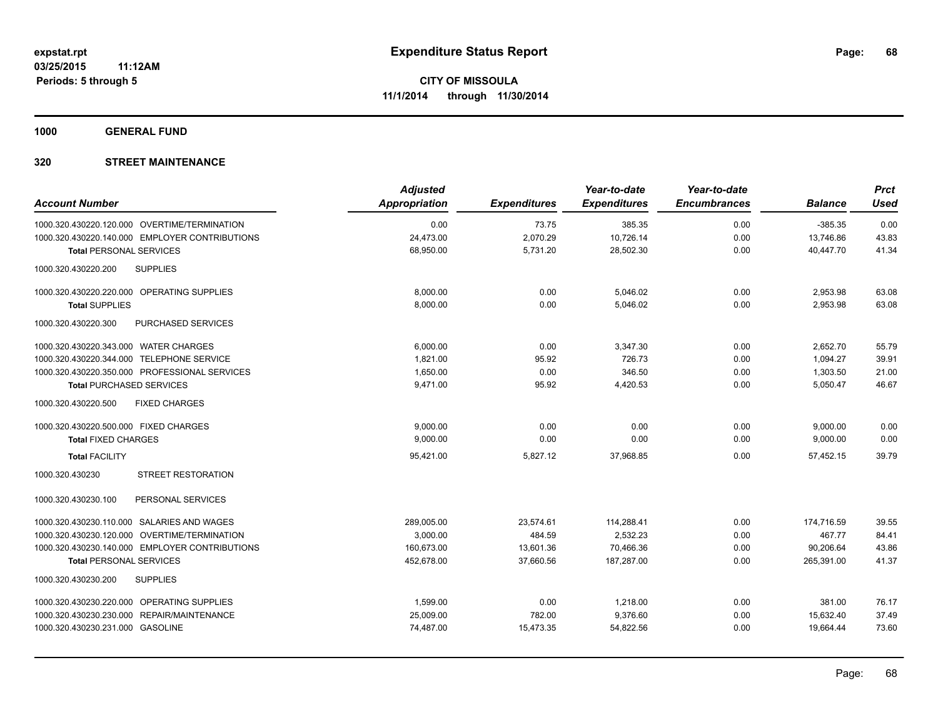**1000 GENERAL FUND**

| <b>Account Number</b>                            | <b>Adjusted</b><br><b>Appropriation</b> | <b>Expenditures</b> | Year-to-date<br><b>Expenditures</b> | Year-to-date<br><b>Encumbrances</b> | <b>Balance</b> | <b>Prct</b><br><b>Used</b> |
|--------------------------------------------------|-----------------------------------------|---------------------|-------------------------------------|-------------------------------------|----------------|----------------------------|
| 1000.320.430220.120.000 OVERTIME/TERMINATION     | 0.00                                    | 73.75               | 385.35                              | 0.00                                | $-385.35$      | 0.00                       |
| 1000.320.430220.140.000 EMPLOYER CONTRIBUTIONS   | 24,473.00                               | 2,070.29            | 10,726.14                           | 0.00                                | 13,746.86      | 43.83                      |
| <b>Total PERSONAL SERVICES</b>                   | 68,950.00                               | 5,731.20            | 28,502.30                           | 0.00                                | 40.447.70      | 41.34                      |
| 1000.320.430220.200<br><b>SUPPLIES</b>           |                                         |                     |                                     |                                     |                |                            |
| 1000.320.430220.220.000 OPERATING SUPPLIES       | 8,000.00                                | 0.00                | 5,046.02                            | 0.00                                | 2,953.98       | 63.08                      |
| <b>Total SUPPLIES</b>                            | 8,000.00                                | 0.00                | 5,046.02                            | 0.00                                | 2,953.98       | 63.08                      |
| <b>PURCHASED SERVICES</b><br>1000.320.430220.300 |                                         |                     |                                     |                                     |                |                            |
| 1000.320.430220.343.000 WATER CHARGES            | 6,000.00                                | 0.00                | 3,347.30                            | 0.00                                | 2,652.70       | 55.79                      |
| 1000.320.430220.344.000 TELEPHONE SERVICE        | 1,821.00                                | 95.92               | 726.73                              | 0.00                                | 1,094.27       | 39.91                      |
| 1000.320.430220.350.000 PROFESSIONAL SERVICES    | 1,650.00                                | 0.00                | 346.50                              | 0.00                                | 1,303.50       | 21.00                      |
| <b>Total PURCHASED SERVICES</b>                  | 9,471.00                                | 95.92               | 4,420.53                            | 0.00                                | 5,050.47       | 46.67                      |
| <b>FIXED CHARGES</b><br>1000.320.430220.500      |                                         |                     |                                     |                                     |                |                            |
| 1000.320.430220.500.000 FIXED CHARGES            | 9,000.00                                | 0.00                | 0.00                                | 0.00                                | 9,000.00       | 0.00                       |
| <b>Total FIXED CHARGES</b>                       | 9,000.00                                | 0.00                | 0.00                                | 0.00                                | 9,000.00       | 0.00                       |
| <b>Total FACILITY</b>                            | 95,421.00                               | 5,827.12            | 37,968.85                           | 0.00                                | 57,452.15      | 39.79                      |
| <b>STREET RESTORATION</b><br>1000.320.430230     |                                         |                     |                                     |                                     |                |                            |
| 1000.320.430230.100<br>PERSONAL SERVICES         |                                         |                     |                                     |                                     |                |                            |
| 1000.320.430230.110.000 SALARIES AND WAGES       | 289,005.00                              | 23,574.61           | 114,288.41                          | 0.00                                | 174,716.59     | 39.55                      |
| 1000.320.430230.120.000 OVERTIME/TERMINATION     | 3,000.00                                | 484.59              | 2,532.23                            | 0.00                                | 467.77         | 84.41                      |
| 1000.320.430230.140.000 EMPLOYER CONTRIBUTIONS   | 160,673.00                              | 13,601.36           | 70,466.36                           | 0.00                                | 90,206.64      | 43.86                      |
| <b>Total PERSONAL SERVICES</b>                   | 452,678.00                              | 37,660.56           | 187,287.00                          | 0.00                                | 265,391.00     | 41.37                      |
| 1000.320.430230.200<br><b>SUPPLIES</b>           |                                         |                     |                                     |                                     |                |                            |
| 1000.320.430230.220.000 OPERATING SUPPLIES       | 1,599.00                                | 0.00                | 1,218.00                            | 0.00                                | 381.00         | 76.17                      |
| 1000.320.430230.230.000 REPAIR/MAINTENANCE       | 25,009.00                               | 782.00              | 9,376.60                            | 0.00                                | 15,632.40      | 37.49                      |
| 1000.320.430230.231.000 GASOLINE                 | 74,487.00                               | 15,473.35           | 54,822.56                           | 0.00                                | 19,664.44      | 73.60                      |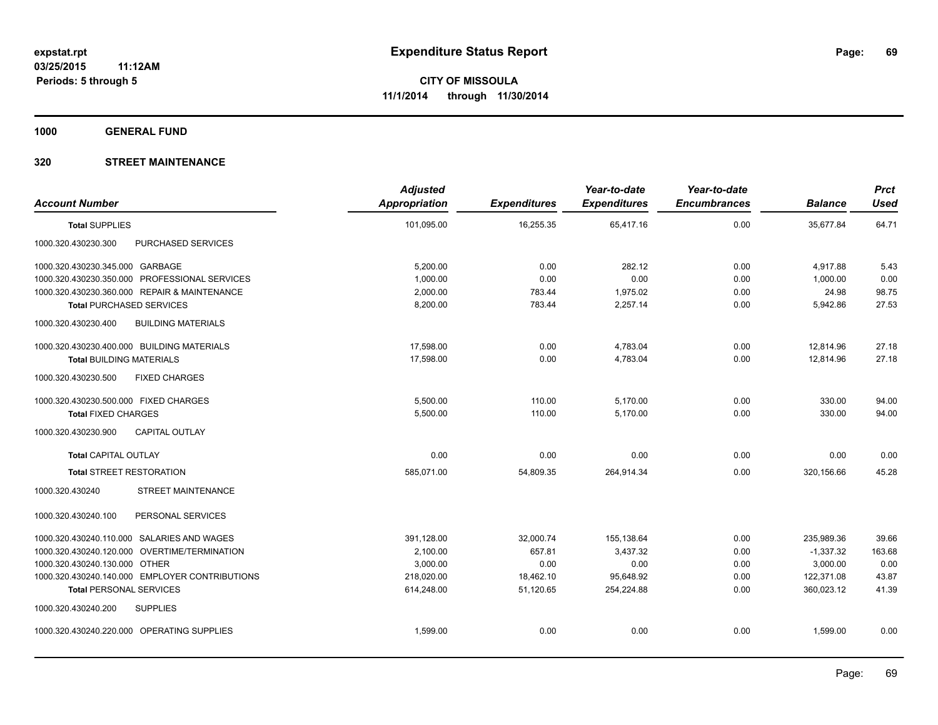**1000 GENERAL FUND**

| <b>Account Number</b>                            | <b>Adjusted</b><br><b>Appropriation</b> | <b>Expenditures</b> | Year-to-date<br><b>Expenditures</b> | Year-to-date<br><b>Encumbrances</b> | <b>Balance</b> | <b>Prct</b><br><b>Used</b> |
|--------------------------------------------------|-----------------------------------------|---------------------|-------------------------------------|-------------------------------------|----------------|----------------------------|
| <b>Total SUPPLIES</b>                            | 101,095.00                              | 16,255.35           | 65,417.16                           | 0.00                                | 35,677.84      | 64.71                      |
| PURCHASED SERVICES<br>1000.320.430230.300        |                                         |                     |                                     |                                     |                |                            |
| 1000.320.430230.345.000 GARBAGE                  | 5,200.00                                | 0.00                | 282.12                              | 0.00                                | 4,917.88       | 5.43                       |
| 1000.320.430230.350.000 PROFESSIONAL SERVICES    | 1,000.00                                | 0.00                | 0.00                                | 0.00                                | 1,000.00       | 0.00                       |
| 1000.320.430230.360.000 REPAIR & MAINTENANCE     | 2,000.00                                | 783.44              | 1,975.02                            | 0.00                                | 24.98          | 98.75                      |
| <b>Total PURCHASED SERVICES</b>                  | 8,200.00                                | 783.44              | 2,257.14                            | 0.00                                | 5,942.86       | 27.53                      |
| 1000.320.430230.400<br><b>BUILDING MATERIALS</b> |                                         |                     |                                     |                                     |                |                            |
| 1000.320.430230.400.000 BUILDING MATERIALS       | 17,598.00                               | 0.00                | 4,783.04                            | 0.00                                | 12,814.96      | 27.18                      |
| <b>Total BUILDING MATERIALS</b>                  | 17,598.00                               | 0.00                | 4,783.04                            | 0.00                                | 12,814.96      | 27.18                      |
| 1000.320.430230.500<br><b>FIXED CHARGES</b>      |                                         |                     |                                     |                                     |                |                            |
| 1000.320.430230.500.000 FIXED CHARGES            | 5,500.00                                | 110.00              | 5,170.00                            | 0.00                                | 330.00         | 94.00                      |
| <b>Total FIXED CHARGES</b>                       | 5,500.00                                | 110.00              | 5,170.00                            | 0.00                                | 330.00         | 94.00                      |
| <b>CAPITAL OUTLAY</b><br>1000.320.430230.900     |                                         |                     |                                     |                                     |                |                            |
| <b>Total CAPITAL OUTLAY</b>                      | 0.00                                    | 0.00                | 0.00                                | 0.00                                | 0.00           | 0.00                       |
| <b>Total STREET RESTORATION</b>                  | 585,071.00                              | 54,809.35           | 264,914.34                          | 0.00                                | 320,156.66     | 45.28                      |
| STREET MAINTENANCE<br>1000.320.430240            |                                         |                     |                                     |                                     |                |                            |
| 1000.320.430240.100<br>PERSONAL SERVICES         |                                         |                     |                                     |                                     |                |                            |
| 1000.320.430240.110.000 SALARIES AND WAGES       | 391,128.00                              | 32,000.74           | 155,138.64                          | 0.00                                | 235,989.36     | 39.66                      |
| 1000.320.430240.120.000 OVERTIME/TERMINATION     | 2,100.00                                | 657.81              | 3,437.32                            | 0.00                                | $-1,337.32$    | 163.68                     |
| 1000.320.430240.130.000 OTHER                    | 3,000.00                                | 0.00                | 0.00                                | 0.00                                | 3,000.00       | 0.00                       |
| 1000.320.430240.140.000 EMPLOYER CONTRIBUTIONS   | 218,020.00                              | 18,462.10           | 95,648.92                           | 0.00                                | 122,371.08     | 43.87                      |
| <b>Total PERSONAL SERVICES</b>                   | 614,248.00                              | 51,120.65           | 254,224.88                          | 0.00                                | 360,023.12     | 41.39                      |
| 1000.320.430240.200<br><b>SUPPLIES</b>           |                                         |                     |                                     |                                     |                |                            |
| 1000.320.430240.220.000 OPERATING SUPPLIES       | 1,599.00                                | 0.00                | 0.00                                | 0.00                                | 1,599.00       | 0.00                       |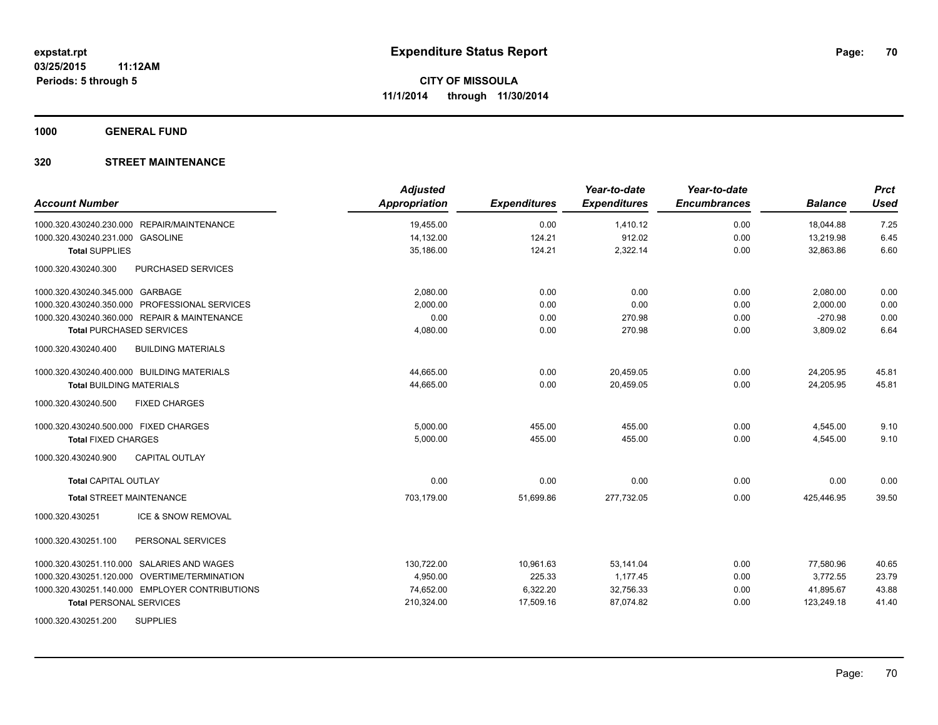**1000 GENERAL FUND**

| <b>Account Number</b>                            | <b>Adjusted</b><br>Appropriation | <b>Expenditures</b> | Year-to-date<br><b>Expenditures</b> | Year-to-date<br><b>Encumbrances</b> | <b>Balance</b> | <b>Prct</b><br><b>Used</b> |
|--------------------------------------------------|----------------------------------|---------------------|-------------------------------------|-------------------------------------|----------------|----------------------------|
| 1000.320.430240.230.000 REPAIR/MAINTENANCE       | 19,455.00                        | 0.00                | 1,410.12                            | 0.00                                | 18,044.88      | 7.25                       |
| 1000.320.430240.231.000 GASOLINE                 | 14,132.00                        | 124.21              | 912.02                              | 0.00                                | 13,219.98      | 6.45                       |
| <b>Total SUPPLIES</b>                            | 35,186.00                        | 124.21              | 2,322.14                            | 0.00                                | 32,863.86      | 6.60                       |
| 1000.320.430240.300<br>PURCHASED SERVICES        |                                  |                     |                                     |                                     |                |                            |
| 1000.320.430240.345.000 GARBAGE                  | 2,080.00                         | 0.00                | 0.00                                | 0.00                                | 2,080.00       | 0.00                       |
| 1000.320.430240.350.000 PROFESSIONAL SERVICES    | 2,000.00                         | 0.00                | 0.00                                | 0.00                                | 2,000.00       | 0.00                       |
| 1000.320.430240.360.000 REPAIR & MAINTENANCE     | 0.00                             | 0.00                | 270.98                              | 0.00                                | $-270.98$      | 0.00                       |
| <b>Total PURCHASED SERVICES</b>                  | 4,080.00                         | 0.00                | 270.98                              | 0.00                                | 3,809.02       | 6.64                       |
| 1000.320.430240.400<br><b>BUILDING MATERIALS</b> |                                  |                     |                                     |                                     |                |                            |
| 1000.320.430240.400.000 BUILDING MATERIALS       | 44,665.00                        | 0.00                | 20,459.05                           | 0.00                                | 24,205.95      | 45.81                      |
| <b>Total BUILDING MATERIALS</b>                  | 44,665.00                        | 0.00                | 20,459.05                           | 0.00                                | 24,205.95      | 45.81                      |
| <b>FIXED CHARGES</b><br>1000.320.430240.500      |                                  |                     |                                     |                                     |                |                            |
| 1000.320.430240.500.000 FIXED CHARGES            | 5,000.00                         | 455.00              | 455.00                              | 0.00                                | 4,545.00       | 9.10                       |
| <b>Total FIXED CHARGES</b>                       | 5,000.00                         | 455.00              | 455.00                              | 0.00                                | 4,545.00       | 9.10                       |
| 1000.320.430240.900<br><b>CAPITAL OUTLAY</b>     |                                  |                     |                                     |                                     |                |                            |
| <b>Total CAPITAL OUTLAY</b>                      | 0.00                             | 0.00                | 0.00                                | 0.00                                | 0.00           | 0.00                       |
| <b>Total STREET MAINTENANCE</b>                  | 703,179.00                       | 51,699.86           | 277,732.05                          | 0.00                                | 425,446.95     | 39.50                      |
| 1000.320.430251<br>ICE & SNOW REMOVAL            |                                  |                     |                                     |                                     |                |                            |
| 1000.320.430251.100<br>PERSONAL SERVICES         |                                  |                     |                                     |                                     |                |                            |
| 1000.320.430251.110.000 SALARIES AND WAGES       | 130,722.00                       | 10,961.63           | 53,141.04                           | 0.00                                | 77,580.96      | 40.65                      |
| 1000.320.430251.120.000 OVERTIME/TERMINATION     | 4,950.00                         | 225.33              | 1.177.45                            | 0.00                                | 3.772.55       | 23.79                      |
| 1000.320.430251.140.000 EMPLOYER CONTRIBUTIONS   | 74,652.00                        | 6,322.20            | 32,756.33                           | 0.00                                | 41,895.67      | 43.88                      |
| <b>Total PERSONAL SERVICES</b>                   | 210,324.00                       | 17,509.16           | 87,074.82                           | 0.00                                | 123,249.18     | 41.40                      |
| <b>SUPPLIES</b><br>1000.320.430251.200           |                                  |                     |                                     |                                     |                |                            |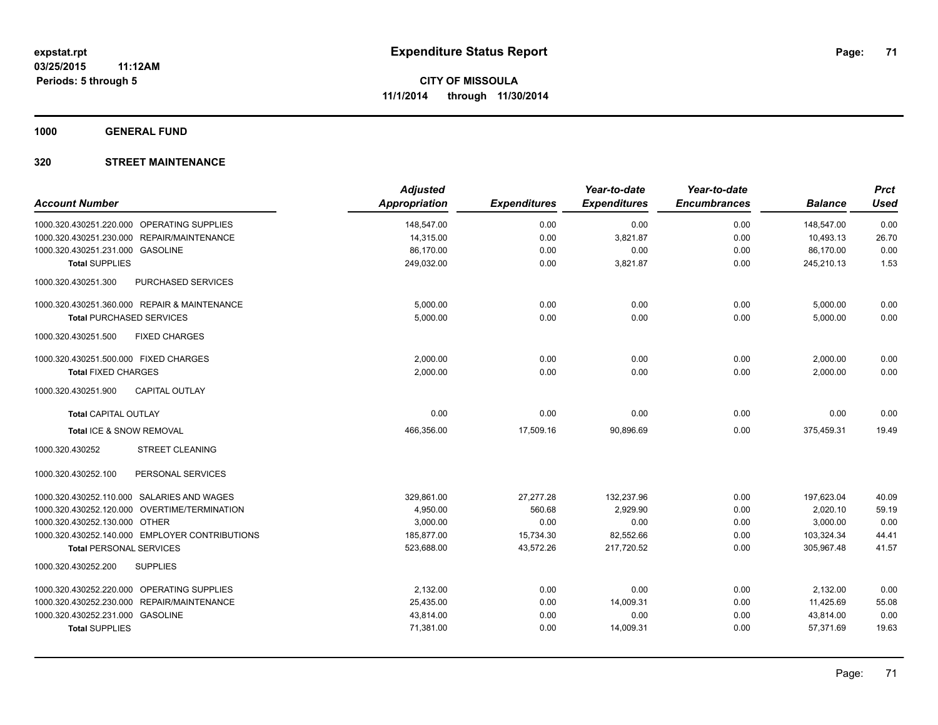**1000 GENERAL FUND**

| <b>Account Number</b>                            | <b>Adjusted</b><br><b>Appropriation</b> | <b>Expenditures</b> | Year-to-date<br><b>Expenditures</b> | Year-to-date<br><b>Encumbrances</b> | <b>Balance</b> | <b>Prct</b><br><b>Used</b> |
|--------------------------------------------------|-----------------------------------------|---------------------|-------------------------------------|-------------------------------------|----------------|----------------------------|
| 1000.320.430251.220.000 OPERATING SUPPLIES       | 148,547.00                              | 0.00                | 0.00                                | 0.00                                | 148.547.00     | 0.00                       |
| REPAIR/MAINTENANCE<br>1000.320.430251.230.000    | 14,315.00                               | 0.00                | 3,821.87                            | 0.00                                | 10,493.13      | 26.70                      |
| 1000.320.430251.231.000 GASOLINE                 | 86,170.00                               | 0.00                | 0.00                                | 0.00                                | 86,170.00      | 0.00                       |
| <b>Total SUPPLIES</b>                            | 249,032.00                              | 0.00                | 3,821.87                            | 0.00                                | 245,210.13     | 1.53                       |
| 1000.320.430251.300<br><b>PURCHASED SERVICES</b> |                                         |                     |                                     |                                     |                |                            |
| 1000.320.430251.360.000 REPAIR & MAINTENANCE     | 5,000.00                                | 0.00                | 0.00                                | 0.00                                | 5,000.00       | 0.00                       |
| <b>Total PURCHASED SERVICES</b>                  | 5,000.00                                | 0.00                | 0.00                                | 0.00                                | 5,000.00       | 0.00                       |
| 1000.320.430251.500<br><b>FIXED CHARGES</b>      |                                         |                     |                                     |                                     |                |                            |
| 1000.320.430251.500.000 FIXED CHARGES            | 2,000.00                                | 0.00                | 0.00                                | 0.00                                | 2,000.00       | 0.00                       |
| <b>Total FIXED CHARGES</b>                       | 2,000.00                                | 0.00                | 0.00                                | 0.00                                | 2,000.00       | 0.00                       |
| <b>CAPITAL OUTLAY</b><br>1000.320.430251.900     |                                         |                     |                                     |                                     |                |                            |
| <b>Total CAPITAL OUTLAY</b>                      | 0.00                                    | 0.00                | 0.00                                | 0.00                                | 0.00           | 0.00                       |
| Total ICE & SNOW REMOVAL                         | 466,356.00                              | 17,509.16           | 90,896.69                           | 0.00                                | 375,459.31     | 19.49                      |
| 1000.320.430252<br><b>STREET CLEANING</b>        |                                         |                     |                                     |                                     |                |                            |
| 1000.320.430252.100<br>PERSONAL SERVICES         |                                         |                     |                                     |                                     |                |                            |
| 1000.320.430252.110.000 SALARIES AND WAGES       | 329,861.00                              | 27,277.28           | 132,237.96                          | 0.00                                | 197,623.04     | 40.09                      |
| 1000.320.430252.120.000 OVERTIME/TERMINATION     | 4,950.00                                | 560.68              | 2,929.90                            | 0.00                                | 2,020.10       | 59.19                      |
| 1000.320.430252.130.000 OTHER                    | 3,000.00                                | 0.00                | 0.00                                | 0.00                                | 3,000.00       | 0.00                       |
| 1000.320.430252.140.000 EMPLOYER CONTRIBUTIONS   | 185,877.00                              | 15,734.30           | 82,552.66                           | 0.00                                | 103,324.34     | 44.41                      |
| <b>Total PERSONAL SERVICES</b>                   | 523,688.00                              | 43,572.26           | 217,720.52                          | 0.00                                | 305,967.48     | 41.57                      |
| 1000.320.430252.200<br><b>SUPPLIES</b>           |                                         |                     |                                     |                                     |                |                            |
| 1000.320.430252.220.000 OPERATING SUPPLIES       | 2,132.00                                | 0.00                | 0.00                                | 0.00                                | 2,132.00       | 0.00                       |
| 1000.320.430252.230.000 REPAIR/MAINTENANCE       | 25,435.00                               | 0.00                | 14,009.31                           | 0.00                                | 11,425.69      | 55.08                      |
| 1000.320.430252.231.000 GASOLINE                 | 43,814.00                               | 0.00                | 0.00                                | 0.00                                | 43,814.00      | 0.00                       |
| <b>Total SUPPLIES</b>                            | 71,381.00                               | 0.00                | 14,009.31                           | 0.00                                | 57,371.69      | 19.63                      |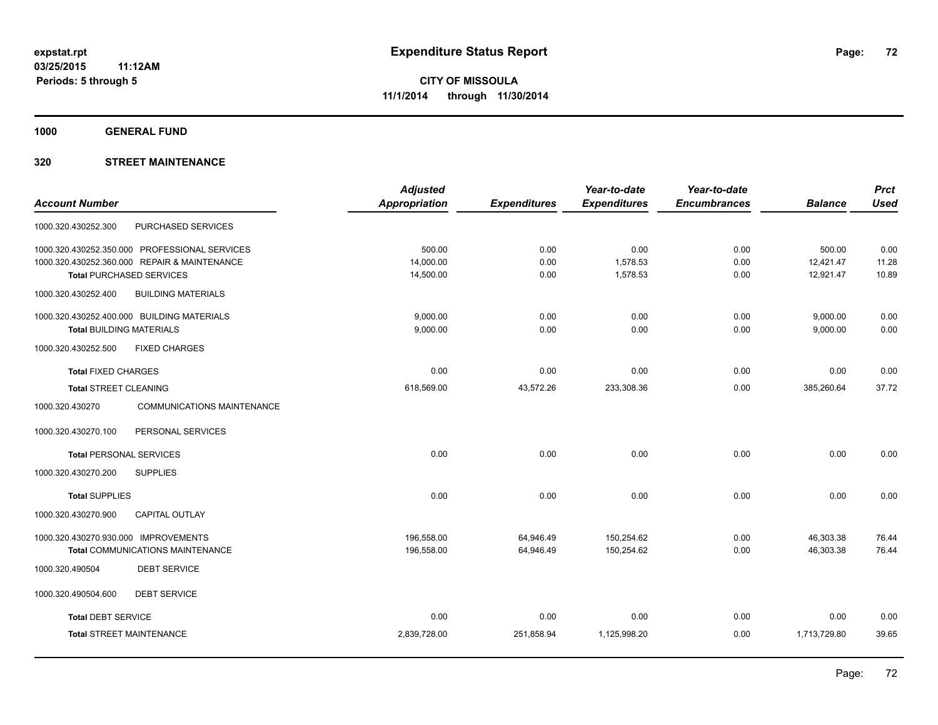**1000 GENERAL FUND**

|                                                  | <b>Adjusted</b> |                     | Year-to-date        | Year-to-date        |                | <b>Prct</b> |
|--------------------------------------------------|-----------------|---------------------|---------------------|---------------------|----------------|-------------|
| <b>Account Number</b>                            | Appropriation   | <b>Expenditures</b> | <b>Expenditures</b> | <b>Encumbrances</b> | <b>Balance</b> | <b>Used</b> |
| PURCHASED SERVICES<br>1000.320.430252.300        |                 |                     |                     |                     |                |             |
| 1000.320.430252.350.000 PROFESSIONAL SERVICES    | 500.00          | 0.00                | 0.00                | 0.00                | 500.00         | 0.00        |
| 1000.320.430252.360.000 REPAIR & MAINTENANCE     | 14,000.00       | 0.00                | 1,578.53            | 0.00                | 12,421.47      | 11.28       |
| <b>Total PURCHASED SERVICES</b>                  | 14,500.00       | 0.00                | 1,578.53            | 0.00                | 12,921.47      | 10.89       |
| 1000.320.430252.400<br><b>BUILDING MATERIALS</b> |                 |                     |                     |                     |                |             |
| 1000.320.430252.400.000 BUILDING MATERIALS       | 9,000.00        | 0.00                | 0.00                | 0.00                | 9,000.00       | 0.00        |
| <b>Total BUILDING MATERIALS</b>                  | 9,000.00        | 0.00                | 0.00                | 0.00                | 9,000.00       | 0.00        |
| 1000.320.430252.500<br><b>FIXED CHARGES</b>      |                 |                     |                     |                     |                |             |
| <b>Total FIXED CHARGES</b>                       | 0.00            | 0.00                | 0.00                | 0.00                | 0.00           | 0.00        |
| <b>Total STREET CLEANING</b>                     | 618,569.00      | 43,572.26           | 233,308.36          | 0.00                | 385,260.64     | 37.72       |
| 1000.320.430270<br>COMMUNICATIONS MAINTENANCE    |                 |                     |                     |                     |                |             |
| PERSONAL SERVICES<br>1000.320.430270.100         |                 |                     |                     |                     |                |             |
| <b>Total PERSONAL SERVICES</b>                   | 0.00            | 0.00                | 0.00                | 0.00                | 0.00           | 0.00        |
| 1000.320.430270.200<br><b>SUPPLIES</b>           |                 |                     |                     |                     |                |             |
| <b>Total SUPPLIES</b>                            | 0.00            | 0.00                | 0.00                | 0.00                | 0.00           | 0.00        |
| <b>CAPITAL OUTLAY</b><br>1000.320.430270.900     |                 |                     |                     |                     |                |             |
| 1000.320.430270.930.000 IMPROVEMENTS             | 196,558.00      | 64,946.49           | 150,254.62          | 0.00                | 46,303.38      | 76.44       |
| <b>Total COMMUNICATIONS MAINTENANCE</b>          | 196,558.00      | 64,946.49           | 150,254.62          | 0.00                | 46,303.38      | 76.44       |
| <b>DEBT SERVICE</b><br>1000.320.490504           |                 |                     |                     |                     |                |             |
| 1000.320.490504.600<br><b>DEBT SERVICE</b>       |                 |                     |                     |                     |                |             |
| <b>Total DEBT SERVICE</b>                        | 0.00            | 0.00                | 0.00                | 0.00                | 0.00           | 0.00        |
| <b>Total STREET MAINTENANCE</b>                  | 2,839,728.00    | 251,858.94          | 1,125,998.20        | 0.00                | 1,713,729.80   | 39.65       |
|                                                  |                 |                     |                     |                     |                |             |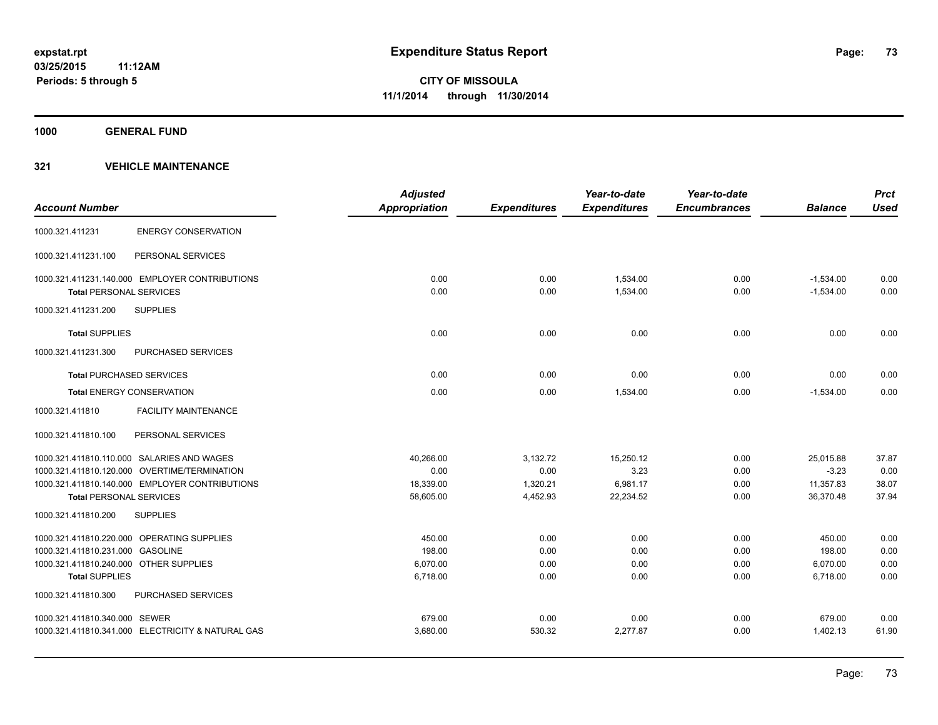**1000 GENERAL FUND**

| <b>Account Number</b>                  |                                                   | <b>Adjusted</b><br><b>Appropriation</b> | <b>Expenditures</b> | Year-to-date<br><b>Expenditures</b> | Year-to-date<br><b>Encumbrances</b> | <b>Balance</b> | <b>Prct</b><br><b>Used</b> |
|----------------------------------------|---------------------------------------------------|-----------------------------------------|---------------------|-------------------------------------|-------------------------------------|----------------|----------------------------|
| 1000.321.411231                        | <b>ENERGY CONSERVATION</b>                        |                                         |                     |                                     |                                     |                |                            |
| 1000.321.411231.100                    | PERSONAL SERVICES                                 |                                         |                     |                                     |                                     |                |                            |
|                                        | 1000.321.411231.140.000 EMPLOYER CONTRIBUTIONS    | 0.00                                    | 0.00                | 1,534.00                            | 0.00                                | $-1,534.00$    | 0.00                       |
| <b>Total PERSONAL SERVICES</b>         |                                                   | 0.00                                    | 0.00                | 1,534.00                            | 0.00                                | $-1,534.00$    | 0.00                       |
| 1000.321.411231.200                    | <b>SUPPLIES</b>                                   |                                         |                     |                                     |                                     |                |                            |
| <b>Total SUPPLIES</b>                  |                                                   | 0.00                                    | 0.00                | 0.00                                | 0.00                                | 0.00           | 0.00                       |
| 1000.321.411231.300                    | <b>PURCHASED SERVICES</b>                         |                                         |                     |                                     |                                     |                |                            |
| <b>Total PURCHASED SERVICES</b>        |                                                   | 0.00                                    | 0.00                | 0.00                                | 0.00                                | 0.00           | 0.00                       |
| <b>Total ENERGY CONSERVATION</b>       |                                                   | 0.00                                    | 0.00                | 1.534.00                            | 0.00                                | $-1.534.00$    | 0.00                       |
| 1000.321.411810                        | <b>FACILITY MAINTENANCE</b>                       |                                         |                     |                                     |                                     |                |                            |
| 1000.321.411810.100                    | PERSONAL SERVICES                                 |                                         |                     |                                     |                                     |                |                            |
|                                        | 1000.321.411810.110.000 SALARIES AND WAGES        | 40,266.00                               | 3,132.72            | 15,250.12                           | 0.00                                | 25,015.88      | 37.87                      |
|                                        | 1000.321.411810.120.000 OVERTIME/TERMINATION      | 0.00                                    | 0.00                | 3.23                                | 0.00                                | $-3.23$        | 0.00                       |
|                                        | 1000.321.411810.140.000 EMPLOYER CONTRIBUTIONS    | 18,339.00                               | 1,320.21            | 6,981.17                            | 0.00                                | 11,357.83      | 38.07                      |
| <b>Total PERSONAL SERVICES</b>         |                                                   | 58,605.00                               | 4,452.93            | 22,234.52                           | 0.00                                | 36,370.48      | 37.94                      |
| 1000.321.411810.200                    | <b>SUPPLIES</b>                                   |                                         |                     |                                     |                                     |                |                            |
|                                        | 1000.321.411810.220.000 OPERATING SUPPLIES        | 450.00                                  | 0.00                | 0.00                                | 0.00                                | 450.00         | 0.00                       |
| 1000.321.411810.231.000 GASOLINE       |                                                   | 198.00                                  | 0.00                | 0.00                                | 0.00                                | 198.00         | 0.00                       |
| 1000.321.411810.240.000 OTHER SUPPLIES |                                                   | 6,070.00                                | 0.00                | 0.00                                | 0.00                                | 6,070.00       | 0.00                       |
| <b>Total SUPPLIES</b>                  |                                                   | 6,718.00                                | 0.00                | 0.00                                | 0.00                                | 6,718.00       | 0.00                       |
| 1000.321.411810.300                    | <b>PURCHASED SERVICES</b>                         |                                         |                     |                                     |                                     |                |                            |
| 1000.321.411810.340.000 SEWER          |                                                   | 679.00                                  | 0.00                | 0.00                                | 0.00                                | 679.00         | 0.00                       |
|                                        | 1000.321.411810.341.000 ELECTRICITY & NATURAL GAS | 3,680.00                                | 530.32              | 2,277.87                            | 0.00                                | 1,402.13       | 61.90                      |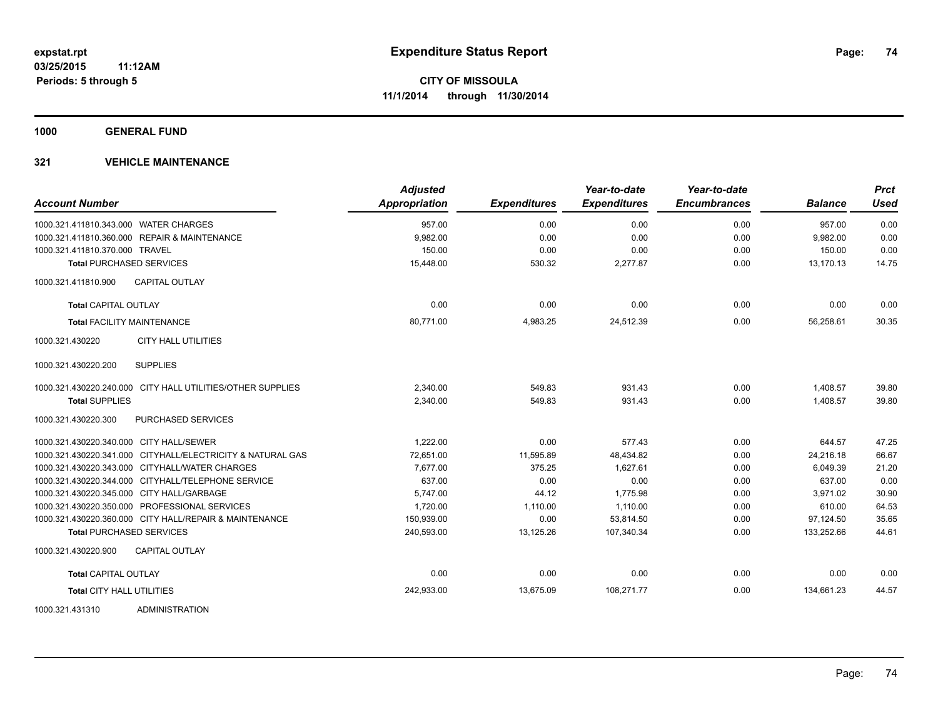**1000 GENERAL FUND**

| <b>Account Number</b>                          |                                                            | <b>Adjusted</b><br>Appropriation | <b>Expenditures</b> | Year-to-date<br><b>Expenditures</b> | Year-to-date<br><b>Encumbrances</b> | <b>Balance</b> | <b>Prct</b><br><b>Used</b> |
|------------------------------------------------|------------------------------------------------------------|----------------------------------|---------------------|-------------------------------------|-------------------------------------|----------------|----------------------------|
| 1000.321.411810.343.000 WATER CHARGES          |                                                            | 957.00                           | 0.00                | 0.00                                | 0.00                                | 957.00         | 0.00                       |
| 1000.321.411810.360.000 REPAIR & MAINTENANCE   |                                                            | 9,982.00                         | 0.00                | 0.00                                | 0.00                                | 9,982.00       | 0.00                       |
| 1000.321.411810.370.000 TRAVEL                 |                                                            | 150.00                           | 0.00                | 0.00                                | 0.00                                | 150.00         | 0.00                       |
| <b>Total PURCHASED SERVICES</b>                |                                                            | 15,448.00                        | 530.32              | 2,277.87                            | 0.00                                | 13.170.13      | 14.75                      |
| 1000.321.411810.900                            | <b>CAPITAL OUTLAY</b>                                      |                                  |                     |                                     |                                     |                |                            |
| <b>Total CAPITAL OUTLAY</b>                    |                                                            | 0.00                             | 0.00                | 0.00                                | 0.00                                | 0.00           | 0.00                       |
| <b>Total FACILITY MAINTENANCE</b>              |                                                            | 80,771.00                        | 4,983.25            | 24,512.39                           | 0.00                                | 56,258.61      | 30.35                      |
| 1000.321.430220                                | <b>CITY HALL UTILITIES</b>                                 |                                  |                     |                                     |                                     |                |                            |
| 1000.321.430220.200                            | <b>SUPPLIES</b>                                            |                                  |                     |                                     |                                     |                |                            |
|                                                | 1000.321.430220.240.000 CITY HALL UTILITIES/OTHER SUPPLIES | 2,340.00                         | 549.83              | 931.43                              | 0.00                                | 1,408.57       | 39.80                      |
| <b>Total SUPPLIES</b>                          |                                                            | 2.340.00                         | 549.83              | 931.43                              | 0.00                                | 1.408.57       | 39.80                      |
| 1000.321.430220.300                            | <b>PURCHASED SERVICES</b>                                  |                                  |                     |                                     |                                     |                |                            |
| 1000.321.430220.340.000 CITY HALL/SEWER        |                                                            | 1,222.00                         | 0.00                | 577.43                              | 0.00                                | 644.57         | 47.25                      |
|                                                | 1000.321.430220.341.000 CITYHALL/ELECTRICITY & NATURAL GAS | 72,651.00                        | 11,595.89           | 48,434.82                           | 0.00                                | 24,216.18      | 66.67                      |
| 1000.321.430220.343.000 CITYHALL/WATER CHARGES |                                                            | 7,677.00                         | 375.25              | 1.627.61                            | 0.00                                | 6.049.39       | 21.20                      |
|                                                | 1000.321.430220.344.000 CITYHALL/TELEPHONE SERVICE         | 637.00                           | 0.00                | 0.00                                | 0.00                                | 637.00         | 0.00                       |
| 1000.321.430220.345.000 CITY HALL/GARBAGE      |                                                            | 5,747.00                         | 44.12               | 1,775.98                            | 0.00                                | 3.971.02       | 30.90                      |
| 1000.321.430220.350.000 PROFESSIONAL SERVICES  |                                                            | 1,720.00                         | 1,110.00            | 1,110.00                            | 0.00                                | 610.00         | 64.53                      |
|                                                | 1000.321.430220.360.000 CITY HALL/REPAIR & MAINTENANCE     | 150,939.00                       | 0.00                | 53,814.50                           | 0.00                                | 97,124.50      | 35.65                      |
| <b>Total PURCHASED SERVICES</b>                |                                                            | 240,593.00                       | 13,125.26           | 107,340.34                          | 0.00                                | 133,252.66     | 44.61                      |
| 1000.321.430220.900                            | <b>CAPITAL OUTLAY</b>                                      |                                  |                     |                                     |                                     |                |                            |
| <b>Total CAPITAL OUTLAY</b>                    |                                                            | 0.00                             | 0.00                | 0.00                                | 0.00                                | 0.00           | 0.00                       |
| <b>Total CITY HALL UTILITIES</b>               |                                                            | 242,933.00                       | 13,675.09           | 108,271.77                          | 0.00                                | 134.661.23     | 44.57                      |
| 1000.321.431310                                | ADMINISTRATION                                             |                                  |                     |                                     |                                     |                |                            |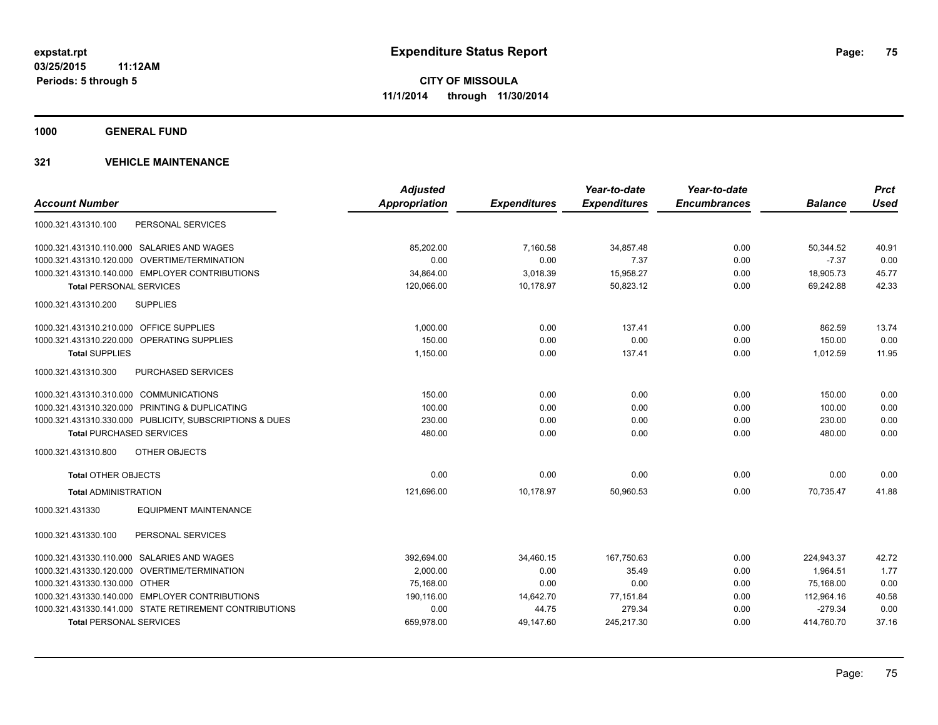**1000 GENERAL FUND**

|                                                         | <b>Adjusted</b> |                     | Year-to-date        | Year-to-date        |                | <b>Prct</b> |
|---------------------------------------------------------|-----------------|---------------------|---------------------|---------------------|----------------|-------------|
| <b>Account Number</b>                                   | Appropriation   | <b>Expenditures</b> | <b>Expenditures</b> | <b>Encumbrances</b> | <b>Balance</b> | <b>Used</b> |
| PERSONAL SERVICES<br>1000.321.431310.100                |                 |                     |                     |                     |                |             |
| 1000.321.431310.110.000 SALARIES AND WAGES              | 85,202.00       | 7,160.58            | 34,857.48           | 0.00                | 50,344.52      | 40.91       |
| 1000.321.431310.120.000 OVERTIME/TERMINATION            | 0.00            | 0.00                | 7.37                | 0.00                | $-7.37$        | 0.00        |
| 1000.321.431310.140.000 EMPLOYER CONTRIBUTIONS          | 34,864.00       | 3,018.39            | 15,958.27           | 0.00                | 18,905.73      | 45.77       |
| <b>Total PERSONAL SERVICES</b>                          | 120,066.00      | 10,178.97           | 50,823.12           | 0.00                | 69,242.88      | 42.33       |
| 1000.321.431310.200<br><b>SUPPLIES</b>                  |                 |                     |                     |                     |                |             |
| 1000.321.431310.210.000 OFFICE SUPPLIES                 | 1,000.00        | 0.00                | 137.41              | 0.00                | 862.59         | 13.74       |
| 1000.321.431310.220.000 OPERATING SUPPLIES              | 150.00          | 0.00                | 0.00                | 0.00                | 150.00         | 0.00        |
| <b>Total SUPPLIES</b>                                   | 1,150.00        | 0.00                | 137.41              | 0.00                | 1,012.59       | 11.95       |
| 1000.321.431310.300<br><b>PURCHASED SERVICES</b>        |                 |                     |                     |                     |                |             |
| 1000.321.431310.310.000 COMMUNICATIONS                  | 150.00          | 0.00                | 0.00                | 0.00                | 150.00         | 0.00        |
| 1000.321.431310.320.000 PRINTING & DUPLICATING          | 100.00          | 0.00                | 0.00                | 0.00                | 100.00         | 0.00        |
| 1000.321.431310.330.000 PUBLICITY, SUBSCRIPTIONS & DUES | 230.00          | 0.00                | 0.00                | 0.00                | 230.00         | 0.00        |
| <b>Total PURCHASED SERVICES</b>                         | 480.00          | 0.00                | 0.00                | 0.00                | 480.00         | 0.00        |
| 1000.321.431310.800<br>OTHER OBJECTS                    |                 |                     |                     |                     |                |             |
| <b>Total OTHER OBJECTS</b>                              | 0.00            | 0.00                | 0.00                | 0.00                | 0.00           | 0.00        |
| <b>Total ADMINISTRATION</b>                             | 121,696.00      | 10,178.97           | 50,960.53           | 0.00                | 70.735.47      | 41.88       |
| 1000.321.431330<br><b>EQUIPMENT MAINTENANCE</b>         |                 |                     |                     |                     |                |             |
| PERSONAL SERVICES<br>1000.321.431330.100                |                 |                     |                     |                     |                |             |
| 1000.321.431330.110.000 SALARIES AND WAGES              | 392,694.00      | 34,460.15           | 167,750.63          | 0.00                | 224,943.37     | 42.72       |
| 1000.321.431330.120.000 OVERTIME/TERMINATION            | 2,000.00        | 0.00                | 35.49               | 0.00                | 1,964.51       | 1.77        |
| 1000.321.431330.130.000 OTHER                           | 75,168.00       | 0.00                | 0.00                | 0.00                | 75,168.00      | 0.00        |
| 1000.321.431330.140.000 EMPLOYER CONTRIBUTIONS          | 190,116.00      | 14,642.70           | 77,151.84           | 0.00                | 112,964.16     | 40.58       |
| 1000.321.431330.141.000 STATE RETIREMENT CONTRIBUTIONS  | 0.00            | 44.75               | 279.34              | 0.00                | $-279.34$      | 0.00        |
| <b>Total PERSONAL SERVICES</b>                          | 659,978.00      | 49,147.60           | 245,217.30          | 0.00                | 414,760.70     | 37.16       |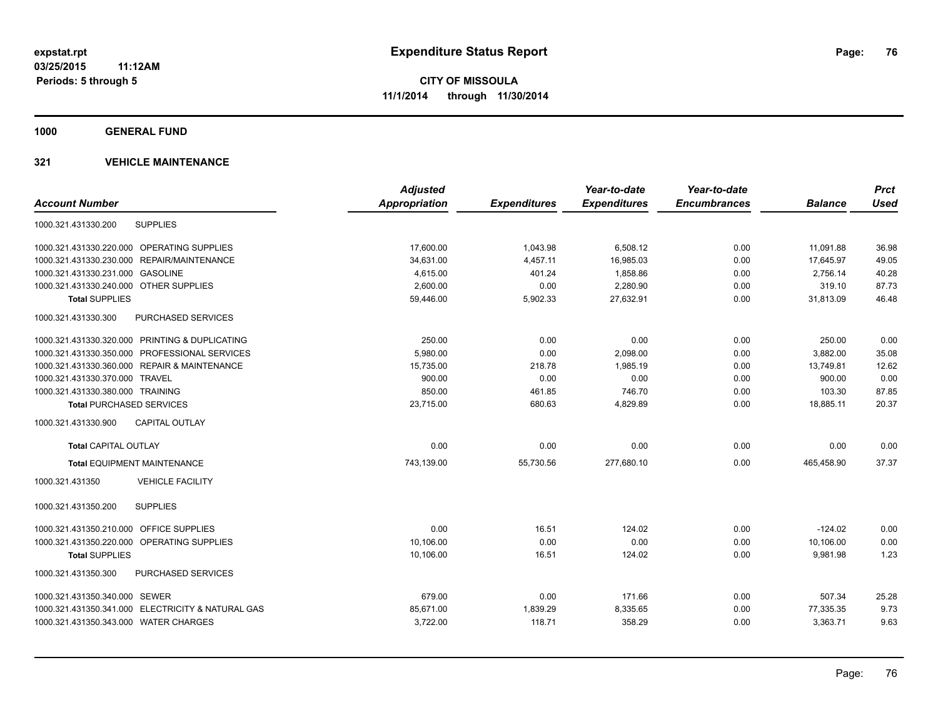**1000 GENERAL FUND**

|                                                   | <b>Adjusted</b>      |                     | Year-to-date        | Year-to-date        |                | <b>Prct</b> |
|---------------------------------------------------|----------------------|---------------------|---------------------|---------------------|----------------|-------------|
| <b>Account Number</b>                             | <b>Appropriation</b> | <b>Expenditures</b> | <b>Expenditures</b> | <b>Encumbrances</b> | <b>Balance</b> | <b>Used</b> |
| <b>SUPPLIES</b><br>1000.321.431330.200            |                      |                     |                     |                     |                |             |
| 1000.321.431330.220.000 OPERATING SUPPLIES        | 17,600.00            | 1,043.98            | 6,508.12            | 0.00                | 11,091.88      | 36.98       |
| 1000.321.431330.230.000 REPAIR/MAINTENANCE        | 34,631.00            | 4,457.11            | 16,985.03           | 0.00                | 17,645.97      | 49.05       |
| 1000.321.431330.231.000 GASOLINE                  | 4,615.00             | 401.24              | 1,858.86            | 0.00                | 2,756.14       | 40.28       |
| 1000.321.431330.240.000 OTHER SUPPLIES            | 2,600.00             | 0.00                | 2,280.90            | 0.00                | 319.10         | 87.73       |
| <b>Total SUPPLIES</b>                             | 59,446.00            | 5,902.33            | 27,632.91           | 0.00                | 31,813.09      | 46.48       |
| <b>PURCHASED SERVICES</b><br>1000.321.431330.300  |                      |                     |                     |                     |                |             |
| 1000.321.431330.320.000 PRINTING & DUPLICATING    | 250.00               | 0.00                | 0.00                | 0.00                | 250.00         | 0.00        |
| 1000.321.431330.350.000 PROFESSIONAL SERVICES     | 5,980.00             | 0.00                | 2,098.00            | 0.00                | 3.882.00       | 35.08       |
| 1000.321.431330.360.000 REPAIR & MAINTENANCE      | 15,735.00            | 218.78              | 1,985.19            | 0.00                | 13,749.81      | 12.62       |
| 1000.321.431330.370.000 TRAVEL                    | 900.00               | 0.00                | 0.00                | 0.00                | 900.00         | 0.00        |
| 1000.321.431330.380.000 TRAINING                  | 850.00               | 461.85              | 746.70              | 0.00                | 103.30         | 87.85       |
| <b>Total PURCHASED SERVICES</b>                   | 23,715.00            | 680.63              | 4,829.89            | 0.00                | 18,885.11      | 20.37       |
| <b>CAPITAL OUTLAY</b><br>1000.321.431330.900      |                      |                     |                     |                     |                |             |
| <b>Total CAPITAL OUTLAY</b>                       | 0.00                 | 0.00                | 0.00                | 0.00                | 0.00           | 0.00        |
| <b>Total EQUIPMENT MAINTENANCE</b>                | 743,139.00           | 55,730.56           | 277,680.10          | 0.00                | 465,458.90     | 37.37       |
| <b>VEHICLE FACILITY</b><br>1000.321.431350        |                      |                     |                     |                     |                |             |
| 1000.321.431350.200<br><b>SUPPLIES</b>            |                      |                     |                     |                     |                |             |
| 1000.321.431350.210.000 OFFICE SUPPLIES           | 0.00                 | 16.51               | 124.02              | 0.00                | $-124.02$      | 0.00        |
| 1000.321.431350.220.000 OPERATING SUPPLIES        | 10,106.00            | 0.00                | 0.00                | 0.00                | 10.106.00      | 0.00        |
| <b>Total SUPPLIES</b>                             | 10,106.00            | 16.51               | 124.02              | 0.00                | 9,981.98       | 1.23        |
| <b>PURCHASED SERVICES</b><br>1000.321.431350.300  |                      |                     |                     |                     |                |             |
| 1000.321.431350.340.000 SEWER                     | 679.00               | 0.00                | 171.66              | 0.00                | 507.34         | 25.28       |
| 1000.321.431350.341.000 ELECTRICITY & NATURAL GAS | 85,671.00            | 1,839.29            | 8,335.65            | 0.00                | 77,335.35      | 9.73        |
| 1000.321.431350.343.000 WATER CHARGES             | 3,722.00             | 118.71              | 358.29              | 0.00                | 3,363.71       | 9.63        |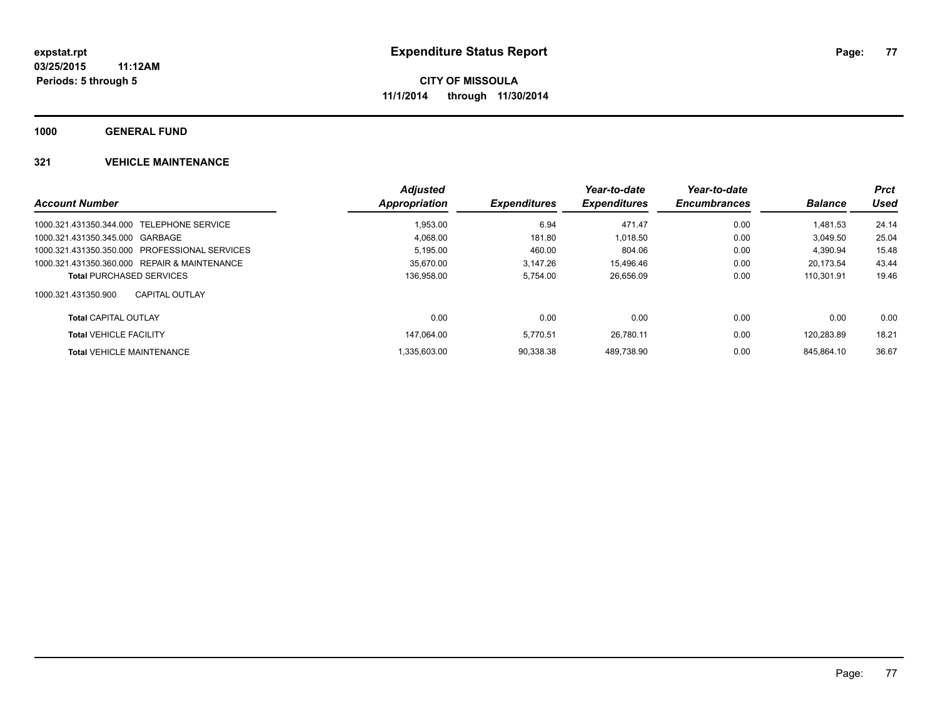**1000 GENERAL FUND**

|                                               | <b>Adjusted</b> |                     | Year-to-date        | Year-to-date        |                | <b>Prct</b> |
|-----------------------------------------------|-----------------|---------------------|---------------------|---------------------|----------------|-------------|
| <b>Account Number</b>                         | Appropriation   | <b>Expenditures</b> | <b>Expenditures</b> | <b>Encumbrances</b> | <b>Balance</b> | Used        |
| 1000.321.431350.344.000 TELEPHONE SERVICE     | 1.953.00        | 6.94                | 471.47              | 0.00                | 1.481.53       | 24.14       |
| 1000.321.431350.345.000 GARBAGE               | 4,068.00        | 181.80              | 1,018.50            | 0.00                | 3.049.50       | 25.04       |
| 1000.321.431350.350.000 PROFESSIONAL SERVICES | 5.195.00        | 460.00              | 804.06              | 0.00                | 4.390.94       | 15.48       |
| 1000.321.431350.360.000 REPAIR & MAINTENANCE  | 35.670.00       | 3.147.26            | 15.496.46           | 0.00                | 20.173.54      | 43.44       |
| <b>Total PURCHASED SERVICES</b>               | 136.958.00      | 5.754.00            | 26,656.09           | 0.00                | 110.301.91     | 19.46       |
| 1000.321.431350.900<br>CAPITAL OUTLAY         |                 |                     |                     |                     |                |             |
| <b>Total CAPITAL OUTLAY</b>                   | 0.00            | 0.00                | 0.00                | 0.00                | 0.00           | 0.00        |
| <b>Total VEHICLE FACILITY</b>                 | 147.064.00      | 5.770.51            | 26.780.11           | 0.00                | 120.283.89     | 18.21       |
| <b>Total VEHICLE MAINTENANCE</b>              | 1.335.603.00    | 90.338.38           | 489.738.90          | 0.00                | 845.864.10     | 36.67       |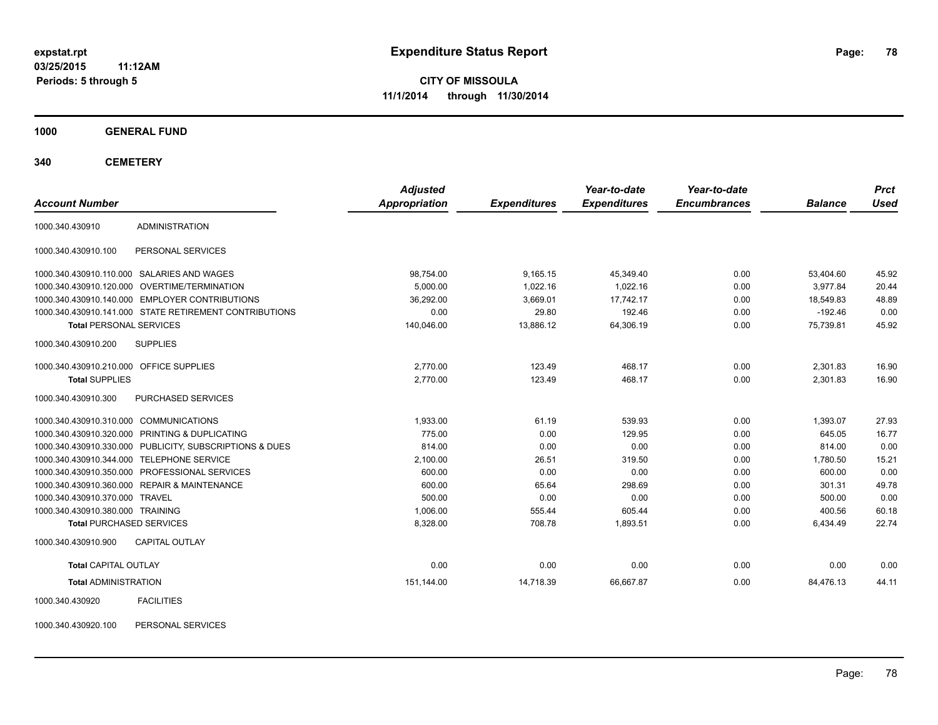**03/25/2015 11:12AM Periods: 5 through 5**

**CITY OF MISSOULA 11/1/2014 through 11/30/2014**

**1000 GENERAL FUND**

**340 CEMETERY**

| <b>Account Number</b>                   |                                                         | <b>Adjusted</b><br>Appropriation | <b>Expenditures</b> | Year-to-date<br><b>Expenditures</b> | Year-to-date<br><b>Encumbrances</b> | <b>Balance</b> | <b>Prct</b><br><b>Used</b> |
|-----------------------------------------|---------------------------------------------------------|----------------------------------|---------------------|-------------------------------------|-------------------------------------|----------------|----------------------------|
| 1000.340.430910                         | <b>ADMINISTRATION</b>                                   |                                  |                     |                                     |                                     |                |                            |
| 1000.340.430910.100                     | PERSONAL SERVICES                                       |                                  |                     |                                     |                                     |                |                            |
|                                         | 1000.340.430910.110.000 SALARIES AND WAGES              | 98,754.00                        | 9,165.15            | 45,349.40                           | 0.00                                | 53,404.60      | 45.92                      |
|                                         | 1000.340.430910.120.000 OVERTIME/TERMINATION            | 5,000.00                         | 1.022.16            | 1.022.16                            | 0.00                                | 3.977.84       | 20.44                      |
|                                         | 1000.340.430910.140.000 EMPLOYER CONTRIBUTIONS          | 36,292.00                        | 3.669.01            | 17.742.17                           | 0.00                                | 18.549.83      | 48.89                      |
|                                         | 1000.340.430910.141.000 STATE RETIREMENT CONTRIBUTIONS  | 0.00                             | 29.80               | 192.46                              | 0.00                                | $-192.46$      | 0.00                       |
| <b>Total PERSONAL SERVICES</b>          |                                                         | 140.046.00                       | 13.886.12           | 64,306.19                           | 0.00                                | 75.739.81      | 45.92                      |
| 1000.340.430910.200                     | <b>SUPPLIES</b>                                         |                                  |                     |                                     |                                     |                |                            |
| 1000.340.430910.210.000 OFFICE SUPPLIES |                                                         | 2.770.00                         | 123.49              | 468.17                              | 0.00                                | 2,301.83       | 16.90                      |
| <b>Total SUPPLIES</b>                   |                                                         | 2,770.00                         | 123.49              | 468.17                              | 0.00                                | 2,301.83       | 16.90                      |
| 1000.340.430910.300                     | <b>PURCHASED SERVICES</b>                               |                                  |                     |                                     |                                     |                |                            |
| 1000.340.430910.310.000 COMMUNICATIONS  |                                                         | 1.933.00                         | 61.19               | 539.93                              | 0.00                                | 1.393.07       | 27.93                      |
|                                         | 1000.340.430910.320.000 PRINTING & DUPLICATING          | 775.00                           | 0.00                | 129.95                              | 0.00                                | 645.05         | 16.77                      |
|                                         | 1000.340.430910.330.000 PUBLICITY, SUBSCRIPTIONS & DUES | 814.00                           | 0.00                | 0.00                                | 0.00                                | 814.00         | 0.00                       |
|                                         | 1000.340.430910.344.000 TELEPHONE SERVICE               | 2,100.00                         | 26.51               | 319.50                              | 0.00                                | 1,780.50       | 15.21                      |
|                                         | 1000.340.430910.350.000 PROFESSIONAL SERVICES           | 600.00                           | 0.00                | 0.00                                | 0.00                                | 600.00         | 0.00                       |
|                                         | 1000.340.430910.360.000 REPAIR & MAINTENANCE            | 600.00                           | 65.64               | 298.69                              | 0.00                                | 301.31         | 49.78                      |
| 1000.340.430910.370.000 TRAVEL          |                                                         | 500.00                           | 0.00                | 0.00                                | 0.00                                | 500.00         | 0.00                       |
| 1000.340.430910.380.000 TRAINING        |                                                         | 1,006.00                         | 555.44              | 605.44                              | 0.00                                | 400.56         | 60.18                      |
| <b>Total PURCHASED SERVICES</b>         |                                                         | 8,328.00                         | 708.78              | 1,893.51                            | 0.00                                | 6,434.49       | 22.74                      |
| 1000.340.430910.900                     | <b>CAPITAL OUTLAY</b>                                   |                                  |                     |                                     |                                     |                |                            |
| <b>Total CAPITAL OUTLAY</b>             |                                                         | 0.00                             | 0.00                | 0.00                                | 0.00                                | 0.00           | 0.00                       |
| <b>Total ADMINISTRATION</b>             |                                                         | 151,144.00                       | 14,718.39           | 66,667.87                           | 0.00                                | 84,476.13      | 44.11                      |
| 1000.340.430920                         | <b>FACILITIES</b>                                       |                                  |                     |                                     |                                     |                |                            |

1000.340.430920.100 PERSONAL SERVICES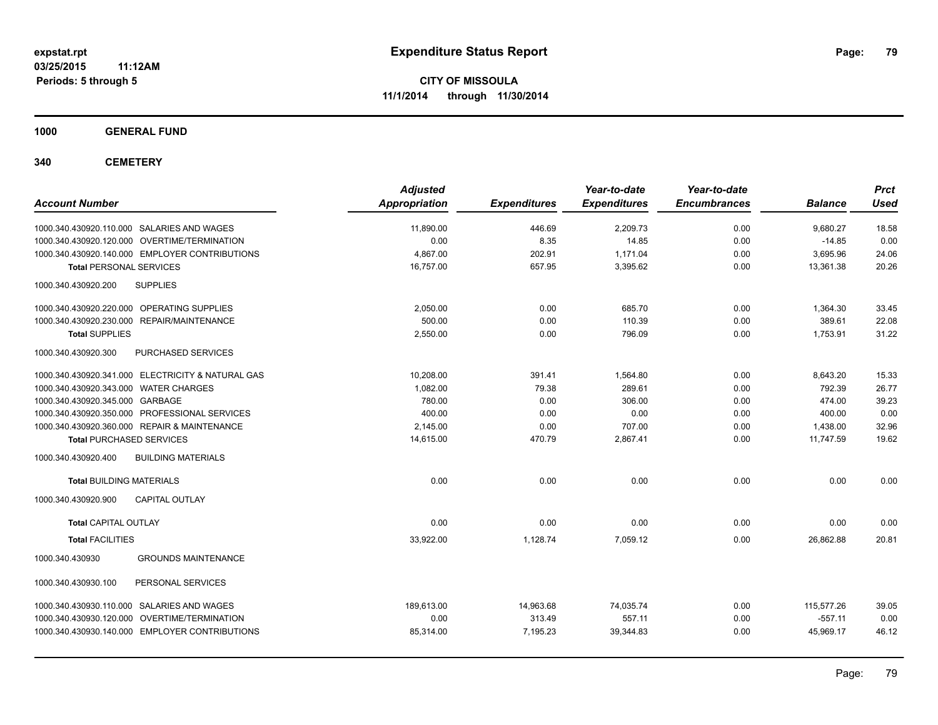**1000 GENERAL FUND**

**340 CEMETERY**

| <b>Account Number</b>                                | <b>Adjusted</b><br><b>Appropriation</b> | <b>Expenditures</b> | Year-to-date<br><b>Expenditures</b> | Year-to-date<br><b>Encumbrances</b> | <b>Balance</b> | <b>Prct</b><br><b>Used</b> |
|------------------------------------------------------|-----------------------------------------|---------------------|-------------------------------------|-------------------------------------|----------------|----------------------------|
| 1000.340.430920.110.000 SALARIES AND WAGES           | 11,890.00                               | 446.69              | 2,209.73                            | 0.00                                | 9,680.27       | 18.58                      |
| 1000.340.430920.120.000 OVERTIME/TERMINATION         | 0.00                                    | 8.35                | 14.85                               | 0.00                                | $-14.85$       | 0.00                       |
| 1000.340.430920.140.000 EMPLOYER CONTRIBUTIONS       | 4.867.00                                | 202.91              | 1,171.04                            | 0.00                                | 3,695.96       | 24.06                      |
| <b>Total PERSONAL SERVICES</b>                       | 16,757.00                               | 657.95              | 3,395.62                            | 0.00                                | 13,361.38      | 20.26                      |
| 1000.340.430920.200<br><b>SUPPLIES</b>               |                                         |                     |                                     |                                     |                |                            |
| 1000.340.430920.220.000 OPERATING SUPPLIES           | 2,050.00                                | 0.00                | 685.70                              | 0.00                                | 1,364.30       | 33.45                      |
| 1000.340.430920.230.000<br><b>REPAIR/MAINTENANCE</b> | 500.00                                  | 0.00                | 110.39                              | 0.00                                | 389.61         | 22.08                      |
| <b>Total SUPPLIES</b>                                | 2,550.00                                | 0.00                | 796.09                              | 0.00                                | 1,753.91       | 31.22                      |
| PURCHASED SERVICES<br>1000.340.430920.300            |                                         |                     |                                     |                                     |                |                            |
| 1000.340.430920.341.000 ELECTRICITY & NATURAL GAS    | 10,208.00                               | 391.41              | 1,564.80                            | 0.00                                | 8,643.20       | 15.33                      |
| 1000.340.430920.343.000 WATER CHARGES                | 1.082.00                                | 79.38               | 289.61                              | 0.00                                | 792.39         | 26.77                      |
| 1000.340.430920.345.000 GARBAGE                      | 780.00                                  | 0.00                | 306.00                              | 0.00                                | 474.00         | 39.23                      |
| 1000.340.430920.350.000 PROFESSIONAL SERVICES        | 400.00                                  | 0.00                | 0.00                                | 0.00                                | 400.00         | 0.00                       |
| 1000.340.430920.360.000 REPAIR & MAINTENANCE         | 2,145.00                                | 0.00                | 707.00                              | 0.00                                | 1,438.00       | 32.96                      |
| <b>Total PURCHASED SERVICES</b>                      | 14,615.00                               | 470.79              | 2,867.41                            | 0.00                                | 11,747.59      | 19.62                      |
| 1000.340.430920.400<br><b>BUILDING MATERIALS</b>     |                                         |                     |                                     |                                     |                |                            |
| <b>Total BUILDING MATERIALS</b>                      | 0.00                                    | 0.00                | 0.00                                | 0.00                                | 0.00           | 0.00                       |
| 1000.340.430920.900<br><b>CAPITAL OUTLAY</b>         |                                         |                     |                                     |                                     |                |                            |
| <b>Total CAPITAL OUTLAY</b>                          | 0.00                                    | 0.00                | 0.00                                | 0.00                                | 0.00           | 0.00                       |
| <b>Total FACILITIES</b>                              | 33,922.00                               | 1,128.74            | 7,059.12                            | 0.00                                | 26,862.88      | 20.81                      |
| 1000.340.430930<br><b>GROUNDS MAINTENANCE</b>        |                                         |                     |                                     |                                     |                |                            |
| 1000.340.430930.100<br>PERSONAL SERVICES             |                                         |                     |                                     |                                     |                |                            |
| 1000.340.430930.110.000 SALARIES AND WAGES           | 189.613.00                              | 14,963.68           | 74,035.74                           | 0.00                                | 115,577.26     | 39.05                      |
| 1000.340.430930.120.000 OVERTIME/TERMINATION         | 0.00                                    | 313.49              | 557.11                              | 0.00                                | $-557.11$      | 0.00                       |
| 1000.340.430930.140.000 EMPLOYER CONTRIBUTIONS       | 85,314.00                               | 7,195.23            | 39,344.83                           | 0.00                                | 45,969.17      | 46.12                      |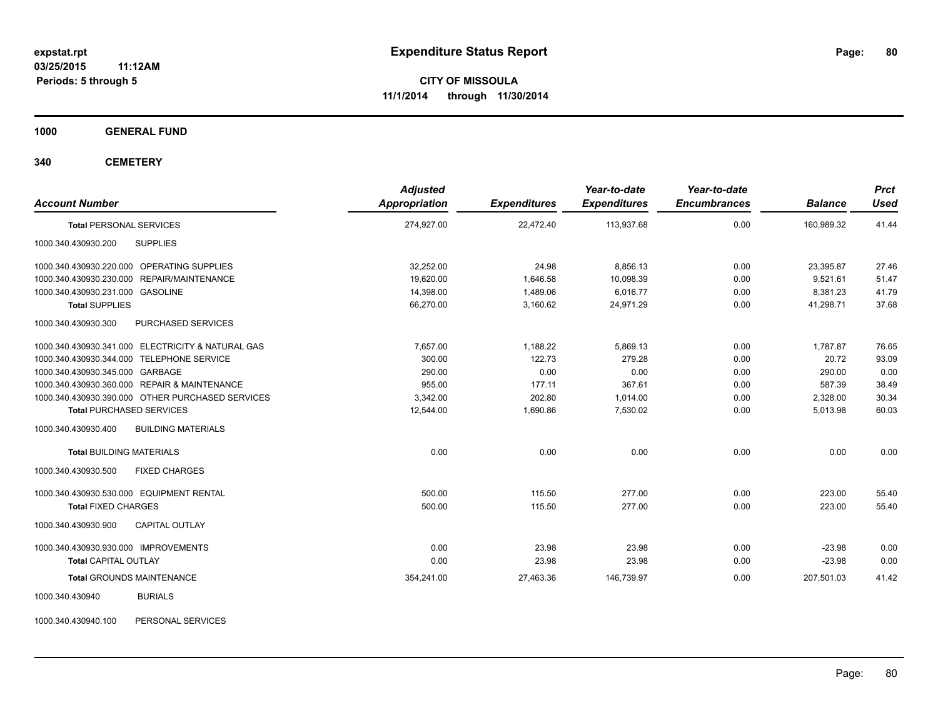**1000 GENERAL FUND**

**340 CEMETERY**

| <b>Account Number</b>                             | <b>Adjusted</b><br><b>Appropriation</b> | <b>Expenditures</b> | Year-to-date<br><b>Expenditures</b> | Year-to-date<br><b>Encumbrances</b> | <b>Balance</b> | <b>Prct</b><br><b>Used</b> |
|---------------------------------------------------|-----------------------------------------|---------------------|-------------------------------------|-------------------------------------|----------------|----------------------------|
| <b>Total PERSONAL SERVICES</b>                    | 274,927.00                              | 22,472.40           | 113,937.68                          | 0.00                                | 160,989.32     | 41.44                      |
| 1000.340.430930.200<br><b>SUPPLIES</b>            |                                         |                     |                                     |                                     |                |                            |
| 1000.340.430930.220.000 OPERATING SUPPLIES        | 32,252.00                               | 24.98               | 8,856.13                            | 0.00                                | 23,395.87      | 27.46                      |
| 1000.340.430930.230.000 REPAIR/MAINTENANCE        | 19,620.00                               | 1,646.58            | 10,098.39                           | 0.00                                | 9,521.61       | 51.47                      |
| 1000.340.430930.231.000 GASOLINE                  | 14,398.00                               | 1,489.06            | 6,016.77                            | 0.00                                | 8,381.23       | 41.79                      |
| <b>Total SUPPLIES</b>                             | 66,270.00                               | 3,160.62            | 24,971.29                           | 0.00                                | 41,298.71      | 37.68                      |
| 1000.340.430930.300<br>PURCHASED SERVICES         |                                         |                     |                                     |                                     |                |                            |
| 1000.340.430930.341.000 ELECTRICITY & NATURAL GAS | 7,657.00                                | 1,188.22            | 5,869.13                            | 0.00                                | 1,787.87       | 76.65                      |
| 1000.340.430930.344.000 TELEPHONE SERVICE         | 300.00                                  | 122.73              | 279.28                              | 0.00                                | 20.72          | 93.09                      |
| 1000.340.430930.345.000 GARBAGE                   | 290.00                                  | 0.00                | 0.00                                | 0.00                                | 290.00         | 0.00                       |
| 1000.340.430930.360.000 REPAIR & MAINTENANCE      | 955.00                                  | 177.11              | 367.61                              | 0.00                                | 587.39         | 38.49                      |
| 1000.340.430930.390.000 OTHER PURCHASED SERVICES  | 3,342.00                                | 202.80              | 1,014.00                            | 0.00                                | 2,328.00       | 30.34                      |
| <b>Total PURCHASED SERVICES</b>                   | 12,544.00                               | 1,690.86            | 7,530.02                            | 0.00                                | 5,013.98       | 60.03                      |
| 1000.340.430930.400<br><b>BUILDING MATERIALS</b>  |                                         |                     |                                     |                                     |                |                            |
| <b>Total BUILDING MATERIALS</b>                   | 0.00                                    | 0.00                | 0.00                                | 0.00                                | 0.00           | 0.00                       |
| 1000.340.430930.500<br><b>FIXED CHARGES</b>       |                                         |                     |                                     |                                     |                |                            |
| 1000.340.430930.530.000 EQUIPMENT RENTAL          | 500.00                                  | 115.50              | 277.00                              | 0.00                                | 223.00         | 55.40                      |
| <b>Total FIXED CHARGES</b>                        | 500.00                                  | 115.50              | 277.00                              | 0.00                                | 223.00         | 55.40                      |
| <b>CAPITAL OUTLAY</b><br>1000.340.430930.900      |                                         |                     |                                     |                                     |                |                            |
| 1000.340.430930.930.000 IMPROVEMENTS              | 0.00                                    | 23.98               | 23.98                               | 0.00                                | $-23.98$       | 0.00                       |
| <b>Total CAPITAL OUTLAY</b>                       | 0.00                                    | 23.98               | 23.98                               | 0.00                                | $-23.98$       | 0.00                       |
| <b>Total GROUNDS MAINTENANCE</b>                  | 354,241.00                              | 27,463.36           | 146,739.97                          | 0.00                                | 207,501.03     | 41.42                      |
| <b>BURIALS</b><br>1000.340.430940                 |                                         |                     |                                     |                                     |                |                            |
|                                                   |                                         |                     |                                     |                                     |                |                            |

1000.340.430940.100 PERSONAL SERVICES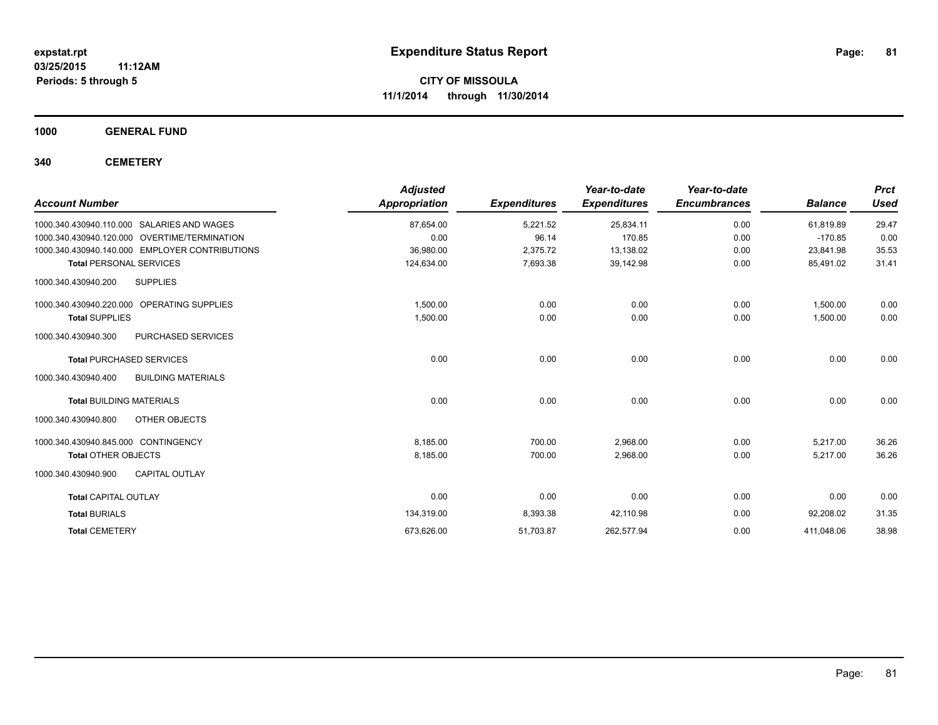**1000 GENERAL FUND**

**340 CEMETERY**

|                                                  | <b>Adjusted</b>      |                     | Year-to-date        | Year-to-date        |                | <b>Prct</b> |
|--------------------------------------------------|----------------------|---------------------|---------------------|---------------------|----------------|-------------|
| <b>Account Number</b>                            | <b>Appropriation</b> | <b>Expenditures</b> | <b>Expenditures</b> | <b>Encumbrances</b> | <b>Balance</b> | <b>Used</b> |
| 1000.340.430940.110.000<br>SALARIES AND WAGES    | 87,654.00            | 5,221.52            | 25,834.11           | 0.00                | 61,819.89      | 29.47       |
| 1000.340.430940.120.000 OVERTIME/TERMINATION     | 0.00                 | 96.14               | 170.85              | 0.00                | $-170.85$      | 0.00        |
| 1000.340.430940.140.000 EMPLOYER CONTRIBUTIONS   | 36,980.00            | 2,375.72            | 13,138.02           | 0.00                | 23,841.98      | 35.53       |
| <b>Total PERSONAL SERVICES</b>                   | 124,634.00           | 7,693.38            | 39,142.98           | 0.00                | 85,491.02      | 31.41       |
| 1000.340.430940.200<br><b>SUPPLIES</b>           |                      |                     |                     |                     |                |             |
| 1000.340.430940.220.000 OPERATING SUPPLIES       | 1,500.00             | 0.00                | 0.00                | 0.00                | 1.500.00       | 0.00        |
| <b>Total SUPPLIES</b>                            | 1,500.00             | 0.00                | 0.00                | 0.00                | 1,500.00       | 0.00        |
| 1000.340.430940.300<br><b>PURCHASED SERVICES</b> |                      |                     |                     |                     |                |             |
| <b>Total PURCHASED SERVICES</b>                  | 0.00                 | 0.00                | 0.00                | 0.00                | 0.00           | 0.00        |
| <b>BUILDING MATERIALS</b><br>1000.340.430940.400 |                      |                     |                     |                     |                |             |
| <b>Total BUILDING MATERIALS</b>                  | 0.00                 | 0.00                | 0.00                | 0.00                | 0.00           | 0.00        |
| OTHER OBJECTS<br>1000.340.430940.800             |                      |                     |                     |                     |                |             |
| 1000.340.430940.845.000 CONTINGENCY              | 8,185.00             | 700.00              | 2,968.00            | 0.00                | 5,217.00       | 36.26       |
| <b>Total OTHER OBJECTS</b>                       | 8,185.00             | 700.00              | 2,968.00            | 0.00                | 5,217.00       | 36.26       |
| <b>CAPITAL OUTLAY</b><br>1000.340.430940.900     |                      |                     |                     |                     |                |             |
| <b>Total CAPITAL OUTLAY</b>                      | 0.00                 | 0.00                | 0.00                | 0.00                | 0.00           | 0.00        |
| <b>Total BURIALS</b>                             | 134,319.00           | 8,393.38            | 42,110.98           | 0.00                | 92,208.02      | 31.35       |
| <b>Total CEMETERY</b>                            | 673,626.00           | 51,703.87           | 262,577.94          | 0.00                | 411,048.06     | 38.98       |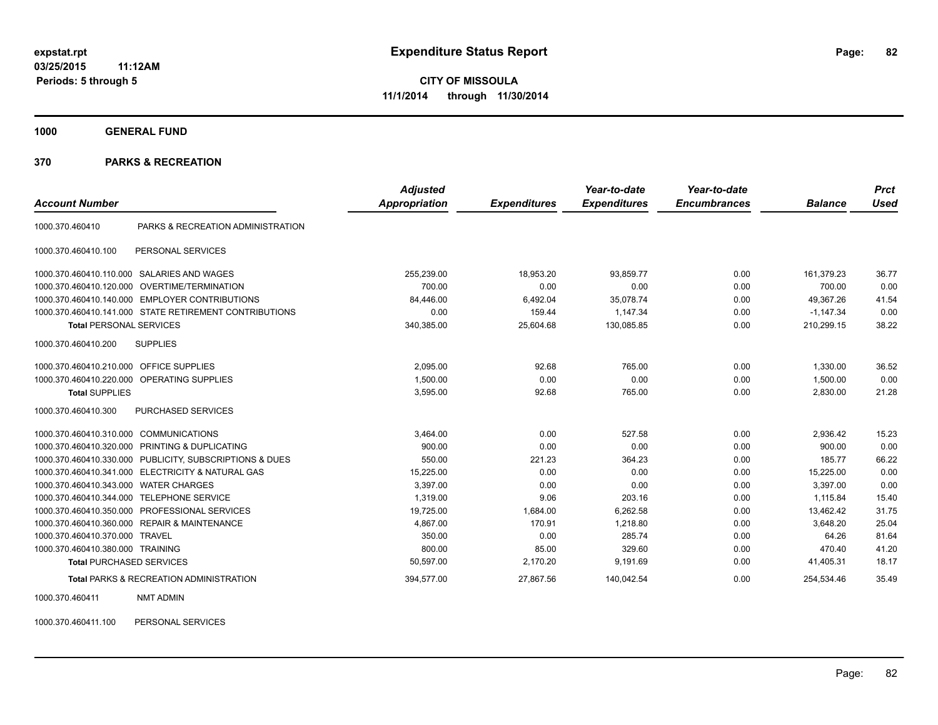**1000 GENERAL FUND**

#### **370 PARKS & RECREATION**

|                                  |                                                        | <b>Adjusted</b> |                     | Year-to-date        | Year-to-date        |                | <b>Prct</b> |
|----------------------------------|--------------------------------------------------------|-----------------|---------------------|---------------------|---------------------|----------------|-------------|
| <b>Account Number</b>            |                                                        | Appropriation   | <b>Expenditures</b> | <b>Expenditures</b> | <b>Encumbrances</b> | <b>Balance</b> | <b>Used</b> |
| 1000.370.460410                  | PARKS & RECREATION ADMINISTRATION                      |                 |                     |                     |                     |                |             |
| 1000.370.460410.100              | PERSONAL SERVICES                                      |                 |                     |                     |                     |                |             |
| 1000.370.460410.110.000          | SALARIES AND WAGES                                     | 255,239.00      | 18,953.20           | 93,859.77           | 0.00                | 161,379.23     | 36.77       |
| 1000.370.460410.120.000          | OVERTIME/TERMINATION                                   | 700.00          | 0.00                | 0.00                | 0.00                | 700.00         | 0.00        |
| 1000.370.460410.140.000          | <b>EMPLOYER CONTRIBUTIONS</b>                          | 84,446.00       | 6,492.04            | 35,078.74           | 0.00                | 49,367.26      | 41.54       |
|                                  | 1000.370.460410.141.000 STATE RETIREMENT CONTRIBUTIONS | 0.00            | 159.44              | 1.147.34            | 0.00                | $-1.147.34$    | 0.00        |
| <b>Total PERSONAL SERVICES</b>   |                                                        | 340,385.00      | 25,604.68           | 130,085.85          | 0.00                | 210,299.15     | 38.22       |
| 1000.370.460410.200              | <b>SUPPLIES</b>                                        |                 |                     |                     |                     |                |             |
| 1000.370.460410.210.000          | <b>OFFICE SUPPLIES</b>                                 | 2,095.00        | 92.68               | 765.00              | 0.00                | 1,330.00       | 36.52       |
| 1000.370.460410.220.000          | <b>OPERATING SUPPLIES</b>                              | 1,500.00        | 0.00                | 0.00                | 0.00                | 1,500.00       | 0.00        |
| <b>Total SUPPLIES</b>            |                                                        | 3,595.00        | 92.68               | 765.00              | 0.00                | 2,830.00       | 21.28       |
| 1000.370.460410.300              | PURCHASED SERVICES                                     |                 |                     |                     |                     |                |             |
| 1000.370.460410.310.000          | <b>COMMUNICATIONS</b>                                  | 3,464.00        | 0.00                | 527.58              | 0.00                | 2,936.42       | 15.23       |
| 1000.370.460410.320.000          | PRINTING & DUPLICATING                                 | 900.00          | 0.00                | 0.00                | 0.00                | 900.00         | 0.00        |
| 1000.370.460410.330.000          | PUBLICITY, SUBSCRIPTIONS & DUES                        | 550.00          | 221.23              | 364.23              | 0.00                | 185.77         | 66.22       |
| 1000.370.460410.341.000          | <b>ELECTRICITY &amp; NATURAL GAS</b>                   | 15,225.00       | 0.00                | 0.00                | 0.00                | 15,225.00      | 0.00        |
| 1000.370.460410.343.000          | <b>WATER CHARGES</b>                                   | 3,397.00        | 0.00                | 0.00                | 0.00                | 3,397.00       | 0.00        |
| 1000.370.460410.344.000          | <b>TELEPHONE SERVICE</b>                               | 1.319.00        | 9.06                | 203.16              | 0.00                | 1.115.84       | 15.40       |
| 1000.370.460410.350.000          | PROFESSIONAL SERVICES                                  | 19,725.00       | 1,684.00            | 6,262.58            | 0.00                | 13,462.42      | 31.75       |
|                                  | 1000.370.460410.360.000 REPAIR & MAINTENANCE           | 4,867.00        | 170.91              | 1,218.80            | 0.00                | 3,648.20       | 25.04       |
| 1000.370.460410.370.000          | <b>TRAVEL</b>                                          | 350.00          | 0.00                | 285.74              | 0.00                | 64.26          | 81.64       |
| 1000.370.460410.380.000 TRAINING |                                                        | 800.00          | 85.00               | 329.60              | 0.00                | 470.40         | 41.20       |
| <b>Total PURCHASED SERVICES</b>  |                                                        | 50,597.00       | 2,170.20            | 9,191.69            | 0.00                | 41,405.31      | 18.17       |
|                                  | <b>Total PARKS &amp; RECREATION ADMINISTRATION</b>     | 394,577.00      | 27,867.56           | 140,042.54          | 0.00                | 254,534.46     | 35.49       |

1000.370.460411 NMT ADMIN

1000.370.460411.100 PERSONAL SERVICES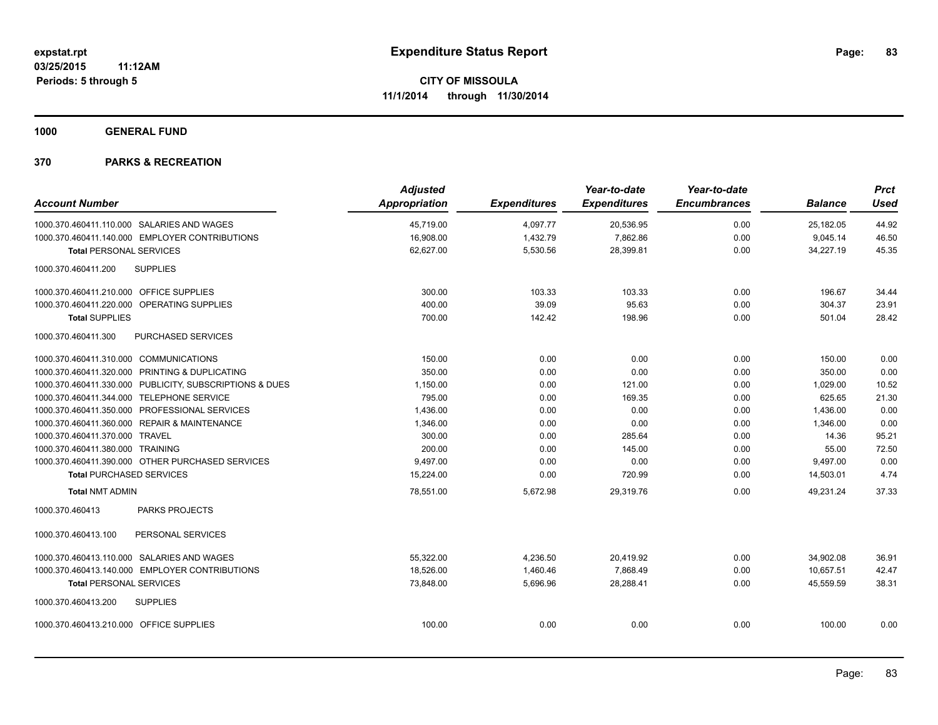**1000 GENERAL FUND**

|                                              |                                                         | <b>Adjusted</b>      |                     | Year-to-date        | Year-to-date        |                | <b>Prct</b> |
|----------------------------------------------|---------------------------------------------------------|----------------------|---------------------|---------------------|---------------------|----------------|-------------|
| <b>Account Number</b>                        |                                                         | <b>Appropriation</b> | <b>Expenditures</b> | <b>Expenditures</b> | <b>Encumbrances</b> | <b>Balance</b> | <b>Used</b> |
| 1000.370.460411.110.000 SALARIES AND WAGES   |                                                         | 45,719.00            | 4,097.77            | 20,536.95           | 0.00                | 25,182.05      | 44.92       |
|                                              | 1000.370.460411.140.000 EMPLOYER CONTRIBUTIONS          | 16,908.00            | 1,432.79            | 7,862.86            | 0.00                | 9,045.14       | 46.50       |
| <b>Total PERSONAL SERVICES</b>               |                                                         | 62,627.00            | 5,530.56            | 28,399.81           | 0.00                | 34,227.19      | 45.35       |
| 1000.370.460411.200                          | <b>SUPPLIES</b>                                         |                      |                     |                     |                     |                |             |
| 1000.370.460411.210.000 OFFICE SUPPLIES      |                                                         | 300.00               | 103.33              | 103.33              | 0.00                | 196.67         | 34.44       |
| 1000.370.460411.220.000 OPERATING SUPPLIES   |                                                         | 400.00               | 39.09               | 95.63               | 0.00                | 304.37         | 23.91       |
| <b>Total SUPPLIES</b>                        |                                                         | 700.00               | 142.42              | 198.96              | 0.00                | 501.04         | 28.42       |
| 1000.370.460411.300                          | PURCHASED SERVICES                                      |                      |                     |                     |                     |                |             |
| 1000.370.460411.310.000 COMMUNICATIONS       |                                                         | 150.00               | 0.00                | 0.00                | 0.00                | 150.00         | 0.00        |
|                                              | 1000.370.460411.320.000 PRINTING & DUPLICATING          | 350.00               | 0.00                | 0.00                | 0.00                | 350.00         | 0.00        |
|                                              | 1000.370.460411.330.000 PUBLICITY, SUBSCRIPTIONS & DUES | 1,150.00             | 0.00                | 121.00              | 0.00                | 1,029.00       | 10.52       |
| 1000.370.460411.344.000 TELEPHONE SERVICE    |                                                         | 795.00               | 0.00                | 169.35              | 0.00                | 625.65         | 21.30       |
|                                              | 1000.370.460411.350.000 PROFESSIONAL SERVICES           | 1,436.00             | 0.00                | 0.00                | 0.00                | 1,436.00       | 0.00        |
| 1000.370.460411.360.000 REPAIR & MAINTENANCE |                                                         | 1,346.00             | 0.00                | 0.00                | 0.00                | 1,346.00       | 0.00        |
| 1000.370.460411.370.000 TRAVEL               |                                                         | 300.00               | 0.00                | 285.64              | 0.00                | 14.36          | 95.21       |
| 1000.370.460411.380.000 TRAINING             |                                                         | 200.00               | 0.00                | 145.00              | 0.00                | 55.00          | 72.50       |
|                                              | 1000.370.460411.390.000 OTHER PURCHASED SERVICES        | 9,497.00             | 0.00                | 0.00                | 0.00                | 9,497.00       | 0.00        |
| <b>Total PURCHASED SERVICES</b>              |                                                         | 15,224.00            | 0.00                | 720.99              | 0.00                | 14,503.01      | 4.74        |
| <b>Total NMT ADMIN</b>                       |                                                         | 78,551.00            | 5,672.98            | 29,319.76           | 0.00                | 49,231.24      | 37.33       |
| 1000.370.460413                              | <b>PARKS PROJECTS</b>                                   |                      |                     |                     |                     |                |             |
| 1000.370.460413.100                          | PERSONAL SERVICES                                       |                      |                     |                     |                     |                |             |
| 1000.370.460413.110.000 SALARIES AND WAGES   |                                                         | 55,322.00            | 4,236.50            | 20,419.92           | 0.00                | 34.902.08      | 36.91       |
|                                              | 1000.370.460413.140.000 EMPLOYER CONTRIBUTIONS          | 18.526.00            | 1,460.46            | 7.868.49            | 0.00                | 10.657.51      | 42.47       |
| <b>Total PERSONAL SERVICES</b>               |                                                         | 73,848.00            | 5,696.96            | 28,288.41           | 0.00                | 45,559.59      | 38.31       |
| 1000.370.460413.200                          | <b>SUPPLIES</b>                                         |                      |                     |                     |                     |                |             |
| 1000.370.460413.210.000 OFFICE SUPPLIES      |                                                         | 100.00               | 0.00                | 0.00                | 0.00                | 100.00         | 0.00        |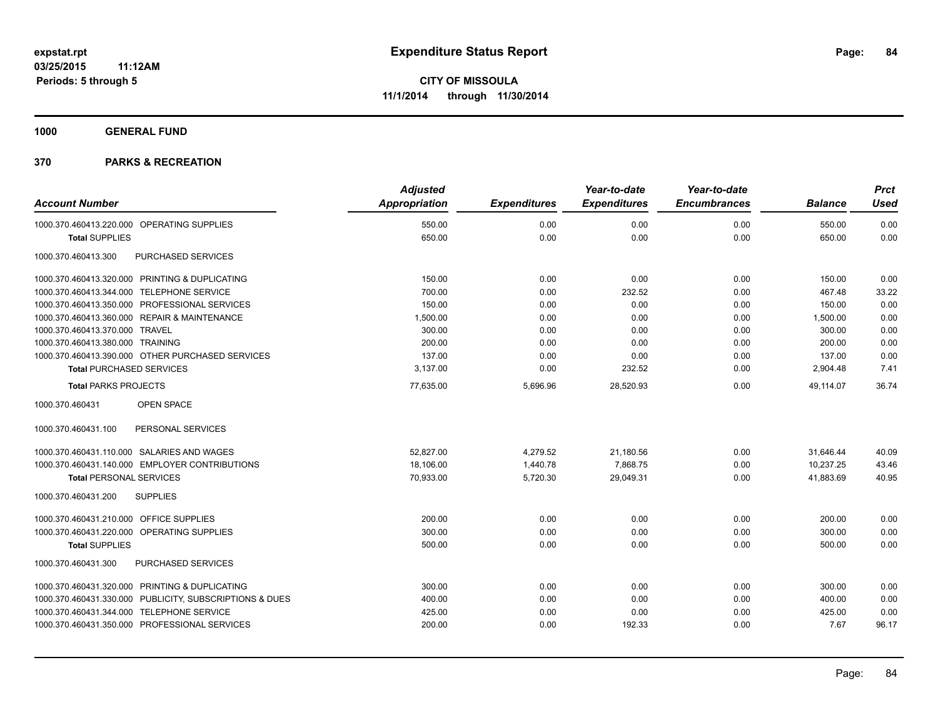**1000 GENERAL FUND**

|                                                         | <b>Adjusted</b> |                     | Year-to-date        | Year-to-date        |                | <b>Prct</b> |
|---------------------------------------------------------|-----------------|---------------------|---------------------|---------------------|----------------|-------------|
| <b>Account Number</b>                                   | Appropriation   | <b>Expenditures</b> | <b>Expenditures</b> | <b>Encumbrances</b> | <b>Balance</b> | <b>Used</b> |
| 1000.370.460413.220.000 OPERATING SUPPLIES              | 550.00          | 0.00                | 0.00                | 0.00                | 550.00         | 0.00        |
| <b>Total SUPPLIES</b>                                   | 650.00          | 0.00                | 0.00                | 0.00                | 650.00         | 0.00        |
| 1000.370.460413.300<br>PURCHASED SERVICES               |                 |                     |                     |                     |                |             |
| 1000.370.460413.320.000 PRINTING & DUPLICATING          | 150.00          | 0.00                | 0.00                | 0.00                | 150.00         | 0.00        |
| 1000.370.460413.344.000 TELEPHONE SERVICE               | 700.00          | 0.00                | 232.52              | 0.00                | 467.48         | 33.22       |
| 1000.370.460413.350.000 PROFESSIONAL SERVICES           | 150.00          | 0.00                | 0.00                | 0.00                | 150.00         | 0.00        |
| 1000.370.460413.360.000 REPAIR & MAINTENANCE            | 1,500.00        | 0.00                | 0.00                | 0.00                | 1,500.00       | 0.00        |
| 1000.370.460413.370.000 TRAVEL                          | 300.00          | 0.00                | 0.00                | 0.00                | 300.00         | 0.00        |
| 1000.370.460413.380.000 TRAINING                        | 200.00          | 0.00                | 0.00                | 0.00                | 200.00         | 0.00        |
| 1000.370.460413.390.000 OTHER PURCHASED SERVICES        | 137.00          | 0.00                | 0.00                | 0.00                | 137.00         | 0.00        |
| <b>Total PURCHASED SERVICES</b>                         | 3,137.00        | 0.00                | 232.52              | 0.00                | 2,904.48       | 7.41        |
| <b>Total PARKS PROJECTS</b>                             | 77,635.00       | 5,696.96            | 28,520.93           | 0.00                | 49.114.07      | 36.74       |
| 1000.370.460431<br>OPEN SPACE                           |                 |                     |                     |                     |                |             |
| 1000.370.460431.100<br>PERSONAL SERVICES                |                 |                     |                     |                     |                |             |
| 1000.370.460431.110.000 SALARIES AND WAGES              | 52,827.00       | 4,279.52            | 21,180.56           | 0.00                | 31,646.44      | 40.09       |
| 1000.370.460431.140.000 EMPLOYER CONTRIBUTIONS          | 18,106.00       | 1,440.78            | 7,868.75            | 0.00                | 10,237.25      | 43.46       |
| <b>Total PERSONAL SERVICES</b>                          | 70,933.00       | 5,720.30            | 29,049.31           | 0.00                | 41,883.69      | 40.95       |
| 1000.370.460431.200<br><b>SUPPLIES</b>                  |                 |                     |                     |                     |                |             |
| 1000.370.460431.210.000 OFFICE SUPPLIES                 | 200.00          | 0.00                | 0.00                | 0.00                | 200.00         | 0.00        |
| 1000.370.460431.220.000 OPERATING SUPPLIES              | 300.00          | 0.00                | 0.00                | 0.00                | 300.00         | 0.00        |
| <b>Total SUPPLIES</b>                                   | 500.00          | 0.00                | 0.00                | 0.00                | 500.00         | 0.00        |
| PURCHASED SERVICES<br>1000.370.460431.300               |                 |                     |                     |                     |                |             |
| 1000.370.460431.320.000 PRINTING & DUPLICATING          | 300.00          | 0.00                | 0.00                | 0.00                | 300.00         | 0.00        |
| 1000.370.460431.330.000 PUBLICITY, SUBSCRIPTIONS & DUES | 400.00          | 0.00                | 0.00                | 0.00                | 400.00         | 0.00        |
| 1000.370.460431.344.000 TELEPHONE SERVICE               | 425.00          | 0.00                | 0.00                | 0.00                | 425.00         | 0.00        |
| 1000.370.460431.350.000 PROFESSIONAL SERVICES           | 200.00          | 0.00                | 192.33              | 0.00                | 7.67           | 96.17       |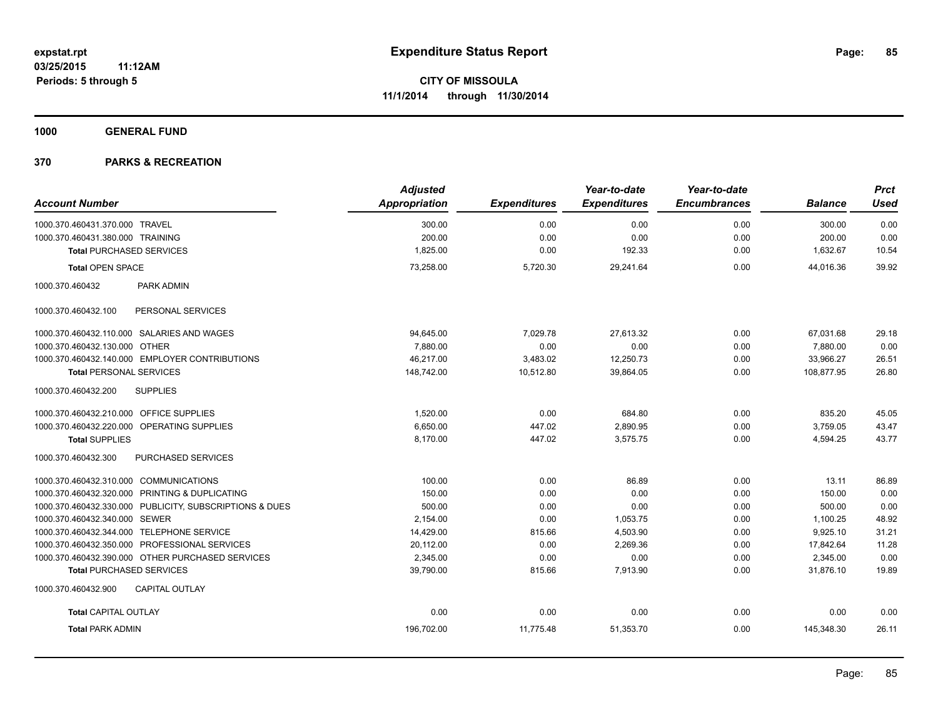**1000 GENERAL FUND**

|                                                         | <b>Adjusted</b> |                     | Year-to-date        | Year-to-date        |                | <b>Prct</b> |
|---------------------------------------------------------|-----------------|---------------------|---------------------|---------------------|----------------|-------------|
| <b>Account Number</b>                                   | Appropriation   | <b>Expenditures</b> | <b>Expenditures</b> | <b>Encumbrances</b> | <b>Balance</b> | <b>Used</b> |
| 1000.370.460431.370.000 TRAVEL                          | 300.00          | 0.00                | 0.00                | 0.00                | 300.00         | 0.00        |
| 1000.370.460431.380.000 TRAINING                        | 200.00          | 0.00                | 0.00                | 0.00                | 200.00         | 0.00        |
| <b>Total PURCHASED SERVICES</b>                         | 1,825.00        | 0.00                | 192.33              | 0.00                | 1,632.67       | 10.54       |
| <b>Total OPEN SPACE</b>                                 | 73,258.00       | 5,720.30            | 29,241.64           | 0.00                | 44.016.36      | 39.92       |
| 1000.370.460432<br>PARK ADMIN                           |                 |                     |                     |                     |                |             |
| 1000.370.460432.100<br>PERSONAL SERVICES                |                 |                     |                     |                     |                |             |
| 1000.370.460432.110.000 SALARIES AND WAGES              | 94,645.00       | 7,029.78            | 27,613.32           | 0.00                | 67,031.68      | 29.18       |
| 1000.370.460432.130.000 OTHER                           | 7.880.00        | 0.00                | 0.00                | 0.00                | 7,880.00       | 0.00        |
| 1000.370.460432.140.000 EMPLOYER CONTRIBUTIONS          | 46,217.00       | 3,483.02            | 12,250.73           | 0.00                | 33,966.27      | 26.51       |
| <b>Total PERSONAL SERVICES</b>                          | 148,742.00      | 10,512.80           | 39,864.05           | 0.00                | 108,877.95     | 26.80       |
| <b>SUPPLIES</b><br>1000.370.460432.200                  |                 |                     |                     |                     |                |             |
| 1000.370.460432.210.000 OFFICE SUPPLIES                 | 1,520.00        | 0.00                | 684.80              | 0.00                | 835.20         | 45.05       |
| 1000.370.460432.220.000 OPERATING SUPPLIES              | 6,650.00        | 447.02              | 2,890.95            | 0.00                | 3,759.05       | 43.47       |
| <b>Total SUPPLIES</b>                                   | 8,170.00        | 447.02              | 3,575.75            | 0.00                | 4,594.25       | 43.77       |
| 1000.370.460432.300<br>PURCHASED SERVICES               |                 |                     |                     |                     |                |             |
| 1000.370.460432.310.000 COMMUNICATIONS                  | 100.00          | 0.00                | 86.89               | 0.00                | 13.11          | 86.89       |
| 1000.370.460432.320.000 PRINTING & DUPLICATING          | 150.00          | 0.00                | 0.00                | 0.00                | 150.00         | 0.00        |
| 1000.370.460432.330.000 PUBLICITY, SUBSCRIPTIONS & DUES | 500.00          | 0.00                | 0.00                | 0.00                | 500.00         | 0.00        |
| 1000.370.460432.340.000 SEWER                           | 2,154.00        | 0.00                | 1,053.75            | 0.00                | 1,100.25       | 48.92       |
| 1000.370.460432.344.000 TELEPHONE SERVICE               | 14,429.00       | 815.66              | 4,503.90            | 0.00                | 9,925.10       | 31.21       |
| 1000.370.460432.350.000 PROFESSIONAL SERVICES           | 20,112.00       | 0.00                | 2,269.36            | 0.00                | 17,842.64      | 11.28       |
| 1000.370.460432.390.000 OTHER PURCHASED SERVICES        | 2,345.00        | 0.00                | 0.00                | 0.00                | 2,345.00       | 0.00        |
| <b>Total PURCHASED SERVICES</b>                         | 39,790.00       | 815.66              | 7,913.90            | 0.00                | 31,876.10      | 19.89       |
| 1000.370.460432.900<br><b>CAPITAL OUTLAY</b>            |                 |                     |                     |                     |                |             |
| <b>Total CAPITAL OUTLAY</b>                             | 0.00            | 0.00                | 0.00                | 0.00                | 0.00           | 0.00        |
| <b>Total PARK ADMIN</b>                                 | 196,702.00      | 11,775.48           | 51,353.70           | 0.00                | 145,348.30     | 26.11       |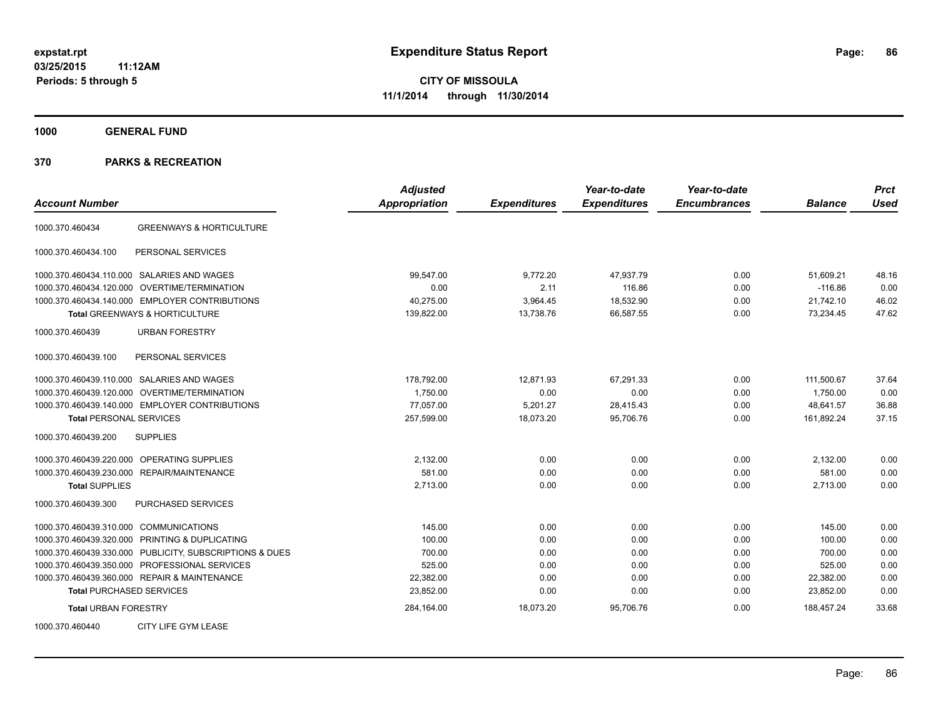**1000 GENERAL FUND**

|                                        |                                                         | <b>Adjusted</b> |                     | Year-to-date        | Year-to-date        |                | <b>Prct</b> |
|----------------------------------------|---------------------------------------------------------|-----------------|---------------------|---------------------|---------------------|----------------|-------------|
| <b>Account Number</b>                  |                                                         | Appropriation   | <b>Expenditures</b> | <b>Expenditures</b> | <b>Encumbrances</b> | <b>Balance</b> | <b>Used</b> |
| 1000.370.460434                        | <b>GREENWAYS &amp; HORTICULTURE</b>                     |                 |                     |                     |                     |                |             |
| 1000.370.460434.100                    | PERSONAL SERVICES                                       |                 |                     |                     |                     |                |             |
|                                        | 1000.370.460434.110.000 SALARIES AND WAGES              | 99,547.00       | 9,772.20            | 47,937.79           | 0.00                | 51,609.21      | 48.16       |
|                                        | 1000.370.460434.120.000 OVERTIME/TERMINATION            | 0.00            | 2.11                | 116.86              | 0.00                | $-116.86$      | 0.00        |
|                                        | 1000.370.460434.140.000 EMPLOYER CONTRIBUTIONS          | 40,275.00       | 3,964.45            | 18,532.90           | 0.00                | 21,742.10      | 46.02       |
|                                        | <b>Total GREENWAYS &amp; HORTICULTURE</b>               | 139,822.00      | 13,738.76           | 66,587.55           | 0.00                | 73,234.45      | 47.62       |
| 1000.370.460439                        | <b>URBAN FORESTRY</b>                                   |                 |                     |                     |                     |                |             |
| 1000.370.460439.100                    | PERSONAL SERVICES                                       |                 |                     |                     |                     |                |             |
|                                        | 1000.370.460439.110.000 SALARIES AND WAGES              | 178,792.00      | 12,871.93           | 67,291.33           | 0.00                | 111,500.67     | 37.64       |
|                                        | 1000.370.460439.120.000 OVERTIME/TERMINATION            | 1.750.00        | 0.00                | 0.00                | 0.00                | 1.750.00       | 0.00        |
|                                        | 1000.370.460439.140.000 EMPLOYER CONTRIBUTIONS          | 77,057.00       | 5,201.27            | 28,415.43           | 0.00                | 48,641.57      | 36.88       |
| <b>Total PERSONAL SERVICES</b>         |                                                         | 257,599.00      | 18,073.20           | 95,706.76           | 0.00                | 161,892.24     | 37.15       |
| 1000.370.460439.200                    | <b>SUPPLIES</b>                                         |                 |                     |                     |                     |                |             |
|                                        | 1000.370.460439.220.000 OPERATING SUPPLIES              | 2,132.00        | 0.00                | 0.00                | 0.00                | 2,132.00       | 0.00        |
|                                        | 1000.370.460439.230.000 REPAIR/MAINTENANCE              | 581.00          | 0.00                | 0.00                | 0.00                | 581.00         | 0.00        |
| <b>Total SUPPLIES</b>                  |                                                         | 2,713.00        | 0.00                | 0.00                | 0.00                | 2,713.00       | 0.00        |
| 1000.370.460439.300                    | <b>PURCHASED SERVICES</b>                               |                 |                     |                     |                     |                |             |
| 1000.370.460439.310.000 COMMUNICATIONS |                                                         | 145.00          | 0.00                | 0.00                | 0.00                | 145.00         | 0.00        |
|                                        | 1000.370.460439.320.000 PRINTING & DUPLICATING          | 100.00          | 0.00                | 0.00                | 0.00                | 100.00         | 0.00        |
|                                        | 1000.370.460439.330.000 PUBLICITY, SUBSCRIPTIONS & DUES | 700.00          | 0.00                | 0.00                | 0.00                | 700.00         | 0.00        |
|                                        | 1000.370.460439.350.000 PROFESSIONAL SERVICES           | 525.00          | 0.00                | 0.00                | 0.00                | 525.00         | 0.00        |
|                                        | 1000.370.460439.360.000 REPAIR & MAINTENANCE            | 22,382.00       | 0.00                | 0.00                | 0.00                | 22,382.00      | 0.00        |
| <b>Total PURCHASED SERVICES</b>        |                                                         | 23,852.00       | 0.00                | 0.00                | 0.00                | 23,852.00      | 0.00        |
| <b>Total URBAN FORESTRY</b>            |                                                         | 284,164.00      | 18,073.20           | 95,706.76           | 0.00                | 188.457.24     | 33.68       |
| 1000.370.460440                        | CITY LIFE GYM LEASE                                     |                 |                     |                     |                     |                |             |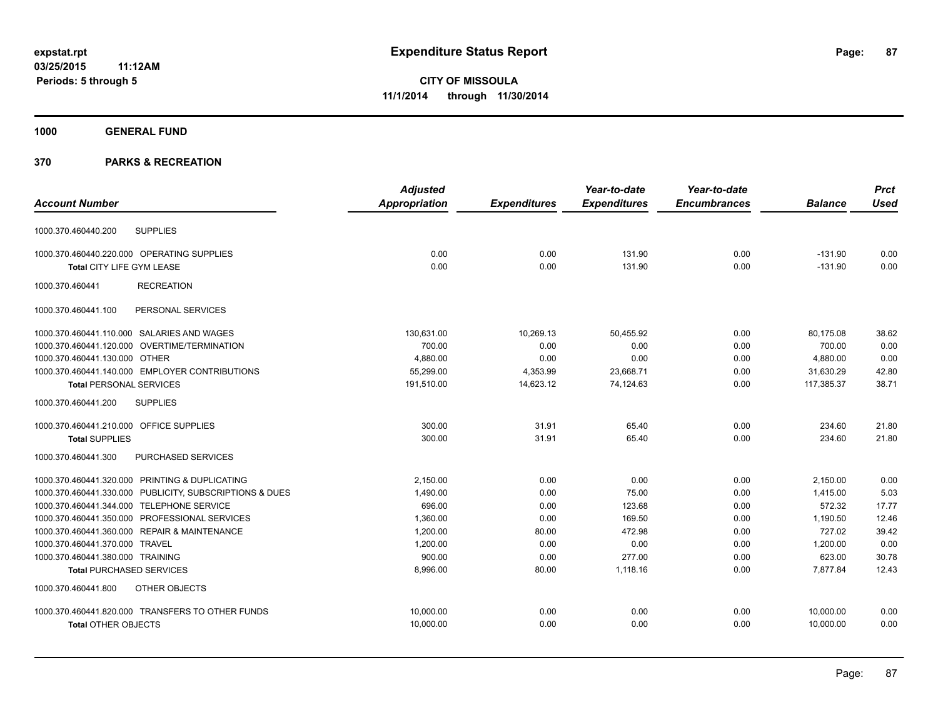**1000 GENERAL FUND**

|                                                         | <b>Adjusted</b>      |                     | Year-to-date        | Year-to-date        |                | <b>Prct</b> |
|---------------------------------------------------------|----------------------|---------------------|---------------------|---------------------|----------------|-------------|
| <b>Account Number</b>                                   | <b>Appropriation</b> | <b>Expenditures</b> | <b>Expenditures</b> | <b>Encumbrances</b> | <b>Balance</b> | <b>Used</b> |
| <b>SUPPLIES</b><br>1000.370.460440.200                  |                      |                     |                     |                     |                |             |
| 1000.370.460440.220.000 OPERATING SUPPLIES              | 0.00                 | 0.00                | 131.90              | 0.00                | $-131.90$      | 0.00        |
| <b>Total CITY LIFE GYM LEASE</b>                        | 0.00                 | 0.00                | 131.90              | 0.00                | $-131.90$      | 0.00        |
| 1000.370.460441<br><b>RECREATION</b>                    |                      |                     |                     |                     |                |             |
| PERSONAL SERVICES<br>1000.370.460441.100                |                      |                     |                     |                     |                |             |
| 1000.370.460441.110.000 SALARIES AND WAGES              | 130,631.00           | 10,269.13           | 50,455.92           | 0.00                | 80,175.08      | 38.62       |
| 1000.370.460441.120.000 OVERTIME/TERMINATION            | 700.00               | 0.00                | 0.00                | 0.00                | 700.00         | 0.00        |
| 1000.370.460441.130.000 OTHER                           | 4,880.00             | 0.00                | 0.00                | 0.00                | 4,880.00       | 0.00        |
| 1000.370.460441.140.000 EMPLOYER CONTRIBUTIONS          | 55,299.00            | 4,353.99            | 23,668.71           | 0.00                | 31,630.29      | 42.80       |
| <b>Total PERSONAL SERVICES</b>                          | 191,510.00           | 14,623.12           | 74,124.63           | 0.00                | 117,385.37     | 38.71       |
| <b>SUPPLIES</b><br>1000.370.460441.200                  |                      |                     |                     |                     |                |             |
| 1000.370.460441.210.000 OFFICE SUPPLIES                 | 300.00               | 31.91               | 65.40               | 0.00                | 234.60         | 21.80       |
| <b>Total SUPPLIES</b>                                   | 300.00               | 31.91               | 65.40               | 0.00                | 234.60         | 21.80       |
| <b>PURCHASED SERVICES</b><br>1000.370.460441.300        |                      |                     |                     |                     |                |             |
| 1000.370.460441.320.000 PRINTING & DUPLICATING          | 2,150.00             | 0.00                | 0.00                | 0.00                | 2,150.00       | 0.00        |
| 1000.370.460441.330.000 PUBLICITY, SUBSCRIPTIONS & DUES | 1,490.00             | 0.00                | 75.00               | 0.00                | 1,415.00       | 5.03        |
| 1000.370.460441.344.000 TELEPHONE SERVICE               | 696.00               | 0.00                | 123.68              | 0.00                | 572.32         | 17.77       |
| 1000.370.460441.350.000 PROFESSIONAL SERVICES           | 1,360.00             | 0.00                | 169.50              | 0.00                | 1,190.50       | 12.46       |
| 1000.370.460441.360.000 REPAIR & MAINTENANCE            | 1,200.00             | 80.00               | 472.98              | 0.00                | 727.02         | 39.42       |
| 1000.370.460441.370.000 TRAVEL                          | 1,200.00             | 0.00                | 0.00                | 0.00                | 1,200.00       | 0.00        |
| 1000.370.460441.380.000 TRAINING                        | 900.00               | 0.00                | 277.00              | 0.00                | 623.00         | 30.78       |
| <b>Total PURCHASED SERVICES</b>                         | 8,996.00             | 80.00               | 1,118.16            | 0.00                | 7,877.84       | 12.43       |
| OTHER OBJECTS<br>1000.370.460441.800                    |                      |                     |                     |                     |                |             |
| 1000.370.460441.820.000 TRANSFERS TO OTHER FUNDS        | 10,000.00            | 0.00                | 0.00                | 0.00                | 10,000.00      | 0.00        |
| <b>Total OTHER OBJECTS</b>                              | 10,000.00            | 0.00                | 0.00                | 0.00                | 10,000.00      | 0.00        |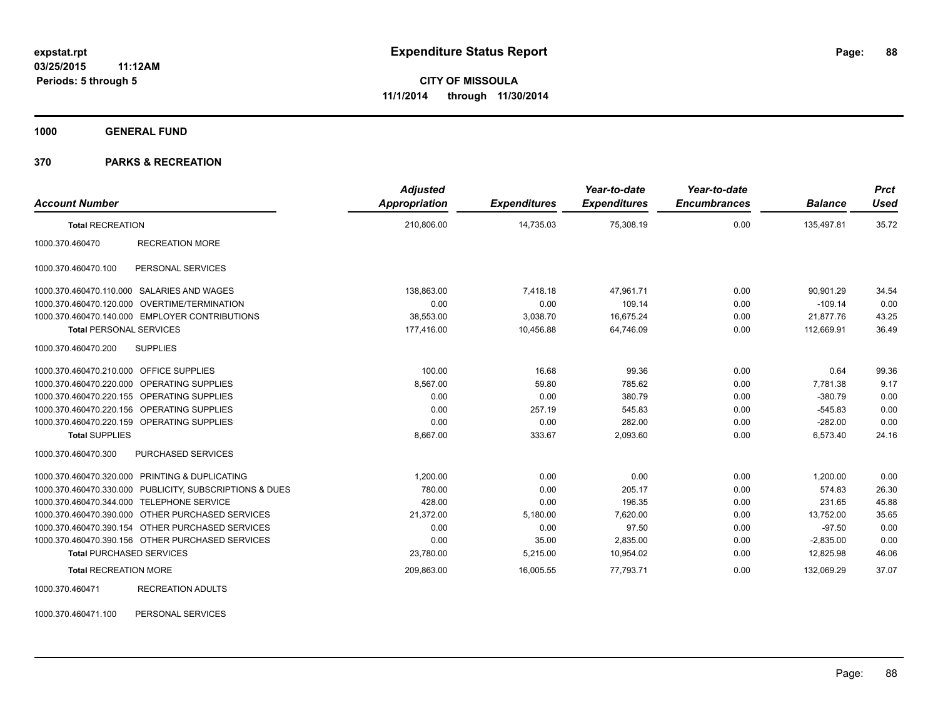**1000 GENERAL FUND**

### **370 PARKS & RECREATION**

| <b>Account Number</b>                   |                                                         | <b>Adjusted</b><br>Appropriation | <b>Expenditures</b> | Year-to-date<br><b>Expenditures</b> | Year-to-date<br><b>Encumbrances</b> | <b>Balance</b> | <b>Prct</b><br><b>Used</b> |
|-----------------------------------------|---------------------------------------------------------|----------------------------------|---------------------|-------------------------------------|-------------------------------------|----------------|----------------------------|
| <b>Total RECREATION</b>                 |                                                         | 210,806.00                       | 14,735.03           | 75,308.19                           | 0.00                                | 135,497.81     | 35.72                      |
| 1000.370.460470                         | <b>RECREATION MORE</b>                                  |                                  |                     |                                     |                                     |                |                            |
| 1000.370.460470.100                     | PERSONAL SERVICES                                       |                                  |                     |                                     |                                     |                |                            |
|                                         | 1000.370.460470.110.000 SALARIES AND WAGES              | 138,863.00                       | 7,418.18            | 47,961.71                           | 0.00                                | 90,901.29      | 34.54                      |
|                                         | 1000.370.460470.120.000 OVERTIME/TERMINATION            | 0.00                             | 0.00                | 109.14                              | 0.00                                | $-109.14$      | 0.00                       |
|                                         | 1000.370.460470.140.000 EMPLOYER CONTRIBUTIONS          | 38,553.00                        | 3,038.70            | 16,675.24                           | 0.00                                | 21,877.76      | 43.25                      |
| <b>Total PERSONAL SERVICES</b>          |                                                         | 177,416.00                       | 10,456.88           | 64,746.09                           | 0.00                                | 112,669.91     | 36.49                      |
| 1000.370.460470.200                     | <b>SUPPLIES</b>                                         |                                  |                     |                                     |                                     |                |                            |
| 1000.370.460470.210.000 OFFICE SUPPLIES |                                                         | 100.00                           | 16.68               | 99.36                               | 0.00                                | 0.64           | 99.36                      |
|                                         | 1000.370.460470.220.000 OPERATING SUPPLIES              | 8.567.00                         | 59.80               | 785.62                              | 0.00                                | 7.781.38       | 9.17                       |
|                                         | 1000.370.460470.220.155 OPERATING SUPPLIES              | 0.00                             | 0.00                | 380.79                              | 0.00                                | $-380.79$      | 0.00                       |
|                                         | 1000.370.460470.220.156 OPERATING SUPPLIES              | 0.00                             | 257.19              | 545.83                              | 0.00                                | $-545.83$      | 0.00                       |
|                                         | 1000.370.460470.220.159 OPERATING SUPPLIES              | 0.00                             | 0.00                | 282.00                              | 0.00                                | $-282.00$      | 0.00                       |
| <b>Total SUPPLIES</b>                   |                                                         | 8,667.00                         | 333.67              | 2,093.60                            | 0.00                                | 6,573.40       | 24.16                      |
| 1000.370.460470.300                     | PURCHASED SERVICES                                      |                                  |                     |                                     |                                     |                |                            |
|                                         | 1000.370.460470.320.000 PRINTING & DUPLICATING          | 1.200.00                         | 0.00                | 0.00                                | 0.00                                | 1,200.00       | 0.00                       |
|                                         | 1000.370.460470.330.000 PUBLICITY, SUBSCRIPTIONS & DUES | 780.00                           | 0.00                | 205.17                              | 0.00                                | 574.83         | 26.30                      |
|                                         | 1000.370.460470.344.000 TELEPHONE SERVICE               | 428.00                           | 0.00                | 196.35                              | 0.00                                | 231.65         | 45.88                      |
|                                         | 1000.370.460470.390.000 OTHER PURCHASED SERVICES        | 21,372.00                        | 5,180.00            | 7,620.00                            | 0.00                                | 13,752.00      | 35.65                      |
|                                         | 1000.370.460470.390.154 OTHER PURCHASED SERVICES        | 0.00                             | 0.00                | 97.50                               | 0.00                                | $-97.50$       | 0.00                       |
|                                         | 1000.370.460470.390.156 OTHER PURCHASED SERVICES        | 0.00                             | 35.00               | 2,835.00                            | 0.00                                | $-2,835.00$    | 0.00                       |
| <b>Total PURCHASED SERVICES</b>         |                                                         | 23,780.00                        | 5,215.00            | 10,954.02                           | 0.00                                | 12,825.98      | 46.06                      |
| <b>Total RECREATION MORE</b>            |                                                         | 209,863.00                       | 16,005.55           | 77,793.71                           | 0.00                                | 132,069.29     | 37.07                      |
| 1000.370.460471                         | <b>RECREATION ADULTS</b>                                |                                  |                     |                                     |                                     |                |                            |

1000.370.460471.100 PERSONAL SERVICES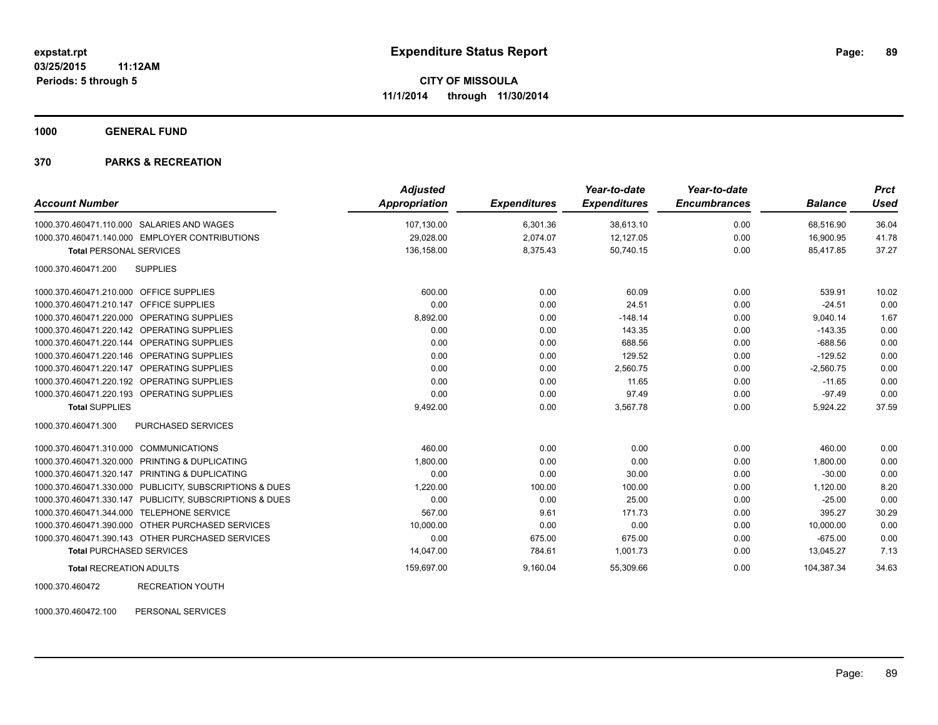**1000 GENERAL FUND**

#### **370 PARKS & RECREATION**

| <b>Account Number</b>                                   | <b>Adjusted</b><br><b>Appropriation</b> | <b>Expenditures</b> | Year-to-date<br><b>Expenditures</b> | Year-to-date<br><b>Encumbrances</b> | <b>Balance</b> | <b>Prct</b><br><b>Used</b> |
|---------------------------------------------------------|-----------------------------------------|---------------------|-------------------------------------|-------------------------------------|----------------|----------------------------|
| 1000.370.460471.110.000 SALARIES AND WAGES              | 107,130.00                              | 6,301.36            | 38,613.10                           | 0.00                                | 68,516.90      | 36.04                      |
| 1000.370.460471.140.000 EMPLOYER CONTRIBUTIONS          | 29,028.00                               | 2,074.07            | 12,127.05                           | 0.00                                | 16,900.95      | 41.78                      |
| <b>Total PERSONAL SERVICES</b>                          | 136,158.00                              | 8,375.43            | 50,740.15                           | 0.00                                | 85,417.85      | 37.27                      |
| 1000.370.460471.200<br><b>SUPPLIES</b>                  |                                         |                     |                                     |                                     |                |                            |
| 1000.370.460471.210.000 OFFICE SUPPLIES                 | 600.00                                  | 0.00                | 60.09                               | 0.00                                | 539.91         | 10.02                      |
| 1000.370.460471.210.147 OFFICE SUPPLIES                 | 0.00                                    | 0.00                | 24.51                               | 0.00                                | $-24.51$       | 0.00                       |
| 1000.370.460471.220.000 OPERATING SUPPLIES              | 8,892.00                                | 0.00                | $-148.14$                           | 0.00                                | 9,040.14       | 1.67                       |
| 1000.370.460471.220.142 OPERATING SUPPLIES              | 0.00                                    | 0.00                | 143.35                              | 0.00                                | $-143.35$      | 0.00                       |
| 1000.370.460471.220.144 OPERATING SUPPLIES              | 0.00                                    | 0.00                | 688.56                              | 0.00                                | $-688.56$      | 0.00                       |
| 1000.370.460471.220.146 OPERATING SUPPLIES              | 0.00                                    | 0.00                | 129.52                              | 0.00                                | $-129.52$      | 0.00                       |
| 1000.370.460471.220.147 OPERATING SUPPLIES              | 0.00                                    | 0.00                | 2,560.75                            | 0.00                                | $-2,560.75$    | 0.00                       |
| 1000.370.460471.220.192 OPERATING SUPPLIES              | 0.00                                    | 0.00                | 11.65                               | 0.00                                | $-11.65$       | 0.00                       |
| 1000.370.460471.220.193 OPERATING SUPPLIES              | 0.00                                    | 0.00                | 97.49                               | 0.00                                | $-97.49$       | 0.00                       |
| <b>Total SUPPLIES</b>                                   | 9,492.00                                | 0.00                | 3,567.78                            | 0.00                                | 5,924.22       | 37.59                      |
| 1000.370.460471.300<br><b>PURCHASED SERVICES</b>        |                                         |                     |                                     |                                     |                |                            |
| 1000.370.460471.310.000 COMMUNICATIONS                  | 460.00                                  | 0.00                | 0.00                                | 0.00                                | 460.00         | 0.00                       |
| 1000.370.460471.320.000 PRINTING & DUPLICATING          | 1,800.00                                | 0.00                | 0.00                                | 0.00                                | 1,800.00       | 0.00                       |
| 1000.370.460471.320.147 PRINTING & DUPLICATING          | 0.00                                    | 0.00                | 30.00                               | 0.00                                | $-30.00$       | 0.00                       |
| 1000.370.460471.330.000 PUBLICITY, SUBSCRIPTIONS & DUES | 1,220.00                                | 100.00              | 100.00                              | 0.00                                | 1,120.00       | 8.20                       |
| 1000.370.460471.330.147 PUBLICITY, SUBSCRIPTIONS & DUES | 0.00                                    | 0.00                | 25.00                               | 0.00                                | $-25.00$       | 0.00                       |
| 1000.370.460471.344.000 TELEPHONE SERVICE               | 567.00                                  | 9.61                | 171.73                              | 0.00                                | 395.27         | 30.29                      |
| 1000.370.460471.390.000 OTHER PURCHASED SERVICES        | 10,000.00                               | 0.00                | 0.00                                | 0.00                                | 10,000.00      | 0.00                       |
| 1000.370.460471.390.143 OTHER PURCHASED SERVICES        | 0.00                                    | 675.00              | 675.00                              | 0.00                                | $-675.00$      | 0.00                       |
| <b>Total PURCHASED SERVICES</b>                         | 14,047.00                               | 784.61              | 1,001.73                            | 0.00                                | 13,045.27      | 7.13                       |
| <b>Total RECREATION ADULTS</b>                          | 159,697.00                              | 9,160.04            | 55,309.66                           | 0.00                                | 104,387.34     | 34.63                      |

1000.370.460472 RECREATION YOUTH

1000.370.460472.100 PERSONAL SERVICES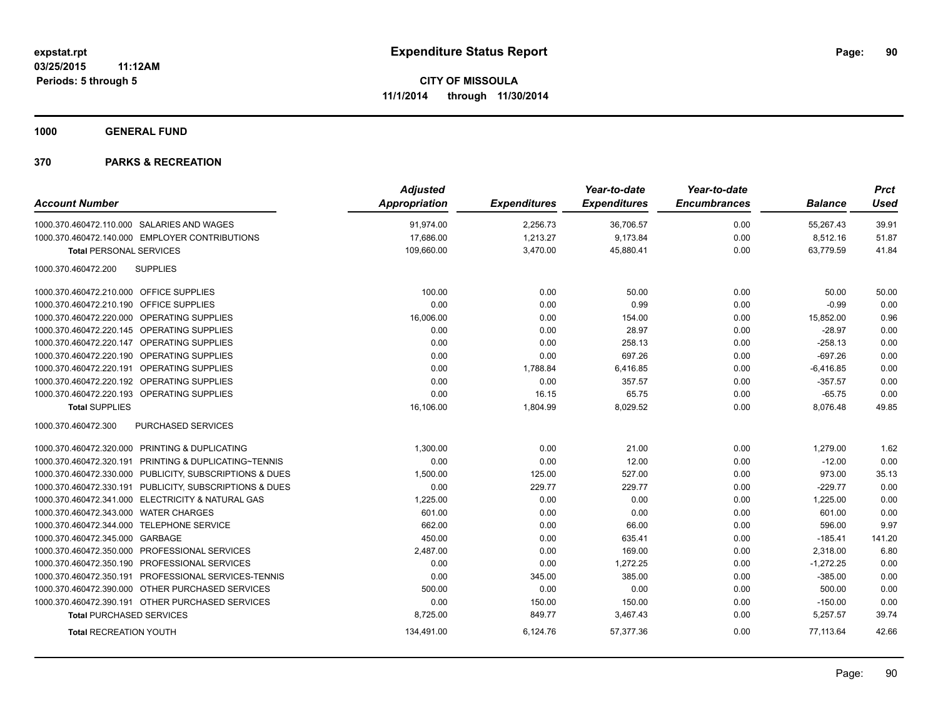**1000 GENERAL FUND**

| <b>Account Number</b>                                   | <b>Adjusted</b><br><b>Appropriation</b> | <b>Expenditures</b> | Year-to-date<br><b>Expenditures</b> | Year-to-date<br><b>Encumbrances</b> | <b>Balance</b> | <b>Prct</b><br><b>Used</b> |
|---------------------------------------------------------|-----------------------------------------|---------------------|-------------------------------------|-------------------------------------|----------------|----------------------------|
| 1000.370.460472.110.000 SALARIES AND WAGES              | 91,974.00                               | 2,256.73            | 36,706.57                           | 0.00                                | 55,267.43      | 39.91                      |
| 1000.370.460472.140.000 EMPLOYER CONTRIBUTIONS          | 17,686.00                               | 1,213.27            | 9,173.84                            | 0.00                                | 8,512.16       | 51.87                      |
| <b>Total PERSONAL SERVICES</b>                          | 109,660.00                              | 3,470.00            | 45,880.41                           | 0.00                                | 63,779.59      | 41.84                      |
| <b>SUPPLIES</b><br>1000.370.460472.200                  |                                         |                     |                                     |                                     |                |                            |
| 1000.370.460472.210.000 OFFICE SUPPLIES                 | 100.00                                  | 0.00                | 50.00                               | 0.00                                | 50.00          | 50.00                      |
| 1000.370.460472.210.190 OFFICE SUPPLIES                 | 0.00                                    | 0.00                | 0.99                                | 0.00                                | $-0.99$        | 0.00                       |
| 1000.370.460472.220.000 OPERATING SUPPLIES              | 16,006.00                               | 0.00                | 154.00                              | 0.00                                | 15,852.00      | 0.96                       |
| 1000.370.460472.220.145 OPERATING SUPPLIES              | 0.00                                    | 0.00                | 28.97                               | 0.00                                | $-28.97$       | 0.00                       |
| 1000.370.460472.220.147 OPERATING SUPPLIES              | 0.00                                    | 0.00                | 258.13                              | 0.00                                | $-258.13$      | 0.00                       |
| 1000.370.460472.220.190 OPERATING SUPPLIES              | 0.00                                    | 0.00                | 697.26                              | 0.00                                | $-697.26$      | 0.00                       |
| 1000.370.460472.220.191 OPERATING SUPPLIES              | 0.00                                    | 1,788.84            | 6,416.85                            | 0.00                                | $-6,416.85$    | 0.00                       |
| 1000.370.460472.220.192 OPERATING SUPPLIES              | 0.00                                    | 0.00                | 357.57                              | 0.00                                | $-357.57$      | 0.00                       |
| 1000.370.460472.220.193 OPERATING SUPPLIES              | 0.00                                    | 16.15               | 65.75                               | 0.00                                | $-65.75$       | 0.00                       |
| <b>Total SUPPLIES</b>                                   | 16,106.00                               | 1,804.99            | 8,029.52                            | 0.00                                | 8,076.48       | 49.85                      |
| 1000.370.460472.300<br><b>PURCHASED SERVICES</b>        |                                         |                     |                                     |                                     |                |                            |
| 1000.370.460472.320.000 PRINTING & DUPLICATING          | 1,300.00                                | 0.00                | 21.00                               | 0.00                                | 1,279.00       | 1.62                       |
| 1000.370.460472.320.191 PRINTING & DUPLICATING~TENNIS   | 0.00                                    | 0.00                | 12.00                               | 0.00                                | $-12.00$       | 0.00                       |
| 1000.370.460472.330.000 PUBLICITY, SUBSCRIPTIONS & DUES | 1,500.00                                | 125.00              | 527.00                              | 0.00                                | 973.00         | 35.13                      |
| 1000.370.460472.330.191 PUBLICITY, SUBSCRIPTIONS & DUES | 0.00                                    | 229.77              | 229.77                              | 0.00                                | $-229.77$      | 0.00                       |
| 1000.370.460472.341.000 ELECTRICITY & NATURAL GAS       | 1,225.00                                | 0.00                | 0.00                                | 0.00                                | 1,225.00       | 0.00                       |
| 1000.370.460472.343.000 WATER CHARGES                   | 601.00                                  | 0.00                | 0.00                                | 0.00                                | 601.00         | 0.00                       |
| 1000.370.460472.344.000 TELEPHONE SERVICE               | 662.00                                  | 0.00                | 66.00                               | 0.00                                | 596.00         | 9.97                       |
| 1000.370.460472.345.000 GARBAGE                         | 450.00                                  | 0.00                | 635.41                              | 0.00                                | $-185.41$      | 141.20                     |
| 1000.370.460472.350.000<br>PROFESSIONAL SERVICES        | 2,487.00                                | 0.00                | 169.00                              | 0.00                                | 2,318.00       | 6.80                       |
| PROFESSIONAL SERVICES<br>1000.370.460472.350.190        | 0.00                                    | 0.00                | 1,272.25                            | 0.00                                | $-1,272.25$    | 0.00                       |
| 1000.370.460472.350.191 PROFESSIONAL SERVICES-TENNIS    | 0.00                                    | 345.00              | 385.00                              | 0.00                                | $-385.00$      | 0.00                       |
| 1000.370.460472.390.000 OTHER PURCHASED SERVICES        | 500.00                                  | 0.00                | 0.00                                | 0.00                                | 500.00         | 0.00                       |
| 1000.370.460472.390.191 OTHER PURCHASED SERVICES        | 0.00                                    | 150.00              | 150.00                              | 0.00                                | $-150.00$      | 0.00                       |
| <b>Total PURCHASED SERVICES</b>                         | 8,725.00                                | 849.77              | 3,467.43                            | 0.00                                | 5,257.57       | 39.74                      |
| <b>Total RECREATION YOUTH</b>                           | 134,491.00                              | 6,124.76            | 57,377.36                           | 0.00                                | 77,113.64      | 42.66                      |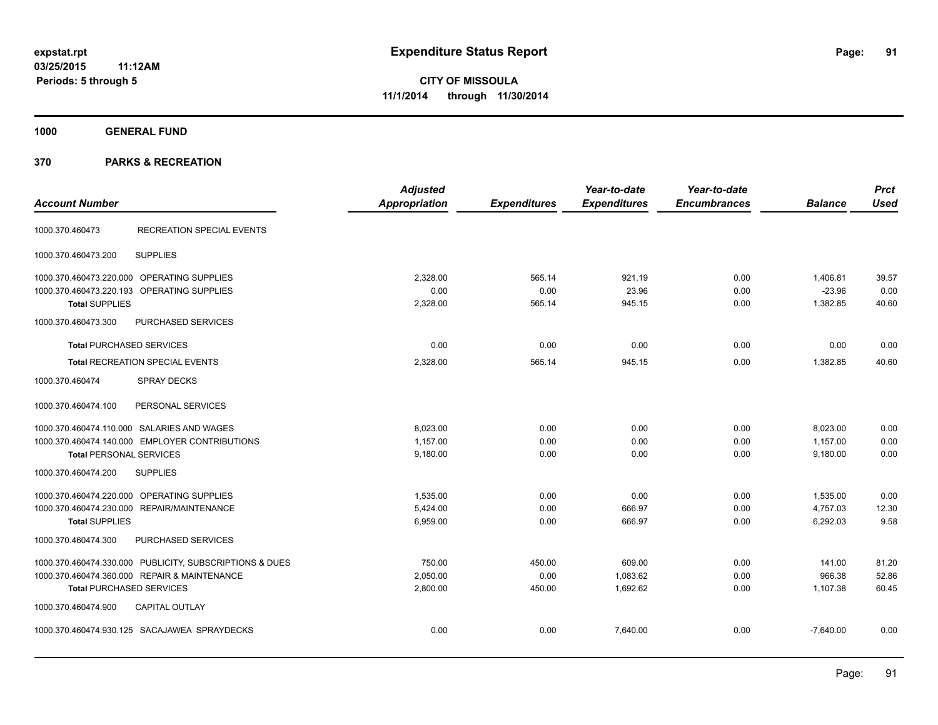**91**

**CITY OF MISSOULA 11/1/2014 through 11/30/2014**

**1000 GENERAL FUND**

| <b>Account Number</b>                                   | <b>Adjusted</b><br><b>Appropriation</b> | <b>Expenditures</b> | Year-to-date<br><b>Expenditures</b> | Year-to-date<br><b>Encumbrances</b> | <b>Balance</b> | <b>Prct</b><br><b>Used</b> |
|---------------------------------------------------------|-----------------------------------------|---------------------|-------------------------------------|-------------------------------------|----------------|----------------------------|
| <b>RECREATION SPECIAL EVENTS</b><br>1000.370.460473     |                                         |                     |                                     |                                     |                |                            |
| <b>SUPPLIES</b><br>1000.370.460473.200                  |                                         |                     |                                     |                                     |                |                            |
| 1000.370.460473.220.000 OPERATING SUPPLIES              | 2.328.00                                | 565.14              | 921.19                              | 0.00                                | 1.406.81       | 39.57                      |
| 1000.370.460473.220.193 OPERATING SUPPLIES              | 0.00                                    | 0.00                | 23.96                               | 0.00                                | $-23.96$       | 0.00                       |
| <b>Total SUPPLIES</b>                                   | 2,328.00                                | 565.14              | 945.15                              | 0.00                                | 1,382.85       | 40.60                      |
| 1000.370.460473.300<br>PURCHASED SERVICES               |                                         |                     |                                     |                                     |                |                            |
| <b>Total PURCHASED SERVICES</b>                         | 0.00                                    | 0.00                | 0.00                                | 0.00                                | 0.00           | 0.00                       |
| <b>Total RECREATION SPECIAL EVENTS</b>                  | 2,328.00                                | 565.14              | 945.15                              | 0.00                                | 1,382.85       | 40.60                      |
| 1000.370.460474<br><b>SPRAY DECKS</b>                   |                                         |                     |                                     |                                     |                |                            |
| 1000.370.460474.100<br>PERSONAL SERVICES                |                                         |                     |                                     |                                     |                |                            |
| 1000.370.460474.110.000 SALARIES AND WAGES              | 8.023.00                                | 0.00                | 0.00                                | 0.00                                | 8,023.00       | 0.00                       |
| 1000.370.460474.140.000 EMPLOYER CONTRIBUTIONS          | 1,157.00                                | 0.00                | 0.00                                | 0.00                                | 1,157.00       | 0.00                       |
| <b>Total PERSONAL SERVICES</b>                          | 9,180.00                                | 0.00                | 0.00                                | 0.00                                | 9,180.00       | 0.00                       |
| 1000.370.460474.200<br><b>SUPPLIES</b>                  |                                         |                     |                                     |                                     |                |                            |
| OPERATING SUPPLIES<br>1000.370.460474.220.000           | 1,535.00                                | 0.00                | 0.00                                | 0.00                                | 1,535.00       | 0.00                       |
| REPAIR/MAINTENANCE<br>1000.370.460474.230.000           | 5.424.00                                | 0.00                | 666.97                              | 0.00                                | 4,757.03       | 12.30                      |
| <b>Total SUPPLIES</b>                                   | 6,959.00                                | 0.00                | 666.97                              | 0.00                                | 6,292.03       | 9.58                       |
| 1000.370.460474.300<br>PURCHASED SERVICES               |                                         |                     |                                     |                                     |                |                            |
| 1000.370.460474.330.000 PUBLICITY, SUBSCRIPTIONS & DUES | 750.00                                  | 450.00              | 609.00                              | 0.00                                | 141.00         | 81.20                      |
| 1000.370.460474.360.000 REPAIR & MAINTENANCE            | 2,050.00                                | 0.00                | 1,083.62                            | 0.00                                | 966.38         | 52.86                      |
| <b>Total PURCHASED SERVICES</b>                         | 2,800.00                                | 450.00              | 1,692.62                            | 0.00                                | 1,107.38       | 60.45                      |
| 1000.370.460474.900<br><b>CAPITAL OUTLAY</b>            |                                         |                     |                                     |                                     |                |                            |
| 1000.370.460474.930.125 SACAJAWEA SPRAYDECKS            | 0.00                                    | 0.00                | 7,640.00                            | 0.00                                | $-7,640.00$    | 0.00                       |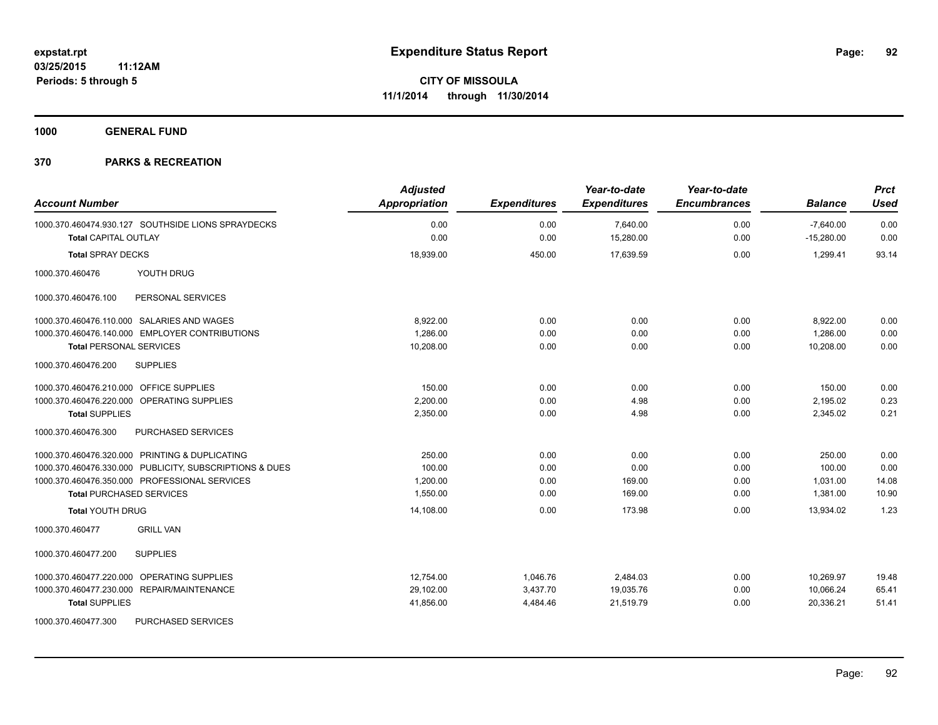**1000 GENERAL FUND**

| <b>Account Number</b>                                                             | <b>Adjusted</b><br><b>Appropriation</b> | <b>Expenditures</b> | Year-to-date<br><b>Expenditures</b> | Year-to-date<br><b>Encumbrances</b> | <b>Balance</b>              | <b>Prct</b><br><b>Used</b> |
|-----------------------------------------------------------------------------------|-----------------------------------------|---------------------|-------------------------------------|-------------------------------------|-----------------------------|----------------------------|
| 1000.370.460474.930.127 SOUTHSIDE LIONS SPRAYDECKS<br><b>Total CAPITAL OUTLAY</b> | 0.00<br>0.00                            | 0.00<br>0.00        | 7,640.00<br>15,280.00               | 0.00<br>0.00                        | $-7,640.00$<br>$-15,280.00$ | 0.00<br>0.00               |
| <b>Total SPRAY DECKS</b>                                                          | 18,939.00                               | 450.00              | 17,639.59                           | 0.00                                | 1,299.41                    | 93.14                      |
| YOUTH DRUG<br>1000.370.460476                                                     |                                         |                     |                                     |                                     |                             |                            |
| 1000.370.460476.100<br>PERSONAL SERVICES                                          |                                         |                     |                                     |                                     |                             |                            |
| 1000.370.460476.110.000 SALARIES AND WAGES                                        | 8,922.00                                | 0.00                | 0.00                                | 0.00                                | 8,922.00                    | 0.00                       |
| 1000.370.460476.140.000 EMPLOYER CONTRIBUTIONS                                    | 1.286.00                                | 0.00                | 0.00                                | 0.00                                | 1.286.00                    | 0.00                       |
| <b>Total PERSONAL SERVICES</b>                                                    | 10,208.00                               | 0.00                | 0.00                                | 0.00                                | 10,208.00                   | 0.00                       |
| 1000.370.460476.200<br><b>SUPPLIES</b>                                            |                                         |                     |                                     |                                     |                             |                            |
| 1000.370.460476.210.000 OFFICE SUPPLIES                                           | 150.00                                  | 0.00                | 0.00                                | 0.00                                | 150.00                      | 0.00                       |
| 1000.370.460476.220.000 OPERATING SUPPLIES                                        | 2,200.00                                | 0.00                | 4.98                                | 0.00                                | 2,195.02                    | 0.23                       |
| <b>Total SUPPLIES</b>                                                             | 2,350.00                                | 0.00                | 4.98                                | 0.00                                | 2,345.02                    | 0.21                       |
| 1000.370.460476.300<br>PURCHASED SERVICES                                         |                                         |                     |                                     |                                     |                             |                            |
| 1000.370.460476.320.000 PRINTING & DUPLICATING                                    | 250.00                                  | 0.00                | 0.00                                | 0.00                                | 250.00                      | 0.00                       |
| 1000.370.460476.330.000 PUBLICITY, SUBSCRIPTIONS & DUES                           | 100.00                                  | 0.00                | 0.00                                | 0.00                                | 100.00                      | 0.00                       |
| 1000.370.460476.350.000 PROFESSIONAL SERVICES                                     | 1,200.00                                | 0.00                | 169.00                              | 0.00                                | 1,031.00                    | 14.08                      |
| <b>Total PURCHASED SERVICES</b>                                                   | 1,550.00                                | 0.00                | 169.00                              | 0.00                                | 1,381.00                    | 10.90                      |
| <b>Total YOUTH DRUG</b>                                                           | 14,108.00                               | 0.00                | 173.98                              | 0.00                                | 13,934.02                   | 1.23                       |
| <b>GRILL VAN</b><br>1000.370.460477                                               |                                         |                     |                                     |                                     |                             |                            |
| 1000.370.460477.200<br><b>SUPPLIES</b>                                            |                                         |                     |                                     |                                     |                             |                            |
| <b>OPERATING SUPPLIES</b><br>1000.370.460477.220.000                              | 12,754.00                               | 1,046.76            | 2,484.03                            | 0.00                                | 10,269.97                   | 19.48                      |
| 1000.370.460477.230.000 REPAIR/MAINTENANCE                                        | 29,102.00                               | 3,437.70            | 19,035.76                           | 0.00                                | 10,066.24                   | 65.41                      |
| <b>Total SUPPLIES</b>                                                             | 41,856.00                               | 4,484.46            | 21,519.79                           | 0.00                                | 20,336.21                   | 51.41                      |
| 1000.370.460477.300<br>PURCHASED SERVICES                                         |                                         |                     |                                     |                                     |                             |                            |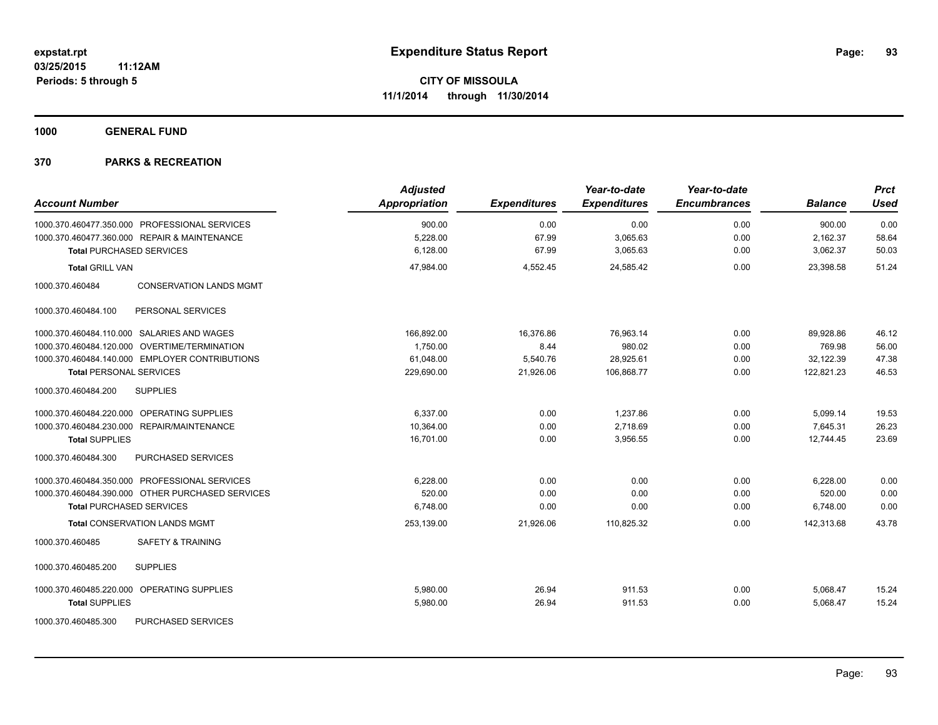**1000 GENERAL FUND**

| <b>Account Number</b>                             | <b>Adjusted</b><br><b>Appropriation</b> | <b>Expenditures</b> | Year-to-date<br><b>Expenditures</b> | Year-to-date<br><b>Encumbrances</b> | <b>Balance</b> | <b>Prct</b><br><b>Used</b> |
|---------------------------------------------------|-----------------------------------------|---------------------|-------------------------------------|-------------------------------------|----------------|----------------------------|
| 1000.370.460477.350.000 PROFESSIONAL SERVICES     | 900.00                                  | 0.00                | 0.00                                | 0.00                                | 900.00         | 0.00                       |
| 1000.370.460477.360.000 REPAIR & MAINTENANCE      | 5,228.00                                | 67.99               | 3,065.63                            | 0.00                                | 2,162.37       | 58.64                      |
| <b>Total PURCHASED SERVICES</b>                   | 6,128.00                                | 67.99               | 3,065.63                            | 0.00                                | 3,062.37       | 50.03                      |
| <b>Total GRILL VAN</b>                            | 47,984.00                               | 4,552.45            | 24,585.42                           | 0.00                                | 23,398.58      | 51.24                      |
| 1000.370.460484<br><b>CONSERVATION LANDS MGMT</b> |                                         |                     |                                     |                                     |                |                            |
| PERSONAL SERVICES<br>1000.370.460484.100          |                                         |                     |                                     |                                     |                |                            |
| 1000.370.460484.110.000 SALARIES AND WAGES        | 166,892.00                              | 16,376.86           | 76,963.14                           | 0.00                                | 89,928.86      | 46.12                      |
| 1000.370.460484.120.000 OVERTIME/TERMINATION      | 1.750.00                                | 8.44                | 980.02                              | 0.00                                | 769.98         | 56.00                      |
| 1000.370.460484.140.000 EMPLOYER CONTRIBUTIONS    | 61,048.00                               | 5,540.76            | 28,925.61                           | 0.00                                | 32,122.39      | 47.38                      |
| <b>Total PERSONAL SERVICES</b>                    | 229,690.00                              | 21,926.06           | 106,868.77                          | 0.00                                | 122,821.23     | 46.53                      |
| <b>SUPPLIES</b><br>1000.370.460484.200            |                                         |                     |                                     |                                     |                |                            |
| 1000.370.460484.220.000 OPERATING SUPPLIES        | 6,337.00                                | 0.00                | 1,237.86                            | 0.00                                | 5,099.14       | 19.53                      |
| 1000.370.460484.230.000 REPAIR/MAINTENANCE        | 10,364.00                               | 0.00                | 2,718.69                            | 0.00                                | 7,645.31       | 26.23                      |
| <b>Total SUPPLIES</b>                             | 16,701.00                               | 0.00                | 3,956.55                            | 0.00                                | 12,744.45      | 23.69                      |
| PURCHASED SERVICES<br>1000.370.460484.300         |                                         |                     |                                     |                                     |                |                            |
| 1000.370.460484.350.000 PROFESSIONAL SERVICES     | 6,228.00                                | 0.00                | 0.00                                | 0.00                                | 6,228.00       | 0.00                       |
| 1000.370.460484.390.000 OTHER PURCHASED SERVICES  | 520.00                                  | 0.00                | 0.00                                | 0.00                                | 520.00         | 0.00                       |
| <b>Total PURCHASED SERVICES</b>                   | 6,748.00                                | 0.00                | 0.00                                | 0.00                                | 6,748.00       | 0.00                       |
| <b>Total CONSERVATION LANDS MGMT</b>              | 253,139.00                              | 21,926.06           | 110,825.32                          | 0.00                                | 142,313.68     | 43.78                      |
| 1000.370.460485<br><b>SAFETY &amp; TRAINING</b>   |                                         |                     |                                     |                                     |                |                            |
| 1000.370.460485.200<br><b>SUPPLIES</b>            |                                         |                     |                                     |                                     |                |                            |
| 1000.370.460485.220.000 OPERATING SUPPLIES        | 5,980.00                                | 26.94               | 911.53                              | 0.00                                | 5,068.47       | 15.24                      |
| <b>Total SUPPLIES</b>                             | 5,980.00                                | 26.94               | 911.53                              | 0.00                                | 5,068.47       | 15.24                      |
| 1000.370.460485.300<br>PURCHASED SERVICES         |                                         |                     |                                     |                                     |                |                            |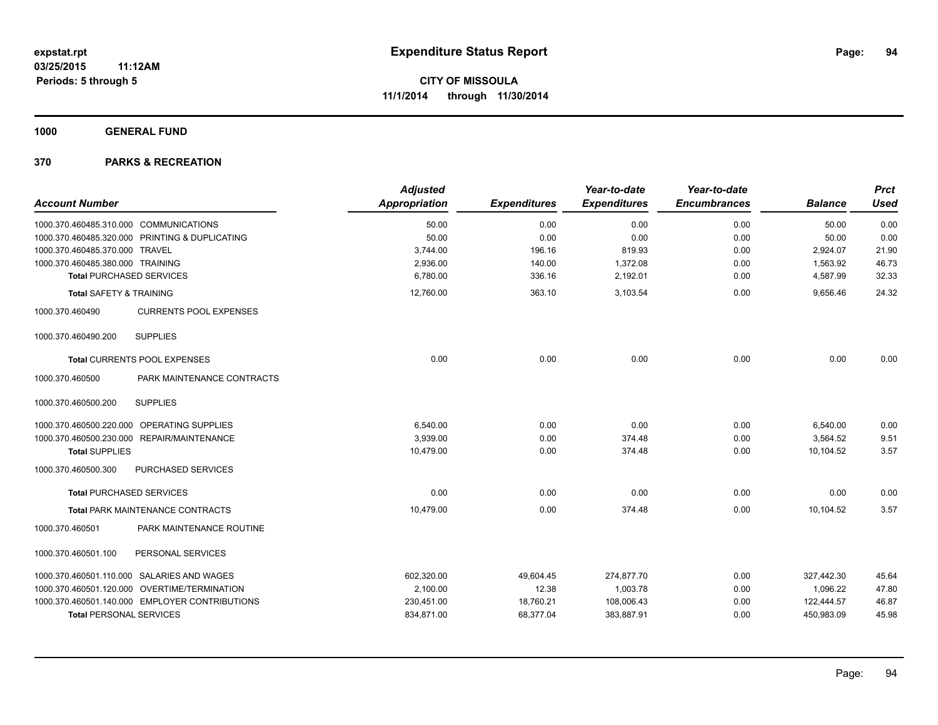**1000 GENERAL FUND**

| <b>Account Number</b>                  |                                                | <b>Adjusted</b><br><b>Appropriation</b> | <b>Expenditures</b> | Year-to-date<br><b>Expenditures</b> | Year-to-date<br><b>Encumbrances</b> | <b>Balance</b> | <b>Prct</b><br><b>Used</b> |
|----------------------------------------|------------------------------------------------|-----------------------------------------|---------------------|-------------------------------------|-------------------------------------|----------------|----------------------------|
|                                        |                                                |                                         |                     |                                     |                                     |                |                            |
| 1000.370.460485.310.000 COMMUNICATIONS |                                                | 50.00                                   | 0.00                | 0.00                                | 0.00                                | 50.00          | 0.00                       |
|                                        | 1000.370.460485.320.000 PRINTING & DUPLICATING | 50.00                                   | 0.00                | 0.00                                | 0.00                                | 50.00          | 0.00                       |
| 1000.370.460485.370.000 TRAVEL         |                                                | 3,744.00                                | 196.16              | 819.93                              | 0.00                                | 2,924.07       | 21.90                      |
| 1000.370.460485.380.000 TRAINING       |                                                | 2,936.00                                | 140.00              | 1,372.08                            | 0.00                                | 1,563.92       | 46.73                      |
|                                        | <b>Total PURCHASED SERVICES</b>                | 6,780.00                                | 336.16              | 2,192.01                            | 0.00                                | 4,587.99       | 32.33                      |
| Total SAFETY & TRAINING                |                                                | 12,760.00                               | 363.10              | 3,103.54                            | 0.00                                | 9,656.46       | 24.32                      |
| 1000.370.460490                        | <b>CURRENTS POOL EXPENSES</b>                  |                                         |                     |                                     |                                     |                |                            |
| 1000.370.460490.200                    | <b>SUPPLIES</b>                                |                                         |                     |                                     |                                     |                |                            |
|                                        | <b>Total CURRENTS POOL EXPENSES</b>            | 0.00                                    | 0.00                | 0.00                                | 0.00                                | 0.00           | 0.00                       |
| 1000.370.460500                        | PARK MAINTENANCE CONTRACTS                     |                                         |                     |                                     |                                     |                |                            |
| 1000.370.460500.200                    | <b>SUPPLIES</b>                                |                                         |                     |                                     |                                     |                |                            |
|                                        | 1000.370.460500.220.000 OPERATING SUPPLIES     | 6,540.00                                | 0.00                | 0.00                                | 0.00                                | 6,540.00       | 0.00                       |
|                                        | 1000.370.460500.230.000 REPAIR/MAINTENANCE     | 3,939.00                                | 0.00                | 374.48                              | 0.00                                | 3,564.52       | 9.51                       |
| <b>Total SUPPLIES</b>                  |                                                | 10,479.00                               | 0.00                | 374.48                              | 0.00                                | 10,104.52      | 3.57                       |
| 1000.370.460500.300                    | PURCHASED SERVICES                             |                                         |                     |                                     |                                     |                |                            |
|                                        | <b>Total PURCHASED SERVICES</b>                | 0.00                                    | 0.00                | 0.00                                | 0.00                                | 0.00           | 0.00                       |
|                                        | <b>Total PARK MAINTENANCE CONTRACTS</b>        | 10,479.00                               | 0.00                | 374.48                              | 0.00                                | 10,104.52      | 3.57                       |
| 1000.370.460501                        | PARK MAINTENANCE ROUTINE                       |                                         |                     |                                     |                                     |                |                            |
| 1000.370.460501.100                    | PERSONAL SERVICES                              |                                         |                     |                                     |                                     |                |                            |
|                                        | 1000.370.460501.110.000 SALARIES AND WAGES     | 602,320.00                              | 49,604.45           | 274,877.70                          | 0.00                                | 327,442.30     | 45.64                      |
|                                        | 1000.370.460501.120.000 OVERTIME/TERMINATION   | 2,100.00                                | 12.38               | 1,003.78                            | 0.00                                | 1,096.22       | 47.80                      |
|                                        | 1000.370.460501.140.000 EMPLOYER CONTRIBUTIONS | 230,451.00                              | 18,760.21           | 108,006.43                          | 0.00                                | 122,444.57     | 46.87                      |
| <b>Total PERSONAL SERVICES</b>         |                                                | 834,871.00                              | 68,377.04           | 383,887.91                          | 0.00                                | 450,983.09     | 45.98                      |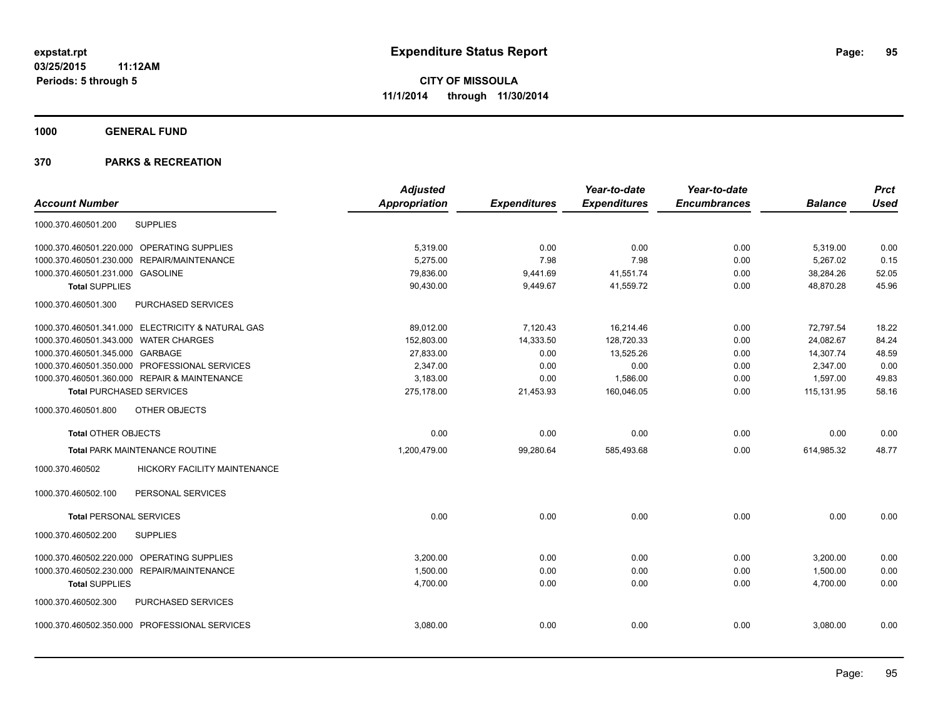**1000 GENERAL FUND**

| <b>Account Number</b>                 |                                                   | <b>Adjusted</b><br><b>Appropriation</b> | <b>Expenditures</b> | Year-to-date<br><b>Expenditures</b> | Year-to-date<br><b>Encumbrances</b> | <b>Balance</b> | <b>Prct</b><br><b>Used</b> |
|---------------------------------------|---------------------------------------------------|-----------------------------------------|---------------------|-------------------------------------|-------------------------------------|----------------|----------------------------|
|                                       |                                                   |                                         |                     |                                     |                                     |                |                            |
| 1000.370.460501.200                   | <b>SUPPLIES</b>                                   |                                         |                     |                                     |                                     |                |                            |
|                                       | 1000.370.460501.220.000 OPERATING SUPPLIES        | 5,319.00                                | 0.00                | 0.00                                | 0.00                                | 5,319.00       | 0.00                       |
| 1000.370.460501.230.000               | <b>REPAIR/MAINTENANCE</b>                         | 5,275.00                                | 7.98                | 7.98                                | 0.00                                | 5,267.02       | 0.15                       |
| 1000.370.460501.231.000 GASOLINE      |                                                   | 79,836.00                               | 9,441.69            | 41,551.74                           | 0.00                                | 38,284.26      | 52.05                      |
| <b>Total SUPPLIES</b>                 |                                                   | 90,430.00                               | 9,449.67            | 41,559.72                           | 0.00                                | 48,870.28      | 45.96                      |
| 1000.370.460501.300                   | PURCHASED SERVICES                                |                                         |                     |                                     |                                     |                |                            |
|                                       | 1000.370.460501.341.000 ELECTRICITY & NATURAL GAS | 89,012.00                               | 7,120.43            | 16,214.46                           | 0.00                                | 72,797.54      | 18.22                      |
| 1000.370.460501.343.000 WATER CHARGES |                                                   | 152,803.00                              | 14,333.50           | 128,720.33                          | 0.00                                | 24,082.67      | 84.24                      |
| 1000.370.460501.345.000 GARBAGE       |                                                   | 27,833.00                               | 0.00                | 13,525.26                           | 0.00                                | 14,307.74      | 48.59                      |
|                                       | 1000.370.460501.350.000 PROFESSIONAL SERVICES     | 2,347.00                                | 0.00                | 0.00                                | 0.00                                | 2,347.00       | 0.00                       |
|                                       | 1000.370.460501.360.000 REPAIR & MAINTENANCE      | 3,183.00                                | 0.00                | 1,586.00                            | 0.00                                | 1,597.00       | 49.83                      |
| <b>Total PURCHASED SERVICES</b>       |                                                   | 275,178.00                              | 21,453.93           | 160,046.05                          | 0.00                                | 115,131.95     | 58.16                      |
| 1000.370.460501.800                   | OTHER OBJECTS                                     |                                         |                     |                                     |                                     |                |                            |
| <b>Total OTHER OBJECTS</b>            |                                                   | 0.00                                    | 0.00                | 0.00                                | 0.00                                | 0.00           | 0.00                       |
|                                       | Total PARK MAINTENANCE ROUTINE                    | 1,200,479.00                            | 99,280.64           | 585,493.68                          | 0.00                                | 614,985.32     | 48.77                      |
| 1000.370.460502                       | <b>HICKORY FACILITY MAINTENANCE</b>               |                                         |                     |                                     |                                     |                |                            |
| 1000.370.460502.100                   | PERSONAL SERVICES                                 |                                         |                     |                                     |                                     |                |                            |
| <b>Total PERSONAL SERVICES</b>        |                                                   | 0.00                                    | 0.00                | 0.00                                | 0.00                                | 0.00           | 0.00                       |
| 1000.370.460502.200                   | <b>SUPPLIES</b>                                   |                                         |                     |                                     |                                     |                |                            |
|                                       | 1000.370.460502.220.000 OPERATING SUPPLIES        | 3.200.00                                | 0.00                | 0.00                                | 0.00                                | 3,200.00       | 0.00                       |
| 1000.370.460502.230.000               | REPAIR/MAINTENANCE                                | 1,500.00                                | 0.00                | 0.00                                | 0.00                                | 1,500.00       | 0.00                       |
| <b>Total SUPPLIES</b>                 |                                                   | 4,700.00                                | 0.00                | 0.00                                | 0.00                                | 4,700.00       | 0.00                       |
| 1000.370.460502.300                   | PURCHASED SERVICES                                |                                         |                     |                                     |                                     |                |                            |
|                                       | 1000.370.460502.350.000 PROFESSIONAL SERVICES     | 3,080.00                                | 0.00                | 0.00                                | 0.00                                | 3,080.00       | 0.00                       |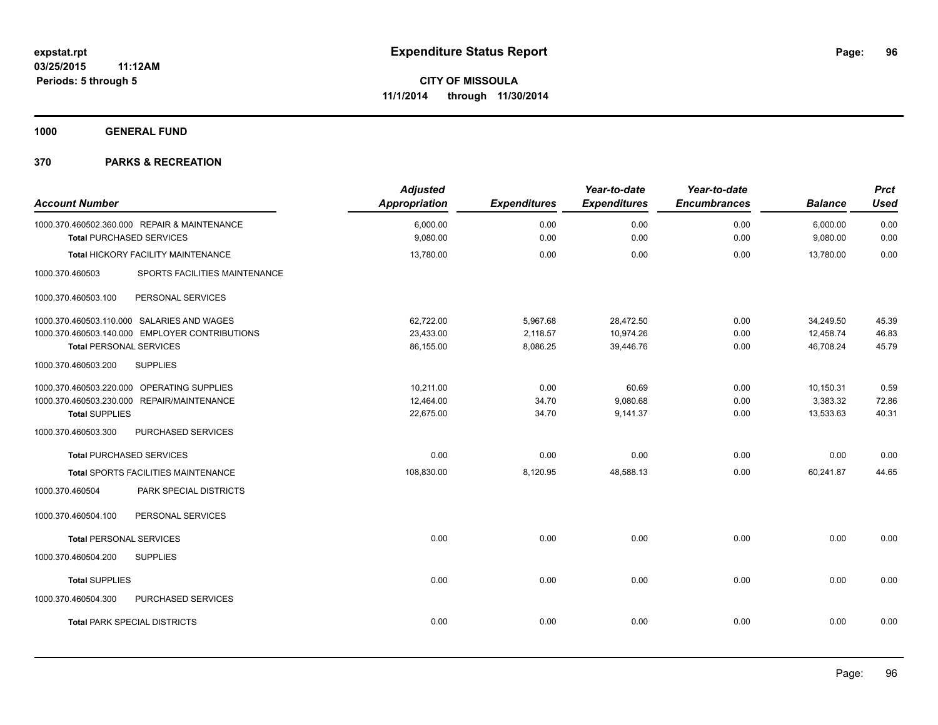**1000 GENERAL FUND**

| <b>Account Number</b>                            | <b>Adjusted</b><br><b>Appropriation</b> | <b>Expenditures</b> | Year-to-date<br><b>Expenditures</b> | Year-to-date<br><b>Encumbrances</b> | <b>Balance</b> | <b>Prct</b><br><b>Used</b> |
|--------------------------------------------------|-----------------------------------------|---------------------|-------------------------------------|-------------------------------------|----------------|----------------------------|
| 1000.370.460502.360.000 REPAIR & MAINTENANCE     | 6,000.00                                | 0.00                | 0.00                                | 0.00                                | 6,000.00       | 0.00                       |
| <b>Total PURCHASED SERVICES</b>                  | 9,080.00                                | 0.00                | 0.00                                | 0.00                                | 9,080.00       | 0.00                       |
| <b>Total HICKORY FACILITY MAINTENANCE</b>        | 13,780.00                               | 0.00                | 0.00                                | 0.00                                | 13.780.00      | 0.00                       |
| 1000.370.460503<br>SPORTS FACILITIES MAINTENANCE |                                         |                     |                                     |                                     |                |                            |
| 1000.370.460503.100<br>PERSONAL SERVICES         |                                         |                     |                                     |                                     |                |                            |
| 1000.370.460503.110.000 SALARIES AND WAGES       | 62.722.00                               | 5,967.68            | 28,472.50                           | 0.00                                | 34,249.50      | 45.39                      |
| 1000.370.460503.140.000 EMPLOYER CONTRIBUTIONS   | 23,433.00                               | 2,118.57            | 10,974.26                           | 0.00                                | 12,458.74      | 46.83                      |
| <b>Total PERSONAL SERVICES</b>                   | 86,155.00                               | 8,086.25            | 39,446.76                           | 0.00                                | 46,708.24      | 45.79                      |
| 1000.370.460503.200<br><b>SUPPLIES</b>           |                                         |                     |                                     |                                     |                |                            |
| 1000.370.460503.220.000 OPERATING SUPPLIES       | 10.211.00                               | 0.00                | 60.69                               | 0.00                                | 10,150.31      | 0.59                       |
| 1000.370.460503.230.000 REPAIR/MAINTENANCE       | 12,464.00                               | 34.70               | 9,080.68                            | 0.00                                | 3,383.32       | 72.86                      |
| <b>Total SUPPLIES</b>                            | 22,675.00                               | 34.70               | 9,141.37                            | 0.00                                | 13,533.63      | 40.31                      |
| 1000.370.460503.300<br>PURCHASED SERVICES        |                                         |                     |                                     |                                     |                |                            |
| <b>Total PURCHASED SERVICES</b>                  | 0.00                                    | 0.00                | 0.00                                | 0.00                                | 0.00           | 0.00                       |
| Total SPORTS FACILITIES MAINTENANCE              | 108,830.00                              | 8,120.95            | 48,588.13                           | 0.00                                | 60,241.87      | 44.65                      |
| 1000.370.460504<br>PARK SPECIAL DISTRICTS        |                                         |                     |                                     |                                     |                |                            |
| 1000.370.460504.100<br>PERSONAL SERVICES         |                                         |                     |                                     |                                     |                |                            |
| <b>Total PERSONAL SERVICES</b>                   | 0.00                                    | 0.00                | 0.00                                | 0.00                                | 0.00           | 0.00                       |
| 1000.370.460504.200<br><b>SUPPLIES</b>           |                                         |                     |                                     |                                     |                |                            |
| <b>Total SUPPLIES</b>                            | 0.00                                    | 0.00                | 0.00                                | 0.00                                | 0.00           | 0.00                       |
| PURCHASED SERVICES<br>1000.370.460504.300        |                                         |                     |                                     |                                     |                |                            |
| <b>Total PARK SPECIAL DISTRICTS</b>              | 0.00                                    | 0.00                | 0.00                                | 0.00                                | 0.00           | 0.00                       |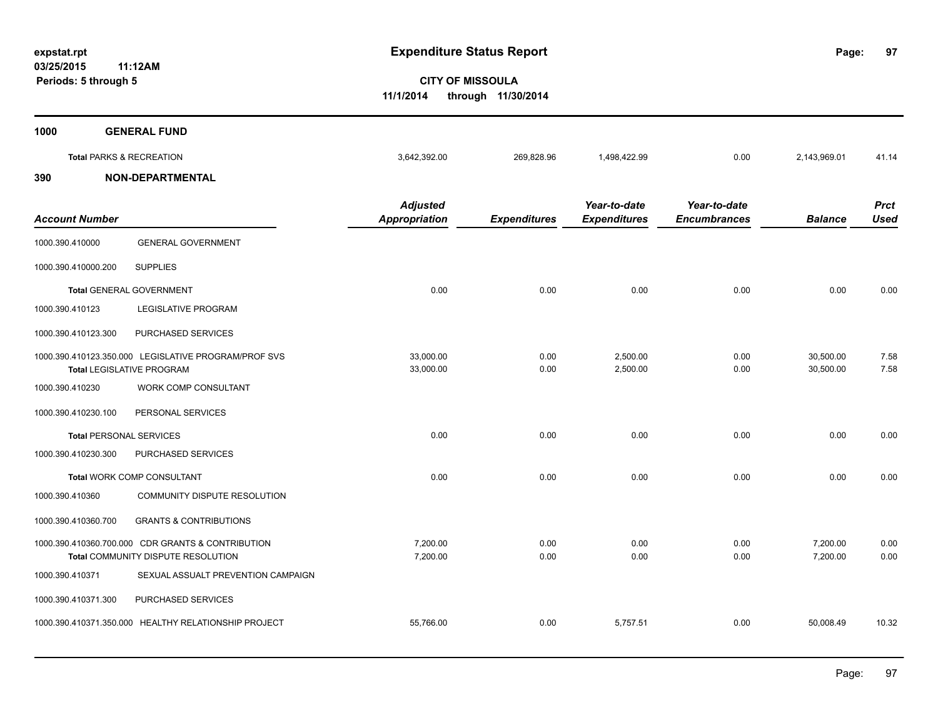**03/25/2015 11:12AM Periods: 5 through 5**

**97**

**CITY OF MISSOULA 11/1/2014 through 11/30/2014**

| 1000 | <b>GENERAL FUND</b>                 |              |            |              |      |              |       |
|------|-------------------------------------|--------------|------------|--------------|------|--------------|-------|
|      | <b>Total PARKS &amp; RECREATION</b> | 3,642,392.00 | 269,828.96 | 1,498,422.99 | 0.00 | 2,143,969.01 | 41.14 |
| 390  | <b>NON-DEPARTMENTAL</b>             |              |            |              |      |              |       |
|      |                                     |              |            |              |      |              |       |

| <b>Account Number</b>          |                                                                                          | <b>Adjusted</b><br><b>Appropriation</b> | <b>Expenditures</b> | Year-to-date<br><b>Expenditures</b> | Year-to-date<br><b>Encumbrances</b> | <b>Balance</b>         | <b>Prct</b><br><b>Used</b> |
|--------------------------------|------------------------------------------------------------------------------------------|-----------------------------------------|---------------------|-------------------------------------|-------------------------------------|------------------------|----------------------------|
| 1000.390.410000                | <b>GENERAL GOVERNMENT</b>                                                                |                                         |                     |                                     |                                     |                        |                            |
| 1000.390.410000.200            | <b>SUPPLIES</b>                                                                          |                                         |                     |                                     |                                     |                        |                            |
|                                | <b>Total GENERAL GOVERNMENT</b>                                                          | 0.00                                    | 0.00                | 0.00                                | 0.00                                | 0.00                   | 0.00                       |
| 1000.390.410123                | <b>LEGISLATIVE PROGRAM</b>                                                               |                                         |                     |                                     |                                     |                        |                            |
| 1000.390.410123.300            | PURCHASED SERVICES                                                                       |                                         |                     |                                     |                                     |                        |                            |
|                                | 1000.390.410123.350.000 LEGISLATIVE PROGRAM/PROF SVS<br><b>Total LEGISLATIVE PROGRAM</b> | 33,000.00<br>33.000.00                  | 0.00<br>0.00        | 2,500.00<br>2.500.00                | 0.00<br>0.00                        | 30,500.00<br>30.500.00 | 7.58<br>7.58               |
| 1000.390.410230                | WORK COMP CONSULTANT                                                                     |                                         |                     |                                     |                                     |                        |                            |
| 1000.390.410230.100            | PERSONAL SERVICES                                                                        |                                         |                     |                                     |                                     |                        |                            |
| <b>Total PERSONAL SERVICES</b> |                                                                                          | 0.00                                    | 0.00                | 0.00                                | 0.00                                | 0.00                   | 0.00                       |
| 1000.390.410230.300            | PURCHASED SERVICES                                                                       |                                         |                     |                                     |                                     |                        |                            |
|                                | Total WORK COMP CONSULTANT                                                               | 0.00                                    | 0.00                | 0.00                                | 0.00                                | 0.00                   | 0.00                       |
| 1000.390.410360                | COMMUNITY DISPUTE RESOLUTION                                                             |                                         |                     |                                     |                                     |                        |                            |
| 1000.390.410360.700            | <b>GRANTS &amp; CONTRIBUTIONS</b>                                                        |                                         |                     |                                     |                                     |                        |                            |
|                                | 1000.390.410360.700.000 CDR GRANTS & CONTRIBUTION<br>Total COMMUNITY DISPUTE RESOLUTION  | 7,200.00<br>7,200.00                    | 0.00<br>0.00        | 0.00<br>0.00                        | 0.00<br>0.00                        | 7,200.00<br>7,200.00   | 0.00<br>0.00               |
| 1000.390.410371                | SEXUAL ASSUALT PREVENTION CAMPAIGN                                                       |                                         |                     |                                     |                                     |                        |                            |
| 1000.390.410371.300            | PURCHASED SERVICES                                                                       |                                         |                     |                                     |                                     |                        |                            |
|                                | 1000.390.410371.350.000 HEALTHY RELATIONSHIP PROJECT                                     | 55,766.00                               | 0.00                | 5,757.51                            | 0.00                                | 50,008.49              | 10.32                      |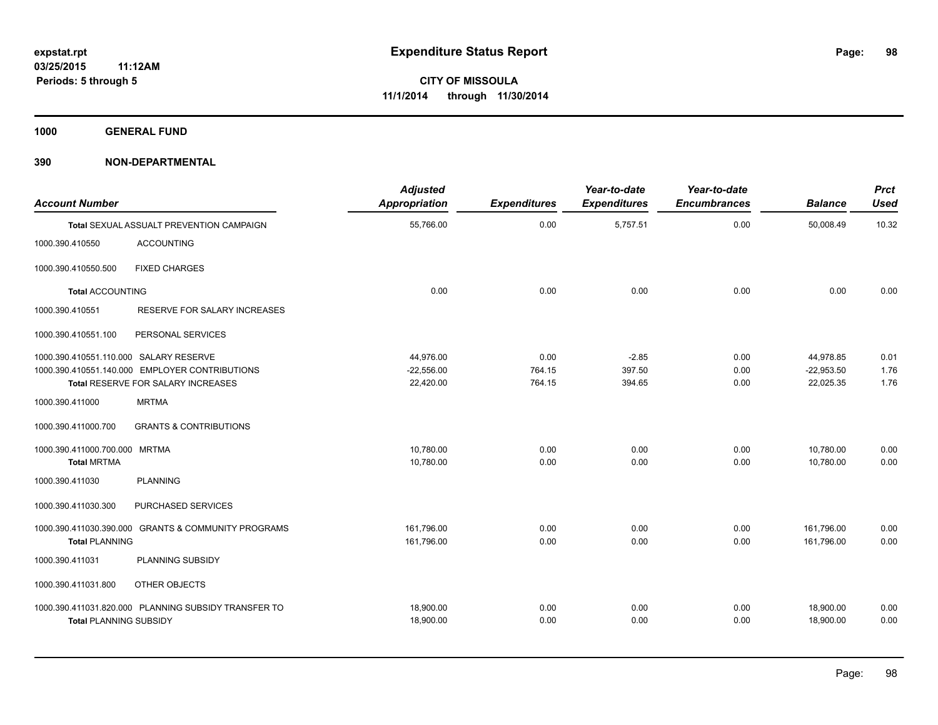**1000 GENERAL FUND**

| <b>Account Number</b>                  |                                                      | <b>Adjusted</b><br><b>Appropriation</b> | <b>Expenditures</b> | Year-to-date<br><b>Expenditures</b> | Year-to-date<br><b>Encumbrances</b> | <b>Balance</b> | <b>Prct</b><br><b>Used</b> |
|----------------------------------------|------------------------------------------------------|-----------------------------------------|---------------------|-------------------------------------|-------------------------------------|----------------|----------------------------|
|                                        | Total SEXUAL ASSUALT PREVENTION CAMPAIGN             | 55,766.00                               | 0.00                | 5,757.51                            | 0.00                                | 50,008.49      | 10.32                      |
| 1000.390.410550                        | <b>ACCOUNTING</b>                                    |                                         |                     |                                     |                                     |                |                            |
| 1000.390.410550.500                    | <b>FIXED CHARGES</b>                                 |                                         |                     |                                     |                                     |                |                            |
| <b>Total ACCOUNTING</b>                |                                                      | 0.00                                    | 0.00                | 0.00                                | 0.00                                | 0.00           | 0.00                       |
| 1000.390.410551                        | RESERVE FOR SALARY INCREASES                         |                                         |                     |                                     |                                     |                |                            |
| 1000.390.410551.100                    | PERSONAL SERVICES                                    |                                         |                     |                                     |                                     |                |                            |
| 1000.390.410551.110.000 SALARY RESERVE |                                                      | 44,976.00                               | 0.00                | $-2.85$                             | 0.00                                | 44,978.85      | 0.01                       |
|                                        | 1000.390.410551.140.000 EMPLOYER CONTRIBUTIONS       | $-22,556.00$                            | 764.15              | 397.50                              | 0.00                                | $-22,953.50$   | 1.76                       |
|                                        | Total RESERVE FOR SALARY INCREASES                   | 22,420.00                               | 764.15              | 394.65                              | 0.00                                | 22,025.35      | 1.76                       |
| 1000.390.411000                        | <b>MRTMA</b>                                         |                                         |                     |                                     |                                     |                |                            |
| 1000.390.411000.700                    | <b>GRANTS &amp; CONTRIBUTIONS</b>                    |                                         |                     |                                     |                                     |                |                            |
| 1000.390.411000.700.000                | <b>MRTMA</b>                                         | 10,780.00                               | 0.00                | 0.00                                | 0.00                                | 10,780.00      | 0.00                       |
| <b>Total MRTMA</b>                     |                                                      | 10,780.00                               | 0.00                | 0.00                                | 0.00                                | 10,780.00      | 0.00                       |
| 1000.390.411030                        | <b>PLANNING</b>                                      |                                         |                     |                                     |                                     |                |                            |
| 1000.390.411030.300                    | PURCHASED SERVICES                                   |                                         |                     |                                     |                                     |                |                            |
|                                        | 1000.390.411030.390.000 GRANTS & COMMUNITY PROGRAMS  | 161,796.00                              | 0.00                | 0.00                                | 0.00                                | 161,796.00     | 0.00                       |
| <b>Total PLANNING</b>                  |                                                      | 161,796.00                              | 0.00                | 0.00                                | 0.00                                | 161,796.00     | 0.00                       |
| 1000.390.411031                        | PLANNING SUBSIDY                                     |                                         |                     |                                     |                                     |                |                            |
| 1000.390.411031.800                    | OTHER OBJECTS                                        |                                         |                     |                                     |                                     |                |                            |
|                                        | 1000.390.411031.820.000 PLANNING SUBSIDY TRANSFER TO | 18,900.00                               | 0.00                | 0.00                                | 0.00                                | 18,900.00      | 0.00                       |
| <b>Total PLANNING SUBSIDY</b>          |                                                      | 18,900.00                               | 0.00                | 0.00                                | 0.00                                | 18,900.00      | 0.00                       |
|                                        |                                                      |                                         |                     |                                     |                                     |                |                            |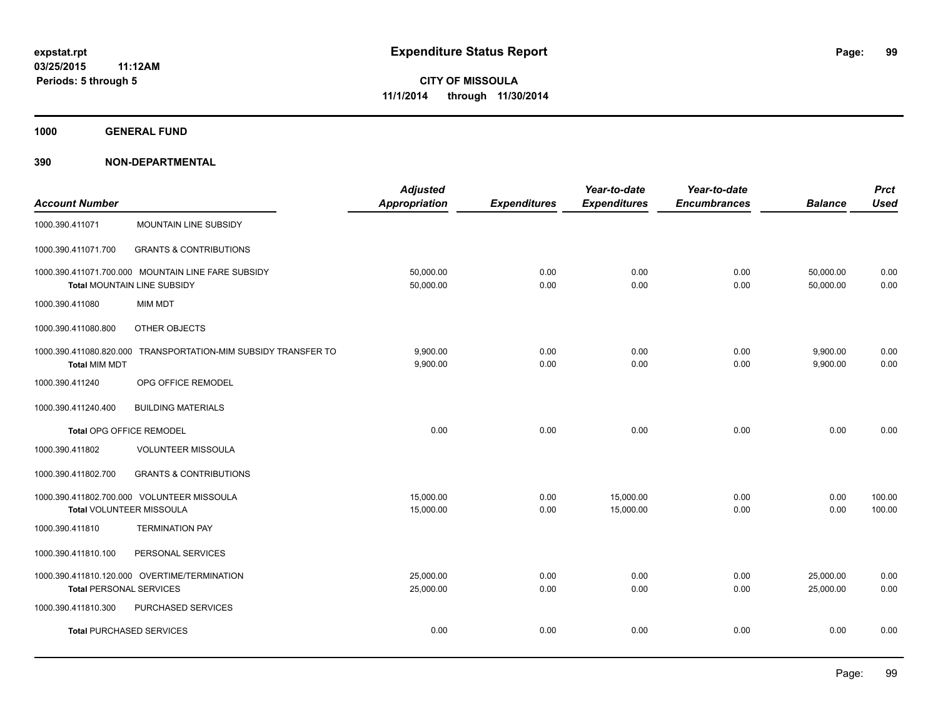**1000 GENERAL FUND**

| <b>Account Number</b>                                                             |                                                                | <b>Adjusted</b><br><b>Appropriation</b> | <b>Expenditures</b> | Year-to-date<br><b>Expenditures</b> | Year-to-date<br><b>Encumbrances</b> | <b>Balance</b>         | <b>Prct</b><br><b>Used</b> |
|-----------------------------------------------------------------------------------|----------------------------------------------------------------|-----------------------------------------|---------------------|-------------------------------------|-------------------------------------|------------------------|----------------------------|
| 1000.390.411071                                                                   | MOUNTAIN LINE SUBSIDY                                          |                                         |                     |                                     |                                     |                        |                            |
| 1000.390.411071.700                                                               | <b>GRANTS &amp; CONTRIBUTIONS</b>                              |                                         |                     |                                     |                                     |                        |                            |
| 1000.390.411071.700.000 MOUNTAIN LINE FARE SUBSIDY<br>Total MOUNTAIN LINE SUBSIDY |                                                                | 50,000.00<br>50,000.00                  | 0.00<br>0.00        | 0.00<br>0.00                        | 0.00<br>0.00                        | 50,000.00<br>50.000.00 | 0.00<br>0.00               |
| 1000.390.411080                                                                   | <b>MIM MDT</b>                                                 |                                         |                     |                                     |                                     |                        |                            |
| 1000.390.411080.800                                                               | OTHER OBJECTS                                                  |                                         |                     |                                     |                                     |                        |                            |
| <b>Total MIM MDT</b>                                                              | 1000.390.411080.820.000 TRANSPORTATION-MIM SUBSIDY TRANSFER TO | 9,900.00<br>9,900.00                    | 0.00<br>0.00        | 0.00<br>0.00                        | 0.00<br>0.00                        | 9,900.00<br>9,900.00   | 0.00<br>0.00               |
| 1000.390.411240                                                                   | OPG OFFICE REMODEL                                             |                                         |                     |                                     |                                     |                        |                            |
| 1000.390.411240.400                                                               | <b>BUILDING MATERIALS</b>                                      |                                         |                     |                                     |                                     |                        |                            |
| <b>Total OPG OFFICE REMODEL</b>                                                   |                                                                | 0.00                                    | 0.00                | 0.00                                | 0.00                                | 0.00                   | 0.00                       |
| 1000.390.411802                                                                   | <b>VOLUNTEER MISSOULA</b>                                      |                                         |                     |                                     |                                     |                        |                            |
| 1000.390.411802.700                                                               | <b>GRANTS &amp; CONTRIBUTIONS</b>                              |                                         |                     |                                     |                                     |                        |                            |
| Total VOLUNTEER MISSOULA                                                          | 1000.390.411802.700.000 VOLUNTEER MISSOULA                     | 15,000.00<br>15,000.00                  | 0.00<br>0.00        | 15,000.00<br>15,000.00              | 0.00<br>0.00                        | 0.00<br>0.00           | 100.00<br>100.00           |
| 1000.390.411810                                                                   | <b>TERMINATION PAY</b>                                         |                                         |                     |                                     |                                     |                        |                            |
| 1000.390.411810.100                                                               | PERSONAL SERVICES                                              |                                         |                     |                                     |                                     |                        |                            |
| <b>Total PERSONAL SERVICES</b>                                                    | 1000.390.411810.120.000 OVERTIME/TERMINATION                   | 25,000.00<br>25,000.00                  | 0.00<br>0.00        | 0.00<br>0.00                        | 0.00<br>0.00                        | 25,000.00<br>25,000.00 | 0.00<br>0.00               |
| 1000.390.411810.300                                                               | PURCHASED SERVICES                                             |                                         |                     |                                     |                                     |                        |                            |
|                                                                                   | <b>Total PURCHASED SERVICES</b>                                | 0.00                                    | 0.00                | 0.00                                | 0.00                                | 0.00                   | 0.00                       |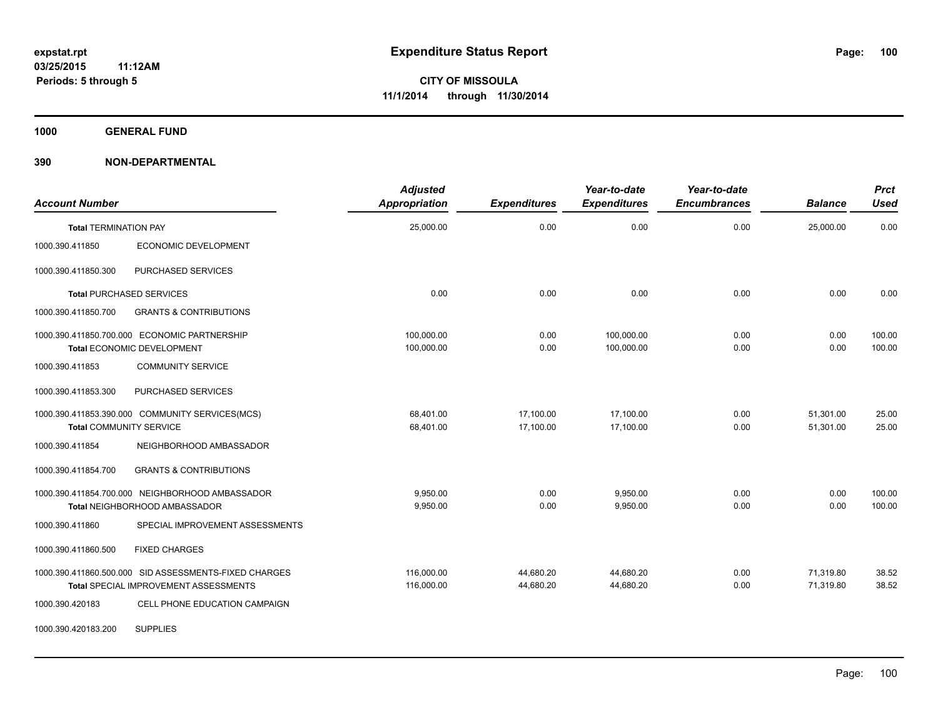**1000 GENERAL FUND**

| <b>Account Number</b>                                                                          | <b>Adjusted</b><br><b>Appropriation</b> | <b>Expenditures</b>    | Year-to-date<br><b>Expenditures</b> | Year-to-date<br><b>Encumbrances</b> | <b>Balance</b>         | <b>Prct</b><br><b>Used</b> |
|------------------------------------------------------------------------------------------------|-----------------------------------------|------------------------|-------------------------------------|-------------------------------------|------------------------|----------------------------|
| <b>Total TERMINATION PAY</b>                                                                   | 25,000.00                               | 0.00                   | 0.00                                | 0.00                                | 25.000.00              | 0.00                       |
| 1000.390.411850<br>ECONOMIC DEVELOPMENT                                                        |                                         |                        |                                     |                                     |                        |                            |
| PURCHASED SERVICES<br>1000.390.411850.300                                                      |                                         |                        |                                     |                                     |                        |                            |
| <b>Total PURCHASED SERVICES</b>                                                                | 0.00                                    | 0.00                   | 0.00                                | 0.00                                | 0.00                   | 0.00                       |
| 1000.390.411850.700<br><b>GRANTS &amp; CONTRIBUTIONS</b>                                       |                                         |                        |                                     |                                     |                        |                            |
| 1000.390.411850.700.000 ECONOMIC PARTNERSHIP<br>Total ECONOMIC DEVELOPMENT                     | 100,000.00<br>100.000.00                | 0.00<br>0.00           | 100,000.00<br>100.000.00            | 0.00<br>0.00                        | 0.00<br>0.00           | 100.00<br>100.00           |
| 1000.390.411853<br><b>COMMUNITY SERVICE</b>                                                    |                                         |                        |                                     |                                     |                        |                            |
| 1000.390.411853.300<br>PURCHASED SERVICES                                                      |                                         |                        |                                     |                                     |                        |                            |
| 1000.390.411853.390.000 COMMUNITY SERVICES(MCS)<br><b>Total COMMUNITY SERVICE</b>              | 68,401.00<br>68,401.00                  | 17,100.00<br>17,100.00 | 17,100.00<br>17,100.00              | 0.00<br>0.00                        | 51,301.00<br>51,301.00 | 25.00<br>25.00             |
| 1000.390.411854<br>NEIGHBORHOOD AMBASSADOR                                                     |                                         |                        |                                     |                                     |                        |                            |
| <b>GRANTS &amp; CONTRIBUTIONS</b><br>1000.390.411854.700                                       |                                         |                        |                                     |                                     |                        |                            |
| 1000.390.411854.700.000 NEIGHBORHOOD AMBASSADOR<br><b>Total NEIGHBORHOOD AMBASSADOR</b>        | 9,950.00<br>9,950.00                    | 0.00<br>0.00           | 9,950.00<br>9,950.00                | 0.00<br>0.00                        | 0.00<br>0.00           | 100.00<br>100.00           |
| 1000.390.411860<br>SPECIAL IMPROVEMENT ASSESSMENTS                                             |                                         |                        |                                     |                                     |                        |                            |
| 1000.390.411860.500<br><b>FIXED CHARGES</b>                                                    |                                         |                        |                                     |                                     |                        |                            |
| 1000.390.411860.500.000 SID ASSESSMENTS-FIXED CHARGES<br>Total SPECIAL IMPROVEMENT ASSESSMENTS | 116,000.00<br>116,000.00                | 44,680.20<br>44,680.20 | 44,680.20<br>44,680.20              | 0.00<br>0.00                        | 71,319.80<br>71,319.80 | 38.52<br>38.52             |
| 1000.390.420183<br>CELL PHONE EDUCATION CAMPAIGN                                               |                                         |                        |                                     |                                     |                        |                            |
| <b>SUPPLIES</b><br>1000.390.420183.200                                                         |                                         |                        |                                     |                                     |                        |                            |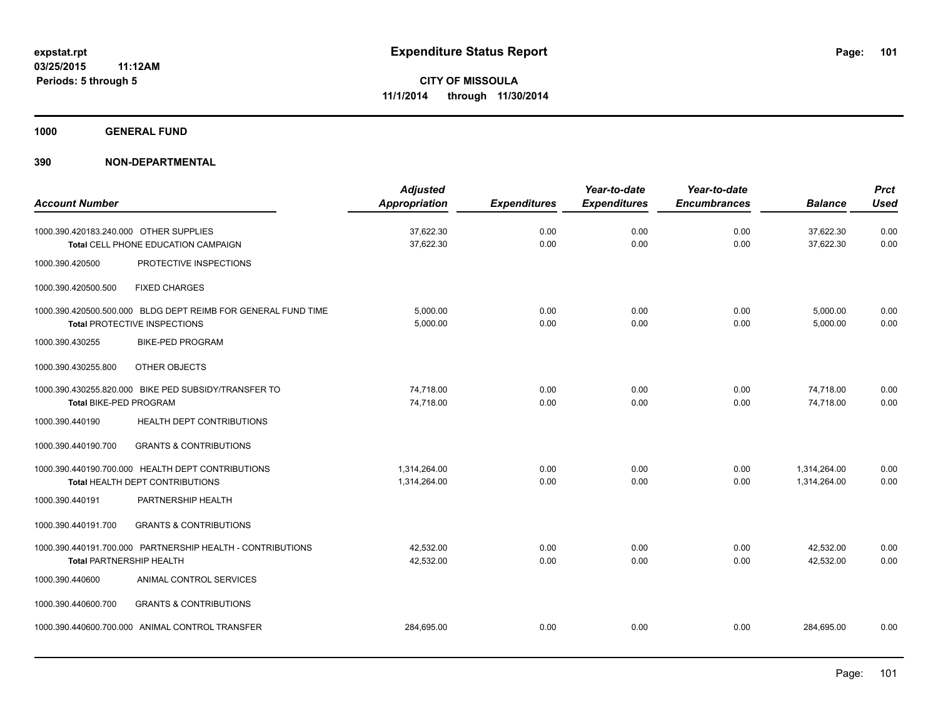**1000 GENERAL FUND**

| <b>Account Number</b>                                                         |                                                                                               | <b>Adjusted</b><br><b>Appropriation</b> | <b>Expenditures</b> | Year-to-date<br><b>Expenditures</b> | Year-to-date<br><b>Encumbrances</b> | <b>Balance</b>               | <b>Prct</b><br><b>Used</b> |
|-------------------------------------------------------------------------------|-----------------------------------------------------------------------------------------------|-----------------------------------------|---------------------|-------------------------------------|-------------------------------------|------------------------------|----------------------------|
| 1000.390.420183.240.000 OTHER SUPPLIES<br>Total CELL PHONE EDUCATION CAMPAIGN |                                                                                               | 37,622.30<br>37,622.30                  | 0.00<br>0.00        | 0.00<br>0.00                        | 0.00<br>0.00                        | 37,622.30<br>37,622.30       | 0.00<br>0.00               |
| 1000.390.420500                                                               | PROTECTIVE INSPECTIONS                                                                        |                                         |                     |                                     |                                     |                              |                            |
| 1000.390.420500.500                                                           | <b>FIXED CHARGES</b>                                                                          |                                         |                     |                                     |                                     |                              |                            |
|                                                                               | 1000.390.420500.500.000 BLDG DEPT REIMB FOR GENERAL FUND TIME<br>Total PROTECTIVE INSPECTIONS | 5,000.00<br>5,000.00                    | 0.00<br>0.00        | 0.00<br>0.00                        | 0.00<br>0.00                        | 5,000.00<br>5,000.00         | 0.00<br>0.00               |
| 1000.390.430255                                                               | <b>BIKE-PED PROGRAM</b>                                                                       |                                         |                     |                                     |                                     |                              |                            |
| 1000.390.430255.800                                                           | OTHER OBJECTS                                                                                 |                                         |                     |                                     |                                     |                              |                            |
| <b>Total BIKE-PED PROGRAM</b>                                                 | 1000.390.430255.820.000 BIKE PED SUBSIDY/TRANSFER TO                                          | 74,718.00<br>74,718.00                  | 0.00<br>0.00        | 0.00<br>0.00                        | 0.00<br>0.00                        | 74,718.00<br>74.718.00       | 0.00<br>0.00               |
| 1000.390.440190                                                               | HEALTH DEPT CONTRIBUTIONS                                                                     |                                         |                     |                                     |                                     |                              |                            |
| 1000.390.440190.700                                                           | <b>GRANTS &amp; CONTRIBUTIONS</b>                                                             |                                         |                     |                                     |                                     |                              |                            |
|                                                                               | 1000.390.440190.700.000 HEALTH DEPT CONTRIBUTIONS<br>Total HEALTH DEPT CONTRIBUTIONS          | 1,314,264.00<br>1,314,264.00            | 0.00<br>0.00        | 0.00<br>0.00                        | 0.00<br>0.00                        | 1,314,264.00<br>1,314,264.00 | 0.00<br>0.00               |
| 1000.390.440191                                                               | PARTNERSHIP HEALTH                                                                            |                                         |                     |                                     |                                     |                              |                            |
| 1000.390.440191.700                                                           | <b>GRANTS &amp; CONTRIBUTIONS</b>                                                             |                                         |                     |                                     |                                     |                              |                            |
| <b>Total PARTNERSHIP HEALTH</b>                                               | 1000.390.440191.700.000 PARTNERSHIP HEALTH - CONTRIBUTIONS                                    | 42.532.00<br>42,532.00                  | 0.00<br>0.00        | 0.00<br>0.00                        | 0.00<br>0.00                        | 42,532.00<br>42.532.00       | 0.00<br>0.00               |
| 1000.390.440600                                                               | ANIMAL CONTROL SERVICES                                                                       |                                         |                     |                                     |                                     |                              |                            |
| 1000.390.440600.700                                                           | <b>GRANTS &amp; CONTRIBUTIONS</b>                                                             |                                         |                     |                                     |                                     |                              |                            |
|                                                                               | 1000.390.440600.700.000 ANIMAL CONTROL TRANSFER                                               | 284,695.00                              | 0.00                | 0.00                                | 0.00                                | 284,695.00                   | 0.00                       |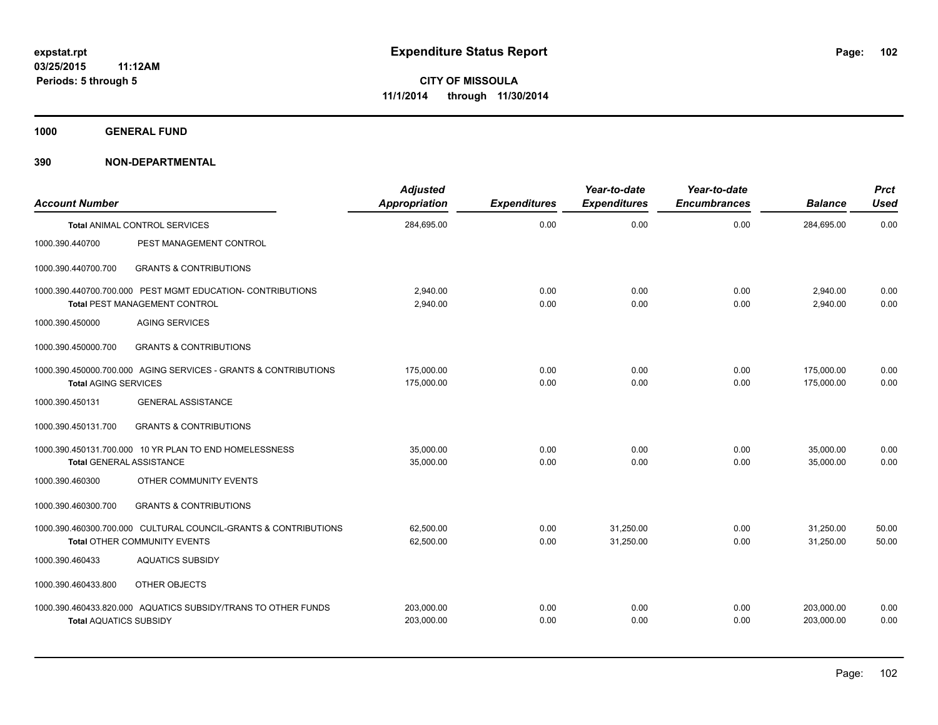**1000 GENERAL FUND**

| <b>Account Number</b>                                                                       |                                                                                                        | <b>Adjusted</b><br><b>Appropriation</b> | <b>Expenditures</b> | Year-to-date<br><b>Expenditures</b> | Year-to-date<br><b>Encumbrances</b> | <b>Balance</b>           | Prct<br><b>Used</b> |
|---------------------------------------------------------------------------------------------|--------------------------------------------------------------------------------------------------------|-----------------------------------------|---------------------|-------------------------------------|-------------------------------------|--------------------------|---------------------|
|                                                                                             | <b>Total ANIMAL CONTROL SERVICES</b>                                                                   | 284,695.00                              | 0.00                | 0.00                                | 0.00                                | 284,695.00               | 0.00                |
| 1000.390.440700                                                                             | PEST MANAGEMENT CONTROL                                                                                |                                         |                     |                                     |                                     |                          |                     |
| 1000.390.440700.700                                                                         | <b>GRANTS &amp; CONTRIBUTIONS</b>                                                                      |                                         |                     |                                     |                                     |                          |                     |
| 1000.390.440700.700.000 PEST MGMT EDUCATION- CONTRIBUTIONS<br>Total PEST MANAGEMENT CONTROL |                                                                                                        | 2,940.00<br>2,940.00                    | 0.00<br>0.00        | 0.00<br>0.00                        | 0.00<br>0.00                        | 2,940.00<br>2,940.00     | 0.00<br>0.00        |
| 1000.390.450000                                                                             | <b>AGING SERVICES</b>                                                                                  |                                         |                     |                                     |                                     |                          |                     |
| 1000.390.450000.700                                                                         | <b>GRANTS &amp; CONTRIBUTIONS</b>                                                                      |                                         |                     |                                     |                                     |                          |                     |
| <b>Total AGING SERVICES</b>                                                                 | 1000.390.450000.700.000 AGING SERVICES - GRANTS & CONTRIBUTIONS                                        | 175,000.00<br>175,000.00                | 0.00<br>0.00        | 0.00<br>0.00                        | 0.00<br>0.00                        | 175,000.00<br>175,000.00 | 0.00<br>0.00        |
| 1000.390.450131                                                                             | <b>GENERAL ASSISTANCE</b>                                                                              |                                         |                     |                                     |                                     |                          |                     |
| 1000.390.450131.700                                                                         | <b>GRANTS &amp; CONTRIBUTIONS</b>                                                                      |                                         |                     |                                     |                                     |                          |                     |
| <b>Total GENERAL ASSISTANCE</b>                                                             | 1000.390.450131.700.000 10 YR PLAN TO END HOMELESSNESS                                                 | 35,000.00<br>35,000.00                  | 0.00<br>0.00        | 0.00<br>0.00                        | 0.00<br>0.00                        | 35.000.00<br>35,000.00   | 0.00<br>0.00        |
| 1000.390.460300                                                                             | OTHER COMMUNITY EVENTS                                                                                 |                                         |                     |                                     |                                     |                          |                     |
| 1000.390.460300.700                                                                         | <b>GRANTS &amp; CONTRIBUTIONS</b>                                                                      |                                         |                     |                                     |                                     |                          |                     |
|                                                                                             | 1000.390.460300.700.000 CULTURAL COUNCIL-GRANTS & CONTRIBUTIONS<br><b>Total OTHER COMMUNITY EVENTS</b> | 62,500.00<br>62,500.00                  | 0.00<br>0.00        | 31,250.00<br>31,250.00              | 0.00<br>0.00                        | 31,250.00<br>31,250.00   | 50.00<br>50.00      |
| 1000.390.460433                                                                             | <b>AQUATICS SUBSIDY</b>                                                                                |                                         |                     |                                     |                                     |                          |                     |
| 1000.390.460433.800                                                                         | OTHER OBJECTS                                                                                          |                                         |                     |                                     |                                     |                          |                     |
| <b>Total AQUATICS SUBSIDY</b>                                                               | 1000.390.460433.820.000 AQUATICS SUBSIDY/TRANS TO OTHER FUNDS                                          | 203,000.00<br>203,000.00                | 0.00<br>0.00        | 0.00<br>0.00                        | 0.00<br>0.00                        | 203,000.00<br>203,000.00 | 0.00<br>0.00        |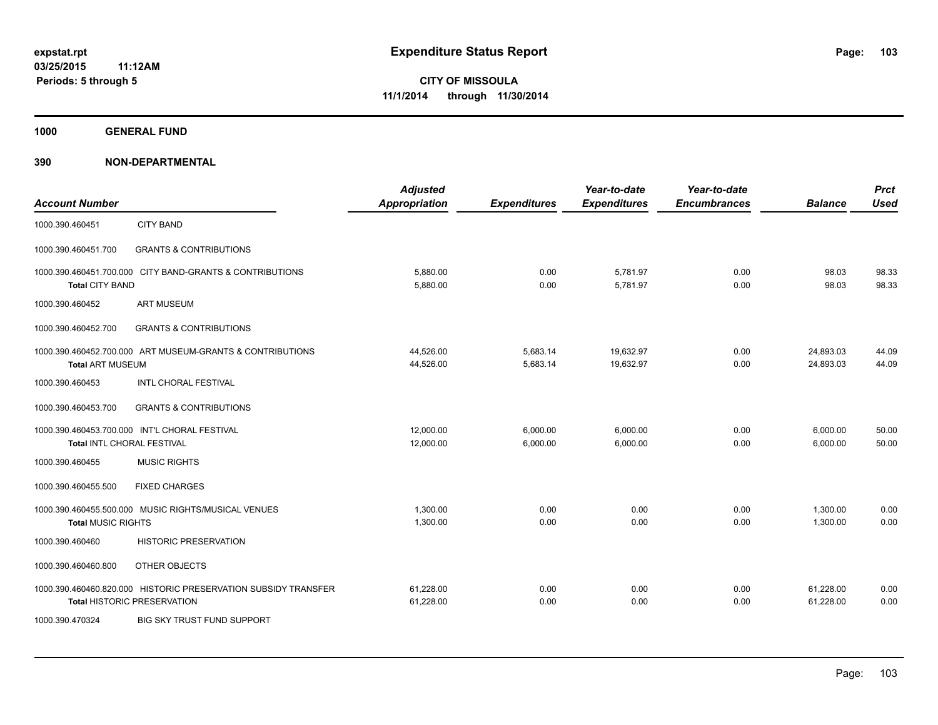**1000 GENERAL FUND**

| <b>Account Number</b>      |                                                                                                      | <b>Adjusted</b><br><b>Appropriation</b> | <b>Expenditures</b>  | Year-to-date<br><b>Expenditures</b> | Year-to-date<br><b>Encumbrances</b> | <b>Balance</b>         | <b>Prct</b><br><b>Used</b> |
|----------------------------|------------------------------------------------------------------------------------------------------|-----------------------------------------|----------------------|-------------------------------------|-------------------------------------|------------------------|----------------------------|
| 1000.390.460451            | <b>CITY BAND</b>                                                                                     |                                         |                      |                                     |                                     |                        |                            |
| 1000.390.460451.700        | <b>GRANTS &amp; CONTRIBUTIONS</b>                                                                    |                                         |                      |                                     |                                     |                        |                            |
| <b>Total CITY BAND</b>     | 1000.390.460451.700.000 CITY BAND-GRANTS & CONTRIBUTIONS                                             | 5,880.00<br>5,880.00                    | 0.00<br>0.00         | 5,781.97<br>5,781.97                | 0.00<br>0.00                        | 98.03<br>98.03         | 98.33<br>98.33             |
| 1000.390.460452            | <b>ART MUSEUM</b>                                                                                    |                                         |                      |                                     |                                     |                        |                            |
| 1000.390.460452.700        | <b>GRANTS &amp; CONTRIBUTIONS</b>                                                                    |                                         |                      |                                     |                                     |                        |                            |
| <b>Total ART MUSEUM</b>    | 1000.390.460452.700.000 ART MUSEUM-GRANTS & CONTRIBUTIONS                                            | 44,526.00<br>44,526.00                  | 5,683.14<br>5,683.14 | 19,632.97<br>19,632.97              | 0.00<br>0.00                        | 24,893.03<br>24,893.03 | 44.09<br>44.09             |
| 1000.390.460453            | <b>INTL CHORAL FESTIVAL</b>                                                                          |                                         |                      |                                     |                                     |                        |                            |
| 1000.390.460453.700        | <b>GRANTS &amp; CONTRIBUTIONS</b>                                                                    |                                         |                      |                                     |                                     |                        |                            |
| Total INTL CHORAL FESTIVAL | 1000.390.460453.700.000 INT'L CHORAL FESTIVAL                                                        | 12,000.00<br>12,000.00                  | 6,000.00<br>6,000.00 | 6,000.00<br>6,000.00                | 0.00<br>0.00                        | 6,000.00<br>6,000.00   | 50.00<br>50.00             |
| 1000.390.460455            | <b>MUSIC RIGHTS</b>                                                                                  |                                         |                      |                                     |                                     |                        |                            |
| 1000.390.460455.500        | <b>FIXED CHARGES</b>                                                                                 |                                         |                      |                                     |                                     |                        |                            |
| <b>Total MUSIC RIGHTS</b>  | 1000.390.460455.500.000 MUSIC RIGHTS/MUSICAL VENUES                                                  | 1,300.00<br>1,300.00                    | 0.00<br>0.00         | 0.00<br>0.00                        | 0.00<br>0.00                        | 1,300.00<br>1,300.00   | 0.00<br>0.00               |
| 1000.390.460460            | <b>HISTORIC PRESERVATION</b>                                                                         |                                         |                      |                                     |                                     |                        |                            |
| 1000.390.460460.800        | OTHER OBJECTS                                                                                        |                                         |                      |                                     |                                     |                        |                            |
|                            | 1000.390.460460.820.000 HISTORIC PRESERVATION SUBSIDY TRANSFER<br><b>Total HISTORIC PRESERVATION</b> | 61,228.00<br>61,228.00                  | 0.00<br>0.00         | 0.00<br>0.00                        | 0.00<br>0.00                        | 61,228.00<br>61,228.00 | 0.00<br>0.00               |
| 1000.390.470324            | BIG SKY TRUST FUND SUPPORT                                                                           |                                         |                      |                                     |                                     |                        |                            |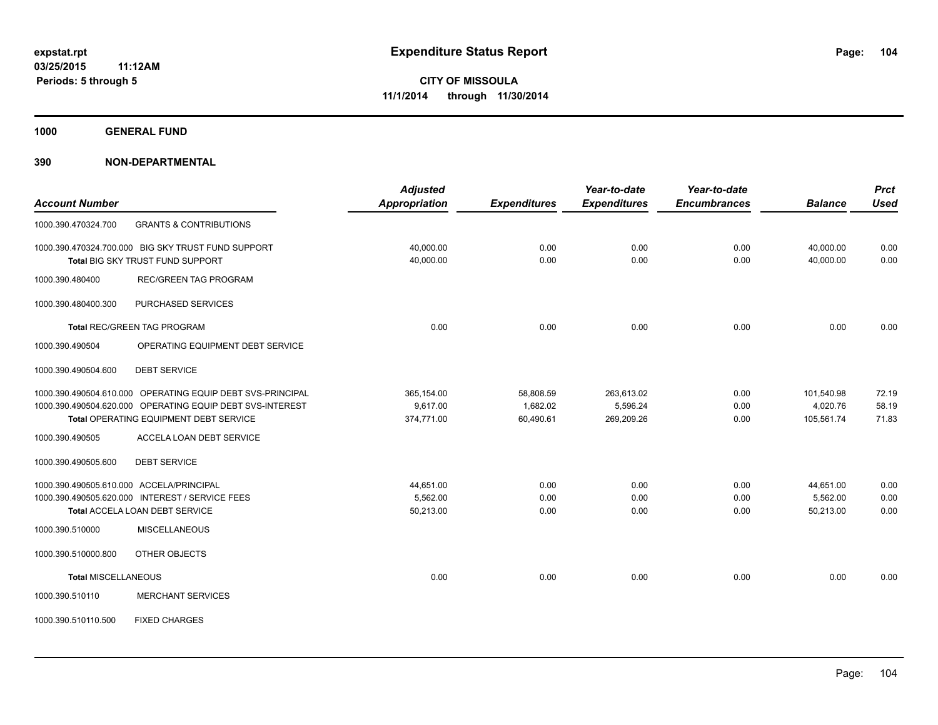**1000 GENERAL FUND**

|                            |                                                            | <b>Adjusted</b>      |                     | Year-to-date        | Year-to-date        |                | <b>Prct</b> |
|----------------------------|------------------------------------------------------------|----------------------|---------------------|---------------------|---------------------|----------------|-------------|
| <b>Account Number</b>      |                                                            | <b>Appropriation</b> | <b>Expenditures</b> | <b>Expenditures</b> | <b>Encumbrances</b> | <b>Balance</b> | <b>Used</b> |
| 1000.390.470324.700        | <b>GRANTS &amp; CONTRIBUTIONS</b>                          |                      |                     |                     |                     |                |             |
|                            | 1000.390.470324.700.000 BIG SKY TRUST FUND SUPPORT         | 40,000.00            | 0.00                | 0.00                | 0.00                | 40,000.00      | 0.00        |
|                            | Total BIG SKY TRUST FUND SUPPORT                           | 40,000.00            | 0.00                | 0.00                | 0.00                | 40,000.00      | 0.00        |
| 1000.390.480400            | <b>REC/GREEN TAG PROGRAM</b>                               |                      |                     |                     |                     |                |             |
| 1000.390.480400.300        | PURCHASED SERVICES                                         |                      |                     |                     |                     |                |             |
|                            | <b>Total REC/GREEN TAG PROGRAM</b>                         | 0.00                 | 0.00                | 0.00                | 0.00                | 0.00           | 0.00        |
| 1000.390.490504            | OPERATING EQUIPMENT DEBT SERVICE                           |                      |                     |                     |                     |                |             |
| 1000.390.490504.600        | <b>DEBT SERVICE</b>                                        |                      |                     |                     |                     |                |             |
|                            | 1000.390.490504.610.000 OPERATING EQUIP DEBT SVS-PRINCIPAL | 365,154.00           | 58,808.59           | 263,613.02          | 0.00                | 101,540.98     | 72.19       |
|                            | 1000.390.490504.620.000 OPERATING EQUIP DEBT SVS-INTEREST  | 9.617.00             | 1,682.02            | 5,596.24            | 0.00                | 4,020.76       | 58.19       |
|                            | Total OPERATING EQUIPMENT DEBT SERVICE                     | 374,771.00           | 60,490.61           | 269,209.26          | 0.00                | 105,561.74     | 71.83       |
| 1000.390.490505            | ACCELA LOAN DEBT SERVICE                                   |                      |                     |                     |                     |                |             |
| 1000.390.490505.600        | <b>DEBT SERVICE</b>                                        |                      |                     |                     |                     |                |             |
|                            | 1000.390.490505.610.000 ACCELA/PRINCIPAL                   | 44,651.00            | 0.00                | 0.00                | 0.00                | 44,651.00      | 0.00        |
|                            | 1000.390.490505.620.000 INTEREST / SERVICE FEES            | 5,562.00             | 0.00                | 0.00                | 0.00                | 5,562.00       | 0.00        |
|                            | <b>Total ACCELA LOAN DEBT SERVICE</b>                      | 50,213.00            | 0.00                | 0.00                | 0.00                | 50,213.00      | 0.00        |
| 1000.390.510000            | <b>MISCELLANEOUS</b>                                       |                      |                     |                     |                     |                |             |
| 1000.390.510000.800        | OTHER OBJECTS                                              |                      |                     |                     |                     |                |             |
| <b>Total MISCELLANEOUS</b> |                                                            | 0.00                 | 0.00                | 0.00                | 0.00                | 0.00           | 0.00        |
| 1000.390.510110            | <b>MERCHANT SERVICES</b>                                   |                      |                     |                     |                     |                |             |
| 1000.390.510110.500        | <b>FIXED CHARGES</b>                                       |                      |                     |                     |                     |                |             |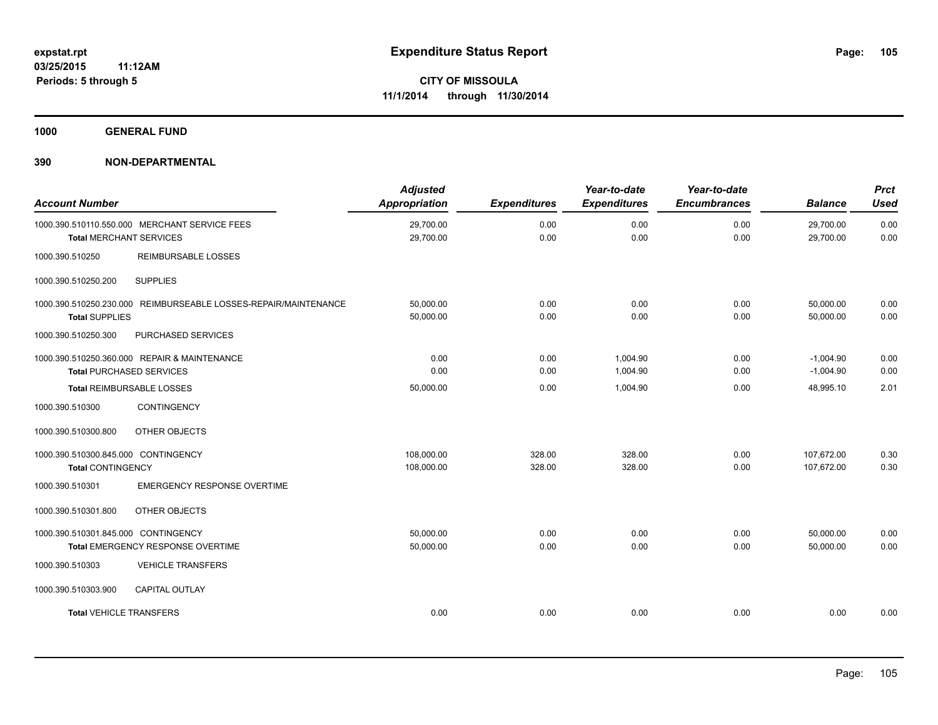**1000 GENERAL FUND**

| <b>Account Number</b>                                                                    | <b>Adjusted</b><br><b>Appropriation</b> | <b>Expenditures</b> | Year-to-date<br><b>Expenditures</b> | Year-to-date<br><b>Encumbrances</b> | <b>Balance</b>             | <b>Prct</b><br><b>Used</b> |
|------------------------------------------------------------------------------------------|-----------------------------------------|---------------------|-------------------------------------|-------------------------------------|----------------------------|----------------------------|
| 1000.390.510110.550.000 MERCHANT SERVICE FEES<br><b>Total MERCHANT SERVICES</b>          | 29,700.00<br>29,700.00                  | 0.00<br>0.00        | 0.00<br>0.00                        | 0.00<br>0.00                        | 29,700.00<br>29,700.00     | 0.00<br>0.00               |
| <b>REIMBURSABLE LOSSES</b><br>1000.390.510250                                            |                                         |                     |                                     |                                     |                            |                            |
| <b>SUPPLIES</b><br>1000.390.510250.200                                                   |                                         |                     |                                     |                                     |                            |                            |
| 1000.390.510250.230.000 REIMBURSEABLE LOSSES-REPAIR/MAINTENANCE<br><b>Total SUPPLIES</b> | 50,000.00<br>50,000.00                  | 0.00<br>0.00        | 0.00<br>0.00                        | 0.00<br>0.00                        | 50,000.00<br>50,000.00     | 0.00<br>0.00               |
| 1000.390.510250.300<br>PURCHASED SERVICES                                                |                                         |                     |                                     |                                     |                            |                            |
| 1000.390.510250.360.000 REPAIR & MAINTENANCE<br><b>Total PURCHASED SERVICES</b>          | 0.00<br>0.00                            | 0.00<br>0.00        | 1.004.90<br>1,004.90                | 0.00<br>0.00                        | $-1,004.90$<br>$-1,004.90$ | 0.00<br>0.00               |
| Total REIMBURSABLE LOSSES                                                                | 50,000.00                               | 0.00                | 1,004.90                            | 0.00                                | 48,995.10                  | 2.01                       |
| CONTINGENCY<br>1000.390.510300                                                           |                                         |                     |                                     |                                     |                            |                            |
| 1000.390.510300.800<br>OTHER OBJECTS                                                     |                                         |                     |                                     |                                     |                            |                            |
| 1000.390.510300.845.000 CONTINGENCY<br><b>Total CONTINGENCY</b>                          | 108,000.00<br>108,000.00                | 328.00<br>328.00    | 328.00<br>328.00                    | 0.00<br>0.00                        | 107,672.00<br>107,672.00   | 0.30<br>0.30               |
| 1000.390.510301<br><b>EMERGENCY RESPONSE OVERTIME</b>                                    |                                         |                     |                                     |                                     |                            |                            |
| OTHER OBJECTS<br>1000.390.510301.800                                                     |                                         |                     |                                     |                                     |                            |                            |
| 1000.390.510301.845.000 CONTINGENCY<br>Total EMERGENCY RESPONSE OVERTIME                 | 50,000.00<br>50,000.00                  | 0.00<br>0.00        | 0.00<br>0.00                        | 0.00<br>0.00                        | 50,000.00<br>50,000.00     | 0.00<br>0.00               |
| <b>VEHICLE TRANSFERS</b><br>1000.390.510303                                              |                                         |                     |                                     |                                     |                            |                            |
| <b>CAPITAL OUTLAY</b><br>1000.390.510303.900                                             |                                         |                     |                                     |                                     |                            |                            |
| <b>Total VEHICLE TRANSFERS</b>                                                           | 0.00                                    | 0.00                | 0.00                                | 0.00                                | 0.00                       | 0.00                       |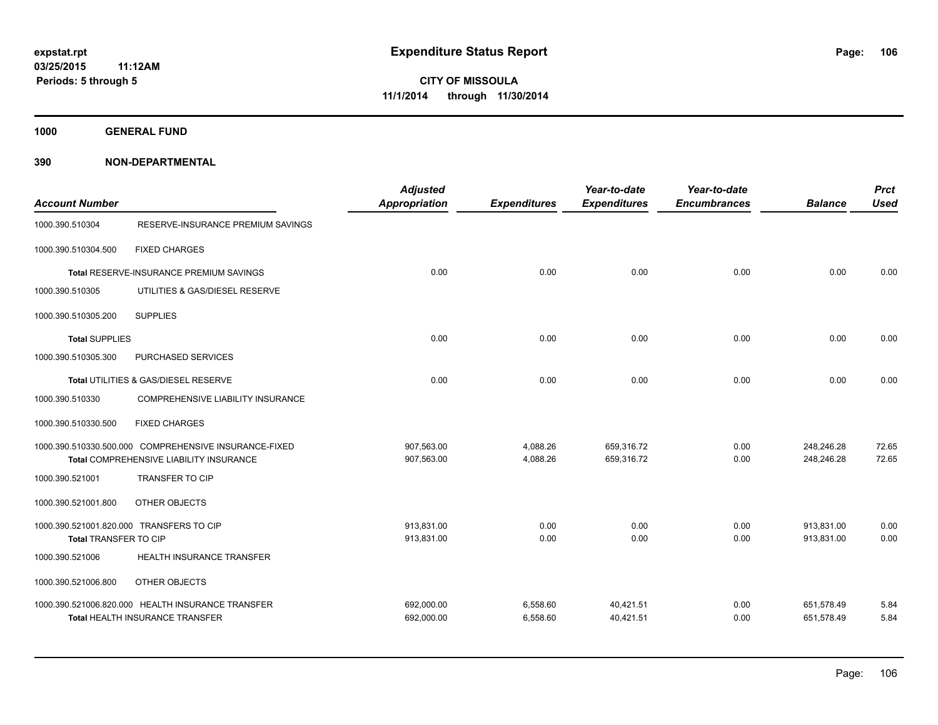**1000 GENERAL FUND**

| <b>Account Number</b>                                             |                                                                                                  | <b>Adjusted</b><br>Appropriation | <b>Expenditures</b>  | Year-to-date<br><b>Expenditures</b> | Year-to-date<br><b>Encumbrances</b> | <b>Balance</b>           | <b>Prct</b><br><b>Used</b> |
|-------------------------------------------------------------------|--------------------------------------------------------------------------------------------------|----------------------------------|----------------------|-------------------------------------|-------------------------------------|--------------------------|----------------------------|
| 1000.390.510304                                                   | RESERVE-INSURANCE PREMIUM SAVINGS                                                                |                                  |                      |                                     |                                     |                          |                            |
| 1000.390.510304.500                                               | <b>FIXED CHARGES</b>                                                                             |                                  |                      |                                     |                                     |                          |                            |
|                                                                   | Total RESERVE-INSURANCE PREMIUM SAVINGS                                                          | 0.00                             | 0.00                 | 0.00                                | 0.00                                | 0.00                     | 0.00                       |
| 1000.390.510305                                                   | UTILITIES & GAS/DIESEL RESERVE                                                                   |                                  |                      |                                     |                                     |                          |                            |
| 1000.390.510305.200                                               | <b>SUPPLIES</b>                                                                                  |                                  |                      |                                     |                                     |                          |                            |
| <b>Total SUPPLIES</b>                                             |                                                                                                  | 0.00                             | 0.00                 | 0.00                                | 0.00                                | 0.00                     | 0.00                       |
| 1000.390.510305.300                                               | PURCHASED SERVICES                                                                               |                                  |                      |                                     |                                     |                          |                            |
|                                                                   | Total UTILITIES & GAS/DIESEL RESERVE                                                             | 0.00                             | 0.00                 | 0.00                                | 0.00                                | 0.00                     | 0.00                       |
| 1000.390.510330                                                   | COMPREHENSIVE LIABILITY INSURANCE                                                                |                                  |                      |                                     |                                     |                          |                            |
| 1000.390.510330.500                                               | <b>FIXED CHARGES</b>                                                                             |                                  |                      |                                     |                                     |                          |                            |
|                                                                   | 1000.390.510330.500.000 COMPREHENSIVE INSURANCE-FIXED<br>Total COMPREHENSIVE LIABILITY INSURANCE | 907,563.00<br>907,563.00         | 4,088.26<br>4,088.26 | 659.316.72<br>659,316.72            | 0.00<br>0.00                        | 248.246.28<br>248,246.28 | 72.65<br>72.65             |
| 1000.390.521001                                                   | <b>TRANSFER TO CIP</b>                                                                           |                                  |                      |                                     |                                     |                          |                            |
| 1000.390.521001.800                                               | OTHER OBJECTS                                                                                    |                                  |                      |                                     |                                     |                          |                            |
| 1000.390.521001.820.000 TRANSFERS TO CIP<br>Total TRANSFER TO CIP |                                                                                                  | 913.831.00<br>913,831.00         | 0.00<br>0.00         | 0.00<br>0.00                        | 0.00<br>0.00                        | 913.831.00<br>913,831.00 | 0.00<br>0.00               |
| 1000.390.521006                                                   | HEALTH INSURANCE TRANSFER                                                                        |                                  |                      |                                     |                                     |                          |                            |
| 1000.390.521006.800                                               | OTHER OBJECTS                                                                                    |                                  |                      |                                     |                                     |                          |                            |
|                                                                   | 1000.390.521006.820.000 HEALTH INSURANCE TRANSFER<br>Total HEALTH INSURANCE TRANSFER             | 692,000.00<br>692,000.00         | 6,558.60<br>6,558.60 | 40,421.51<br>40,421.51              | 0.00<br>0.00                        | 651,578.49<br>651,578.49 | 5.84<br>5.84               |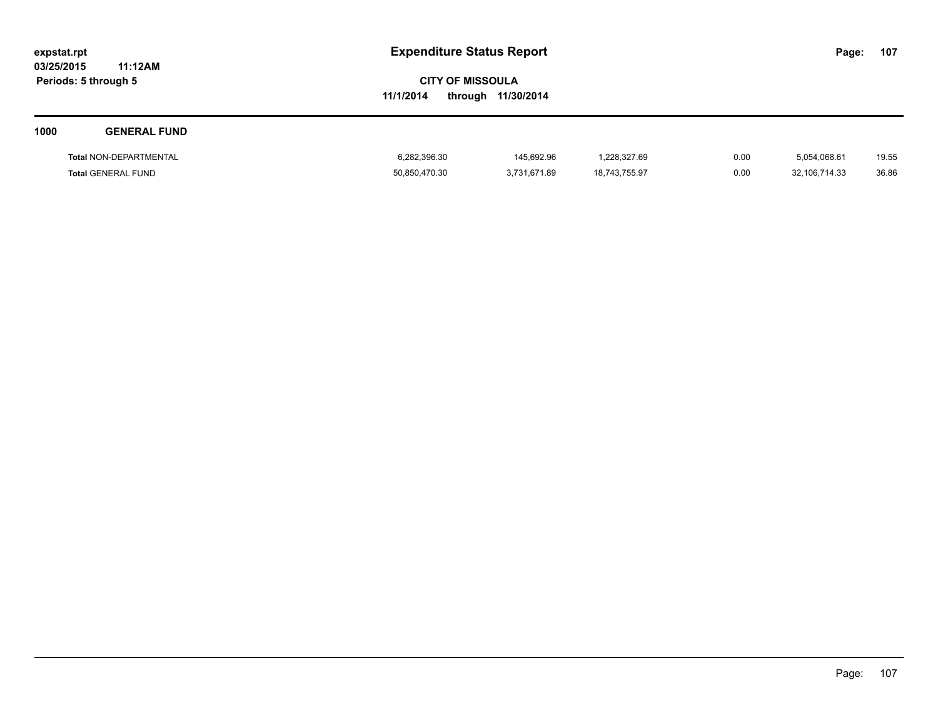**03/25/2015 11:12AM Periods: 5 through 5**

# **CITY OF MISSOULA 11/1/2014 through 11/30/2014**

# **1000 GENERAL FUND Total** NON-DEPARTMENTAL 6,282,396.30 145,692.96 1,228,327.69 0.00 5,054,068.61 19.55 **Total** GENERAL FUND 50,850,470.30 3,731,671.89 18,743,755.97 0.00 32,106,714.33 36.86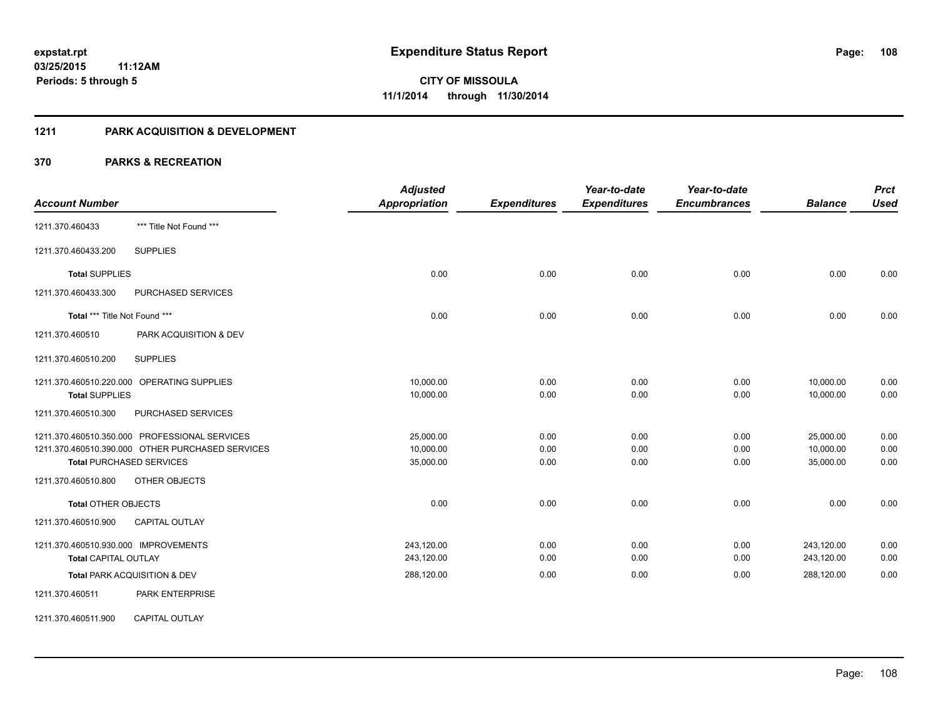### **1211 PARK ACQUISITION & DEVELOPMENT**

|                                                  | <b>Adjusted</b>      |                     | Year-to-date        | Year-to-date        |                | <b>Prct</b> |
|--------------------------------------------------|----------------------|---------------------|---------------------|---------------------|----------------|-------------|
| <b>Account Number</b>                            | <b>Appropriation</b> | <b>Expenditures</b> | <b>Expenditures</b> | <b>Encumbrances</b> | <b>Balance</b> | <b>Used</b> |
| *** Title Not Found ***<br>1211.370.460433       |                      |                     |                     |                     |                |             |
| <b>SUPPLIES</b><br>1211.370.460433.200           |                      |                     |                     |                     |                |             |
| <b>Total SUPPLIES</b>                            | 0.00                 | 0.00                | 0.00                | 0.00                | 0.00           | 0.00        |
| 1211.370.460433.300<br>PURCHASED SERVICES        |                      |                     |                     |                     |                |             |
| Total *** Title Not Found ***                    | 0.00                 | 0.00                | 0.00                | 0.00                | 0.00           | 0.00        |
| 1211.370.460510<br>PARK ACQUISITION & DEV        |                      |                     |                     |                     |                |             |
| <b>SUPPLIES</b><br>1211.370.460510.200           |                      |                     |                     |                     |                |             |
| 1211.370.460510.220.000 OPERATING SUPPLIES       | 10,000.00            | 0.00                | 0.00                | 0.00                | 10,000.00      | 0.00        |
| <b>Total SUPPLIES</b>                            | 10,000.00            | 0.00                | 0.00                | 0.00                | 10,000.00      | 0.00        |
| PURCHASED SERVICES<br>1211.370.460510.300        |                      |                     |                     |                     |                |             |
| 1211.370.460510.350.000 PROFESSIONAL SERVICES    | 25,000.00            | 0.00                | 0.00                | 0.00                | 25,000.00      | 0.00        |
| 1211.370.460510.390.000 OTHER PURCHASED SERVICES | 10,000.00            | 0.00                | 0.00                | 0.00                | 10,000.00      | 0.00        |
| <b>Total PURCHASED SERVICES</b>                  | 35,000.00            | 0.00                | 0.00                | 0.00                | 35,000.00      | 0.00        |
| 1211.370.460510.800<br>OTHER OBJECTS             |                      |                     |                     |                     |                |             |
| <b>Total OTHER OBJECTS</b>                       | 0.00                 | 0.00                | 0.00                | 0.00                | 0.00           | 0.00        |
| <b>CAPITAL OUTLAY</b><br>1211.370.460510.900     |                      |                     |                     |                     |                |             |
| 1211.370.460510.930.000 IMPROVEMENTS             | 243,120.00           | 0.00                | 0.00                | 0.00                | 243,120.00     | 0.00        |
| <b>Total CAPITAL OUTLAY</b>                      | 243,120.00           | 0.00                | 0.00                | 0.00                | 243,120.00     | 0.00        |
| Total PARK ACQUISITION & DEV                     | 288,120.00           | 0.00                | 0.00                | 0.00                | 288,120.00     | 0.00        |
| 1211.370.460511<br><b>PARK ENTERPRISE</b>        |                      |                     |                     |                     |                |             |
| <b>CAPITAL OUTLAY</b><br>1211.370.460511.900     |                      |                     |                     |                     |                |             |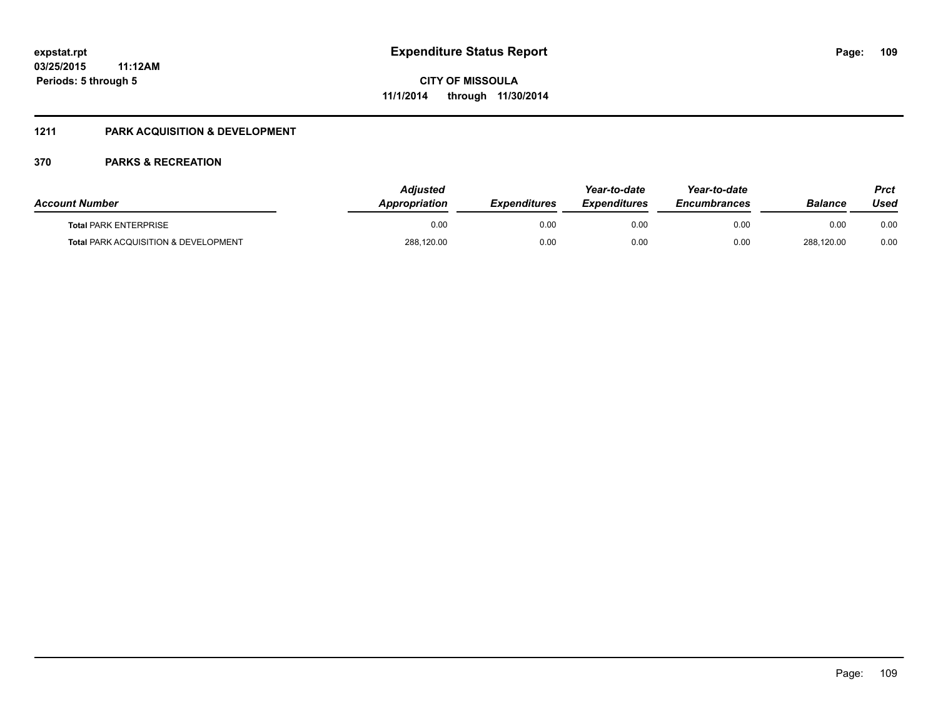### **1211 PARK ACQUISITION & DEVELOPMENT**

| <b>Account Number</b>                           | Adiusted<br><b>Appropriation</b> | <b>Expenditures</b> | Year-to-date<br><b>Expenditures</b> | Year-to-date<br><b>Encumbrances</b> | Balance    | Prct<br>Used |
|-------------------------------------------------|----------------------------------|---------------------|-------------------------------------|-------------------------------------|------------|--------------|
| <b>Total PARK ENTERPRISE</b>                    | 0.00                             | 0.00                | 0.00                                | 0.00                                | 0.00       | 0.00         |
| <b>Total PARK ACQUISITION &amp; DEVELOPMENT</b> | 288,120.00                       | 0.00                | 0.00                                | 0.00                                | 288,120.00 | 0.00         |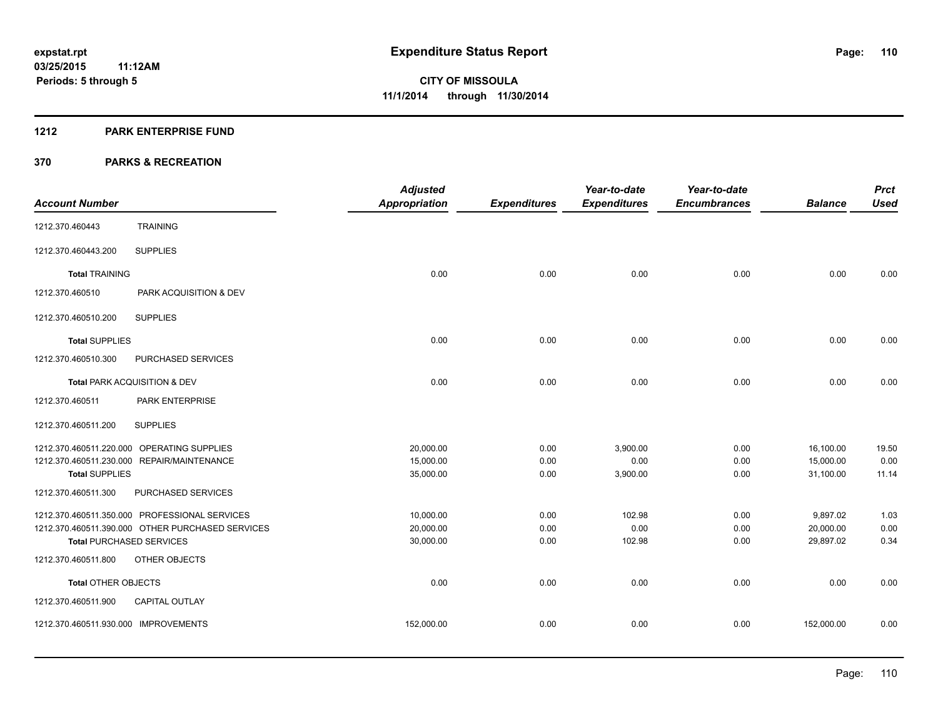#### **1212 PARK ENTERPRISE FUND**

|                                      |                                                  | <b>Adjusted</b>      |                     | Year-to-date        | Year-to-date        |                | <b>Prct</b> |
|--------------------------------------|--------------------------------------------------|----------------------|---------------------|---------------------|---------------------|----------------|-------------|
| <b>Account Number</b>                |                                                  | <b>Appropriation</b> | <b>Expenditures</b> | <b>Expenditures</b> | <b>Encumbrances</b> | <b>Balance</b> | <b>Used</b> |
| 1212.370.460443                      | <b>TRAINING</b>                                  |                      |                     |                     |                     |                |             |
| 1212.370.460443.200                  | <b>SUPPLIES</b>                                  |                      |                     |                     |                     |                |             |
| <b>Total TRAINING</b>                |                                                  | 0.00                 | 0.00                | 0.00                | 0.00                | 0.00           | 0.00        |
| 1212.370.460510                      | PARK ACQUISITION & DEV                           |                      |                     |                     |                     |                |             |
| 1212.370.460510.200                  | <b>SUPPLIES</b>                                  |                      |                     |                     |                     |                |             |
| <b>Total SUPPLIES</b>                |                                                  | 0.00                 | 0.00                | 0.00                | 0.00                | 0.00           | 0.00        |
| 1212.370.460510.300                  | PURCHASED SERVICES                               |                      |                     |                     |                     |                |             |
|                                      | Total PARK ACQUISITION & DEV                     | 0.00                 | 0.00                | 0.00                | 0.00                | 0.00           | 0.00        |
| 1212.370.460511                      | PARK ENTERPRISE                                  |                      |                     |                     |                     |                |             |
| 1212.370.460511.200                  | <b>SUPPLIES</b>                                  |                      |                     |                     |                     |                |             |
|                                      | 1212.370.460511.220.000 OPERATING SUPPLIES       | 20,000.00            | 0.00                | 3,900.00            | 0.00                | 16,100.00      | 19.50       |
|                                      | 1212.370.460511.230.000 REPAIR/MAINTENANCE       | 15,000.00            | 0.00                | 0.00                | 0.00                | 15,000.00      | 0.00        |
| <b>Total SUPPLIES</b>                |                                                  | 35,000.00            | 0.00                | 3,900.00            | 0.00                | 31,100.00      | 11.14       |
| 1212.370.460511.300                  | PURCHASED SERVICES                               |                      |                     |                     |                     |                |             |
|                                      | 1212.370.460511.350.000 PROFESSIONAL SERVICES    | 10,000.00            | 0.00                | 102.98              | 0.00                | 9,897.02       | 1.03        |
|                                      | 1212.370.460511.390.000 OTHER PURCHASED SERVICES | 20,000.00            | 0.00                | 0.00                | 0.00                | 20,000.00      | 0.00        |
| <b>Total PURCHASED SERVICES</b>      |                                                  | 30,000.00            | 0.00                | 102.98              | 0.00                | 29,897.02      | 0.34        |
| 1212.370.460511.800                  | <b>OTHER OBJECTS</b>                             |                      |                     |                     |                     |                |             |
| <b>Total OTHER OBJECTS</b>           |                                                  | 0.00                 | 0.00                | 0.00                | 0.00                | 0.00           | 0.00        |
| 1212.370.460511.900                  | <b>CAPITAL OUTLAY</b>                            |                      |                     |                     |                     |                |             |
| 1212.370.460511.930.000 IMPROVEMENTS |                                                  | 152,000.00           | 0.00                | 0.00                | 0.00                | 152,000.00     | 0.00        |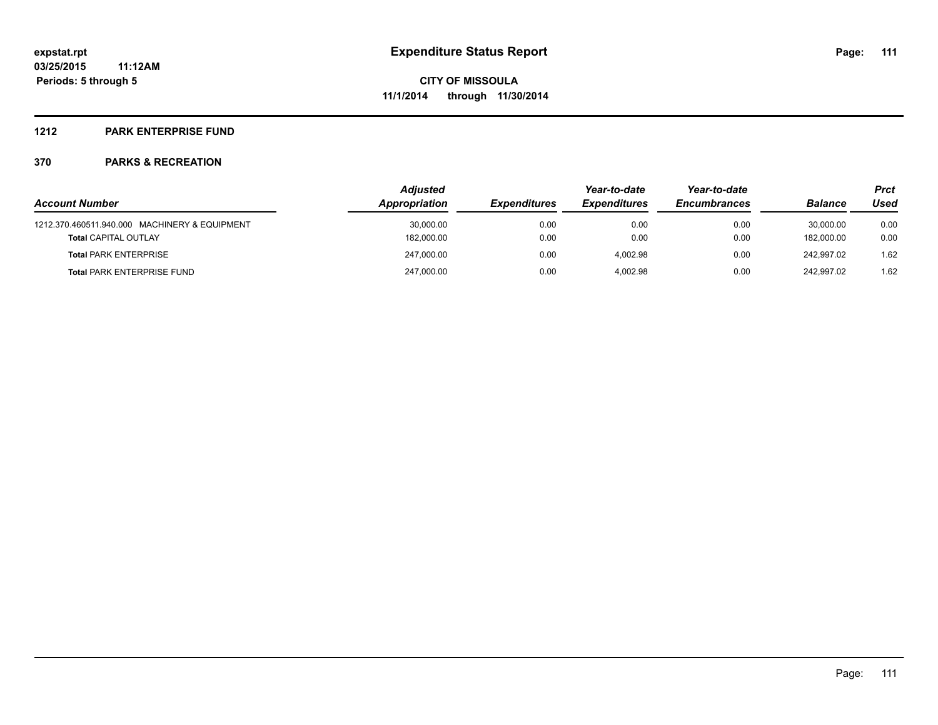#### **1212 PARK ENTERPRISE FUND**

|                                               | <b>Adjusted</b> |                     | Year-to-date        | Year-to-date        |                | Prct |  |
|-----------------------------------------------|-----------------|---------------------|---------------------|---------------------|----------------|------|--|
| <b>Account Number</b>                         | Appropriation   | <b>Expenditures</b> | <b>Expenditures</b> | <b>Encumbrances</b> | <b>Balance</b> | Used |  |
| 1212.370.460511.940.000 MACHINERY & EQUIPMENT | 30,000.00       | 0.00                | 0.00                | 0.00                | 30.000.00      | 0.00 |  |
| <b>Total CAPITAL OUTLAY</b>                   | 182,000.00      | 0.00                | 0.00                | 0.00                | 182.000.00     | 0.00 |  |
| <b>Total PARK ENTERPRISE</b>                  | 247.000.00      | 0.00                | 4.002.98            | 0.00                | 242.997.02     | 1.62 |  |
| <b>Total PARK ENTERPRISE FUND</b>             | 247,000.00      | 0.00                | 4.002.98            | 0.00                | 242.997.02     | 1.62 |  |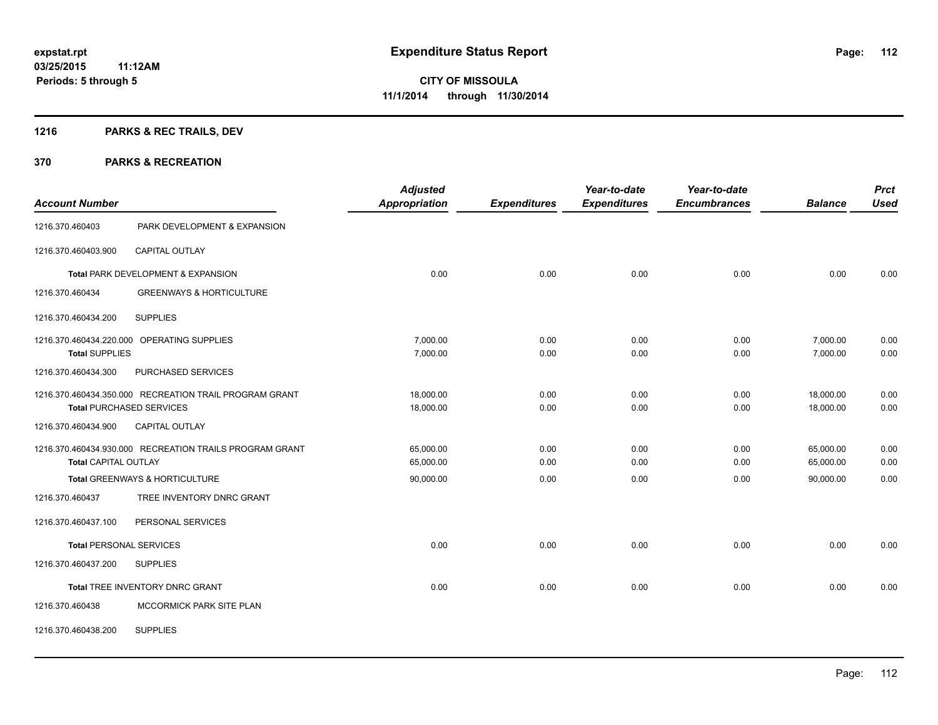## **1216 PARKS & REC TRAILS, DEV**

| <b>Account Number</b>       |                                                         | <b>Adjusted</b><br><b>Appropriation</b> | <b>Expenditures</b> | Year-to-date<br><b>Expenditures</b> | Year-to-date<br><b>Encumbrances</b> | <b>Balance</b> | <b>Prct</b><br><b>Used</b> |
|-----------------------------|---------------------------------------------------------|-----------------------------------------|---------------------|-------------------------------------|-------------------------------------|----------------|----------------------------|
| 1216.370.460403             | PARK DEVELOPMENT & EXPANSION                            |                                         |                     |                                     |                                     |                |                            |
| 1216.370.460403.900         | <b>CAPITAL OUTLAY</b>                                   |                                         |                     |                                     |                                     |                |                            |
|                             | Total PARK DEVELOPMENT & EXPANSION                      | 0.00                                    | 0.00                | 0.00                                | 0.00                                | 0.00           | 0.00                       |
| 1216.370.460434             | <b>GREENWAYS &amp; HORTICULTURE</b>                     |                                         |                     |                                     |                                     |                |                            |
| 1216.370.460434.200         | <b>SUPPLIES</b>                                         |                                         |                     |                                     |                                     |                |                            |
|                             | 1216.370.460434.220.000 OPERATING SUPPLIES              | 7,000.00                                | 0.00                | 0.00                                | 0.00                                | 7,000.00       | 0.00                       |
| <b>Total SUPPLIES</b>       |                                                         | 7,000.00                                | 0.00                | 0.00                                | 0.00                                | 7,000.00       | 0.00                       |
| 1216.370.460434.300         | PURCHASED SERVICES                                      |                                         |                     |                                     |                                     |                |                            |
|                             | 1216.370.460434.350.000 RECREATION TRAIL PROGRAM GRANT  | 18.000.00                               | 0.00                | 0.00                                | 0.00                                | 18,000.00      | 0.00                       |
|                             | <b>Total PURCHASED SERVICES</b>                         | 18,000.00                               | 0.00                | 0.00                                | 0.00                                | 18,000.00      | 0.00                       |
| 1216.370.460434.900         | CAPITAL OUTLAY                                          |                                         |                     |                                     |                                     |                |                            |
|                             | 1216.370.460434.930.000 RECREATION TRAILS PROGRAM GRANT | 65,000.00                               | 0.00                | 0.00                                | 0.00                                | 65,000.00      | 0.00                       |
| <b>Total CAPITAL OUTLAY</b> |                                                         | 65,000.00                               | 0.00                | 0.00                                | 0.00                                | 65,000.00      | 0.00                       |
|                             | Total GREENWAYS & HORTICULTURE                          | 90,000.00                               | 0.00                | 0.00                                | 0.00                                | 90.000.00      | 0.00                       |
| 1216.370.460437             | TREE INVENTORY DNRC GRANT                               |                                         |                     |                                     |                                     |                |                            |
| 1216.370.460437.100         | PERSONAL SERVICES                                       |                                         |                     |                                     |                                     |                |                            |
|                             | <b>Total PERSONAL SERVICES</b>                          | 0.00                                    | 0.00                | 0.00                                | 0.00                                | 0.00           | 0.00                       |
| 1216.370.460437.200         | <b>SUPPLIES</b>                                         |                                         |                     |                                     |                                     |                |                            |
|                             | Total TREE INVENTORY DNRC GRANT                         | 0.00                                    | 0.00                | 0.00                                | 0.00                                | 0.00           | 0.00                       |
| 1216.370.460438             | MCCORMICK PARK SITE PLAN                                |                                         |                     |                                     |                                     |                |                            |
| 1216.370.460438.200         | <b>SUPPLIES</b>                                         |                                         |                     |                                     |                                     |                |                            |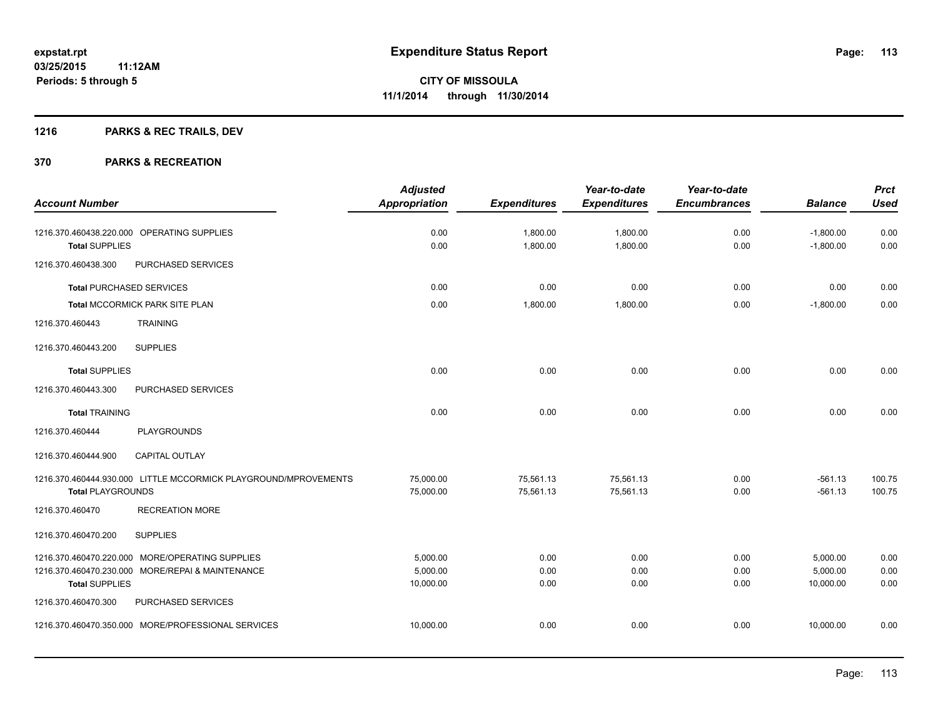## **1216 PARKS & REC TRAILS, DEV**

|                                                                                                                              | <b>Adjusted</b>                   |                        | Year-to-date           | Year-to-date         |                                   | <b>Prct</b>          |
|------------------------------------------------------------------------------------------------------------------------------|-----------------------------------|------------------------|------------------------|----------------------|-----------------------------------|----------------------|
| <b>Account Number</b>                                                                                                        | <b>Appropriation</b>              | <b>Expenditures</b>    | <b>Expenditures</b>    | <b>Encumbrances</b>  | <b>Balance</b>                    | <b>Used</b>          |
| 1216.370.460438.220.000 OPERATING SUPPLIES<br><b>Total SUPPLIES</b>                                                          | 0.00<br>0.00                      | 1,800.00<br>1,800.00   | 1,800.00<br>1,800.00   | 0.00<br>0.00         | $-1,800.00$<br>$-1,800.00$        | 0.00<br>0.00         |
| PURCHASED SERVICES<br>1216.370.460438.300                                                                                    |                                   |                        |                        |                      |                                   |                      |
| <b>Total PURCHASED SERVICES</b>                                                                                              | 0.00                              | 0.00                   | 0.00                   | 0.00                 | 0.00                              | 0.00                 |
| <b>Total MCCORMICK PARK SITE PLAN</b>                                                                                        | 0.00                              | 1,800.00               | 1,800.00               | 0.00                 | $-1,800.00$                       | 0.00                 |
| 1216.370.460443<br><b>TRAINING</b>                                                                                           |                                   |                        |                        |                      |                                   |                      |
| <b>SUPPLIES</b><br>1216.370.460443.200                                                                                       |                                   |                        |                        |                      |                                   |                      |
| <b>Total SUPPLIES</b>                                                                                                        | 0.00                              | 0.00                   | 0.00                   | 0.00                 | 0.00                              | 0.00                 |
| 1216.370.460443.300<br>PURCHASED SERVICES                                                                                    |                                   |                        |                        |                      |                                   |                      |
| <b>Total TRAINING</b>                                                                                                        | 0.00                              | 0.00                   | 0.00                   | 0.00                 | 0.00                              | 0.00                 |
| 1216.370.460444<br><b>PLAYGROUNDS</b>                                                                                        |                                   |                        |                        |                      |                                   |                      |
| 1216.370.460444.900<br><b>CAPITAL OUTLAY</b>                                                                                 |                                   |                        |                        |                      |                                   |                      |
| 1216.370.460444.930.000 LITTLE MCCORMICK PLAYGROUND/MPROVEMENTS<br><b>Total PLAYGROUNDS</b>                                  | 75,000.00<br>75,000.00            | 75,561.13<br>75,561.13 | 75,561.13<br>75,561.13 | 0.00<br>0.00         | $-561.13$<br>$-561.13$            | 100.75<br>100.75     |
| 1216.370.460470<br><b>RECREATION MORE</b>                                                                                    |                                   |                        |                        |                      |                                   |                      |
| <b>SUPPLIES</b><br>1216.370.460470.200                                                                                       |                                   |                        |                        |                      |                                   |                      |
| 1216.370.460470.220.000 MORE/OPERATING SUPPLIES<br>1216.370.460470.230.000 MORE/REPAI & MAINTENANCE<br><b>Total SUPPLIES</b> | 5,000.00<br>5,000.00<br>10,000.00 | 0.00<br>0.00<br>0.00   | 0.00<br>0.00<br>0.00   | 0.00<br>0.00<br>0.00 | 5,000.00<br>5,000.00<br>10,000.00 | 0.00<br>0.00<br>0.00 |
| PURCHASED SERVICES<br>1216.370.460470.300                                                                                    |                                   |                        |                        |                      |                                   |                      |
| 1216.370.460470.350.000 MORE/PROFESSIONAL SERVICES                                                                           | 10,000.00                         | 0.00                   | 0.00                   | 0.00                 | 10,000.00                         | 0.00                 |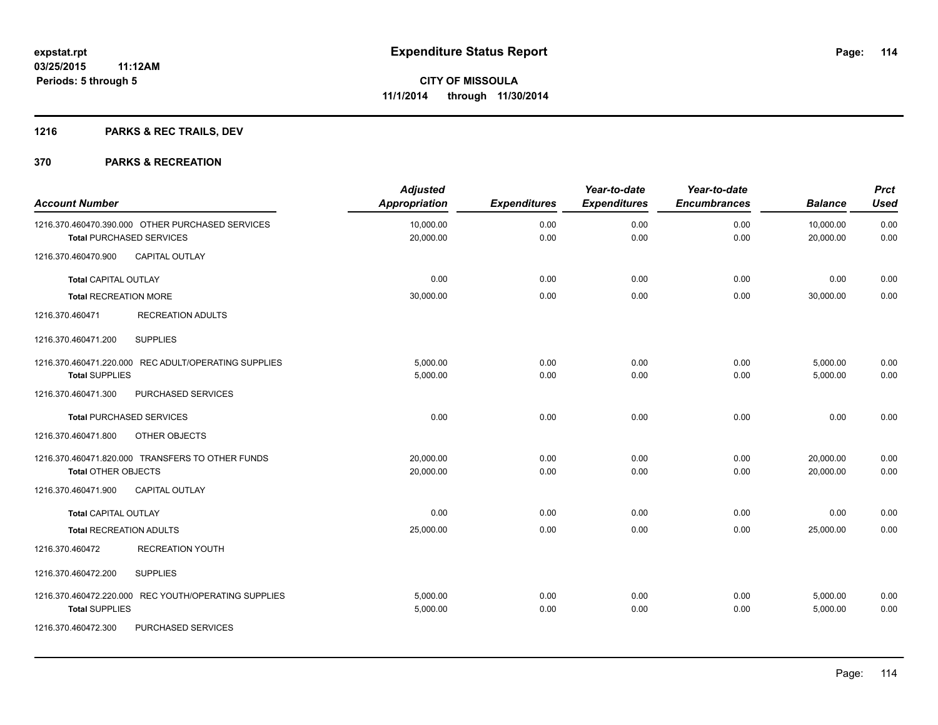## **1216 PARKS & REC TRAILS, DEV**

| <b>Account Number</b>                                                               | <b>Adjusted</b><br><b>Appropriation</b> | <b>Expenditures</b> | Year-to-date<br><b>Expenditures</b> | Year-to-date<br><b>Encumbrances</b> | <b>Balance</b>         | <b>Prct</b><br><b>Used</b> |
|-------------------------------------------------------------------------------------|-----------------------------------------|---------------------|-------------------------------------|-------------------------------------|------------------------|----------------------------|
| 1216.370.460470.390.000 OTHER PURCHASED SERVICES<br><b>Total PURCHASED SERVICES</b> | 10,000.00<br>20,000.00                  | 0.00<br>0.00        | 0.00<br>0.00                        | 0.00<br>0.00                        | 10,000.00<br>20,000.00 | 0.00<br>0.00               |
| 1216.370.460470.900<br><b>CAPITAL OUTLAY</b>                                        |                                         |                     |                                     |                                     |                        |                            |
| <b>Total CAPITAL OUTLAY</b>                                                         | 0.00                                    | 0.00                | 0.00                                | 0.00                                | 0.00                   | 0.00                       |
| <b>Total RECREATION MORE</b>                                                        | 30,000.00                               | 0.00                | 0.00                                | 0.00                                | 30,000.00              | 0.00                       |
| 1216.370.460471<br><b>RECREATION ADULTS</b>                                         |                                         |                     |                                     |                                     |                        |                            |
| <b>SUPPLIES</b><br>1216.370.460471.200                                              |                                         |                     |                                     |                                     |                        |                            |
| 1216.370.460471.220.000 REC ADULT/OPERATING SUPPLIES<br><b>Total SUPPLIES</b>       | 5,000.00<br>5,000.00                    | 0.00<br>0.00        | 0.00<br>0.00                        | 0.00<br>0.00                        | 5,000.00<br>5,000.00   | 0.00<br>0.00               |
| 1216.370.460471.300<br>PURCHASED SERVICES                                           |                                         |                     |                                     |                                     |                        |                            |
| <b>Total PURCHASED SERVICES</b>                                                     | 0.00                                    | 0.00                | 0.00                                | 0.00                                | 0.00                   | 0.00                       |
| 1216.370.460471.800<br>OTHER OBJECTS                                                |                                         |                     |                                     |                                     |                        |                            |
| 1216.370.460471.820.000 TRANSFERS TO OTHER FUNDS<br><b>Total OTHER OBJECTS</b>      | 20,000.00<br>20,000.00                  | 0.00<br>0.00        | 0.00<br>0.00                        | 0.00<br>0.00                        | 20,000.00<br>20,000.00 | 0.00<br>0.00               |
| 1216.370.460471.900<br>CAPITAL OUTLAY                                               |                                         |                     |                                     |                                     |                        |                            |
| <b>Total CAPITAL OUTLAY</b>                                                         | 0.00                                    | 0.00                | 0.00                                | 0.00                                | 0.00                   | 0.00                       |
| Total RECREATION ADULTS                                                             | 25,000.00                               | 0.00                | 0.00                                | 0.00                                | 25,000.00              | 0.00                       |
| 1216.370.460472<br><b>RECREATION YOUTH</b>                                          |                                         |                     |                                     |                                     |                        |                            |
| 1216.370.460472.200<br><b>SUPPLIES</b>                                              |                                         |                     |                                     |                                     |                        |                            |
| 1216.370.460472.220.000 REC YOUTH/OPERATING SUPPLIES<br><b>Total SUPPLIES</b>       | 5,000.00<br>5,000.00                    | 0.00<br>0.00        | 0.00<br>0.00                        | 0.00<br>0.00                        | 5,000.00<br>5,000.00   | 0.00<br>0.00               |
| 1216.370.460472.300<br>PURCHASED SERVICES                                           |                                         |                     |                                     |                                     |                        |                            |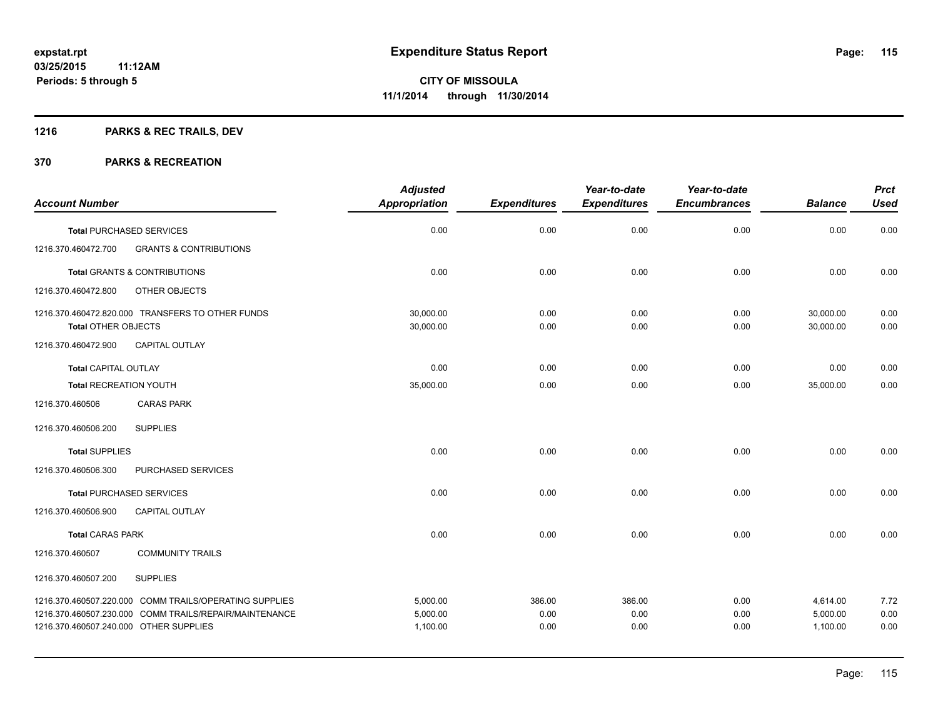## **1216 PARKS & REC TRAILS, DEV**

|                                                   |                                                                                                                  | <b>Adjusted</b>                  |                        | Year-to-date           | Year-to-date         |                                  | <b>Prct</b>          |
|---------------------------------------------------|------------------------------------------------------------------------------------------------------------------|----------------------------------|------------------------|------------------------|----------------------|----------------------------------|----------------------|
| <b>Account Number</b>                             |                                                                                                                  | <b>Appropriation</b>             | <b>Expenditures</b>    | <b>Expenditures</b>    | <b>Encumbrances</b>  | <b>Balance</b>                   | <b>Used</b>          |
| <b>Total PURCHASED SERVICES</b>                   |                                                                                                                  | 0.00                             | 0.00                   | 0.00                   | 0.00                 | 0.00                             | 0.00                 |
| 1216.370.460472.700                               | <b>GRANTS &amp; CONTRIBUTIONS</b>                                                                                |                                  |                        |                        |                      |                                  |                      |
|                                                   | <b>Total GRANTS &amp; CONTRIBUTIONS</b>                                                                          | 0.00                             | 0.00                   | 0.00                   | 0.00                 | 0.00                             | 0.00                 |
| 1216.370.460472.800                               | OTHER OBJECTS                                                                                                    |                                  |                        |                        |                      |                                  |                      |
|                                                   | 1216.370.460472.820.000 TRANSFERS TO OTHER FUNDS                                                                 | 30,000.00<br>30,000.00           | 0.00                   | 0.00                   | 0.00                 | 30,000.00<br>30,000.00           | 0.00                 |
| <b>Total OTHER OBJECTS</b><br>1216.370.460472.900 | CAPITAL OUTLAY                                                                                                   |                                  | 0.00                   | 0.00                   | 0.00                 |                                  | 0.00                 |
| <b>Total CAPITAL OUTLAY</b>                       |                                                                                                                  | 0.00                             | 0.00                   | 0.00                   | 0.00                 | 0.00                             | 0.00                 |
| <b>Total RECREATION YOUTH</b>                     |                                                                                                                  | 35,000.00                        | 0.00                   | 0.00                   | 0.00                 | 35,000.00                        | 0.00                 |
| 1216.370.460506                                   | <b>CARAS PARK</b>                                                                                                |                                  |                        |                        |                      |                                  |                      |
| 1216.370.460506.200                               | <b>SUPPLIES</b>                                                                                                  |                                  |                        |                        |                      |                                  |                      |
| <b>Total SUPPLIES</b>                             |                                                                                                                  | 0.00                             | 0.00                   | 0.00                   | 0.00                 | 0.00                             | 0.00                 |
| 1216.370.460506.300                               | PURCHASED SERVICES                                                                                               |                                  |                        |                        |                      |                                  |                      |
| <b>Total PURCHASED SERVICES</b>                   |                                                                                                                  | 0.00                             | 0.00                   | 0.00                   | 0.00                 | 0.00                             | 0.00                 |
| 1216.370.460506.900                               | <b>CAPITAL OUTLAY</b>                                                                                            |                                  |                        |                        |                      |                                  |                      |
| <b>Total CARAS PARK</b>                           |                                                                                                                  | 0.00                             | 0.00                   | 0.00                   | 0.00                 | 0.00                             | 0.00                 |
| 1216.370.460507                                   | <b>COMMUNITY TRAILS</b>                                                                                          |                                  |                        |                        |                      |                                  |                      |
| 1216.370.460507.200                               | <b>SUPPLIES</b>                                                                                                  |                                  |                        |                        |                      |                                  |                      |
| 1216.370.460507.240.000 OTHER SUPPLIES            | 1216.370.460507.220.000 COMM TRAILS/OPERATING SUPPLIES<br>1216.370.460507.230.000 COMM TRAILS/REPAIR/MAINTENANCE | 5,000.00<br>5,000.00<br>1,100.00 | 386.00<br>0.00<br>0.00 | 386.00<br>0.00<br>0.00 | 0.00<br>0.00<br>0.00 | 4,614.00<br>5,000.00<br>1,100.00 | 7.72<br>0.00<br>0.00 |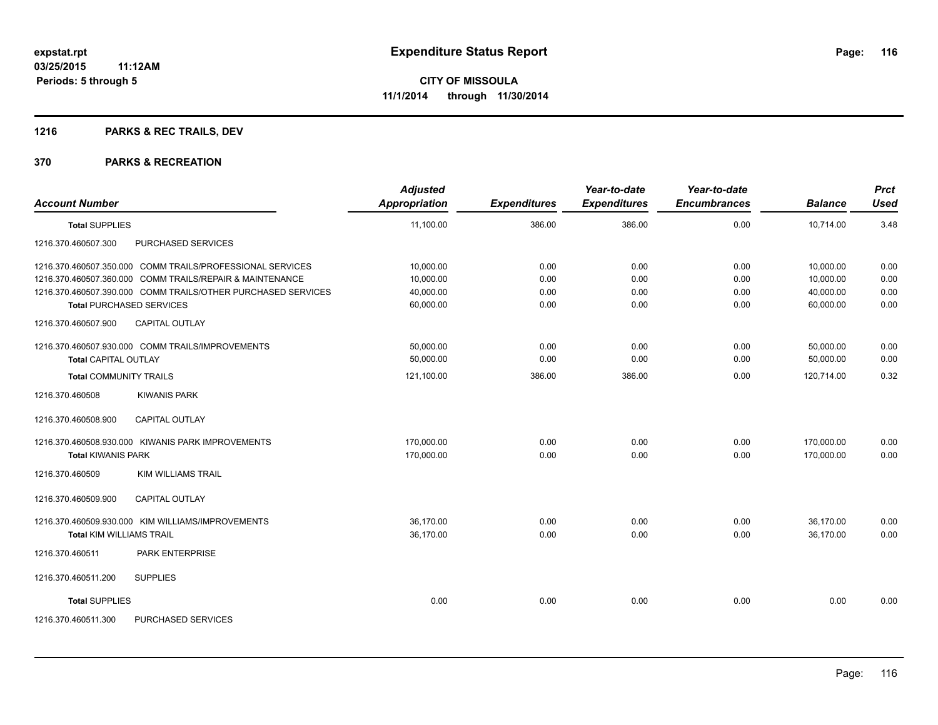## **1216 PARKS & REC TRAILS, DEV**

| <b>Account Number</b>                                        | <b>Adjusted</b><br><b>Appropriation</b> | <b>Expenditures</b> | Year-to-date<br><b>Expenditures</b> | Year-to-date<br><b>Encumbrances</b> | <b>Balance</b> | <b>Prct</b><br><b>Used</b> |
|--------------------------------------------------------------|-----------------------------------------|---------------------|-------------------------------------|-------------------------------------|----------------|----------------------------|
| <b>Total SUPPLIES</b>                                        | 11,100.00                               | 386.00              | 386.00                              | 0.00                                | 10,714.00      | 3.48                       |
| 1216.370.460507.300<br>PURCHASED SERVICES                    |                                         |                     |                                     |                                     |                |                            |
| 1216.370.460507.350.000 COMM TRAILS/PROFESSIONAL SERVICES    | 10,000.00                               | 0.00                | 0.00                                | 0.00                                | 10,000.00      | 0.00                       |
| 1216.370.460507.360.000 COMM TRAILS/REPAIR & MAINTENANCE     | 10,000.00                               | 0.00                | 0.00                                | 0.00                                | 10,000.00      | 0.00                       |
| 1216.370.460507.390.000 COMM TRAILS/OTHER PURCHASED SERVICES | 40,000.00                               | 0.00                | 0.00                                | 0.00                                | 40,000.00      | 0.00                       |
| <b>Total PURCHASED SERVICES</b>                              | 60,000.00                               | 0.00                | 0.00                                | 0.00                                | 60,000.00      | 0.00                       |
| <b>CAPITAL OUTLAY</b><br>1216.370.460507.900                 |                                         |                     |                                     |                                     |                |                            |
| 1216.370.460507.930.000 COMM TRAILS/IMPROVEMENTS             | 50,000.00                               | 0.00                | 0.00                                | 0.00                                | 50,000.00      | 0.00                       |
| <b>Total CAPITAL OUTLAY</b>                                  | 50,000.00                               | 0.00                | 0.00                                | 0.00                                | 50,000.00      | 0.00                       |
| <b>Total COMMUNITY TRAILS</b>                                | 121,100.00                              | 386.00              | 386.00                              | 0.00                                | 120,714.00     | 0.32                       |
| 1216.370.460508<br><b>KIWANIS PARK</b>                       |                                         |                     |                                     |                                     |                |                            |
| <b>CAPITAL OUTLAY</b><br>1216.370.460508.900                 |                                         |                     |                                     |                                     |                |                            |
| 1216.370.460508.930.000 KIWANIS PARK IMPROVEMENTS            | 170,000.00                              | 0.00                | 0.00                                | 0.00                                | 170,000.00     | 0.00                       |
| <b>Total KIWANIS PARK</b>                                    | 170,000.00                              | 0.00                | 0.00                                | 0.00                                | 170,000.00     | 0.00                       |
| <b>KIM WILLIAMS TRAIL</b><br>1216.370.460509                 |                                         |                     |                                     |                                     |                |                            |
| <b>CAPITAL OUTLAY</b><br>1216.370.460509.900                 |                                         |                     |                                     |                                     |                |                            |
| 1216.370.460509.930.000 KIM WILLIAMS/IMPROVEMENTS            | 36,170.00                               | 0.00                | 0.00                                | 0.00                                | 36,170.00      | 0.00                       |
| <b>Total KIM WILLIAMS TRAIL</b>                              | 36,170.00                               | 0.00                | 0.00                                | 0.00                                | 36,170.00      | 0.00                       |
| 1216.370.460511<br>PARK ENTERPRISE                           |                                         |                     |                                     |                                     |                |                            |
| <b>SUPPLIES</b><br>1216.370.460511.200                       |                                         |                     |                                     |                                     |                |                            |
| <b>Total SUPPLIES</b>                                        | 0.00                                    | 0.00                | 0.00                                | 0.00                                | 0.00           | 0.00                       |
| PURCHASED SERVICES<br>1216.370.460511.300                    |                                         |                     |                                     |                                     |                |                            |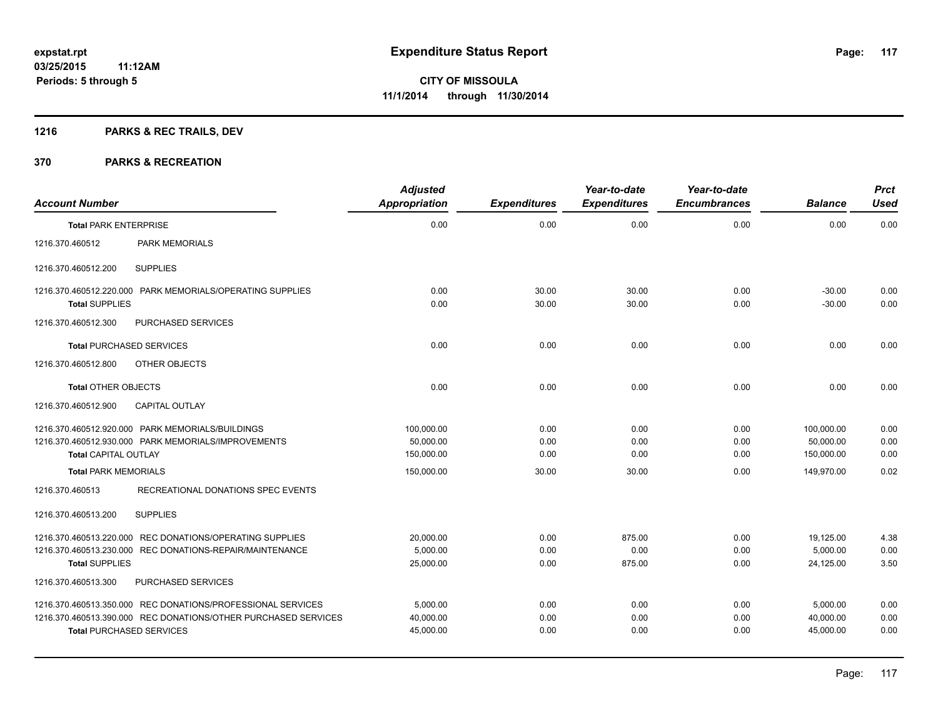## **1216 PARKS & REC TRAILS, DEV**

| <b>Account Number</b>                                                           |                                                                                                                   | <b>Adjusted</b><br><b>Appropriation</b> | <b>Expenditures</b>  | Year-to-date<br><b>Expenditures</b> | Year-to-date<br><b>Encumbrances</b> | <b>Balance</b>                        | <b>Prct</b><br><b>Used</b> |
|---------------------------------------------------------------------------------|-------------------------------------------------------------------------------------------------------------------|-----------------------------------------|----------------------|-------------------------------------|-------------------------------------|---------------------------------------|----------------------------|
| <b>Total PARK ENTERPRISE</b>                                                    |                                                                                                                   | 0.00                                    | 0.00                 | 0.00                                | 0.00                                | 0.00                                  | 0.00                       |
| 1216.370.460512                                                                 | <b>PARK MEMORIALS</b>                                                                                             |                                         |                      |                                     |                                     |                                       |                            |
| 1216.370.460512.200                                                             | <b>SUPPLIES</b>                                                                                                   |                                         |                      |                                     |                                     |                                       |                            |
| <b>Total SUPPLIES</b>                                                           | 1216.370.460512.220.000 PARK MEMORIALS/OPERATING SUPPLIES                                                         | 0.00<br>0.00                            | 30.00<br>30.00       | 30.00<br>30.00                      | 0.00<br>0.00                        | $-30.00$<br>$-30.00$                  | 0.00<br>0.00               |
| 1216.370.460512.300                                                             | PURCHASED SERVICES                                                                                                |                                         |                      |                                     |                                     |                                       |                            |
| <b>Total PURCHASED SERVICES</b>                                                 |                                                                                                                   | 0.00                                    | 0.00                 | 0.00                                | 0.00                                | 0.00                                  | 0.00                       |
| 1216.370.460512.800                                                             | OTHER OBJECTS                                                                                                     |                                         |                      |                                     |                                     |                                       |                            |
| <b>Total OTHER OBJECTS</b>                                                      |                                                                                                                   | 0.00                                    | 0.00                 | 0.00                                | 0.00                                | 0.00                                  | 0.00                       |
| 1216.370.460512.900                                                             | <b>CAPITAL OUTLAY</b>                                                                                             |                                         |                      |                                     |                                     |                                       |                            |
| 1216.370.460512.920.000 PARK MEMORIALS/BUILDINGS<br><b>Total CAPITAL OUTLAY</b> | 1216.370.460512.930.000 PARK MEMORIALS/IMPROVEMENTS                                                               | 100,000.00<br>50,000.00<br>150,000.00   | 0.00<br>0.00<br>0.00 | 0.00<br>0.00<br>0.00                | 0.00<br>0.00<br>0.00                | 100,000.00<br>50,000.00<br>150,000.00 | 0.00<br>0.00<br>0.00       |
| <b>Total PARK MEMORIALS</b>                                                     |                                                                                                                   | 150,000.00                              | 30.00                | 30.00                               | 0.00                                | 149.970.00                            | 0.02                       |
| 1216.370.460513<br>1216.370.460513.200                                          | RECREATIONAL DONATIONS SPEC EVENTS<br><b>SUPPLIES</b><br>1216.370.460513.220.000 REC DONATIONS/OPERATING SUPPLIES | 20,000.00                               | 0.00                 | 875.00                              | 0.00                                | 19,125.00                             | 4.38                       |
|                                                                                 | 1216.370.460513.230.000 REC DONATIONS-REPAIR/MAINTENANCE                                                          | 5,000.00                                | 0.00                 | 0.00                                | 0.00                                | 5,000.00                              | 0.00                       |
| <b>Total SUPPLIES</b>                                                           |                                                                                                                   | 25,000.00                               | 0.00                 | 875.00                              | 0.00                                | 24,125.00                             | 3.50                       |
| 1216.370.460513.300                                                             | PURCHASED SERVICES                                                                                                |                                         |                      |                                     |                                     |                                       |                            |
|                                                                                 | 1216.370.460513.350.000 REC DONATIONS/PROFESSIONAL SERVICES                                                       | 5,000.00                                | 0.00                 | 0.00                                | 0.00                                | 5,000.00                              | 0.00                       |
|                                                                                 | 1216.370.460513.390.000 REC DONATIONS/OTHER PURCHASED SERVICES                                                    | 40,000.00                               | 0.00                 | 0.00                                | 0.00                                | 40,000.00                             | 0.00                       |
| <b>Total PURCHASED SERVICES</b>                                                 |                                                                                                                   | 45,000.00                               | 0.00                 | 0.00                                | 0.00                                | 45,000.00                             | 0.00                       |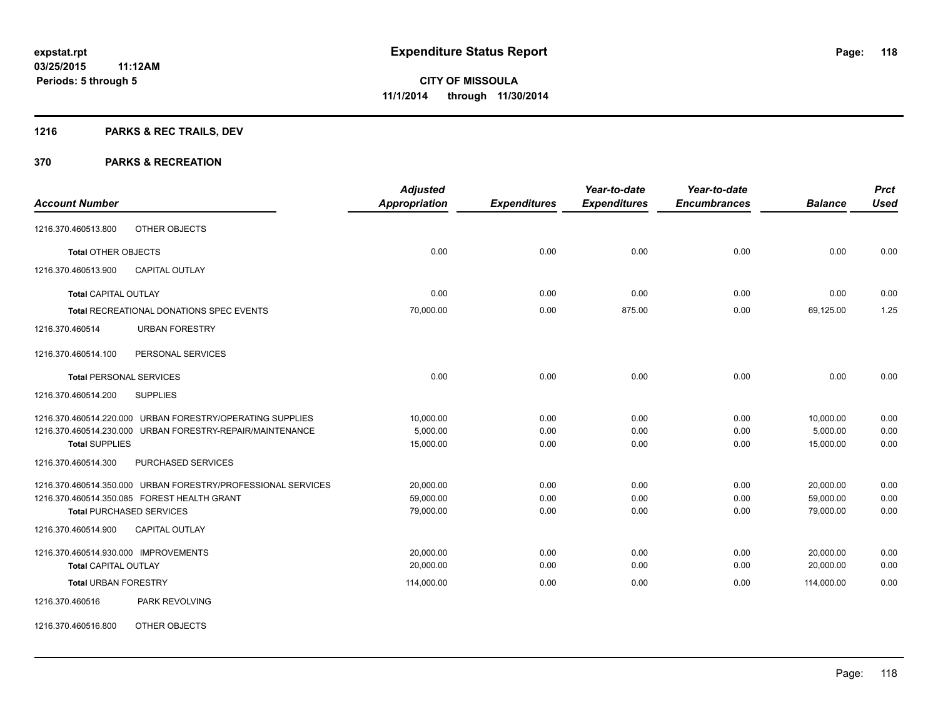## **1216 PARKS & REC TRAILS, DEV**

#### **370 PARKS & RECREATION**

|                                                              | <b>Adjusted</b> |                     | Year-to-date        | Year-to-date        |                | <b>Prct</b>  |
|--------------------------------------------------------------|-----------------|---------------------|---------------------|---------------------|----------------|--------------|
| <b>Account Number</b>                                        | Appropriation   | <b>Expenditures</b> | <b>Expenditures</b> | <b>Encumbrances</b> | <b>Balance</b> | <b>Used</b>  |
| OTHER OBJECTS<br>1216.370.460513.800                         |                 |                     |                     |                     |                |              |
| <b>Total OTHER OBJECTS</b>                                   | 0.00            | 0.00                | 0.00                | 0.00                | 0.00           | 0.00         |
| 1216.370.460513.900<br><b>CAPITAL OUTLAY</b>                 |                 |                     |                     |                     |                |              |
| <b>Total CAPITAL OUTLAY</b>                                  | 0.00            | 0.00                | 0.00                | 0.00                | 0.00           | 0.00         |
| Total RECREATIONAL DONATIONS SPEC EVENTS                     | 70,000.00       | 0.00                | 875.00              | 0.00                | 69,125.00      | 1.25         |
| 1216.370.460514<br><b>URBAN FORESTRY</b>                     |                 |                     |                     |                     |                |              |
| PERSONAL SERVICES<br>1216.370.460514.100                     |                 |                     |                     |                     |                |              |
| <b>Total PERSONAL SERVICES</b>                               | 0.00            | 0.00                | 0.00                | 0.00                | 0.00           | 0.00         |
| 1216.370.460514.200<br><b>SUPPLIES</b>                       |                 |                     |                     |                     |                |              |
| 1216.370.460514.220.000 URBAN FORESTRY/OPERATING SUPPLIES    | 10,000.00       | 0.00                | 0.00                | 0.00                | 10,000.00      | 0.00         |
| 1216.370.460514.230.000 URBAN FORESTRY-REPAIR/MAINTENANCE    | 5,000.00        | 0.00                | 0.00                | 0.00                | 5,000.00       | 0.00<br>0.00 |
| <b>Total SUPPLIES</b>                                        | 15,000.00       | 0.00                | 0.00                | 0.00                | 15,000.00      |              |
| PURCHASED SERVICES<br>1216.370.460514.300                    |                 |                     |                     |                     |                |              |
| 1216.370.460514.350.000 URBAN FORESTRY/PROFESSIONAL SERVICES | 20,000.00       | 0.00                | 0.00                | 0.00                | 20,000.00      | 0.00         |
| 1216.370.460514.350.085 FOREST HEALTH GRANT                  | 59,000.00       | 0.00                | 0.00                | 0.00                | 59,000.00      | 0.00         |
| <b>Total PURCHASED SERVICES</b>                              | 79,000.00       | 0.00                | 0.00                | 0.00                | 79,000.00      | 0.00         |
| 1216.370.460514.900<br><b>CAPITAL OUTLAY</b>                 |                 |                     |                     |                     |                |              |
| 1216.370.460514.930.000 IMPROVEMENTS                         | 20,000.00       | 0.00                | 0.00                | 0.00                | 20,000.00      | 0.00         |
| <b>Total CAPITAL OUTLAY</b>                                  | 20,000.00       | 0.00                | 0.00                | 0.00                | 20.000.00      | 0.00         |
| <b>Total URBAN FORESTRY</b>                                  | 114,000.00      | 0.00                | 0.00                | 0.00                | 114,000.00     | 0.00         |
| 1216.370.460516<br>PARK REVOLVING                            |                 |                     |                     |                     |                |              |
|                                                              |                 |                     |                     |                     |                |              |

1216.370.460516.800 OTHER OBJECTS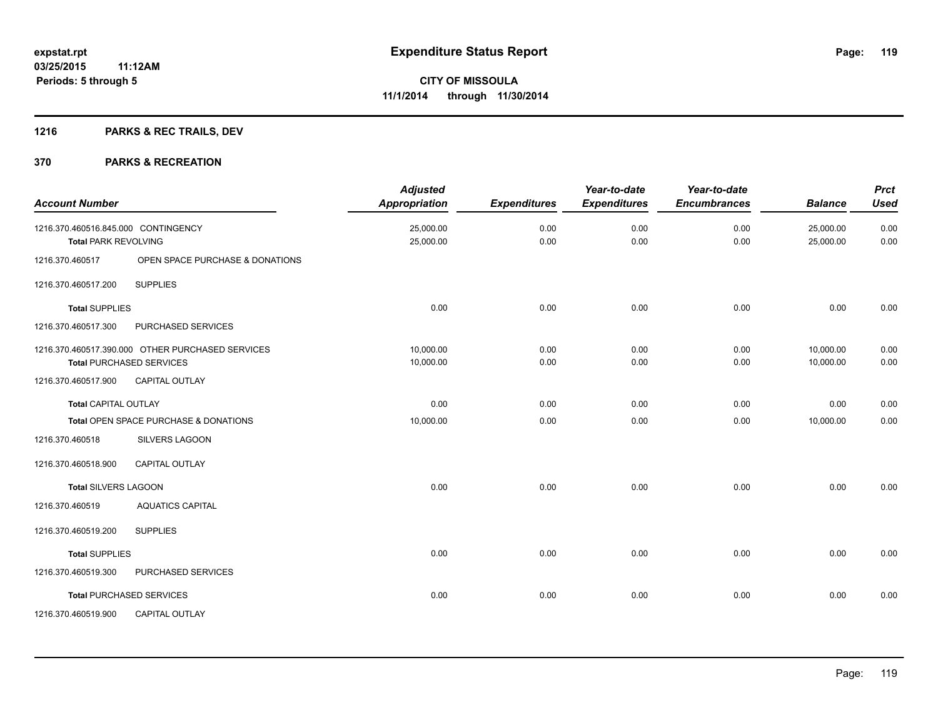## **1216 PARKS & REC TRAILS, DEV**

| <b>Account Number</b>                                              |                                                                                     | <b>Adjusted</b><br>Appropriation | <b>Expenditures</b> | Year-to-date<br><b>Expenditures</b> | Year-to-date<br><b>Encumbrances</b> | <b>Balance</b>         | <b>Prct</b><br><b>Used</b> |
|--------------------------------------------------------------------|-------------------------------------------------------------------------------------|----------------------------------|---------------------|-------------------------------------|-------------------------------------|------------------------|----------------------------|
| 1216.370.460516.845.000 CONTINGENCY<br><b>Total PARK REVOLVING</b> |                                                                                     | 25,000.00<br>25,000.00           | 0.00<br>0.00        | 0.00<br>0.00                        | 0.00<br>0.00                        | 25,000.00<br>25,000.00 | 0.00<br>0.00               |
| 1216.370.460517                                                    | OPEN SPACE PURCHASE & DONATIONS                                                     |                                  |                     |                                     |                                     |                        |                            |
| 1216.370.460517.200                                                | <b>SUPPLIES</b>                                                                     |                                  |                     |                                     |                                     |                        |                            |
| <b>Total SUPPLIES</b>                                              |                                                                                     | 0.00                             | 0.00                | 0.00                                | 0.00                                | 0.00                   | 0.00                       |
| 1216.370.460517.300                                                | PURCHASED SERVICES                                                                  |                                  |                     |                                     |                                     |                        |                            |
|                                                                    | 1216.370.460517.390.000 OTHER PURCHASED SERVICES<br><b>Total PURCHASED SERVICES</b> | 10,000.00<br>10,000.00           | 0.00<br>0.00        | 0.00<br>0.00                        | 0.00<br>0.00                        | 10,000.00<br>10,000.00 | 0.00<br>0.00               |
| 1216.370.460517.900                                                | <b>CAPITAL OUTLAY</b>                                                               |                                  |                     |                                     |                                     |                        |                            |
| <b>Total CAPITAL OUTLAY</b>                                        |                                                                                     | 0.00                             | 0.00                | 0.00                                | 0.00                                | 0.00                   | 0.00                       |
|                                                                    | Total OPEN SPACE PURCHASE & DONATIONS                                               | 10,000.00                        | 0.00                | 0.00                                | 0.00                                | 10,000.00              | 0.00                       |
| 1216.370.460518                                                    | SILVERS LAGOON                                                                      |                                  |                     |                                     |                                     |                        |                            |
| 1216.370.460518.900                                                | <b>CAPITAL OUTLAY</b>                                                               |                                  |                     |                                     |                                     |                        |                            |
| <b>Total SILVERS LAGOON</b>                                        |                                                                                     | 0.00                             | 0.00                | 0.00                                | 0.00                                | 0.00                   | 0.00                       |
| 1216.370.460519                                                    | <b>AQUATICS CAPITAL</b>                                                             |                                  |                     |                                     |                                     |                        |                            |
| 1216.370.460519.200                                                | <b>SUPPLIES</b>                                                                     |                                  |                     |                                     |                                     |                        |                            |
| <b>Total SUPPLIES</b>                                              |                                                                                     | 0.00                             | 0.00                | 0.00                                | 0.00                                | 0.00                   | 0.00                       |
| 1216.370.460519.300                                                | PURCHASED SERVICES                                                                  |                                  |                     |                                     |                                     |                        |                            |
|                                                                    | <b>Total PURCHASED SERVICES</b>                                                     | 0.00                             | 0.00                | 0.00                                | 0.00                                | 0.00                   | 0.00                       |
| 1216.370.460519.900                                                | <b>CAPITAL OUTLAY</b>                                                               |                                  |                     |                                     |                                     |                        |                            |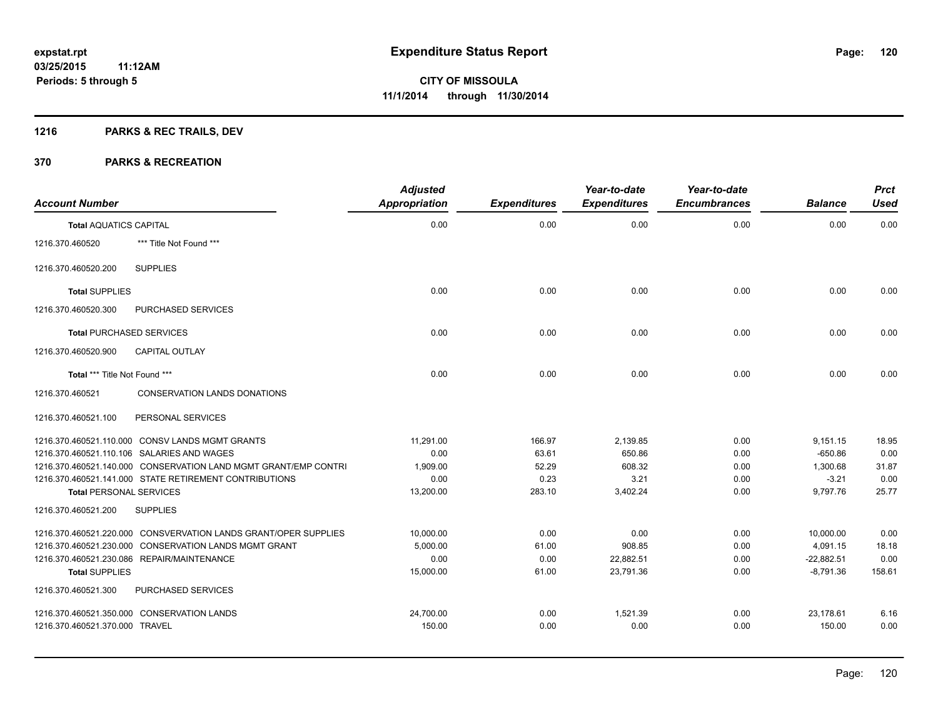## **1216 PARKS & REC TRAILS, DEV**

| <b>Account Number</b>           |                                                                 | <b>Adjusted</b><br><b>Appropriation</b> | <b>Expenditures</b> | Year-to-date<br><b>Expenditures</b> | Year-to-date<br><b>Encumbrances</b> | <b>Balance</b> | <b>Prct</b><br><b>Used</b> |
|---------------------------------|-----------------------------------------------------------------|-----------------------------------------|---------------------|-------------------------------------|-------------------------------------|----------------|----------------------------|
| <b>Total AQUATICS CAPITAL</b>   |                                                                 | 0.00                                    | 0.00                | 0.00                                | 0.00                                | 0.00           | 0.00                       |
| 1216.370.460520                 | *** Title Not Found ***                                         |                                         |                     |                                     |                                     |                |                            |
| 1216.370.460520.200             | <b>SUPPLIES</b>                                                 |                                         |                     |                                     |                                     |                |                            |
| <b>Total SUPPLIES</b>           |                                                                 | 0.00                                    | 0.00                | 0.00                                | 0.00                                | 0.00           | 0.00                       |
| 1216.370.460520.300             | <b>PURCHASED SERVICES</b>                                       |                                         |                     |                                     |                                     |                |                            |
| <b>Total PURCHASED SERVICES</b> |                                                                 | 0.00                                    | 0.00                | 0.00                                | 0.00                                | 0.00           | 0.00                       |
| 1216.370.460520.900             | <b>CAPITAL OUTLAY</b>                                           |                                         |                     |                                     |                                     |                |                            |
| Total *** Title Not Found ***   |                                                                 | 0.00                                    | 0.00                | 0.00                                | 0.00                                | 0.00           | 0.00                       |
| 1216.370.460521                 | <b>CONSERVATION LANDS DONATIONS</b>                             |                                         |                     |                                     |                                     |                |                            |
| 1216.370.460521.100             | PERSONAL SERVICES                                               |                                         |                     |                                     |                                     |                |                            |
|                                 | 1216.370.460521.110.000 CONSV LANDS MGMT GRANTS                 | 11,291.00                               | 166.97              | 2,139.85                            | 0.00                                | 9,151.15       | 18.95                      |
|                                 | 1216.370.460521.110.106 SALARIES AND WAGES                      | 0.00                                    | 63.61               | 650.86                              | 0.00                                | $-650.86$      | 0.00                       |
|                                 | 1216.370.460521.140.000 CONSERVATION LAND MGMT GRANT/EMP CONTRI | 1,909.00                                | 52.29               | 608.32                              | 0.00                                | 1.300.68       | 31.87                      |
|                                 | 1216.370.460521.141.000 STATE RETIREMENT CONTRIBUTIONS          | 0.00                                    | 0.23                | 3.21                                | 0.00                                | $-3.21$        | 0.00                       |
| <b>Total PERSONAL SERVICES</b>  |                                                                 | 13,200.00                               | 283.10              | 3,402.24                            | 0.00                                | 9,797.76       | 25.77                      |
| 1216.370.460521.200             | <b>SUPPLIES</b>                                                 |                                         |                     |                                     |                                     |                |                            |
|                                 | 1216.370.460521.220.000 CONSVERVATION LANDS GRANT/OPER SUPPLIES | 10,000.00                               | 0.00                | 0.00                                | 0.00                                | 10,000.00      | 0.00                       |
|                                 | 1216.370.460521.230.000 CONSERVATION LANDS MGMT GRANT           | 5,000.00                                | 61.00               | 908.85                              | 0.00                                | 4,091.15       | 18.18                      |
|                                 | 1216.370.460521.230.086 REPAIR/MAINTENANCE                      | 0.00                                    | 0.00                | 22,882.51                           | 0.00                                | $-22,882.51$   | 0.00                       |
| <b>Total SUPPLIES</b>           |                                                                 | 15,000.00                               | 61.00               | 23,791.36                           | 0.00                                | $-8.791.36$    | 158.61                     |
| 1216.370.460521.300             | PURCHASED SERVICES                                              |                                         |                     |                                     |                                     |                |                            |
|                                 | 1216.370.460521.350.000 CONSERVATION LANDS                      | 24,700.00                               | 0.00                | 1,521.39                            | 0.00                                | 23,178.61      | 6.16                       |
| 1216.370.460521.370.000 TRAVEL  |                                                                 | 150.00                                  | 0.00                | 0.00                                | 0.00                                | 150.00         | 0.00                       |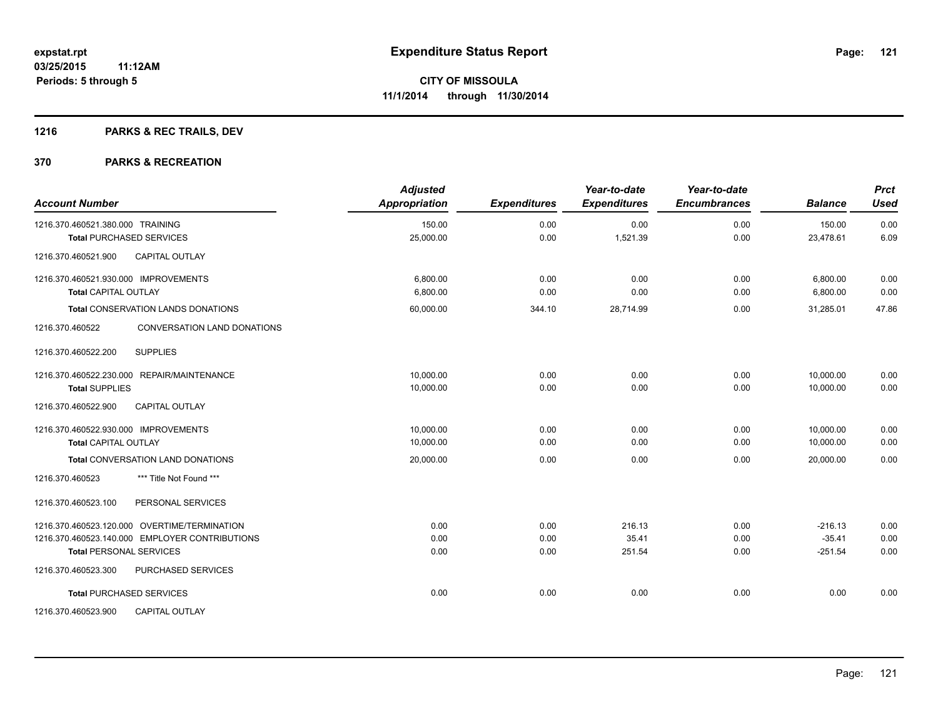## **1216 PARKS & REC TRAILS, DEV**

| <b>Account Number</b>                          | <b>Adjusted</b><br>Appropriation | <b>Expenditures</b> | Year-to-date<br><b>Expenditures</b> | Year-to-date<br><b>Encumbrances</b> | <b>Balance</b> | <b>Prct</b><br><b>Used</b> |
|------------------------------------------------|----------------------------------|---------------------|-------------------------------------|-------------------------------------|----------------|----------------------------|
| 1216.370.460521.380.000 TRAINING               | 150.00                           | 0.00                | 0.00                                | 0.00                                | 150.00         | 0.00                       |
| <b>Total PURCHASED SERVICES</b>                | 25,000.00                        | 0.00                | 1,521.39                            | 0.00                                | 23,478.61      | 6.09                       |
| <b>CAPITAL OUTLAY</b><br>1216.370.460521.900   |                                  |                     |                                     |                                     |                |                            |
| 1216.370.460521.930.000 IMPROVEMENTS           | 6.800.00                         | 0.00                | 0.00                                | 0.00                                | 6,800.00       | 0.00                       |
| <b>Total CAPITAL OUTLAY</b>                    | 6,800.00                         | 0.00                | 0.00                                | 0.00                                | 6,800.00       | 0.00                       |
| <b>Total CONSERVATION LANDS DONATIONS</b>      | 60,000.00                        | 344.10              | 28,714.99                           | 0.00                                | 31,285.01      | 47.86                      |
| 1216.370.460522<br>CONVERSATION LAND DONATIONS |                                  |                     |                                     |                                     |                |                            |
| <b>SUPPLIES</b><br>1216.370.460522.200         |                                  |                     |                                     |                                     |                |                            |
| 1216.370.460522.230.000 REPAIR/MAINTENANCE     | 10,000.00                        | 0.00                | 0.00                                | 0.00                                | 10,000.00      | 0.00                       |
| <b>Total SUPPLIES</b>                          | 10,000.00                        | 0.00                | 0.00                                | 0.00                                | 10,000.00      | 0.00                       |
| <b>CAPITAL OUTLAY</b><br>1216.370.460522.900   |                                  |                     |                                     |                                     |                |                            |
| 1216.370.460522.930.000 IMPROVEMENTS           | 10,000.00                        | 0.00                | 0.00                                | 0.00                                | 10,000.00      | 0.00                       |
| <b>Total CAPITAL OUTLAY</b>                    | 10,000.00                        | 0.00                | 0.00                                | 0.00                                | 10,000.00      | 0.00                       |
| <b>Total CONVERSATION LAND DONATIONS</b>       | 20,000.00                        | 0.00                | 0.00                                | 0.00                                | 20,000.00      | 0.00                       |
| 1216.370.460523<br>*** Title Not Found ***     |                                  |                     |                                     |                                     |                |                            |
| PERSONAL SERVICES<br>1216.370.460523.100       |                                  |                     |                                     |                                     |                |                            |
| 1216.370.460523.120.000 OVERTIME/TERMINATION   | 0.00                             | 0.00                | 216.13                              | 0.00                                | $-216.13$      | 0.00                       |
| 1216.370.460523.140.000 EMPLOYER CONTRIBUTIONS | 0.00                             | 0.00                | 35.41                               | 0.00                                | $-35.41$       | 0.00                       |
| <b>Total PERSONAL SERVICES</b>                 | 0.00                             | 0.00                | 251.54                              | 0.00                                | $-251.54$      | 0.00                       |
| PURCHASED SERVICES<br>1216.370.460523.300      |                                  |                     |                                     |                                     |                |                            |
| <b>Total PURCHASED SERVICES</b>                | 0.00                             | 0.00                | 0.00                                | 0.00                                | 0.00           | 0.00                       |
| CAPITAL OUTLAY<br>1216.370.460523.900          |                                  |                     |                                     |                                     |                |                            |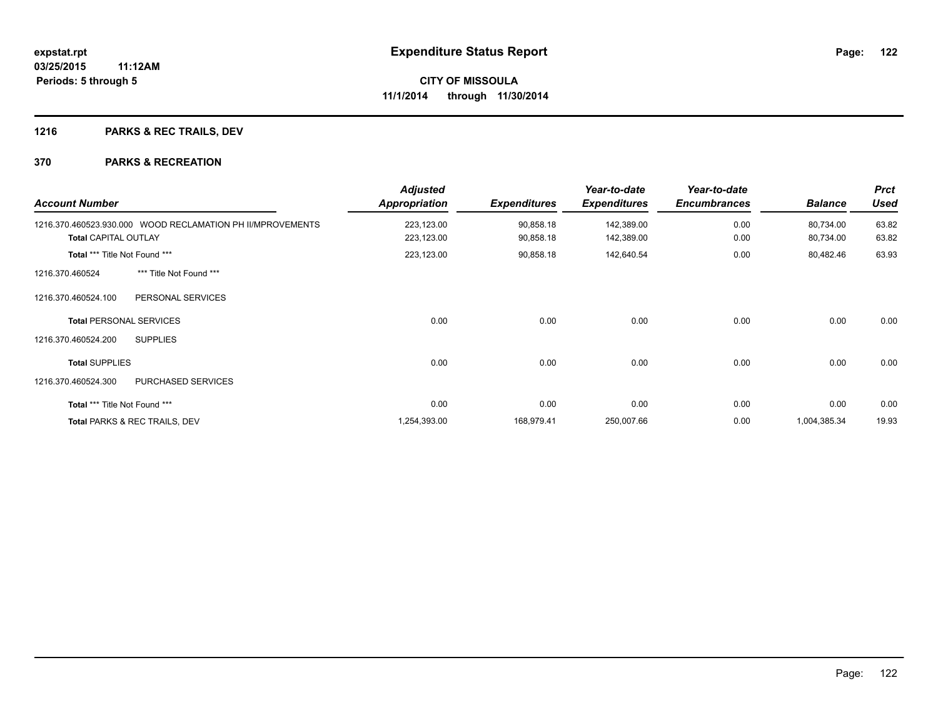## **1216 PARKS & REC TRAILS, DEV**

| <b>Account Number</b>         |                                                            | <b>Adjusted</b><br><b>Appropriation</b> | <b>Expenditures</b>    | Year-to-date<br><b>Expenditures</b> | Year-to-date<br><b>Encumbrances</b> | <b>Balance</b>         | <b>Prct</b><br><b>Used</b> |
|-------------------------------|------------------------------------------------------------|-----------------------------------------|------------------------|-------------------------------------|-------------------------------------|------------------------|----------------------------|
| <b>Total CAPITAL OUTLAY</b>   | 1216.370.460523.930.000 WOOD RECLAMATION PH II/MPROVEMENTS | 223,123.00<br>223,123.00                | 90,858.18<br>90,858.18 | 142,389.00<br>142,389.00            | 0.00<br>0.00                        | 80,734.00<br>80,734.00 | 63.82<br>63.82             |
| Total *** Title Not Found *** |                                                            | 223,123.00                              | 90,858.18              | 142,640.54                          | 0.00                                | 80,482.46              | 63.93                      |
| 1216.370.460524               | *** Title Not Found ***                                    |                                         |                        |                                     |                                     |                        |                            |
| 1216.370.460524.100           | PERSONAL SERVICES                                          |                                         |                        |                                     |                                     |                        |                            |
|                               | <b>Total PERSONAL SERVICES</b>                             | 0.00                                    | 0.00                   | 0.00                                | 0.00                                | 0.00                   | 0.00                       |
| 1216.370.460524.200           | <b>SUPPLIES</b>                                            |                                         |                        |                                     |                                     |                        |                            |
| <b>Total SUPPLIES</b>         |                                                            | 0.00                                    | 0.00                   | 0.00                                | 0.00                                | 0.00                   | 0.00                       |
| 1216.370.460524.300           | PURCHASED SERVICES                                         |                                         |                        |                                     |                                     |                        |                            |
| Total *** Title Not Found *** |                                                            | 0.00                                    | 0.00                   | 0.00                                | 0.00                                | 0.00                   | 0.00                       |
|                               | Total PARKS & REC TRAILS, DEV                              | 1,254,393.00                            | 168,979.41             | 250,007.66                          | 0.00                                | 1,004,385.34           | 19.93                      |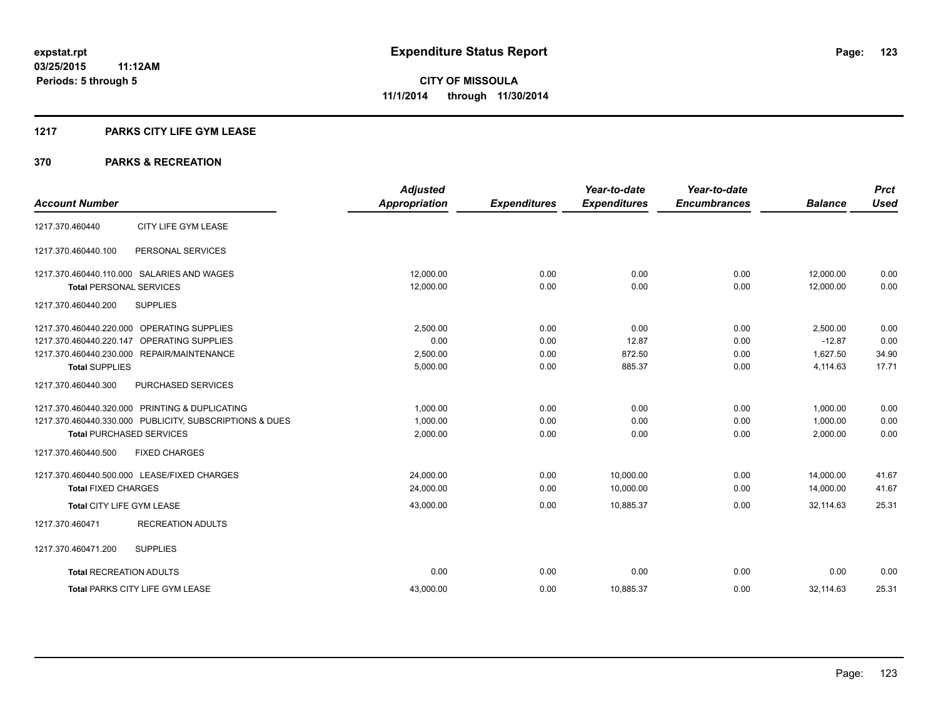#### **1217 PARKS CITY LIFE GYM LEASE**

|                                                         | <b>Adjusted</b>      |                     | Year-to-date        | Year-to-date        |                | <b>Prct</b> |
|---------------------------------------------------------|----------------------|---------------------|---------------------|---------------------|----------------|-------------|
| <b>Account Number</b>                                   | <b>Appropriation</b> | <b>Expenditures</b> | <b>Expenditures</b> | <b>Encumbrances</b> | <b>Balance</b> | <b>Used</b> |
| CITY LIFE GYM LEASE<br>1217.370.460440                  |                      |                     |                     |                     |                |             |
| 1217.370.460440.100<br>PERSONAL SERVICES                |                      |                     |                     |                     |                |             |
| 1217.370.460440.110.000 SALARIES AND WAGES              | 12,000.00            | 0.00                | 0.00                | 0.00                | 12,000.00      | 0.00        |
| <b>Total PERSONAL SERVICES</b>                          | 12.000.00            | 0.00                | 0.00                | 0.00                | 12.000.00      | 0.00        |
| <b>SUPPLIES</b><br>1217.370.460440.200                  |                      |                     |                     |                     |                |             |
| 1217.370.460440.220.000 OPERATING SUPPLIES              | 2,500.00             | 0.00                | 0.00                | 0.00                | 2,500.00       | 0.00        |
| 1217.370.460440.220.147<br>OPERATING SUPPLIES           | 0.00                 | 0.00                | 12.87               | 0.00                | $-12.87$       | 0.00        |
| 1217.370.460440.230.000 REPAIR/MAINTENANCE              | 2,500.00             | 0.00                | 872.50              | 0.00                | 1,627.50       | 34.90       |
| <b>Total SUPPLIES</b>                                   | 5,000.00             | 0.00                | 885.37              | 0.00                | 4,114.63       | 17.71       |
| 1217.370.460440.300<br><b>PURCHASED SERVICES</b>        |                      |                     |                     |                     |                |             |
| 1217.370.460440.320.000 PRINTING & DUPLICATING          | 1.000.00             | 0.00                | 0.00                | 0.00                | 1.000.00       | 0.00        |
| 1217.370.460440.330.000 PUBLICITY, SUBSCRIPTIONS & DUES | 1,000.00             | 0.00                | 0.00                | 0.00                | 1,000.00       | 0.00        |
| <b>Total PURCHASED SERVICES</b>                         | 2,000.00             | 0.00                | 0.00                | 0.00                | 2,000.00       | 0.00        |
| 1217.370.460440.500<br><b>FIXED CHARGES</b>             |                      |                     |                     |                     |                |             |
| 1217.370.460440.500.000 LEASE/FIXED CHARGES             | 24,000.00            | 0.00                | 10,000.00           | 0.00                | 14,000.00      | 41.67       |
| <b>Total FIXED CHARGES</b>                              | 24,000.00            | 0.00                | 10,000.00           | 0.00                | 14,000.00      | 41.67       |
| Total CITY LIFE GYM LEASE                               | 43,000.00            | 0.00                | 10,885.37           | 0.00                | 32,114.63      | 25.31       |
| <b>RECREATION ADULTS</b><br>1217.370.460471             |                      |                     |                     |                     |                |             |
| 1217.370.460471.200<br><b>SUPPLIES</b>                  |                      |                     |                     |                     |                |             |
| <b>Total RECREATION ADULTS</b>                          | 0.00                 | 0.00                | 0.00                | 0.00                | 0.00           | 0.00        |
| <b>Total PARKS CITY LIFE GYM LEASE</b>                  | 43.000.00            | 0.00                | 10,885.37           | 0.00                | 32.114.63      | 25.31       |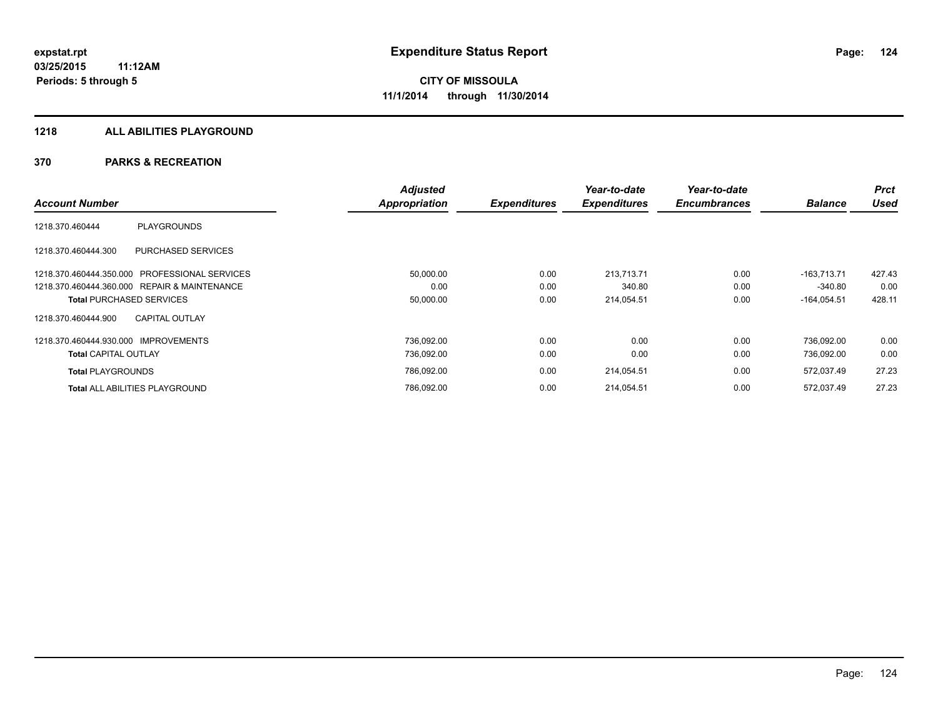#### **1218 ALL ABILITIES PLAYGROUND**

|                                                  | <b>Adjusted</b> |                     | Year-to-date        | Year-to-date        |                | <b>Prct</b> |
|--------------------------------------------------|-----------------|---------------------|---------------------|---------------------|----------------|-------------|
| <b>Account Number</b>                            | Appropriation   | <b>Expenditures</b> | <b>Expenditures</b> | <b>Encumbrances</b> | <b>Balance</b> | <b>Used</b> |
| PLAYGROUNDS<br>1218.370.460444                   |                 |                     |                     |                     |                |             |
| PURCHASED SERVICES<br>1218.370.460444.300        |                 |                     |                     |                     |                |             |
| 1218.370.460444.350.000<br>PROFESSIONAL SERVICES | 50,000.00       | 0.00                | 213,713.71          | 0.00                | $-163.713.71$  | 427.43      |
| 1218.370.460444.360.000 REPAIR & MAINTENANCE     | 0.00            | 0.00                | 340.80              | 0.00                | $-340.80$      | 0.00        |
| <b>Total PURCHASED SERVICES</b>                  | 50,000.00       | 0.00                | 214,054.51          | 0.00                | $-164,054.51$  | 428.11      |
| <b>CAPITAL OUTLAY</b><br>1218.370.460444.900     |                 |                     |                     |                     |                |             |
| 1218.370.460444.930.000 IMPROVEMENTS             | 736.092.00      | 0.00                | 0.00                | 0.00                | 736.092.00     | 0.00        |
| <b>Total CAPITAL OUTLAY</b>                      | 736,092.00      | 0.00                | 0.00                | 0.00                | 736,092.00     | 0.00        |
| <b>Total PLAYGROUNDS</b>                         | 786,092.00      | 0.00                | 214,054.51          | 0.00                | 572,037.49     | 27.23       |
| <b>Total ALL ABILITIES PLAYGROUND</b>            | 786.092.00      | 0.00                | 214,054.51          | 0.00                | 572.037.49     | 27.23       |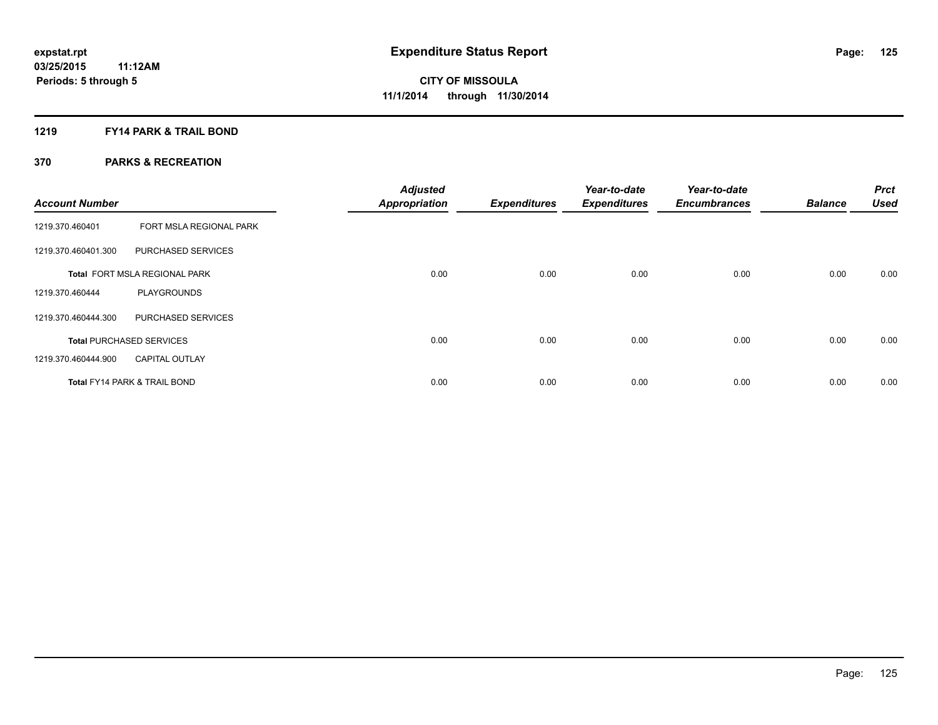#### **1219 FY14 PARK & TRAIL BOND**

| <b>Account Number</b> |                                         | <b>Adjusted</b><br><b>Appropriation</b> | <b>Expenditures</b> | Year-to-date<br><b>Expenditures</b> | Year-to-date<br><b>Encumbrances</b> | <b>Balance</b> | <b>Prct</b><br><b>Used</b> |
|-----------------------|-----------------------------------------|-----------------------------------------|---------------------|-------------------------------------|-------------------------------------|----------------|----------------------------|
| 1219.370.460401       | FORT MSLA REGIONAL PARK                 |                                         |                     |                                     |                                     |                |                            |
| 1219.370.460401.300   | PURCHASED SERVICES                      |                                         |                     |                                     |                                     |                |                            |
|                       | Total FORT MSLA REGIONAL PARK           | 0.00                                    | 0.00                | 0.00                                | 0.00                                | 0.00           | 0.00                       |
| 1219.370.460444       | <b>PLAYGROUNDS</b>                      |                                         |                     |                                     |                                     |                |                            |
| 1219.370.460444.300   | PURCHASED SERVICES                      |                                         |                     |                                     |                                     |                |                            |
|                       | <b>Total PURCHASED SERVICES</b>         | 0.00                                    | 0.00                | 0.00                                | 0.00                                | 0.00           | 0.00                       |
| 1219.370.460444.900   | <b>CAPITAL OUTLAY</b>                   |                                         |                     |                                     |                                     |                |                            |
|                       | <b>Total FY14 PARK &amp; TRAIL BOND</b> | 0.00                                    | 0.00                | 0.00                                | 0.00                                | 0.00           | 0.00                       |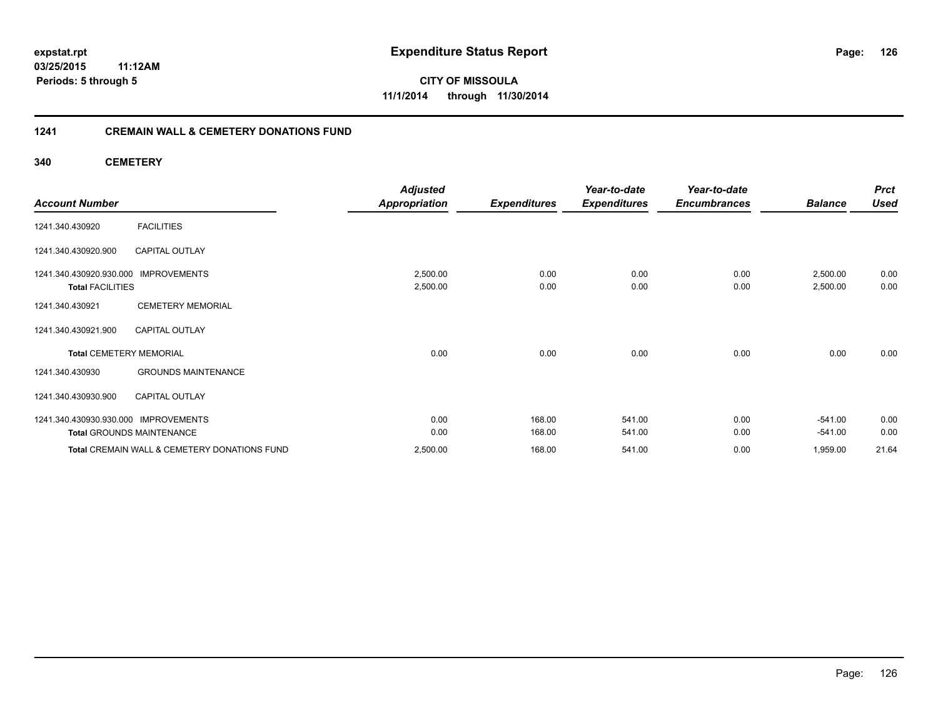### **03/25/2015 11:12AM Periods: 5 through 5**

**CITY OF MISSOULA 11/1/2014 through 11/30/2014**

#### **1241 CREMAIN WALL & CEMETERY DONATIONS FUND**

**340 CEMETERY**

|                                                                           | <b>Adjusted</b>      |                     | Year-to-date        | Year-to-date        |                      | <b>Prct</b>  |
|---------------------------------------------------------------------------|----------------------|---------------------|---------------------|---------------------|----------------------|--------------|
| <b>Account Number</b>                                                     | <b>Appropriation</b> | <b>Expenditures</b> | <b>Expenditures</b> | <b>Encumbrances</b> | <b>Balance</b>       | <b>Used</b>  |
| <b>FACILITIES</b><br>1241.340.430920                                      |                      |                     |                     |                     |                      |              |
| CAPITAL OUTLAY<br>1241.340.430920.900                                     |                      |                     |                     |                     |                      |              |
| <b>IMPROVEMENTS</b><br>1241.340.430920.930.000<br><b>Total FACILITIES</b> | 2,500.00<br>2,500.00 | 0.00<br>0.00        | 0.00<br>0.00        | 0.00<br>0.00        | 2,500.00<br>2,500.00 | 0.00<br>0.00 |
| <b>CEMETERY MEMORIAL</b><br>1241.340.430921                               |                      |                     |                     |                     |                      |              |
| 1241.340.430921.900<br><b>CAPITAL OUTLAY</b>                              |                      |                     |                     |                     |                      |              |
| <b>Total CEMETERY MEMORIAL</b>                                            | 0.00                 | 0.00                | 0.00                | 0.00                | 0.00                 | 0.00         |
| <b>GROUNDS MAINTENANCE</b><br>1241.340.430930                             |                      |                     |                     |                     |                      |              |
| 1241.340.430930.900<br><b>CAPITAL OUTLAY</b>                              |                      |                     |                     |                     |                      |              |
| 1241.340.430930.930.000 IMPROVEMENTS                                      | 0.00                 | 168.00              | 541.00              | 0.00                | $-541.00$            | 0.00         |
| <b>Total GROUNDS MAINTENANCE</b>                                          | 0.00                 | 168.00              | 541.00              | 0.00                | $-541.00$            | 0.00         |
| Total CREMAIN WALL & CEMETERY DONATIONS FUND                              | 2,500.00             | 168.00              | 541.00              | 0.00                | 1,959.00             | 21.64        |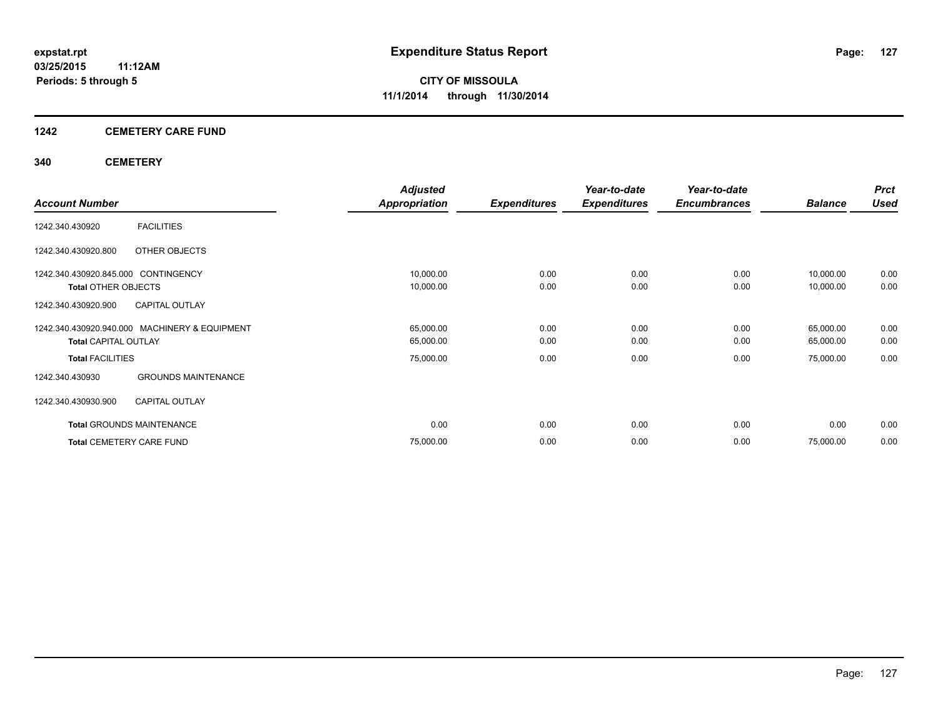#### **1242 CEMETERY CARE FUND**

#### **340 CEMETERY**

|                                     |                                               | <b>Adjusted</b>      |                     | Year-to-date        | Year-to-date        |                | <b>Prct</b> |
|-------------------------------------|-----------------------------------------------|----------------------|---------------------|---------------------|---------------------|----------------|-------------|
| <b>Account Number</b>               |                                               | <b>Appropriation</b> | <b>Expenditures</b> | <b>Expenditures</b> | <b>Encumbrances</b> | <b>Balance</b> | <b>Used</b> |
| 1242.340.430920                     | <b>FACILITIES</b>                             |                      |                     |                     |                     |                |             |
| 1242.340.430920.800                 | OTHER OBJECTS                                 |                      |                     |                     |                     |                |             |
| 1242.340.430920.845.000 CONTINGENCY |                                               | 10,000.00            | 0.00                | 0.00                | 0.00                | 10,000.00      | 0.00        |
| <b>Total OTHER OBJECTS</b>          |                                               | 10,000.00            | 0.00                | 0.00                | 0.00                | 10,000.00      | 0.00        |
| 1242.340.430920.900                 | <b>CAPITAL OUTLAY</b>                         |                      |                     |                     |                     |                |             |
|                                     | 1242.340.430920.940.000 MACHINERY & EQUIPMENT | 65,000.00            | 0.00                | 0.00                | 0.00                | 65,000.00      | 0.00        |
| <b>Total CAPITAL OUTLAY</b>         |                                               | 65,000.00            | 0.00                | 0.00                | 0.00                | 65,000.00      | 0.00        |
| <b>Total FACILITIES</b>             |                                               | 75,000.00            | 0.00                | 0.00                | 0.00                | 75,000.00      | 0.00        |
| 1242.340.430930                     | <b>GROUNDS MAINTENANCE</b>                    |                      |                     |                     |                     |                |             |
| 1242.340.430930.900                 | <b>CAPITAL OUTLAY</b>                         |                      |                     |                     |                     |                |             |
| <b>Total GROUNDS MAINTENANCE</b>    |                                               | 0.00                 | 0.00                | 0.00                | 0.00                | 0.00           | 0.00        |
| <b>Total CEMETERY CARE FUND</b>     |                                               | 75,000.00            | 0.00                | 0.00                | 0.00                | 75,000.00      | 0.00        |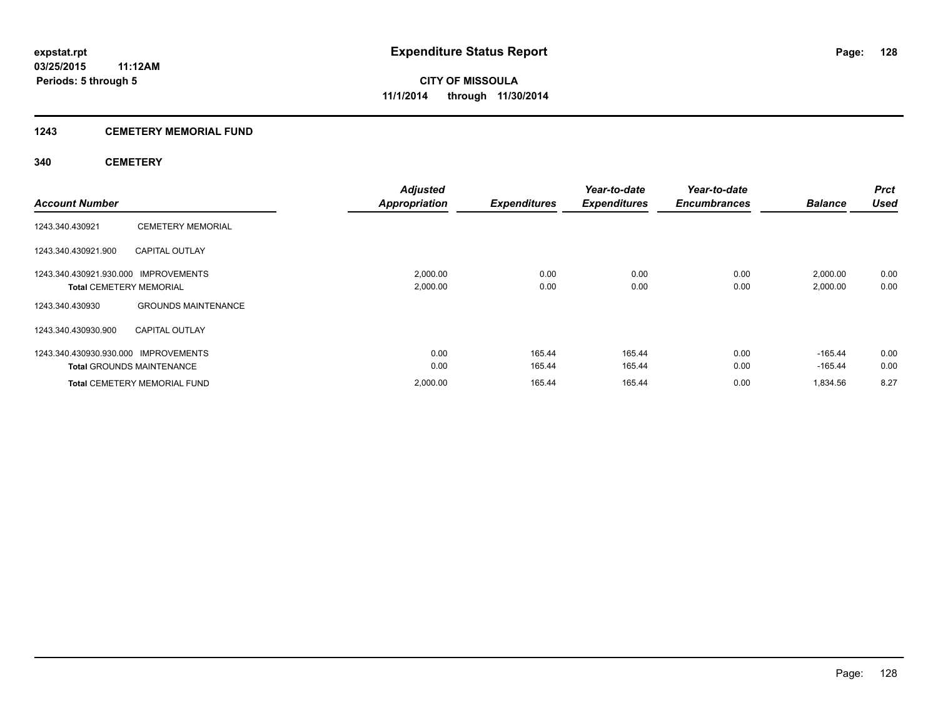#### **1243 CEMETERY MEMORIAL FUND**

#### **340 CEMETERY**

| <b>Account Number</b>                                                  |                                     | <b>Adjusted</b><br><b>Appropriation</b> | <b>Expenditures</b> | Year-to-date<br><b>Expenditures</b> | Year-to-date<br><b>Encumbrances</b> | <b>Balance</b>         | <b>Prct</b><br><b>Used</b> |
|------------------------------------------------------------------------|-------------------------------------|-----------------------------------------|---------------------|-------------------------------------|-------------------------------------|------------------------|----------------------------|
| 1243.340.430921                                                        | <b>CEMETERY MEMORIAL</b>            |                                         |                     |                                     |                                     |                        |                            |
| 1243.340.430921.900                                                    | <b>CAPITAL OUTLAY</b>               |                                         |                     |                                     |                                     |                        |                            |
| 1243.340.430921.930.000 IMPROVEMENTS<br><b>Total CEMETERY MEMORIAL</b> |                                     | 2,000.00<br>2,000.00                    | 0.00<br>0.00        | 0.00<br>0.00                        | 0.00<br>0.00                        | 2,000.00<br>2,000.00   | 0.00<br>0.00               |
| 1243.340.430930                                                        | <b>GROUNDS MAINTENANCE</b>          |                                         |                     |                                     |                                     |                        |                            |
| 1243.340.430930.900                                                    | <b>CAPITAL OUTLAY</b>               |                                         |                     |                                     |                                     |                        |                            |
| 1243.340.430930.930.000 IMPROVEMENTS                                   | <b>Total GROUNDS MAINTENANCE</b>    | 0.00<br>0.00                            | 165.44<br>165.44    | 165.44<br>165.44                    | 0.00<br>0.00                        | $-165.44$<br>$-165.44$ | 0.00<br>0.00               |
|                                                                        | <b>Total CEMETERY MEMORIAL FUND</b> | 2,000.00                                | 165.44              | 165.44                              | 0.00                                | 1,834.56               | 8.27                       |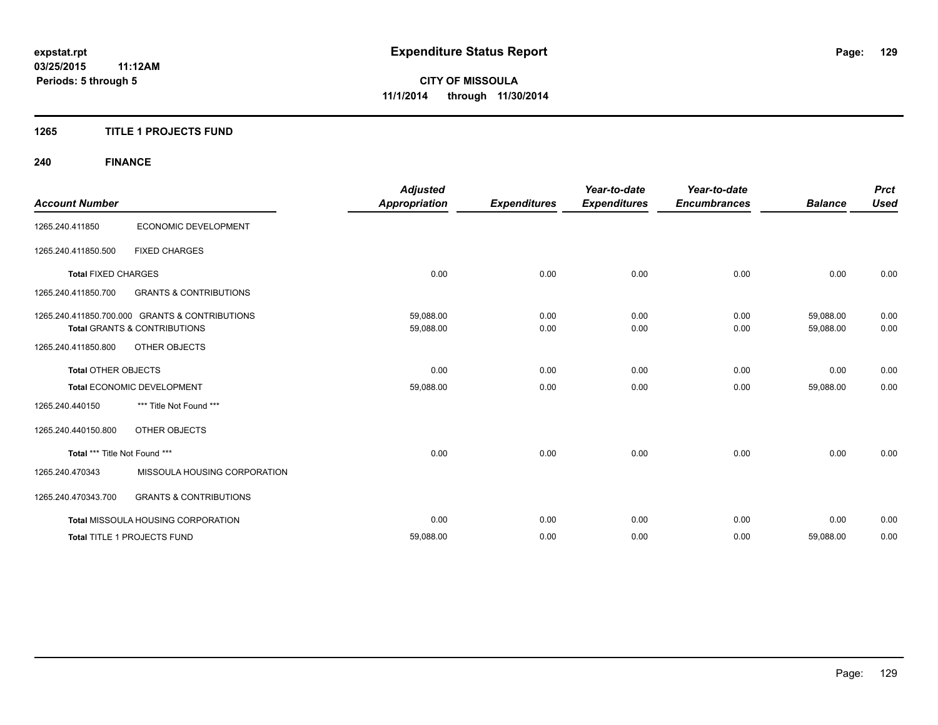#### **1265 TITLE 1 PROJECTS FUND**

## **240 FINANCE**

| <b>Account Number</b>         |                                                                                           | <b>Adjusted</b><br><b>Appropriation</b> | <b>Expenditures</b> | Year-to-date<br><b>Expenditures</b> | Year-to-date<br><b>Encumbrances</b> | <b>Balance</b>         | <b>Prct</b><br><b>Used</b> |
|-------------------------------|-------------------------------------------------------------------------------------------|-----------------------------------------|---------------------|-------------------------------------|-------------------------------------|------------------------|----------------------------|
| 1265.240.411850               | ECONOMIC DEVELOPMENT                                                                      |                                         |                     |                                     |                                     |                        |                            |
| 1265.240.411850.500           | <b>FIXED CHARGES</b>                                                                      |                                         |                     |                                     |                                     |                        |                            |
| <b>Total FIXED CHARGES</b>    |                                                                                           | 0.00                                    | 0.00                | 0.00                                | 0.00                                | 0.00                   | 0.00                       |
| 1265.240.411850.700           | <b>GRANTS &amp; CONTRIBUTIONS</b>                                                         |                                         |                     |                                     |                                     |                        |                            |
|                               | 1265.240.411850.700.000 GRANTS & CONTRIBUTIONS<br><b>Total GRANTS &amp; CONTRIBUTIONS</b> | 59,088.00<br>59,088.00                  | 0.00<br>0.00        | 0.00<br>0.00                        | 0.00<br>0.00                        | 59,088.00<br>59,088.00 | 0.00<br>0.00               |
| 1265.240.411850.800           | <b>OTHER OBJECTS</b>                                                                      |                                         |                     |                                     |                                     |                        |                            |
| <b>Total OTHER OBJECTS</b>    |                                                                                           | 0.00                                    | 0.00                | 0.00                                | 0.00                                | 0.00                   | 0.00                       |
|                               | Total ECONOMIC DEVELOPMENT                                                                | 59,088.00                               | 0.00                | 0.00                                | 0.00                                | 59,088.00              | 0.00                       |
| 1265.240.440150               | *** Title Not Found ***                                                                   |                                         |                     |                                     |                                     |                        |                            |
| 1265.240.440150.800           | OTHER OBJECTS                                                                             |                                         |                     |                                     |                                     |                        |                            |
| Total *** Title Not Found *** |                                                                                           | 0.00                                    | 0.00                | 0.00                                | 0.00                                | 0.00                   | 0.00                       |
| 1265.240.470343               | MISSOULA HOUSING CORPORATION                                                              |                                         |                     |                                     |                                     |                        |                            |
| 1265.240.470343.700           | <b>GRANTS &amp; CONTRIBUTIONS</b>                                                         |                                         |                     |                                     |                                     |                        |                            |
|                               | <b>Total MISSOULA HOUSING CORPORATION</b>                                                 | 0.00                                    | 0.00                | 0.00                                | 0.00                                | 0.00                   | 0.00                       |
|                               | <b>Total TITLE 1 PROJECTS FUND</b>                                                        | 59,088.00                               | 0.00                | 0.00                                | 0.00                                | 59,088.00              | 0.00                       |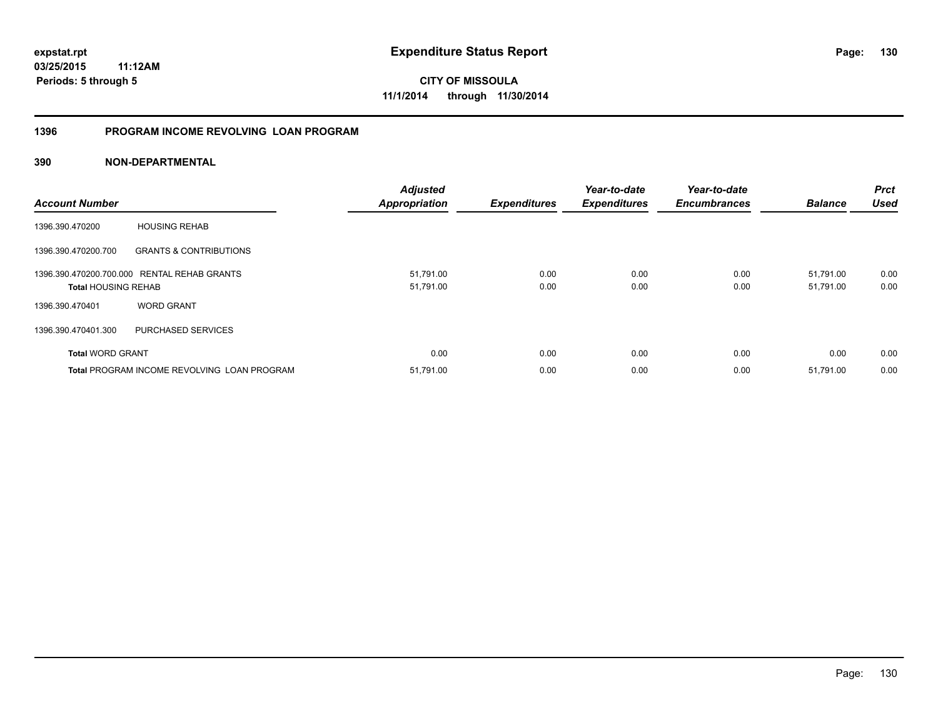**03/25/2015 11:12AM Periods: 5 through 5**

**CITY OF MISSOULA 11/1/2014 through 11/30/2014**

#### **1396 PROGRAM INCOME REVOLVING LOAN PROGRAM**

| <b>Account Number</b>      |                                                    | <b>Adjusted</b><br><b>Appropriation</b> | <b>Expenditures</b> | Year-to-date<br><b>Expenditures</b> | Year-to-date<br><b>Encumbrances</b> | <b>Balance</b>         | <b>Prct</b><br><b>Used</b> |
|----------------------------|----------------------------------------------------|-----------------------------------------|---------------------|-------------------------------------|-------------------------------------|------------------------|----------------------------|
| 1396.390.470200            | <b>HOUSING REHAB</b>                               |                                         |                     |                                     |                                     |                        |                            |
| 1396.390.470200.700        | <b>GRANTS &amp; CONTRIBUTIONS</b>                  |                                         |                     |                                     |                                     |                        |                            |
| <b>Total HOUSING REHAB</b> | 1396.390.470200.700.000 RENTAL REHAB GRANTS        | 51,791.00<br>51,791.00                  | 0.00<br>0.00        | 0.00<br>0.00                        | 0.00<br>0.00                        | 51.791.00<br>51,791.00 | 0.00<br>0.00               |
| 1396.390.470401            | <b>WORD GRANT</b>                                  |                                         |                     |                                     |                                     |                        |                            |
| 1396.390.470401.300        | PURCHASED SERVICES                                 |                                         |                     |                                     |                                     |                        |                            |
| <b>Total WORD GRANT</b>    |                                                    | 0.00                                    | 0.00                | 0.00                                | 0.00                                | 0.00                   | 0.00                       |
|                            | <b>Total PROGRAM INCOME REVOLVING LOAN PROGRAM</b> | 51,791.00                               | 0.00                | 0.00                                | 0.00                                | 51,791.00              | 0.00                       |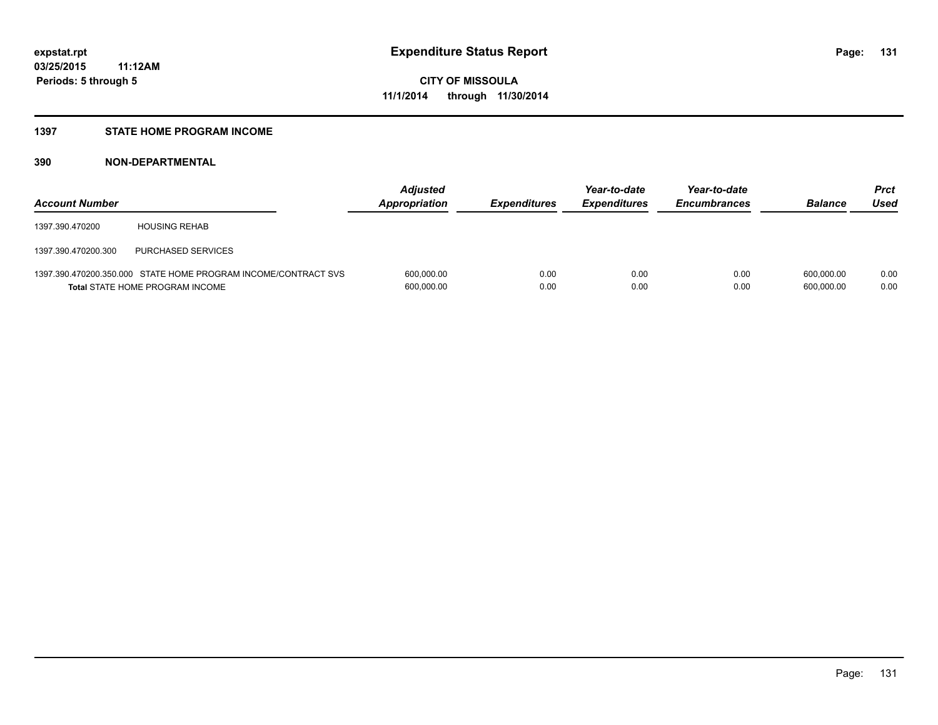#### **1397 STATE HOME PROGRAM INCOME**

| <b>Account Number</b> |                                                                                                          | <b>Adjusted</b><br>Appropriation | <b>Expenditures</b> | Year-to-date<br><b>Expenditures</b> | Year-to-date<br><b>Encumbrances</b> | <b>Balance</b>           | <b>Prct</b><br>Used |
|-----------------------|----------------------------------------------------------------------------------------------------------|----------------------------------|---------------------|-------------------------------------|-------------------------------------|--------------------------|---------------------|
| 1397.390.470200       | <b>HOUSING REHAB</b>                                                                                     |                                  |                     |                                     |                                     |                          |                     |
| 1397.390.470200.300   | PURCHASED SERVICES                                                                                       |                                  |                     |                                     |                                     |                          |                     |
|                       | 1397.390.470200.350.000 STATE HOME PROGRAM INCOME/CONTRACT SVS<br><b>Total STATE HOME PROGRAM INCOME</b> | 600,000.00<br>600,000.00         | 0.00<br>0.00        | 0.00<br>0.00                        | 0.00<br>0.00                        | 600.000.00<br>600.000.00 | 0.00<br>0.00        |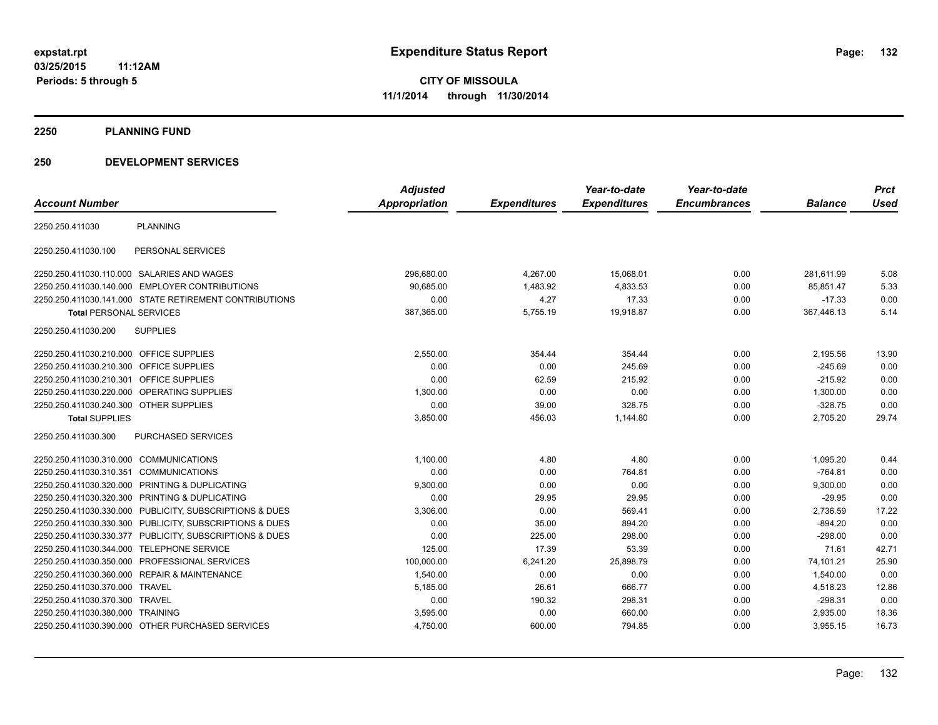**2250 PLANNING FUND**

#### **250 DEVELOPMENT SERVICES**

|                                         |                                                         | <b>Adjusted</b> |                     | Year-to-date<br><b>Expenditures</b> | Year-to-date<br><b>Encumbrances</b> |                | <b>Prct</b> |
|-----------------------------------------|---------------------------------------------------------|-----------------|---------------------|-------------------------------------|-------------------------------------|----------------|-------------|
| <b>Account Number</b>                   |                                                         | Appropriation   | <b>Expenditures</b> |                                     |                                     | <b>Balance</b> | Used        |
| 2250.250.411030                         | <b>PLANNING</b>                                         |                 |                     |                                     |                                     |                |             |
| 2250.250.411030.100                     | PERSONAL SERVICES                                       |                 |                     |                                     |                                     |                |             |
|                                         | 2250.250.411030.110.000 SALARIES AND WAGES              | 296,680.00      | 4,267.00            | 15,068.01                           | 0.00                                | 281,611.99     | 5.08        |
|                                         | 2250.250.411030.140.000 EMPLOYER CONTRIBUTIONS          | 90.685.00       | 1,483.92            | 4,833.53                            | 0.00                                | 85.851.47      | 5.33        |
|                                         | 2250.250.411030.141.000 STATE RETIREMENT CONTRIBUTIONS  | 0.00            | 4.27                | 17.33                               | 0.00                                | $-17.33$       | 0.00        |
| <b>Total PERSONAL SERVICES</b>          |                                                         | 387,365.00      | 5,755.19            | 19,918.87                           | 0.00                                | 367,446.13     | 5.14        |
| 2250.250.411030.200                     | <b>SUPPLIES</b>                                         |                 |                     |                                     |                                     |                |             |
| 2250.250.411030.210.000 OFFICE SUPPLIES |                                                         | 2,550.00        | 354.44              | 354.44                              | 0.00                                | 2,195.56       | 13.90       |
| 2250.250.411030.210.300 OFFICE SUPPLIES |                                                         | 0.00            | 0.00                | 245.69                              | 0.00                                | $-245.69$      | 0.00        |
| 2250.250.411030.210.301                 | OFFICE SUPPLIES                                         | 0.00            | 62.59               | 215.92                              | 0.00                                | $-215.92$      | 0.00        |
|                                         | 2250.250.411030.220.000 OPERATING SUPPLIES              | 1.300.00        | 0.00                | 0.00                                | 0.00                                | 1,300.00       | 0.00        |
| 2250.250.411030.240.300 OTHER SUPPLIES  |                                                         | 0.00            | 39.00               | 328.75                              | 0.00                                | $-328.75$      | 0.00        |
| <b>Total SUPPLIES</b>                   |                                                         | 3,850.00        | 456.03              | 1,144.80                            | 0.00                                | 2,705.20       | 29.74       |
| 2250.250.411030.300                     | PURCHASED SERVICES                                      |                 |                     |                                     |                                     |                |             |
| 2250.250.411030.310.000 COMMUNICATIONS  |                                                         | 1,100.00        | 4.80                | 4.80                                | 0.00                                | 1,095.20       | 0.44        |
| 2250.250.411030.310.351 COMMUNICATIONS  |                                                         | 0.00            | 0.00                | 764.81                              | 0.00                                | $-764.81$      | 0.00        |
|                                         | 2250.250.411030.320.000 PRINTING & DUPLICATING          | 9,300.00        | 0.00                | 0.00                                | 0.00                                | 9,300.00       | 0.00        |
|                                         | 2250.250.411030.320.300 PRINTING & DUPLICATING          | 0.00            | 29.95               | 29.95                               | 0.00                                | $-29.95$       | 0.00        |
|                                         | 2250.250.411030.330.000 PUBLICITY, SUBSCRIPTIONS & DUES | 3,306.00        | 0.00                | 569.41                              | 0.00                                | 2,736.59       | 17.22       |
|                                         | 2250.250.411030.330.300 PUBLICITY, SUBSCRIPTIONS & DUES | 0.00            | 35.00               | 894.20                              | 0.00                                | $-894.20$      | 0.00        |
|                                         | 2250.250.411030.330.377 PUBLICITY, SUBSCRIPTIONS & DUES | 0.00            | 225.00              | 298.00                              | 0.00                                | $-298.00$      | 0.00        |
| 2250.250.411030.344.000                 | <b>TELEPHONE SERVICE</b>                                | 125.00          | 17.39               | 53.39                               | 0.00                                | 71.61          | 42.71       |
|                                         | 2250.250.411030.350.000 PROFESSIONAL SERVICES           | 100,000.00      | 6,241.20            | 25,898.79                           | 0.00                                | 74,101.21      | 25.90       |
|                                         | 2250.250.411030.360.000 REPAIR & MAINTENANCE            | 1,540.00        | 0.00                | 0.00                                | 0.00                                | 1,540.00       | 0.00        |
| 2250.250.411030.370.000 TRAVEL          |                                                         | 5,185.00        | 26.61               | 666.77                              | 0.00                                | 4,518.23       | 12.86       |
| 2250.250.411030.370.300 TRAVEL          |                                                         | 0.00            | 190.32              | 298.31                              | 0.00                                | $-298.31$      | 0.00        |
| 2250.250.411030.380.000 TRAINING        |                                                         | 3,595.00        | 0.00                | 660.00                              | 0.00                                | 2,935.00       | 18.36       |
|                                         | 2250.250.411030.390.000 OTHER PURCHASED SERVICES        | 4,750.00        | 600.00              | 794.85                              | 0.00                                | 3,955.15       | 16.73       |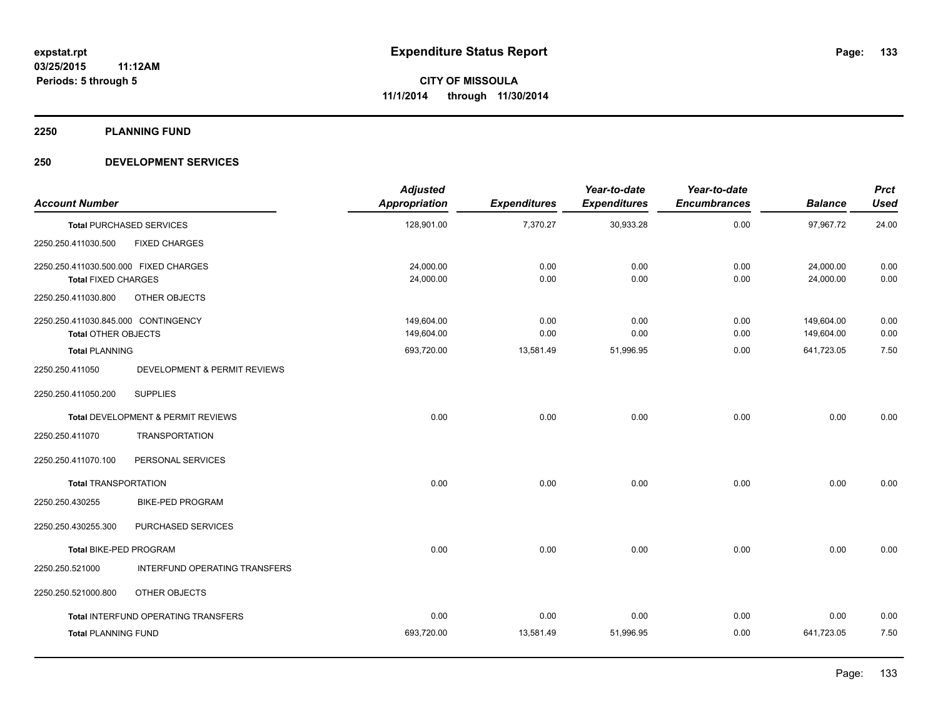**2250 PLANNING FUND**

#### **250 DEVELOPMENT SERVICES**

| <b>Account Number</b>                                               |                               | <b>Adjusted</b><br>Appropriation | <b>Expenditures</b> | Year-to-date<br><b>Expenditures</b> | Year-to-date<br><b>Encumbrances</b> | <b>Balance</b>           | <b>Prct</b><br><b>Used</b> |
|---------------------------------------------------------------------|-------------------------------|----------------------------------|---------------------|-------------------------------------|-------------------------------------|--------------------------|----------------------------|
| <b>Total PURCHASED SERVICES</b>                                     |                               | 128,901.00                       | 7,370.27            | 30,933.28                           | 0.00                                | 97,967.72                | 24.00                      |
| 2250.250.411030.500                                                 | <b>FIXED CHARGES</b>          |                                  |                     |                                     |                                     |                          |                            |
| 2250.250.411030.500.000 FIXED CHARGES<br><b>Total FIXED CHARGES</b> |                               | 24,000.00<br>24,000.00           | 0.00<br>0.00        | 0.00<br>0.00                        | 0.00<br>0.00                        | 24,000.00<br>24,000.00   | 0.00<br>0.00               |
| 2250.250.411030.800                                                 | OTHER OBJECTS                 |                                  |                     |                                     |                                     |                          |                            |
| 2250.250.411030.845.000 CONTINGENCY<br><b>Total OTHER OBJECTS</b>   |                               | 149,604.00<br>149,604.00         | 0.00<br>0.00        | 0.00<br>0.00                        | 0.00<br>0.00                        | 149,604.00<br>149,604.00 | 0.00<br>0.00               |
| <b>Total PLANNING</b><br>2250.250.411050                            | DEVELOPMENT & PERMIT REVIEWS  | 693,720.00                       | 13,581.49           | 51,996.95                           | 0.00                                | 641,723.05               | 7.50                       |
| <b>SUPPLIES</b><br>2250.250.411050.200                              |                               |                                  |                     |                                     |                                     |                          |                            |
| Total DEVELOPMENT & PERMIT REVIEWS                                  |                               | 0.00                             | 0.00                | 0.00                                | 0.00                                | 0.00                     | 0.00                       |
| 2250.250.411070                                                     | <b>TRANSPORTATION</b>         |                                  |                     |                                     |                                     |                          |                            |
| 2250.250.411070.100                                                 | PERSONAL SERVICES             |                                  |                     |                                     |                                     |                          |                            |
| <b>Total TRANSPORTATION</b>                                         |                               | 0.00                             | 0.00                | 0.00                                | 0.00                                | 0.00                     | 0.00                       |
| 2250.250.430255                                                     | <b>BIKE-PED PROGRAM</b>       |                                  |                     |                                     |                                     |                          |                            |
| 2250.250.430255.300                                                 | PURCHASED SERVICES            |                                  |                     |                                     |                                     |                          |                            |
| Total BIKE-PED PROGRAM                                              |                               | 0.00                             | 0.00                | 0.00                                | 0.00                                | 0.00                     | 0.00                       |
| 2250.250.521000                                                     | INTERFUND OPERATING TRANSFERS |                                  |                     |                                     |                                     |                          |                            |
| 2250.250.521000.800                                                 | OTHER OBJECTS                 |                                  |                     |                                     |                                     |                          |                            |
| Total INTERFUND OPERATING TRANSFERS                                 |                               | 0.00                             | 0.00                | 0.00                                | 0.00                                | 0.00                     | 0.00                       |
| <b>Total PLANNING FUND</b>                                          |                               | 693,720.00                       | 13,581.49           | 51,996.95                           | 0.00                                | 641,723.05               | 7.50                       |
|                                                                     |                               |                                  |                     |                                     |                                     |                          |                            |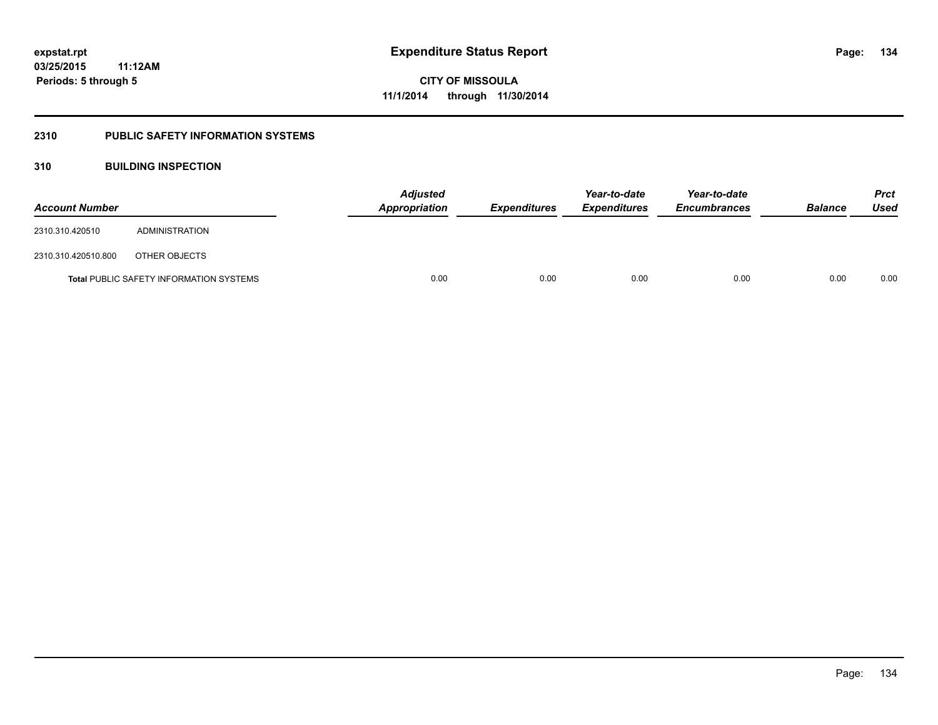### **2310 PUBLIC SAFETY INFORMATION SYSTEMS**

### **310 BUILDING INSPECTION**

| <b>Account Number</b> |                                                | <b>Adjusted</b><br>Appropriation | <b>Expenditures</b> | Year-to-date<br><b>Expenditures</b> | Year-to-date<br><b>Encumbrances</b> | <b>Balance</b> | <b>Prct</b><br><b>Used</b> |
|-----------------------|------------------------------------------------|----------------------------------|---------------------|-------------------------------------|-------------------------------------|----------------|----------------------------|
| 2310.310.420510       | ADMINISTRATION                                 |                                  |                     |                                     |                                     |                |                            |
| 2310.310.420510.800   | OTHER OBJECTS                                  |                                  |                     |                                     |                                     |                |                            |
|                       | <b>Total PUBLIC SAFETY INFORMATION SYSTEMS</b> | 0.00                             | 0.00                | 0.00                                | 0.00                                | 0.00           | 0.00                       |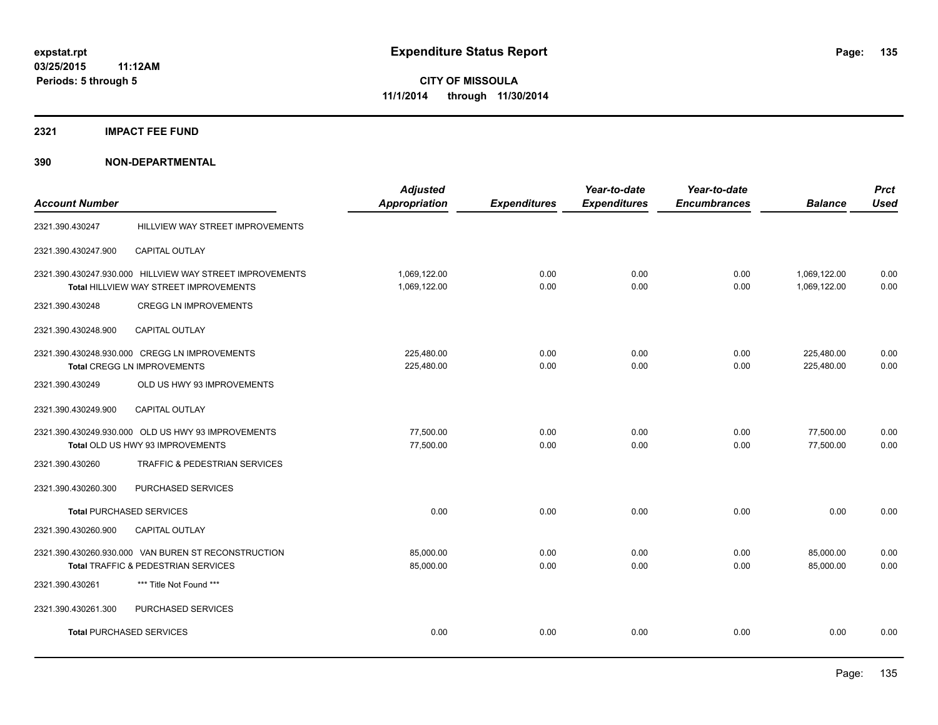#### **2321 IMPACT FEE FUND**

|                                 |                                                          | <b>Adjusted</b>      |                     | Year-to-date        | Year-to-date        |                | <b>Prct</b> |
|---------------------------------|----------------------------------------------------------|----------------------|---------------------|---------------------|---------------------|----------------|-------------|
| <b>Account Number</b>           |                                                          | <b>Appropriation</b> | <b>Expenditures</b> | <b>Expenditures</b> | <b>Encumbrances</b> | <b>Balance</b> | <b>Used</b> |
| 2321.390.430247                 | HILLVIEW WAY STREET IMPROVEMENTS                         |                      |                     |                     |                     |                |             |
| 2321.390.430247.900             | <b>CAPITAL OUTLAY</b>                                    |                      |                     |                     |                     |                |             |
|                                 | 2321.390.430247.930.000 HILLVIEW WAY STREET IMPROVEMENTS | 1,069,122.00         | 0.00                | 0.00                | 0.00                | 1,069,122.00   | 0.00        |
|                                 | Total HILLVIEW WAY STREET IMPROVEMENTS                   | 1,069,122.00         | 0.00                | 0.00                | 0.00                | 1,069,122.00   | 0.00        |
| 2321.390.430248                 | <b>CREGG LN IMPROVEMENTS</b>                             |                      |                     |                     |                     |                |             |
| 2321.390.430248.900             | <b>CAPITAL OUTLAY</b>                                    |                      |                     |                     |                     |                |             |
|                                 | 2321.390.430248.930.000 CREGG LN IMPROVEMENTS            | 225,480.00           | 0.00                | 0.00                | 0.00                | 225,480.00     | 0.00        |
|                                 | <b>Total CREGG LN IMPROVEMENTS</b>                       | 225,480.00           | 0.00                | 0.00                | 0.00                | 225,480.00     | 0.00        |
| 2321.390.430249                 | OLD US HWY 93 IMPROVEMENTS                               |                      |                     |                     |                     |                |             |
| 2321.390.430249.900             | <b>CAPITAL OUTLAY</b>                                    |                      |                     |                     |                     |                |             |
|                                 | 2321.390.430249.930.000 OLD US HWY 93 IMPROVEMENTS       | 77,500.00            | 0.00                | 0.00                | 0.00                | 77,500.00      | 0.00        |
|                                 | Total OLD US HWY 93 IMPROVEMENTS                         | 77,500.00            | 0.00                | 0.00                | 0.00                | 77,500.00      | 0.00        |
| 2321.390.430260                 | <b>TRAFFIC &amp; PEDESTRIAN SERVICES</b>                 |                      |                     |                     |                     |                |             |
| 2321.390.430260.300             | PURCHASED SERVICES                                       |                      |                     |                     |                     |                |             |
| <b>Total PURCHASED SERVICES</b> |                                                          | 0.00                 | 0.00                | 0.00                | 0.00                | 0.00           | 0.00        |
| 2321.390.430260.900             | <b>CAPITAL OUTLAY</b>                                    |                      |                     |                     |                     |                |             |
|                                 | 2321.390.430260.930.000 VAN BUREN ST RECONSTRUCTION      | 85,000.00            | 0.00                | 0.00                | 0.00                | 85,000.00      | 0.00        |
|                                 | Total TRAFFIC & PEDESTRIAN SERVICES                      | 85,000.00            | 0.00                | 0.00                | 0.00                | 85,000.00      | 0.00        |
| 2321.390.430261                 | *** Title Not Found ***                                  |                      |                     |                     |                     |                |             |
| 2321.390.430261.300             | PURCHASED SERVICES                                       |                      |                     |                     |                     |                |             |
|                                 | <b>Total PURCHASED SERVICES</b>                          | 0.00                 | 0.00                | 0.00                | 0.00                | 0.00           | 0.00        |
|                                 |                                                          |                      |                     |                     |                     |                |             |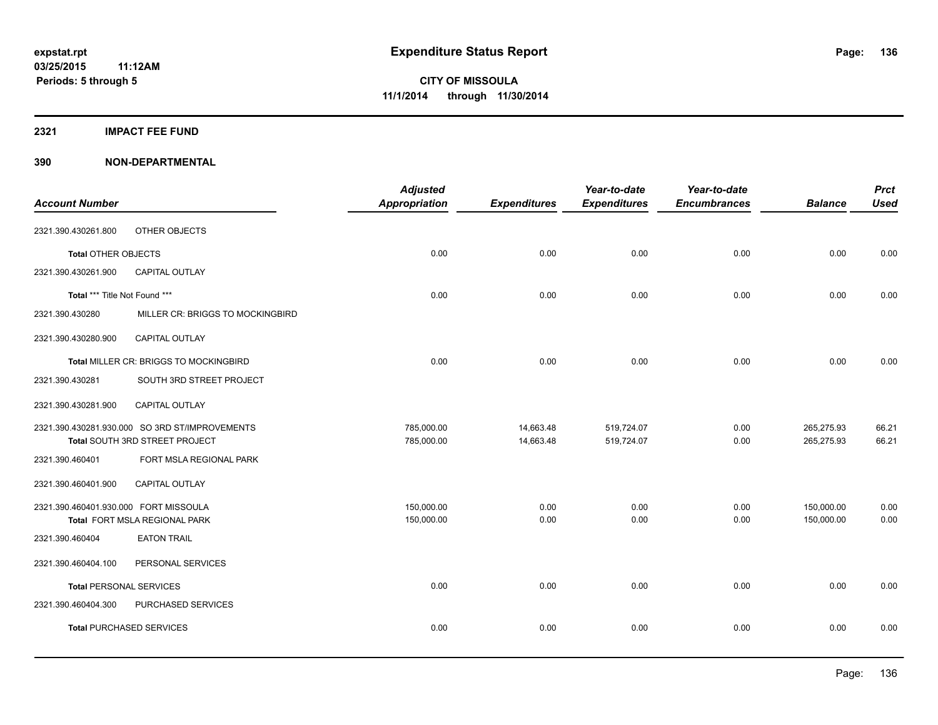#### **2321 IMPACT FEE FUND**

| <b>Account Number</b>                 |                                                | <b>Adjusted</b><br>Appropriation | <b>Expenditures</b> | Year-to-date<br><b>Expenditures</b> | Year-to-date<br><b>Encumbrances</b> | <b>Balance</b> | <b>Prct</b><br><b>Used</b> |
|---------------------------------------|------------------------------------------------|----------------------------------|---------------------|-------------------------------------|-------------------------------------|----------------|----------------------------|
|                                       |                                                |                                  |                     |                                     |                                     |                |                            |
| 2321.390.430261.800                   | OTHER OBJECTS                                  |                                  |                     |                                     |                                     |                |                            |
| Total OTHER OBJECTS                   |                                                | 0.00                             | 0.00                | 0.00                                | 0.00                                | 0.00           | 0.00                       |
| 2321.390.430261.900                   | <b>CAPITAL OUTLAY</b>                          |                                  |                     |                                     |                                     |                |                            |
| Total *** Title Not Found ***         |                                                | 0.00                             | 0.00                | 0.00                                | 0.00                                | 0.00           | 0.00                       |
| 2321.390.430280                       | MILLER CR: BRIGGS TO MOCKINGBIRD               |                                  |                     |                                     |                                     |                |                            |
| 2321.390.430280.900                   | CAPITAL OUTLAY                                 |                                  |                     |                                     |                                     |                |                            |
|                                       | <b>Total MILLER CR: BRIGGS TO MOCKINGBIRD</b>  | 0.00                             | 0.00                | 0.00                                | 0.00                                | 0.00           | 0.00                       |
| 2321.390.430281                       | SOUTH 3RD STREET PROJECT                       |                                  |                     |                                     |                                     |                |                            |
| 2321.390.430281.900                   | CAPITAL OUTLAY                                 |                                  |                     |                                     |                                     |                |                            |
|                                       | 2321.390.430281.930.000 SO 3RD ST/IMPROVEMENTS | 785,000.00                       | 14,663.48           | 519,724.07                          | 0.00                                | 265,275.93     | 66.21                      |
|                                       | Total SOUTH 3RD STREET PROJECT                 | 785,000.00                       | 14,663.48           | 519,724.07                          | 0.00                                | 265,275.93     | 66.21                      |
| 2321.390.460401                       | FORT MSLA REGIONAL PARK                        |                                  |                     |                                     |                                     |                |                            |
| 2321.390.460401.900                   | <b>CAPITAL OUTLAY</b>                          |                                  |                     |                                     |                                     |                |                            |
| 2321.390.460401.930.000 FORT MISSOULA |                                                | 150,000.00                       | 0.00                | 0.00                                | 0.00                                | 150,000.00     | 0.00                       |
|                                       | Total FORT MSLA REGIONAL PARK                  | 150,000.00                       | 0.00                | 0.00                                | 0.00                                | 150,000.00     | 0.00                       |
| 2321.390.460404                       | <b>EATON TRAIL</b>                             |                                  |                     |                                     |                                     |                |                            |
| 2321.390.460404.100                   | PERSONAL SERVICES                              |                                  |                     |                                     |                                     |                |                            |
| <b>Total PERSONAL SERVICES</b>        |                                                | 0.00                             | 0.00                | 0.00                                | 0.00                                | 0.00           | 0.00                       |
| 2321.390.460404.300                   | PURCHASED SERVICES                             |                                  |                     |                                     |                                     |                |                            |
|                                       | <b>Total PURCHASED SERVICES</b>                | 0.00                             | 0.00                | 0.00                                | 0.00                                | 0.00           | 0.00                       |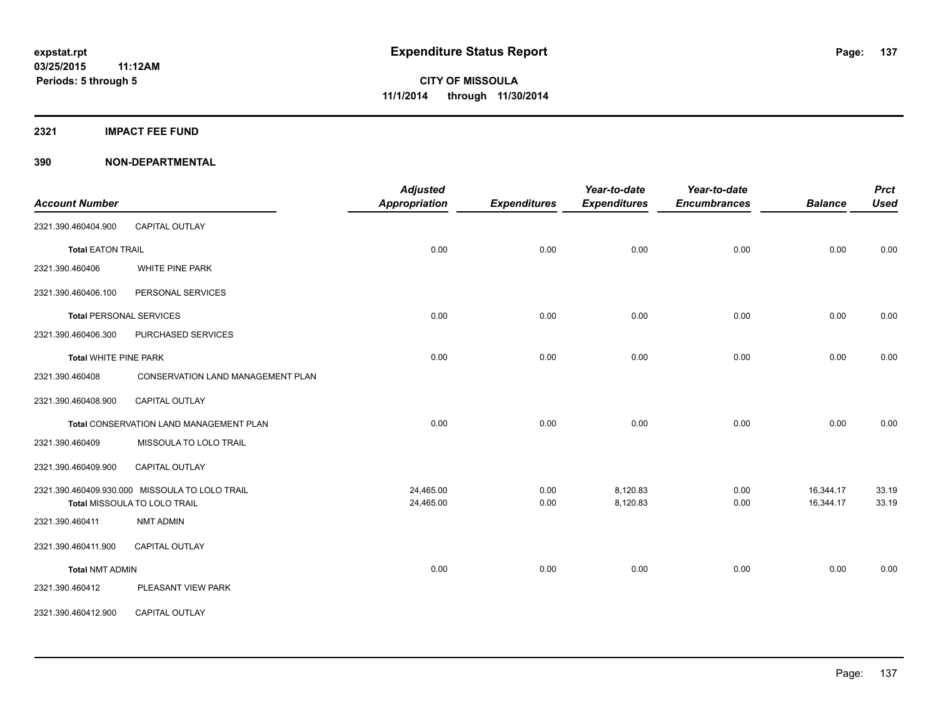**2321 IMPACT FEE FUND**

| <b>Account Number</b>          |                                                | <b>Adjusted</b><br><b>Appropriation</b> | <b>Expenditures</b> | Year-to-date<br><b>Expenditures</b> | Year-to-date<br><b>Encumbrances</b> | <b>Balance</b> | <b>Prct</b><br><b>Used</b> |
|--------------------------------|------------------------------------------------|-----------------------------------------|---------------------|-------------------------------------|-------------------------------------|----------------|----------------------------|
| 2321.390.460404.900            | <b>CAPITAL OUTLAY</b>                          |                                         |                     |                                     |                                     |                |                            |
| <b>Total EATON TRAIL</b>       |                                                | 0.00                                    | 0.00                | 0.00                                | 0.00                                | 0.00           | 0.00                       |
| 2321.390.460406                | WHITE PINE PARK                                |                                         |                     |                                     |                                     |                |                            |
|                                |                                                |                                         |                     |                                     |                                     |                |                            |
| 2321.390.460406.100            | PERSONAL SERVICES                              |                                         |                     |                                     |                                     |                |                            |
| <b>Total PERSONAL SERVICES</b> |                                                | 0.00                                    | 0.00                | 0.00                                | 0.00                                | 0.00           | 0.00                       |
| 2321.390.460406.300            | PURCHASED SERVICES                             |                                         |                     |                                     |                                     |                |                            |
| <b>Total WHITE PINE PARK</b>   |                                                | 0.00                                    | 0.00                | 0.00                                | 0.00                                | 0.00           | 0.00                       |
| 2321.390.460408                | <b>CONSERVATION LAND MANAGEMENT PLAN</b>       |                                         |                     |                                     |                                     |                |                            |
| 2321.390.460408.900            | CAPITAL OUTLAY                                 |                                         |                     |                                     |                                     |                |                            |
|                                | Total CONSERVATION LAND MANAGEMENT PLAN        | 0.00                                    | 0.00                | 0.00                                | 0.00                                | 0.00           | 0.00                       |
| 2321.390.460409                | MISSOULA TO LOLO TRAIL                         |                                         |                     |                                     |                                     |                |                            |
| 2321.390.460409.900            | CAPITAL OUTLAY                                 |                                         |                     |                                     |                                     |                |                            |
|                                | 2321.390.460409.930.000 MISSOULA TO LOLO TRAIL | 24,465.00                               | 0.00                | 8,120.83                            | 0.00                                | 16,344.17      | 33.19                      |
|                                | Total MISSOULA TO LOLO TRAIL                   | 24,465.00                               | 0.00                | 8,120.83                            | 0.00                                | 16,344.17      | 33.19                      |
| 2321.390.460411                | <b>NMT ADMIN</b>                               |                                         |                     |                                     |                                     |                |                            |
| 2321.390.460411.900            | <b>CAPITAL OUTLAY</b>                          |                                         |                     |                                     |                                     |                |                            |
| <b>Total NMT ADMIN</b>         |                                                | 0.00                                    | 0.00                | 0.00                                | 0.00                                | 0.00           | 0.00                       |
| 2321.390.460412                | PLEASANT VIEW PARK                             |                                         |                     |                                     |                                     |                |                            |
| 2321.390.460412.900            | CAPITAL OUTLAY                                 |                                         |                     |                                     |                                     |                |                            |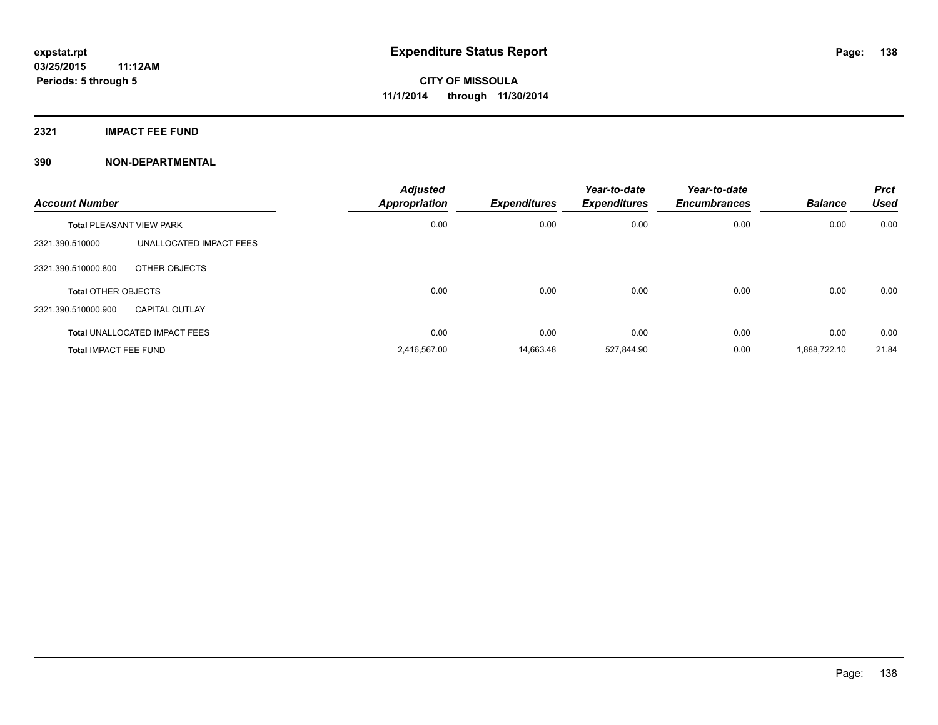**2321 IMPACT FEE FUND**

| <b>Account Number</b>           |                                      | <b>Adjusted</b><br><b>Appropriation</b> | <b>Expenditures</b> | Year-to-date<br><b>Expenditures</b> | Year-to-date<br><b>Encumbrances</b> | <b>Balance</b> | <b>Prct</b><br><b>Used</b> |
|---------------------------------|--------------------------------------|-----------------------------------------|---------------------|-------------------------------------|-------------------------------------|----------------|----------------------------|
| <b>Total PLEASANT VIEW PARK</b> |                                      | 0.00                                    | 0.00                | 0.00                                | 0.00                                | 0.00           | 0.00                       |
| 2321.390.510000                 | UNALLOCATED IMPACT FEES              |                                         |                     |                                     |                                     |                |                            |
| 2321.390.510000.800             | OTHER OBJECTS                        |                                         |                     |                                     |                                     |                |                            |
| <b>Total OTHER OBJECTS</b>      |                                      | 0.00                                    | 0.00                | 0.00                                | 0.00                                | 0.00           | 0.00                       |
| 2321.390.510000.900             | <b>CAPITAL OUTLAY</b>                |                                         |                     |                                     |                                     |                |                            |
|                                 | <b>Total UNALLOCATED IMPACT FEES</b> | 0.00                                    | 0.00                | 0.00                                | 0.00                                | 0.00           | 0.00                       |
| <b>Total IMPACT FEE FUND</b>    |                                      | 2,416,567.00                            | 14.663.48           | 527,844.90                          | 0.00                                | 1,888,722.10   | 21.84                      |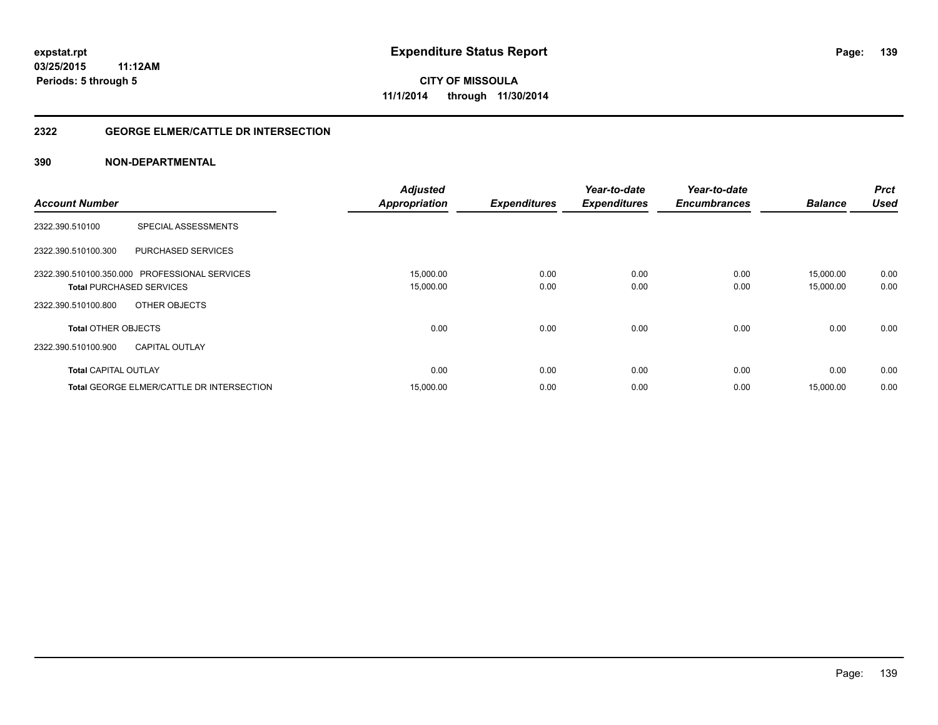#### **2322 GEORGE ELMER/CATTLE DR INTERSECTION**

|                                                  | <b>Adjusted</b>      |                     | Year-to-date        | Year-to-date        | <b>Balance</b> | <b>Prct</b><br><b>Used</b> |
|--------------------------------------------------|----------------------|---------------------|---------------------|---------------------|----------------|----------------------------|
| <b>Account Number</b>                            | <b>Appropriation</b> | <b>Expenditures</b> | <b>Expenditures</b> | <b>Encumbrances</b> |                |                            |
| <b>SPECIAL ASSESSMENTS</b><br>2322.390.510100    |                      |                     |                     |                     |                |                            |
| <b>PURCHASED SERVICES</b><br>2322.390.510100.300 |                      |                     |                     |                     |                |                            |
| 2322.390.510100.350.000 PROFESSIONAL SERVICES    | 15,000.00            | 0.00                | 0.00                | 0.00                | 15,000.00      | 0.00                       |
| <b>Total PURCHASED SERVICES</b>                  | 15,000.00            | 0.00                | 0.00                | 0.00                | 15,000.00      | 0.00                       |
| 2322.390.510100.800<br>OTHER OBJECTS             |                      |                     |                     |                     |                |                            |
| <b>Total OTHER OBJECTS</b>                       | 0.00                 | 0.00                | 0.00                | 0.00                | 0.00           | 0.00                       |
| 2322.390.510100.900<br><b>CAPITAL OUTLAY</b>     |                      |                     |                     |                     |                |                            |
| <b>Total CAPITAL OUTLAY</b>                      | 0.00                 | 0.00                | 0.00                | 0.00                | 0.00           | 0.00                       |
| <b>Total GEORGE ELMER/CATTLE DR INTERSECTION</b> | 15,000.00            | 0.00                | 0.00                | 0.00                | 15,000.00      | 0.00                       |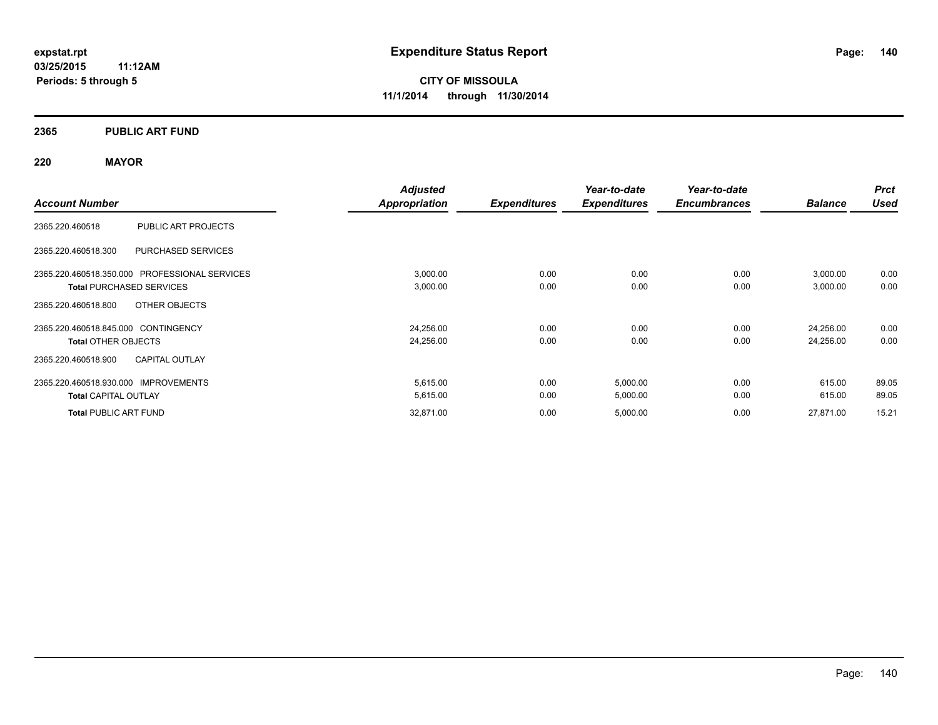#### **2365 PUBLIC ART FUND**

#### **220 MAYOR**

|                                                  | <b>Adjusted</b> |                     | Year-to-date        | Year-to-date        |                | <b>Prct</b> |
|--------------------------------------------------|-----------------|---------------------|---------------------|---------------------|----------------|-------------|
| <b>Account Number</b>                            | Appropriation   | <b>Expenditures</b> | <b>Expenditures</b> | <b>Encumbrances</b> | <b>Balance</b> | <b>Used</b> |
| PUBLIC ART PROJECTS<br>2365.220.460518           |                 |                     |                     |                     |                |             |
| <b>PURCHASED SERVICES</b><br>2365.220.460518.300 |                 |                     |                     |                     |                |             |
| 2365.220.460518.350.000 PROFESSIONAL SERVICES    | 3,000.00        | 0.00                | 0.00                | 0.00                | 3,000.00       | 0.00        |
| <b>Total PURCHASED SERVICES</b>                  | 3,000.00        | 0.00                | 0.00                | 0.00                | 3,000.00       | 0.00        |
| OTHER OBJECTS<br>2365.220.460518.800             |                 |                     |                     |                     |                |             |
| 2365.220.460518.845.000 CONTINGENCY              | 24,256.00       | 0.00                | 0.00                | 0.00                | 24,256.00      | 0.00        |
| <b>Total OTHER OBJECTS</b>                       | 24,256.00       | 0.00                | 0.00                | 0.00                | 24,256.00      | 0.00        |
| <b>CAPITAL OUTLAY</b><br>2365.220.460518.900     |                 |                     |                     |                     |                |             |
| 2365.220.460518.930.000 IMPROVEMENTS             | 5,615.00        | 0.00                | 5,000.00            | 0.00                | 615.00         | 89.05       |
| <b>Total CAPITAL OUTLAY</b>                      | 5,615.00        | 0.00                | 5,000.00            | 0.00                | 615.00         | 89.05       |
| <b>Total PUBLIC ART FUND</b>                     | 32,871.00       | 0.00                | 5,000.00            | 0.00                | 27,871.00      | 15.21       |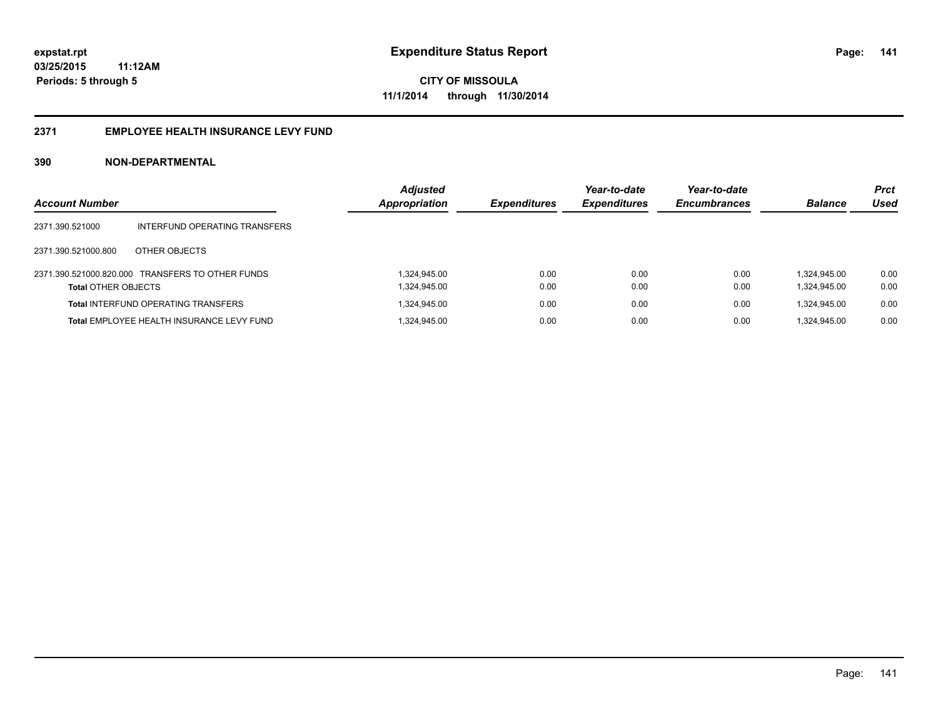#### **2371 EMPLOYEE HEALTH INSURANCE LEVY FUND**

| <b>Account Number</b>      |                                                  | <b>Adjusted</b><br>Appropriation | <b>Expenditures</b> | Year-to-date<br><b>Expenditures</b> | Year-to-date<br><b>Encumbrances</b> | <b>Balance</b> | <b>Prct</b><br>Used |
|----------------------------|--------------------------------------------------|----------------------------------|---------------------|-------------------------------------|-------------------------------------|----------------|---------------------|
| 2371.390.521000            | INTERFUND OPERATING TRANSFERS                    |                                  |                     |                                     |                                     |                |                     |
| 2371.390.521000.800        | OTHER OBJECTS                                    |                                  |                     |                                     |                                     |                |                     |
|                            | 2371.390.521000.820.000 TRANSFERS TO OTHER FUNDS | 1.324.945.00                     | 0.00                | 0.00                                | 0.00                                | 1.324.945.00   | 0.00                |
| <b>Total OTHER OBJECTS</b> |                                                  | 1,324,945.00                     | 0.00                | 0.00                                | 0.00                                | 1,324,945.00   | 0.00                |
|                            | <b>Total INTERFUND OPERATING TRANSFERS</b>       | 1,324,945.00                     | 0.00                | 0.00                                | 0.00                                | 1.324.945.00   | 0.00                |
|                            | Total EMPLOYEE HEALTH INSURANCE LEVY FUND        | 1,324,945.00                     | 0.00                | 0.00                                | 0.00                                | 1.324.945.00   | 0.00                |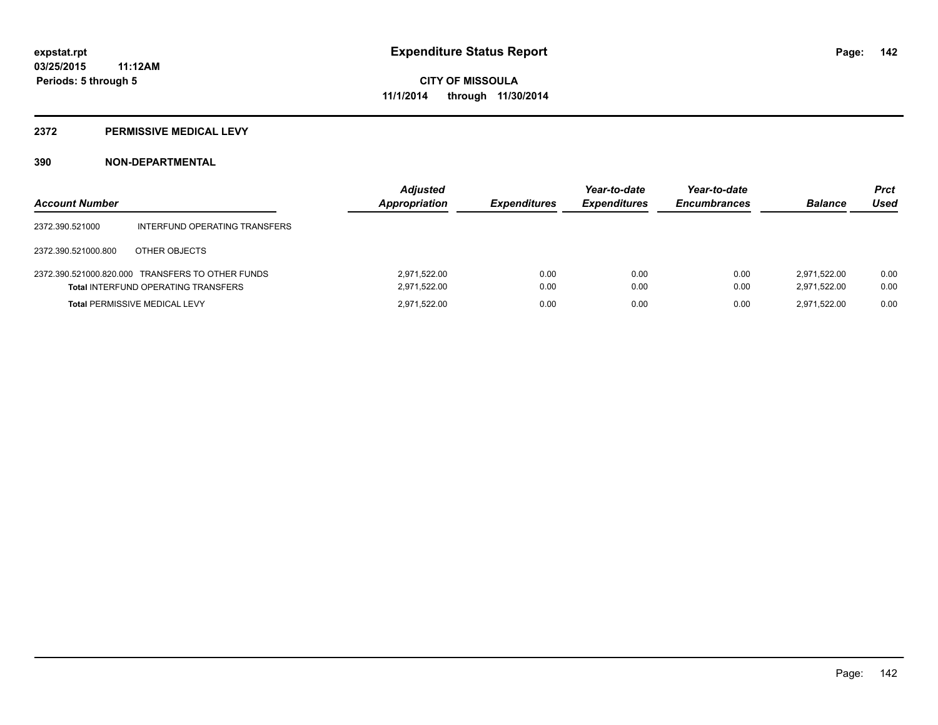#### **2372 PERMISSIVE MEDICAL LEVY**

| <b>Account Number</b> |                                                                                                | <b>Adjusted</b><br><b>Appropriation</b> | <b>Expenditures</b> | Year-to-date<br><b>Expenditures</b> | Year-to-date<br><b>Encumbrances</b> | <b>Balance</b>               | <b>Prct</b><br>Used |
|-----------------------|------------------------------------------------------------------------------------------------|-----------------------------------------|---------------------|-------------------------------------|-------------------------------------|------------------------------|---------------------|
| 2372.390.521000       | INTERFUND OPERATING TRANSFERS                                                                  |                                         |                     |                                     |                                     |                              |                     |
| 2372.390.521000.800   | OTHER OBJECTS                                                                                  |                                         |                     |                                     |                                     |                              |                     |
|                       | 2372.390.521000.820.000 TRANSFERS TO OTHER FUNDS<br><b>Total INTERFUND OPERATING TRANSFERS</b> | 2,971,522.00<br>2,971,522.00            | 0.00<br>0.00        | 0.00<br>0.00                        | 0.00<br>0.00                        | 2.971.522.00<br>2.971.522.00 | 0.00<br>0.00        |
|                       | <b>Total PERMISSIVE MEDICAL LEVY</b>                                                           | 2.971.522.00                            | 0.00                | 0.00                                | 0.00                                | 2.971.522.00                 | 0.00                |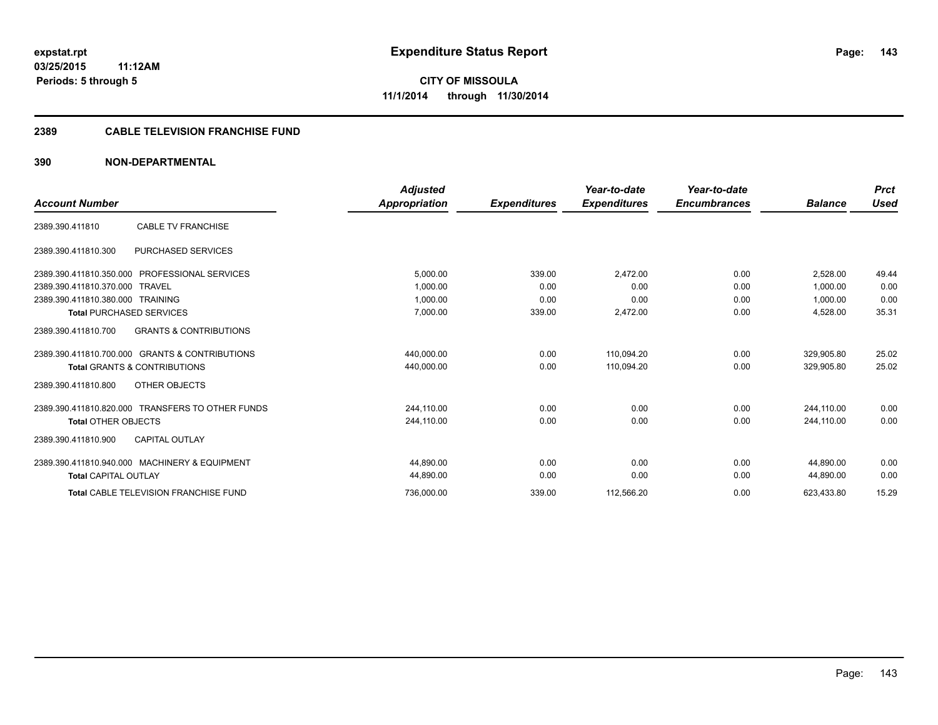#### **2389 CABLE TELEVISION FRANCHISE FUND**

|                                                          | <b>Adjusted</b> |                     | Year-to-date        | Year-to-date        |                | <b>Prct</b> |
|----------------------------------------------------------|-----------------|---------------------|---------------------|---------------------|----------------|-------------|
| <b>Account Number</b>                                    | Appropriation   | <b>Expenditures</b> | <b>Expenditures</b> | <b>Encumbrances</b> | <b>Balance</b> | <b>Used</b> |
| <b>CABLE TV FRANCHISE</b><br>2389.390.411810             |                 |                     |                     |                     |                |             |
| <b>PURCHASED SERVICES</b><br>2389.390.411810.300         |                 |                     |                     |                     |                |             |
| 2389.390.411810.350.000<br>PROFESSIONAL SERVICES         | 5,000.00        | 339.00              | 2,472.00            | 0.00                | 2.528.00       | 49.44       |
| 2389.390.411810.370.000<br>TRAVEL                        | 1.000.00        | 0.00                | 0.00                | 0.00                | 1.000.00       | 0.00        |
| 2389.390.411810.380.000 TRAINING                         | 1,000.00        | 0.00                | 0.00                | 0.00                | 1,000.00       | 0.00        |
| <b>Total PURCHASED SERVICES</b>                          | 7,000.00        | 339.00              | 2,472.00            | 0.00                | 4,528.00       | 35.31       |
| <b>GRANTS &amp; CONTRIBUTIONS</b><br>2389.390.411810.700 |                 |                     |                     |                     |                |             |
| 2389.390.411810.700.000 GRANTS & CONTRIBUTIONS           | 440.000.00      | 0.00                | 110.094.20          | 0.00                | 329.905.80     | 25.02       |
| <b>Total GRANTS &amp; CONTRIBUTIONS</b>                  | 440,000.00      | 0.00                | 110,094.20          | 0.00                | 329,905.80     | 25.02       |
| OTHER OBJECTS<br>2389.390.411810.800                     |                 |                     |                     |                     |                |             |
| 2389.390.411810.820.000 TRANSFERS TO OTHER FUNDS         | 244,110.00      | 0.00                | 0.00                | 0.00                | 244,110.00     | 0.00        |
| <b>Total OTHER OBJECTS</b>                               | 244.110.00      | 0.00                | 0.00                | 0.00                | 244.110.00     | 0.00        |
| <b>CAPITAL OUTLAY</b><br>2389.390.411810.900             |                 |                     |                     |                     |                |             |
| 2389.390.411810.940.000 MACHINERY & EQUIPMENT            | 44.890.00       | 0.00                | 0.00                | 0.00                | 44.890.00      | 0.00        |
| <b>Total CAPITAL OUTLAY</b>                              | 44,890.00       | 0.00                | 0.00                | 0.00                | 44,890.00      | 0.00        |
| <b>Total CABLE TELEVISION FRANCHISE FUND</b>             | 736,000.00      | 339.00              | 112,566.20          | 0.00                | 623,433.80     | 15.29       |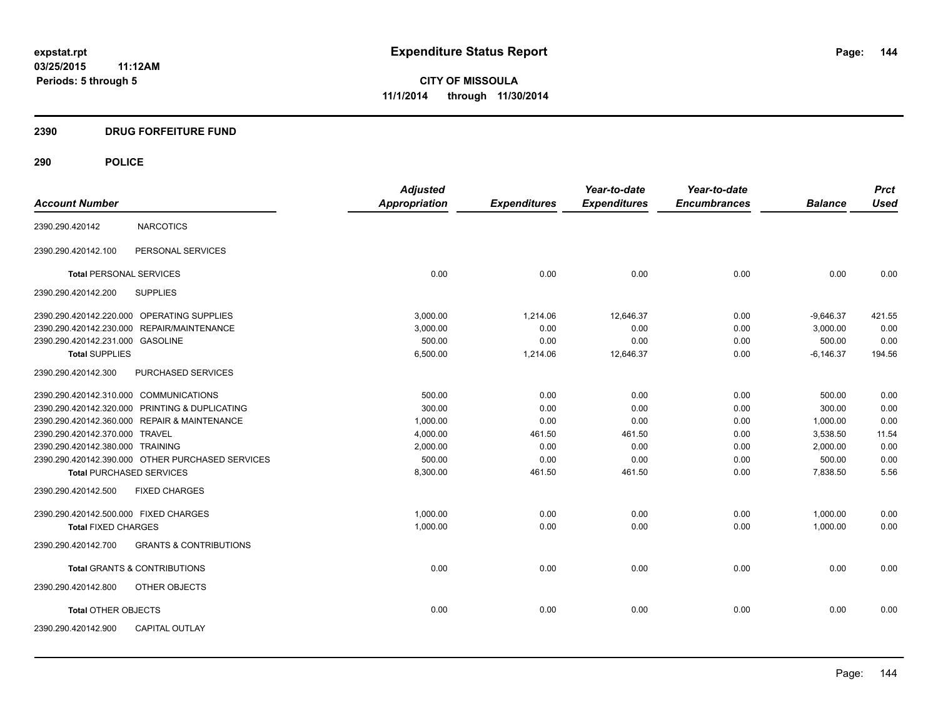#### **2390 DRUG FORFEITURE FUND**

## **290 POLICE**

|                                                  |                                   | <b>Adjusted</b> |                     | Year-to-date        | Year-to-date        |                | <b>Prct</b> |
|--------------------------------------------------|-----------------------------------|-----------------|---------------------|---------------------|---------------------|----------------|-------------|
| <b>Account Number</b>                            |                                   | Appropriation   | <b>Expenditures</b> | <b>Expenditures</b> | <b>Encumbrances</b> | <b>Balance</b> | <b>Used</b> |
| 2390.290.420142                                  | <b>NARCOTICS</b>                  |                 |                     |                     |                     |                |             |
| 2390.290.420142.100                              | PERSONAL SERVICES                 |                 |                     |                     |                     |                |             |
| <b>Total PERSONAL SERVICES</b>                   |                                   | 0.00            | 0.00                | 0.00                | 0.00                | 0.00           | 0.00        |
| 2390.290.420142.200                              | <b>SUPPLIES</b>                   |                 |                     |                     |                     |                |             |
| 2390.290.420142.220.000 OPERATING SUPPLIES       |                                   | 3.000.00        | 1,214.06            | 12,646.37           | 0.00                | $-9,646.37$    | 421.55      |
| 2390.290.420142.230.000 REPAIR/MAINTENANCE       |                                   | 3,000.00        | 0.00                | 0.00                | 0.00                | 3.000.00       | 0.00        |
| 2390.290.420142.231.000 GASOLINE                 |                                   | 500.00          | 0.00                | 0.00                | 0.00                | 500.00         | 0.00        |
| <b>Total SUPPLIES</b>                            |                                   | 6,500.00        | 1,214.06            | 12,646.37           | 0.00                | $-6,146.37$    | 194.56      |
| 2390.290.420142.300                              | PURCHASED SERVICES                |                 |                     |                     |                     |                |             |
| 2390.290.420142.310.000 COMMUNICATIONS           |                                   | 500.00          | 0.00                | 0.00                | 0.00                | 500.00         | 0.00        |
| 2390.290.420142.320.000 PRINTING & DUPLICATING   |                                   | 300.00          | 0.00                | 0.00                | 0.00                | 300.00         | 0.00        |
| 2390.290.420142.360.000 REPAIR & MAINTENANCE     |                                   | 1,000.00        | 0.00                | 0.00                | 0.00                | 1,000.00       | 0.00        |
| 2390.290.420142.370.000 TRAVEL                   |                                   | 4,000.00        | 461.50              | 461.50              | 0.00                | 3,538.50       | 11.54       |
| 2390.290.420142.380.000 TRAINING                 |                                   | 2,000.00        | 0.00                | 0.00                | 0.00                | 2,000.00       | 0.00        |
| 2390.290.420142.390.000 OTHER PURCHASED SERVICES |                                   | 500.00          | 0.00                | 0.00                | 0.00                | 500.00         | 0.00        |
| <b>Total PURCHASED SERVICES</b>                  |                                   | 8,300.00        | 461.50              | 461.50              | 0.00                | 7,838.50       | 5.56        |
| 2390.290.420142.500                              | <b>FIXED CHARGES</b>              |                 |                     |                     |                     |                |             |
| 2390.290.420142.500.000 FIXED CHARGES            |                                   | 1.000.00        | 0.00                | 0.00                | 0.00                | 1,000.00       | 0.00        |
| <b>Total FIXED CHARGES</b>                       |                                   | 1.000.00        | 0.00                | 0.00                | 0.00                | 1.000.00       | 0.00        |
| 2390.290.420142.700                              | <b>GRANTS &amp; CONTRIBUTIONS</b> |                 |                     |                     |                     |                |             |
| <b>Total GRANTS &amp; CONTRIBUTIONS</b>          |                                   | 0.00            | 0.00                | 0.00                | 0.00                | 0.00           | 0.00        |
| 2390.290.420142.800                              | OTHER OBJECTS                     |                 |                     |                     |                     |                |             |
| <b>Total OTHER OBJECTS</b>                       |                                   | 0.00            | 0.00                | 0.00                | 0.00                | 0.00           | 0.00        |
| 2390.290.420142.900                              | <b>CAPITAL OUTLAY</b>             |                 |                     |                     |                     |                |             |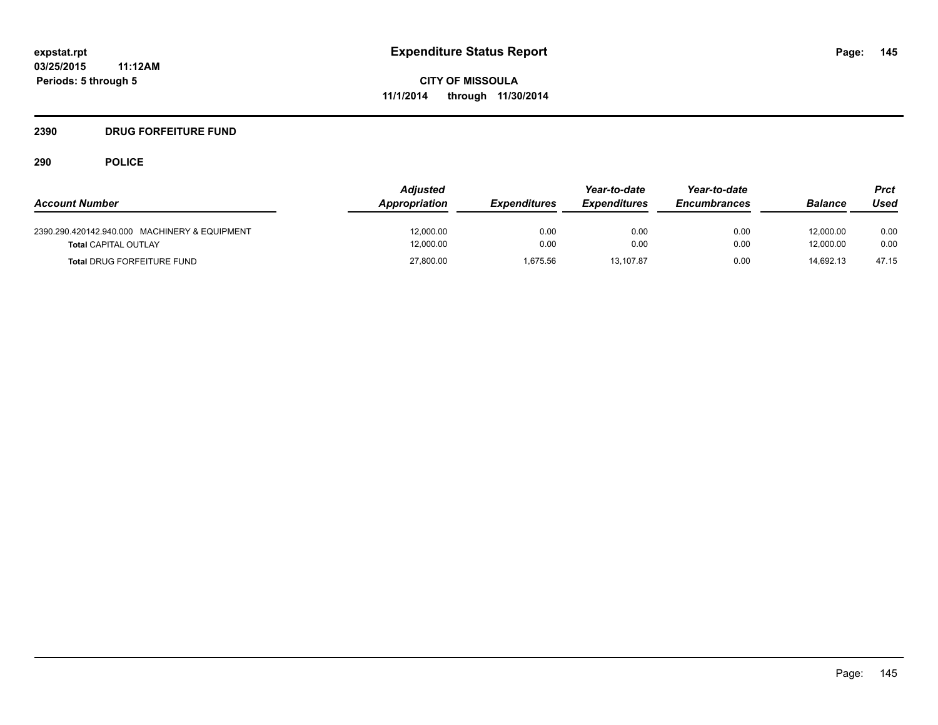# **2390 DRUG FORFEITURE FUND**

|                                               | <b>Adjusted</b> |                     | Year-to-date        | Year-to-date        |                | Prct  |
|-----------------------------------------------|-----------------|---------------------|---------------------|---------------------|----------------|-------|
| <b>Account Number</b>                         | Appropriation   | <b>Expenditures</b> | <b>Expenditures</b> | <b>Encumbrances</b> | <b>Balance</b> | Used  |
| 2390.290.420142.940.000 MACHINERY & EQUIPMENT | 12.000.00       | 0.00                | 0.00                | 0.00                | 12.000.00      | 0.00  |
| <b>Total CAPITAL OUTLAY</b>                   | 12,000.00       | 0.00                | 0.00                | 0.00                | 12.000.00      | 0.00  |
| <b>Total DRUG FORFEITURE FUND</b>             | 27,800.00       | 1,675.56            | 13.107.87           | 0.00                | 14.692.13      | 47.15 |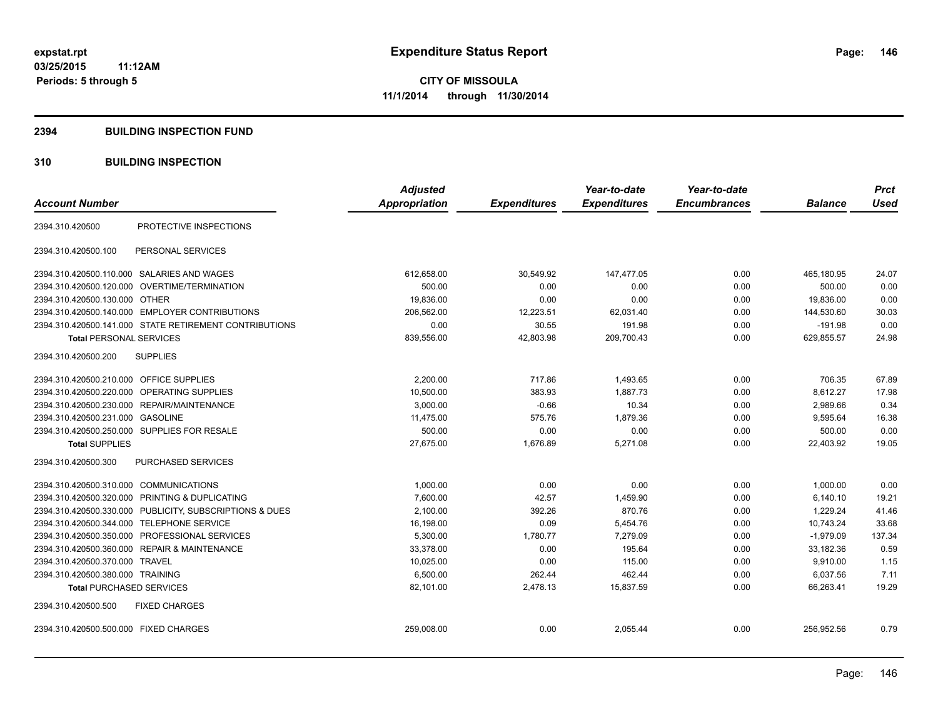#### **2394 BUILDING INSPECTION FUND**

#### **310 BUILDING INSPECTION**

| <b>Account Number</b>                                   | <b>Adjusted</b><br>Appropriation | <b>Expenditures</b> | Year-to-date<br><b>Expenditures</b> | Year-to-date<br><b>Encumbrances</b> | <b>Balance</b> | <b>Prct</b><br><b>Used</b> |
|---------------------------------------------------------|----------------------------------|---------------------|-------------------------------------|-------------------------------------|----------------|----------------------------|
|                                                         |                                  |                     |                                     |                                     |                |                            |
| PROTECTIVE INSPECTIONS<br>2394.310.420500               |                                  |                     |                                     |                                     |                |                            |
| 2394.310.420500.100<br>PERSONAL SERVICES                |                                  |                     |                                     |                                     |                |                            |
| 2394.310.420500.110.000 SALARIES AND WAGES              | 612,658.00                       | 30,549.92           | 147,477.05                          | 0.00                                | 465.180.95     | 24.07                      |
| 2394.310.420500.120.000 OVERTIME/TERMINATION            | 500.00                           | 0.00                | 0.00                                | 0.00                                | 500.00         | 0.00                       |
| 2394.310.420500.130.000 OTHER                           | 19,836.00                        | 0.00                | 0.00                                | 0.00                                | 19,836.00      | 0.00                       |
| 2394.310.420500.140.000 EMPLOYER CONTRIBUTIONS          | 206,562.00                       | 12,223.51           | 62,031.40                           | 0.00                                | 144,530.60     | 30.03                      |
| 2394.310.420500.141.000 STATE RETIREMENT CONTRIBUTIONS  | 0.00                             | 30.55               | 191.98                              | 0.00                                | $-191.98$      | 0.00                       |
| <b>Total PERSONAL SERVICES</b>                          | 839,556.00                       | 42,803.98           | 209,700.43                          | 0.00                                | 629,855.57     | 24.98                      |
| <b>SUPPLIES</b><br>2394.310.420500.200                  |                                  |                     |                                     |                                     |                |                            |
| 2394.310.420500.210.000<br>OFFICE SUPPLIES              | 2,200.00                         | 717.86              | 1,493.65                            | 0.00                                | 706.35         | 67.89                      |
| OPERATING SUPPLIES<br>2394.310.420500.220.000           | 10,500.00                        | 383.93              | 1,887.73                            | 0.00                                | 8,612.27       | 17.98                      |
| 2394.310.420500.230.000 REPAIR/MAINTENANCE              | 3,000.00                         | $-0.66$             | 10.34                               | 0.00                                | 2,989.66       | 0.34                       |
| 2394.310.420500.231.000 GASOLINE                        | 11,475.00                        | 575.76              | 1,879.36                            | 0.00                                | 9,595.64       | 16.38                      |
| 2394.310.420500.250.000 SUPPLIES FOR RESALE             | 500.00                           | 0.00                | 0.00                                | 0.00                                | 500.00         | 0.00                       |
| <b>Total SUPPLIES</b>                                   | 27,675.00                        | 1,676.89            | 5,271.08                            | 0.00                                | 22,403.92      | 19.05                      |
| 2394.310.420500.300<br><b>PURCHASED SERVICES</b>        |                                  |                     |                                     |                                     |                |                            |
| 2394.310.420500.310.000 COMMUNICATIONS                  | 1,000.00                         | 0.00                | 0.00                                | 0.00                                | 1,000.00       | 0.00                       |
| 2394.310.420500.320.000 PRINTING & DUPLICATING          | 7,600.00                         | 42.57               | 1,459.90                            | 0.00                                | 6,140.10       | 19.21                      |
| 2394.310.420500.330.000 PUBLICITY, SUBSCRIPTIONS & DUES | 2,100.00                         | 392.26              | 870.76                              | 0.00                                | 1,229.24       | 41.46                      |
| <b>TELEPHONE SERVICE</b><br>2394.310.420500.344.000     | 16,198.00                        | 0.09                | 5,454.76                            | 0.00                                | 10,743.24      | 33.68                      |
| PROFESSIONAL SERVICES<br>2394.310.420500.350.000        | 5,300.00                         | 1,780.77            | 7,279.09                            | 0.00                                | $-1,979.09$    | 137.34                     |
| 2394.310.420500.360.000 REPAIR & MAINTENANCE            | 33,378.00                        | 0.00                | 195.64                              | 0.00                                | 33.182.36      | 0.59                       |
| 2394.310.420500.370.000 TRAVEL                          | 10,025.00                        | 0.00                | 115.00                              | 0.00                                | 9,910.00       | 1.15                       |
| 2394.310.420500.380.000 TRAINING                        | 6,500.00                         | 262.44              | 462.44                              | 0.00                                | 6,037.56       | 7.11                       |
| <b>Total PURCHASED SERVICES</b>                         | 82,101.00                        | 2,478.13            | 15,837.59                           | 0.00                                | 66,263.41      | 19.29                      |
| 2394.310.420500.500<br><b>FIXED CHARGES</b>             |                                  |                     |                                     |                                     |                |                            |
| 2394.310.420500.500.000 FIXED CHARGES                   | 259,008.00                       | 0.00                | 2,055.44                            | 0.00                                | 256,952.56     | 0.79                       |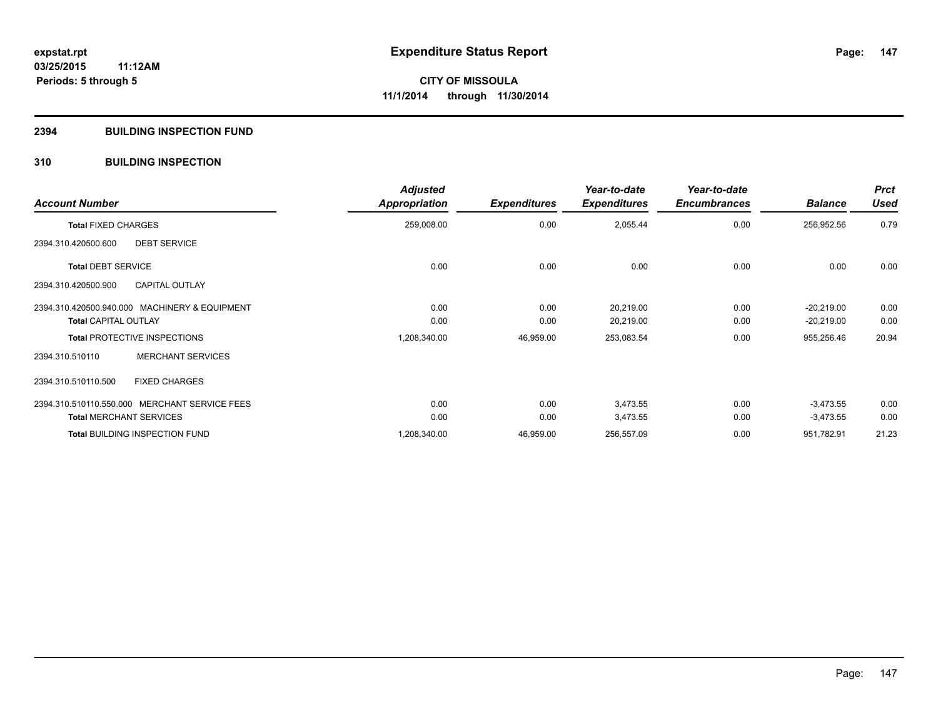#### **2394 BUILDING INSPECTION FUND**

#### **310 BUILDING INSPECTION**

| <b>Account Number</b>                         | <b>Adjusted</b><br><b>Appropriation</b> | <b>Expenditures</b> | Year-to-date<br><b>Expenditures</b> | Year-to-date<br><b>Encumbrances</b> | <b>Balance</b> | <b>Prct</b><br><b>Used</b> |
|-----------------------------------------------|-----------------------------------------|---------------------|-------------------------------------|-------------------------------------|----------------|----------------------------|
| <b>Total FIXED CHARGES</b>                    | 259,008.00                              | 0.00                | 2,055.44                            | 0.00                                | 256,952.56     | 0.79                       |
| <b>DEBT SERVICE</b><br>2394.310.420500.600    |                                         |                     |                                     |                                     |                |                            |
| <b>Total DEBT SERVICE</b>                     | 0.00                                    | 0.00                | 0.00                                | 0.00                                | 0.00           | 0.00                       |
| <b>CAPITAL OUTLAY</b><br>2394.310.420500.900  |                                         |                     |                                     |                                     |                |                            |
| 2394.310.420500.940.000 MACHINERY & EQUIPMENT | 0.00                                    | 0.00                | 20,219.00                           | 0.00                                | $-20,219.00$   | 0.00                       |
| <b>Total CAPITAL OUTLAY</b>                   | 0.00                                    | 0.00                | 20,219.00                           | 0.00                                | $-20,219.00$   | 0.00                       |
| <b>Total PROTECTIVE INSPECTIONS</b>           | 1,208,340.00                            | 46,959.00           | 253,083.54                          | 0.00                                | 955,256.46     | 20.94                      |
| <b>MERCHANT SERVICES</b><br>2394.310.510110   |                                         |                     |                                     |                                     |                |                            |
| <b>FIXED CHARGES</b><br>2394.310.510110.500   |                                         |                     |                                     |                                     |                |                            |
| 2394.310.510110.550.000 MERCHANT SERVICE FEES | 0.00                                    | 0.00                | 3,473.55                            | 0.00                                | $-3,473.55$    | 0.00                       |
| <b>Total MERCHANT SERVICES</b>                | 0.00                                    | 0.00                | 3,473.55                            | 0.00                                | $-3,473.55$    | 0.00                       |
| <b>Total BUILDING INSPECTION FUND</b>         | 1,208,340.00                            | 46,959.00           | 256,557.09                          | 0.00                                | 951,782.91     | 21.23                      |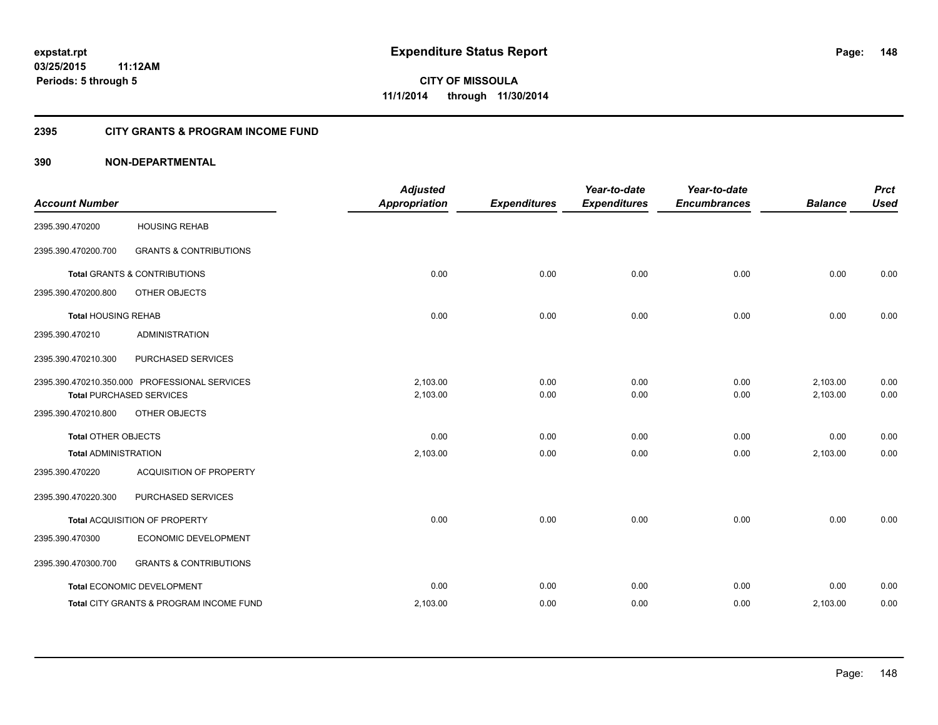#### **2395 CITY GRANTS & PROGRAM INCOME FUND**

#### **390 NON-DEPARTMENTAL**

| <b>Account Number</b>       |                                                                                  | <b>Adjusted</b><br><b>Appropriation</b> | <b>Expenditures</b> | Year-to-date<br><b>Expenditures</b> | Year-to-date<br><b>Encumbrances</b> | <b>Balance</b>       | <b>Prct</b><br><b>Used</b> |
|-----------------------------|----------------------------------------------------------------------------------|-----------------------------------------|---------------------|-------------------------------------|-------------------------------------|----------------------|----------------------------|
| 2395.390.470200             | <b>HOUSING REHAB</b>                                                             |                                         |                     |                                     |                                     |                      |                            |
| 2395.390.470200.700         | <b>GRANTS &amp; CONTRIBUTIONS</b>                                                |                                         |                     |                                     |                                     |                      |                            |
|                             | <b>Total GRANTS &amp; CONTRIBUTIONS</b>                                          | 0.00                                    | 0.00                | 0.00                                | 0.00                                | 0.00                 | 0.00                       |
| 2395.390.470200.800         | OTHER OBJECTS                                                                    |                                         |                     |                                     |                                     |                      |                            |
| <b>Total HOUSING REHAB</b>  |                                                                                  | 0.00                                    | 0.00                | 0.00                                | 0.00                                | 0.00                 | 0.00                       |
| 2395.390.470210             | <b>ADMINISTRATION</b>                                                            |                                         |                     |                                     |                                     |                      |                            |
| 2395.390.470210.300         | PURCHASED SERVICES                                                               |                                         |                     |                                     |                                     |                      |                            |
|                             | 2395.390.470210.350.000 PROFESSIONAL SERVICES<br><b>Total PURCHASED SERVICES</b> | 2,103.00<br>2,103.00                    | 0.00<br>0.00        | 0.00<br>0.00                        | 0.00<br>0.00                        | 2,103.00<br>2,103.00 | 0.00<br>0.00               |
| 2395.390.470210.800         | OTHER OBJECTS                                                                    |                                         |                     |                                     |                                     |                      |                            |
| <b>Total OTHER OBJECTS</b>  |                                                                                  | 0.00                                    | 0.00                | 0.00                                | 0.00                                | 0.00                 | 0.00                       |
| <b>Total ADMINISTRATION</b> |                                                                                  | 2,103.00                                | 0.00                | 0.00                                | 0.00                                | 2,103.00             | 0.00                       |
| 2395.390.470220             | <b>ACQUISITION OF PROPERTY</b>                                                   |                                         |                     |                                     |                                     |                      |                            |
| 2395.390.470220.300         | PURCHASED SERVICES                                                               |                                         |                     |                                     |                                     |                      |                            |
|                             | Total ACQUISITION OF PROPERTY                                                    | 0.00                                    | 0.00                | 0.00                                | 0.00                                | 0.00                 | 0.00                       |
| 2395.390.470300             | ECONOMIC DEVELOPMENT                                                             |                                         |                     |                                     |                                     |                      |                            |
| 2395.390.470300.700         | <b>GRANTS &amp; CONTRIBUTIONS</b>                                                |                                         |                     |                                     |                                     |                      |                            |
|                             | Total ECONOMIC DEVELOPMENT                                                       | 0.00                                    | 0.00                | 0.00                                | 0.00                                | 0.00                 | 0.00                       |
|                             | Total CITY GRANTS & PROGRAM INCOME FUND                                          | 2,103.00                                | 0.00                | 0.00                                | 0.00                                | 2,103.00             | 0.00                       |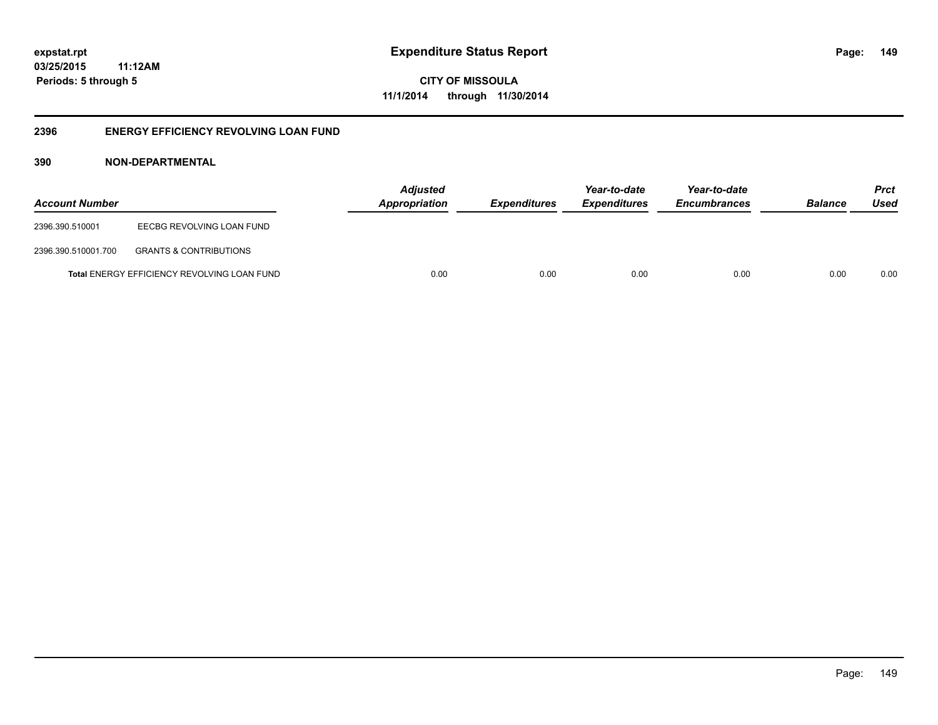**CITY OF MISSOULA 11/1/2014 through 11/30/2014**

#### **2396 ENERGY EFFICIENCY REVOLVING LOAN FUND**

#### **390 NON-DEPARTMENTAL**

| <b>Account Number</b> |                                                    | <b>Adjusted</b><br>Appropriation | <b>Expenditures</b> | Year-to-date<br><i><b>Expenditures</b></i> | Year-to-date<br><b>Encumbrances</b> | <b>Balance</b> | <b>Prct</b><br>Used |
|-----------------------|----------------------------------------------------|----------------------------------|---------------------|--------------------------------------------|-------------------------------------|----------------|---------------------|
| 2396.390.510001       | EECBG REVOLVING LOAN FUND                          |                                  |                     |                                            |                                     |                |                     |
| 2396.390.510001.700   | <b>GRANTS &amp; CONTRIBUTIONS</b>                  |                                  |                     |                                            |                                     |                |                     |
|                       | <b>Total ENERGY EFFICIENCY REVOLVING LOAN FUND</b> | 0.00                             | 0.00                | 0.00                                       | 0.00                                | 0.00           | 0.00                |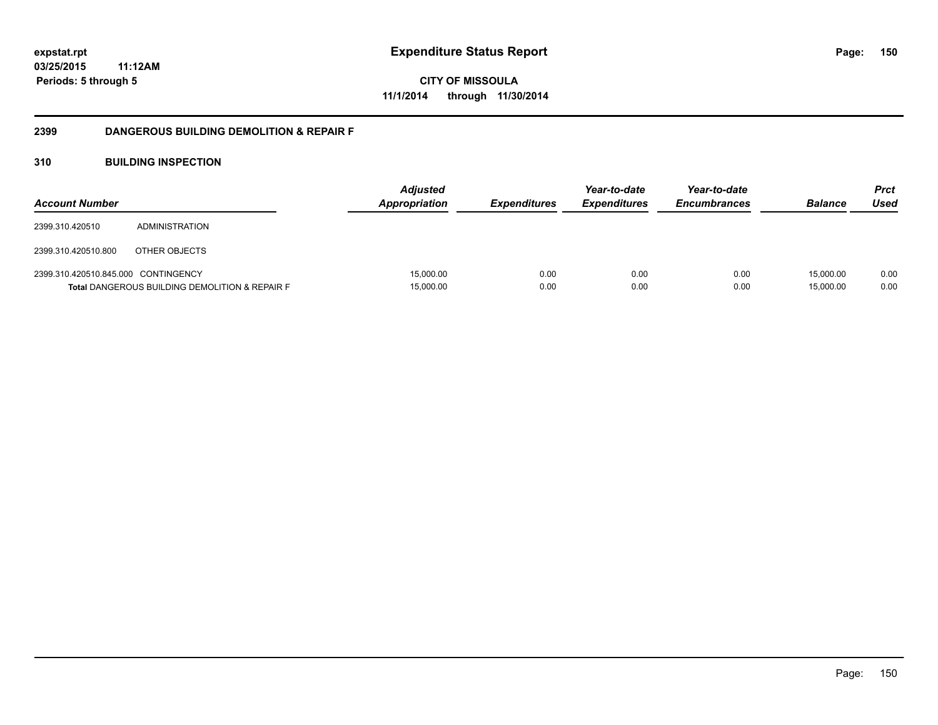**CITY OF MISSOULA 11/1/2014 through 11/30/2014**

#### **2399 DANGEROUS BUILDING DEMOLITION & REPAIR F**

#### **310 BUILDING INSPECTION**

| <b>Account Number</b>               |                                                           | <b>Adjusted</b><br><b>Appropriation</b> | <i><b>Expenditures</b></i> | Year-to-date<br><b>Expenditures</b> | Year-to-date<br><b>Encumbrances</b> | <b>Balance</b>         | Prct<br>Used |
|-------------------------------------|-----------------------------------------------------------|-----------------------------------------|----------------------------|-------------------------------------|-------------------------------------|------------------------|--------------|
| 2399.310.420510                     | ADMINISTRATION                                            |                                         |                            |                                     |                                     |                        |              |
| 2399.310.420510.800                 | OTHER OBJECTS                                             |                                         |                            |                                     |                                     |                        |              |
| 2399.310.420510.845.000 CONTINGENCY | <b>Total DANGEROUS BUILDING DEMOLITION &amp; REPAIR F</b> | 15,000.00<br>15,000.00                  | 0.00<br>0.00               | 0.00<br>0.00                        | 0.00<br>0.00                        | 15.000.00<br>15,000.00 | 0.00<br>0.00 |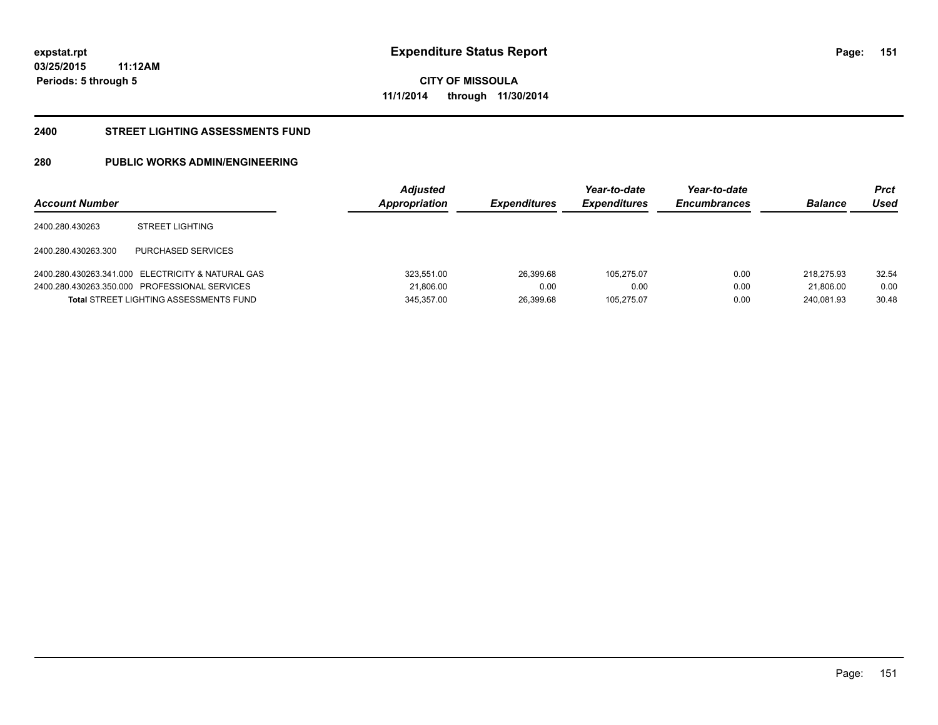**CITY OF MISSOULA 11/1/2014 through 11/30/2014**

#### **2400 STREET LIGHTING ASSESSMENTS FUND**

#### **280 PUBLIC WORKS ADMIN/ENGINEERING**

| <b>Account Number</b> |                                                   | <b>Adjusted</b><br>Appropriation | <b>Expenditures</b> | Year-to-date<br><b>Expenditures</b> | Year-to-date<br><b>Encumbrances</b> | <b>Balance</b> | Prct<br>Used |
|-----------------------|---------------------------------------------------|----------------------------------|---------------------|-------------------------------------|-------------------------------------|----------------|--------------|
| 2400.280.430263       | <b>STREET LIGHTING</b>                            |                                  |                     |                                     |                                     |                |              |
| 2400.280.430263.300   | PURCHASED SERVICES                                |                                  |                     |                                     |                                     |                |              |
|                       | 2400.280.430263.341.000 ELECTRICITY & NATURAL GAS | 323,551.00                       | 26,399.68           | 105.275.07                          | 0.00                                | 218.275.93     | 32.54        |
|                       | 2400.280.430263.350.000 PROFESSIONAL SERVICES     | 21,806.00                        | 0.00                | 0.00                                | 0.00                                | 21.806.00      | 0.00         |
|                       | <b>Total STREET LIGHTING ASSESSMENTS FUND</b>     | 345.357.00                       | 26.399.68           | 105.275.07                          | 0.00                                | 240.081.93     | 30.48        |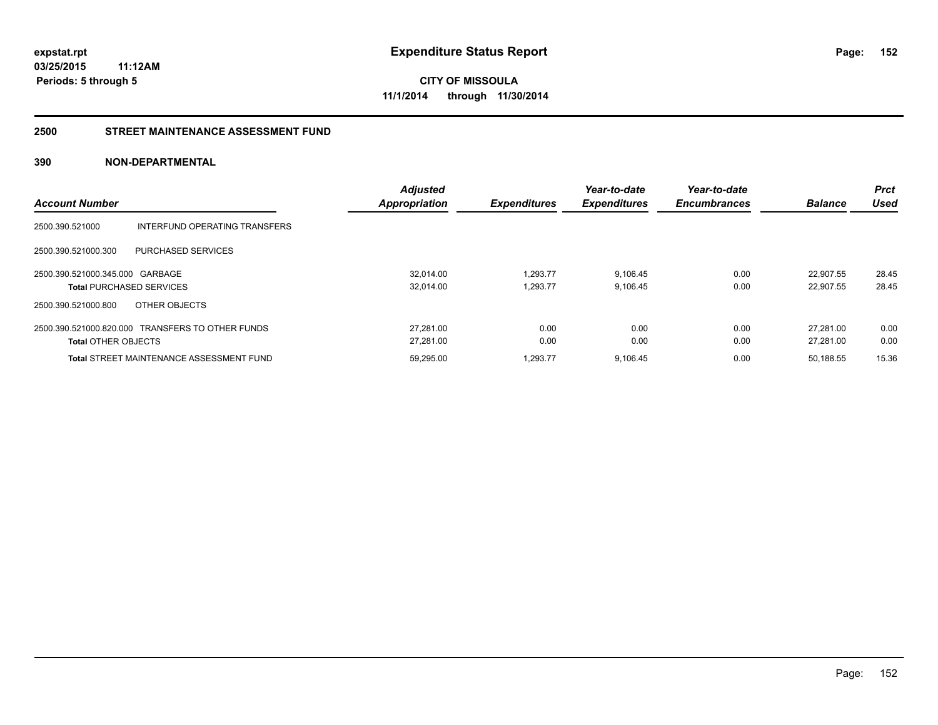**CITY OF MISSOULA 11/1/2014 through 11/30/2014**

#### **2500 STREET MAINTENANCE ASSESSMENT FUND**

#### **390 NON-DEPARTMENTAL**

|                                                  | <b>Adjusted</b>      |                     | Year-to-date        | Year-to-date        |                | <b>Prct</b> |
|--------------------------------------------------|----------------------|---------------------|---------------------|---------------------|----------------|-------------|
| <b>Account Number</b>                            | <b>Appropriation</b> | <b>Expenditures</b> | <b>Expenditures</b> | <b>Encumbrances</b> | <b>Balance</b> | Used        |
| 2500.390.521000<br>INTERFUND OPERATING TRANSFERS |                      |                     |                     |                     |                |             |
| 2500.390.521000.300<br>PURCHASED SERVICES        |                      |                     |                     |                     |                |             |
| 2500.390.521000.345.000 GARBAGE                  | 32.014.00            | 1,293.77            | 9,106.45            | 0.00                | 22.907.55      | 28.45       |
| <b>Total PURCHASED SERVICES</b>                  | 32,014.00            | 1,293.77            | 9,106.45            | 0.00                | 22.907.55      | 28.45       |
| 2500.390.521000.800<br>OTHER OBJECTS             |                      |                     |                     |                     |                |             |
| 2500.390.521000.820.000 TRANSFERS TO OTHER FUNDS | 27.281.00            | 0.00                | 0.00                | 0.00                | 27.281.00      | 0.00        |
| <b>Total OTHER OBJECTS</b>                       | 27,281.00            | 0.00                | 0.00                | 0.00                | 27.281.00      | 0.00        |
| <b>Total STREET MAINTENANCE ASSESSMENT FUND</b>  | 59.295.00            | 1.293.77            | 9.106.45            | 0.00                | 50.188.55      | 15.36       |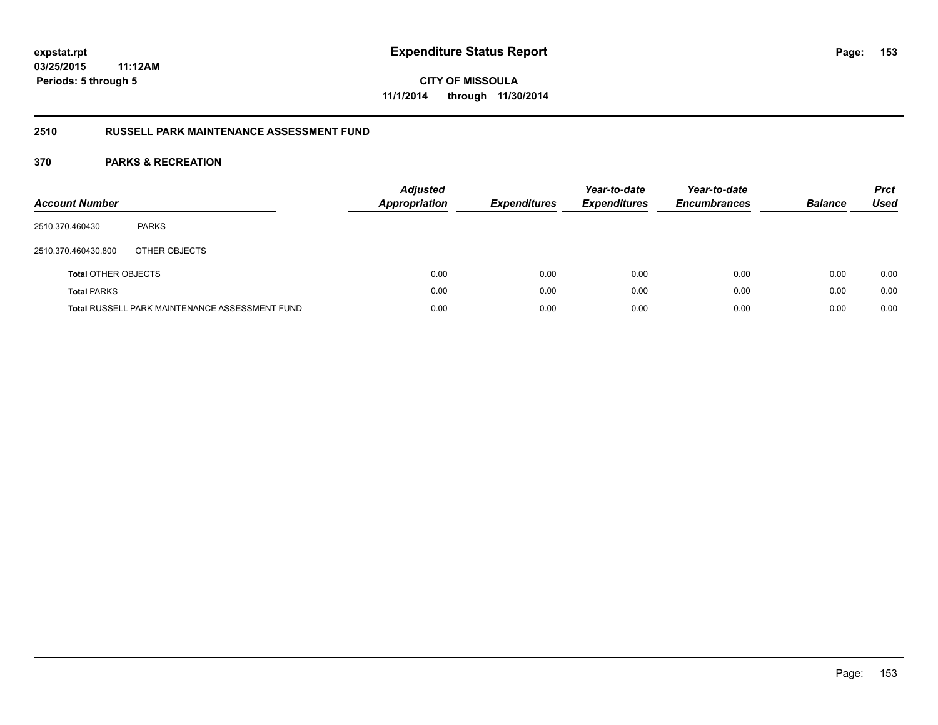**CITY OF MISSOULA 11/1/2014 through 11/30/2014**

#### **2510 RUSSELL PARK MAINTENANCE ASSESSMENT FUND**

| <b>Account Number</b>      |                                                       | <b>Adjusted</b><br><b>Appropriation</b> | <b>Expenditures</b> | Year-to-date<br><b>Expenditures</b> | Year-to-date<br><b>Encumbrances</b> | <b>Balance</b> | <b>Prct</b><br><b>Used</b> |
|----------------------------|-------------------------------------------------------|-----------------------------------------|---------------------|-------------------------------------|-------------------------------------|----------------|----------------------------|
| 2510.370.460430            | <b>PARKS</b>                                          |                                         |                     |                                     |                                     |                |                            |
| 2510.370.460430.800        | OTHER OBJECTS                                         |                                         |                     |                                     |                                     |                |                            |
| <b>Total OTHER OBJECTS</b> |                                                       | 0.00                                    | 0.00                | 0.00                                | 0.00                                | 0.00           | 0.00                       |
| <b>Total PARKS</b>         |                                                       | 0.00                                    | 0.00                | 0.00                                | 0.00                                | 0.00           | 0.00                       |
|                            | <b>Total RUSSELL PARK MAINTENANCE ASSESSMENT FUND</b> | 0.00                                    | 0.00                | 0.00                                | 0.00                                | 0.00           | 0.00                       |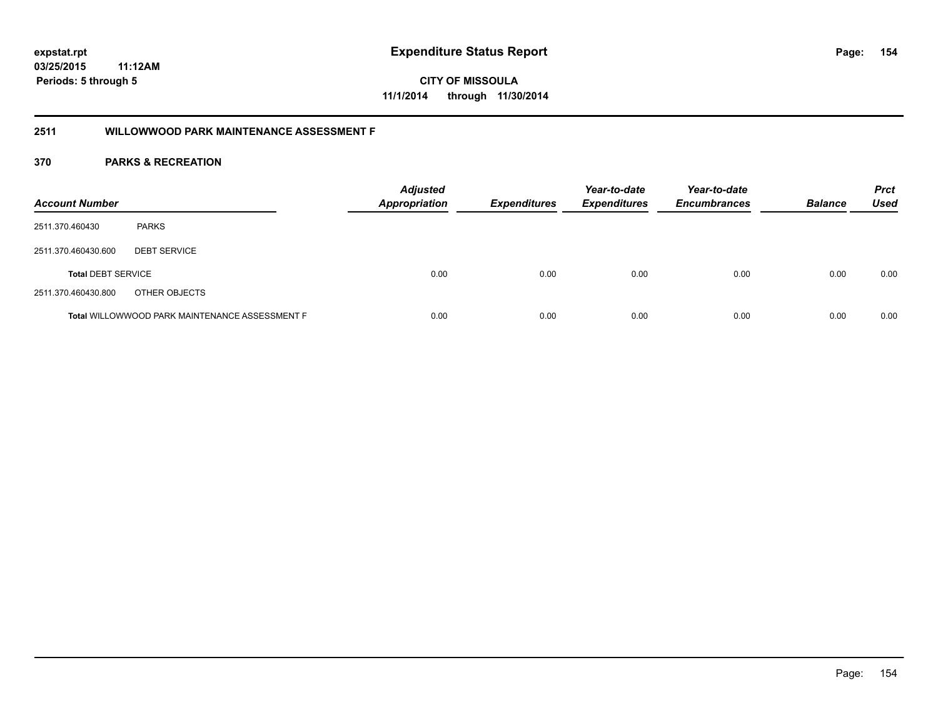**CITY OF MISSOULA 11/1/2014 through 11/30/2014**

#### **2511 WILLOWWOOD PARK MAINTENANCE ASSESSMENT F**

| <b>Account Number</b>     |                                                       | <b>Adjusted</b><br><b>Appropriation</b> | <b>Expenditures</b> | Year-to-date<br><b>Expenditures</b> | Year-to-date<br><b>Encumbrances</b> | <b>Balance</b> | <b>Prct</b><br>Used |
|---------------------------|-------------------------------------------------------|-----------------------------------------|---------------------|-------------------------------------|-------------------------------------|----------------|---------------------|
| 2511.370.460430           | <b>PARKS</b>                                          |                                         |                     |                                     |                                     |                |                     |
| 2511.370.460430.600       | <b>DEBT SERVICE</b>                                   |                                         |                     |                                     |                                     |                |                     |
| <b>Total DEBT SERVICE</b> |                                                       | 0.00                                    | 0.00                | 0.00                                | 0.00                                | 0.00           | 0.00                |
| 2511.370.460430.800       | OTHER OBJECTS                                         |                                         |                     |                                     |                                     |                |                     |
|                           | <b>Total WILLOWWOOD PARK MAINTENANCE ASSESSMENT F</b> | 0.00                                    | 0.00                | 0.00                                | 0.00                                | 0.00           | 0.00                |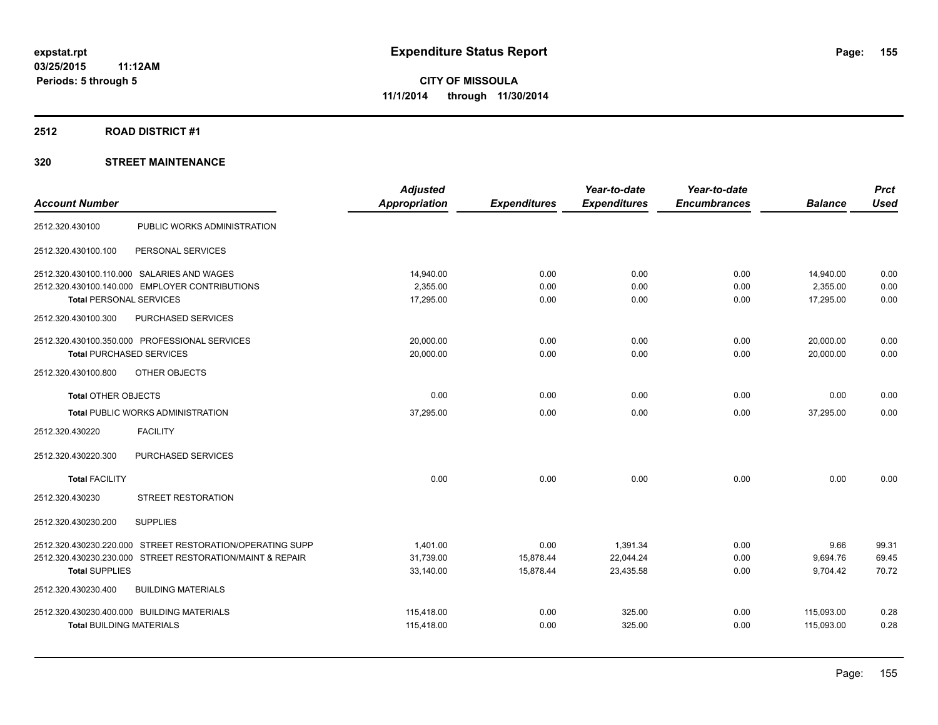#### **2512 ROAD DISTRICT #1**

|                                                           | <b>Adjusted</b>      |                     | Year-to-date        | Year-to-date        |                | <b>Prct</b> |
|-----------------------------------------------------------|----------------------|---------------------|---------------------|---------------------|----------------|-------------|
| <b>Account Number</b>                                     | <b>Appropriation</b> | <b>Expenditures</b> | <b>Expenditures</b> | <b>Encumbrances</b> | <b>Balance</b> | <b>Used</b> |
| PUBLIC WORKS ADMINISTRATION<br>2512.320.430100            |                      |                     |                     |                     |                |             |
| PERSONAL SERVICES<br>2512.320.430100.100                  |                      |                     |                     |                     |                |             |
| 2512.320.430100.110.000 SALARIES AND WAGES                | 14.940.00            | 0.00                | 0.00                | 0.00                | 14,940.00      | 0.00        |
| 2512.320.430100.140.000 EMPLOYER CONTRIBUTIONS            | 2,355.00             | 0.00                | 0.00                | 0.00                | 2,355.00       | 0.00        |
| <b>Total PERSONAL SERVICES</b>                            | 17,295.00            | 0.00                | 0.00                | 0.00                | 17,295.00      | 0.00        |
| PURCHASED SERVICES<br>2512.320.430100.300                 |                      |                     |                     |                     |                |             |
| 2512.320.430100.350.000 PROFESSIONAL SERVICES             | 20.000.00            | 0.00                | 0.00                | 0.00                | 20,000.00      | 0.00        |
| <b>Total PURCHASED SERVICES</b>                           | 20,000.00            | 0.00                | 0.00                | 0.00                | 20,000.00      | 0.00        |
| 2512.320.430100.800<br>OTHER OBJECTS                      |                      |                     |                     |                     |                |             |
| <b>Total OTHER OBJECTS</b>                                | 0.00                 | 0.00                | 0.00                | 0.00                | 0.00           | 0.00        |
| <b>Total PUBLIC WORKS ADMINISTRATION</b>                  | 37,295.00            | 0.00                | 0.00                | 0.00                | 37,295.00      | 0.00        |
| 2512.320.430220<br><b>FACILITY</b>                        |                      |                     |                     |                     |                |             |
| PURCHASED SERVICES<br>2512.320.430220.300                 |                      |                     |                     |                     |                |             |
| <b>Total FACILITY</b>                                     | 0.00                 | 0.00                | 0.00                | 0.00                | 0.00           | 0.00        |
| STREET RESTORATION<br>2512.320.430230                     |                      |                     |                     |                     |                |             |
| 2512.320.430230.200<br><b>SUPPLIES</b>                    |                      |                     |                     |                     |                |             |
| 2512.320.430230.220.000 STREET RESTORATION/OPERATING SUPP | 1,401.00             | 0.00                | 1,391.34            | 0.00                | 9.66           | 99.31       |
| 2512.320.430230.230.000 STREET RESTORATION/MAINT & REPAIR | 31,739.00            | 15,878.44           | 22,044.24           | 0.00                | 9,694.76       | 69.45       |
| <b>Total SUPPLIES</b>                                     | 33,140.00            | 15,878.44           | 23,435.58           | 0.00                | 9,704.42       | 70.72       |
| 2512.320.430230.400<br><b>BUILDING MATERIALS</b>          |                      |                     |                     |                     |                |             |
| 2512.320.430230.400.000 BUILDING MATERIALS                | 115,418.00           | 0.00                | 325.00              | 0.00                | 115,093.00     | 0.28        |
| <b>Total BUILDING MATERIALS</b>                           | 115.418.00           | 0.00                | 325.00              | 0.00                | 115.093.00     | 0.28        |
|                                                           |                      |                     |                     |                     |                |             |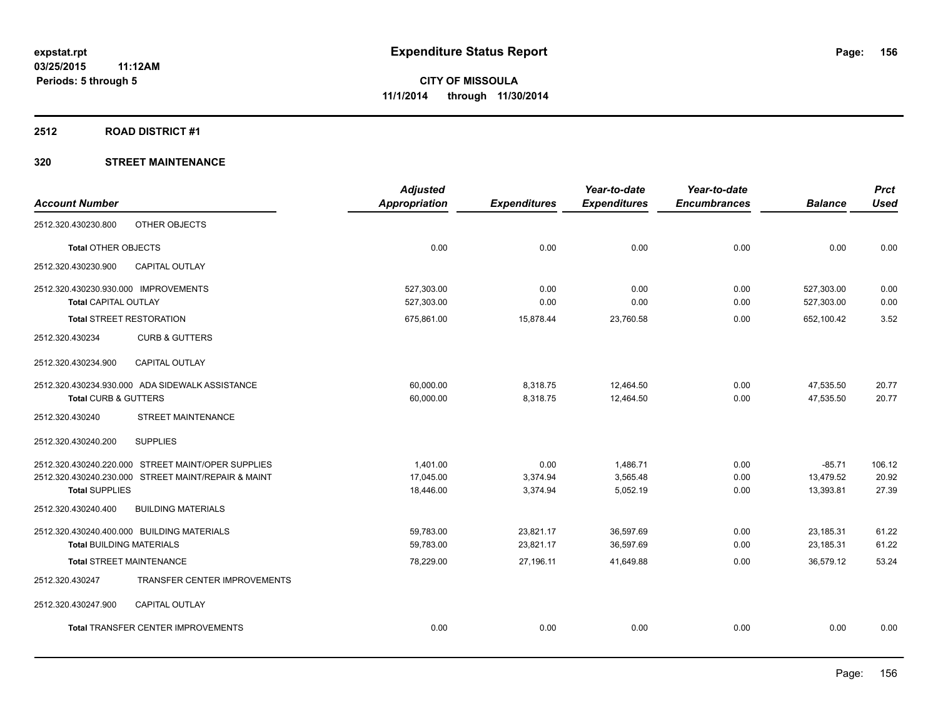#### **2512 ROAD DISTRICT #1**

|                                                     | <b>Adjusted</b>      |                     | Year-to-date        | Year-to-date        |                | <b>Prct</b> |
|-----------------------------------------------------|----------------------|---------------------|---------------------|---------------------|----------------|-------------|
| <b>Account Number</b>                               | <b>Appropriation</b> | <b>Expenditures</b> | <b>Expenditures</b> | <b>Encumbrances</b> | <b>Balance</b> | <b>Used</b> |
| 2512.320.430230.800<br>OTHER OBJECTS                |                      |                     |                     |                     |                |             |
| Total OTHER OBJECTS                                 | 0.00                 | 0.00                | 0.00                | 0.00                | 0.00           | 0.00        |
| 2512.320.430230.900<br><b>CAPITAL OUTLAY</b>        |                      |                     |                     |                     |                |             |
| 2512.320.430230.930.000 IMPROVEMENTS                | 527,303.00           | 0.00                | 0.00                | 0.00                | 527,303.00     | 0.00        |
| <b>Total CAPITAL OUTLAY</b>                         | 527,303.00           | 0.00                | 0.00                | 0.00                | 527,303.00     | 0.00        |
| <b>Total STREET RESTORATION</b>                     | 675,861.00           | 15,878.44           | 23,760.58           | 0.00                | 652,100.42     | 3.52        |
| 2512.320.430234<br><b>CURB &amp; GUTTERS</b>        |                      |                     |                     |                     |                |             |
| 2512.320.430234.900<br>CAPITAL OUTLAY               |                      |                     |                     |                     |                |             |
| 2512.320.430234.930.000 ADA SIDEWALK ASSISTANCE     | 60,000.00            | 8,318.75            | 12,464.50           | 0.00                | 47,535.50      | 20.77       |
| <b>Total CURB &amp; GUTTERS</b>                     | 60,000.00            | 8,318.75            | 12,464.50           | 0.00                | 47,535.50      | 20.77       |
| STREET MAINTENANCE<br>2512.320.430240               |                      |                     |                     |                     |                |             |
| 2512.320.430240.200<br><b>SUPPLIES</b>              |                      |                     |                     |                     |                |             |
| 2512.320.430240.220.000 STREET MAINT/OPER SUPPLIES  | 1,401.00             | 0.00                | 1,486.71            | 0.00                | $-85.71$       | 106.12      |
| 2512.320.430240.230.000 STREET MAINT/REPAIR & MAINT | 17.045.00            | 3,374.94            | 3,565.48            | 0.00                | 13,479.52      | 20.92       |
| <b>Total SUPPLIES</b>                               | 18,446.00            | 3,374.94            | 5,052.19            | 0.00                | 13,393.81      | 27.39       |
| <b>BUILDING MATERIALS</b><br>2512.320.430240.400    |                      |                     |                     |                     |                |             |
| 2512.320.430240.400.000 BUILDING MATERIALS          | 59,783.00            | 23,821.17           | 36,597.69           | 0.00                | 23,185.31      | 61.22       |
| <b>Total BUILDING MATERIALS</b>                     | 59.783.00            | 23,821.17           | 36,597.69           | 0.00                | 23,185.31      | 61.22       |
| <b>Total STREET MAINTENANCE</b>                     | 78,229.00            | 27,196.11           | 41,649.88           | 0.00                | 36.579.12      | 53.24       |
| 2512.320.430247<br>TRANSFER CENTER IMPROVEMENTS     |                      |                     |                     |                     |                |             |
| CAPITAL OUTLAY<br>2512.320.430247.900               |                      |                     |                     |                     |                |             |
| <b>Total TRANSFER CENTER IMPROVEMENTS</b>           | 0.00                 | 0.00                | 0.00                | 0.00                | 0.00           | 0.00        |
|                                                     |                      |                     |                     |                     |                |             |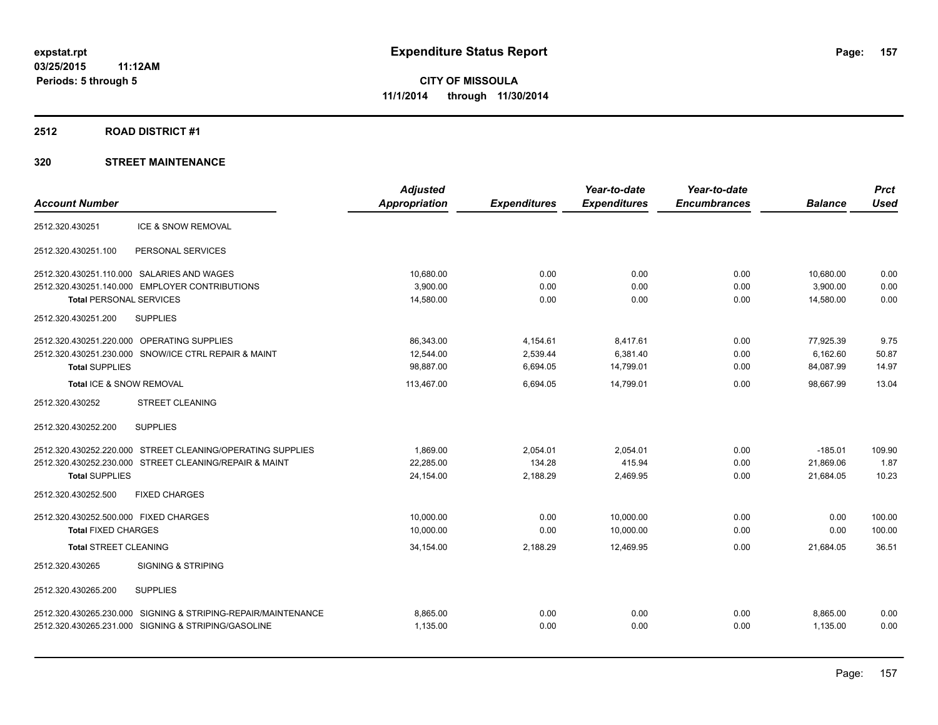#### **2512 ROAD DISTRICT #1**

|                                                               | <b>Adjusted</b> |                     | Year-to-date        | Year-to-date        |                | <b>Prct</b> |
|---------------------------------------------------------------|-----------------|---------------------|---------------------|---------------------|----------------|-------------|
| <b>Account Number</b>                                         | Appropriation   | <b>Expenditures</b> | <b>Expenditures</b> | <b>Encumbrances</b> | <b>Balance</b> | <b>Used</b> |
| <b>ICE &amp; SNOW REMOVAL</b><br>2512.320.430251              |                 |                     |                     |                     |                |             |
| 2512.320.430251.100<br>PERSONAL SERVICES                      |                 |                     |                     |                     |                |             |
| 2512.320.430251.110.000 SALARIES AND WAGES                    | 10,680.00       | 0.00                | 0.00                | 0.00                | 10,680.00      | 0.00        |
| 2512.320.430251.140.000 EMPLOYER CONTRIBUTIONS                | 3,900.00        | 0.00                | 0.00                | 0.00                | 3,900.00       | 0.00        |
| <b>Total PERSONAL SERVICES</b>                                | 14,580.00       | 0.00                | 0.00                | 0.00                | 14,580.00      | 0.00        |
| 2512.320.430251.200<br><b>SUPPLIES</b>                        |                 |                     |                     |                     |                |             |
| 2512.320.430251.220.000 OPERATING SUPPLIES                    | 86,343.00       | 4,154.61            | 8,417.61            | 0.00                | 77,925.39      | 9.75        |
| 2512.320.430251.230.000 SNOW/ICE CTRL REPAIR & MAINT          | 12,544.00       | 2,539.44            | 6,381.40            | 0.00                | 6,162.60       | 50.87       |
| <b>Total SUPPLIES</b>                                         | 98,887.00       | 6,694.05            | 14,799.01           | 0.00                | 84,087.99      | 14.97       |
| Total ICE & SNOW REMOVAL                                      | 113,467.00      | 6,694.05            | 14,799.01           | 0.00                | 98,667.99      | 13.04       |
| 2512.320.430252<br><b>STREET CLEANING</b>                     |                 |                     |                     |                     |                |             |
| 2512.320.430252.200<br><b>SUPPLIES</b>                        |                 |                     |                     |                     |                |             |
| 2512.320.430252.220.000 STREET CLEANING/OPERATING SUPPLIES    | 1,869.00        | 2,054.01            | 2,054.01            | 0.00                | $-185.01$      | 109.90      |
| 2512.320.430252.230.000 STREET CLEANING/REPAIR & MAINT        | 22,285.00       | 134.28              | 415.94              | 0.00                | 21,869.06      | 1.87        |
| <b>Total SUPPLIES</b>                                         | 24,154.00       | 2,188.29            | 2,469.95            | 0.00                | 21,684.05      | 10.23       |
| 2512.320.430252.500<br><b>FIXED CHARGES</b>                   |                 |                     |                     |                     |                |             |
| 2512.320.430252.500.000 FIXED CHARGES                         | 10.000.00       | 0.00                | 10.000.00           | 0.00                | 0.00           | 100.00      |
| <b>Total FIXED CHARGES</b>                                    | 10,000.00       | 0.00                | 10.000.00           | 0.00                | 0.00           | 100.00      |
| <b>Total STREET CLEANING</b>                                  | 34,154.00       | 2,188.29            | 12,469.95           | 0.00                | 21,684.05      | 36.51       |
| <b>SIGNING &amp; STRIPING</b><br>2512.320.430265              |                 |                     |                     |                     |                |             |
| 2512.320.430265.200<br><b>SUPPLIES</b>                        |                 |                     |                     |                     |                |             |
| 2512.320.430265.230.000 SIGNING & STRIPING-REPAIR/MAINTENANCE | 8,865.00        | 0.00                | 0.00                | 0.00                | 8,865.00       | 0.00        |
| 2512.320.430265.231.000 SIGNING & STRIPING/GASOLINE           | 1,135.00        | 0.00                | 0.00                | 0.00                | 1,135.00       | 0.00        |
|                                                               |                 |                     |                     |                     |                |             |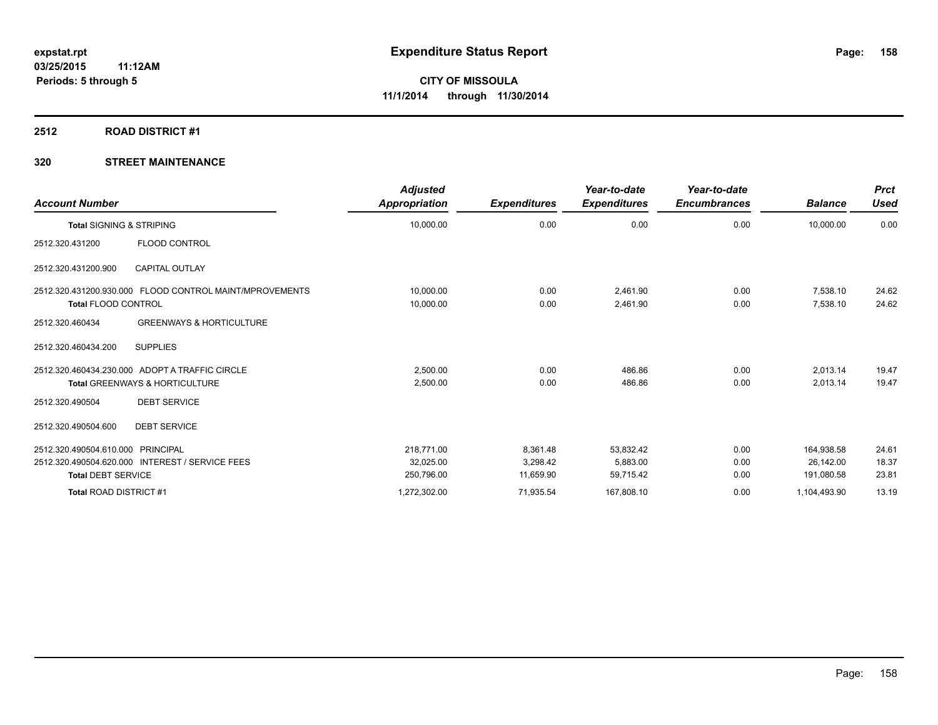#### **2512 ROAD DISTRICT #1**

| <b>Account Number</b>                                                                                             | <b>Adjusted</b><br>Appropriation      | <b>Expenditures</b>               | Year-to-date<br><b>Expenditures</b> | Year-to-date<br><b>Encumbrances</b> | <b>Balance</b>                        | <b>Prct</b><br><b>Used</b> |
|-------------------------------------------------------------------------------------------------------------------|---------------------------------------|-----------------------------------|-------------------------------------|-------------------------------------|---------------------------------------|----------------------------|
| <b>Total SIGNING &amp; STRIPING</b>                                                                               | 10,000.00                             | 0.00                              | 0.00                                | 0.00                                | 10,000.00                             | 0.00                       |
| <b>FLOOD CONTROL</b><br>2512.320.431200                                                                           |                                       |                                   |                                     |                                     |                                       |                            |
| <b>CAPITAL OUTLAY</b><br>2512.320.431200.900                                                                      |                                       |                                   |                                     |                                     |                                       |                            |
| 2512.320.431200.930.000 FLOOD CONTROL MAINT/MPROVEMENTS<br><b>Total FLOOD CONTROL</b>                             | 10,000.00<br>10,000.00                | 0.00<br>0.00                      | 2,461.90<br>2,461.90                | 0.00<br>0.00                        | 7,538.10<br>7,538.10                  | 24.62<br>24.62             |
| <b>GREENWAYS &amp; HORTICULTURE</b><br>2512.320.460434                                                            |                                       |                                   |                                     |                                     |                                       |                            |
| <b>SUPPLIES</b><br>2512.320.460434.200                                                                            |                                       |                                   |                                     |                                     |                                       |                            |
| 2512.320.460434.230.000 ADOPT A TRAFFIC CIRCLE<br><b>Total GREENWAYS &amp; HORTICULTURE</b>                       | 2.500.00<br>2,500.00                  | 0.00<br>0.00                      | 486.86<br>486.86                    | 0.00<br>0.00                        | 2,013.14<br>2,013.14                  | 19.47<br>19.47             |
| <b>DEBT SERVICE</b><br>2512.320.490504                                                                            |                                       |                                   |                                     |                                     |                                       |                            |
| 2512.320.490504.600<br><b>DEBT SERVICE</b>                                                                        |                                       |                                   |                                     |                                     |                                       |                            |
| 2512.320.490504.610.000 PRINCIPAL<br>2512.320.490504.620.000 INTEREST / SERVICE FEES<br><b>Total DEBT SERVICE</b> | 218.771.00<br>32,025.00<br>250,796.00 | 8,361.48<br>3.298.42<br>11,659.90 | 53,832.42<br>5.883.00<br>59,715.42  | 0.00<br>0.00<br>0.00                | 164,938.58<br>26.142.00<br>191,080.58 | 24.61<br>18.37<br>23.81    |
| Total ROAD DISTRICT #1                                                                                            | 1,272,302.00                          | 71,935.54                         | 167,808.10                          | 0.00                                | 1,104,493.90                          | 13.19                      |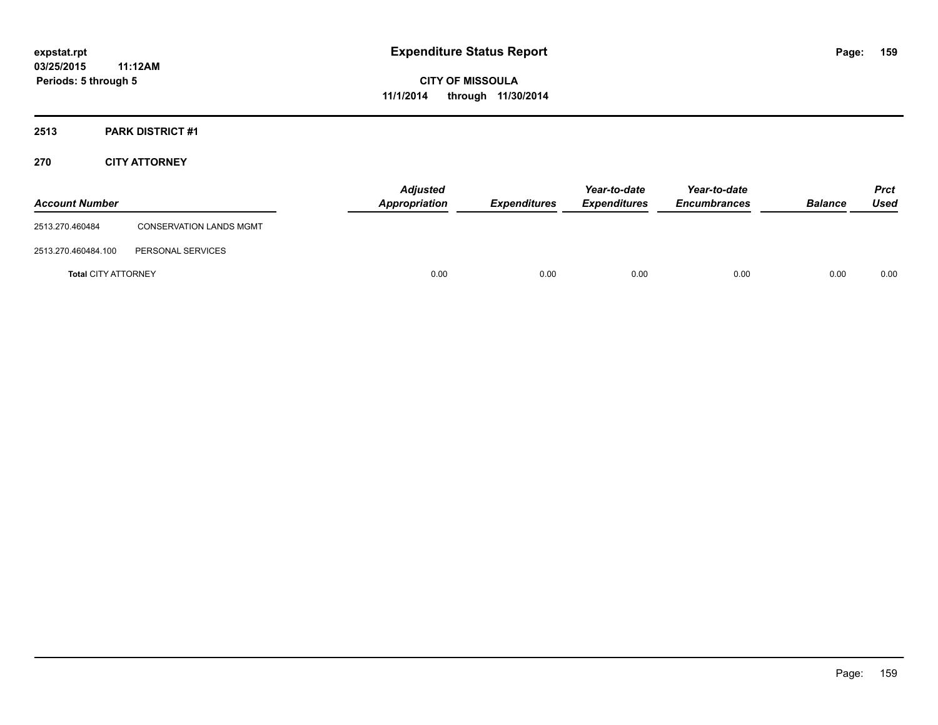### **2513 PARK DISTRICT #1**

#### **270 CITY ATTORNEY**

| <b>Account Number</b>      |                                | <b>Adjusted</b><br><b>Appropriation</b> | <b>Expenditures</b> | Year-to-date<br><b>Expenditures</b> | Year-to-date<br><b>Encumbrances</b> | <b>Balance</b> | <b>Prct</b><br>Used |
|----------------------------|--------------------------------|-----------------------------------------|---------------------|-------------------------------------|-------------------------------------|----------------|---------------------|
| 2513.270.460484            | <b>CONSERVATION LANDS MGMT</b> |                                         |                     |                                     |                                     |                |                     |
| 2513.270.460484.100        | PERSONAL SERVICES              |                                         |                     |                                     |                                     |                |                     |
| <b>Total CITY ATTORNEY</b> |                                | 0.00                                    | 0.00                | 0.00                                | 0.00                                | 0.00           | 0.00                |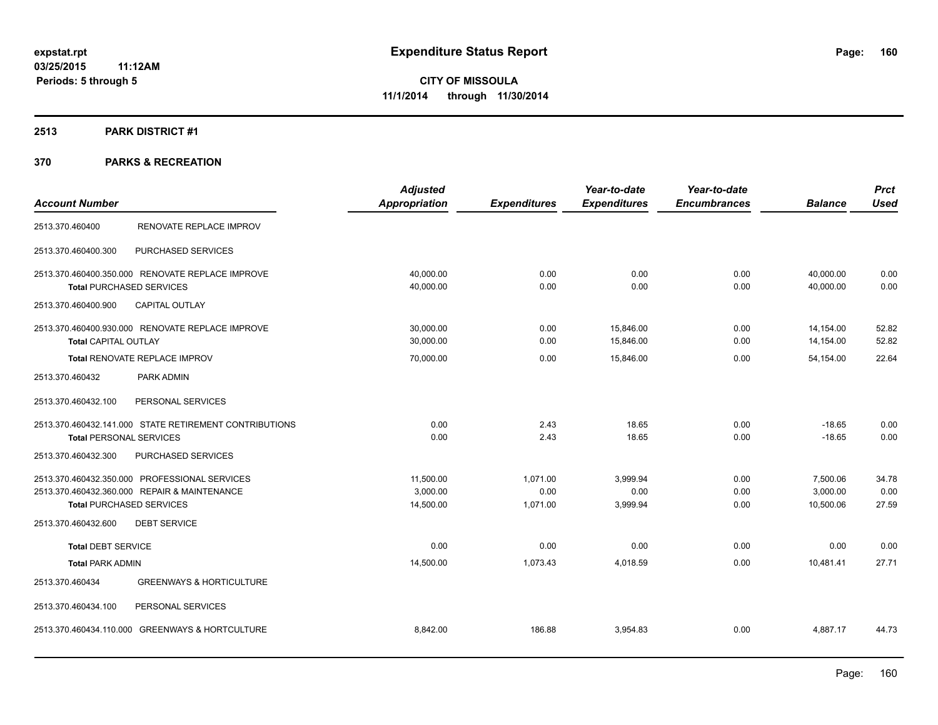#### **2513 PARK DISTRICT #1**

|                                                        | <b>Adjusted</b>      |                     | Year-to-date        | Year-to-date        |                | <b>Prct</b> |
|--------------------------------------------------------|----------------------|---------------------|---------------------|---------------------|----------------|-------------|
| <b>Account Number</b>                                  | <b>Appropriation</b> | <b>Expenditures</b> | <b>Expenditures</b> | <b>Encumbrances</b> | <b>Balance</b> | <b>Used</b> |
| RENOVATE REPLACE IMPROV<br>2513.370.460400             |                      |                     |                     |                     |                |             |
| PURCHASED SERVICES<br>2513.370.460400.300              |                      |                     |                     |                     |                |             |
| 2513.370.460400.350.000 RENOVATE REPLACE IMPROVE       | 40,000.00            | 0.00                | 0.00                | 0.00                | 40,000.00      | 0.00        |
| <b>Total PURCHASED SERVICES</b>                        | 40,000.00            | 0.00                | 0.00                | 0.00                | 40,000.00      | 0.00        |
| <b>CAPITAL OUTLAY</b><br>2513.370.460400.900           |                      |                     |                     |                     |                |             |
| 2513.370.460400.930.000 RENOVATE REPLACE IMPROVE       | 30,000.00            | 0.00                | 15,846.00           | 0.00                | 14,154.00      | 52.82       |
| <b>Total CAPITAL OUTLAY</b>                            | 30,000.00            | 0.00                | 15,846.00           | 0.00                | 14,154.00      | 52.82       |
| Total RENOVATE REPLACE IMPROV                          | 70,000.00            | 0.00                | 15,846.00           | 0.00                | 54,154.00      | 22.64       |
| 2513.370.460432<br>PARK ADMIN                          |                      |                     |                     |                     |                |             |
| 2513.370.460432.100<br>PERSONAL SERVICES               |                      |                     |                     |                     |                |             |
| 2513.370.460432.141.000 STATE RETIREMENT CONTRIBUTIONS | 0.00                 | 2.43                | 18.65               | 0.00                | $-18.65$       | 0.00        |
| <b>Total PERSONAL SERVICES</b>                         | 0.00                 | 2.43                | 18.65               | 0.00                | $-18.65$       | 0.00        |
| 2513.370.460432.300<br>PURCHASED SERVICES              |                      |                     |                     |                     |                |             |
| 2513.370.460432.350.000 PROFESSIONAL SERVICES          | 11.500.00            | 1.071.00            | 3.999.94            | 0.00                | 7,500.06       | 34.78       |
| 2513.370.460432.360.000 REPAIR & MAINTENANCE           | 3,000.00             | 0.00                | 0.00                | 0.00                | 3,000.00       | 0.00        |
| <b>Total PURCHASED SERVICES</b>                        | 14,500.00            | 1,071.00            | 3,999.94            | 0.00                | 10,500.06      | 27.59       |
| 2513.370.460432.600<br><b>DEBT SERVICE</b>             |                      |                     |                     |                     |                |             |
| <b>Total DEBT SERVICE</b>                              | 0.00                 | 0.00                | 0.00                | 0.00                | 0.00           | 0.00        |
| <b>Total PARK ADMIN</b>                                | 14,500.00            | 1,073.43            | 4,018.59            | 0.00                | 10,481.41      | 27.71       |
| 2513.370.460434<br><b>GREENWAYS &amp; HORTICULTURE</b> |                      |                     |                     |                     |                |             |
| 2513.370.460434.100<br>PERSONAL SERVICES               |                      |                     |                     |                     |                |             |
| 2513.370.460434.110.000 GREENWAYS & HORTCULTURE        | 8,842.00             | 186.88              | 3,954.83            | 0.00                | 4,887.17       | 44.73       |
|                                                        |                      |                     |                     |                     |                |             |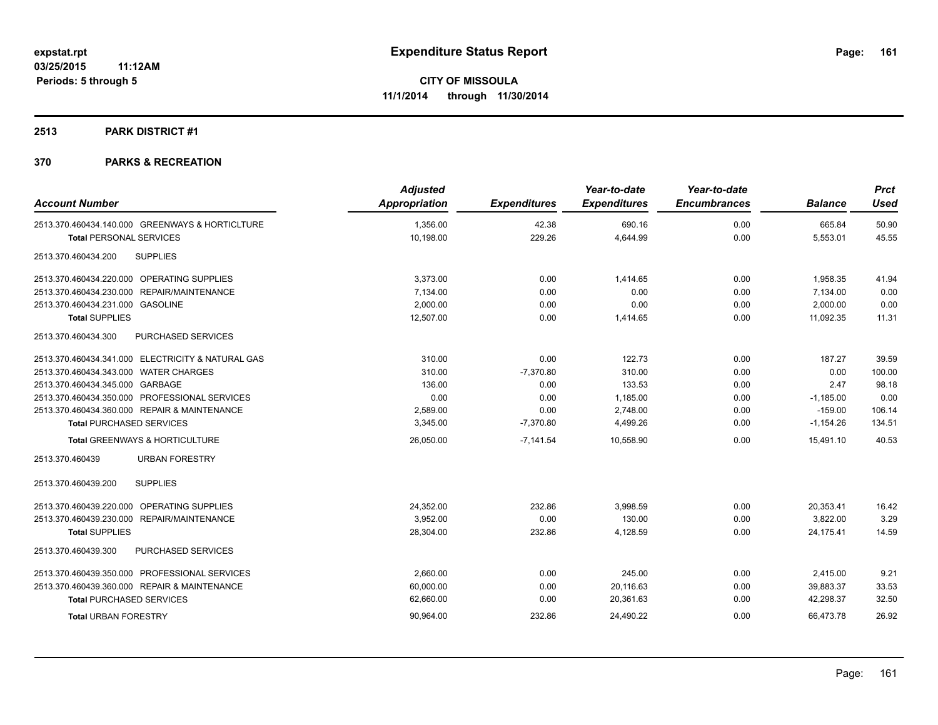#### **2513 PARK DISTRICT #1**

| <b>Account Number</b>                             | <b>Adjusted</b><br><b>Appropriation</b> | <b>Expenditures</b> | Year-to-date<br><b>Expenditures</b> | Year-to-date<br><b>Encumbrances</b> | <b>Balance</b> | <b>Prct</b><br><b>Used</b> |
|---------------------------------------------------|-----------------------------------------|---------------------|-------------------------------------|-------------------------------------|----------------|----------------------------|
| 2513.370.460434.140.000 GREENWAYS & HORTICLTURE   | 1,356.00                                | 42.38               | 690.16                              | 0.00                                | 665.84         | 50.90                      |
| <b>Total PERSONAL SERVICES</b>                    | 10,198.00                               | 229.26              | 4,644.99                            | 0.00                                | 5,553.01       | 45.55                      |
| <b>SUPPLIES</b><br>2513.370.460434.200            |                                         |                     |                                     |                                     |                |                            |
| 2513.370.460434.220.000 OPERATING SUPPLIES        | 3,373.00                                | 0.00                | 1,414.65                            | 0.00                                | 1,958.35       | 41.94                      |
| 2513.370.460434.230.000 REPAIR/MAINTENANCE        | 7,134.00                                | 0.00                | 0.00                                | 0.00                                | 7,134.00       | 0.00                       |
| 2513.370.460434.231.000 GASOLINE                  | 2,000.00                                | 0.00                | 0.00                                | 0.00                                | 2,000.00       | 0.00                       |
| <b>Total SUPPLIES</b>                             | 12,507.00                               | 0.00                | 1,414.65                            | 0.00                                | 11,092.35      | 11.31                      |
| 2513.370.460434.300<br>PURCHASED SERVICES         |                                         |                     |                                     |                                     |                |                            |
| 2513.370.460434.341.000 ELECTRICITY & NATURAL GAS | 310.00                                  | 0.00                | 122.73                              | 0.00                                | 187.27         | 39.59                      |
| 2513.370.460434.343.000 WATER CHARGES             | 310.00                                  | $-7,370.80$         | 310.00                              | 0.00                                | 0.00           | 100.00                     |
| 2513.370.460434.345.000 GARBAGE                   | 136.00                                  | 0.00                | 133.53                              | 0.00                                | 2.47           | 98.18                      |
| 2513.370.460434.350.000 PROFESSIONAL SERVICES     | 0.00                                    | 0.00                | 1,185.00                            | 0.00                                | $-1,185.00$    | 0.00                       |
| 2513.370.460434.360.000 REPAIR & MAINTENANCE      | 2,589.00                                | 0.00                | 2,748.00                            | 0.00                                | $-159.00$      | 106.14                     |
| <b>Total PURCHASED SERVICES</b>                   | 3,345.00                                | $-7,370.80$         | 4,499.26                            | 0.00                                | $-1,154.26$    | 134.51                     |
| <b>Total GREENWAYS &amp; HORTICULTURE</b>         | 26,050.00                               | $-7,141.54$         | 10,558.90                           | 0.00                                | 15,491.10      | 40.53                      |
| <b>URBAN FORESTRY</b><br>2513.370.460439          |                                         |                     |                                     |                                     |                |                            |
| 2513.370.460439.200<br><b>SUPPLIES</b>            |                                         |                     |                                     |                                     |                |                            |
| 2513.370.460439.220.000 OPERATING SUPPLIES        | 24,352.00                               | 232.86              | 3.998.59                            | 0.00                                | 20,353.41      | 16.42                      |
| 2513.370.460439.230.000 REPAIR/MAINTENANCE        | 3.952.00                                | 0.00                | 130.00                              | 0.00                                | 3.822.00       | 3.29                       |
| <b>Total SUPPLIES</b>                             | 28,304.00                               | 232.86              | 4,128.59                            | 0.00                                | 24,175.41      | 14.59                      |
| PURCHASED SERVICES<br>2513.370.460439.300         |                                         |                     |                                     |                                     |                |                            |
| 2513.370.460439.350.000 PROFESSIONAL SERVICES     | 2,660.00                                | 0.00                | 245.00                              | 0.00                                | 2,415.00       | 9.21                       |
| 2513.370.460439.360.000 REPAIR & MAINTENANCE      | 60,000.00                               | 0.00                | 20,116.63                           | 0.00                                | 39,883.37      | 33.53                      |
| <b>Total PURCHASED SERVICES</b>                   | 62,660.00                               | 0.00                | 20,361.63                           | 0.00                                | 42,298.37      | 32.50                      |
| <b>Total URBAN FORESTRY</b>                       | 90,964.00                               | 232.86              | 24,490.22                           | 0.00                                | 66,473.78      | 26.92                      |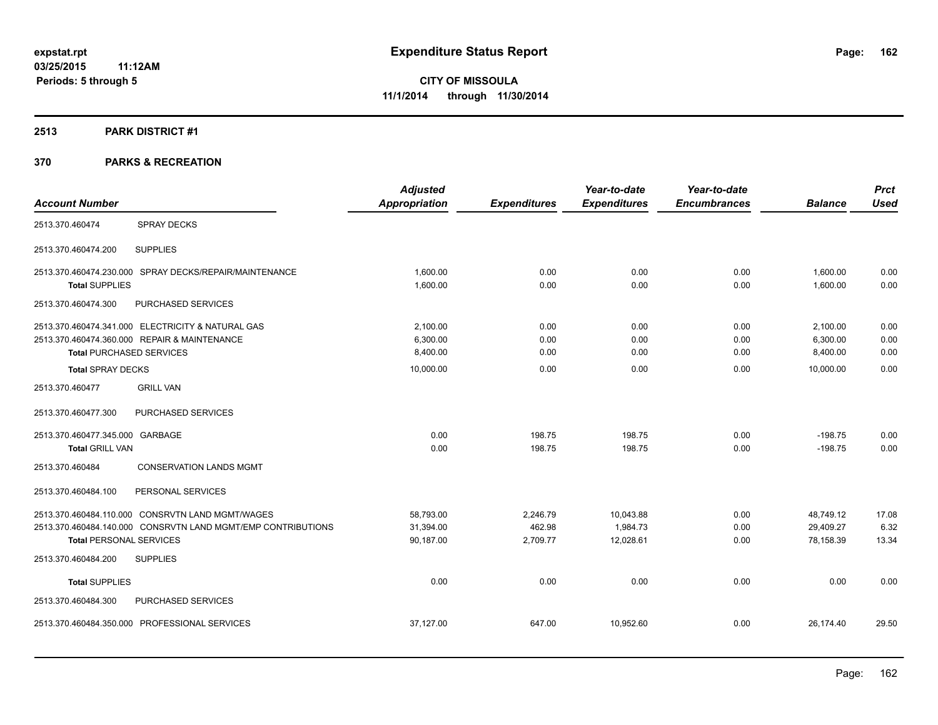#### **2513 PARK DISTRICT #1**

|                                                              | <b>Adjusted</b> |                     | Year-to-date        | Year-to-date        |                | <b>Prct</b> |
|--------------------------------------------------------------|-----------------|---------------------|---------------------|---------------------|----------------|-------------|
| <b>Account Number</b>                                        | Appropriation   | <b>Expenditures</b> | <b>Expenditures</b> | <b>Encumbrances</b> | <b>Balance</b> | <b>Used</b> |
| <b>SPRAY DECKS</b><br>2513.370.460474                        |                 |                     |                     |                     |                |             |
| <b>SUPPLIES</b><br>2513.370.460474.200                       |                 |                     |                     |                     |                |             |
| 2513.370.460474.230.000 SPRAY DECKS/REPAIR/MAINTENANCE       | 1,600.00        | 0.00                | 0.00                | 0.00                | 1,600.00       | 0.00        |
| <b>Total SUPPLIES</b>                                        | 1,600.00        | 0.00                | 0.00                | 0.00                | 1,600.00       | 0.00        |
| 2513.370.460474.300<br>PURCHASED SERVICES                    |                 |                     |                     |                     |                |             |
| 2513.370.460474.341.000 ELECTRICITY & NATURAL GAS            | 2,100.00        | 0.00                | 0.00                | 0.00                | 2,100.00       | 0.00        |
| 2513.370.460474.360.000 REPAIR & MAINTENANCE                 | 6,300.00        | 0.00                | 0.00                | 0.00                | 6,300.00       | 0.00        |
| <b>Total PURCHASED SERVICES</b>                              | 8,400.00        | 0.00                | 0.00                | 0.00                | 8,400.00       | 0.00        |
| <b>Total SPRAY DECKS</b>                                     | 10,000.00       | 0.00                | 0.00                | 0.00                | 10,000.00      | 0.00        |
| 2513.370.460477<br><b>GRILL VAN</b>                          |                 |                     |                     |                     |                |             |
| 2513.370.460477.300<br>PURCHASED SERVICES                    |                 |                     |                     |                     |                |             |
| 2513.370.460477.345.000 GARBAGE                              | 0.00            | 198.75              | 198.75              | 0.00                | $-198.75$      | 0.00        |
| <b>Total GRILL VAN</b>                                       | 0.00            | 198.75              | 198.75              | 0.00                | $-198.75$      | 0.00        |
| 2513.370.460484<br><b>CONSERVATION LANDS MGMT</b>            |                 |                     |                     |                     |                |             |
| 2513.370.460484.100<br>PERSONAL SERVICES                     |                 |                     |                     |                     |                |             |
| 2513.370.460484.110.000 CONSRVTN LAND MGMT/WAGES             | 58,793.00       | 2,246.79            | 10,043.88           | 0.00                | 48,749.12      | 17.08       |
| 2513.370.460484.140.000 CONSRVTN LAND MGMT/EMP CONTRIBUTIONS | 31,394.00       | 462.98              | 1,984.73            | 0.00                | 29,409.27      | 6.32        |
| <b>Total PERSONAL SERVICES</b>                               | 90,187.00       | 2,709.77            | 12,028.61           | 0.00                | 78,158.39      | 13.34       |
| <b>SUPPLIES</b><br>2513.370.460484.200                       |                 |                     |                     |                     |                |             |
| <b>Total SUPPLIES</b>                                        | 0.00            | 0.00                | 0.00                | 0.00                | 0.00           | 0.00        |
| PURCHASED SERVICES<br>2513.370.460484.300                    |                 |                     |                     |                     |                |             |
| 2513.370.460484.350.000 PROFESSIONAL SERVICES                | 37,127.00       | 647.00              | 10,952.60           | 0.00                | 26,174.40      | 29.50       |
|                                                              |                 |                     |                     |                     |                |             |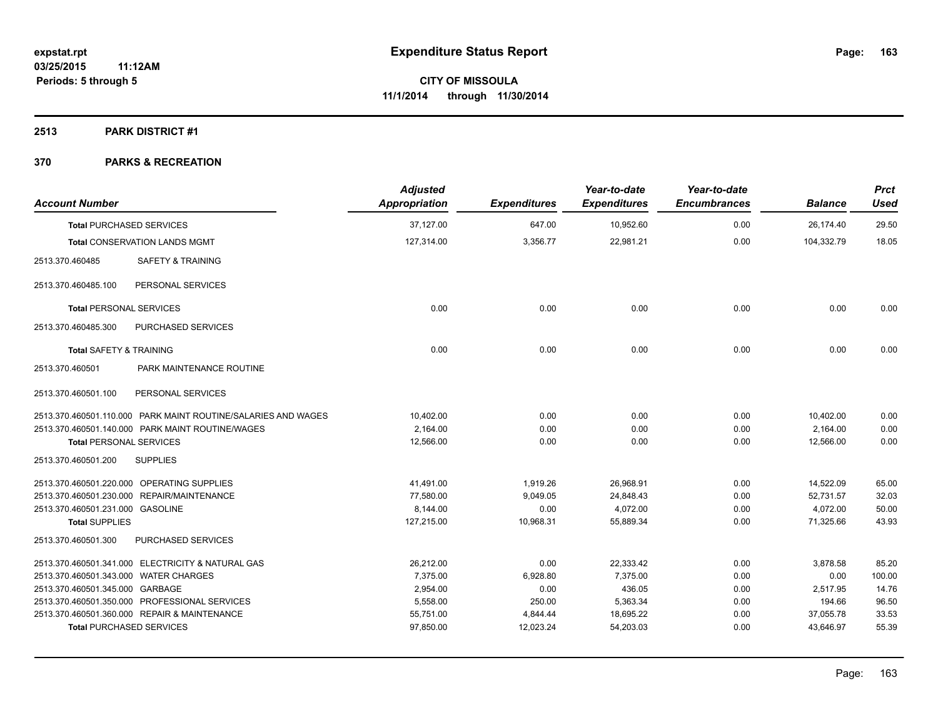#### **2513 PARK DISTRICT #1**

| <b>Account Number</b>                 |                                                               | <b>Adjusted</b><br>Appropriation | <b>Expenditures</b> | Year-to-date<br><b>Expenditures</b> | Year-to-date<br><b>Encumbrances</b> | <b>Balance</b> | <b>Prct</b><br><b>Used</b> |
|---------------------------------------|---------------------------------------------------------------|----------------------------------|---------------------|-------------------------------------|-------------------------------------|----------------|----------------------------|
|                                       | <b>Total PURCHASED SERVICES</b>                               | 37,127.00                        | 647.00              | 10,952.60                           | 0.00                                | 26,174.40      | 29.50                      |
|                                       | <b>Total CONSERVATION LANDS MGMT</b>                          | 127,314.00                       | 3,356.77            | 22.981.21                           | 0.00                                | 104.332.79     | 18.05                      |
| 2513.370.460485                       | <b>SAFETY &amp; TRAINING</b>                                  |                                  |                     |                                     |                                     |                |                            |
| 2513.370.460485.100                   | PERSONAL SERVICES                                             |                                  |                     |                                     |                                     |                |                            |
| <b>Total PERSONAL SERVICES</b>        |                                                               | 0.00                             | 0.00                | 0.00                                | 0.00                                | 0.00           | 0.00                       |
| 2513.370.460485.300                   | PURCHASED SERVICES                                            |                                  |                     |                                     |                                     |                |                            |
| <b>Total SAFETY &amp; TRAINING</b>    |                                                               | 0.00                             | 0.00                | 0.00                                | 0.00                                | 0.00           | 0.00                       |
| 2513.370.460501                       | PARK MAINTENANCE ROUTINE                                      |                                  |                     |                                     |                                     |                |                            |
| 2513.370.460501.100                   | PERSONAL SERVICES                                             |                                  |                     |                                     |                                     |                |                            |
|                                       | 2513.370.460501.110.000 PARK MAINT ROUTINE/SALARIES AND WAGES | 10,402.00                        | 0.00                | 0.00                                | 0.00                                | 10,402.00      | 0.00                       |
|                                       | 2513.370.460501.140.000 PARK MAINT ROUTINE/WAGES              | 2,164.00                         | 0.00                | 0.00                                | 0.00                                | 2,164.00       | 0.00                       |
| <b>Total PERSONAL SERVICES</b>        |                                                               | 12,566.00                        | 0.00                | 0.00                                | 0.00                                | 12,566.00      | 0.00                       |
| 2513.370.460501.200                   | <b>SUPPLIES</b>                                               |                                  |                     |                                     |                                     |                |                            |
|                                       | 2513.370.460501.220.000 OPERATING SUPPLIES                    | 41,491.00                        | 1,919.26            | 26,968.91                           | 0.00                                | 14,522.09      | 65.00                      |
|                                       | 2513.370.460501.230.000 REPAIR/MAINTENANCE                    | 77,580.00                        | 9,049.05            | 24,848.43                           | 0.00                                | 52,731.57      | 32.03                      |
| 2513.370.460501.231.000 GASOLINE      |                                                               | 8,144.00                         | 0.00                | 4,072.00                            | 0.00                                | 4,072.00       | 50.00                      |
| <b>Total SUPPLIES</b>                 |                                                               | 127,215.00                       | 10,968.31           | 55,889.34                           | 0.00                                | 71,325.66      | 43.93                      |
| 2513.370.460501.300                   | PURCHASED SERVICES                                            |                                  |                     |                                     |                                     |                |                            |
|                                       | 2513.370.460501.341.000 ELECTRICITY & NATURAL GAS             | 26,212.00                        | 0.00                | 22,333.42                           | 0.00                                | 3,878.58       | 85.20                      |
| 2513.370.460501.343.000 WATER CHARGES |                                                               | 7,375.00                         | 6,928.80            | 7,375.00                            | 0.00                                | 0.00           | 100.00                     |
| 2513.370.460501.345.000 GARBAGE       |                                                               | 2,954.00                         | 0.00                | 436.05                              | 0.00                                | 2,517.95       | 14.76                      |
|                                       | 2513.370.460501.350.000 PROFESSIONAL SERVICES                 | 5,558.00                         | 250.00              | 5,363.34                            | 0.00                                | 194.66         | 96.50                      |
|                                       | 2513.370.460501.360.000 REPAIR & MAINTENANCE                  | 55,751.00                        | 4,844.44            | 18,695.22                           | 0.00                                | 37,055.78      | 33.53                      |
|                                       | <b>Total PURCHASED SERVICES</b>                               | 97,850.00                        | 12,023.24           | 54,203.03                           | 0.00                                | 43,646.97      | 55.39                      |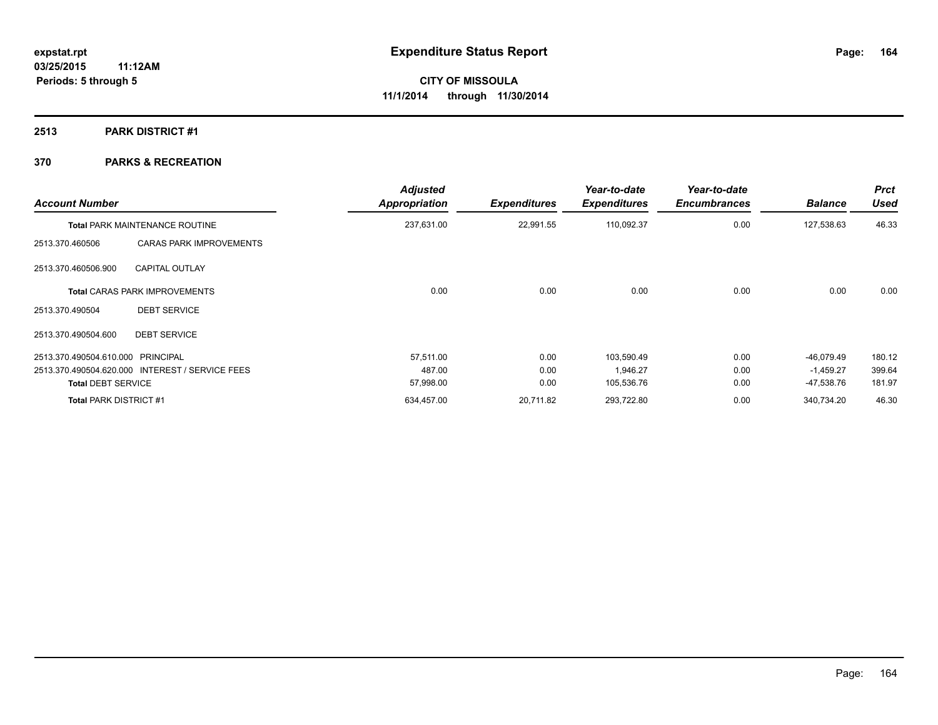#### **2513 PARK DISTRICT #1**

| <b>Account Number</b>         |                                                 | <b>Adjusted</b><br>Appropriation | <b>Expenditures</b> | Year-to-date<br><b>Expenditures</b> | Year-to-date<br><b>Encumbrances</b> | <b>Balance</b> | <b>Prct</b><br><b>Used</b> |
|-------------------------------|-------------------------------------------------|----------------------------------|---------------------|-------------------------------------|-------------------------------------|----------------|----------------------------|
|                               | <b>Total PARK MAINTENANCE ROUTINE</b>           | 237,631.00                       | 22,991.55           | 110,092.37                          | 0.00                                | 127,538.63     | 46.33                      |
| 2513.370.460506               | <b>CARAS PARK IMPROVEMENTS</b>                  |                                  |                     |                                     |                                     |                |                            |
| 2513.370.460506.900           | <b>CAPITAL OUTLAY</b>                           |                                  |                     |                                     |                                     |                |                            |
|                               | <b>Total CARAS PARK IMPROVEMENTS</b>            | 0.00                             | 0.00                | 0.00                                | 0.00                                | 0.00           | 0.00                       |
| 2513.370.490504               | <b>DEBT SERVICE</b>                             |                                  |                     |                                     |                                     |                |                            |
| 2513.370.490504.600           | <b>DEBT SERVICE</b>                             |                                  |                     |                                     |                                     |                |                            |
| 2513.370.490504.610.000       | PRINCIPAL                                       | 57,511.00                        | 0.00                | 103,590.49                          | 0.00                                | $-46,079.49$   | 180.12                     |
|                               | 2513.370.490504.620.000 INTEREST / SERVICE FEES | 487.00                           | 0.00                | 1.946.27                            | 0.00                                | $-1,459.27$    | 399.64                     |
| <b>Total DEBT SERVICE</b>     |                                                 | 57,998.00                        | 0.00                | 105,536.76                          | 0.00                                | -47,538.76     | 181.97                     |
| <b>Total PARK DISTRICT #1</b> |                                                 | 634,457.00                       | 20,711.82           | 293,722.80                          | 0.00                                | 340,734.20     | 46.30                      |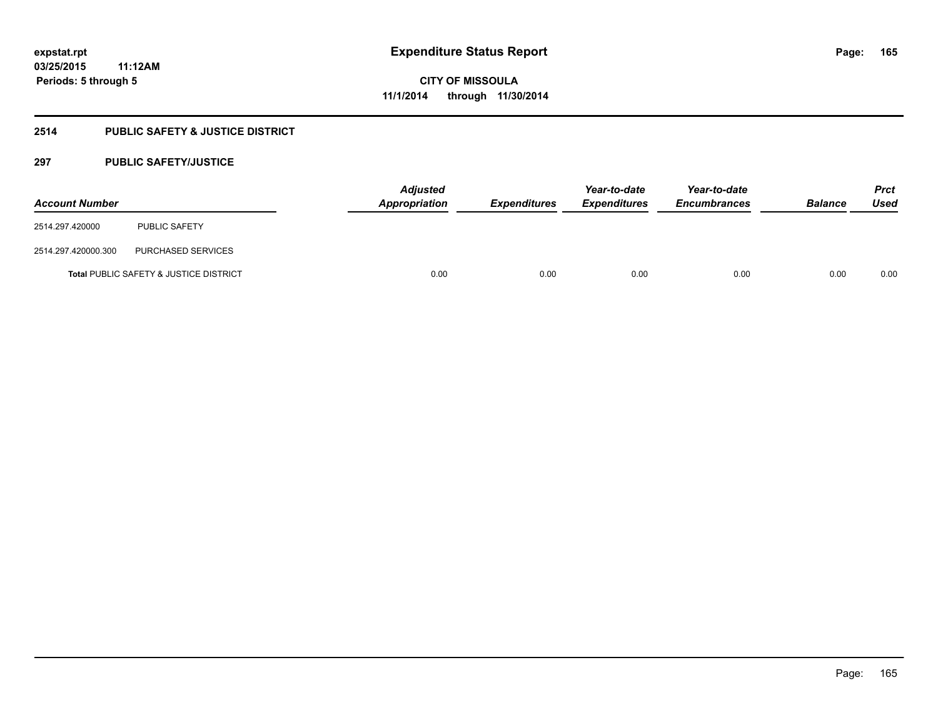### **2514 PUBLIC SAFETY & JUSTICE DISTRICT**

#### **297 PUBLIC SAFETY/JUSTICE**

| <b>Account Number</b> |                                        | <b>Adjusted</b><br><b>Appropriation</b> | <b>Expenditures</b> | Year-to-date<br><b>Expenditures</b> | Year-to-date<br><b>Encumbrances</b> | <b>Balance</b> | <b>Prct</b><br>Used |
|-----------------------|----------------------------------------|-----------------------------------------|---------------------|-------------------------------------|-------------------------------------|----------------|---------------------|
| 2514.297.420000       | PUBLIC SAFETY                          |                                         |                     |                                     |                                     |                |                     |
| 2514.297.420000.300   | PURCHASED SERVICES                     |                                         |                     |                                     |                                     |                |                     |
|                       | Total PUBLIC SAFETY & JUSTICE DISTRICT | 0.00                                    | 0.00                | 0.00                                | 0.00                                | 0.00           | 0.00                |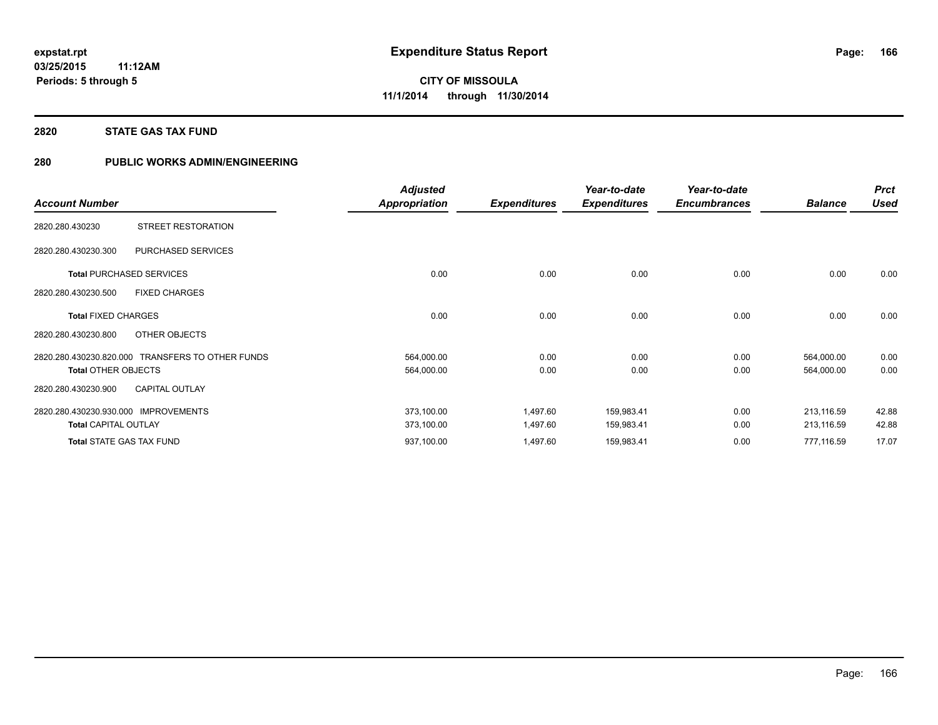#### **2820 STATE GAS TAX FUND**

### **280 PUBLIC WORKS ADMIN/ENGINEERING**

|                                                  | <b>Adjusted</b>      |                     | Year-to-date        | Year-to-date        |                | <b>Prct</b> |
|--------------------------------------------------|----------------------|---------------------|---------------------|---------------------|----------------|-------------|
| <b>Account Number</b>                            | <b>Appropriation</b> | <b>Expenditures</b> | <b>Expenditures</b> | <b>Encumbrances</b> | <b>Balance</b> | <b>Used</b> |
| STREET RESTORATION<br>2820.280.430230            |                      |                     |                     |                     |                |             |
| PURCHASED SERVICES<br>2820.280.430230.300        |                      |                     |                     |                     |                |             |
| <b>Total PURCHASED SERVICES</b>                  | 0.00                 | 0.00                | 0.00                | 0.00                | 0.00           | 0.00        |
| 2820.280.430230.500<br><b>FIXED CHARGES</b>      |                      |                     |                     |                     |                |             |
| <b>Total FIXED CHARGES</b>                       | 0.00                 | 0.00                | 0.00                | 0.00                | 0.00           | 0.00        |
| 2820.280.430230.800<br>OTHER OBJECTS             |                      |                     |                     |                     |                |             |
| 2820.280.430230.820.000 TRANSFERS TO OTHER FUNDS | 564,000.00           | 0.00                | 0.00                | 0.00                | 564,000.00     | 0.00        |
| <b>Total OTHER OBJECTS</b>                       | 564,000.00           | 0.00                | 0.00                | 0.00                | 564,000.00     | 0.00        |
| <b>CAPITAL OUTLAY</b><br>2820.280.430230.900     |                      |                     |                     |                     |                |             |
| 2820.280.430230.930.000<br><b>IMPROVEMENTS</b>   | 373,100.00           | 1,497.60            | 159,983.41          | 0.00                | 213,116.59     | 42.88       |
| <b>Total CAPITAL OUTLAY</b>                      | 373,100.00           | 1,497.60            | 159,983.41          | 0.00                | 213,116.59     | 42.88       |
| <b>Total STATE GAS TAX FUND</b>                  | 937,100.00           | 1,497.60            | 159,983.41          | 0.00                | 777,116.59     | 17.07       |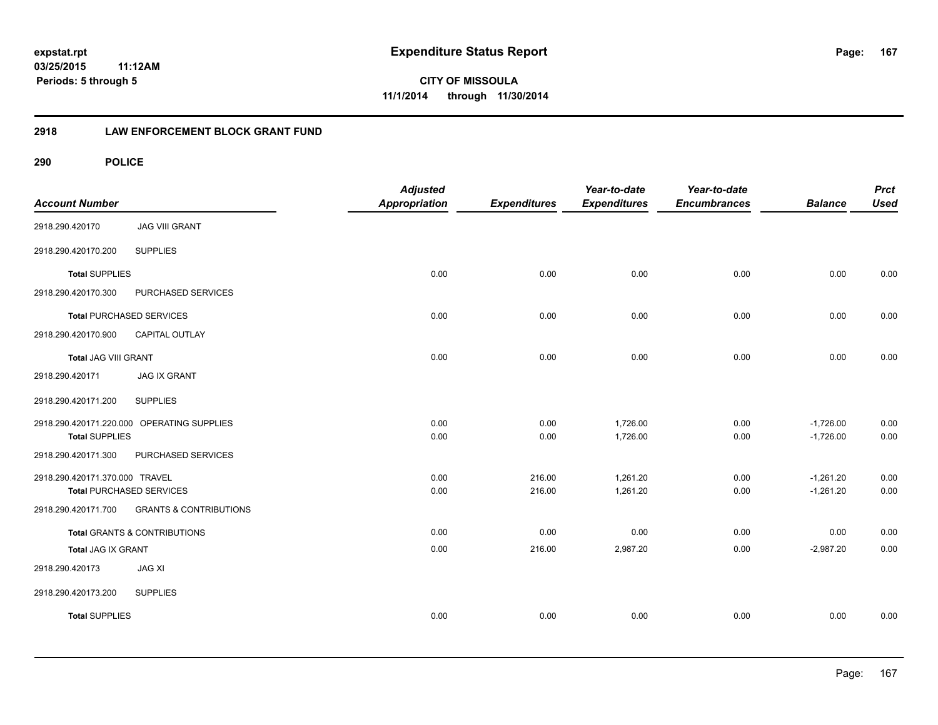# **03/25/2015**

**167**

**11:12AM Periods: 5 through 5**

**CITY OF MISSOULA 11/1/2014 through 11/30/2014**

#### **2918 LAW ENFORCEMENT BLOCK GRANT FUND**

| <b>Account Number</b>           |                                            | <b>Adjusted</b><br><b>Appropriation</b> | <b>Expenditures</b> | Year-to-date<br><b>Expenditures</b> | Year-to-date<br><b>Encumbrances</b> | <b>Balance</b>             | <b>Prct</b><br><b>Used</b> |
|---------------------------------|--------------------------------------------|-----------------------------------------|---------------------|-------------------------------------|-------------------------------------|----------------------------|----------------------------|
| 2918.290.420170                 | <b>JAG VIII GRANT</b>                      |                                         |                     |                                     |                                     |                            |                            |
| 2918.290.420170.200             | <b>SUPPLIES</b>                            |                                         |                     |                                     |                                     |                            |                            |
| <b>Total SUPPLIES</b>           |                                            | 0.00                                    | 0.00                | 0.00                                | 0.00                                | 0.00                       | 0.00                       |
| 2918.290.420170.300             | PURCHASED SERVICES                         |                                         |                     |                                     |                                     |                            |                            |
| <b>Total PURCHASED SERVICES</b> |                                            | 0.00                                    | 0.00                | 0.00                                | 0.00                                | 0.00                       | 0.00                       |
| 2918.290.420170.900             | CAPITAL OUTLAY                             |                                         |                     |                                     |                                     |                            |                            |
| Total JAG VIII GRANT            |                                            | 0.00                                    | 0.00                | 0.00                                | 0.00                                | 0.00                       | 0.00                       |
| 2918.290.420171                 | <b>JAG IX GRANT</b>                        |                                         |                     |                                     |                                     |                            |                            |
| 2918.290.420171.200             | <b>SUPPLIES</b>                            |                                         |                     |                                     |                                     |                            |                            |
| <b>Total SUPPLIES</b>           | 2918.290.420171.220.000 OPERATING SUPPLIES | 0.00<br>0.00                            | 0.00<br>0.00        | 1,726.00<br>1,726.00                | 0.00<br>0.00                        | $-1,726.00$<br>$-1,726.00$ | 0.00<br>0.00               |
| 2918.290.420171.300             | PURCHASED SERVICES                         |                                         |                     |                                     |                                     |                            |                            |
| 2918.290.420171.370.000 TRAVEL  | <b>Total PURCHASED SERVICES</b>            | 0.00<br>0.00                            | 216.00<br>216.00    | 1,261.20<br>1,261.20                | 0.00<br>0.00                        | $-1,261.20$<br>$-1,261.20$ | 0.00<br>0.00               |
| 2918.290.420171.700             | <b>GRANTS &amp; CONTRIBUTIONS</b>          |                                         |                     |                                     |                                     |                            |                            |
|                                 | Total GRANTS & CONTRIBUTIONS               | 0.00                                    | 0.00                | 0.00                                | 0.00                                | 0.00                       | 0.00                       |
| Total JAG IX GRANT              |                                            | 0.00                                    | 216.00              | 2,987.20                            | 0.00                                | $-2,987.20$                | 0.00                       |
| 2918.290.420173                 | <b>JAG XI</b>                              |                                         |                     |                                     |                                     |                            |                            |
| 2918.290.420173.200             | <b>SUPPLIES</b>                            |                                         |                     |                                     |                                     |                            |                            |
| <b>Total SUPPLIES</b>           |                                            | 0.00                                    | 0.00                | 0.00                                | 0.00                                | 0.00                       | 0.00                       |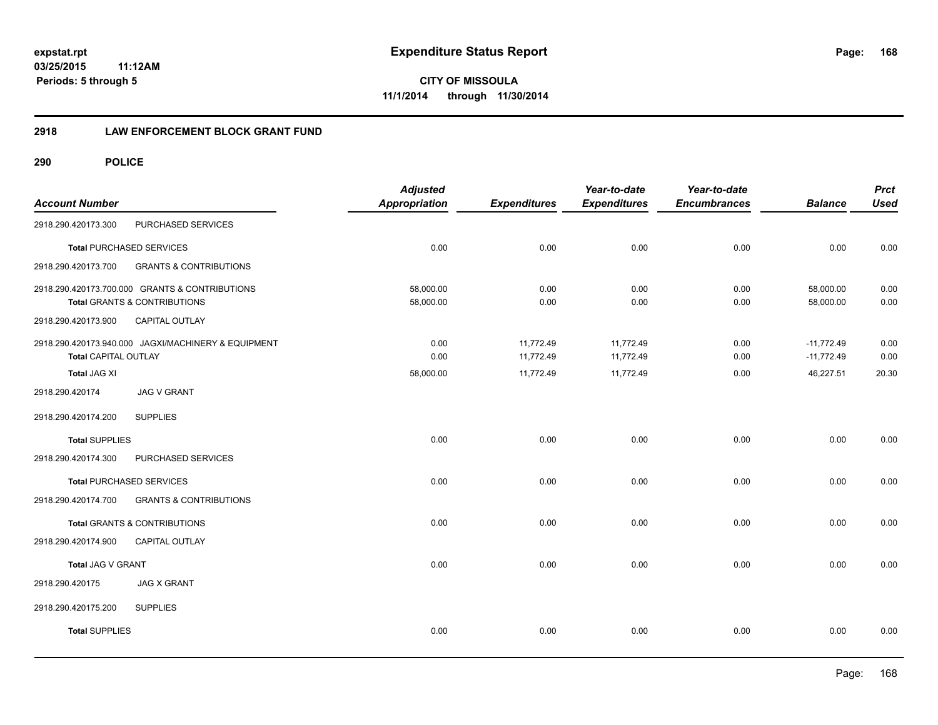**168**

**03/25/2015 11:12AM Periods: 5 through 5**

**CITY OF MISSOULA 11/1/2014 through 11/30/2014**

#### **2918 LAW ENFORCEMENT BLOCK GRANT FUND**

| <b>Account Number</b>       |                                                                                | <b>Adjusted</b><br><b>Appropriation</b> | <b>Expenditures</b>    | Year-to-date<br><b>Expenditures</b> | Year-to-date<br><b>Encumbrances</b> | <b>Balance</b>               | <b>Prct</b><br><b>Used</b> |
|-----------------------------|--------------------------------------------------------------------------------|-----------------------------------------|------------------------|-------------------------------------|-------------------------------------|------------------------------|----------------------------|
| 2918.290.420173.300         | PURCHASED SERVICES                                                             |                                         |                        |                                     |                                     |                              |                            |
|                             | <b>Total PURCHASED SERVICES</b>                                                | 0.00                                    | 0.00                   | 0.00                                | 0.00                                | 0.00                         | 0.00                       |
| 2918.290.420173.700         | <b>GRANTS &amp; CONTRIBUTIONS</b>                                              |                                         |                        |                                     |                                     |                              |                            |
|                             | 2918.290.420173.700.000 GRANTS & CONTRIBUTIONS<br>Total GRANTS & CONTRIBUTIONS | 58,000.00<br>58,000.00                  | 0.00<br>0.00           | 0.00<br>0.00                        | 0.00<br>0.00                        | 58,000.00<br>58,000.00       | 0.00<br>0.00               |
| 2918.290.420173.900         | CAPITAL OUTLAY                                                                 |                                         |                        |                                     |                                     |                              |                            |
| <b>Total CAPITAL OUTLAY</b> | 2918.290.420173.940.000 JAGXI/MACHINERY & EQUIPMENT                            | 0.00<br>0.00                            | 11,772.49<br>11,772.49 | 11,772.49<br>11,772.49              | 0.00<br>0.00                        | $-11,772.49$<br>$-11,772.49$ | 0.00<br>0.00               |
| <b>Total JAG XI</b>         |                                                                                | 58,000.00                               | 11,772.49              | 11,772.49                           | 0.00                                | 46,227.51                    | 20.30                      |
| 2918.290.420174             | <b>JAG V GRANT</b>                                                             |                                         |                        |                                     |                                     |                              |                            |
| 2918.290.420174.200         | <b>SUPPLIES</b>                                                                |                                         |                        |                                     |                                     |                              |                            |
| <b>Total SUPPLIES</b>       |                                                                                | 0.00                                    | 0.00                   | 0.00                                | 0.00                                | 0.00                         | 0.00                       |
| 2918.290.420174.300         | PURCHASED SERVICES                                                             |                                         |                        |                                     |                                     |                              |                            |
|                             | <b>Total PURCHASED SERVICES</b>                                                | 0.00                                    | 0.00                   | 0.00                                | 0.00                                | 0.00                         | 0.00                       |
| 2918.290.420174.700         | <b>GRANTS &amp; CONTRIBUTIONS</b>                                              |                                         |                        |                                     |                                     |                              |                            |
|                             | Total GRANTS & CONTRIBUTIONS                                                   | 0.00                                    | 0.00                   | 0.00                                | 0.00                                | 0.00                         | 0.00                       |
| 2918.290.420174.900         | CAPITAL OUTLAY                                                                 |                                         |                        |                                     |                                     |                              |                            |
| Total JAG V GRANT           |                                                                                | 0.00                                    | 0.00                   | 0.00                                | 0.00                                | 0.00                         | 0.00                       |
| 2918.290.420175             | <b>JAG X GRANT</b>                                                             |                                         |                        |                                     |                                     |                              |                            |
| 2918.290.420175.200         | <b>SUPPLIES</b>                                                                |                                         |                        |                                     |                                     |                              |                            |
| <b>Total SUPPLIES</b>       |                                                                                | 0.00                                    | 0.00                   | 0.00                                | 0.00                                | 0.00                         | 0.00                       |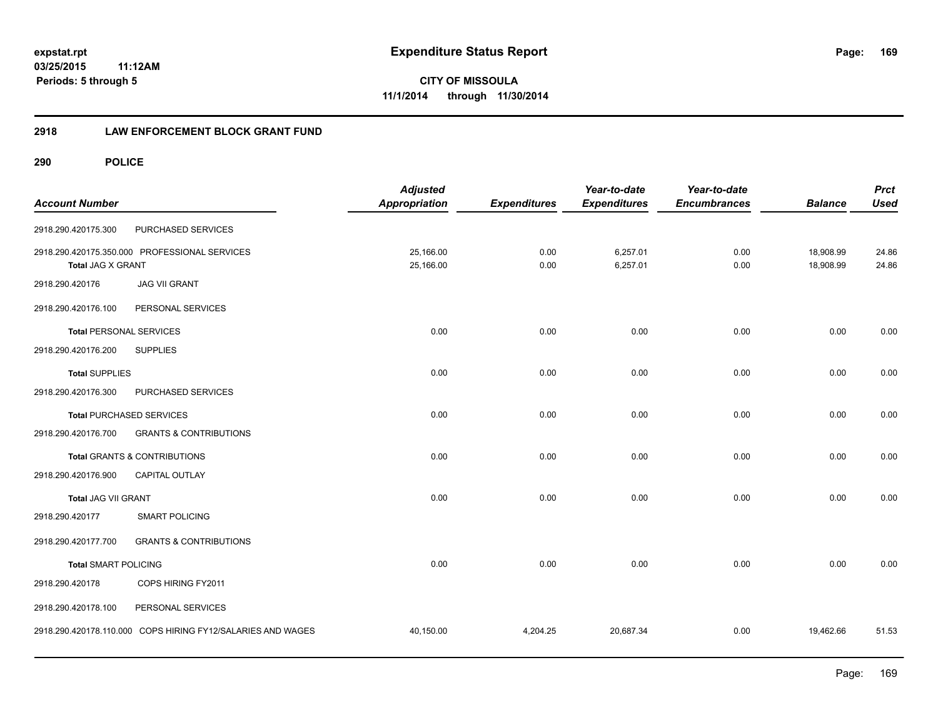**CITY OF MISSOULA 11/1/2014 through 11/30/2014**

#### **2918 LAW ENFORCEMENT BLOCK GRANT FUND**

| <b>Account Number</b>          |                                                             | <b>Adjusted</b><br><b>Appropriation</b> | <b>Expenditures</b> | Year-to-date<br><b>Expenditures</b> | Year-to-date<br><b>Encumbrances</b> | <b>Balance</b>         | <b>Prct</b><br><b>Used</b> |
|--------------------------------|-------------------------------------------------------------|-----------------------------------------|---------------------|-------------------------------------|-------------------------------------|------------------------|----------------------------|
| 2918.290.420175.300            | PURCHASED SERVICES                                          |                                         |                     |                                     |                                     |                        |                            |
| <b>Total JAG X GRANT</b>       | 2918.290.420175.350.000 PROFESSIONAL SERVICES               | 25,166.00<br>25,166.00                  | 0.00<br>0.00        | 6,257.01<br>6,257.01                | 0.00<br>0.00                        | 18,908.99<br>18,908.99 | 24.86<br>24.86             |
| 2918.290.420176                | <b>JAG VII GRANT</b>                                        |                                         |                     |                                     |                                     |                        |                            |
| 2918.290.420176.100            | PERSONAL SERVICES                                           |                                         |                     |                                     |                                     |                        |                            |
| <b>Total PERSONAL SERVICES</b> |                                                             | 0.00                                    | 0.00                | 0.00                                | 0.00                                | 0.00                   | 0.00                       |
| 2918.290.420176.200            | <b>SUPPLIES</b>                                             |                                         |                     |                                     |                                     |                        |                            |
| <b>Total SUPPLIES</b>          |                                                             | 0.00                                    | 0.00                | 0.00                                | 0.00                                | 0.00                   | 0.00                       |
| 2918.290.420176.300            | PURCHASED SERVICES                                          |                                         |                     |                                     |                                     |                        |                            |
|                                | <b>Total PURCHASED SERVICES</b>                             | 0.00                                    | 0.00                | 0.00                                | 0.00                                | 0.00                   | 0.00                       |
| 2918.290.420176.700            | <b>GRANTS &amp; CONTRIBUTIONS</b>                           |                                         |                     |                                     |                                     |                        |                            |
|                                | Total GRANTS & CONTRIBUTIONS                                | 0.00                                    | 0.00                | 0.00                                | 0.00                                | 0.00                   | 0.00                       |
| 2918.290.420176.900            | <b>CAPITAL OUTLAY</b>                                       |                                         |                     |                                     |                                     |                        |                            |
| <b>Total JAG VII GRANT</b>     |                                                             | 0.00                                    | 0.00                | 0.00                                | 0.00                                | 0.00                   | 0.00                       |
| 2918.290.420177                | <b>SMART POLICING</b>                                       |                                         |                     |                                     |                                     |                        |                            |
| 2918.290.420177.700            | <b>GRANTS &amp; CONTRIBUTIONS</b>                           |                                         |                     |                                     |                                     |                        |                            |
| <b>Total SMART POLICING</b>    |                                                             | 0.00                                    | 0.00                | 0.00                                | 0.00                                | 0.00                   | 0.00                       |
| 2918.290.420178                | COPS HIRING FY2011                                          |                                         |                     |                                     |                                     |                        |                            |
| 2918.290.420178.100            | PERSONAL SERVICES                                           |                                         |                     |                                     |                                     |                        |                            |
|                                | 2918.290.420178.110.000 COPS HIRING FY12/SALARIES AND WAGES | 40,150.00                               | 4,204.25            | 20,687.34                           | 0.00                                | 19,462.66              | 51.53                      |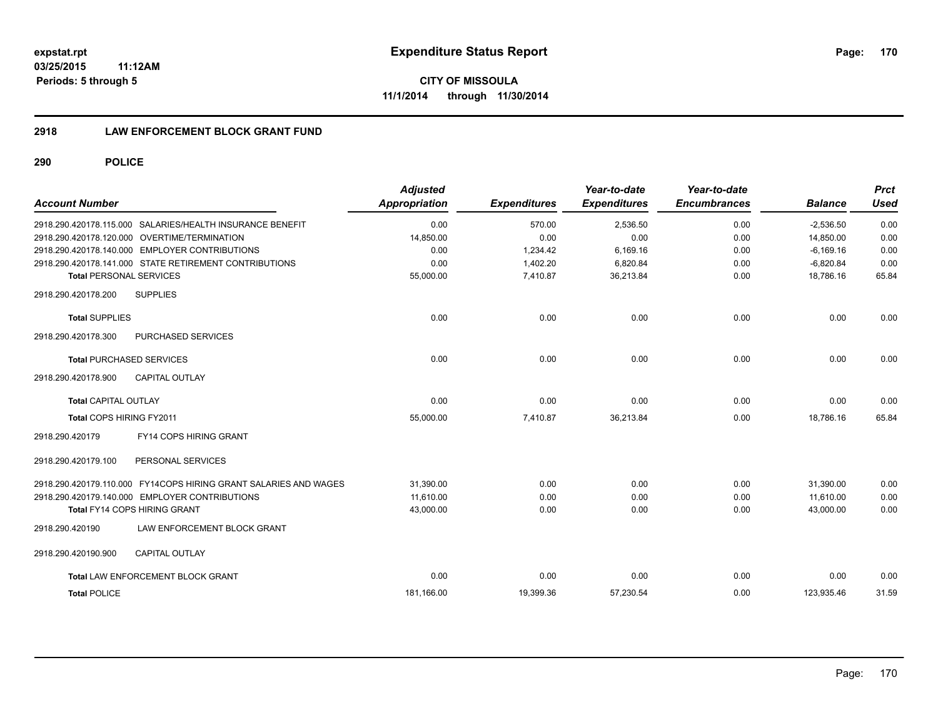**CITY OF MISSOULA 11/1/2014 through 11/30/2014**

#### **2918 LAW ENFORCEMENT BLOCK GRANT FUND**

| <b>Account Number</b>           |                                                                  | <b>Adjusted</b><br>Appropriation | <b>Expenditures</b> | Year-to-date<br><b>Expenditures</b> | Year-to-date<br><b>Encumbrances</b> | <b>Balance</b> | <b>Prct</b><br>Used |
|---------------------------------|------------------------------------------------------------------|----------------------------------|---------------------|-------------------------------------|-------------------------------------|----------------|---------------------|
|                                 | 2918.290.420178.115.000 SALARIES/HEALTH INSURANCE BENEFIT        | 0.00                             | 570.00              | 2,536.50                            | 0.00                                | $-2,536.50$    | 0.00                |
|                                 | 2918.290.420178.120.000 OVERTIME/TERMINATION                     | 14,850.00                        | 0.00                | 0.00                                | 0.00                                | 14.850.00      | 0.00                |
|                                 | 2918.290.420178.140.000 EMPLOYER CONTRIBUTIONS                   | 0.00                             | 1,234.42            | 6,169.16                            | 0.00                                | $-6,169.16$    | 0.00                |
|                                 | 2918.290.420178.141.000 STATE RETIREMENT CONTRIBUTIONS           | 0.00                             | 1,402.20            | 6,820.84                            | 0.00                                | $-6,820.84$    | 0.00                |
| <b>Total PERSONAL SERVICES</b>  |                                                                  | 55,000.00                        | 7,410.87            | 36,213.84                           | 0.00                                | 18,786.16      | 65.84               |
| 2918.290.420178.200             | <b>SUPPLIES</b>                                                  |                                  |                     |                                     |                                     |                |                     |
| <b>Total SUPPLIES</b>           |                                                                  | 0.00                             | 0.00                | 0.00                                | 0.00                                | 0.00           | 0.00                |
| 2918.290.420178.300             | PURCHASED SERVICES                                               |                                  |                     |                                     |                                     |                |                     |
| <b>Total PURCHASED SERVICES</b> |                                                                  | 0.00                             | 0.00                | 0.00                                | 0.00                                | 0.00           | 0.00                |
| 2918.290.420178.900             | <b>CAPITAL OUTLAY</b>                                            |                                  |                     |                                     |                                     |                |                     |
| Total CAPITAL OUTLAY            |                                                                  | 0.00                             | 0.00                | 0.00                                | 0.00                                | 0.00           | 0.00                |
| Total COPS HIRING FY2011        |                                                                  | 55,000.00                        | 7,410.87            | 36,213.84                           | 0.00                                | 18,786.16      | 65.84               |
| 2918.290.420179                 | FY14 COPS HIRING GRANT                                           |                                  |                     |                                     |                                     |                |                     |
| 2918.290.420179.100             | PERSONAL SERVICES                                                |                                  |                     |                                     |                                     |                |                     |
|                                 | 2918.290.420179.110.000 FY14COPS HIRING GRANT SALARIES AND WAGES | 31.390.00                        | 0.00                | 0.00                                | 0.00                                | 31,390.00      | 0.00                |
|                                 | 2918.290.420179.140.000 EMPLOYER CONTRIBUTIONS                   | 11.610.00                        | 0.00                | 0.00                                | 0.00                                | 11.610.00      | 0.00                |
| Total FY14 COPS HIRING GRANT    |                                                                  | 43,000.00                        | 0.00                | 0.00                                | 0.00                                | 43,000.00      | 0.00                |
| 2918.290.420190                 | LAW ENFORCEMENT BLOCK GRANT                                      |                                  |                     |                                     |                                     |                |                     |
| 2918.290.420190.900             | <b>CAPITAL OUTLAY</b>                                            |                                  |                     |                                     |                                     |                |                     |
|                                 | Total LAW ENFORCEMENT BLOCK GRANT                                | 0.00                             | 0.00                | 0.00                                | 0.00                                | 0.00           | 0.00                |
| <b>Total POLICE</b>             |                                                                  | 181.166.00                       | 19,399.36           | 57,230.54                           | 0.00                                | 123.935.46     | 31.59               |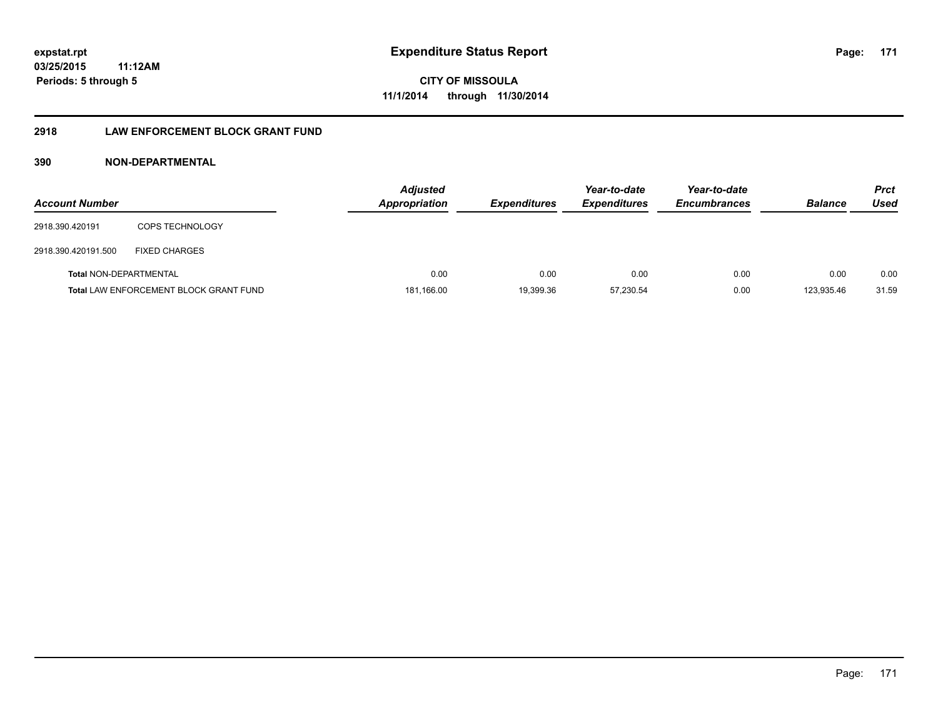#### **2918 LAW ENFORCEMENT BLOCK GRANT FUND**

#### **390 NON-DEPARTMENTAL**

| <b>Account Number</b>  |                                               | <b>Adjusted</b><br><b>Appropriation</b> | <b>Expenditures</b> | Year-to-date<br><b>Expenditures</b> | Year-to-date<br><b>Encumbrances</b> | <b>Balance</b> | <b>Prct</b><br>Used |
|------------------------|-----------------------------------------------|-----------------------------------------|---------------------|-------------------------------------|-------------------------------------|----------------|---------------------|
| 2918.390.420191        | <b>COPS TECHNOLOGY</b>                        |                                         |                     |                                     |                                     |                |                     |
| 2918.390.420191.500    | <b>FIXED CHARGES</b>                          |                                         |                     |                                     |                                     |                |                     |
| Total NON-DEPARTMENTAL |                                               | 0.00                                    | 0.00                | 0.00                                | 0.00                                | 0.00           | 0.00                |
|                        | <b>Total LAW ENFORCEMENT BLOCK GRANT FUND</b> | 181,166.00                              | 19,399.36           | 57.230.54                           | 0.00                                | 123.935.46     | 31.59               |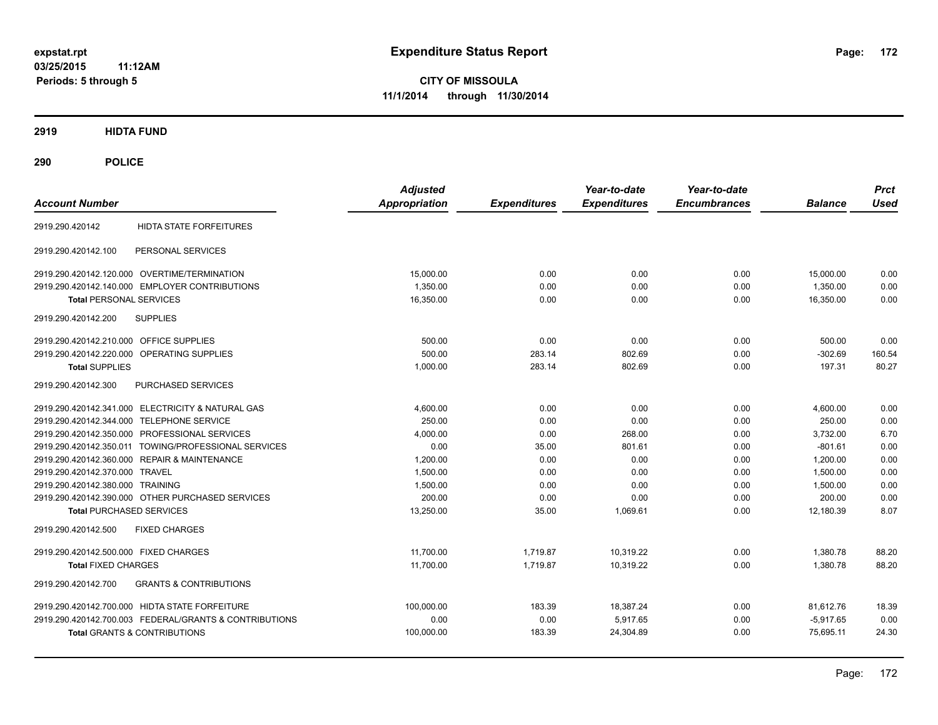**CITY OF MISSOULA 11/1/2014 through 11/30/2014**

**2919 HIDTA FUND**

| <b>Account Number</b>                                    | <b>Adjusted</b><br><b>Appropriation</b> | <b>Expenditures</b> | Year-to-date<br><b>Expenditures</b> | Year-to-date<br><b>Encumbrances</b> | <b>Balance</b> | <b>Prct</b><br><b>Used</b> |
|----------------------------------------------------------|-----------------------------------------|---------------------|-------------------------------------|-------------------------------------|----------------|----------------------------|
| <b>HIDTA STATE FORFEITURES</b><br>2919.290.420142        |                                         |                     |                                     |                                     |                |                            |
| PERSONAL SERVICES<br>2919.290.420142.100                 |                                         |                     |                                     |                                     |                |                            |
| 2919.290.420142.120.000 OVERTIME/TERMINATION             | 15,000.00                               | 0.00                | 0.00                                | 0.00                                | 15,000.00      | 0.00                       |
| 2919.290.420142.140.000 EMPLOYER CONTRIBUTIONS           | 1,350.00                                | 0.00                | 0.00                                | 0.00                                | 1,350.00       | 0.00                       |
| <b>Total PERSONAL SERVICES</b>                           | 16,350.00                               | 0.00                | 0.00                                | 0.00                                | 16,350.00      | 0.00                       |
| 2919.290.420142.200<br><b>SUPPLIES</b>                   |                                         |                     |                                     |                                     |                |                            |
| 2919.290.420142.210.000 OFFICE SUPPLIES                  | 500.00                                  | 0.00                | 0.00                                | 0.00                                | 500.00         | 0.00                       |
| 2919.290.420142.220.000<br>OPERATING SUPPLIES            | 500.00                                  | 283.14              | 802.69                              | 0.00                                | $-302.69$      | 160.54                     |
| <b>Total SUPPLIES</b>                                    | 1,000.00                                | 283.14              | 802.69                              | 0.00                                | 197.31         | 80.27                      |
| PURCHASED SERVICES<br>2919.290.420142.300                |                                         |                     |                                     |                                     |                |                            |
| 2919.290.420142.341.000 ELECTRICITY & NATURAL GAS        | 4,600.00                                | 0.00                | 0.00                                | 0.00                                | 4,600.00       | 0.00                       |
| 2919.290.420142.344.000 TELEPHONE SERVICE                | 250.00                                  | 0.00                | 0.00                                | 0.00                                | 250.00         | 0.00                       |
| 2919.290.420142.350.000 PROFESSIONAL SERVICES            | 4.000.00                                | 0.00                | 268.00                              | 0.00                                | 3.732.00       | 6.70                       |
| 2919.290.420142.350.011 TOWING/PROFESSIONAL SERVICES     | 0.00                                    | 35.00               | 801.61                              | 0.00                                | $-801.61$      | 0.00                       |
| 2919.290.420142.360.000 REPAIR & MAINTENANCE             | 1,200.00                                | 0.00                | 0.00                                | 0.00                                | 1.200.00       | 0.00                       |
| 2919.290.420142.370.000 TRAVEL                           | 1,500.00                                | 0.00                | 0.00                                | 0.00                                | 1,500.00       | 0.00                       |
| 2919.290.420142.380.000 TRAINING                         | 1,500.00                                | 0.00                | 0.00                                | 0.00                                | 1,500.00       | 0.00                       |
| 2919.290.420142.390.000 OTHER PURCHASED SERVICES         | 200.00                                  | 0.00                | 0.00                                | 0.00                                | 200.00         | 0.00                       |
| <b>Total PURCHASED SERVICES</b>                          | 13,250.00                               | 35.00               | 1.069.61                            | 0.00                                | 12,180.39      | 8.07                       |
| <b>FIXED CHARGES</b><br>2919.290.420142.500              |                                         |                     |                                     |                                     |                |                            |
| 2919.290.420142.500.000 FIXED CHARGES                    | 11.700.00                               | 1.719.87            | 10.319.22                           | 0.00                                | 1,380.78       | 88.20                      |
| <b>Total FIXED CHARGES</b>                               | 11,700.00                               | 1.719.87            | 10.319.22                           | 0.00                                | 1.380.78       | 88.20                      |
| <b>GRANTS &amp; CONTRIBUTIONS</b><br>2919.290.420142.700 |                                         |                     |                                     |                                     |                |                            |
| 2919.290.420142.700.000 HIDTA STATE FORFEITURE           | 100,000.00                              | 183.39              | 18,387.24                           | 0.00                                | 81,612.76      | 18.39                      |
| 2919.290.420142.700.003 FEDERAL/GRANTS & CONTRIBUTIONS   | 0.00                                    | 0.00                | 5,917.65                            | 0.00                                | $-5,917.65$    | 0.00                       |
| <b>Total GRANTS &amp; CONTRIBUTIONS</b>                  | 100,000.00                              | 183.39              | 24,304.89                           | 0.00                                | 75,695.11      | 24.30                      |
|                                                          |                                         |                     |                                     |                                     |                |                            |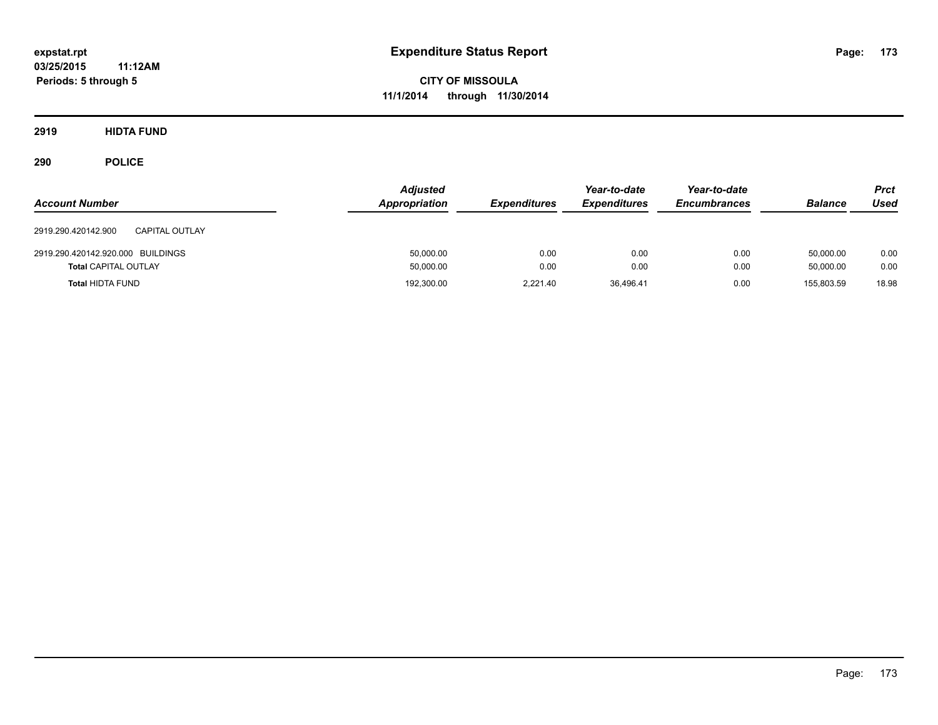**CITY OF MISSOULA 11/1/2014 through 11/30/2014**

**2919 HIDTA FUND**

| <b>Account Number</b>                        | <b>Adjusted</b><br>Appropriation | <b>Expenditures</b> | Year-to-date<br><b>Expenditures</b> | Year-to-date<br><b>Encumbrances</b> | <b>Balance</b> | <b>Prct</b><br><b>Used</b> |
|----------------------------------------------|----------------------------------|---------------------|-------------------------------------|-------------------------------------|----------------|----------------------------|
| 2919.290.420142.900<br><b>CAPITAL OUTLAY</b> |                                  |                     |                                     |                                     |                |                            |
| 2919.290.420142.920.000 BUILDINGS            | 50,000.00                        | 0.00                | 0.00                                | 0.00                                | 50,000.00      | 0.00                       |
| <b>Total CAPITAL OUTLAY</b>                  | 50,000.00                        | 0.00                | 0.00                                | 0.00                                | 50,000.00      | 0.00                       |
| <b>Total HIDTA FUND</b>                      | 192,300.00                       | 2.221.40            | 36,496.41                           | 0.00                                | 155.803.59     | 18.98                      |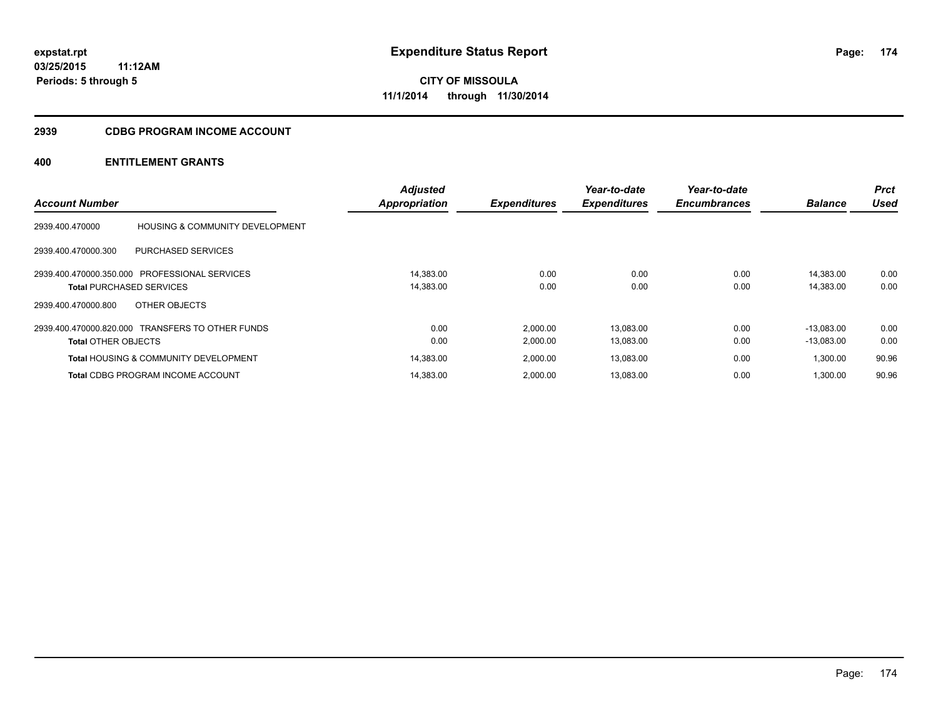#### **2939 CDBG PROGRAM INCOME ACCOUNT**

| <b>Account Number</b>           |                                                  | <b>Adjusted</b><br>Appropriation | <b>Expenditures</b> | Year-to-date<br><b>Expenditures</b> | Year-to-date<br><b>Encumbrances</b> | <b>Balance</b> | <b>Prct</b><br>Used |
|---------------------------------|--------------------------------------------------|----------------------------------|---------------------|-------------------------------------|-------------------------------------|----------------|---------------------|
| 2939.400.470000                 | <b>HOUSING &amp; COMMUNITY DEVELOPMENT</b>       |                                  |                     |                                     |                                     |                |                     |
| 2939.400.470000.300             | <b>PURCHASED SERVICES</b>                        |                                  |                     |                                     |                                     |                |                     |
|                                 | 2939.400.470000.350.000 PROFESSIONAL SERVICES    | 14.383.00                        | 0.00                | 0.00                                | 0.00                                | 14.383.00      | 0.00                |
| <b>Total PURCHASED SERVICES</b> |                                                  | 14,383.00                        | 0.00                | 0.00                                | 0.00                                | 14,383.00      | 0.00                |
| 2939.400.470000.800             | OTHER OBJECTS                                    |                                  |                     |                                     |                                     |                |                     |
|                                 | 2939.400.470000.820.000 TRANSFERS TO OTHER FUNDS | 0.00                             | 2,000.00            | 13,083.00                           | 0.00                                | $-13.083.00$   | 0.00                |
| <b>Total OTHER OBJECTS</b>      |                                                  | 0.00                             | 2,000.00            | 13,083.00                           | 0.00                                | $-13,083.00$   | 0.00                |
|                                 | <b>Total HOUSING &amp; COMMUNITY DEVELOPMENT</b> | 14,383.00                        | 2,000.00            | 13,083.00                           | 0.00                                | 1,300.00       | 90.96               |
|                                 | <b>Total CDBG PROGRAM INCOME ACCOUNT</b>         | 14.383.00                        | 2.000.00            | 13,083.00                           | 0.00                                | 1.300.00       | 90.96               |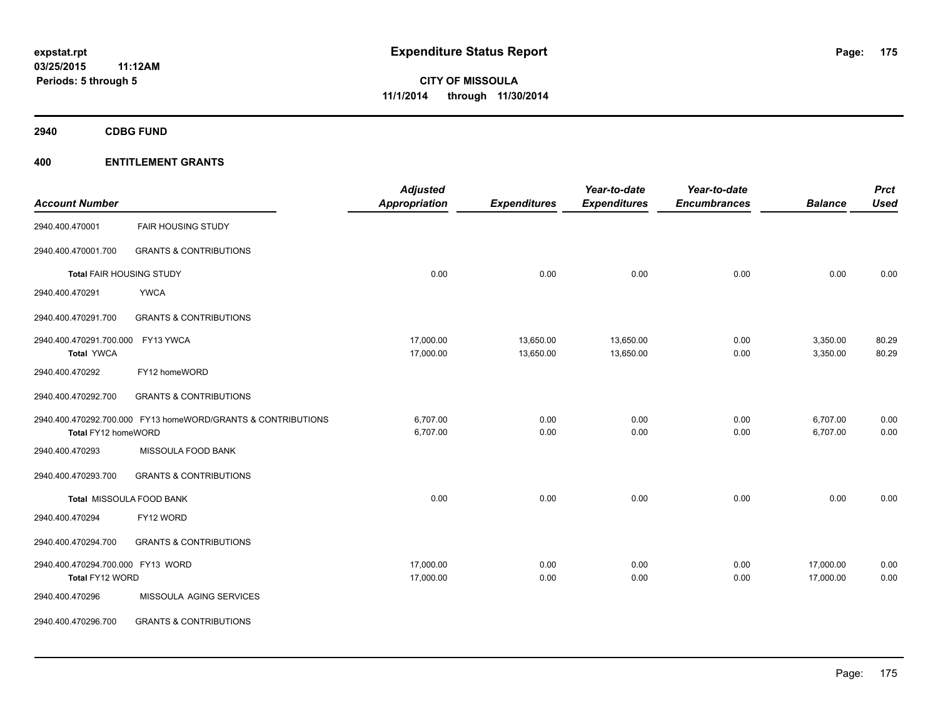**2940 CDBG FUND**

| <b>Account Number</b>                                |                                                              | <b>Adjusted</b><br><b>Appropriation</b> | <b>Expenditures</b>    | Year-to-date<br><b>Expenditures</b> | Year-to-date<br><b>Encumbrances</b> | <b>Balance</b>         | <b>Prct</b><br><b>Used</b> |
|------------------------------------------------------|--------------------------------------------------------------|-----------------------------------------|------------------------|-------------------------------------|-------------------------------------|------------------------|----------------------------|
| 2940.400.470001                                      | <b>FAIR HOUSING STUDY</b>                                    |                                         |                        |                                     |                                     |                        |                            |
| 2940.400.470001.700                                  | <b>GRANTS &amp; CONTRIBUTIONS</b>                            |                                         |                        |                                     |                                     |                        |                            |
| <b>Total FAIR HOUSING STUDY</b>                      |                                                              | 0.00                                    | 0.00                   | 0.00                                | 0.00                                | 0.00                   | 0.00                       |
| 2940.400.470291                                      | <b>YWCA</b>                                                  |                                         |                        |                                     |                                     |                        |                            |
| 2940.400.470291.700                                  | <b>GRANTS &amp; CONTRIBUTIONS</b>                            |                                         |                        |                                     |                                     |                        |                            |
| 2940.400.470291.700.000<br><b>Total YWCA</b>         | FY13 YWCA                                                    | 17,000.00<br>17,000.00                  | 13,650.00<br>13,650.00 | 13,650.00<br>13,650.00              | 0.00<br>0.00                        | 3,350.00<br>3,350.00   | 80.29<br>80.29             |
| 2940.400.470292                                      | FY12 homeWORD                                                |                                         |                        |                                     |                                     |                        |                            |
| 2940.400.470292.700                                  | <b>GRANTS &amp; CONTRIBUTIONS</b>                            |                                         |                        |                                     |                                     |                        |                            |
| Total FY12 homeWORD                                  | 2940.400.470292.700.000 FY13 homeWORD/GRANTS & CONTRIBUTIONS | 6,707.00<br>6,707.00                    | 0.00<br>0.00           | 0.00<br>0.00                        | 0.00<br>0.00                        | 6,707.00<br>6,707.00   | 0.00<br>0.00               |
| 2940.400.470293                                      | MISSOULA FOOD BANK                                           |                                         |                        |                                     |                                     |                        |                            |
| 2940.400.470293.700                                  | <b>GRANTS &amp; CONTRIBUTIONS</b>                            |                                         |                        |                                     |                                     |                        |                            |
|                                                      | Total MISSOULA FOOD BANK                                     | 0.00                                    | 0.00                   | 0.00                                | 0.00                                | 0.00                   | 0.00                       |
| 2940.400.470294                                      | FY12 WORD                                                    |                                         |                        |                                     |                                     |                        |                            |
| 2940.400.470294.700                                  | <b>GRANTS &amp; CONTRIBUTIONS</b>                            |                                         |                        |                                     |                                     |                        |                            |
| 2940.400.470294.700.000 FY13 WORD<br>Total FY12 WORD |                                                              | 17,000.00<br>17,000.00                  | 0.00<br>0.00           | 0.00<br>0.00                        | 0.00<br>0.00                        | 17,000.00<br>17,000.00 | 0.00<br>0.00               |
| 2940.400.470296                                      | MISSOULA AGING SERVICES                                      |                                         |                        |                                     |                                     |                        |                            |
| 2940.400.470296.700                                  | <b>GRANTS &amp; CONTRIBUTIONS</b>                            |                                         |                        |                                     |                                     |                        |                            |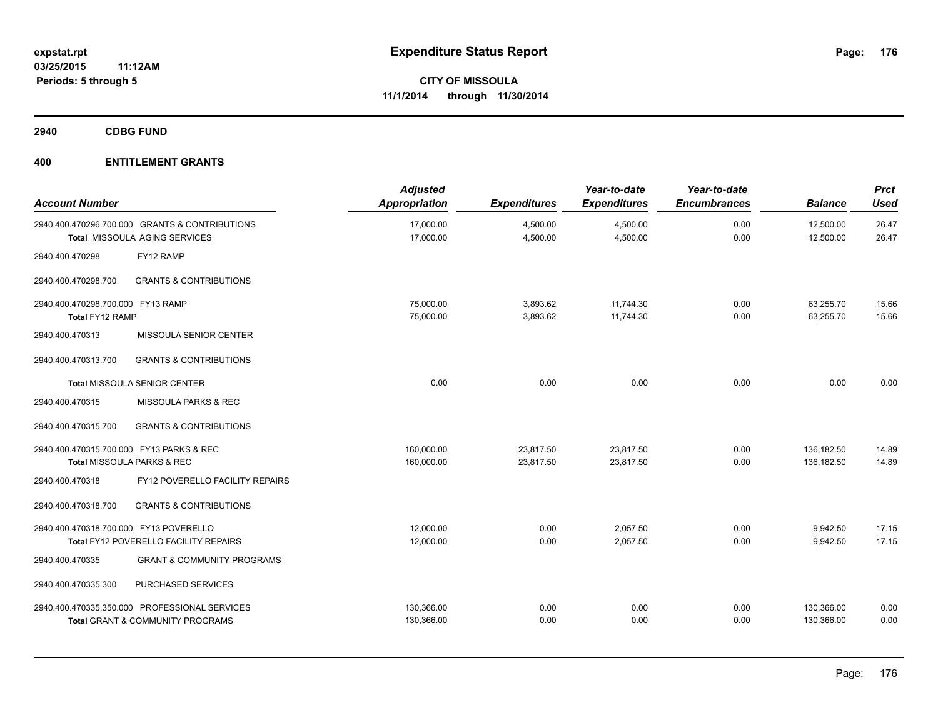**2940 CDBG FUND**

| <b>Account Number</b>                                |                                                                                        | <b>Adjusted</b><br>Appropriation | <b>Expenditures</b>    | Year-to-date<br><b>Expenditures</b> | Year-to-date<br><b>Encumbrances</b> | <b>Balance</b>           | <b>Prct</b><br><b>Used</b> |
|------------------------------------------------------|----------------------------------------------------------------------------------------|----------------------------------|------------------------|-------------------------------------|-------------------------------------|--------------------------|----------------------------|
|                                                      | 2940.400.470296.700.000 GRANTS & CONTRIBUTIONS<br><b>Total MISSOULA AGING SERVICES</b> | 17,000.00<br>17,000.00           | 4,500.00<br>4,500.00   | 4,500.00<br>4,500.00                | 0.00<br>0.00                        | 12,500.00<br>12,500.00   | 26.47<br>26.47             |
| 2940.400.470298                                      | FY12 RAMP                                                                              |                                  |                        |                                     |                                     |                          |                            |
| 2940.400.470298.700                                  | <b>GRANTS &amp; CONTRIBUTIONS</b>                                                      |                                  |                        |                                     |                                     |                          |                            |
| 2940.400.470298.700.000 FY13 RAMP<br>Total FY12 RAMP |                                                                                        | 75,000.00<br>75,000.00           | 3,893.62<br>3,893.62   | 11,744.30<br>11,744.30              | 0.00<br>0.00                        | 63,255.70<br>63,255.70   | 15.66<br>15.66             |
| 2940.400.470313                                      | MISSOULA SENIOR CENTER                                                                 |                                  |                        |                                     |                                     |                          |                            |
| 2940.400.470313.700                                  | <b>GRANTS &amp; CONTRIBUTIONS</b>                                                      |                                  |                        |                                     |                                     |                          |                            |
|                                                      | Total MISSOULA SENIOR CENTER                                                           | 0.00                             | 0.00                   | 0.00                                | 0.00                                | 0.00                     | 0.00                       |
| 2940.400.470315                                      | MISSOULA PARKS & REC                                                                   |                                  |                        |                                     |                                     |                          |                            |
| 2940.400.470315.700                                  | <b>GRANTS &amp; CONTRIBUTIONS</b>                                                      |                                  |                        |                                     |                                     |                          |                            |
| 2940.400.470315.700.000 FY13 PARKS & REC             | Total MISSOULA PARKS & REC                                                             | 160,000.00<br>160,000.00         | 23,817.50<br>23,817.50 | 23,817.50<br>23,817.50              | 0.00<br>0.00                        | 136,182.50<br>136,182.50 | 14.89<br>14.89             |
| 2940.400.470318                                      | FY12 POVERELLO FACILITY REPAIRS                                                        |                                  |                        |                                     |                                     |                          |                            |
| 2940.400.470318.700                                  | <b>GRANTS &amp; CONTRIBUTIONS</b>                                                      |                                  |                        |                                     |                                     |                          |                            |
| 2940.400.470318.700.000 FY13 POVERELLO               | Total FY12 POVERELLO FACILITY REPAIRS                                                  | 12,000.00<br>12,000.00           | 0.00<br>0.00           | 2,057.50<br>2,057.50                | 0.00<br>0.00                        | 9,942.50<br>9,942.50     | 17.15<br>17.15             |
| 2940.400.470335                                      | <b>GRANT &amp; COMMUNITY PROGRAMS</b>                                                  |                                  |                        |                                     |                                     |                          |                            |
| 2940.400.470335.300                                  | PURCHASED SERVICES                                                                     |                                  |                        |                                     |                                     |                          |                            |
|                                                      | 2940.400.470335.350.000 PROFESSIONAL SERVICES<br>Total GRANT & COMMUNITY PROGRAMS      | 130,366.00<br>130,366.00         | 0.00<br>0.00           | 0.00<br>0.00                        | 0.00<br>0.00                        | 130,366.00<br>130,366.00 | 0.00<br>0.00               |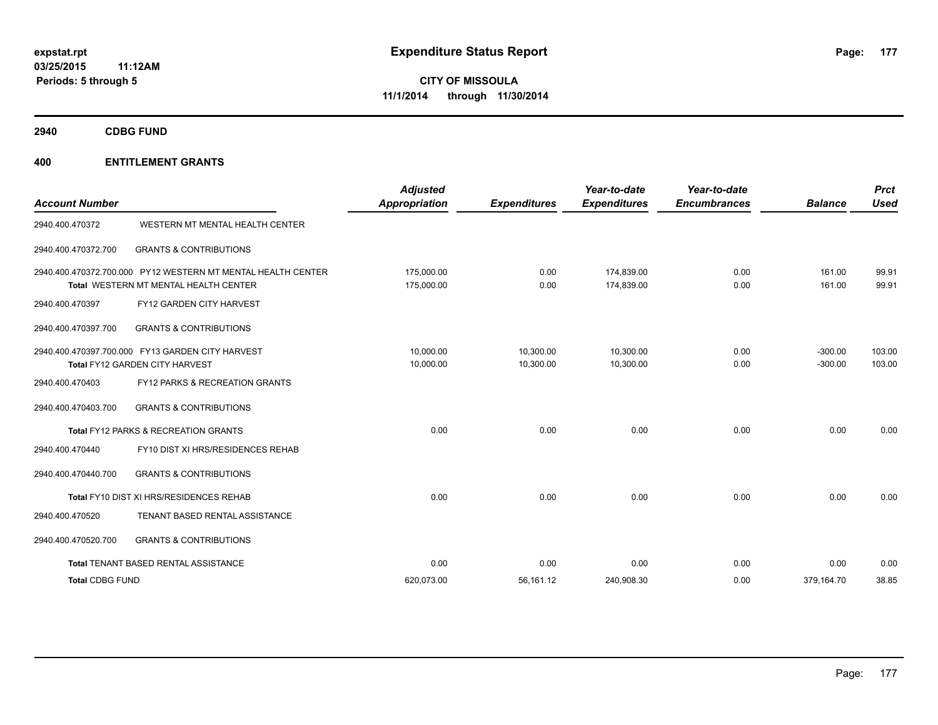**2940 CDBG FUND**

| <b>Account Number</b>  |                                                                                                       | <b>Adjusted</b><br>Appropriation | <b>Expenditures</b>    | Year-to-date<br><b>Expenditures</b> | Year-to-date<br><b>Encumbrances</b> | <b>Balance</b>         | <b>Prct</b><br>Used |
|------------------------|-------------------------------------------------------------------------------------------------------|----------------------------------|------------------------|-------------------------------------|-------------------------------------|------------------------|---------------------|
| 2940.400.470372        | WESTERN MT MENTAL HEALTH CENTER                                                                       |                                  |                        |                                     |                                     |                        |                     |
| 2940.400.470372.700    | <b>GRANTS &amp; CONTRIBUTIONS</b>                                                                     |                                  |                        |                                     |                                     |                        |                     |
|                        | 2940.400.470372.700.000 PY12 WESTERN MT MENTAL HEALTH CENTER<br>Total WESTERN MT MENTAL HEALTH CENTER | 175,000.00<br>175,000.00         | 0.00<br>0.00           | 174.839.00<br>174,839.00            | 0.00<br>0.00                        | 161.00<br>161.00       | 99.91<br>99.91      |
| 2940.400.470397        | <b>FY12 GARDEN CITY HARVEST</b>                                                                       |                                  |                        |                                     |                                     |                        |                     |
| 2940.400.470397.700    | <b>GRANTS &amp; CONTRIBUTIONS</b>                                                                     |                                  |                        |                                     |                                     |                        |                     |
|                        | 2940.400.470397.700.000 FY13 GARDEN CITY HARVEST<br>Total FY12 GARDEN CITY HARVEST                    | 10,000.00<br>10,000.00           | 10,300.00<br>10,300.00 | 10,300.00<br>10,300.00              | 0.00<br>0.00                        | $-300.00$<br>$-300.00$ | 103.00<br>103.00    |
| 2940.400.470403        | FY12 PARKS & RECREATION GRANTS                                                                        |                                  |                        |                                     |                                     |                        |                     |
| 2940.400.470403.700    | <b>GRANTS &amp; CONTRIBUTIONS</b>                                                                     |                                  |                        |                                     |                                     |                        |                     |
|                        | <b>Total FY12 PARKS &amp; RECREATION GRANTS</b>                                                       | 0.00                             | 0.00                   | 0.00                                | 0.00                                | 0.00                   | 0.00                |
| 2940.400.470440        | FY10 DIST XI HRS/RESIDENCES REHAB                                                                     |                                  |                        |                                     |                                     |                        |                     |
| 2940.400.470440.700    | <b>GRANTS &amp; CONTRIBUTIONS</b>                                                                     |                                  |                        |                                     |                                     |                        |                     |
|                        | Total FY10 DIST XI HRS/RESIDENCES REHAB                                                               | 0.00                             | 0.00                   | 0.00                                | 0.00                                | 0.00                   | 0.00                |
| 2940.400.470520        | TENANT BASED RENTAL ASSISTANCE                                                                        |                                  |                        |                                     |                                     |                        |                     |
| 2940.400.470520.700    | <b>GRANTS &amp; CONTRIBUTIONS</b>                                                                     |                                  |                        |                                     |                                     |                        |                     |
|                        | Total TENANT BASED RENTAL ASSISTANCE                                                                  | 0.00                             | 0.00                   | 0.00                                | 0.00                                | 0.00                   | 0.00                |
| <b>Total CDBG FUND</b> |                                                                                                       | 620,073.00                       | 56,161.12              | 240,908.30                          | 0.00                                | 379,164.70             | 38.85               |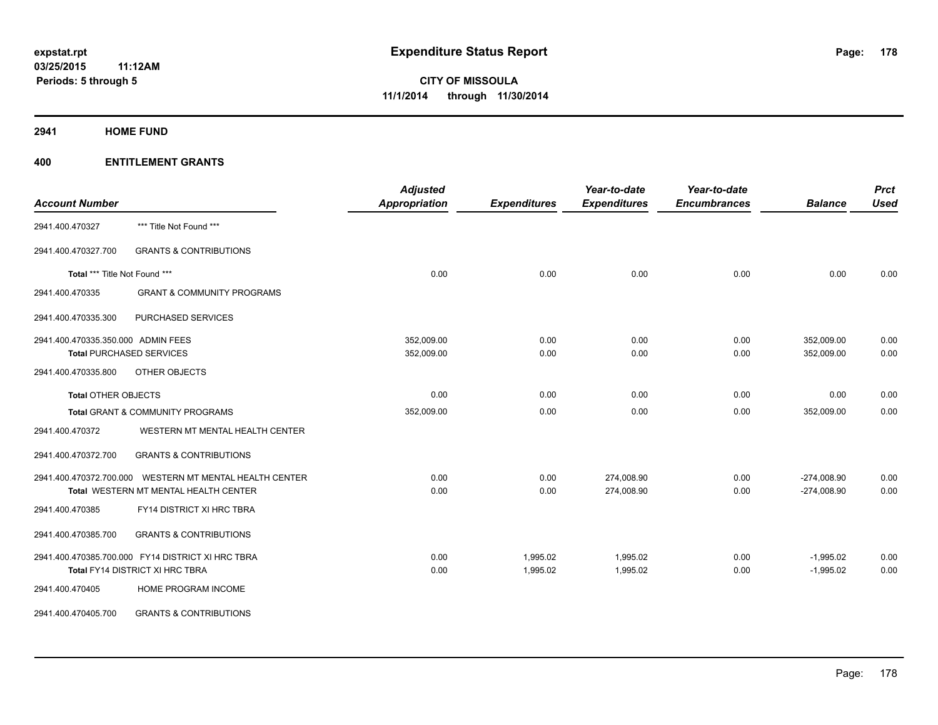**2941 HOME FUND**

| <b>Account Number</b>              |                                                         | <b>Adjusted</b><br>Appropriation | <b>Expenditures</b> | Year-to-date<br><b>Expenditures</b> | Year-to-date<br><b>Encumbrances</b> | <b>Balance</b> | <b>Prct</b><br><b>Used</b> |
|------------------------------------|---------------------------------------------------------|----------------------------------|---------------------|-------------------------------------|-------------------------------------|----------------|----------------------------|
|                                    |                                                         |                                  |                     |                                     |                                     |                |                            |
| 2941.400.470327                    | *** Title Not Found ***                                 |                                  |                     |                                     |                                     |                |                            |
| 2941.400.470327.700                | <b>GRANTS &amp; CONTRIBUTIONS</b>                       |                                  |                     |                                     |                                     |                |                            |
| Total *** Title Not Found ***      |                                                         | 0.00                             | 0.00                | 0.00                                | 0.00                                | 0.00           | 0.00                       |
| 2941.400.470335                    | <b>GRANT &amp; COMMUNITY PROGRAMS</b>                   |                                  |                     |                                     |                                     |                |                            |
| 2941.400.470335.300                | PURCHASED SERVICES                                      |                                  |                     |                                     |                                     |                |                            |
| 2941.400.470335.350.000 ADMIN FEES |                                                         | 352,009.00                       | 0.00                | 0.00                                | 0.00                                | 352,009.00     | 0.00                       |
|                                    | <b>Total PURCHASED SERVICES</b>                         | 352,009.00                       | 0.00                | 0.00                                | 0.00                                | 352,009.00     | 0.00                       |
| 2941.400.470335.800                | OTHER OBJECTS                                           |                                  |                     |                                     |                                     |                |                            |
| <b>Total OTHER OBJECTS</b>         |                                                         | 0.00                             | 0.00                | 0.00                                | 0.00                                | 0.00           | 0.00                       |
|                                    | <b>Total GRANT &amp; COMMUNITY PROGRAMS</b>             | 352,009.00                       | 0.00                | 0.00                                | 0.00                                | 352,009.00     | 0.00                       |
| 2941.400.470372                    | WESTERN MT MENTAL HEALTH CENTER                         |                                  |                     |                                     |                                     |                |                            |
| 2941.400.470372.700                | <b>GRANTS &amp; CONTRIBUTIONS</b>                       |                                  |                     |                                     |                                     |                |                            |
|                                    | 2941.400.470372.700.000 WESTERN MT MENTAL HEALTH CENTER | 0.00                             | 0.00                | 274,008.90                          | 0.00                                | $-274,008.90$  | 0.00                       |
|                                    | Total WESTERN MT MENTAL HEALTH CENTER                   | 0.00                             | 0.00                | 274,008.90                          | 0.00                                | $-274,008.90$  | 0.00                       |
| 2941.400.470385                    | FY14 DISTRICT XI HRC TBRA                               |                                  |                     |                                     |                                     |                |                            |
| 2941.400.470385.700                | <b>GRANTS &amp; CONTRIBUTIONS</b>                       |                                  |                     |                                     |                                     |                |                            |
|                                    | 2941.400.470385.700.000 FY14 DISTRICT XI HRC TBRA       | 0.00                             | 1,995.02            | 1,995.02                            | 0.00                                | $-1,995.02$    | 0.00                       |
|                                    | Total FY14 DISTRICT XI HRC TBRA                         | 0.00                             | 1,995.02            | 1,995.02                            | 0.00                                | $-1,995.02$    | 0.00                       |
| 2941.400.470405                    | HOME PROGRAM INCOME                                     |                                  |                     |                                     |                                     |                |                            |
| 2941.400.470405.700                | <b>GRANTS &amp; CONTRIBUTIONS</b>                       |                                  |                     |                                     |                                     |                |                            |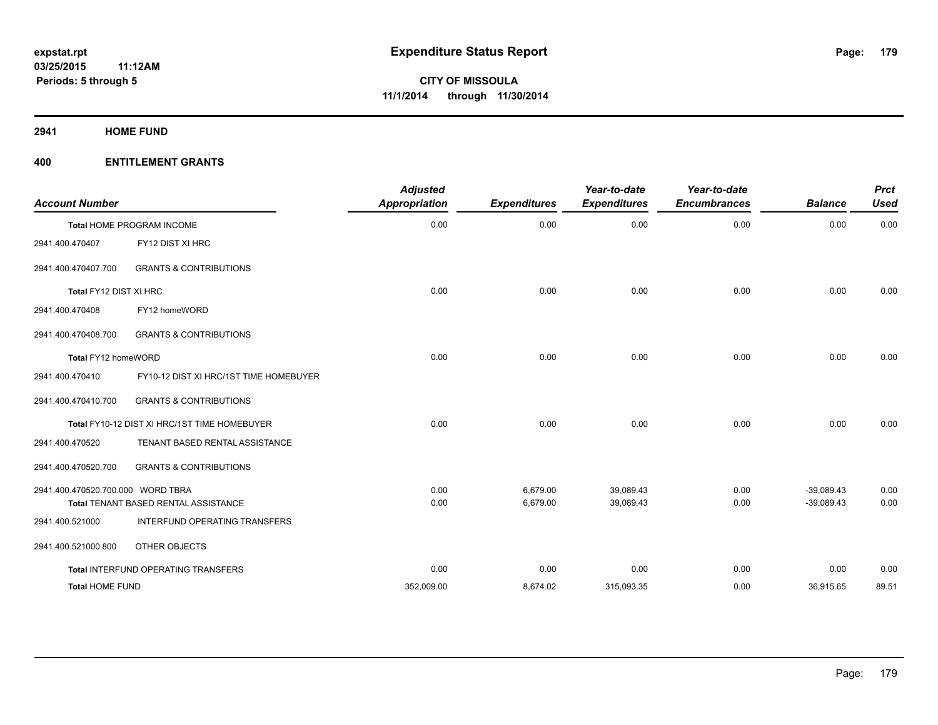**2941 HOME FUND**

| <b>Account Number</b>             |                                              | <b>Adjusted</b><br><b>Appropriation</b> | <b>Expenditures</b> | Year-to-date<br><b>Expenditures</b> | Year-to-date<br><b>Encumbrances</b> | <b>Balance</b> | <b>Prct</b><br><b>Used</b> |
|-----------------------------------|----------------------------------------------|-----------------------------------------|---------------------|-------------------------------------|-------------------------------------|----------------|----------------------------|
|                                   | Total HOME PROGRAM INCOME                    | 0.00                                    | 0.00                | 0.00                                | 0.00                                | 0.00           | 0.00                       |
| 2941.400.470407                   | FY12 DIST XI HRC                             |                                         |                     |                                     |                                     |                |                            |
| 2941.400.470407.700               | <b>GRANTS &amp; CONTRIBUTIONS</b>            |                                         |                     |                                     |                                     |                |                            |
| Total FY12 DIST XI HRC            |                                              | 0.00                                    | 0.00                | 0.00                                | 0.00                                | 0.00           | 0.00                       |
| 2941.400.470408                   | FY12 homeWORD                                |                                         |                     |                                     |                                     |                |                            |
| 2941.400.470408.700               | <b>GRANTS &amp; CONTRIBUTIONS</b>            |                                         |                     |                                     |                                     |                |                            |
| Total FY12 homeWORD               |                                              | 0.00                                    | 0.00                | 0.00                                | 0.00                                | 0.00           | 0.00                       |
| 2941.400.470410                   | FY10-12 DIST XI HRC/1ST TIME HOMEBUYER       |                                         |                     |                                     |                                     |                |                            |
| 2941.400.470410.700               | <b>GRANTS &amp; CONTRIBUTIONS</b>            |                                         |                     |                                     |                                     |                |                            |
|                                   | Total FY10-12 DIST XI HRC/1ST TIME HOMEBUYER | 0.00                                    | 0.00                | 0.00                                | 0.00                                | 0.00           | 0.00                       |
| 2941.400.470520                   | TENANT BASED RENTAL ASSISTANCE               |                                         |                     |                                     |                                     |                |                            |
| 2941.400.470520.700               | <b>GRANTS &amp; CONTRIBUTIONS</b>            |                                         |                     |                                     |                                     |                |                            |
| 2941.400.470520.700.000 WORD TBRA |                                              | 0.00                                    | 6,679.00            | 39,089.43                           | 0.00                                | $-39,089.43$   | 0.00                       |
|                                   | Total TENANT BASED RENTAL ASSISTANCE         | 0.00                                    | 6,679.00            | 39,089.43                           | 0.00                                | $-39,089.43$   | 0.00                       |
| 2941.400.521000                   | INTERFUND OPERATING TRANSFERS                |                                         |                     |                                     |                                     |                |                            |
| 2941.400.521000.800               | OTHER OBJECTS                                |                                         |                     |                                     |                                     |                |                            |
|                                   | Total INTERFUND OPERATING TRANSFERS          | 0.00                                    | 0.00                | 0.00                                | 0.00                                | 0.00           | 0.00                       |
| <b>Total HOME FUND</b>            |                                              | 352,009.00                              | 8,674.02            | 315,093.35                          | 0.00                                | 36,915.65      | 89.51                      |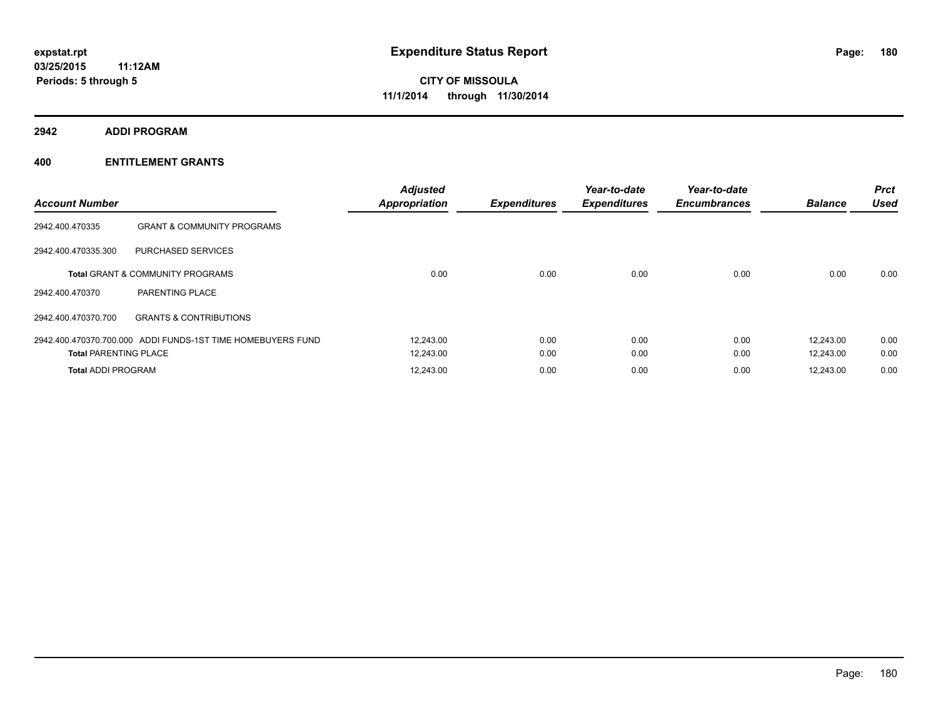**2942 ADDI PROGRAM**

| <b>Account Number</b>        |                                                             | <b>Adjusted</b><br><b>Appropriation</b> | <b>Expenditures</b> | Year-to-date<br><b>Expenditures</b> | Year-to-date<br><b>Encumbrances</b> | <b>Balance</b> | <b>Prct</b><br><b>Used</b> |
|------------------------------|-------------------------------------------------------------|-----------------------------------------|---------------------|-------------------------------------|-------------------------------------|----------------|----------------------------|
| 2942.400.470335              | <b>GRANT &amp; COMMUNITY PROGRAMS</b>                       |                                         |                     |                                     |                                     |                |                            |
| 2942.400.470335.300          | PURCHASED SERVICES                                          |                                         |                     |                                     |                                     |                |                            |
|                              | <b>Total GRANT &amp; COMMUNITY PROGRAMS</b>                 | 0.00                                    | 0.00                | 0.00                                | 0.00                                | 0.00           | 0.00                       |
| 2942.400.470370              | <b>PARENTING PLACE</b>                                      |                                         |                     |                                     |                                     |                |                            |
| 2942.400.470370.700          | <b>GRANTS &amp; CONTRIBUTIONS</b>                           |                                         |                     |                                     |                                     |                |                            |
|                              | 2942.400.470370.700.000 ADDI FUNDS-1ST TIME HOMEBUYERS FUND | 12.243.00                               | 0.00                | 0.00                                | 0.00                                | 12,243.00      | 0.00                       |
| <b>Total PARENTING PLACE</b> |                                                             | 12,243.00                               | 0.00                | 0.00                                | 0.00                                | 12,243.00      | 0.00                       |
| <b>Total ADDI PROGRAM</b>    |                                                             | 12.243.00                               | 0.00                | 0.00                                | 0.00                                | 12,243.00      | 0.00                       |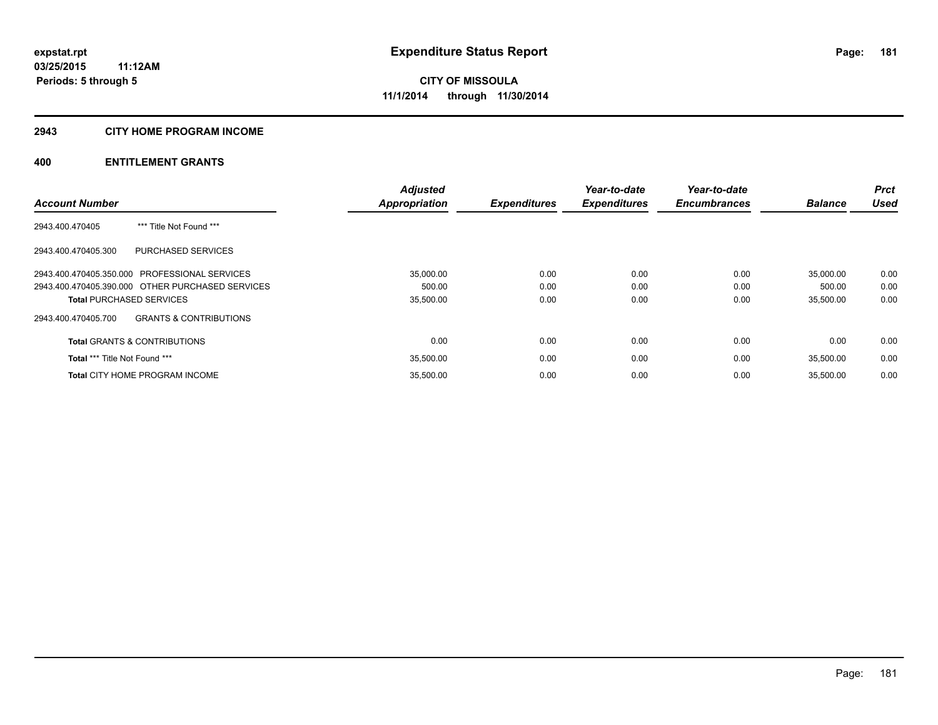## **2943 CITY HOME PROGRAM INCOME**

## **400 ENTITLEMENT GRANTS**

|                                                  |                                   | <b>Adjusted</b>      |                     | Year-to-date        | Year-to-date        |                | <b>Prct</b> |
|--------------------------------------------------|-----------------------------------|----------------------|---------------------|---------------------|---------------------|----------------|-------------|
| <b>Account Number</b>                            |                                   | <b>Appropriation</b> | <b>Expenditures</b> | <b>Expenditures</b> | <b>Encumbrances</b> | <b>Balance</b> | <b>Used</b> |
| 2943.400.470405                                  | *** Title Not Found ***           |                      |                     |                     |                     |                |             |
| 2943.400.470405.300                              | <b>PURCHASED SERVICES</b>         |                      |                     |                     |                     |                |             |
| 2943.400.470405.350.000 PROFESSIONAL SERVICES    |                                   | 35,000.00            | 0.00                | 0.00                | 0.00                | 35,000.00      | 0.00        |
| 2943.400.470405.390.000 OTHER PURCHASED SERVICES |                                   | 500.00               | 0.00                | 0.00                | 0.00                | 500.00         | 0.00        |
| <b>Total PURCHASED SERVICES</b>                  |                                   | 35,500.00            | 0.00                | 0.00                | 0.00                | 35,500.00      | 0.00        |
| 2943.400.470405.700                              | <b>GRANTS &amp; CONTRIBUTIONS</b> |                      |                     |                     |                     |                |             |
| <b>Total GRANTS &amp; CONTRIBUTIONS</b>          |                                   | 0.00                 | 0.00                | 0.00                | 0.00                | 0.00           | 0.00        |
| <b>Total *** Title Not Found ***</b>             |                                   | 35,500.00            | 0.00                | 0.00                | 0.00                | 35,500.00      | 0.00        |
| <b>Total CITY HOME PROGRAM INCOME</b>            |                                   | 35,500.00            | 0.00                | 0.00                | 0.00                | 35.500.00      | 0.00        |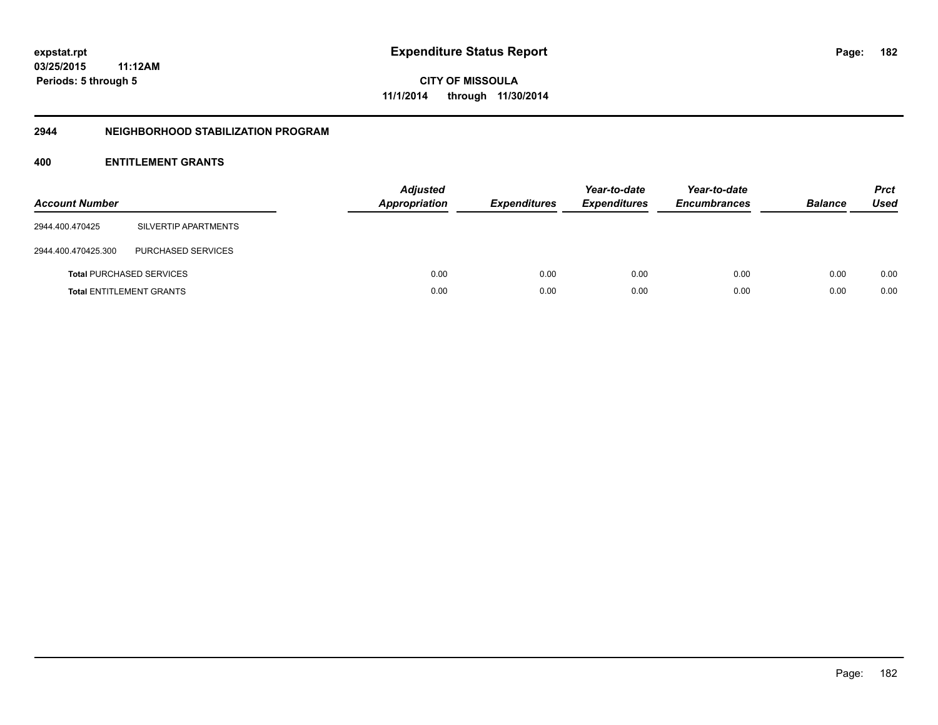**CITY OF MISSOULA 11/1/2014 through 11/30/2014**

#### **2944 NEIGHBORHOOD STABILIZATION PROGRAM**

## **400 ENTITLEMENT GRANTS**

| <b>Account Number</b> |                                 | <b>Adjusted</b><br><b>Appropriation</b> | <b>Expenditures</b> | Year-to-date<br><b>Expenditures</b> | Year-to-date<br><b>Encumbrances</b> | <b>Balance</b> | <b>Prct</b><br><b>Used</b> |
|-----------------------|---------------------------------|-----------------------------------------|---------------------|-------------------------------------|-------------------------------------|----------------|----------------------------|
| 2944.400.470425       | SILVERTIP APARTMENTS            |                                         |                     |                                     |                                     |                |                            |
| 2944.400.470425.300   | PURCHASED SERVICES              |                                         |                     |                                     |                                     |                |                            |
|                       | <b>Total PURCHASED SERVICES</b> | 0.00                                    | 0.00                | 0.00                                | 0.00                                | 0.00           | 0.00                       |
|                       | <b>Total ENTITLEMENT GRANTS</b> | 0.00                                    | 0.00                | 0.00                                | 0.00                                | 0.00           | 0.00                       |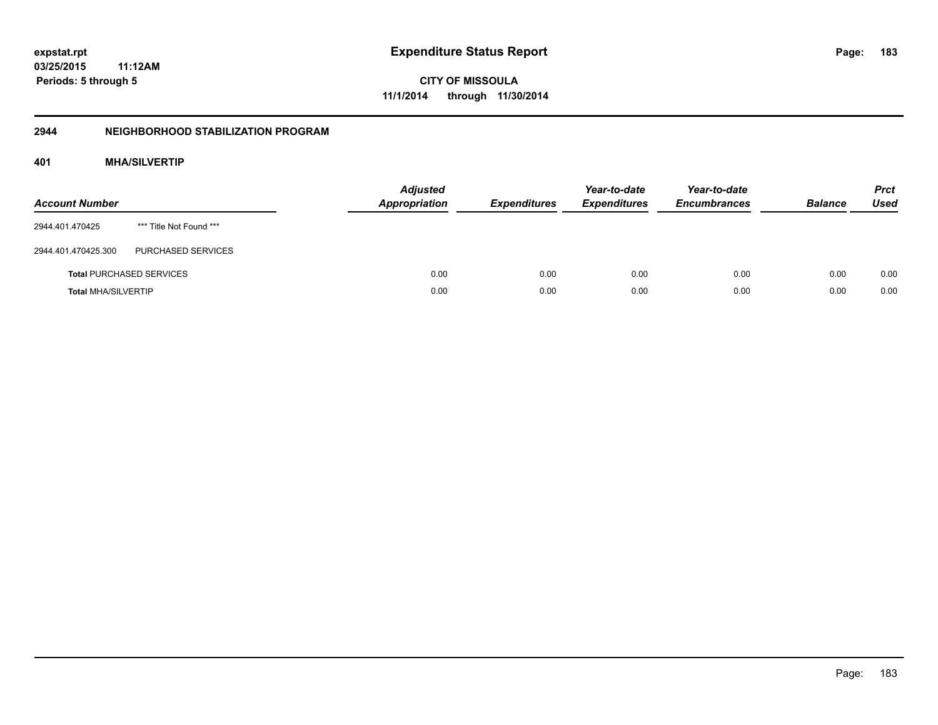**CITY OF MISSOULA 11/1/2014 through 11/30/2014**

## **2944 NEIGHBORHOOD STABILIZATION PROGRAM**

## **401 MHA/SILVERTIP**

| <b>Account Number</b>      |                                 | <b>Adjusted</b><br><b>Appropriation</b> | <b>Expenditures</b> | Year-to-date<br><b>Expenditures</b> | Year-to-date<br><b>Encumbrances</b> | <b>Balance</b> | <b>Prct</b><br>Used |
|----------------------------|---------------------------------|-----------------------------------------|---------------------|-------------------------------------|-------------------------------------|----------------|---------------------|
| 2944.401.470425            | *** Title Not Found ***         |                                         |                     |                                     |                                     |                |                     |
| 2944.401.470425.300        | PURCHASED SERVICES              |                                         |                     |                                     |                                     |                |                     |
|                            | <b>Total PURCHASED SERVICES</b> | 0.00                                    | 0.00                | 0.00                                | 0.00                                | 0.00           | 0.00                |
| <b>Total MHA/SILVERTIP</b> |                                 | 0.00                                    | 0.00                | 0.00                                | 0.00                                | 0.00           | 0.00                |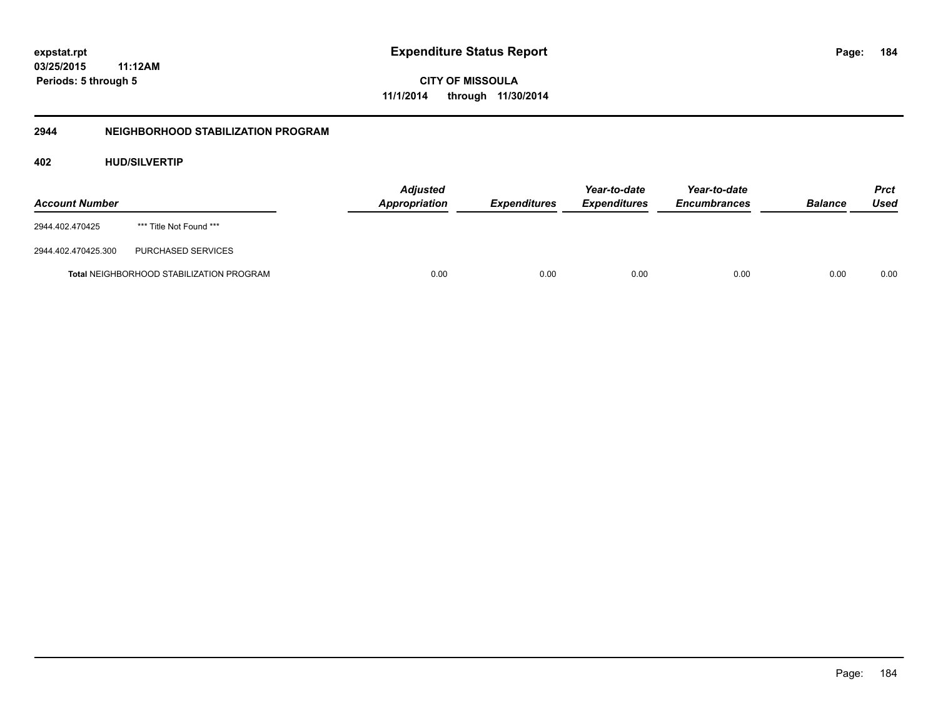**CITY OF MISSOULA 11/1/2014 through 11/30/2014**

## **2944 NEIGHBORHOOD STABILIZATION PROGRAM**

## **402 HUD/SILVERTIP**

| <b>Account Number</b> |                                                 | <b>Adjusted</b><br><b>Appropriation</b> | <b>Expenditures</b> | Year-to-date<br><b>Expenditures</b> | Year-to-date<br><b>Encumbrances</b> | <b>Balance</b> | <b>Prct</b><br>Used |
|-----------------------|-------------------------------------------------|-----------------------------------------|---------------------|-------------------------------------|-------------------------------------|----------------|---------------------|
| 2944.402.470425       | *** Title Not Found ***                         |                                         |                     |                                     |                                     |                |                     |
| 2944.402.470425.300   | PURCHASED SERVICES                              |                                         |                     |                                     |                                     |                |                     |
|                       | <b>Total NEIGHBORHOOD STABILIZATION PROGRAM</b> | 0.00                                    | 0.00                | 0.00                                | 0.00                                | 0.00           | 0.00                |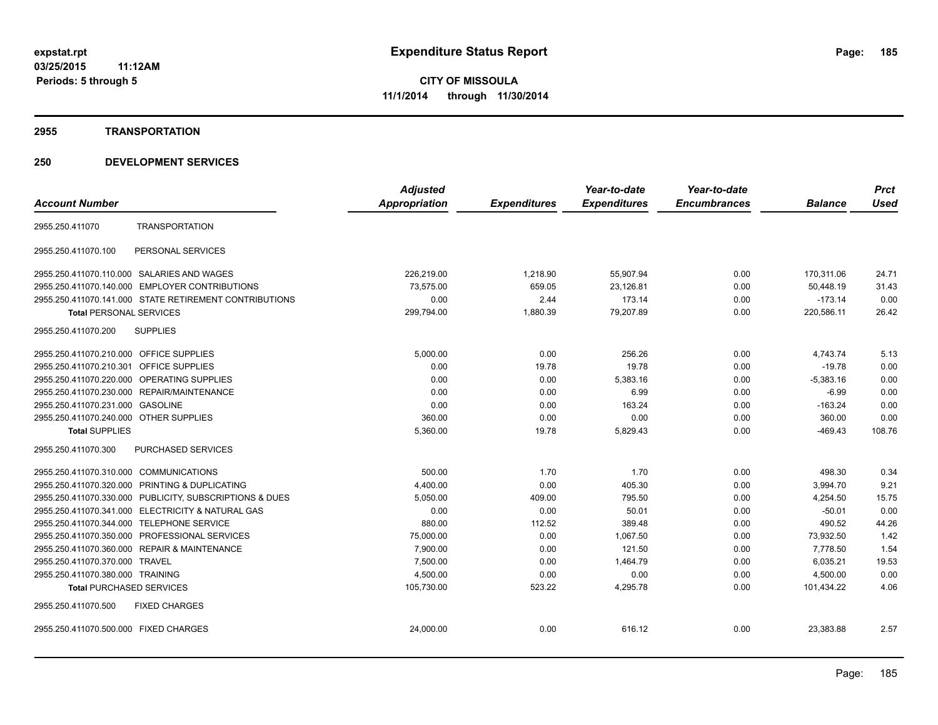#### **2955 TRANSPORTATION**

|                                                         |                           | <b>Adjusted</b>      |                     | Year-to-date        | Year-to-date        |                | <b>Prct</b> |
|---------------------------------------------------------|---------------------------|----------------------|---------------------|---------------------|---------------------|----------------|-------------|
| <b>Account Number</b>                                   |                           | <b>Appropriation</b> | <b>Expenditures</b> | <b>Expenditures</b> | <b>Encumbrances</b> | <b>Balance</b> | <b>Used</b> |
| 2955.250.411070                                         | <b>TRANSPORTATION</b>     |                      |                     |                     |                     |                |             |
| 2955.250.411070.100                                     | PERSONAL SERVICES         |                      |                     |                     |                     |                |             |
| 2955.250.411070.110.000 SALARIES AND WAGES              |                           | 226.219.00           | 1,218.90            | 55.907.94           | 0.00                | 170.311.06     | 24.71       |
| 2955.250.411070.140.000 EMPLOYER CONTRIBUTIONS          |                           | 73,575.00            | 659.05              | 23,126.81           | 0.00                | 50,448.19      | 31.43       |
| 2955.250.411070.141.000 STATE RETIREMENT CONTRIBUTIONS  |                           | 0.00                 | 2.44                | 173.14              | 0.00                | $-173.14$      | 0.00        |
| <b>Total PERSONAL SERVICES</b>                          |                           | 299,794.00           | 1,880.39            | 79,207.89           | 0.00                | 220,586.11     | 26.42       |
| <b>SUPPLIES</b><br>2955.250.411070.200                  |                           |                      |                     |                     |                     |                |             |
| 2955.250.411070.210.000 OFFICE SUPPLIES                 |                           | 5,000.00             | 0.00                | 256.26              | 0.00                | 4.743.74       | 5.13        |
| 2955.250.411070.210.301 OFFICE SUPPLIES                 |                           | 0.00                 | 19.78               | 19.78               | 0.00                | $-19.78$       | 0.00        |
| 2955.250.411070.220.000 OPERATING SUPPLIES              |                           | 0.00                 | 0.00                | 5,383.16            | 0.00                | $-5,383.16$    | 0.00        |
| 2955.250.411070.230.000 REPAIR/MAINTENANCE              |                           | 0.00                 | 0.00                | 6.99                | 0.00                | $-6.99$        | 0.00        |
| 2955.250.411070.231.000 GASOLINE                        |                           | 0.00                 | 0.00                | 163.24              | 0.00                | $-163.24$      | 0.00        |
| 2955.250.411070.240.000 OTHER SUPPLIES                  |                           | 360.00               | 0.00                | 0.00                | 0.00                | 360.00         | 0.00        |
| <b>Total SUPPLIES</b>                                   |                           | 5,360.00             | 19.78               | 5,829.43            | 0.00                | $-469.43$      | 108.76      |
| 2955.250.411070.300                                     | <b>PURCHASED SERVICES</b> |                      |                     |                     |                     |                |             |
| 2955.250.411070.310.000 COMMUNICATIONS                  |                           | 500.00               | 1.70                | 1.70                | 0.00                | 498.30         | 0.34        |
| 2955.250.411070.320.000 PRINTING & DUPLICATING          |                           | 4,400.00             | 0.00                | 405.30              | 0.00                | 3,994.70       | 9.21        |
| 2955.250.411070.330.000 PUBLICITY, SUBSCRIPTIONS & DUES |                           | 5,050.00             | 409.00              | 795.50              | 0.00                | 4,254.50       | 15.75       |
| 2955.250.411070.341.000 ELECTRICITY & NATURAL GAS       |                           | 0.00                 | 0.00                | 50.01               | 0.00                | $-50.01$       | 0.00        |
| 2955.250.411070.344.000 TELEPHONE SERVICE               |                           | 880.00               | 112.52              | 389.48              | 0.00                | 490.52         | 44.26       |
| 2955.250.411070.350.000 PROFESSIONAL SERVICES           |                           | 75.000.00            | 0.00                | 1.067.50            | 0.00                | 73.932.50      | 1.42        |
| 2955.250.411070.360.000 REPAIR & MAINTENANCE            |                           | 7,900.00             | 0.00                | 121.50              | 0.00                | 7,778.50       | 1.54        |
| 2955.250.411070.370.000 TRAVEL                          |                           | 7,500.00             | 0.00                | 1,464.79            | 0.00                | 6,035.21       | 19.53       |
| 2955.250.411070.380.000 TRAINING                        |                           | 4,500.00             | 0.00                | 0.00                | 0.00                | 4,500.00       | 0.00        |
| <b>Total PURCHASED SERVICES</b>                         |                           | 105,730.00           | 523.22              | 4,295.78            | 0.00                | 101,434.22     | 4.06        |
| 2955.250.411070.500<br><b>FIXED CHARGES</b>             |                           |                      |                     |                     |                     |                |             |
| 2955.250.411070.500.000 FIXED CHARGES                   |                           | 24,000.00            | 0.00                | 616.12              | 0.00                | 23,383.88      | 2.57        |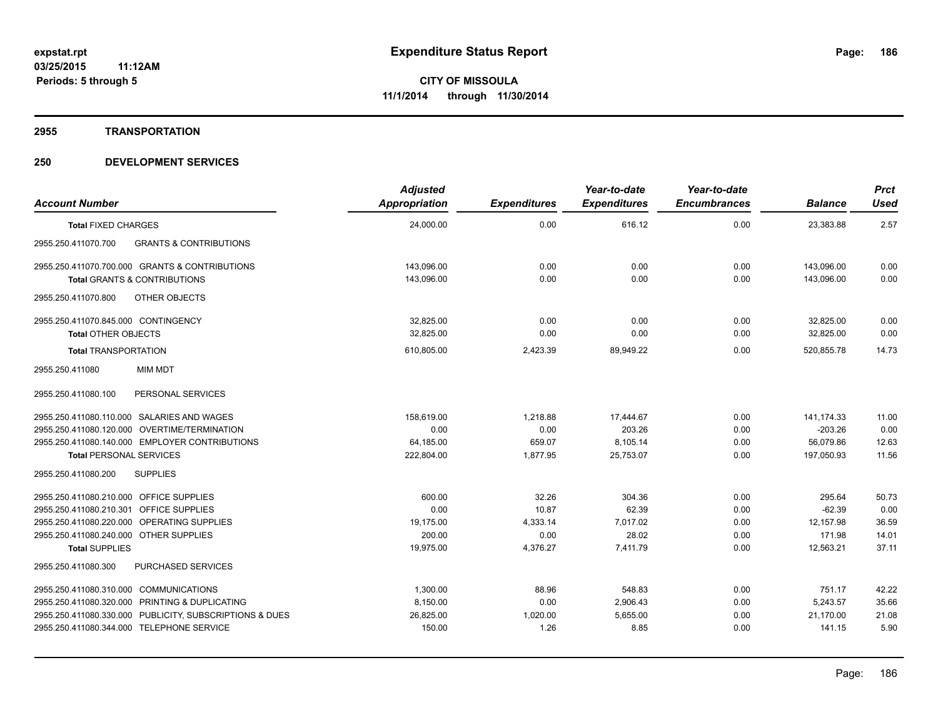#### **2955 TRANSPORTATION**

| <b>Account Number</b>                                           | <b>Adjusted</b><br>Appropriation | <b>Expenditures</b> | Year-to-date<br><b>Expenditures</b> | Year-to-date<br><b>Encumbrances</b> | <b>Balance</b> | <b>Prct</b><br><b>Used</b> |
|-----------------------------------------------------------------|----------------------------------|---------------------|-------------------------------------|-------------------------------------|----------------|----------------------------|
| <b>Total FIXED CHARGES</b>                                      | 24,000.00                        | 0.00                | 616.12                              | 0.00                                | 23,383.88      | 2.57                       |
| <b>GRANTS &amp; CONTRIBUTIONS</b><br>2955.250.411070.700        |                                  |                     |                                     |                                     |                |                            |
| 2955.250.411070.700.000 GRANTS & CONTRIBUTIONS                  | 143.096.00                       | 0.00                | 0.00                                | 0.00                                | 143.096.00     | 0.00                       |
| <b>Total GRANTS &amp; CONTRIBUTIONS</b>                         | 143.096.00                       | 0.00                | 0.00                                | 0.00                                | 143.096.00     | 0.00                       |
| 2955.250.411070.800<br><b>OTHER OBJECTS</b>                     |                                  |                     |                                     |                                     |                |                            |
| 2955.250.411070.845.000 CONTINGENCY                             | 32,825.00                        | 0.00                | 0.00                                | 0.00                                | 32,825.00      | 0.00                       |
| <b>Total OTHER OBJECTS</b>                                      | 32.825.00                        | 0.00                | 0.00                                | 0.00                                | 32,825.00      | 0.00                       |
| <b>Total TRANSPORTATION</b>                                     | 610,805.00                       | 2,423.39            | 89,949.22                           | 0.00                                | 520,855.78     | 14.73                      |
| <b>MIM MDT</b><br>2955.250.411080                               |                                  |                     |                                     |                                     |                |                            |
| 2955.250.411080.100<br>PERSONAL SERVICES                        |                                  |                     |                                     |                                     |                |                            |
| 2955.250.411080.110.000 SALARIES AND WAGES                      | 158,619.00                       | 1,218.88            | 17,444.67                           | 0.00                                | 141,174.33     | 11.00                      |
| 2955.250.411080.120.000 OVERTIME/TERMINATION                    | 0.00                             | 0.00                | 203.26                              | 0.00                                | $-203.26$      | 0.00                       |
| 2955.250.411080.140.000 EMPLOYER CONTRIBUTIONS                  | 64,185.00                        | 659.07              | 8,105.14                            | 0.00                                | 56.079.86      | 12.63                      |
| <b>Total PERSONAL SERVICES</b>                                  | 222,804.00                       | 1,877.95            | 25,753.07                           | 0.00                                | 197.050.93     | 11.56                      |
| <b>SUPPLIES</b><br>2955.250.411080.200                          |                                  |                     |                                     |                                     |                |                            |
| 2955.250.411080.210.000 OFFICE SUPPLIES                         | 600.00                           | 32.26               | 304.36                              | 0.00                                | 295.64         | 50.73                      |
| 2955.250.411080.210.301 OFFICE SUPPLIES                         | 0.00                             | 10.87               | 62.39                               | 0.00                                | $-62.39$       | 0.00                       |
| 2955.250.411080.220.000 OPERATING SUPPLIES                      | 19.175.00                        | 4,333.14            | 7.017.02                            | 0.00                                | 12.157.98      | 36.59                      |
| 2955.250.411080.240.000 OTHER SUPPLIES<br><b>Total SUPPLIES</b> | 200.00<br>19,975.00              | 0.00                | 28.02<br>7,411.79                   | 0.00<br>0.00                        | 171.98         | 14.01<br>37.11             |
| <b>PURCHASED SERVICES</b><br>2955.250.411080.300                |                                  | 4,376.27            |                                     |                                     | 12,563.21      |                            |
|                                                                 |                                  |                     |                                     |                                     |                |                            |
| 2955.250.411080.310.000 COMMUNICATIONS                          | 1,300.00                         | 88.96               | 548.83                              | 0.00                                | 751.17         | 42.22                      |
| 2955.250.411080.320.000 PRINTING & DUPLICATING                  | 8,150.00                         | 0.00                | 2,906.43                            | 0.00                                | 5.243.57       | 35.66                      |
| 2955.250.411080.330.000 PUBLICITY, SUBSCRIPTIONS & DUES         | 26,825.00                        | 1,020.00            | 5,655.00                            | 0.00                                | 21,170.00      | 21.08                      |
| 2955.250.411080.344.000 TELEPHONE SERVICE                       | 150.00                           | 1.26                | 8.85                                | 0.00                                | 141.15         | 5.90                       |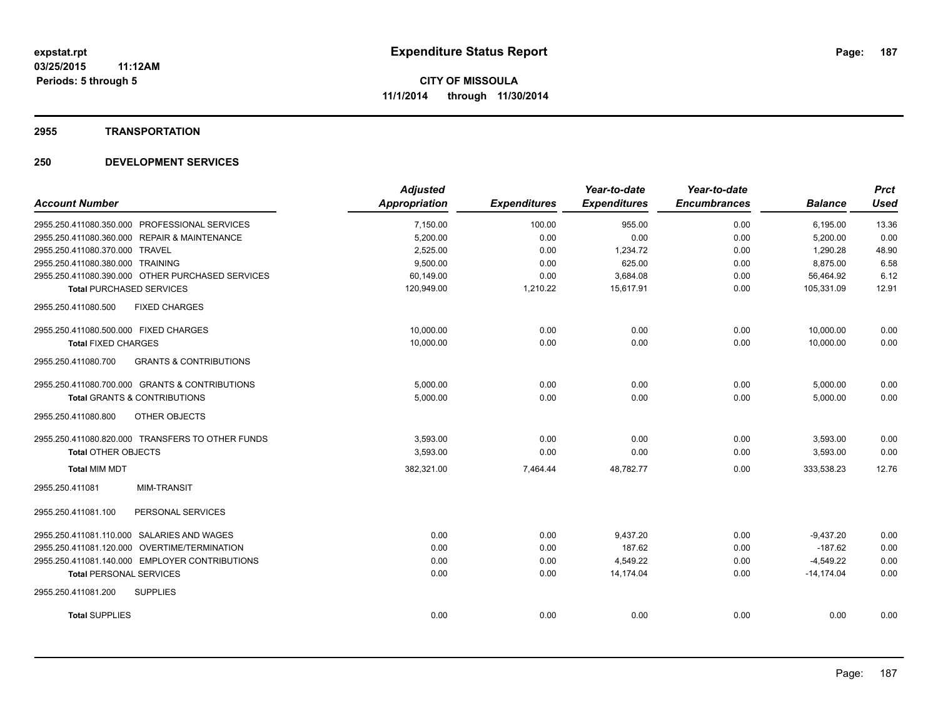#### **2955 TRANSPORTATION**

|                                                          | <b>Adjusted</b>      |                     | Year-to-date        | Year-to-date        |                | <b>Prct</b> |
|----------------------------------------------------------|----------------------|---------------------|---------------------|---------------------|----------------|-------------|
| <b>Account Number</b>                                    | <b>Appropriation</b> | <b>Expenditures</b> | <b>Expenditures</b> | <b>Encumbrances</b> | <b>Balance</b> | <b>Used</b> |
| 2955.250.411080.350.000 PROFESSIONAL SERVICES            | 7,150.00             | 100.00              | 955.00              | 0.00                | 6,195.00       | 13.36       |
| 2955.250.411080.360.000 REPAIR & MAINTENANCE             | 5,200.00             | 0.00                | 0.00                | 0.00                | 5,200.00       | 0.00        |
| 2955.250.411080.370.000 TRAVEL                           | 2,525.00             | 0.00                | 1,234.72            | 0.00                | 1,290.28       | 48.90       |
| 2955.250.411080.380.000 TRAINING                         | 9,500.00             | 0.00                | 625.00              | 0.00                | 8.875.00       | 6.58        |
| 2955.250.411080.390.000 OTHER PURCHASED SERVICES         | 60,149.00            | 0.00                | 3,684.08            | 0.00                | 56,464.92      | 6.12        |
| <b>Total PURCHASED SERVICES</b>                          | 120,949.00           | 1,210.22            | 15,617.91           | 0.00                | 105,331.09     | 12.91       |
| 2955.250.411080.500<br><b>FIXED CHARGES</b>              |                      |                     |                     |                     |                |             |
| 2955.250.411080.500.000 FIXED CHARGES                    | 10.000.00            | 0.00                | 0.00                | 0.00                | 10.000.00      | 0.00        |
| <b>Total FIXED CHARGES</b>                               | 10,000.00            | 0.00                | 0.00                | 0.00                | 10,000.00      | 0.00        |
| 2955.250.411080.700<br><b>GRANTS &amp; CONTRIBUTIONS</b> |                      |                     |                     |                     |                |             |
| 2955.250.411080.700.000 GRANTS & CONTRIBUTIONS           | 5,000.00             | 0.00                | 0.00                | 0.00                | 5,000.00       | 0.00        |
| <b>Total GRANTS &amp; CONTRIBUTIONS</b>                  | 5,000.00             | 0.00                | 0.00                | 0.00                | 5,000.00       | 0.00        |
| 2955.250.411080.800<br>OTHER OBJECTS                     |                      |                     |                     |                     |                |             |
| 2955.250.411080.820.000 TRANSFERS TO OTHER FUNDS         | 3,593.00             | 0.00                | 0.00                | 0.00                | 3,593.00       | 0.00        |
| <b>Total OTHER OBJECTS</b>                               | 3,593.00             | 0.00                | 0.00                | 0.00                | 3,593.00       | 0.00        |
| <b>Total MIM MDT</b>                                     | 382,321.00           | 7,464.44            | 48,782.77           | 0.00                | 333.538.23     | 12.76       |
| <b>MIM-TRANSIT</b><br>2955.250.411081                    |                      |                     |                     |                     |                |             |
| 2955.250.411081.100<br>PERSONAL SERVICES                 |                      |                     |                     |                     |                |             |
| 2955.250.411081.110.000 SALARIES AND WAGES               | 0.00                 | 0.00                | 9.437.20            | 0.00                | $-9,437.20$    | 0.00        |
| 2955.250.411081.120.000 OVERTIME/TERMINATION             | 0.00                 | 0.00                | 187.62              | 0.00                | $-187.62$      | 0.00        |
| 2955.250.411081.140.000 EMPLOYER CONTRIBUTIONS           | 0.00                 | 0.00                | 4,549.22            | 0.00                | $-4,549.22$    | 0.00        |
| <b>Total PERSONAL SERVICES</b>                           | 0.00                 | 0.00                | 14.174.04           | 0.00                | $-14.174.04$   | 0.00        |
| 2955.250.411081.200<br><b>SUPPLIES</b>                   |                      |                     |                     |                     |                |             |
| <b>Total SUPPLIES</b>                                    | 0.00                 | 0.00                | 0.00                | 0.00                | 0.00           | 0.00        |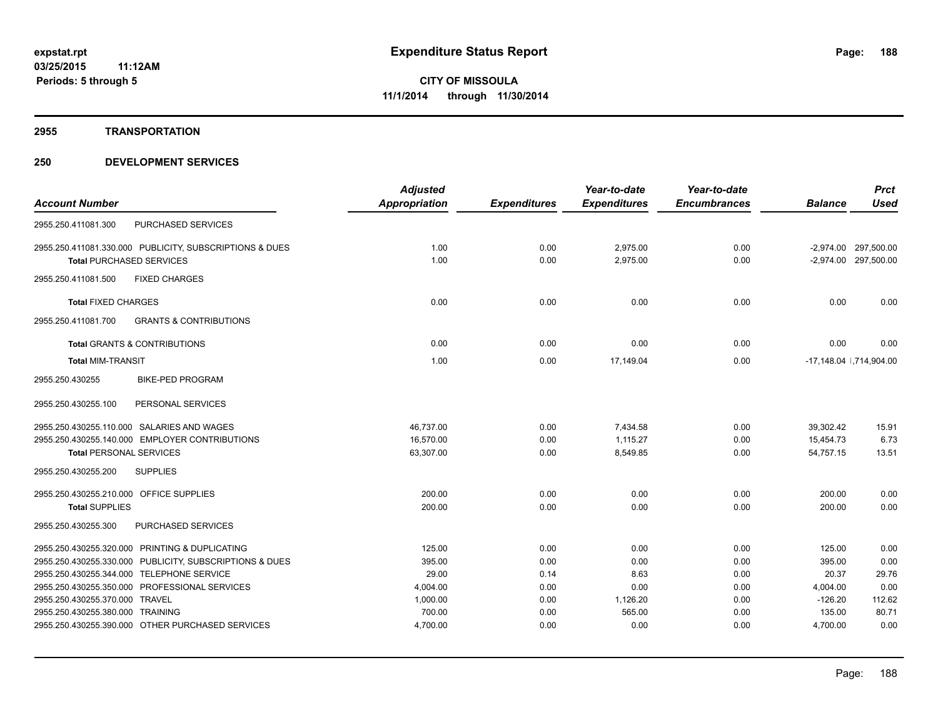#### **2955 TRANSPORTATION**

|                                                          | <b>Adjusted</b> |                     | Year-to-date        | Year-to-date        |                | <b>Prct</b>              |
|----------------------------------------------------------|-----------------|---------------------|---------------------|---------------------|----------------|--------------------------|
| <b>Account Number</b>                                    | Appropriation   | <b>Expenditures</b> | <b>Expenditures</b> | <b>Encumbrances</b> | <b>Balance</b> | Used                     |
| PURCHASED SERVICES<br>2955.250.411081.300                |                 |                     |                     |                     |                |                          |
| 2955.250.411081.330.000 PUBLICITY, SUBSCRIPTIONS & DUES  | 1.00            | 0.00                | 2,975.00            | 0.00                |                | -2.974.00 297.500.00     |
| <b>Total PURCHASED SERVICES</b>                          | 1.00            | 0.00                | 2.975.00            | 0.00                |                | -2,974.00 297,500.00     |
| 2955.250.411081.500<br><b>FIXED CHARGES</b>              |                 |                     |                     |                     |                |                          |
| <b>Total FIXED CHARGES</b>                               | 0.00            | 0.00                | 0.00                | 0.00                | 0.00           | 0.00                     |
| 2955.250.411081.700<br><b>GRANTS &amp; CONTRIBUTIONS</b> |                 |                     |                     |                     |                |                          |
| <b>Total GRANTS &amp; CONTRIBUTIONS</b>                  | 0.00            | 0.00                | 0.00                | 0.00                | 0.00           | 0.00                     |
| <b>Total MIM-TRANSIT</b>                                 | 1.00            | 0.00                | 17,149.04           | 0.00                |                | -17,148.04   ,714,904.00 |
| 2955.250.430255<br><b>BIKE-PED PROGRAM</b>               |                 |                     |                     |                     |                |                          |
| 2955.250.430255.100<br>PERSONAL SERVICES                 |                 |                     |                     |                     |                |                          |
| 2955.250.430255.110.000 SALARIES AND WAGES               | 46,737.00       | 0.00                | 7,434.58            | 0.00                | 39.302.42      | 15.91                    |
| 2955.250.430255.140.000 EMPLOYER CONTRIBUTIONS           | 16,570.00       | 0.00                | 1.115.27            | 0.00                | 15,454.73      | 6.73                     |
| <b>Total PERSONAL SERVICES</b>                           | 63,307.00       | 0.00                | 8,549.85            | 0.00                | 54.757.15      | 13.51                    |
| 2955.250.430255.200<br><b>SUPPLIES</b>                   |                 |                     |                     |                     |                |                          |
| 2955.250.430255.210.000 OFFICE SUPPLIES                  | 200.00          | 0.00                | 0.00                | 0.00                | 200.00         | 0.00                     |
| <b>Total SUPPLIES</b>                                    | 200.00          | 0.00                | 0.00                | 0.00                | 200.00         | 0.00                     |
| 2955.250.430255.300<br>PURCHASED SERVICES                |                 |                     |                     |                     |                |                          |
| 2955.250.430255.320.000 PRINTING & DUPLICATING           | 125.00          | 0.00                | 0.00                | 0.00                | 125.00         | 0.00                     |
| 2955.250.430255.330.000 PUBLICITY, SUBSCRIPTIONS & DUES  | 395.00          | 0.00                | 0.00                | 0.00                | 395.00         | 0.00                     |
| 2955.250.430255.344.000 TELEPHONE SERVICE                | 29.00           | 0.14                | 8.63                | 0.00                | 20.37          | 29.76                    |
| 2955.250.430255.350.000 PROFESSIONAL SERVICES            | 4,004.00        | 0.00                | 0.00                | 0.00                | 4,004.00       | 0.00                     |
| 2955.250.430255.370.000 TRAVEL                           | 1,000.00        | 0.00                | 1,126.20            | 0.00                | $-126.20$      | 112.62                   |
| 2955.250.430255.380.000 TRAINING                         | 700.00          | 0.00                | 565.00              | 0.00                | 135.00         | 80.71                    |
| 2955.250.430255.390.000 OTHER PURCHASED SERVICES         | 4,700.00        | 0.00                | 0.00                | 0.00                | 4,700.00       | 0.00                     |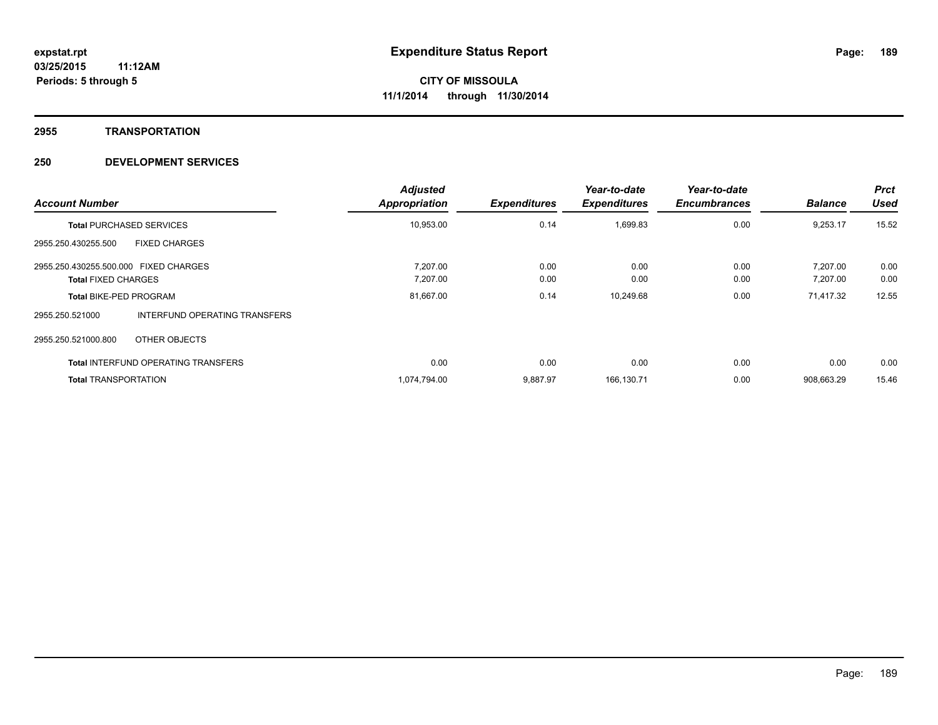#### **2955 TRANSPORTATION**

| <b>Account Number</b>                 |                                            | <b>Adjusted</b><br><b>Appropriation</b> | <b>Expenditures</b> | Year-to-date<br><b>Expenditures</b> | Year-to-date<br><b>Encumbrances</b> | <b>Balance</b> | <b>Prct</b><br><b>Used</b> |
|---------------------------------------|--------------------------------------------|-----------------------------------------|---------------------|-------------------------------------|-------------------------------------|----------------|----------------------------|
|                                       | <b>Total PURCHASED SERVICES</b>            | 10,953.00                               | 0.14                | 1,699.83                            | 0.00                                | 9,253.17       | 15.52                      |
| 2955.250.430255.500                   | <b>FIXED CHARGES</b>                       |                                         |                     |                                     |                                     |                |                            |
| 2955.250.430255.500.000 FIXED CHARGES |                                            | 7.207.00                                | 0.00                | 0.00                                | 0.00                                | 7.207.00       | 0.00                       |
| <b>Total FIXED CHARGES</b>            |                                            | 7,207.00                                | 0.00                | 0.00                                | 0.00                                | 7,207.00       | 0.00                       |
| <b>Total BIKE-PED PROGRAM</b>         |                                            | 81,667.00                               | 0.14                | 10,249.68                           | 0.00                                | 71,417.32      | 12.55                      |
| 2955.250.521000                       | INTERFUND OPERATING TRANSFERS              |                                         |                     |                                     |                                     |                |                            |
| 2955.250.521000.800                   | OTHER OBJECTS                              |                                         |                     |                                     |                                     |                |                            |
|                                       | <b>Total INTERFUND OPERATING TRANSFERS</b> | 0.00                                    | 0.00                | 0.00                                | 0.00                                | 0.00           | 0.00                       |
| <b>Total TRANSPORTATION</b>           |                                            | 1,074,794.00                            | 9,887.97            | 166,130.71                          | 0.00                                | 908,663.29     | 15.46                      |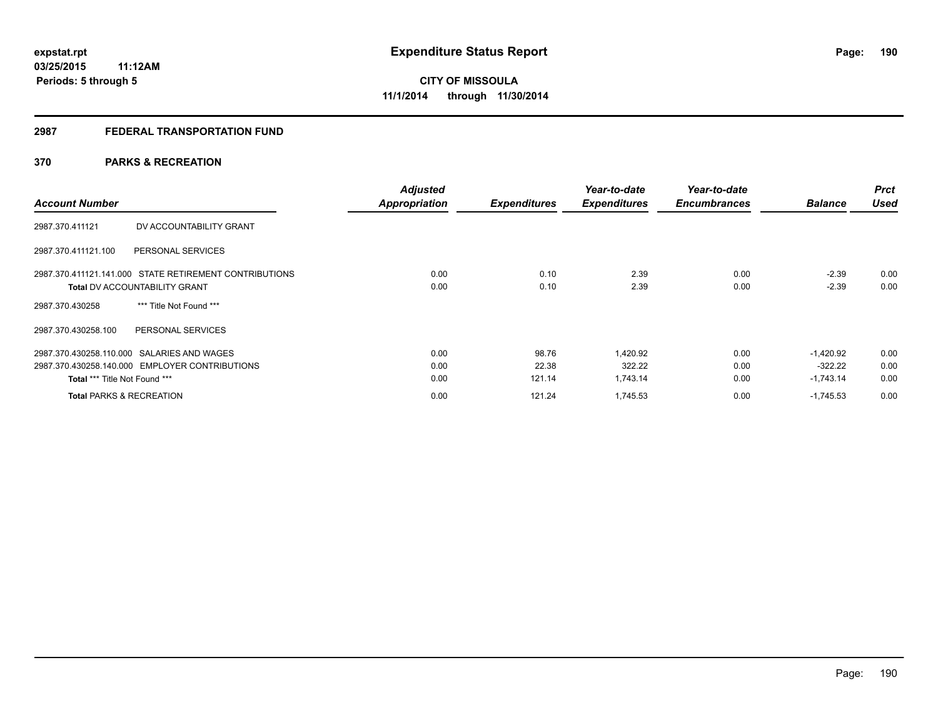## **2987 FEDERAL TRANSPORTATION FUND**

## **370 PARKS & RECREATION**

| <b>Account Number</b>                                  | <b>Adjusted</b><br><b>Appropriation</b> | <b>Expenditures</b> | Year-to-date<br><b>Expenditures</b> | Year-to-date<br><b>Encumbrances</b> | <b>Balance</b> | <b>Prct</b><br><b>Used</b> |
|--------------------------------------------------------|-----------------------------------------|---------------------|-------------------------------------|-------------------------------------|----------------|----------------------------|
| DV ACCOUNTABILITY GRANT<br>2987.370.411121             |                                         |                     |                                     |                                     |                |                            |
| 2987.370.411121.100<br>PERSONAL SERVICES               |                                         |                     |                                     |                                     |                |                            |
| 2987.370.411121.141.000 STATE RETIREMENT CONTRIBUTIONS | 0.00                                    | 0.10                | 2.39                                | 0.00                                | $-2.39$        | 0.00                       |
| <b>Total DV ACCOUNTABILITY GRANT</b>                   | 0.00                                    | 0.10                | 2.39                                | 0.00                                | $-2.39$        | 0.00                       |
| *** Title Not Found ***<br>2987.370.430258             |                                         |                     |                                     |                                     |                |                            |
| 2987.370.430258.100<br>PERSONAL SERVICES               |                                         |                     |                                     |                                     |                |                            |
| 2987.370.430258.110.000 SALARIES AND WAGES             | 0.00                                    | 98.76               | 1,420.92                            | 0.00                                | $-1.420.92$    | 0.00                       |
| 2987.370.430258.140.000 EMPLOYER CONTRIBUTIONS         | 0.00                                    | 22.38               | 322.22                              | 0.00                                | $-322.22$      | 0.00                       |
| Total *** Title Not Found ***                          | 0.00                                    | 121.14              | 1,743.14                            | 0.00                                | $-1,743.14$    | 0.00                       |
| <b>Total PARKS &amp; RECREATION</b>                    | 0.00                                    | 121.24              | 1,745.53                            | 0.00                                | $-1,745.53$    | 0.00                       |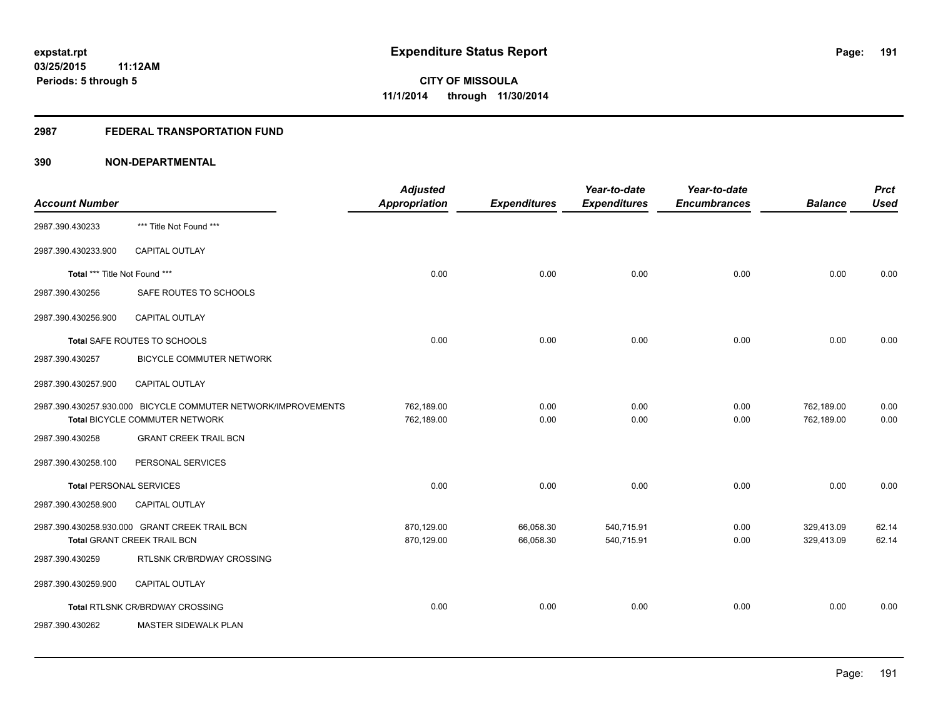## **2987 FEDERAL TRANSPORTATION FUND**

| <b>Account Number</b>          |                                                                                                 | <b>Adjusted</b><br>Appropriation | <b>Expenditures</b>    | Year-to-date<br><b>Expenditures</b> | Year-to-date<br><b>Encumbrances</b> | <b>Balance</b>           | <b>Prct</b><br><b>Used</b> |
|--------------------------------|-------------------------------------------------------------------------------------------------|----------------------------------|------------------------|-------------------------------------|-------------------------------------|--------------------------|----------------------------|
| 2987.390.430233                | *** Title Not Found ***                                                                         |                                  |                        |                                     |                                     |                          |                            |
| 2987.390.430233.900            | <b>CAPITAL OUTLAY</b>                                                                           |                                  |                        |                                     |                                     |                          |                            |
| Total *** Title Not Found ***  |                                                                                                 | 0.00                             | 0.00                   | 0.00                                | 0.00                                | 0.00                     | 0.00                       |
| 2987.390.430256                | SAFE ROUTES TO SCHOOLS                                                                          |                                  |                        |                                     |                                     |                          |                            |
| 2987.390.430256.900            | CAPITAL OUTLAY                                                                                  |                                  |                        |                                     |                                     |                          |                            |
|                                | Total SAFE ROUTES TO SCHOOLS                                                                    | 0.00                             | 0.00                   | 0.00                                | 0.00                                | 0.00                     | 0.00                       |
| 2987.390.430257                | <b>BICYCLE COMMUTER NETWORK</b>                                                                 |                                  |                        |                                     |                                     |                          |                            |
| 2987.390.430257.900            | <b>CAPITAL OUTLAY</b>                                                                           |                                  |                        |                                     |                                     |                          |                            |
|                                | 2987.390.430257.930.000 BICYCLE COMMUTER NETWORK/IMPROVEMENTS<br>Total BICYCLE COMMUTER NETWORK | 762,189.00<br>762,189.00         | 0.00<br>0.00           | 0.00<br>0.00                        | 0.00<br>0.00                        | 762,189.00<br>762,189.00 | 0.00<br>0.00               |
| 2987.390.430258                | <b>GRANT CREEK TRAIL BCN</b>                                                                    |                                  |                        |                                     |                                     |                          |                            |
| 2987.390.430258.100            | PERSONAL SERVICES                                                                               |                                  |                        |                                     |                                     |                          |                            |
| <b>Total PERSONAL SERVICES</b> |                                                                                                 | 0.00                             | 0.00                   | 0.00                                | 0.00                                | 0.00                     | 0.00                       |
| 2987.390.430258.900            | <b>CAPITAL OUTLAY</b>                                                                           |                                  |                        |                                     |                                     |                          |                            |
|                                | 2987.390.430258.930.000 GRANT CREEK TRAIL BCN<br>Total GRANT CREEK TRAIL BCN                    | 870,129.00<br>870,129.00         | 66,058.30<br>66,058.30 | 540,715.91<br>540,715.91            | 0.00<br>0.00                        | 329,413.09<br>329,413.09 | 62.14<br>62.14             |
| 2987.390.430259                | RTLSNK CR/BRDWAY CROSSING                                                                       |                                  |                        |                                     |                                     |                          |                            |
| 2987.390.430259.900            | <b>CAPITAL OUTLAY</b>                                                                           |                                  |                        |                                     |                                     |                          |                            |
|                                | Total RTLSNK CR/BRDWAY CROSSING                                                                 | 0.00                             | 0.00                   | 0.00                                | 0.00                                | 0.00                     | 0.00                       |
| 2987.390.430262                | <b>MASTER SIDEWALK PLAN</b>                                                                     |                                  |                        |                                     |                                     |                          |                            |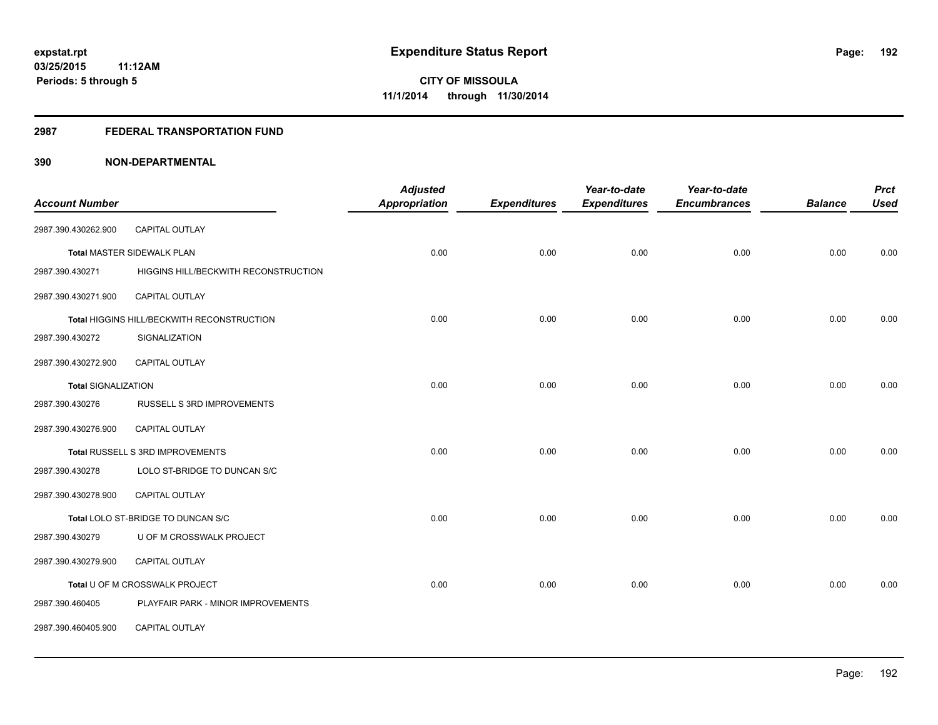## **2987 FEDERAL TRANSPORTATION FUND**

| <b>Account Number</b>      |                                            | <b>Adjusted</b><br><b>Appropriation</b> | <b>Expenditures</b> | Year-to-date<br><b>Expenditures</b> | Year-to-date<br><b>Encumbrances</b> | <b>Balance</b> | <b>Prct</b><br><b>Used</b> |
|----------------------------|--------------------------------------------|-----------------------------------------|---------------------|-------------------------------------|-------------------------------------|----------------|----------------------------|
|                            |                                            |                                         |                     |                                     |                                     |                |                            |
| 2987.390.430262.900        | CAPITAL OUTLAY                             |                                         |                     |                                     |                                     |                |                            |
|                            | <b>Total MASTER SIDEWALK PLAN</b>          | 0.00                                    | 0.00                | 0.00                                | 0.00                                | 0.00           | 0.00                       |
| 2987.390.430271            | HIGGINS HILL/BECKWITH RECONSTRUCTION       |                                         |                     |                                     |                                     |                |                            |
| 2987.390.430271.900        | <b>CAPITAL OUTLAY</b>                      |                                         |                     |                                     |                                     |                |                            |
|                            | Total HIGGINS HILL/BECKWITH RECONSTRUCTION | 0.00                                    | 0.00                | 0.00                                | 0.00                                | 0.00           | 0.00                       |
| 2987.390.430272            | SIGNALIZATION                              |                                         |                     |                                     |                                     |                |                            |
| 2987.390.430272.900        | <b>CAPITAL OUTLAY</b>                      |                                         |                     |                                     |                                     |                |                            |
| <b>Total SIGNALIZATION</b> |                                            | 0.00                                    | 0.00                | 0.00                                | 0.00                                | 0.00           | 0.00                       |
| 2987.390.430276            | RUSSELL S 3RD IMPROVEMENTS                 |                                         |                     |                                     |                                     |                |                            |
| 2987.390.430276.900        | <b>CAPITAL OUTLAY</b>                      |                                         |                     |                                     |                                     |                |                            |
|                            | Total RUSSELL S 3RD IMPROVEMENTS           | 0.00                                    | 0.00                | 0.00                                | 0.00                                | 0.00           | 0.00                       |
| 2987.390.430278            | LOLO ST-BRIDGE TO DUNCAN S/C               |                                         |                     |                                     |                                     |                |                            |
| 2987.390.430278.900        | CAPITAL OUTLAY                             |                                         |                     |                                     |                                     |                |                            |
|                            | Total LOLO ST-BRIDGE TO DUNCAN S/C         | 0.00                                    | 0.00                | 0.00                                | 0.00                                | 0.00           | 0.00                       |
| 2987.390.430279            | U OF M CROSSWALK PROJECT                   |                                         |                     |                                     |                                     |                |                            |
| 2987.390.430279.900        | CAPITAL OUTLAY                             |                                         |                     |                                     |                                     |                |                            |
|                            | Total U OF M CROSSWALK PROJECT             | 0.00                                    | 0.00                | 0.00                                | 0.00                                | 0.00           | 0.00                       |
| 2987.390.460405            | PLAYFAIR PARK - MINOR IMPROVEMENTS         |                                         |                     |                                     |                                     |                |                            |
| 2987.390.460405.900        | CAPITAL OUTLAY                             |                                         |                     |                                     |                                     |                |                            |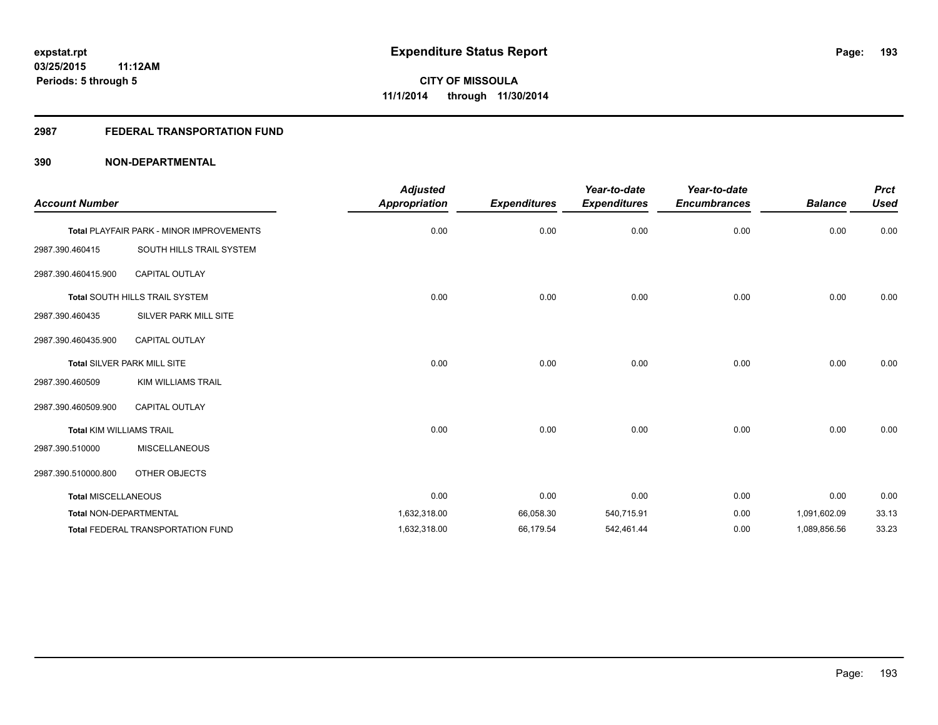## **2987 FEDERAL TRANSPORTATION FUND**

| <b>Account Number</b>           |                                          | <b>Adjusted</b><br>Appropriation | <b>Expenditures</b> | Year-to-date<br><b>Expenditures</b> | Year-to-date<br><b>Encumbrances</b> | <b>Balance</b> | <b>Prct</b><br><b>Used</b> |
|---------------------------------|------------------------------------------|----------------------------------|---------------------|-------------------------------------|-------------------------------------|----------------|----------------------------|
|                                 | Total PLAYFAIR PARK - MINOR IMPROVEMENTS | 0.00                             | 0.00                | 0.00                                | 0.00                                | 0.00           | 0.00                       |
| 2987.390.460415                 | SOUTH HILLS TRAIL SYSTEM                 |                                  |                     |                                     |                                     |                |                            |
| 2987.390.460415.900             | CAPITAL OUTLAY                           |                                  |                     |                                     |                                     |                |                            |
|                                 | Total SOUTH HILLS TRAIL SYSTEM           | 0.00                             | 0.00                | 0.00                                | 0.00                                | 0.00           | 0.00                       |
| 2987.390.460435                 | SILVER PARK MILL SITE                    |                                  |                     |                                     |                                     |                |                            |
| 2987.390.460435.900             | <b>CAPITAL OUTLAY</b>                    |                                  |                     |                                     |                                     |                |                            |
|                                 | Total SILVER PARK MILL SITE              | 0.00                             | 0.00                | 0.00                                | 0.00                                | 0.00           | 0.00                       |
| 2987.390.460509                 | KIM WILLIAMS TRAIL                       |                                  |                     |                                     |                                     |                |                            |
| 2987.390.460509.900             | <b>CAPITAL OUTLAY</b>                    |                                  |                     |                                     |                                     |                |                            |
| <b>Total KIM WILLIAMS TRAIL</b> |                                          | 0.00                             | 0.00                | 0.00                                | 0.00                                | 0.00           | 0.00                       |
| 2987.390.510000                 | <b>MISCELLANEOUS</b>                     |                                  |                     |                                     |                                     |                |                            |
| 2987.390.510000.800             | OTHER OBJECTS                            |                                  |                     |                                     |                                     |                |                            |
| <b>Total MISCELLANEOUS</b>      |                                          | 0.00                             | 0.00                | 0.00                                | 0.00                                | 0.00           | 0.00                       |
| <b>Total NON-DEPARTMENTAL</b>   |                                          | 1,632,318.00                     | 66,058.30           | 540,715.91                          | 0.00                                | 1,091,602.09   | 33.13                      |
|                                 | <b>Total FEDERAL TRANSPORTATION FUND</b> | 1,632,318.00                     | 66,179.54           | 542,461.44                          | 0.00                                | 1,089,856.56   | 33.23                      |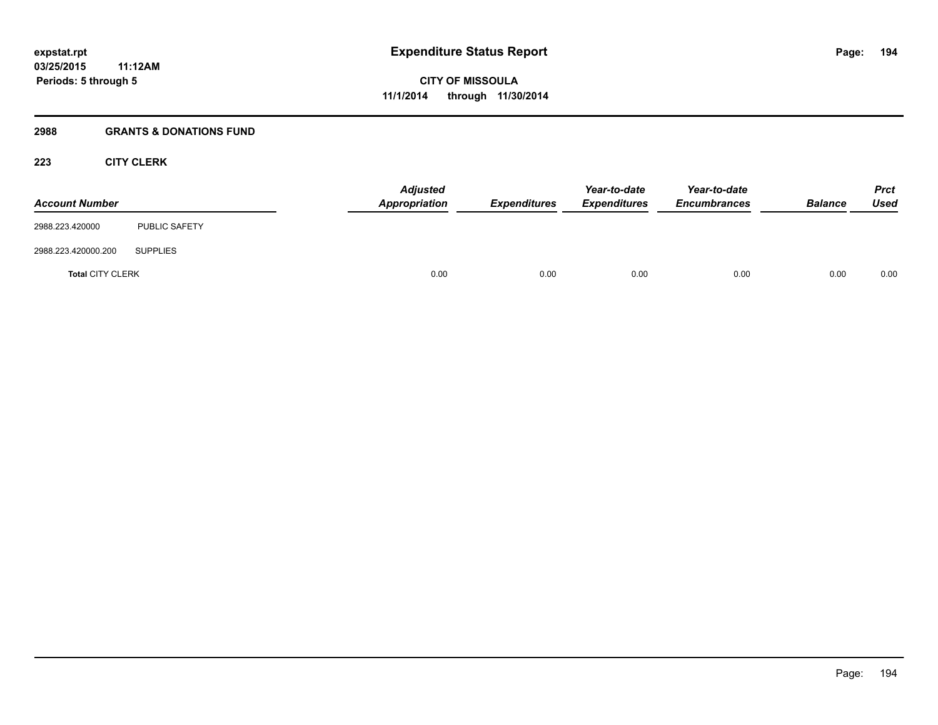## **2988 GRANTS & DONATIONS FUND**

## **223 CITY CLERK**

| <b>Account Number</b>   |                      | <b>Adjusted</b><br>Appropriation | <b>Expenditures</b> | Year-to-date<br><b>Expenditures</b> | Year-to-date<br><b>Encumbrances</b> | <b>Balance</b> | <b>Prct</b><br><b>Used</b> |
|-------------------------|----------------------|----------------------------------|---------------------|-------------------------------------|-------------------------------------|----------------|----------------------------|
| 2988.223.420000         | <b>PUBLIC SAFETY</b> |                                  |                     |                                     |                                     |                |                            |
| 2988.223.420000.200     | <b>SUPPLIES</b>      |                                  |                     |                                     |                                     |                |                            |
| <b>Total CITY CLERK</b> |                      | 0.00                             | 0.00                | 0.00                                | 0.00                                | 0.00           | 0.00                       |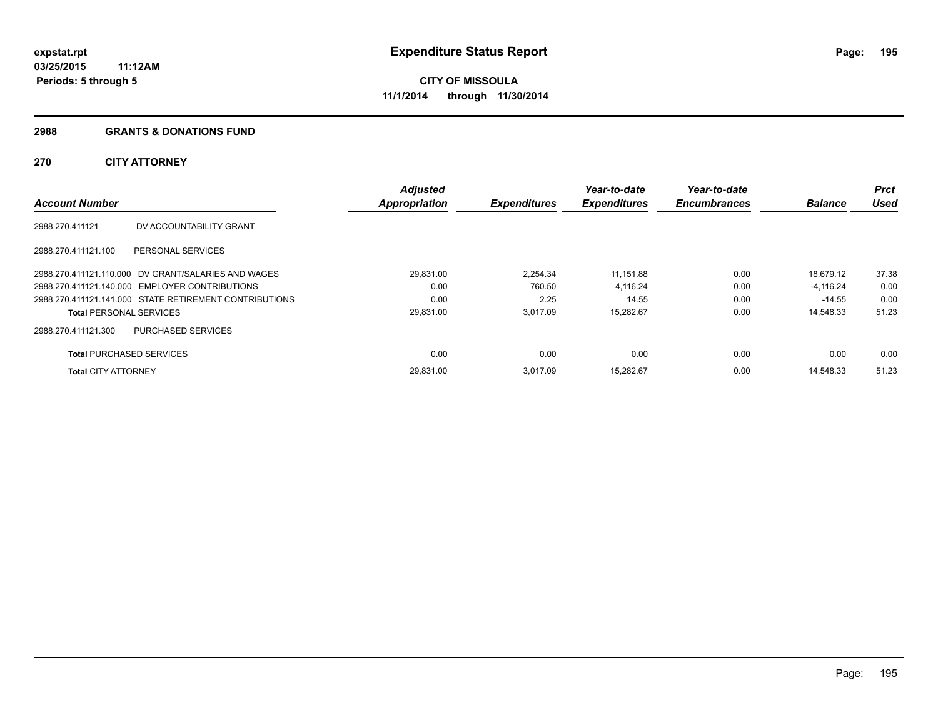#### **2988 GRANTS & DONATIONS FUND**

## **270 CITY ATTORNEY**

| <b>Account Number</b>           |                                                        | <b>Adjusted</b><br><b>Appropriation</b> | <b>Expenditures</b> | Year-to-date<br><b>Expenditures</b> | Year-to-date<br><b>Encumbrances</b> | <b>Balance</b> | <b>Prct</b><br><b>Used</b> |
|---------------------------------|--------------------------------------------------------|-----------------------------------------|---------------------|-------------------------------------|-------------------------------------|----------------|----------------------------|
|                                 |                                                        |                                         |                     |                                     |                                     |                |                            |
| 2988.270.411121                 | DV ACCOUNTABILITY GRANT                                |                                         |                     |                                     |                                     |                |                            |
| 2988.270.411121.100             | PERSONAL SERVICES                                      |                                         |                     |                                     |                                     |                |                            |
|                                 | 2988.270.411121.110.000 DV GRANT/SALARIES AND WAGES    | 29,831.00                               | 2.254.34            | 11.151.88                           | 0.00                                | 18.679.12      | 37.38                      |
|                                 | 2988.270.411121.140.000 EMPLOYER CONTRIBUTIONS         | 0.00                                    | 760.50              | 4.116.24                            | 0.00                                | $-4.116.24$    | 0.00                       |
|                                 | 2988.270.411121.141.000 STATE RETIREMENT CONTRIBUTIONS | 0.00                                    | 2.25                | 14.55                               | 0.00                                | $-14.55$       | 0.00                       |
| <b>Total PERSONAL SERVICES</b>  |                                                        | 29,831.00                               | 3.017.09            | 15,282.67                           | 0.00                                | 14,548.33      | 51.23                      |
| 2988.270.411121.300             | <b>PURCHASED SERVICES</b>                              |                                         |                     |                                     |                                     |                |                            |
| <b>Total PURCHASED SERVICES</b> |                                                        | 0.00                                    | 0.00                | 0.00                                | 0.00                                | 0.00           | 0.00                       |
| <b>Total CITY ATTORNEY</b>      |                                                        | 29.831.00                               | 3.017.09            | 15,282.67                           | 0.00                                | 14.548.33      | 51.23                      |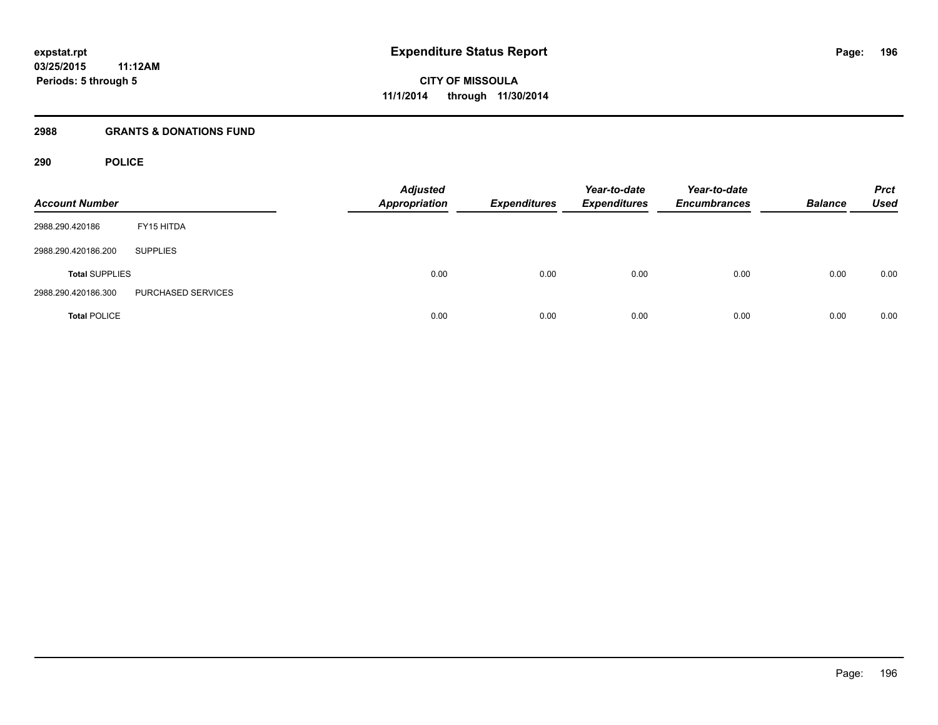## **2988 GRANTS & DONATIONS FUND**

## **290 POLICE**

| <b>Account Number</b> |                    | <b>Adjusted</b><br><b>Appropriation</b> | <b>Expenditures</b> | Year-to-date<br><b>Expenditures</b> | Year-to-date<br><b>Encumbrances</b> | <b>Balance</b> | <b>Prct</b><br><b>Used</b> |
|-----------------------|--------------------|-----------------------------------------|---------------------|-------------------------------------|-------------------------------------|----------------|----------------------------|
| 2988.290.420186       | FY15 HITDA         |                                         |                     |                                     |                                     |                |                            |
| 2988.290.420186.200   | <b>SUPPLIES</b>    |                                         |                     |                                     |                                     |                |                            |
| <b>Total SUPPLIES</b> |                    | 0.00                                    | 0.00                | 0.00                                | 0.00                                | 0.00           | 0.00                       |
| 2988.290.420186.300   | PURCHASED SERVICES |                                         |                     |                                     |                                     |                |                            |
| <b>Total POLICE</b>   |                    | 0.00                                    | 0.00                | 0.00                                | 0.00                                | 0.00           | 0.00                       |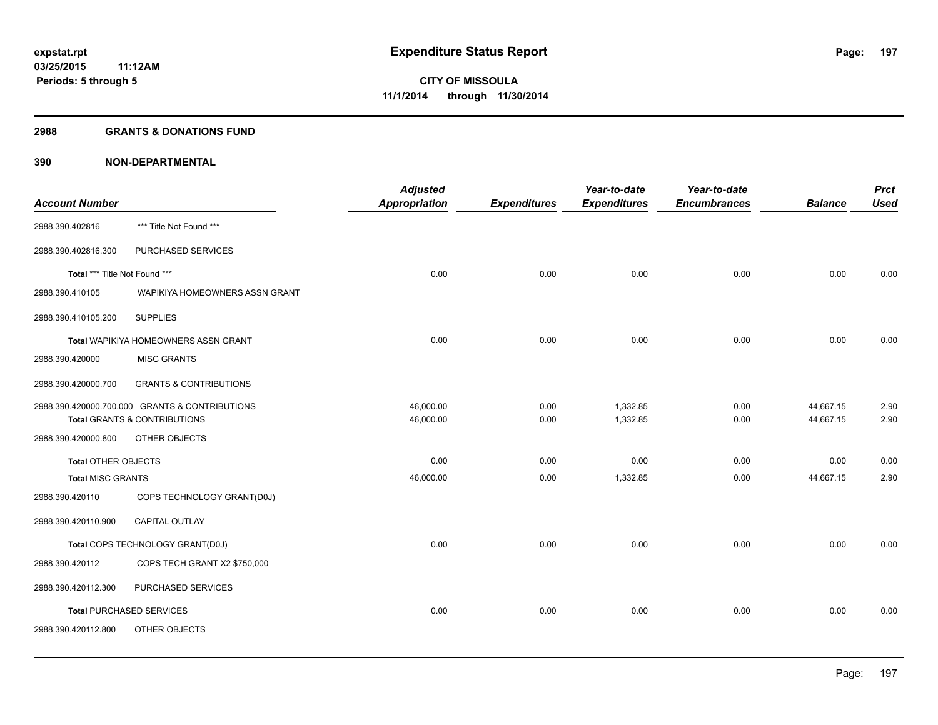## **2988 GRANTS & DONATIONS FUND**

|                               |                                                | <b>Adjusted</b>      |                     | Year-to-date        | Year-to-date        |                | <b>Prct</b> |
|-------------------------------|------------------------------------------------|----------------------|---------------------|---------------------|---------------------|----------------|-------------|
| <b>Account Number</b>         |                                                | <b>Appropriation</b> | <b>Expenditures</b> | <b>Expenditures</b> | <b>Encumbrances</b> | <b>Balance</b> | <b>Used</b> |
| 2988.390.402816               | *** Title Not Found ***                        |                      |                     |                     |                     |                |             |
| 2988.390.402816.300           | PURCHASED SERVICES                             |                      |                     |                     |                     |                |             |
| Total *** Title Not Found *** |                                                | 0.00                 | 0.00                | 0.00                | 0.00                | 0.00           | 0.00        |
| 2988.390.410105               | WAPIKIYA HOMEOWNERS ASSN GRANT                 |                      |                     |                     |                     |                |             |
| 2988.390.410105.200           | <b>SUPPLIES</b>                                |                      |                     |                     |                     |                |             |
|                               | Total WAPIKIYA HOMEOWNERS ASSN GRANT           | 0.00                 | 0.00                | 0.00                | 0.00                | 0.00           | 0.00        |
| 2988.390.420000               | <b>MISC GRANTS</b>                             |                      |                     |                     |                     |                |             |
| 2988.390.420000.700           | <b>GRANTS &amp; CONTRIBUTIONS</b>              |                      |                     |                     |                     |                |             |
|                               | 2988.390.420000.700.000 GRANTS & CONTRIBUTIONS | 46,000.00            | 0.00                | 1,332.85            | 0.00                | 44,667.15      | 2.90        |
|                               | Total GRANTS & CONTRIBUTIONS                   | 46,000.00            | 0.00                | 1,332.85            | 0.00                | 44,667.15      | 2.90        |
| 2988.390.420000.800           | OTHER OBJECTS                                  |                      |                     |                     |                     |                |             |
| <b>Total OTHER OBJECTS</b>    |                                                | 0.00                 | 0.00                | 0.00                | 0.00                | 0.00           | 0.00        |
| <b>Total MISC GRANTS</b>      |                                                | 46,000.00            | 0.00                | 1,332.85            | 0.00                | 44,667.15      | 2.90        |
| 2988.390.420110               | COPS TECHNOLOGY GRANT(D0J)                     |                      |                     |                     |                     |                |             |
| 2988.390.420110.900           | <b>CAPITAL OUTLAY</b>                          |                      |                     |                     |                     |                |             |
|                               | Total COPS TECHNOLOGY GRANT(D0J)               | 0.00                 | 0.00                | 0.00                | 0.00                | 0.00           | 0.00        |
| 2988.390.420112               | COPS TECH GRANT X2 \$750,000                   |                      |                     |                     |                     |                |             |
| 2988.390.420112.300           | PURCHASED SERVICES                             |                      |                     |                     |                     |                |             |
|                               | <b>Total PURCHASED SERVICES</b>                | 0.00                 | 0.00                | 0.00                | 0.00                | 0.00           | 0.00        |
| 2988.390.420112.800           | OTHER OBJECTS                                  |                      |                     |                     |                     |                |             |
|                               |                                                |                      |                     |                     |                     |                |             |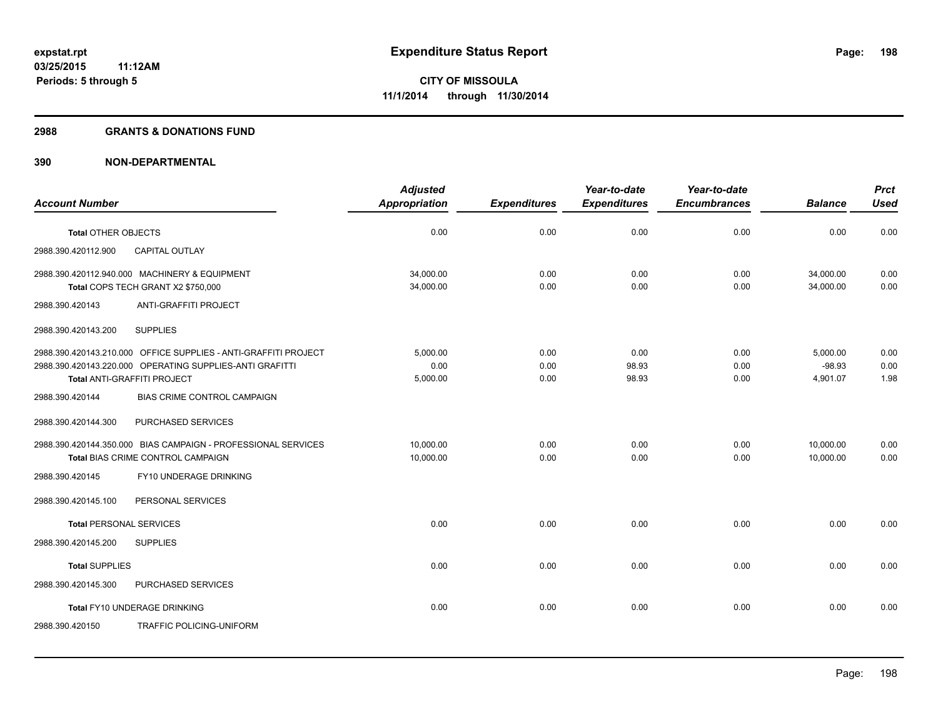#### **2988 GRANTS & DONATIONS FUND**

|                                                                                                                                                            | <b>Adjusted</b>              |                      | Year-to-date           | Year-to-date         |                                  | <b>Prct</b>          |
|------------------------------------------------------------------------------------------------------------------------------------------------------------|------------------------------|----------------------|------------------------|----------------------|----------------------------------|----------------------|
| <b>Account Number</b>                                                                                                                                      | <b>Appropriation</b>         | <b>Expenditures</b>  | <b>Expenditures</b>    | <b>Encumbrances</b>  | <b>Balance</b>                   | <b>Used</b>          |
| Total OTHER OBJECTS                                                                                                                                        | 0.00                         | 0.00                 | 0.00                   | 0.00                 | 0.00                             | 0.00                 |
| 2988.390.420112.900<br><b>CAPITAL OUTLAY</b>                                                                                                               |                              |                      |                        |                      |                                  |                      |
| 2988.390.420112.940.000 MACHINERY & EQUIPMENT<br>Total COPS TECH GRANT X2 \$750,000                                                                        | 34,000.00<br>34,000.00       | 0.00<br>0.00         | 0.00<br>0.00           | 0.00<br>0.00         | 34,000.00<br>34,000.00           | 0.00<br>0.00         |
| ANTI-GRAFFITI PROJECT<br>2988.390.420143                                                                                                                   |                              |                      |                        |                      |                                  |                      |
| <b>SUPPLIES</b><br>2988.390.420143.200                                                                                                                     |                              |                      |                        |                      |                                  |                      |
| 2988.390.420143.210.000 OFFICE SUPPLIES - ANTI-GRAFFITI PROJECT<br>2988.390.420143.220.000 OPERATING SUPPLIES-ANTI GRAFITTI<br>Total ANTI-GRAFFITI PROJECT | 5.000.00<br>0.00<br>5,000.00 | 0.00<br>0.00<br>0.00 | 0.00<br>98.93<br>98.93 | 0.00<br>0.00<br>0.00 | 5,000.00<br>$-98.93$<br>4,901.07 | 0.00<br>0.00<br>1.98 |
| 2988.390.420144<br><b>BIAS CRIME CONTROL CAMPAIGN</b>                                                                                                      |                              |                      |                        |                      |                                  |                      |
| 2988.390.420144.300<br>PURCHASED SERVICES                                                                                                                  |                              |                      |                        |                      |                                  |                      |
| 2988.390.420144.350.000 BIAS CAMPAIGN - PROFESSIONAL SERVICES<br>Total BIAS CRIME CONTROL CAMPAIGN                                                         | 10,000.00<br>10,000.00       | 0.00<br>0.00         | 0.00<br>0.00           | 0.00<br>0.00         | 10,000.00<br>10,000.00           | 0.00<br>0.00         |
| FY10 UNDERAGE DRINKING<br>2988.390.420145                                                                                                                  |                              |                      |                        |                      |                                  |                      |
| 2988.390.420145.100<br>PERSONAL SERVICES                                                                                                                   |                              |                      |                        |                      |                                  |                      |
| <b>Total PERSONAL SERVICES</b>                                                                                                                             | 0.00                         | 0.00                 | 0.00                   | 0.00                 | 0.00                             | 0.00                 |
| 2988.390.420145.200<br><b>SUPPLIES</b>                                                                                                                     |                              |                      |                        |                      |                                  |                      |
| <b>Total SUPPLIES</b>                                                                                                                                      | 0.00                         | 0.00                 | 0.00                   | 0.00                 | 0.00                             | 0.00                 |
| 2988.390.420145.300<br>PURCHASED SERVICES                                                                                                                  |                              |                      |                        |                      |                                  |                      |
| Total FY10 UNDERAGE DRINKING                                                                                                                               | 0.00                         | 0.00                 | 0.00                   | 0.00                 | 0.00                             | 0.00                 |
| <b>TRAFFIC POLICING-UNIFORM</b><br>2988.390.420150                                                                                                         |                              |                      |                        |                      |                                  |                      |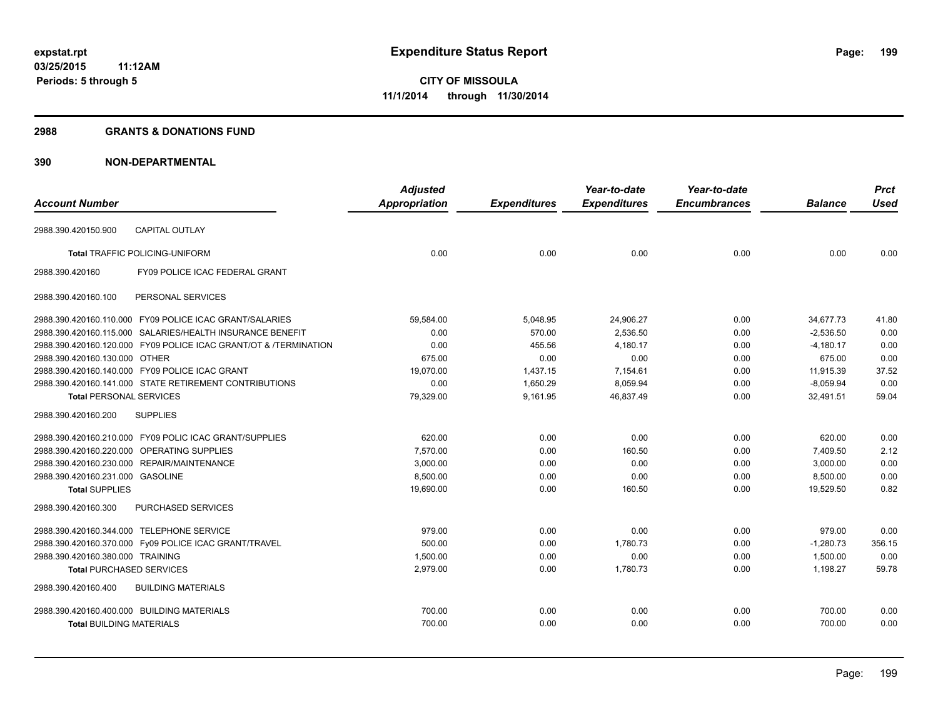#### **2988 GRANTS & DONATIONS FUND**

|                                  |                                                                  | <b>Adjusted</b>      |                     | Year-to-date        | Year-to-date        |                | <b>Prct</b> |
|----------------------------------|------------------------------------------------------------------|----------------------|---------------------|---------------------|---------------------|----------------|-------------|
| <b>Account Number</b>            |                                                                  | <b>Appropriation</b> | <b>Expenditures</b> | <b>Expenditures</b> | <b>Encumbrances</b> | <b>Balance</b> | <b>Used</b> |
| 2988.390.420150.900              | <b>CAPITAL OUTLAY</b>                                            |                      |                     |                     |                     |                |             |
|                                  | <b>Total TRAFFIC POLICING-UNIFORM</b>                            | 0.00                 | 0.00                | 0.00                | 0.00                | 0.00           | 0.00        |
| 2988.390.420160                  | FY09 POLICE ICAC FEDERAL GRANT                                   |                      |                     |                     |                     |                |             |
| 2988.390.420160.100              | PERSONAL SERVICES                                                |                      |                     |                     |                     |                |             |
|                                  | 2988.390.420160.110.000 FY09 POLICE ICAC GRANT/SALARIES          | 59.584.00            | 5,048.95            | 24,906.27           | 0.00                | 34.677.73      | 41.80       |
|                                  | 2988.390.420160.115.000 SALARIES/HEALTH INSURANCE BENEFIT        | 0.00                 | 570.00              | 2.536.50            | 0.00                | $-2.536.50$    | 0.00        |
|                                  | 2988.390.420160.120.000 FY09 POLICE ICAC GRANT/OT & /TERMINATION | 0.00                 | 455.56              | 4,180.17            | 0.00                | $-4,180.17$    | 0.00        |
| 2988.390.420160.130.000 OTHER    |                                                                  | 675.00               | 0.00                | 0.00                | 0.00                | 675.00         | 0.00        |
|                                  | 2988.390.420160.140.000 FY09 POLICE ICAC GRANT                   | 19,070.00            | 1,437.15            | 7,154.61            | 0.00                | 11,915.39      | 37.52       |
|                                  | 2988.390.420160.141.000 STATE RETIREMENT CONTRIBUTIONS           | 0.00                 | 1,650.29            | 8,059.94            | 0.00                | $-8,059.94$    | 0.00        |
| <b>Total PERSONAL SERVICES</b>   |                                                                  | 79,329.00            | 9,161.95            | 46,837.49           | 0.00                | 32,491.51      | 59.04       |
| 2988.390.420160.200              | <b>SUPPLIES</b>                                                  |                      |                     |                     |                     |                |             |
|                                  | 2988.390.420160.210.000 FY09 POLIC ICAC GRANT/SUPPLIES           | 620.00               | 0.00                | 0.00                | 0.00                | 620.00         | 0.00        |
|                                  | 2988.390.420160.220.000 OPERATING SUPPLIES                       | 7,570.00             | 0.00                | 160.50              | 0.00                | 7,409.50       | 2.12        |
|                                  | 2988.390.420160.230.000 REPAIR/MAINTENANCE                       | 3,000.00             | 0.00                | 0.00                | 0.00                | 3,000.00       | 0.00        |
| 2988.390.420160.231.000 GASOLINE |                                                                  | 8,500.00             | 0.00                | 0.00                | 0.00                | 8,500.00       | 0.00        |
| <b>Total SUPPLIES</b>            |                                                                  | 19,690.00            | 0.00                | 160.50              | 0.00                | 19,529.50      | 0.82        |
| 2988.390.420160.300              | PURCHASED SERVICES                                               |                      |                     |                     |                     |                |             |
|                                  | 2988.390.420160.344.000 TELEPHONE SERVICE                        | 979.00               | 0.00                | 0.00                | 0.00                | 979.00         | 0.00        |
|                                  | 2988.390.420160.370.000 Fy09 POLICE ICAC GRANT/TRAVEL            | 500.00               | 0.00                | 1,780.73            | 0.00                | $-1,280.73$    | 356.15      |
| 2988.390.420160.380.000 TRAINING |                                                                  | 1,500.00             | 0.00                | 0.00                | 0.00                | 1,500.00       | 0.00        |
| <b>Total PURCHASED SERVICES</b>  |                                                                  | 2,979.00             | 0.00                | 1,780.73            | 0.00                | 1,198.27       | 59.78       |
| 2988.390.420160.400              | <b>BUILDING MATERIALS</b>                                        |                      |                     |                     |                     |                |             |
|                                  | 2988.390.420160.400.000 BUILDING MATERIALS                       | 700.00               | 0.00                | 0.00                | 0.00                | 700.00         | 0.00        |
| <b>Total BUILDING MATERIALS</b>  |                                                                  | 700.00               | 0.00                | 0.00                | 0.00                | 700.00         | 0.00        |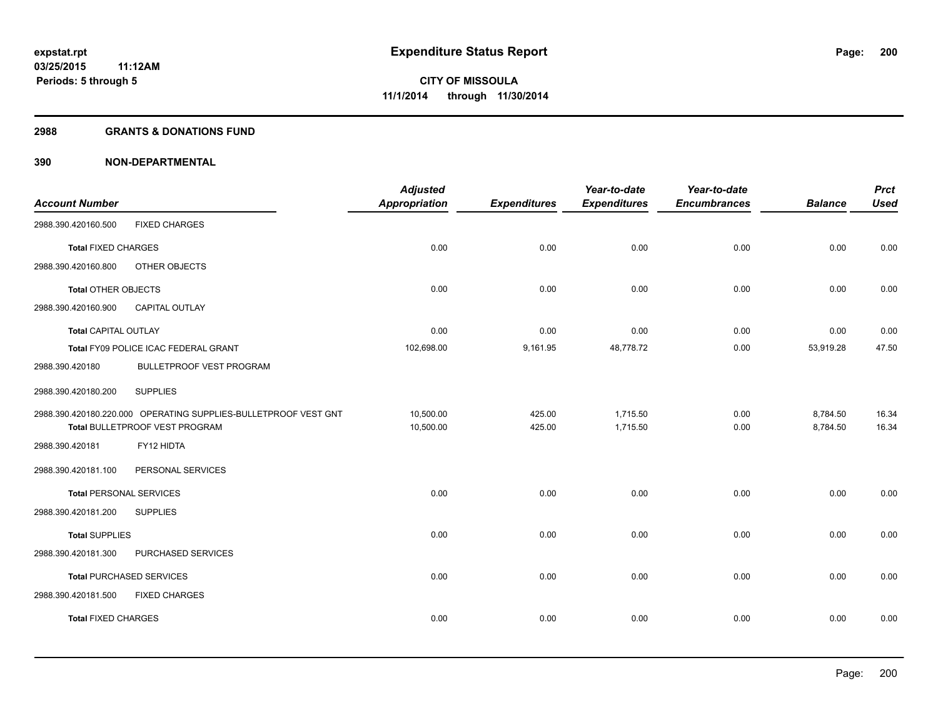#### **2988 GRANTS & DONATIONS FUND**

| <b>Account Number</b>          |                                                                 | <b>Adjusted</b><br><b>Appropriation</b> | <b>Expenditures</b> | Year-to-date<br><b>Expenditures</b> | Year-to-date<br><b>Encumbrances</b> | <b>Balance</b> | <b>Prct</b><br><b>Used</b> |
|--------------------------------|-----------------------------------------------------------------|-----------------------------------------|---------------------|-------------------------------------|-------------------------------------|----------------|----------------------------|
| 2988.390.420160.500            | <b>FIXED CHARGES</b>                                            |                                         |                     |                                     |                                     |                |                            |
| <b>Total FIXED CHARGES</b>     |                                                                 | 0.00                                    | 0.00                | 0.00                                | 0.00                                | 0.00           | 0.00                       |
| 2988.390.420160.800            | OTHER OBJECTS                                                   |                                         |                     |                                     |                                     |                |                            |
| <b>Total OTHER OBJECTS</b>     |                                                                 | 0.00                                    | 0.00                | 0.00                                | 0.00                                | 0.00           | 0.00                       |
| 2988.390.420160.900            | CAPITAL OUTLAY                                                  |                                         |                     |                                     |                                     |                |                            |
| <b>Total CAPITAL OUTLAY</b>    |                                                                 | 0.00                                    | 0.00                | 0.00                                | 0.00                                | 0.00           | 0.00                       |
|                                | Total FY09 POLICE ICAC FEDERAL GRANT                            | 102,698.00                              | 9,161.95            | 48,778.72                           | 0.00                                | 53,919.28      | 47.50                      |
| 2988.390.420180                | BULLETPROOF VEST PROGRAM                                        |                                         |                     |                                     |                                     |                |                            |
| 2988.390.420180.200            | <b>SUPPLIES</b>                                                 |                                         |                     |                                     |                                     |                |                            |
|                                | 2988.390.420180.220.000 OPERATING SUPPLIES-BULLETPROOF VEST GNT | 10,500.00                               | 425.00              | 1,715.50                            | 0.00                                | 8,784.50       | 16.34                      |
|                                | Total BULLETPROOF VEST PROGRAM                                  | 10,500.00                               | 425.00              | 1,715.50                            | 0.00                                | 8,784.50       | 16.34                      |
| 2988.390.420181                | FY12 HIDTA                                                      |                                         |                     |                                     |                                     |                |                            |
| 2988.390.420181.100            | PERSONAL SERVICES                                               |                                         |                     |                                     |                                     |                |                            |
| <b>Total PERSONAL SERVICES</b> |                                                                 | 0.00                                    | 0.00                | 0.00                                | 0.00                                | 0.00           | 0.00                       |
| 2988.390.420181.200            | <b>SUPPLIES</b>                                                 |                                         |                     |                                     |                                     |                |                            |
| <b>Total SUPPLIES</b>          |                                                                 | 0.00                                    | 0.00                | 0.00                                | 0.00                                | 0.00           | 0.00                       |
| 2988.390.420181.300            | PURCHASED SERVICES                                              |                                         |                     |                                     |                                     |                |                            |
|                                | <b>Total PURCHASED SERVICES</b>                                 | 0.00                                    | 0.00                | 0.00                                | 0.00                                | 0.00           | 0.00                       |
| 2988.390.420181.500            | <b>FIXED CHARGES</b>                                            |                                         |                     |                                     |                                     |                |                            |
| <b>Total FIXED CHARGES</b>     |                                                                 | 0.00                                    | 0.00                | 0.00                                | 0.00                                | 0.00           | 0.00                       |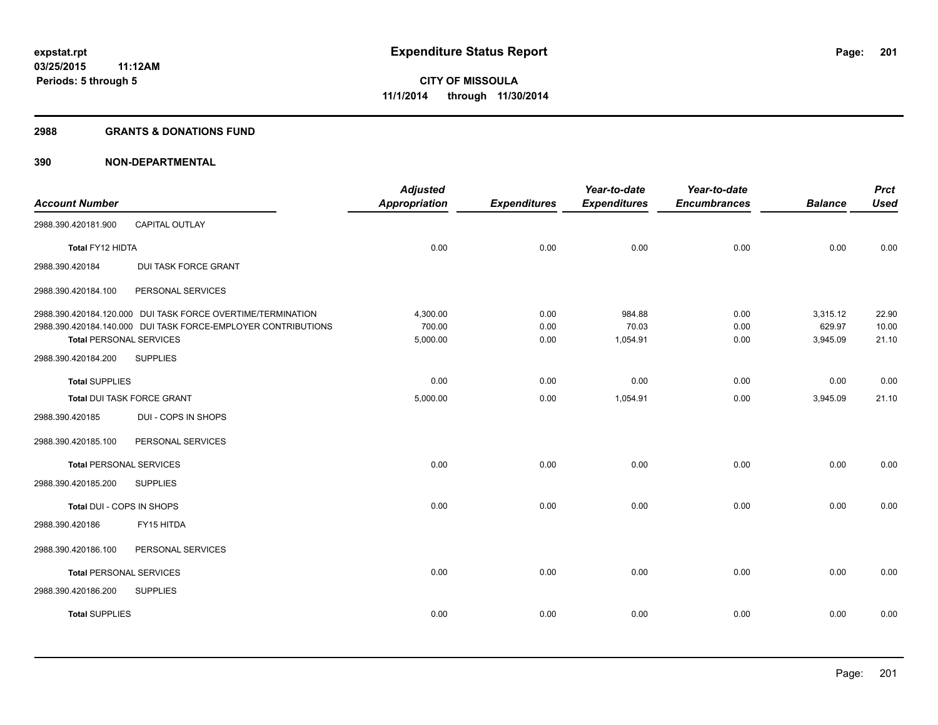#### **2988 GRANTS & DONATIONS FUND**

|                                |                                                               | <b>Adjusted</b>      |                     | Year-to-date        | Year-to-date        |                    | <b>Prct</b>    |
|--------------------------------|---------------------------------------------------------------|----------------------|---------------------|---------------------|---------------------|--------------------|----------------|
| <b>Account Number</b>          |                                                               | <b>Appropriation</b> | <b>Expenditures</b> | <b>Expenditures</b> | <b>Encumbrances</b> | <b>Balance</b>     | <b>Used</b>    |
| 2988.390.420181.900            | CAPITAL OUTLAY                                                |                      |                     |                     |                     |                    |                |
| Total FY12 HIDTA               |                                                               | 0.00                 | 0.00                | 0.00                | 0.00                | 0.00               | 0.00           |
| 2988.390.420184                | DUI TASK FORCE GRANT                                          |                      |                     |                     |                     |                    |                |
| 2988.390.420184.100            | PERSONAL SERVICES                                             |                      |                     |                     |                     |                    |                |
|                                | 2988.390.420184.120.000 DUI TASK FORCE OVERTIME/TERMINATION   | 4,300.00             | 0.00                | 984.88              | 0.00                | 3,315.12           | 22.90          |
| <b>Total PERSONAL SERVICES</b> | 2988.390.420184.140.000 DUI TASK FORCE-EMPLOYER CONTRIBUTIONS | 700.00<br>5,000.00   | 0.00<br>0.00        | 70.03<br>1,054.91   | 0.00<br>0.00        | 629.97<br>3,945.09 | 10.00<br>21.10 |
| 2988.390.420184.200            | <b>SUPPLIES</b>                                               |                      |                     |                     |                     |                    |                |
| <b>Total SUPPLIES</b>          |                                                               | 0.00                 | 0.00                | 0.00                | 0.00                | 0.00               | 0.00           |
| Total DUI TASK FORCE GRANT     |                                                               | 5,000.00             | 0.00                | 1,054.91            | 0.00                | 3,945.09           | 21.10          |
| 2988.390.420185                | DUI - COPS IN SHOPS                                           |                      |                     |                     |                     |                    |                |
| 2988.390.420185.100            | PERSONAL SERVICES                                             |                      |                     |                     |                     |                    |                |
| <b>Total PERSONAL SERVICES</b> |                                                               | 0.00                 | 0.00                | 0.00                | 0.00                | 0.00               | 0.00           |
| 2988.390.420185.200            | <b>SUPPLIES</b>                                               |                      |                     |                     |                     |                    |                |
| Total DUI - COPS IN SHOPS      |                                                               | 0.00                 | 0.00                | 0.00                | 0.00                | 0.00               | 0.00           |
| 2988.390.420186                | FY15 HITDA                                                    |                      |                     |                     |                     |                    |                |
| 2988.390.420186.100            | PERSONAL SERVICES                                             |                      |                     |                     |                     |                    |                |
| <b>Total PERSONAL SERVICES</b> |                                                               | 0.00                 | 0.00                | 0.00                | 0.00                | 0.00               | 0.00           |
| 2988.390.420186.200            | <b>SUPPLIES</b>                                               |                      |                     |                     |                     |                    |                |
| <b>Total SUPPLIES</b>          |                                                               | 0.00                 | 0.00                | 0.00                | 0.00                | 0.00               | 0.00           |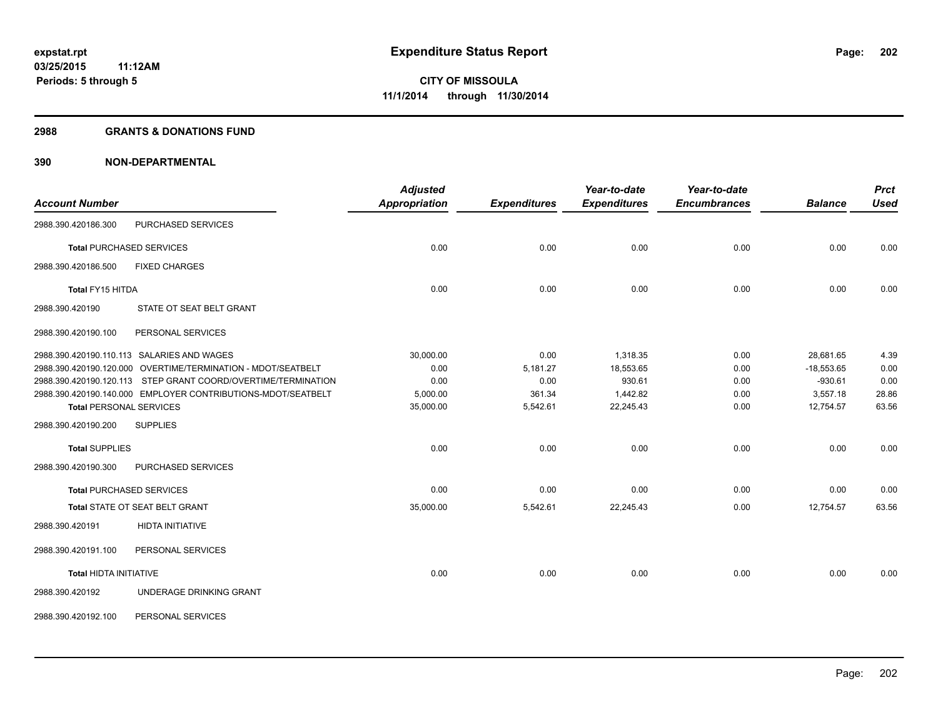#### **2988 GRANTS & DONATIONS FUND**

| <b>Account Number</b>           |                                                               | <b>Adjusted</b><br><b>Appropriation</b> | <b>Expenditures</b> | Year-to-date<br><b>Expenditures</b> | Year-to-date<br><b>Encumbrances</b> | <b>Balance</b> | <b>Prct</b><br><b>Used</b> |
|---------------------------------|---------------------------------------------------------------|-----------------------------------------|---------------------|-------------------------------------|-------------------------------------|----------------|----------------------------|
| 2988.390.420186.300             | PURCHASED SERVICES                                            |                                         |                     |                                     |                                     |                |                            |
| <b>Total PURCHASED SERVICES</b> |                                                               | 0.00                                    | 0.00                | 0.00                                | 0.00                                | 0.00           | 0.00                       |
| 2988.390.420186.500             | <b>FIXED CHARGES</b>                                          |                                         |                     |                                     |                                     |                |                            |
| Total FY15 HITDA                |                                                               | 0.00                                    | 0.00                | 0.00                                | 0.00                                | 0.00           | 0.00                       |
| 2988.390.420190                 | STATE OT SEAT BELT GRANT                                      |                                         |                     |                                     |                                     |                |                            |
| 2988.390.420190.100             | PERSONAL SERVICES                                             |                                         |                     |                                     |                                     |                |                            |
|                                 | 2988.390.420190.110.113 SALARIES AND WAGES                    | 30,000.00                               | 0.00                | 1,318.35                            | 0.00                                | 28.681.65      | 4.39                       |
|                                 | 2988.390.420190.120.000 OVERTIME/TERMINATION - MDOT/SEATBELT  | 0.00                                    | 5,181.27            | 18,553.65                           | 0.00                                | $-18,553.65$   | 0.00                       |
|                                 | 2988.390.420190.120.113 STEP GRANT COORD/OVERTIME/TERMINATION | 0.00                                    | 0.00                | 930.61                              | 0.00                                | $-930.61$      | 0.00                       |
|                                 | 2988.390.420190.140.000 EMPLOYER CONTRIBUTIONS-MDOT/SEATBELT  | 5,000.00                                | 361.34              | 1,442.82                            | 0.00                                | 3,557.18       | 28.86                      |
| <b>Total PERSONAL SERVICES</b>  |                                                               | 35,000.00                               | 5,542.61            | 22,245.43                           | 0.00                                | 12,754.57      | 63.56                      |
| 2988.390.420190.200             | <b>SUPPLIES</b>                                               |                                         |                     |                                     |                                     |                |                            |
| <b>Total SUPPLIES</b>           |                                                               | 0.00                                    | 0.00                | 0.00                                | 0.00                                | 0.00           | 0.00                       |
| 2988.390.420190.300             | PURCHASED SERVICES                                            |                                         |                     |                                     |                                     |                |                            |
| <b>Total PURCHASED SERVICES</b> |                                                               | 0.00                                    | 0.00                | 0.00                                | 0.00                                | 0.00           | 0.00                       |
|                                 | Total STATE OT SEAT BELT GRANT                                | 35,000.00                               | 5,542.61            | 22,245.43                           | 0.00                                | 12,754.57      | 63.56                      |
| 2988.390.420191                 | <b>HIDTA INITIATIVE</b>                                       |                                         |                     |                                     |                                     |                |                            |
| 2988.390.420191.100             | PERSONAL SERVICES                                             |                                         |                     |                                     |                                     |                |                            |
| <b>Total HIDTA INITIATIVE</b>   |                                                               | 0.00                                    | 0.00                | 0.00                                | 0.00                                | 0.00           | 0.00                       |
| 2988.390.420192                 | UNDERAGE DRINKING GRANT                                       |                                         |                     |                                     |                                     |                |                            |
| 2988.390.420192.100             | PERSONAL SERVICES                                             |                                         |                     |                                     |                                     |                |                            |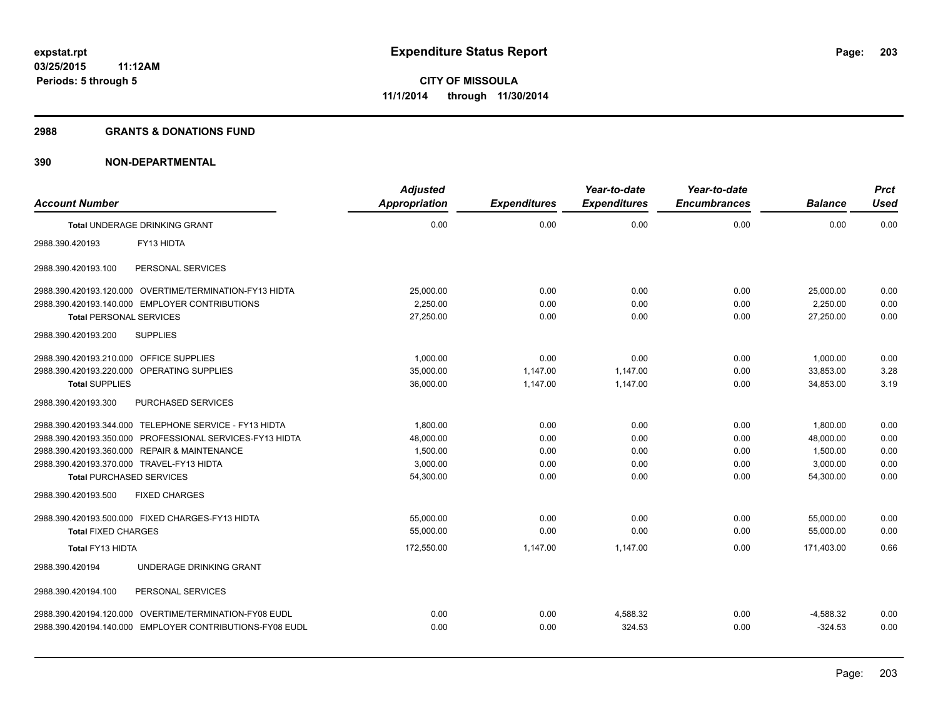#### **2988 GRANTS & DONATIONS FUND**

| <b>Account Number</b>                   |                                                          | <b>Adjusted</b><br><b>Appropriation</b> | <b>Expenditures</b> | Year-to-date<br><b>Expenditures</b> | Year-to-date<br><b>Encumbrances</b> | <b>Balance</b> | <b>Prct</b><br>Used |
|-----------------------------------------|----------------------------------------------------------|-----------------------------------------|---------------------|-------------------------------------|-------------------------------------|----------------|---------------------|
|                                         | <b>Total UNDERAGE DRINKING GRANT</b>                     | 0.00                                    | 0.00                | 0.00                                | 0.00                                | 0.00           | 0.00                |
| 2988.390.420193                         | FY13 HIDTA                                               |                                         |                     |                                     |                                     |                |                     |
| 2988.390.420193.100                     | PERSONAL SERVICES                                        |                                         |                     |                                     |                                     |                |                     |
|                                         | 2988.390.420193.120.000 OVERTIME/TERMINATION-FY13 HIDTA  | 25,000.00                               | 0.00                | 0.00                                | 0.00                                | 25,000.00      | 0.00                |
|                                         | 2988.390.420193.140.000 EMPLOYER CONTRIBUTIONS           | 2,250.00                                | 0.00                | 0.00                                | 0.00                                | 2,250.00       | 0.00                |
| <b>Total PERSONAL SERVICES</b>          |                                                          | 27,250.00                               | 0.00                | 0.00                                | 0.00                                | 27,250.00      | 0.00                |
| 2988.390.420193.200                     | <b>SUPPLIES</b>                                          |                                         |                     |                                     |                                     |                |                     |
| 2988.390.420193.210.000 OFFICE SUPPLIES |                                                          | 1,000.00                                | 0.00                | 0.00                                | 0.00                                | 1,000.00       | 0.00                |
|                                         | 2988.390.420193.220.000 OPERATING SUPPLIES               | 35.000.00                               | 1.147.00            | 1.147.00                            | 0.00                                | 33.853.00      | 3.28                |
| <b>Total SUPPLIES</b>                   |                                                          | 36,000.00                               | 1,147.00            | 1,147.00                            | 0.00                                | 34,853.00      | 3.19                |
| 2988.390.420193.300                     | PURCHASED SERVICES                                       |                                         |                     |                                     |                                     |                |                     |
|                                         | 2988.390.420193.344.000 TELEPHONE SERVICE - FY13 HIDTA   | 1,800.00                                | 0.00                | 0.00                                | 0.00                                | 1,800.00       | 0.00                |
|                                         | 2988.390.420193.350.000 PROFESSIONAL SERVICES-FY13 HIDTA | 48,000.00                               | 0.00                | 0.00                                | 0.00                                | 48,000.00      | 0.00                |
|                                         | 2988.390.420193.360.000 REPAIR & MAINTENANCE             | 1,500.00                                | 0.00                | 0.00                                | 0.00                                | 1.500.00       | 0.00                |
|                                         | 2988.390.420193.370.000 TRAVEL-FY13 HIDTA                | 3,000.00                                | 0.00                | 0.00                                | 0.00                                | 3,000.00       | 0.00                |
|                                         | <b>Total PURCHASED SERVICES</b>                          | 54,300.00                               | 0.00                | 0.00                                | 0.00                                | 54,300.00      | 0.00                |
| 2988.390.420193.500                     | <b>FIXED CHARGES</b>                                     |                                         |                     |                                     |                                     |                |                     |
|                                         | 2988.390.420193.500.000 FIXED CHARGES-FY13 HIDTA         | 55,000.00                               | 0.00                | 0.00                                | 0.00                                | 55,000.00      | 0.00                |
| <b>Total FIXED CHARGES</b>              |                                                          | 55,000.00                               | 0.00                | 0.00                                | 0.00                                | 55,000.00      | 0.00                |
| Total FY13 HIDTA                        |                                                          | 172,550.00                              | 1,147.00            | 1.147.00                            | 0.00                                | 171.403.00     | 0.66                |
| 2988.390.420194                         | UNDERAGE DRINKING GRANT                                  |                                         |                     |                                     |                                     |                |                     |
| 2988.390.420194.100                     | PERSONAL SERVICES                                        |                                         |                     |                                     |                                     |                |                     |
|                                         | 2988.390.420194.120.000 OVERTIME/TERMINATION-FY08 EUDL   | 0.00                                    | 0.00                | 4,588.32                            | 0.00                                | $-4,588.32$    | 0.00                |
|                                         | 2988.390.420194.140.000 EMPLOYER CONTRIBUTIONS-FY08 EUDL | 0.00                                    | 0.00                | 324.53                              | 0.00                                | $-324.53$      | 0.00                |
|                                         |                                                          |                                         |                     |                                     |                                     |                |                     |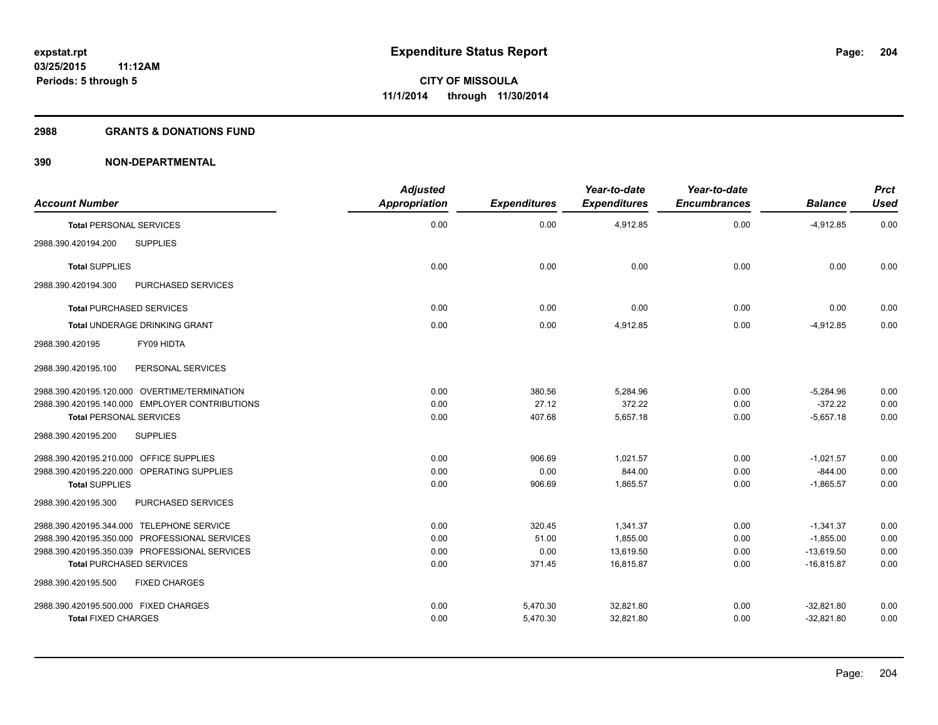#### **2988 GRANTS & DONATIONS FUND**

| <b>Account Number</b>                          | <b>Adjusted</b><br><b>Appropriation</b> | <b>Expenditures</b> | Year-to-date<br><b>Expenditures</b> | Year-to-date<br><b>Encumbrances</b> | <b>Balance</b> | <b>Prct</b><br><b>Used</b> |
|------------------------------------------------|-----------------------------------------|---------------------|-------------------------------------|-------------------------------------|----------------|----------------------------|
| <b>Total PERSONAL SERVICES</b>                 | 0.00                                    | 0.00                | 4,912.85                            | 0.00                                | $-4,912.85$    | 0.00                       |
| <b>SUPPLIES</b><br>2988.390.420194.200         |                                         |                     |                                     |                                     |                |                            |
| <b>Total SUPPLIES</b>                          | 0.00                                    | 0.00                | 0.00                                | 0.00                                | 0.00           | 0.00                       |
| PURCHASED SERVICES<br>2988.390.420194.300      |                                         |                     |                                     |                                     |                |                            |
| <b>Total PURCHASED SERVICES</b>                | 0.00                                    | 0.00                | 0.00                                | 0.00                                | 0.00           | 0.00                       |
| Total UNDERAGE DRINKING GRANT                  | 0.00                                    | 0.00                | 4,912.85                            | 0.00                                | $-4,912.85$    | 0.00                       |
| FY09 HIDTA<br>2988.390.420195                  |                                         |                     |                                     |                                     |                |                            |
| 2988.390.420195.100<br>PERSONAL SERVICES       |                                         |                     |                                     |                                     |                |                            |
| 2988.390.420195.120.000 OVERTIME/TERMINATION   | 0.00                                    | 380.56              | 5,284.96                            | 0.00                                | $-5,284.96$    | 0.00                       |
| 2988.390.420195.140.000 EMPLOYER CONTRIBUTIONS | 0.00                                    | 27.12               | 372.22                              | 0.00                                | $-372.22$      | 0.00                       |
| <b>Total PERSONAL SERVICES</b>                 | 0.00                                    | 407.68              | 5,657.18                            | 0.00                                | $-5,657.18$    | 0.00                       |
| <b>SUPPLIES</b><br>2988.390.420195.200         |                                         |                     |                                     |                                     |                |                            |
| 2988.390.420195.210.000 OFFICE SUPPLIES        | 0.00                                    | 906.69              | 1.021.57                            | 0.00                                | $-1,021.57$    | 0.00                       |
| 2988.390.420195.220.000 OPERATING SUPPLIES     | 0.00                                    | 0.00                | 844.00                              | 0.00                                | $-844.00$      | 0.00                       |
| <b>Total SUPPLIES</b>                          | 0.00                                    | 906.69              | 1,865.57                            | 0.00                                | $-1,865.57$    | 0.00                       |
| PURCHASED SERVICES<br>2988.390.420195.300      |                                         |                     |                                     |                                     |                |                            |
| 2988.390.420195.344.000 TELEPHONE SERVICE      | 0.00                                    | 320.45              | 1,341.37                            | 0.00                                | $-1,341.37$    | 0.00                       |
| 2988.390.420195.350.000 PROFESSIONAL SERVICES  | 0.00                                    | 51.00               | 1.855.00                            | 0.00                                | $-1,855.00$    | 0.00                       |
| 2988.390.420195.350.039 PROFESSIONAL SERVICES  | 0.00                                    | 0.00                | 13,619.50                           | 0.00                                | $-13,619.50$   | 0.00                       |
| <b>Total PURCHASED SERVICES</b>                | 0.00                                    | 371.45              | 16,815.87                           | 0.00                                | $-16,815.87$   | 0.00                       |
| 2988.390.420195.500<br><b>FIXED CHARGES</b>    |                                         |                     |                                     |                                     |                |                            |
| 2988.390.420195.500.000 FIXED CHARGES          | 0.00                                    | 5,470.30            | 32.821.80                           | 0.00                                | $-32.821.80$   | 0.00                       |
| <b>Total FIXED CHARGES</b>                     | 0.00                                    | 5,470.30            | 32,821.80                           | 0.00                                | $-32,821.80$   | 0.00                       |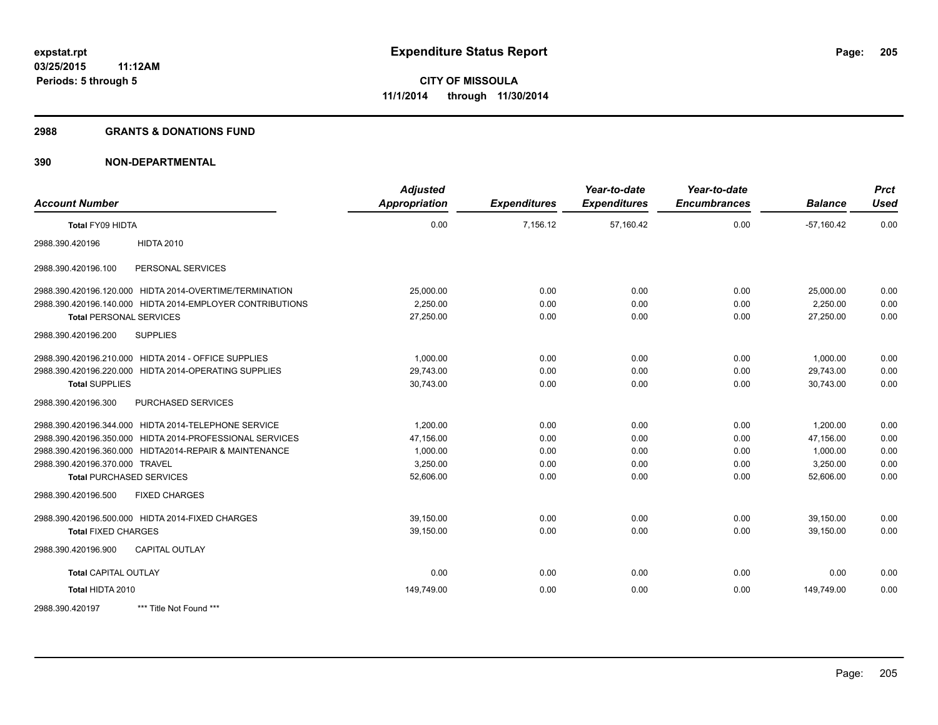#### **2988 GRANTS & DONATIONS FUND**

| <b>Account Number</b>                                     | <b>Adjusted</b><br><b>Appropriation</b> | <b>Expenditures</b> | Year-to-date<br><b>Expenditures</b> | Year-to-date<br><b>Encumbrances</b> | <b>Balance</b> | <b>Prct</b><br><b>Used</b> |
|-----------------------------------------------------------|-----------------------------------------|---------------------|-------------------------------------|-------------------------------------|----------------|----------------------------|
| Total FY09 HIDTA                                          | 0.00                                    | 7,156.12            | 57,160.42                           | 0.00                                | $-57,160.42$   | 0.00                       |
| <b>HIDTA 2010</b><br>2988.390.420196                      |                                         |                     |                                     |                                     |                |                            |
| PERSONAL SERVICES<br>2988.390.420196.100                  |                                         |                     |                                     |                                     |                |                            |
| 2988.390.420196.120.000 HIDTA 2014-OVERTIME/TERMINATION   | 25,000.00                               | 0.00                | 0.00                                | 0.00                                | 25,000.00      | 0.00                       |
| 2988.390.420196.140.000 HIDTA 2014-EMPLOYER CONTRIBUTIONS | 2,250.00                                | 0.00                | 0.00                                | 0.00                                | 2,250.00       | 0.00                       |
| <b>Total PERSONAL SERVICES</b>                            | 27,250.00                               | 0.00                | 0.00                                | 0.00                                | 27,250.00      | 0.00                       |
| 2988.390.420196.200<br><b>SUPPLIES</b>                    |                                         |                     |                                     |                                     |                |                            |
| 2988.390.420196.210.000 HIDTA 2014 - OFFICE SUPPLIES      | 1,000.00                                | 0.00                | 0.00                                | 0.00                                | 1,000.00       | 0.00                       |
| 2988.390.420196.220.000 HIDTA 2014-OPERATING SUPPLIES     | 29,743.00                               | 0.00                | 0.00                                | 0.00                                | 29,743.00      | 0.00                       |
| <b>Total SUPPLIES</b>                                     | 30,743.00                               | 0.00                | 0.00                                | 0.00                                | 30,743.00      | 0.00                       |
| PURCHASED SERVICES<br>2988.390.420196.300                 |                                         |                     |                                     |                                     |                |                            |
| 2988.390.420196.344.000 HIDTA 2014-TELEPHONE SERVICE      | 1.200.00                                | 0.00                | 0.00                                | 0.00                                | 1,200.00       | 0.00                       |
| 2988.390.420196.350.000 HIDTA 2014-PROFESSIONAL SERVICES  | 47,156.00                               | 0.00                | 0.00                                | 0.00                                | 47,156.00      | 0.00                       |
| 2988.390.420196.360.000 HIDTA2014-REPAIR & MAINTENANCE    | 1,000.00                                | 0.00                | 0.00                                | 0.00                                | 1,000.00       | 0.00                       |
| 2988.390.420196.370.000 TRAVEL                            | 3,250.00                                | 0.00                | 0.00                                | 0.00                                | 3,250.00       | 0.00                       |
| <b>Total PURCHASED SERVICES</b>                           | 52,606.00                               | 0.00                | 0.00                                | 0.00                                | 52,606.00      | 0.00                       |
| 2988.390.420196.500<br><b>FIXED CHARGES</b>               |                                         |                     |                                     |                                     |                |                            |
| 2988.390.420196.500.000 HIDTA 2014-FIXED CHARGES          | 39,150.00                               | 0.00                | 0.00                                | 0.00                                | 39,150.00      | 0.00                       |
| <b>Total FIXED CHARGES</b>                                | 39,150.00                               | 0.00                | 0.00                                | 0.00                                | 39,150.00      | 0.00                       |
| <b>CAPITAL OUTLAY</b><br>2988.390.420196.900              |                                         |                     |                                     |                                     |                |                            |
| <b>Total CAPITAL OUTLAY</b>                               | 0.00                                    | 0.00                | 0.00                                | 0.00                                | 0.00           | 0.00                       |
| Total HIDTA 2010                                          | 149,749.00                              | 0.00                | 0.00                                | 0.00                                | 149,749.00     | 0.00                       |
| *** Title Not Found ***<br>2988.390.420197                |                                         |                     |                                     |                                     |                |                            |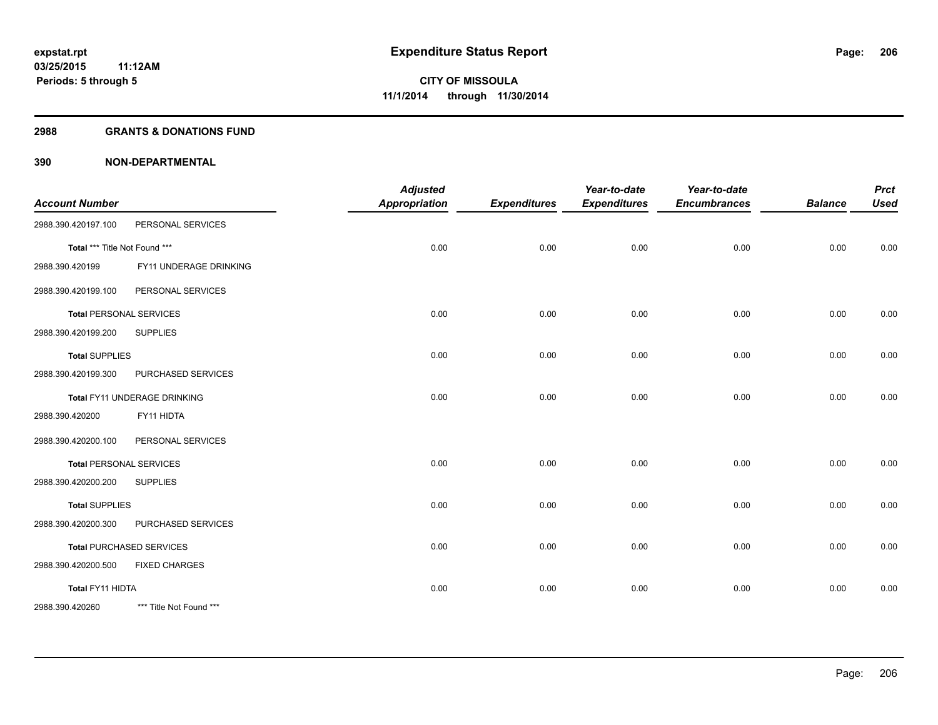#### **2988 GRANTS & DONATIONS FUND**

| <b>Account Number</b>         |                                 | <b>Adjusted</b><br><b>Appropriation</b> | <b>Expenditures</b> | Year-to-date<br><b>Expenditures</b> | Year-to-date<br><b>Encumbrances</b> | <b>Balance</b> | <b>Prct</b><br><b>Used</b> |
|-------------------------------|---------------------------------|-----------------------------------------|---------------------|-------------------------------------|-------------------------------------|----------------|----------------------------|
| 2988.390.420197.100           | PERSONAL SERVICES               |                                         |                     |                                     |                                     |                |                            |
|                               |                                 |                                         |                     |                                     |                                     |                |                            |
| Total *** Title Not Found *** |                                 | 0.00                                    | 0.00                | 0.00                                | 0.00                                | 0.00           | 0.00                       |
| 2988.390.420199               | FY11 UNDERAGE DRINKING          |                                         |                     |                                     |                                     |                |                            |
| 2988.390.420199.100           | PERSONAL SERVICES               |                                         |                     |                                     |                                     |                |                            |
|                               | <b>Total PERSONAL SERVICES</b>  | 0.00                                    | 0.00                | 0.00                                | 0.00                                | 0.00           | 0.00                       |
| 2988.390.420199.200           | <b>SUPPLIES</b>                 |                                         |                     |                                     |                                     |                |                            |
| <b>Total SUPPLIES</b>         |                                 | 0.00                                    | 0.00                | 0.00                                | 0.00                                | 0.00           | 0.00                       |
| 2988.390.420199.300           | PURCHASED SERVICES              |                                         |                     |                                     |                                     |                |                            |
|                               | Total FY11 UNDERAGE DRINKING    | 0.00                                    | 0.00                | 0.00                                | 0.00                                | 0.00           | 0.00                       |
| 2988.390.420200               | FY11 HIDTA                      |                                         |                     |                                     |                                     |                |                            |
| 2988.390.420200.100           | PERSONAL SERVICES               |                                         |                     |                                     |                                     |                |                            |
|                               | <b>Total PERSONAL SERVICES</b>  | 0.00                                    | 0.00                | 0.00                                | 0.00                                | 0.00           | 0.00                       |
| 2988.390.420200.200           | <b>SUPPLIES</b>                 |                                         |                     |                                     |                                     |                |                            |
| <b>Total SUPPLIES</b>         |                                 | 0.00                                    | 0.00                | 0.00                                | 0.00                                | 0.00           | 0.00                       |
| 2988.390.420200.300           | PURCHASED SERVICES              |                                         |                     |                                     |                                     |                |                            |
|                               | <b>Total PURCHASED SERVICES</b> | 0.00                                    | 0.00                | 0.00                                | 0.00                                | 0.00           | 0.00                       |
| 2988.390.420200.500           | <b>FIXED CHARGES</b>            |                                         |                     |                                     |                                     |                |                            |
| Total FY11 HIDTA              |                                 | 0.00                                    | 0.00                | 0.00                                | 0.00                                | 0.00           | 0.00                       |
| 2988.390.420260               | *** Title Not Found ***         |                                         |                     |                                     |                                     |                |                            |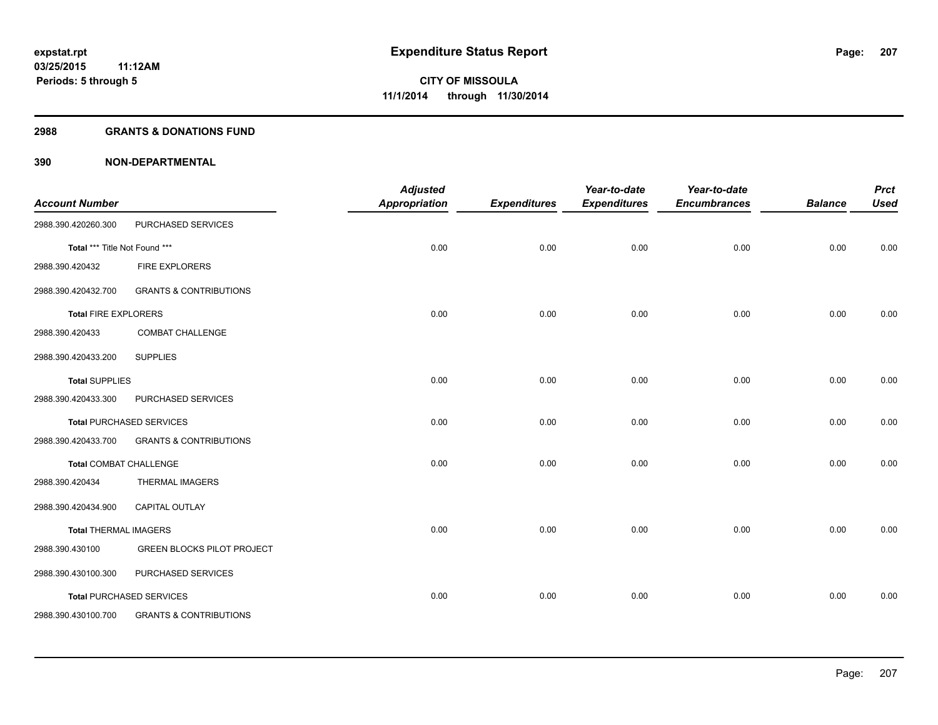#### **2988 GRANTS & DONATIONS FUND**

| <b>Account Number</b>         |                                   | <b>Adjusted</b><br><b>Appropriation</b> | <b>Expenditures</b> | Year-to-date<br><b>Expenditures</b> | Year-to-date<br><b>Encumbrances</b> | <b>Balance</b> | <b>Prct</b><br><b>Used</b> |
|-------------------------------|-----------------------------------|-----------------------------------------|---------------------|-------------------------------------|-------------------------------------|----------------|----------------------------|
| 2988.390.420260.300           | PURCHASED SERVICES                |                                         |                     |                                     |                                     |                |                            |
| Total *** Title Not Found *** |                                   | 0.00                                    | 0.00                | 0.00                                | 0.00                                | 0.00           | 0.00                       |
| 2988.390.420432               | <b>FIRE EXPLORERS</b>             |                                         |                     |                                     |                                     |                |                            |
| 2988.390.420432.700           | <b>GRANTS &amp; CONTRIBUTIONS</b> |                                         |                     |                                     |                                     |                |                            |
| <b>Total FIRE EXPLORERS</b>   |                                   | 0.00                                    | 0.00                | 0.00                                | 0.00                                | 0.00           | 0.00                       |
| 2988.390.420433               | <b>COMBAT CHALLENGE</b>           |                                         |                     |                                     |                                     |                |                            |
| 2988.390.420433.200           | <b>SUPPLIES</b>                   |                                         |                     |                                     |                                     |                |                            |
| <b>Total SUPPLIES</b>         |                                   | 0.00                                    | 0.00                | 0.00                                | 0.00                                | 0.00           | 0.00                       |
| 2988.390.420433.300           | PURCHASED SERVICES                |                                         |                     |                                     |                                     |                |                            |
|                               | Total PURCHASED SERVICES          | 0.00                                    | 0.00                | 0.00                                | 0.00                                | 0.00           | 0.00                       |
| 2988.390.420433.700           | <b>GRANTS &amp; CONTRIBUTIONS</b> |                                         |                     |                                     |                                     |                |                            |
| <b>Total COMBAT CHALLENGE</b> |                                   | 0.00                                    | 0.00                | 0.00                                | 0.00                                | 0.00           | 0.00                       |
| 2988.390.420434               | <b>THERMAL IMAGERS</b>            |                                         |                     |                                     |                                     |                |                            |
| 2988.390.420434.900           | <b>CAPITAL OUTLAY</b>             |                                         |                     |                                     |                                     |                |                            |
| <b>Total THERMAL IMAGERS</b>  |                                   | 0.00                                    | 0.00                | 0.00                                | 0.00                                | 0.00           | 0.00                       |
| 2988.390.430100               | <b>GREEN BLOCKS PILOT PROJECT</b> |                                         |                     |                                     |                                     |                |                            |
| 2988.390.430100.300           | PURCHASED SERVICES                |                                         |                     |                                     |                                     |                |                            |
|                               | <b>Total PURCHASED SERVICES</b>   | 0.00                                    | 0.00                | 0.00                                | 0.00                                | 0.00           | 0.00                       |
| 2988.390.430100.700           | <b>GRANTS &amp; CONTRIBUTIONS</b> |                                         |                     |                                     |                                     |                |                            |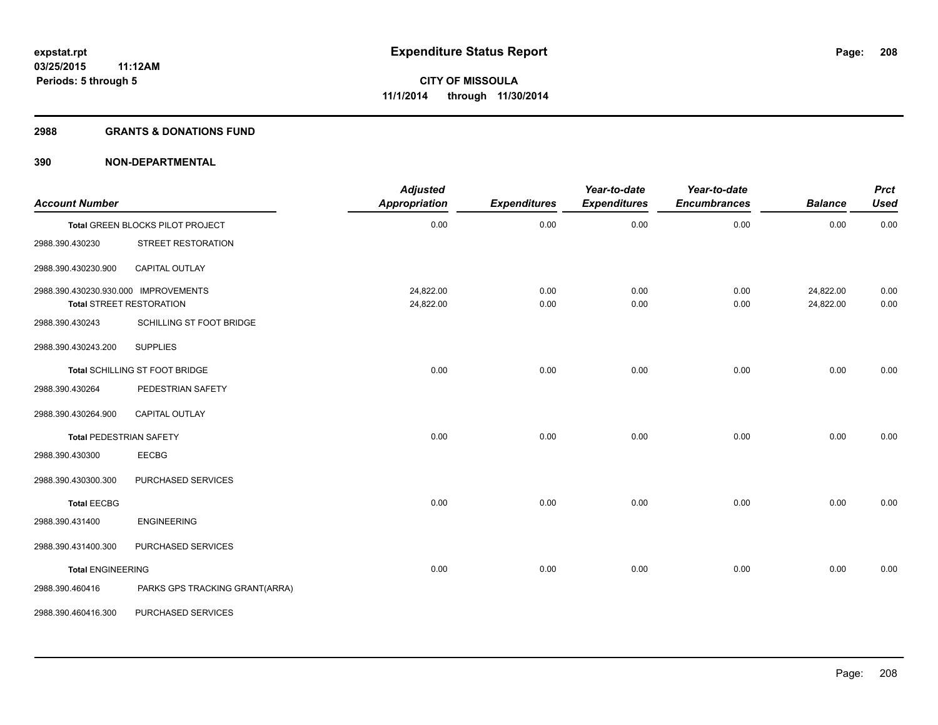#### **2988 GRANTS & DONATIONS FUND**

| <b>Account Number</b>                |                                  | <b>Adjusted</b><br><b>Appropriation</b> | <b>Expenditures</b> | Year-to-date<br><b>Expenditures</b> | Year-to-date<br><b>Encumbrances</b> | <b>Balance</b>         | <b>Prct</b><br><b>Used</b> |
|--------------------------------------|----------------------------------|-----------------------------------------|---------------------|-------------------------------------|-------------------------------------|------------------------|----------------------------|
|                                      | Total GREEN BLOCKS PILOT PROJECT | 0.00                                    | 0.00                | 0.00                                | 0.00                                | 0.00                   | 0.00                       |
| 2988.390.430230                      | STREET RESTORATION               |                                         |                     |                                     |                                     |                        |                            |
| 2988.390.430230.900                  | <b>CAPITAL OUTLAY</b>            |                                         |                     |                                     |                                     |                        |                            |
| 2988.390.430230.930.000 IMPROVEMENTS | <b>Total STREET RESTORATION</b>  | 24,822.00<br>24,822.00                  | 0.00<br>0.00        | 0.00<br>0.00                        | 0.00<br>0.00                        | 24,822.00<br>24,822.00 | 0.00<br>0.00               |
| 2988.390.430243                      | SCHILLING ST FOOT BRIDGE         |                                         |                     |                                     |                                     |                        |                            |
| 2988.390.430243.200                  | <b>SUPPLIES</b>                  |                                         |                     |                                     |                                     |                        |                            |
|                                      | Total SCHILLING ST FOOT BRIDGE   | 0.00                                    | 0.00                | 0.00                                | 0.00                                | 0.00                   | 0.00                       |
| 2988.390.430264                      | PEDESTRIAN SAFETY                |                                         |                     |                                     |                                     |                        |                            |
| 2988.390.430264.900                  | CAPITAL OUTLAY                   |                                         |                     |                                     |                                     |                        |                            |
| <b>Total PEDESTRIAN SAFETY</b>       |                                  | 0.00                                    | 0.00                | 0.00                                | 0.00                                | 0.00                   | 0.00                       |
| 2988.390.430300                      | EECBG                            |                                         |                     |                                     |                                     |                        |                            |
| 2988.390.430300.300                  | PURCHASED SERVICES               |                                         |                     |                                     |                                     |                        |                            |
| <b>Total EECBG</b>                   |                                  | 0.00                                    | 0.00                | 0.00                                | 0.00                                | 0.00                   | 0.00                       |
| 2988.390.431400                      | <b>ENGINEERING</b>               |                                         |                     |                                     |                                     |                        |                            |
| 2988.390.431400.300                  | PURCHASED SERVICES               |                                         |                     |                                     |                                     |                        |                            |
| <b>Total ENGINEERING</b>             |                                  | 0.00                                    | 0.00                | 0.00                                | 0.00                                | 0.00                   | 0.00                       |
| 2988.390.460416                      | PARKS GPS TRACKING GRANT(ARRA)   |                                         |                     |                                     |                                     |                        |                            |
| 2988.390.460416.300                  | PURCHASED SERVICES               |                                         |                     |                                     |                                     |                        |                            |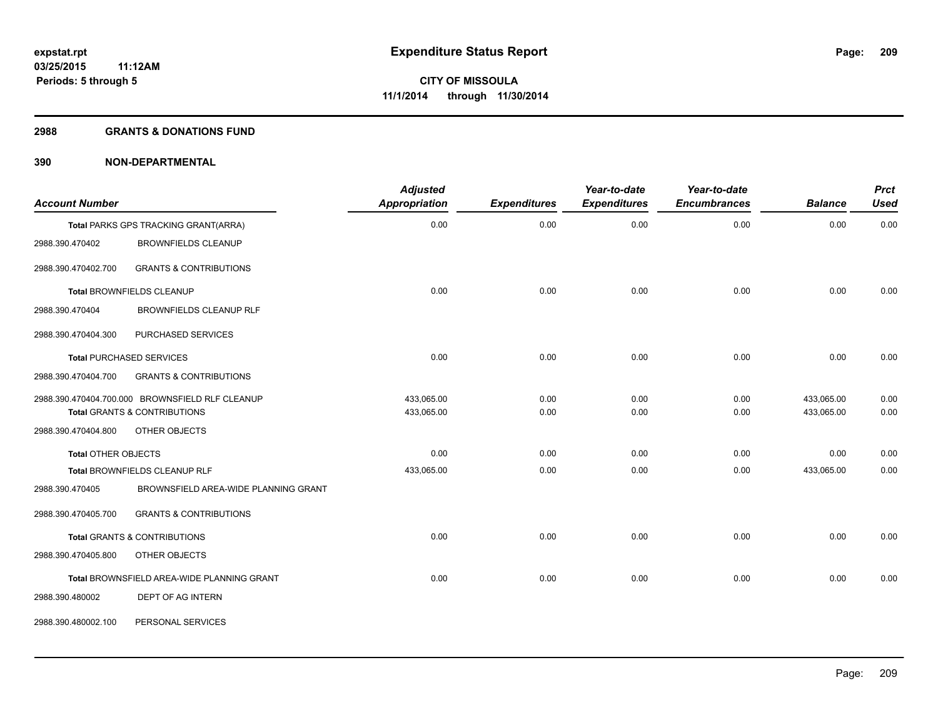#### **2988 GRANTS & DONATIONS FUND**

| <b>Account Number</b>      |                                                   | <b>Adjusted</b><br>Appropriation | <b>Expenditures</b> | Year-to-date<br><b>Expenditures</b> | Year-to-date<br><b>Encumbrances</b> | <b>Balance</b> | <b>Prct</b><br><b>Used</b> |
|----------------------------|---------------------------------------------------|----------------------------------|---------------------|-------------------------------------|-------------------------------------|----------------|----------------------------|
|                            | Total PARKS GPS TRACKING GRANT(ARRA)              | 0.00                             | 0.00                | 0.00                                | 0.00                                | 0.00           | 0.00                       |
| 2988.390.470402            | <b>BROWNFIELDS CLEANUP</b>                        |                                  |                     |                                     |                                     |                |                            |
| 2988.390.470402.700        | <b>GRANTS &amp; CONTRIBUTIONS</b>                 |                                  |                     |                                     |                                     |                |                            |
|                            | <b>Total BROWNFIELDS CLEANUP</b>                  | 0.00                             | 0.00                | 0.00                                | 0.00                                | 0.00           | 0.00                       |
| 2988.390.470404            | BROWNFIELDS CLEANUP RLF                           |                                  |                     |                                     |                                     |                |                            |
| 2988.390.470404.300        | PURCHASED SERVICES                                |                                  |                     |                                     |                                     |                |                            |
|                            | <b>Total PURCHASED SERVICES</b>                   | 0.00                             | 0.00                | 0.00                                | 0.00                                | 0.00           | 0.00                       |
| 2988.390.470404.700        | <b>GRANTS &amp; CONTRIBUTIONS</b>                 |                                  |                     |                                     |                                     |                |                            |
|                            | 2988.390.470404.700.000 BROWNSFIELD RLF CLEANUP   | 433,065.00                       | 0.00                | 0.00                                | 0.00                                | 433,065.00     | 0.00                       |
|                            | <b>Total GRANTS &amp; CONTRIBUTIONS</b>           | 433,065.00                       | 0.00                | 0.00                                | 0.00                                | 433,065.00     | 0.00                       |
| 2988.390.470404.800        | OTHER OBJECTS                                     |                                  |                     |                                     |                                     |                |                            |
| <b>Total OTHER OBJECTS</b> |                                                   | 0.00                             | 0.00                | 0.00                                | 0.00                                | 0.00           | 0.00                       |
|                            | Total BROWNFIELDS CLEANUP RLF                     | 433,065.00                       | 0.00                | 0.00                                | 0.00                                | 433,065.00     | 0.00                       |
| 2988.390.470405            | BROWNSFIELD AREA-WIDE PLANNING GRANT              |                                  |                     |                                     |                                     |                |                            |
| 2988.390.470405.700        | <b>GRANTS &amp; CONTRIBUTIONS</b>                 |                                  |                     |                                     |                                     |                |                            |
|                            | Total GRANTS & CONTRIBUTIONS                      | 0.00                             | 0.00                | 0.00                                | 0.00                                | 0.00           | 0.00                       |
| 2988.390.470405.800        | OTHER OBJECTS                                     |                                  |                     |                                     |                                     |                |                            |
|                            | <b>Total BROWNSFIELD AREA-WIDE PLANNING GRANT</b> | 0.00                             | 0.00                | 0.00                                | 0.00                                | 0.00           | 0.00                       |
| 2988.390.480002            | DEPT OF AG INTERN                                 |                                  |                     |                                     |                                     |                |                            |
| 2988.390.480002.100        | PERSONAL SERVICES                                 |                                  |                     |                                     |                                     |                |                            |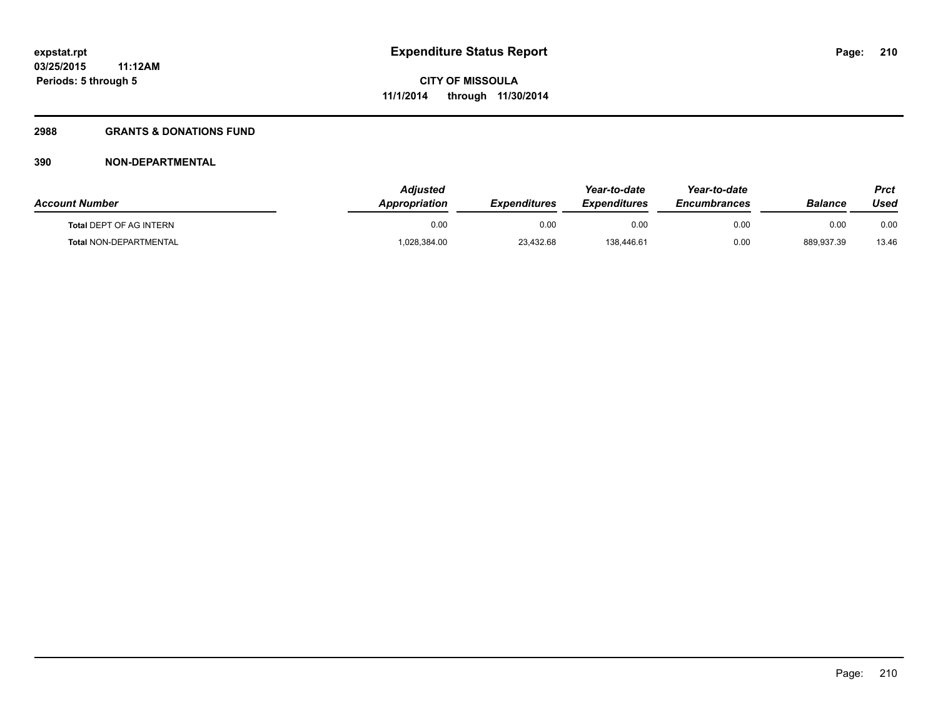## **2988 GRANTS & DONATIONS FUND**

| <b>Account Number</b>          | <b>Adjusted</b><br>Appropriation | <b>Expenditures</b> | Year-to-date<br><b>Expenditures</b> | Year-to-date<br><b>Encumbrances</b> | Balance    | Prct<br>Used |
|--------------------------------|----------------------------------|---------------------|-------------------------------------|-------------------------------------|------------|--------------|
| <b>Total DEPT OF AG INTERN</b> | 0.00                             | 0.00                | 0.00                                | 0.00                                | 0.00       | 0.00         |
| Total NON-DEPARTMENTAL         | 1,028,384.00                     | 23,432.68           | 138,446.61                          | 0.00                                | 889,937.39 | 13.46        |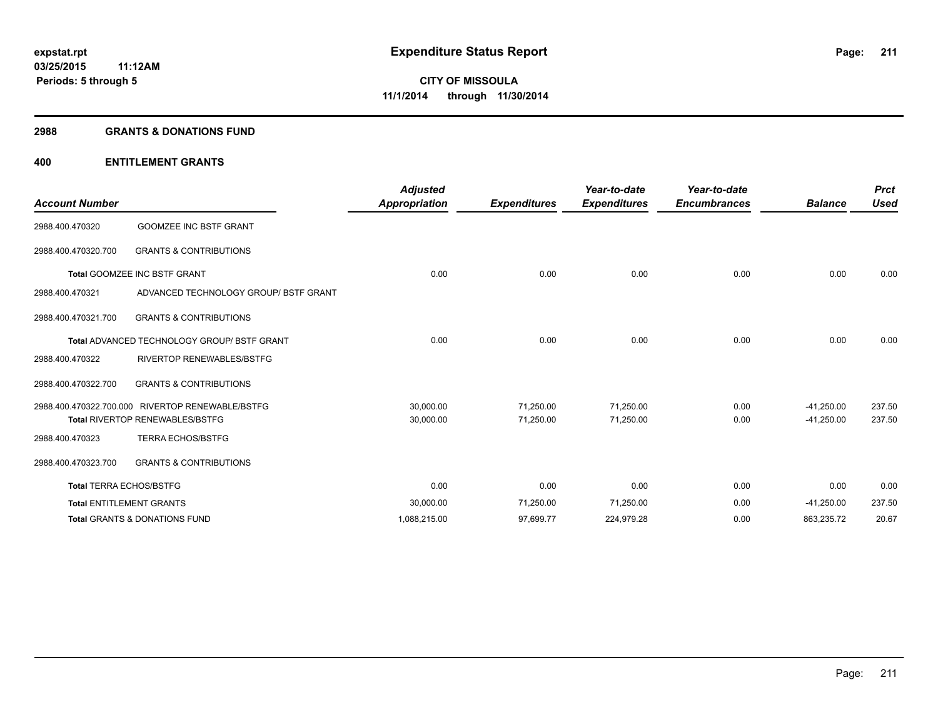#### **2988 GRANTS & DONATIONS FUND**

## **400 ENTITLEMENT GRANTS**

| <b>Account Number</b>          |                                                    | <b>Adjusted</b><br><b>Appropriation</b> | <b>Expenditures</b> | Year-to-date<br><b>Expenditures</b> | Year-to-date<br><b>Encumbrances</b> | <b>Balance</b> | <b>Prct</b><br><b>Used</b> |
|--------------------------------|----------------------------------------------------|-----------------------------------------|---------------------|-------------------------------------|-------------------------------------|----------------|----------------------------|
| 2988.400.470320                | <b>GOOMZEE INC BSTF GRANT</b>                      |                                         |                     |                                     |                                     |                |                            |
| 2988.400.470320.700            | <b>GRANTS &amp; CONTRIBUTIONS</b>                  |                                         |                     |                                     |                                     |                |                            |
|                                | <b>Total GOOMZEE INC BSTF GRANT</b>                | 0.00                                    | 0.00                | 0.00                                | 0.00                                | 0.00           | 0.00                       |
| 2988.400.470321                | ADVANCED TECHNOLOGY GROUP/ BSTF GRANT              |                                         |                     |                                     |                                     |                |                            |
| 2988.400.470321.700            | <b>GRANTS &amp; CONTRIBUTIONS</b>                  |                                         |                     |                                     |                                     |                |                            |
|                                | <b>Total ADVANCED TECHNOLOGY GROUP/ BSTF GRANT</b> | 0.00                                    | 0.00                | 0.00                                | 0.00                                | 0.00           | 0.00                       |
| 2988.400.470322                | <b>RIVERTOP RENEWABLES/BSTFG</b>                   |                                         |                     |                                     |                                     |                |                            |
| 2988.400.470322.700            | <b>GRANTS &amp; CONTRIBUTIONS</b>                  |                                         |                     |                                     |                                     |                |                            |
|                                | 2988.400.470322.700.000 RIVERTOP RENEWABLE/BSTFG   | 30,000.00                               | 71,250.00           | 71,250.00                           | 0.00                                | $-41,250.00$   | 237.50                     |
|                                | <b>Total RIVERTOP RENEWABLES/BSTFG</b>             | 30,000.00                               | 71,250.00           | 71,250.00                           | 0.00                                | $-41,250.00$   | 237.50                     |
| 2988.400.470323                | <b>TERRA ECHOS/BSTFG</b>                           |                                         |                     |                                     |                                     |                |                            |
| 2988.400.470323.700            | <b>GRANTS &amp; CONTRIBUTIONS</b>                  |                                         |                     |                                     |                                     |                |                            |
| <b>Total TERRA ECHOS/BSTFG</b> |                                                    | 0.00                                    | 0.00                | 0.00                                | 0.00                                | 0.00           | 0.00                       |
|                                | <b>Total ENTITLEMENT GRANTS</b>                    | 30,000.00                               | 71,250.00           | 71,250.00                           | 0.00                                | $-41,250.00$   | 237.50                     |
|                                | <b>Total GRANTS &amp; DONATIONS FUND</b>           | 1,088,215.00                            | 97,699.77           | 224,979.28                          | 0.00                                | 863,235.72     | 20.67                      |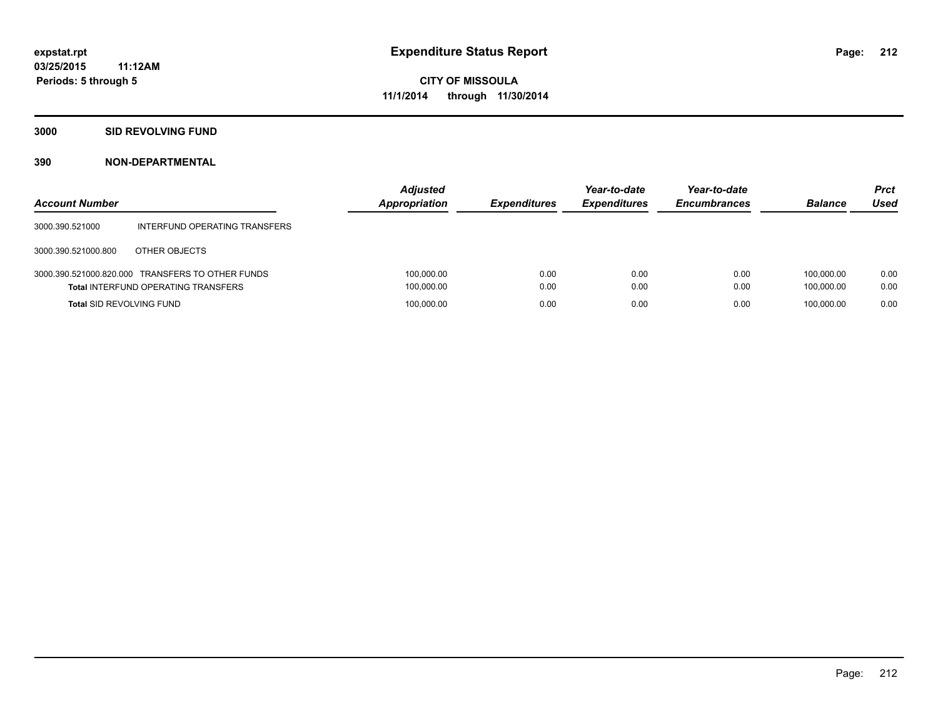## **3000 SID REVOLVING FUND**

| <b>Account Number</b>           |                                                                                                | <b>Adjusted</b><br><b>Appropriation</b> | <b>Expenditures</b> | Year-to-date<br><b>Expenditures</b> | Year-to-date<br><b>Encumbrances</b> | <b>Balance</b>           | <b>Prct</b><br>Used |
|---------------------------------|------------------------------------------------------------------------------------------------|-----------------------------------------|---------------------|-------------------------------------|-------------------------------------|--------------------------|---------------------|
| 3000.390.521000                 | INTERFUND OPERATING TRANSFERS                                                                  |                                         |                     |                                     |                                     |                          |                     |
| 3000.390.521000.800             | OTHER OBJECTS                                                                                  |                                         |                     |                                     |                                     |                          |                     |
|                                 | 3000.390.521000.820.000 TRANSFERS TO OTHER FUNDS<br><b>Total INTERFUND OPERATING TRANSFERS</b> | 100,000.00<br>100,000.00                | 0.00<br>0.00        | 0.00<br>0.00                        | 0.00<br>0.00                        | 100.000.00<br>100.000.00 | 0.00<br>0.00        |
| <b>Total SID REVOLVING FUND</b> |                                                                                                | 100,000.00                              | 0.00                | 0.00                                | 0.00                                | 100.000.00               | 0.00                |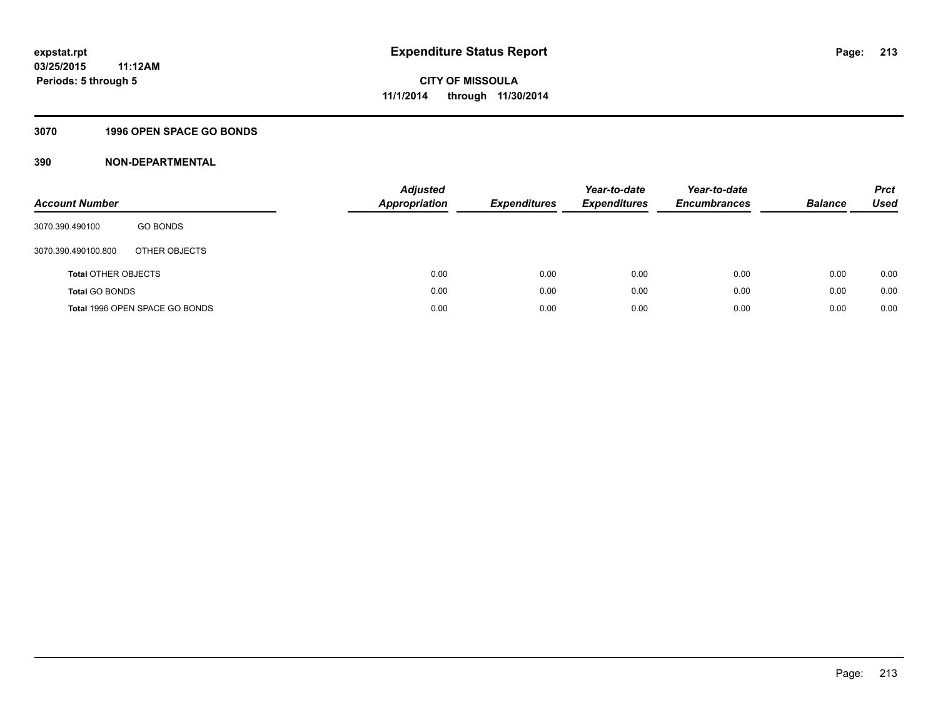## **3070 1996 OPEN SPACE GO BONDS**

| <b>Account Number</b>      |                                | Adjusted<br><b>Appropriation</b> | <b>Expenditures</b> | Year-to-date<br><b>Expenditures</b> | Year-to-date<br><b>Encumbrances</b> | <b>Balance</b> | <b>Prct</b><br>Used |
|----------------------------|--------------------------------|----------------------------------|---------------------|-------------------------------------|-------------------------------------|----------------|---------------------|
| 3070.390.490100            | <b>GO BONDS</b>                |                                  |                     |                                     |                                     |                |                     |
| 3070.390.490100.800        | OTHER OBJECTS                  |                                  |                     |                                     |                                     |                |                     |
| <b>Total OTHER OBJECTS</b> |                                | 0.00                             | 0.00                | 0.00                                | 0.00                                | 0.00           | 0.00                |
| <b>Total GO BONDS</b>      |                                | 0.00                             | 0.00                | 0.00                                | 0.00                                | 0.00           | 0.00                |
|                            | Total 1996 OPEN SPACE GO BONDS | 0.00                             | 0.00                | 0.00                                | 0.00                                | 0.00           | 0.00                |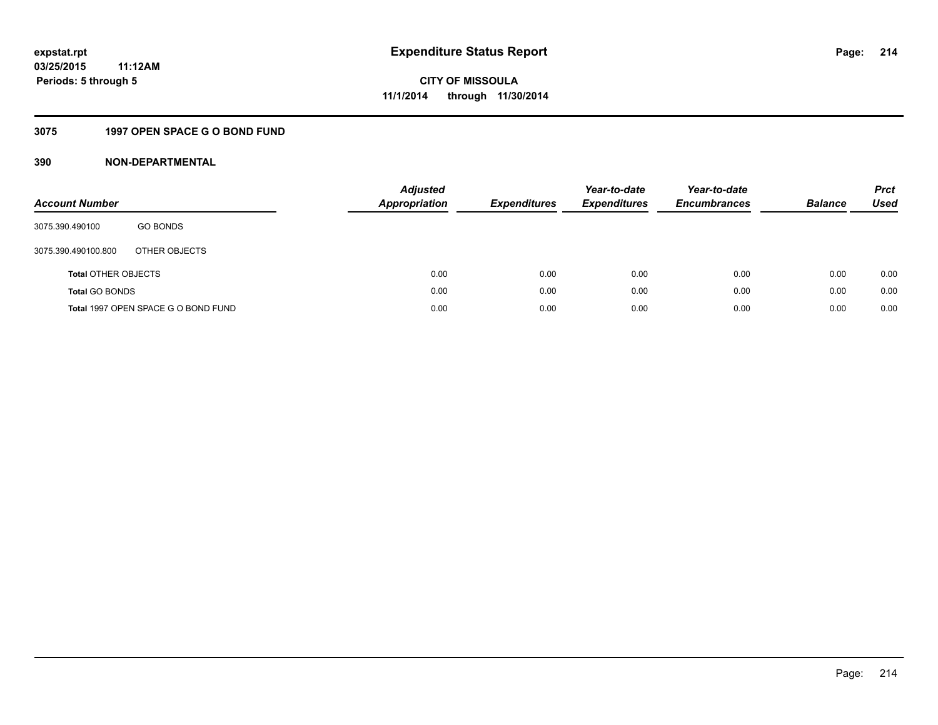# **3075 1997 OPEN SPACE G O BOND FUND**

| <b>Account Number</b>      |                                     | <b>Adjusted</b><br>Appropriation | <b>Expenditures</b> | Year-to-date<br><b>Expenditures</b> | Year-to-date<br><b>Encumbrances</b> | <b>Balance</b> | <b>Prct</b><br>Used |
|----------------------------|-------------------------------------|----------------------------------|---------------------|-------------------------------------|-------------------------------------|----------------|---------------------|
| 3075.390.490100            | <b>GO BONDS</b>                     |                                  |                     |                                     |                                     |                |                     |
| 3075.390.490100.800        | OTHER OBJECTS                       |                                  |                     |                                     |                                     |                |                     |
| <b>Total OTHER OBJECTS</b> |                                     | 0.00                             | 0.00                | 0.00                                | 0.00                                | 0.00           | 0.00                |
| <b>Total GO BONDS</b>      |                                     | 0.00                             | 0.00                | 0.00                                | 0.00                                | 0.00           | 0.00                |
|                            | Total 1997 OPEN SPACE G O BOND FUND | 0.00                             | 0.00                | 0.00                                | 0.00                                | 0.00           | 0.00                |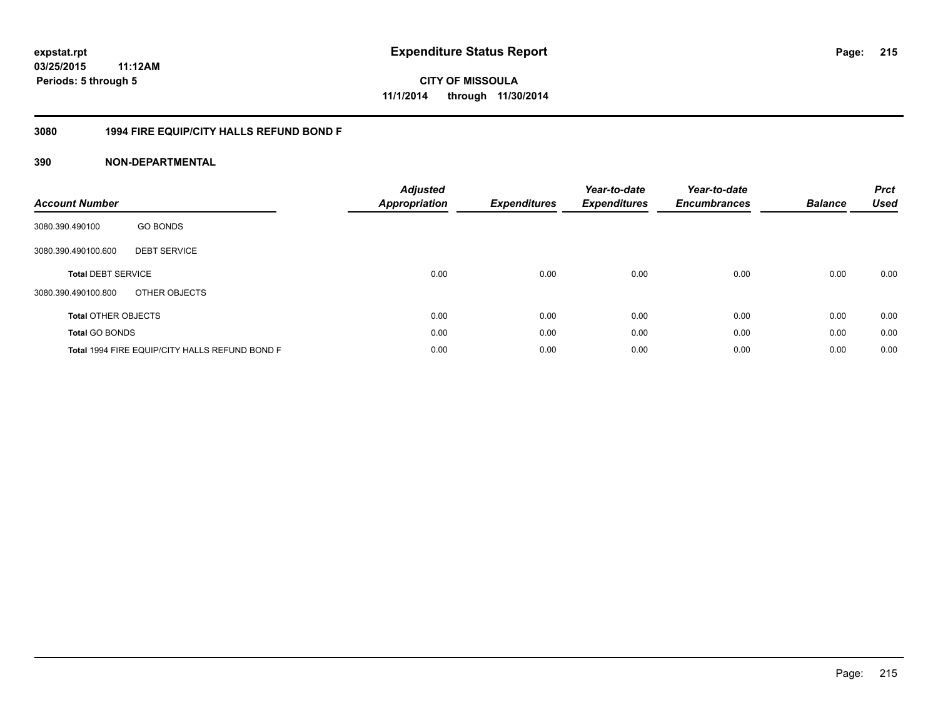**CITY OF MISSOULA 11/1/2014 through 11/30/2014**

## **3080 1994 FIRE EQUIP/CITY HALLS REFUND BOND F**

| <b>Account Number</b>      |                                                | <b>Adjusted</b><br><b>Appropriation</b> | <b>Expenditures</b> | Year-to-date<br><b>Expenditures</b> | Year-to-date<br><b>Encumbrances</b> | <b>Balance</b> | <b>Prct</b><br><b>Used</b> |
|----------------------------|------------------------------------------------|-----------------------------------------|---------------------|-------------------------------------|-------------------------------------|----------------|----------------------------|
| 3080.390.490100            | <b>GO BONDS</b>                                |                                         |                     |                                     |                                     |                |                            |
| 3080.390.490100.600        | <b>DEBT SERVICE</b>                            |                                         |                     |                                     |                                     |                |                            |
| <b>Total DEBT SERVICE</b>  |                                                | 0.00                                    | 0.00                | 0.00                                | 0.00                                | 0.00           | 0.00                       |
| 3080.390.490100.800        | OTHER OBJECTS                                  |                                         |                     |                                     |                                     |                |                            |
| <b>Total OTHER OBJECTS</b> |                                                | 0.00                                    | 0.00                | 0.00                                | 0.00                                | 0.00           | 0.00                       |
| <b>Total GO BONDS</b>      |                                                | 0.00                                    | 0.00                | 0.00                                | 0.00                                | 0.00           | 0.00                       |
|                            | Total 1994 FIRE EQUIP/CITY HALLS REFUND BOND F | 0.00                                    | 0.00                | 0.00                                | 0.00                                | 0.00           | 0.00                       |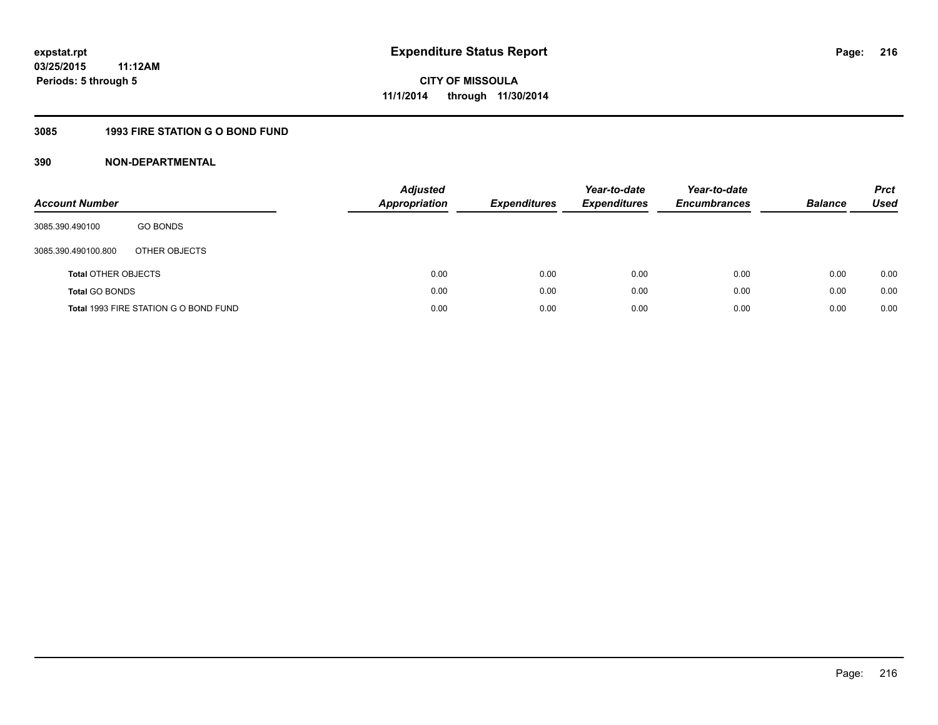## **3085 1993 FIRE STATION G O BOND FUND**

| <b>Account Number</b>      |                                       | <b>Adjusted</b><br><b>Appropriation</b> | <b>Expenditures</b> | Year-to-date<br><b>Expenditures</b> | Year-to-date<br><b>Encumbrances</b> | <b>Balance</b> | <b>Prct</b><br>Used |
|----------------------------|---------------------------------------|-----------------------------------------|---------------------|-------------------------------------|-------------------------------------|----------------|---------------------|
| 3085.390.490100            | <b>GO BONDS</b>                       |                                         |                     |                                     |                                     |                |                     |
| 3085.390.490100.800        | OTHER OBJECTS                         |                                         |                     |                                     |                                     |                |                     |
| <b>Total OTHER OBJECTS</b> |                                       | 0.00                                    | 0.00                | 0.00                                | 0.00                                | 0.00           | 0.00                |
| <b>Total GO BONDS</b>      |                                       | 0.00                                    | 0.00                | 0.00                                | 0.00                                | 0.00           | 0.00                |
|                            | Total 1993 FIRE STATION G O BOND FUND | 0.00                                    | 0.00                | 0.00                                | 0.00                                | 0.00           | 0.00                |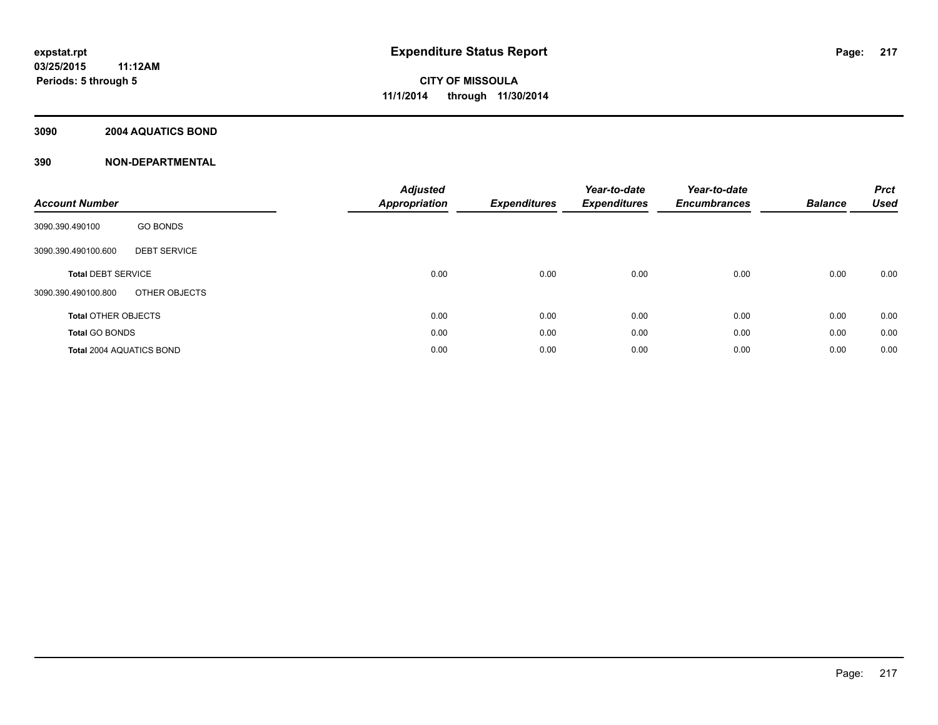#### **3090 2004 AQUATICS BOND**

| <b>Account Number</b>           |                     | <b>Adjusted</b><br>Appropriation | <b>Expenditures</b> | Year-to-date<br><b>Expenditures</b> | Year-to-date<br><b>Encumbrances</b> | <b>Balance</b> | <b>Prct</b><br><b>Used</b> |
|---------------------------------|---------------------|----------------------------------|---------------------|-------------------------------------|-------------------------------------|----------------|----------------------------|
| 3090.390.490100                 | <b>GO BONDS</b>     |                                  |                     |                                     |                                     |                |                            |
| 3090.390.490100.600             | <b>DEBT SERVICE</b> |                                  |                     |                                     |                                     |                |                            |
| <b>Total DEBT SERVICE</b>       |                     | 0.00                             | 0.00                | 0.00                                | 0.00                                | 0.00           | 0.00                       |
| 3090.390.490100.800             | OTHER OBJECTS       |                                  |                     |                                     |                                     |                |                            |
| <b>Total OTHER OBJECTS</b>      |                     | 0.00                             | 0.00                | 0.00                                | 0.00                                | 0.00           | 0.00                       |
| <b>Total GO BONDS</b>           |                     | 0.00                             | 0.00                | 0.00                                | 0.00                                | 0.00           | 0.00                       |
| <b>Total 2004 AQUATICS BOND</b> |                     | 0.00                             | 0.00                | 0.00                                | 0.00                                | 0.00           | 0.00                       |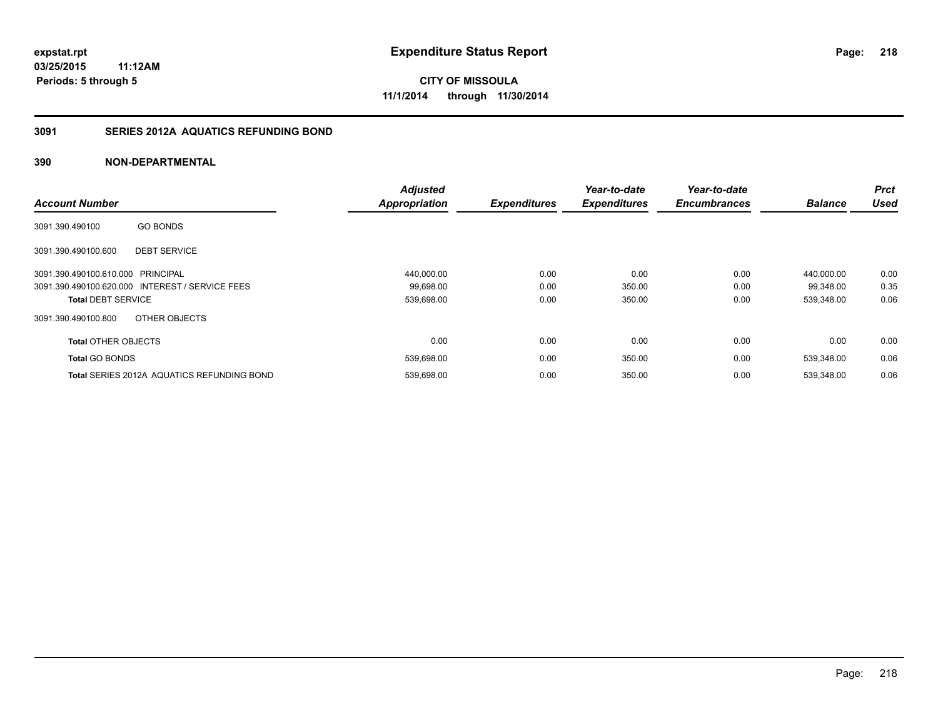#### **3091 SERIES 2012A AQUATICS REFUNDING BOND**

| <b>Account Number</b>             |                                                   | <b>Adjusted</b><br><b>Appropriation</b> | <b>Expenditures</b> | Year-to-date<br><b>Expenditures</b> | Year-to-date<br><b>Encumbrances</b> | <b>Balance</b> | Prct<br><b>Used</b> |
|-----------------------------------|---------------------------------------------------|-----------------------------------------|---------------------|-------------------------------------|-------------------------------------|----------------|---------------------|
|                                   |                                                   |                                         |                     |                                     |                                     |                |                     |
| 3091.390.490100                   | <b>GO BONDS</b>                                   |                                         |                     |                                     |                                     |                |                     |
| 3091.390.490100.600               | <b>DEBT SERVICE</b>                               |                                         |                     |                                     |                                     |                |                     |
| 3091.390.490100.610.000 PRINCIPAL |                                                   | 440,000.00                              | 0.00                | 0.00                                | 0.00                                | 440.000.00     | 0.00                |
|                                   | 3091.390.490100.620.000 INTEREST / SERVICE FEES   | 99,698.00                               | 0.00                | 350.00                              | 0.00                                | 99,348.00      | 0.35                |
| <b>Total DEBT SERVICE</b>         |                                                   | 539,698.00                              | 0.00                | 350.00                              | 0.00                                | 539,348.00     | 0.06                |
| 3091.390.490100.800               | OTHER OBJECTS                                     |                                         |                     |                                     |                                     |                |                     |
| <b>Total OTHER OBJECTS</b>        |                                                   | 0.00                                    | 0.00                | 0.00                                | 0.00                                | 0.00           | 0.00                |
| <b>Total GO BONDS</b>             |                                                   | 539,698.00                              | 0.00                | 350.00                              | 0.00                                | 539.348.00     | 0.06                |
|                                   | <b>Total SERIES 2012A AQUATICS REFUNDING BOND</b> | 539.698.00                              | 0.00                | 350.00                              | 0.00                                | 539.348.00     | 0.06                |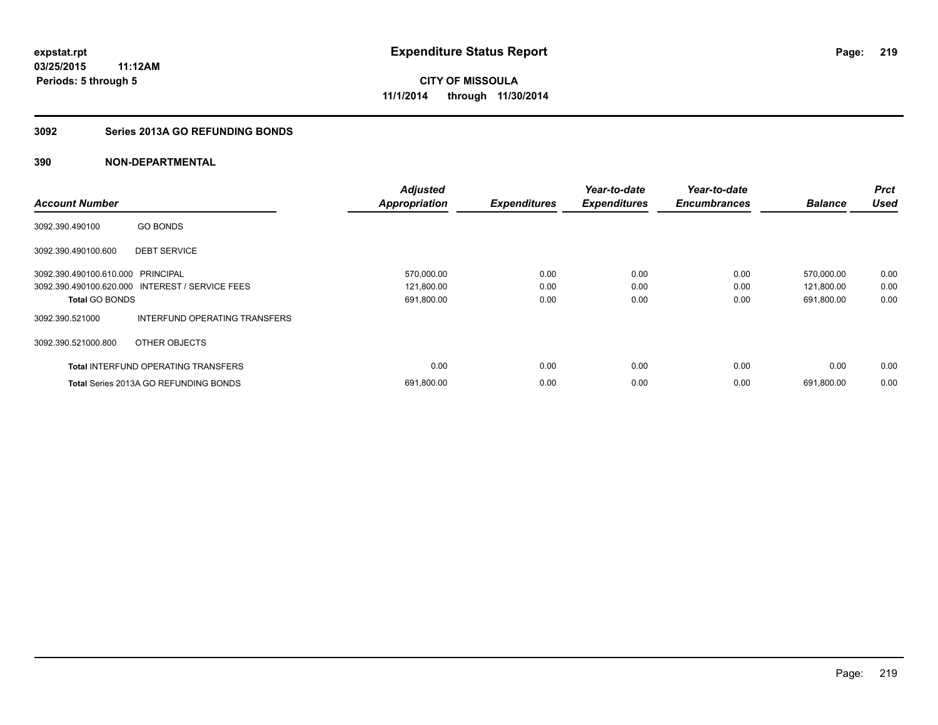#### **3092 Series 2013A GO REFUNDING BONDS**

| <b>Account Number</b>             |                                                 | <b>Adjusted</b><br><b>Appropriation</b> | <b>Expenditures</b> | Year-to-date<br><b>Expenditures</b> | Year-to-date<br><b>Encumbrances</b> | <b>Balance</b> | <b>Prct</b><br><b>Used</b> |
|-----------------------------------|-------------------------------------------------|-----------------------------------------|---------------------|-------------------------------------|-------------------------------------|----------------|----------------------------|
|                                   |                                                 |                                         |                     |                                     |                                     |                |                            |
| 3092.390.490100                   | <b>GO BONDS</b>                                 |                                         |                     |                                     |                                     |                |                            |
| 3092.390.490100.600               | <b>DEBT SERVICE</b>                             |                                         |                     |                                     |                                     |                |                            |
| 3092.390.490100.610.000 PRINCIPAL |                                                 | 570,000.00                              | 0.00                | 0.00                                | 0.00                                | 570,000.00     | 0.00                       |
|                                   | 3092.390.490100.620.000 INTEREST / SERVICE FEES | 121,800.00                              | 0.00                | 0.00                                | 0.00                                | 121,800.00     | 0.00                       |
| <b>Total GO BONDS</b>             |                                                 | 691,800.00                              | 0.00                | 0.00                                | 0.00                                | 691,800.00     | 0.00                       |
| 3092.390.521000                   | INTERFUND OPERATING TRANSFERS                   |                                         |                     |                                     |                                     |                |                            |
| 3092.390.521000.800               | OTHER OBJECTS                                   |                                         |                     |                                     |                                     |                |                            |
|                                   | <b>Total INTERFUND OPERATING TRANSFERS</b>      | 0.00                                    | 0.00                | 0.00                                | 0.00                                | 0.00           | 0.00                       |
|                                   | <b>Total Series 2013A GO REFUNDING BONDS</b>    | 691,800.00                              | 0.00                | 0.00                                | 0.00                                | 691,800.00     | 0.00                       |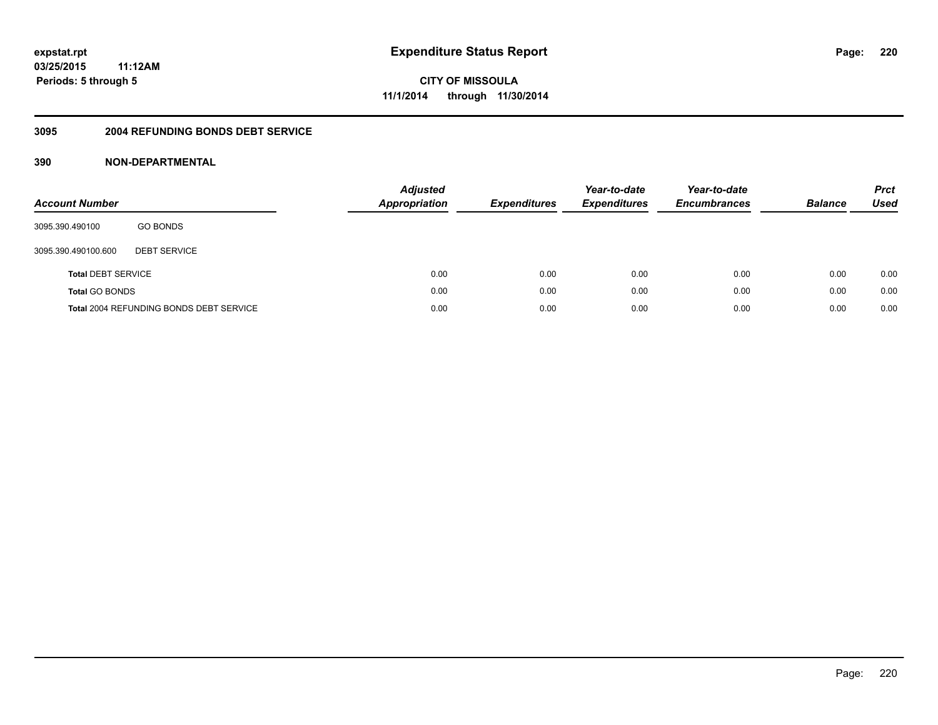#### **3095 2004 REFUNDING BONDS DEBT SERVICE**

| <b>Account Number</b>     |                                                | <b>Adjusted</b><br>Appropriation | <b>Expenditures</b> | Year-to-date<br><b>Expenditures</b> | Year-to-date<br><b>Encumbrances</b> | <b>Balance</b> | <b>Prct</b><br>Used |
|---------------------------|------------------------------------------------|----------------------------------|---------------------|-------------------------------------|-------------------------------------|----------------|---------------------|
| 3095.390.490100           | <b>GO BONDS</b>                                |                                  |                     |                                     |                                     |                |                     |
| 3095.390.490100.600       | <b>DEBT SERVICE</b>                            |                                  |                     |                                     |                                     |                |                     |
| <b>Total DEBT SERVICE</b> |                                                | 0.00                             | 0.00                | 0.00                                | 0.00                                | 0.00           | 0.00                |
| <b>Total GO BONDS</b>     |                                                | 0.00                             | 0.00                | 0.00                                | 0.00                                | 0.00           | 0.00                |
|                           | <b>Total 2004 REFUNDING BONDS DEBT SERVICE</b> | 0.00                             | 0.00                | 0.00                                | 0.00                                | 0.00           | 0.00                |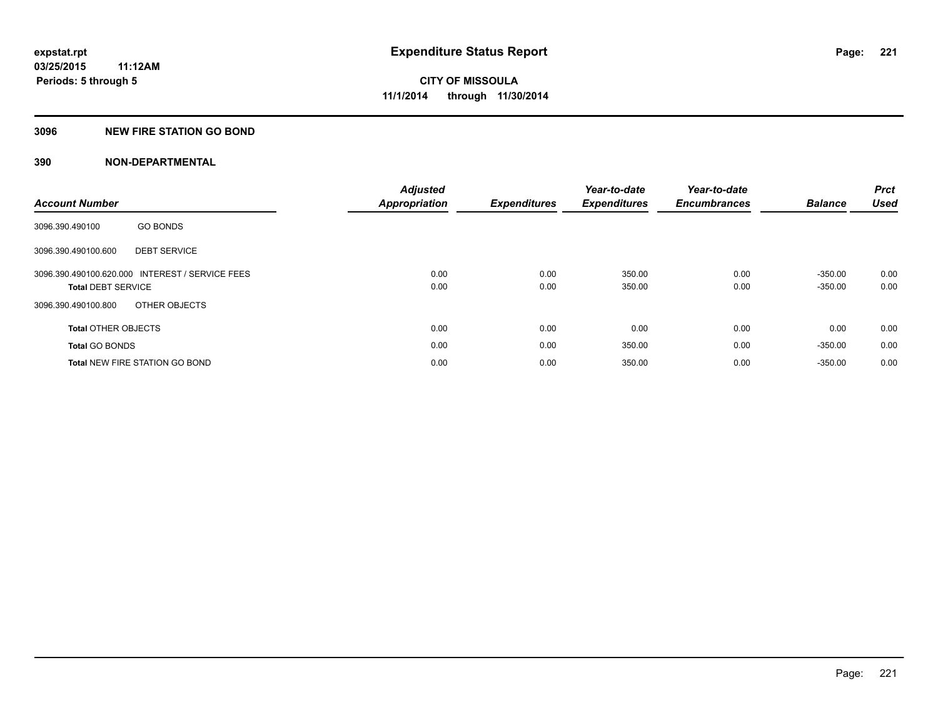#### **3096 NEW FIRE STATION GO BOND**

|                                                 | <b>Adjusted</b>      |                     | Year-to-date        | Year-to-date        |                | <b>Prct</b> |
|-------------------------------------------------|----------------------|---------------------|---------------------|---------------------|----------------|-------------|
| <b>Account Number</b>                           | <b>Appropriation</b> | <b>Expenditures</b> | <b>Expenditures</b> | <b>Encumbrances</b> | <b>Balance</b> | <b>Used</b> |
| <b>GO BONDS</b><br>3096.390.490100              |                      |                     |                     |                     |                |             |
| <b>DEBT SERVICE</b><br>3096.390.490100.600      |                      |                     |                     |                     |                |             |
| 3096.390.490100.620.000 INTEREST / SERVICE FEES | 0.00                 | 0.00                | 350.00              | 0.00                | $-350.00$      | 0.00        |
| <b>Total DEBT SERVICE</b>                       | 0.00                 | 0.00                | 350.00              | 0.00                | $-350.00$      | 0.00        |
| OTHER OBJECTS<br>3096.390.490100.800            |                      |                     |                     |                     |                |             |
| <b>Total OTHER OBJECTS</b>                      | 0.00                 | 0.00                | 0.00                | 0.00                | 0.00           | 0.00        |
| <b>Total GO BONDS</b>                           | 0.00                 | 0.00                | 350.00              | 0.00                | $-350.00$      | 0.00        |
| <b>Total NEW FIRE STATION GO BOND</b>           | 0.00                 | 0.00                | 350.00              | 0.00                | $-350.00$      | 0.00        |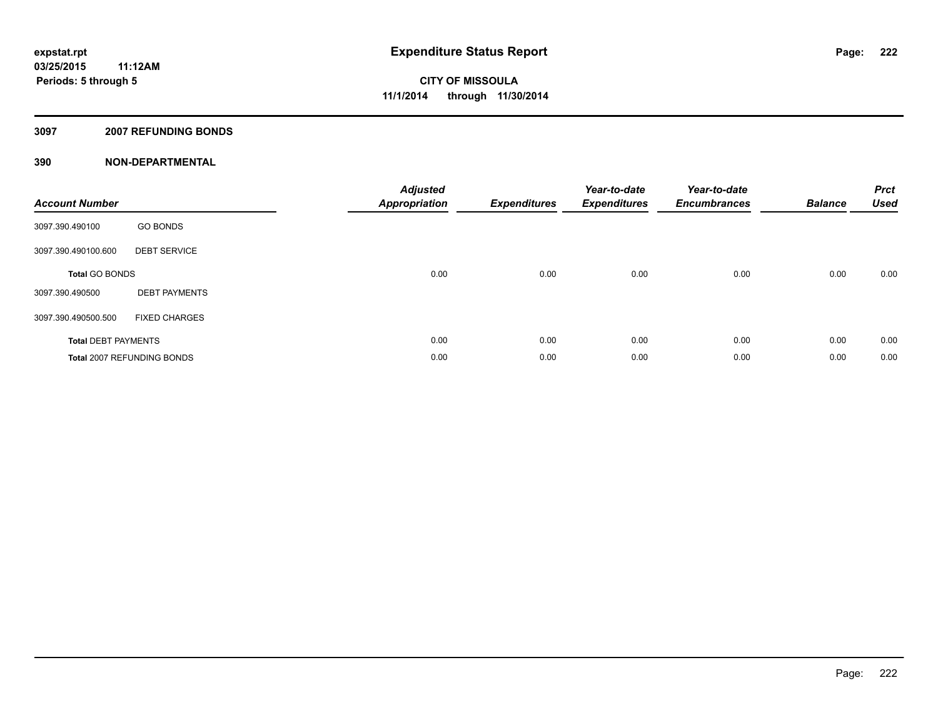#### **3097 2007 REFUNDING BONDS**

| <b>Account Number</b>      |                            | <b>Adjusted</b><br><b>Appropriation</b> | <b>Expenditures</b> | Year-to-date<br><b>Expenditures</b> | Year-to-date<br><b>Encumbrances</b> | <b>Balance</b> | <b>Prct</b><br><b>Used</b> |
|----------------------------|----------------------------|-----------------------------------------|---------------------|-------------------------------------|-------------------------------------|----------------|----------------------------|
| 3097.390.490100            | <b>GO BONDS</b>            |                                         |                     |                                     |                                     |                |                            |
| 3097.390.490100.600        | <b>DEBT SERVICE</b>        |                                         |                     |                                     |                                     |                |                            |
| <b>Total GO BONDS</b>      |                            | 0.00                                    | 0.00                | 0.00                                | 0.00                                | 0.00           | 0.00                       |
| 3097.390.490500            | <b>DEBT PAYMENTS</b>       |                                         |                     |                                     |                                     |                |                            |
| 3097.390.490500.500        | <b>FIXED CHARGES</b>       |                                         |                     |                                     |                                     |                |                            |
| <b>Total DEBT PAYMENTS</b> |                            | 0.00                                    | 0.00                | 0.00                                | 0.00                                | 0.00           | 0.00                       |
|                            | Total 2007 REFUNDING BONDS | 0.00                                    | 0.00                | 0.00                                | 0.00                                | 0.00           | 0.00                       |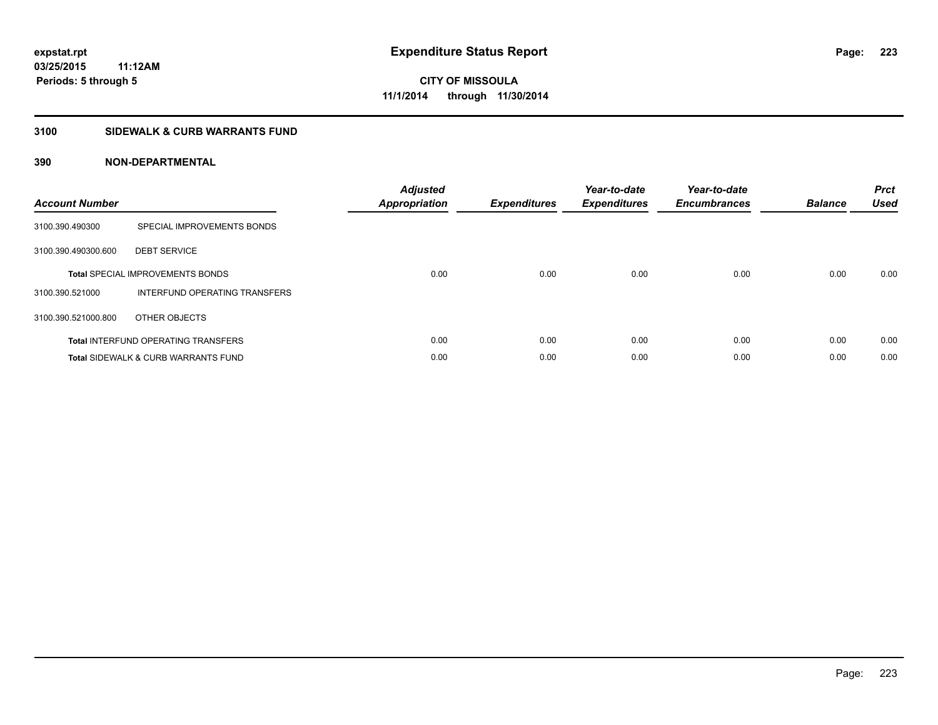#### **3100 SIDEWALK & CURB WARRANTS FUND**

| <b>Account Number</b> |                                                | <b>Adjusted</b><br>Appropriation | <b>Expenditures</b> | Year-to-date<br><b>Expenditures</b> | Year-to-date<br><b>Encumbrances</b> | <b>Balance</b> | <b>Prct</b><br><b>Used</b> |
|-----------------------|------------------------------------------------|----------------------------------|---------------------|-------------------------------------|-------------------------------------|----------------|----------------------------|
| 3100.390.490300       | SPECIAL IMPROVEMENTS BONDS                     |                                  |                     |                                     |                                     |                |                            |
| 3100.390.490300.600   | <b>DEBT SERVICE</b>                            |                                  |                     |                                     |                                     |                |                            |
|                       | <b>Total SPECIAL IMPROVEMENTS BONDS</b>        | 0.00                             | 0.00                | 0.00                                | 0.00                                | 0.00           | 0.00                       |
| 3100.390.521000       | INTERFUND OPERATING TRANSFERS                  |                                  |                     |                                     |                                     |                |                            |
| 3100.390.521000.800   | OTHER OBJECTS                                  |                                  |                     |                                     |                                     |                |                            |
|                       | <b>Total INTERFUND OPERATING TRANSFERS</b>     | 0.00                             | 0.00                | 0.00                                | 0.00                                | 0.00           | 0.00                       |
|                       | <b>Total SIDEWALK &amp; CURB WARRANTS FUND</b> | 0.00                             | 0.00                | 0.00                                | 0.00                                | 0.00           | 0.00                       |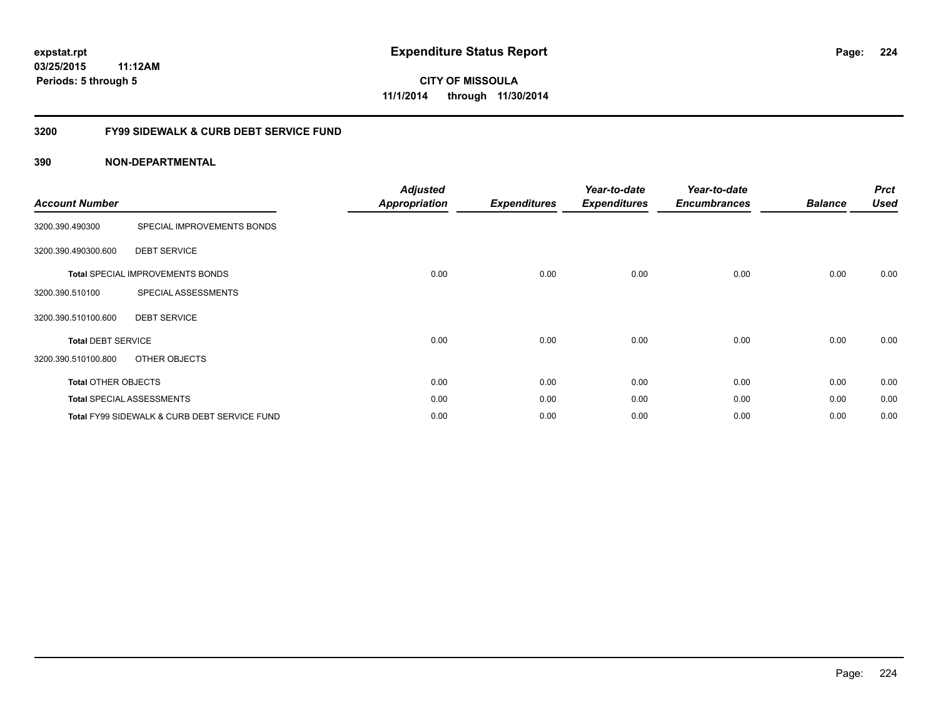### **03/25/2015 11:12AM Periods: 5 through 5**

**CITY OF MISSOULA 11/1/2014 through 11/30/2014**

#### **3200 FY99 SIDEWALK & CURB DEBT SERVICE FUND**

| <b>Account Number</b>      |                                              | <b>Adjusted</b><br><b>Appropriation</b> | <b>Expenditures</b> | Year-to-date<br><b>Expenditures</b> | Year-to-date<br><b>Encumbrances</b> | <b>Balance</b> | <b>Prct</b><br><b>Used</b> |
|----------------------------|----------------------------------------------|-----------------------------------------|---------------------|-------------------------------------|-------------------------------------|----------------|----------------------------|
| 3200.390.490300            | SPECIAL IMPROVEMENTS BONDS                   |                                         |                     |                                     |                                     |                |                            |
| 3200.390.490300.600        | <b>DEBT SERVICE</b>                          |                                         |                     |                                     |                                     |                |                            |
|                            | <b>Total SPECIAL IMPROVEMENTS BONDS</b>      | 0.00                                    | 0.00                | 0.00                                | 0.00                                | 0.00           | 0.00                       |
| 3200.390.510100            | SPECIAL ASSESSMENTS                          |                                         |                     |                                     |                                     |                |                            |
| 3200.390.510100.600        | <b>DEBT SERVICE</b>                          |                                         |                     |                                     |                                     |                |                            |
| <b>Total DEBT SERVICE</b>  |                                              | 0.00                                    | 0.00                | 0.00                                | 0.00                                | 0.00           | 0.00                       |
| 3200.390.510100.800        | OTHER OBJECTS                                |                                         |                     |                                     |                                     |                |                            |
| <b>Total OTHER OBJECTS</b> |                                              | 0.00                                    | 0.00                | 0.00                                | 0.00                                | 0.00           | 0.00                       |
|                            | <b>Total SPECIAL ASSESSMENTS</b>             | 0.00                                    | 0.00                | 0.00                                | 0.00                                | 0.00           | 0.00                       |
|                            | Total FY99 SIDEWALK & CURB DEBT SERVICE FUND | 0.00                                    | 0.00                | 0.00                                | 0.00                                | 0.00           | 0.00                       |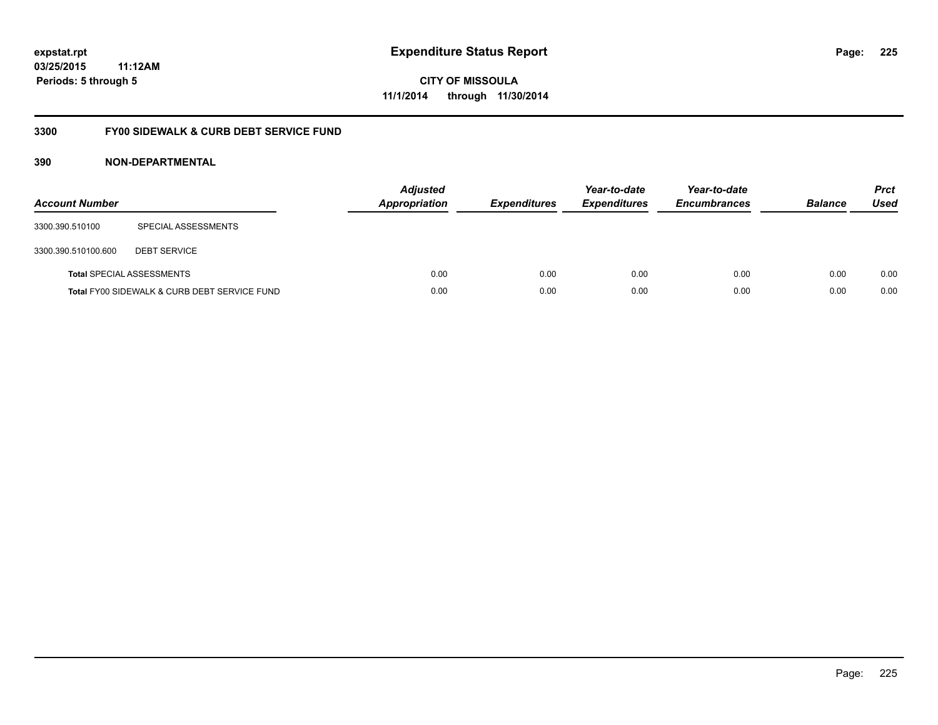### **03/25/2015 11:12AM Periods: 5 through 5**

**CITY OF MISSOULA 11/1/2014 through 11/30/2014**

#### **3300 FY00 SIDEWALK & CURB DEBT SERVICE FUND**

| <b>Account Number</b> |                                              | <b>Adjusted</b><br>Appropriation | <b>Expenditures</b> | Year-to-date<br><b>Expenditures</b> | Year-to-date<br><b>Encumbrances</b> | <b>Balance</b> | <b>Prct</b><br><b>Used</b> |
|-----------------------|----------------------------------------------|----------------------------------|---------------------|-------------------------------------|-------------------------------------|----------------|----------------------------|
| 3300.390.510100       | SPECIAL ASSESSMENTS                          |                                  |                     |                                     |                                     |                |                            |
| 3300.390.510100.600   | <b>DEBT SERVICE</b>                          |                                  |                     |                                     |                                     |                |                            |
|                       | <b>Total SPECIAL ASSESSMENTS</b>             | 0.00                             | 0.00                | 0.00                                | 0.00                                | 0.00           | 0.00                       |
|                       | Total FY00 SIDEWALK & CURB DEBT SERVICE FUND | 0.00                             | 0.00                | 0.00                                | 0.00                                | 0.00           | 0.00                       |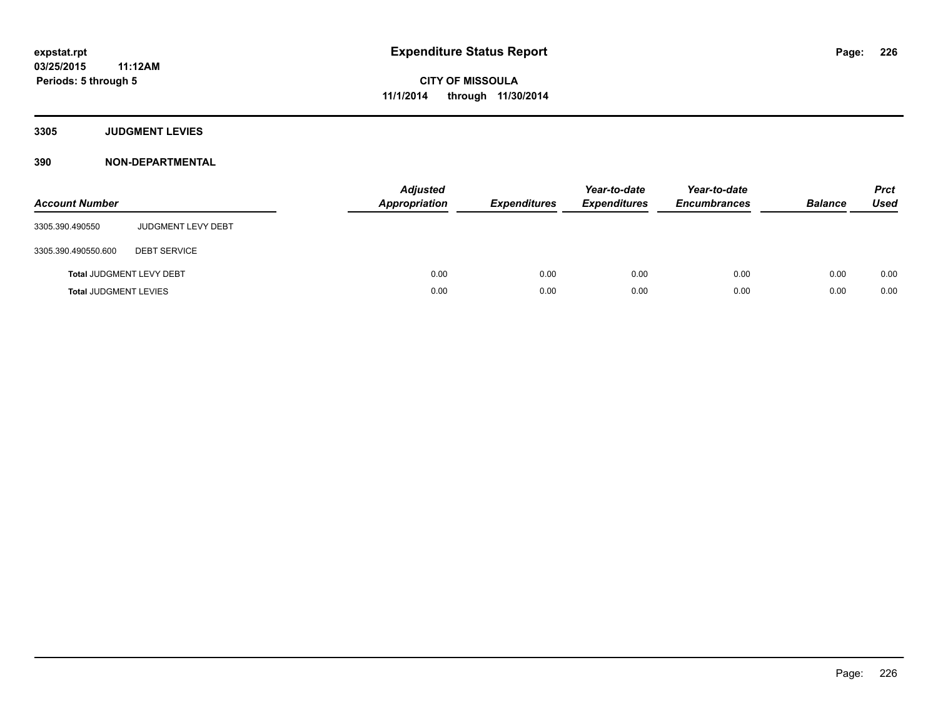**3305 JUDGMENT LEVIES**

| <b>Account Number</b>           |                           | <b>Adjusted</b><br>Appropriation | <b>Expenditures</b> | Year-to-date<br><b>Expenditures</b> | Year-to-date<br><b>Encumbrances</b> | <b>Balance</b> | <b>Prct</b><br><b>Used</b> |
|---------------------------------|---------------------------|----------------------------------|---------------------|-------------------------------------|-------------------------------------|----------------|----------------------------|
| 3305.390.490550                 | <b>JUDGMENT LEVY DEBT</b> |                                  |                     |                                     |                                     |                |                            |
| 3305.390.490550.600             | <b>DEBT SERVICE</b>       |                                  |                     |                                     |                                     |                |                            |
| <b>Total JUDGMENT LEVY DEBT</b> |                           | 0.00                             | 0.00                | 0.00                                | 0.00                                | 0.00           | 0.00                       |
| <b>Total JUDGMENT LEVIES</b>    |                           | 0.00                             | 0.00                | 0.00                                | 0.00                                | 0.00           | 0.00                       |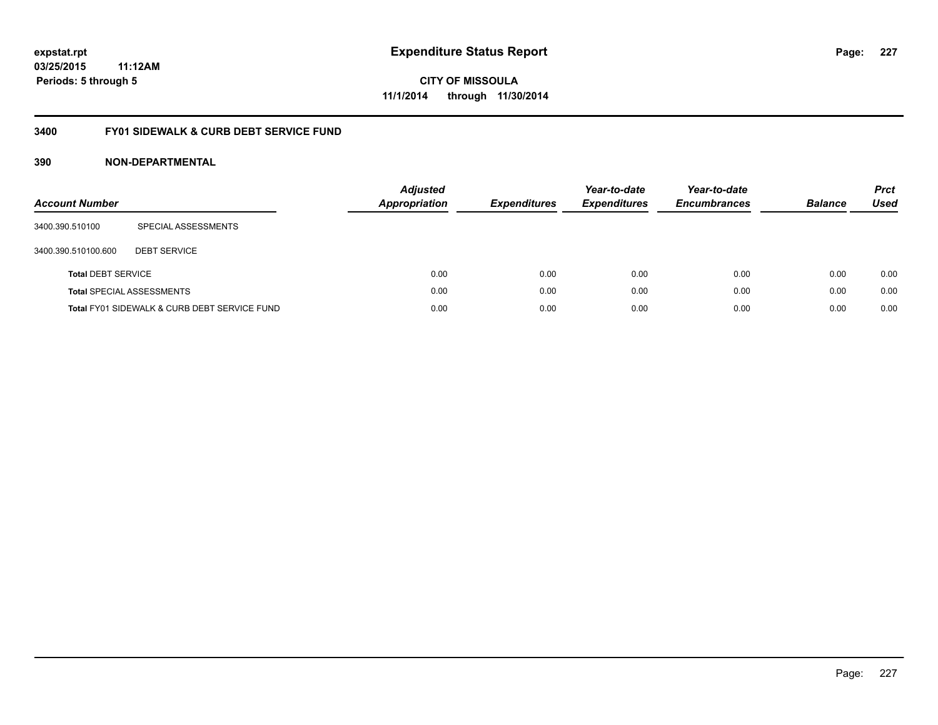### **03/25/2015 11:12AM Periods: 5 through 5**

**CITY OF MISSOULA 11/1/2014 through 11/30/2014**

#### **3400 FY01 SIDEWALK & CURB DEBT SERVICE FUND**

| <b>Account Number</b>     |                                              | <b>Adjusted</b><br>Appropriation | <b>Expenditures</b> | Year-to-date<br><b>Expenditures</b> | Year-to-date<br><b>Encumbrances</b> | <b>Balance</b> | <b>Prct</b><br>Used |
|---------------------------|----------------------------------------------|----------------------------------|---------------------|-------------------------------------|-------------------------------------|----------------|---------------------|
| 3400.390.510100           | SPECIAL ASSESSMENTS                          |                                  |                     |                                     |                                     |                |                     |
| 3400.390.510100.600       | <b>DEBT SERVICE</b>                          |                                  |                     |                                     |                                     |                |                     |
| <b>Total DEBT SERVICE</b> |                                              | 0.00                             | 0.00                | 0.00                                | 0.00                                | 0.00           | 0.00                |
|                           | <b>Total SPECIAL ASSESSMENTS</b>             | 0.00                             | 0.00                | 0.00                                | 0.00                                | 0.00           | 0.00                |
|                           | Total FY01 SIDEWALK & CURB DEBT SERVICE FUND | 0.00                             | 0.00                | 0.00                                | 0.00                                | 0.00           | 0.00                |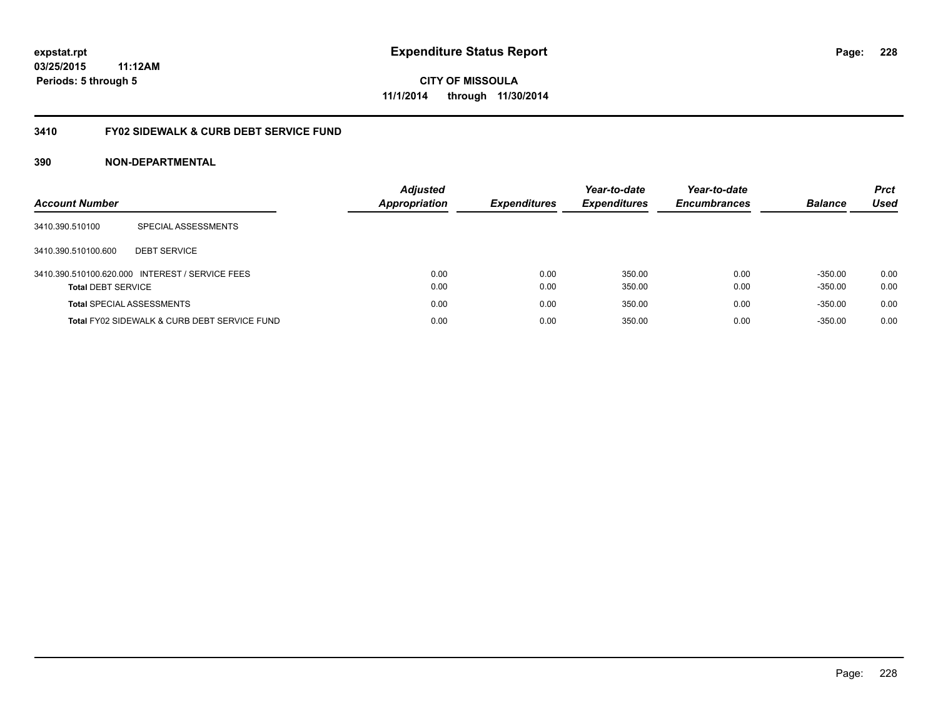### **03/25/2015 11:12AM Periods: 5 through 5**

**CITY OF MISSOULA 11/1/2014 through 11/30/2014**

#### **3410 FY02 SIDEWALK & CURB DEBT SERVICE FUND**

| <b>Account Number</b>            |                                                 | <b>Adjusted</b><br><b>Appropriation</b> | <b>Expenditures</b> | Year-to-date<br><b>Expenditures</b> | Year-to-date<br><b>Encumbrances</b> | <b>Balance</b> | <b>Prct</b><br>Used |
|----------------------------------|-------------------------------------------------|-----------------------------------------|---------------------|-------------------------------------|-------------------------------------|----------------|---------------------|
| 3410.390.510100                  | SPECIAL ASSESSMENTS                             |                                         |                     |                                     |                                     |                |                     |
| 3410.390.510100.600              | <b>DEBT SERVICE</b>                             |                                         |                     |                                     |                                     |                |                     |
|                                  | 3410.390.510100.620.000 INTEREST / SERVICE FEES | 0.00                                    | 0.00                | 350.00                              | 0.00                                | $-350.00$      | 0.00                |
| <b>Total DEBT SERVICE</b>        |                                                 | 0.00                                    | 0.00                | 350.00                              | 0.00                                | $-350.00$      | 0.00                |
| <b>Total SPECIAL ASSESSMENTS</b> |                                                 | 0.00                                    | 0.00                | 350.00                              | 0.00                                | $-350.00$      | 0.00                |
|                                  | Total FY02 SIDEWALK & CURB DEBT SERVICE FUND    | 0.00                                    | 0.00                | 350.00                              | 0.00                                | $-350.00$      | 0.00                |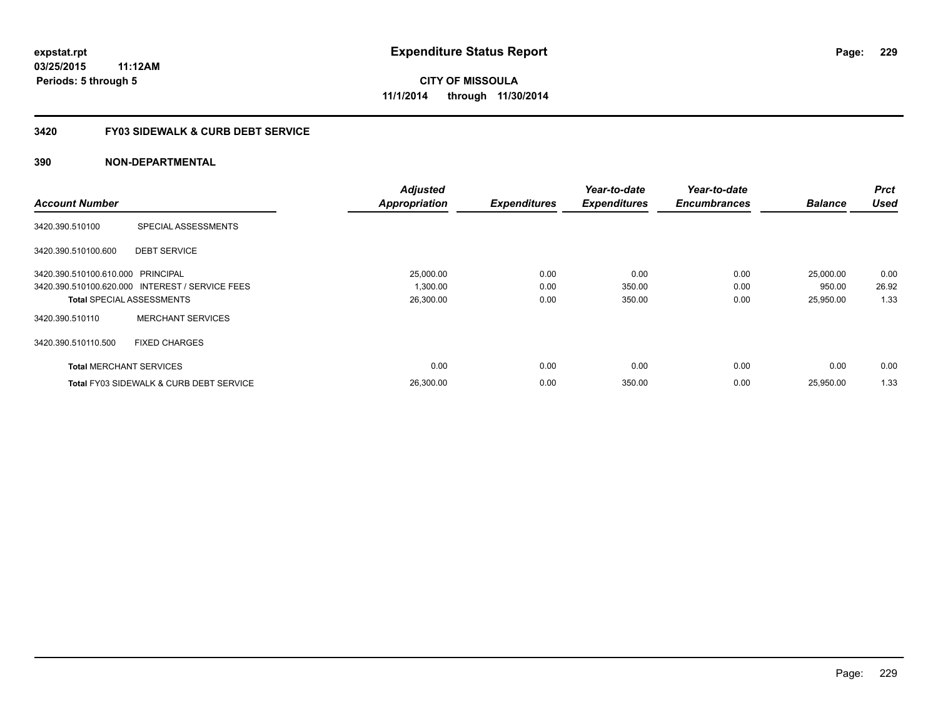#### **3420 FY03 SIDEWALK & CURB DEBT SERVICE**

|                                   |                                                    | <b>Adjusted</b>      |                     | Year-to-date        | Year-to-date        |                | <b>Prct</b> |
|-----------------------------------|----------------------------------------------------|----------------------|---------------------|---------------------|---------------------|----------------|-------------|
| <b>Account Number</b>             |                                                    | <b>Appropriation</b> | <b>Expenditures</b> | <b>Expenditures</b> | <b>Encumbrances</b> | <b>Balance</b> | <b>Used</b> |
| 3420.390.510100                   | SPECIAL ASSESSMENTS                                |                      |                     |                     |                     |                |             |
| 3420.390.510100.600               | <b>DEBT SERVICE</b>                                |                      |                     |                     |                     |                |             |
| 3420.390.510100.610.000 PRINCIPAL |                                                    | 25,000.00            | 0.00                | 0.00                | 0.00                | 25,000.00      | 0.00        |
|                                   | 3420.390.510100.620.000 INTEREST / SERVICE FEES    | 1,300.00             | 0.00                | 350.00              | 0.00                | 950.00         | 26.92       |
|                                   | <b>Total SPECIAL ASSESSMENTS</b>                   | 26,300.00            | 0.00                | 350.00              | 0.00                | 25,950.00      | 1.33        |
| 3420.390.510110                   | <b>MERCHANT SERVICES</b>                           |                      |                     |                     |                     |                |             |
| 3420.390.510110.500               | <b>FIXED CHARGES</b>                               |                      |                     |                     |                     |                |             |
| <b>Total MERCHANT SERVICES</b>    |                                                    | 0.00                 | 0.00                | 0.00                | 0.00                | 0.00           | 0.00        |
|                                   | <b>Total FY03 SIDEWALK &amp; CURB DEBT SERVICE</b> | 26,300.00            | 0.00                | 350.00              | 0.00                | 25.950.00      | 1.33        |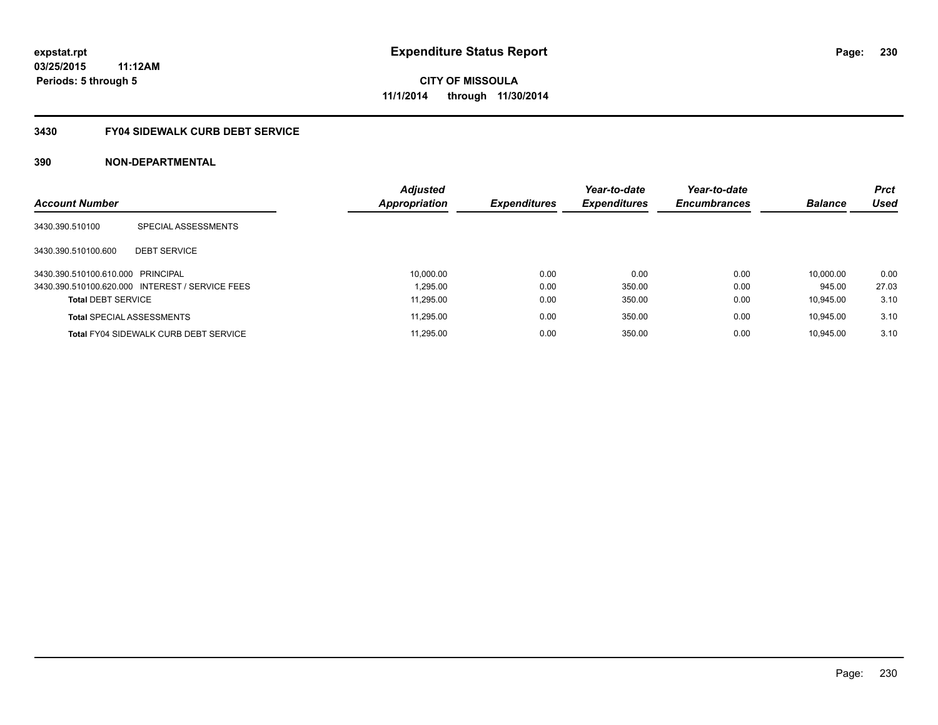#### **3430 FY04 SIDEWALK CURB DEBT SERVICE**

|                                   |                                                 | <b>Adjusted</b>      |                     | Year-to-date        | Year-to-date        |                | <b>Prct</b> |
|-----------------------------------|-------------------------------------------------|----------------------|---------------------|---------------------|---------------------|----------------|-------------|
| <b>Account Number</b>             |                                                 | <b>Appropriation</b> | <b>Expenditures</b> | <b>Expenditures</b> | <b>Encumbrances</b> | <b>Balance</b> | <b>Used</b> |
| 3430.390.510100                   | SPECIAL ASSESSMENTS                             |                      |                     |                     |                     |                |             |
| 3430.390.510100.600               | <b>DEBT SERVICE</b>                             |                      |                     |                     |                     |                |             |
| 3430.390.510100.610.000 PRINCIPAL |                                                 | 10,000.00            | 0.00                | 0.00                | 0.00                | 10.000.00      | 0.00        |
|                                   | 3430.390.510100.620.000 INTEREST / SERVICE FEES | 1.295.00             | 0.00                | 350.00              | 0.00                | 945.00         | 27.03       |
| <b>Total DEBT SERVICE</b>         |                                                 | 11.295.00            | 0.00                | 350.00              | 0.00                | 10.945.00      | 3.10        |
|                                   | <b>Total SPECIAL ASSESSMENTS</b>                | 11,295.00            | 0.00                | 350.00              | 0.00                | 10.945.00      | 3.10        |
|                                   | <b>Total FY04 SIDEWALK CURB DEBT SERVICE</b>    | 11.295.00            | 0.00                | 350.00              | 0.00                | 10.945.00      | 3.10        |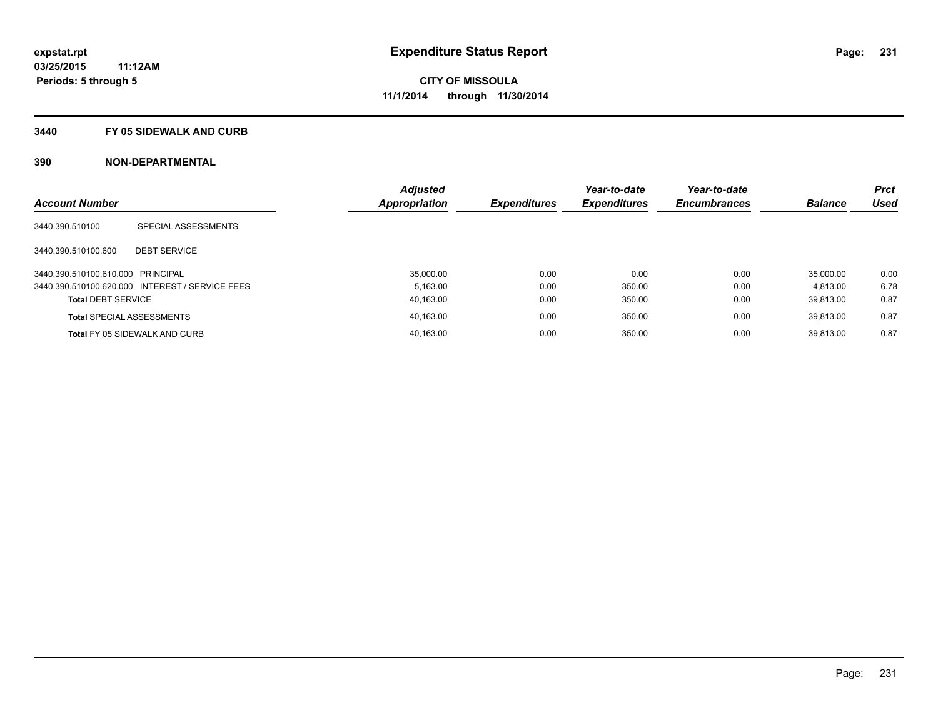#### **3440 FY 05 SIDEWALK AND CURB**

|                                   |                                                 | <b>Adjusted</b> |                     | Year-to-date        | Year-to-date        |                | <b>Prct</b> |
|-----------------------------------|-------------------------------------------------|-----------------|---------------------|---------------------|---------------------|----------------|-------------|
| <b>Account Number</b>             |                                                 | Appropriation   | <b>Expenditures</b> | <b>Expenditures</b> | <b>Encumbrances</b> | <b>Balance</b> | <b>Used</b> |
| 3440.390.510100                   | SPECIAL ASSESSMENTS                             |                 |                     |                     |                     |                |             |
| 3440.390.510100.600               | <b>DEBT SERVICE</b>                             |                 |                     |                     |                     |                |             |
| 3440.390.510100.610.000 PRINCIPAL |                                                 | 35,000.00       | 0.00                | 0.00                | 0.00                | 35.000.00      | 0.00        |
|                                   | 3440.390.510100.620.000 INTEREST / SERVICE FEES | 5.163.00        | 0.00                | 350.00              | 0.00                | 4.813.00       | 6.78        |
| <b>Total DEBT SERVICE</b>         |                                                 | 40,163.00       | 0.00                | 350.00              | 0.00                | 39.813.00      | 0.87        |
|                                   | <b>Total SPECIAL ASSESSMENTS</b>                | 40,163.00       | 0.00                | 350.00              | 0.00                | 39.813.00      | 0.87        |
|                                   | Total FY 05 SIDEWALK AND CURB                   | 40.163.00       | 0.00                | 350.00              | 0.00                | 39.813.00      | 0.87        |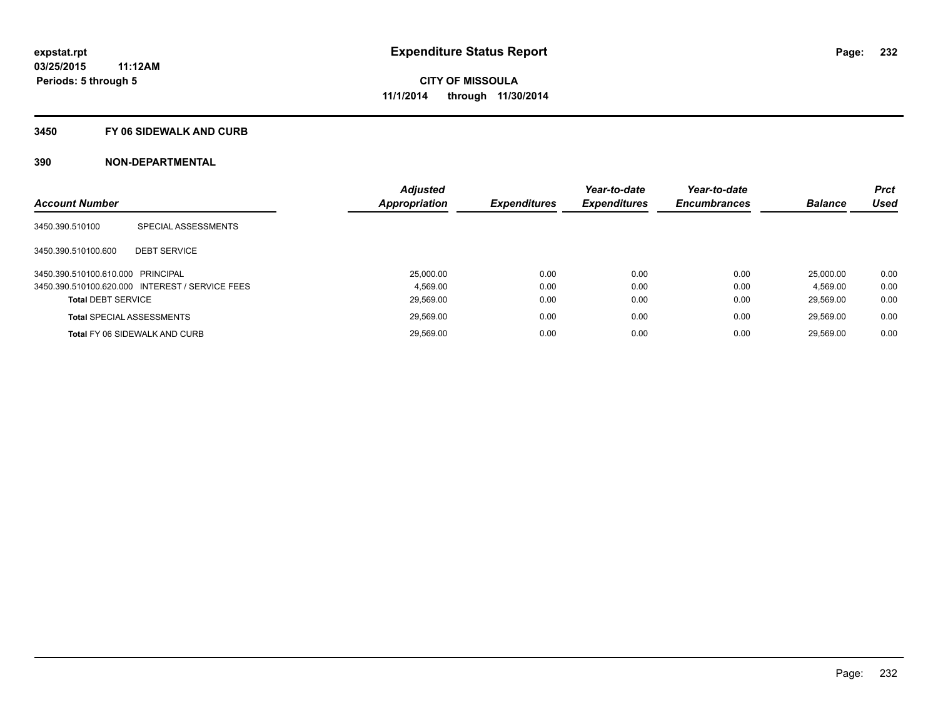#### **3450 FY 06 SIDEWALK AND CURB**

| <b>Account Number</b>             |                                                 | <b>Adjusted</b><br><b>Appropriation</b> | <b>Expenditures</b> | Year-to-date<br><b>Expenditures</b> | Year-to-date<br><b>Encumbrances</b> | <b>Balance</b> | <b>Prct</b><br><b>Used</b> |
|-----------------------------------|-------------------------------------------------|-----------------------------------------|---------------------|-------------------------------------|-------------------------------------|----------------|----------------------------|
| 3450.390.510100                   | SPECIAL ASSESSMENTS                             |                                         |                     |                                     |                                     |                |                            |
| 3450.390.510100.600               | <b>DEBT SERVICE</b>                             |                                         |                     |                                     |                                     |                |                            |
| 3450.390.510100.610.000 PRINCIPAL |                                                 | 25.000.00                               | 0.00                | 0.00                                | 0.00                                | 25.000.00      | 0.00                       |
|                                   | 3450.390.510100.620.000 INTEREST / SERVICE FEES | 4.569.00                                | 0.00                | 0.00                                | 0.00                                | 4.569.00       | 0.00                       |
| <b>Total DEBT SERVICE</b>         |                                                 | 29,569.00                               | 0.00                | 0.00                                | 0.00                                | 29.569.00      | 0.00                       |
|                                   | <b>Total SPECIAL ASSESSMENTS</b>                | 29,569.00                               | 0.00                | 0.00                                | 0.00                                | 29.569.00      | 0.00                       |
|                                   | <b>Total FY 06 SIDEWALK AND CURB</b>            | 29.569.00                               | 0.00                | 0.00                                | 0.00                                | 29.569.00      | 0.00                       |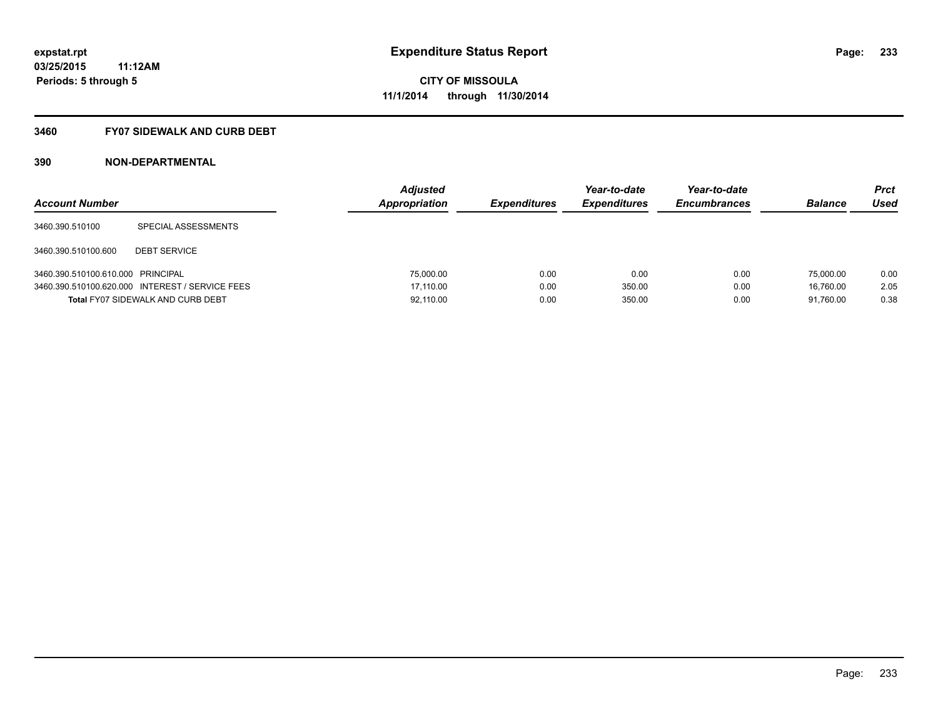### **3460 FY07 SIDEWALK AND CURB DEBT**

| <b>Account Number</b>             |                                                 | <b>Adjusted</b><br>Appropriation | <b>Expenditures</b> | Year-to-date<br><b>Expenditures</b> | Year-to-date<br><b>Encumbrances</b> | <b>Balance</b> | Prct<br><b>Used</b> |
|-----------------------------------|-------------------------------------------------|----------------------------------|---------------------|-------------------------------------|-------------------------------------|----------------|---------------------|
| 3460.390.510100                   | SPECIAL ASSESSMENTS                             |                                  |                     |                                     |                                     |                |                     |
| 3460.390.510100.600               | <b>DEBT SERVICE</b>                             |                                  |                     |                                     |                                     |                |                     |
| 3460.390.510100.610.000 PRINCIPAL |                                                 | 75,000.00                        | 0.00                | 0.00                                | 0.00                                | 75,000.00      | 0.00                |
|                                   | 3460.390.510100.620.000 INTEREST / SERVICE FEES | 17.110.00                        | 0.00                | 350.00                              | 0.00                                | 16.760.00      | 2.05                |
|                                   | <b>Total FY07 SIDEWALK AND CURB DEBT</b>        | 92,110.00                        | 0.00                | 350.00                              | 0.00                                | 91.760.00      | 0.38                |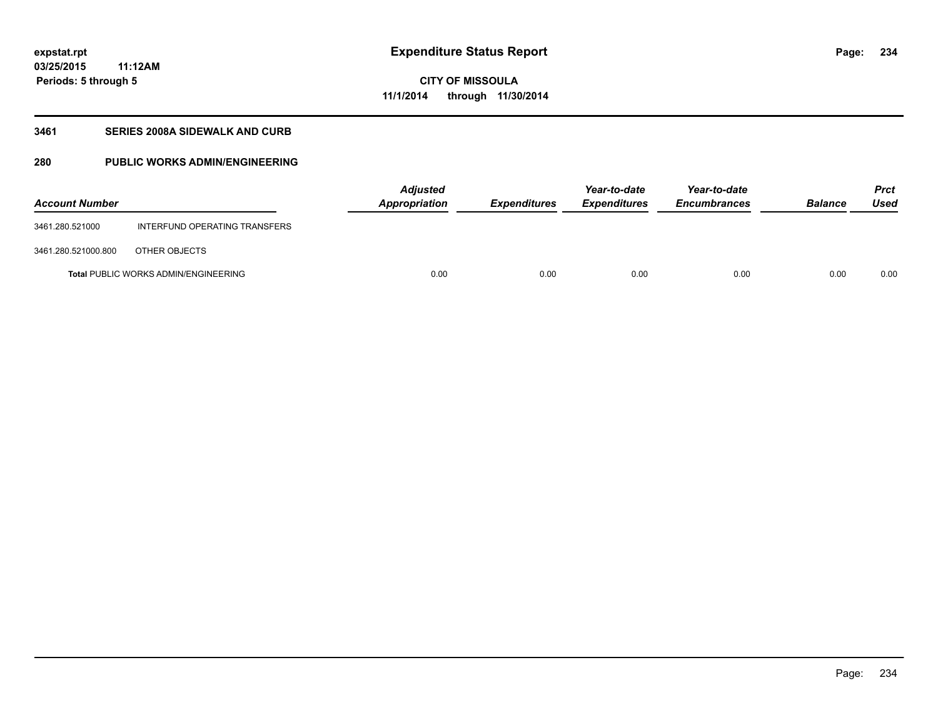**03/25/2015 11:12AM Periods: 5 through 5**

### **CITY OF MISSOULA 11/1/2014 through 11/30/2014**

#### **3461 SERIES 2008A SIDEWALK AND CURB**

### **280 PUBLIC WORKS ADMIN/ENGINEERING**

| <b>Account Number</b> |                                             | Adjusted<br>Appropriation | <b>Expenditures</b> | Year-to-date<br><b>Expenditures</b> | Year-to-date<br><b>Encumbrances</b> | <b>Balance</b> | <b>Prct</b><br><b>Used</b> |
|-----------------------|---------------------------------------------|---------------------------|---------------------|-------------------------------------|-------------------------------------|----------------|----------------------------|
| 3461.280.521000       | INTERFUND OPERATING TRANSFERS               |                           |                     |                                     |                                     |                |                            |
| 3461.280.521000.800   | OTHER OBJECTS                               |                           |                     |                                     |                                     |                |                            |
|                       | <b>Total PUBLIC WORKS ADMIN/ENGINEERING</b> | 0.00                      | 0.00                | 0.00                                | 0.00                                | 0.00           | 0.00                       |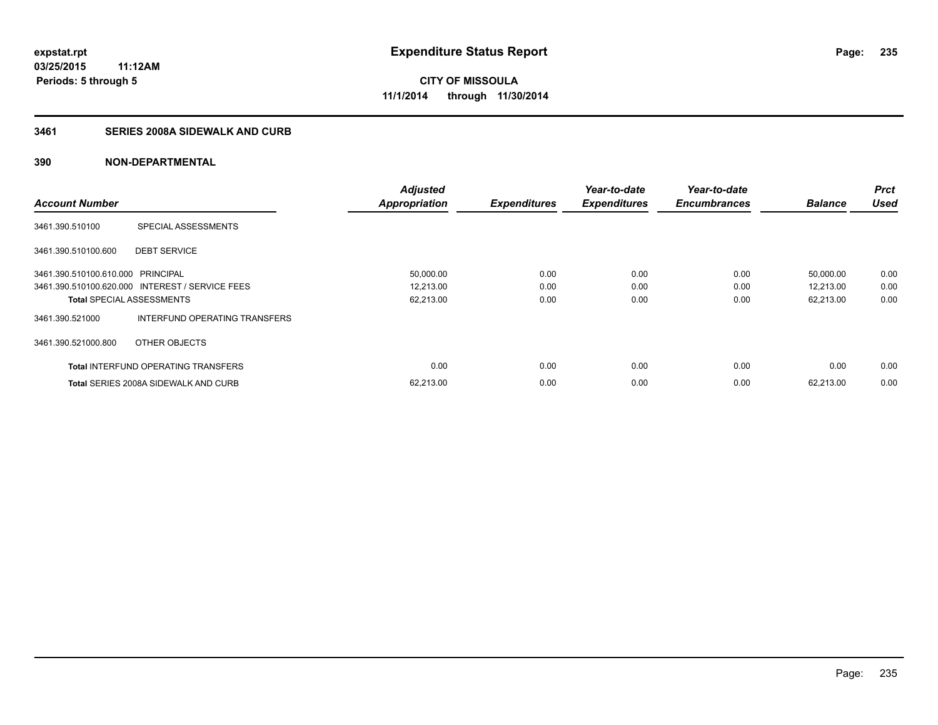### **3461 SERIES 2008A SIDEWALK AND CURB**

| <b>Account Number</b>             |                                                 | <b>Adjusted</b><br><b>Appropriation</b> | <b>Expenditures</b> | Year-to-date<br><b>Expenditures</b> | Year-to-date<br><b>Encumbrances</b> | <b>Balance</b> | <b>Prct</b><br><b>Used</b> |
|-----------------------------------|-------------------------------------------------|-----------------------------------------|---------------------|-------------------------------------|-------------------------------------|----------------|----------------------------|
|                                   |                                                 |                                         |                     |                                     |                                     |                |                            |
| 3461.390.510100                   | SPECIAL ASSESSMENTS                             |                                         |                     |                                     |                                     |                |                            |
| 3461.390.510100.600               | <b>DEBT SERVICE</b>                             |                                         |                     |                                     |                                     |                |                            |
| 3461.390.510100.610.000 PRINCIPAL |                                                 | 50,000.00                               | 0.00                | 0.00                                | 0.00                                | 50,000.00      | 0.00                       |
|                                   | 3461.390.510100.620.000 INTEREST / SERVICE FEES | 12,213.00                               | 0.00                | 0.00                                | 0.00                                | 12,213.00      | 0.00                       |
| <b>Total SPECIAL ASSESSMENTS</b>  |                                                 | 62,213.00                               | 0.00                | 0.00                                | 0.00                                | 62,213.00      | 0.00                       |
| 3461.390.521000                   | INTERFUND OPERATING TRANSFERS                   |                                         |                     |                                     |                                     |                |                            |
| 3461.390.521000.800               | OTHER OBJECTS                                   |                                         |                     |                                     |                                     |                |                            |
|                                   | <b>Total INTERFUND OPERATING TRANSFERS</b>      | 0.00                                    | 0.00                | 0.00                                | 0.00                                | 0.00           | 0.00                       |
|                                   | <b>Total SERIES 2008A SIDEWALK AND CURB</b>     | 62,213.00                               | 0.00                | 0.00                                | 0.00                                | 62.213.00      | 0.00                       |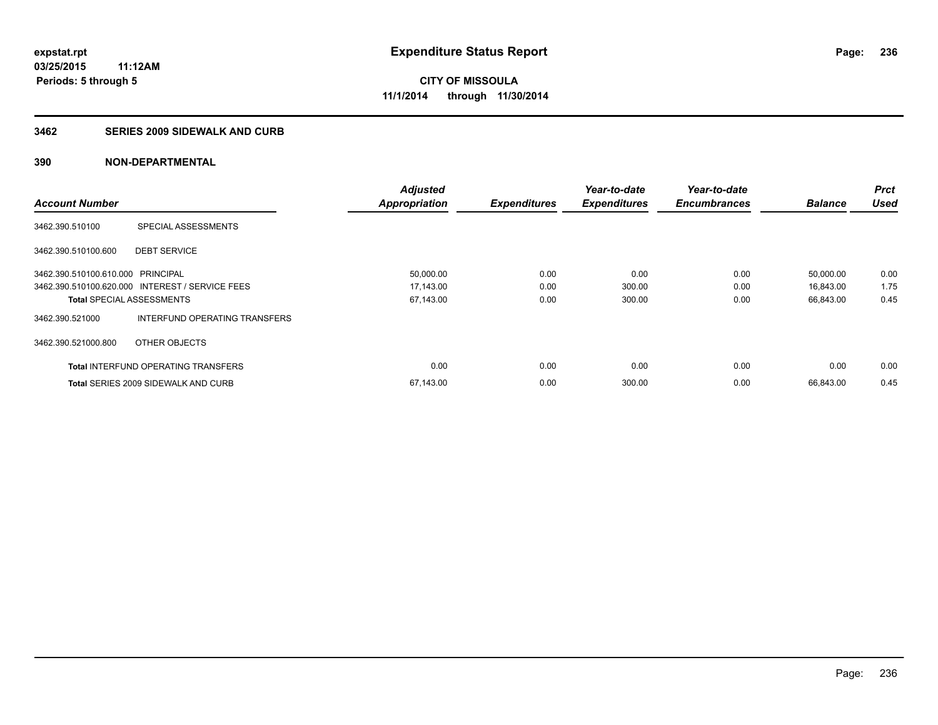#### **3462 SERIES 2009 SIDEWALK AND CURB**

|                                   |                                                 | <b>Adjusted</b>      |                     | Year-to-date        | Year-to-date        |                | <b>Prct</b> |
|-----------------------------------|-------------------------------------------------|----------------------|---------------------|---------------------|---------------------|----------------|-------------|
| <b>Account Number</b>             |                                                 | <b>Appropriation</b> | <b>Expenditures</b> | <b>Expenditures</b> | <b>Encumbrances</b> | <b>Balance</b> | <b>Used</b> |
| 3462.390.510100                   | SPECIAL ASSESSMENTS                             |                      |                     |                     |                     |                |             |
| 3462.390.510100.600               | <b>DEBT SERVICE</b>                             |                      |                     |                     |                     |                |             |
| 3462.390.510100.610.000 PRINCIPAL |                                                 | 50,000.00            | 0.00                | 0.00                | 0.00                | 50,000.00      | 0.00        |
|                                   | 3462.390.510100.620.000 INTEREST / SERVICE FEES | 17,143.00            | 0.00                | 300.00              | 0.00                | 16,843.00      | 1.75        |
| <b>Total SPECIAL ASSESSMENTS</b>  |                                                 | 67,143.00            | 0.00                | 300.00              | 0.00                | 66,843.00      | 0.45        |
| 3462.390.521000                   | INTERFUND OPERATING TRANSFERS                   |                      |                     |                     |                     |                |             |
| 3462.390.521000.800               | OTHER OBJECTS                                   |                      |                     |                     |                     |                |             |
|                                   | <b>Total INTERFUND OPERATING TRANSFERS</b>      | 0.00                 | 0.00                | 0.00                | 0.00                | 0.00           | 0.00        |
|                                   | <b>Total SERIES 2009 SIDEWALK AND CURB</b>      | 67,143.00            | 0.00                | 300.00              | 0.00                | 66.843.00      | 0.45        |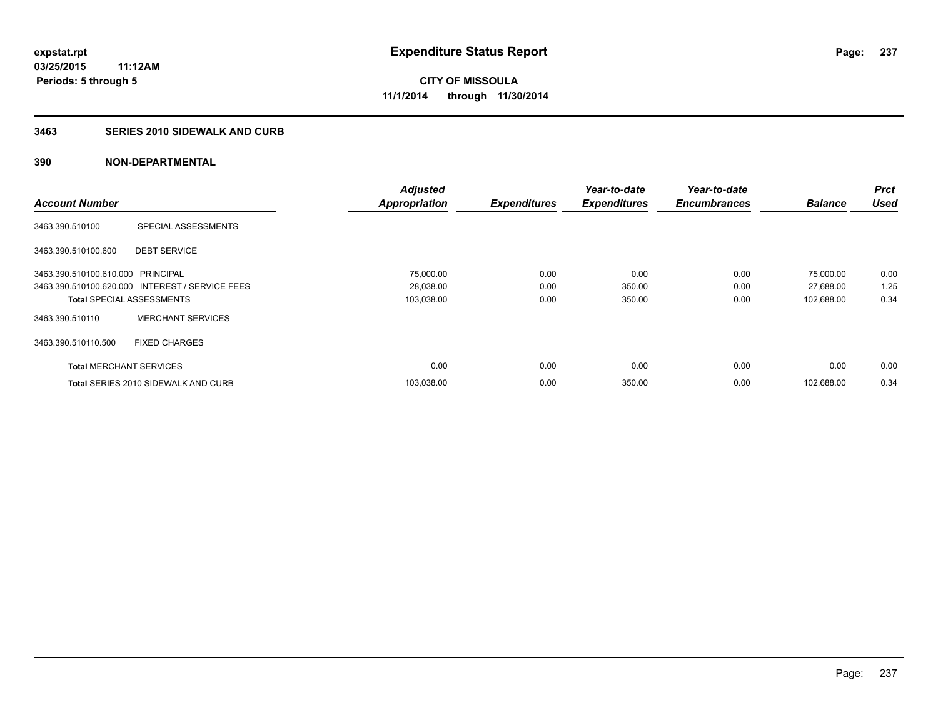#### **3463 SERIES 2010 SIDEWALK AND CURB**

|                                   |                                                 | <b>Adjusted</b>      |                     | Year-to-date        | Year-to-date        |                | <b>Prct</b> |
|-----------------------------------|-------------------------------------------------|----------------------|---------------------|---------------------|---------------------|----------------|-------------|
| <b>Account Number</b>             |                                                 | <b>Appropriation</b> | <b>Expenditures</b> | <b>Expenditures</b> | <b>Encumbrances</b> | <b>Balance</b> | <b>Used</b> |
| 3463.390.510100                   | SPECIAL ASSESSMENTS                             |                      |                     |                     |                     |                |             |
| 3463.390.510100.600               | <b>DEBT SERVICE</b>                             |                      |                     |                     |                     |                |             |
| 3463.390.510100.610.000 PRINCIPAL |                                                 | 75,000.00            | 0.00                | 0.00                | 0.00                | 75,000.00      | 0.00        |
|                                   | 3463.390.510100.620.000 INTEREST / SERVICE FEES | 28,038.00            | 0.00                | 350.00              | 0.00                | 27,688.00      | 1.25        |
| <b>Total SPECIAL ASSESSMENTS</b>  |                                                 | 103,038.00           | 0.00                | 350.00              | 0.00                | 102,688.00     | 0.34        |
| 3463.390.510110                   | <b>MERCHANT SERVICES</b>                        |                      |                     |                     |                     |                |             |
| 3463.390.510110.500               | <b>FIXED CHARGES</b>                            |                      |                     |                     |                     |                |             |
| <b>Total MERCHANT SERVICES</b>    |                                                 | 0.00                 | 0.00                | 0.00                | 0.00                | 0.00           | 0.00        |
|                                   | <b>Total SERIES 2010 SIDEWALK AND CURB</b>      | 103,038.00           | 0.00                | 350.00              | 0.00                | 102.688.00     | 0.34        |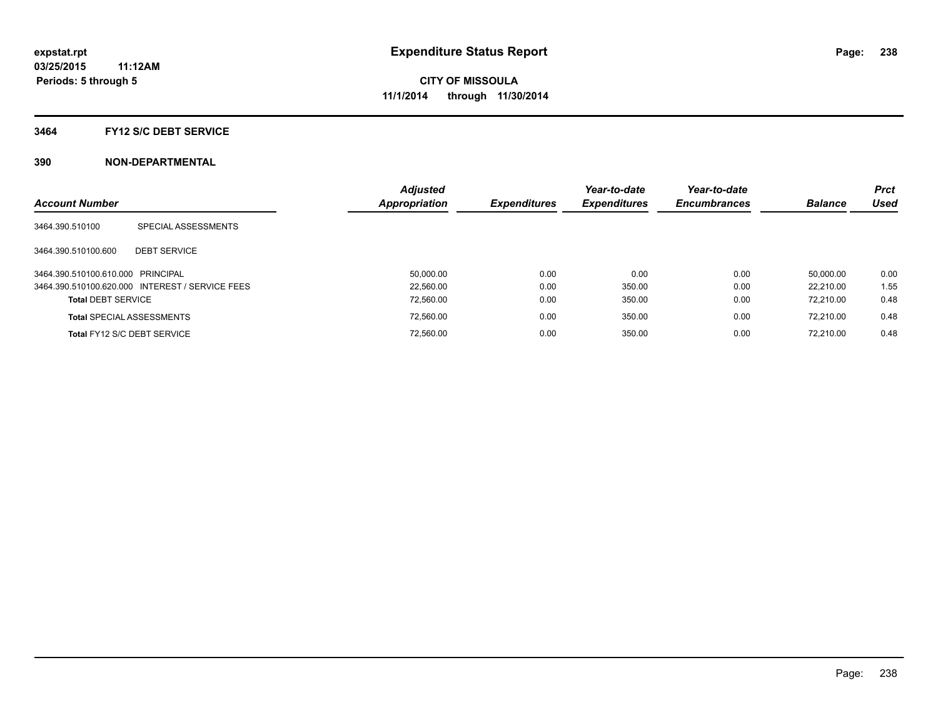#### **3464 FY12 S/C DEBT SERVICE**

| <b>Account Number</b>             |                                                 | <b>Adjusted</b><br><b>Appropriation</b> | <b>Expenditures</b> | Year-to-date<br><b>Expenditures</b> | Year-to-date<br><b>Encumbrances</b> | <b>Balance</b> | <b>Prct</b><br><b>Used</b> |
|-----------------------------------|-------------------------------------------------|-----------------------------------------|---------------------|-------------------------------------|-------------------------------------|----------------|----------------------------|
| 3464.390.510100                   | SPECIAL ASSESSMENTS                             |                                         |                     |                                     |                                     |                |                            |
| 3464.390.510100.600               | <b>DEBT SERVICE</b>                             |                                         |                     |                                     |                                     |                |                            |
| 3464.390.510100.610.000 PRINCIPAL |                                                 | 50.000.00                               | 0.00                | 0.00                                | 0.00                                | 50.000.00      | 0.00                       |
|                                   | 3464.390.510100.620.000 INTEREST / SERVICE FEES | 22.560.00                               | 0.00                | 350.00                              | 0.00                                | 22.210.00      | 1.55                       |
| <b>Total DEBT SERVICE</b>         |                                                 | 72.560.00                               | 0.00                | 350.00                              | 0.00                                | 72.210.00      | 0.48                       |
|                                   | <b>Total SPECIAL ASSESSMENTS</b>                | 72.560.00                               | 0.00                | 350.00                              | 0.00                                | 72.210.00      | 0.48                       |
|                                   | Total FY12 S/C DEBT SERVICE                     | 72.560.00                               | 0.00                | 350.00                              | 0.00                                | 72.210.00      | 0.48                       |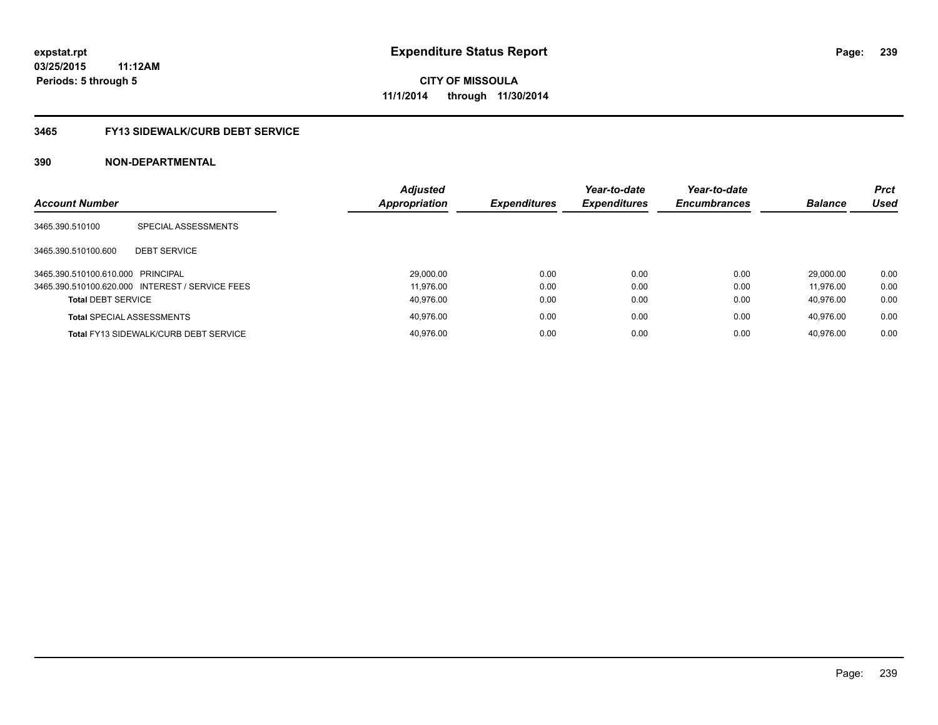#### **3465 FY13 SIDEWALK/CURB DEBT SERVICE**

| <b>Account Number</b>             |                                                 | <b>Adjusted</b><br><b>Appropriation</b> | <b>Expenditures</b> | Year-to-date<br><b>Expenditures</b> | Year-to-date<br><b>Encumbrances</b> | <b>Balance</b> | <b>Prct</b><br><b>Used</b> |
|-----------------------------------|-------------------------------------------------|-----------------------------------------|---------------------|-------------------------------------|-------------------------------------|----------------|----------------------------|
|                                   |                                                 |                                         |                     |                                     |                                     |                |                            |
| 3465.390.510100                   | SPECIAL ASSESSMENTS                             |                                         |                     |                                     |                                     |                |                            |
| 3465.390.510100.600               | <b>DEBT SERVICE</b>                             |                                         |                     |                                     |                                     |                |                            |
|                                   |                                                 |                                         |                     |                                     |                                     |                |                            |
| 3465.390.510100.610.000 PRINCIPAL |                                                 | 29,000.00                               | 0.00                | 0.00                                | 0.00                                | 29.000.00      | 0.00                       |
|                                   | 3465.390.510100.620.000 INTEREST / SERVICE FEES | 11.976.00                               | 0.00                | 0.00                                | 0.00                                | 11.976.00      | 0.00                       |
| <b>Total DEBT SERVICE</b>         |                                                 | 40.976.00                               | 0.00                | 0.00                                | 0.00                                | 40.976.00      | 0.00                       |
|                                   | <b>Total SPECIAL ASSESSMENTS</b>                | 40.976.00                               | 0.00                | 0.00                                | 0.00                                | 40.976.00      | 0.00                       |
|                                   | <b>Total FY13 SIDEWALK/CURB DEBT SERVICE</b>    | 40.976.00                               | 0.00                | 0.00                                | 0.00                                | 40.976.00      | 0.00                       |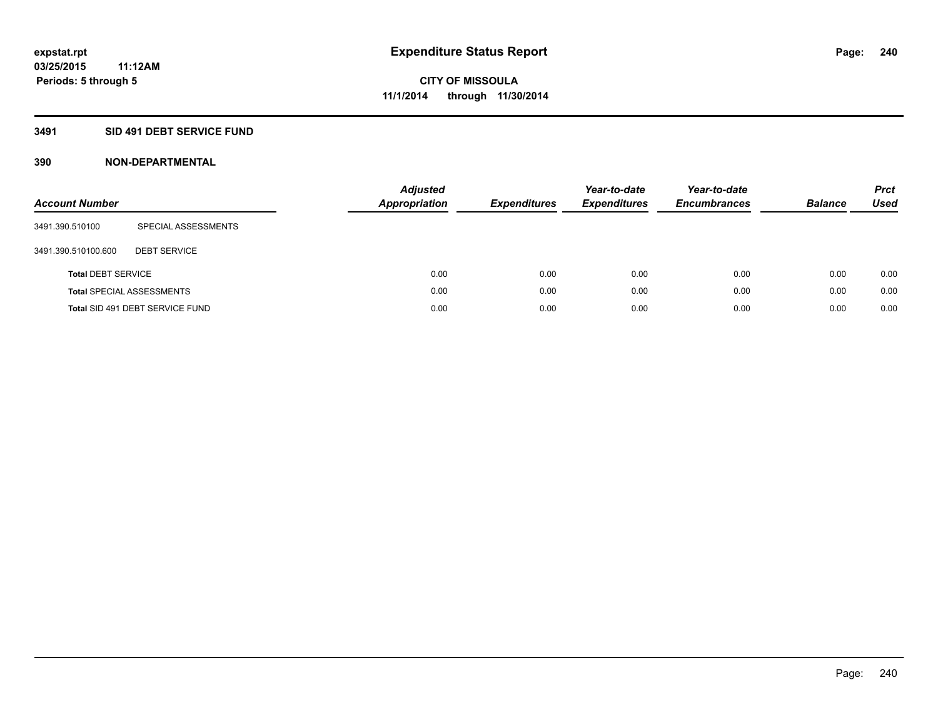#### **3491 SID 491 DEBT SERVICE FUND**

| <b>Account Number</b>     |                                  | <b>Adjusted</b><br><b>Appropriation</b> | <b>Expenditures</b> | Year-to-date<br><b>Expenditures</b> | Year-to-date<br><b>Encumbrances</b> | <b>Balance</b> | <b>Prct</b><br>Used |
|---------------------------|----------------------------------|-----------------------------------------|---------------------|-------------------------------------|-------------------------------------|----------------|---------------------|
| 3491.390.510100           | SPECIAL ASSESSMENTS              |                                         |                     |                                     |                                     |                |                     |
| 3491.390.510100.600       | <b>DEBT SERVICE</b>              |                                         |                     |                                     |                                     |                |                     |
| <b>Total DEBT SERVICE</b> |                                  | 0.00                                    | 0.00                | 0.00                                | 0.00                                | 0.00           | 0.00                |
|                           | <b>Total SPECIAL ASSESSMENTS</b> | 0.00                                    | 0.00                | 0.00                                | 0.00                                | 0.00           | 0.00                |
|                           | Total SID 491 DEBT SERVICE FUND  | 0.00                                    | 0.00                | 0.00                                | 0.00                                | 0.00           | 0.00                |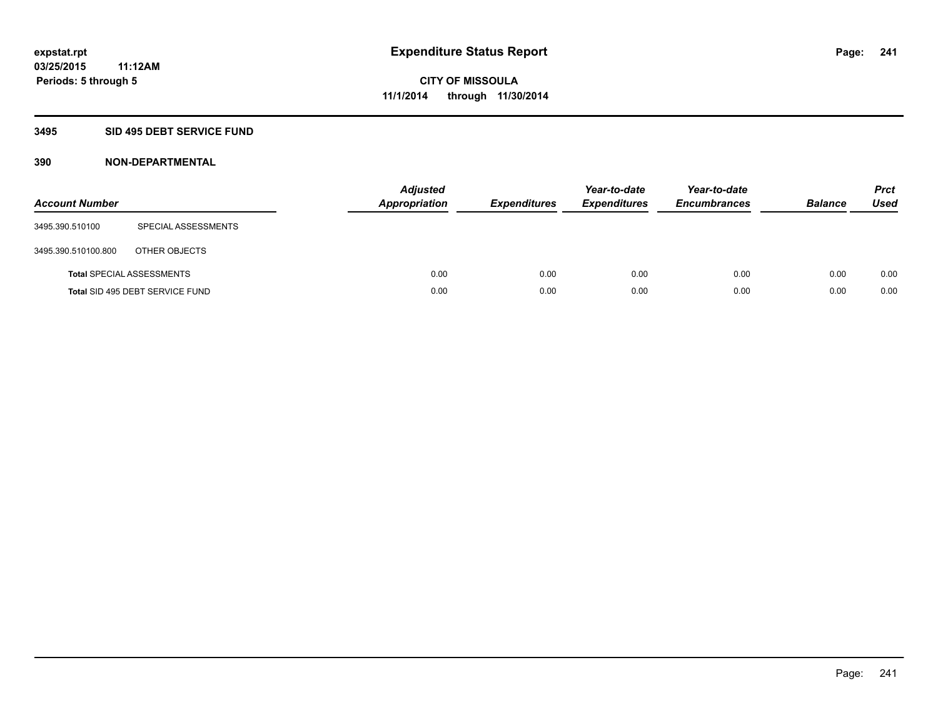#### **3495 SID 495 DEBT SERVICE FUND**

| <b>Account Number</b> |                                  | <b>Adjusted</b><br><b>Appropriation</b> | <b>Expenditures</b> | Year-to-date<br><b>Expenditures</b> | Year-to-date<br><b>Encumbrances</b> | <b>Balance</b> | <b>Prct</b><br>Used |
|-----------------------|----------------------------------|-----------------------------------------|---------------------|-------------------------------------|-------------------------------------|----------------|---------------------|
| 3495.390.510100       | SPECIAL ASSESSMENTS              |                                         |                     |                                     |                                     |                |                     |
| 3495.390.510100.800   | OTHER OBJECTS                    |                                         |                     |                                     |                                     |                |                     |
|                       | <b>Total SPECIAL ASSESSMENTS</b> | 0.00                                    | 0.00                | 0.00                                | 0.00                                | 0.00           | 0.00                |
|                       | Total SID 495 DEBT SERVICE FUND  | 0.00                                    | 0.00                | 0.00                                | 0.00                                | 0.00           | 0.00                |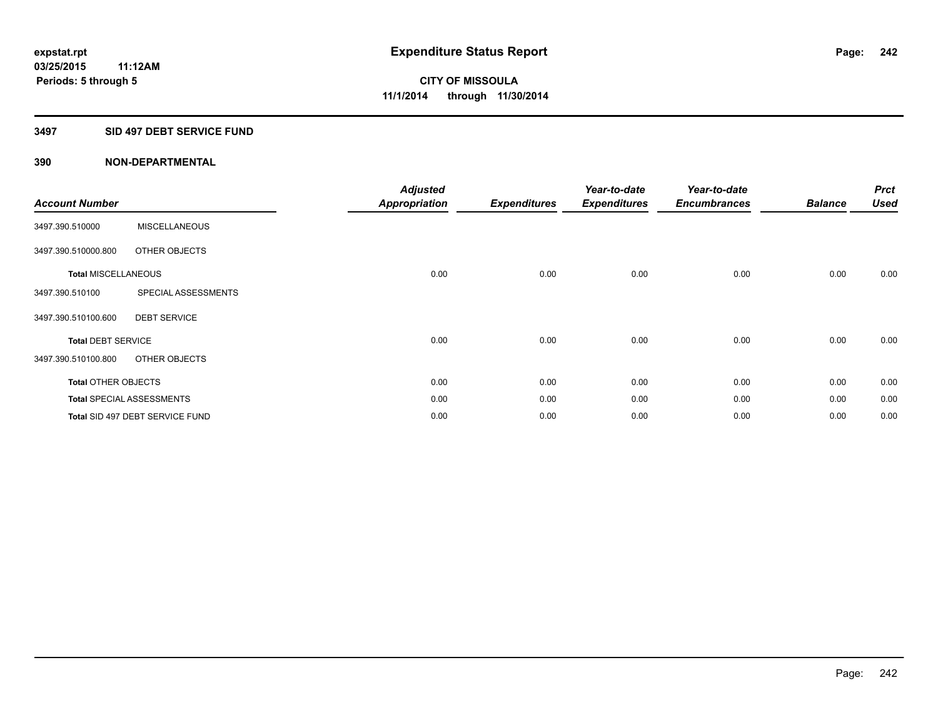#### **3497 SID 497 DEBT SERVICE FUND**

| <b>Account Number</b>      |                                  | <b>Adjusted</b><br><b>Appropriation</b> | <b>Expenditures</b> | Year-to-date<br><b>Expenditures</b> | Year-to-date<br><b>Encumbrances</b> | <b>Balance</b> | <b>Prct</b><br><b>Used</b> |
|----------------------------|----------------------------------|-----------------------------------------|---------------------|-------------------------------------|-------------------------------------|----------------|----------------------------|
| 3497.390.510000            | <b>MISCELLANEOUS</b>             |                                         |                     |                                     |                                     |                |                            |
| 3497.390.510000.800        | OTHER OBJECTS                    |                                         |                     |                                     |                                     |                |                            |
| <b>Total MISCELLANEOUS</b> |                                  | 0.00                                    | 0.00                | 0.00                                | 0.00                                | 0.00           | 0.00                       |
| 3497.390.510100            | SPECIAL ASSESSMENTS              |                                         |                     |                                     |                                     |                |                            |
| 3497.390.510100.600        | <b>DEBT SERVICE</b>              |                                         |                     |                                     |                                     |                |                            |
| <b>Total DEBT SERVICE</b>  |                                  | 0.00                                    | 0.00                | 0.00                                | 0.00                                | 0.00           | 0.00                       |
| 3497.390.510100.800        | OTHER OBJECTS                    |                                         |                     |                                     |                                     |                |                            |
| <b>Total OTHER OBJECTS</b> |                                  | 0.00                                    | 0.00                | 0.00                                | 0.00                                | 0.00           | 0.00                       |
|                            | <b>Total SPECIAL ASSESSMENTS</b> | 0.00                                    | 0.00                | 0.00                                | 0.00                                | 0.00           | 0.00                       |
|                            | Total SID 497 DEBT SERVICE FUND  | 0.00                                    | 0.00                | 0.00                                | 0.00                                | 0.00           | 0.00                       |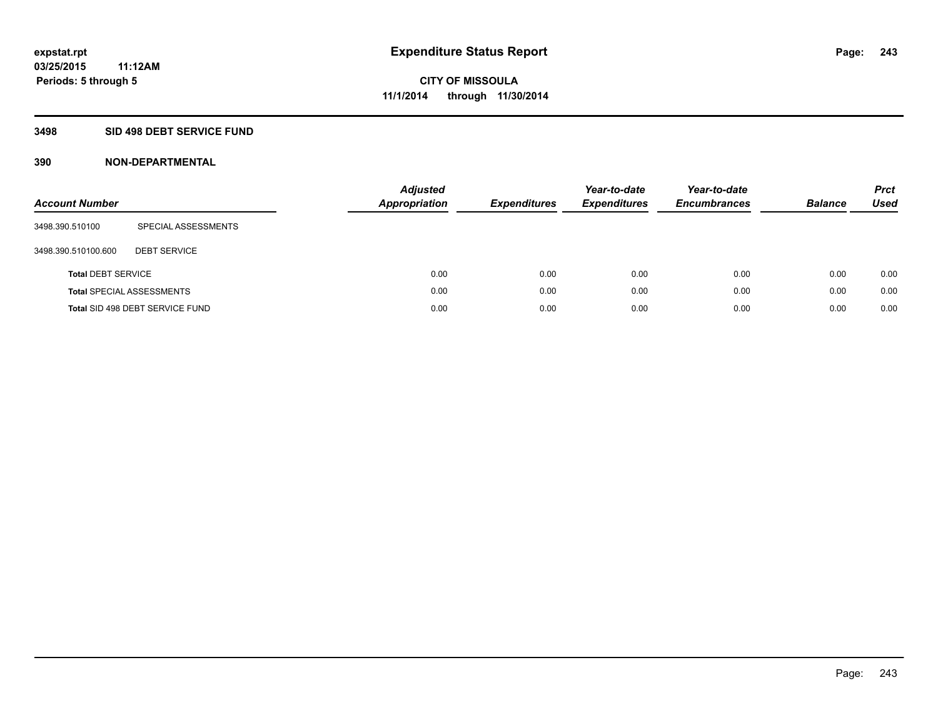#### **3498 SID 498 DEBT SERVICE FUND**

| <b>Account Number</b>     |                                  | <b>Adjusted</b><br><b>Appropriation</b> | <b>Expenditures</b> | Year-to-date<br><b>Expenditures</b> | Year-to-date<br><b>Encumbrances</b> | <b>Balance</b> | <b>Prct</b><br>Used |
|---------------------------|----------------------------------|-----------------------------------------|---------------------|-------------------------------------|-------------------------------------|----------------|---------------------|
| 3498.390.510100           | SPECIAL ASSESSMENTS              |                                         |                     |                                     |                                     |                |                     |
| 3498.390.510100.600       | <b>DEBT SERVICE</b>              |                                         |                     |                                     |                                     |                |                     |
| <b>Total DEBT SERVICE</b> |                                  | 0.00                                    | 0.00                | 0.00                                | 0.00                                | 0.00           | 0.00                |
|                           | <b>Total SPECIAL ASSESSMENTS</b> | 0.00                                    | 0.00                | 0.00                                | 0.00                                | 0.00           | 0.00                |
|                           | Total SID 498 DEBT SERVICE FUND  | 0.00                                    | 0.00                | 0.00                                | 0.00                                | 0.00           | 0.00                |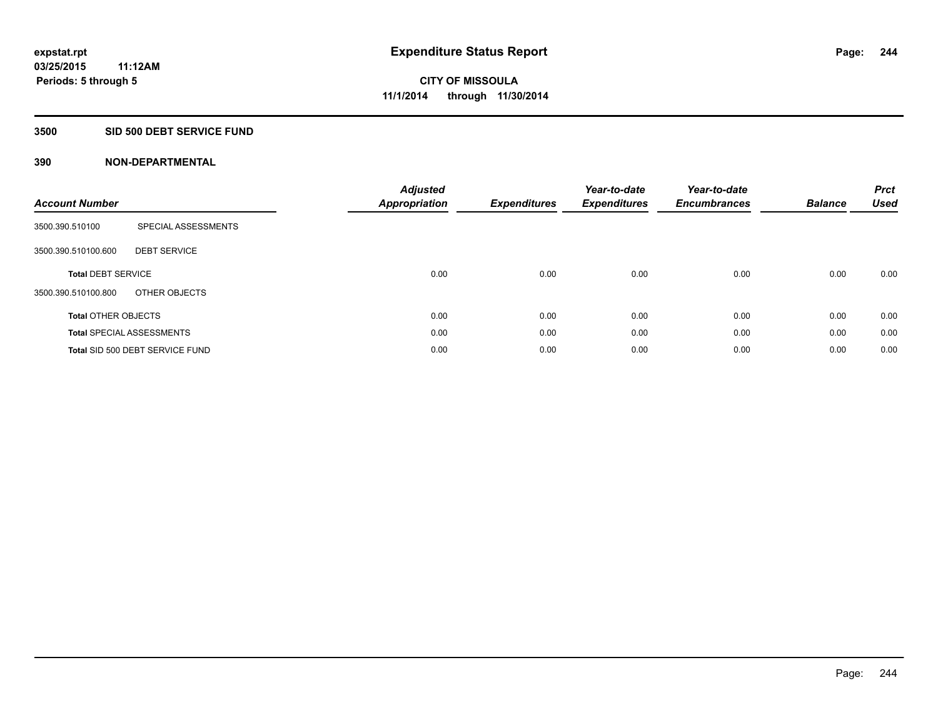#### **3500 SID 500 DEBT SERVICE FUND**

| <b>Account Number</b>      |                                  | <b>Adjusted</b><br>Appropriation | <b>Expenditures</b> | Year-to-date<br><b>Expenditures</b> | Year-to-date<br><b>Encumbrances</b> | <b>Balance</b> | <b>Prct</b><br><b>Used</b> |
|----------------------------|----------------------------------|----------------------------------|---------------------|-------------------------------------|-------------------------------------|----------------|----------------------------|
| 3500.390.510100            | SPECIAL ASSESSMENTS              |                                  |                     |                                     |                                     |                |                            |
| 3500.390.510100.600        | <b>DEBT SERVICE</b>              |                                  |                     |                                     |                                     |                |                            |
| <b>Total DEBT SERVICE</b>  |                                  | 0.00                             | 0.00                | 0.00                                | 0.00                                | 0.00           | 0.00                       |
| 3500.390.510100.800        | OTHER OBJECTS                    |                                  |                     |                                     |                                     |                |                            |
| <b>Total OTHER OBJECTS</b> |                                  | 0.00                             | 0.00                | 0.00                                | 0.00                                | 0.00           | 0.00                       |
|                            | <b>Total SPECIAL ASSESSMENTS</b> | 0.00                             | 0.00                | 0.00                                | 0.00                                | 0.00           | 0.00                       |
|                            | Total SID 500 DEBT SERVICE FUND  | 0.00                             | 0.00                | 0.00                                | 0.00                                | 0.00           | 0.00                       |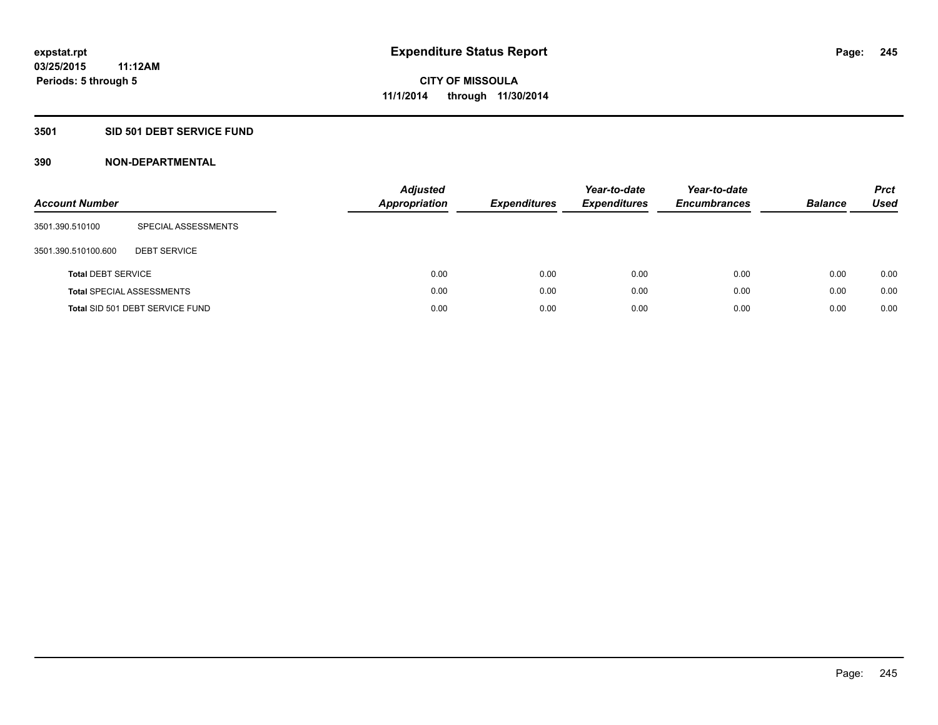### **3501 SID 501 DEBT SERVICE FUND**

| <b>Account Number</b>     |                                  | <b>Adjusted</b><br><b>Appropriation</b> | <b>Expenditures</b> | Year-to-date<br><b>Expenditures</b> | Year-to-date<br><b>Encumbrances</b> | <b>Balance</b> | <b>Prct</b><br>Used |
|---------------------------|----------------------------------|-----------------------------------------|---------------------|-------------------------------------|-------------------------------------|----------------|---------------------|
| 3501.390.510100           | SPECIAL ASSESSMENTS              |                                         |                     |                                     |                                     |                |                     |
| 3501.390.510100.600       | <b>DEBT SERVICE</b>              |                                         |                     |                                     |                                     |                |                     |
| <b>Total DEBT SERVICE</b> |                                  |                                         | 0.00<br>0.00        | 0.00                                | 0.00                                | 0.00           | 0.00                |
|                           | <b>Total SPECIAL ASSESSMENTS</b> |                                         | 0.00<br>0.00        | 0.00                                | 0.00                                | 0.00           | 0.00                |
|                           | Total SID 501 DEBT SERVICE FUND  |                                         | 0.00<br>0.00        | 0.00                                | 0.00                                | 0.00           | 0.00                |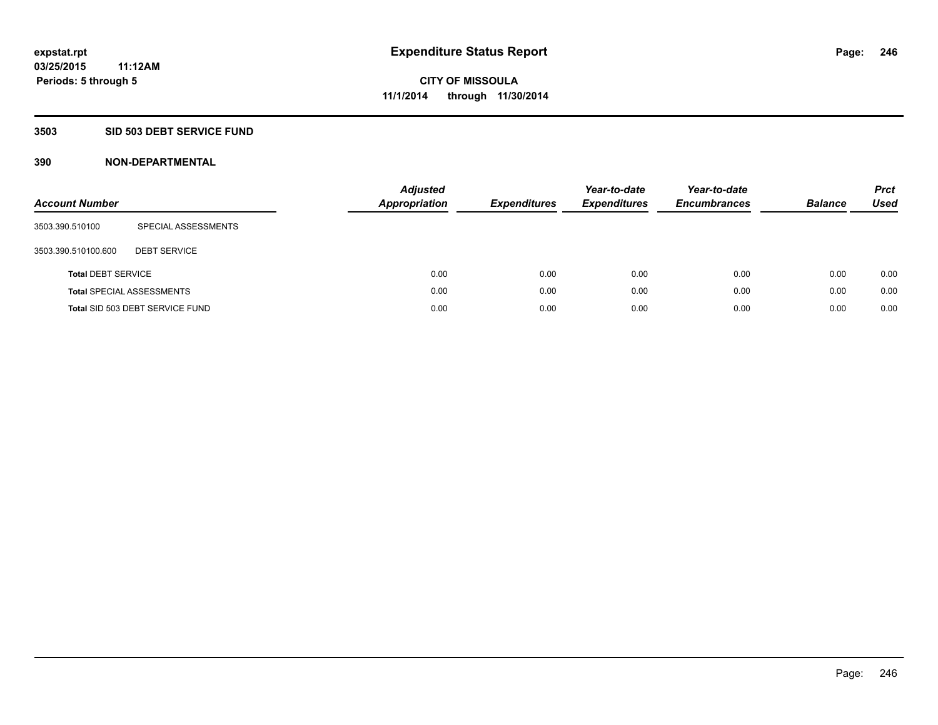#### **3503 SID 503 DEBT SERVICE FUND**

| <b>Account Number</b>     |                                  | <b>Adjusted</b><br><b>Appropriation</b> | <b>Expenditures</b> | Year-to-date<br><b>Expenditures</b> | Year-to-date<br><b>Encumbrances</b> | <b>Balance</b> | <b>Prct</b><br>Used |
|---------------------------|----------------------------------|-----------------------------------------|---------------------|-------------------------------------|-------------------------------------|----------------|---------------------|
| 3503.390.510100           | SPECIAL ASSESSMENTS              |                                         |                     |                                     |                                     |                |                     |
| 3503.390.510100.600       | <b>DEBT SERVICE</b>              |                                         |                     |                                     |                                     |                |                     |
| <b>Total DEBT SERVICE</b> |                                  | 0.00                                    | 0.00                | 0.00                                | 0.00                                | 0.00           | 0.00                |
|                           | <b>Total SPECIAL ASSESSMENTS</b> | 0.00                                    | 0.00                | 0.00                                | 0.00                                | 0.00           | 0.00                |
|                           | Total SID 503 DEBT SERVICE FUND  | 0.00                                    | 0.00                | 0.00                                | 0.00                                | 0.00           | 0.00                |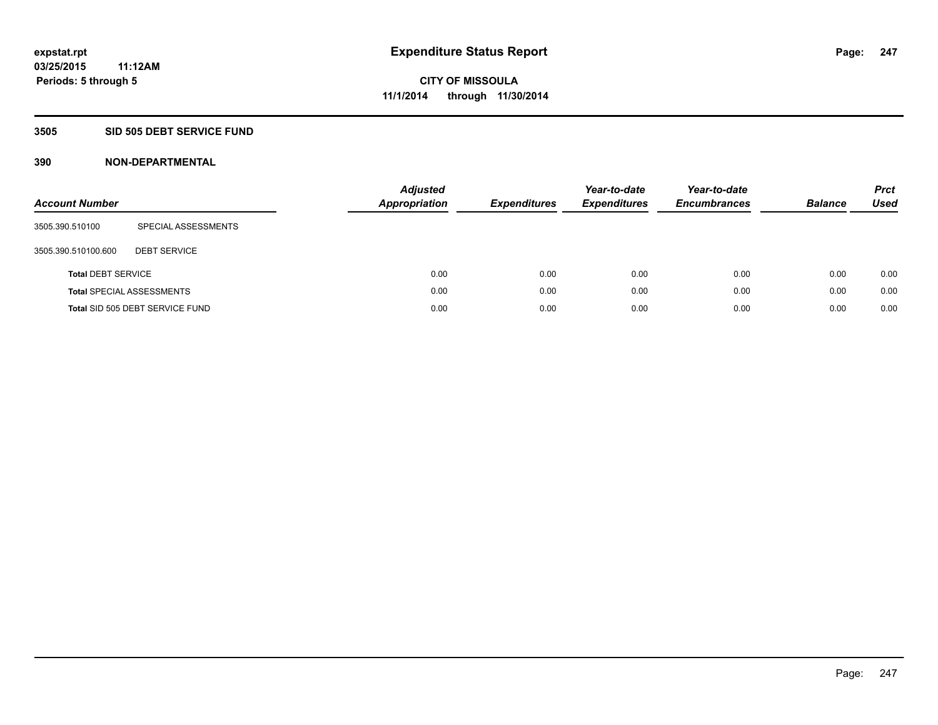#### **3505 SID 505 DEBT SERVICE FUND**

| <b>Account Number</b>     |                                  | <b>Adjusted</b><br><b>Appropriation</b> | <b>Expenditures</b> | Year-to-date<br><b>Expenditures</b> | Year-to-date<br><b>Encumbrances</b> | <b>Balance</b> | <b>Prct</b><br>Used |
|---------------------------|----------------------------------|-----------------------------------------|---------------------|-------------------------------------|-------------------------------------|----------------|---------------------|
| 3505.390.510100           | SPECIAL ASSESSMENTS              |                                         |                     |                                     |                                     |                |                     |
| 3505.390.510100.600       | <b>DEBT SERVICE</b>              |                                         |                     |                                     |                                     |                |                     |
| <b>Total DEBT SERVICE</b> |                                  | 0.00                                    | 0.00                | 0.00                                | 0.00                                | 0.00           | 0.00                |
|                           | <b>Total SPECIAL ASSESSMENTS</b> | 0.00                                    | 0.00                | 0.00                                | 0.00                                | 0.00           | 0.00                |
|                           | Total SID 505 DEBT SERVICE FUND  | 0.00                                    | 0.00                | 0.00                                | 0.00                                | 0.00           | 0.00                |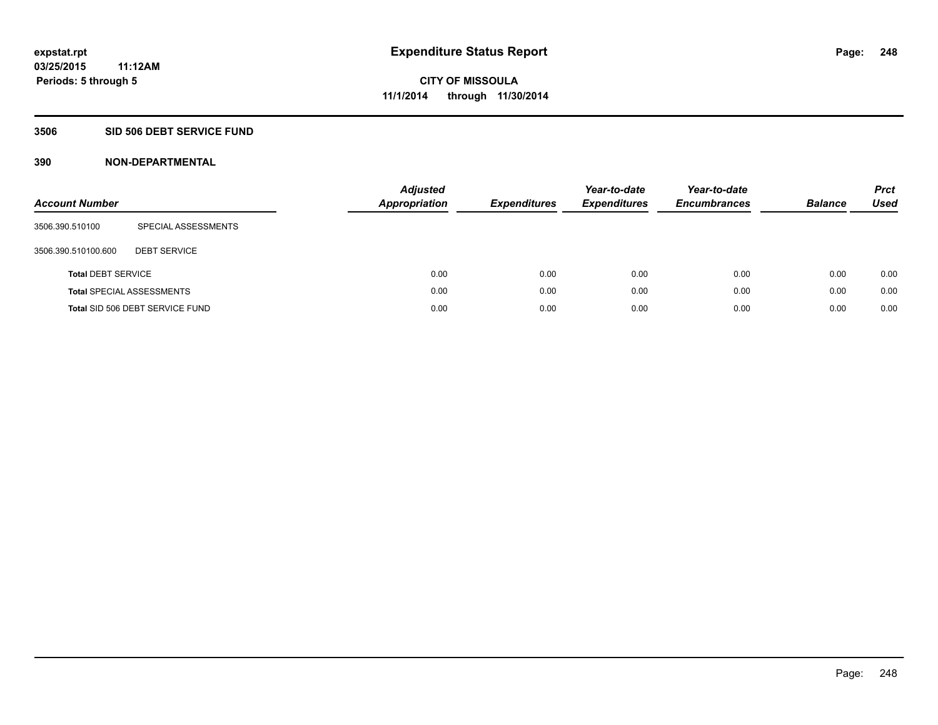#### **3506 SID 506 DEBT SERVICE FUND**

| <b>Account Number</b>     |                                  | <b>Adjusted</b><br><b>Appropriation</b> | <b>Expenditures</b> | Year-to-date<br><b>Expenditures</b> | Year-to-date<br><b>Encumbrances</b> | <b>Balance</b> | <b>Prct</b><br><b>Used</b> |
|---------------------------|----------------------------------|-----------------------------------------|---------------------|-------------------------------------|-------------------------------------|----------------|----------------------------|
| 3506.390.510100           | SPECIAL ASSESSMENTS              |                                         |                     |                                     |                                     |                |                            |
| 3506.390.510100.600       | <b>DEBT SERVICE</b>              |                                         |                     |                                     |                                     |                |                            |
| <b>Total DEBT SERVICE</b> |                                  | 0.00                                    | 0.00                | 0.00                                | 0.00                                | 0.00           | 0.00                       |
|                           | <b>Total SPECIAL ASSESSMENTS</b> | 0.00                                    | 0.00                | 0.00                                | 0.00                                | 0.00           | 0.00                       |
|                           | Total SID 506 DEBT SERVICE FUND  | 0.00                                    | 0.00                | 0.00                                | 0.00                                | 0.00           | 0.00                       |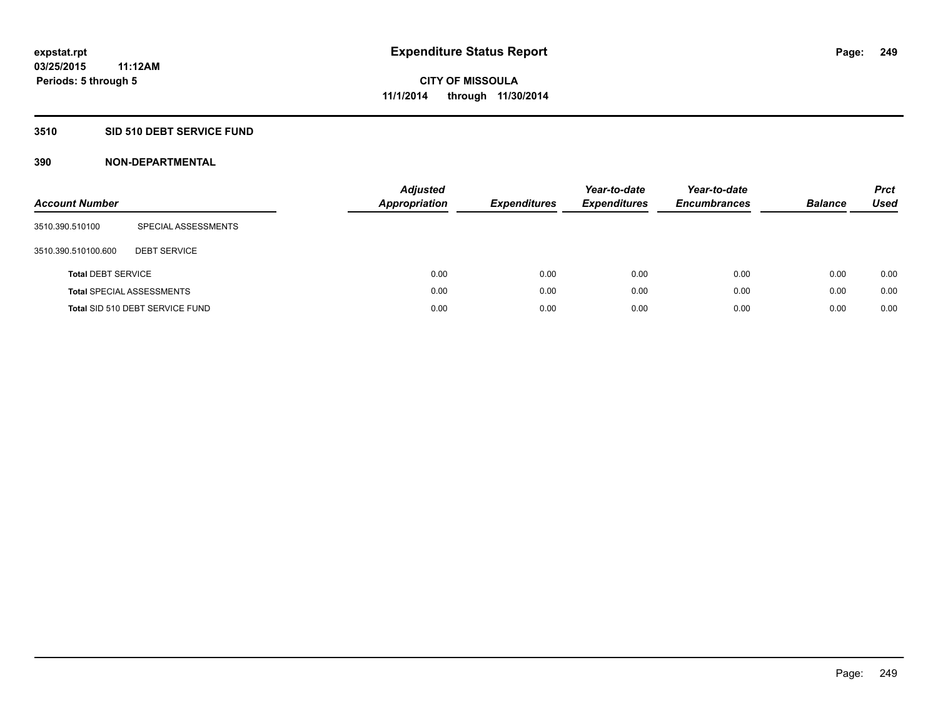### **3510 SID 510 DEBT SERVICE FUND**

| <b>Account Number</b>     |                                  | <b>Adjusted</b><br><b>Appropriation</b> | <b>Expenditures</b> | Year-to-date<br><b>Expenditures</b> | Year-to-date<br><b>Encumbrances</b> | <b>Balance</b> | <b>Prct</b><br>Used |
|---------------------------|----------------------------------|-----------------------------------------|---------------------|-------------------------------------|-------------------------------------|----------------|---------------------|
| 3510.390.510100           | SPECIAL ASSESSMENTS              |                                         |                     |                                     |                                     |                |                     |
| 3510.390.510100.600       | <b>DEBT SERVICE</b>              |                                         |                     |                                     |                                     |                |                     |
| <b>Total DEBT SERVICE</b> |                                  | 0.00                                    | 0.00                | 0.00                                | 0.00                                | 0.00           | 0.00                |
|                           | <b>Total SPECIAL ASSESSMENTS</b> | 0.00                                    | 0.00                | 0.00                                | 0.00                                | 0.00           | 0.00                |
|                           | Total SID 510 DEBT SERVICE FUND  | 0.00                                    | 0.00                | 0.00                                | 0.00                                | 0.00           | 0.00                |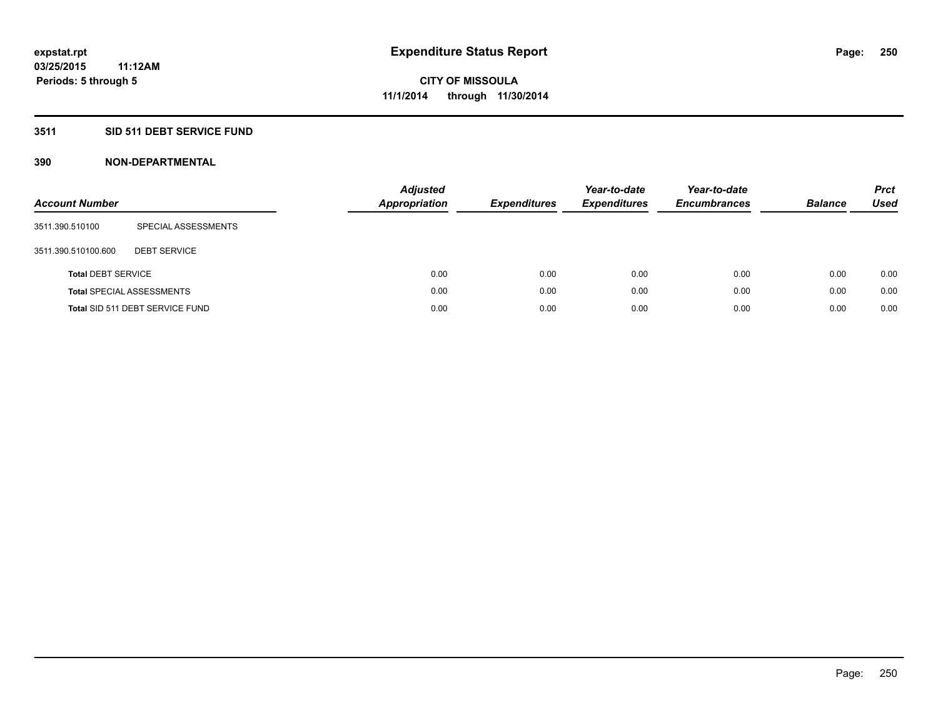### **3511 SID 511 DEBT SERVICE FUND**

| <b>Account Number</b>     |                                  | <b>Adjusted</b><br><b>Appropriation</b> | <b>Expenditures</b> | Year-to-date<br><b>Expenditures</b> | Year-to-date<br><b>Encumbrances</b> | <b>Balance</b> | <b>Prct</b><br>Used |
|---------------------------|----------------------------------|-----------------------------------------|---------------------|-------------------------------------|-------------------------------------|----------------|---------------------|
| 3511.390.510100           | SPECIAL ASSESSMENTS              |                                         |                     |                                     |                                     |                |                     |
| 3511.390.510100.600       | <b>DEBT SERVICE</b>              |                                         |                     |                                     |                                     |                |                     |
| <b>Total DEBT SERVICE</b> |                                  | 0.00                                    | 0.00                | 0.00                                | 0.00                                | 0.00           | 0.00                |
|                           | <b>Total SPECIAL ASSESSMENTS</b> | 0.00                                    | 0.00                | 0.00                                | 0.00                                | 0.00           | 0.00                |
|                           | Total SID 511 DEBT SERVICE FUND  | 0.00                                    | 0.00                | 0.00                                | 0.00                                | 0.00           | 0.00                |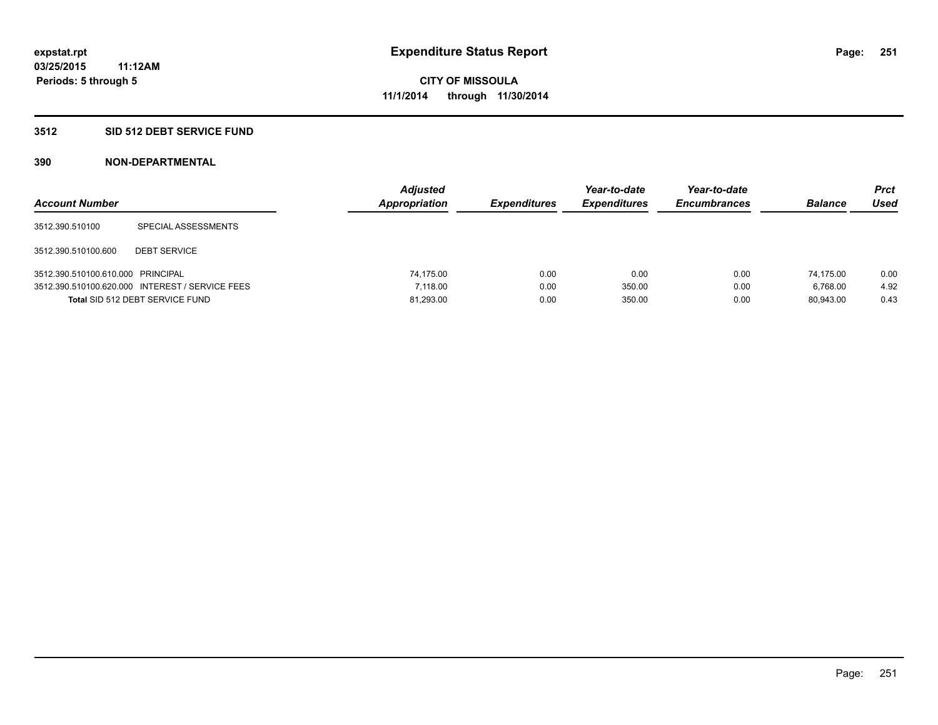#### **3512 SID 512 DEBT SERVICE FUND**

| <b>Account Number</b>             |                                                 | <b>Adjusted</b><br>Appropriation | <b>Expenditures</b> | Year-to-date<br><b>Expenditures</b> | Year-to-date<br><b>Encumbrances</b> | <b>Balance</b> | Prct<br><b>Used</b> |
|-----------------------------------|-------------------------------------------------|----------------------------------|---------------------|-------------------------------------|-------------------------------------|----------------|---------------------|
| 3512.390.510100                   | SPECIAL ASSESSMENTS                             |                                  |                     |                                     |                                     |                |                     |
| 3512.390.510100.600               | <b>DEBT SERVICE</b>                             |                                  |                     |                                     |                                     |                |                     |
| 3512.390.510100.610.000 PRINCIPAL |                                                 | 74.175.00                        | 0.00                | 0.00                                | 0.00                                | 74.175.00      | 0.00                |
|                                   | 3512.390.510100.620.000 INTEREST / SERVICE FEES | 7.118.00                         | 0.00                | 350.00                              | 0.00                                | 6.768.00       | 4.92                |
|                                   | Total SID 512 DEBT SERVICE FUND                 | 81,293.00                        | 0.00                | 350.00                              | 0.00                                | 80.943.00      | 0.43                |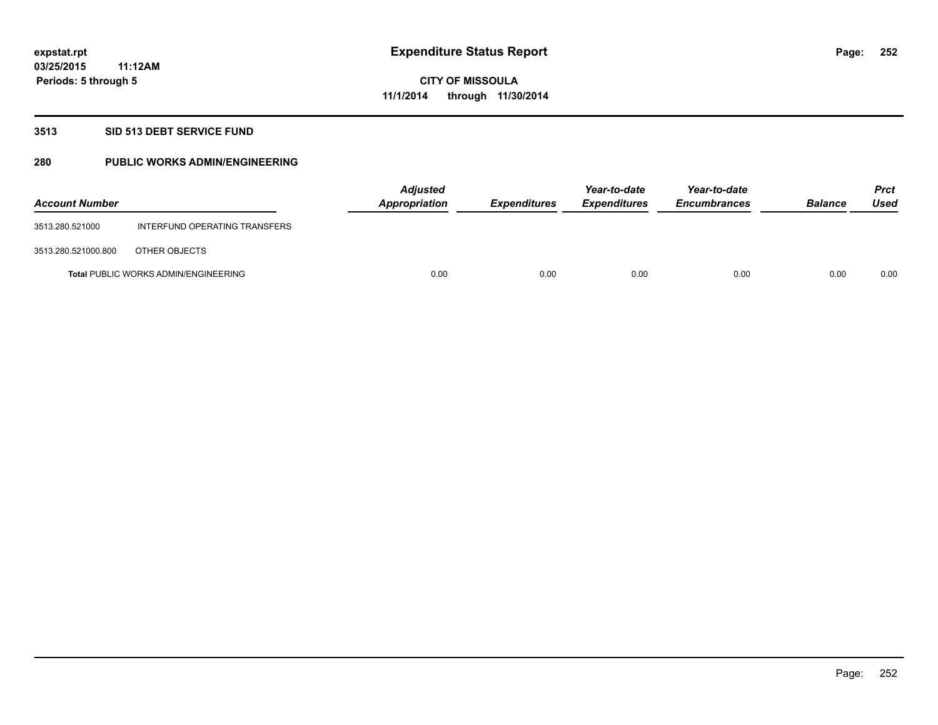#### **3513 SID 513 DEBT SERVICE FUND**

### **280 PUBLIC WORKS ADMIN/ENGINEERING**

| <b>Account Number</b> |                                             | <b>Adjusted</b><br>Appropriation | <b>Expenditures</b> | Year-to-date<br><b>Expenditures</b> | Year-to-date<br><b>Encumbrances</b> | <b>Balance</b> | <b>Prct</b><br>Used |
|-----------------------|---------------------------------------------|----------------------------------|---------------------|-------------------------------------|-------------------------------------|----------------|---------------------|
| 3513.280.521000       | INTERFUND OPERATING TRANSFERS               |                                  |                     |                                     |                                     |                |                     |
| 3513.280.521000.800   | OTHER OBJECTS                               |                                  |                     |                                     |                                     |                |                     |
|                       | <b>Total PUBLIC WORKS ADMIN/ENGINEERING</b> | 0.00                             | 0.00                | 0.00                                | 0.00                                | 0.00           | 0.00                |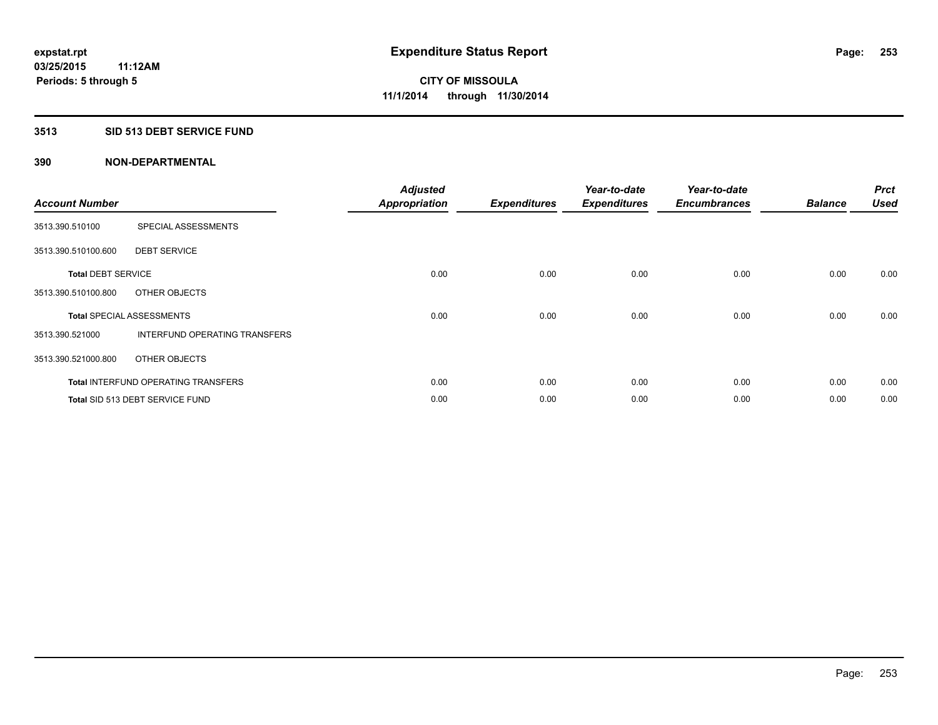### **3513 SID 513 DEBT SERVICE FUND**

| <b>Account Number</b>     |                                            | <b>Adjusted</b><br><b>Appropriation</b> | <b>Expenditures</b> | Year-to-date<br><b>Expenditures</b> | Year-to-date<br><b>Encumbrances</b> | <b>Balance</b> | <b>Prct</b><br><b>Used</b> |
|---------------------------|--------------------------------------------|-----------------------------------------|---------------------|-------------------------------------|-------------------------------------|----------------|----------------------------|
| 3513.390.510100           | SPECIAL ASSESSMENTS                        |                                         |                     |                                     |                                     |                |                            |
| 3513.390.510100.600       | <b>DEBT SERVICE</b>                        |                                         |                     |                                     |                                     |                |                            |
| <b>Total DEBT SERVICE</b> |                                            | 0.00                                    | 0.00                | 0.00                                | 0.00                                | 0.00           | 0.00                       |
| 3513.390.510100.800       | OTHER OBJECTS                              |                                         |                     |                                     |                                     |                |                            |
|                           | <b>Total SPECIAL ASSESSMENTS</b>           | 0.00                                    | 0.00                | 0.00                                | 0.00                                | 0.00           | 0.00                       |
| 3513.390.521000           | INTERFUND OPERATING TRANSFERS              |                                         |                     |                                     |                                     |                |                            |
| 3513.390.521000.800       | OTHER OBJECTS                              |                                         |                     |                                     |                                     |                |                            |
|                           | <b>Total INTERFUND OPERATING TRANSFERS</b> | 0.00                                    | 0.00                | 0.00                                | 0.00                                | 0.00           | 0.00                       |
|                           | <b>Total SID 513 DEBT SERVICE FUND</b>     | 0.00                                    | 0.00                | 0.00                                | 0.00                                | 0.00           | 0.00                       |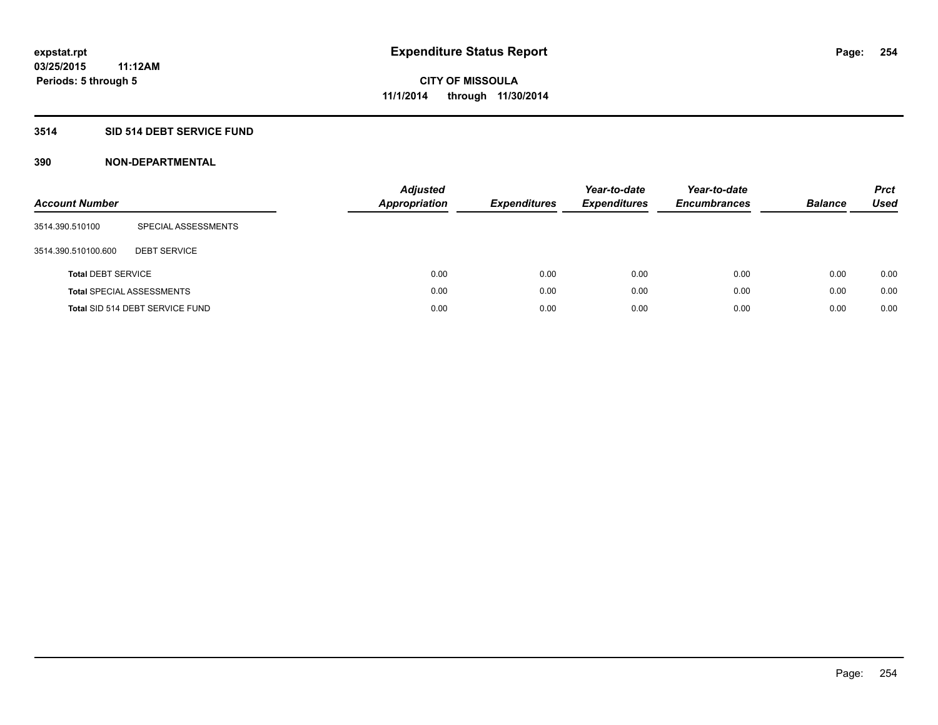### **3514 SID 514 DEBT SERVICE FUND**

| <b>Account Number</b>     |                                  | <b>Adjusted</b><br><b>Appropriation</b> | <b>Expenditures</b> | Year-to-date<br><b>Expenditures</b> | Year-to-date<br><b>Encumbrances</b> | <b>Balance</b> | <b>Prct</b><br>Used |
|---------------------------|----------------------------------|-----------------------------------------|---------------------|-------------------------------------|-------------------------------------|----------------|---------------------|
| 3514.390.510100           | SPECIAL ASSESSMENTS              |                                         |                     |                                     |                                     |                |                     |
| 3514.390.510100.600       | <b>DEBT SERVICE</b>              |                                         |                     |                                     |                                     |                |                     |
| <b>Total DEBT SERVICE</b> |                                  |                                         | 0.00<br>0.00        | 0.00                                | 0.00                                | 0.00           | 0.00                |
|                           | <b>Total SPECIAL ASSESSMENTS</b> |                                         | 0.00<br>0.00        | 0.00                                | 0.00                                | 0.00           | 0.00                |
|                           | Total SID 514 DEBT SERVICE FUND  |                                         | 0.00<br>0.00        | 0.00                                | 0.00                                | 0.00           | 0.00                |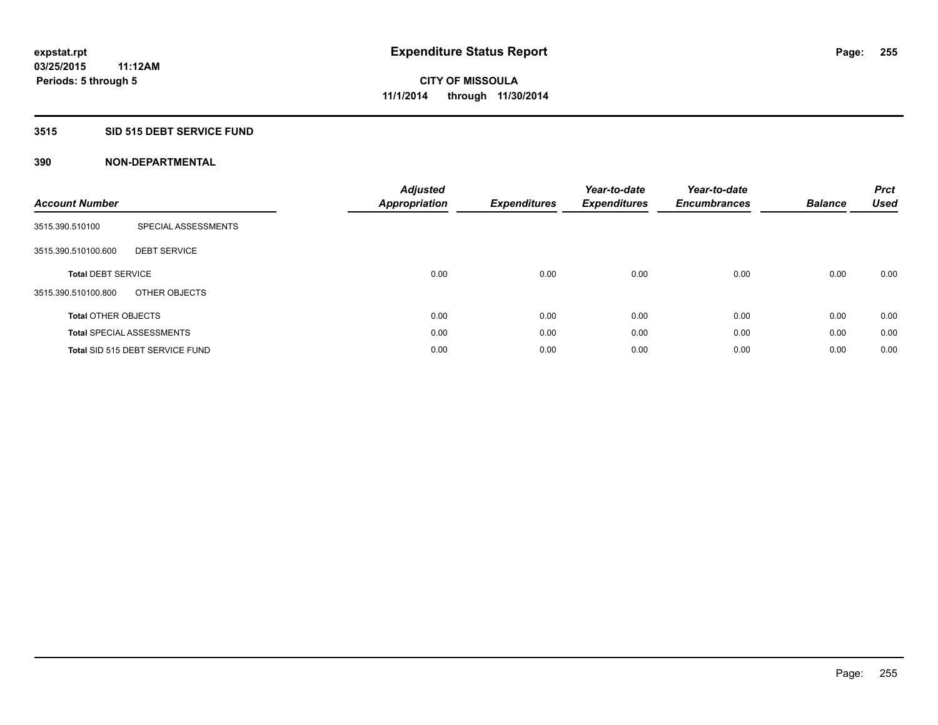### **3515 SID 515 DEBT SERVICE FUND**

| <b>Account Number</b>      |                                  | <b>Adjusted</b><br><b>Appropriation</b> | <b>Expenditures</b> | Year-to-date<br><b>Expenditures</b> | Year-to-date<br><b>Encumbrances</b> | <b>Balance</b> | <b>Prct</b><br><b>Used</b> |
|----------------------------|----------------------------------|-----------------------------------------|---------------------|-------------------------------------|-------------------------------------|----------------|----------------------------|
| 3515.390.510100            | SPECIAL ASSESSMENTS              |                                         |                     |                                     |                                     |                |                            |
| 3515.390.510100.600        | <b>DEBT SERVICE</b>              |                                         |                     |                                     |                                     |                |                            |
| <b>Total DEBT SERVICE</b>  |                                  | 0.00                                    | 0.00                | 0.00                                | 0.00                                | 0.00           | 0.00                       |
| 3515.390.510100.800        | OTHER OBJECTS                    |                                         |                     |                                     |                                     |                |                            |
| <b>Total OTHER OBJECTS</b> |                                  | 0.00                                    | 0.00                | 0.00                                | 0.00                                | 0.00           | 0.00                       |
|                            | <b>Total SPECIAL ASSESSMENTS</b> | 0.00                                    | 0.00                | 0.00                                | 0.00                                | 0.00           | 0.00                       |
|                            | Total SID 515 DEBT SERVICE FUND  | 0.00                                    | 0.00                | 0.00                                | 0.00                                | 0.00           | 0.00                       |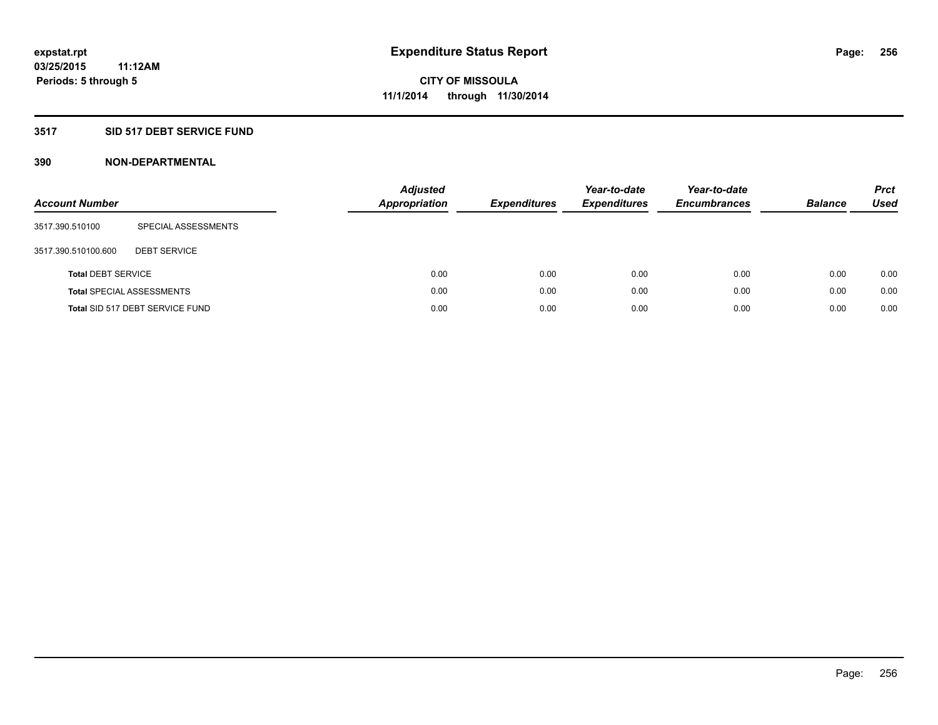### **3517 SID 517 DEBT SERVICE FUND**

| <b>Account Number</b>     |                                  | <b>Adjusted</b><br><b>Appropriation</b> | <b>Expenditures</b> | Year-to-date<br><b>Expenditures</b> | Year-to-date<br><b>Encumbrances</b> | <b>Balance</b> | <b>Prct</b><br>Used |
|---------------------------|----------------------------------|-----------------------------------------|---------------------|-------------------------------------|-------------------------------------|----------------|---------------------|
| 3517.390.510100           | SPECIAL ASSESSMENTS              |                                         |                     |                                     |                                     |                |                     |
| 3517.390.510100.600       | <b>DEBT SERVICE</b>              |                                         |                     |                                     |                                     |                |                     |
| <b>Total DEBT SERVICE</b> |                                  | 0.00                                    | 0.00                | 0.00                                | 0.00                                | 0.00           | 0.00                |
|                           | <b>Total SPECIAL ASSESSMENTS</b> | 0.00                                    | 0.00                | 0.00                                | 0.00                                | 0.00           | 0.00                |
|                           | Total SID 517 DEBT SERVICE FUND  | 0.00                                    | 0.00                | 0.00                                | 0.00                                | 0.00           | 0.00                |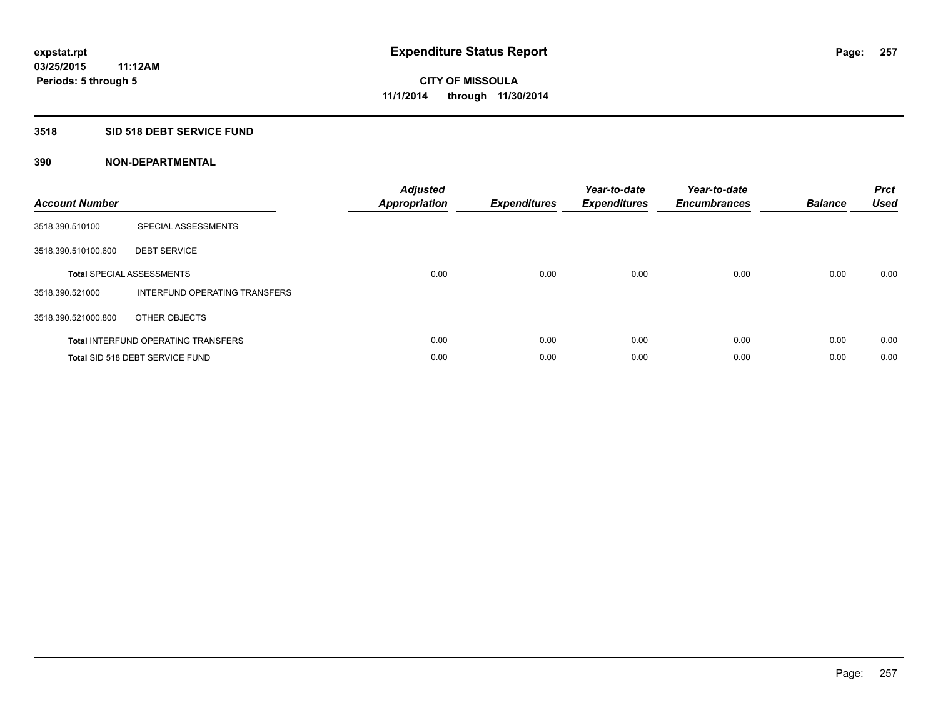### **3518 SID 518 DEBT SERVICE FUND**

| <b>Account Number</b> |                                            | <b>Adjusted</b><br>Appropriation | <b>Expenditures</b> | Year-to-date<br><b>Expenditures</b> | Year-to-date<br><b>Encumbrances</b> | <b>Balance</b> | <b>Prct</b><br><b>Used</b> |
|-----------------------|--------------------------------------------|----------------------------------|---------------------|-------------------------------------|-------------------------------------|----------------|----------------------------|
| 3518.390.510100       | SPECIAL ASSESSMENTS                        |                                  |                     |                                     |                                     |                |                            |
| 3518.390.510100.600   | <b>DEBT SERVICE</b>                        |                                  |                     |                                     |                                     |                |                            |
|                       | <b>Total SPECIAL ASSESSMENTS</b>           | 0.00                             | 0.00                | 0.00                                | 0.00                                | 0.00           | 0.00                       |
| 3518.390.521000       | INTERFUND OPERATING TRANSFERS              |                                  |                     |                                     |                                     |                |                            |
| 3518.390.521000.800   | OTHER OBJECTS                              |                                  |                     |                                     |                                     |                |                            |
|                       | <b>Total INTERFUND OPERATING TRANSFERS</b> | 0.00                             | 0.00                | 0.00                                | 0.00                                | 0.00           | 0.00                       |
|                       | Total SID 518 DEBT SERVICE FUND            | 0.00                             | 0.00                | 0.00                                | 0.00                                | 0.00           | 0.00                       |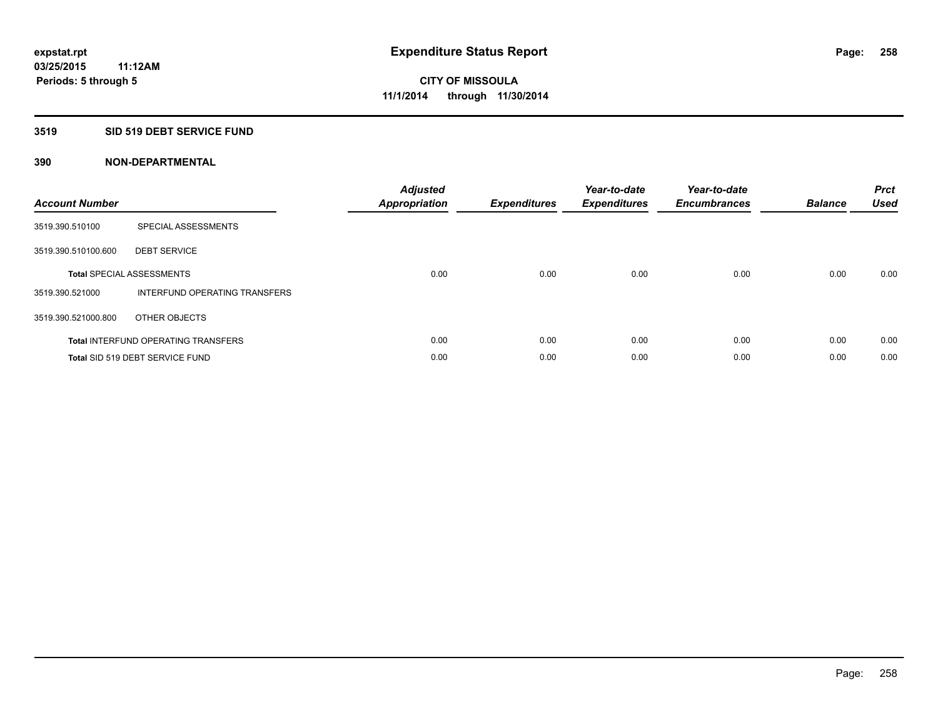#### **3519 SID 519 DEBT SERVICE FUND**

| <b>Account Number</b> |                                            | <b>Adjusted</b><br>Appropriation | <b>Expenditures</b> | Year-to-date<br><b>Expenditures</b> | Year-to-date<br><b>Encumbrances</b> | <b>Balance</b> | <b>Prct</b><br><b>Used</b> |
|-----------------------|--------------------------------------------|----------------------------------|---------------------|-------------------------------------|-------------------------------------|----------------|----------------------------|
| 3519.390.510100       | SPECIAL ASSESSMENTS                        |                                  |                     |                                     |                                     |                |                            |
| 3519.390.510100.600   | <b>DEBT SERVICE</b>                        |                                  |                     |                                     |                                     |                |                            |
|                       | <b>Total SPECIAL ASSESSMENTS</b>           | 0.00                             | 0.00                | 0.00                                | 0.00                                | 0.00           | 0.00                       |
| 3519.390.521000       | INTERFUND OPERATING TRANSFERS              |                                  |                     |                                     |                                     |                |                            |
| 3519.390.521000.800   | OTHER OBJECTS                              |                                  |                     |                                     |                                     |                |                            |
|                       | <b>Total INTERFUND OPERATING TRANSFERS</b> | 0.00                             | 0.00                | 0.00                                | 0.00                                | 0.00           | 0.00                       |
|                       | Total SID 519 DEBT SERVICE FUND            | 0.00                             | 0.00                | 0.00                                | 0.00                                | 0.00           | 0.00                       |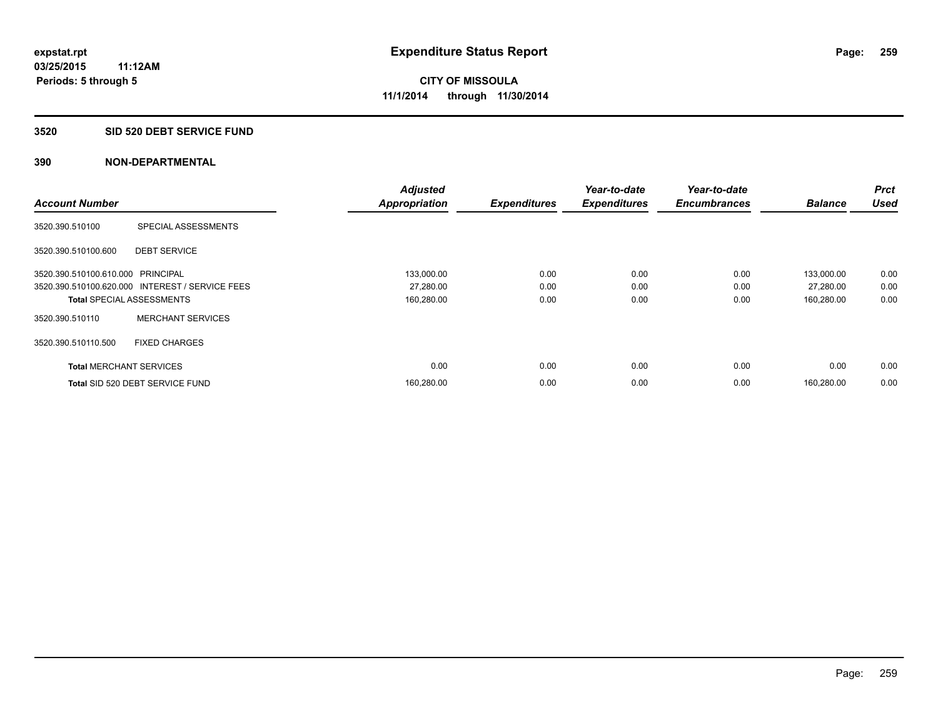#### **3520 SID 520 DEBT SERVICE FUND**

|                                   |                                                 | <b>Adjusted</b>      |                     | Year-to-date        | Year-to-date        |                | Prct        |
|-----------------------------------|-------------------------------------------------|----------------------|---------------------|---------------------|---------------------|----------------|-------------|
| <b>Account Number</b>             |                                                 | <b>Appropriation</b> | <b>Expenditures</b> | <b>Expenditures</b> | <b>Encumbrances</b> | <b>Balance</b> | <b>Used</b> |
| 3520.390.510100                   | SPECIAL ASSESSMENTS                             |                      |                     |                     |                     |                |             |
| 3520.390.510100.600               | <b>DEBT SERVICE</b>                             |                      |                     |                     |                     |                |             |
| 3520.390.510100.610.000 PRINCIPAL |                                                 | 133,000.00           | 0.00                | 0.00                | 0.00                | 133.000.00     | 0.00        |
|                                   | 3520.390.510100.620.000 INTEREST / SERVICE FEES | 27,280.00            | 0.00                | 0.00                | 0.00                | 27,280.00      | 0.00        |
| <b>Total SPECIAL ASSESSMENTS</b>  |                                                 | 160,280.00           | 0.00                | 0.00                | 0.00                | 160,280.00     | 0.00        |
| 3520.390.510110                   | <b>MERCHANT SERVICES</b>                        |                      |                     |                     |                     |                |             |
| 3520.390.510110.500               | <b>FIXED CHARGES</b>                            |                      |                     |                     |                     |                |             |
| <b>Total MERCHANT SERVICES</b>    |                                                 | 0.00                 | 0.00                | 0.00                | 0.00                | 0.00           | 0.00        |
|                                   | Total SID 520 DEBT SERVICE FUND                 | 160,280.00           | 0.00                | 0.00                | 0.00                | 160.280.00     | 0.00        |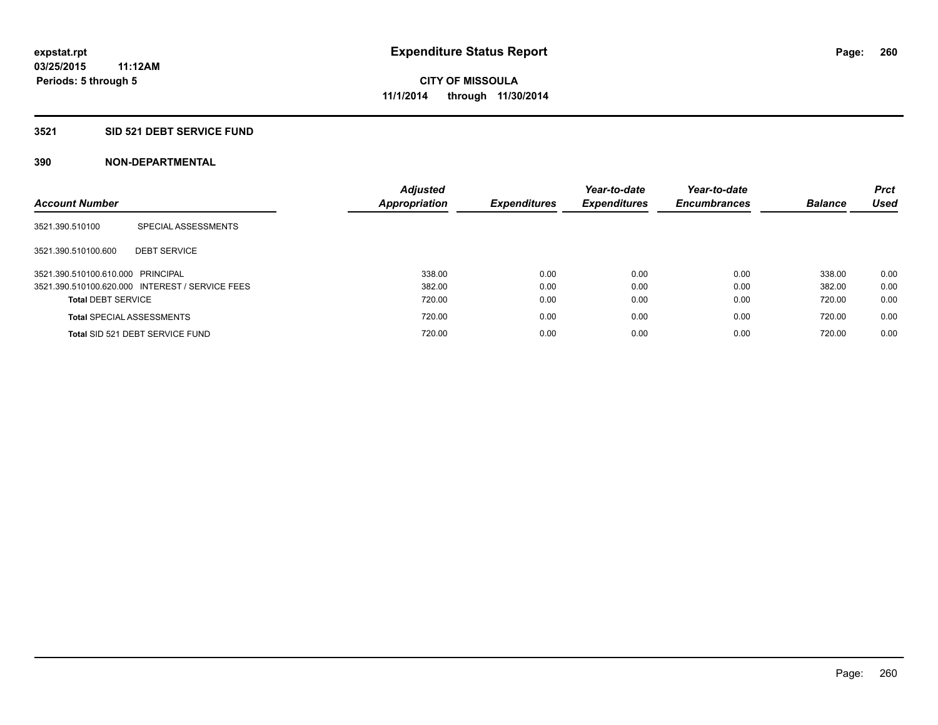### **3521 SID 521 DEBT SERVICE FUND**

| <b>Account Number</b>             |                                                 | <b>Adjusted</b><br>Appropriation | <b>Expenditures</b> | Year-to-date<br><b>Expenditures</b> | Year-to-date<br><b>Encumbrances</b> | <b>Balance</b> | <b>Prct</b><br>Used |
|-----------------------------------|-------------------------------------------------|----------------------------------|---------------------|-------------------------------------|-------------------------------------|----------------|---------------------|
| 3521.390.510100                   | SPECIAL ASSESSMENTS                             |                                  |                     |                                     |                                     |                |                     |
| 3521.390.510100.600               | <b>DEBT SERVICE</b>                             |                                  |                     |                                     |                                     |                |                     |
| 3521.390.510100.610.000 PRINCIPAL |                                                 | 338.00                           | 0.00                | 0.00                                | 0.00                                | 338.00         | 0.00                |
|                                   | 3521.390.510100.620.000 INTEREST / SERVICE FEES | 382.00                           | 0.00                | 0.00                                | 0.00                                | 382.00         | 0.00                |
| <b>Total DEBT SERVICE</b>         |                                                 | 720.00                           | 0.00                | 0.00                                | 0.00                                | 720.00         | 0.00                |
|                                   | <b>Total SPECIAL ASSESSMENTS</b>                | 720.00                           | 0.00                | 0.00                                | 0.00                                | 720.00         | 0.00                |
|                                   | Total SID 521 DEBT SERVICE FUND                 | 720.00                           | 0.00                | 0.00                                | 0.00                                | 720.00         | 0.00                |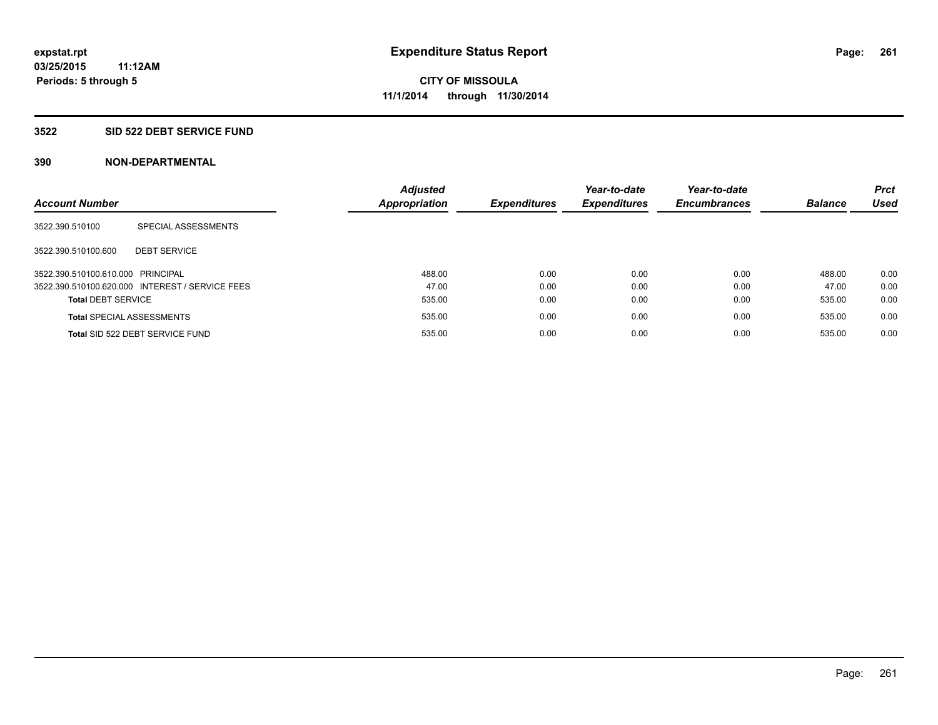#### **3522 SID 522 DEBT SERVICE FUND**

| <b>Account Number</b>             |                                                 | <b>Adjusted</b><br><b>Appropriation</b> | <b>Expenditures</b> | Year-to-date<br><b>Expenditures</b> | Year-to-date<br><b>Encumbrances</b> | <b>Balance</b> | <b>Prct</b><br><b>Used</b> |
|-----------------------------------|-------------------------------------------------|-----------------------------------------|---------------------|-------------------------------------|-------------------------------------|----------------|----------------------------|
| 3522.390.510100                   | SPECIAL ASSESSMENTS                             |                                         |                     |                                     |                                     |                |                            |
| 3522.390.510100.600               | <b>DEBT SERVICE</b>                             |                                         |                     |                                     |                                     |                |                            |
| 3522.390.510100.610.000 PRINCIPAL |                                                 | 488.00                                  | 0.00                | 0.00                                | 0.00                                | 488.00         | 0.00                       |
|                                   | 3522.390.510100.620.000 INTEREST / SERVICE FEES | 47.00                                   | 0.00                | 0.00                                | 0.00                                | 47.00          | 0.00                       |
| <b>Total DEBT SERVICE</b>         |                                                 | 535.00                                  | 0.00                | 0.00                                | 0.00                                | 535.00         | 0.00                       |
|                                   | <b>Total SPECIAL ASSESSMENTS</b>                | 535.00                                  | 0.00                | 0.00                                | 0.00                                | 535.00         | 0.00                       |
|                                   | Total SID 522 DEBT SERVICE FUND                 | 535.00                                  | 0.00                | 0.00                                | 0.00                                | 535.00         | 0.00                       |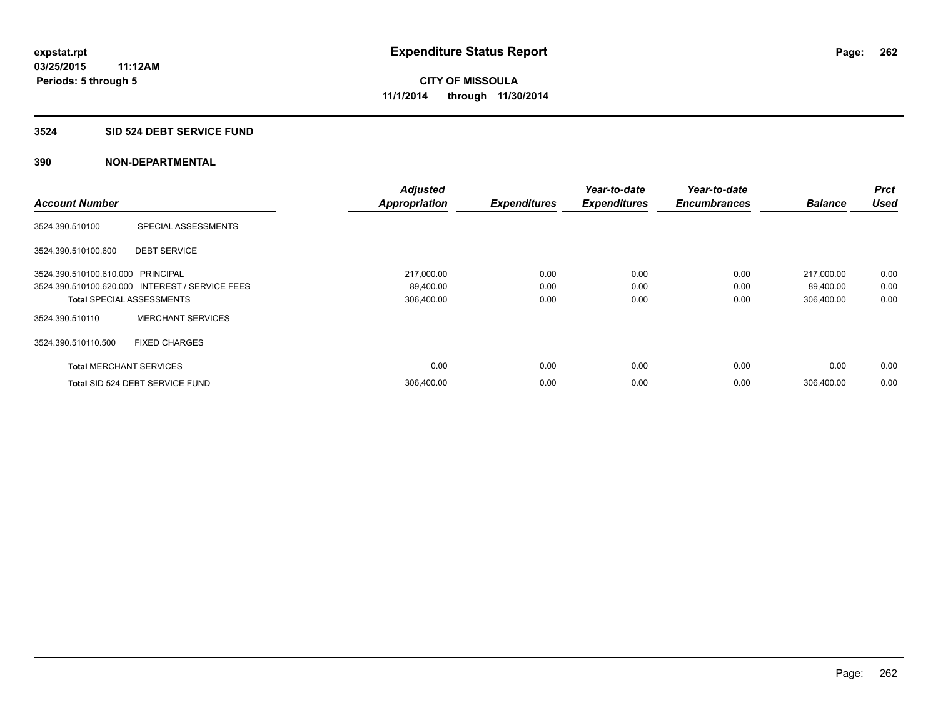#### **3524 SID 524 DEBT SERVICE FUND**

|                                   |                                                 | <b>Adjusted</b>      |                     | Year-to-date        | Year-to-date        |                | Prct        |
|-----------------------------------|-------------------------------------------------|----------------------|---------------------|---------------------|---------------------|----------------|-------------|
| <b>Account Number</b>             |                                                 | <b>Appropriation</b> | <b>Expenditures</b> | <b>Expenditures</b> | <b>Encumbrances</b> | <b>Balance</b> | <b>Used</b> |
| 3524.390.510100                   | SPECIAL ASSESSMENTS                             |                      |                     |                     |                     |                |             |
| 3524.390.510100.600               | <b>DEBT SERVICE</b>                             |                      |                     |                     |                     |                |             |
| 3524.390.510100.610.000 PRINCIPAL |                                                 | 217,000.00           | 0.00                | 0.00                | 0.00                | 217,000.00     | 0.00        |
|                                   | 3524.390.510100.620.000 INTEREST / SERVICE FEES | 89,400.00            | 0.00                | 0.00                | 0.00                | 89,400.00      | 0.00        |
| <b>Total SPECIAL ASSESSMENTS</b>  |                                                 | 306,400.00           | 0.00                | 0.00                | 0.00                | 306,400.00     | 0.00        |
| 3524.390.510110                   | <b>MERCHANT SERVICES</b>                        |                      |                     |                     |                     |                |             |
| 3524.390.510110.500               | <b>FIXED CHARGES</b>                            |                      |                     |                     |                     |                |             |
| <b>Total MERCHANT SERVICES</b>    |                                                 | 0.00                 | 0.00                | 0.00                | 0.00                | 0.00           | 0.00        |
|                                   | Total SID 524 DEBT SERVICE FUND                 | 306,400.00           | 0.00                | 0.00                | 0.00                | 306.400.00     | 0.00        |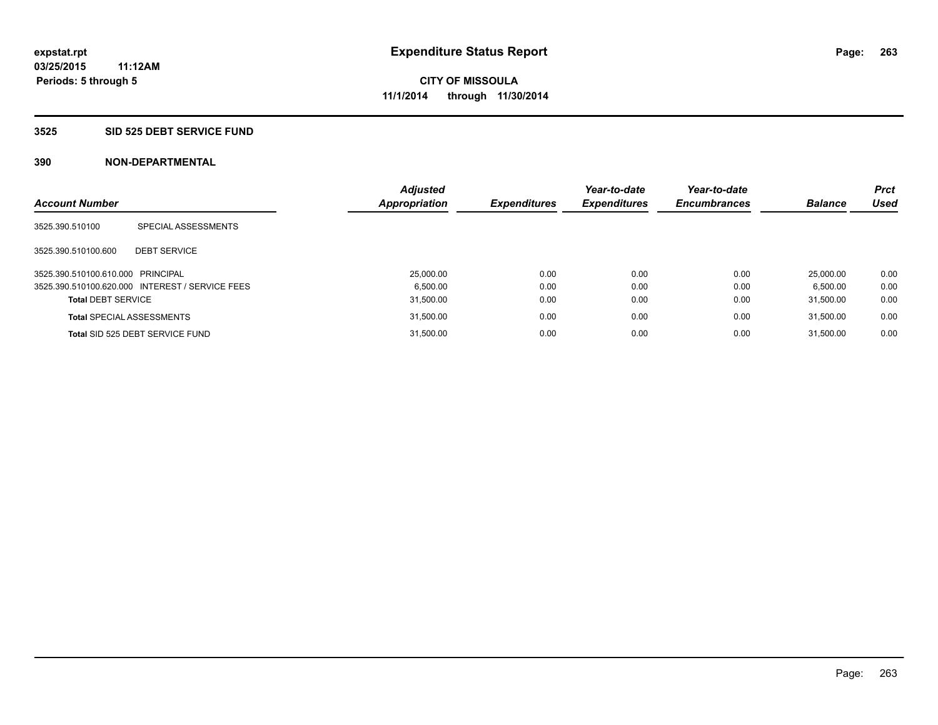#### **3525 SID 525 DEBT SERVICE FUND**

| <b>Account Number</b>             |                                                 | <b>Adjusted</b><br>Appropriation | <b>Expenditures</b> | Year-to-date<br><b>Expenditures</b> | Year-to-date<br><b>Encumbrances</b> | <b>Balance</b> | <b>Prct</b><br><b>Used</b> |
|-----------------------------------|-------------------------------------------------|----------------------------------|---------------------|-------------------------------------|-------------------------------------|----------------|----------------------------|
|                                   |                                                 |                                  |                     |                                     |                                     |                |                            |
| 3525.390.510100                   | SPECIAL ASSESSMENTS                             |                                  |                     |                                     |                                     |                |                            |
| 3525.390.510100.600               | <b>DEBT SERVICE</b>                             |                                  |                     |                                     |                                     |                |                            |
| 3525.390.510100.610.000 PRINCIPAL |                                                 | 25,000.00                        | 0.00                | 0.00                                | 0.00                                | 25.000.00      | 0.00                       |
|                                   | 3525.390.510100.620.000 INTEREST / SERVICE FEES | 6.500.00                         | 0.00                | 0.00                                | 0.00                                | 6.500.00       | 0.00                       |
| <b>Total DEBT SERVICE</b>         |                                                 | 31.500.00                        | 0.00                | 0.00                                | 0.00                                | 31.500.00      | 0.00                       |
|                                   | <b>Total SPECIAL ASSESSMENTS</b>                | 31,500.00                        | 0.00                | 0.00                                | 0.00                                | 31.500.00      | 0.00                       |
|                                   | Total SID 525 DEBT SERVICE FUND                 | 31.500.00                        | 0.00                | 0.00                                | 0.00                                | 31.500.00      | 0.00                       |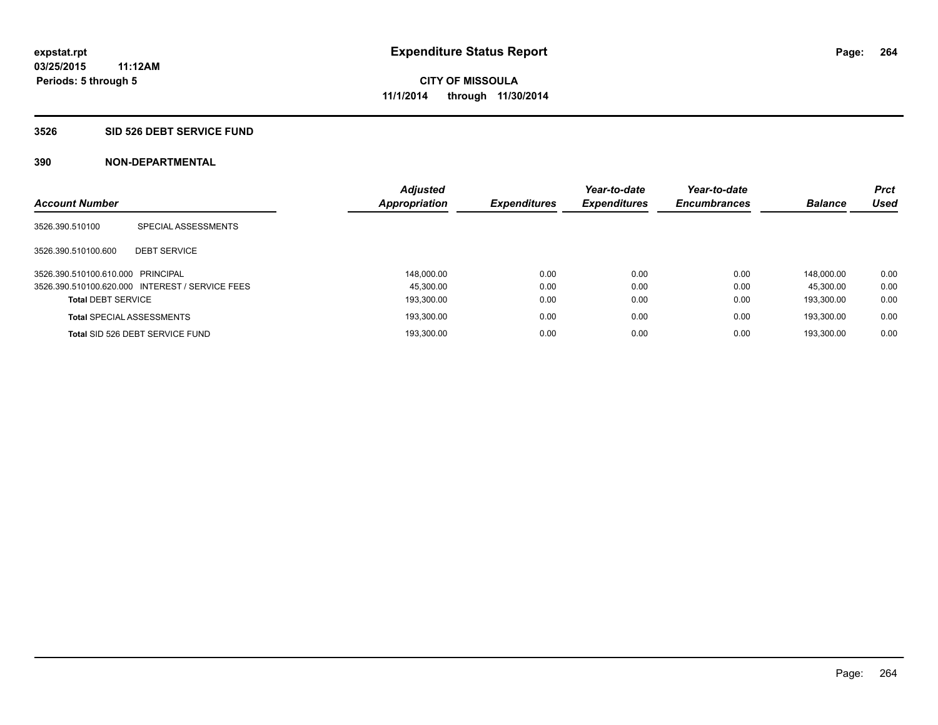#### **3526 SID 526 DEBT SERVICE FUND**

| <b>Account Number</b>             |                                                 | <b>Adjusted</b><br><b>Appropriation</b> | <b>Expenditures</b> | Year-to-date<br><b>Expenditures</b> | Year-to-date<br><b>Encumbrances</b> | <b>Balance</b> | <b>Prct</b><br><b>Used</b> |
|-----------------------------------|-------------------------------------------------|-----------------------------------------|---------------------|-------------------------------------|-------------------------------------|----------------|----------------------------|
| 3526.390.510100                   | SPECIAL ASSESSMENTS                             |                                         |                     |                                     |                                     |                |                            |
| 3526.390.510100.600               | <b>DEBT SERVICE</b>                             |                                         |                     |                                     |                                     |                |                            |
| 3526.390.510100.610.000 PRINCIPAL |                                                 | 148.000.00                              | 0.00                | 0.00                                | 0.00                                | 148.000.00     | 0.00                       |
|                                   | 3526.390.510100.620.000 INTEREST / SERVICE FEES | 45.300.00                               | 0.00                | 0.00                                | 0.00                                | 45.300.00      | 0.00                       |
| <b>Total DEBT SERVICE</b>         |                                                 | 193,300.00                              | 0.00                | 0.00                                | 0.00                                | 193.300.00     | 0.00                       |
|                                   | <b>Total SPECIAL ASSESSMENTS</b>                | 193.300.00                              | 0.00                | 0.00                                | 0.00                                | 193.300.00     | 0.00                       |
|                                   | Total SID 526 DEBT SERVICE FUND                 | 193.300.00                              | 0.00                | 0.00                                | 0.00                                | 193.300.00     | 0.00                       |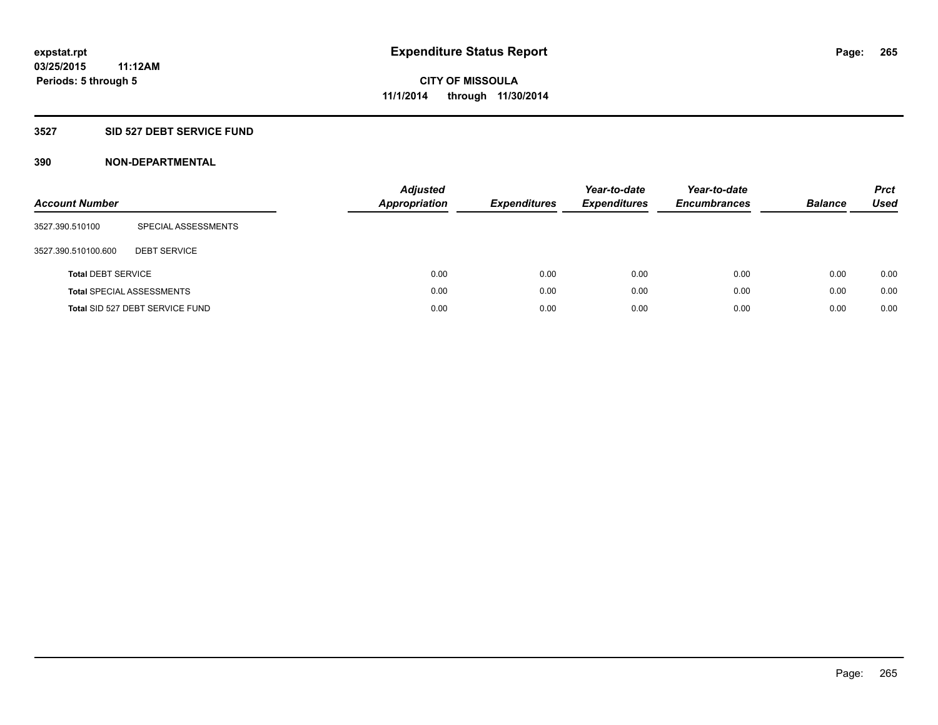### **3527 SID 527 DEBT SERVICE FUND**

| <b>Account Number</b>     |                                  | <b>Adjusted</b><br><b>Appropriation</b> | <b>Expenditures</b> | Year-to-date<br><b>Expenditures</b> | Year-to-date<br><b>Encumbrances</b> | <b>Balance</b> | <b>Prct</b><br>Used |
|---------------------------|----------------------------------|-----------------------------------------|---------------------|-------------------------------------|-------------------------------------|----------------|---------------------|
| 3527.390.510100           | SPECIAL ASSESSMENTS              |                                         |                     |                                     |                                     |                |                     |
| 3527.390.510100.600       | <b>DEBT SERVICE</b>              |                                         |                     |                                     |                                     |                |                     |
| <b>Total DEBT SERVICE</b> |                                  | 0.00                                    | 0.00                | 0.00                                | 0.00                                | 0.00           | 0.00                |
|                           | <b>Total SPECIAL ASSESSMENTS</b> | 0.00                                    | 0.00                | 0.00                                | 0.00                                | 0.00           | 0.00                |
|                           | Total SID 527 DEBT SERVICE FUND  | 0.00                                    | 0.00                | 0.00                                | 0.00                                | 0.00           | 0.00                |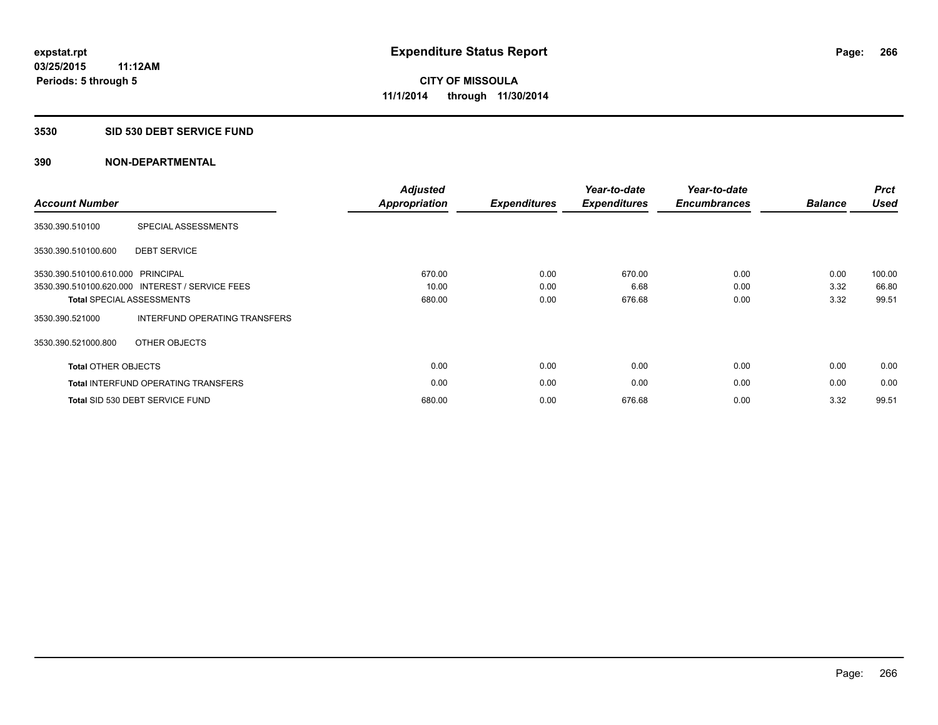#### **3530 SID 530 DEBT SERVICE FUND**

| <b>Account Number</b>             |                                                 | <b>Adjusted</b><br>Appropriation | <b>Expenditures</b> | Year-to-date<br><b>Expenditures</b> | Year-to-date<br><b>Encumbrances</b> | <b>Balance</b> | <b>Prct</b><br><b>Used</b> |
|-----------------------------------|-------------------------------------------------|----------------------------------|---------------------|-------------------------------------|-------------------------------------|----------------|----------------------------|
| 3530.390.510100                   | SPECIAL ASSESSMENTS                             |                                  |                     |                                     |                                     |                |                            |
| 3530.390.510100.600               | <b>DEBT SERVICE</b>                             |                                  |                     |                                     |                                     |                |                            |
| 3530.390.510100.610.000 PRINCIPAL |                                                 | 670.00                           | 0.00                | 670.00                              | 0.00                                | 0.00           | 100.00                     |
|                                   | 3530.390.510100.620.000 INTEREST / SERVICE FEES | 10.00                            | 0.00                | 6.68                                | 0.00                                | 3.32           | 66.80                      |
|                                   | <b>Total SPECIAL ASSESSMENTS</b>                | 680.00                           | 0.00                | 676.68                              | 0.00                                | 3.32           | 99.51                      |
| 3530.390.521000                   | INTERFUND OPERATING TRANSFERS                   |                                  |                     |                                     |                                     |                |                            |
| 3530.390.521000.800               | OTHER OBJECTS                                   |                                  |                     |                                     |                                     |                |                            |
| <b>Total OTHER OBJECTS</b>        |                                                 | 0.00                             | 0.00                | 0.00                                | 0.00                                | 0.00           | 0.00                       |
|                                   | <b>Total INTERFUND OPERATING TRANSFERS</b>      | 0.00                             | 0.00                | 0.00                                | 0.00                                | 0.00           | 0.00                       |
|                                   | Total SID 530 DEBT SERVICE FUND                 | 680.00                           | 0.00                | 676.68                              | 0.00                                | 3.32           | 99.51                      |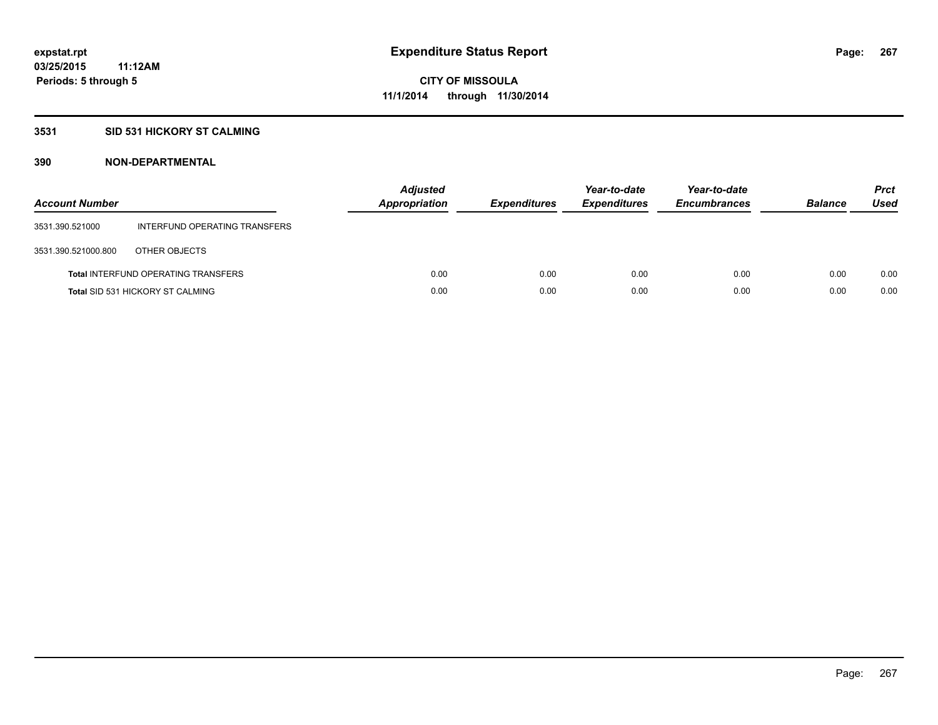### **3531 SID 531 HICKORY ST CALMING**

| <b>Account Number</b> |                                            | <b>Adjusted</b><br>Appropriation | <b>Expenditures</b> | Year-to-date<br><b>Expenditures</b> | Year-to-date<br><b>Encumbrances</b> | <b>Balance</b> | <b>Prct</b><br>Used |
|-----------------------|--------------------------------------------|----------------------------------|---------------------|-------------------------------------|-------------------------------------|----------------|---------------------|
| 3531.390.521000       | INTERFUND OPERATING TRANSFERS              |                                  |                     |                                     |                                     |                |                     |
| 3531.390.521000.800   | OTHER OBJECTS                              |                                  |                     |                                     |                                     |                |                     |
|                       | <b>Total INTERFUND OPERATING TRANSFERS</b> | 0.00                             | 0.00                | 0.00                                | 0.00                                | 0.00           | 0.00                |
|                       | <b>Total SID 531 HICKORY ST CALMING</b>    | 0.00                             | 0.00                | 0.00                                | 0.00                                | 0.00           | 0.00                |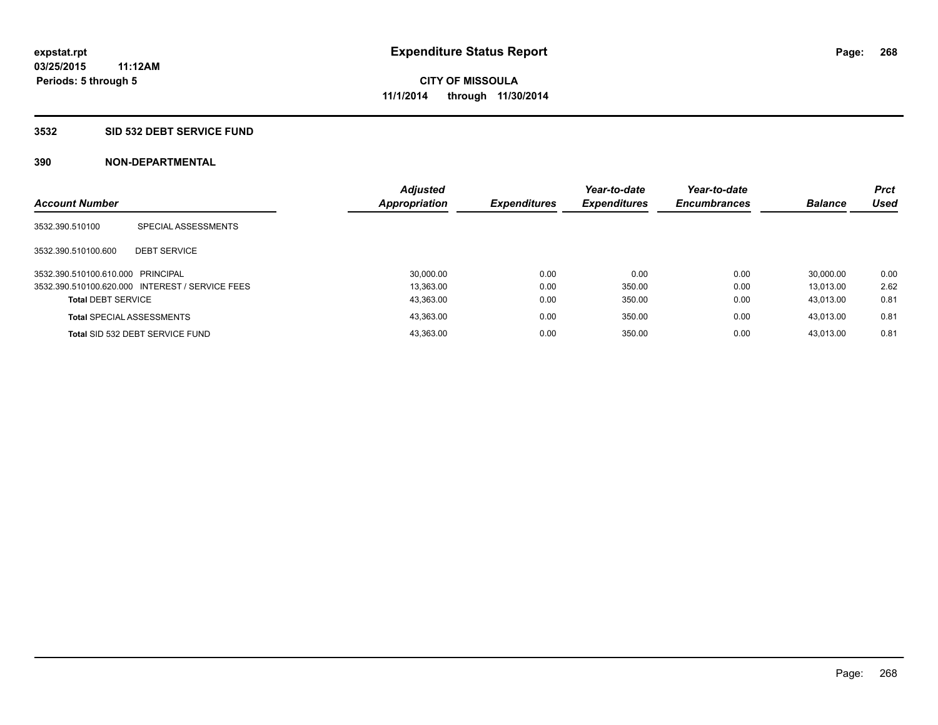#### **3532 SID 532 DEBT SERVICE FUND**

| <b>Account Number</b>             |                                                 | <b>Adjusted</b><br>Appropriation | <b>Expenditures</b> | Year-to-date<br><b>Expenditures</b> | Year-to-date<br><b>Encumbrances</b> | <b>Balance</b> | <b>Prct</b><br><b>Used</b> |
|-----------------------------------|-------------------------------------------------|----------------------------------|---------------------|-------------------------------------|-------------------------------------|----------------|----------------------------|
|                                   |                                                 |                                  |                     |                                     |                                     |                |                            |
| 3532.390.510100                   | SPECIAL ASSESSMENTS                             |                                  |                     |                                     |                                     |                |                            |
|                                   |                                                 |                                  |                     |                                     |                                     |                |                            |
| 3532.390.510100.600               | <b>DEBT SERVICE</b>                             |                                  |                     |                                     |                                     |                |                            |
| 3532.390.510100.610.000 PRINCIPAL |                                                 | 30,000.00                        | 0.00                | 0.00                                | 0.00                                | 30.000.00      | 0.00                       |
|                                   | 3532.390.510100.620.000 INTEREST / SERVICE FEES | 13.363.00                        | 0.00                | 350.00                              | 0.00                                | 13.013.00      | 2.62                       |
| <b>Total DEBT SERVICE</b>         |                                                 | 43.363.00                        | 0.00                | 350.00                              | 0.00                                | 43.013.00      | 0.81                       |
|                                   | <b>Total SPECIAL ASSESSMENTS</b>                | 43,363.00                        | 0.00                | 350.00                              | 0.00                                | 43.013.00      | 0.81                       |
|                                   | Total SID 532 DEBT SERVICE FUND                 | 43,363.00                        | 0.00                | 350.00                              | 0.00                                | 43.013.00      | 0.81                       |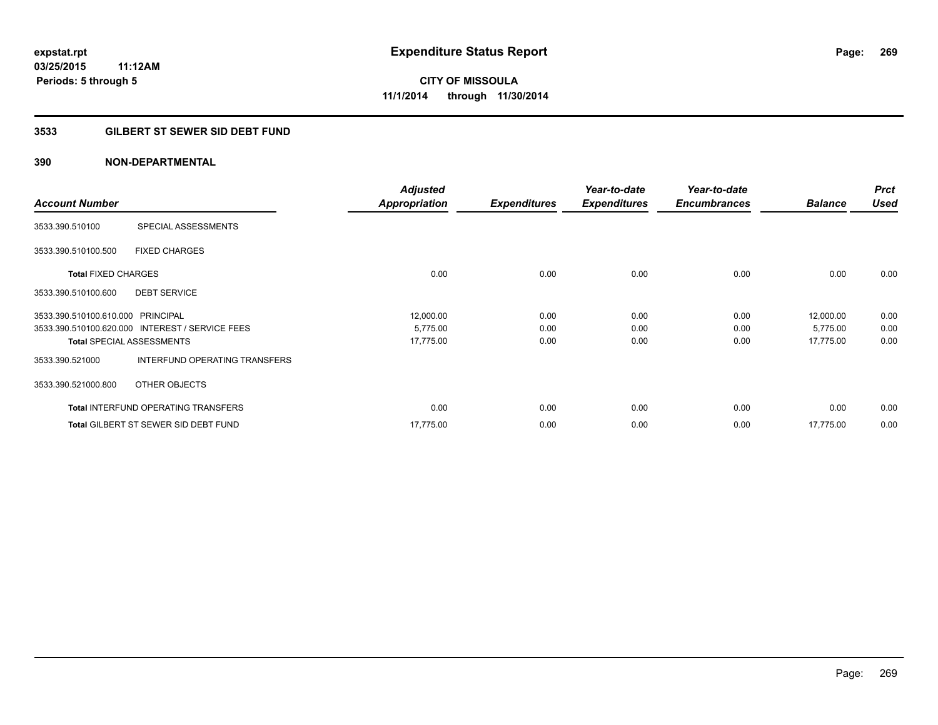### **3533 GILBERT ST SEWER SID DEBT FUND**

|                                   |                                                 | <b>Adjusted</b>      |                     | Year-to-date        | Year-to-date        |                | <b>Prct</b> |
|-----------------------------------|-------------------------------------------------|----------------------|---------------------|---------------------|---------------------|----------------|-------------|
| <b>Account Number</b>             |                                                 | <b>Appropriation</b> | <b>Expenditures</b> | <b>Expenditures</b> | <b>Encumbrances</b> | <b>Balance</b> | <b>Used</b> |
| 3533.390.510100                   | SPECIAL ASSESSMENTS                             |                      |                     |                     |                     |                |             |
| 3533.390.510100.500               | <b>FIXED CHARGES</b>                            |                      |                     |                     |                     |                |             |
| <b>Total FIXED CHARGES</b>        |                                                 | 0.00                 | 0.00                | 0.00                | 0.00                | 0.00           | 0.00        |
| 3533.390.510100.600               | <b>DEBT SERVICE</b>                             |                      |                     |                     |                     |                |             |
| 3533.390.510100.610.000 PRINCIPAL |                                                 | 12,000.00            | 0.00                | 0.00                | 0.00                | 12,000.00      | 0.00        |
|                                   | 3533.390.510100.620.000 INTEREST / SERVICE FEES | 5,775.00             | 0.00                | 0.00                | 0.00                | 5,775.00       | 0.00        |
|                                   | <b>Total SPECIAL ASSESSMENTS</b>                | 17,775.00            | 0.00                | 0.00                | 0.00                | 17,775.00      | 0.00        |
| 3533.390.521000                   | INTERFUND OPERATING TRANSFERS                   |                      |                     |                     |                     |                |             |
| 3533.390.521000.800               | OTHER OBJECTS                                   |                      |                     |                     |                     |                |             |
|                                   | <b>Total INTERFUND OPERATING TRANSFERS</b>      | 0.00                 | 0.00                | 0.00                | 0.00                | 0.00           | 0.00        |
|                                   | <b>Total GILBERT ST SEWER SID DEBT FUND</b>     | 17,775.00            | 0.00                | 0.00                | 0.00                | 17,775.00      | 0.00        |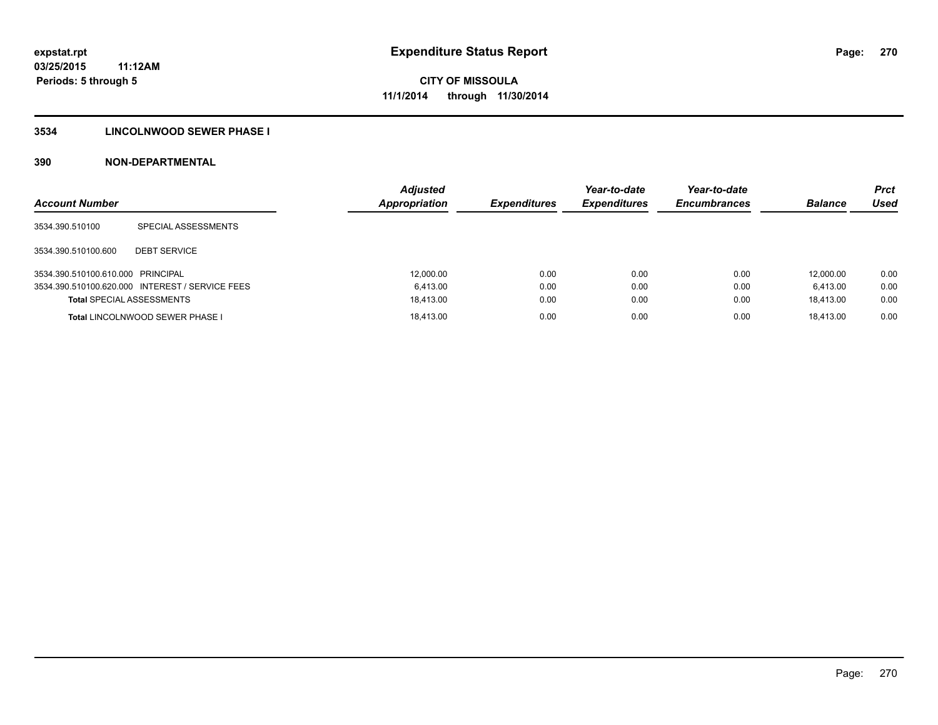### **3534 LINCOLNWOOD SEWER PHASE I**

| <b>Account Number</b>             |                                                 | <b>Adjusted</b><br><b>Appropriation</b> | <b>Expenditures</b> | Year-to-date<br><b>Expenditures</b> | Year-to-date<br><b>Encumbrances</b> | <b>Balance</b> | <b>Prct</b><br>Used |
|-----------------------------------|-------------------------------------------------|-----------------------------------------|---------------------|-------------------------------------|-------------------------------------|----------------|---------------------|
| 3534.390.510100                   | SPECIAL ASSESSMENTS                             |                                         |                     |                                     |                                     |                |                     |
| 3534.390.510100.600               | <b>DEBT SERVICE</b>                             |                                         |                     |                                     |                                     |                |                     |
| 3534.390.510100.610.000 PRINCIPAL |                                                 | 12,000.00                               | 0.00                | 0.00                                | 0.00                                | 12.000.00      | 0.00                |
|                                   | 3534.390.510100.620.000 INTEREST / SERVICE FEES | 6.413.00                                | 0.00                | 0.00                                | 0.00                                | 6.413.00       | 0.00                |
| <b>Total SPECIAL ASSESSMENTS</b>  |                                                 | 18.413.00                               | 0.00                | 0.00                                | 0.00                                | 18.413.00      | 0.00                |
|                                   | <b>Total LINCOLNWOOD SEWER PHASE I</b>          | 18.413.00                               | 0.00                | 0.00                                | 0.00                                | 18.413.00      | 0.00                |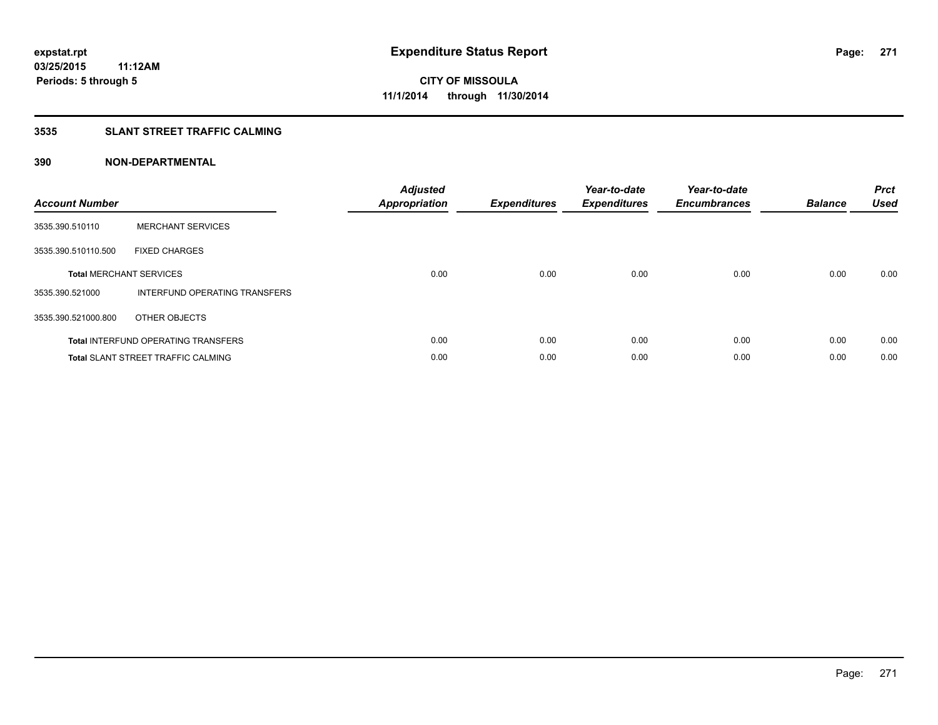### **3535 SLANT STREET TRAFFIC CALMING**

| <b>Account Number</b> |                                            | <b>Adjusted</b><br><b>Appropriation</b> | <b>Expenditures</b> | Year-to-date<br><b>Expenditures</b> | Year-to-date<br><b>Encumbrances</b> | <b>Balance</b> | <b>Prct</b><br>Used |
|-----------------------|--------------------------------------------|-----------------------------------------|---------------------|-------------------------------------|-------------------------------------|----------------|---------------------|
| 3535.390.510110       | <b>MERCHANT SERVICES</b>                   |                                         |                     |                                     |                                     |                |                     |
| 3535.390.510110.500   | <b>FIXED CHARGES</b>                       |                                         |                     |                                     |                                     |                |                     |
|                       | <b>Total MERCHANT SERVICES</b>             | 0.00                                    | 0.00                | 0.00                                | 0.00                                | 0.00           | 0.00                |
| 3535.390.521000       | INTERFUND OPERATING TRANSFERS              |                                         |                     |                                     |                                     |                |                     |
| 3535.390.521000.800   | OTHER OBJECTS                              |                                         |                     |                                     |                                     |                |                     |
|                       | <b>Total INTERFUND OPERATING TRANSFERS</b> | 0.00                                    | 0.00                | 0.00                                | 0.00                                | 0.00           | 0.00                |
|                       | <b>Total SLANT STREET TRAFFIC CALMING</b>  | 0.00                                    | 0.00                | 0.00                                | 0.00                                | 0.00           | 0.00                |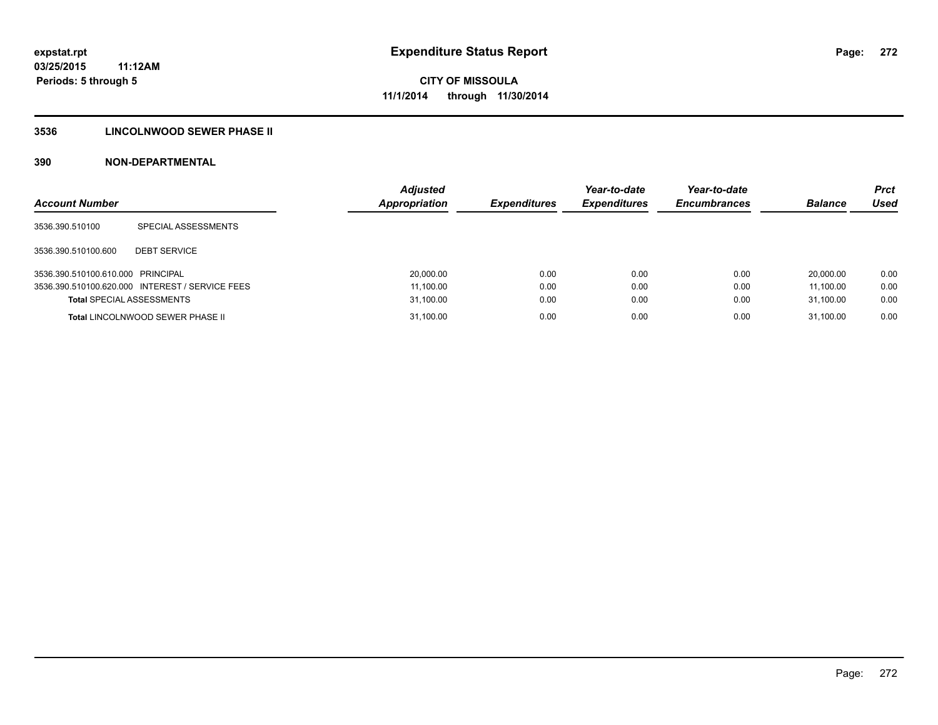### **3536 LINCOLNWOOD SEWER PHASE II**

| <b>Account Number</b>             |                                                 | <b>Adjusted</b><br><b>Appropriation</b> | <b>Expenditures</b> | Year-to-date<br><b>Expenditures</b> | Year-to-date<br><b>Encumbrances</b> | <b>Balance</b> | <b>Prct</b><br>Used |
|-----------------------------------|-------------------------------------------------|-----------------------------------------|---------------------|-------------------------------------|-------------------------------------|----------------|---------------------|
| 3536.390.510100                   | SPECIAL ASSESSMENTS                             |                                         |                     |                                     |                                     |                |                     |
| 3536.390.510100.600               | <b>DEBT SERVICE</b>                             |                                         |                     |                                     |                                     |                |                     |
| 3536.390.510100.610.000 PRINCIPAL |                                                 | 20,000.00                               | 0.00                | 0.00                                | 0.00                                | 20,000.00      | 0.00                |
|                                   | 3536.390.510100.620.000 INTEREST / SERVICE FEES | 11,100.00                               | 0.00                | 0.00                                | 0.00                                | 11.100.00      | 0.00                |
| <b>Total SPECIAL ASSESSMENTS</b>  |                                                 | 31,100.00                               | 0.00                | 0.00                                | 0.00                                | 31.100.00      | 0.00                |
|                                   | <b>Total LINCOLNWOOD SEWER PHASE II</b>         | 31,100.00                               | 0.00                | 0.00                                | 0.00                                | 31.100.00      | 0.00                |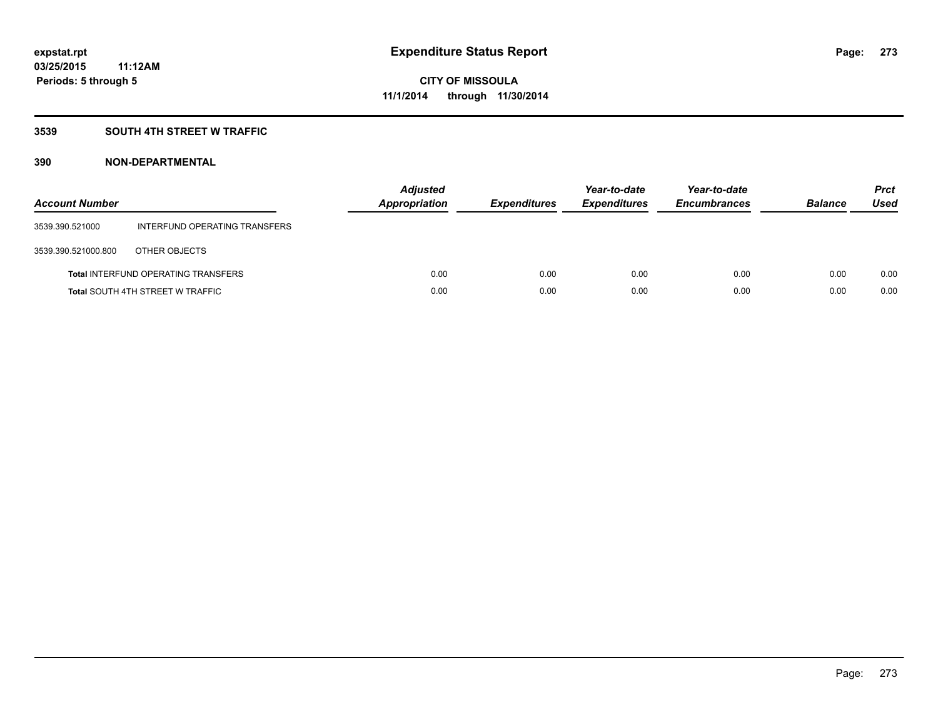### **3539 SOUTH 4TH STREET W TRAFFIC**

| <b>Account Number</b> |                                            | <b>Adjusted</b><br>Appropriation | <b>Expenditures</b> | Year-to-date<br><b>Expenditures</b> | Year-to-date<br><b>Encumbrances</b> | <b>Balance</b> | <b>Prct</b><br>Used |
|-----------------------|--------------------------------------------|----------------------------------|---------------------|-------------------------------------|-------------------------------------|----------------|---------------------|
| 3539.390.521000       | INTERFUND OPERATING TRANSFERS              |                                  |                     |                                     |                                     |                |                     |
| 3539.390.521000.800   | OTHER OBJECTS                              |                                  |                     |                                     |                                     |                |                     |
|                       | <b>Total INTERFUND OPERATING TRANSFERS</b> | 0.00                             | 0.00                | 0.00                                | 0.00                                | 0.00           | 0.00                |
|                       | <b>Total SOUTH 4TH STREET W TRAFFIC</b>    | 0.00                             | 0.00                | 0.00                                | 0.00                                | 0.00           | 0.00                |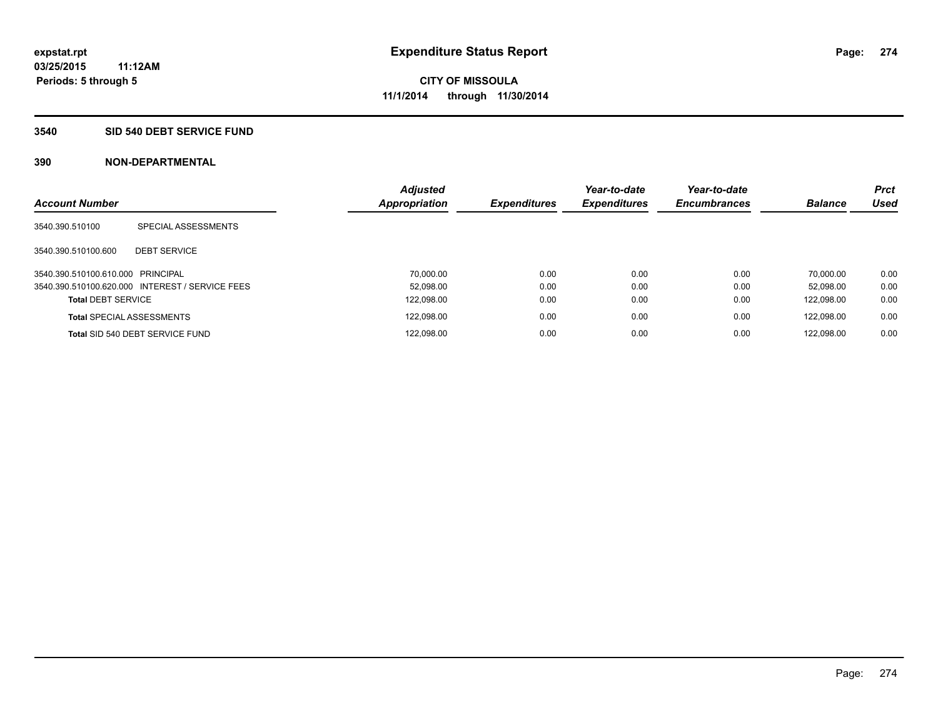#### **3540 SID 540 DEBT SERVICE FUND**

| <b>Account Number</b>             |                                                 | <b>Adjusted</b><br>Appropriation | <b>Expenditures</b> | Year-to-date<br><b>Expenditures</b> | Year-to-date<br><b>Encumbrances</b> | <b>Balance</b> | <b>Prct</b><br><b>Used</b> |
|-----------------------------------|-------------------------------------------------|----------------------------------|---------------------|-------------------------------------|-------------------------------------|----------------|----------------------------|
|                                   |                                                 |                                  |                     |                                     |                                     |                |                            |
| 3540.390.510100                   | SPECIAL ASSESSMENTS                             |                                  |                     |                                     |                                     |                |                            |
| 3540.390.510100.600               | <b>DEBT SERVICE</b>                             |                                  |                     |                                     |                                     |                |                            |
| 3540.390.510100.610.000 PRINCIPAL |                                                 | 70.000.00                        | 0.00                | 0.00                                | 0.00                                | 70.000.00      | 0.00                       |
|                                   | 3540.390.510100.620.000 INTEREST / SERVICE FEES | 52.098.00                        | 0.00                | 0.00                                | 0.00                                | 52.098.00      | 0.00                       |
| <b>Total DEBT SERVICE</b>         |                                                 | 122,098.00                       | 0.00                | 0.00                                | 0.00                                | 122.098.00     | 0.00                       |
|                                   | <b>Total SPECIAL ASSESSMENTS</b>                | 122,098.00                       | 0.00                | 0.00                                | 0.00                                | 122.098.00     | 0.00                       |
|                                   | Total SID 540 DEBT SERVICE FUND                 | 122,098.00                       | 0.00                | 0.00                                | 0.00                                | 122.098.00     | 0.00                       |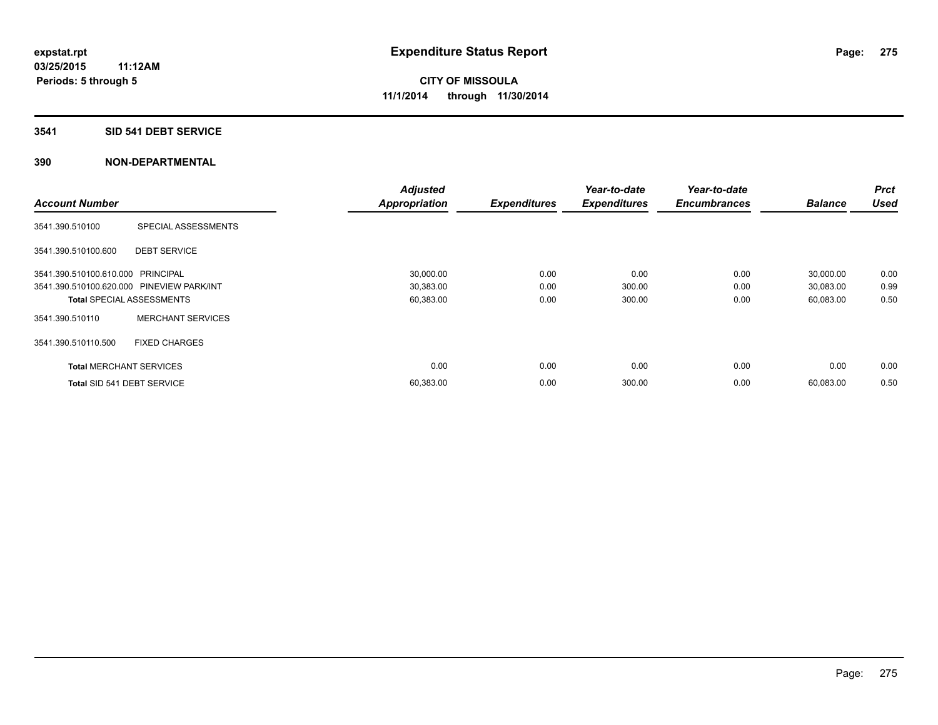#### **3541 SID 541 DEBT SERVICE**

|                                           |                          | <b>Adjusted</b>      |                     | Year-to-date        | Year-to-date        |                | Prct        |
|-------------------------------------------|--------------------------|----------------------|---------------------|---------------------|---------------------|----------------|-------------|
| <b>Account Number</b>                     |                          | <b>Appropriation</b> | <b>Expenditures</b> | <b>Expenditures</b> | <b>Encumbrances</b> | <b>Balance</b> | <b>Used</b> |
| 3541.390.510100                           | SPECIAL ASSESSMENTS      |                      |                     |                     |                     |                |             |
| 3541.390.510100.600                       | <b>DEBT SERVICE</b>      |                      |                     |                     |                     |                |             |
| 3541.390.510100.610.000 PRINCIPAL         |                          | 30,000.00            | 0.00                | 0.00                | 0.00                | 30,000.00      | 0.00        |
| 3541.390.510100.620.000 PINEVIEW PARK/INT |                          | 30,383.00            | 0.00                | 300.00              | 0.00                | 30,083.00      | 0.99        |
| <b>Total SPECIAL ASSESSMENTS</b>          |                          | 60,383.00            | 0.00                | 300.00              | 0.00                | 60,083.00      | 0.50        |
| 3541.390.510110                           | <b>MERCHANT SERVICES</b> |                      |                     |                     |                     |                |             |
| 3541.390.510110.500                       | <b>FIXED CHARGES</b>     |                      |                     |                     |                     |                |             |
| <b>Total MERCHANT SERVICES</b>            |                          | 0.00                 | 0.00                | 0.00                | 0.00                | 0.00           | 0.00        |
| Total SID 541 DEBT SERVICE                |                          | 60,383.00            | 0.00                | 300.00              | 0.00                | 60,083.00      | 0.50        |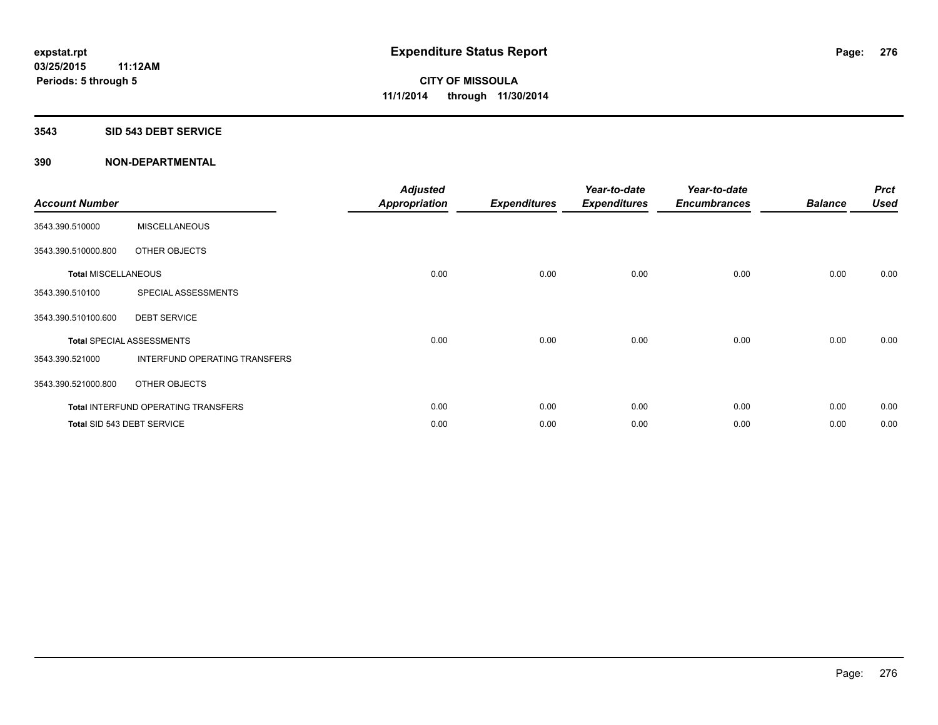#### **3543 SID 543 DEBT SERVICE**

| <b>Account Number</b>      |                                            | <b>Adjusted</b><br><b>Appropriation</b> | <b>Expenditures</b> | Year-to-date<br><b>Expenditures</b> | Year-to-date<br><b>Encumbrances</b> | <b>Balance</b> | <b>Prct</b><br><b>Used</b> |
|----------------------------|--------------------------------------------|-----------------------------------------|---------------------|-------------------------------------|-------------------------------------|----------------|----------------------------|
| 3543.390.510000            | <b>MISCELLANEOUS</b>                       |                                         |                     |                                     |                                     |                |                            |
| 3543.390.510000.800        | OTHER OBJECTS                              |                                         |                     |                                     |                                     |                |                            |
| <b>Total MISCELLANEOUS</b> |                                            | 0.00                                    | 0.00                | 0.00                                | 0.00                                | 0.00           | 0.00                       |
| 3543.390.510100            | SPECIAL ASSESSMENTS                        |                                         |                     |                                     |                                     |                |                            |
| 3543.390.510100.600        | <b>DEBT SERVICE</b>                        |                                         |                     |                                     |                                     |                |                            |
|                            | <b>Total SPECIAL ASSESSMENTS</b>           | 0.00                                    | 0.00                | 0.00                                | 0.00                                | 0.00           | 0.00                       |
| 3543.390.521000            | INTERFUND OPERATING TRANSFERS              |                                         |                     |                                     |                                     |                |                            |
| 3543.390.521000.800        | OTHER OBJECTS                              |                                         |                     |                                     |                                     |                |                            |
|                            | <b>Total INTERFUND OPERATING TRANSFERS</b> | 0.00                                    | 0.00                | 0.00                                | 0.00                                | 0.00           | 0.00                       |
|                            | Total SID 543 DEBT SERVICE                 | 0.00                                    | 0.00                | 0.00                                | 0.00                                | 0.00           | 0.00                       |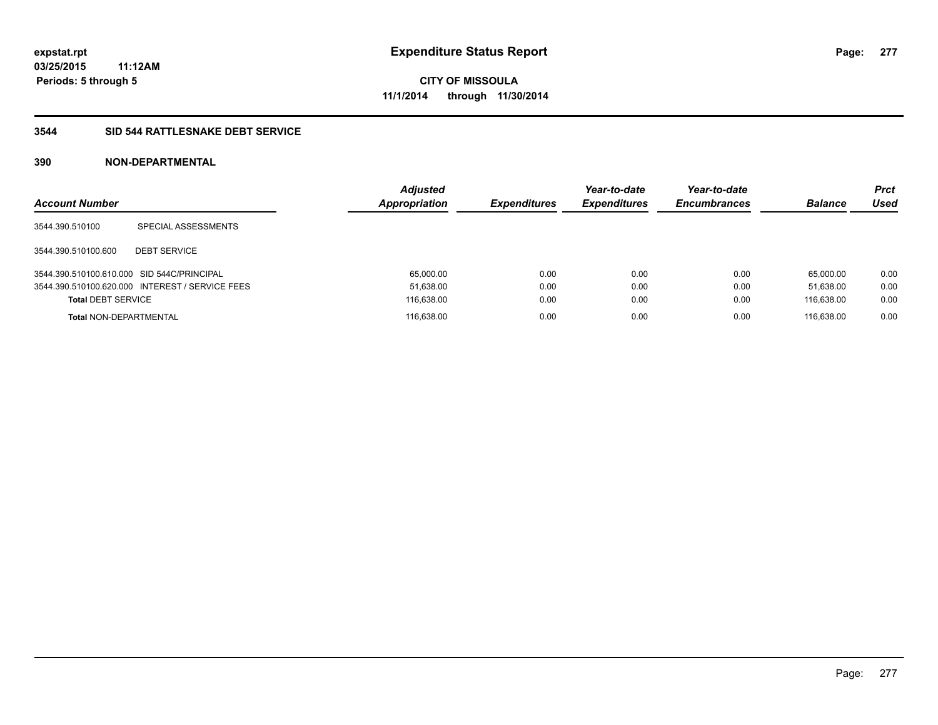#### **3544 SID 544 RATTLESNAKE DEBT SERVICE**

| <b>Account Number</b>                      |                                                 | <b>Adjusted</b><br><b>Appropriation</b> | <b>Expenditures</b> | Year-to-date<br><b>Expenditures</b> | Year-to-date<br><b>Encumbrances</b> | <b>Balance</b> | <b>Prct</b><br>Used |
|--------------------------------------------|-------------------------------------------------|-----------------------------------------|---------------------|-------------------------------------|-------------------------------------|----------------|---------------------|
| 3544.390.510100                            | SPECIAL ASSESSMENTS                             |                                         |                     |                                     |                                     |                |                     |
| 3544.390.510100.600                        | <b>DEBT SERVICE</b>                             |                                         |                     |                                     |                                     |                |                     |
| 3544.390.510100.610.000 SID 544C/PRINCIPAL |                                                 | 65.000.00                               | 0.00                | 0.00                                | 0.00                                | 65.000.00      | 0.00                |
|                                            | 3544.390.510100.620.000 INTEREST / SERVICE FEES | 51,638.00                               | 0.00                | 0.00                                | 0.00                                | 51.638.00      | 0.00                |
| <b>Total DEBT SERVICE</b>                  |                                                 | 116,638.00                              | 0.00                | 0.00                                | 0.00                                | 116.638.00     | 0.00                |
| <b>Total NON-DEPARTMENTAL</b>              |                                                 | 116.638.00                              | 0.00                | 0.00                                | 0.00                                | 116.638.00     | 0.00                |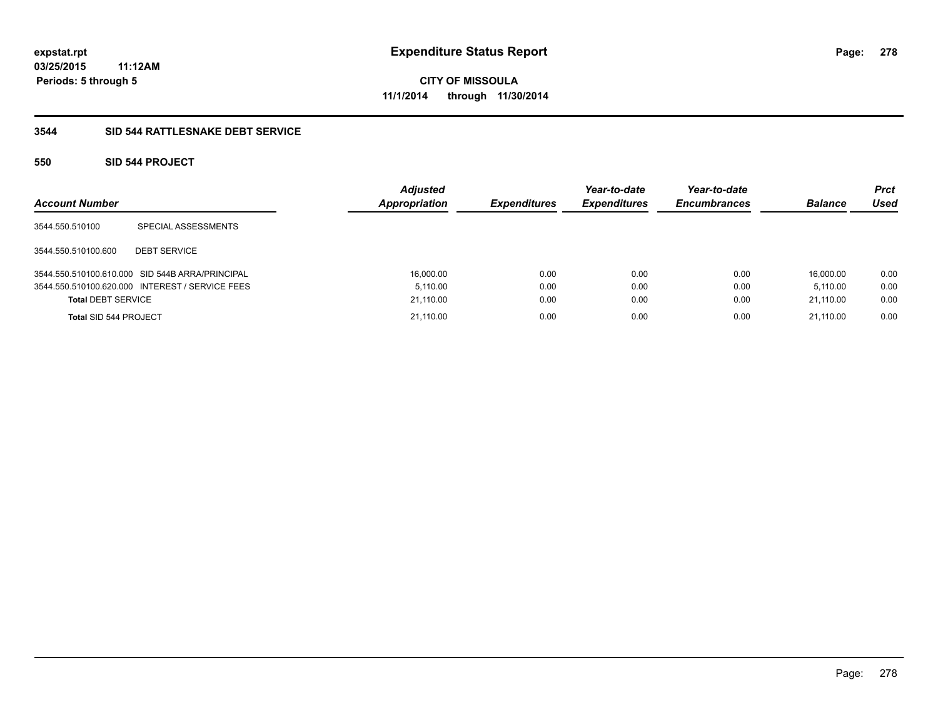### **3544 SID 544 RATTLESNAKE DEBT SERVICE**

### **550 SID 544 PROJECT**

| <b>Account Number</b>        |                                                 | <b>Adjusted</b><br>Appropriation | <b>Expenditures</b> | Year-to-date<br><b>Expenditures</b> | Year-to-date<br><b>Encumbrances</b> | <b>Balance</b> | <b>Prct</b><br><b>Used</b> |
|------------------------------|-------------------------------------------------|----------------------------------|---------------------|-------------------------------------|-------------------------------------|----------------|----------------------------|
| 3544.550.510100              | SPECIAL ASSESSMENTS                             |                                  |                     |                                     |                                     |                |                            |
| 3544.550.510100.600          | <b>DEBT SERVICE</b>                             |                                  |                     |                                     |                                     |                |                            |
|                              | 3544.550.510100.610.000 SID 544B ARRA/PRINCIPAL | 16,000.00                        | 0.00                | 0.00                                | 0.00                                | 16.000.00      | 0.00                       |
|                              | 3544.550.510100.620.000 INTEREST / SERVICE FEES | 5.110.00                         | 0.00                | 0.00                                | 0.00                                | 5.110.00       | 0.00                       |
| <b>Total DEBT SERVICE</b>    |                                                 | 21,110.00                        | 0.00                | 0.00                                | 0.00                                | 21.110.00      | 0.00                       |
| <b>Total SID 544 PROJECT</b> |                                                 | 21,110.00                        | 0.00                | 0.00                                | 0.00                                | 21.110.00      | 0.00                       |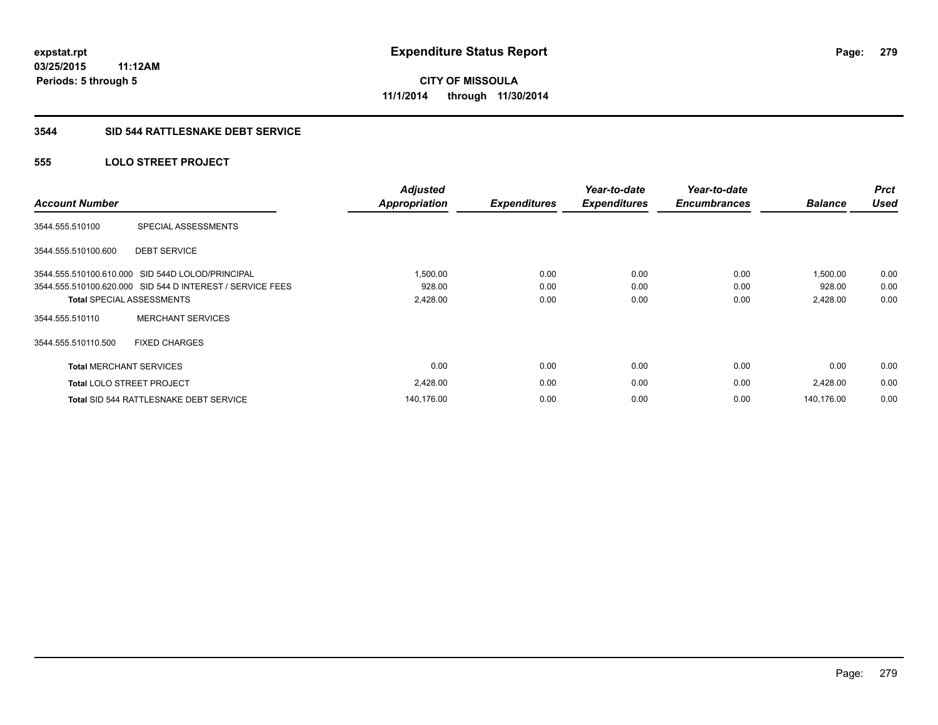#### **3544 SID 544 RATTLESNAKE DEBT SERVICE**

### **555 LOLO STREET PROJECT**

| <b>Account Number</b>          |                                                           | <b>Adjusted</b><br><b>Appropriation</b> | <b>Expenditures</b> | Year-to-date<br><b>Expenditures</b> | Year-to-date<br><b>Encumbrances</b> | <b>Balance</b> | <b>Prct</b><br><b>Used</b> |
|--------------------------------|-----------------------------------------------------------|-----------------------------------------|---------------------|-------------------------------------|-------------------------------------|----------------|----------------------------|
| 3544.555.510100                | SPECIAL ASSESSMENTS                                       |                                         |                     |                                     |                                     |                |                            |
| 3544.555.510100.600            | <b>DEBT SERVICE</b>                                       |                                         |                     |                                     |                                     |                |                            |
|                                | 3544.555.510100.610.000 SID 544D LOLOD/PRINCIPAL          | 1,500.00                                | 0.00                | 0.00                                | 0.00                                | 1,500.00       | 0.00                       |
|                                | 3544.555.510100.620.000 SID 544 D INTEREST / SERVICE FEES | 928.00                                  | 0.00                | 0.00                                | 0.00                                | 928.00         | 0.00                       |
|                                | <b>Total SPECIAL ASSESSMENTS</b>                          | 2,428.00                                | 0.00                | 0.00                                | 0.00                                | 2,428.00       | 0.00                       |
| 3544.555.510110                | <b>MERCHANT SERVICES</b>                                  |                                         |                     |                                     |                                     |                |                            |
| 3544.555.510110.500            | <b>FIXED CHARGES</b>                                      |                                         |                     |                                     |                                     |                |                            |
| <b>Total MERCHANT SERVICES</b> |                                                           | 0.00                                    | 0.00                | 0.00                                | 0.00                                | 0.00           | 0.00                       |
|                                | <b>Total LOLO STREET PROJECT</b>                          | 2,428.00                                | 0.00                | 0.00                                | 0.00                                | 2,428.00       | 0.00                       |
|                                | Total SID 544 RATTLESNAKE DEBT SERVICE                    | 140,176.00                              | 0.00                | 0.00                                | 0.00                                | 140.176.00     | 0.00                       |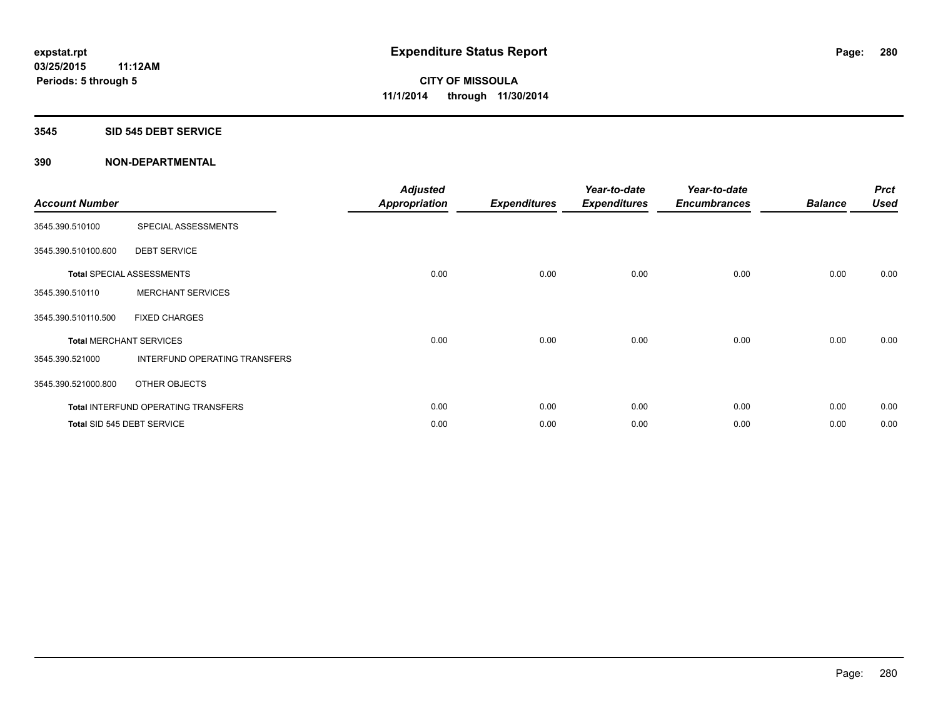#### **3545 SID 545 DEBT SERVICE**

| <b>Account Number</b> |                                      | <b>Adjusted</b><br><b>Appropriation</b> | <b>Expenditures</b> | Year-to-date<br><b>Expenditures</b> | Year-to-date<br><b>Encumbrances</b> | <b>Balance</b> | <b>Prct</b><br><b>Used</b> |
|-----------------------|--------------------------------------|-----------------------------------------|---------------------|-------------------------------------|-------------------------------------|----------------|----------------------------|
| 3545.390.510100       | SPECIAL ASSESSMENTS                  |                                         |                     |                                     |                                     |                |                            |
| 3545.390.510100.600   | <b>DEBT SERVICE</b>                  |                                         |                     |                                     |                                     |                |                            |
|                       | <b>Total SPECIAL ASSESSMENTS</b>     | 0.00                                    | 0.00                | 0.00                                | 0.00                                | 0.00           | 0.00                       |
| 3545.390.510110       | <b>MERCHANT SERVICES</b>             |                                         |                     |                                     |                                     |                |                            |
| 3545.390.510110.500   | <b>FIXED CHARGES</b>                 |                                         |                     |                                     |                                     |                |                            |
|                       | <b>Total MERCHANT SERVICES</b>       | 0.00                                    | 0.00                | 0.00                                | 0.00                                | 0.00           | 0.00                       |
| 3545.390.521000       | <b>INTERFUND OPERATING TRANSFERS</b> |                                         |                     |                                     |                                     |                |                            |
| 3545.390.521000.800   | OTHER OBJECTS                        |                                         |                     |                                     |                                     |                |                            |
|                       | Total INTERFUND OPERATING TRANSFERS  | 0.00                                    | 0.00                | 0.00                                | 0.00                                | 0.00           | 0.00                       |
|                       | Total SID 545 DEBT SERVICE           | 0.00                                    | 0.00                | 0.00                                | 0.00                                | 0.00           | 0.00                       |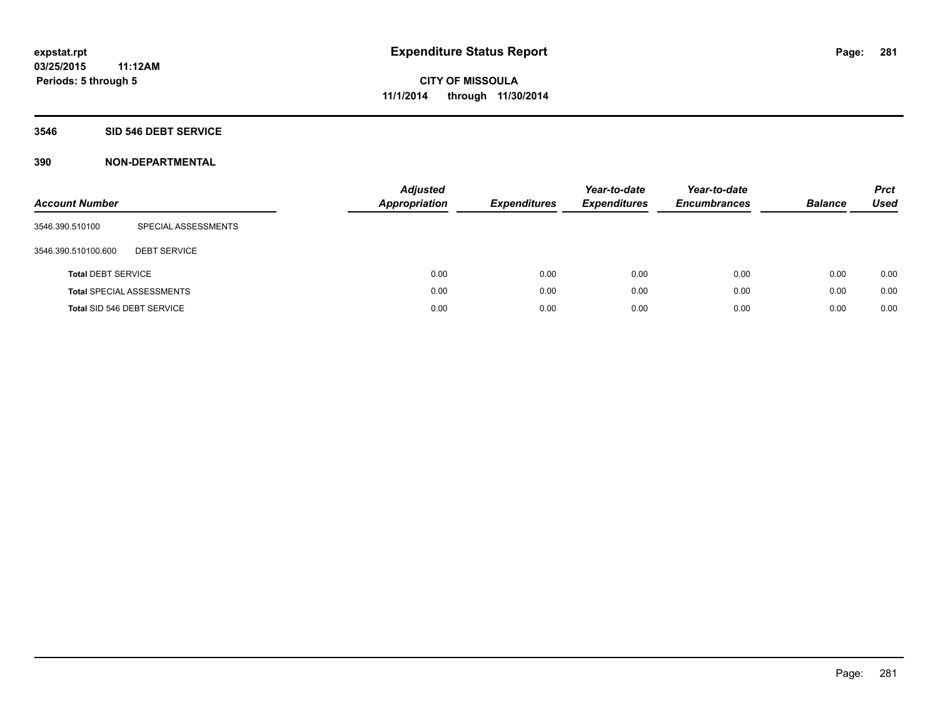#### **3546 SID 546 DEBT SERVICE**

| <b>Account Number</b>     |                                  | <b>Adjusted</b><br><b>Appropriation</b> | <b>Expenditures</b> | Year-to-date<br><b>Expenditures</b> | Year-to-date<br><b>Encumbrances</b> | <b>Balance</b> | <b>Prct</b><br><b>Used</b> |
|---------------------------|----------------------------------|-----------------------------------------|---------------------|-------------------------------------|-------------------------------------|----------------|----------------------------|
| 3546.390.510100           | SPECIAL ASSESSMENTS              |                                         |                     |                                     |                                     |                |                            |
| 3546.390.510100.600       | <b>DEBT SERVICE</b>              |                                         |                     |                                     |                                     |                |                            |
| <b>Total DEBT SERVICE</b> |                                  | 0.00                                    | 0.00                | 0.00                                | 0.00                                | 0.00           | 0.00                       |
|                           | <b>Total SPECIAL ASSESSMENTS</b> | 0.00                                    | 0.00                | 0.00                                | 0.00                                | 0.00           | 0.00                       |
|                           | Total SID 546 DEBT SERVICE       | 0.00                                    | 0.00                | 0.00                                | 0.00                                | 0.00           | 0.00                       |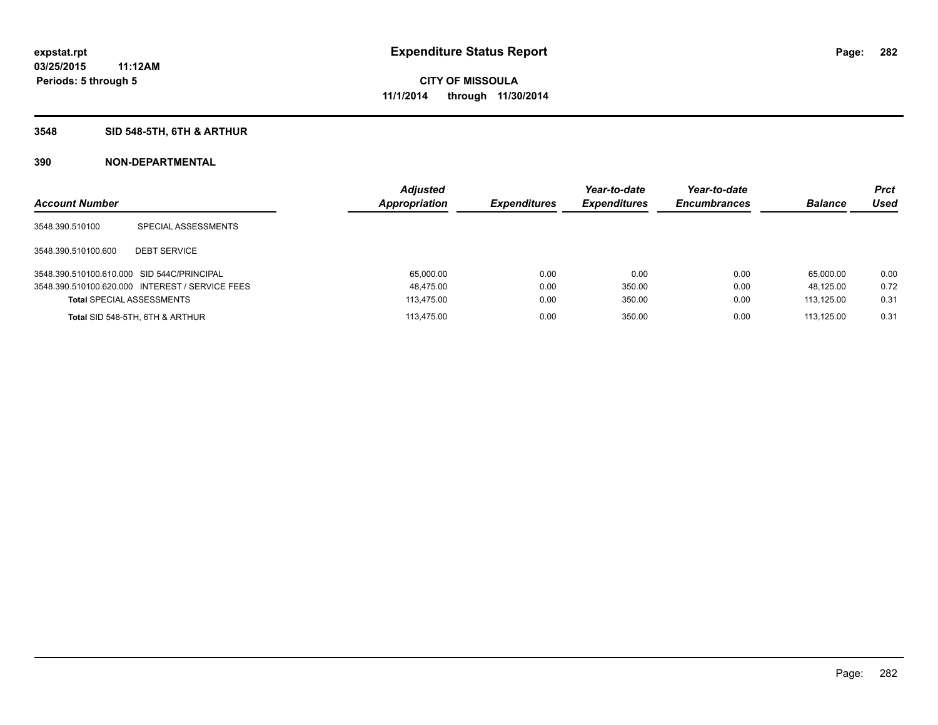### **3548 SID 548-5TH, 6TH & ARTHUR**

| <b>Account Number</b>                      |                                                 | <b>Adjusted</b><br><b>Appropriation</b> | <b>Expenditures</b> | Year-to-date<br><b>Expenditures</b> | Year-to-date<br><b>Encumbrances</b> | <b>Balance</b> | <b>Prct</b><br>Used |
|--------------------------------------------|-------------------------------------------------|-----------------------------------------|---------------------|-------------------------------------|-------------------------------------|----------------|---------------------|
| 3548.390.510100                            | SPECIAL ASSESSMENTS                             |                                         |                     |                                     |                                     |                |                     |
| 3548.390.510100.600                        | <b>DEBT SERVICE</b>                             |                                         |                     |                                     |                                     |                |                     |
| 3548.390.510100.610.000 SID 544C/PRINCIPAL |                                                 | 65.000.00                               | 0.00                | 0.00                                | 0.00                                | 65.000.00      | 0.00                |
|                                            | 3548.390.510100.620.000 INTEREST / SERVICE FEES | 48,475.00                               | 0.00                | 350.00                              | 0.00                                | 48.125.00      | 0.72                |
| <b>Total SPECIAL ASSESSMENTS</b>           |                                                 | 113.475.00                              | 0.00                | 350.00                              | 0.00                                | 113.125.00     | 0.31                |
|                                            | Total SID 548-5TH, 6TH & ARTHUR                 | 113.475.00                              | 0.00                | 350.00                              | 0.00                                | 113.125.00     | 0.31                |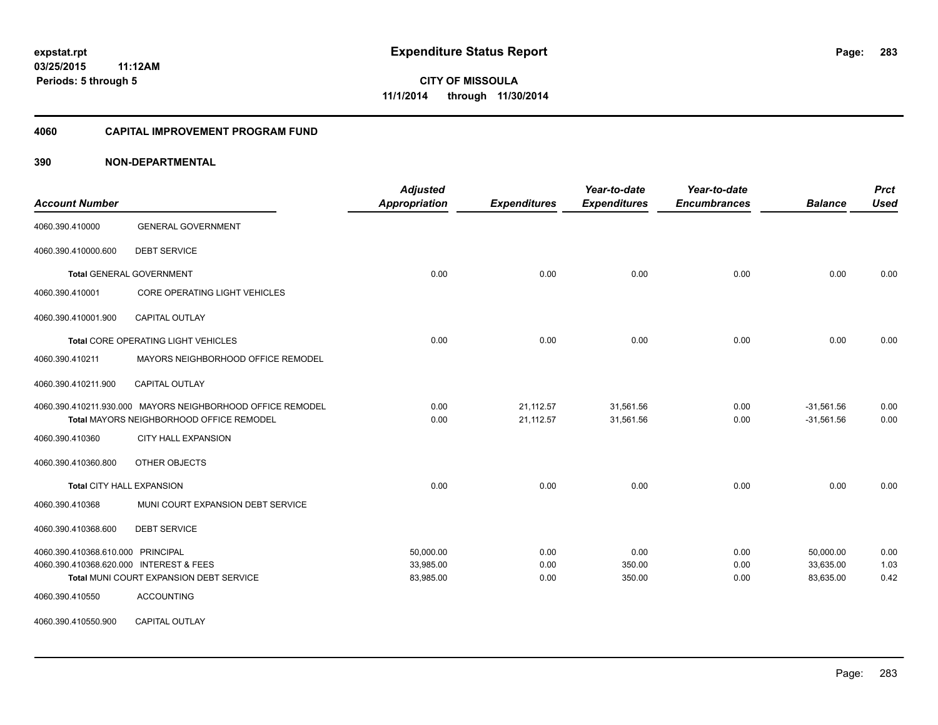#### **4060 CAPITAL IMPROVEMENT PROGRAM FUND**

| <b>Account Number</b>                   |                                                            | <b>Adjusted</b><br>Appropriation | <b>Expenditures</b> | Year-to-date<br><b>Expenditures</b> | Year-to-date<br><b>Encumbrances</b> | <b>Balance</b> | <b>Prct</b><br><b>Used</b> |
|-----------------------------------------|------------------------------------------------------------|----------------------------------|---------------------|-------------------------------------|-------------------------------------|----------------|----------------------------|
| 4060.390.410000                         | <b>GENERAL GOVERNMENT</b>                                  |                                  |                     |                                     |                                     |                |                            |
| 4060.390.410000.600                     | <b>DEBT SERVICE</b>                                        |                                  |                     |                                     |                                     |                |                            |
|                                         | <b>Total GENERAL GOVERNMENT</b>                            | 0.00                             | 0.00                | 0.00                                | 0.00                                | 0.00           | 0.00                       |
| 4060.390.410001                         | CORE OPERATING LIGHT VEHICLES                              |                                  |                     |                                     |                                     |                |                            |
| 4060.390.410001.900                     | CAPITAL OUTLAY                                             |                                  |                     |                                     |                                     |                |                            |
|                                         | Total CORE OPERATING LIGHT VEHICLES                        | 0.00                             | 0.00                | 0.00                                | 0.00                                | 0.00           | 0.00                       |
| 4060.390.410211                         | MAYORS NEIGHBORHOOD OFFICE REMODEL                         |                                  |                     |                                     |                                     |                |                            |
| 4060.390.410211.900                     | <b>CAPITAL OUTLAY</b>                                      |                                  |                     |                                     |                                     |                |                            |
|                                         | 4060.390.410211.930.000 MAYORS NEIGHBORHOOD OFFICE REMODEL | 0.00                             | 21,112.57           | 31,561.56                           | 0.00                                | $-31.561.56$   | 0.00                       |
|                                         | <b>Total MAYORS NEIGHBORHOOD OFFICE REMODEL</b>            | 0.00                             | 21,112.57           | 31,561.56                           | 0.00                                | $-31,561.56$   | 0.00                       |
| 4060.390.410360                         | CITY HALL EXPANSION                                        |                                  |                     |                                     |                                     |                |                            |
| 4060.390.410360.800                     | OTHER OBJECTS                                              |                                  |                     |                                     |                                     |                |                            |
|                                         | <b>Total CITY HALL EXPANSION</b>                           | 0.00                             | 0.00                | 0.00                                | 0.00                                | 0.00           | 0.00                       |
| 4060.390.410368                         | MUNI COURT EXPANSION DEBT SERVICE                          |                                  |                     |                                     |                                     |                |                            |
| 4060.390.410368.600                     | <b>DEBT SERVICE</b>                                        |                                  |                     |                                     |                                     |                |                            |
| 4060.390.410368.610.000 PRINCIPAL       |                                                            | 50,000.00                        | 0.00                | 0.00                                | 0.00                                | 50,000.00      | 0.00                       |
| 4060.390.410368.620.000 INTEREST & FEES |                                                            | 33,985.00                        | 0.00                | 350.00                              | 0.00                                | 33,635.00      | 1.03                       |
|                                         | Total MUNI COURT EXPANSION DEBT SERVICE                    | 83,985.00                        | 0.00                | 350.00                              | 0.00                                | 83,635.00      | 0.42                       |
| 4060.390.410550                         | <b>ACCOUNTING</b>                                          |                                  |                     |                                     |                                     |                |                            |
| 4060.390.410550.900                     | <b>CAPITAL OUTLAY</b>                                      |                                  |                     |                                     |                                     |                |                            |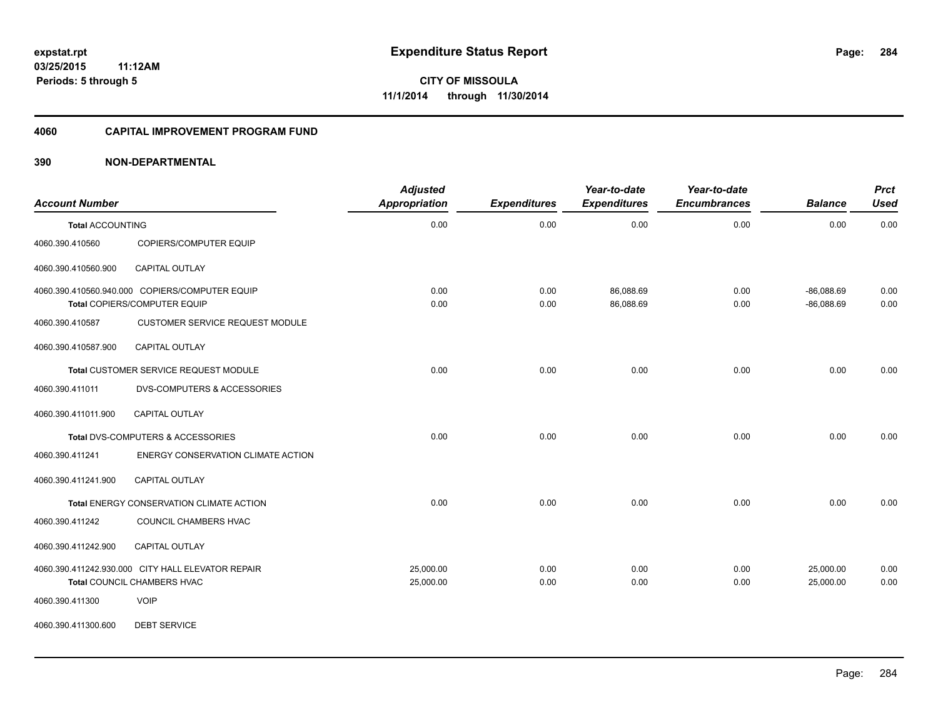#### **4060 CAPITAL IMPROVEMENT PROGRAM FUND**

### **390 NON-DEPARTMENTAL**

| <b>Account Number</b>   |                                                                                  | <b>Adjusted</b><br><b>Appropriation</b> | <b>Expenditures</b> | Year-to-date<br><b>Expenditures</b> | Year-to-date<br><b>Encumbrances</b> | <b>Balance</b>               | <b>Prct</b><br><b>Used</b> |
|-------------------------|----------------------------------------------------------------------------------|-----------------------------------------|---------------------|-------------------------------------|-------------------------------------|------------------------------|----------------------------|
| <b>Total ACCOUNTING</b> |                                                                                  | 0.00                                    | 0.00                | 0.00                                | 0.00                                | 0.00                         | 0.00                       |
| 4060.390.410560         | COPIERS/COMPUTER EQUIP                                                           |                                         |                     |                                     |                                     |                              |                            |
| 4060.390.410560.900     | CAPITAL OUTLAY                                                                   |                                         |                     |                                     |                                     |                              |                            |
|                         | 4060.390.410560.940.000 COPIERS/COMPUTER EQUIP<br>Total COPIERS/COMPUTER EQUIP   | 0.00<br>0.00                            | 0.00<br>0.00        | 86,088.69<br>86,088.69              | 0.00<br>0.00                        | $-86,088.69$<br>$-86,088.69$ | 0.00<br>0.00               |
| 4060.390.410587         | <b>CUSTOMER SERVICE REQUEST MODULE</b>                                           |                                         |                     |                                     |                                     |                              |                            |
| 4060.390.410587.900     | <b>CAPITAL OUTLAY</b>                                                            |                                         |                     |                                     |                                     |                              |                            |
|                         | Total CUSTOMER SERVICE REQUEST MODULE                                            | 0.00                                    | 0.00                | 0.00                                | 0.00                                | 0.00                         | 0.00                       |
| 4060.390.411011         | <b>DVS-COMPUTERS &amp; ACCESSORIES</b>                                           |                                         |                     |                                     |                                     |                              |                            |
| 4060.390.411011.900     | CAPITAL OUTLAY                                                                   |                                         |                     |                                     |                                     |                              |                            |
|                         | Total DVS-COMPUTERS & ACCESSORIES                                                | 0.00                                    | 0.00                | 0.00                                | 0.00                                | 0.00                         | 0.00                       |
| 4060.390.411241         | <b>ENERGY CONSERVATION CLIMATE ACTION</b>                                        |                                         |                     |                                     |                                     |                              |                            |
| 4060.390.411241.900     | <b>CAPITAL OUTLAY</b>                                                            |                                         |                     |                                     |                                     |                              |                            |
|                         | Total ENERGY CONSERVATION CLIMATE ACTION                                         | 0.00                                    | 0.00                | 0.00                                | 0.00                                | 0.00                         | 0.00                       |
| 4060.390.411242         | COUNCIL CHAMBERS HVAC                                                            |                                         |                     |                                     |                                     |                              |                            |
| 4060.390.411242.900     | CAPITAL OUTLAY                                                                   |                                         |                     |                                     |                                     |                              |                            |
|                         | 4060.390.411242.930.000 CITY HALL ELEVATOR REPAIR<br>Total COUNCIL CHAMBERS HVAC | 25,000.00<br>25,000.00                  | 0.00<br>0.00        | 0.00<br>0.00                        | 0.00<br>0.00                        | 25,000.00<br>25,000.00       | 0.00<br>0.00               |
| 4060.390.411300         | <b>VOIP</b>                                                                      |                                         |                     |                                     |                                     |                              |                            |

4060.390.411300.600 DEBT SERVICE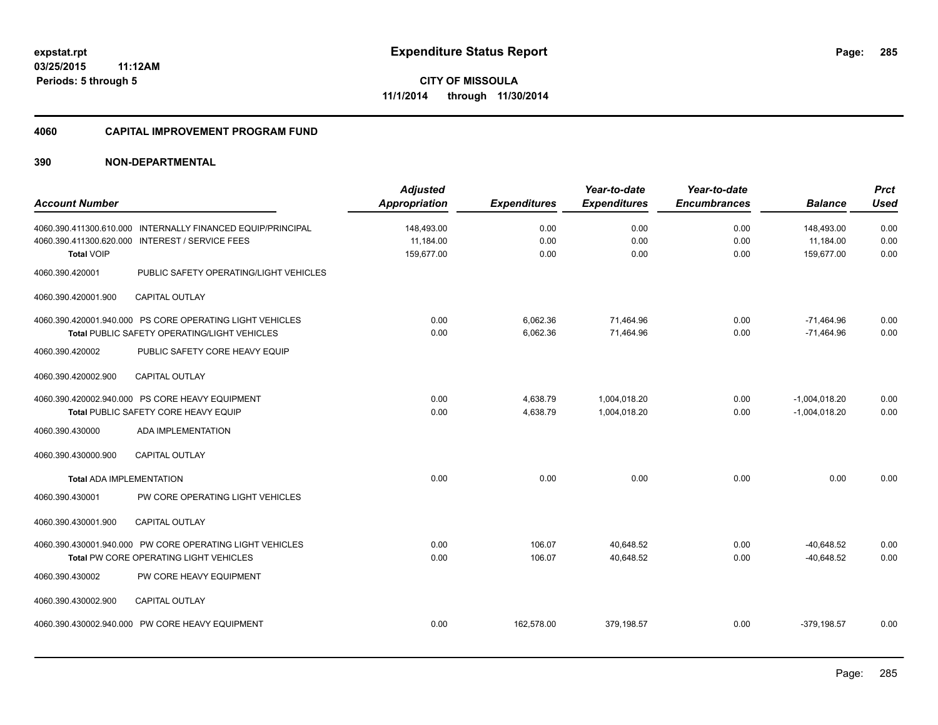#### **4060 CAPITAL IMPROVEMENT PROGRAM FUND**

| <b>Account Number</b>           |                                                                                                                                                   | <b>Adjusted</b><br><b>Appropriation</b> | <b>Expenditures</b>  | Year-to-date<br><b>Expenditures</b> | Year-to-date<br><b>Encumbrances</b> | <b>Balance</b>                        | <b>Prct</b><br><b>Used</b> |
|---------------------------------|---------------------------------------------------------------------------------------------------------------------------------------------------|-----------------------------------------|----------------------|-------------------------------------|-------------------------------------|---------------------------------------|----------------------------|
| <b>Total VOIP</b>               | 4060.390.411300.610.000 INTERNALLY FINANCED EQUIP/PRINCIPAL<br>4060.390.411300.620.000 INTEREST / SERVICE FEES                                    | 148,493.00<br>11,184.00<br>159,677.00   | 0.00<br>0.00<br>0.00 | 0.00<br>0.00<br>0.00                | 0.00<br>0.00<br>0.00                | 148,493.00<br>11,184.00<br>159,677.00 | 0.00<br>0.00<br>0.00       |
| 4060.390.420001                 | PUBLIC SAFETY OPERATING/LIGHT VEHICLES                                                                                                            |                                         |                      |                                     |                                     |                                       |                            |
| 4060.390.420001.900             | <b>CAPITAL OUTLAY</b>                                                                                                                             |                                         |                      |                                     |                                     |                                       |                            |
| 4060.390.420002                 | 4060.390.420001.940.000 PS CORE OPERATING LIGHT VEHICLES<br><b>Total PUBLIC SAFETY OPERATING/LIGHT VEHICLES</b><br>PUBLIC SAFETY CORE HEAVY EQUIP | 0.00<br>0.00                            | 6,062.36<br>6,062.36 | 71,464.96<br>71,464.96              | 0.00<br>0.00                        | $-71,464.96$<br>$-71,464.96$          | 0.00<br>0.00               |
| 4060.390.420002.900             | <b>CAPITAL OUTLAY</b>                                                                                                                             |                                         |                      |                                     |                                     |                                       |                            |
|                                 | 4060.390.420002.940.000 PS CORE HEAVY EQUIPMENT<br>Total PUBLIC SAFETY CORE HEAVY EQUIP                                                           | 0.00<br>0.00                            | 4,638.79<br>4,638.79 | 1,004,018.20<br>1,004,018.20        | 0.00<br>0.00                        | $-1,004,018.20$<br>$-1,004,018.20$    | 0.00<br>0.00               |
| 4060.390.430000                 | ADA IMPLEMENTATION                                                                                                                                |                                         |                      |                                     |                                     |                                       |                            |
| 4060.390.430000.900             | <b>CAPITAL OUTLAY</b>                                                                                                                             |                                         |                      |                                     |                                     |                                       |                            |
| <b>Total ADA IMPLEMENTATION</b> |                                                                                                                                                   | 0.00                                    | 0.00                 | 0.00                                | 0.00                                | 0.00                                  | 0.00                       |
| 4060.390.430001                 | PW CORE OPERATING LIGHT VEHICLES                                                                                                                  |                                         |                      |                                     |                                     |                                       |                            |
| 4060.390.430001.900             | <b>CAPITAL OUTLAY</b>                                                                                                                             |                                         |                      |                                     |                                     |                                       |                            |
|                                 | 4060.390.430001.940.000 PW CORE OPERATING LIGHT VEHICLES<br>Total PW CORE OPERATING LIGHT VEHICLES                                                | 0.00<br>0.00                            | 106.07<br>106.07     | 40,648.52<br>40,648.52              | 0.00<br>0.00                        | $-40.648.52$<br>$-40,648.52$          | 0.00<br>0.00               |
| 4060.390.430002                 | PW CORE HEAVY EQUIPMENT                                                                                                                           |                                         |                      |                                     |                                     |                                       |                            |
| 4060.390.430002.900             | <b>CAPITAL OUTLAY</b>                                                                                                                             |                                         |                      |                                     |                                     |                                       |                            |
|                                 | 4060.390.430002.940.000 PW CORE HEAVY EQUIPMENT                                                                                                   | 0.00                                    | 162,578.00           | 379,198.57                          | 0.00                                | $-379.198.57$                         | 0.00                       |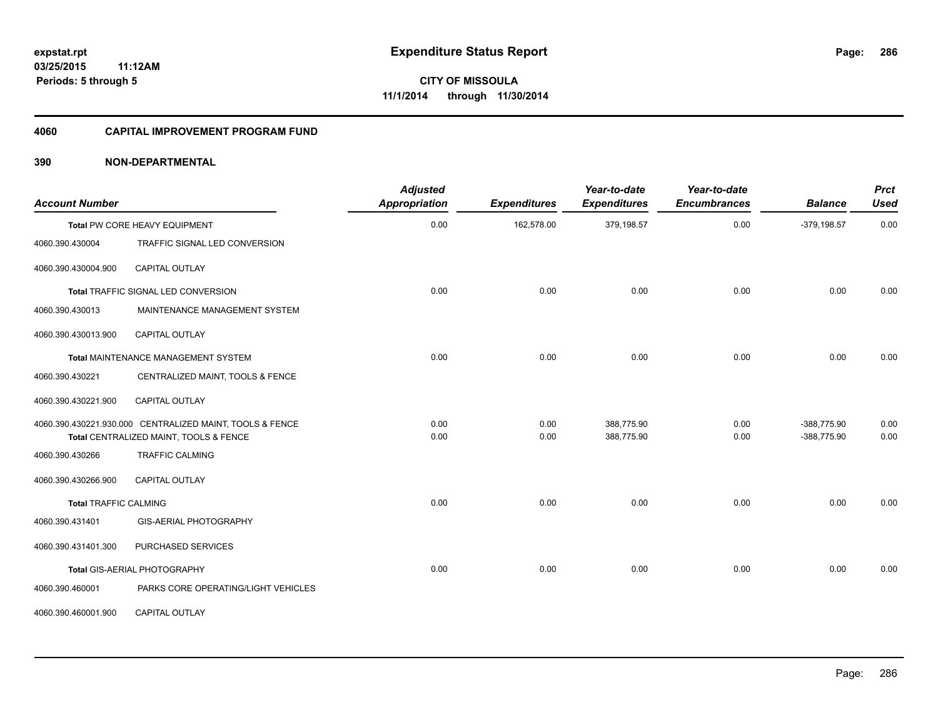#### **4060 CAPITAL IMPROVEMENT PROGRAM FUND**

| <b>Account Number</b>        |                                                                                                    | <b>Adjusted</b><br><b>Appropriation</b> | <b>Expenditures</b> | Year-to-date<br><b>Expenditures</b> | Year-to-date<br><b>Encumbrances</b> | <b>Balance</b>             | <b>Prct</b><br><b>Used</b> |
|------------------------------|----------------------------------------------------------------------------------------------------|-----------------------------------------|---------------------|-------------------------------------|-------------------------------------|----------------------------|----------------------------|
|                              | Total PW CORE HEAVY EQUIPMENT                                                                      | 0.00                                    | 162,578.00          | 379,198.57                          | 0.00                                | $-379,198.57$              | 0.00                       |
| 4060.390.430004              | TRAFFIC SIGNAL LED CONVERSION                                                                      |                                         |                     |                                     |                                     |                            |                            |
| 4060.390.430004.900          | <b>CAPITAL OUTLAY</b>                                                                              |                                         |                     |                                     |                                     |                            |                            |
|                              | Total TRAFFIC SIGNAL LED CONVERSION                                                                | 0.00                                    | 0.00                | 0.00                                | 0.00                                | 0.00                       | 0.00                       |
| 4060.390.430013              | MAINTENANCE MANAGEMENT SYSTEM                                                                      |                                         |                     |                                     |                                     |                            |                            |
| 4060.390.430013.900          | <b>CAPITAL OUTLAY</b>                                                                              |                                         |                     |                                     |                                     |                            |                            |
|                              | Total MAINTENANCE MANAGEMENT SYSTEM                                                                | 0.00                                    | 0.00                | 0.00                                | 0.00                                | 0.00                       | 0.00                       |
| 4060.390.430221              | CENTRALIZED MAINT, TOOLS & FENCE                                                                   |                                         |                     |                                     |                                     |                            |                            |
| 4060.390.430221.900          | CAPITAL OUTLAY                                                                                     |                                         |                     |                                     |                                     |                            |                            |
|                              | 4060.390.430221.930.000 CENTRALIZED MAINT, TOOLS & FENCE<br>Total CENTRALIZED MAINT, TOOLS & FENCE | 0.00<br>0.00                            | 0.00<br>0.00        | 388,775.90<br>388,775.90            | 0.00<br>0.00                        | -388,775.90<br>-388,775.90 | 0.00<br>0.00               |
| 4060.390.430266              | <b>TRAFFIC CALMING</b>                                                                             |                                         |                     |                                     |                                     |                            |                            |
| 4060.390.430266.900          | <b>CAPITAL OUTLAY</b>                                                                              |                                         |                     |                                     |                                     |                            |                            |
| <b>Total TRAFFIC CALMING</b> |                                                                                                    | 0.00                                    | 0.00                | 0.00                                | 0.00                                | 0.00                       | 0.00                       |
| 4060.390.431401              | GIS-AERIAL PHOTOGRAPHY                                                                             |                                         |                     |                                     |                                     |                            |                            |
| 4060.390.431401.300          | PURCHASED SERVICES                                                                                 |                                         |                     |                                     |                                     |                            |                            |
|                              | Total GIS-AERIAL PHOTOGRAPHY                                                                       | 0.00                                    | 0.00                | 0.00                                | 0.00                                | 0.00                       | 0.00                       |
| 4060.390.460001              | PARKS CORE OPERATING/LIGHT VEHICLES                                                                |                                         |                     |                                     |                                     |                            |                            |
| 4060.390.460001.900          | <b>CAPITAL OUTLAY</b>                                                                              |                                         |                     |                                     |                                     |                            |                            |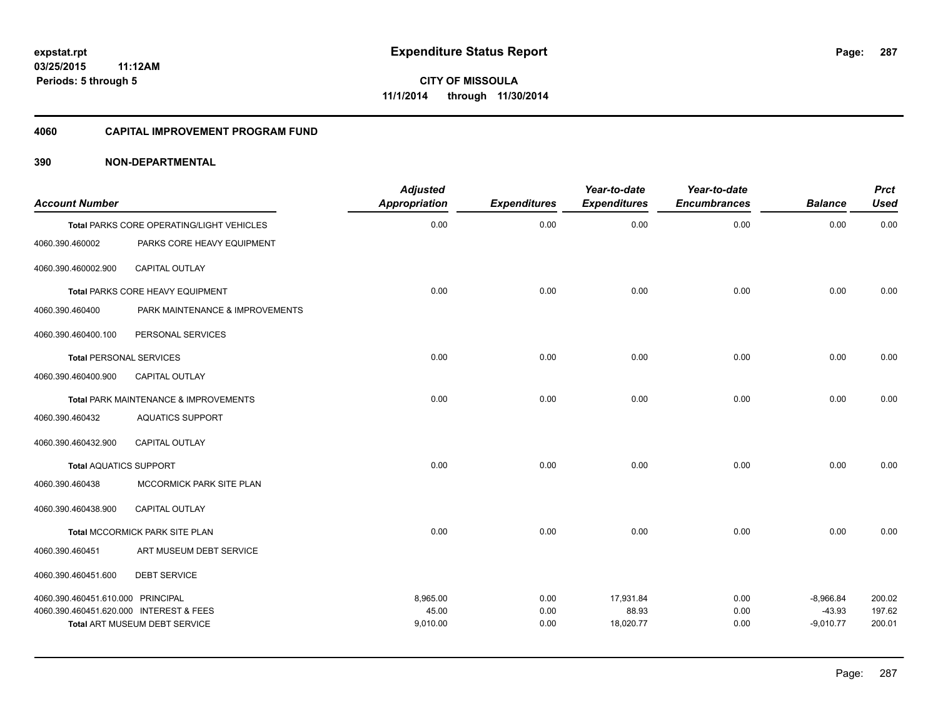#### **4060 CAPITAL IMPROVEMENT PROGRAM FUND**

| <b>Account Number</b>                   |                                           | <b>Adjusted</b><br>Appropriation | <b>Expenditures</b> | Year-to-date<br><b>Expenditures</b> | Year-to-date<br><b>Encumbrances</b> | <b>Balance</b>          | <b>Prct</b><br><b>Used</b> |
|-----------------------------------------|-------------------------------------------|----------------------------------|---------------------|-------------------------------------|-------------------------------------|-------------------------|----------------------------|
|                                         | Total PARKS CORE OPERATING/LIGHT VEHICLES | 0.00                             | 0.00                | 0.00                                | 0.00                                | 0.00                    | 0.00                       |
| 4060.390.460002                         | PARKS CORE HEAVY EQUIPMENT                |                                  |                     |                                     |                                     |                         |                            |
| 4060.390.460002.900                     | CAPITAL OUTLAY                            |                                  |                     |                                     |                                     |                         |                            |
|                                         | Total PARKS CORE HEAVY EQUIPMENT          | 0.00                             | 0.00                | 0.00                                | 0.00                                | 0.00                    | 0.00                       |
| 4060.390.460400                         | PARK MAINTENANCE & IMPROVEMENTS           |                                  |                     |                                     |                                     |                         |                            |
| 4060.390.460400.100                     | PERSONAL SERVICES                         |                                  |                     |                                     |                                     |                         |                            |
| <b>Total PERSONAL SERVICES</b>          |                                           | 0.00                             | 0.00                | 0.00                                | 0.00                                | 0.00                    | 0.00                       |
| 4060.390.460400.900                     | <b>CAPITAL OUTLAY</b>                     |                                  |                     |                                     |                                     |                         |                            |
|                                         | Total PARK MAINTENANCE & IMPROVEMENTS     | 0.00                             | 0.00                | 0.00                                | 0.00                                | 0.00                    | 0.00                       |
| 4060.390.460432                         | <b>AQUATICS SUPPORT</b>                   |                                  |                     |                                     |                                     |                         |                            |
| 4060.390.460432.900                     | CAPITAL OUTLAY                            |                                  |                     |                                     |                                     |                         |                            |
| <b>Total AQUATICS SUPPORT</b>           |                                           | 0.00                             | 0.00                | 0.00                                | 0.00                                | 0.00                    | 0.00                       |
| 4060.390.460438                         | MCCORMICK PARK SITE PLAN                  |                                  |                     |                                     |                                     |                         |                            |
| 4060.390.460438.900                     | <b>CAPITAL OUTLAY</b>                     |                                  |                     |                                     |                                     |                         |                            |
|                                         | Total MCCORMICK PARK SITE PLAN            | 0.00                             | 0.00                | 0.00                                | 0.00                                | 0.00                    | 0.00                       |
| 4060.390.460451                         | ART MUSEUM DEBT SERVICE                   |                                  |                     |                                     |                                     |                         |                            |
| 4060.390.460451.600                     | <b>DEBT SERVICE</b>                       |                                  |                     |                                     |                                     |                         |                            |
| 4060.390.460451.610.000 PRINCIPAL       |                                           | 8,965.00                         | 0.00                | 17,931.84                           | 0.00                                | $-8,966.84$             | 200.02                     |
| 4060.390.460451.620.000 INTEREST & FEES | <b>Total ART MUSEUM DEBT SERVICE</b>      | 45.00<br>9,010.00                | 0.00<br>0.00        | 88.93<br>18,020.77                  | 0.00<br>0.00                        | $-43.93$<br>$-9,010.77$ | 197.62<br>200.01           |
|                                         |                                           |                                  |                     |                                     |                                     |                         |                            |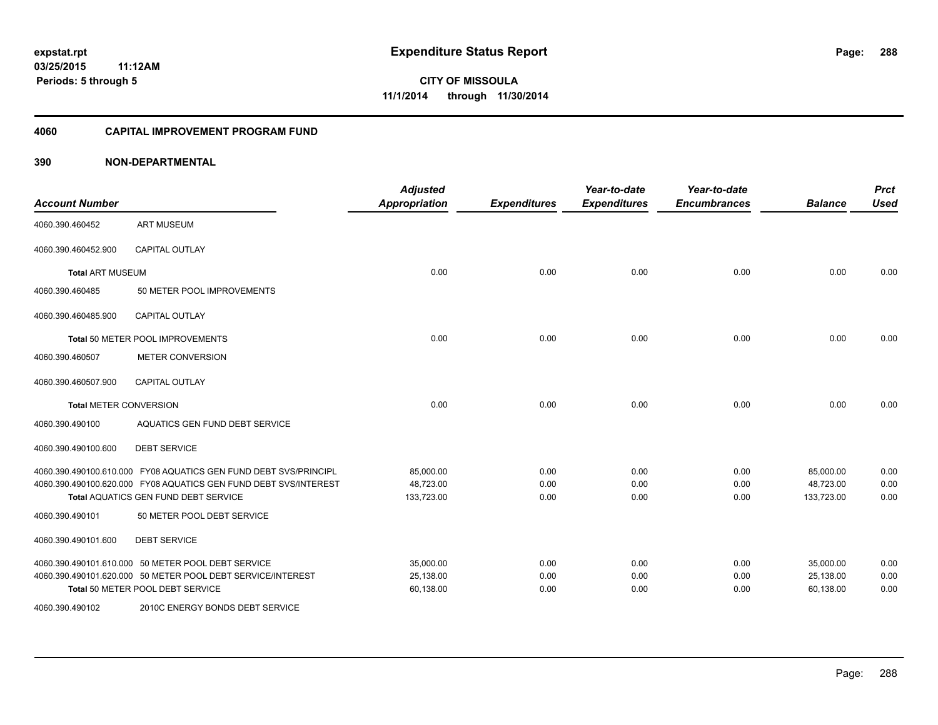#### **4060 CAPITAL IMPROVEMENT PROGRAM FUND**

| <b>Account Number</b>         |                                                                  | <b>Adjusted</b><br><b>Appropriation</b> | <b>Expenditures</b> | Year-to-date<br><b>Expenditures</b> | Year-to-date<br><b>Encumbrances</b> | <b>Balance</b> | <b>Prct</b><br><b>Used</b> |
|-------------------------------|------------------------------------------------------------------|-----------------------------------------|---------------------|-------------------------------------|-------------------------------------|----------------|----------------------------|
| 4060.390.460452               | <b>ART MUSEUM</b>                                                |                                         |                     |                                     |                                     |                |                            |
| 4060.390.460452.900           | <b>CAPITAL OUTLAY</b>                                            |                                         |                     |                                     |                                     |                |                            |
| <b>Total ART MUSEUM</b>       |                                                                  | 0.00                                    | 0.00                | 0.00                                | 0.00                                | 0.00           | 0.00                       |
| 4060.390.460485               | 50 METER POOL IMPROVEMENTS                                       |                                         |                     |                                     |                                     |                |                            |
| 4060.390.460485.900           | <b>CAPITAL OUTLAY</b>                                            |                                         |                     |                                     |                                     |                |                            |
|                               | Total 50 METER POOL IMPROVEMENTS                                 | 0.00                                    | 0.00                | 0.00                                | 0.00                                | 0.00           | 0.00                       |
| 4060.390.460507               | <b>METER CONVERSION</b>                                          |                                         |                     |                                     |                                     |                |                            |
| 4060.390.460507.900           | <b>CAPITAL OUTLAY</b>                                            |                                         |                     |                                     |                                     |                |                            |
| <b>Total METER CONVERSION</b> |                                                                  | 0.00                                    | 0.00                | 0.00                                | 0.00                                | 0.00           | 0.00                       |
| 4060.390.490100               | AQUATICS GEN FUND DEBT SERVICE                                   |                                         |                     |                                     |                                     |                |                            |
| 4060.390.490100.600           | <b>DEBT SERVICE</b>                                              |                                         |                     |                                     |                                     |                |                            |
|                               | 4060.390.490100.610.000 FY08 AQUATICS GEN FUND DEBT SVS/PRINCIPL | 85,000.00                               | 0.00                | 0.00                                | 0.00                                | 85,000.00      | 0.00                       |
|                               | 4060.390.490100.620.000 FY08 AQUATICS GEN FUND DEBT SVS/INTEREST | 48,723.00                               | 0.00                | 0.00                                | 0.00                                | 48,723.00      | 0.00                       |
|                               | <b>Total AQUATICS GEN FUND DEBT SERVICE</b>                      | 133,723.00                              | 0.00                | 0.00                                | 0.00                                | 133,723.00     | 0.00                       |
| 4060.390.490101               | 50 METER POOL DEBT SERVICE                                       |                                         |                     |                                     |                                     |                |                            |
| 4060.390.490101.600           | <b>DEBT SERVICE</b>                                              |                                         |                     |                                     |                                     |                |                            |
|                               | 4060.390.490101.610.000 50 METER POOL DEBT SERVICE               | 35,000.00                               | 0.00                | 0.00                                | 0.00                                | 35,000.00      | 0.00                       |
|                               | 4060.390.490101.620.000 50 METER POOL DEBT SERVICE/INTEREST      | 25,138.00                               | 0.00                | 0.00                                | 0.00                                | 25,138.00      | 0.00                       |
|                               | Total 50 METER POOL DEBT SERVICE                                 | 60,138.00                               | 0.00                | 0.00                                | 0.00                                | 60,138.00      | 0.00                       |
| 4060.390.490102               | 2010C ENERGY BONDS DEBT SERVICE                                  |                                         |                     |                                     |                                     |                |                            |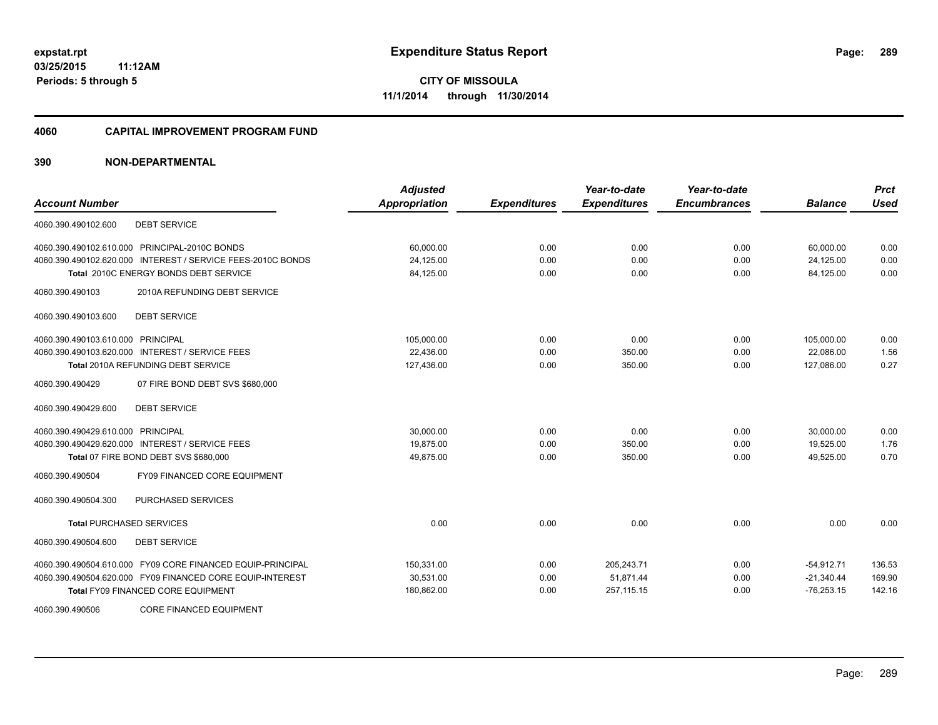#### **4060 CAPITAL IMPROVEMENT PROGRAM FUND**

| <b>Account Number</b>                                       | <b>Adjusted</b><br><b>Appropriation</b> | <b>Expenditures</b> | Year-to-date<br><b>Expenditures</b> | Year-to-date<br><b>Encumbrances</b> | <b>Balance</b> | <b>Prct</b><br><b>Used</b> |
|-------------------------------------------------------------|-----------------------------------------|---------------------|-------------------------------------|-------------------------------------|----------------|----------------------------|
| <b>DEBT SERVICE</b><br>4060.390.490102.600                  |                                         |                     |                                     |                                     |                |                            |
| 4060.390.490102.610.000 PRINCIPAL-2010C BONDS               | 60,000.00                               | 0.00                | 0.00                                | 0.00                                | 60,000.00      | 0.00                       |
| 4060.390.490102.620.000 INTEREST / SERVICE FEES-2010C BONDS | 24,125.00                               | 0.00                | 0.00                                | 0.00                                | 24,125.00      | 0.00                       |
| Total 2010C ENERGY BONDS DEBT SERVICE                       | 84,125.00                               | 0.00                | 0.00                                | 0.00                                | 84,125.00      | 0.00                       |
| 2010A REFUNDING DEBT SERVICE<br>4060.390.490103             |                                         |                     |                                     |                                     |                |                            |
| <b>DEBT SERVICE</b><br>4060.390.490103.600                  |                                         |                     |                                     |                                     |                |                            |
| 4060.390.490103.610.000 PRINCIPAL                           | 105,000.00                              | 0.00                | 0.00                                | 0.00                                | 105,000.00     | 0.00                       |
| 4060.390.490103.620.000 INTEREST / SERVICE FEES             | 22,436.00                               | 0.00                | 350.00                              | 0.00                                | 22,086.00      | 1.56                       |
| <b>Total 2010A REFUNDING DEBT SERVICE</b>                   | 127,436.00                              | 0.00                | 350.00                              | 0.00                                | 127,086.00     | 0.27                       |
| 4060.390.490429<br>07 FIRE BOND DEBT SVS \$680,000          |                                         |                     |                                     |                                     |                |                            |
| <b>DEBT SERVICE</b><br>4060.390.490429.600                  |                                         |                     |                                     |                                     |                |                            |
| 4060.390.490429.610.000 PRINCIPAL                           | 30,000.00                               | 0.00                | 0.00                                | 0.00                                | 30,000.00      | 0.00                       |
| 4060.390.490429.620.000 INTEREST / SERVICE FEES             | 19.875.00                               | 0.00                | 350.00                              | 0.00                                | 19,525.00      | 1.76                       |
| Total 07 FIRE BOND DEBT SVS \$680,000                       | 49,875.00                               | 0.00                | 350.00                              | 0.00                                | 49,525.00      | 0.70                       |
| <b>FY09 FINANCED CORE EQUIPMENT</b><br>4060.390.490504      |                                         |                     |                                     |                                     |                |                            |
| PURCHASED SERVICES<br>4060.390.490504.300                   |                                         |                     |                                     |                                     |                |                            |
| <b>Total PURCHASED SERVICES</b>                             | 0.00                                    | 0.00                | 0.00                                | 0.00                                | 0.00           | 0.00                       |
| <b>DEBT SERVICE</b><br>4060.390.490504.600                  |                                         |                     |                                     |                                     |                |                            |
| 4060.390.490504.610.000 FY09 CORE FINANCED EQUIP-PRINCIPAL  | 150,331.00                              | 0.00                | 205,243.71                          | 0.00                                | $-54,912.71$   | 136.53                     |
| 4060.390.490504.620.000 FY09 FINANCED CORE EQUIP-INTEREST   | 30,531.00                               | 0.00                | 51,871.44                           | 0.00                                | $-21,340.44$   | 169.90                     |
| <b>Total FY09 FINANCED CORE EQUIPMENT</b>                   | 180,862.00                              | 0.00                | 257,115.15                          | 0.00                                | $-76,253.15$   | 142.16                     |
| 4060.390.490506<br><b>CORE FINANCED EQUIPMENT</b>           |                                         |                     |                                     |                                     |                |                            |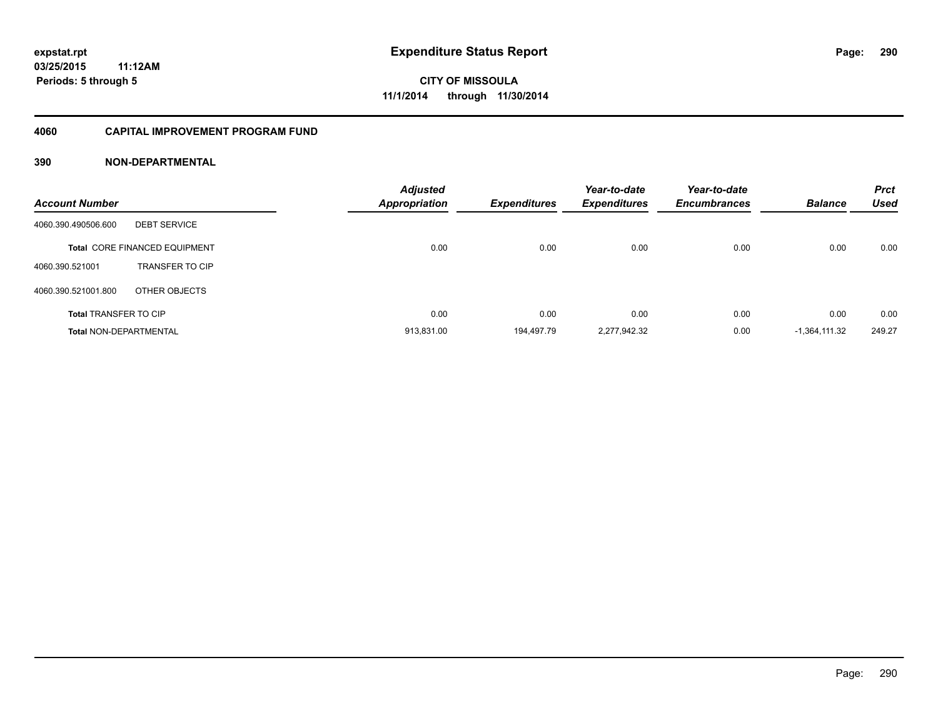#### **4060 CAPITAL IMPROVEMENT PROGRAM FUND**

| <b>Account Number</b>         |                                      | <b>Adjusted</b><br><b>Appropriation</b> | <b>Expenditures</b> | Year-to-date<br><b>Expenditures</b> | Year-to-date<br><b>Encumbrances</b> | <b>Balance</b>  | <b>Prct</b><br><b>Used</b> |
|-------------------------------|--------------------------------------|-----------------------------------------|---------------------|-------------------------------------|-------------------------------------|-----------------|----------------------------|
| 4060.390.490506.600           | <b>DEBT SERVICE</b>                  |                                         |                     |                                     |                                     |                 |                            |
|                               | <b>Total CORE FINANCED EQUIPMENT</b> | 0.00                                    | 0.00                | 0.00                                | 0.00                                | 0.00            | 0.00                       |
| 4060.390.521001               | <b>TRANSFER TO CIP</b>               |                                         |                     |                                     |                                     |                 |                            |
| 4060.390.521001.800           | OTHER OBJECTS                        |                                         |                     |                                     |                                     |                 |                            |
| <b>Total TRANSFER TO CIP</b>  |                                      | 0.00                                    | 0.00                | 0.00                                | 0.00                                | 0.00            | 0.00                       |
| <b>Total NON-DEPARTMENTAL</b> |                                      | 913.831.00                              | 194,497.79          | 2,277,942.32                        | 0.00                                | $-1.364.111.32$ | 249.27                     |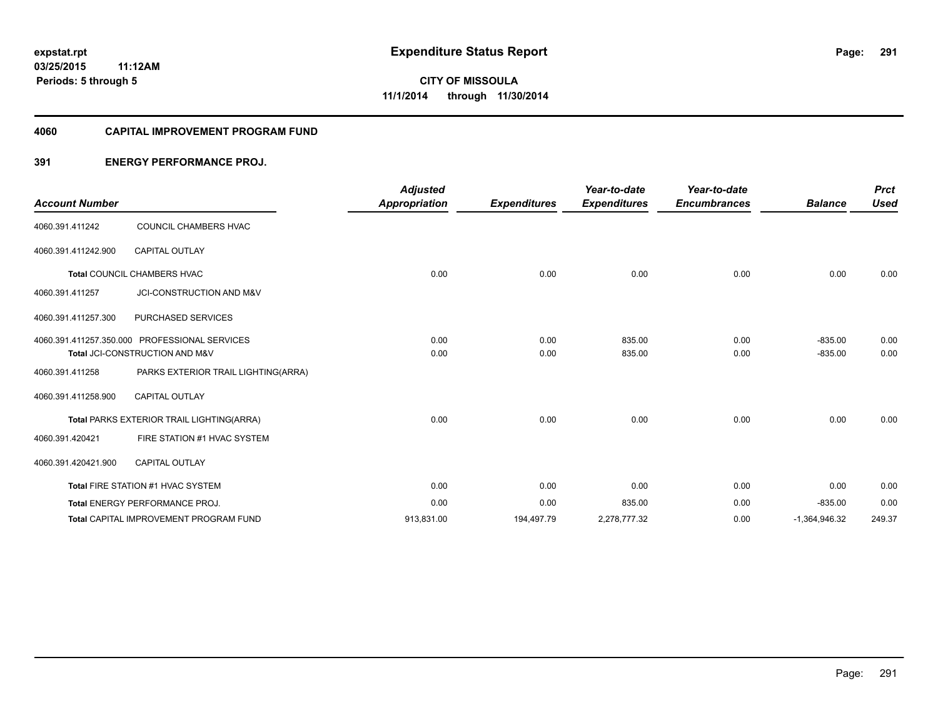#### **4060 CAPITAL IMPROVEMENT PROGRAM FUND**

## **391 ENERGY PERFORMANCE PROJ.**

| <b>Account Number</b> |                                               | <b>Adjusted</b><br><b>Appropriation</b> | <b>Expenditures</b> | Year-to-date<br><b>Expenditures</b> | Year-to-date<br><b>Encumbrances</b> | <b>Balance</b>  | <b>Prct</b><br><b>Used</b> |
|-----------------------|-----------------------------------------------|-----------------------------------------|---------------------|-------------------------------------|-------------------------------------|-----------------|----------------------------|
|                       |                                               |                                         |                     |                                     |                                     |                 |                            |
| 4060.391.411242       | COUNCIL CHAMBERS HVAC                         |                                         |                     |                                     |                                     |                 |                            |
| 4060.391.411242.900   | <b>CAPITAL OUTLAY</b>                         |                                         |                     |                                     |                                     |                 |                            |
|                       | Total COUNCIL CHAMBERS HVAC                   | 0.00                                    | 0.00                | 0.00                                | 0.00                                | 0.00            | 0.00                       |
| 4060.391.411257       | JCI-CONSTRUCTION AND M&V                      |                                         |                     |                                     |                                     |                 |                            |
| 4060.391.411257.300   | PURCHASED SERVICES                            |                                         |                     |                                     |                                     |                 |                            |
|                       | 4060.391.411257.350.000 PROFESSIONAL SERVICES | 0.00                                    | 0.00                | 835.00                              | 0.00                                | $-835.00$       | 0.00                       |
|                       | Total JCI-CONSTRUCTION AND M&V                | 0.00                                    | 0.00                | 835.00                              | 0.00                                | $-835.00$       | 0.00                       |
| 4060.391.411258       | PARKS EXTERIOR TRAIL LIGHTING(ARRA)           |                                         |                     |                                     |                                     |                 |                            |
| 4060.391.411258.900   | <b>CAPITAL OUTLAY</b>                         |                                         |                     |                                     |                                     |                 |                            |
|                       | Total PARKS EXTERIOR TRAIL LIGHTING(ARRA)     | 0.00                                    | 0.00                | 0.00                                | 0.00                                | 0.00            | 0.00                       |
| 4060.391.420421       | FIRE STATION #1 HVAC SYSTEM                   |                                         |                     |                                     |                                     |                 |                            |
| 4060.391.420421.900   | <b>CAPITAL OUTLAY</b>                         |                                         |                     |                                     |                                     |                 |                            |
|                       | Total FIRE STATION #1 HVAC SYSTEM             | 0.00                                    | 0.00                | 0.00                                | 0.00                                | 0.00            | 0.00                       |
|                       | <b>Total ENERGY PERFORMANCE PROJ.</b>         | 0.00                                    | 0.00                | 835.00                              | 0.00                                | $-835.00$       | 0.00                       |
|                       | <b>Total CAPITAL IMPROVEMENT PROGRAM FUND</b> | 913,831.00                              | 194,497.79          | 2,278,777.32                        | 0.00                                | $-1,364,946.32$ | 249.37                     |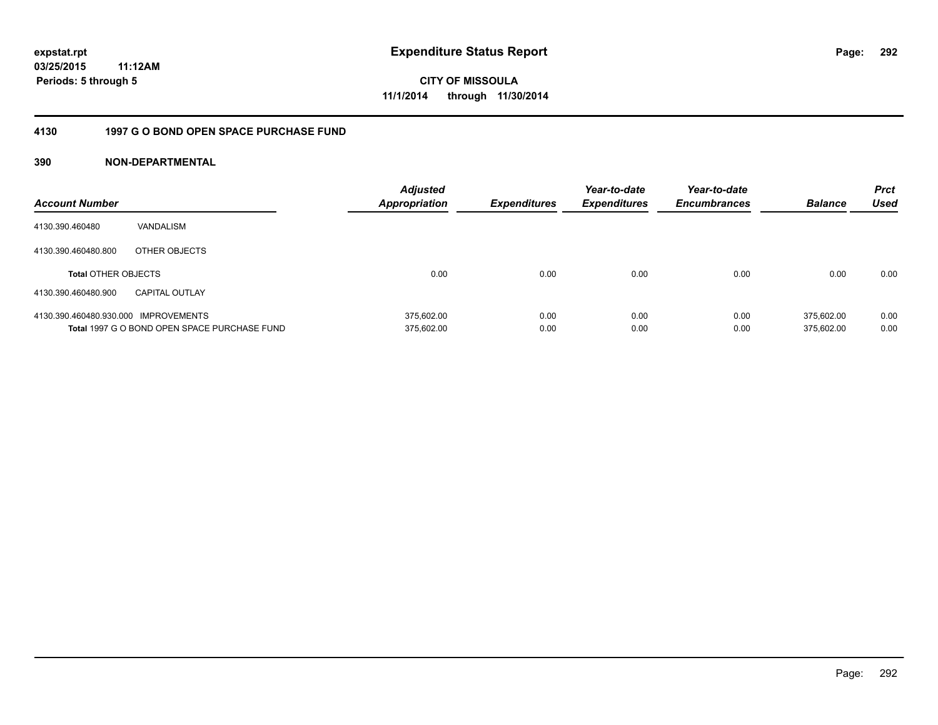## **03/25/2015 11:12AM Periods: 5 through 5**

**CITY OF MISSOULA 11/1/2014 through 11/30/2014**

## **4130 1997 G O BOND OPEN SPACE PURCHASE FUND**

| <b>Account Number</b>                |                                              | <b>Adjusted</b><br><b>Appropriation</b> | <b>Expenditures</b> | Year-to-date<br><b>Expenditures</b> | Year-to-date<br><b>Encumbrances</b> | <b>Balance</b> | <b>Prct</b><br>Used |
|--------------------------------------|----------------------------------------------|-----------------------------------------|---------------------|-------------------------------------|-------------------------------------|----------------|---------------------|
| 4130.390.460480                      | VANDALISM                                    |                                         |                     |                                     |                                     |                |                     |
| 4130.390.460480.800                  | OTHER OBJECTS                                |                                         |                     |                                     |                                     |                |                     |
| <b>Total OTHER OBJECTS</b>           |                                              | 0.00                                    | 0.00                | 0.00                                | 0.00                                | 0.00           | 0.00                |
| 4130.390.460480.900                  | <b>CAPITAL OUTLAY</b>                        |                                         |                     |                                     |                                     |                |                     |
| 4130.390.460480.930.000 IMPROVEMENTS |                                              | 375.602.00                              | 0.00                | 0.00                                | 0.00                                | 375.602.00     | 0.00                |
|                                      | Total 1997 G O BOND OPEN SPACE PURCHASE FUND | 375,602.00                              | 0.00                | 0.00                                | 0.00                                | 375.602.00     | 0.00                |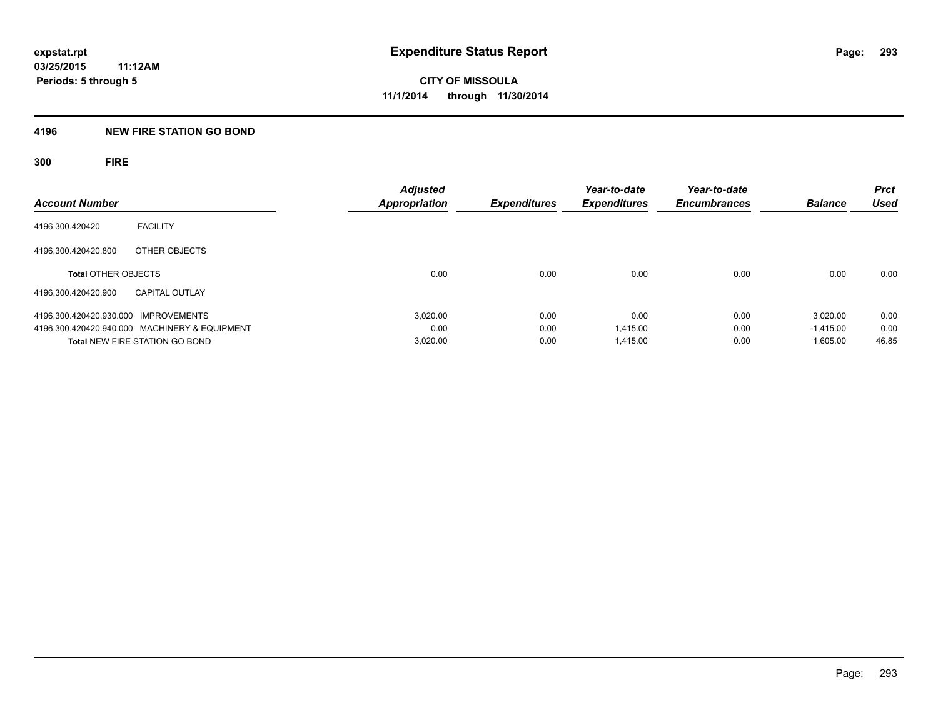## **4196 NEW FIRE STATION GO BOND**

**300 FIRE**

| <b>Account Number</b>                         | <b>Adjusted</b><br><b>Appropriation</b> | <b>Expenditures</b> | Year-to-date<br><b>Expenditures</b> | Year-to-date<br><b>Encumbrances</b> | <b>Balance</b> | <b>Prct</b><br><b>Used</b> |
|-----------------------------------------------|-----------------------------------------|---------------------|-------------------------------------|-------------------------------------|----------------|----------------------------|
| <b>FACILITY</b><br>4196.300.420420            |                                         |                     |                                     |                                     |                |                            |
| 4196.300.420420.800<br>OTHER OBJECTS          |                                         |                     |                                     |                                     |                |                            |
| <b>Total OTHER OBJECTS</b>                    | 0.00                                    | 0.00                | 0.00                                | 0.00                                | 0.00           | 0.00                       |
| 4196.300.420420.900<br><b>CAPITAL OUTLAY</b>  |                                         |                     |                                     |                                     |                |                            |
| 4196.300.420420.930.000 IMPROVEMENTS          | 3.020.00                                | 0.00                | 0.00                                | 0.00                                | 3.020.00       | 0.00                       |
| 4196.300.420420.940.000 MACHINERY & EQUIPMENT | 0.00                                    | 0.00                | 1.415.00                            | 0.00                                | $-1.415.00$    | 0.00                       |
| <b>Total NEW FIRE STATION GO BOND</b>         | 3,020.00                                | 0.00                | 1.415.00                            | 0.00                                | 1,605.00       | 46.85                      |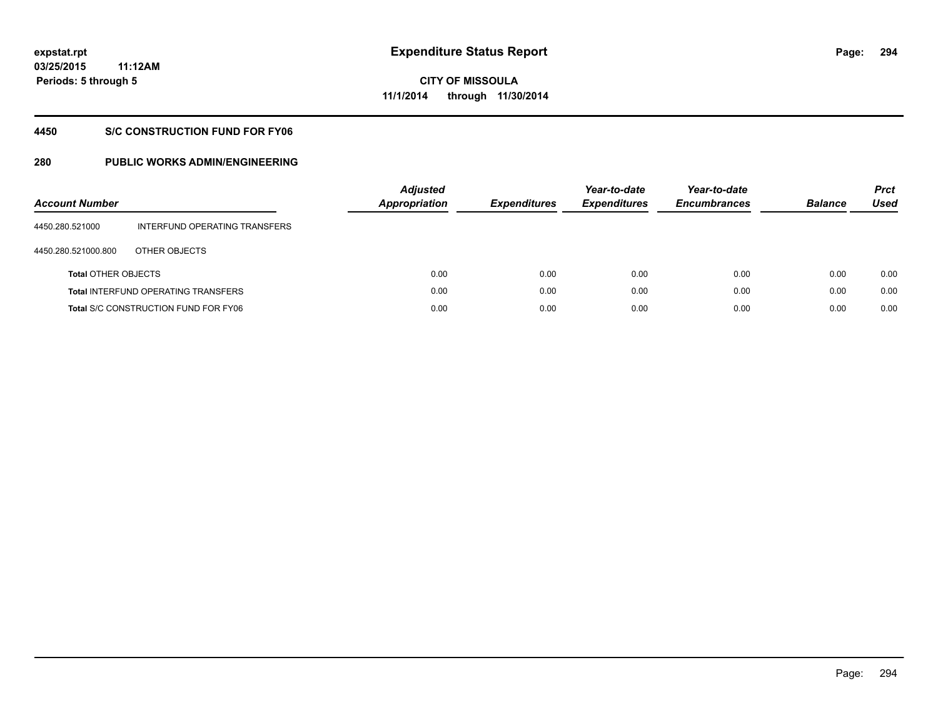**294**

**03/25/2015 11:12AM Periods: 5 through 5**

# **CITY OF MISSOULA 11/1/2014 through 11/30/2014**

## **4450 S/C CONSTRUCTION FUND FOR FY06**

| <b>Account Number</b>      |                                             | <b>Adjusted</b><br><b>Appropriation</b> | <b>Expenditures</b> | Year-to-date<br><b>Expenditures</b> | Year-to-date<br><b>Encumbrances</b> | <b>Balance</b> | <b>Prct</b><br>Used |
|----------------------------|---------------------------------------------|-----------------------------------------|---------------------|-------------------------------------|-------------------------------------|----------------|---------------------|
| 4450.280.521000            | INTERFUND OPERATING TRANSFERS               |                                         |                     |                                     |                                     |                |                     |
| 4450.280.521000.800        | OTHER OBJECTS                               |                                         |                     |                                     |                                     |                |                     |
| <b>Total OTHER OBJECTS</b> |                                             | 0.00                                    | 0.00                | 0.00                                | 0.00                                | 0.00           | 0.00                |
|                            | <b>Total INTERFUND OPERATING TRANSFERS</b>  | 0.00                                    | 0.00                | 0.00                                | 0.00                                | 0.00           | 0.00                |
|                            | <b>Total S/C CONSTRUCTION FUND FOR FY06</b> | 0.00                                    | 0.00                | 0.00                                | 0.00                                | 0.00           | 0.00                |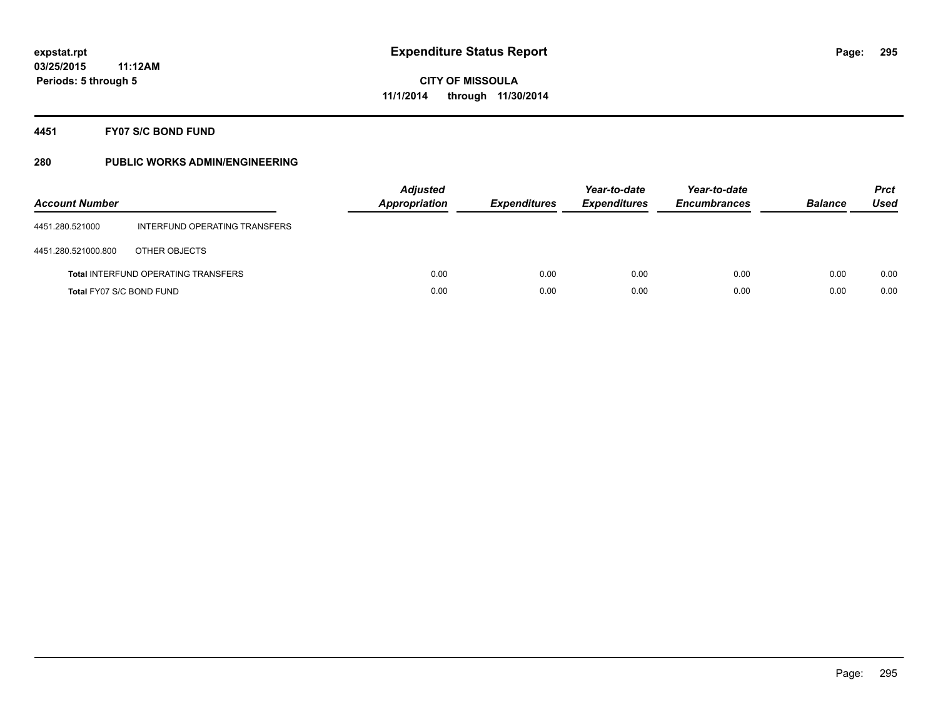## **4451 FY07 S/C BOND FUND**

| <b>Account Number</b>    |                                            | <b>Adjusted</b><br><b>Appropriation</b> | <b>Expenditures</b> | Year-to-date<br><b>Expenditures</b> | Year-to-date<br><b>Encumbrances</b> | <b>Balance</b> | <b>Prct</b><br>Used |
|--------------------------|--------------------------------------------|-----------------------------------------|---------------------|-------------------------------------|-------------------------------------|----------------|---------------------|
| 4451.280.521000          | INTERFUND OPERATING TRANSFERS              |                                         |                     |                                     |                                     |                |                     |
| 4451.280.521000.800      | OTHER OBJECTS                              |                                         |                     |                                     |                                     |                |                     |
|                          | <b>Total INTERFUND OPERATING TRANSFERS</b> | 0.00                                    | 0.00                | 0.00                                | 0.00                                | 0.00           | 0.00                |
| Total FY07 S/C BOND FUND |                                            | 0.00                                    | 0.00                | 0.00                                | 0.00                                | 0.00           | 0.00                |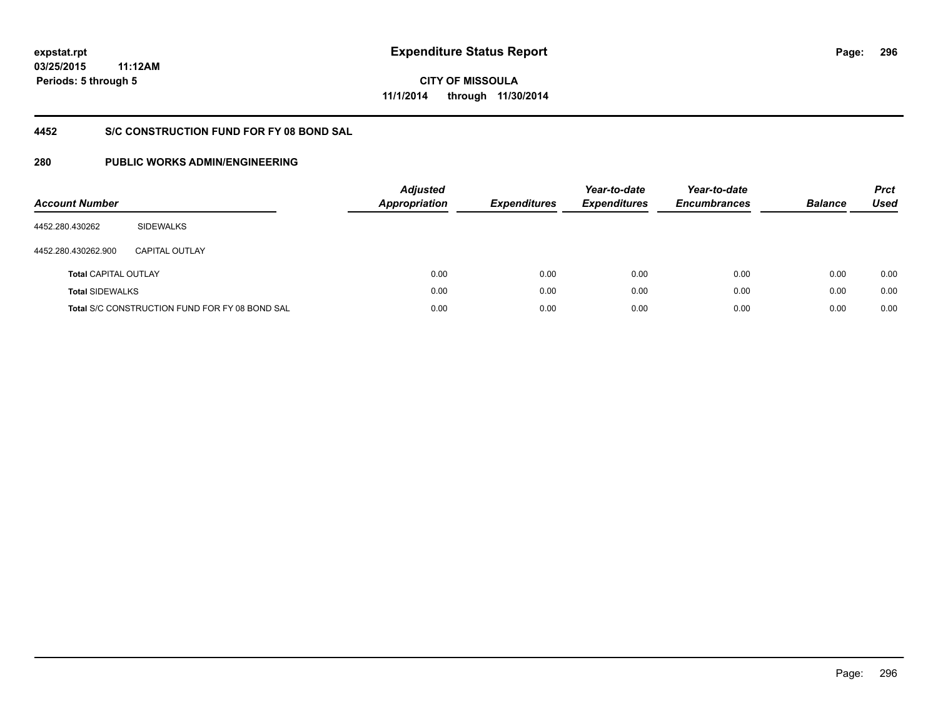**296**

**03/25/2015 11:12AM Periods: 5 through 5**

# **CITY OF MISSOULA 11/1/2014 through 11/30/2014**

# **4452 S/C CONSTRUCTION FUND FOR FY 08 BOND SAL**

| <b>Account Number</b>       |                                                       | <b>Adjusted</b><br>Appropriation | <b>Expenditures</b> | Year-to-date<br><b>Expenditures</b> | Year-to-date<br><b>Encumbrances</b> | <b>Balance</b> | <b>Prct</b><br>Used |
|-----------------------------|-------------------------------------------------------|----------------------------------|---------------------|-------------------------------------|-------------------------------------|----------------|---------------------|
| 4452.280.430262             | <b>SIDEWALKS</b>                                      |                                  |                     |                                     |                                     |                |                     |
| 4452.280.430262.900         | CAPITAL OUTLAY                                        |                                  |                     |                                     |                                     |                |                     |
| <b>Total CAPITAL OUTLAY</b> |                                                       | 0.00                             | 0.00                | 0.00                                | 0.00                                | 0.00           | 0.00                |
| <b>Total SIDEWALKS</b>      |                                                       | 0.00                             | 0.00                | 0.00                                | 0.00                                | 0.00           | 0.00                |
|                             | <b>Total S/C CONSTRUCTION FUND FOR FY 08 BOND SAL</b> | 0.00                             | 0.00                | 0.00                                | 0.00                                | 0.00           | 0.00                |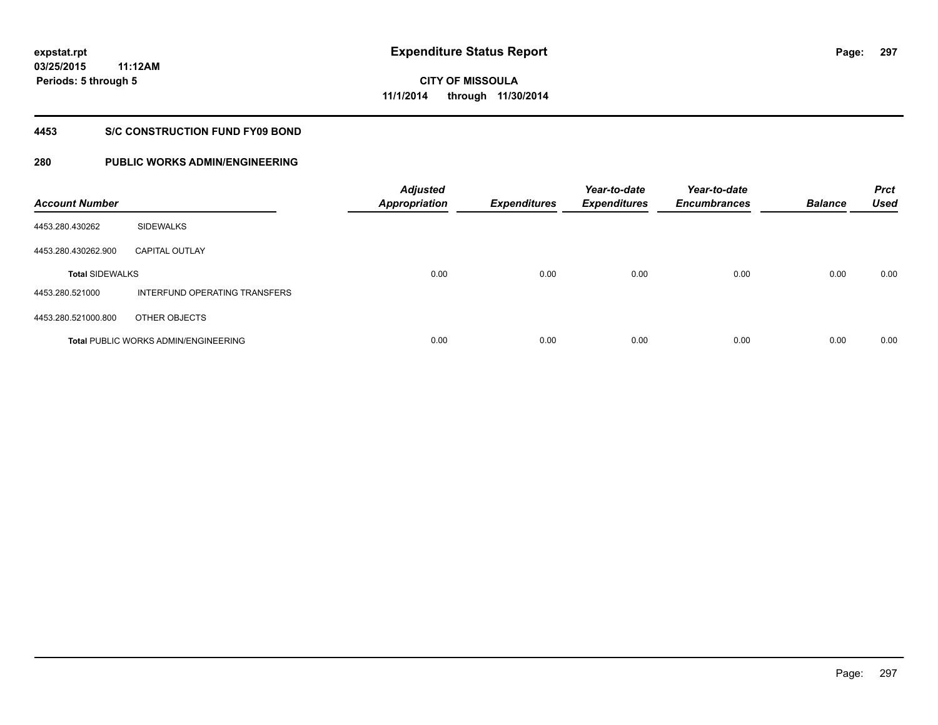**03/25/2015 11:12AM Periods: 5 through 5**

**297**

**CITY OF MISSOULA 11/1/2014 through 11/30/2014**

#### **4453 S/C CONSTRUCTION FUND FY09 BOND**

| <b>Account Number</b>  |                                             | <b>Adjusted</b><br><b>Appropriation</b> | <b>Expenditures</b> | Year-to-date<br><b>Expenditures</b> | Year-to-date<br><b>Encumbrances</b> | <b>Balance</b> | <b>Prct</b><br><b>Used</b> |
|------------------------|---------------------------------------------|-----------------------------------------|---------------------|-------------------------------------|-------------------------------------|----------------|----------------------------|
| 4453.280.430262        | <b>SIDEWALKS</b>                            |                                         |                     |                                     |                                     |                |                            |
| 4453.280.430262.900    | <b>CAPITAL OUTLAY</b>                       |                                         |                     |                                     |                                     |                |                            |
| <b>Total SIDEWALKS</b> |                                             | 0.00                                    | 0.00                | 0.00                                | 0.00                                | 0.00           | 0.00                       |
| 4453.280.521000        | INTERFUND OPERATING TRANSFERS               |                                         |                     |                                     |                                     |                |                            |
| 4453.280.521000.800    | OTHER OBJECTS                               |                                         |                     |                                     |                                     |                |                            |
|                        | <b>Total PUBLIC WORKS ADMIN/ENGINEERING</b> | 0.00                                    | 0.00                | 0.00                                | 0.00                                | 0.00           | 0.00                       |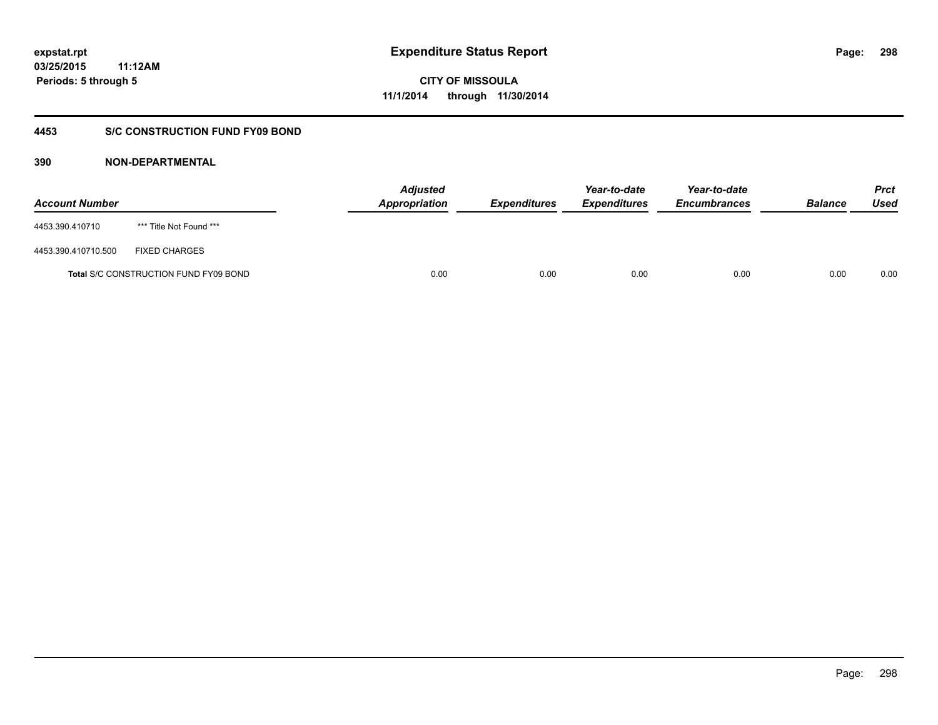## **03/25/2015 11:12AM Periods: 5 through 5**

**CITY OF MISSOULA 11/1/2014 through 11/30/2014**

## **4453 S/C CONSTRUCTION FUND FY09 BOND**

| <b>Account Number</b> |                                       | <b>Adjusted</b><br><b>Appropriation</b> | <b>Expenditures</b> | Year-to-date<br><b>Expenditures</b> | Year-to-date<br><b>Encumbrances</b> | <b>Balance</b> | <b>Prct</b><br>Used |
|-----------------------|---------------------------------------|-----------------------------------------|---------------------|-------------------------------------|-------------------------------------|----------------|---------------------|
| 4453.390.410710       | *** Title Not Found ***               |                                         |                     |                                     |                                     |                |                     |
| 4453.390.410710.500   | <b>FIXED CHARGES</b>                  |                                         |                     |                                     |                                     |                |                     |
|                       | Total S/C CONSTRUCTION FUND FY09 BOND | 0.00                                    | 0.00                | 0.00                                | 0.00                                | 0.00           | 0.00                |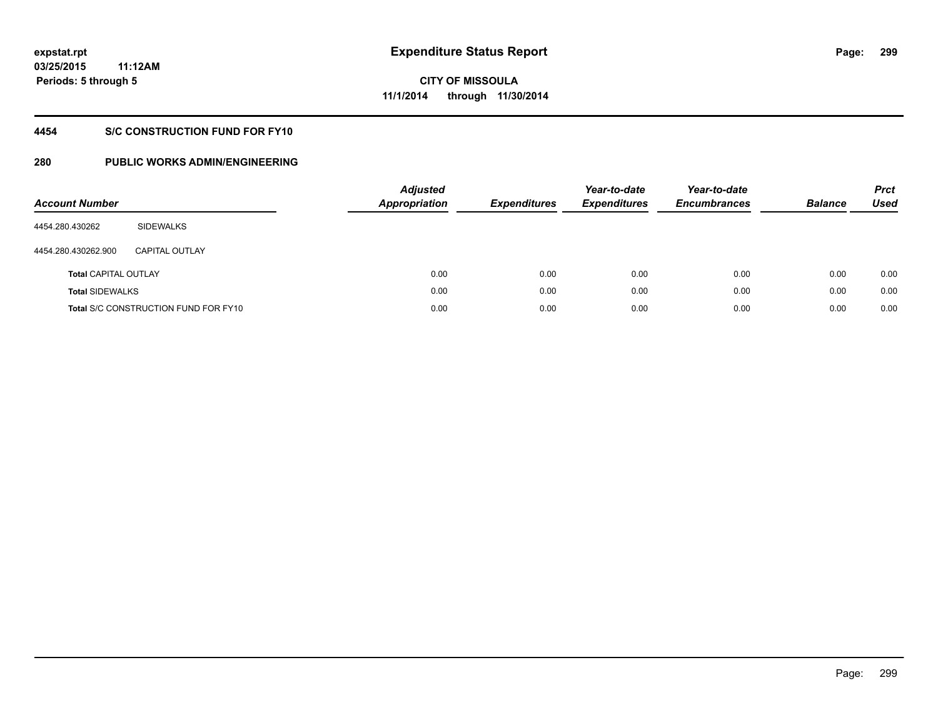## **4454 S/C CONSTRUCTION FUND FOR FY10**

| <b>Account Number</b>       |                                             | <b>Adjusted</b><br><b>Appropriation</b> | <b>Expenditures</b> | Year-to-date<br><b>Expenditures</b> | Year-to-date<br><b>Encumbrances</b> | <b>Balance</b> | <b>Prct</b><br>Used |
|-----------------------------|---------------------------------------------|-----------------------------------------|---------------------|-------------------------------------|-------------------------------------|----------------|---------------------|
| 4454.280.430262             | SIDEWALKS                                   |                                         |                     |                                     |                                     |                |                     |
| 4454.280.430262.900         | <b>CAPITAL OUTLAY</b>                       |                                         |                     |                                     |                                     |                |                     |
| <b>Total CAPITAL OUTLAY</b> |                                             | 0.00                                    | 0.00                | 0.00                                | 0.00                                | 0.00           | 0.00                |
| <b>Total SIDEWALKS</b>      |                                             | 0.00                                    | 0.00                | 0.00                                | 0.00                                | 0.00           | 0.00                |
|                             | <b>Total S/C CONSTRUCTION FUND FOR FY10</b> | 0.00                                    | 0.00                | 0.00                                | 0.00                                | 0.00           | 0.00                |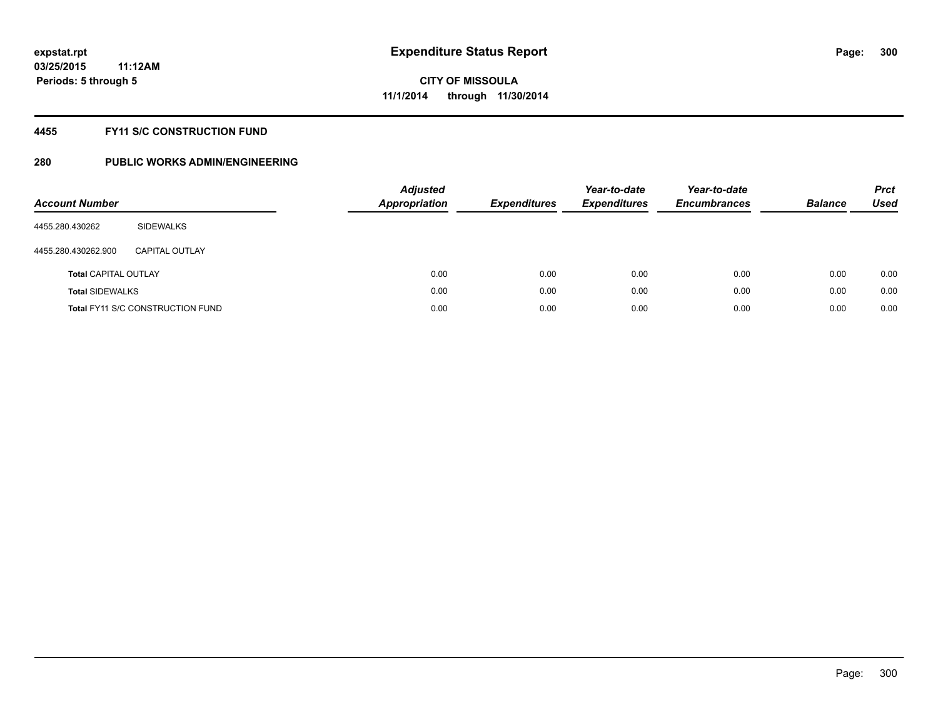## **4455 FY11 S/C CONSTRUCTION FUND**

| <b>Account Number</b>       |                                         | <b>Adjusted</b><br><b>Appropriation</b> | <b>Expenditures</b> | Year-to-date<br><b>Expenditures</b> | Year-to-date<br><b>Encumbrances</b> | <b>Balance</b> | <b>Prct</b><br>Used |
|-----------------------------|-----------------------------------------|-----------------------------------------|---------------------|-------------------------------------|-------------------------------------|----------------|---------------------|
| 4455.280.430262             | SIDEWALKS                               |                                         |                     |                                     |                                     |                |                     |
| 4455.280.430262.900         | CAPITAL OUTLAY                          |                                         |                     |                                     |                                     |                |                     |
| <b>Total CAPITAL OUTLAY</b> |                                         | 0.00                                    | 0.00                | 0.00                                | 0.00                                | 0.00           | 0.00                |
| <b>Total SIDEWALKS</b>      |                                         | 0.00                                    | 0.00                | 0.00                                | 0.00                                | 0.00           | 0.00                |
|                             | <b>Total FY11 S/C CONSTRUCTION FUND</b> | 0.00                                    | 0.00                | 0.00                                | 0.00                                | 0.00           | 0.00                |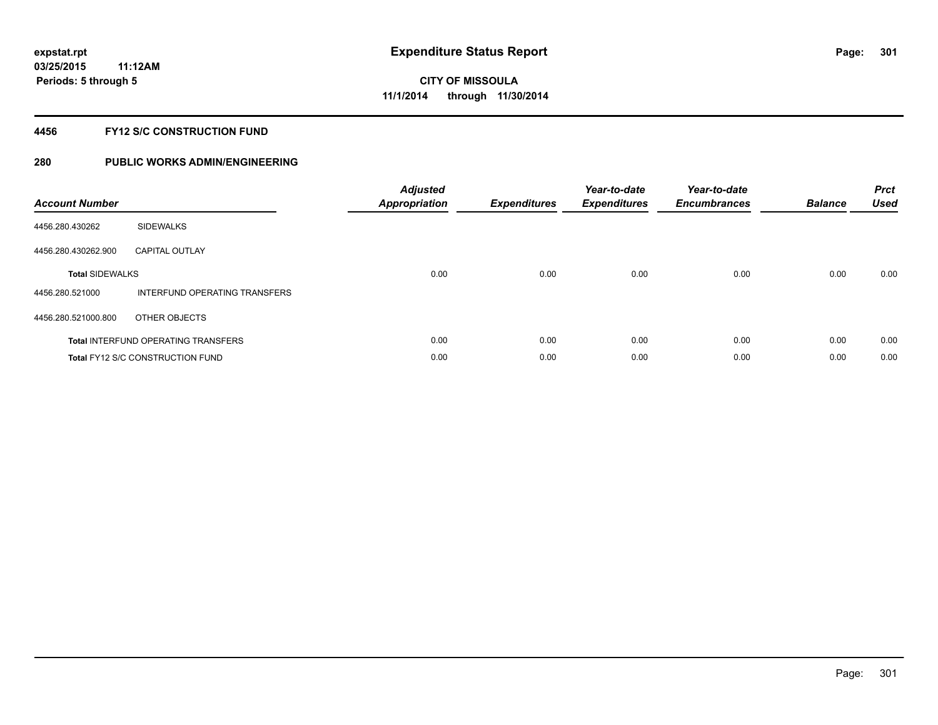## **4456 FY12 S/C CONSTRUCTION FUND**

| <b>Account Number</b>  |                                            | <b>Adjusted</b><br><b>Appropriation</b> | <b>Expenditures</b> | Year-to-date<br><b>Expenditures</b> | Year-to-date<br><b>Encumbrances</b> | <b>Balance</b> | <b>Prct</b><br>Used |
|------------------------|--------------------------------------------|-----------------------------------------|---------------------|-------------------------------------|-------------------------------------|----------------|---------------------|
| 4456.280.430262        | <b>SIDEWALKS</b>                           |                                         |                     |                                     |                                     |                |                     |
| 4456.280.430262.900    | <b>CAPITAL OUTLAY</b>                      |                                         |                     |                                     |                                     |                |                     |
| <b>Total SIDEWALKS</b> |                                            | 0.00                                    | 0.00                | 0.00                                | 0.00                                | 0.00           | 0.00                |
| 4456.280.521000        | INTERFUND OPERATING TRANSFERS              |                                         |                     |                                     |                                     |                |                     |
| 4456.280.521000.800    | OTHER OBJECTS                              |                                         |                     |                                     |                                     |                |                     |
|                        | <b>Total INTERFUND OPERATING TRANSFERS</b> | 0.00                                    | 0.00                | 0.00                                | 0.00                                | 0.00           | 0.00                |
|                        | <b>Total FY12 S/C CONSTRUCTION FUND</b>    | 0.00                                    | 0.00                | 0.00                                | 0.00                                | 0.00           | 0.00                |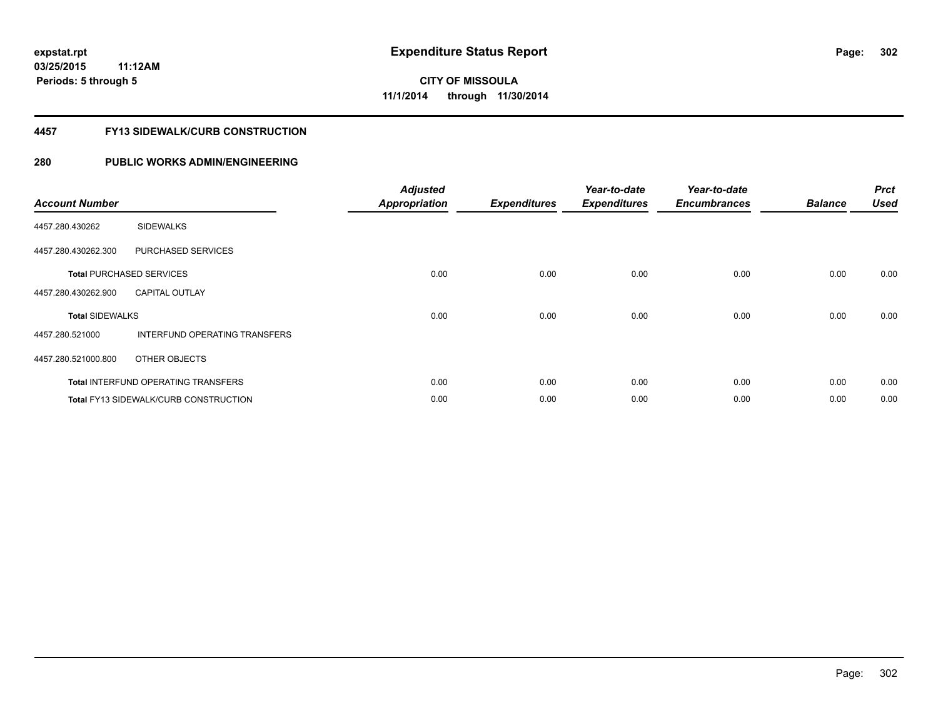### **4457 FY13 SIDEWALK/CURB CONSTRUCTION**

| <b>Account Number</b>  |                                              | <b>Adjusted</b><br><b>Appropriation</b> | <b>Expenditures</b> | Year-to-date<br><b>Expenditures</b> | Year-to-date<br><b>Encumbrances</b> | <b>Balance</b> | <b>Prct</b><br><b>Used</b> |
|------------------------|----------------------------------------------|-----------------------------------------|---------------------|-------------------------------------|-------------------------------------|----------------|----------------------------|
| 4457.280.430262        | <b>SIDEWALKS</b>                             |                                         |                     |                                     |                                     |                |                            |
| 4457.280.430262.300    | PURCHASED SERVICES                           |                                         |                     |                                     |                                     |                |                            |
|                        | <b>Total PURCHASED SERVICES</b>              | 0.00                                    | 0.00                | 0.00                                | 0.00                                | 0.00           | 0.00                       |
| 4457.280.430262.900    | <b>CAPITAL OUTLAY</b>                        |                                         |                     |                                     |                                     |                |                            |
| <b>Total SIDEWALKS</b> |                                              | 0.00                                    | 0.00                | 0.00                                | 0.00                                | 0.00           | 0.00                       |
| 4457.280.521000        | <b>INTERFUND OPERATING TRANSFERS</b>         |                                         |                     |                                     |                                     |                |                            |
| 4457.280.521000.800    | OTHER OBJECTS                                |                                         |                     |                                     |                                     |                |                            |
|                        | <b>Total INTERFUND OPERATING TRANSFERS</b>   | 0.00                                    | 0.00                | 0.00                                | 0.00                                | 0.00           | 0.00                       |
|                        | <b>Total FY13 SIDEWALK/CURB CONSTRUCTION</b> | 0.00                                    | 0.00                | 0.00                                | 0.00                                | 0.00           | 0.00                       |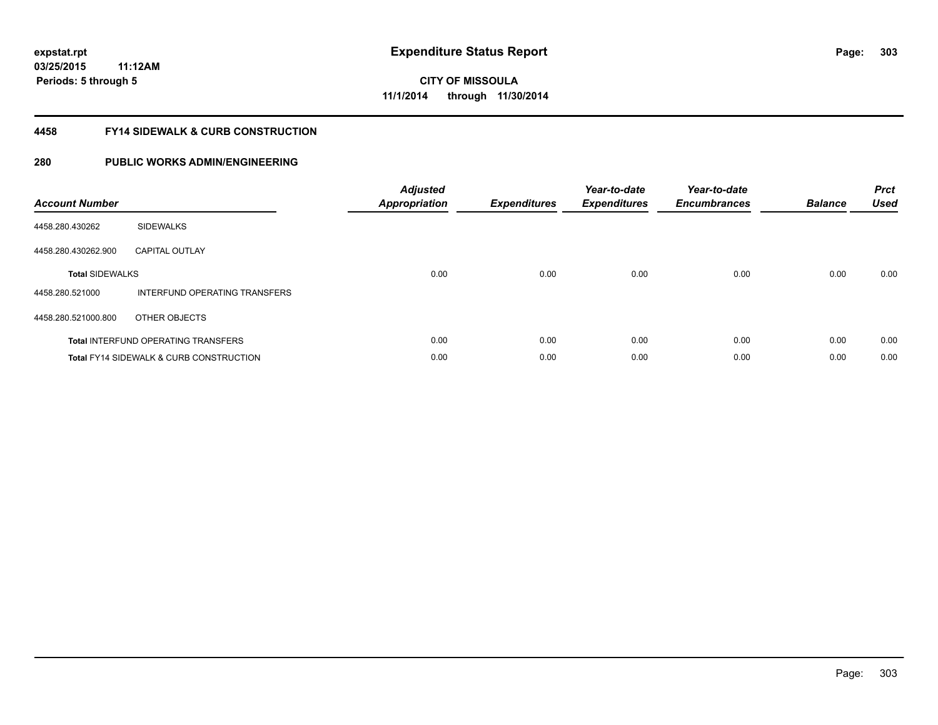### **4458 FY14 SIDEWALK & CURB CONSTRUCTION**

| <b>Account Number</b>  |                                                    | <b>Adjusted</b><br><b>Appropriation</b> | <b>Expenditures</b> | Year-to-date<br><b>Expenditures</b> | Year-to-date<br><b>Encumbrances</b> | <b>Balance</b> | <b>Prct</b><br>Used |
|------------------------|----------------------------------------------------|-----------------------------------------|---------------------|-------------------------------------|-------------------------------------|----------------|---------------------|
| 4458.280.430262        | <b>SIDEWALKS</b>                                   |                                         |                     |                                     |                                     |                |                     |
| 4458.280.430262.900    | <b>CAPITAL OUTLAY</b>                              |                                         |                     |                                     |                                     |                |                     |
| <b>Total SIDEWALKS</b> |                                                    | 0.00                                    | 0.00                | 0.00                                | 0.00                                | 0.00           | 0.00                |
| 4458.280.521000        | INTERFUND OPERATING TRANSFERS                      |                                         |                     |                                     |                                     |                |                     |
| 4458.280.521000.800    | OTHER OBJECTS                                      |                                         |                     |                                     |                                     |                |                     |
|                        | <b>Total INTERFUND OPERATING TRANSFERS</b>         | 0.00                                    | 0.00                | 0.00                                | 0.00                                | 0.00           | 0.00                |
|                        | <b>Total FY14 SIDEWALK &amp; CURB CONSTRUCTION</b> | 0.00                                    | 0.00                | 0.00                                | 0.00                                | 0.00           | 0.00                |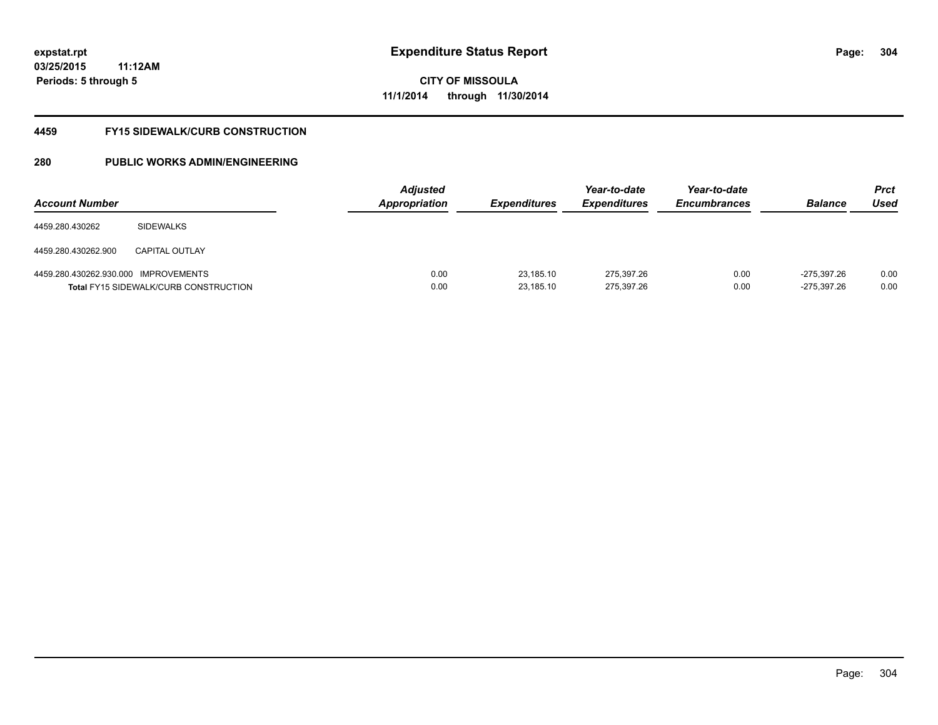**03/25/2015 11:12AM Periods: 5 through 5**

**CITY OF MISSOULA 11/1/2014 through 11/30/2014**

#### **4459 FY15 SIDEWALK/CURB CONSTRUCTION**

| <b>Account Number</b>                |                                              | <b>Adjusted</b><br><b>Appropriation</b> | <b>Expenditures</b>    | Year-to-date<br><i><b>Expenditures</b></i> | Year-to-date<br><b>Encumbrances</b> | <b>Balance</b>             | <b>Prct</b><br>Used |
|--------------------------------------|----------------------------------------------|-----------------------------------------|------------------------|--------------------------------------------|-------------------------------------|----------------------------|---------------------|
| 4459.280.430262                      | <b>SIDEWALKS</b>                             |                                         |                        |                                            |                                     |                            |                     |
| 4459.280.430262.900                  | <b>CAPITAL OUTLAY</b>                        |                                         |                        |                                            |                                     |                            |                     |
| 4459.280.430262.930.000 IMPROVEMENTS | <b>Total FY15 SIDEWALK/CURB CONSTRUCTION</b> | 0.00<br>0.00                            | 23,185.10<br>23,185.10 | 275.397.26<br>275,397.26                   | 0.00<br>0.00                        | -275.397.26<br>-275,397.26 | 0.00<br>0.00        |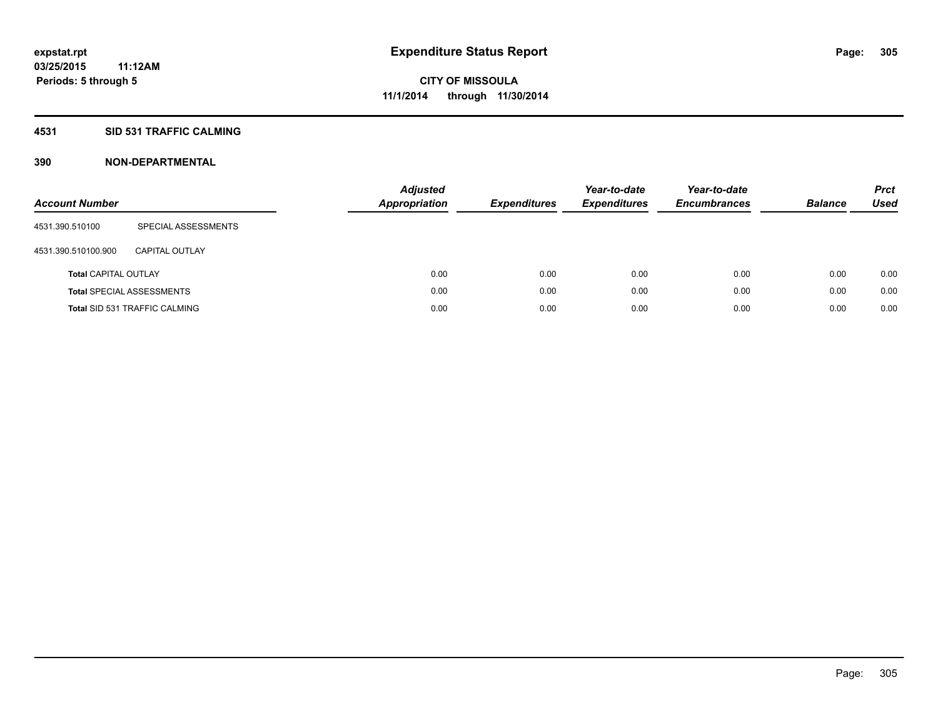## **4531 SID 531 TRAFFIC CALMING**

| <b>Account Number</b>       |                                      | <b>Adjusted</b><br><b>Appropriation</b> | <b>Expenditures</b> | Year-to-date<br><b>Expenditures</b> | Year-to-date<br><b>Encumbrances</b> | <b>Balance</b> | <b>Prct</b><br>Used |
|-----------------------------|--------------------------------------|-----------------------------------------|---------------------|-------------------------------------|-------------------------------------|----------------|---------------------|
| 4531.390.510100             | SPECIAL ASSESSMENTS                  |                                         |                     |                                     |                                     |                |                     |
| 4531.390.510100.900         | CAPITAL OUTLAY                       |                                         |                     |                                     |                                     |                |                     |
| <b>Total CAPITAL OUTLAY</b> |                                      | 0.00                                    | 0.00                | 0.00                                | 0.00                                | 0.00           | 0.00                |
|                             | <b>Total SPECIAL ASSESSMENTS</b>     | 0.00                                    | 0.00                | 0.00                                | 0.00                                | 0.00           | 0.00                |
|                             | <b>Total SID 531 TRAFFIC CALMING</b> | 0.00                                    | 0.00                | 0.00                                | 0.00                                | 0.00           | 0.00                |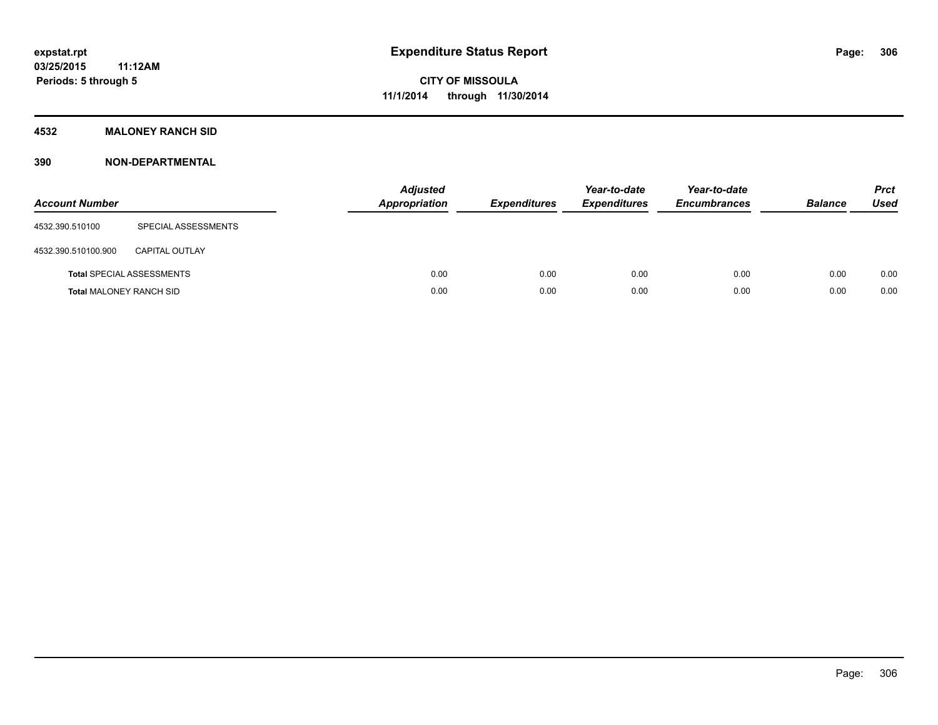## **4532 MALONEY RANCH SID**

| <b>Account Number</b>          |                                  | <b>Adjusted</b><br>Appropriation | <b>Expenditures</b> | Year-to-date<br><b>Expenditures</b> | Year-to-date<br><b>Encumbrances</b> | <b>Balance</b> | <b>Prct</b><br><b>Used</b> |
|--------------------------------|----------------------------------|----------------------------------|---------------------|-------------------------------------|-------------------------------------|----------------|----------------------------|
| 4532.390.510100                | SPECIAL ASSESSMENTS              |                                  |                     |                                     |                                     |                |                            |
| 4532.390.510100.900            | <b>CAPITAL OUTLAY</b>            |                                  |                     |                                     |                                     |                |                            |
|                                | <b>Total SPECIAL ASSESSMENTS</b> | 0.00                             | 0.00                | 0.00                                | 0.00                                | 0.00           | 0.00                       |
| <b>Total MALONEY RANCH SID</b> |                                  | 0.00                             | 0.00                | 0.00                                | 0.00                                | 0.00           | 0.00                       |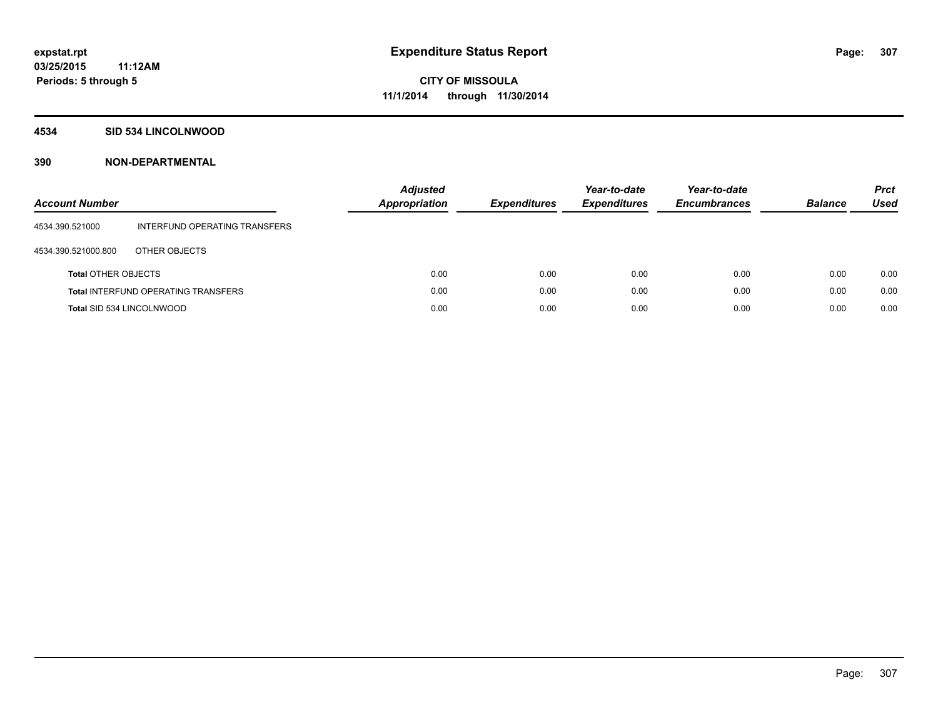#### **4534 SID 534 LINCOLNWOOD**

| <b>Account Number</b>      |                                            | <b>Adjusted</b><br>Appropriation | <b>Expenditures</b> | Year-to-date<br><b>Expenditures</b> | Year-to-date<br><b>Encumbrances</b> | <b>Balance</b> | <b>Prct</b><br><b>Used</b> |
|----------------------------|--------------------------------------------|----------------------------------|---------------------|-------------------------------------|-------------------------------------|----------------|----------------------------|
| 4534.390.521000            | INTERFUND OPERATING TRANSFERS              |                                  |                     |                                     |                                     |                |                            |
| 4534.390.521000.800        | OTHER OBJECTS                              |                                  |                     |                                     |                                     |                |                            |
| <b>Total OTHER OBJECTS</b> |                                            | 0.00                             | 0.00                | 0.00                                | 0.00                                | 0.00           | 0.00                       |
|                            | <b>Total INTERFUND OPERATING TRANSFERS</b> | 0.00                             | 0.00                | 0.00                                | 0.00                                | 0.00           | 0.00                       |
| Total SID 534 LINCOLNWOOD  |                                            | 0.00                             | 0.00                | 0.00                                | 0.00                                | 0.00           | 0.00                       |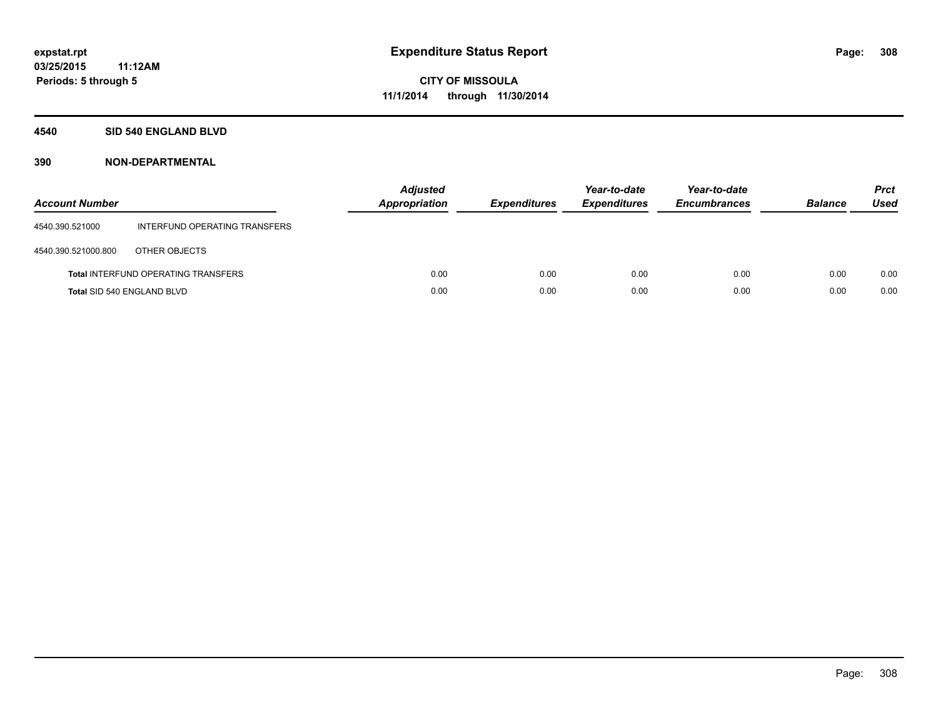#### **4540 SID 540 ENGLAND BLVD**

| <b>Account Number</b> |                                            | <b>Adjusted</b><br>Appropriation | <b>Expenditures</b> | Year-to-date<br><b>Expenditures</b> | Year-to-date<br><b>Encumbrances</b> | <b>Balance</b> | <b>Prct</b><br>Used |
|-----------------------|--------------------------------------------|----------------------------------|---------------------|-------------------------------------|-------------------------------------|----------------|---------------------|
| 4540.390.521000       | INTERFUND OPERATING TRANSFERS              |                                  |                     |                                     |                                     |                |                     |
| 4540.390.521000.800   | OTHER OBJECTS                              |                                  |                     |                                     |                                     |                |                     |
|                       | <b>Total INTERFUND OPERATING TRANSFERS</b> | 0.00                             | 0.00                | 0.00                                | 0.00                                | 0.00           | 0.00                |
|                       | Total SID 540 ENGLAND BLVD                 | 0.00                             | 0.00                | 0.00                                | 0.00                                | 0.00           | 0.00                |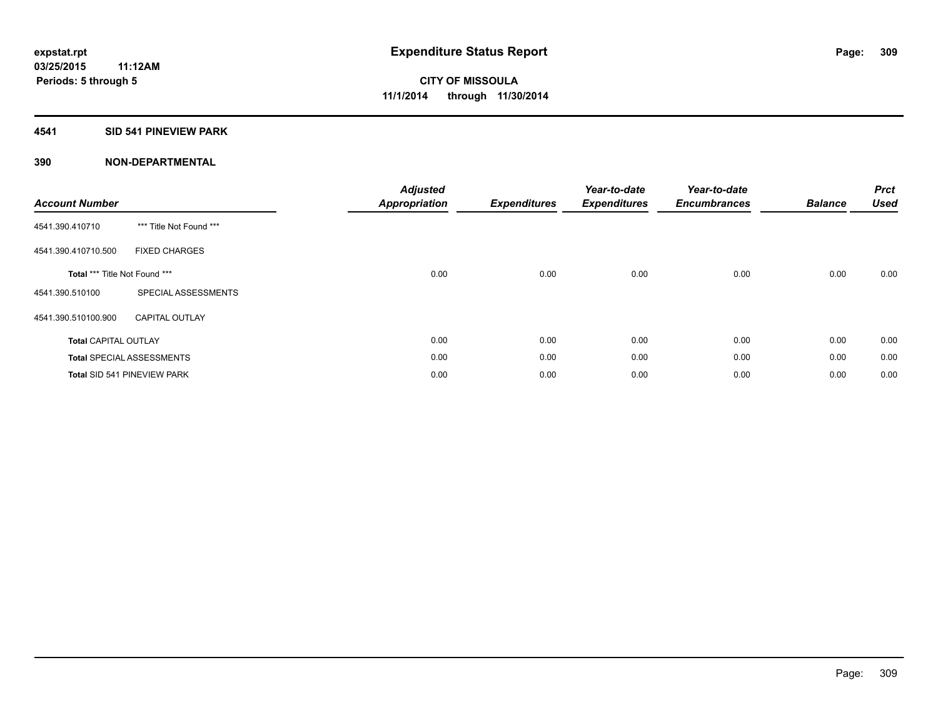## **4541 SID 541 PINEVIEW PARK**

| <b>Account Number</b>         |                                    | <b>Adjusted</b><br><b>Appropriation</b> | <b>Expenditures</b> | Year-to-date<br><b>Expenditures</b> | Year-to-date<br><b>Encumbrances</b> | <b>Balance</b> | <b>Prct</b><br><b>Used</b> |
|-------------------------------|------------------------------------|-----------------------------------------|---------------------|-------------------------------------|-------------------------------------|----------------|----------------------------|
| 4541.390.410710               | *** Title Not Found ***            |                                         |                     |                                     |                                     |                |                            |
| 4541.390.410710.500           | <b>FIXED CHARGES</b>               |                                         |                     |                                     |                                     |                |                            |
| Total *** Title Not Found *** |                                    | 0.00                                    | 0.00                | 0.00                                | 0.00                                | 0.00           | 0.00                       |
| 4541.390.510100               | SPECIAL ASSESSMENTS                |                                         |                     |                                     |                                     |                |                            |
| 4541.390.510100.900           | <b>CAPITAL OUTLAY</b>              |                                         |                     |                                     |                                     |                |                            |
| <b>Total CAPITAL OUTLAY</b>   |                                    | 0.00                                    | 0.00                | 0.00                                | 0.00                                | 0.00           | 0.00                       |
|                               | <b>Total SPECIAL ASSESSMENTS</b>   | 0.00                                    | 0.00                | 0.00                                | 0.00                                | 0.00           | 0.00                       |
|                               | <b>Total SID 541 PINEVIEW PARK</b> | 0.00                                    | 0.00                | 0.00                                | 0.00                                | 0.00           | 0.00                       |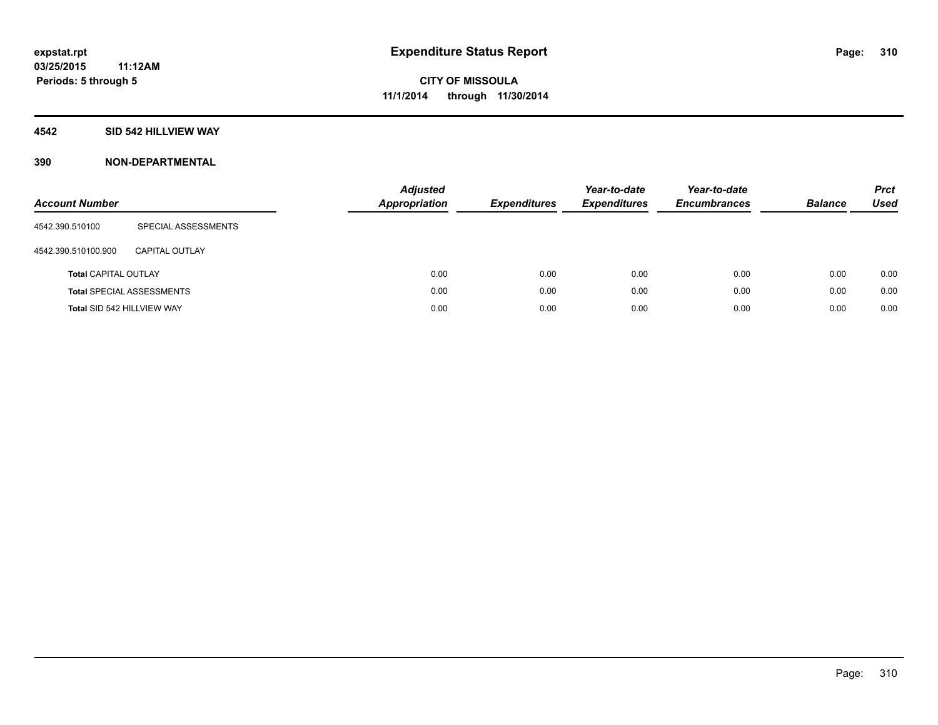## **4542 SID 542 HILLVIEW WAY**

| <b>Account Number</b>       |                                  | <b>Adjusted</b><br><b>Appropriation</b> | <b>Expenditures</b> | Year-to-date<br><b>Expenditures</b> | Year-to-date<br><b>Encumbrances</b> | <b>Balance</b> | <b>Prct</b><br>Used |
|-----------------------------|----------------------------------|-----------------------------------------|---------------------|-------------------------------------|-------------------------------------|----------------|---------------------|
| 4542.390.510100             | SPECIAL ASSESSMENTS              |                                         |                     |                                     |                                     |                |                     |
| 4542.390.510100.900         | <b>CAPITAL OUTLAY</b>            |                                         |                     |                                     |                                     |                |                     |
| <b>Total CAPITAL OUTLAY</b> |                                  | 0.00                                    | 0.00                | 0.00                                | 0.00                                | 0.00           | 0.00                |
|                             | <b>Total SPECIAL ASSESSMENTS</b> | 0.00                                    | 0.00                | 0.00                                | 0.00                                | 0.00           | 0.00                |
| Total SID 542 HILLVIEW WAY  |                                  | 0.00                                    | 0.00                | 0.00                                | 0.00                                | 0.00           | 0.00                |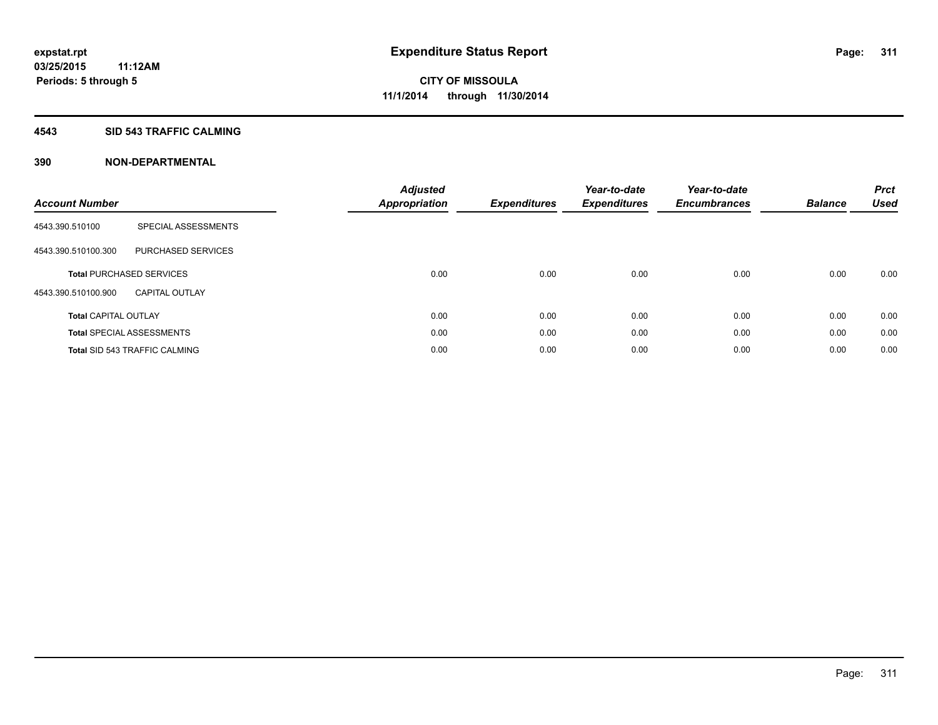#### **4543 SID 543 TRAFFIC CALMING**

| <b>Account Number</b>       |                                      | <b>Adjusted</b><br><b>Appropriation</b> | <b>Expenditures</b> | Year-to-date<br><b>Expenditures</b> | Year-to-date<br><b>Encumbrances</b> | <b>Balance</b> | <b>Prct</b><br><b>Used</b> |
|-----------------------------|--------------------------------------|-----------------------------------------|---------------------|-------------------------------------|-------------------------------------|----------------|----------------------------|
| 4543.390.510100             | SPECIAL ASSESSMENTS                  |                                         |                     |                                     |                                     |                |                            |
| 4543.390.510100.300         | PURCHASED SERVICES                   |                                         |                     |                                     |                                     |                |                            |
|                             | <b>Total PURCHASED SERVICES</b>      | 0.00                                    | 0.00                | 0.00                                | 0.00                                | 0.00           | 0.00                       |
| 4543.390.510100.900         | <b>CAPITAL OUTLAY</b>                |                                         |                     |                                     |                                     |                |                            |
| <b>Total CAPITAL OUTLAY</b> |                                      | 0.00                                    | 0.00                | 0.00                                | 0.00                                | 0.00           | 0.00                       |
|                             | <b>Total SPECIAL ASSESSMENTS</b>     | 0.00                                    | 0.00                | 0.00                                | 0.00                                | 0.00           | 0.00                       |
|                             | <b>Total SID 543 TRAFFIC CALMING</b> | 0.00                                    | 0.00                | 0.00                                | 0.00                                | 0.00           | 0.00                       |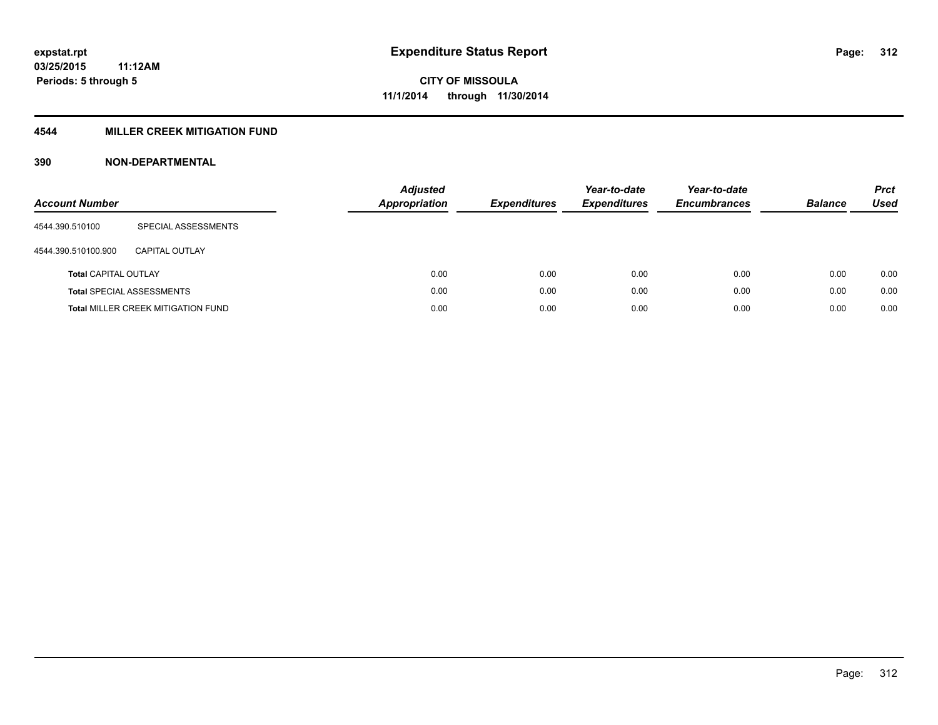## **4544 MILLER CREEK MITIGATION FUND**

| <b>Account Number</b>       |                                           | <b>Adjusted</b><br>Appropriation | <b>Expenditures</b> | Year-to-date<br><b>Expenditures</b> | Year-to-date<br><b>Encumbrances</b> | <b>Balance</b> | <b>Prct</b><br>Used |
|-----------------------------|-------------------------------------------|----------------------------------|---------------------|-------------------------------------|-------------------------------------|----------------|---------------------|
| 4544.390.510100             | SPECIAL ASSESSMENTS                       |                                  |                     |                                     |                                     |                |                     |
| 4544.390.510100.900         | CAPITAL OUTLAY                            |                                  |                     |                                     |                                     |                |                     |
| <b>Total CAPITAL OUTLAY</b> |                                           | 0.00                             | 0.00                | 0.00                                | 0.00                                | 0.00           | 0.00                |
|                             | <b>Total SPECIAL ASSESSMENTS</b>          | 0.00                             | 0.00                | 0.00                                | 0.00                                | 0.00           | 0.00                |
|                             | <b>Total MILLER CREEK MITIGATION FUND</b> | 0.00                             | 0.00                | 0.00                                | 0.00                                | 0.00           | 0.00                |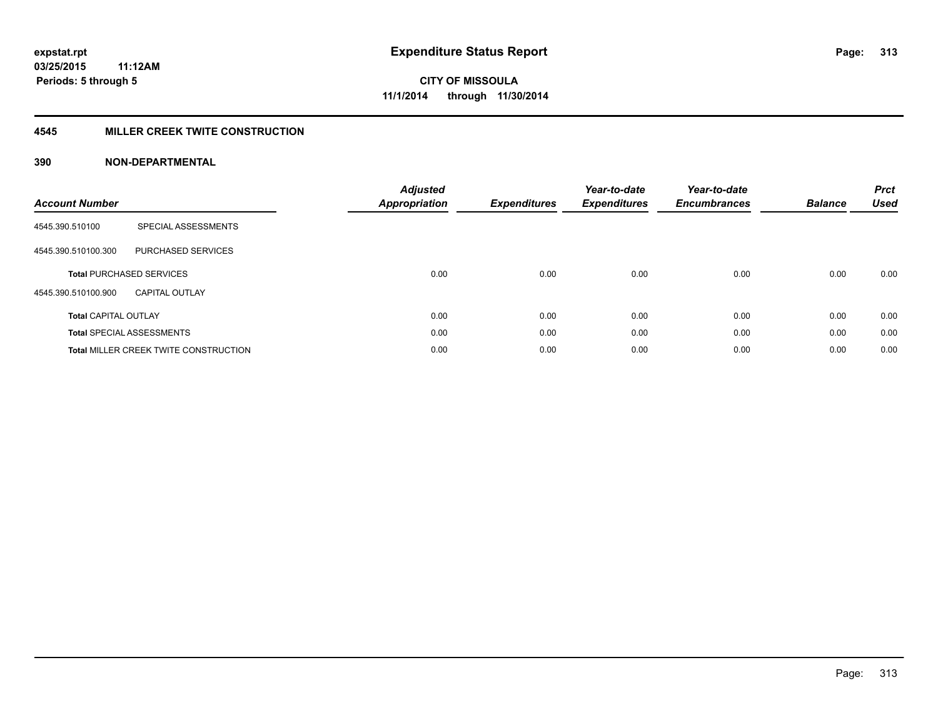### **4545 MILLER CREEK TWITE CONSTRUCTION**

| <b>Account Number</b>       |                                       | <b>Adjusted</b><br><b>Appropriation</b> | <b>Expenditures</b> | Year-to-date<br><b>Expenditures</b> | Year-to-date<br><b>Encumbrances</b> | <b>Balance</b> | <b>Prct</b><br><b>Used</b> |
|-----------------------------|---------------------------------------|-----------------------------------------|---------------------|-------------------------------------|-------------------------------------|----------------|----------------------------|
| 4545.390.510100             | SPECIAL ASSESSMENTS                   |                                         |                     |                                     |                                     |                |                            |
| 4545.390.510100.300         | PURCHASED SERVICES                    |                                         |                     |                                     |                                     |                |                            |
|                             | <b>Total PURCHASED SERVICES</b>       | 0.00                                    | 0.00                | 0.00                                | 0.00                                | 0.00           | 0.00                       |
| 4545.390.510100.900         | CAPITAL OUTLAY                        |                                         |                     |                                     |                                     |                |                            |
| <b>Total CAPITAL OUTLAY</b> |                                       | 0.00                                    | 0.00                | 0.00                                | 0.00                                | 0.00           | 0.00                       |
|                             | <b>Total SPECIAL ASSESSMENTS</b>      | 0.00                                    | 0.00                | 0.00                                | 0.00                                | 0.00           | 0.00                       |
|                             | Total MILLER CREEK TWITE CONSTRUCTION | 0.00                                    | 0.00                | 0.00                                | 0.00                                | 0.00           | 0.00                       |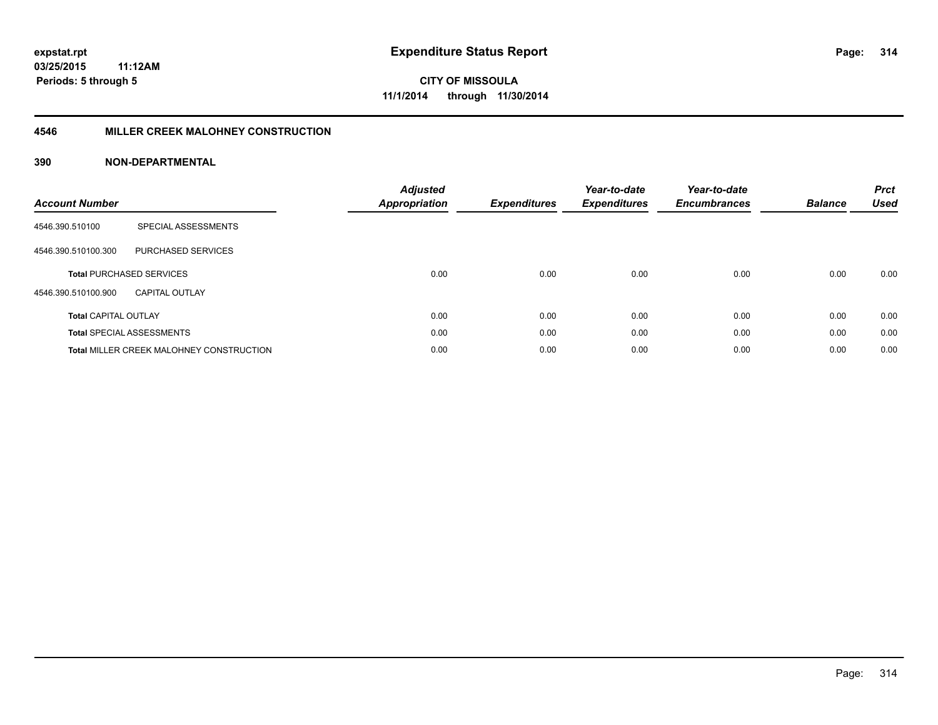#### **4546 MILLER CREEK MALOHNEY CONSTRUCTION**

| <b>Account Number</b>       |                                                 | <b>Adjusted</b><br>Appropriation | <b>Expenditures</b> | Year-to-date<br><b>Expenditures</b> | Year-to-date<br><b>Encumbrances</b> | <b>Balance</b> | <b>Prct</b><br><b>Used</b> |
|-----------------------------|-------------------------------------------------|----------------------------------|---------------------|-------------------------------------|-------------------------------------|----------------|----------------------------|
| 4546.390.510100             | SPECIAL ASSESSMENTS                             |                                  |                     |                                     |                                     |                |                            |
| 4546.390.510100.300         | <b>PURCHASED SERVICES</b>                       |                                  |                     |                                     |                                     |                |                            |
|                             | <b>Total PURCHASED SERVICES</b>                 | 0.00                             | 0.00                | 0.00                                | 0.00                                | 0.00           | 0.00                       |
| 4546.390.510100.900         | <b>CAPITAL OUTLAY</b>                           |                                  |                     |                                     |                                     |                |                            |
| <b>Total CAPITAL OUTLAY</b> |                                                 | 0.00                             | 0.00                | 0.00                                | 0.00                                | 0.00           | 0.00                       |
|                             | <b>Total SPECIAL ASSESSMENTS</b>                | 0.00                             | 0.00                | 0.00                                | 0.00                                | 0.00           | 0.00                       |
|                             | <b>Total MILLER CREEK MALOHNEY CONSTRUCTION</b> | 0.00                             | 0.00                | 0.00                                | 0.00                                | 0.00           | 0.00                       |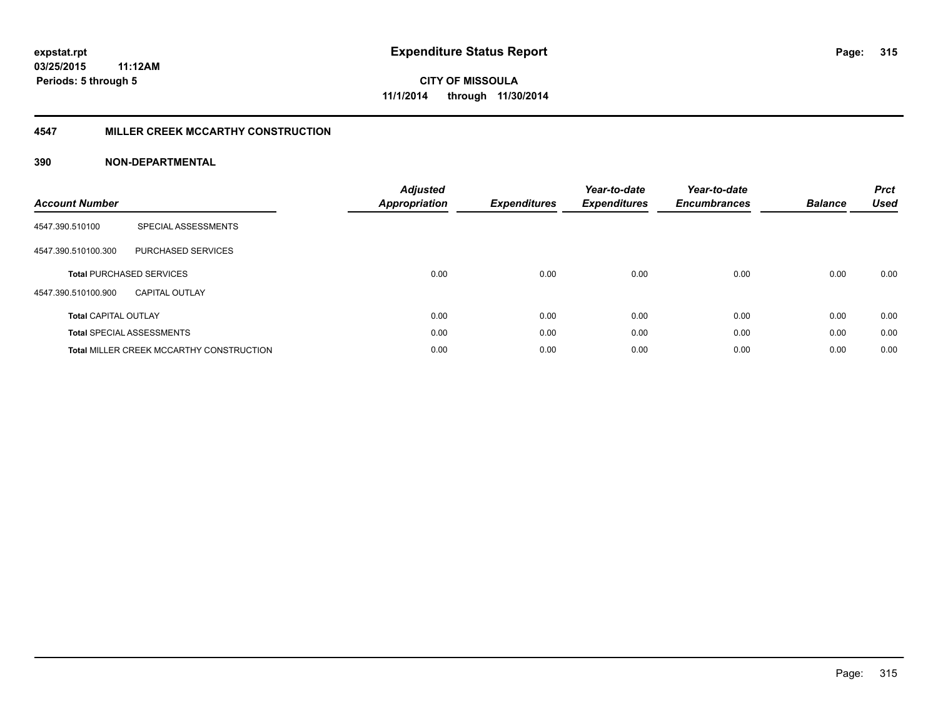#### **4547 MILLER CREEK MCCARTHY CONSTRUCTION**

| <b>Account Number</b>       |                                                 | <b>Adjusted</b><br><b>Appropriation</b> | <b>Expenditures</b> | Year-to-date<br><b>Expenditures</b> | Year-to-date<br><b>Encumbrances</b> | <b>Balance</b> | <b>Prct</b><br><b>Used</b> |
|-----------------------------|-------------------------------------------------|-----------------------------------------|---------------------|-------------------------------------|-------------------------------------|----------------|----------------------------|
| 4547.390.510100             | SPECIAL ASSESSMENTS                             |                                         |                     |                                     |                                     |                |                            |
| 4547.390.510100.300         | <b>PURCHASED SERVICES</b>                       |                                         |                     |                                     |                                     |                |                            |
|                             | <b>Total PURCHASED SERVICES</b>                 | 0.00                                    | 0.00                | 0.00                                | 0.00                                | 0.00           | 0.00                       |
| 4547.390.510100.900         | <b>CAPITAL OUTLAY</b>                           |                                         |                     |                                     |                                     |                |                            |
| <b>Total CAPITAL OUTLAY</b> |                                                 | 0.00                                    | 0.00                | 0.00                                | 0.00                                | 0.00           | 0.00                       |
|                             | <b>Total SPECIAL ASSESSMENTS</b>                | 0.00                                    | 0.00                | 0.00                                | 0.00                                | 0.00           | 0.00                       |
|                             | <b>Total MILLER CREEK MCCARTHY CONSTRUCTION</b> | 0.00                                    | 0.00                | 0.00                                | 0.00                                | 0.00           | 0.00                       |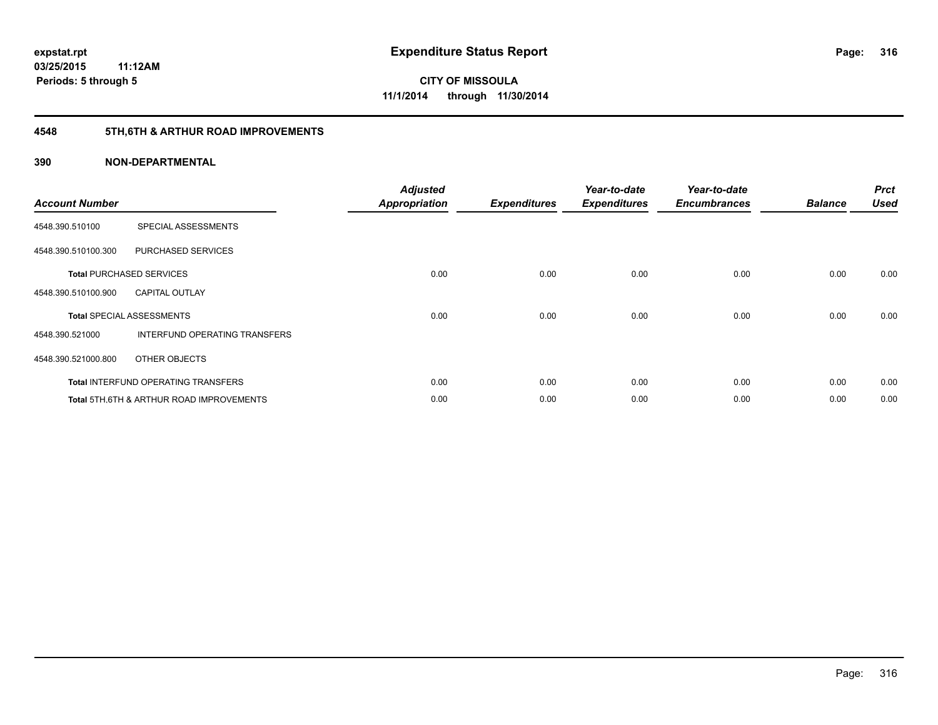# **4548 5TH,6TH & ARTHUR ROAD IMPROVEMENTS**

| <b>Account Number</b> |                                                     | <b>Adjusted</b><br><b>Appropriation</b> | <b>Expenditures</b> | Year-to-date<br><b>Expenditures</b> | Year-to-date<br><b>Encumbrances</b> | <b>Balance</b> | <b>Prct</b><br><b>Used</b> |
|-----------------------|-----------------------------------------------------|-----------------------------------------|---------------------|-------------------------------------|-------------------------------------|----------------|----------------------------|
| 4548.390.510100       | SPECIAL ASSESSMENTS                                 |                                         |                     |                                     |                                     |                |                            |
| 4548.390.510100.300   | PURCHASED SERVICES                                  |                                         |                     |                                     |                                     |                |                            |
|                       | <b>Total PURCHASED SERVICES</b>                     | 0.00                                    | 0.00                | 0.00                                | 0.00                                | 0.00           | 0.00                       |
| 4548.390.510100.900   | <b>CAPITAL OUTLAY</b>                               |                                         |                     |                                     |                                     |                |                            |
|                       | <b>Total SPECIAL ASSESSMENTS</b>                    | 0.00                                    | 0.00                | 0.00                                | 0.00                                | 0.00           | 0.00                       |
| 4548.390.521000       | <b>INTERFUND OPERATING TRANSFERS</b>                |                                         |                     |                                     |                                     |                |                            |
| 4548.390.521000.800   | OTHER OBJECTS                                       |                                         |                     |                                     |                                     |                |                            |
|                       | <b>Total INTERFUND OPERATING TRANSFERS</b>          | 0.00                                    | 0.00                | 0.00                                | 0.00                                | 0.00           | 0.00                       |
|                       | <b>Total 5TH.6TH &amp; ARTHUR ROAD IMPROVEMENTS</b> | 0.00                                    | 0.00                | 0.00                                | 0.00                                | 0.00           | 0.00                       |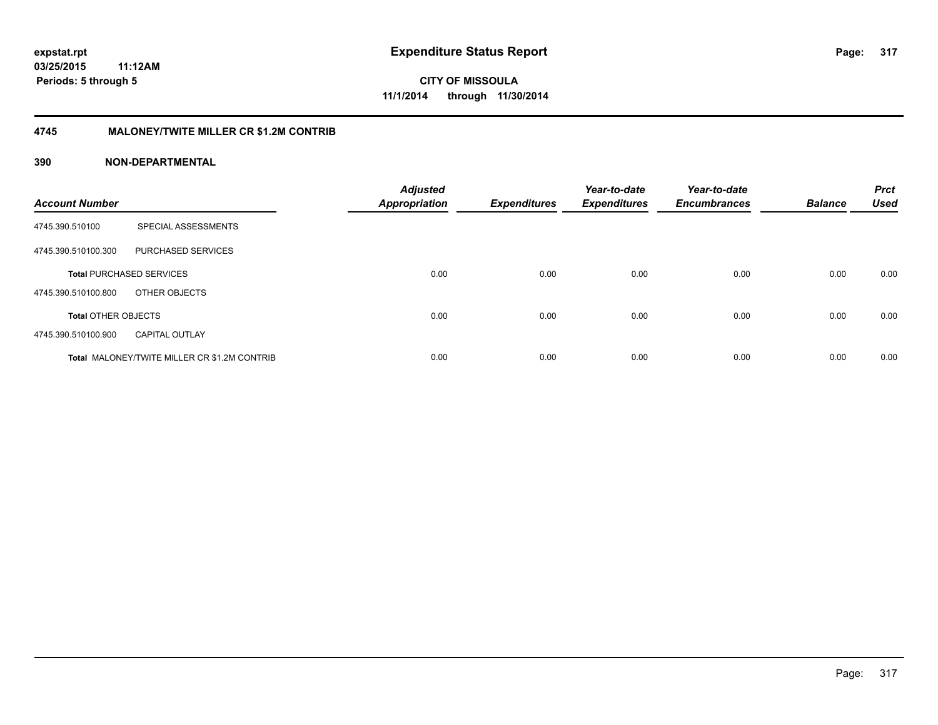### **4745 MALONEY/TWITE MILLER CR \$1.2M CONTRIB**

| <b>Account Number</b>      |                                                     | <b>Adjusted</b><br><b>Appropriation</b> | <b>Expenditures</b> | Year-to-date<br><b>Expenditures</b> | Year-to-date<br><b>Encumbrances</b> | <b>Balance</b> | <b>Prct</b><br><b>Used</b> |
|----------------------------|-----------------------------------------------------|-----------------------------------------|---------------------|-------------------------------------|-------------------------------------|----------------|----------------------------|
| 4745.390.510100            | SPECIAL ASSESSMENTS                                 |                                         |                     |                                     |                                     |                |                            |
| 4745.390.510100.300        | PURCHASED SERVICES                                  |                                         |                     |                                     |                                     |                |                            |
|                            | <b>Total PURCHASED SERVICES</b>                     | 0.00                                    | 0.00                | 0.00                                | 0.00                                | 0.00           | 0.00                       |
| 4745.390.510100.800        | OTHER OBJECTS                                       |                                         |                     |                                     |                                     |                |                            |
| <b>Total OTHER OBJECTS</b> |                                                     | 0.00                                    | 0.00                | 0.00                                | 0.00                                | 0.00           | 0.00                       |
| 4745.390.510100.900        | <b>CAPITAL OUTLAY</b>                               |                                         |                     |                                     |                                     |                |                            |
|                            | <b>Total MALONEY/TWITE MILLER CR \$1.2M CONTRIB</b> | 0.00                                    | 0.00                | 0.00                                | 0.00                                | 0.00           | 0.00                       |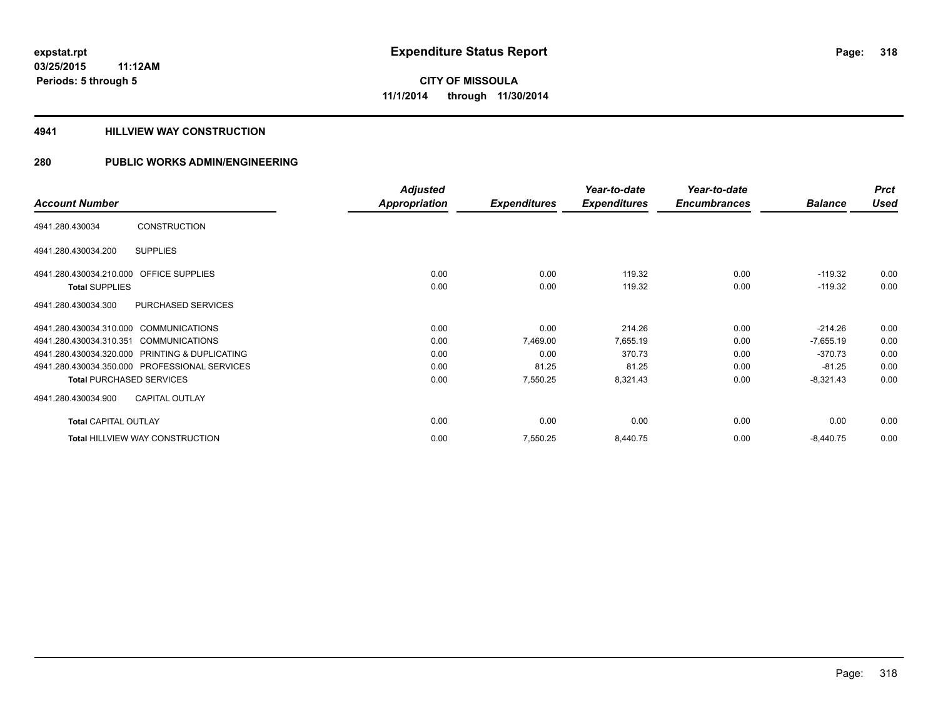#### **4941 HILLVIEW WAY CONSTRUCTION**

|                                                  | <b>Adjusted</b>      |                     | Year-to-date        | Year-to-date        |                | <b>Prct</b> |
|--------------------------------------------------|----------------------|---------------------|---------------------|---------------------|----------------|-------------|
| <b>Account Number</b>                            | <b>Appropriation</b> | <b>Expenditures</b> | <b>Expenditures</b> | <b>Encumbrances</b> | <b>Balance</b> | <b>Used</b> |
| <b>CONSTRUCTION</b><br>4941.280.430034           |                      |                     |                     |                     |                |             |
| <b>SUPPLIES</b><br>4941.280.430034.200           |                      |                     |                     |                     |                |             |
| 4941.280.430034.210.000 OFFICE SUPPLIES          | 0.00                 | 0.00                | 119.32              | 0.00                | $-119.32$      | 0.00        |
| <b>Total SUPPLIES</b>                            | 0.00                 | 0.00                | 119.32              | 0.00                | $-119.32$      | 0.00        |
| PURCHASED SERVICES<br>4941.280.430034.300        |                      |                     |                     |                     |                |             |
| 4941.280.430034.310.000 COMMUNICATIONS           | 0.00                 | 0.00                | 214.26              | 0.00                | $-214.26$      | 0.00        |
| 4941.280.430034.310.351<br><b>COMMUNICATIONS</b> | 0.00                 | 7,469.00            | 7,655.19            | 0.00                | $-7,655.19$    | 0.00        |
| 4941.280.430034.320.000 PRINTING & DUPLICATING   | 0.00                 | 0.00                | 370.73              | 0.00                | $-370.73$      | 0.00        |
| 4941.280.430034.350.000 PROFESSIONAL SERVICES    | 0.00                 | 81.25               | 81.25               | 0.00                | $-81.25$       | 0.00        |
| <b>Total PURCHASED SERVICES</b>                  | 0.00                 | 7,550.25            | 8,321.43            | 0.00                | $-8,321.43$    | 0.00        |
| <b>CAPITAL OUTLAY</b><br>4941.280.430034.900     |                      |                     |                     |                     |                |             |
| <b>Total CAPITAL OUTLAY</b>                      | 0.00                 | 0.00                | 0.00                | 0.00                | 0.00           | 0.00        |
| <b>Total HILLVIEW WAY CONSTRUCTION</b>           | 0.00                 | 7,550.25            | 8,440.75            | 0.00                | $-8,440.75$    | 0.00        |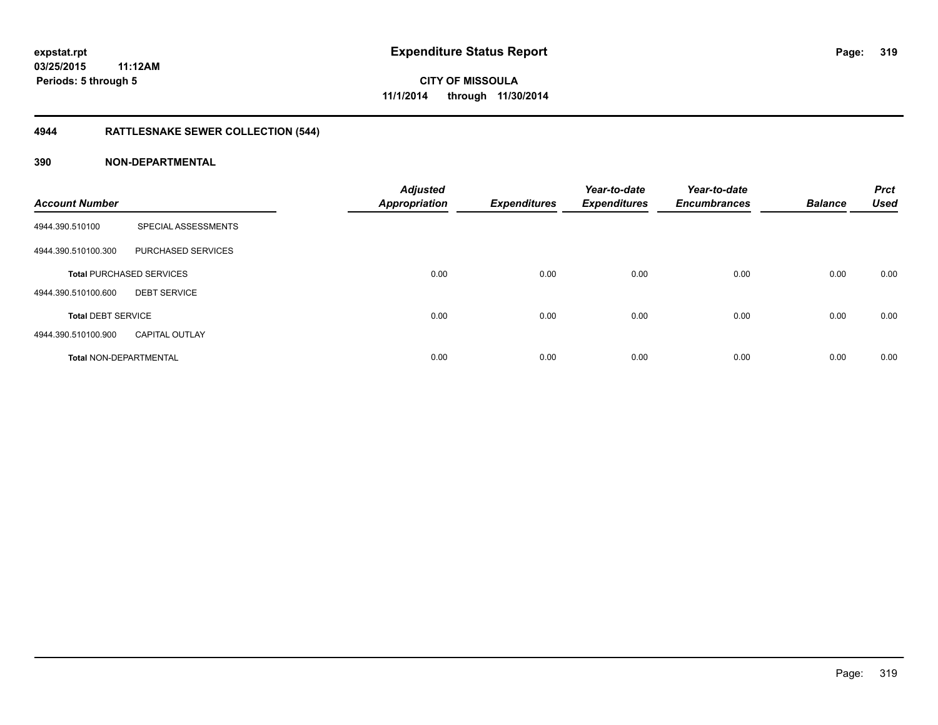# **4944 RATTLESNAKE SEWER COLLECTION (544)**

| <b>Account Number</b>         |                                 | <b>Adjusted</b><br><b>Appropriation</b> | <b>Expenditures</b> | Year-to-date<br><b>Expenditures</b> | Year-to-date<br><b>Encumbrances</b> | <b>Balance</b> | <b>Prct</b><br><b>Used</b> |
|-------------------------------|---------------------------------|-----------------------------------------|---------------------|-------------------------------------|-------------------------------------|----------------|----------------------------|
| 4944.390.510100               | SPECIAL ASSESSMENTS             |                                         |                     |                                     |                                     |                |                            |
| 4944.390.510100.300           | PURCHASED SERVICES              |                                         |                     |                                     |                                     |                |                            |
|                               | <b>Total PURCHASED SERVICES</b> | 0.00                                    | 0.00                | 0.00                                | 0.00                                | 0.00           | 0.00                       |
| 4944.390.510100.600           | <b>DEBT SERVICE</b>             |                                         |                     |                                     |                                     |                |                            |
| <b>Total DEBT SERVICE</b>     |                                 | 0.00                                    | 0.00                | 0.00                                | 0.00                                | 0.00           | 0.00                       |
| 4944.390.510100.900           | <b>CAPITAL OUTLAY</b>           |                                         |                     |                                     |                                     |                |                            |
| <b>Total NON-DEPARTMENTAL</b> |                                 | 0.00                                    | 0.00                | 0.00                                | 0.00                                | 0.00           | 0.00                       |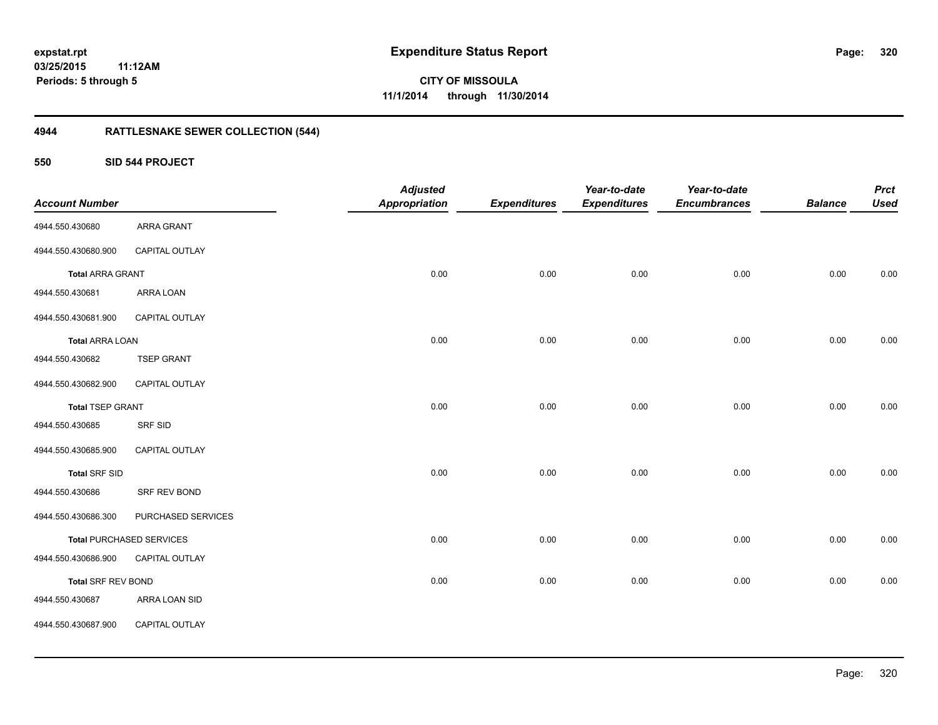## **03/25/2015 11:12AM Periods: 5 through 5**

**320**

**CITY OF MISSOULA 11/1/2014 through 11/30/2014**

# **4944 RATTLESNAKE SEWER COLLECTION (544)**

**550 SID 544 PROJECT**

| <b>Account Number</b>     |                                 | <b>Adjusted</b><br><b>Appropriation</b> | <b>Expenditures</b> | Year-to-date<br><b>Expenditures</b> | Year-to-date<br><b>Encumbrances</b> | <b>Balance</b> | <b>Prct</b><br><b>Used</b> |
|---------------------------|---------------------------------|-----------------------------------------|---------------------|-------------------------------------|-------------------------------------|----------------|----------------------------|
| 4944.550.430680           | <b>ARRA GRANT</b>               |                                         |                     |                                     |                                     |                |                            |
| 4944.550.430680.900       | CAPITAL OUTLAY                  |                                         |                     |                                     |                                     |                |                            |
| <b>Total ARRA GRANT</b>   |                                 | 0.00                                    | 0.00                | 0.00                                | 0.00                                | 0.00           | 0.00                       |
| 4944.550.430681           | ARRA LOAN                       |                                         |                     |                                     |                                     |                |                            |
| 4944.550.430681.900       | CAPITAL OUTLAY                  |                                         |                     |                                     |                                     |                |                            |
| <b>Total ARRA LOAN</b>    |                                 | 0.00                                    | 0.00                | 0.00                                | 0.00                                | 0.00           | 0.00                       |
| 4944.550.430682           | <b>TSEP GRANT</b>               |                                         |                     |                                     |                                     |                |                            |
| 4944.550.430682.900       | CAPITAL OUTLAY                  |                                         |                     |                                     |                                     |                |                            |
| <b>Total TSEP GRANT</b>   |                                 | 0.00                                    | 0.00                | 0.00                                | 0.00                                | 0.00           | 0.00                       |
| 4944.550.430685           | <b>SRF SID</b>                  |                                         |                     |                                     |                                     |                |                            |
| 4944.550.430685.900       | CAPITAL OUTLAY                  |                                         |                     |                                     |                                     |                |                            |
| <b>Total SRF SID</b>      |                                 | 0.00                                    | 0.00                | 0.00                                | 0.00                                | 0.00           | 0.00                       |
| 4944.550.430686           | SRF REV BOND                    |                                         |                     |                                     |                                     |                |                            |
| 4944.550.430686.300       | PURCHASED SERVICES              |                                         |                     |                                     |                                     |                |                            |
|                           | <b>Total PURCHASED SERVICES</b> | 0.00                                    | 0.00                | 0.00                                | 0.00                                | 0.00           | 0.00                       |
| 4944.550.430686.900       | CAPITAL OUTLAY                  |                                         |                     |                                     |                                     |                |                            |
| <b>Total SRF REV BOND</b> |                                 | 0.00                                    | 0.00                | 0.00                                | 0.00                                | 0.00           | 0.00                       |
| 4944.550.430687           | ARRA LOAN SID                   |                                         |                     |                                     |                                     |                |                            |
| 4944.550.430687.900       | CAPITAL OUTLAY                  |                                         |                     |                                     |                                     |                |                            |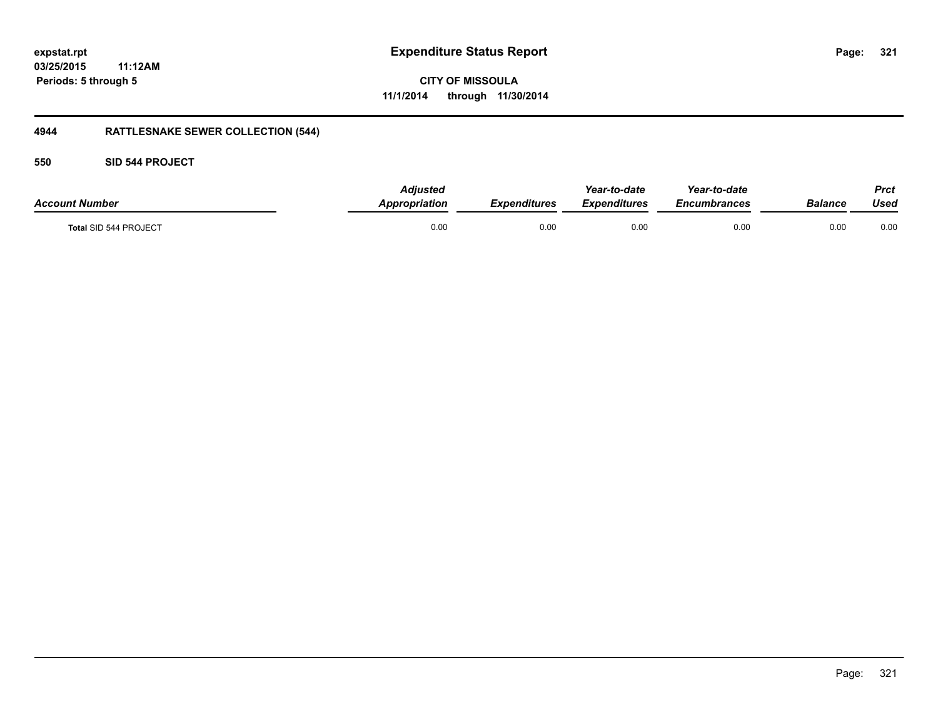## **03/25/2015 11:12AM Periods: 5 through 5**

**CITY OF MISSOULA 11/1/2014 through 11/30/2014**

# **4944 RATTLESNAKE SEWER COLLECTION (544)**

## **550 SID 544 PROJECT**

| <b>Account Number</b> | Adjusted<br>Appropriation | <b>Expenditures</b> | Year-to-date<br><b>Expenditures</b> | Year-to-date<br><i><b>Encumbrances</b></i> | Balance | Prct<br>Used |
|-----------------------|---------------------------|---------------------|-------------------------------------|--------------------------------------------|---------|--------------|
| Total SID 544 PROJECT | 0.00                      | 0.00                | 0.00                                | 0.00                                       | 0.00    | 0.00         |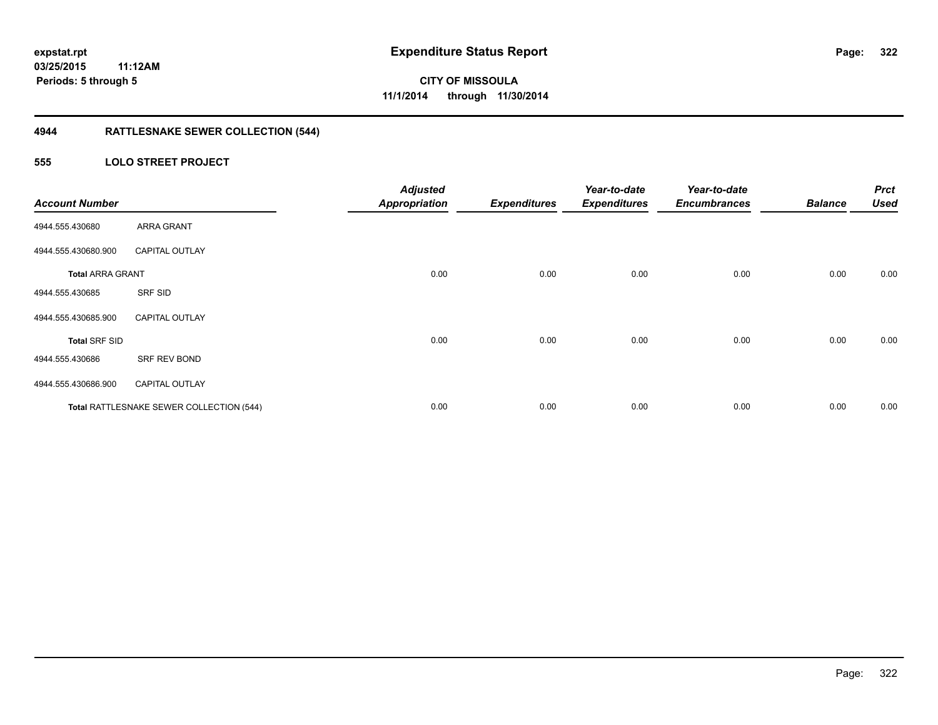# **4944 RATTLESNAKE SEWER COLLECTION (544)**

## **555 LOLO STREET PROJECT**

| <b>Account Number</b>   |                                          | <b>Adjusted</b><br><b>Appropriation</b> | <b>Expenditures</b> | Year-to-date<br><b>Expenditures</b> | Year-to-date<br><b>Encumbrances</b> | <b>Balance</b> | <b>Prct</b><br><b>Used</b> |
|-------------------------|------------------------------------------|-----------------------------------------|---------------------|-------------------------------------|-------------------------------------|----------------|----------------------------|
| 4944.555.430680         | <b>ARRA GRANT</b>                        |                                         |                     |                                     |                                     |                |                            |
| 4944.555.430680.900     | <b>CAPITAL OUTLAY</b>                    |                                         |                     |                                     |                                     |                |                            |
| <b>Total ARRA GRANT</b> |                                          | 0.00                                    | 0.00                | 0.00                                | 0.00                                | 0.00           | 0.00                       |
| 4944.555.430685         | SRF SID                                  |                                         |                     |                                     |                                     |                |                            |
| 4944.555.430685.900     | <b>CAPITAL OUTLAY</b>                    |                                         |                     |                                     |                                     |                |                            |
| <b>Total SRF SID</b>    |                                          | 0.00                                    | 0.00                | 0.00                                | 0.00                                | 0.00           | 0.00                       |
| 4944.555.430686         | SRF REV BOND                             |                                         |                     |                                     |                                     |                |                            |
| 4944.555.430686.900     | <b>CAPITAL OUTLAY</b>                    |                                         |                     |                                     |                                     |                |                            |
|                         | Total RATTLESNAKE SEWER COLLECTION (544) | 0.00                                    | 0.00                | 0.00                                | 0.00                                | 0.00           | 0.00                       |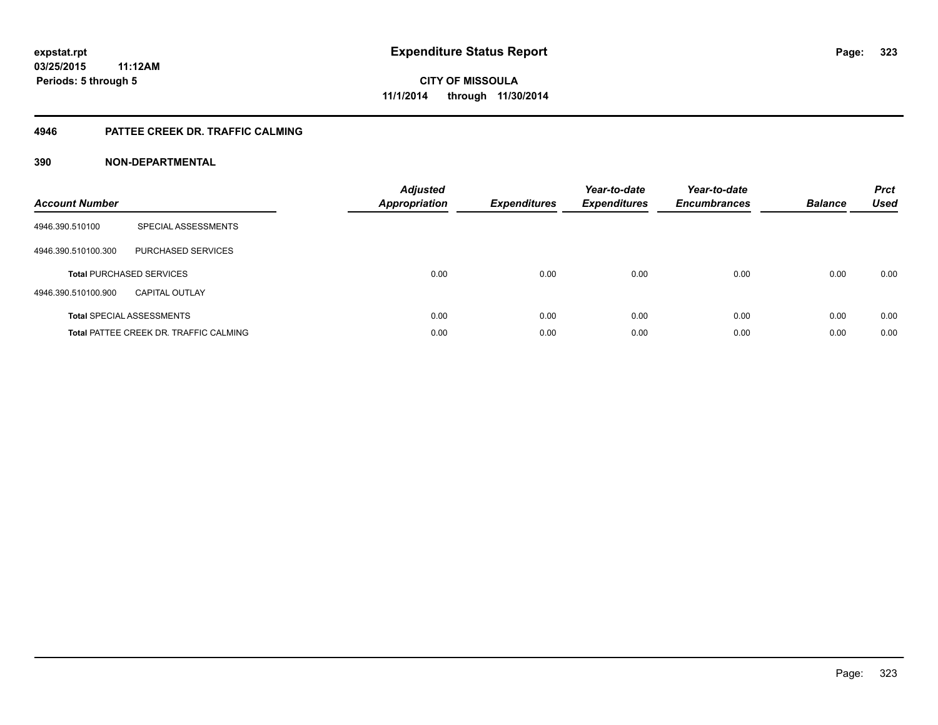## **4946 PATTEE CREEK DR. TRAFFIC CALMING**

| <b>Account Number</b> |                                               | <b>Adjusted</b><br><b>Appropriation</b> | <b>Expenditures</b> | Year-to-date<br><b>Expenditures</b> | Year-to-date<br><b>Encumbrances</b> | <b>Balance</b> | <b>Prct</b><br><b>Used</b> |
|-----------------------|-----------------------------------------------|-----------------------------------------|---------------------|-------------------------------------|-------------------------------------|----------------|----------------------------|
| 4946.390.510100       | SPECIAL ASSESSMENTS                           |                                         |                     |                                     |                                     |                |                            |
| 4946.390.510100.300   | PURCHASED SERVICES                            |                                         |                     |                                     |                                     |                |                            |
|                       | <b>Total PURCHASED SERVICES</b>               | 0.00                                    | 0.00                | 0.00                                | 0.00                                | 0.00           | 0.00                       |
| 4946.390.510100.900   | CAPITAL OUTLAY                                |                                         |                     |                                     |                                     |                |                            |
|                       | <b>Total SPECIAL ASSESSMENTS</b>              | 0.00                                    | 0.00                | 0.00                                | 0.00                                | 0.00           | 0.00                       |
|                       | <b>Total PATTEE CREEK DR. TRAFFIC CALMING</b> | 0.00                                    | 0.00                | 0.00                                | 0.00                                | 0.00           | 0.00                       |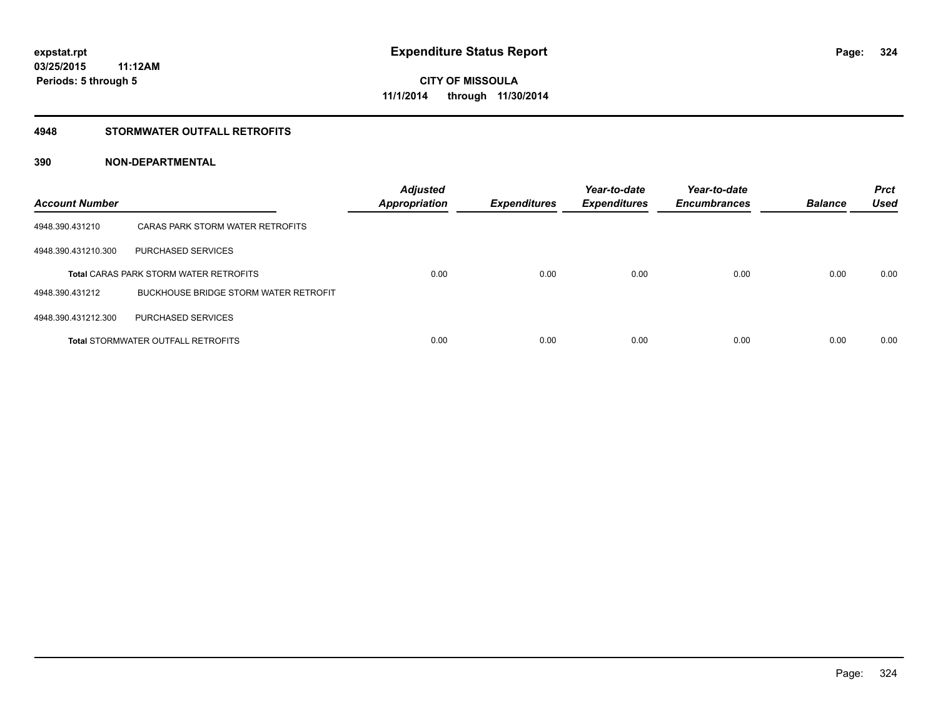### **4948 STORMWATER OUTFALL RETROFITS**

| <b>Account Number</b> |                                               | <b>Adjusted</b><br><b>Appropriation</b> | <b>Expenditures</b> | Year-to-date<br><b>Expenditures</b> | Year-to-date<br><b>Encumbrances</b> | <b>Balance</b> | <b>Prct</b><br><b>Used</b> |
|-----------------------|-----------------------------------------------|-----------------------------------------|---------------------|-------------------------------------|-------------------------------------|----------------|----------------------------|
| 4948.390.431210       | CARAS PARK STORM WATER RETROFITS              |                                         |                     |                                     |                                     |                |                            |
| 4948.390.431210.300   | PURCHASED SERVICES                            |                                         |                     |                                     |                                     |                |                            |
|                       | <b>Total CARAS PARK STORM WATER RETROFITS</b> | 0.00                                    | 0.00                | 0.00                                | 0.00                                | 0.00           | 0.00                       |
| 4948.390.431212       | BUCKHOUSE BRIDGE STORM WATER RETROFIT         |                                         |                     |                                     |                                     |                |                            |
| 4948.390.431212.300   | PURCHASED SERVICES                            |                                         |                     |                                     |                                     |                |                            |
|                       | <b>Total STORMWATER OUTFALL RETROFITS</b>     | 0.00                                    | 0.00                | 0.00                                | 0.00                                | 0.00           | 0.00                       |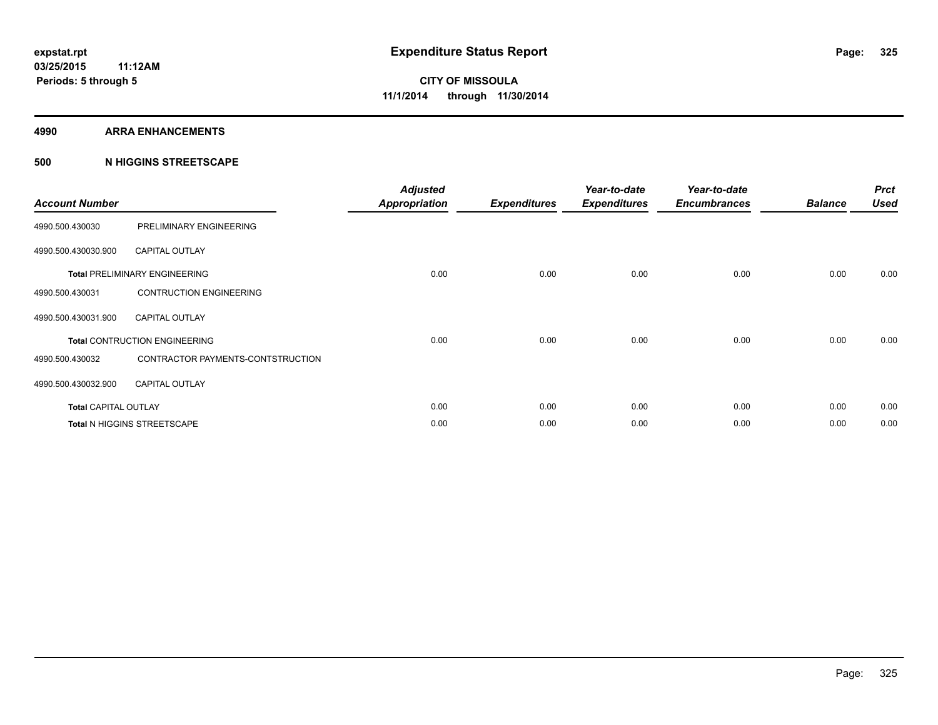#### **4990 ARRA ENHANCEMENTS**

#### **500 N HIGGINS STREETSCAPE**

| <b>Account Number</b>       |                                      | <b>Adjusted</b><br><b>Appropriation</b> | <b>Expenditures</b> | Year-to-date<br><b>Expenditures</b> | Year-to-date<br><b>Encumbrances</b> | <b>Balance</b> | <b>Prct</b><br><b>Used</b> |
|-----------------------------|--------------------------------------|-----------------------------------------|---------------------|-------------------------------------|-------------------------------------|----------------|----------------------------|
| 4990.500.430030             | PRELIMINARY ENGINEERING              |                                         |                     |                                     |                                     |                |                            |
| 4990.500.430030.900         | <b>CAPITAL OUTLAY</b>                |                                         |                     |                                     |                                     |                |                            |
|                             | <b>Total PRELIMINARY ENGINEERING</b> | 0.00                                    | 0.00                | 0.00                                | 0.00                                | 0.00           | 0.00                       |
| 4990.500.430031             | <b>CONTRUCTION ENGINEERING</b>       |                                         |                     |                                     |                                     |                |                            |
| 4990.500.430031.900         | <b>CAPITAL OUTLAY</b>                |                                         |                     |                                     |                                     |                |                            |
|                             | <b>Total CONTRUCTION ENGINEERING</b> | 0.00                                    | 0.00                | 0.00                                | 0.00                                | 0.00           | 0.00                       |
| 4990.500.430032             | CONTRACTOR PAYMENTS-CONTSTRUCTION    |                                         |                     |                                     |                                     |                |                            |
| 4990.500.430032.900         | <b>CAPITAL OUTLAY</b>                |                                         |                     |                                     |                                     |                |                            |
| <b>Total CAPITAL OUTLAY</b> |                                      | 0.00                                    | 0.00                | 0.00                                | 0.00                                | 0.00           | 0.00                       |
|                             | Total N HIGGINS STREETSCAPE          | 0.00                                    | 0.00                | 0.00                                | 0.00                                | 0.00           | 0.00                       |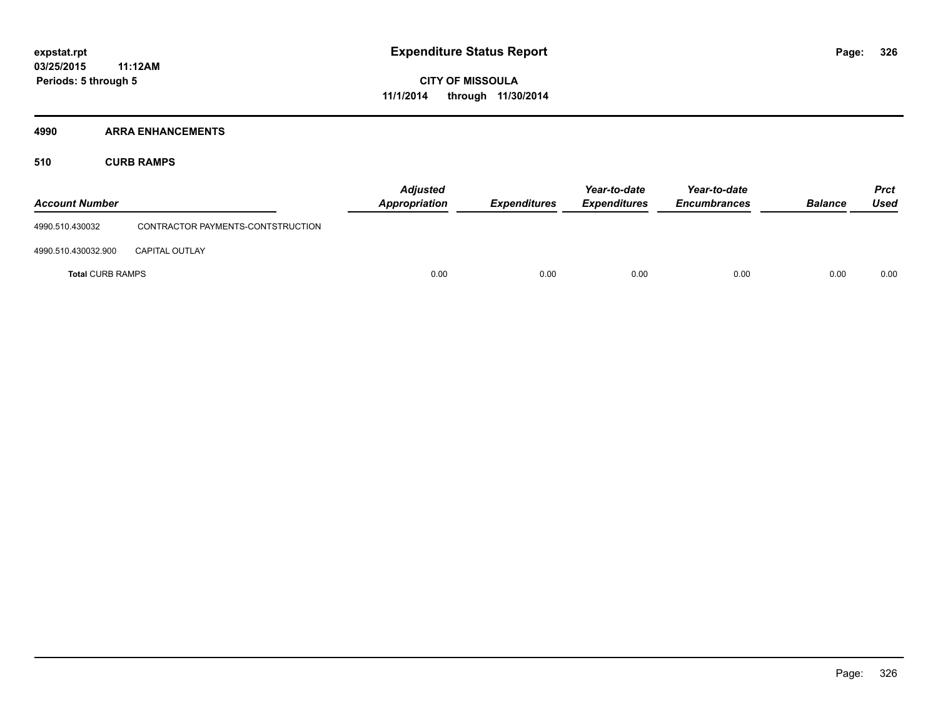#### **4990 ARRA ENHANCEMENTS**

**510 CURB RAMPS**

| <b>Account Number</b>   |                                   | <b>Adjusted</b><br><b>Appropriation</b> | <b>Expenditures</b> | Year-to-date<br><b>Expenditures</b> | Year-to-date<br><b>Encumbrances</b> | <b>Balance</b> | <b>Prct</b><br>Used |
|-------------------------|-----------------------------------|-----------------------------------------|---------------------|-------------------------------------|-------------------------------------|----------------|---------------------|
| 4990.510.430032         | CONTRACTOR PAYMENTS-CONTSTRUCTION |                                         |                     |                                     |                                     |                |                     |
| 4990.510.430032.900     | <b>CAPITAL OUTLAY</b>             |                                         |                     |                                     |                                     |                |                     |
| <b>Total CURB RAMPS</b> |                                   | 0.00                                    | 0.00                | 0.00                                | 0.00                                | 0.00           | 0.00                |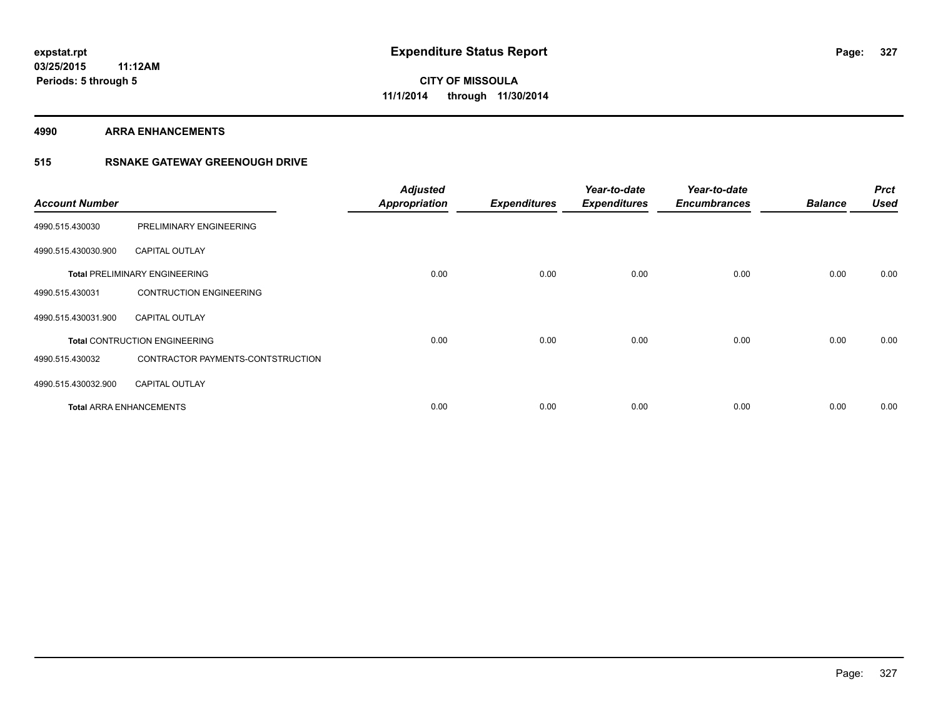**4990 ARRA ENHANCEMENTS**

### **515 RSNAKE GATEWAY GREENOUGH DRIVE**

| <b>Account Number</b> |                                      | <b>Adjusted</b><br><b>Appropriation</b> | <b>Expenditures</b> | Year-to-date<br><b>Expenditures</b> | Year-to-date<br><b>Encumbrances</b> | <b>Balance</b> | <b>Prct</b><br><b>Used</b> |
|-----------------------|--------------------------------------|-----------------------------------------|---------------------|-------------------------------------|-------------------------------------|----------------|----------------------------|
| 4990.515.430030       | PRELIMINARY ENGINEERING              |                                         |                     |                                     |                                     |                |                            |
| 4990.515.430030.900   | <b>CAPITAL OUTLAY</b>                |                                         |                     |                                     |                                     |                |                            |
|                       | <b>Total PRELIMINARY ENGINEERING</b> | 0.00                                    | 0.00                | 0.00                                | 0.00                                | 0.00           | 0.00                       |
| 4990.515.430031       | <b>CONTRUCTION ENGINEERING</b>       |                                         |                     |                                     |                                     |                |                            |
| 4990.515.430031.900   | <b>CAPITAL OUTLAY</b>                |                                         |                     |                                     |                                     |                |                            |
|                       | <b>Total CONTRUCTION ENGINEERING</b> | 0.00                                    | 0.00                | 0.00                                | 0.00                                | 0.00           | 0.00                       |
| 4990.515.430032       | CONTRACTOR PAYMENTS-CONTSTRUCTION    |                                         |                     |                                     |                                     |                |                            |
| 4990.515.430032.900   | <b>CAPITAL OUTLAY</b>                |                                         |                     |                                     |                                     |                |                            |
|                       | <b>Total ARRA ENHANCEMENTS</b>       | 0.00                                    | 0.00                | 0.00                                | 0.00                                | 0.00           | 0.00                       |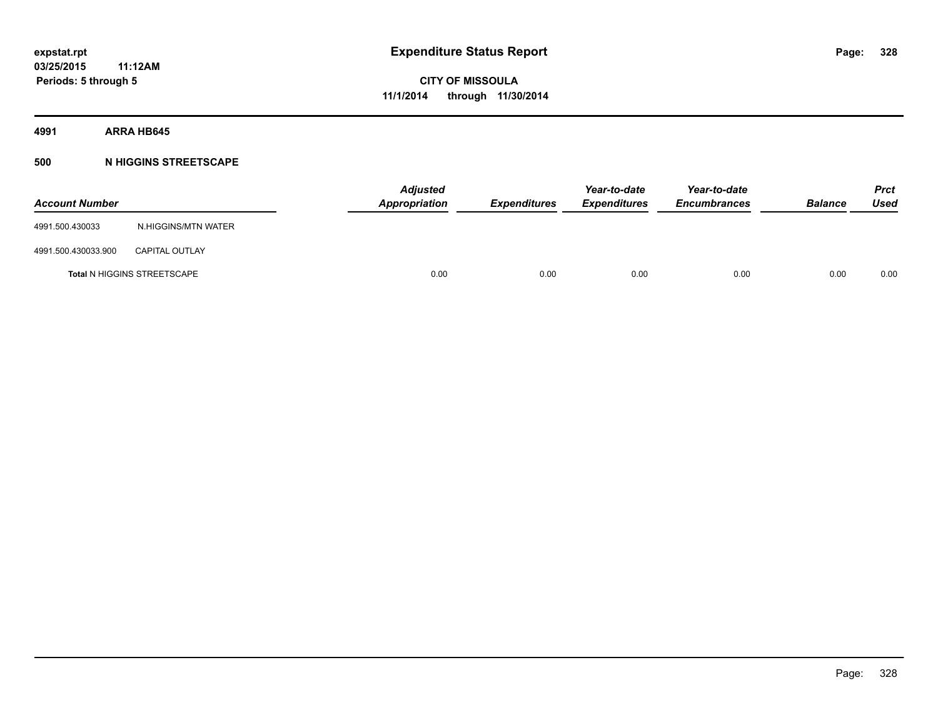#### **4991 ARRA HB645**

### **500 N HIGGINS STREETSCAPE**

| <b>Account Number</b> |                                    | <b>Adjusted</b><br>Appropriation | <b>Expenditures</b> | Year-to-date<br><b>Expenditures</b> | Year-to-date<br><b>Encumbrances</b> | <b>Balance</b> | <b>Prct</b><br>Used |
|-----------------------|------------------------------------|----------------------------------|---------------------|-------------------------------------|-------------------------------------|----------------|---------------------|
| 4991.500.430033       | N.HIGGINS/MTN WATER                |                                  |                     |                                     |                                     |                |                     |
| 4991.500.430033.900   | <b>CAPITAL OUTLAY</b>              |                                  |                     |                                     |                                     |                |                     |
|                       | <b>Total N HIGGINS STREETSCAPE</b> | 0.00                             | 0.00                | 0.00                                | 0.00                                | 0.00           | 0.00                |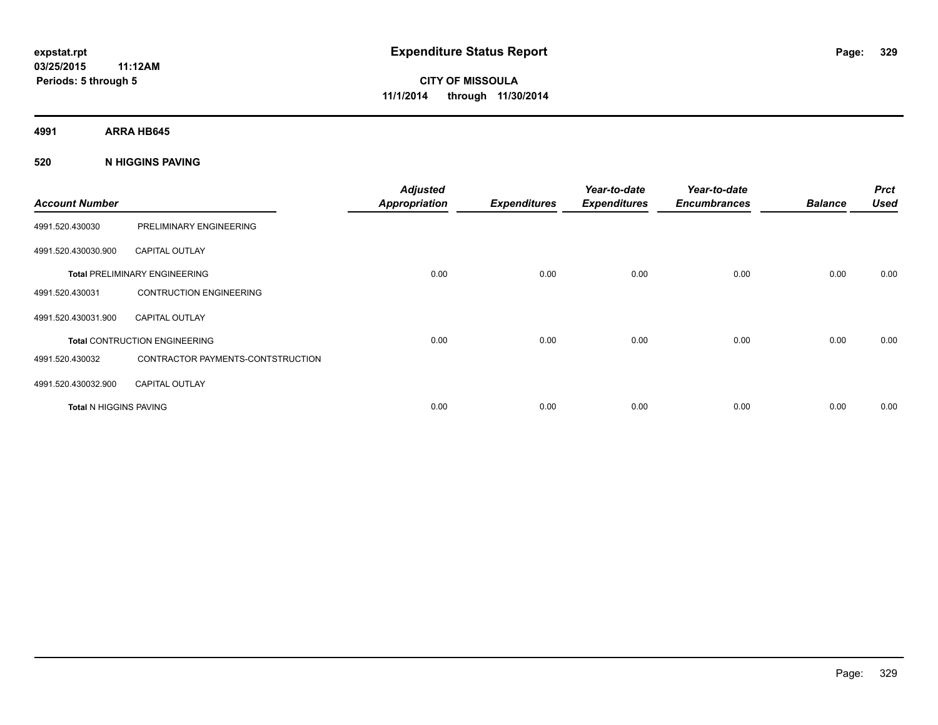**4991 ARRA HB645**

#### **520 N HIGGINS PAVING**

| <b>Account Number</b>         |                                      | <b>Adjusted</b><br><b>Appropriation</b> | <b>Expenditures</b> | Year-to-date<br><b>Expenditures</b> | Year-to-date<br><b>Encumbrances</b> | <b>Balance</b> | <b>Prct</b><br><b>Used</b> |
|-------------------------------|--------------------------------------|-----------------------------------------|---------------------|-------------------------------------|-------------------------------------|----------------|----------------------------|
| 4991.520.430030               | PRELIMINARY ENGINEERING              |                                         |                     |                                     |                                     |                |                            |
| 4991.520.430030.900           | <b>CAPITAL OUTLAY</b>                |                                         |                     |                                     |                                     |                |                            |
|                               | <b>Total PRELIMINARY ENGINEERING</b> | 0.00                                    | 0.00                | 0.00                                | 0.00                                | 0.00           | 0.00                       |
| 4991.520.430031               | <b>CONTRUCTION ENGINEERING</b>       |                                         |                     |                                     |                                     |                |                            |
| 4991.520.430031.900           | <b>CAPITAL OUTLAY</b>                |                                         |                     |                                     |                                     |                |                            |
|                               | <b>Total CONTRUCTION ENGINEERING</b> | 0.00                                    | 0.00                | 0.00                                | 0.00                                | 0.00           | 0.00                       |
| 4991.520.430032               | CONTRACTOR PAYMENTS-CONTSTRUCTION    |                                         |                     |                                     |                                     |                |                            |
| 4991.520.430032.900           | <b>CAPITAL OUTLAY</b>                |                                         |                     |                                     |                                     |                |                            |
| <b>Total N HIGGINS PAVING</b> |                                      | 0.00                                    | 0.00                | 0.00                                | 0.00                                | 0.00           | 0.00                       |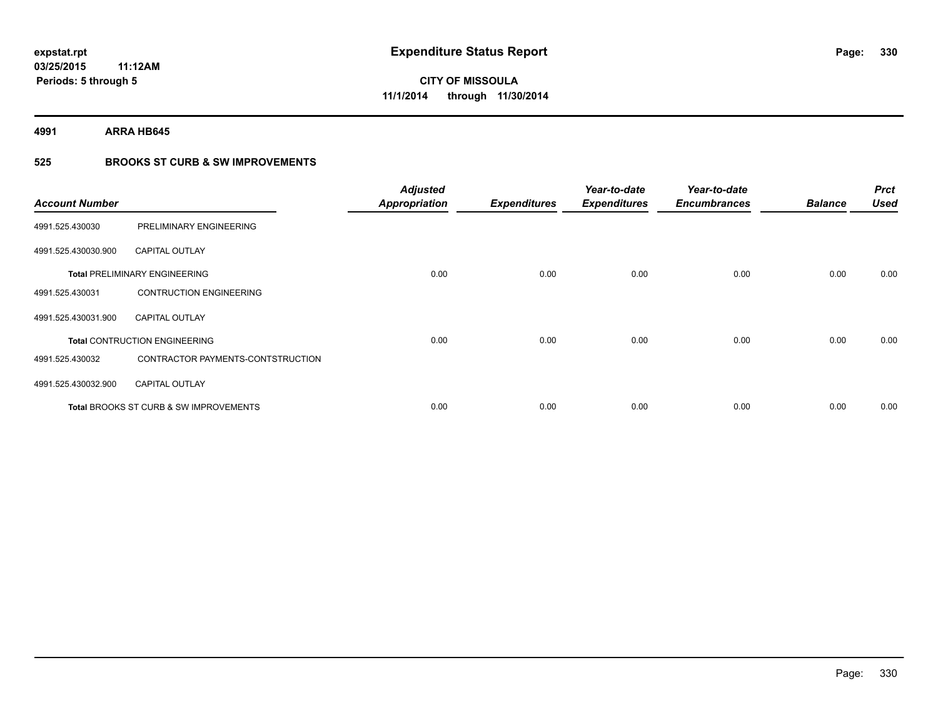**4991 ARRA HB645**

### **525 BROOKS ST CURB & SW IMPROVEMENTS**

| <b>Account Number</b> |                                                   | <b>Adjusted</b><br><b>Appropriation</b> | <b>Expenditures</b> | Year-to-date<br><b>Expenditures</b> | Year-to-date<br><b>Encumbrances</b> | <b>Balance</b> | <b>Prct</b><br><b>Used</b> |
|-----------------------|---------------------------------------------------|-----------------------------------------|---------------------|-------------------------------------|-------------------------------------|----------------|----------------------------|
| 4991.525.430030       | PRELIMINARY ENGINEERING                           |                                         |                     |                                     |                                     |                |                            |
| 4991.525.430030.900   | <b>CAPITAL OUTLAY</b>                             |                                         |                     |                                     |                                     |                |                            |
|                       | <b>Total PRELIMINARY ENGINEERING</b>              | 0.00                                    | 0.00                | 0.00                                | 0.00                                | 0.00           | 0.00                       |
| 4991.525.430031       | <b>CONTRUCTION ENGINEERING</b>                    |                                         |                     |                                     |                                     |                |                            |
| 4991.525.430031.900   | <b>CAPITAL OUTLAY</b>                             |                                         |                     |                                     |                                     |                |                            |
|                       | <b>Total CONTRUCTION ENGINEERING</b>              | 0.00                                    | 0.00                | 0.00                                | 0.00                                | 0.00           | 0.00                       |
| 4991.525.430032       | CONTRACTOR PAYMENTS-CONTSTRUCTION                 |                                         |                     |                                     |                                     |                |                            |
| 4991.525.430032.900   | <b>CAPITAL OUTLAY</b>                             |                                         |                     |                                     |                                     |                |                            |
|                       | <b>Total BROOKS ST CURB &amp; SW IMPROVEMENTS</b> | 0.00                                    | 0.00                | 0.00                                | 0.00                                | 0.00           | 0.00                       |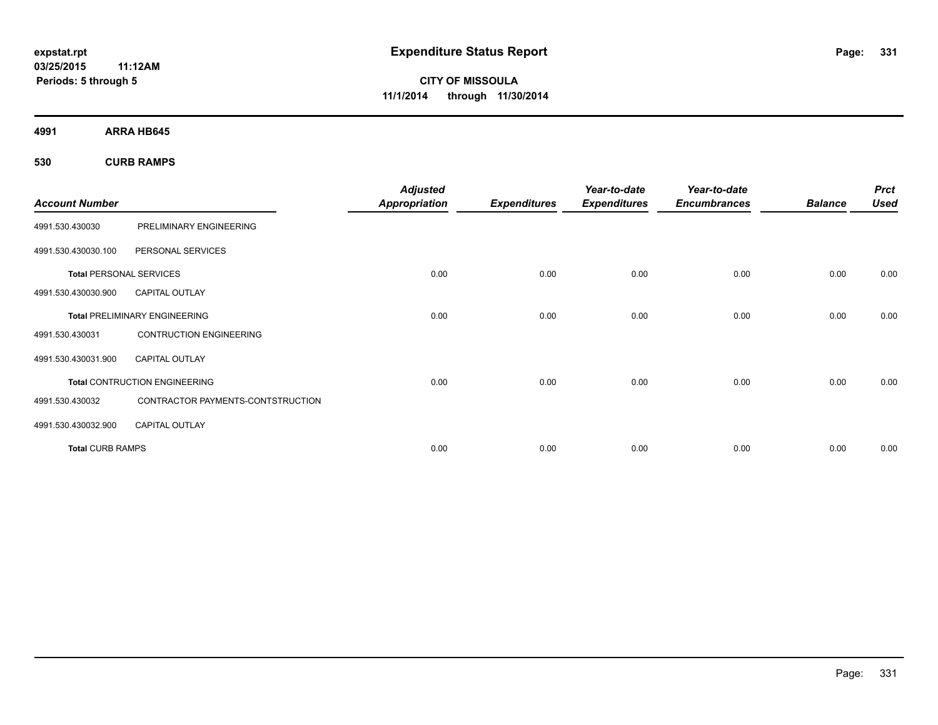**CITY OF MISSOULA 11/1/2014 through 11/30/2014**

**4991 ARRA HB645**

**530 CURB RAMPS**

| <b>Account Number</b>          |                                      | <b>Adjusted</b><br><b>Appropriation</b> | <b>Expenditures</b> | Year-to-date<br><b>Expenditures</b> | Year-to-date<br><b>Encumbrances</b> | <b>Balance</b> | <b>Prct</b><br><b>Used</b> |
|--------------------------------|--------------------------------------|-----------------------------------------|---------------------|-------------------------------------|-------------------------------------|----------------|----------------------------|
| 4991.530.430030                | PRELIMINARY ENGINEERING              |                                         |                     |                                     |                                     |                |                            |
| 4991.530.430030.100            | PERSONAL SERVICES                    |                                         |                     |                                     |                                     |                |                            |
| <b>Total PERSONAL SERVICES</b> |                                      | 0.00                                    | 0.00                | 0.00                                | 0.00                                | 0.00           | 0.00                       |
| 4991.530.430030.900            | <b>CAPITAL OUTLAY</b>                |                                         |                     |                                     |                                     |                |                            |
|                                | <b>Total PRELIMINARY ENGINEERING</b> | 0.00                                    | 0.00                | 0.00                                | 0.00                                | 0.00           | 0.00                       |
| 4991.530.430031                | <b>CONTRUCTION ENGINEERING</b>       |                                         |                     |                                     |                                     |                |                            |
| 4991.530.430031.900            | <b>CAPITAL OUTLAY</b>                |                                         |                     |                                     |                                     |                |                            |
|                                | <b>Total CONTRUCTION ENGINEERING</b> | 0.00                                    | 0.00                | 0.00                                | 0.00                                | 0.00           | 0.00                       |
| 4991.530.430032                | CONTRACTOR PAYMENTS-CONTSTRUCTION    |                                         |                     |                                     |                                     |                |                            |
| 4991.530.430032.900            | <b>CAPITAL OUTLAY</b>                |                                         |                     |                                     |                                     |                |                            |
| <b>Total CURB RAMPS</b>        |                                      | 0.00                                    | 0.00                | 0.00                                | 0.00                                | 0.00           | 0.00                       |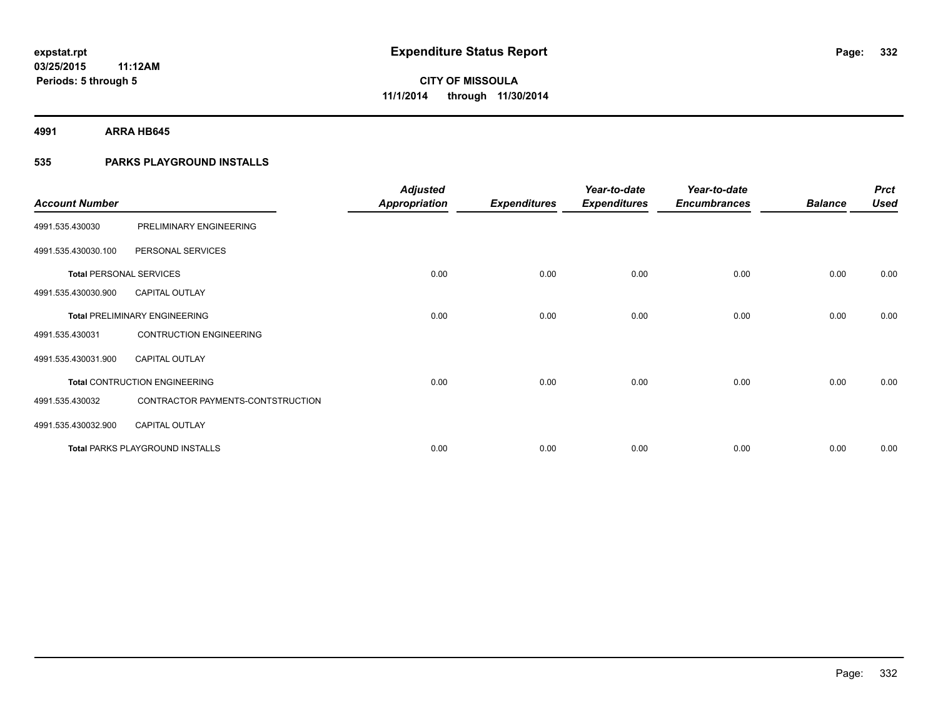**4991 ARRA HB645**

### **535 PARKS PLAYGROUND INSTALLS**

| <b>Account Number</b>          |                                        | <b>Adjusted</b><br><b>Appropriation</b> | <b>Expenditures</b> | Year-to-date<br><b>Expenditures</b> | Year-to-date<br><b>Encumbrances</b> | <b>Balance</b> | <b>Prct</b><br><b>Used</b> |
|--------------------------------|----------------------------------------|-----------------------------------------|---------------------|-------------------------------------|-------------------------------------|----------------|----------------------------|
| 4991.535.430030                | PRELIMINARY ENGINEERING                |                                         |                     |                                     |                                     |                |                            |
| 4991.535.430030.100            | PERSONAL SERVICES                      |                                         |                     |                                     |                                     |                |                            |
| <b>Total PERSONAL SERVICES</b> |                                        | 0.00                                    | 0.00                | 0.00                                | 0.00                                | 0.00           | 0.00                       |
| 4991.535.430030.900            | <b>CAPITAL OUTLAY</b>                  |                                         |                     |                                     |                                     |                |                            |
|                                | <b>Total PRELIMINARY ENGINEERING</b>   | 0.00                                    | 0.00                | 0.00                                | 0.00                                | 0.00           | 0.00                       |
| 4991.535.430031                | <b>CONTRUCTION ENGINEERING</b>         |                                         |                     |                                     |                                     |                |                            |
| 4991.535.430031.900            | <b>CAPITAL OUTLAY</b>                  |                                         |                     |                                     |                                     |                |                            |
|                                | <b>Total CONTRUCTION ENGINEERING</b>   | 0.00                                    | 0.00                | 0.00                                | 0.00                                | 0.00           | 0.00                       |
| 4991.535.430032                | CONTRACTOR PAYMENTS-CONTSTRUCTION      |                                         |                     |                                     |                                     |                |                            |
| 4991.535.430032.900            | <b>CAPITAL OUTLAY</b>                  |                                         |                     |                                     |                                     |                |                            |
|                                | <b>Total PARKS PLAYGROUND INSTALLS</b> | 0.00                                    | 0.00                | 0.00                                | 0.00                                | 0.00           | 0.00                       |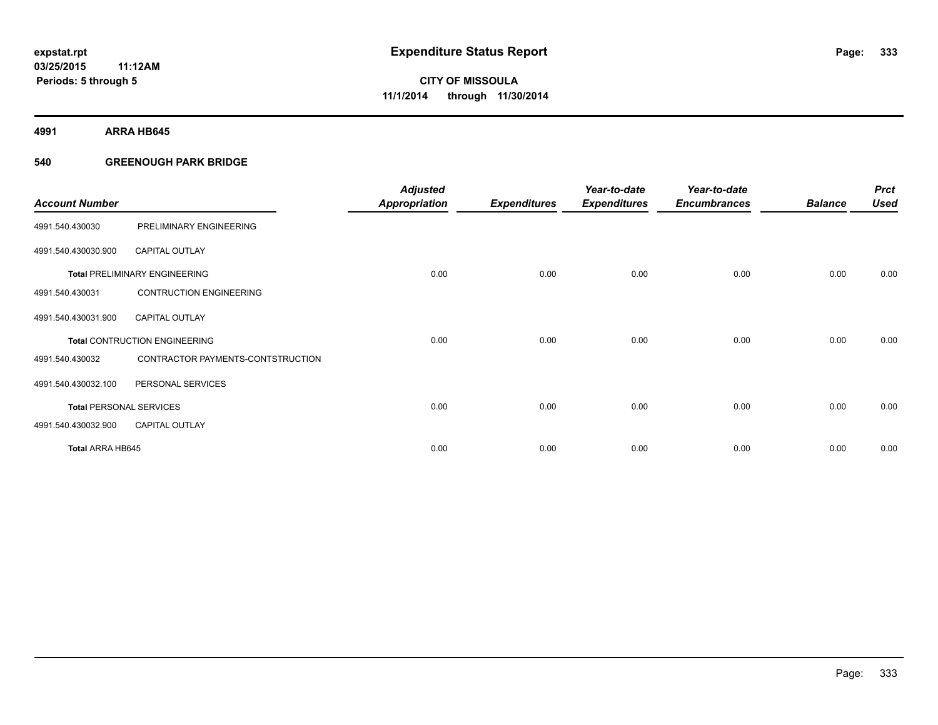**4991 ARRA HB645**

#### **540 GREENOUGH PARK BRIDGE**

| <b>Account Number</b>          |                                      | <b>Adjusted</b><br><b>Appropriation</b> | <b>Expenditures</b> | Year-to-date<br><b>Expenditures</b> | Year-to-date<br><b>Encumbrances</b> | <b>Balance</b> | <b>Prct</b><br><b>Used</b> |
|--------------------------------|--------------------------------------|-----------------------------------------|---------------------|-------------------------------------|-------------------------------------|----------------|----------------------------|
| 4991.540.430030                | PRELIMINARY ENGINEERING              |                                         |                     |                                     |                                     |                |                            |
| 4991.540.430030.900            | <b>CAPITAL OUTLAY</b>                |                                         |                     |                                     |                                     |                |                            |
|                                | <b>Total PRELIMINARY ENGINEERING</b> | 0.00                                    | 0.00                | 0.00                                | 0.00                                | 0.00           | 0.00                       |
| 4991.540.430031                | <b>CONTRUCTION ENGINEERING</b>       |                                         |                     |                                     |                                     |                |                            |
| 4991.540.430031.900            | <b>CAPITAL OUTLAY</b>                |                                         |                     |                                     |                                     |                |                            |
|                                | <b>Total CONTRUCTION ENGINEERING</b> | 0.00                                    | 0.00                | 0.00                                | 0.00                                | 0.00           | 0.00                       |
| 4991.540.430032                | CONTRACTOR PAYMENTS-CONTSTRUCTION    |                                         |                     |                                     |                                     |                |                            |
| 4991.540.430032.100            | PERSONAL SERVICES                    |                                         |                     |                                     |                                     |                |                            |
| <b>Total PERSONAL SERVICES</b> |                                      | 0.00                                    | 0.00                | 0.00                                | 0.00                                | 0.00           | 0.00                       |
| 4991.540.430032.900            | <b>CAPITAL OUTLAY</b>                |                                         |                     |                                     |                                     |                |                            |
| Total ARRA HB645               |                                      | 0.00                                    | 0.00                | 0.00                                | 0.00                                | 0.00           | 0.00                       |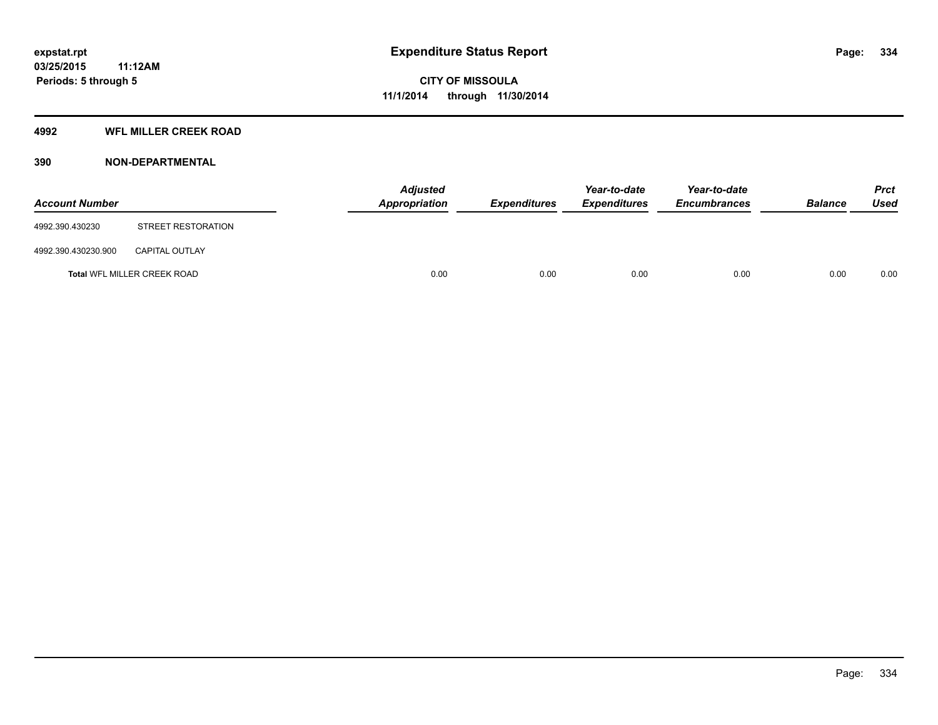### **4992 WFL MILLER CREEK ROAD**

### **390 NON-DEPARTMENTAL**

| <b>Account Number</b> |                             | Adjusted<br><b>Appropriation</b> | <b>Expenditures</b> | Year-to-date<br><b>Expenditures</b> | Year-to-date<br><b>Encumbrances</b> | <b>Balance</b> | <b>Prct</b><br><b>Used</b> |
|-----------------------|-----------------------------|----------------------------------|---------------------|-------------------------------------|-------------------------------------|----------------|----------------------------|
| 4992.390.430230       | STREET RESTORATION          |                                  |                     |                                     |                                     |                |                            |
| 4992.390.430230.900   | <b>CAPITAL OUTLAY</b>       |                                  |                     |                                     |                                     |                |                            |
|                       | Total WFL MILLER CREEK ROAD | 0.00                             | 0.00                | 0.00                                | 0.00                                | 0.00           | 0.00                       |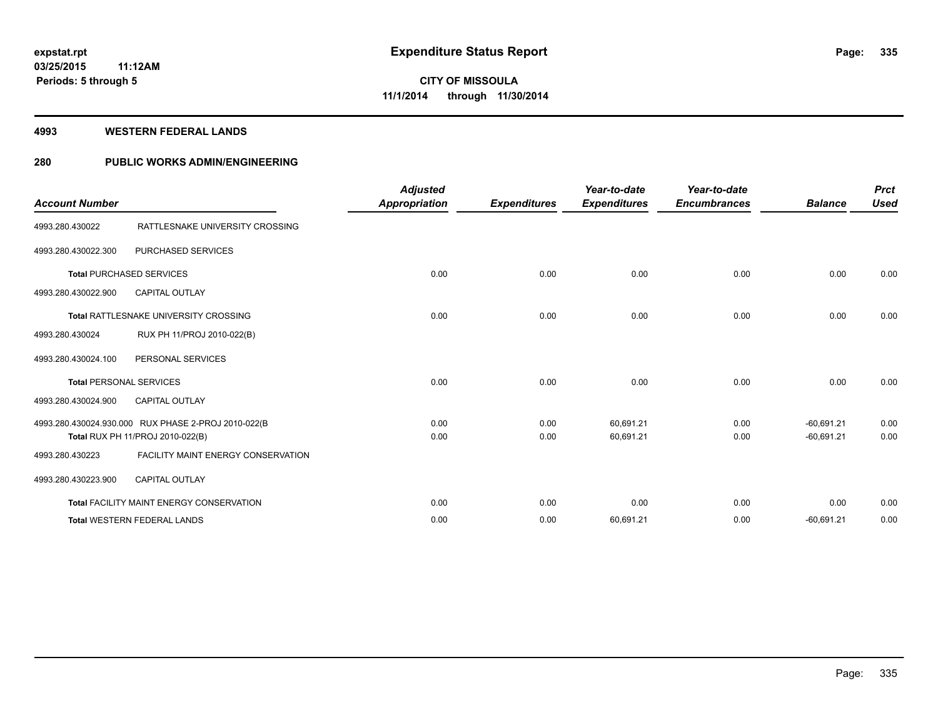#### **4993 WESTERN FEDERAL LANDS**

### **280 PUBLIC WORKS ADMIN/ENGINEERING**

| <b>Account Number</b>          |                                                                                         | <b>Adjusted</b><br>Appropriation | <b>Expenditures</b> | Year-to-date<br><b>Expenditures</b> | Year-to-date<br><b>Encumbrances</b> | <b>Balance</b>               | <b>Prct</b><br><b>Used</b> |
|--------------------------------|-----------------------------------------------------------------------------------------|----------------------------------|---------------------|-------------------------------------|-------------------------------------|------------------------------|----------------------------|
| 4993.280.430022                | RATTLESNAKE UNIVERSITY CROSSING                                                         |                                  |                     |                                     |                                     |                              |                            |
| 4993.280.430022.300            | <b>PURCHASED SERVICES</b>                                                               |                                  |                     |                                     |                                     |                              |                            |
|                                | <b>Total PURCHASED SERVICES</b>                                                         | 0.00                             | 0.00                | 0.00                                | 0.00                                | 0.00                         | 0.00                       |
| 4993.280.430022.900            | <b>CAPITAL OUTLAY</b>                                                                   |                                  |                     |                                     |                                     |                              |                            |
|                                | Total RATTLESNAKE UNIVERSITY CROSSING                                                   | 0.00                             | 0.00                | 0.00                                | 0.00                                | 0.00                         | 0.00                       |
| 4993.280.430024                | RUX PH 11/PROJ 2010-022(B)                                                              |                                  |                     |                                     |                                     |                              |                            |
| 4993.280.430024.100            | PERSONAL SERVICES                                                                       |                                  |                     |                                     |                                     |                              |                            |
| <b>Total PERSONAL SERVICES</b> |                                                                                         | 0.00                             | 0.00                | 0.00                                | 0.00                                | 0.00                         | 0.00                       |
| 4993.280.430024.900            | <b>CAPITAL OUTLAY</b>                                                                   |                                  |                     |                                     |                                     |                              |                            |
|                                | 4993.280.430024.930.000 RUX PHASE 2-PROJ 2010-022(B<br>Total RUX PH 11/PROJ 2010-022(B) | 0.00<br>0.00                     | 0.00<br>0.00        | 60,691.21<br>60,691.21              | 0.00<br>0.00                        | $-60,691.21$<br>$-60,691.21$ | 0.00<br>0.00               |
| 4993.280.430223                | <b>FACILITY MAINT ENERGY CONSERVATION</b>                                               |                                  |                     |                                     |                                     |                              |                            |
| 4993.280.430223.900            | <b>CAPITAL OUTLAY</b>                                                                   |                                  |                     |                                     |                                     |                              |                            |
|                                | <b>Total FACILITY MAINT ENERGY CONSERVATION</b>                                         | 0.00                             | 0.00                | 0.00                                | 0.00                                | 0.00                         | 0.00                       |
|                                | <b>Total WESTERN FEDERAL LANDS</b>                                                      | 0.00                             | 0.00                | 60,691.21                           | 0.00                                | $-60,691.21$                 | 0.00                       |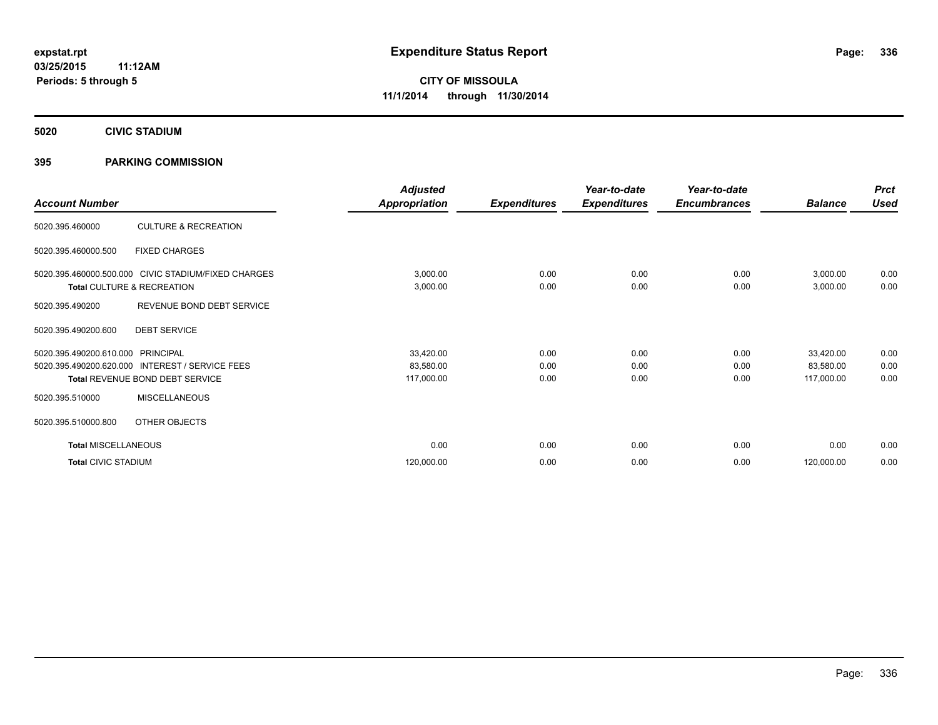**5020 CIVIC STADIUM**

#### **395 PARKING COMMISSION**

| <b>Account Number</b>                                        |                                                                                   | <b>Adjusted</b><br>Appropriation     | <b>Expenditures</b>  | Year-to-date<br><b>Expenditures</b> | Year-to-date<br><b>Encumbrances</b> | <b>Balance</b>                       | <b>Prct</b><br><b>Used</b> |
|--------------------------------------------------------------|-----------------------------------------------------------------------------------|--------------------------------------|----------------------|-------------------------------------|-------------------------------------|--------------------------------------|----------------------------|
| 5020.395.460000                                              | <b>CULTURE &amp; RECREATION</b>                                                   |                                      |                      |                                     |                                     |                                      |                            |
| 5020.395.460000.500                                          | <b>FIXED CHARGES</b>                                                              |                                      |                      |                                     |                                     |                                      |                            |
|                                                              | 5020.395.460000.500.000 CIVIC STADIUM/FIXED CHARGES<br>Total CULTURE & RECREATION | 3,000.00<br>3,000.00                 | 0.00<br>0.00         | 0.00<br>0.00                        | 0.00<br>0.00                        | 3,000.00<br>3,000.00                 | 0.00<br>0.00               |
| 5020.395.490200                                              | REVENUE BOND DEBT SERVICE                                                         |                                      |                      |                                     |                                     |                                      |                            |
| 5020.395.490200.600                                          | <b>DEBT SERVICE</b>                                                               |                                      |                      |                                     |                                     |                                      |                            |
| 5020.395.490200.610.000 PRINCIPAL<br>5020.395.490200.620.000 | <b>INTEREST / SERVICE FEES</b><br>Total REVENUE BOND DEBT SERVICE                 | 33,420.00<br>83,580.00<br>117,000.00 | 0.00<br>0.00<br>0.00 | 0.00<br>0.00<br>0.00                | 0.00<br>0.00<br>0.00                | 33,420.00<br>83,580.00<br>117,000.00 | 0.00<br>0.00<br>0.00       |
| 5020.395.510000                                              | <b>MISCELLANEOUS</b>                                                              |                                      |                      |                                     |                                     |                                      |                            |
| 5020.395.510000.800                                          | OTHER OBJECTS                                                                     |                                      |                      |                                     |                                     |                                      |                            |
| <b>Total MISCELLANEOUS</b>                                   |                                                                                   | 0.00                                 | 0.00                 | 0.00                                | 0.00                                | 0.00                                 | 0.00                       |
| <b>Total CIVIC STADIUM</b>                                   |                                                                                   | 120,000.00                           | 0.00                 | 0.00                                | 0.00                                | 120,000.00                           | 0.00                       |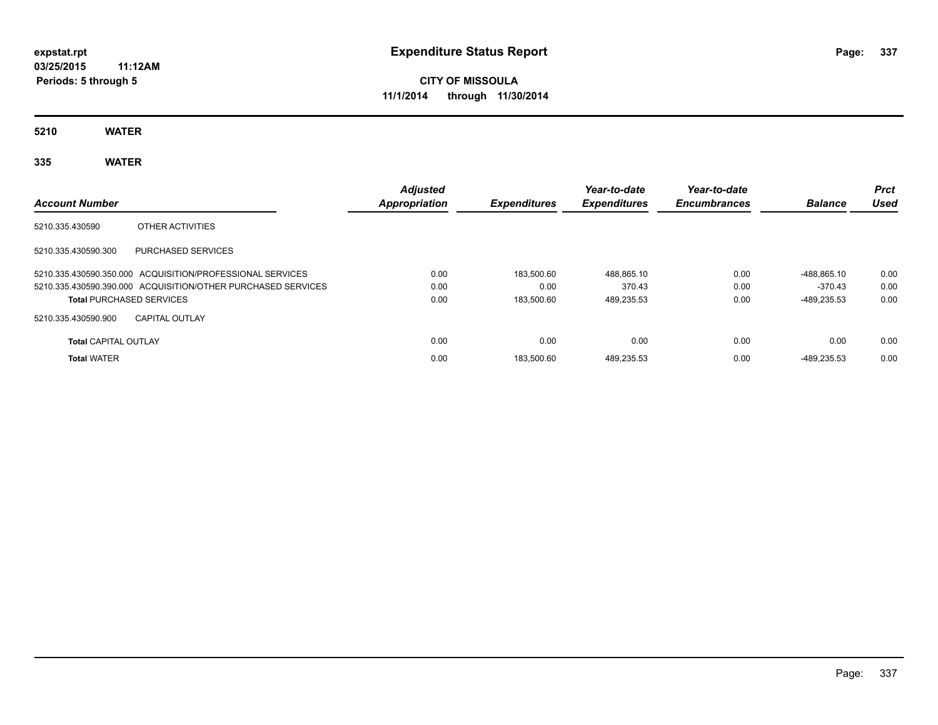# **CITY OF MISSOULA 11/1/2014 through 11/30/2014**

**5210 WATER**

## **335 WATER**

| <b>Account Number</b>           |                                                              | <b>Adjusted</b><br>Appropriation | <b>Expenditures</b> | Year-to-date<br><b>Expenditures</b> | Year-to-date<br><b>Encumbrances</b> | <b>Balance</b> | <b>Prct</b><br>Used |
|---------------------------------|--------------------------------------------------------------|----------------------------------|---------------------|-------------------------------------|-------------------------------------|----------------|---------------------|
| 5210.335.430590                 | OTHER ACTIVITIES                                             |                                  |                     |                                     |                                     |                |                     |
| 5210.335.430590.300             | <b>PURCHASED SERVICES</b>                                    |                                  |                     |                                     |                                     |                |                     |
|                                 | 5210.335.430590.350.000 ACQUISITION/PROFESSIONAL SERVICES    | 0.00                             | 183.500.60          | 488.865.10                          | 0.00                                | -488.865.10    | 0.00                |
|                                 | 5210.335.430590.390.000 ACQUISITION/OTHER PURCHASED SERVICES | 0.00                             | 0.00                | 370.43                              | 0.00                                | $-370.43$      | 0.00                |
| <b>Total PURCHASED SERVICES</b> |                                                              | 0.00                             | 183.500.60          | 489.235.53                          | 0.00                                | -489.235.53    | 0.00                |
| 5210.335.430590.900             | <b>CAPITAL OUTLAY</b>                                        |                                  |                     |                                     |                                     |                |                     |
| <b>Total CAPITAL OUTLAY</b>     |                                                              | 0.00                             | 0.00                | 0.00                                | 0.00                                | 0.00           | 0.00                |
| <b>Total WATER</b>              |                                                              | 0.00                             | 183.500.60          | 489.235.53                          | 0.00                                | -489.235.53    | 0.00                |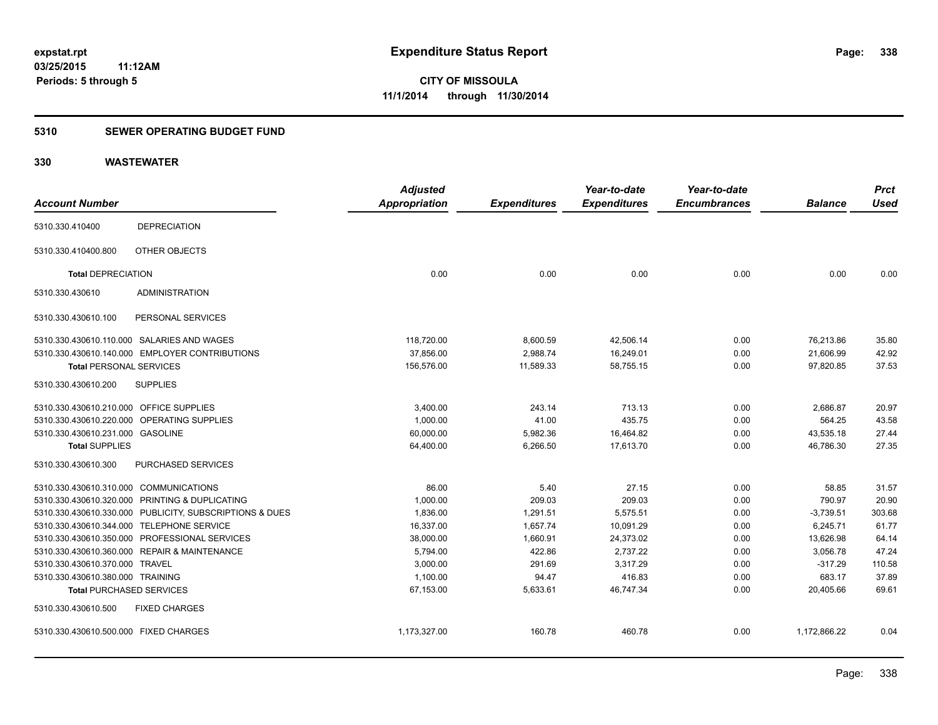#### **5310 SEWER OPERATING BUDGET FUND**

| <b>Account Number</b>                   |                                                         | <b>Adjusted</b><br><b>Appropriation</b> | <b>Expenditures</b> | Year-to-date<br><b>Expenditures</b> | Year-to-date<br><b>Encumbrances</b> | <b>Balance</b> | <b>Prct</b><br><b>Used</b> |
|-----------------------------------------|---------------------------------------------------------|-----------------------------------------|---------------------|-------------------------------------|-------------------------------------|----------------|----------------------------|
| 5310.330.410400                         | <b>DEPRECIATION</b>                                     |                                         |                     |                                     |                                     |                |                            |
| 5310.330.410400.800                     | OTHER OBJECTS                                           |                                         |                     |                                     |                                     |                |                            |
| <b>Total DEPRECIATION</b>               |                                                         | 0.00                                    | 0.00                | 0.00                                | 0.00                                | 0.00           | 0.00                       |
| 5310.330.430610                         | <b>ADMINISTRATION</b>                                   |                                         |                     |                                     |                                     |                |                            |
| 5310.330.430610.100                     | PERSONAL SERVICES                                       |                                         |                     |                                     |                                     |                |                            |
|                                         | 5310.330.430610.110.000 SALARIES AND WAGES              | 118,720.00                              | 8,600.59            | 42,506.14                           | 0.00                                | 76,213.86      | 35.80                      |
|                                         | 5310.330.430610.140.000 EMPLOYER CONTRIBUTIONS          | 37,856.00                               | 2,988.74            | 16,249.01                           | 0.00                                | 21,606.99      | 42.92                      |
| <b>Total PERSONAL SERVICES</b>          |                                                         | 156,576.00                              | 11,589.33           | 58,755.15                           | 0.00                                | 97,820.85      | 37.53                      |
| 5310.330.430610.200                     | <b>SUPPLIES</b>                                         |                                         |                     |                                     |                                     |                |                            |
| 5310.330.430610.210.000 OFFICE SUPPLIES |                                                         | 3,400.00                                | 243.14              | 713.13                              | 0.00                                | 2,686.87       | 20.97                      |
|                                         | 5310.330.430610.220.000 OPERATING SUPPLIES              | 1,000.00                                | 41.00               | 435.75                              | 0.00                                | 564.25         | 43.58                      |
| 5310.330.430610.231.000 GASOLINE        |                                                         | 60,000.00                               | 5,982.36            | 16,464.82                           | 0.00                                | 43,535.18      | 27.44                      |
| <b>Total SUPPLIES</b>                   |                                                         | 64,400.00                               | 6,266.50            | 17,613.70                           | 0.00                                | 46,786.30      | 27.35                      |
| 5310.330.430610.300                     | PURCHASED SERVICES                                      |                                         |                     |                                     |                                     |                |                            |
| 5310.330.430610.310.000 COMMUNICATIONS  |                                                         | 86.00                                   | 5.40                | 27.15                               | 0.00                                | 58.85          | 31.57                      |
|                                         | 5310.330.430610.320.000 PRINTING & DUPLICATING          | 1,000.00                                | 209.03              | 209.03                              | 0.00                                | 790.97         | 20.90                      |
|                                         | 5310.330.430610.330.000 PUBLICITY, SUBSCRIPTIONS & DUES | 1,836.00                                | 1,291.51            | 5,575.51                            | 0.00                                | $-3,739.51$    | 303.68                     |
|                                         | 5310.330.430610.344.000 TELEPHONE SERVICE               | 16,337.00                               | 1,657.74            | 10,091.29                           | 0.00                                | 6,245.71       | 61.77                      |
|                                         | 5310.330.430610.350.000 PROFESSIONAL SERVICES           | 38,000.00                               | 1,660.91            | 24,373.02                           | 0.00                                | 13,626.98      | 64.14                      |
|                                         | 5310.330.430610.360.000 REPAIR & MAINTENANCE            | 5,794.00                                | 422.86              | 2,737.22                            | 0.00                                | 3,056.78       | 47.24                      |
| 5310.330.430610.370.000 TRAVEL          |                                                         | 3,000.00                                | 291.69              | 3,317.29                            | 0.00                                | $-317.29$      | 110.58                     |
| 5310.330.430610.380.000 TRAINING        |                                                         | 1,100.00                                | 94.47               | 416.83                              | 0.00                                | 683.17         | 37.89                      |
| <b>Total PURCHASED SERVICES</b>         |                                                         | 67,153.00                               | 5,633.61            | 46,747.34                           | 0.00                                | 20,405.66      | 69.61                      |
| 5310.330.430610.500                     | <b>FIXED CHARGES</b>                                    |                                         |                     |                                     |                                     |                |                            |
| 5310.330.430610.500.000 FIXED CHARGES   |                                                         | 1,173,327.00                            | 160.78              | 460.78                              | 0.00                                | 1,172,866.22   | 0.04                       |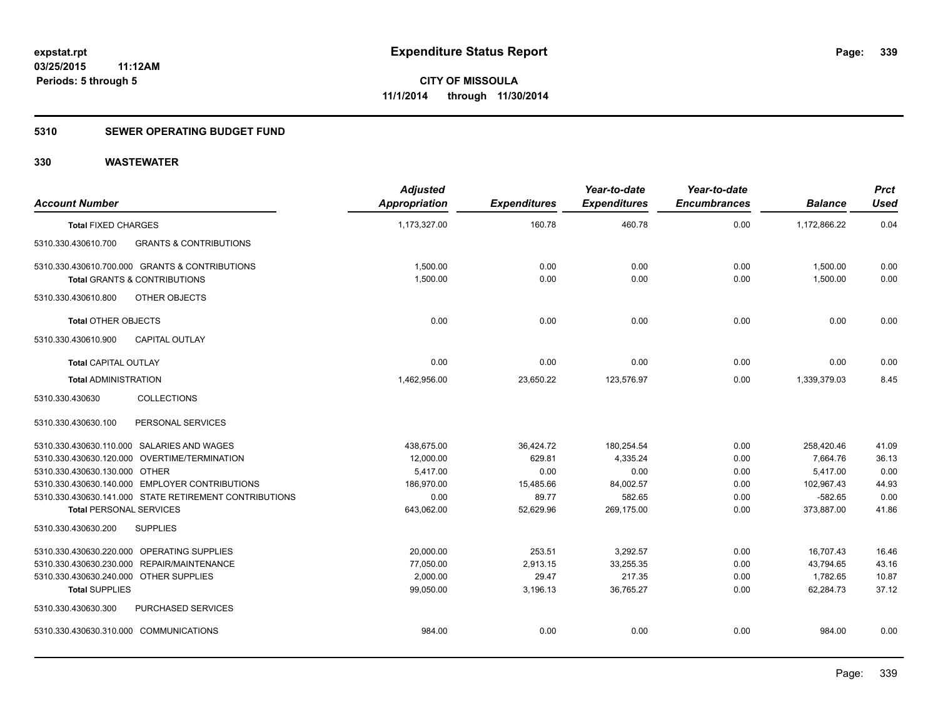#### **5310 SEWER OPERATING BUDGET FUND**

| <b>Account Number</b>                  |                                                        | <b>Adjusted</b><br><b>Appropriation</b> | <b>Expenditures</b> | Year-to-date<br><b>Expenditures</b> | Year-to-date<br><b>Encumbrances</b> | <b>Balance</b> | <b>Prct</b><br><b>Used</b> |
|----------------------------------------|--------------------------------------------------------|-----------------------------------------|---------------------|-------------------------------------|-------------------------------------|----------------|----------------------------|
| <b>Total FIXED CHARGES</b>             |                                                        | 1,173,327.00                            | 160.78              | 460.78                              | 0.00                                | 1,172,866.22   | 0.04                       |
| 5310.330.430610.700                    | <b>GRANTS &amp; CONTRIBUTIONS</b>                      |                                         |                     |                                     |                                     |                |                            |
|                                        | 5310.330.430610.700.000 GRANTS & CONTRIBUTIONS         | 1,500.00                                | 0.00                | 0.00                                | 0.00                                | 1,500.00       | 0.00                       |
|                                        | <b>Total GRANTS &amp; CONTRIBUTIONS</b>                | 1,500.00                                | 0.00                | 0.00                                | 0.00                                | 1,500.00       | 0.00                       |
| 5310.330.430610.800                    | OTHER OBJECTS                                          |                                         |                     |                                     |                                     |                |                            |
| <b>Total OTHER OBJECTS</b>             |                                                        | 0.00                                    | 0.00                | 0.00                                | 0.00                                | 0.00           | 0.00                       |
| 5310.330.430610.900                    | <b>CAPITAL OUTLAY</b>                                  |                                         |                     |                                     |                                     |                |                            |
| <b>Total CAPITAL OUTLAY</b>            |                                                        | 0.00                                    | 0.00                | 0.00                                | 0.00                                | 0.00           | 0.00                       |
| <b>Total ADMINISTRATION</b>            |                                                        | 1,462,956.00                            | 23,650.22           | 123,576.97                          | 0.00                                | 1,339,379.03   | 8.45                       |
| 5310.330.430630                        | <b>COLLECTIONS</b>                                     |                                         |                     |                                     |                                     |                |                            |
| 5310.330.430630.100                    | PERSONAL SERVICES                                      |                                         |                     |                                     |                                     |                |                            |
|                                        | 5310.330.430630.110.000 SALARIES AND WAGES             | 438.675.00                              | 36,424.72           | 180,254.54                          | 0.00                                | 258,420.46     | 41.09                      |
|                                        | 5310.330.430630.120.000 OVERTIME/TERMINATION           | 12,000.00                               | 629.81              | 4,335.24                            | 0.00                                | 7.664.76       | 36.13                      |
| 5310.330.430630.130.000 OTHER          |                                                        | 5,417.00                                | 0.00                | 0.00                                | 0.00                                | 5,417.00       | 0.00                       |
|                                        | 5310.330.430630.140.000 EMPLOYER CONTRIBUTIONS         | 186,970.00                              | 15,485.66           | 84,002.57                           | 0.00                                | 102,967.43     | 44.93                      |
|                                        | 5310.330.430630.141.000 STATE RETIREMENT CONTRIBUTIONS | 0.00                                    | 89.77               | 582.65                              | 0.00                                | $-582.65$      | 0.00                       |
| <b>Total PERSONAL SERVICES</b>         |                                                        | 643,062.00                              | 52,629.96           | 269,175.00                          | 0.00                                | 373,887.00     | 41.86                      |
| 5310.330.430630.200                    | <b>SUPPLIES</b>                                        |                                         |                     |                                     |                                     |                |                            |
|                                        | 5310.330.430630.220.000 OPERATING SUPPLIES             | 20,000.00                               | 253.51              | 3,292.57                            | 0.00                                | 16,707.43      | 16.46                      |
|                                        | 5310.330.430630.230.000 REPAIR/MAINTENANCE             | 77,050.00                               | 2,913.15            | 33,255.35                           | 0.00                                | 43,794.65      | 43.16                      |
| 5310.330.430630.240.000 OTHER SUPPLIES |                                                        | 2,000.00                                | 29.47               | 217.35                              | 0.00                                | 1,782.65       | 10.87                      |
| <b>Total SUPPLIES</b>                  |                                                        | 99,050.00                               | 3,196.13            | 36,765.27                           | 0.00                                | 62,284.73      | 37.12                      |
| 5310.330.430630.300                    | PURCHASED SERVICES                                     |                                         |                     |                                     |                                     |                |                            |
| 5310.330.430630.310.000 COMMUNICATIONS |                                                        | 984.00                                  | 0.00                | 0.00                                | 0.00                                | 984.00         | 0.00                       |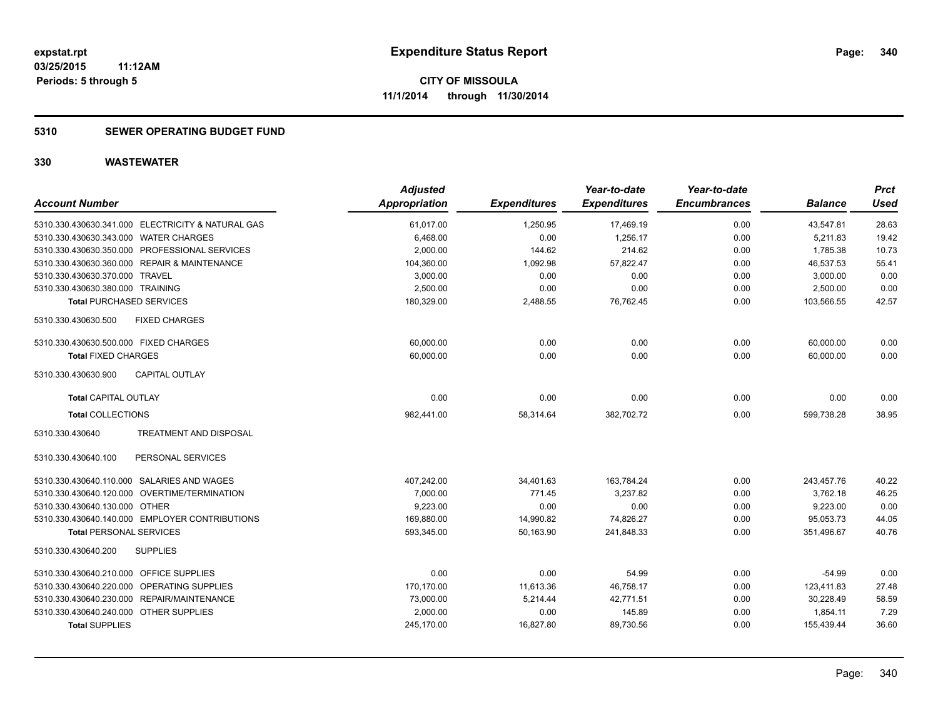#### **5310 SEWER OPERATING BUDGET FUND**

| <b>Account Number</b>                         |                                                   | <b>Adjusted</b><br><b>Appropriation</b> | <b>Expenditures</b> | Year-to-date<br><b>Expenditures</b> | Year-to-date<br><b>Encumbrances</b> | <b>Balance</b> | <b>Prct</b><br><b>Used</b> |
|-----------------------------------------------|---------------------------------------------------|-----------------------------------------|---------------------|-------------------------------------|-------------------------------------|----------------|----------------------------|
|                                               | 5310.330.430630.341.000 ELECTRICITY & NATURAL GAS | 61,017.00                               | 1,250.95            | 17,469.19                           | 0.00                                | 43,547.81      | 28.63                      |
| 5310.330.430630.343.000 WATER CHARGES         |                                                   | 6,468.00                                | 0.00                | 1,256.17                            | 0.00                                | 5,211.83       | 19.42                      |
| 5310.330.430630.350.000 PROFESSIONAL SERVICES |                                                   | 2,000.00                                | 144.62              | 214.62                              | 0.00                                | 1,785.38       | 10.73                      |
| 5310.330.430630.360.000 REPAIR & MAINTENANCE  |                                                   | 104,360.00                              | 1,092.98            | 57,822.47                           | 0.00                                | 46,537.53      | 55.41                      |
| 5310.330.430630.370.000 TRAVEL                |                                                   | 3,000.00                                | 0.00                | 0.00                                | 0.00                                | 3,000.00       | 0.00                       |
| 5310.330.430630.380.000 TRAINING              |                                                   | 2,500.00                                | 0.00                | 0.00                                | 0.00                                | 2,500.00       | 0.00                       |
| <b>Total PURCHASED SERVICES</b>               |                                                   | 180,329.00                              | 2,488.55            | 76,762.45                           | 0.00                                | 103.566.55     | 42.57                      |
| 5310.330.430630.500                           | <b>FIXED CHARGES</b>                              |                                         |                     |                                     |                                     |                |                            |
| 5310.330.430630.500.000 FIXED CHARGES         |                                                   | 60,000.00                               | 0.00                | 0.00                                | 0.00                                | 60,000.00      | 0.00                       |
| <b>Total FIXED CHARGES</b>                    |                                                   | 60,000.00                               | 0.00                | 0.00                                | 0.00                                | 60,000.00      | 0.00                       |
| 5310.330.430630.900                           | <b>CAPITAL OUTLAY</b>                             |                                         |                     |                                     |                                     |                |                            |
| <b>Total CAPITAL OUTLAY</b>                   |                                                   | 0.00                                    | 0.00                | 0.00                                | 0.00                                | 0.00           | 0.00                       |
| <b>Total COLLECTIONS</b>                      |                                                   | 982,441.00                              | 58,314.64           | 382,702.72                          | 0.00                                | 599,738.28     | 38.95                      |
| 5310.330.430640                               | <b>TREATMENT AND DISPOSAL</b>                     |                                         |                     |                                     |                                     |                |                            |
| 5310.330.430640.100                           | PERSONAL SERVICES                                 |                                         |                     |                                     |                                     |                |                            |
| 5310.330.430640.110.000 SALARIES AND WAGES    |                                                   | 407,242.00                              | 34,401.63           | 163.784.24                          | 0.00                                | 243.457.76     | 40.22                      |
| 5310.330.430640.120.000 OVERTIME/TERMINATION  |                                                   | 7,000.00                                | 771.45              | 3.237.82                            | 0.00                                | 3,762.18       | 46.25                      |
| 5310.330.430640.130.000 OTHER                 |                                                   | 9,223.00                                | 0.00                | 0.00                                | 0.00                                | 9,223.00       | 0.00                       |
|                                               | 5310.330.430640.140.000 EMPLOYER CONTRIBUTIONS    | 169,880.00                              | 14,990.82           | 74,826.27                           | 0.00                                | 95,053.73      | 44.05                      |
| <b>Total PERSONAL SERVICES</b>                |                                                   | 593,345.00                              | 50,163.90           | 241,848.33                          | 0.00                                | 351,496.67     | 40.76                      |
| 5310.330.430640.200                           | <b>SUPPLIES</b>                                   |                                         |                     |                                     |                                     |                |                            |
| 5310.330.430640.210.000                       | OFFICE SUPPLIES                                   | 0.00                                    | 0.00                | 54.99                               | 0.00                                | $-54.99$       | 0.00                       |
| 5310.330.430640.220.000 OPERATING SUPPLIES    |                                                   | 170,170.00                              | 11,613.36           | 46,758.17                           | 0.00                                | 123,411.83     | 27.48                      |
| 5310.330.430640.230.000 REPAIR/MAINTENANCE    |                                                   | 73,000.00                               | 5,214.44            | 42,771.51                           | 0.00                                | 30,228.49      | 58.59                      |
| 5310.330.430640.240.000                       | <b>OTHER SUPPLIES</b>                             | 2,000.00                                | 0.00                | 145.89                              | 0.00                                | 1,854.11       | 7.29                       |
| <b>Total SUPPLIES</b>                         |                                                   | 245,170.00                              | 16,827.80           | 89,730.56                           | 0.00                                | 155,439.44     | 36.60                      |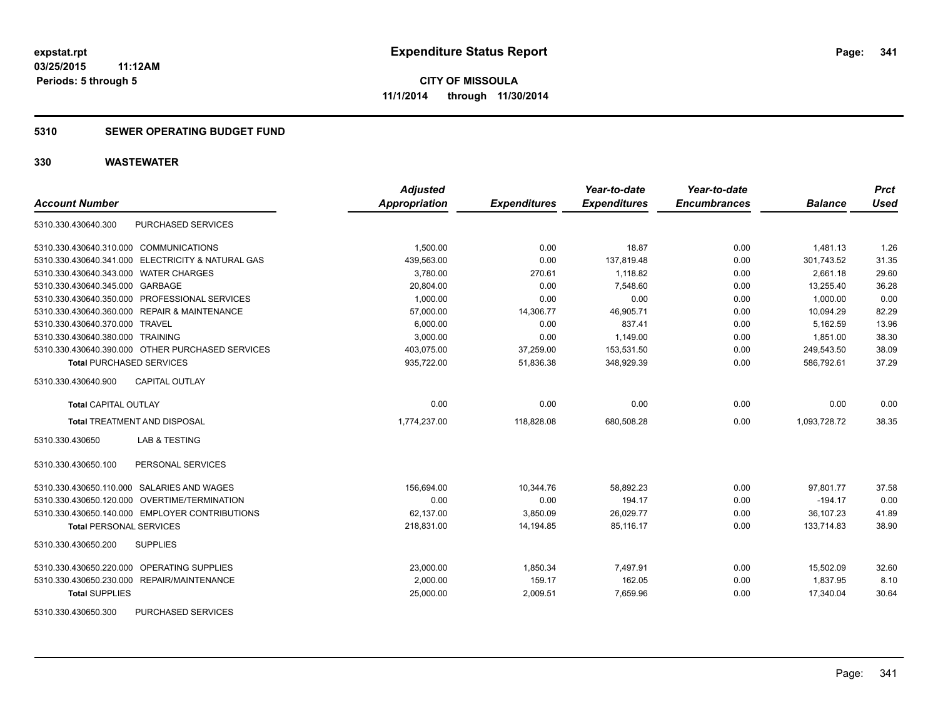#### **5310 SEWER OPERATING BUDGET FUND**

| <b>Account Number</b>                             | <b>Adjusted</b><br>Appropriation | <b>Expenditures</b> | Year-to-date<br><b>Expenditures</b> | Year-to-date<br><b>Encumbrances</b> | <b>Balance</b> | <b>Prct</b><br><b>Used</b> |
|---------------------------------------------------|----------------------------------|---------------------|-------------------------------------|-------------------------------------|----------------|----------------------------|
| PURCHASED SERVICES<br>5310.330.430640.300         |                                  |                     |                                     |                                     |                |                            |
| 5310.330.430640.310.000 COMMUNICATIONS            | 1,500.00                         | 0.00                | 18.87                               | 0.00                                | 1,481.13       | 1.26                       |
| 5310.330.430640.341.000 ELECTRICITY & NATURAL GAS | 439.563.00                       | 0.00                | 137.819.48                          | 0.00                                | 301.743.52     | 31.35                      |
| 5310.330.430640.343.000 WATER CHARGES             | 3,780.00                         | 270.61              | 1.118.82                            | 0.00                                | 2.661.18       | 29.60                      |
| 5310.330.430640.345.000 GARBAGE                   | 20,804.00                        | 0.00                | 7,548.60                            | 0.00                                | 13,255.40      | 36.28                      |
| 5310.330.430640.350.000 PROFESSIONAL SERVICES     | 1,000.00                         | 0.00                | 0.00                                | 0.00                                | 1.000.00       | 0.00                       |
| 5310.330.430640.360.000 REPAIR & MAINTENANCE      | 57,000.00                        | 14,306.77           | 46,905.71                           | 0.00                                | 10,094.29      | 82.29                      |
| 5310.330.430640.370.000 TRAVEL                    | 6,000.00                         | 0.00                | 837.41                              | 0.00                                | 5,162.59       | 13.96                      |
| 5310.330.430640.380.000 TRAINING                  | 3.000.00                         | 0.00                | 1.149.00                            | 0.00                                | 1.851.00       | 38.30                      |
| 5310.330.430640.390.000 OTHER PURCHASED SERVICES  | 403,075.00                       | 37,259.00           | 153,531.50                          | 0.00                                | 249,543.50     | 38.09                      |
| <b>Total PURCHASED SERVICES</b>                   | 935,722.00                       | 51,836.38           | 348,929.39                          | 0.00                                | 586,792.61     | 37.29                      |
| CAPITAL OUTLAY<br>5310.330.430640.900             |                                  |                     |                                     |                                     |                |                            |
| <b>Total CAPITAL OUTLAY</b>                       | 0.00                             | 0.00                | 0.00                                | 0.00                                | 0.00           | 0.00                       |
| <b>Total TREATMENT AND DISPOSAL</b>               | 1,774,237.00                     | 118,828.08          | 680,508.28                          | 0.00                                | 1,093,728.72   | 38.35                      |
| <b>LAB &amp; TESTING</b><br>5310.330.430650       |                                  |                     |                                     |                                     |                |                            |
| 5310.330.430650.100<br>PERSONAL SERVICES          |                                  |                     |                                     |                                     |                |                            |
| 5310.330.430650.110.000 SALARIES AND WAGES        | 156,694.00                       | 10,344.76           | 58.892.23                           | 0.00                                | 97.801.77      | 37.58                      |
| 5310.330.430650.120.000 OVERTIME/TERMINATION      | 0.00                             | 0.00                | 194.17                              | 0.00                                | $-194.17$      | 0.00                       |
| 5310.330.430650.140.000 EMPLOYER CONTRIBUTIONS    | 62,137.00                        | 3,850.09            | 26,029.77                           | 0.00                                | 36,107.23      | 41.89                      |
| <b>Total PERSONAL SERVICES</b>                    | 218,831.00                       | 14,194.85           | 85.116.17                           | 0.00                                | 133,714.83     | 38.90                      |
| 5310.330.430650.200<br><b>SUPPLIES</b>            |                                  |                     |                                     |                                     |                |                            |
| 5310.330.430650.220.000 OPERATING SUPPLIES        | 23,000.00                        | 1,850.34            | 7,497.91                            | 0.00                                | 15,502.09      | 32.60                      |
| 5310.330.430650.230.000 REPAIR/MAINTENANCE        | 2.000.00                         | 159.17              | 162.05                              | 0.00                                | 1.837.95       | 8.10                       |
| <b>Total SUPPLIES</b>                             | 25,000.00                        | 2,009.51            | 7,659.96                            | 0.00                                | 17,340.04      | 30.64                      |
| 5310.330.430650.300<br><b>PURCHASED SERVICES</b>  |                                  |                     |                                     |                                     |                |                            |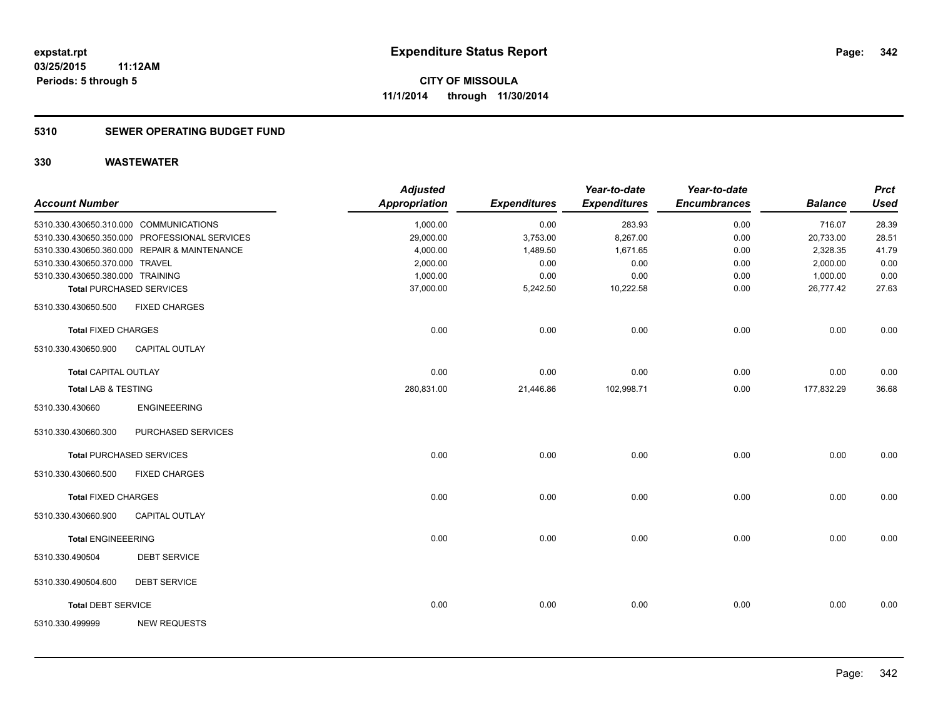#### **5310 SEWER OPERATING BUDGET FUND**

| <b>Account Number</b>                  |                                               | <b>Adjusted</b><br><b>Appropriation</b> | <b>Expenditures</b> | Year-to-date<br><b>Expenditures</b> | Year-to-date<br><b>Encumbrances</b> | <b>Balance</b> | <b>Prct</b><br><b>Used</b> |
|----------------------------------------|-----------------------------------------------|-----------------------------------------|---------------------|-------------------------------------|-------------------------------------|----------------|----------------------------|
|                                        |                                               |                                         |                     |                                     |                                     |                |                            |
| 5310.330.430650.310.000 COMMUNICATIONS |                                               | 1,000.00                                | 0.00                | 283.93                              | 0.00                                | 716.07         | 28.39                      |
|                                        | 5310.330.430650.350.000 PROFESSIONAL SERVICES | 29,000.00                               | 3,753.00            | 8,267.00                            | 0.00                                | 20,733.00      | 28.51                      |
|                                        | 5310.330.430650.360.000 REPAIR & MAINTENANCE  | 4,000.00                                | 1,489.50            | 1,671.65                            | 0.00                                | 2,328.35       | 41.79                      |
| 5310.330.430650.370.000 TRAVEL         |                                               | 2,000.00                                | 0.00                | 0.00                                | 0.00                                | 2,000.00       | 0.00                       |
| 5310.330.430650.380.000 TRAINING       |                                               | 1,000.00                                | 0.00                | 0.00                                | 0.00                                | 1,000.00       | 0.00                       |
|                                        | <b>Total PURCHASED SERVICES</b>               | 37,000.00                               | 5,242.50            | 10,222.58                           | 0.00                                | 26,777.42      | 27.63                      |
| 5310.330.430650.500                    | <b>FIXED CHARGES</b>                          |                                         |                     |                                     |                                     |                |                            |
| <b>Total FIXED CHARGES</b>             |                                               | 0.00                                    | 0.00                | 0.00                                | 0.00                                | 0.00           | 0.00                       |
| 5310.330.430650.900                    | <b>CAPITAL OUTLAY</b>                         |                                         |                     |                                     |                                     |                |                            |
| <b>Total CAPITAL OUTLAY</b>            |                                               | 0.00                                    | 0.00                | 0.00                                | 0.00                                | 0.00           | 0.00                       |
| Total LAB & TESTING                    |                                               | 280,831.00                              | 21,446.86           | 102,998.71                          | 0.00                                | 177,832.29     | 36.68                      |
| 5310.330.430660                        | <b>ENGINEEERING</b>                           |                                         |                     |                                     |                                     |                |                            |
| 5310.330.430660.300                    | PURCHASED SERVICES                            |                                         |                     |                                     |                                     |                |                            |
|                                        | <b>Total PURCHASED SERVICES</b>               | 0.00                                    | 0.00                | 0.00                                | 0.00                                | 0.00           | 0.00                       |
| 5310.330.430660.500                    | <b>FIXED CHARGES</b>                          |                                         |                     |                                     |                                     |                |                            |
| <b>Total FIXED CHARGES</b>             |                                               | 0.00                                    | 0.00                | 0.00                                | 0.00                                | 0.00           | 0.00                       |
| 5310.330.430660.900                    | <b>CAPITAL OUTLAY</b>                         |                                         |                     |                                     |                                     |                |                            |
| <b>Total ENGINEEERING</b>              |                                               | 0.00                                    | 0.00                | 0.00                                | 0.00                                | 0.00           | 0.00                       |
| 5310.330.490504                        | <b>DEBT SERVICE</b>                           |                                         |                     |                                     |                                     |                |                            |
| 5310.330.490504.600                    | <b>DEBT SERVICE</b>                           |                                         |                     |                                     |                                     |                |                            |
| <b>Total DEBT SERVICE</b>              |                                               | 0.00                                    | 0.00                | 0.00                                | 0.00                                | 0.00           | 0.00                       |
| 5310.330.499999                        | <b>NEW REQUESTS</b>                           |                                         |                     |                                     |                                     |                |                            |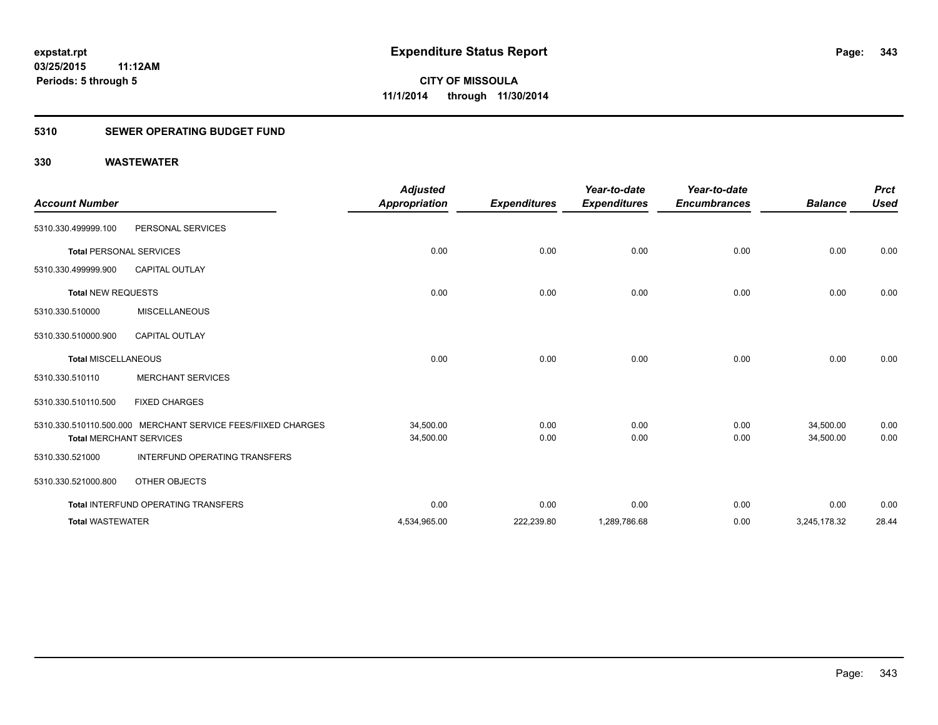### **5310 SEWER OPERATING BUDGET FUND**

| <b>Account Number</b>          |                                                              | <b>Adjusted</b><br><b>Appropriation</b> | <b>Expenditures</b> | Year-to-date<br><b>Expenditures</b> | Year-to-date<br><b>Encumbrances</b> | <b>Balance</b> | <b>Prct</b><br><b>Used</b> |
|--------------------------------|--------------------------------------------------------------|-----------------------------------------|---------------------|-------------------------------------|-------------------------------------|----------------|----------------------------|
| 5310.330.499999.100            | PERSONAL SERVICES                                            |                                         |                     |                                     |                                     |                |                            |
| <b>Total PERSONAL SERVICES</b> |                                                              | 0.00                                    | 0.00                | 0.00                                | 0.00                                | 0.00           | 0.00                       |
| 5310.330.499999.900            | <b>CAPITAL OUTLAY</b>                                        |                                         |                     |                                     |                                     |                |                            |
| <b>Total NEW REQUESTS</b>      |                                                              | 0.00                                    | 0.00                | 0.00                                | 0.00                                | 0.00           | 0.00                       |
| 5310.330.510000                | <b>MISCELLANEOUS</b>                                         |                                         |                     |                                     |                                     |                |                            |
| 5310.330.510000.900            | <b>CAPITAL OUTLAY</b>                                        |                                         |                     |                                     |                                     |                |                            |
| <b>Total MISCELLANEOUS</b>     |                                                              | 0.00                                    | 0.00                | 0.00                                | 0.00                                | 0.00           | 0.00                       |
| 5310.330.510110                | <b>MERCHANT SERVICES</b>                                     |                                         |                     |                                     |                                     |                |                            |
| 5310.330.510110.500            | <b>FIXED CHARGES</b>                                         |                                         |                     |                                     |                                     |                |                            |
|                                | 5310.330.510110.500.000 MERCHANT SERVICE FEES/FIIXED CHARGES | 34,500.00                               | 0.00                | 0.00                                | 0.00                                | 34.500.00      | 0.00                       |
| <b>Total MERCHANT SERVICES</b> |                                                              | 34,500.00                               | 0.00                | 0.00                                | 0.00                                | 34,500.00      | 0.00                       |
| 5310.330.521000                | INTERFUND OPERATING TRANSFERS                                |                                         |                     |                                     |                                     |                |                            |
| 5310.330.521000.800            | OTHER OBJECTS                                                |                                         |                     |                                     |                                     |                |                            |
|                                | <b>Total INTERFUND OPERATING TRANSFERS</b>                   | 0.00                                    | 0.00                | 0.00                                | 0.00                                | 0.00           | 0.00                       |
| <b>Total WASTEWATER</b>        |                                                              | 4,534,965.00                            | 222,239.80          | 1,289,786.68                        | 0.00                                | 3,245,178.32   | 28.44                      |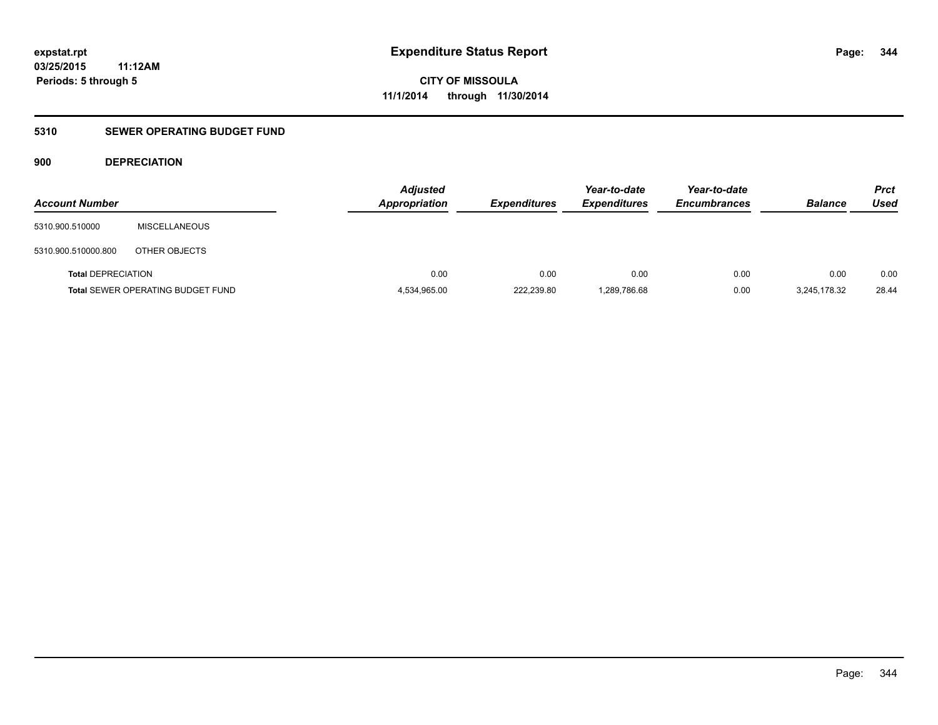### **5310 SEWER OPERATING BUDGET FUND**

#### **900 DEPRECIATION**

| <b>Account Number</b>     |                                          | <b>Adjusted</b><br><b>Appropriation</b> | <b>Expenditures</b> | Year-to-date<br><b>Expenditures</b> | Year-to-date<br><b>Encumbrances</b> | <b>Balance</b> | <b>Prct</b><br><b>Used</b> |
|---------------------------|------------------------------------------|-----------------------------------------|---------------------|-------------------------------------|-------------------------------------|----------------|----------------------------|
| 5310.900.510000           | <b>MISCELLANEOUS</b>                     |                                         |                     |                                     |                                     |                |                            |
| 5310.900.510000.800       | OTHER OBJECTS                            |                                         |                     |                                     |                                     |                |                            |
| <b>Total DEPRECIATION</b> |                                          | 0.00                                    | 0.00                | 0.00                                | 0.00                                | 0.00           | 0.00                       |
|                           | <b>Total SEWER OPERATING BUDGET FUND</b> | 4,534,965.00                            | 222,239.80          | 1,289,786.68                        | 0.00                                | 3,245,178.32   | 28.44                      |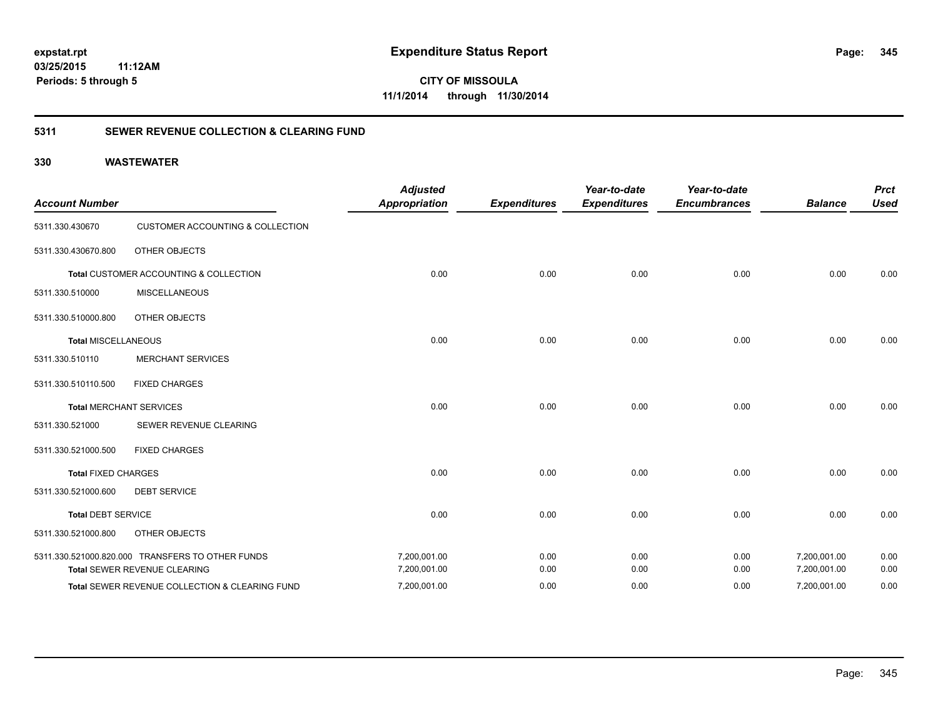**CITY OF MISSOULA 11/1/2014 through 11/30/2014**

#### **5311 SEWER REVENUE COLLECTION & CLEARING FUND**

| <b>Account Number</b>      |                                                  | <b>Adjusted</b><br><b>Appropriation</b> | <b>Expenditures</b> | Year-to-date<br><b>Expenditures</b> | Year-to-date<br><b>Encumbrances</b> | <b>Balance</b> | <b>Prct</b><br><b>Used</b> |
|----------------------------|--------------------------------------------------|-----------------------------------------|---------------------|-------------------------------------|-------------------------------------|----------------|----------------------------|
| 5311.330.430670            | <b>CUSTOMER ACCOUNTING &amp; COLLECTION</b>      |                                         |                     |                                     |                                     |                |                            |
| 5311.330.430670.800        | <b>OTHER OBJECTS</b>                             |                                         |                     |                                     |                                     |                |                            |
|                            | Total CUSTOMER ACCOUNTING & COLLECTION           | 0.00                                    | 0.00                | 0.00                                | 0.00                                | 0.00           | 0.00                       |
| 5311.330.510000            | <b>MISCELLANEOUS</b>                             |                                         |                     |                                     |                                     |                |                            |
| 5311.330.510000.800        | <b>OTHER OBJECTS</b>                             |                                         |                     |                                     |                                     |                |                            |
| <b>Total MISCELLANEOUS</b> |                                                  | 0.00                                    | 0.00                | 0.00                                | 0.00                                | 0.00           | 0.00                       |
| 5311.330.510110            | <b>MERCHANT SERVICES</b>                         |                                         |                     |                                     |                                     |                |                            |
| 5311.330.510110.500        | <b>FIXED CHARGES</b>                             |                                         |                     |                                     |                                     |                |                            |
|                            | <b>Total MERCHANT SERVICES</b>                   | 0.00                                    | 0.00                | 0.00                                | 0.00                                | 0.00           | 0.00                       |
| 5311.330.521000            | SEWER REVENUE CLEARING                           |                                         |                     |                                     |                                     |                |                            |
| 5311.330.521000.500        | <b>FIXED CHARGES</b>                             |                                         |                     |                                     |                                     |                |                            |
| <b>Total FIXED CHARGES</b> |                                                  | 0.00                                    | 0.00                | 0.00                                | 0.00                                | 0.00           | 0.00                       |
| 5311.330.521000.600        | <b>DEBT SERVICE</b>                              |                                         |                     |                                     |                                     |                |                            |
| <b>Total DEBT SERVICE</b>  |                                                  | 0.00                                    | 0.00                | 0.00                                | 0.00                                | 0.00           | 0.00                       |
| 5311.330.521000.800        | <b>OTHER OBJECTS</b>                             |                                         |                     |                                     |                                     |                |                            |
|                            | 5311.330.521000.820.000 TRANSFERS TO OTHER FUNDS | 7,200,001.00                            | 0.00                | 0.00                                | 0.00                                | 7,200,001.00   | 0.00                       |
|                            | Total SEWER REVENUE CLEARING                     | 7,200,001.00                            | 0.00                | 0.00                                | 0.00                                | 7,200,001.00   | 0.00                       |
|                            | Total SEWER REVENUE COLLECTION & CLEARING FUND   | 7,200,001.00                            | 0.00                | 0.00                                | 0.00                                | 7,200,001.00   | 0.00                       |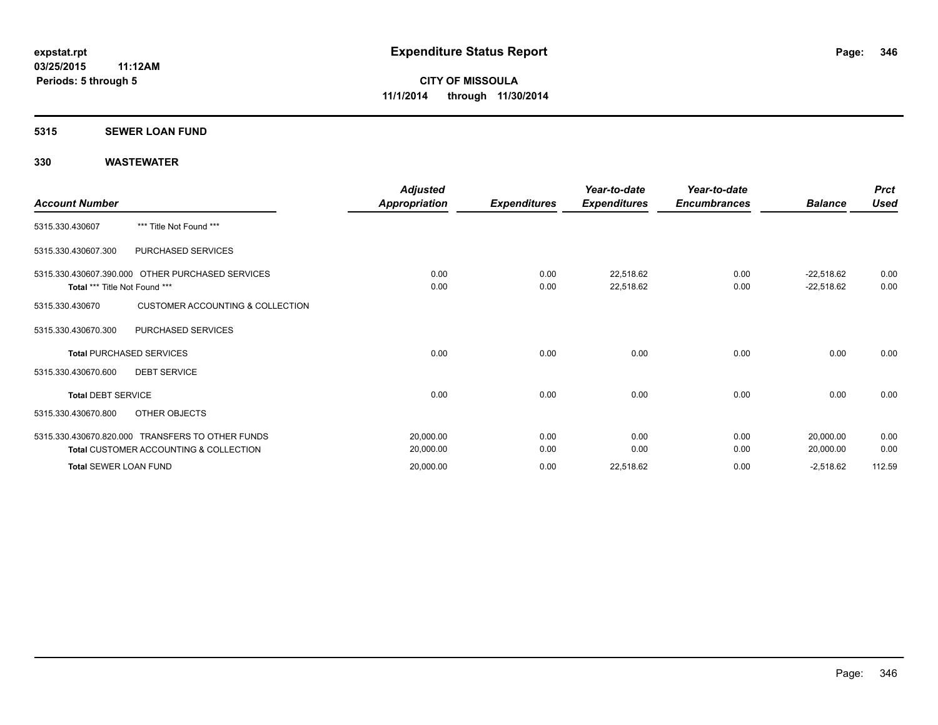#### **5315 SEWER LOAN FUND**

| <b>Account Number</b>         |                                                                                                       | Adjusted<br>Appropriation | <b>Expenditures</b> | Year-to-date<br><b>Expenditures</b> | Year-to-date<br><b>Encumbrances</b> | <b>Balance</b>               | <b>Prct</b><br><b>Used</b> |
|-------------------------------|-------------------------------------------------------------------------------------------------------|---------------------------|---------------------|-------------------------------------|-------------------------------------|------------------------------|----------------------------|
| 5315.330.430607               | *** Title Not Found ***                                                                               |                           |                     |                                     |                                     |                              |                            |
| 5315.330.430607.300           | PURCHASED SERVICES                                                                                    |                           |                     |                                     |                                     |                              |                            |
| Total *** Title Not Found *** | 5315.330.430607.390.000 OTHER PURCHASED SERVICES                                                      | 0.00<br>0.00              | 0.00<br>0.00        | 22,518.62<br>22,518.62              | 0.00<br>0.00                        | $-22,518.62$<br>$-22,518.62$ | 0.00<br>0.00               |
| 5315.330.430670               | <b>CUSTOMER ACCOUNTING &amp; COLLECTION</b>                                                           |                           |                     |                                     |                                     |                              |                            |
| 5315.330.430670.300           | PURCHASED SERVICES                                                                                    |                           |                     |                                     |                                     |                              |                            |
|                               | <b>Total PURCHASED SERVICES</b>                                                                       | 0.00                      | 0.00                | 0.00                                | 0.00                                | 0.00                         | 0.00                       |
| 5315.330.430670.600           | <b>DEBT SERVICE</b>                                                                                   |                           |                     |                                     |                                     |                              |                            |
| <b>Total DEBT SERVICE</b>     |                                                                                                       | 0.00                      | 0.00                | 0.00                                | 0.00                                | 0.00                         | 0.00                       |
| 5315.330.430670.800           | OTHER OBJECTS                                                                                         |                           |                     |                                     |                                     |                              |                            |
|                               | 5315.330.430670.820.000 TRANSFERS TO OTHER FUNDS<br><b>Total CUSTOMER ACCOUNTING &amp; COLLECTION</b> | 20,000.00<br>20,000.00    | 0.00<br>0.00        | 0.00<br>0.00                        | 0.00<br>0.00                        | 20,000.00<br>20,000.00       | 0.00<br>0.00               |
| <b>Total SEWER LOAN FUND</b>  |                                                                                                       | 20,000.00                 | 0.00                | 22,518.62                           | 0.00                                | $-2,518.62$                  | 112.59                     |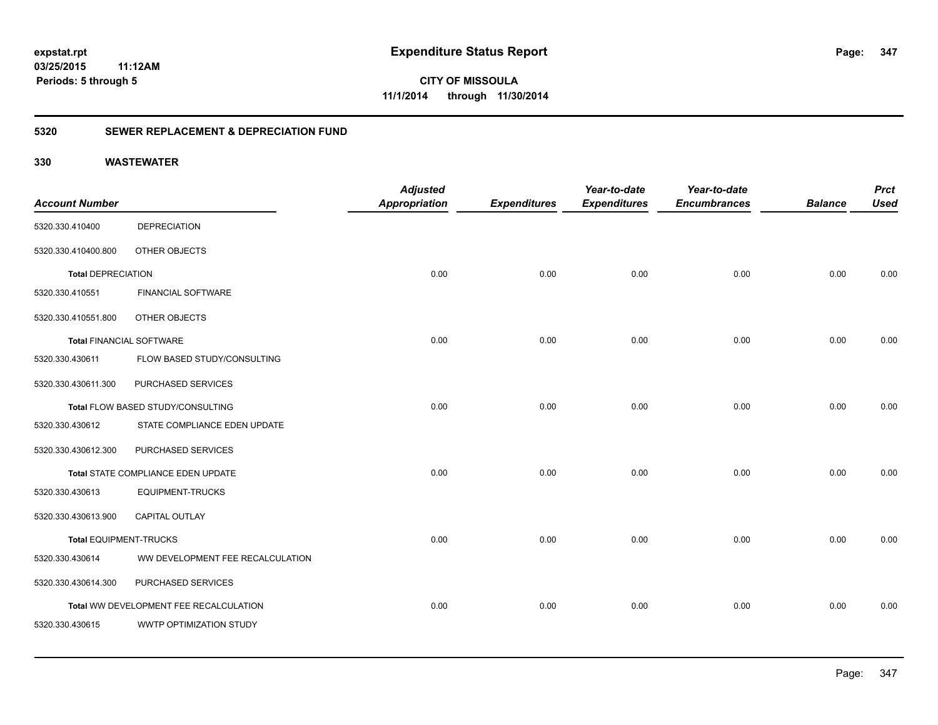**347**

**CITY OF MISSOULA 11/1/2014 through 11/30/2014**

#### **5320 SEWER REPLACEMENT & DEPRECIATION FUND**

| <b>Account Number</b>           |                                        | <b>Adjusted</b><br><b>Appropriation</b> | <b>Expenditures</b> | Year-to-date<br><b>Expenditures</b> | Year-to-date<br><b>Encumbrances</b> | <b>Balance</b> | <b>Prct</b><br><b>Used</b> |
|---------------------------------|----------------------------------------|-----------------------------------------|---------------------|-------------------------------------|-------------------------------------|----------------|----------------------------|
| 5320.330.410400                 | <b>DEPRECIATION</b>                    |                                         |                     |                                     |                                     |                |                            |
| 5320.330.410400.800             | OTHER OBJECTS                          |                                         |                     |                                     |                                     |                |                            |
| <b>Total DEPRECIATION</b>       |                                        | 0.00                                    | 0.00                | 0.00                                | 0.00                                | 0.00           | 0.00                       |
| 5320.330.410551                 | <b>FINANCIAL SOFTWARE</b>              |                                         |                     |                                     |                                     |                |                            |
| 5320.330.410551.800             | OTHER OBJECTS                          |                                         |                     |                                     |                                     |                |                            |
| <b>Total FINANCIAL SOFTWARE</b> |                                        | 0.00                                    | 0.00                | 0.00                                | 0.00                                | 0.00           | 0.00                       |
| 5320.330.430611                 | FLOW BASED STUDY/CONSULTING            |                                         |                     |                                     |                                     |                |                            |
| 5320.330.430611.300             | PURCHASED SERVICES                     |                                         |                     |                                     |                                     |                |                            |
|                                 | Total FLOW BASED STUDY/CONSULTING      | 0.00                                    | 0.00                | 0.00                                | 0.00                                | 0.00           | 0.00                       |
| 5320.330.430612                 | STATE COMPLIANCE EDEN UPDATE           |                                         |                     |                                     |                                     |                |                            |
| 5320.330.430612.300             | PURCHASED SERVICES                     |                                         |                     |                                     |                                     |                |                            |
|                                 | Total STATE COMPLIANCE EDEN UPDATE     | 0.00                                    | 0.00                | 0.00                                | 0.00                                | 0.00           | 0.00                       |
| 5320.330.430613                 | EQUIPMENT-TRUCKS                       |                                         |                     |                                     |                                     |                |                            |
| 5320.330.430613.900             | CAPITAL OUTLAY                         |                                         |                     |                                     |                                     |                |                            |
| <b>Total EQUIPMENT-TRUCKS</b>   |                                        | 0.00                                    | 0.00                | 0.00                                | 0.00                                | 0.00           | 0.00                       |
| 5320.330.430614                 | WW DEVELOPMENT FEE RECALCULATION       |                                         |                     |                                     |                                     |                |                            |
| 5320.330.430614.300             | PURCHASED SERVICES                     |                                         |                     |                                     |                                     |                |                            |
|                                 | Total WW DEVELOPMENT FEE RECALCULATION | 0.00                                    | 0.00                | 0.00                                | 0.00                                | 0.00           | 0.00                       |
| 5320.330.430615                 | WWTP OPTIMIZATION STUDY                |                                         |                     |                                     |                                     |                |                            |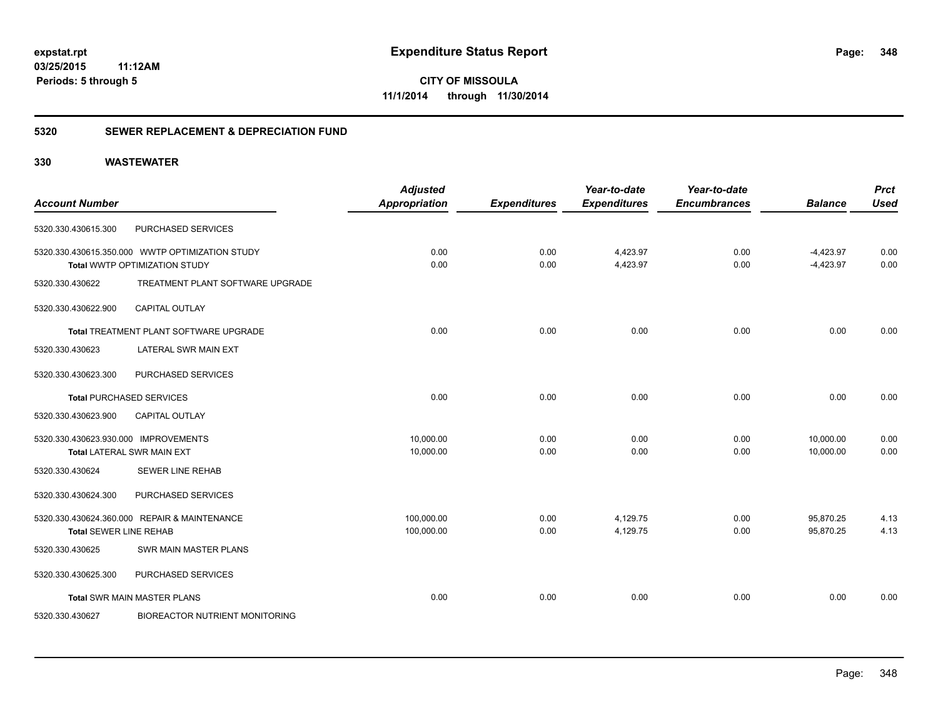**CITY OF MISSOULA 11/1/2014 through 11/30/2014**

#### **5320 SEWER REPLACEMENT & DEPRECIATION FUND**

| <b>Account Number</b>                |                                                 | <b>Adjusted</b><br><b>Appropriation</b> | <b>Expenditures</b> | Year-to-date<br><b>Expenditures</b> | Year-to-date<br><b>Encumbrances</b> | <b>Balance</b> | <b>Prct</b><br><b>Used</b> |
|--------------------------------------|-------------------------------------------------|-----------------------------------------|---------------------|-------------------------------------|-------------------------------------|----------------|----------------------------|
|                                      |                                                 |                                         |                     |                                     |                                     |                |                            |
| 5320.330.430615.300                  | PURCHASED SERVICES                              |                                         |                     |                                     |                                     |                |                            |
|                                      | 5320.330.430615.350.000 WWTP OPTIMIZATION STUDY | 0.00                                    | 0.00                | 4,423.97                            | 0.00                                | $-4,423.97$    | 0.00                       |
|                                      | Total WWTP OPTIMIZATION STUDY                   | 0.00                                    | 0.00                | 4,423.97                            | 0.00                                | $-4,423.97$    | 0.00                       |
| 5320.330.430622                      | TREATMENT PLANT SOFTWARE UPGRADE                |                                         |                     |                                     |                                     |                |                            |
| 5320.330.430622.900                  | <b>CAPITAL OUTLAY</b>                           |                                         |                     |                                     |                                     |                |                            |
|                                      | Total TREATMENT PLANT SOFTWARE UPGRADE          | 0.00                                    | 0.00                | 0.00                                | 0.00                                | 0.00           | 0.00                       |
| 5320.330.430623                      | LATERAL SWR MAIN EXT                            |                                         |                     |                                     |                                     |                |                            |
| 5320.330.430623.300                  | PURCHASED SERVICES                              |                                         |                     |                                     |                                     |                |                            |
|                                      | <b>Total PURCHASED SERVICES</b>                 | 0.00                                    | 0.00                | 0.00                                | 0.00                                | 0.00           | 0.00                       |
| 5320.330.430623.900                  | <b>CAPITAL OUTLAY</b>                           |                                         |                     |                                     |                                     |                |                            |
| 5320.330.430623.930.000 IMPROVEMENTS |                                                 | 10,000.00                               | 0.00                | 0.00                                | 0.00                                | 10,000.00      | 0.00                       |
|                                      | <b>Total LATERAL SWR MAIN EXT</b>               | 10,000.00                               | 0.00                | 0.00                                | 0.00                                | 10,000.00      | 0.00                       |
| 5320.330.430624                      | <b>SEWER LINE REHAB</b>                         |                                         |                     |                                     |                                     |                |                            |
| 5320.330.430624.300                  | PURCHASED SERVICES                              |                                         |                     |                                     |                                     |                |                            |
|                                      | 5320.330.430624.360.000 REPAIR & MAINTENANCE    | 100,000.00                              | 0.00                | 4,129.75                            | 0.00                                | 95,870.25      | 4.13                       |
| <b>Total SEWER LINE REHAB</b>        |                                                 | 100,000.00                              | 0.00                | 4,129.75                            | 0.00                                | 95,870.25      | 4.13                       |
| 5320.330.430625                      | SWR MAIN MASTER PLANS                           |                                         |                     |                                     |                                     |                |                            |
| 5320.330.430625.300                  | PURCHASED SERVICES                              |                                         |                     |                                     |                                     |                |                            |
|                                      | <b>Total SWR MAIN MASTER PLANS</b>              | 0.00                                    | 0.00                | 0.00                                | 0.00                                | 0.00           | 0.00                       |
| 5320.330.430627                      | <b>BIOREACTOR NUTRIENT MONITORING</b>           |                                         |                     |                                     |                                     |                |                            |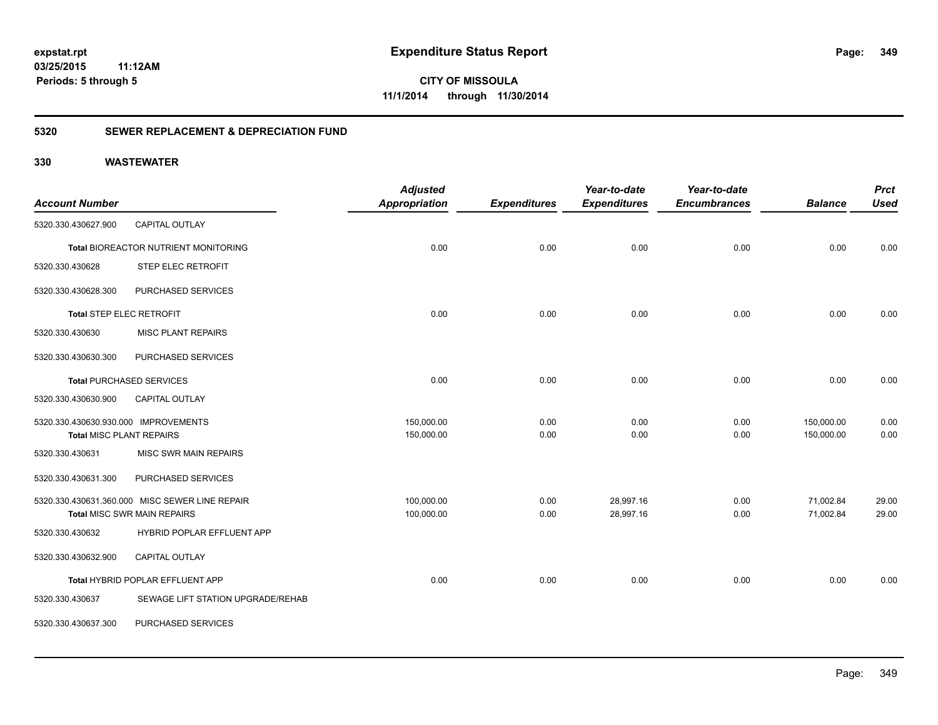**CITY OF MISSOULA 11/1/2014 through 11/30/2014**

#### **5320 SEWER REPLACEMENT & DEPRECIATION FUND**

|                                      |                                                | <b>Adjusted</b>      |                     | Year-to-date        | Year-to-date        |                | <b>Prct</b> |
|--------------------------------------|------------------------------------------------|----------------------|---------------------|---------------------|---------------------|----------------|-------------|
| <b>Account Number</b>                |                                                | <b>Appropriation</b> | <b>Expenditures</b> | <b>Expenditures</b> | <b>Encumbrances</b> | <b>Balance</b> | <b>Used</b> |
| 5320.330.430627.900                  | <b>CAPITAL OUTLAY</b>                          |                      |                     |                     |                     |                |             |
|                                      | Total BIOREACTOR NUTRIENT MONITORING           | 0.00                 | 0.00                | 0.00                | 0.00                | 0.00           | 0.00        |
| 5320.330.430628                      | STEP ELEC RETROFIT                             |                      |                     |                     |                     |                |             |
| 5320.330.430628.300                  | PURCHASED SERVICES                             |                      |                     |                     |                     |                |             |
| Total STEP ELEC RETROFIT             |                                                | 0.00                 | 0.00                | 0.00                | 0.00                | 0.00           | 0.00        |
| 5320.330.430630                      | <b>MISC PLANT REPAIRS</b>                      |                      |                     |                     |                     |                |             |
| 5320.330.430630.300                  | PURCHASED SERVICES                             |                      |                     |                     |                     |                |             |
|                                      | <b>Total PURCHASED SERVICES</b>                | 0.00                 | 0.00                | 0.00                | 0.00                | 0.00           | 0.00        |
| 5320.330.430630.900                  | CAPITAL OUTLAY                                 |                      |                     |                     |                     |                |             |
| 5320.330.430630.930.000 IMPROVEMENTS |                                                | 150,000.00           | 0.00                | 0.00                | 0.00                | 150,000.00     | 0.00        |
| <b>Total MISC PLANT REPAIRS</b>      |                                                | 150,000.00           | 0.00                | 0.00                | 0.00                | 150,000.00     | 0.00        |
| 5320.330.430631                      | <b>MISC SWR MAIN REPAIRS</b>                   |                      |                     |                     |                     |                |             |
| 5320.330.430631.300                  | PURCHASED SERVICES                             |                      |                     |                     |                     |                |             |
|                                      | 5320.330.430631.360.000 MISC SEWER LINE REPAIR | 100,000.00           | 0.00                | 28,997.16           | 0.00                | 71,002.84      | 29.00       |
|                                      | <b>Total MISC SWR MAIN REPAIRS</b>             | 100,000.00           | 0.00                | 28,997.16           | 0.00                | 71,002.84      | 29.00       |
| 5320.330.430632                      | HYBRID POPLAR EFFLUENT APP                     |                      |                     |                     |                     |                |             |
| 5320.330.430632.900                  | <b>CAPITAL OUTLAY</b>                          |                      |                     |                     |                     |                |             |
|                                      | Total HYBRID POPLAR EFFLUENT APP               | 0.00                 | 0.00                | 0.00                | 0.00                | 0.00           | 0.00        |
| 5320.330.430637                      | SEWAGE LIFT STATION UPGRADE/REHAB              |                      |                     |                     |                     |                |             |
| 5320.330.430637.300                  | PURCHASED SERVICES                             |                      |                     |                     |                     |                |             |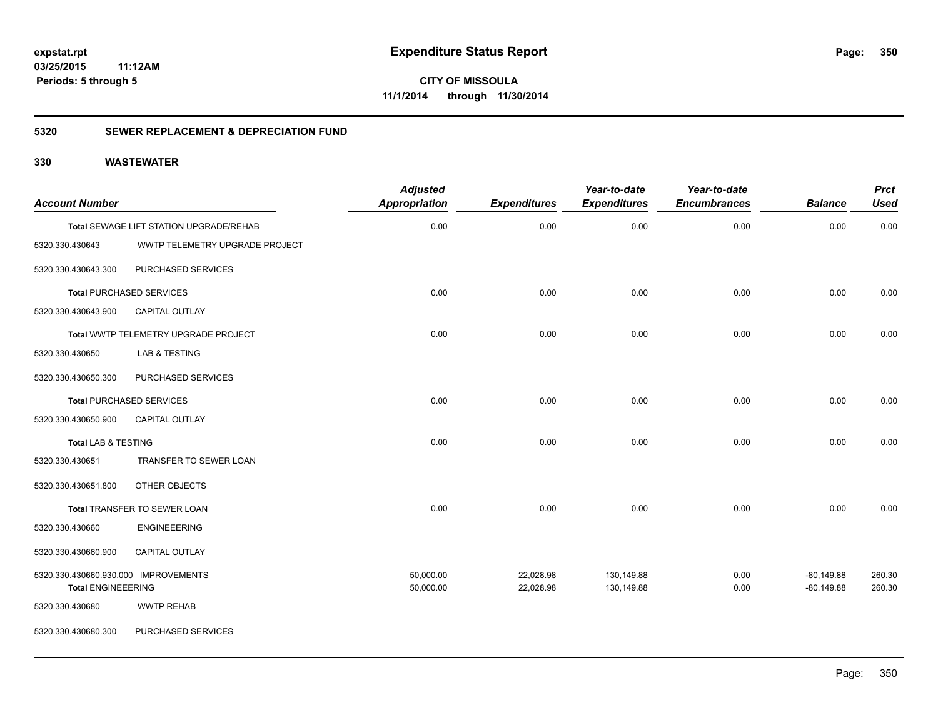**CITY OF MISSOULA 11/1/2014 through 11/30/2014**

#### **5320 SEWER REPLACEMENT & DEPRECIATION FUND**

| <b>Account Number</b>                                             |                                         | <b>Adjusted</b><br><b>Appropriation</b> | <b>Expenditures</b>    | Year-to-date<br><b>Expenditures</b> | Year-to-date<br><b>Encumbrances</b> | <b>Balance</b>               | <b>Prct</b><br><b>Used</b> |
|-------------------------------------------------------------------|-----------------------------------------|-----------------------------------------|------------------------|-------------------------------------|-------------------------------------|------------------------------|----------------------------|
|                                                                   | Total SEWAGE LIFT STATION UPGRADE/REHAB | 0.00                                    | 0.00                   | 0.00                                | 0.00                                | 0.00                         | 0.00                       |
| 5320.330.430643                                                   | WWTP TELEMETRY UPGRADE PROJECT          |                                         |                        |                                     |                                     |                              |                            |
| 5320.330.430643.300                                               | PURCHASED SERVICES                      |                                         |                        |                                     |                                     |                              |                            |
|                                                                   | <b>Total PURCHASED SERVICES</b>         | 0.00                                    | 0.00                   | 0.00                                | 0.00                                | 0.00                         | 0.00                       |
| 5320.330.430643.900                                               | CAPITAL OUTLAY                          |                                         |                        |                                     |                                     |                              |                            |
|                                                                   | Total WWTP TELEMETRY UPGRADE PROJECT    | 0.00                                    | 0.00                   | 0.00                                | 0.00                                | 0.00                         | 0.00                       |
| 5320.330.430650                                                   | LAB & TESTING                           |                                         |                        |                                     |                                     |                              |                            |
| 5320.330.430650.300                                               | PURCHASED SERVICES                      |                                         |                        |                                     |                                     |                              |                            |
|                                                                   | <b>Total PURCHASED SERVICES</b>         | 0.00                                    | 0.00                   | 0.00                                | 0.00                                | 0.00                         | 0.00                       |
| 5320.330.430650.900                                               | <b>CAPITAL OUTLAY</b>                   |                                         |                        |                                     |                                     |                              |                            |
| <b>Total LAB &amp; TESTING</b>                                    |                                         | 0.00                                    | 0.00                   | 0.00                                | 0.00                                | 0.00                         | 0.00                       |
| 5320.330.430651                                                   | TRANSFER TO SEWER LOAN                  |                                         |                        |                                     |                                     |                              |                            |
| 5320.330.430651.800                                               | OTHER OBJECTS                           |                                         |                        |                                     |                                     |                              |                            |
|                                                                   | Total TRANSFER TO SEWER LOAN            | 0.00                                    | 0.00                   | 0.00                                | 0.00                                | 0.00                         | 0.00                       |
| 5320.330.430660                                                   | <b>ENGINEEERING</b>                     |                                         |                        |                                     |                                     |                              |                            |
| 5320.330.430660.900                                               | <b>CAPITAL OUTLAY</b>                   |                                         |                        |                                     |                                     |                              |                            |
| 5320.330.430660.930.000 IMPROVEMENTS<br><b>Total ENGINEEERING</b> |                                         | 50,000.00<br>50,000.00                  | 22,028.98<br>22,028.98 | 130,149.88<br>130,149.88            | 0.00<br>0.00                        | $-80,149.88$<br>$-80,149.88$ | 260.30<br>260.30           |
| 5320.330.430680                                                   | <b>WWTP REHAB</b>                       |                                         |                        |                                     |                                     |                              |                            |
| 5320.330.430680.300                                               | PURCHASED SERVICES                      |                                         |                        |                                     |                                     |                              |                            |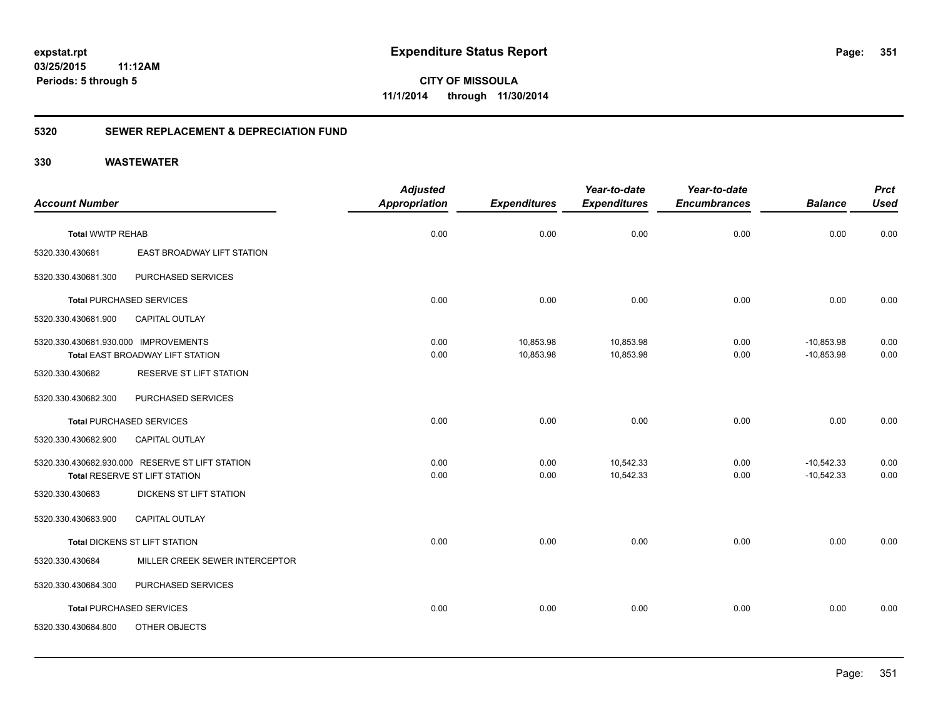**CITY OF MISSOULA 11/1/2014 through 11/30/2014**

#### **5320 SEWER REPLACEMENT & DEPRECIATION FUND**

| <b>Account Number</b>                                   |                                                                                  | <b>Adjusted</b><br><b>Appropriation</b> | <b>Expenditures</b>    | Year-to-date<br><b>Expenditures</b> | Year-to-date<br><b>Encumbrances</b> | <b>Balance</b>               | <b>Prct</b><br><b>Used</b> |
|---------------------------------------------------------|----------------------------------------------------------------------------------|-----------------------------------------|------------------------|-------------------------------------|-------------------------------------|------------------------------|----------------------------|
| <b>Total WWTP REHAB</b>                                 |                                                                                  | 0.00                                    | 0.00                   | 0.00                                | 0.00                                | 0.00                         | 0.00                       |
| 5320.330.430681                                         | EAST BROADWAY LIFT STATION                                                       |                                         |                        |                                     |                                     |                              |                            |
| 5320.330.430681.300                                     | PURCHASED SERVICES                                                               |                                         |                        |                                     |                                     |                              |                            |
|                                                         | <b>Total PURCHASED SERVICES</b>                                                  | 0.00                                    | 0.00                   | 0.00                                | 0.00                                | 0.00                         | 0.00                       |
| 5320.330.430681.900                                     | CAPITAL OUTLAY                                                                   |                                         |                        |                                     |                                     |                              |                            |
| 5320.330.430681.930.000 IMPROVEMENTS<br>5320.330.430682 | <b>Total EAST BROADWAY LIFT STATION</b><br>RESERVE ST LIFT STATION               | 0.00<br>0.00                            | 10,853.98<br>10,853.98 | 10,853.98<br>10,853.98              | 0.00<br>0.00                        | $-10,853.98$<br>$-10,853.98$ | 0.00<br>0.00               |
| 5320.330.430682.300                                     | PURCHASED SERVICES                                                               |                                         |                        |                                     |                                     |                              |                            |
|                                                         | <b>Total PURCHASED SERVICES</b>                                                  | 0.00                                    | 0.00                   | 0.00                                | 0.00                                | 0.00                         | 0.00                       |
| 5320.330.430682.900                                     | CAPITAL OUTLAY                                                                   |                                         |                        |                                     |                                     |                              |                            |
|                                                         | 5320.330.430682.930.000 RESERVE ST LIFT STATION<br>Total RESERVE ST LIFT STATION | 0.00<br>0.00                            | 0.00<br>0.00           | 10,542.33<br>10,542.33              | 0.00<br>0.00                        | $-10,542.33$<br>$-10,542.33$ | 0.00<br>0.00               |
| 5320.330.430683                                         | DICKENS ST LIFT STATION                                                          |                                         |                        |                                     |                                     |                              |                            |
| 5320.330.430683.900                                     | <b>CAPITAL OUTLAY</b>                                                            |                                         |                        |                                     |                                     |                              |                            |
|                                                         | Total DICKENS ST LIFT STATION                                                    | 0.00                                    | 0.00                   | 0.00                                | 0.00                                | 0.00                         | 0.00                       |
| 5320.330.430684                                         | MILLER CREEK SEWER INTERCEPTOR                                                   |                                         |                        |                                     |                                     |                              |                            |
| 5320.330.430684.300                                     | PURCHASED SERVICES                                                               |                                         |                        |                                     |                                     |                              |                            |
|                                                         | <b>Total PURCHASED SERVICES</b>                                                  | 0.00                                    | 0.00                   | 0.00                                | 0.00                                | 0.00                         | 0.00                       |
| 5320.330.430684.800                                     | OTHER OBJECTS                                                                    |                                         |                        |                                     |                                     |                              |                            |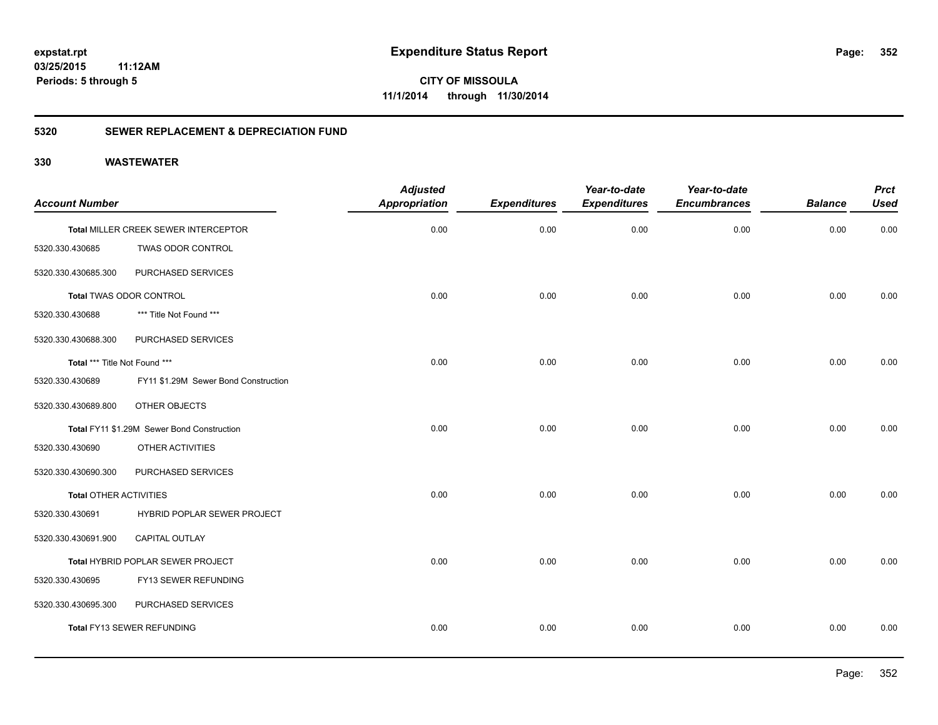# **03/25/2015**

**352**

**11:12AM Periods: 5 through 5**

**CITY OF MISSOULA 11/1/2014 through 11/30/2014**

#### **5320 SEWER REPLACEMENT & DEPRECIATION FUND**

| <b>Account Number</b>         |                                            | <b>Adjusted</b><br><b>Appropriation</b> | <b>Expenditures</b> | Year-to-date<br><b>Expenditures</b> | Year-to-date<br><b>Encumbrances</b> | <b>Balance</b> | <b>Prct</b><br><b>Used</b> |
|-------------------------------|--------------------------------------------|-----------------------------------------|---------------------|-------------------------------------|-------------------------------------|----------------|----------------------------|
|                               | Total MILLER CREEK SEWER INTERCEPTOR       | 0.00                                    | 0.00                | 0.00                                | 0.00                                | 0.00           | 0.00                       |
| 5320.330.430685               | TWAS ODOR CONTROL                          |                                         |                     |                                     |                                     |                |                            |
| 5320.330.430685.300           | PURCHASED SERVICES                         |                                         |                     |                                     |                                     |                |                            |
|                               | Total TWAS ODOR CONTROL                    | 0.00                                    | 0.00                | 0.00                                | 0.00                                | 0.00           | 0.00                       |
| 5320.330.430688               | *** Title Not Found ***                    |                                         |                     |                                     |                                     |                |                            |
| 5320.330.430688.300           | PURCHASED SERVICES                         |                                         |                     |                                     |                                     |                |                            |
| Total *** Title Not Found *** |                                            | 0.00                                    | 0.00                | 0.00                                | 0.00                                | 0.00           | 0.00                       |
| 5320.330.430689               | FY11 \$1.29M Sewer Bond Construction       |                                         |                     |                                     |                                     |                |                            |
| 5320.330.430689.800           | OTHER OBJECTS                              |                                         |                     |                                     |                                     |                |                            |
|                               | Total FY11 \$1.29M Sewer Bond Construction | 0.00                                    | 0.00                | 0.00                                | 0.00                                | 0.00           | 0.00                       |
| 5320.330.430690               | OTHER ACTIVITIES                           |                                         |                     |                                     |                                     |                |                            |
| 5320.330.430690.300           | PURCHASED SERVICES                         |                                         |                     |                                     |                                     |                |                            |
| <b>Total OTHER ACTIVITIES</b> |                                            | 0.00                                    | 0.00                | 0.00                                | 0.00                                | 0.00           | 0.00                       |
| 5320.330.430691               | <b>HYBRID POPLAR SEWER PROJECT</b>         |                                         |                     |                                     |                                     |                |                            |
| 5320.330.430691.900           | <b>CAPITAL OUTLAY</b>                      |                                         |                     |                                     |                                     |                |                            |
|                               | Total HYBRID POPLAR SEWER PROJECT          | 0.00                                    | 0.00                | 0.00                                | 0.00                                | 0.00           | 0.00                       |
| 5320.330.430695               | FY13 SEWER REFUNDING                       |                                         |                     |                                     |                                     |                |                            |
| 5320.330.430695.300           | PURCHASED SERVICES                         |                                         |                     |                                     |                                     |                |                            |
|                               | Total FY13 SEWER REFUNDING                 | 0.00                                    | 0.00                | 0.00                                | 0.00                                | 0.00           | 0.00                       |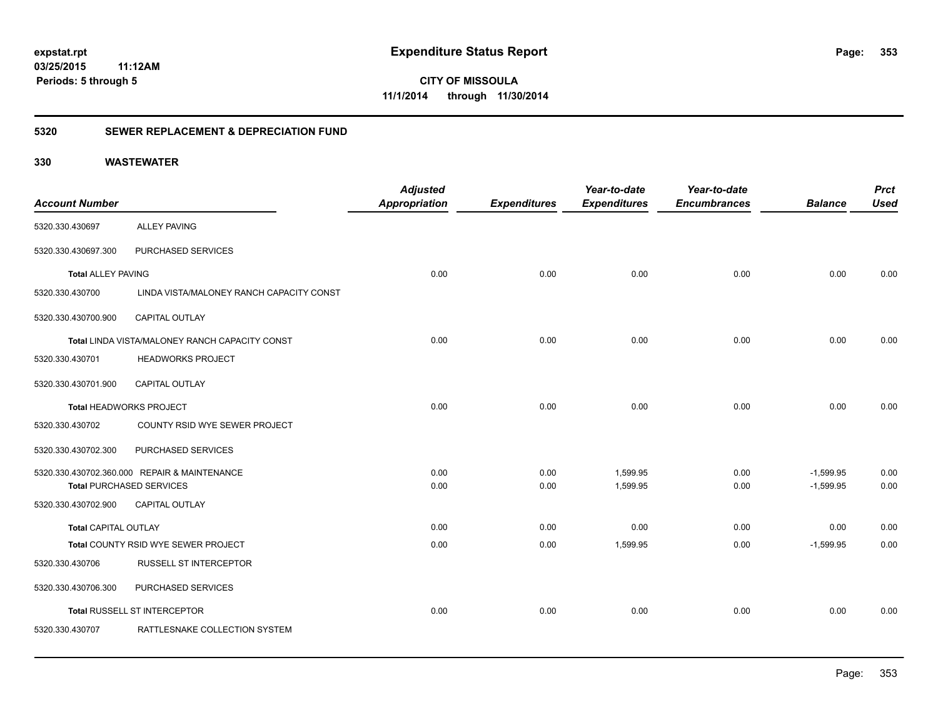**CITY OF MISSOULA 11/1/2014 through 11/30/2014**

### **5320 SEWER REPLACEMENT & DEPRECIATION FUND**

|                             |                                                | <b>Adjusted</b>      |                     | Year-to-date        | Year-to-date        |                | <b>Prct</b> |
|-----------------------------|------------------------------------------------|----------------------|---------------------|---------------------|---------------------|----------------|-------------|
| <b>Account Number</b>       |                                                | <b>Appropriation</b> | <b>Expenditures</b> | <b>Expenditures</b> | <b>Encumbrances</b> | <b>Balance</b> | <b>Used</b> |
| 5320.330.430697             | <b>ALLEY PAVING</b>                            |                      |                     |                     |                     |                |             |
| 5320.330.430697.300         | PURCHASED SERVICES                             |                      |                     |                     |                     |                |             |
| <b>Total ALLEY PAVING</b>   |                                                | 0.00                 | 0.00                | 0.00                | 0.00                | 0.00           | 0.00        |
| 5320.330.430700             | LINDA VISTA/MALONEY RANCH CAPACITY CONST       |                      |                     |                     |                     |                |             |
| 5320.330.430700.900         | CAPITAL OUTLAY                                 |                      |                     |                     |                     |                |             |
|                             | Total LINDA VISTA/MALONEY RANCH CAPACITY CONST | 0.00                 | 0.00                | 0.00                | 0.00                | 0.00           | 0.00        |
| 5320.330.430701             | <b>HEADWORKS PROJECT</b>                       |                      |                     |                     |                     |                |             |
| 5320.330.430701.900         | <b>CAPITAL OUTLAY</b>                          |                      |                     |                     |                     |                |             |
|                             | Total HEADWORKS PROJECT                        | 0.00                 | 0.00                | 0.00                | 0.00                | 0.00           | 0.00        |
| 5320.330.430702             | COUNTY RSID WYE SEWER PROJECT                  |                      |                     |                     |                     |                |             |
| 5320.330.430702.300         | PURCHASED SERVICES                             |                      |                     |                     |                     |                |             |
|                             | 5320.330.430702.360.000 REPAIR & MAINTENANCE   | 0.00                 | 0.00                | 1,599.95            | 0.00                | $-1,599.95$    | 0.00        |
|                             | <b>Total PURCHASED SERVICES</b>                | 0.00                 | 0.00                | 1,599.95            | 0.00                | $-1,599.95$    | 0.00        |
| 5320.330.430702.900         | <b>CAPITAL OUTLAY</b>                          |                      |                     |                     |                     |                |             |
| <b>Total CAPITAL OUTLAY</b> |                                                | 0.00                 | 0.00                | 0.00                | 0.00                | 0.00           | 0.00        |
|                             | Total COUNTY RSID WYE SEWER PROJECT            | 0.00                 | 0.00                | 1,599.95            | 0.00                | $-1,599.95$    | 0.00        |
| 5320.330.430706             | <b>RUSSELL ST INTERCEPTOR</b>                  |                      |                     |                     |                     |                |             |
| 5320.330.430706.300         | PURCHASED SERVICES                             |                      |                     |                     |                     |                |             |
|                             | Total RUSSELL ST INTERCEPTOR                   | 0.00                 | 0.00                | 0.00                | 0.00                | 0.00           | 0.00        |
| 5320.330.430707             | RATTLESNAKE COLLECTION SYSTEM                  |                      |                     |                     |                     |                |             |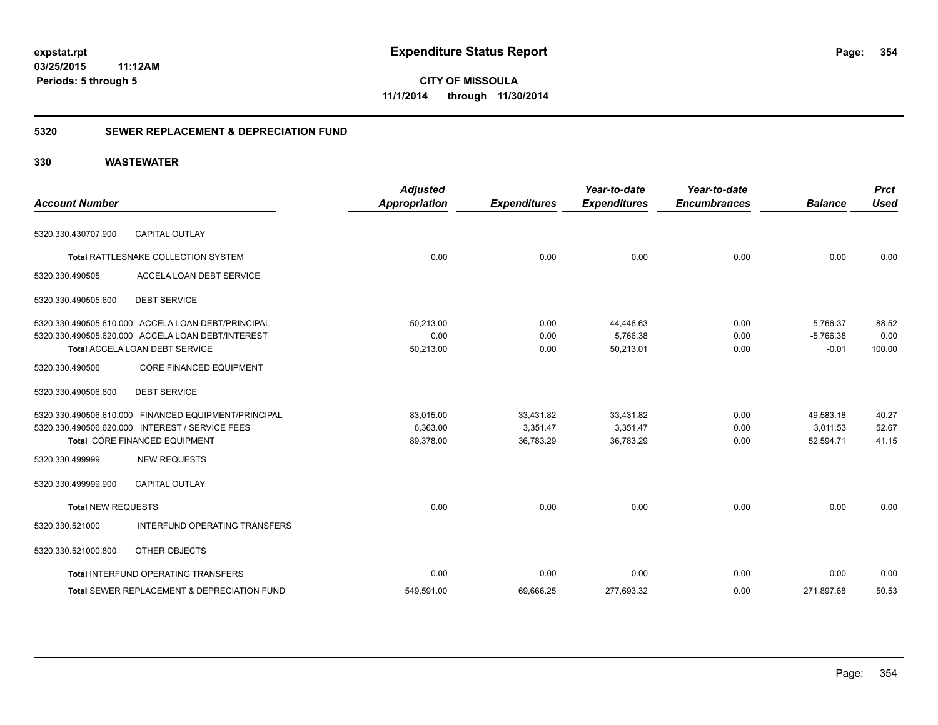**CITY OF MISSOULA 11/1/2014 through 11/30/2014**

#### **5320 SEWER REPLACEMENT & DEPRECIATION FUND**

| <b>Account Number</b>     |                                                        | <b>Adjusted</b><br><b>Appropriation</b> | <b>Expenditures</b> | Year-to-date<br><b>Expenditures</b> | Year-to-date<br><b>Encumbrances</b> | <b>Balance</b> | <b>Prct</b><br><b>Used</b> |
|---------------------------|--------------------------------------------------------|-----------------------------------------|---------------------|-------------------------------------|-------------------------------------|----------------|----------------------------|
|                           |                                                        |                                         |                     |                                     |                                     |                |                            |
| 5320.330.430707.900       | <b>CAPITAL OUTLAY</b>                                  |                                         |                     |                                     |                                     |                |                            |
|                           | <b>Total RATTLESNAKE COLLECTION SYSTEM</b>             | 0.00                                    | 0.00                | 0.00                                | 0.00                                | 0.00           | 0.00                       |
| 5320.330.490505           | ACCELA LOAN DEBT SERVICE                               |                                         |                     |                                     |                                     |                |                            |
| 5320.330.490505.600       | <b>DEBT SERVICE</b>                                    |                                         |                     |                                     |                                     |                |                            |
|                           | 5320.330.490505.610.000 ACCELA LOAN DEBT/PRINCIPAL     | 50,213.00                               | 0.00                | 44,446.63                           | 0.00                                | 5,766.37       | 88.52                      |
|                           | 5320.330.490505.620.000 ACCELA LOAN DEBT/INTEREST      | 0.00                                    | 0.00                | 5,766.38                            | 0.00                                | $-5,766.38$    | 0.00                       |
|                           | Total ACCELA LOAN DEBT SERVICE                         | 50,213.00                               | 0.00                | 50,213.01                           | 0.00                                | $-0.01$        | 100.00                     |
| 5320.330.490506           | <b>CORE FINANCED EQUIPMENT</b>                         |                                         |                     |                                     |                                     |                |                            |
| 5320.330.490506.600       | <b>DEBT SERVICE</b>                                    |                                         |                     |                                     |                                     |                |                            |
|                           | 5320.330.490506.610.000 FINANCED EQUIPMENT/PRINCIPAL   | 83.015.00                               | 33,431.82           | 33,431.82                           | 0.00                                | 49.583.18      | 40.27                      |
|                           | 5320.330.490506.620.000 INTEREST / SERVICE FEES        | 6,363.00                                | 3,351.47            | 3,351.47                            | 0.00                                | 3.011.53       | 52.67                      |
|                           | Total CORE FINANCED EQUIPMENT                          | 89,378.00                               | 36,783.29           | 36,783.29                           | 0.00                                | 52,594.71      | 41.15                      |
| 5320.330.499999           | <b>NEW REQUESTS</b>                                    |                                         |                     |                                     |                                     |                |                            |
| 5320.330.499999.900       | <b>CAPITAL OUTLAY</b>                                  |                                         |                     |                                     |                                     |                |                            |
| <b>Total NEW REQUESTS</b> |                                                        | 0.00                                    | 0.00                | 0.00                                | 0.00                                | 0.00           | 0.00                       |
| 5320.330.521000           | <b>INTERFUND OPERATING TRANSFERS</b>                   |                                         |                     |                                     |                                     |                |                            |
| 5320.330.521000.800       | OTHER OBJECTS                                          |                                         |                     |                                     |                                     |                |                            |
|                           | <b>Total INTERFUND OPERATING TRANSFERS</b>             | 0.00                                    | 0.00                | 0.00                                | 0.00                                | 0.00           | 0.00                       |
|                           | <b>Total SEWER REPLACEMENT &amp; DEPRECIATION FUND</b> | 549,591.00                              | 69,666.25           | 277,693.32                          | 0.00                                | 271,897.68     | 50.53                      |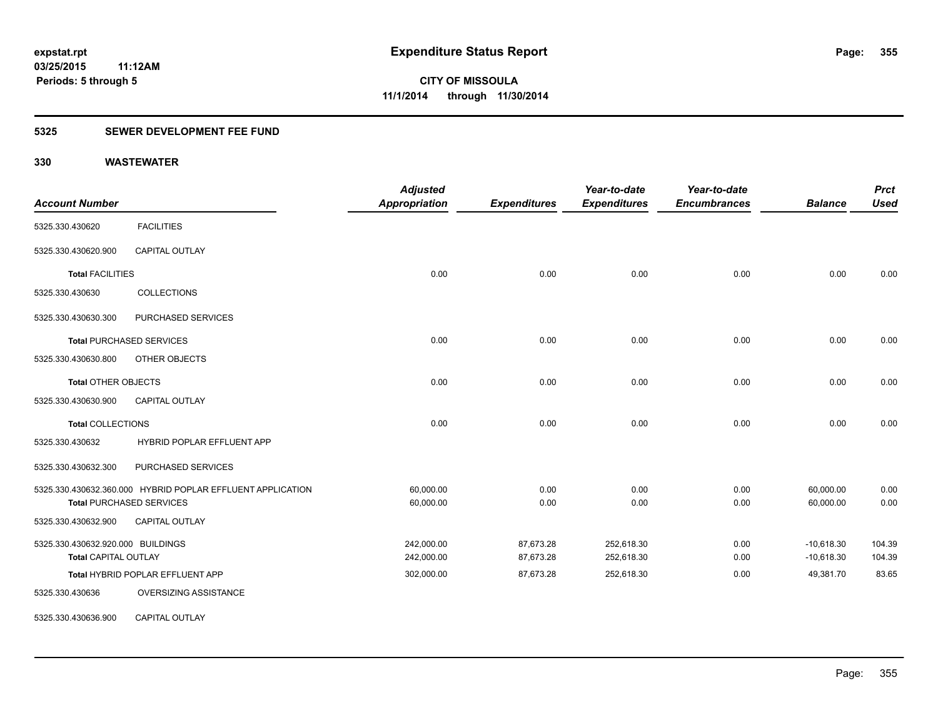#### **5325 SEWER DEVELOPMENT FEE FUND**

| <b>Account Number</b>             |                                                            | <b>Adjusted</b><br>Appropriation | <b>Expenditures</b> | Year-to-date<br><b>Expenditures</b> | Year-to-date<br><b>Encumbrances</b> | <b>Balance</b> | <b>Prct</b><br><b>Used</b> |
|-----------------------------------|------------------------------------------------------------|----------------------------------|---------------------|-------------------------------------|-------------------------------------|----------------|----------------------------|
| 5325.330.430620                   | <b>FACILITIES</b>                                          |                                  |                     |                                     |                                     |                |                            |
| 5325.330.430620.900               | <b>CAPITAL OUTLAY</b>                                      |                                  |                     |                                     |                                     |                |                            |
| <b>Total FACILITIES</b>           |                                                            | 0.00                             | 0.00                | 0.00                                | 0.00                                | 0.00           | 0.00                       |
| 5325.330.430630                   | <b>COLLECTIONS</b>                                         |                                  |                     |                                     |                                     |                |                            |
| 5325.330.430630.300               | PURCHASED SERVICES                                         |                                  |                     |                                     |                                     |                |                            |
|                                   | <b>Total PURCHASED SERVICES</b>                            | 0.00                             | 0.00                | 0.00                                | 0.00                                | 0.00           | 0.00                       |
| 5325.330.430630.800               | OTHER OBJECTS                                              |                                  |                     |                                     |                                     |                |                            |
| <b>Total OTHER OBJECTS</b>        |                                                            | 0.00                             | 0.00                | 0.00                                | 0.00                                | 0.00           | 0.00                       |
| 5325.330.430630.900               | <b>CAPITAL OUTLAY</b>                                      |                                  |                     |                                     |                                     |                |                            |
| <b>Total COLLECTIONS</b>          |                                                            | 0.00                             | 0.00                | 0.00                                | 0.00                                | 0.00           | 0.00                       |
| 5325.330.430632                   | HYBRID POPLAR EFFLUENT APP                                 |                                  |                     |                                     |                                     |                |                            |
| 5325.330.430632.300               | PURCHASED SERVICES                                         |                                  |                     |                                     |                                     |                |                            |
|                                   | 5325.330.430632.360.000 HYBRID POPLAR EFFLUENT APPLICATION | 60,000.00                        | 0.00                | 0.00                                | 0.00                                | 60,000.00      | 0.00                       |
|                                   | <b>Total PURCHASED SERVICES</b>                            | 60,000.00                        | 0.00                | 0.00                                | 0.00                                | 60,000.00      | 0.00                       |
| 5325.330.430632.900               | <b>CAPITAL OUTLAY</b>                                      |                                  |                     |                                     |                                     |                |                            |
| 5325.330.430632.920.000 BUILDINGS |                                                            | 242,000.00                       | 87,673.28           | 252,618.30                          | 0.00                                | $-10,618.30$   | 104.39                     |
| <b>Total CAPITAL OUTLAY</b>       |                                                            | 242,000.00                       | 87,673.28           | 252,618.30                          | 0.00                                | $-10,618.30$   | 104.39                     |
|                                   | Total HYBRID POPLAR EFFLUENT APP                           | 302,000.00                       | 87,673.28           | 252,618.30                          | 0.00                                | 49,381.70      | 83.65                      |
| 5325.330.430636                   | OVERSIZING ASSISTANCE                                      |                                  |                     |                                     |                                     |                |                            |
| 5325.330.430636.900               | CAPITAL OUTLAY                                             |                                  |                     |                                     |                                     |                |                            |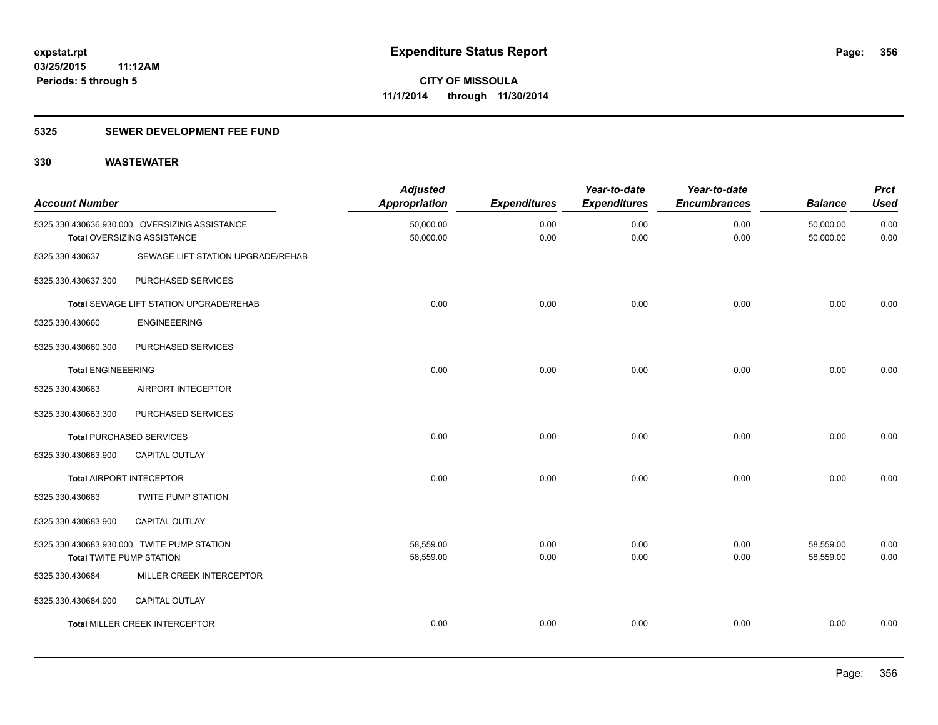#### **5325 SEWER DEVELOPMENT FEE FUND**

| <b>Account Number</b>           |                                                                              | <b>Adjusted</b><br><b>Appropriation</b> | <b>Expenditures</b> | Year-to-date<br><b>Expenditures</b> | Year-to-date<br><b>Encumbrances</b> | <b>Balance</b>         | <b>Prct</b><br><b>Used</b> |
|---------------------------------|------------------------------------------------------------------------------|-----------------------------------------|---------------------|-------------------------------------|-------------------------------------|------------------------|----------------------------|
|                                 | 5325.330.430636.930.000 OVERSIZING ASSISTANCE<br>Total OVERSIZING ASSISTANCE | 50,000.00<br>50,000.00                  | 0.00<br>0.00        | 0.00<br>0.00                        | 0.00<br>0.00                        | 50,000.00<br>50,000.00 | 0.00<br>0.00               |
| 5325.330.430637                 | SEWAGE LIFT STATION UPGRADE/REHAB                                            |                                         |                     |                                     |                                     |                        |                            |
| 5325.330.430637.300             | PURCHASED SERVICES                                                           |                                         |                     |                                     |                                     |                        |                            |
|                                 | <b>Total SEWAGE LIFT STATION UPGRADE/REHAB</b>                               | 0.00                                    | 0.00                | 0.00                                | 0.00                                | 0.00                   | 0.00                       |
| 5325.330.430660                 | <b>ENGINEEERING</b>                                                          |                                         |                     |                                     |                                     |                        |                            |
| 5325.330.430660.300             | PURCHASED SERVICES                                                           |                                         |                     |                                     |                                     |                        |                            |
| <b>Total ENGINEEERING</b>       |                                                                              | 0.00                                    | 0.00                | 0.00                                | 0.00                                | 0.00                   | 0.00                       |
| 5325.330.430663                 | AIRPORT INTECEPTOR                                                           |                                         |                     |                                     |                                     |                        |                            |
| 5325.330.430663.300             | PURCHASED SERVICES                                                           |                                         |                     |                                     |                                     |                        |                            |
|                                 | <b>Total PURCHASED SERVICES</b>                                              | 0.00                                    | 0.00                | 0.00                                | 0.00                                | 0.00                   | 0.00                       |
| 5325.330.430663.900             | <b>CAPITAL OUTLAY</b>                                                        |                                         |                     |                                     |                                     |                        |                            |
| <b>Total AIRPORT INTECEPTOR</b> |                                                                              | 0.00                                    | 0.00                | 0.00                                | 0.00                                | 0.00                   | 0.00                       |
| 5325.330.430683                 | <b>TWITE PUMP STATION</b>                                                    |                                         |                     |                                     |                                     |                        |                            |
| 5325.330.430683.900             | CAPITAL OUTLAY                                                               |                                         |                     |                                     |                                     |                        |                            |
|                                 | 5325.330.430683.930.000 TWITE PUMP STATION                                   | 58,559.00                               | 0.00                | 0.00                                | 0.00                                | 58,559.00              | 0.00                       |
| <b>Total TWITE PUMP STATION</b> |                                                                              | 58,559.00                               | 0.00                | 0.00                                | 0.00                                | 58,559.00              | 0.00                       |
| 5325.330.430684                 | MILLER CREEK INTERCEPTOR                                                     |                                         |                     |                                     |                                     |                        |                            |
| 5325.330.430684.900             | CAPITAL OUTLAY                                                               |                                         |                     |                                     |                                     |                        |                            |
|                                 | <b>Total MILLER CREEK INTERCEPTOR</b>                                        | 0.00                                    | 0.00                | 0.00                                | 0.00                                | 0.00                   | 0.00                       |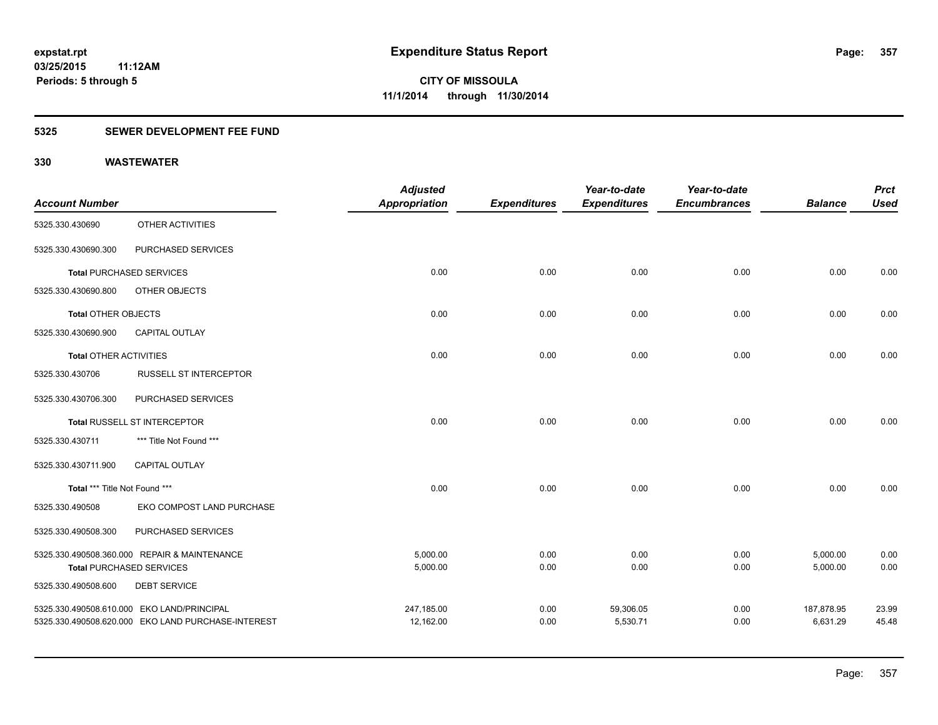#### **5325 SEWER DEVELOPMENT FEE FUND**

|                               |                                                    | <b>Adjusted</b>      |                     | Year-to-date        | Year-to-date        |                | <b>Prct</b> |
|-------------------------------|----------------------------------------------------|----------------------|---------------------|---------------------|---------------------|----------------|-------------|
| <b>Account Number</b>         |                                                    | <b>Appropriation</b> | <b>Expenditures</b> | <b>Expenditures</b> | <b>Encumbrances</b> | <b>Balance</b> | <b>Used</b> |
| 5325.330.430690               | OTHER ACTIVITIES                                   |                      |                     |                     |                     |                |             |
| 5325.330.430690.300           | PURCHASED SERVICES                                 |                      |                     |                     |                     |                |             |
|                               | <b>Total PURCHASED SERVICES</b>                    | 0.00                 | 0.00                | 0.00                | 0.00                | 0.00           | 0.00        |
| 5325.330.430690.800           | OTHER OBJECTS                                      |                      |                     |                     |                     |                |             |
| Total OTHER OBJECTS           |                                                    | 0.00                 | 0.00                | 0.00                | 0.00                | 0.00           | 0.00        |
| 5325.330.430690.900           | CAPITAL OUTLAY                                     |                      |                     |                     |                     |                |             |
| <b>Total OTHER ACTIVITIES</b> |                                                    | 0.00                 | 0.00                | 0.00                | 0.00                | 0.00           | 0.00        |
| 5325.330.430706               | <b>RUSSELL ST INTERCEPTOR</b>                      |                      |                     |                     |                     |                |             |
| 5325.330.430706.300           | PURCHASED SERVICES                                 |                      |                     |                     |                     |                |             |
|                               | Total RUSSELL ST INTERCEPTOR                       | 0.00                 | 0.00                | 0.00                | 0.00                | 0.00           | 0.00        |
| 5325.330.430711               | *** Title Not Found ***                            |                      |                     |                     |                     |                |             |
| 5325.330.430711.900           | <b>CAPITAL OUTLAY</b>                              |                      |                     |                     |                     |                |             |
| Total *** Title Not Found *** |                                                    | 0.00                 | 0.00                | 0.00                | 0.00                | 0.00           | 0.00        |
| 5325.330.490508               | EKO COMPOST LAND PURCHASE                          |                      |                     |                     |                     |                |             |
| 5325.330.490508.300           | PURCHASED SERVICES                                 |                      |                     |                     |                     |                |             |
|                               | 5325.330.490508.360.000 REPAIR & MAINTENANCE       | 5,000.00             | 0.00                | 0.00                | 0.00                | 5,000.00       | 0.00        |
|                               | <b>Total PURCHASED SERVICES</b>                    | 5,000.00             | 0.00                | 0.00                | 0.00                | 5,000.00       | 0.00        |
| 5325.330.490508.600           | <b>DEBT SERVICE</b>                                |                      |                     |                     |                     |                |             |
|                               | 5325.330.490508.610.000 EKO LAND/PRINCIPAL         | 247,185.00           | 0.00                | 59,306.05           | 0.00                | 187,878.95     | 23.99       |
|                               | 5325.330.490508.620.000 EKO LAND PURCHASE-INTEREST | 12,162.00            | 0.00                | 5,530.71            | 0.00                | 6,631.29       | 45.48       |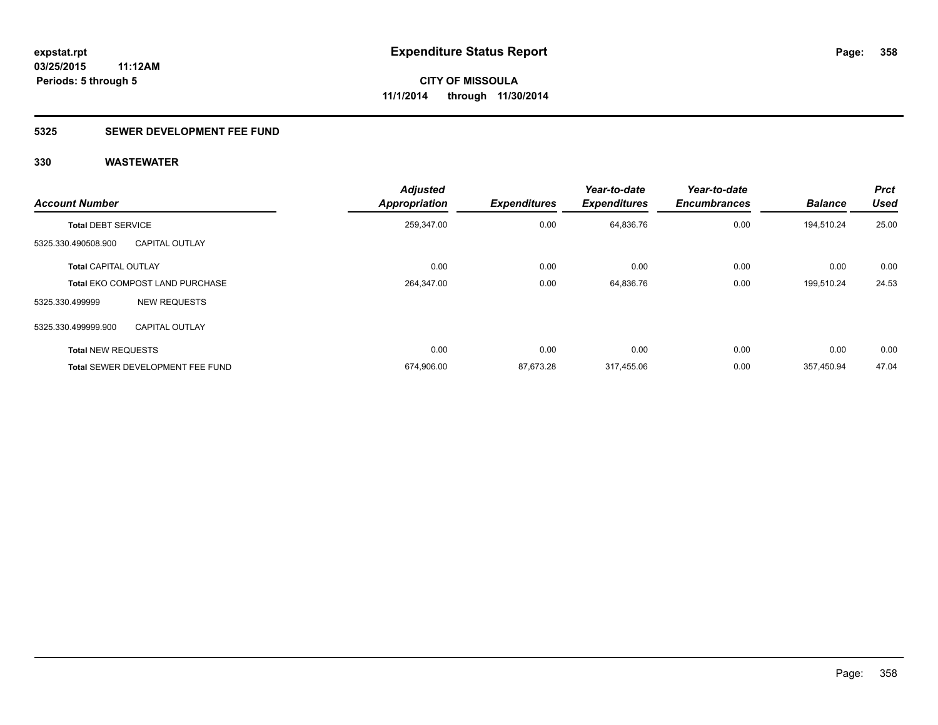### **5325 SEWER DEVELOPMENT FEE FUND**

| <b>Account Number</b>       |                                        | <b>Adjusted</b><br><b>Appropriation</b> | <b>Expenditures</b> | Year-to-date<br><b>Expenditures</b> | Year-to-date<br><b>Encumbrances</b> | <b>Balance</b> | <b>Prct</b><br><b>Used</b> |
|-----------------------------|----------------------------------------|-----------------------------------------|---------------------|-------------------------------------|-------------------------------------|----------------|----------------------------|
| <b>Total DEBT SERVICE</b>   |                                        | 259,347.00                              | 0.00                | 64,836.76                           | 0.00                                | 194,510.24     | 25.00                      |
| 5325.330.490508.900         | <b>CAPITAL OUTLAY</b>                  |                                         |                     |                                     |                                     |                |                            |
| <b>Total CAPITAL OUTLAY</b> |                                        | 0.00                                    | 0.00                | 0.00                                | 0.00                                | 0.00           | 0.00                       |
|                             | <b>Total EKO COMPOST LAND PURCHASE</b> | 264,347.00                              | 0.00                | 64,836.76                           | 0.00                                | 199,510.24     | 24.53                      |
| 5325.330.499999             | <b>NEW REQUESTS</b>                    |                                         |                     |                                     |                                     |                |                            |
| 5325.330.499999.900         | <b>CAPITAL OUTLAY</b>                  |                                         |                     |                                     |                                     |                |                            |
| <b>Total NEW REQUESTS</b>   |                                        | 0.00                                    | 0.00                | 0.00                                | 0.00                                | 0.00           | 0.00                       |
|                             | Total SEWER DEVELOPMENT FEE FUND       | 674,906.00                              | 87.673.28           | 317.455.06                          | 0.00                                | 357,450.94     | 47.04                      |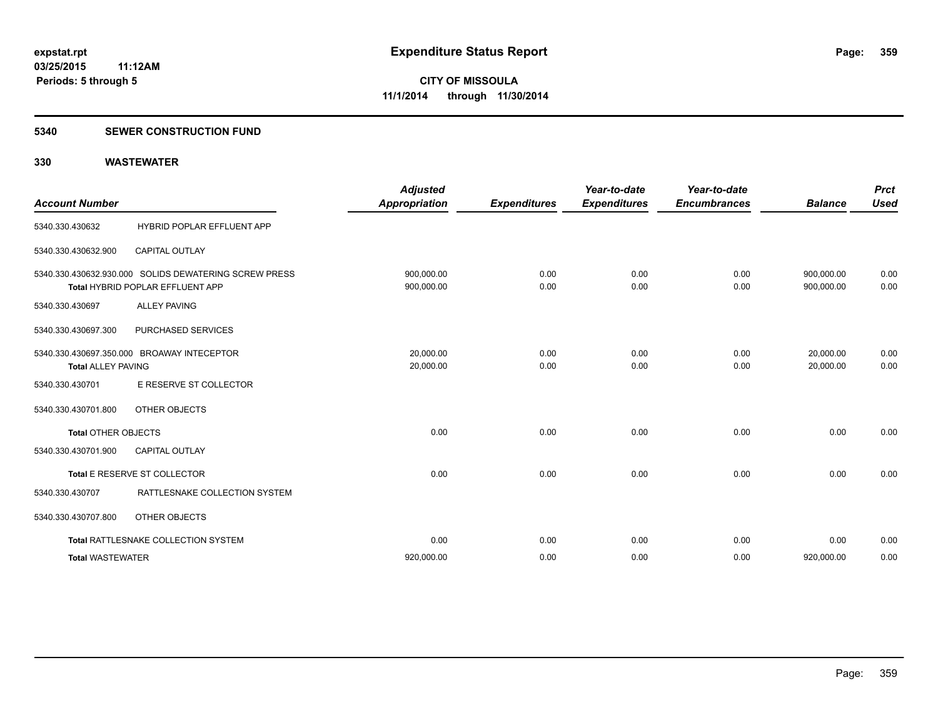#### **5340 SEWER CONSTRUCTION FUND**

| <b>Account Number</b>      |                                                                                           | <b>Adjusted</b><br><b>Appropriation</b> | <b>Expenditures</b> | Year-to-date<br><b>Expenditures</b> | Year-to-date<br><b>Encumbrances</b> | <b>Balance</b>           | <b>Prct</b><br><b>Used</b> |
|----------------------------|-------------------------------------------------------------------------------------------|-----------------------------------------|---------------------|-------------------------------------|-------------------------------------|--------------------------|----------------------------|
| 5340.330.430632            | HYBRID POPLAR EFFLUENT APP                                                                |                                         |                     |                                     |                                     |                          |                            |
| 5340.330.430632.900        | <b>CAPITAL OUTLAY</b>                                                                     |                                         |                     |                                     |                                     |                          |                            |
|                            | 5340.330.430632.930.000 SOLIDS DEWATERING SCREW PRESS<br>Total HYBRID POPLAR EFFLUENT APP | 900,000.00<br>900,000.00                | 0.00<br>0.00        | 0.00<br>0.00                        | 0.00<br>0.00                        | 900,000.00<br>900,000.00 | 0.00<br>0.00               |
| 5340.330.430697            | <b>ALLEY PAVING</b>                                                                       |                                         |                     |                                     |                                     |                          |                            |
| 5340.330.430697.300        | PURCHASED SERVICES                                                                        |                                         |                     |                                     |                                     |                          |                            |
| <b>Total ALLEY PAVING</b>  | 5340.330.430697.350.000 BROAWAY INTECEPTOR                                                | 20.000.00<br>20,000.00                  | 0.00<br>0.00        | 0.00<br>0.00                        | 0.00<br>0.00                        | 20,000.00<br>20.000.00   | 0.00<br>0.00               |
| 5340.330.430701            | E RESERVE ST COLLECTOR                                                                    |                                         |                     |                                     |                                     |                          |                            |
| 5340.330.430701.800        | <b>OTHER OBJECTS</b>                                                                      |                                         |                     |                                     |                                     |                          |                            |
| <b>Total OTHER OBJECTS</b> |                                                                                           | 0.00                                    | 0.00                | 0.00                                | 0.00                                | 0.00                     | 0.00                       |
| 5340.330.430701.900        | <b>CAPITAL OUTLAY</b>                                                                     |                                         |                     |                                     |                                     |                          |                            |
|                            | Total E RESERVE ST COLLECTOR                                                              | 0.00                                    | 0.00                | 0.00                                | 0.00                                | 0.00                     | 0.00                       |
| 5340.330.430707            | RATTLESNAKE COLLECTION SYSTEM                                                             |                                         |                     |                                     |                                     |                          |                            |
| 5340.330.430707.800        | OTHER OBJECTS                                                                             |                                         |                     |                                     |                                     |                          |                            |
|                            | Total RATTLESNAKE COLLECTION SYSTEM                                                       | 0.00                                    | 0.00                | 0.00                                | 0.00                                | 0.00                     | 0.00                       |
| <b>Total WASTEWATER</b>    |                                                                                           | 920,000.00                              | 0.00                | 0.00                                | 0.00                                | 920,000.00               | 0.00                       |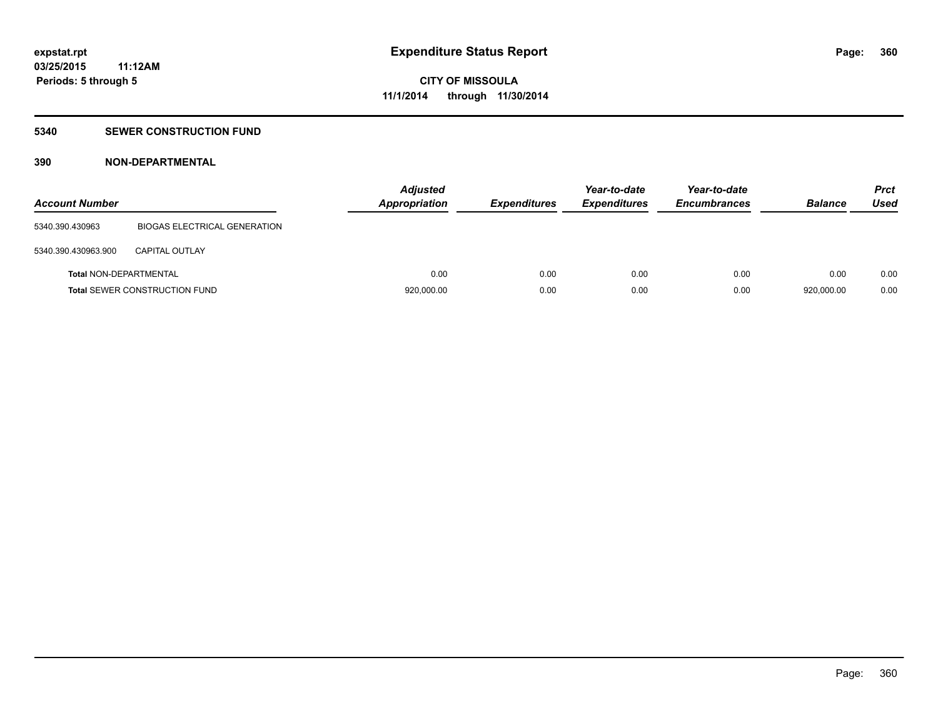#### **5340 SEWER CONSTRUCTION FUND**

#### **390 NON-DEPARTMENTAL**

| <b>Account Number</b>         |                                      | <b>Adjusted</b><br>Appropriation | <b>Expenditures</b> | Year-to-date<br><b>Expenditures</b> | Year-to-date<br><b>Encumbrances</b> | <b>Balance</b> | <b>Prct</b><br>Used |
|-------------------------------|--------------------------------------|----------------------------------|---------------------|-------------------------------------|-------------------------------------|----------------|---------------------|
| 5340.390.430963               | <b>BIOGAS ELECTRICAL GENERATION</b>  |                                  |                     |                                     |                                     |                |                     |
| 5340.390.430963.900           | <b>CAPITAL OUTLAY</b>                |                                  |                     |                                     |                                     |                |                     |
| <b>Total NON-DEPARTMENTAL</b> |                                      | 0.00                             | 0.00                | 0.00                                | 0.00                                | 0.00           | 0.00                |
|                               | <b>Total SEWER CONSTRUCTION FUND</b> | 920,000.00                       | 0.00                | 0.00                                | 0.00                                | 920,000.00     | 0.00                |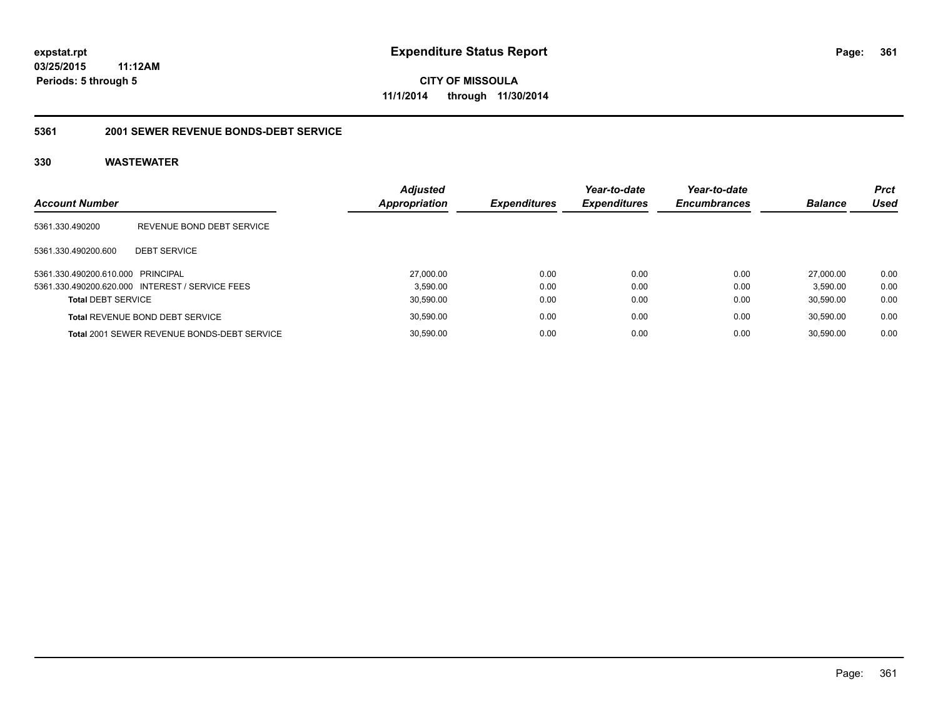**CITY OF MISSOULA 11/1/2014 through 11/30/2014**

#### **5361 2001 SEWER REVENUE BONDS-DEBT SERVICE**

| <b>Account Number</b>             |                                                    | <b>Adjusted</b><br>Appropriation | <b>Expenditures</b> | Year-to-date<br><b>Expenditures</b> | Year-to-date<br><b>Encumbrances</b> | <b>Balance</b> | <b>Prct</b><br>Used |
|-----------------------------------|----------------------------------------------------|----------------------------------|---------------------|-------------------------------------|-------------------------------------|----------------|---------------------|
| 5361.330.490200                   | REVENUE BOND DEBT SERVICE                          |                                  |                     |                                     |                                     |                |                     |
| 5361.330.490200.600               | <b>DEBT SERVICE</b>                                |                                  |                     |                                     |                                     |                |                     |
| 5361.330.490200.610.000 PRINCIPAL |                                                    | 27.000.00                        | 0.00                | 0.00                                | 0.00                                | 27,000.00      | 0.00                |
|                                   | 5361.330.490200.620.000 INTEREST / SERVICE FEES    | 3.590.00                         | 0.00                | 0.00                                | 0.00                                | 3.590.00       | 0.00                |
| <b>Total DEBT SERVICE</b>         |                                                    | 30,590.00                        | 0.00                | 0.00                                | 0.00                                | 30.590.00      | 0.00                |
|                                   | <b>Total REVENUE BOND DEBT SERVICE</b>             | 30,590.00                        | 0.00                | 0.00                                | 0.00                                | 30.590.00      | 0.00                |
|                                   | <b>Total 2001 SEWER REVENUE BONDS-DEBT SERVICE</b> | 30.590.00                        | 0.00                | 0.00                                | 0.00                                | 30.590.00      | 0.00                |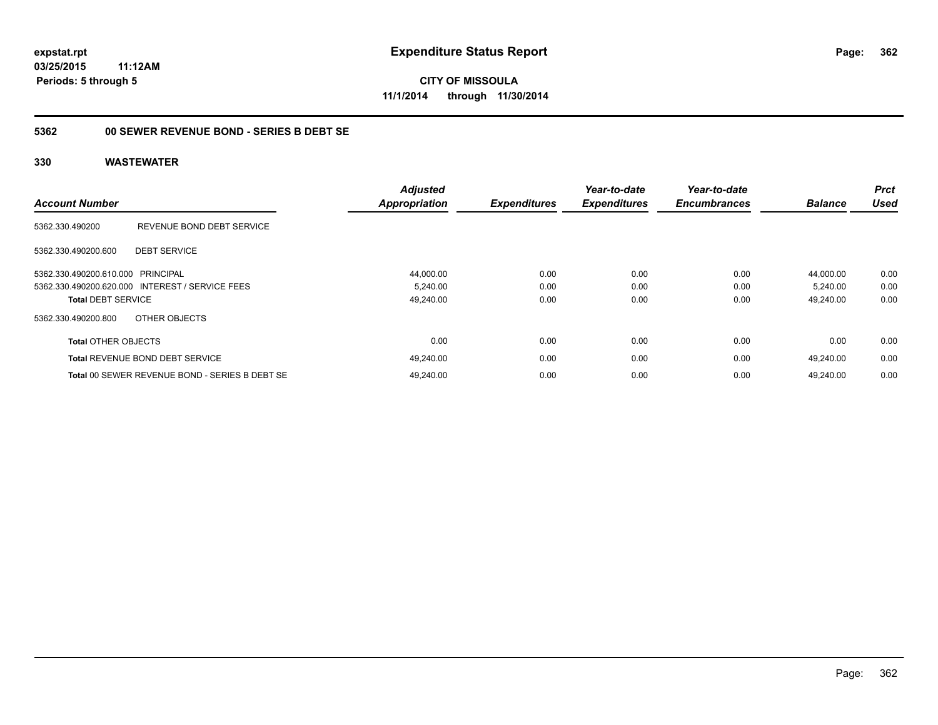**CITY OF MISSOULA 11/1/2014 through 11/30/2014**

#### **5362 00 SEWER REVENUE BOND - SERIES B DEBT SE**

| <b>Account Number</b>      |                                                 | <b>Adjusted</b><br><b>Appropriation</b> | <b>Expenditures</b> | Year-to-date<br><b>Expenditures</b> | Year-to-date<br><b>Encumbrances</b> | <b>Balance</b> | <b>Prct</b><br><b>Used</b> |
|----------------------------|-------------------------------------------------|-----------------------------------------|---------------------|-------------------------------------|-------------------------------------|----------------|----------------------------|
| 5362.330.490200            | REVENUE BOND DEBT SERVICE                       |                                         |                     |                                     |                                     |                |                            |
| 5362.330.490200.600        | <b>DEBT SERVICE</b>                             |                                         |                     |                                     |                                     |                |                            |
| 5362.330.490200.610.000    | PRINCIPAL                                       | 44,000.00                               | 0.00                | 0.00                                | 0.00                                | 44.000.00      | 0.00                       |
|                            | 5362.330.490200.620.000 INTEREST / SERVICE FEES | 5,240.00                                | 0.00                | 0.00                                | 0.00                                | 5,240.00       | 0.00                       |
| <b>Total DEBT SERVICE</b>  |                                                 | 49,240.00                               | 0.00                | 0.00                                | 0.00                                | 49,240.00      | 0.00                       |
| 5362.330.490200.800        | OTHER OBJECTS                                   |                                         |                     |                                     |                                     |                |                            |
| <b>Total OTHER OBJECTS</b> |                                                 | 0.00                                    | 0.00                | 0.00                                | 0.00                                | 0.00           | 0.00                       |
|                            | Total REVENUE BOND DEBT SERVICE                 | 49,240.00                               | 0.00                | 0.00                                | 0.00                                | 49.240.00      | 0.00                       |
|                            | Total 00 SEWER REVENUE BOND - SERIES B DEBT SE  | 49.240.00                               | 0.00                | 0.00                                | 0.00                                | 49.240.00      | 0.00                       |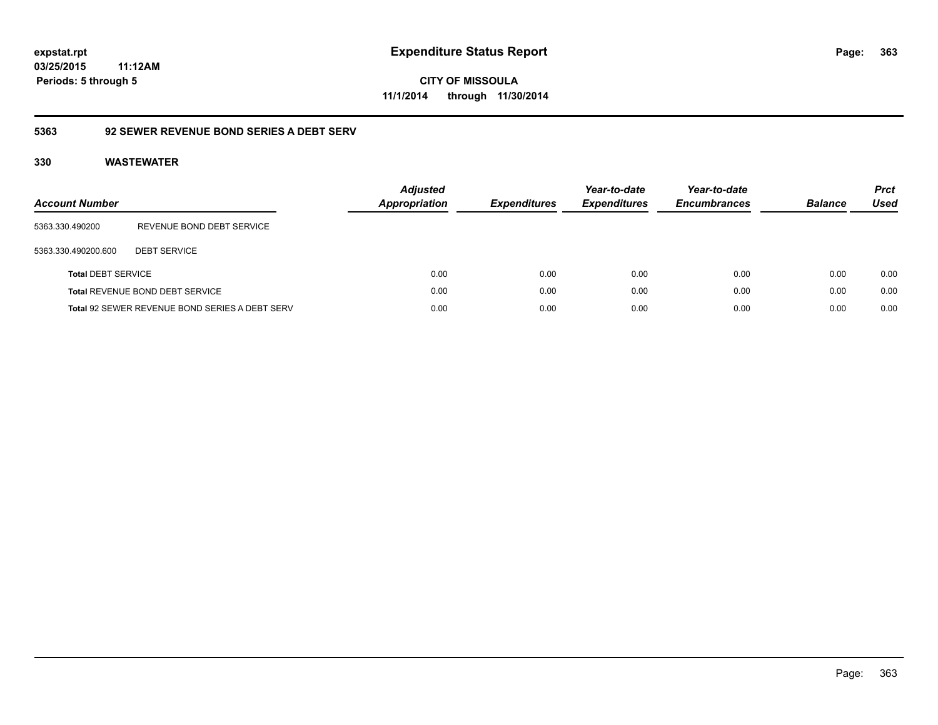**363**

**03/25/2015 11:12AM Periods: 5 through 5**

**CITY OF MISSOULA 11/1/2014 through 11/30/2014**

# **5363 92 SEWER REVENUE BOND SERIES A DEBT SERV**

| <b>Account Number</b>     |                                                       | <b>Adjusted</b><br><b>Appropriation</b> | <b>Expenditures</b> | Year-to-date<br><b>Expenditures</b> | Year-to-date<br><b>Encumbrances</b> | <b>Balance</b> | <b>Prct</b><br>Used |
|---------------------------|-------------------------------------------------------|-----------------------------------------|---------------------|-------------------------------------|-------------------------------------|----------------|---------------------|
| 5363.330.490200           | REVENUE BOND DEBT SERVICE                             |                                         |                     |                                     |                                     |                |                     |
| 5363.330.490200.600       | <b>DEBT SERVICE</b>                                   |                                         |                     |                                     |                                     |                |                     |
| <b>Total DEBT SERVICE</b> |                                                       | 0.00                                    | 0.00                | 0.00                                | 0.00                                | 0.00           | 0.00                |
|                           | <b>Total REVENUE BOND DEBT SERVICE</b>                | 0.00                                    | 0.00                | 0.00                                | 0.00                                | 0.00           | 0.00                |
|                           | <b>Total 92 SEWER REVENUE BOND SERIES A DEBT SERV</b> | 0.00                                    | 0.00                | 0.00                                | 0.00                                | 0.00           | 0.00                |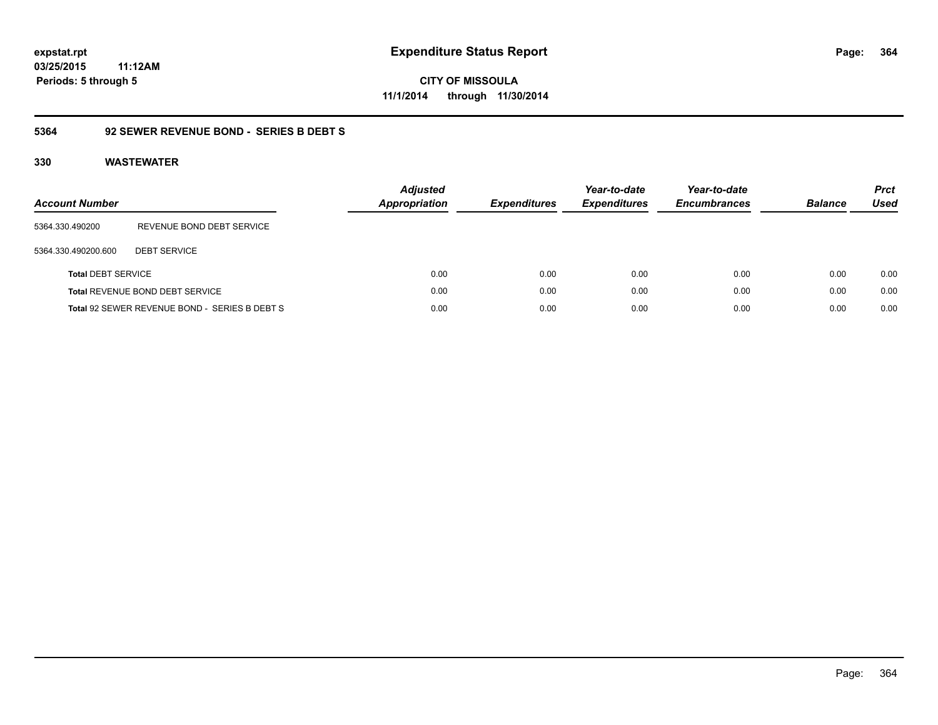**CITY OF MISSOULA 11/1/2014 through 11/30/2014**

#### **5364 92 SEWER REVENUE BOND - SERIES B DEBT S**

| <b>Account Number</b>     |                                               | <b>Adjusted</b><br><b>Appropriation</b> | <b>Expenditures</b> | Year-to-date<br><b>Expenditures</b> | Year-to-date<br><b>Encumbrances</b> | <b>Balance</b> | <b>Prct</b><br><b>Used</b> |
|---------------------------|-----------------------------------------------|-----------------------------------------|---------------------|-------------------------------------|-------------------------------------|----------------|----------------------------|
| 5364.330.490200           | REVENUE BOND DEBT SERVICE                     |                                         |                     |                                     |                                     |                |                            |
| 5364.330.490200.600       | <b>DEBT SERVICE</b>                           |                                         |                     |                                     |                                     |                |                            |
| <b>Total DEBT SERVICE</b> |                                               | 0.00                                    | 0.00                | 0.00                                | 0.00                                | 0.00           | 0.00                       |
|                           | Total REVENUE BOND DEBT SERVICE               | 0.00                                    | 0.00                | 0.00                                | 0.00                                | 0.00           | 0.00                       |
|                           | Total 92 SEWER REVENUE BOND - SERIES B DEBT S | 0.00                                    | 0.00                | 0.00                                | 0.00                                | 0.00           | 0.00                       |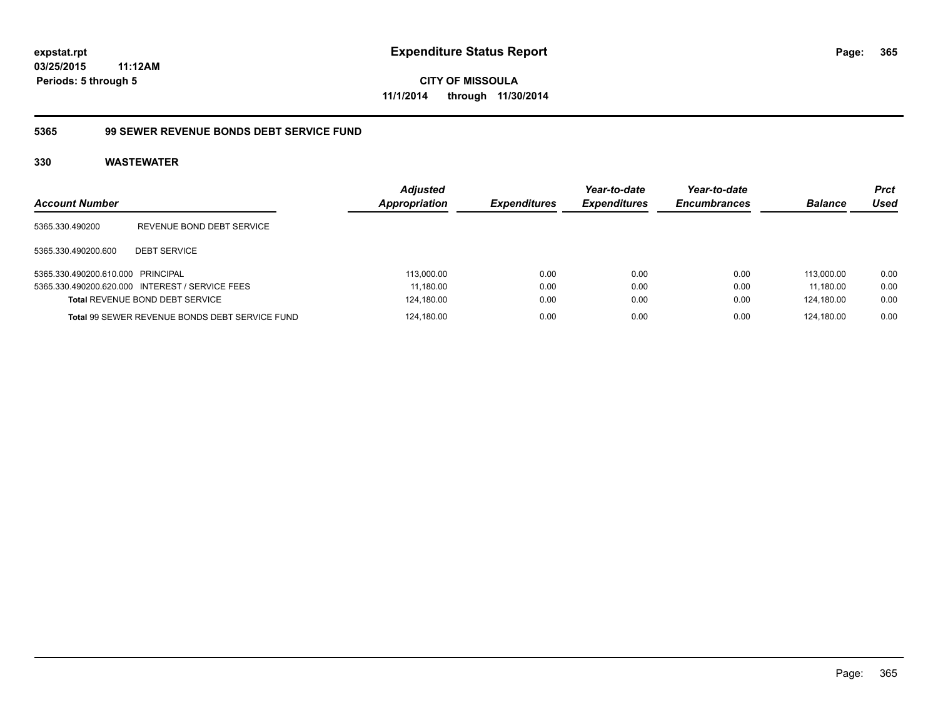**CITY OF MISSOULA 11/1/2014 through 11/30/2014**

#### **5365 99 SEWER REVENUE BONDS DEBT SERVICE FUND**

| <b>Account Number</b>             |                                                 | <b>Adjusted</b><br><b>Appropriation</b> | <b>Expenditures</b> | Year-to-date<br><b>Expenditures</b> | Year-to-date<br><b>Encumbrances</b> | <b>Balance</b> | <b>Prct</b><br>Used |
|-----------------------------------|-------------------------------------------------|-----------------------------------------|---------------------|-------------------------------------|-------------------------------------|----------------|---------------------|
| 5365.330.490200                   | REVENUE BOND DEBT SERVICE                       |                                         |                     |                                     |                                     |                |                     |
| 5365.330.490200.600               | <b>DEBT SERVICE</b>                             |                                         |                     |                                     |                                     |                |                     |
| 5365.330.490200.610.000 PRINCIPAL |                                                 | 113.000.00                              | 0.00                | 0.00                                | 0.00                                | 113.000.00     | 0.00                |
|                                   | 5365.330.490200.620.000 INTEREST / SERVICE FEES | 11.180.00                               | 0.00                | 0.00                                | 0.00                                | 11.180.00      | 0.00                |
|                                   | <b>Total REVENUE BOND DEBT SERVICE</b>          | 124,180.00                              | 0.00                | 0.00                                | 0.00                                | 124.180.00     | 0.00                |
|                                   | Total 99 SEWER REVENUE BONDS DEBT SERVICE FUND  | 124,180.00                              | 0.00                | 0.00                                | 0.00                                | 124.180.00     | 0.00                |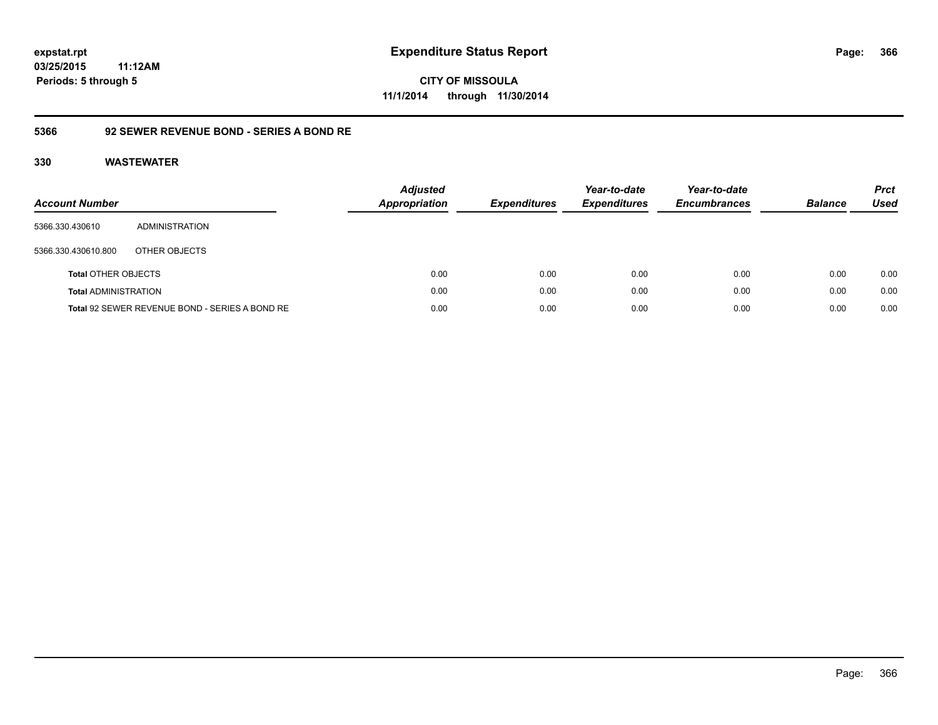**366**

**03/25/2015 11:12AM Periods: 5 through 5**

# **CITY OF MISSOULA 11/1/2014 through 11/30/2014**

#### **5366 92 SEWER REVENUE BOND - SERIES A BOND RE**

| Account Number              |                                                | <b>Adjusted</b><br><b>Appropriation</b> | <b>Expenditures</b> | Year-to-date<br><b>Expenditures</b> | Year-to-date<br><b>Encumbrances</b> | <b>Balance</b> | <b>Prct</b><br>Used |
|-----------------------------|------------------------------------------------|-----------------------------------------|---------------------|-------------------------------------|-------------------------------------|----------------|---------------------|
| 5366.330.430610             | ADMINISTRATION                                 |                                         |                     |                                     |                                     |                |                     |
| 5366.330.430610.800         | OTHER OBJECTS                                  |                                         |                     |                                     |                                     |                |                     |
| <b>Total OTHER OBJECTS</b>  |                                                | 0.00                                    | 0.00                | 0.00                                | 0.00                                | 0.00           | 0.00                |
| <b>Total ADMINISTRATION</b> |                                                | 0.00                                    | 0.00                | 0.00                                | 0.00                                | 0.00           | 0.00                |
|                             | Total 92 SEWER REVENUE BOND - SERIES A BOND RE | 0.00                                    | 0.00                | 0.00                                | 0.00                                | 0.00           | 0.00                |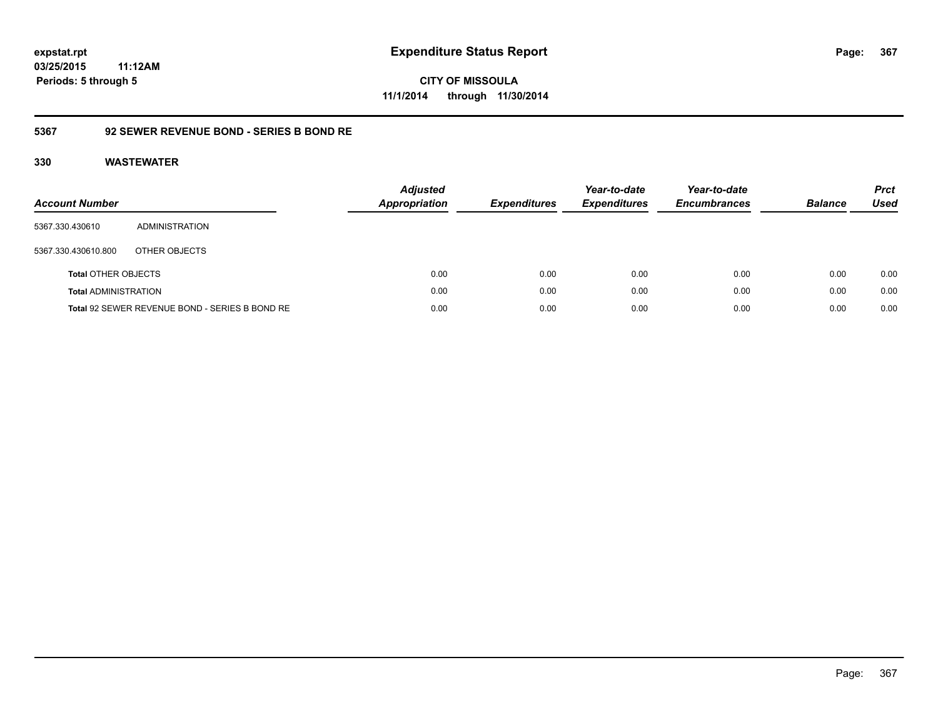# **03/25/2015**

**367**

**11:12AM Periods: 5 through 5**

**CITY OF MISSOULA 11/1/2014 through 11/30/2014**

#### **5367 92 SEWER REVENUE BOND - SERIES B BOND RE**

| Account Number              |                                                | <b>Adjusted</b><br><b>Appropriation</b> | <b>Expenditures</b> | Year-to-date<br><b>Expenditures</b> | Year-to-date<br><b>Encumbrances</b> | <b>Balance</b> | <b>Prct</b><br>Used |
|-----------------------------|------------------------------------------------|-----------------------------------------|---------------------|-------------------------------------|-------------------------------------|----------------|---------------------|
| 5367.330.430610             | ADMINISTRATION                                 |                                         |                     |                                     |                                     |                |                     |
| 5367.330.430610.800         | OTHER OBJECTS                                  |                                         |                     |                                     |                                     |                |                     |
| <b>Total OTHER OBJECTS</b>  |                                                | 0.00                                    | 0.00                | 0.00                                | 0.00                                | 0.00           | 0.00                |
| <b>Total ADMINISTRATION</b> |                                                | 0.00                                    | 0.00                | 0.00                                | 0.00                                | 0.00           | 0.00                |
|                             | Total 92 SEWER REVENUE BOND - SERIES B BOND RE | 0.00                                    | 0.00                | 0.00                                | 0.00                                | 0.00           | 0.00                |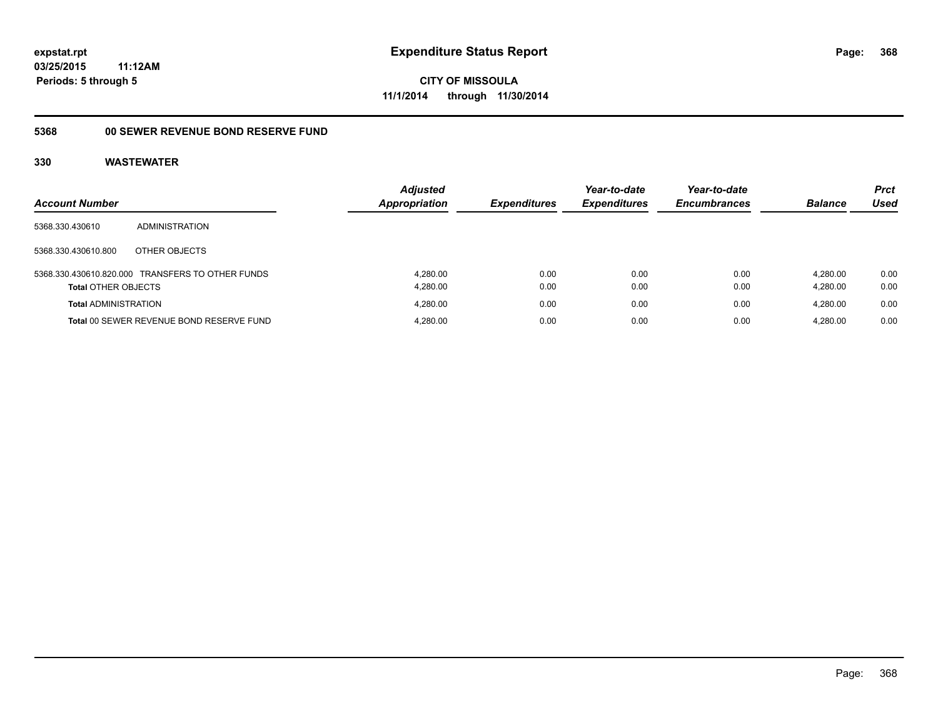**CITY OF MISSOULA 11/1/2014 through 11/30/2014**

# **5368 00 SEWER REVENUE BOND RESERVE FUND**

| <b>Account Number</b>       |                                                  | <b>Adjusted</b><br><b>Appropriation</b> | <b>Expenditures</b> | Year-to-date<br><b>Expenditures</b> | Year-to-date<br><b>Encumbrances</b> | <b>Balance</b>       | <b>Prct</b><br><b>Used</b> |
|-----------------------------|--------------------------------------------------|-----------------------------------------|---------------------|-------------------------------------|-------------------------------------|----------------------|----------------------------|
| 5368.330.430610             | ADMINISTRATION                                   |                                         |                     |                                     |                                     |                      |                            |
| 5368.330.430610.800         | OTHER OBJECTS                                    |                                         |                     |                                     |                                     |                      |                            |
| <b>Total OTHER OBJECTS</b>  | 5368.330.430610.820.000 TRANSFERS TO OTHER FUNDS | 4.280.00<br>4.280.00                    | 0.00<br>0.00        | 0.00<br>0.00                        | 0.00<br>0.00                        | 4.280.00<br>4.280.00 | 0.00<br>0.00               |
| <b>Total ADMINISTRATION</b> |                                                  | 4.280.00                                | 0.00                | 0.00                                | 0.00                                | 4.280.00             | 0.00                       |
|                             | Total 00 SEWER REVENUE BOND RESERVE FUND         | 4.280.00                                | 0.00                | 0.00                                | 0.00                                | 4.280.00             | 0.00                       |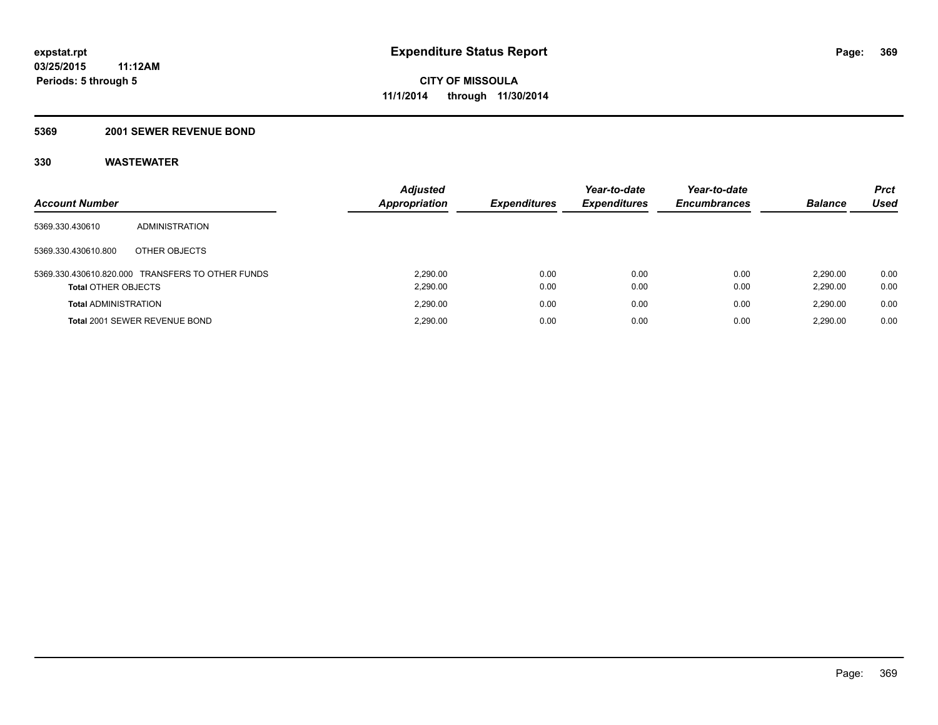#### **5369 2001 SEWER REVENUE BOND**

| <b>Account Number</b>       |                                                  | <b>Adjusted</b><br>Appropriation | <b>Expenditures</b> | Year-to-date<br><b>Expenditures</b> | Year-to-date<br><b>Encumbrances</b> | <b>Balance</b>       | <b>Prct</b><br>Used |
|-----------------------------|--------------------------------------------------|----------------------------------|---------------------|-------------------------------------|-------------------------------------|----------------------|---------------------|
| 5369.330.430610             | ADMINISTRATION                                   |                                  |                     |                                     |                                     |                      |                     |
| 5369.330.430610.800         | OTHER OBJECTS                                    |                                  |                     |                                     |                                     |                      |                     |
| <b>Total OTHER OBJECTS</b>  | 5369.330.430610.820.000 TRANSFERS TO OTHER FUNDS | 2.290.00<br>2,290.00             | 0.00<br>0.00        | 0.00<br>0.00                        | 0.00<br>0.00                        | 2.290.00<br>2,290.00 | 0.00<br>0.00        |
| <b>Total ADMINISTRATION</b> |                                                  | 2.290.00                         | 0.00                | 0.00                                | 0.00                                | 2.290.00             | 0.00                |
|                             | Total 2001 SEWER REVENUE BOND                    | 2.290.00                         | 0.00                | 0.00                                | 0.00                                | 2.290.00             | 0.00                |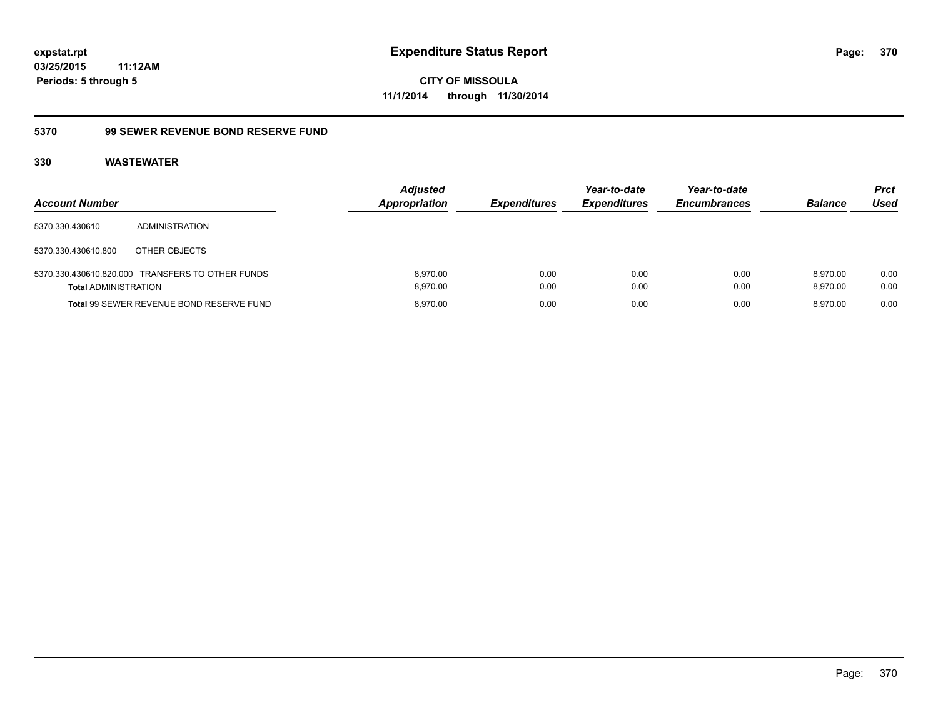**CITY OF MISSOULA 11/1/2014 through 11/30/2014**

# **5370 99 SEWER REVENUE BOND RESERVE FUND**

| <b>Account Number</b>       |                                                  | <b>Adjusted</b><br>Appropriation | <b>Expenditures</b> | Year-to-date<br><b>Expenditures</b> | Year-to-date<br><b>Encumbrances</b> | <b>Balance</b>       | <b>Prct</b><br>Used |
|-----------------------------|--------------------------------------------------|----------------------------------|---------------------|-------------------------------------|-------------------------------------|----------------------|---------------------|
| 5370.330.430610             | ADMINISTRATION                                   |                                  |                     |                                     |                                     |                      |                     |
| 5370.330.430610.800         | OTHER OBJECTS                                    |                                  |                     |                                     |                                     |                      |                     |
| <b>Total ADMINISTRATION</b> | 5370.330.430610.820.000 TRANSFERS TO OTHER FUNDS | 8.970.00<br>8.970.00             | 0.00<br>0.00        | 0.00<br>0.00                        | 0.00<br>0.00                        | 8.970.00<br>8.970.00 | 0.00<br>0.00        |
|                             | Total 99 SEWER REVENUE BOND RESERVE FUND         | 8.970.00                         | 0.00                | 0.00                                | 0.00                                | 8.970.00             | 0.00                |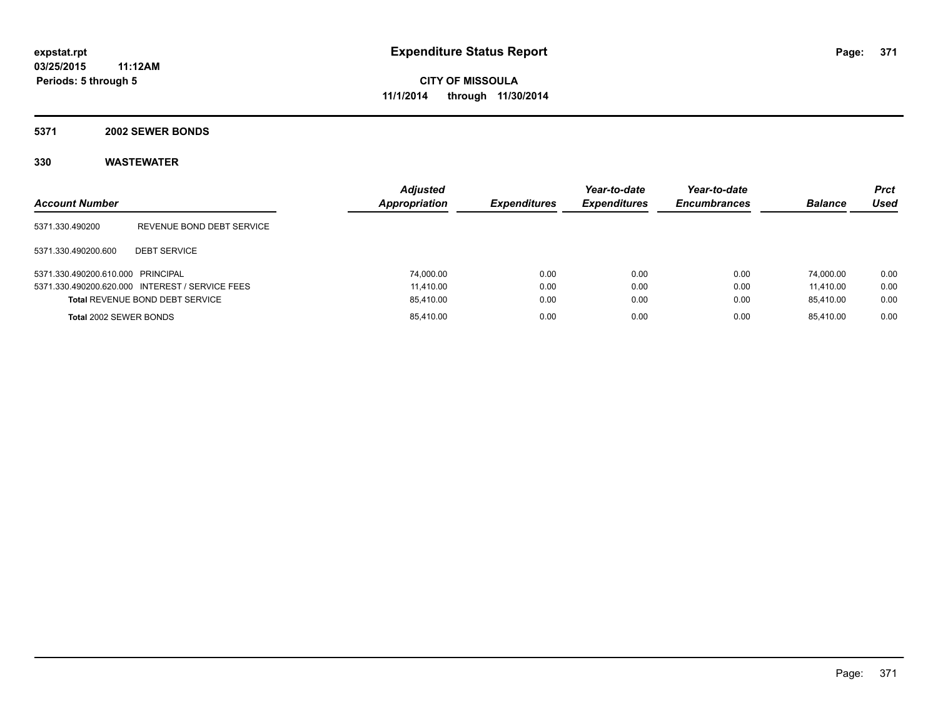#### **5371 2002 SEWER BONDS**

| <b>Account Number</b>             |                                                 | <b>Adjusted</b><br>Appropriation | <b>Expenditures</b> | Year-to-date<br><b>Expenditures</b> | Year-to-date<br><b>Encumbrances</b> | <b>Balance</b> | <b>Prct</b><br>Used |
|-----------------------------------|-------------------------------------------------|----------------------------------|---------------------|-------------------------------------|-------------------------------------|----------------|---------------------|
| 5371.330.490200                   | REVENUE BOND DEBT SERVICE                       |                                  |                     |                                     |                                     |                |                     |
| 5371.330.490200.600               | <b>DEBT SERVICE</b>                             |                                  |                     |                                     |                                     |                |                     |
| 5371.330.490200.610.000 PRINCIPAL |                                                 | 74.000.00                        | 0.00                | 0.00                                | 0.00                                | 74.000.00      | 0.00                |
|                                   | 5371.330.490200.620.000 INTEREST / SERVICE FEES | 11.410.00                        | 0.00                | 0.00                                | 0.00                                | 11.410.00      | 0.00                |
|                                   | <b>Total REVENUE BOND DEBT SERVICE</b>          | 85,410.00                        | 0.00                | 0.00                                | 0.00                                | 85.410.00      | 0.00                |
| Total 2002 SEWER BONDS            |                                                 | 85,410.00                        | 0.00                | 0.00                                | 0.00                                | 85.410.00      | 0.00                |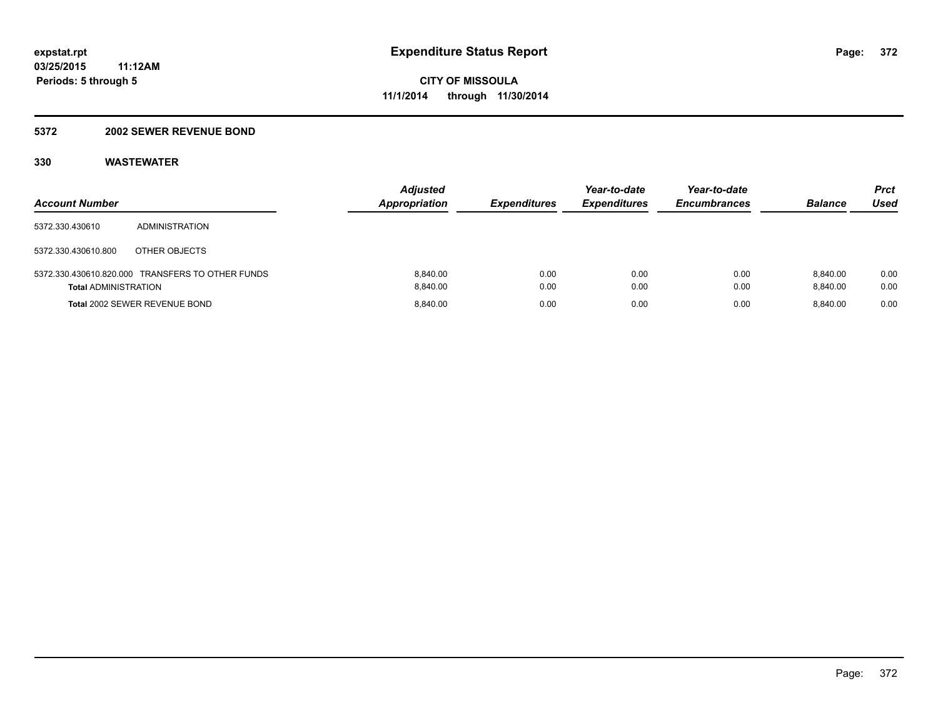#### **5372 2002 SEWER REVENUE BOND**

| <b>Account Number</b>       |                                                  | <b>Adjusted</b><br><b>Appropriation</b> | <b>Expenditures</b> | Year-to-date<br><b>Expenditures</b> | Year-to-date<br><b>Encumbrances</b> | <b>Balance</b>       | Prct<br>Used |
|-----------------------------|--------------------------------------------------|-----------------------------------------|---------------------|-------------------------------------|-------------------------------------|----------------------|--------------|
| 5372.330.430610             | ADMINISTRATION                                   |                                         |                     |                                     |                                     |                      |              |
| 5372.330.430610.800         | OTHER OBJECTS                                    |                                         |                     |                                     |                                     |                      |              |
| <b>Total ADMINISTRATION</b> | 5372.330.430610.820.000 TRANSFERS TO OTHER FUNDS | 8.840.00<br>8.840.00                    | 0.00<br>0.00        | 0.00<br>0.00                        | 0.00<br>0.00                        | 8.840.00<br>8.840.00 | 0.00<br>0.00 |
|                             | <b>Total 2002 SEWER REVENUE BOND</b>             | 8.840.00                                | 0.00                | 0.00                                | 0.00                                | 8.840.00             | 0.00         |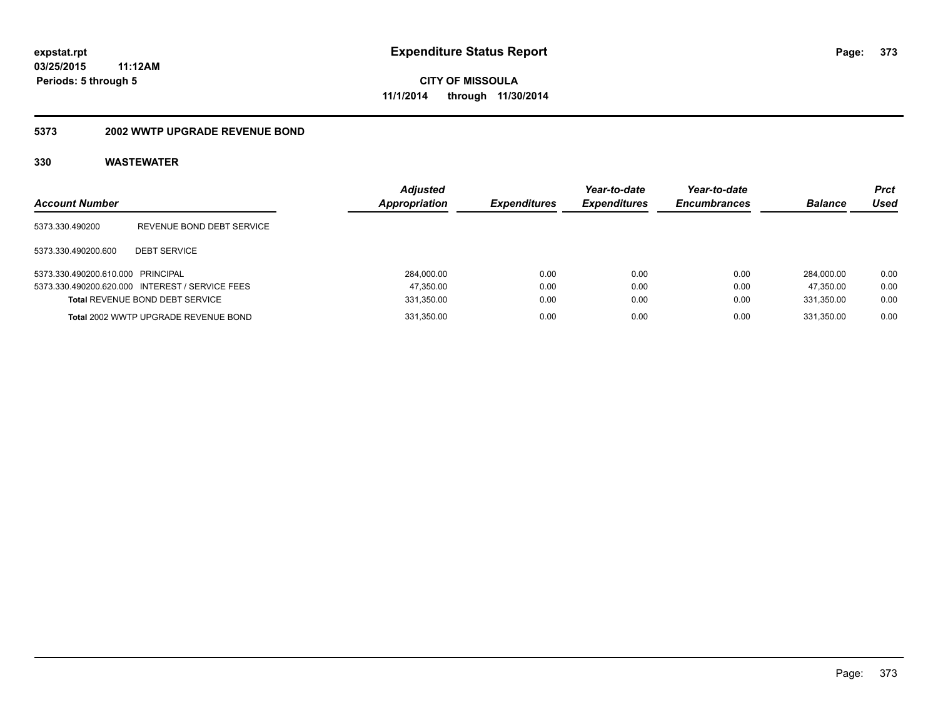#### **5373 2002 WWTP UPGRADE REVENUE BOND**

| <b>Account Number</b>             |                                                 | <b>Adjusted</b><br><b>Appropriation</b> | <b>Expenditures</b> | Year-to-date<br><b>Expenditures</b> | Year-to-date<br><b>Encumbrances</b> | <b>Balance</b> | <b>Prct</b><br>Used |
|-----------------------------------|-------------------------------------------------|-----------------------------------------|---------------------|-------------------------------------|-------------------------------------|----------------|---------------------|
| 5373.330.490200                   | REVENUE BOND DEBT SERVICE                       |                                         |                     |                                     |                                     |                |                     |
| 5373.330.490200.600               | <b>DEBT SERVICE</b>                             |                                         |                     |                                     |                                     |                |                     |
| 5373.330.490200.610.000 PRINCIPAL |                                                 | 284.000.00                              | 0.00                | 0.00                                | 0.00                                | 284.000.00     | 0.00                |
|                                   | 5373.330.490200.620.000 INTEREST / SERVICE FEES | 47,350.00                               | 0.00                | 0.00                                | 0.00                                | 47.350.00      | 0.00                |
|                                   | <b>Total REVENUE BOND DEBT SERVICE</b>          | 331,350.00                              | 0.00                | 0.00                                | 0.00                                | 331.350.00     | 0.00                |
|                                   | Total 2002 WWTP UPGRADE REVENUE BOND            | 331,350.00                              | 0.00                | 0.00                                | 0.00                                | 331.350.00     | 0.00                |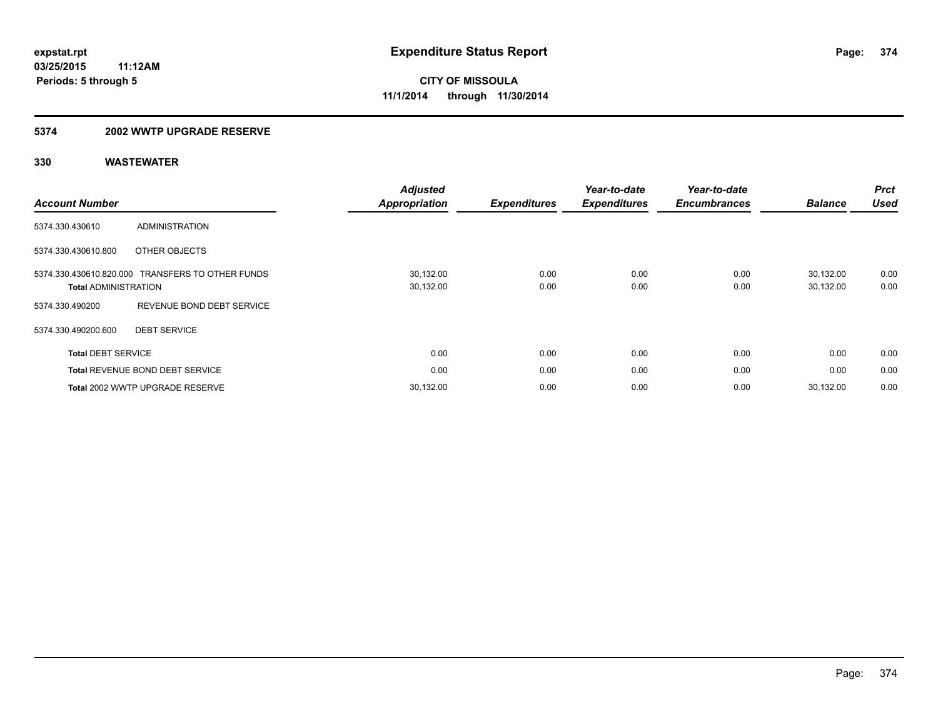#### **5374 2002 WWTP UPGRADE RESERVE**

| <b>Account Number</b>                                  |                                        | <b>Adjusted</b><br><b>Appropriation</b> | <b>Expenditures</b> | Year-to-date<br><b>Expenditures</b> | Year-to-date<br><b>Encumbrances</b> | <b>Balance</b>         | <b>Prct</b><br><b>Used</b> |
|--------------------------------------------------------|----------------------------------------|-----------------------------------------|---------------------|-------------------------------------|-------------------------------------|------------------------|----------------------------|
| 5374.330.430610                                        | <b>ADMINISTRATION</b>                  |                                         |                     |                                     |                                     |                        |                            |
| 5374.330.430610.800                                    | OTHER OBJECTS                          |                                         |                     |                                     |                                     |                        |                            |
| 5374.330.430610.820.000<br><b>Total ADMINISTRATION</b> | <b>TRANSFERS TO OTHER FUNDS</b>        | 30,132.00<br>30,132.00                  | 0.00<br>0.00        | 0.00<br>0.00                        | 0.00<br>0.00                        | 30.132.00<br>30,132.00 | 0.00<br>0.00               |
| 5374.330.490200                                        | REVENUE BOND DEBT SERVICE              |                                         |                     |                                     |                                     |                        |                            |
| 5374.330.490200.600                                    | <b>DEBT SERVICE</b>                    |                                         |                     |                                     |                                     |                        |                            |
| <b>Total DEBT SERVICE</b>                              |                                        | 0.00                                    | 0.00                | 0.00                                | 0.00                                | 0.00                   | 0.00                       |
|                                                        | <b>Total REVENUE BOND DEBT SERVICE</b> | 0.00                                    | 0.00                | 0.00                                | 0.00                                | 0.00                   | 0.00                       |
|                                                        | Total 2002 WWTP UPGRADE RESERVE        | 30,132.00                               | 0.00                | 0.00                                | 0.00                                | 30.132.00              | 0.00                       |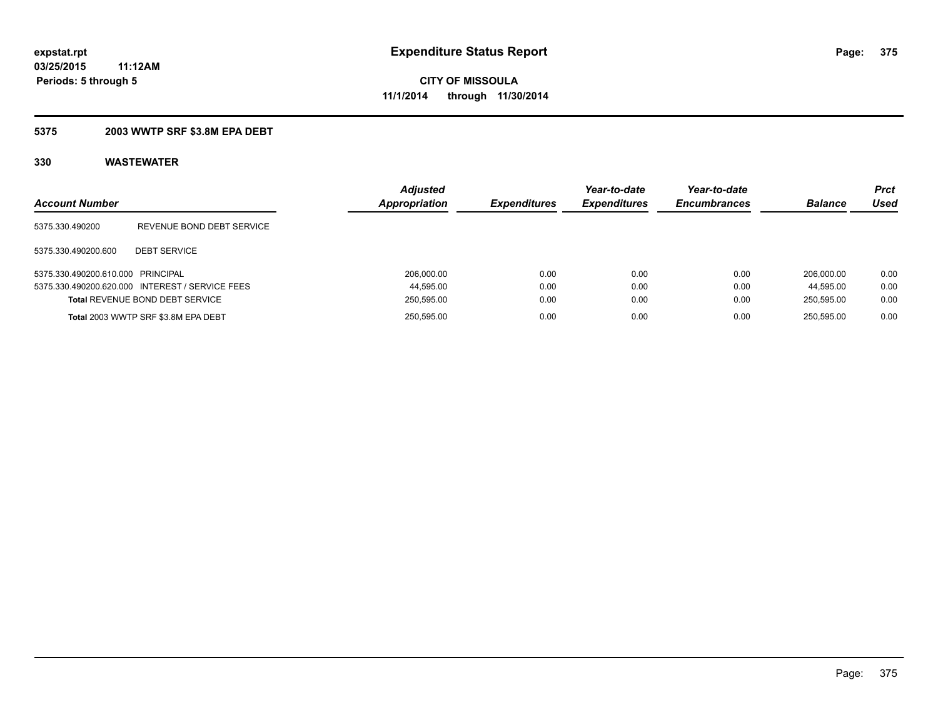#### **5375 2003 WWTP SRF \$3.8M EPA DEBT**

| <b>Account Number</b>             |                                                 | <b>Adjusted</b><br><b>Appropriation</b> | <b>Expenditures</b> | Year-to-date<br><b>Expenditures</b> | Year-to-date<br><b>Encumbrances</b> | <b>Balance</b> | Prct<br>Used |
|-----------------------------------|-------------------------------------------------|-----------------------------------------|---------------------|-------------------------------------|-------------------------------------|----------------|--------------|
| 5375.330.490200                   | REVENUE BOND DEBT SERVICE                       |                                         |                     |                                     |                                     |                |              |
| 5375.330.490200.600               | <b>DEBT SERVICE</b>                             |                                         |                     |                                     |                                     |                |              |
| 5375.330.490200.610.000 PRINCIPAL |                                                 | 206.000.00                              | 0.00                | 0.00                                | 0.00                                | 206.000.00     | 0.00         |
|                                   | 5375.330.490200.620.000 INTEREST / SERVICE FEES | 44,595.00                               | 0.00                | 0.00                                | 0.00                                | 44.595.00      | 0.00         |
|                                   | <b>Total REVENUE BOND DEBT SERVICE</b>          | 250,595.00                              | 0.00                | 0.00                                | 0.00                                | 250.595.00     | 0.00         |
|                                   | Total 2003 WWTP SRF \$3.8M EPA DEBT             | 250,595.00                              | 0.00                | 0.00                                | 0.00                                | 250.595.00     | 0.00         |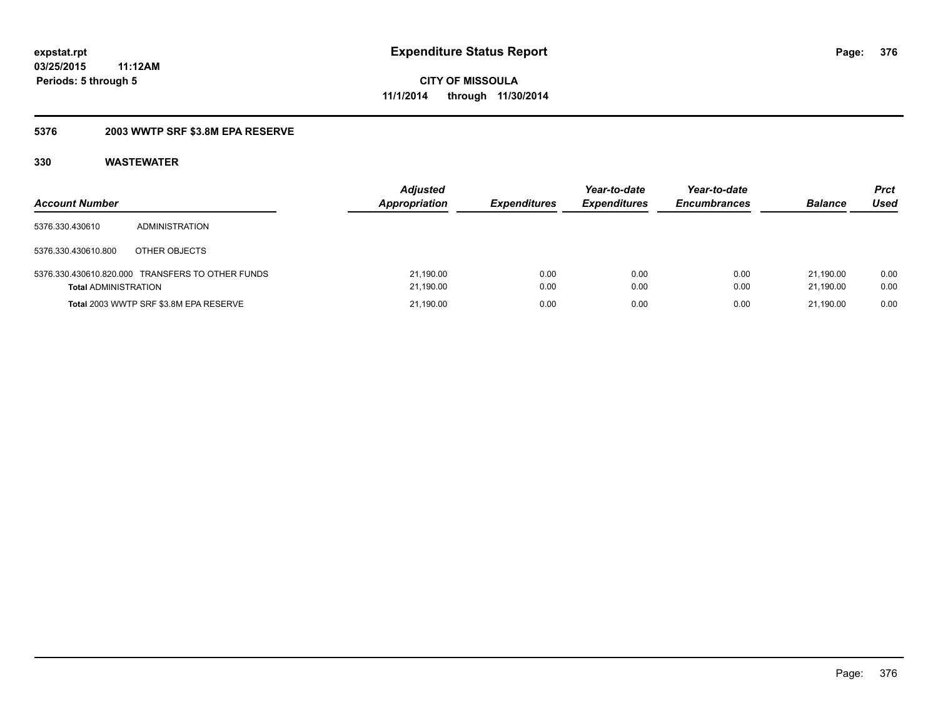### **5376 2003 WWTP SRF \$3.8M EPA RESERVE**

| <b>Account Number</b>       |                                                  | <b>Adjusted</b><br><b>Appropriation</b> | <b>Expenditures</b> | Year-to-date<br><b>Expenditures</b> | Year-to-date<br><b>Encumbrances</b> | <b>Balance</b>         | Prct<br>Used |
|-----------------------------|--------------------------------------------------|-----------------------------------------|---------------------|-------------------------------------|-------------------------------------|------------------------|--------------|
| 5376.330.430610             | ADMINISTRATION                                   |                                         |                     |                                     |                                     |                        |              |
| 5376.330.430610.800         | OTHER OBJECTS                                    |                                         |                     |                                     |                                     |                        |              |
| <b>Total ADMINISTRATION</b> | 5376.330.430610.820.000 TRANSFERS TO OTHER FUNDS | 21,190.00<br>21,190.00                  | 0.00<br>0.00        | 0.00<br>0.00                        | 0.00<br>0.00                        | 21.190.00<br>21.190.00 | 0.00<br>0.00 |
|                             | Total 2003 WWTP SRF \$3.8M EPA RESERVE           | 21,190.00                               | 0.00                | 0.00                                | 0.00                                | 21.190.00              | 0.00         |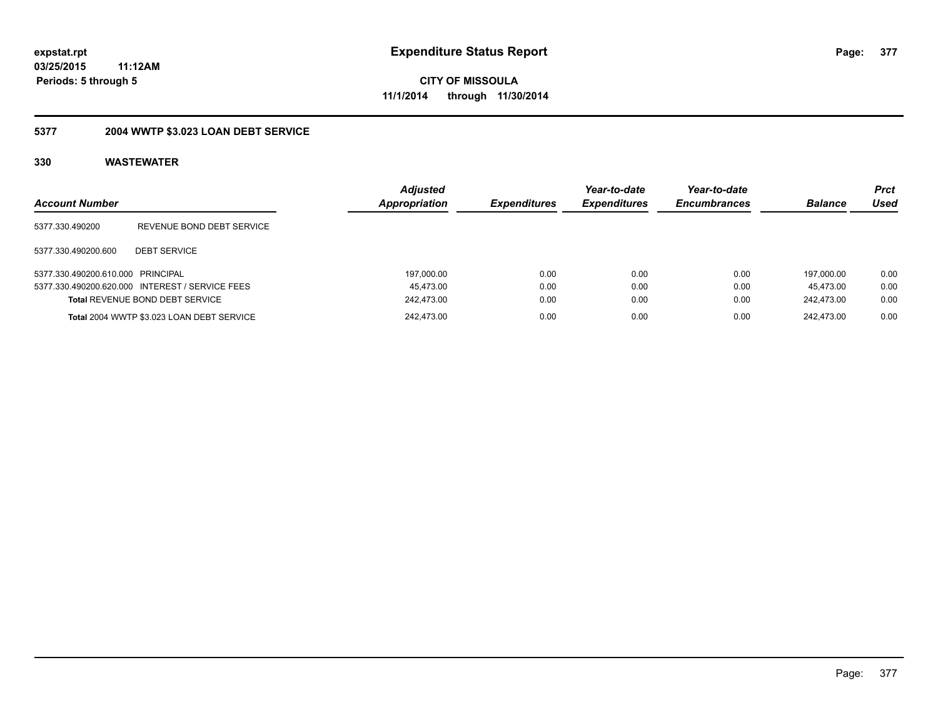**CITY OF MISSOULA 11/1/2014 through 11/30/2014**

# **5377 2004 WWTP \$3.023 LOAN DEBT SERVICE**

| <b>Account Number</b>             |                                                 | <b>Adjusted</b><br>Appropriation | <b>Expenditures</b> | Year-to-date<br><b>Expenditures</b> | Year-to-date<br><b>Encumbrances</b> | <b>Balance</b> | <b>Prct</b><br>Used |
|-----------------------------------|-------------------------------------------------|----------------------------------|---------------------|-------------------------------------|-------------------------------------|----------------|---------------------|
| 5377.330.490200                   | REVENUE BOND DEBT SERVICE                       |                                  |                     |                                     |                                     |                |                     |
| 5377.330.490200.600               | <b>DEBT SERVICE</b>                             |                                  |                     |                                     |                                     |                |                     |
| 5377.330.490200.610.000 PRINCIPAL |                                                 | 197.000.00                       | 0.00                | 0.00                                | 0.00                                | 197.000.00     | 0.00                |
|                                   | 5377.330.490200.620.000 INTEREST / SERVICE FEES | 45.473.00                        | 0.00                | 0.00                                | 0.00                                | 45.473.00      | 0.00                |
|                                   | <b>Total REVENUE BOND DEBT SERVICE</b>          | 242.473.00                       | 0.00                | 0.00                                | 0.00                                | 242.473.00     | 0.00                |
|                                   | Total 2004 WWTP \$3.023 LOAN DEBT SERVICE       | 242.473.00                       | 0.00                | 0.00                                | 0.00                                | 242.473.00     | 0.00                |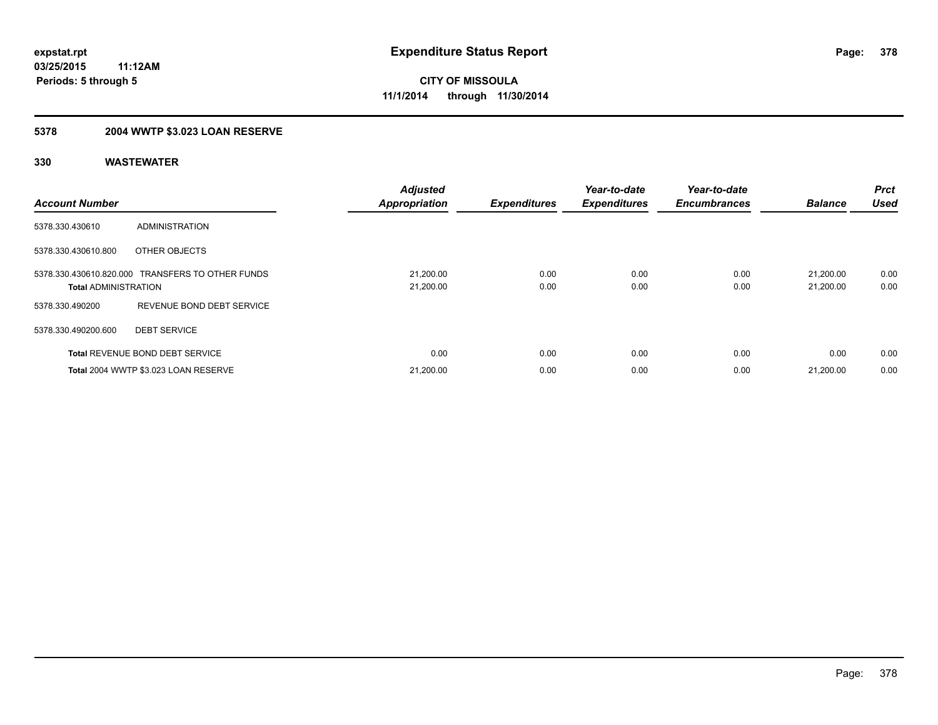# **5378 2004 WWTP \$3.023 LOAN RESERVE**

| <b>Account Number</b>       |                                                  | <b>Adjusted</b><br><b>Appropriation</b> | <b>Expenditures</b> | Year-to-date<br><b>Expenditures</b> | Year-to-date<br><b>Encumbrances</b> | <b>Balance</b>         | Prct<br><b>Used</b> |
|-----------------------------|--------------------------------------------------|-----------------------------------------|---------------------|-------------------------------------|-------------------------------------|------------------------|---------------------|
| 5378.330.430610             | ADMINISTRATION                                   |                                         |                     |                                     |                                     |                        |                     |
| 5378.330.430610.800         | OTHER OBJECTS                                    |                                         |                     |                                     |                                     |                        |                     |
| <b>Total ADMINISTRATION</b> | 5378.330.430610.820.000 TRANSFERS TO OTHER FUNDS | 21,200.00<br>21,200.00                  | 0.00<br>0.00        | 0.00<br>0.00                        | 0.00<br>0.00                        | 21.200.00<br>21,200.00 | 0.00<br>0.00        |
| 5378.330.490200             | REVENUE BOND DEBT SERVICE                        |                                         |                     |                                     |                                     |                        |                     |
| 5378.330.490200.600         | <b>DEBT SERVICE</b>                              |                                         |                     |                                     |                                     |                        |                     |
|                             | <b>Total REVENUE BOND DEBT SERVICE</b>           | 0.00                                    | 0.00                | 0.00                                | 0.00                                | 0.00                   | 0.00                |
|                             | Total 2004 WWTP \$3.023 LOAN RESERVE             | 21,200.00                               | 0.00                | 0.00                                | 0.00                                | 21,200.00              | 0.00                |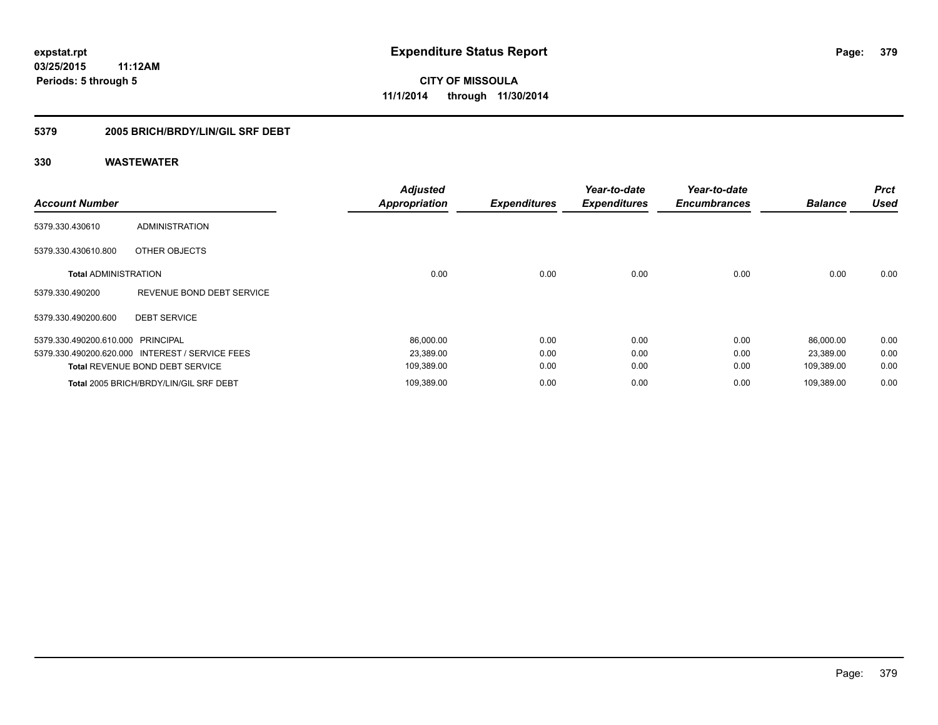#### **5379 2005 BRICH/BRDY/LIN/GIL SRF DEBT**

| <b>Account Number</b>             |                                                 | <b>Adjusted</b><br><b>Appropriation</b> | <b>Expenditures</b> | Year-to-date<br><b>Expenditures</b> | Year-to-date<br><b>Encumbrances</b> | <b>Balance</b> | <b>Prct</b><br><b>Used</b> |
|-----------------------------------|-------------------------------------------------|-----------------------------------------|---------------------|-------------------------------------|-------------------------------------|----------------|----------------------------|
| 5379.330.430610                   | <b>ADMINISTRATION</b>                           |                                         |                     |                                     |                                     |                |                            |
| 5379.330.430610.800               | OTHER OBJECTS                                   |                                         |                     |                                     |                                     |                |                            |
| <b>Total ADMINISTRATION</b>       |                                                 | 0.00                                    | 0.00                | 0.00                                | 0.00                                | 0.00           | 0.00                       |
| 5379.330.490200                   | REVENUE BOND DEBT SERVICE                       |                                         |                     |                                     |                                     |                |                            |
| 5379.330.490200.600               | <b>DEBT SERVICE</b>                             |                                         |                     |                                     |                                     |                |                            |
| 5379.330.490200.610.000 PRINCIPAL |                                                 | 86,000.00                               | 0.00                | 0.00                                | 0.00                                | 86,000.00      | 0.00                       |
|                                   | 5379.330.490200.620.000 INTEREST / SERVICE FEES | 23,389.00                               | 0.00                | 0.00                                | 0.00                                | 23,389.00      | 0.00                       |
|                                   | <b>Total REVENUE BOND DEBT SERVICE</b>          | 109,389.00                              | 0.00                | 0.00                                | 0.00                                | 109,389.00     | 0.00                       |
|                                   | Total 2005 BRICH/BRDY/LIN/GIL SRF DEBT          | 109,389.00                              | 0.00                | 0.00                                | 0.00                                | 109.389.00     | 0.00                       |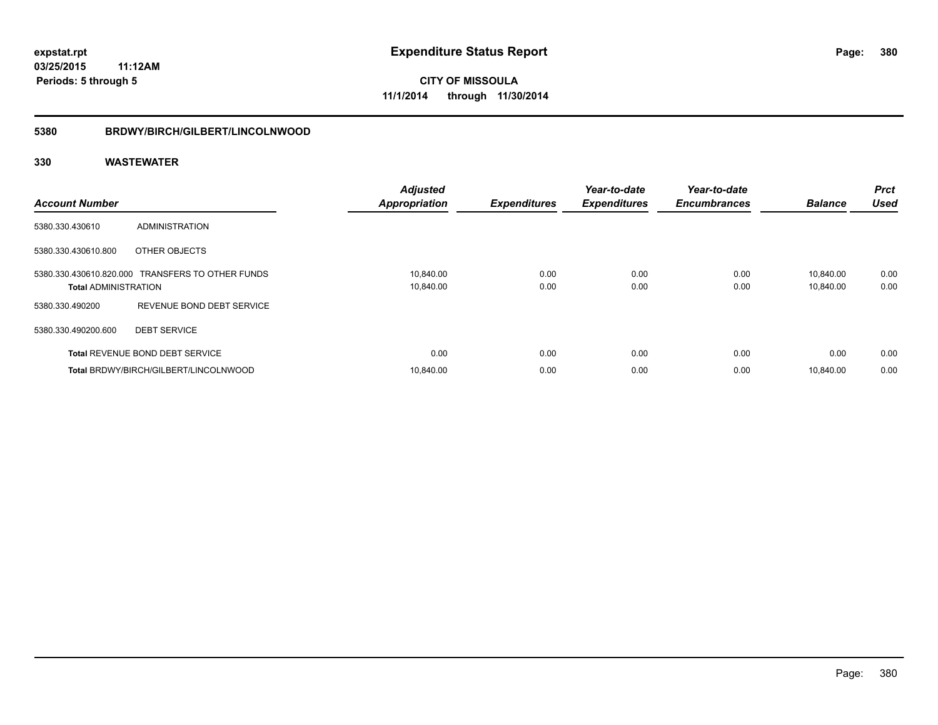#### **5380 BRDWY/BIRCH/GILBERT/LINCOLNWOOD**

| <b>Account Number</b>       |                                                  | <b>Adjusted</b><br><b>Appropriation</b> | <b>Expenditures</b> | Year-to-date<br><b>Expenditures</b> | Year-to-date<br><b>Encumbrances</b> | <b>Balance</b>         | <b>Prct</b><br><b>Used</b> |
|-----------------------------|--------------------------------------------------|-----------------------------------------|---------------------|-------------------------------------|-------------------------------------|------------------------|----------------------------|
| 5380.330.430610             | ADMINISTRATION                                   |                                         |                     |                                     |                                     |                        |                            |
| 5380.330.430610.800         | OTHER OBJECTS                                    |                                         |                     |                                     |                                     |                        |                            |
| <b>Total ADMINISTRATION</b> | 5380.330.430610.820.000 TRANSFERS TO OTHER FUNDS | 10,840.00<br>10,840.00                  | 0.00<br>0.00        | 0.00<br>0.00                        | 0.00<br>0.00                        | 10.840.00<br>10,840.00 | 0.00<br>0.00               |
| 5380.330.490200             | REVENUE BOND DEBT SERVICE                        |                                         |                     |                                     |                                     |                        |                            |
| 5380.330.490200.600         | <b>DEBT SERVICE</b>                              |                                         |                     |                                     |                                     |                        |                            |
|                             | <b>Total REVENUE BOND DEBT SERVICE</b>           | 0.00                                    | 0.00                | 0.00                                | 0.00                                | 0.00                   | 0.00                       |
|                             | Total BRDWY/BIRCH/GILBERT/LINCOLNWOOD            | 10.840.00                               | 0.00                | 0.00                                | 0.00                                | 10.840.00              | 0.00                       |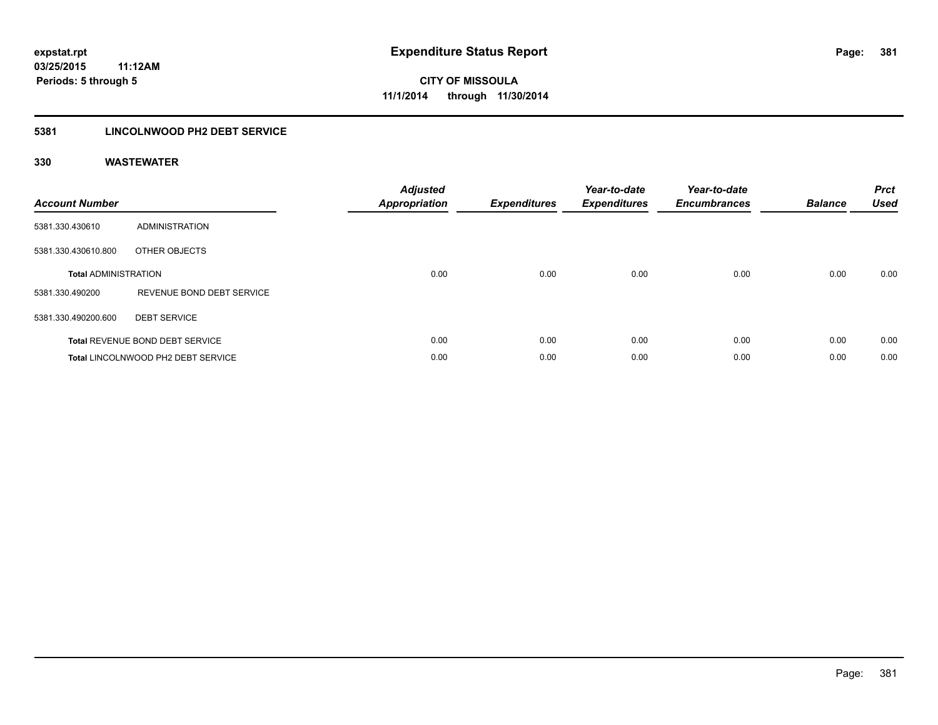### **5381 LINCOLNWOOD PH2 DEBT SERVICE**

| <b>Account Number</b>       |                                        | <b>Adjusted</b><br>Appropriation | <b>Expenditures</b> | Year-to-date<br><b>Expenditures</b> | Year-to-date<br><b>Encumbrances</b> | <b>Balance</b> | <b>Prct</b><br><b>Used</b> |
|-----------------------------|----------------------------------------|----------------------------------|---------------------|-------------------------------------|-------------------------------------|----------------|----------------------------|
| 5381.330.430610             | ADMINISTRATION                         |                                  |                     |                                     |                                     |                |                            |
| 5381.330.430610.800         | OTHER OBJECTS                          |                                  |                     |                                     |                                     |                |                            |
| <b>Total ADMINISTRATION</b> |                                        | 0.00                             | 0.00                | 0.00                                | 0.00                                | 0.00           | 0.00                       |
| 5381.330.490200             | REVENUE BOND DEBT SERVICE              |                                  |                     |                                     |                                     |                |                            |
| 5381.330.490200.600         | <b>DEBT SERVICE</b>                    |                                  |                     |                                     |                                     |                |                            |
|                             | <b>Total REVENUE BOND DEBT SERVICE</b> | 0.00                             | 0.00                | 0.00                                | 0.00                                | 0.00           | 0.00                       |
|                             | Total LINCOLNWOOD PH2 DEBT SERVICE     | 0.00                             | 0.00                | 0.00                                | 0.00                                | 0.00           | 0.00                       |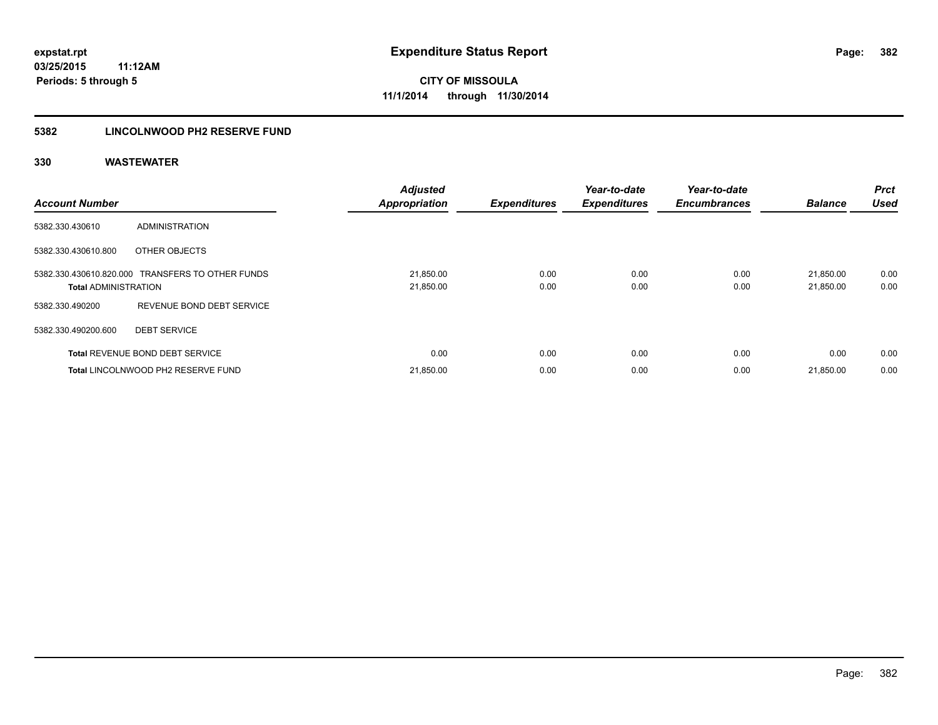### **5382 LINCOLNWOOD PH2 RESERVE FUND**

| <b>Account Number</b>       |                                                  | <b>Adjusted</b><br><b>Appropriation</b> | <b>Expenditures</b> | Year-to-date<br><b>Expenditures</b> | Year-to-date<br><b>Encumbrances</b> | <b>Balance</b>         | Prct<br><b>Used</b> |
|-----------------------------|--------------------------------------------------|-----------------------------------------|---------------------|-------------------------------------|-------------------------------------|------------------------|---------------------|
| 5382.330.430610             | ADMINISTRATION                                   |                                         |                     |                                     |                                     |                        |                     |
| 5382.330.430610.800         | OTHER OBJECTS                                    |                                         |                     |                                     |                                     |                        |                     |
| <b>Total ADMINISTRATION</b> | 5382.330.430610.820.000 TRANSFERS TO OTHER FUNDS | 21,850.00<br>21,850.00                  | 0.00<br>0.00        | 0.00<br>0.00                        | 0.00<br>0.00                        | 21,850.00<br>21,850.00 | 0.00<br>0.00        |
| 5382.330.490200             | REVENUE BOND DEBT SERVICE                        |                                         |                     |                                     |                                     |                        |                     |
| 5382.330.490200.600         | <b>DEBT SERVICE</b>                              |                                         |                     |                                     |                                     |                        |                     |
|                             | <b>Total REVENUE BOND DEBT SERVICE</b>           | 0.00                                    | 0.00                | 0.00                                | 0.00                                | 0.00                   | 0.00                |
|                             | Total LINCOLNWOOD PH2 RESERVE FUND               | 21,850.00                               | 0.00                | 0.00                                | 0.00                                | 21,850.00              | 0.00                |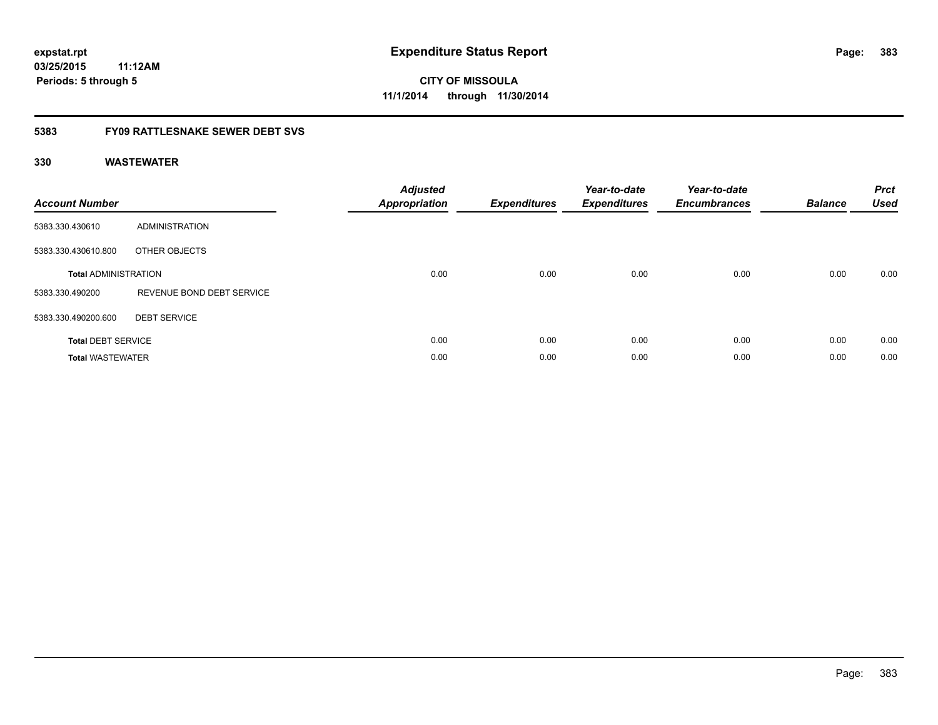# **CITY OF MISSOULA 11/1/2014 through 11/30/2014**

### **5383 FY09 RATTLESNAKE SEWER DEBT SVS**

| <b>Account Number</b>       |                           | <b>Adjusted</b><br><b>Appropriation</b> | <b>Expenditures</b> | Year-to-date<br><b>Expenditures</b> | Year-to-date<br><b>Encumbrances</b> | <b>Balance</b> | <b>Prct</b><br><b>Used</b> |
|-----------------------------|---------------------------|-----------------------------------------|---------------------|-------------------------------------|-------------------------------------|----------------|----------------------------|
| 5383.330.430610             | ADMINISTRATION            |                                         |                     |                                     |                                     |                |                            |
| 5383.330.430610.800         | OTHER OBJECTS             |                                         |                     |                                     |                                     |                |                            |
| <b>Total ADMINISTRATION</b> |                           | 0.00                                    | 0.00                | 0.00                                | 0.00                                | 0.00           | 0.00                       |
| 5383.330.490200             | REVENUE BOND DEBT SERVICE |                                         |                     |                                     |                                     |                |                            |
| 5383.330.490200.600         | <b>DEBT SERVICE</b>       |                                         |                     |                                     |                                     |                |                            |
| <b>Total DEBT SERVICE</b>   |                           | 0.00                                    | 0.00                | 0.00                                | 0.00                                | 0.00           | 0.00                       |
| <b>Total WASTEWATER</b>     |                           | 0.00                                    | 0.00                | 0.00                                | 0.00                                | 0.00           | 0.00                       |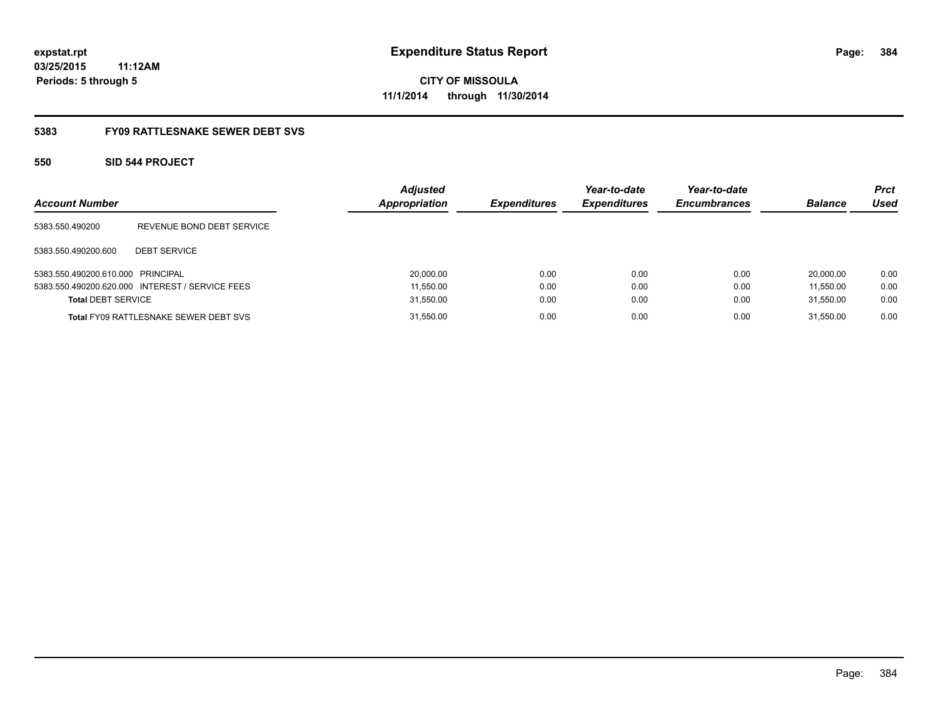**384**

**03/25/2015 11:12AM Periods: 5 through 5**

**CITY OF MISSOULA 11/1/2014 through 11/30/2014**

#### **5383 FY09 RATTLESNAKE SEWER DEBT SVS**

#### **550 SID 544 PROJECT**

| <b>Account Number</b>             |                                                 | <b>Adjusted</b><br><b>Appropriation</b> | <b>Expenditures</b> | Year-to-date<br><b>Expenditures</b> | Year-to-date<br><b>Encumbrances</b> | <b>Balance</b> | <b>Prct</b><br>Used |
|-----------------------------------|-------------------------------------------------|-----------------------------------------|---------------------|-------------------------------------|-------------------------------------|----------------|---------------------|
| 5383.550.490200                   | REVENUE BOND DEBT SERVICE                       |                                         |                     |                                     |                                     |                |                     |
| 5383.550.490200.600               | <b>DEBT SERVICE</b>                             |                                         |                     |                                     |                                     |                |                     |
| 5383.550.490200.610.000 PRINCIPAL |                                                 | 20,000.00                               | 0.00                | 0.00                                | 0.00                                | 20.000.00      | 0.00                |
|                                   | 5383.550.490200.620.000 INTEREST / SERVICE FEES | 11,550.00                               | 0.00                | 0.00                                | 0.00                                | 11.550.00      | 0.00                |
| <b>Total DEBT SERVICE</b>         |                                                 | 31,550.00                               | 0.00                | 0.00                                | 0.00                                | 31.550.00      | 0.00                |
|                                   | <b>Total FY09 RATTLESNAKE SEWER DEBT SVS</b>    | 31,550.00                               | 0.00                | 0.00                                | 0.00                                | 31.550.00      | 0.00                |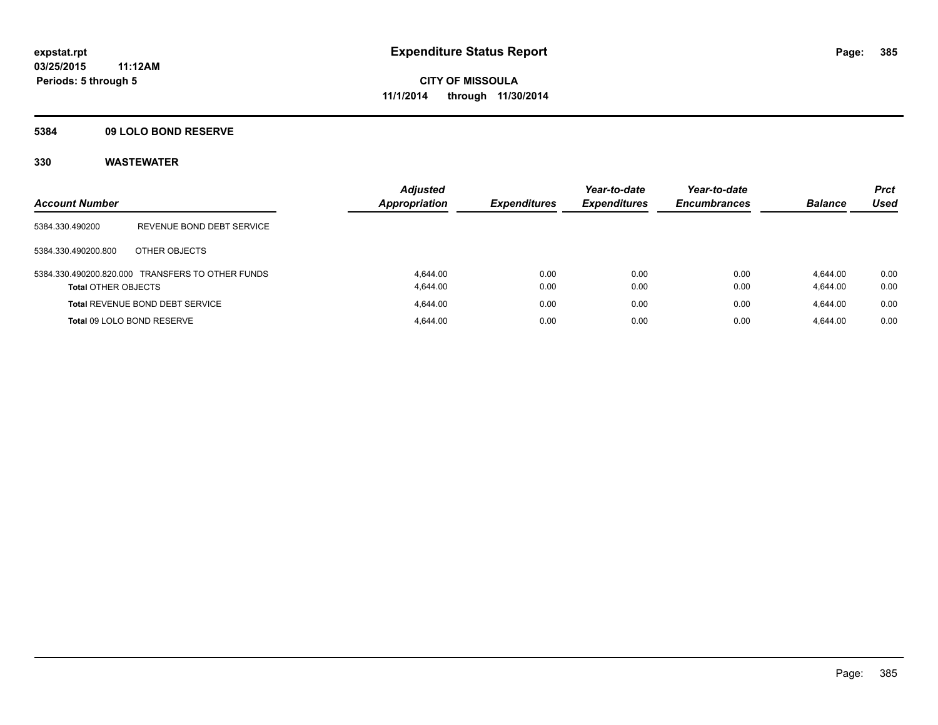#### **5384 09 LOLO BOND RESERVE**

| <b>Account Number</b>      |                                                  | <b>Adjusted</b><br><b>Appropriation</b> | <b>Expenditures</b> | Year-to-date<br><b>Expenditures</b> | Year-to-date<br><b>Encumbrances</b> | <b>Balance</b>       | <b>Prct</b><br><b>Used</b> |
|----------------------------|--------------------------------------------------|-----------------------------------------|---------------------|-------------------------------------|-------------------------------------|----------------------|----------------------------|
| 5384.330.490200            | REVENUE BOND DEBT SERVICE                        |                                         |                     |                                     |                                     |                      |                            |
| 5384.330.490200.800        | OTHER OBJECTS                                    |                                         |                     |                                     |                                     |                      |                            |
| <b>Total OTHER OBJECTS</b> | 5384.330.490200.820.000 TRANSFERS TO OTHER FUNDS | 4.644.00<br>4.644.00                    | 0.00<br>0.00        | 0.00<br>0.00                        | 0.00<br>0.00                        | 4.644.00<br>4,644.00 | 0.00<br>0.00               |
|                            | <b>Total REVENUE BOND DEBT SERVICE</b>           | 4.644.00                                | 0.00                | 0.00                                | 0.00                                | 4.644.00             | 0.00                       |
|                            | Total 09 LOLO BOND RESERVE                       | 4.644.00                                | 0.00                | 0.00                                | 0.00                                | 4.644.00             | 0.00                       |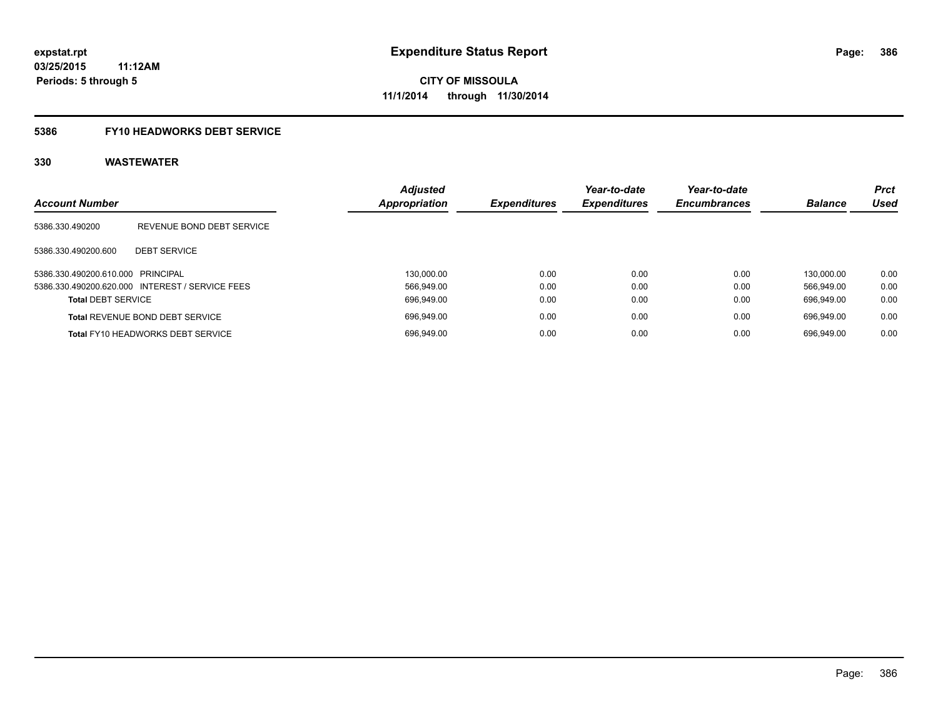# **5386 FY10 HEADWORKS DEBT SERVICE**

| <b>Account Number</b>             |                                                 | <b>Adjusted</b><br><b>Appropriation</b> | <b>Expenditures</b> | Year-to-date<br><b>Expenditures</b> | Year-to-date<br><b>Encumbrances</b> | <b>Balance</b> | <b>Prct</b><br><b>Used</b> |
|-----------------------------------|-------------------------------------------------|-----------------------------------------|---------------------|-------------------------------------|-------------------------------------|----------------|----------------------------|
| 5386.330.490200                   | REVENUE BOND DEBT SERVICE                       |                                         |                     |                                     |                                     |                |                            |
| 5386.330.490200.600               | <b>DEBT SERVICE</b>                             |                                         |                     |                                     |                                     |                |                            |
| 5386.330.490200.610.000 PRINCIPAL |                                                 | 130.000.00                              | 0.00                | 0.00                                | 0.00                                | 130.000.00     | 0.00                       |
|                                   | 5386.330.490200.620.000 INTEREST / SERVICE FEES | 566.949.00                              | 0.00                | 0.00                                | 0.00                                | 566.949.00     | 0.00                       |
| <b>Total DEBT SERVICE</b>         |                                                 | 696.949.00                              | 0.00                | 0.00                                | 0.00                                | 696.949.00     | 0.00                       |
|                                   | <b>Total REVENUE BOND DEBT SERVICE</b>          | 696.949.00                              | 0.00                | 0.00                                | 0.00                                | 696.949.00     | 0.00                       |
|                                   | <b>Total FY10 HEADWORKS DEBT SERVICE</b>        | 696.949.00                              | 0.00                | 0.00                                | 0.00                                | 696.949.00     | 0.00                       |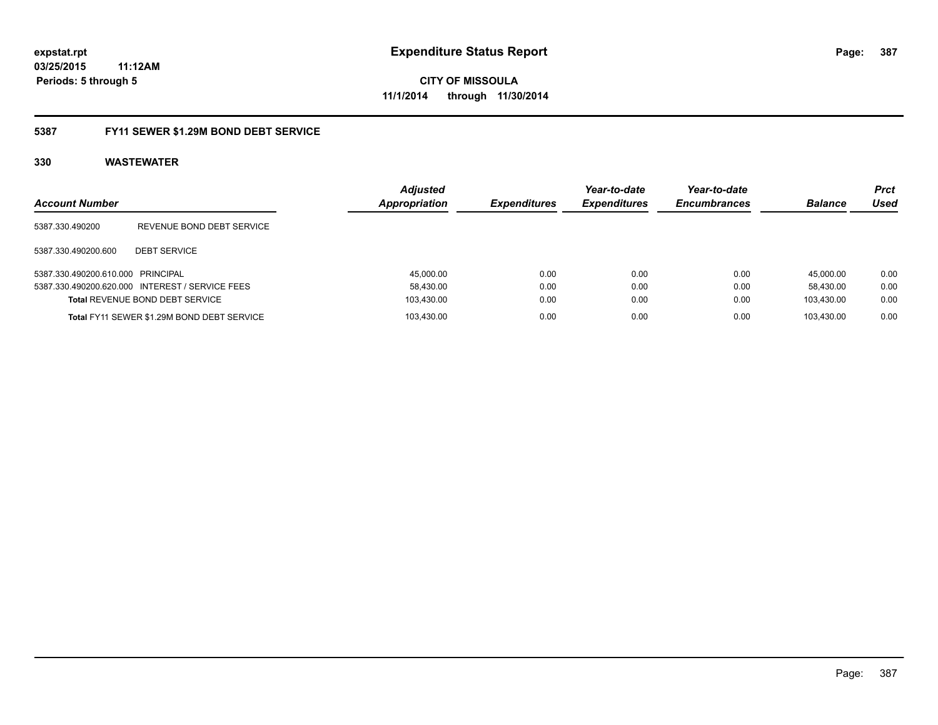**CITY OF MISSOULA 11/1/2014 through 11/30/2014**

#### **5387 FY11 SEWER \$1.29M BOND DEBT SERVICE**

| <b>Account Number</b>             |                                                 | <b>Adjusted</b><br>Appropriation | <b>Expenditures</b> | Year-to-date<br><b>Expenditures</b> | Year-to-date<br><b>Encumbrances</b> | <b>Balance</b> | <b>Prct</b><br>Used |
|-----------------------------------|-------------------------------------------------|----------------------------------|---------------------|-------------------------------------|-------------------------------------|----------------|---------------------|
| 5387.330.490200                   | REVENUE BOND DEBT SERVICE                       |                                  |                     |                                     |                                     |                |                     |
| 5387.330.490200.600               | <b>DEBT SERVICE</b>                             |                                  |                     |                                     |                                     |                |                     |
| 5387.330.490200.610.000 PRINCIPAL |                                                 | 45.000.00                        | 0.00                | 0.00                                | 0.00                                | 45.000.00      | 0.00                |
|                                   | 5387.330.490200.620.000 INTEREST / SERVICE FEES | 58,430.00                        | 0.00                | 0.00                                | 0.00                                | 58.430.00      | 0.00                |
|                                   | <b>Total REVENUE BOND DEBT SERVICE</b>          | 103.430.00                       | 0.00                | 0.00                                | 0.00                                | 103.430.00     | 0.00                |
|                                   | Total FY11 SEWER \$1.29M BOND DEBT SERVICE      | 103.430.00                       | 0.00                | 0.00                                | 0.00                                | 103.430.00     | 0.00                |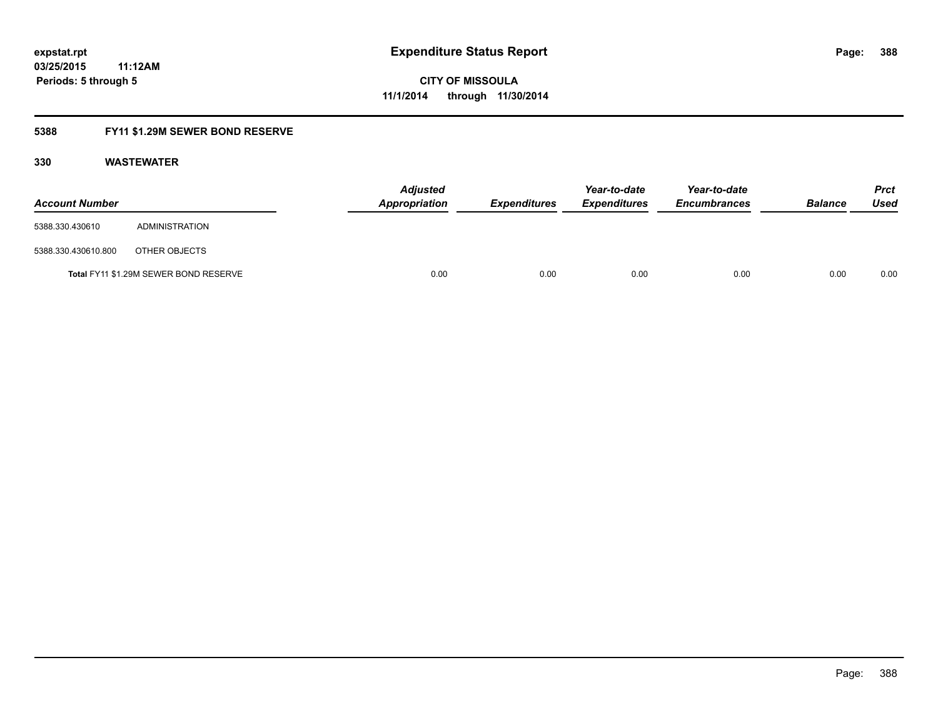### **5388 FY11 \$1.29M SEWER BOND RESERVE**

| <b>Account Number</b> |                                       | <b>Adjusted</b><br>Appropriation | <b>Expenditures</b> | Year-to-date<br><b>Expenditures</b> | Year-to-date<br><b>Encumbrances</b> | <b>Balance</b> | Prct<br><b>Used</b> |
|-----------------------|---------------------------------------|----------------------------------|---------------------|-------------------------------------|-------------------------------------|----------------|---------------------|
| 5388.330.430610       | ADMINISTRATION                        |                                  |                     |                                     |                                     |                |                     |
| 5388.330.430610.800   | OTHER OBJECTS                         |                                  |                     |                                     |                                     |                |                     |
|                       | Total FY11 \$1.29M SEWER BOND RESERVE | 0.00                             | 0.00                | 0.00                                | 0.00                                | 0.00           | 0.00                |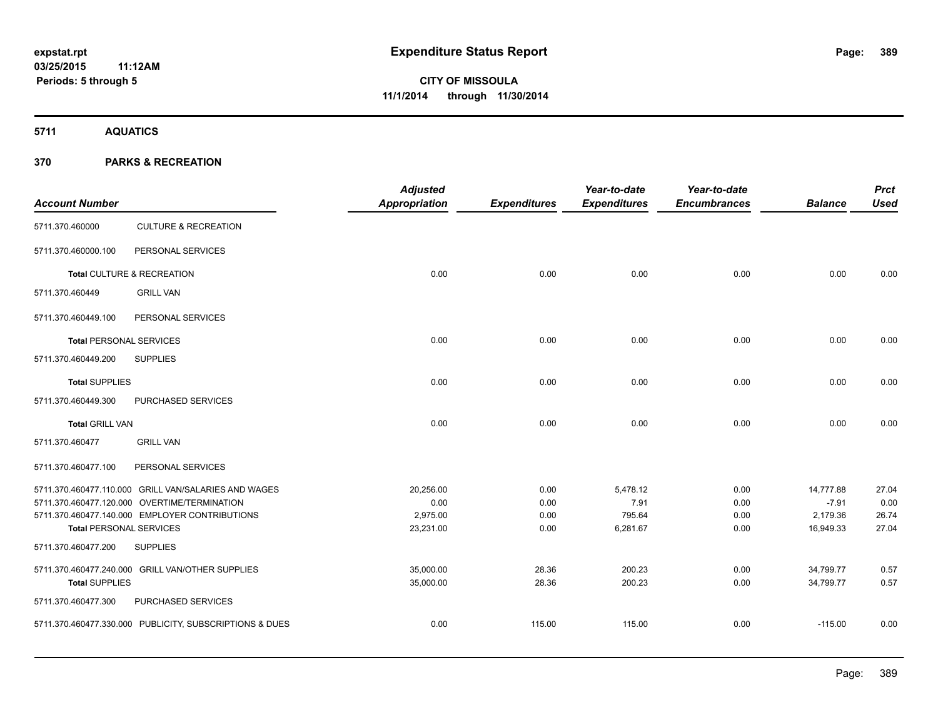**5711 AQUATICS**

| <b>Account Number</b>          |                                                         | <b>Adjusted</b><br>Appropriation | <b>Expenditures</b> | Year-to-date<br><b>Expenditures</b> | Year-to-date<br><b>Encumbrances</b> | <b>Balance</b> | <b>Prct</b><br><b>Used</b> |
|--------------------------------|---------------------------------------------------------|----------------------------------|---------------------|-------------------------------------|-------------------------------------|----------------|----------------------------|
| 5711.370.460000                | <b>CULTURE &amp; RECREATION</b>                         |                                  |                     |                                     |                                     |                |                            |
| 5711.370.460000.100            | PERSONAL SERVICES                                       |                                  |                     |                                     |                                     |                |                            |
|                                | Total CULTURE & RECREATION                              | 0.00                             | 0.00                | 0.00                                | 0.00                                | 0.00           | 0.00                       |
| 5711.370.460449                | <b>GRILL VAN</b>                                        |                                  |                     |                                     |                                     |                |                            |
| 5711.370.460449.100            | PERSONAL SERVICES                                       |                                  |                     |                                     |                                     |                |                            |
| <b>Total PERSONAL SERVICES</b> |                                                         | 0.00                             | 0.00                | 0.00                                | 0.00                                | 0.00           | 0.00                       |
| 5711.370.460449.200            | <b>SUPPLIES</b>                                         |                                  |                     |                                     |                                     |                |                            |
| <b>Total SUPPLIES</b>          |                                                         | 0.00                             | 0.00                | 0.00                                | 0.00                                | 0.00           | 0.00                       |
| 5711.370.460449.300            | PURCHASED SERVICES                                      |                                  |                     |                                     |                                     |                |                            |
| <b>Total GRILL VAN</b>         |                                                         | 0.00                             | 0.00                | 0.00                                | 0.00                                | 0.00           | 0.00                       |
| 5711.370.460477                | <b>GRILL VAN</b>                                        |                                  |                     |                                     |                                     |                |                            |
| 5711.370.460477.100            | PERSONAL SERVICES                                       |                                  |                     |                                     |                                     |                |                            |
|                                | 5711.370.460477.110.000 GRILL VAN/SALARIES AND WAGES    | 20,256.00                        | 0.00                | 5,478.12                            | 0.00                                | 14,777.88      | 27.04                      |
|                                | 5711.370.460477.120.000 OVERTIME/TERMINATION            | 0.00                             | 0.00                | 7.91                                | 0.00                                | $-7.91$        | 0.00                       |
|                                | 5711.370.460477.140.000 EMPLOYER CONTRIBUTIONS          | 2,975.00                         | 0.00                | 795.64                              | 0.00                                | 2,179.36       | 26.74                      |
| <b>Total PERSONAL SERVICES</b> |                                                         | 23,231.00                        | 0.00                | 6,281.67                            | 0.00                                | 16,949.33      | 27.04                      |
| 5711.370.460477.200            | <b>SUPPLIES</b>                                         |                                  |                     |                                     |                                     |                |                            |
|                                | 5711.370.460477.240.000 GRILL VAN/OTHER SUPPLIES        | 35,000.00                        | 28.36               | 200.23                              | 0.00                                | 34,799.77      | 0.57                       |
| <b>Total SUPPLIES</b>          |                                                         | 35,000.00                        | 28.36               | 200.23                              | 0.00                                | 34,799.77      | 0.57                       |
| 5711.370.460477.300            | PURCHASED SERVICES                                      |                                  |                     |                                     |                                     |                |                            |
|                                | 5711.370.460477.330.000 PUBLICITY, SUBSCRIPTIONS & DUES | 0.00                             | 115.00              | 115.00                              | 0.00                                | $-115.00$      | 0.00                       |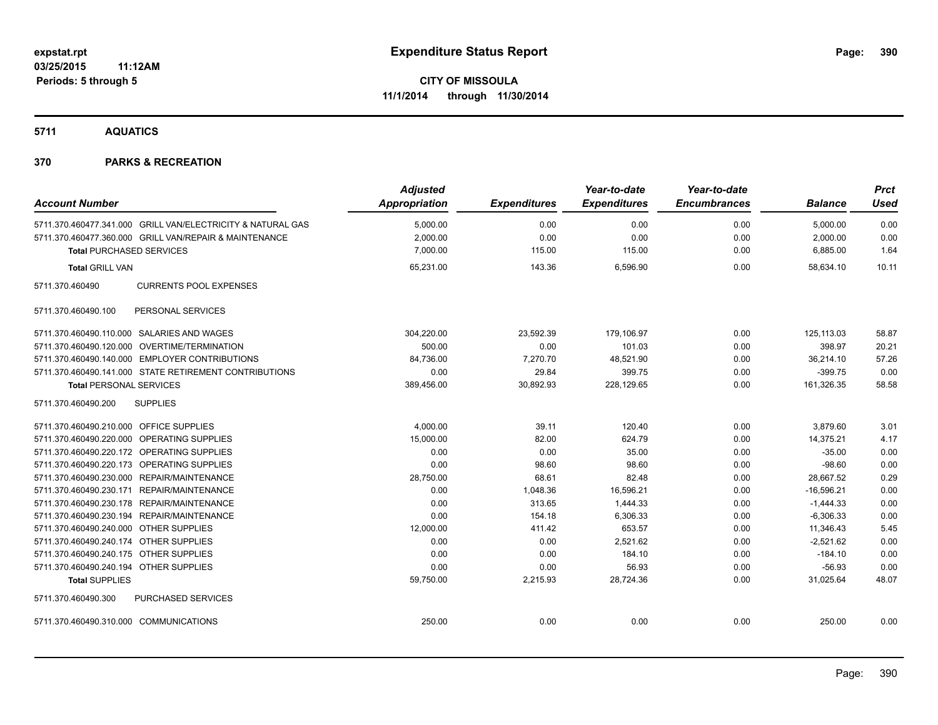**5711 AQUATICS**

| <b>Account Number</b>                                       | <b>Adjusted</b><br><b>Appropriation</b> | <b>Expenditures</b> | Year-to-date<br><b>Expenditures</b> | Year-to-date<br><b>Encumbrances</b> | <b>Balance</b> | <b>Prct</b><br><b>Used</b> |
|-------------------------------------------------------------|-----------------------------------------|---------------------|-------------------------------------|-------------------------------------|----------------|----------------------------|
|                                                             |                                         |                     |                                     |                                     |                |                            |
| 5711.370.460477.341.000 GRILL VAN/ELECTRICITY & NATURAL GAS | 5,000.00                                | 0.00                | 0.00                                | 0.00                                | 5,000.00       | 0.00                       |
| 5711.370.460477.360.000 GRILL VAN/REPAIR & MAINTENANCE      | 2,000.00                                | 0.00                | 0.00                                | 0.00                                | 2,000.00       | 0.00                       |
| <b>Total PURCHASED SERVICES</b>                             | 7,000.00                                | 115.00              | 115.00                              | 0.00                                | 6,885.00       | 1.64                       |
| <b>Total GRILL VAN</b>                                      | 65,231.00                               | 143.36              | 6,596.90                            | 0.00                                | 58.634.10      | 10.11                      |
| <b>CURRENTS POOL EXPENSES</b><br>5711.370.460490            |                                         |                     |                                     |                                     |                |                            |
| PERSONAL SERVICES<br>5711.370.460490.100                    |                                         |                     |                                     |                                     |                |                            |
| 5711.370.460490.110.000 SALARIES AND WAGES                  | 304,220.00                              | 23,592.39           | 179,106.97                          | 0.00                                | 125,113.03     | 58.87                      |
| 5711.370.460490.120.000 OVERTIME/TERMINATION                | 500.00                                  | 0.00                | 101.03                              | 0.00                                | 398.97         | 20.21                      |
| 5711.370.460490.140.000 EMPLOYER CONTRIBUTIONS              | 84,736.00                               | 7,270.70            | 48,521.90                           | 0.00                                | 36,214.10      | 57.26                      |
| 5711.370.460490.141.000 STATE RETIREMENT CONTRIBUTIONS      | 0.00                                    | 29.84               | 399.75                              | 0.00                                | $-399.75$      | 0.00                       |
| <b>Total PERSONAL SERVICES</b>                              | 389,456.00                              | 30,892.93           | 228,129.65                          | 0.00                                | 161,326.35     | 58.58                      |
| 5711.370.460490.200<br><b>SUPPLIES</b>                      |                                         |                     |                                     |                                     |                |                            |
| 5711.370.460490.210.000 OFFICE SUPPLIES                     | 4,000.00                                | 39.11               | 120.40                              | 0.00                                | 3,879.60       | 3.01                       |
| 5711.370.460490.220.000 OPERATING SUPPLIES                  | 15.000.00                               | 82.00               | 624.79                              | 0.00                                | 14.375.21      | 4.17                       |
| 5711.370.460490.220.172 OPERATING SUPPLIES                  | 0.00                                    | 0.00                | 35.00                               | 0.00                                | $-35.00$       | 0.00                       |
| 5711.370.460490.220.173 OPERATING SUPPLIES                  | 0.00                                    | 98.60               | 98.60                               | 0.00                                | $-98.60$       | 0.00                       |
| 5711.370.460490.230.000 REPAIR/MAINTENANCE                  | 28,750.00                               | 68.61               | 82.48                               | 0.00                                | 28,667.52      | 0.29                       |
| 5711.370.460490.230.171 REPAIR/MAINTENANCE                  | 0.00                                    | 1,048.36            | 16,596.21                           | 0.00                                | $-16,596.21$   | 0.00                       |
| 5711.370.460490.230.178 REPAIR/MAINTENANCE                  | 0.00                                    | 313.65              | 1,444.33                            | 0.00                                | $-1,444.33$    | 0.00                       |
| 5711.370.460490.230.194 REPAIR/MAINTENANCE                  | 0.00                                    | 154.18              | 6,306.33                            | 0.00                                | $-6,306.33$    | 0.00                       |
| 5711.370.460490.240.000 OTHER SUPPLIES                      | 12,000.00                               | 411.42              | 653.57                              | 0.00                                | 11,346.43      | 5.45                       |
| 5711.370.460490.240.174 OTHER SUPPLIES                      | 0.00                                    | 0.00                | 2,521.62                            | 0.00                                | $-2,521.62$    | 0.00                       |
| 5711.370.460490.240.175 OTHER SUPPLIES                      | 0.00                                    | 0.00                | 184.10                              | 0.00                                | $-184.10$      | 0.00                       |
| 5711.370.460490.240.194 OTHER SUPPLIES                      | 0.00                                    | 0.00                | 56.93                               | 0.00                                | $-56.93$       | 0.00                       |
| <b>Total SUPPLIES</b>                                       | 59,750.00                               | 2,215.93            | 28,724.36                           | 0.00                                | 31,025.64      | 48.07                      |
| PURCHASED SERVICES<br>5711.370.460490.300                   |                                         |                     |                                     |                                     |                |                            |
| 5711.370.460490.310.000 COMMUNICATIONS                      | 250.00                                  | 0.00                | 0.00                                | 0.00                                | 250.00         | 0.00                       |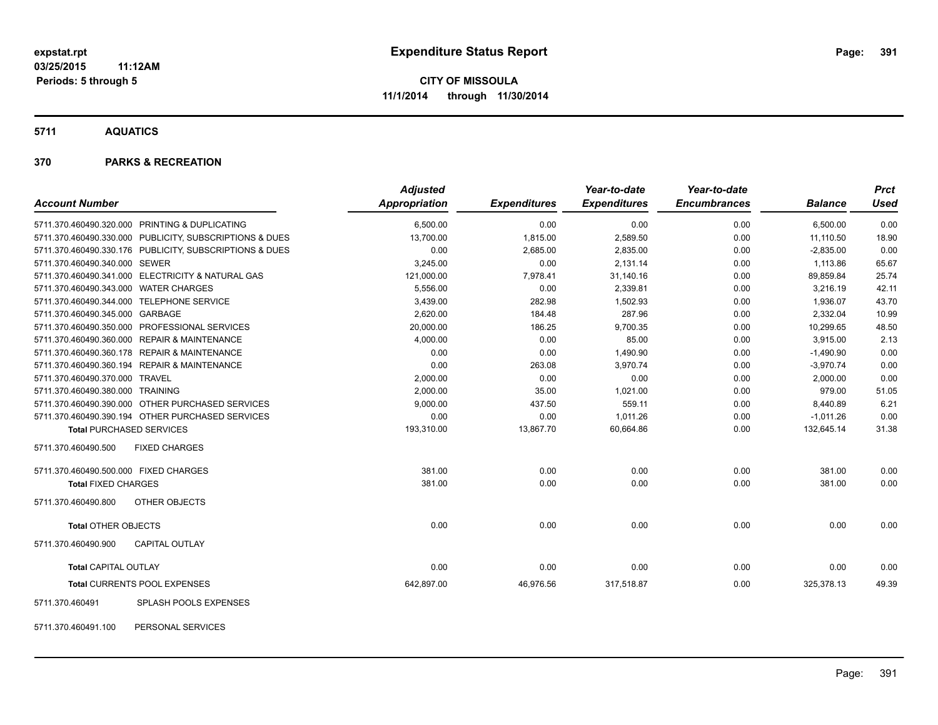**5711 AQUATICS**

#### **370 PARKS & RECREATION**

|                                                         | <b>Adjusted</b>      |                     | Year-to-date        | Year-to-date        |                | <b>Prct</b> |
|---------------------------------------------------------|----------------------|---------------------|---------------------|---------------------|----------------|-------------|
| <b>Account Number</b>                                   | <b>Appropriation</b> | <b>Expenditures</b> | <b>Expenditures</b> | <b>Encumbrances</b> | <b>Balance</b> | <b>Used</b> |
| 5711.370.460490.320.000 PRINTING & DUPLICATING          | 6,500.00             | 0.00                | 0.00                | 0.00                | 6,500.00       | 0.00        |
| 5711.370.460490.330.000 PUBLICITY, SUBSCRIPTIONS & DUES | 13,700.00            | 1,815.00            | 2,589.50            | 0.00                | 11,110.50      | 18.90       |
| 5711.370.460490.330.176 PUBLICITY, SUBSCRIPTIONS & DUES | 0.00                 | 2,685.00            | 2,835.00            | 0.00                | $-2,835.00$    | 0.00        |
| 5711.370.460490.340.000 SEWER                           | 3,245.00             | 0.00                | 2,131.14            | 0.00                | 1,113.86       | 65.67       |
| 5711.370.460490.341.000 ELECTRICITY & NATURAL GAS       | 121,000.00           | 7,978.41            | 31,140.16           | 0.00                | 89,859.84      | 25.74       |
| 5711.370.460490.343.000 WATER CHARGES                   | 5,556.00             | 0.00                | 2,339.81            | 0.00                | 3,216.19       | 42.11       |
| 5711.370.460490.344.000 TELEPHONE SERVICE               | 3,439.00             | 282.98              | 1,502.93            | 0.00                | 1,936.07       | 43.70       |
| 5711.370.460490.345.000 GARBAGE                         | 2,620.00             | 184.48              | 287.96              | 0.00                | 2,332.04       | 10.99       |
| 5711.370.460490.350.000 PROFESSIONAL SERVICES           | 20,000.00            | 186.25              | 9,700.35            | 0.00                | 10,299.65      | 48.50       |
| 5711.370.460490.360.000 REPAIR & MAINTENANCE            | 4,000.00             | 0.00                | 85.00               | 0.00                | 3,915.00       | 2.13        |
| 5711.370.460490.360.178 REPAIR & MAINTENANCE            | 0.00                 | 0.00                | 1,490.90            | 0.00                | $-1,490.90$    | 0.00        |
| 5711.370.460490.360.194 REPAIR & MAINTENANCE            | 0.00                 | 263.08              | 3.970.74            | 0.00                | $-3,970.74$    | 0.00        |
| 5711.370.460490.370.000 TRAVEL                          | 2,000.00             | 0.00                | 0.00                | 0.00                | 2,000.00       | 0.00        |
| 5711.370.460490.380.000 TRAINING                        | 2,000.00             | 35.00               | 1,021.00            | 0.00                | 979.00         | 51.05       |
| 5711.370.460490.390.000 OTHER PURCHASED SERVICES        | 9,000.00             | 437.50              | 559.11              | 0.00                | 8,440.89       | 6.21        |
| 5711.370.460490.390.194 OTHER PURCHASED SERVICES        | 0.00                 | 0.00                | 1,011.26            | 0.00                | $-1,011.26$    | 0.00        |
| <b>Total PURCHASED SERVICES</b>                         | 193,310.00           | 13,867.70           | 60,664.86           | 0.00                | 132,645.14     | 31.38       |
| 5711.370.460490.500<br><b>FIXED CHARGES</b>             |                      |                     |                     |                     |                |             |
| 5711.370.460490.500.000 FIXED CHARGES                   | 381.00               | 0.00                | 0.00                | 0.00                | 381.00         | 0.00        |
| <b>Total FIXED CHARGES</b>                              | 381.00               | 0.00                | 0.00                | 0.00                | 381.00         | 0.00        |
| OTHER OBJECTS<br>5711.370.460490.800                    |                      |                     |                     |                     |                |             |
| <b>Total OTHER OBJECTS</b>                              | 0.00                 | 0.00                | 0.00                | 0.00                | 0.00           | 0.00        |
| CAPITAL OUTLAY<br>5711.370.460490.900                   |                      |                     |                     |                     |                |             |
| <b>Total CAPITAL OUTLAY</b>                             | 0.00                 | 0.00                | 0.00                | 0.00                | 0.00           | 0.00        |
| Total CURRENTS POOL EXPENSES                            | 642,897.00           | 46,976.56           | 317,518.87          | 0.00                | 325,378.13     | 49.39       |
| SPLASH POOLS EXPENSES<br>5711.370.460491                |                      |                     |                     |                     |                |             |

5711.370.460491.100 PERSONAL SERVICES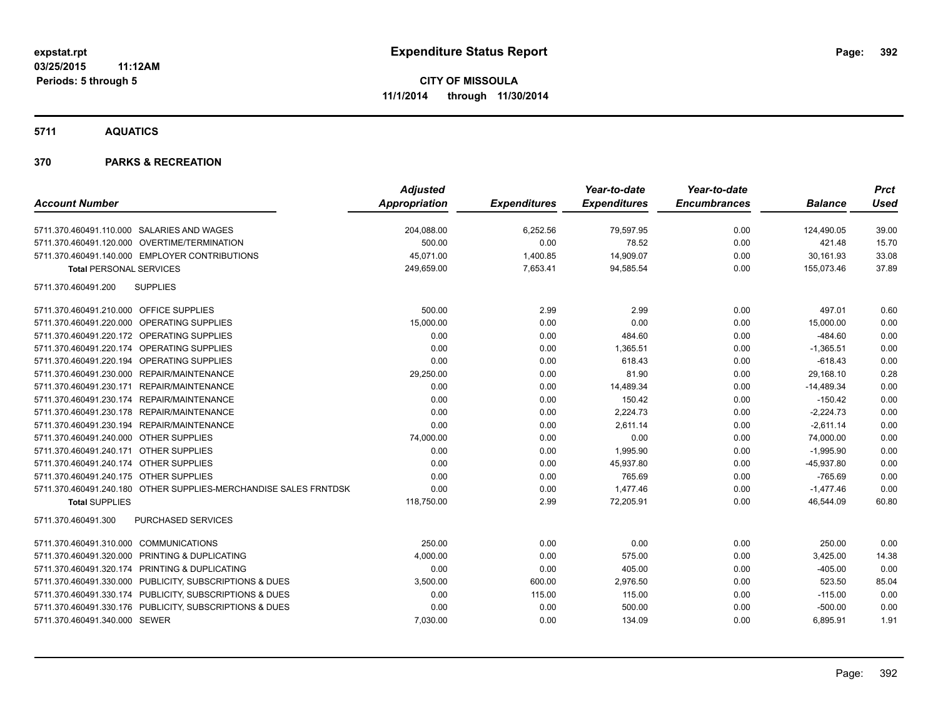#### **5711 AQUATICS**

|                                                                  | <b>Adjusted</b> |                     | Year-to-date        | Year-to-date        |                | <b>Prct</b> |
|------------------------------------------------------------------|-----------------|---------------------|---------------------|---------------------|----------------|-------------|
| <b>Account Number</b>                                            | Appropriation   | <b>Expenditures</b> | <b>Expenditures</b> | <b>Encumbrances</b> | <b>Balance</b> | <b>Used</b> |
| 5711.370.460491.110.000 SALARIES AND WAGES                       | 204,088.00      | 6,252.56            | 79,597.95           | 0.00                | 124,490.05     | 39.00       |
| 5711.370.460491.120.000 OVERTIME/TERMINATION                     | 500.00          | 0.00                | 78.52               | 0.00                | 421.48         | 15.70       |
| 5711.370.460491.140.000 EMPLOYER CONTRIBUTIONS                   | 45,071.00       | 1,400.85            | 14,909.07           | 0.00                | 30,161.93      | 33.08       |
| <b>Total PERSONAL SERVICES</b>                                   | 249,659.00      | 7,653.41            | 94,585.54           | 0.00                | 155,073.46     | 37.89       |
| <b>SUPPLIES</b><br>5711.370.460491.200                           |                 |                     |                     |                     |                |             |
| 5711.370.460491.210.000 OFFICE SUPPLIES                          | 500.00          | 2.99                | 2.99                | 0.00                | 497.01         | 0.60        |
| 5711.370.460491.220.000 OPERATING SUPPLIES                       | 15,000.00       | 0.00                | 0.00                | 0.00                | 15,000.00      | 0.00        |
| 5711.370.460491.220.172 OPERATING SUPPLIES                       | 0.00            | 0.00                | 484.60              | 0.00                | $-484.60$      | 0.00        |
| 5711.370.460491.220.174 OPERATING SUPPLIES                       | 0.00            | 0.00                | 1,365.51            | 0.00                | $-1,365.51$    | 0.00        |
| 5711.370.460491.220.194 OPERATING SUPPLIES                       | 0.00            | 0.00                | 618.43              | 0.00                | $-618.43$      | 0.00        |
| 5711.370.460491.230.000 REPAIR/MAINTENANCE                       | 29,250.00       | 0.00                | 81.90               | 0.00                | 29,168.10      | 0.28        |
| 5711.370.460491.230.171 REPAIR/MAINTENANCE                       | 0.00            | 0.00                | 14,489.34           | 0.00                | $-14,489.34$   | 0.00        |
| 5711.370.460491.230.174 REPAIR/MAINTENANCE                       | 0.00            | 0.00                | 150.42              | 0.00                | $-150.42$      | 0.00        |
| 5711.370.460491.230.178 REPAIR/MAINTENANCE                       | 0.00            | 0.00                | 2,224.73            | 0.00                | $-2,224.73$    | 0.00        |
| 5711.370.460491.230.194 REPAIR/MAINTENANCE                       | 0.00            | 0.00                | 2,611.14            | 0.00                | $-2,611.14$    | 0.00        |
| 5711.370.460491.240.000 OTHER SUPPLIES                           | 74,000.00       | 0.00                | 0.00                | 0.00                | 74,000.00      | 0.00        |
| 5711.370.460491.240.171 OTHER SUPPLIES                           | 0.00            | 0.00                | 1,995.90            | 0.00                | $-1,995.90$    | 0.00        |
| 5711.370.460491.240.174 OTHER SUPPLIES                           | 0.00            | 0.00                | 45,937.80           | 0.00                | $-45,937.80$   | 0.00        |
| 5711.370.460491.240.175 OTHER SUPPLIES                           | 0.00            | 0.00                | 765.69              | 0.00                | $-765.69$      | 0.00        |
| 5711.370.460491.240.180 OTHER SUPPLIES-MERCHANDISE SALES FRNTDSK | 0.00            | 0.00                | 1,477.46            | 0.00                | $-1,477.46$    | 0.00        |
| <b>Total SUPPLIES</b>                                            | 118,750.00      | 2.99                | 72,205.91           | 0.00                | 46,544.09      | 60.80       |
| PURCHASED SERVICES<br>5711.370.460491.300                        |                 |                     |                     |                     |                |             |
| 5711.370.460491.310.000 COMMUNICATIONS                           | 250.00          | 0.00                | 0.00                | 0.00                | 250.00         | 0.00        |
| 5711.370.460491.320.000 PRINTING & DUPLICATING                   | 4,000.00        | 0.00                | 575.00              | 0.00                | 3,425.00       | 14.38       |
| 5711.370.460491.320.174 PRINTING & DUPLICATING                   | 0.00            | 0.00                | 405.00              | 0.00                | $-405.00$      | 0.00        |
| 5711.370.460491.330.000 PUBLICITY, SUBSCRIPTIONS & DUES          | 3,500.00        | 600.00              | 2,976.50            | 0.00                | 523.50         | 85.04       |
| 5711.370.460491.330.174 PUBLICITY, SUBSCRIPTIONS & DUES          | 0.00            | 115.00              | 115.00              | 0.00                | $-115.00$      | 0.00        |
| 5711.370.460491.330.176 PUBLICITY, SUBSCRIPTIONS & DUES          | 0.00            | 0.00                | 500.00              | 0.00                | $-500.00$      | 0.00        |
| 5711.370.460491.340.000 SEWER                                    | 7,030.00        | 0.00                | 134.09              | 0.00                | 6,895.91       | 1.91        |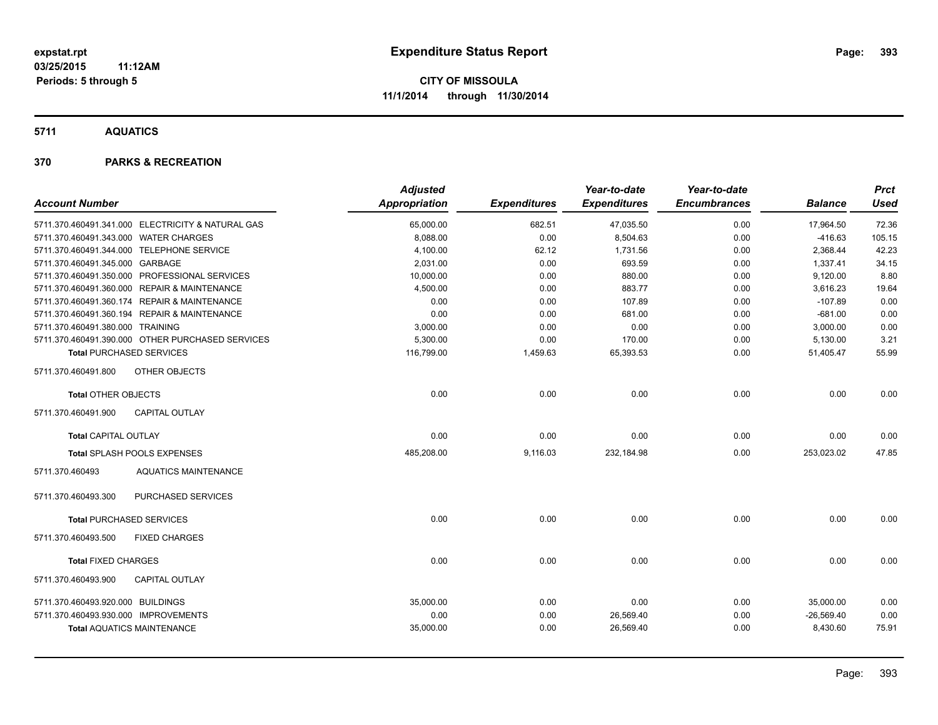**5711 AQUATICS**

|                                       |                                                   | <b>Adjusted</b>      |                     | Year-to-date        | Year-to-date        |                | <b>Prct</b> |
|---------------------------------------|---------------------------------------------------|----------------------|---------------------|---------------------|---------------------|----------------|-------------|
| <b>Account Number</b>                 |                                                   | <b>Appropriation</b> | <b>Expenditures</b> | <b>Expenditures</b> | <b>Encumbrances</b> | <b>Balance</b> | <b>Used</b> |
|                                       | 5711.370.460491.341.000 ELECTRICITY & NATURAL GAS | 65,000.00            | 682.51              | 47,035.50           | 0.00                | 17,964.50      | 72.36       |
| 5711.370.460491.343.000 WATER CHARGES |                                                   | 8,088.00             | 0.00                | 8,504.63            | 0.00                | $-416.63$      | 105.15      |
|                                       | 5711.370.460491.344.000 TELEPHONE SERVICE         | 4,100.00             | 62.12               | 1,731.56            | 0.00                | 2,368.44       | 42.23       |
| 5711.370.460491.345.000 GARBAGE       |                                                   | 2,031.00             | 0.00                | 693.59              | 0.00                | 1,337.41       | 34.15       |
|                                       | 5711.370.460491.350.000 PROFESSIONAL SERVICES     | 10,000.00            | 0.00                | 880.00              | 0.00                | 9,120.00       | 8.80        |
|                                       | 5711.370.460491.360.000 REPAIR & MAINTENANCE      | 4,500.00             | 0.00                | 883.77              | 0.00                | 3,616.23       | 19.64       |
|                                       | 5711.370.460491.360.174 REPAIR & MAINTENANCE      | 0.00                 | 0.00                | 107.89              | 0.00                | $-107.89$      | 0.00        |
|                                       | 5711.370.460491.360.194 REPAIR & MAINTENANCE      | 0.00                 | 0.00                | 681.00              | 0.00                | $-681.00$      | 0.00        |
| 5711.370.460491.380.000 TRAINING      |                                                   | 3,000.00             | 0.00                | 0.00                | 0.00                | 3,000.00       | 0.00        |
|                                       | 5711.370.460491.390.000 OTHER PURCHASED SERVICES  | 5,300.00             | 0.00                | 170.00              | 0.00                | 5,130.00       | 3.21        |
| <b>Total PURCHASED SERVICES</b>       |                                                   | 116,799.00           | 1,459.63            | 65,393.53           | 0.00                | 51,405.47      | 55.99       |
| 5711.370.460491.800                   | OTHER OBJECTS                                     |                      |                     |                     |                     |                |             |
| <b>Total OTHER OBJECTS</b>            |                                                   | 0.00                 | 0.00                | 0.00                | 0.00                | 0.00           | 0.00        |
| 5711.370.460491.900                   | <b>CAPITAL OUTLAY</b>                             |                      |                     |                     |                     |                |             |
| <b>Total CAPITAL OUTLAY</b>           |                                                   | 0.00                 | 0.00                | 0.00                | 0.00                | 0.00           | 0.00        |
|                                       | Total SPLASH POOLS EXPENSES                       | 485,208.00           | 9,116.03            | 232,184.98          | 0.00                | 253,023.02     | 47.85       |
| 5711.370.460493                       | <b>AQUATICS MAINTENANCE</b>                       |                      |                     |                     |                     |                |             |
| 5711.370.460493.300                   | PURCHASED SERVICES                                |                      |                     |                     |                     |                |             |
| <b>Total PURCHASED SERVICES</b>       |                                                   | 0.00                 | 0.00                | 0.00                | 0.00                | 0.00           | 0.00        |
| 5711.370.460493.500                   | <b>FIXED CHARGES</b>                              |                      |                     |                     |                     |                |             |
| <b>Total FIXED CHARGES</b>            |                                                   | 0.00                 | 0.00                | 0.00                | 0.00                | 0.00           | 0.00        |
| 5711.370.460493.900                   | <b>CAPITAL OUTLAY</b>                             |                      |                     |                     |                     |                |             |
| 5711.370.460493.920.000 BUILDINGS     |                                                   | 35,000.00            | 0.00                | 0.00                | 0.00                | 35,000.00      | 0.00        |
| 5711.370.460493.930.000 IMPROVEMENTS  |                                                   | 0.00                 | 0.00                | 26,569.40           | 0.00                | $-26,569.40$   | 0.00        |
|                                       | <b>Total AQUATICS MAINTENANCE</b>                 | 35,000.00            | 0.00                | 26,569.40           | 0.00                | 8,430.60       | 75.91       |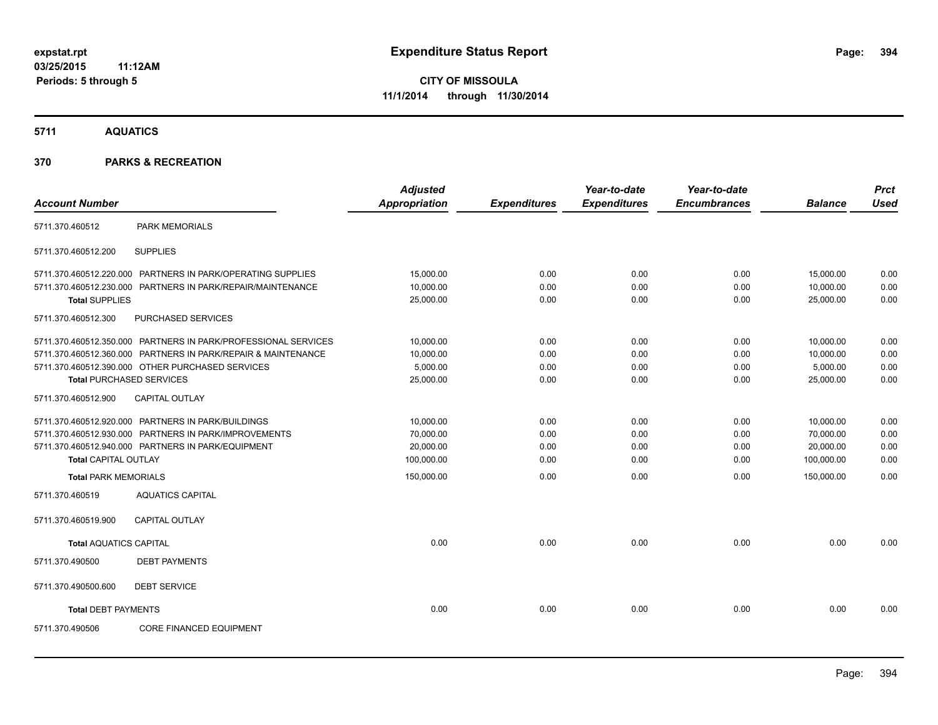**5711 AQUATICS**

|                               |                                                                | <b>Adjusted</b>      |                     | Year-to-date        | Year-to-date        |                | <b>Prct</b> |
|-------------------------------|----------------------------------------------------------------|----------------------|---------------------|---------------------|---------------------|----------------|-------------|
| <b>Account Number</b>         |                                                                | <b>Appropriation</b> | <b>Expenditures</b> | <b>Expenditures</b> | <b>Encumbrances</b> | <b>Balance</b> | <b>Used</b> |
| 5711.370.460512               | <b>PARK MEMORIALS</b>                                          |                      |                     |                     |                     |                |             |
| 5711.370.460512.200           | <b>SUPPLIES</b>                                                |                      |                     |                     |                     |                |             |
|                               | 5711.370.460512.220.000 PARTNERS IN PARK/OPERATING SUPPLIES    | 15,000.00            | 0.00                | 0.00                | 0.00                | 15,000.00      | 0.00        |
|                               | 5711.370.460512.230.000 PARTNERS IN PARK/REPAIR/MAINTENANCE    | 10,000.00            | 0.00                | 0.00                | 0.00                | 10,000.00      | 0.00        |
| <b>Total SUPPLIES</b>         |                                                                | 25,000.00            | 0.00                | 0.00                | 0.00                | 25,000.00      | 0.00        |
| 5711.370.460512.300           | PURCHASED SERVICES                                             |                      |                     |                     |                     |                |             |
|                               | 5711.370.460512.350.000 PARTNERS IN PARK/PROFESSIONAL SERVICES | 10,000.00            | 0.00                | 0.00                | 0.00                | 10,000.00      | 0.00        |
|                               | 5711.370.460512.360.000 PARTNERS IN PARK/REPAIR & MAINTENANCE  | 10,000.00            | 0.00                | 0.00                | 0.00                | 10.000.00      | 0.00        |
|                               | 5711.370.460512.390.000 OTHER PURCHASED SERVICES               | 5,000.00             | 0.00                | 0.00                | 0.00                | 5,000.00       | 0.00        |
|                               | <b>Total PURCHASED SERVICES</b>                                | 25,000.00            | 0.00                | 0.00                | 0.00                | 25,000.00      | 0.00        |
| 5711.370.460512.900           | CAPITAL OUTLAY                                                 |                      |                     |                     |                     |                |             |
|                               | 5711.370.460512.920.000 PARTNERS IN PARK/BUILDINGS             | 10,000.00            | 0.00                | 0.00                | 0.00                | 10,000.00      | 0.00        |
|                               | 5711.370.460512.930.000 PARTNERS IN PARK/IMPROVEMENTS          | 70,000.00            | 0.00                | 0.00                | 0.00                | 70,000.00      | 0.00        |
|                               | 5711.370.460512.940.000 PARTNERS IN PARK/EQUIPMENT             | 20,000.00            | 0.00                | 0.00                | 0.00                | 20,000.00      | 0.00        |
| <b>Total CAPITAL OUTLAY</b>   |                                                                | 100,000.00           | 0.00                | 0.00                | 0.00                | 100,000.00     | 0.00        |
| <b>Total PARK MEMORIALS</b>   |                                                                | 150,000.00           | 0.00                | 0.00                | 0.00                | 150,000.00     | 0.00        |
| 5711.370.460519               | <b>AQUATICS CAPITAL</b>                                        |                      |                     |                     |                     |                |             |
| 5711.370.460519.900           | <b>CAPITAL OUTLAY</b>                                          |                      |                     |                     |                     |                |             |
| <b>Total AQUATICS CAPITAL</b> |                                                                | 0.00                 | 0.00                | 0.00                | 0.00                | 0.00           | 0.00        |
| 5711.370.490500               | <b>DEBT PAYMENTS</b>                                           |                      |                     |                     |                     |                |             |
| 5711.370.490500.600           | <b>DEBT SERVICE</b>                                            |                      |                     |                     |                     |                |             |
| <b>Total DEBT PAYMENTS</b>    |                                                                | 0.00                 | 0.00                | 0.00                | 0.00                | 0.00           | 0.00        |
| 5711.370.490506               | <b>CORE FINANCED EQUIPMENT</b>                                 |                      |                     |                     |                     |                |             |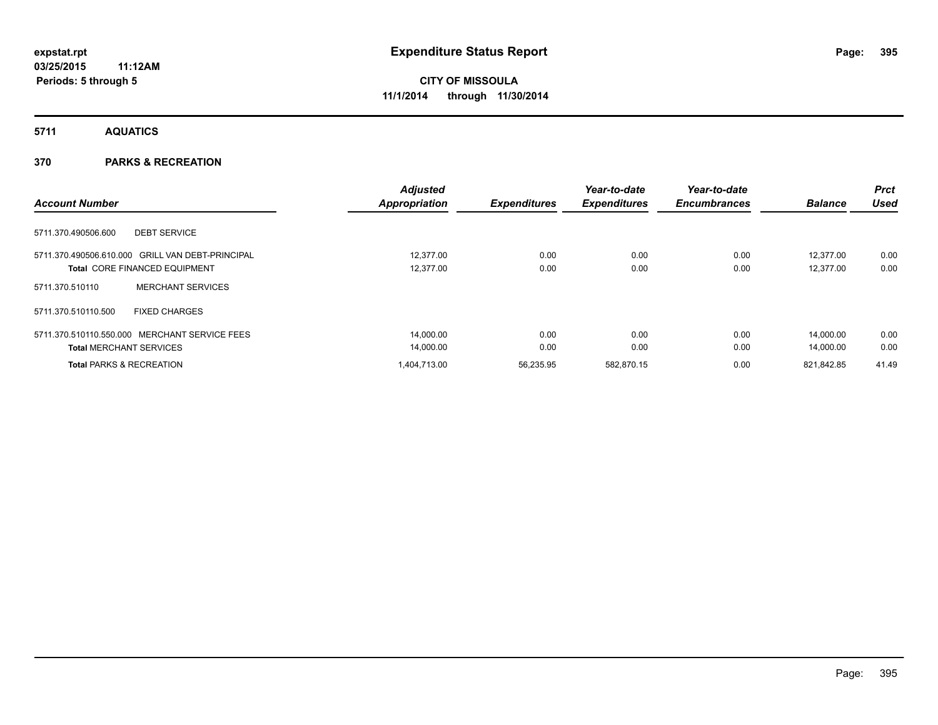### **5711 AQUATICS**

|                                                         | <b>Adjusted</b>      |                     | Year-to-date        | Year-to-date        |                | Prct        |
|---------------------------------------------------------|----------------------|---------------------|---------------------|---------------------|----------------|-------------|
| <b>Account Number</b>                                   | <b>Appropriation</b> | <b>Expenditures</b> | <b>Expenditures</b> | <b>Encumbrances</b> | <b>Balance</b> | <b>Used</b> |
| <b>DEBT SERVICE</b><br>5711.370.490506.600              |                      |                     |                     |                     |                |             |
| 5711.370.490506.610.000 GRILL VAN DEBT-PRINCIPAL        | 12.377.00            | 0.00                | 0.00                | 0.00                | 12.377.00      | 0.00        |
| <b>Total CORE FINANCED EQUIPMENT</b>                    | 12.377.00            | 0.00                | 0.00                | 0.00                | 12.377.00      | 0.00        |
| <b>MERCHANT SERVICES</b><br>5711.370.510110             |                      |                     |                     |                     |                |             |
| <b>FIXED CHARGES</b><br>5711.370.510110.500             |                      |                     |                     |                     |                |             |
| 5711.370.510110.550.000<br><b>MERCHANT SERVICE FEES</b> | 14,000.00            | 0.00                | 0.00                | 0.00                | 14.000.00      | 0.00        |
| <b>Total MERCHANT SERVICES</b>                          | 14,000.00            | 0.00                | 0.00                | 0.00                | 14.000.00      | 0.00        |
| <b>Total PARKS &amp; RECREATION</b>                     | 1,404,713.00         | 56,235.95           | 582.870.15          | 0.00                | 821.842.85     | 41.49       |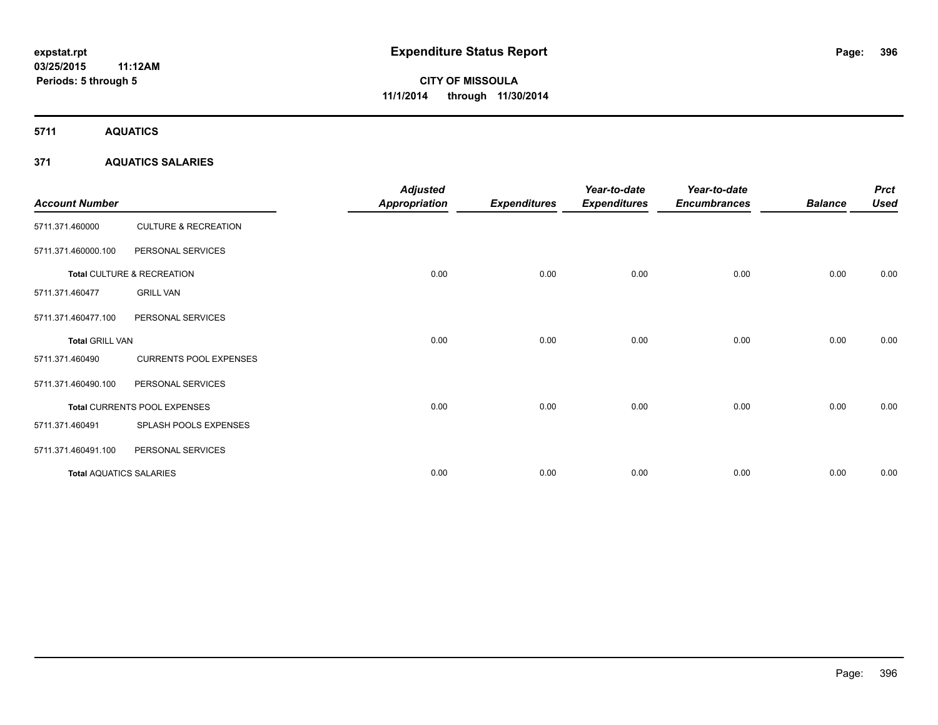**5711 AQUATICS**

#### **371 AQUATICS SALARIES**

| <b>Account Number</b>          |                                 | <b>Adjusted</b><br><b>Appropriation</b> | <b>Expenditures</b> | Year-to-date<br><b>Expenditures</b> | Year-to-date<br><b>Encumbrances</b> | <b>Balance</b> | <b>Prct</b><br><b>Used</b> |
|--------------------------------|---------------------------------|-----------------------------------------|---------------------|-------------------------------------|-------------------------------------|----------------|----------------------------|
| 5711.371.460000                | <b>CULTURE &amp; RECREATION</b> |                                         |                     |                                     |                                     |                |                            |
| 5711.371.460000.100            | PERSONAL SERVICES               |                                         |                     |                                     |                                     |                |                            |
|                                | Total CULTURE & RECREATION      | 0.00                                    | 0.00                | 0.00                                | 0.00                                | 0.00           | 0.00                       |
| 5711.371.460477                | <b>GRILL VAN</b>                |                                         |                     |                                     |                                     |                |                            |
| 5711.371.460477.100            | PERSONAL SERVICES               |                                         |                     |                                     |                                     |                |                            |
| <b>Total GRILL VAN</b>         |                                 | 0.00                                    | 0.00                | 0.00                                | 0.00                                | 0.00           | 0.00                       |
| 5711.371.460490                | <b>CURRENTS POOL EXPENSES</b>   |                                         |                     |                                     |                                     |                |                            |
| 5711.371.460490.100            | PERSONAL SERVICES               |                                         |                     |                                     |                                     |                |                            |
|                                | Total CURRENTS POOL EXPENSES    | 0.00                                    | 0.00                | 0.00                                | 0.00                                | 0.00           | 0.00                       |
| 5711.371.460491                | SPLASH POOLS EXPENSES           |                                         |                     |                                     |                                     |                |                            |
| 5711.371.460491.100            | PERSONAL SERVICES               |                                         |                     |                                     |                                     |                |                            |
| <b>Total AQUATICS SALARIES</b> |                                 | 0.00                                    | 0.00                | 0.00                                | 0.00                                | 0.00           | 0.00                       |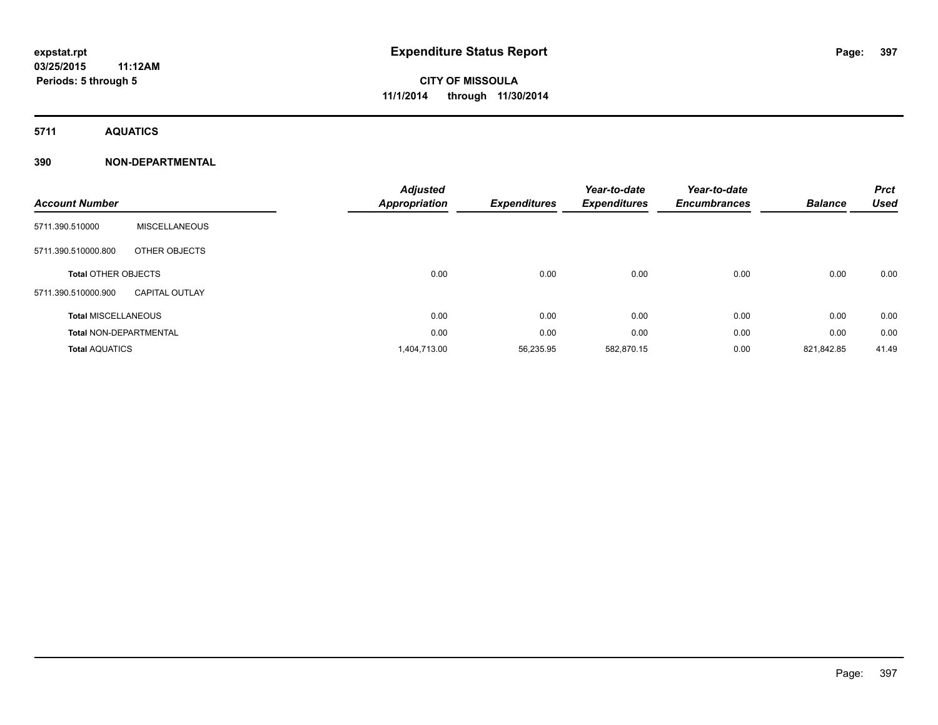**5711 AQUATICS**

| <b>Account Number</b>         |                       | <b>Adjusted</b><br><b>Appropriation</b> | <b>Expenditures</b> | Year-to-date<br><b>Expenditures</b> | Year-to-date<br><b>Encumbrances</b> | <b>Balance</b> | <b>Prct</b><br><b>Used</b> |
|-------------------------------|-----------------------|-----------------------------------------|---------------------|-------------------------------------|-------------------------------------|----------------|----------------------------|
| 5711.390.510000               | <b>MISCELLANEOUS</b>  |                                         |                     |                                     |                                     |                |                            |
| 5711.390.510000.800           | OTHER OBJECTS         |                                         |                     |                                     |                                     |                |                            |
| <b>Total OTHER OBJECTS</b>    |                       | 0.00                                    | 0.00                | 0.00                                | 0.00                                | 0.00           | 0.00                       |
| 5711.390.510000.900           | <b>CAPITAL OUTLAY</b> |                                         |                     |                                     |                                     |                |                            |
| <b>Total MISCELLANEOUS</b>    |                       | 0.00                                    | 0.00                | 0.00                                | 0.00                                | 0.00           | 0.00                       |
| <b>Total NON-DEPARTMENTAL</b> |                       | 0.00                                    | 0.00                | 0.00                                | 0.00                                | 0.00           | 0.00                       |
| <b>Total AQUATICS</b>         |                       | 1,404,713.00                            | 56,235.95           | 582,870.15                          | 0.00                                | 821,842.85     | 41.49                      |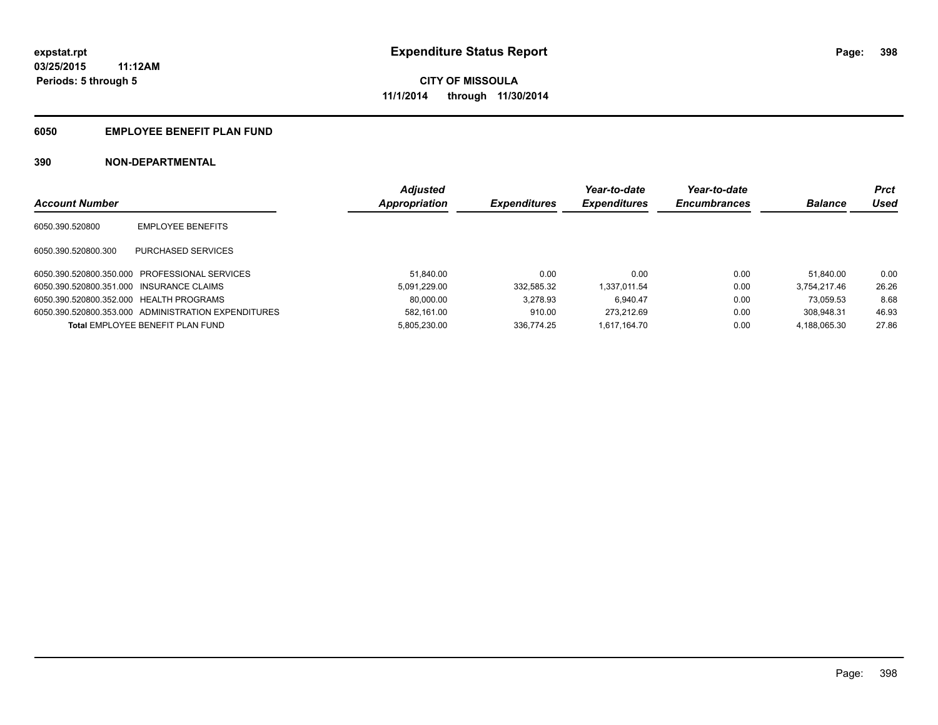### **6050 EMPLOYEE BENEFIT PLAN FUND**

|                                          |                                                     | <b>Adjusted</b> |                     | Year-to-date        | Year-to-date        |                | <b>Prct</b> |
|------------------------------------------|-----------------------------------------------------|-----------------|---------------------|---------------------|---------------------|----------------|-------------|
| <b>Account Number</b>                    |                                                     | Appropriation   | <b>Expenditures</b> | <b>Expenditures</b> | <b>Encumbrances</b> | <b>Balance</b> | Used        |
| 6050.390.520800                          | <b>EMPLOYEE BENEFITS</b>                            |                 |                     |                     |                     |                |             |
| 6050.390.520800.300                      | PURCHASED SERVICES                                  |                 |                     |                     |                     |                |             |
|                                          | 6050.390.520800.350.000 PROFESSIONAL SERVICES       | 51.840.00       | 0.00                | 0.00                | 0.00                | 51.840.00      | 0.00        |
| 6050.390.520800.351.000 INSURANCE CLAIMS |                                                     | 5.091.229.00    | 332.585.32          | 1.337.011.54        | 0.00                | 3.754.217.46   | 26.26       |
| 6050.390.520800.352.000 HEALTH PROGRAMS  |                                                     | 80,000.00       | 3.278.93            | 6.940.47            | 0.00                | 73.059.53      | 8.68        |
|                                          | 6050.390.520800.353.000 ADMINISTRATION EXPENDITURES | 582.161.00      | 910.00              | 273.212.69          | 0.00                | 308.948.31     | 46.93       |
|                                          | Total EMPLOYEE BENEFIT PLAN FUND                    | 5.805.230.00    | 336.774.25          | 1.617.164.70        | 0.00                | 4.188.065.30   | 27.86       |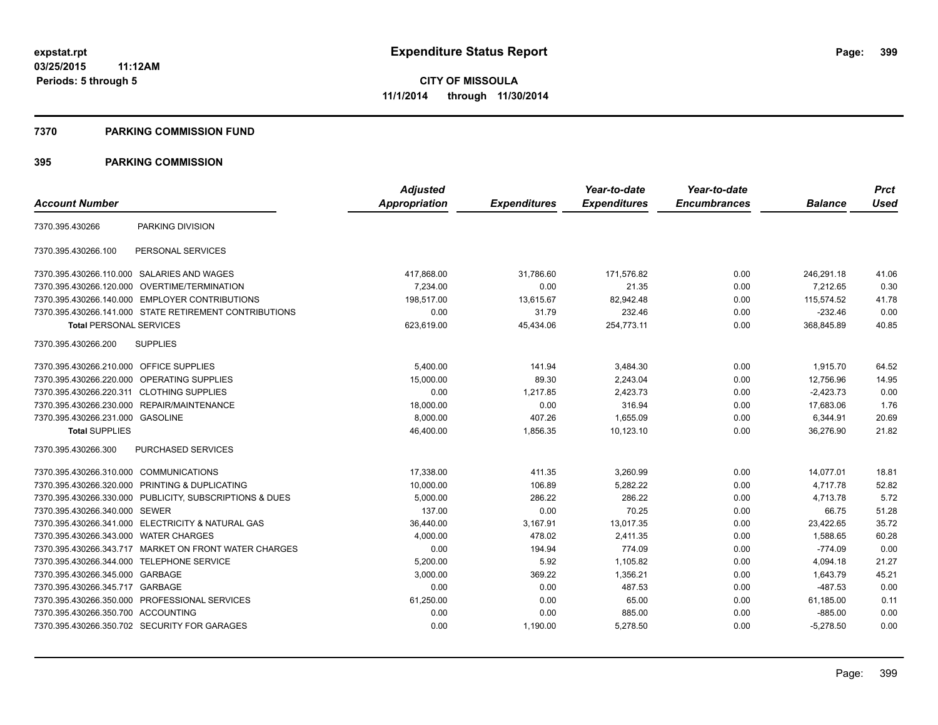#### **7370 PARKING COMMISSION FUND**

|                                           |                                                         | <b>Adjusted</b> |                     | Year-to-date        | Year-to-date        |                | <b>Prct</b> |
|-------------------------------------------|---------------------------------------------------------|-----------------|---------------------|---------------------|---------------------|----------------|-------------|
| <b>Account Number</b>                     |                                                         | Appropriation   | <b>Expenditures</b> | <b>Expenditures</b> | <b>Encumbrances</b> | <b>Balance</b> | <b>Used</b> |
| 7370.395.430266                           | PARKING DIVISION                                        |                 |                     |                     |                     |                |             |
| 7370.395.430266.100                       | PERSONAL SERVICES                                       |                 |                     |                     |                     |                |             |
|                                           | 7370.395.430266.110.000 SALARIES AND WAGES              | 417,868.00      | 31,786.60           | 171,576.82          | 0.00                | 246,291.18     | 41.06       |
| 7370.395.430266.120.000                   | OVERTIME/TERMINATION                                    | 7,234.00        | 0.00                | 21.35               | 0.00                | 7,212.65       | 0.30        |
|                                           | 7370.395.430266.140.000 EMPLOYER CONTRIBUTIONS          | 198.517.00      | 13,615.67           | 82.942.48           | 0.00                | 115.574.52     | 41.78       |
|                                           | 7370.395.430266.141.000 STATE RETIREMENT CONTRIBUTIONS  | 0.00            | 31.79               | 232.46              | 0.00                | $-232.46$      | 0.00        |
| <b>Total PERSONAL SERVICES</b>            |                                                         | 623,619.00      | 45,434.06           | 254,773.11          | 0.00                | 368,845.89     | 40.85       |
| 7370.395.430266.200                       | <b>SUPPLIES</b>                                         |                 |                     |                     |                     |                |             |
| 7370.395.430266.210.000 OFFICE SUPPLIES   |                                                         | 5.400.00        | 141.94              | 3,484.30            | 0.00                | 1,915.70       | 64.52       |
| 7370.395.430266.220.000                   | OPERATING SUPPLIES                                      | 15,000.00       | 89.30               | 2,243.04            | 0.00                | 12,756.96      | 14.95       |
| 7370.395.430266.220.311 CLOTHING SUPPLIES |                                                         | 0.00            | 1,217.85            | 2,423.73            | 0.00                | $-2,423.73$    | 0.00        |
| 7370.395.430266.230.000                   | REPAIR/MAINTENANCE                                      | 18,000.00       | 0.00                | 316.94              | 0.00                | 17,683.06      | 1.76        |
| 7370.395.430266.231.000 GASOLINE          |                                                         | 8,000.00        | 407.26              | 1,655.09            | 0.00                | 6,344.91       | 20.69       |
| <b>Total SUPPLIES</b>                     |                                                         | 46,400.00       | 1,856.35            | 10,123.10           | 0.00                | 36,276.90      | 21.82       |
| 7370.395.430266.300                       | PURCHASED SERVICES                                      |                 |                     |                     |                     |                |             |
| 7370.395.430266.310.000                   | <b>COMMUNICATIONS</b>                                   | 17,338.00       | 411.35              | 3,260.99            | 0.00                | 14,077.01      | 18.81       |
|                                           | 7370.395.430266.320.000 PRINTING & DUPLICATING          | 10,000.00       | 106.89              | 5,282.22            | 0.00                | 4,717.78       | 52.82       |
|                                           | 7370.395.430266.330.000 PUBLICITY, SUBSCRIPTIONS & DUES | 5,000.00        | 286.22              | 286.22              | 0.00                | 4,713.78       | 5.72        |
| 7370.395.430266.340.000 SEWER             |                                                         | 137.00          | 0.00                | 70.25               | 0.00                | 66.75          | 51.28       |
|                                           | 7370.395.430266.341.000 ELECTRICITY & NATURAL GAS       | 36,440.00       | 3,167.91            | 13,017.35           | 0.00                | 23,422.65      | 35.72       |
| 7370.395.430266.343.000 WATER CHARGES     |                                                         | 4,000.00        | 478.02              | 2,411.35            | 0.00                | 1,588.65       | 60.28       |
|                                           | 7370.395.430266.343.717 MARKET ON FRONT WATER CHARGES   | 0.00            | 194.94              | 774.09              | 0.00                | $-774.09$      | 0.00        |
|                                           | 7370.395.430266.344.000 TELEPHONE SERVICE               | 5,200.00        | 5.92                | 1,105.82            | 0.00                | 4,094.18       | 21.27       |
| 7370.395.430266.345.000 GARBAGE           |                                                         | 3,000.00        | 369.22              | 1,356.21            | 0.00                | 1,643.79       | 45.21       |
| 7370.395.430266.345.717                   | GARBAGE                                                 | 0.00            | 0.00                | 487.53              | 0.00                | $-487.53$      | 0.00        |
|                                           | 7370.395.430266.350.000 PROFESSIONAL SERVICES           | 61,250.00       | 0.00                | 65.00               | 0.00                | 61,185.00      | 0.11        |
| 7370.395.430266.350.700 ACCOUNTING        |                                                         | 0.00            | 0.00                | 885.00              | 0.00                | $-885.00$      | 0.00        |
|                                           | 7370.395.430266.350.702 SECURITY FOR GARAGES            | 0.00            | 1,190.00            | 5,278.50            | 0.00                | $-5,278.50$    | 0.00        |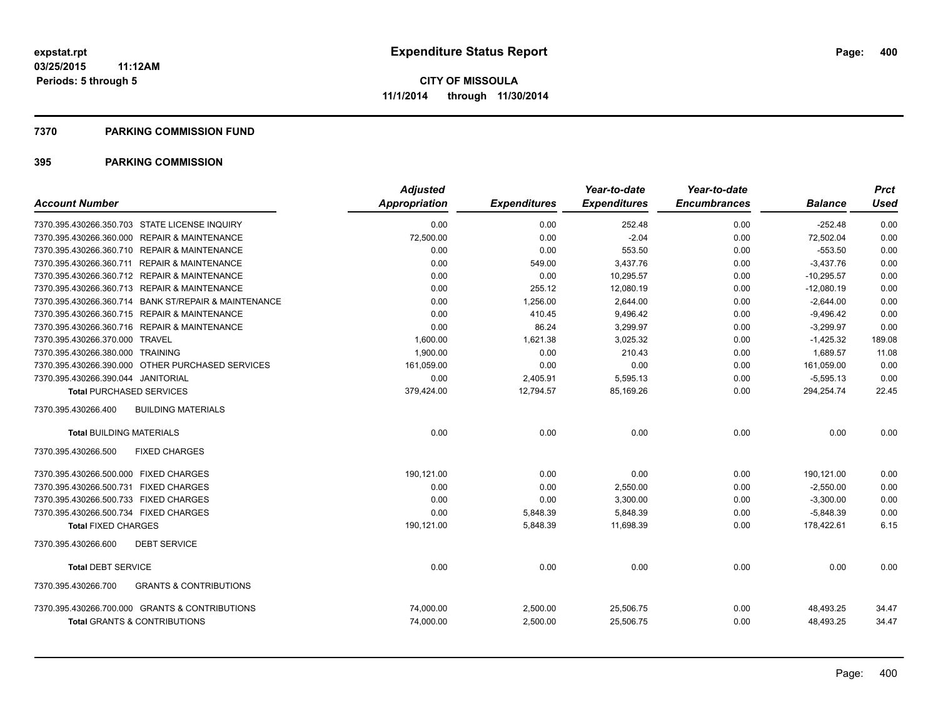#### **7370 PARKING COMMISSION FUND**

| <b>Account Number</b>                                    | <b>Adjusted</b><br>Appropriation | <b>Expenditures</b> | Year-to-date<br><b>Expenditures</b> | Year-to-date<br><b>Encumbrances</b> | <b>Balance</b> | <b>Prct</b><br>Used |
|----------------------------------------------------------|----------------------------------|---------------------|-------------------------------------|-------------------------------------|----------------|---------------------|
|                                                          |                                  |                     |                                     |                                     |                |                     |
| 7370.395.430266.350.703 STATE LICENSE INQUIRY            | 0.00                             | 0.00                | 252.48                              | 0.00                                | $-252.48$      | 0.00                |
| 7370.395.430266.360.000 REPAIR & MAINTENANCE             | 72,500.00                        | 0.00                | $-2.04$                             | 0.00                                | 72,502.04      | 0.00                |
| 7370.395.430266.360.710 REPAIR & MAINTENANCE             | 0.00                             | 0.00                | 553.50                              | 0.00                                | $-553.50$      | 0.00                |
| 7370.395.430266.360.711 REPAIR & MAINTENANCE             | 0.00                             | 549.00              | 3,437.76                            | 0.00                                | $-3,437.76$    | 0.00                |
| 7370.395.430266.360.712 REPAIR & MAINTENANCE             | 0.00                             | 0.00                | 10,295.57                           | 0.00                                | $-10,295.57$   | 0.00                |
| 7370.395.430266.360.713 REPAIR & MAINTENANCE             | 0.00                             | 255.12              | 12,080.19                           | 0.00                                | $-12,080.19$   | 0.00                |
| 7370.395.430266.360.714 BANK ST/REPAIR & MAINTENANCE     | 0.00                             | 1,256.00            | 2,644.00                            | 0.00                                | $-2,644.00$    | 0.00                |
| 7370.395.430266.360.715 REPAIR & MAINTENANCE             | 0.00                             | 410.45              | 9,496.42                            | 0.00                                | $-9,496.42$    | 0.00                |
| 7370.395.430266.360.716 REPAIR & MAINTENANCE             | 0.00                             | 86.24               | 3,299.97                            | 0.00                                | $-3,299.97$    | 0.00                |
| 7370.395.430266.370.000 TRAVEL                           | 1,600.00                         | 1,621.38            | 3,025.32                            | 0.00                                | $-1,425.32$    | 189.08              |
| 7370.395.430266.380.000 TRAINING                         | 1,900.00                         | 0.00                | 210.43                              | 0.00                                | 1,689.57       | 11.08               |
| 7370.395.430266.390.000 OTHER PURCHASED SERVICES         | 161,059.00                       | 0.00                | 0.00                                | 0.00                                | 161,059.00     | 0.00                |
| 7370.395.430266.390.044 JANITORIAL                       | 0.00                             | 2,405.91            | 5,595.13                            | 0.00                                | $-5,595.13$    | 0.00                |
| <b>Total PURCHASED SERVICES</b>                          | 379,424.00                       | 12,794.57           | 85,169.26                           | 0.00                                | 294,254.74     | 22.45               |
| 7370.395.430266.400<br><b>BUILDING MATERIALS</b>         |                                  |                     |                                     |                                     |                |                     |
| <b>Total BUILDING MATERIALS</b>                          | 0.00                             | 0.00                | 0.00                                | 0.00                                | 0.00           | 0.00                |
| 7370.395.430266.500<br><b>FIXED CHARGES</b>              |                                  |                     |                                     |                                     |                |                     |
| 7370.395.430266.500.000 FIXED CHARGES                    | 190,121.00                       | 0.00                | 0.00                                | 0.00                                | 190,121.00     | 0.00                |
| 7370.395.430266.500.731 FIXED CHARGES                    | 0.00                             | 0.00                | 2,550.00                            | 0.00                                | $-2,550.00$    | 0.00                |
| 7370.395.430266.500.733 FIXED CHARGES                    | 0.00                             | 0.00                | 3,300.00                            | 0.00                                | $-3,300.00$    | 0.00                |
| 7370.395.430266.500.734 FIXED CHARGES                    | 0.00                             | 5,848.39            | 5,848.39                            | 0.00                                | $-5,848.39$    | 0.00                |
| <b>Total FIXED CHARGES</b>                               | 190,121.00                       | 5,848.39            | 11,698.39                           | 0.00                                | 178,422.61     | 6.15                |
| <b>DEBT SERVICE</b><br>7370.395.430266.600               |                                  |                     |                                     |                                     |                |                     |
| <b>Total DEBT SERVICE</b>                                | 0.00                             | 0.00                | 0.00                                | 0.00                                | 0.00           | 0.00                |
| <b>GRANTS &amp; CONTRIBUTIONS</b><br>7370.395.430266.700 |                                  |                     |                                     |                                     |                |                     |
| 7370.395.430266.700.000 GRANTS & CONTRIBUTIONS           | 74,000.00                        | 2,500.00            | 25,506.75                           | 0.00                                | 48,493.25      | 34.47               |
| <b>Total GRANTS &amp; CONTRIBUTIONS</b>                  | 74,000.00                        | 2,500.00            | 25,506.75                           | 0.00                                | 48.493.25      | 34.47               |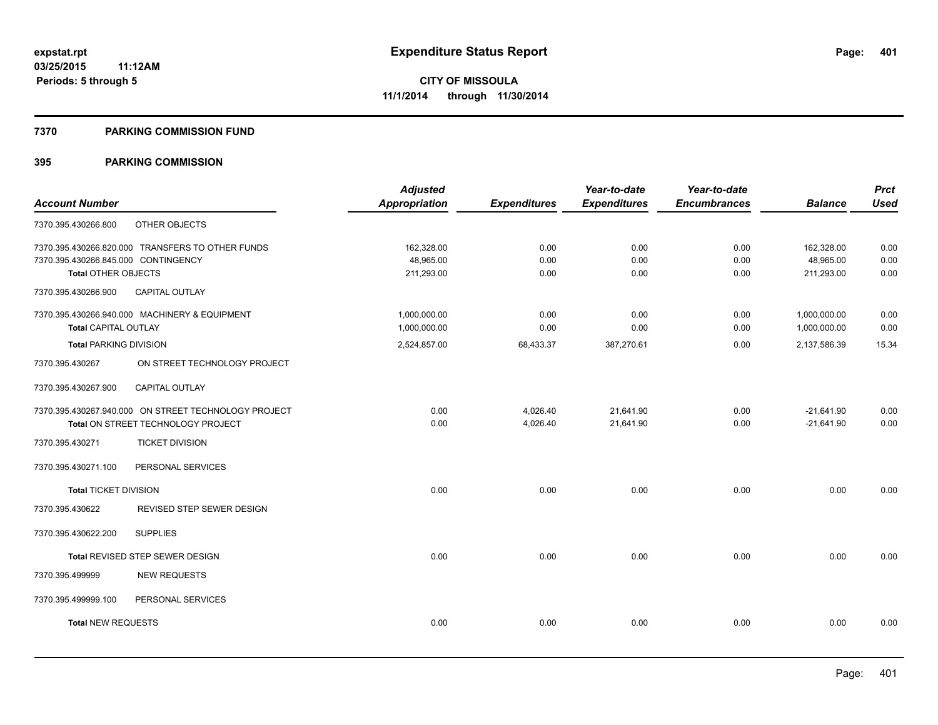#### **7370 PARKING COMMISSION FUND**

|                                                      | <b>Adjusted</b> |                     | Year-to-date        | Year-to-date        |                | <b>Prct</b> |
|------------------------------------------------------|-----------------|---------------------|---------------------|---------------------|----------------|-------------|
| <b>Account Number</b>                                | Appropriation   | <b>Expenditures</b> | <b>Expenditures</b> | <b>Encumbrances</b> | <b>Balance</b> | <b>Used</b> |
| OTHER OBJECTS<br>7370.395.430266.800                 |                 |                     |                     |                     |                |             |
| 7370.395.430266.820.000 TRANSFERS TO OTHER FUNDS     | 162.328.00      | 0.00                | 0.00                | 0.00                | 162,328.00     | 0.00        |
| 7370.395.430266.845.000 CONTINGENCY                  | 48,965.00       | 0.00                | 0.00                | 0.00                | 48,965.00      | 0.00        |
| <b>Total OTHER OBJECTS</b>                           | 211,293.00      | 0.00                | 0.00                | 0.00                | 211,293.00     | 0.00        |
| CAPITAL OUTLAY<br>7370.395.430266.900                |                 |                     |                     |                     |                |             |
| 7370.395.430266.940.000 MACHINERY & EQUIPMENT        | 1,000,000.00    | 0.00                | 0.00                | 0.00                | 1,000,000.00   | 0.00        |
| <b>Total CAPITAL OUTLAY</b>                          | 1,000,000.00    | 0.00                | 0.00                | 0.00                | 1,000,000.00   | 0.00        |
| <b>Total PARKING DIVISION</b>                        | 2,524,857.00    | 68,433.37           | 387,270.61          | 0.00                | 2,137,586.39   | 15.34       |
| ON STREET TECHNOLOGY PROJECT<br>7370.395.430267      |                 |                     |                     |                     |                |             |
| 7370.395.430267.900<br><b>CAPITAL OUTLAY</b>         |                 |                     |                     |                     |                |             |
| 7370.395.430267.940.000 ON STREET TECHNOLOGY PROJECT | 0.00            | 4,026.40            | 21,641.90           | 0.00                | $-21,641.90$   | 0.00        |
| Total ON STREET TECHNOLOGY PROJECT                   | 0.00            | 4,026.40            | 21,641.90           | 0.00                | $-21,641.90$   | 0.00        |
| <b>TICKET DIVISION</b><br>7370.395.430271            |                 |                     |                     |                     |                |             |
| 7370.395.430271.100<br>PERSONAL SERVICES             |                 |                     |                     |                     |                |             |
| <b>Total TICKET DIVISION</b>                         | 0.00            | 0.00                | 0.00                | 0.00                | 0.00           | 0.00        |
| REVISED STEP SEWER DESIGN<br>7370.395.430622         |                 |                     |                     |                     |                |             |
| <b>SUPPLIES</b><br>7370.395.430622.200               |                 |                     |                     |                     |                |             |
| Total REVISED STEP SEWER DESIGN                      | 0.00            | 0.00                | 0.00                | 0.00                | 0.00           | 0.00        |
| <b>NEW REQUESTS</b><br>7370.395.499999               |                 |                     |                     |                     |                |             |
| 7370.395.499999.100<br>PERSONAL SERVICES             |                 |                     |                     |                     |                |             |
| <b>Total NEW REQUESTS</b>                            | 0.00            | 0.00                | 0.00                | 0.00                | 0.00           | 0.00        |
|                                                      |                 |                     |                     |                     |                |             |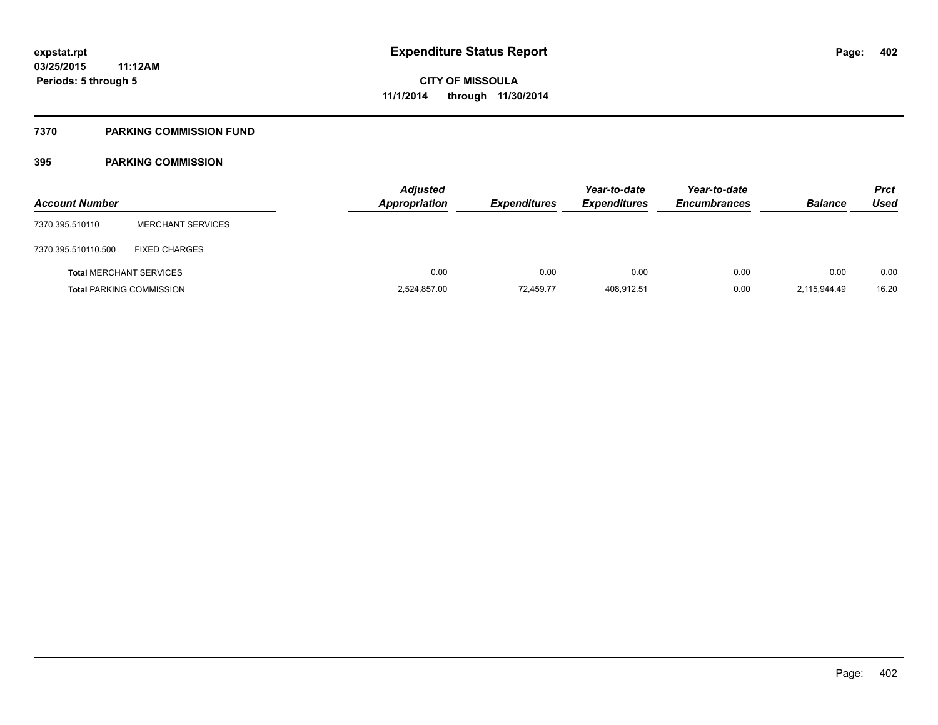#### **7370 PARKING COMMISSION FUND**

| <b>Account Number</b> |                                 | <b>Adjusted</b><br><b>Appropriation</b> | <b>Expenditures</b> | Year-to-date<br><b>Expenditures</b> | Year-to-date<br><b>Encumbrances</b> | <b>Balance</b> | <b>Prct</b><br>Used |
|-----------------------|---------------------------------|-----------------------------------------|---------------------|-------------------------------------|-------------------------------------|----------------|---------------------|
| 7370.395.510110       | <b>MERCHANT SERVICES</b>        |                                         |                     |                                     |                                     |                |                     |
| 7370.395.510110.500   | <b>FIXED CHARGES</b>            |                                         |                     |                                     |                                     |                |                     |
|                       | <b>Total MERCHANT SERVICES</b>  | 0.00                                    | 0.00                | 0.00                                | 0.00                                | 0.00           | 0.00                |
|                       | <b>Total PARKING COMMISSION</b> | 2,524,857.00                            | 72.459.77           | 408,912.51                          | 0.00                                | 2,115,944.49   | 16.20               |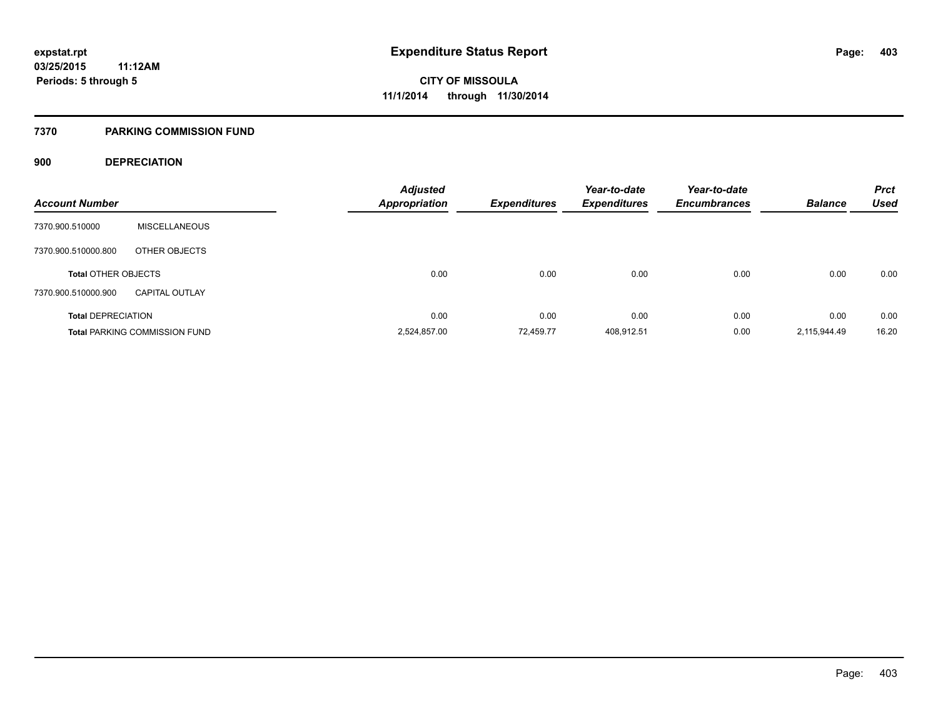#### **7370 PARKING COMMISSION FUND**

#### **900 DEPRECIATION**

|                            |                                      | <b>Adjusted</b>      |                     | Year-to-date        | Year-to-date        | <b>Balance</b> | <b>Prct</b><br><b>Used</b> |
|----------------------------|--------------------------------------|----------------------|---------------------|---------------------|---------------------|----------------|----------------------------|
| <b>Account Number</b>      |                                      | <b>Appropriation</b> | <b>Expenditures</b> | <b>Expenditures</b> | <b>Encumbrances</b> |                |                            |
| 7370.900.510000            | <b>MISCELLANEOUS</b>                 |                      |                     |                     |                     |                |                            |
| 7370.900.510000.800        | OTHER OBJECTS                        |                      |                     |                     |                     |                |                            |
| <b>Total OTHER OBJECTS</b> |                                      | 0.00                 | 0.00                | 0.00                | 0.00                | 0.00           | 0.00                       |
| 7370.900.510000.900        | <b>CAPITAL OUTLAY</b>                |                      |                     |                     |                     |                |                            |
| <b>Total DEPRECIATION</b>  |                                      | 0.00                 | 0.00                | 0.00                | 0.00                | 0.00           | 0.00                       |
|                            | <b>Total PARKING COMMISSION FUND</b> | 2,524,857.00         | 72.459.77           | 408,912.51          | 0.00                | 2,115,944.49   | 16.20                      |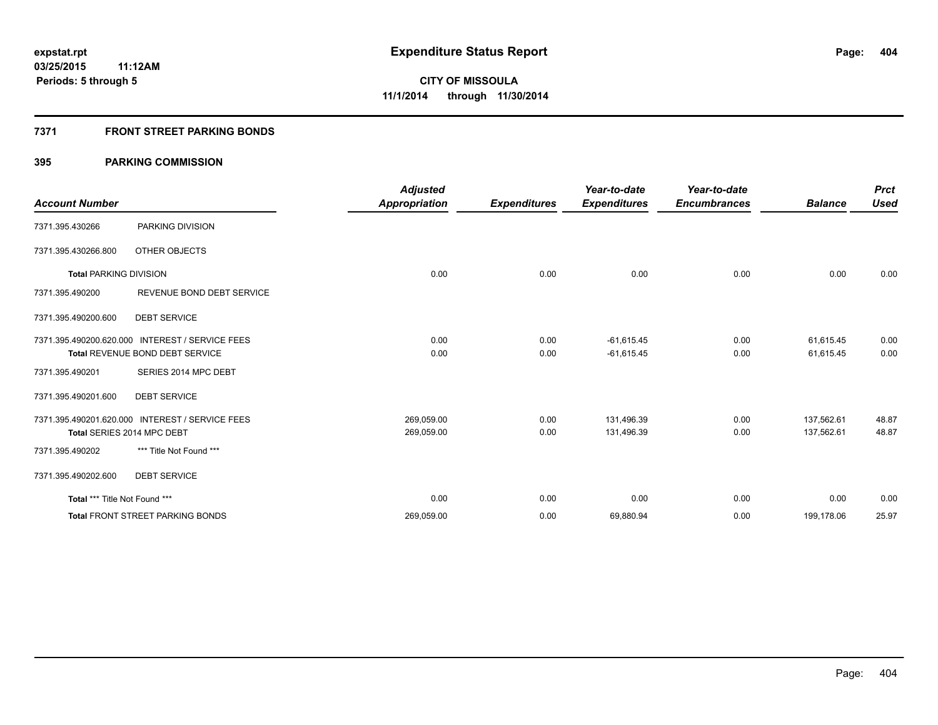### **7371 FRONT STREET PARKING BONDS**

|                               |                                                 | <b>Adjusted</b>      |                     | Year-to-date        | Year-to-date        |                | <b>Prct</b> |
|-------------------------------|-------------------------------------------------|----------------------|---------------------|---------------------|---------------------|----------------|-------------|
| <b>Account Number</b>         |                                                 | <b>Appropriation</b> | <b>Expenditures</b> | <b>Expenditures</b> | <b>Encumbrances</b> | <b>Balance</b> | <b>Used</b> |
| 7371.395.430266               | PARKING DIVISION                                |                      |                     |                     |                     |                |             |
| 7371.395.430266.800           | OTHER OBJECTS                                   |                      |                     |                     |                     |                |             |
| <b>Total PARKING DIVISION</b> |                                                 | 0.00                 | 0.00                | 0.00                | 0.00                | 0.00           | 0.00        |
| 7371.395.490200               | REVENUE BOND DEBT SERVICE                       |                      |                     |                     |                     |                |             |
| 7371.395.490200.600           | <b>DEBT SERVICE</b>                             |                      |                     |                     |                     |                |             |
|                               | 7371.395.490200.620.000 INTEREST / SERVICE FEES | 0.00                 | 0.00                | $-61,615.45$        | 0.00                | 61,615.45      | 0.00        |
|                               | Total REVENUE BOND DEBT SERVICE                 | 0.00                 | 0.00                | $-61,615.45$        | 0.00                | 61,615.45      | 0.00        |
| 7371.395.490201               | SERIES 2014 MPC DEBT                            |                      |                     |                     |                     |                |             |
| 7371.395.490201.600           | <b>DEBT SERVICE</b>                             |                      |                     |                     |                     |                |             |
|                               | 7371.395.490201.620.000 INTEREST / SERVICE FEES | 269,059.00           | 0.00                | 131,496.39          | 0.00                | 137,562.61     | 48.87       |
|                               | Total SERIES 2014 MPC DEBT                      | 269,059.00           | 0.00                | 131,496.39          | 0.00                | 137,562.61     | 48.87       |
| 7371.395.490202               | *** Title Not Found ***                         |                      |                     |                     |                     |                |             |
| 7371.395.490202.600           | <b>DEBT SERVICE</b>                             |                      |                     |                     |                     |                |             |
| Total *** Title Not Found *** |                                                 | 0.00                 | 0.00                | 0.00                | 0.00                | 0.00           | 0.00        |
|                               | <b>Total FRONT STREET PARKING BONDS</b>         | 269,059.00           | 0.00                | 69,880.94           | 0.00                | 199,178.06     | 25.97       |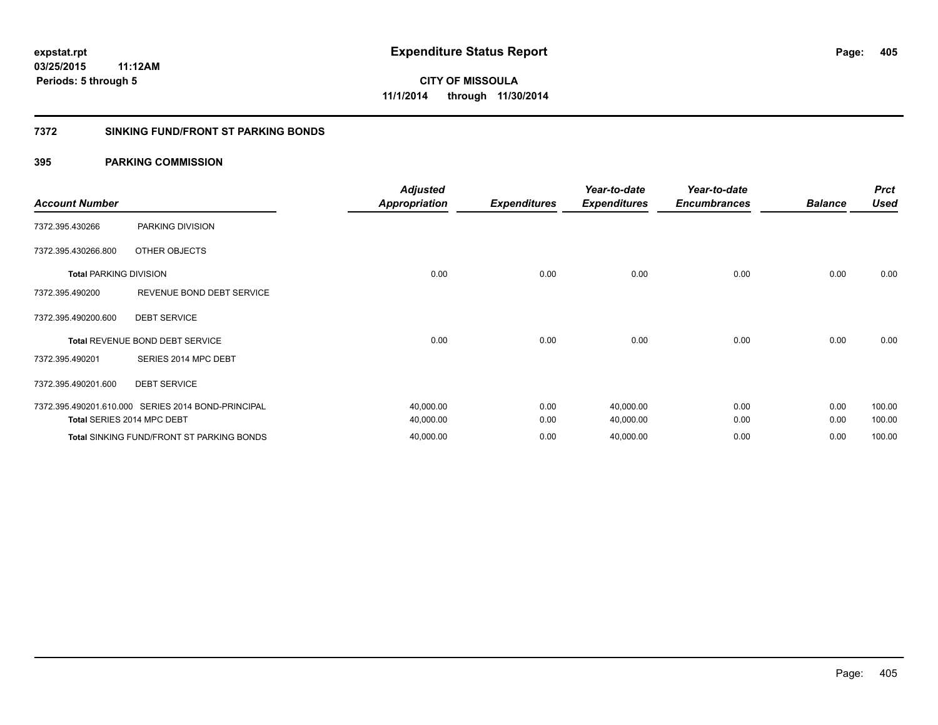#### **7372 SINKING FUND/FRONT ST PARKING BONDS**

| <b>Account Number</b>         |                                                    | <b>Adjusted</b><br><b>Appropriation</b> | <b>Expenditures</b> | Year-to-date<br><b>Expenditures</b> | Year-to-date<br><b>Encumbrances</b> | <b>Balance</b> | <b>Prct</b><br><b>Used</b> |
|-------------------------------|----------------------------------------------------|-----------------------------------------|---------------------|-------------------------------------|-------------------------------------|----------------|----------------------------|
| 7372.395.430266               | PARKING DIVISION                                   |                                         |                     |                                     |                                     |                |                            |
| 7372.395.430266.800           | OTHER OBJECTS                                      |                                         |                     |                                     |                                     |                |                            |
| <b>Total PARKING DIVISION</b> |                                                    | 0.00                                    | 0.00                | 0.00                                | 0.00                                | 0.00           | 0.00                       |
| 7372.395.490200               | REVENUE BOND DEBT SERVICE                          |                                         |                     |                                     |                                     |                |                            |
| 7372.395.490200.600           | <b>DEBT SERVICE</b>                                |                                         |                     |                                     |                                     |                |                            |
|                               | Total REVENUE BOND DEBT SERVICE                    | 0.00                                    | 0.00                | 0.00                                | 0.00                                | 0.00           | 0.00                       |
| 7372.395.490201               | SERIES 2014 MPC DEBT                               |                                         |                     |                                     |                                     |                |                            |
| 7372.395.490201.600           | <b>DEBT SERVICE</b>                                |                                         |                     |                                     |                                     |                |                            |
|                               | 7372.395.490201.610.000 SERIES 2014 BOND-PRINCIPAL | 40,000.00                               | 0.00                | 40,000.00                           | 0.00                                | 0.00           | 100.00                     |
|                               | Total SERIES 2014 MPC DEBT                         | 40,000.00                               | 0.00                | 40,000.00                           | 0.00                                | 0.00           | 100.00                     |
|                               | Total SINKING FUND/FRONT ST PARKING BONDS          | 40,000.00                               | 0.00                | 40,000.00                           | 0.00                                | 0.00           | 100.00                     |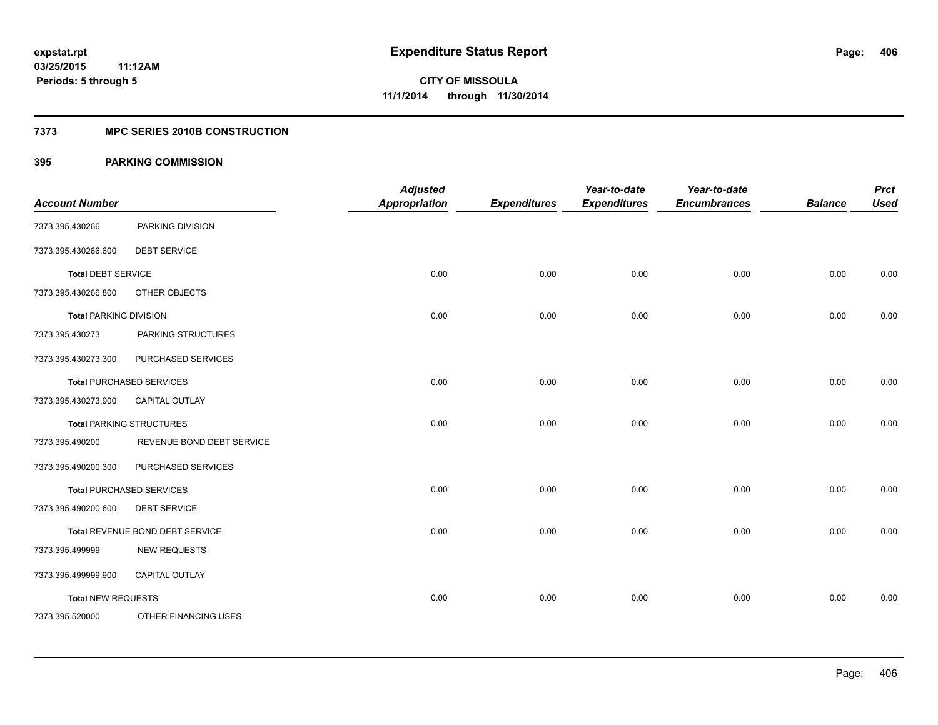### **7373 MPC SERIES 2010B CONSTRUCTION**

| <b>Account Number</b>         |                                 | <b>Adjusted</b><br><b>Appropriation</b> | <b>Expenditures</b> | Year-to-date<br><b>Expenditures</b> | Year-to-date<br><b>Encumbrances</b> | <b>Balance</b> | <b>Prct</b><br><b>Used</b> |
|-------------------------------|---------------------------------|-----------------------------------------|---------------------|-------------------------------------|-------------------------------------|----------------|----------------------------|
| 7373.395.430266               | PARKING DIVISION                |                                         |                     |                                     |                                     |                |                            |
| 7373.395.430266.600           | <b>DEBT SERVICE</b>             |                                         |                     |                                     |                                     |                |                            |
| <b>Total DEBT SERVICE</b>     |                                 | 0.00                                    | 0.00                | 0.00                                | 0.00                                | 0.00           | 0.00                       |
| 7373.395.430266.800           | OTHER OBJECTS                   |                                         |                     |                                     |                                     |                |                            |
| <b>Total PARKING DIVISION</b> |                                 | 0.00                                    | 0.00                | 0.00                                | 0.00                                | 0.00           | 0.00                       |
| 7373.395.430273               | PARKING STRUCTURES              |                                         |                     |                                     |                                     |                |                            |
| 7373.395.430273.300           | PURCHASED SERVICES              |                                         |                     |                                     |                                     |                |                            |
|                               | <b>Total PURCHASED SERVICES</b> | 0.00                                    | 0.00                | 0.00                                | 0.00                                | 0.00           | 0.00                       |
| 7373.395.430273.900           | CAPITAL OUTLAY                  |                                         |                     |                                     |                                     |                |                            |
|                               | <b>Total PARKING STRUCTURES</b> | 0.00                                    | 0.00                | 0.00                                | 0.00                                | 0.00           | 0.00                       |
| 7373.395.490200               | REVENUE BOND DEBT SERVICE       |                                         |                     |                                     |                                     |                |                            |
| 7373.395.490200.300           | PURCHASED SERVICES              |                                         |                     |                                     |                                     |                |                            |
|                               | <b>Total PURCHASED SERVICES</b> | 0.00                                    | 0.00                | 0.00                                | 0.00                                | 0.00           | 0.00                       |
| 7373.395.490200.600           | <b>DEBT SERVICE</b>             |                                         |                     |                                     |                                     |                |                            |
|                               | Total REVENUE BOND DEBT SERVICE | 0.00                                    | 0.00                | 0.00                                | 0.00                                | 0.00           | 0.00                       |
| 7373.395.499999               | <b>NEW REQUESTS</b>             |                                         |                     |                                     |                                     |                |                            |
| 7373.395.499999.900           | <b>CAPITAL OUTLAY</b>           |                                         |                     |                                     |                                     |                |                            |
| <b>Total NEW REQUESTS</b>     |                                 | 0.00                                    | 0.00                | 0.00                                | 0.00                                | 0.00           | 0.00                       |
| 7373.395.520000               | OTHER FINANCING USES            |                                         |                     |                                     |                                     |                |                            |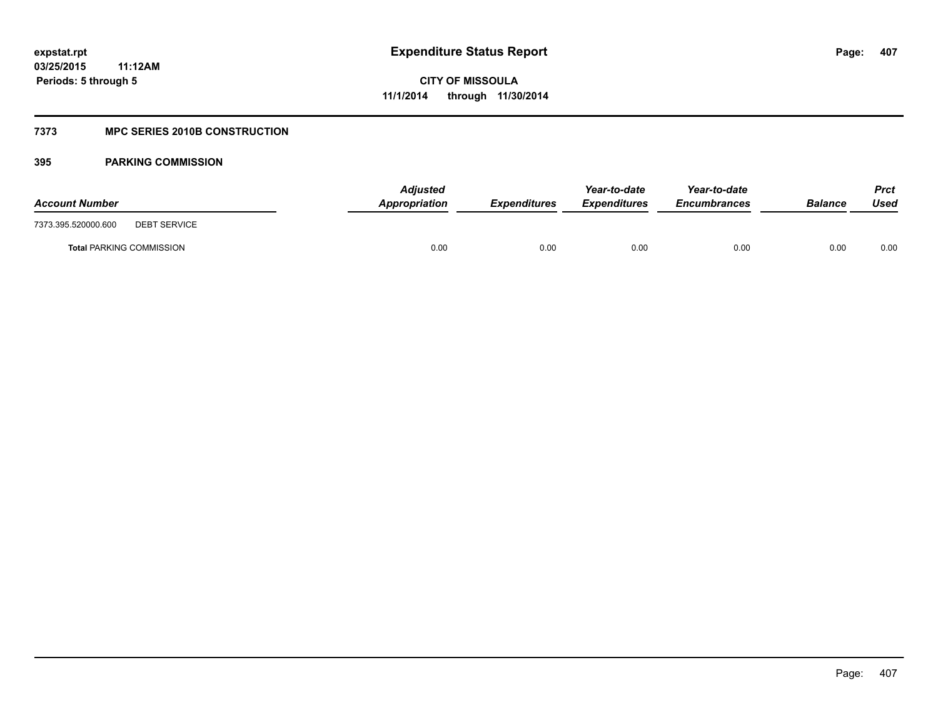### **7373 MPC SERIES 2010B CONSTRUCTION**

| <b>Account Number</b>                      | <b>Adjusted</b><br>Appropriation | <b>Expenditures</b> | Year-to-date<br><b>Expenditures</b> | Year-to-date<br><b>Encumbrances</b> | <b>Balance</b> | Prct<br>Used |
|--------------------------------------------|----------------------------------|---------------------|-------------------------------------|-------------------------------------|----------------|--------------|
| 7373.395.520000.600<br><b>DEBT SERVICE</b> |                                  |                     |                                     |                                     |                |              |
| <b>Total PARKING COMMISSION</b>            | 0.00                             | 0.00                | 0.00                                | 0.00                                | 0.00           | 0.00         |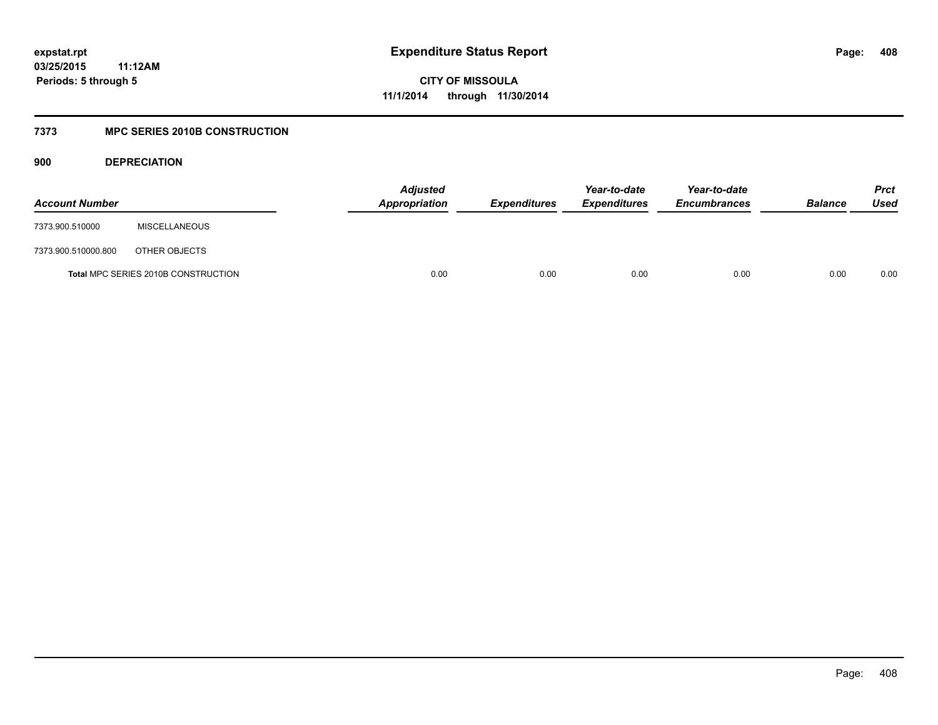**CITY OF MISSOULA 11/1/2014 through 11/30/2014**

### **7373 MPC SERIES 2010B CONSTRUCTION**

**900 DEPRECIATION**

| <b>Account Number</b> |                                            | <b>Adjusted</b><br>Appropriation | <b>Expenditures</b> | Year-to-date<br><b>Expenditures</b> | Year-to-date<br><b>Encumbrances</b> | <b>Balance</b> | <b>Prct</b><br>Used |
|-----------------------|--------------------------------------------|----------------------------------|---------------------|-------------------------------------|-------------------------------------|----------------|---------------------|
| 7373.900.510000       | <b>MISCELLANEOUS</b>                       |                                  |                     |                                     |                                     |                |                     |
| 7373.900.510000.800   | OTHER OBJECTS                              |                                  |                     |                                     |                                     |                |                     |
|                       | <b>Total MPC SERIES 2010B CONSTRUCTION</b> | 0.00                             | 0.00                | 0.00                                | 0.00                                | 0.00           | 0.00                |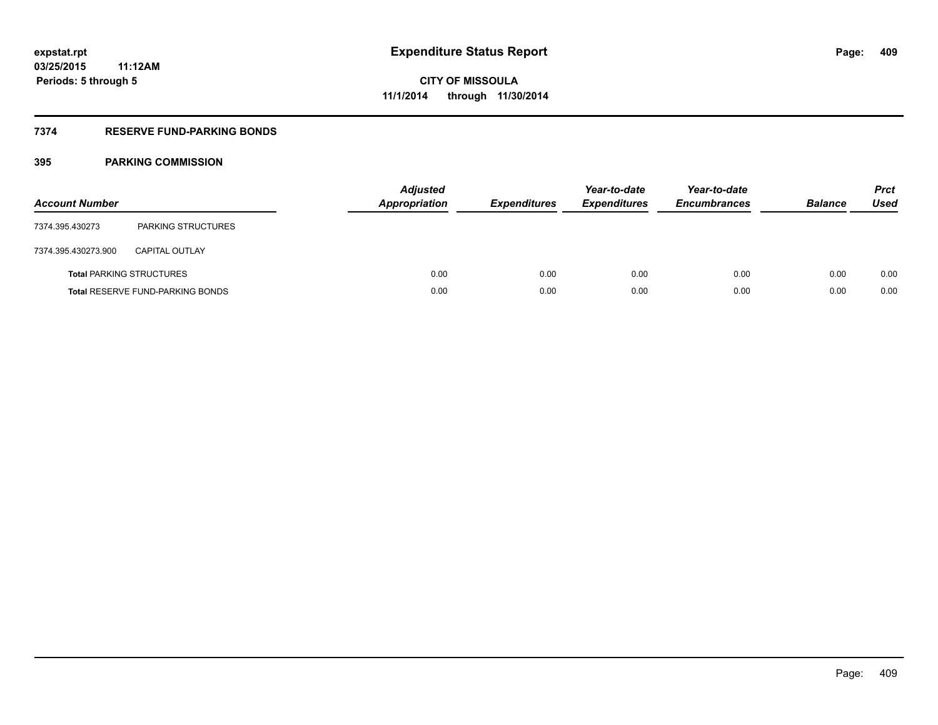### **7374 RESERVE FUND-PARKING BONDS**

| <b>Account Number</b> |                                         | <b>Adjusted</b><br>Appropriation | <b>Expenditures</b> | Year-to-date<br><b>Expenditures</b> | Year-to-date<br><b>Encumbrances</b> | <b>Balance</b> | <b>Prct</b><br>Used |
|-----------------------|-----------------------------------------|----------------------------------|---------------------|-------------------------------------|-------------------------------------|----------------|---------------------|
| 7374.395.430273       | <b>PARKING STRUCTURES</b>               |                                  |                     |                                     |                                     |                |                     |
| 7374.395.430273.900   | <b>CAPITAL OUTLAY</b>                   |                                  |                     |                                     |                                     |                |                     |
|                       | <b>Total PARKING STRUCTURES</b>         | 0.00                             | 0.00                | 0.00                                | 0.00                                | 0.00           | 0.00                |
|                       | <b>Total RESERVE FUND-PARKING BONDS</b> | 0.00                             | 0.00                | 0.00                                | 0.00                                | 0.00           | 0.00                |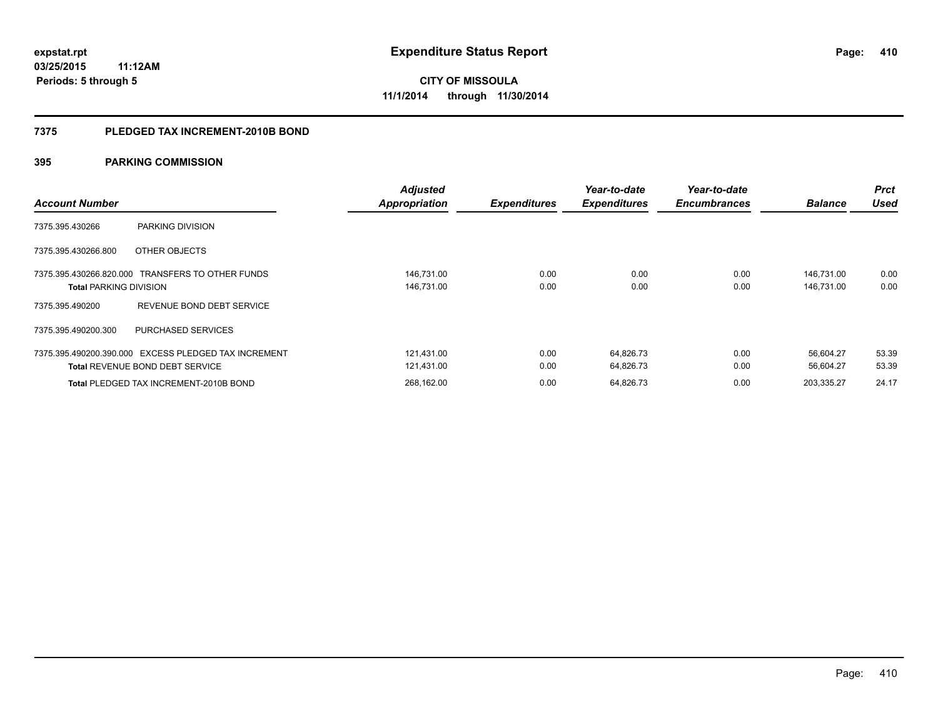#### **7375 PLEDGED TAX INCREMENT-2010B BOND**

| <b>Account Number</b>                                                                          | Adjusted<br><b>Appropriation</b> | <b>Expenditures</b> | Year-to-date<br><b>Expenditures</b> | Year-to-date<br><b>Encumbrances</b> | <b>Balance</b>           | <b>Prct</b><br><b>Used</b> |
|------------------------------------------------------------------------------------------------|----------------------------------|---------------------|-------------------------------------|-------------------------------------|--------------------------|----------------------------|
| 7375.395.430266<br>PARKING DIVISION                                                            |                                  |                     |                                     |                                     |                          |                            |
| 7375.395.430266.800<br>OTHER OBJECTS                                                           |                                  |                     |                                     |                                     |                          |                            |
| 7375.395.430266.820.000 TRANSFERS TO OTHER FUNDS<br><b>Total PARKING DIVISION</b>              | 146,731.00<br>146,731.00         | 0.00<br>0.00        | 0.00<br>0.00                        | 0.00<br>0.00                        | 146,731.00<br>146,731.00 | 0.00<br>0.00               |
| REVENUE BOND DEBT SERVICE<br>7375.395.490200                                                   |                                  |                     |                                     |                                     |                          |                            |
| 7375.395.490200.300<br><b>PURCHASED SERVICES</b>                                               |                                  |                     |                                     |                                     |                          |                            |
| 7375.395.490200.390.000 EXCESS PLEDGED TAX INCREMENT<br><b>Total REVENUE BOND DEBT SERVICE</b> | 121,431.00<br>121,431.00         | 0.00<br>0.00        | 64,826.73<br>64,826.73              | 0.00<br>0.00                        | 56.604.27<br>56,604.27   | 53.39<br>53.39             |
| Total PLEDGED TAX INCREMENT-2010B BOND                                                         | 268.162.00                       | 0.00                | 64.826.73                           | 0.00                                | 203.335.27               | 24.17                      |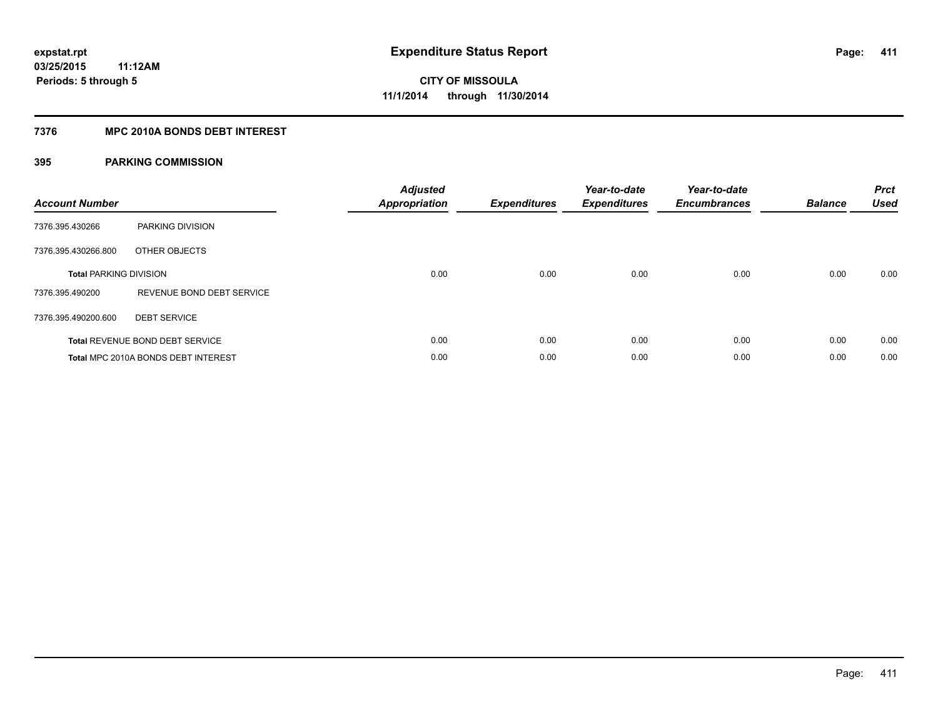#### **7376 MPC 2010A BONDS DEBT INTEREST**

| <b>Account Number</b>         |                                        | <b>Adjusted</b><br>Appropriation | <b>Expenditures</b> | Year-to-date<br><b>Expenditures</b> | Year-to-date<br><b>Encumbrances</b> | <b>Balance</b> | <b>Prct</b><br><b>Used</b> |
|-------------------------------|----------------------------------------|----------------------------------|---------------------|-------------------------------------|-------------------------------------|----------------|----------------------------|
| 7376.395.430266               | <b>PARKING DIVISION</b>                |                                  |                     |                                     |                                     |                |                            |
| 7376.395.430266.800           | OTHER OBJECTS                          |                                  |                     |                                     |                                     |                |                            |
| <b>Total PARKING DIVISION</b> |                                        | 0.00                             | 0.00                | 0.00                                | 0.00                                | 0.00           | 0.00                       |
| 7376.395.490200               | REVENUE BOND DEBT SERVICE              |                                  |                     |                                     |                                     |                |                            |
| 7376.395.490200.600           | <b>DEBT SERVICE</b>                    |                                  |                     |                                     |                                     |                |                            |
|                               | <b>Total REVENUE BOND DEBT SERVICE</b> | 0.00                             | 0.00                | 0.00                                | 0.00                                | 0.00           | 0.00                       |
|                               | Total MPC 2010A BONDS DEBT INTEREST    | 0.00                             | 0.00                | 0.00                                | 0.00                                | 0.00           | 0.00                       |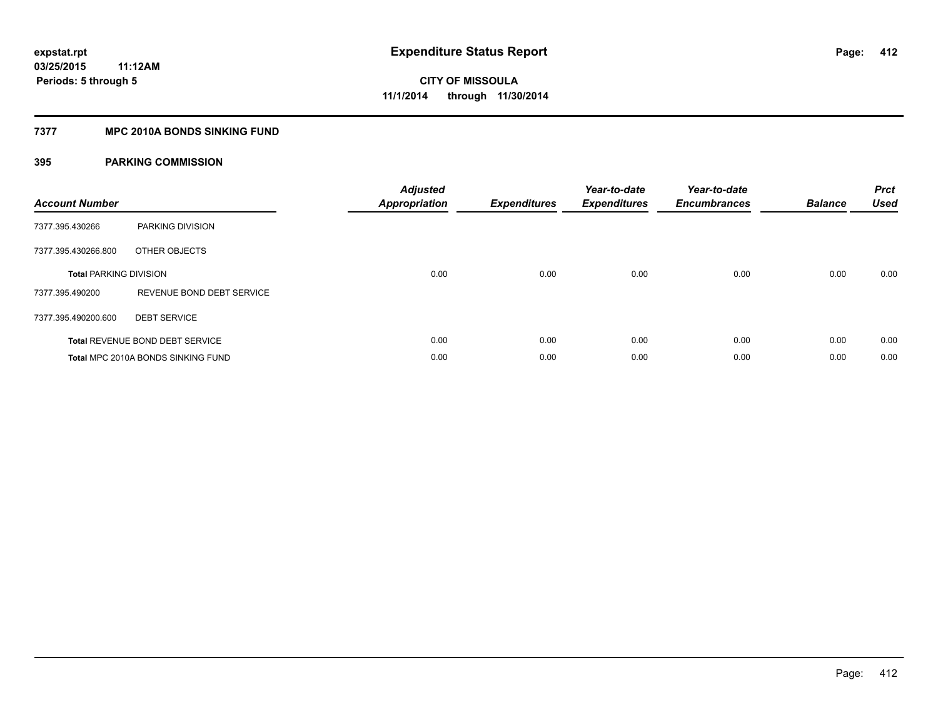#### **7377 MPC 2010A BONDS SINKING FUND**

| <b>Account Number</b>         |                                        | <b>Adjusted</b><br><b>Appropriation</b> | <b>Expenditures</b> | Year-to-date<br><b>Expenditures</b> | Year-to-date<br><b>Encumbrances</b> | <b>Balance</b> | <b>Prct</b><br><b>Used</b> |
|-------------------------------|----------------------------------------|-----------------------------------------|---------------------|-------------------------------------|-------------------------------------|----------------|----------------------------|
| 7377.395.430266               | PARKING DIVISION                       |                                         |                     |                                     |                                     |                |                            |
| 7377.395.430266.800           | OTHER OBJECTS                          |                                         |                     |                                     |                                     |                |                            |
| <b>Total PARKING DIVISION</b> |                                        | 0.00                                    | 0.00                | 0.00                                | 0.00                                | 0.00           | 0.00                       |
| 7377.395.490200               | REVENUE BOND DEBT SERVICE              |                                         |                     |                                     |                                     |                |                            |
| 7377.395.490200.600           | <b>DEBT SERVICE</b>                    |                                         |                     |                                     |                                     |                |                            |
|                               | <b>Total REVENUE BOND DEBT SERVICE</b> | 0.00                                    | 0.00                | 0.00                                | 0.00                                | 0.00           | 0.00                       |
|                               | Total MPC 2010A BONDS SINKING FUND     | 0.00                                    | 0.00                | 0.00                                | 0.00                                | 0.00           | 0.00                       |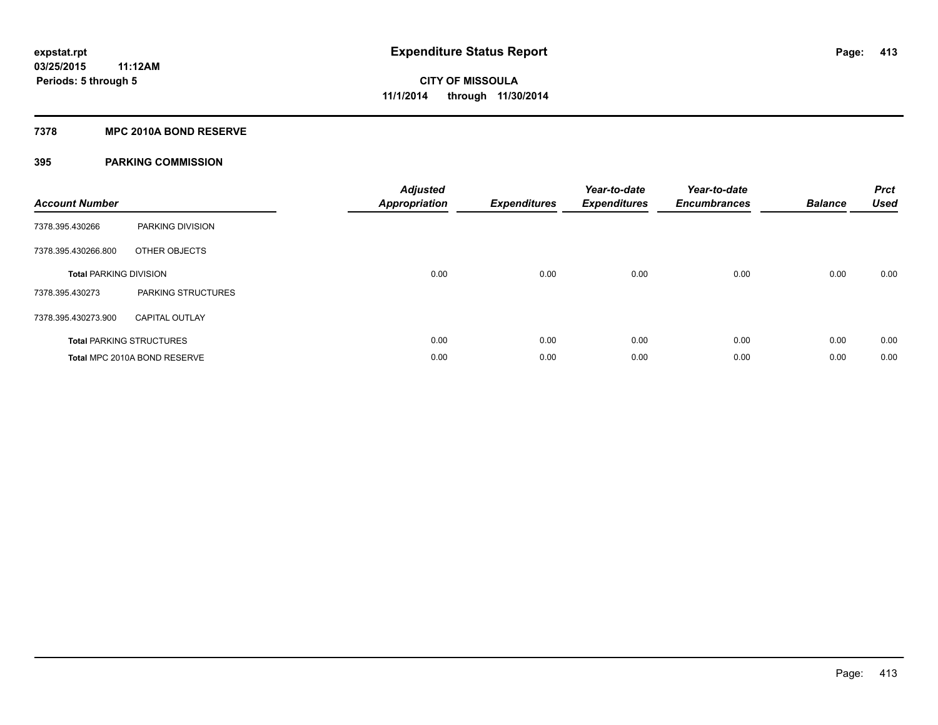#### **7378 MPC 2010A BOND RESERVE**

| <b>Account Number</b>         |                                 | <b>Adjusted</b><br><b>Appropriation</b> | <b>Expenditures</b> | Year-to-date<br><b>Expenditures</b> | Year-to-date<br><b>Encumbrances</b> | <b>Balance</b> | <b>Prct</b><br><b>Used</b> |
|-------------------------------|---------------------------------|-----------------------------------------|---------------------|-------------------------------------|-------------------------------------|----------------|----------------------------|
| 7378.395.430266               | PARKING DIVISION                |                                         |                     |                                     |                                     |                |                            |
| 7378.395.430266.800           | OTHER OBJECTS                   |                                         |                     |                                     |                                     |                |                            |
| <b>Total PARKING DIVISION</b> |                                 | 0.00                                    | 0.00                | 0.00                                | 0.00                                | 0.00           | 0.00                       |
| 7378.395.430273               | <b>PARKING STRUCTURES</b>       |                                         |                     |                                     |                                     |                |                            |
| 7378.395.430273.900           | <b>CAPITAL OUTLAY</b>           |                                         |                     |                                     |                                     |                |                            |
|                               | <b>Total PARKING STRUCTURES</b> | 0.00                                    | 0.00                | 0.00                                | 0.00                                | 0.00           | 0.00                       |
|                               | Total MPC 2010A BOND RESERVE    | 0.00                                    | 0.00                | 0.00                                | 0.00                                | 0.00           | 0.00                       |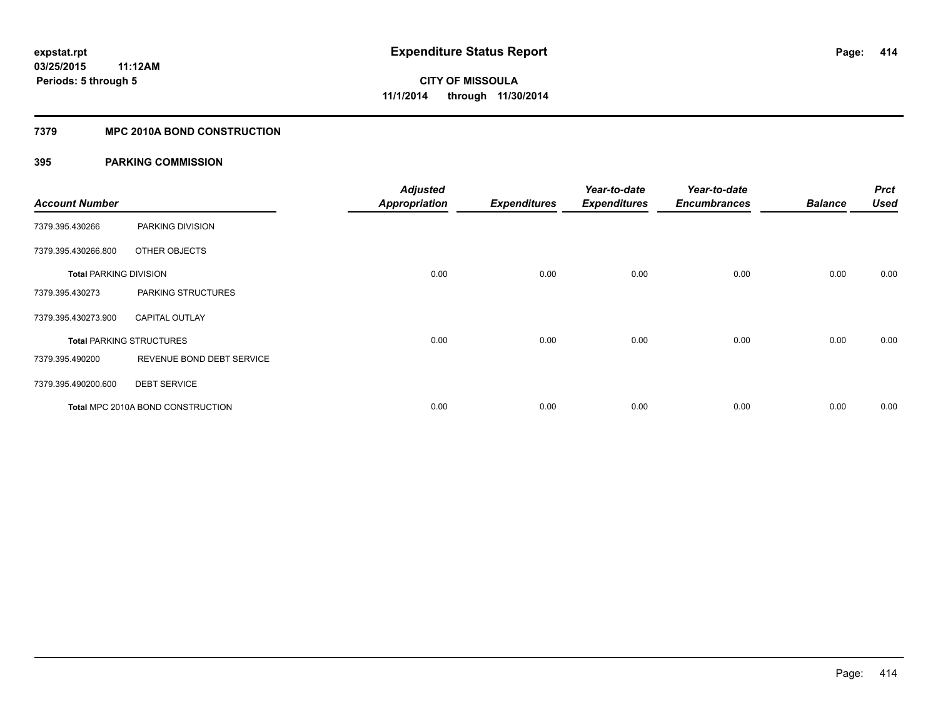### **7379 MPC 2010A BOND CONSTRUCTION**

| <b>Account Number</b>         |                                          | <b>Adjusted</b><br><b>Appropriation</b> | <b>Expenditures</b> | Year-to-date<br><b>Expenditures</b> | Year-to-date<br><b>Encumbrances</b> | <b>Balance</b> | <b>Prct</b><br>Used |
|-------------------------------|------------------------------------------|-----------------------------------------|---------------------|-------------------------------------|-------------------------------------|----------------|---------------------|
| 7379.395.430266               | PARKING DIVISION                         |                                         |                     |                                     |                                     |                |                     |
| 7379.395.430266.800           | OTHER OBJECTS                            |                                         |                     |                                     |                                     |                |                     |
| <b>Total PARKING DIVISION</b> |                                          | 0.00                                    | 0.00                | 0.00                                | 0.00                                | 0.00           | 0.00                |
| 7379.395.430273               | PARKING STRUCTURES                       |                                         |                     |                                     |                                     |                |                     |
| 7379.395.430273.900           | <b>CAPITAL OUTLAY</b>                    |                                         |                     |                                     |                                     |                |                     |
|                               | <b>Total PARKING STRUCTURES</b>          | 0.00                                    | 0.00                | 0.00                                | 0.00                                | 0.00           | 0.00                |
| 7379.395.490200               | REVENUE BOND DEBT SERVICE                |                                         |                     |                                     |                                     |                |                     |
| 7379.395.490200.600           | <b>DEBT SERVICE</b>                      |                                         |                     |                                     |                                     |                |                     |
|                               | <b>Total MPC 2010A BOND CONSTRUCTION</b> | 0.00                                    | 0.00                | 0.00                                | 0.00                                | 0.00           | 0.00                |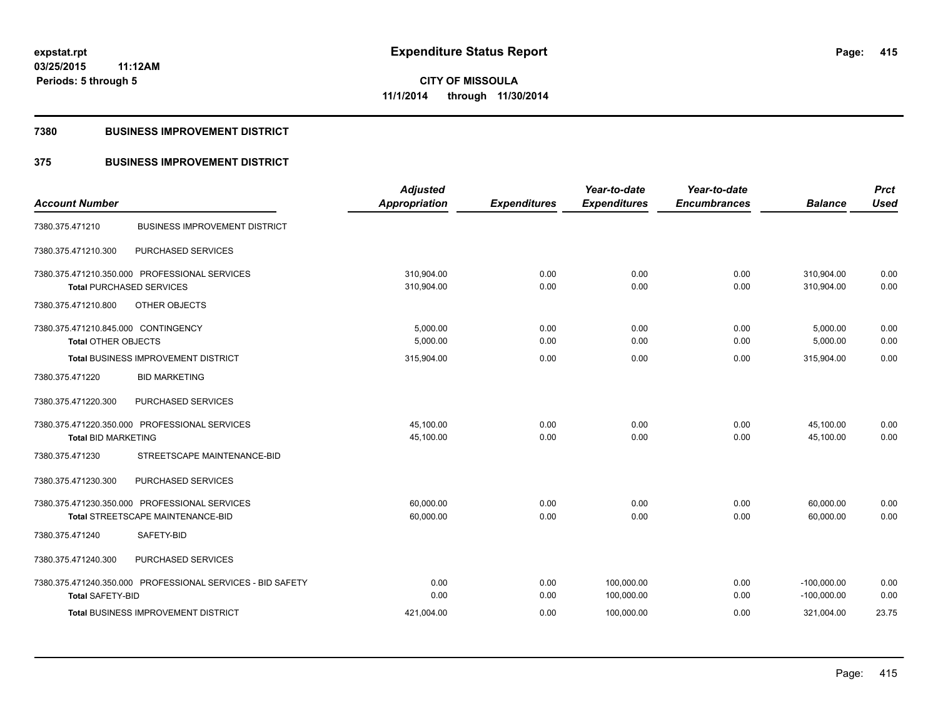**Periods: 5 through 5**

**CITY OF MISSOULA 11/1/2014 through 11/30/2014**

#### **7380 BUSINESS IMPROVEMENT DISTRICT**

### **375 BUSINESS IMPROVEMENT DISTRICT**

| <b>Account Number</b>                                      | <b>Adjusted</b><br><b>Appropriation</b> | <b>Expenditures</b> | Year-to-date<br><b>Expenditures</b> | Year-to-date<br><b>Encumbrances</b> | <b>Balance</b> | <b>Prct</b><br><b>Used</b> |
|------------------------------------------------------------|-----------------------------------------|---------------------|-------------------------------------|-------------------------------------|----------------|----------------------------|
|                                                            |                                         |                     |                                     |                                     |                |                            |
| <b>BUSINESS IMPROVEMENT DISTRICT</b><br>7380.375.471210    |                                         |                     |                                     |                                     |                |                            |
| PURCHASED SERVICES<br>7380.375.471210.300                  |                                         |                     |                                     |                                     |                |                            |
| 7380.375.471210.350.000 PROFESSIONAL SERVICES              | 310,904.00                              | 0.00                | 0.00                                | 0.00                                | 310,904.00     | 0.00                       |
| <b>Total PURCHASED SERVICES</b>                            | 310,904.00                              | 0.00                | 0.00                                | 0.00                                | 310.904.00     | 0.00                       |
| 7380.375.471210.800<br>OTHER OBJECTS                       |                                         |                     |                                     |                                     |                |                            |
| 7380.375.471210.845.000 CONTINGENCY                        | 5,000.00                                | 0.00                | 0.00                                | 0.00                                | 5,000.00       | 0.00                       |
| <b>Total OTHER OBJECTS</b>                                 | 5,000.00                                | 0.00                | 0.00                                | 0.00                                | 5,000.00       | 0.00                       |
| <b>Total BUSINESS IMPROVEMENT DISTRICT</b>                 | 315,904.00                              | 0.00                | 0.00                                | 0.00                                | 315,904.00     | 0.00                       |
| 7380.375.471220<br><b>BID MARKETING</b>                    |                                         |                     |                                     |                                     |                |                            |
| PURCHASED SERVICES<br>7380.375.471220.300                  |                                         |                     |                                     |                                     |                |                            |
| 7380.375.471220.350.000 PROFESSIONAL SERVICES              | 45,100.00                               | 0.00                | 0.00                                | 0.00                                | 45,100.00      | 0.00                       |
| <b>Total BID MARKETING</b>                                 | 45,100.00                               | 0.00                | 0.00                                | 0.00                                | 45,100.00      | 0.00                       |
| STREETSCAPE MAINTENANCE-BID<br>7380.375.471230             |                                         |                     |                                     |                                     |                |                            |
| 7380.375.471230.300<br>PURCHASED SERVICES                  |                                         |                     |                                     |                                     |                |                            |
| 7380.375.471230.350.000 PROFESSIONAL SERVICES              | 60,000.00                               | 0.00                | 0.00                                | 0.00                                | 60,000.00      | 0.00                       |
| Total STREETSCAPE MAINTENANCE-BID                          | 60,000.00                               | 0.00                | 0.00                                | 0.00                                | 60,000.00      | 0.00                       |
| SAFETY-BID<br>7380.375.471240                              |                                         |                     |                                     |                                     |                |                            |
| 7380.375.471240.300<br>PURCHASED SERVICES                  |                                         |                     |                                     |                                     |                |                            |
| 7380.375.471240.350.000 PROFESSIONAL SERVICES - BID SAFETY | 0.00                                    | 0.00                | 100,000.00                          | 0.00                                | $-100,000.00$  | 0.00                       |
| <b>Total SAFETY-BID</b>                                    | 0.00                                    | 0.00                | 100,000.00                          | 0.00                                | $-100,000.00$  | 0.00                       |
| <b>Total BUSINESS IMPROVEMENT DISTRICT</b>                 | 421,004.00                              | 0.00                | 100,000.00                          | 0.00                                | 321,004.00     | 23.75                      |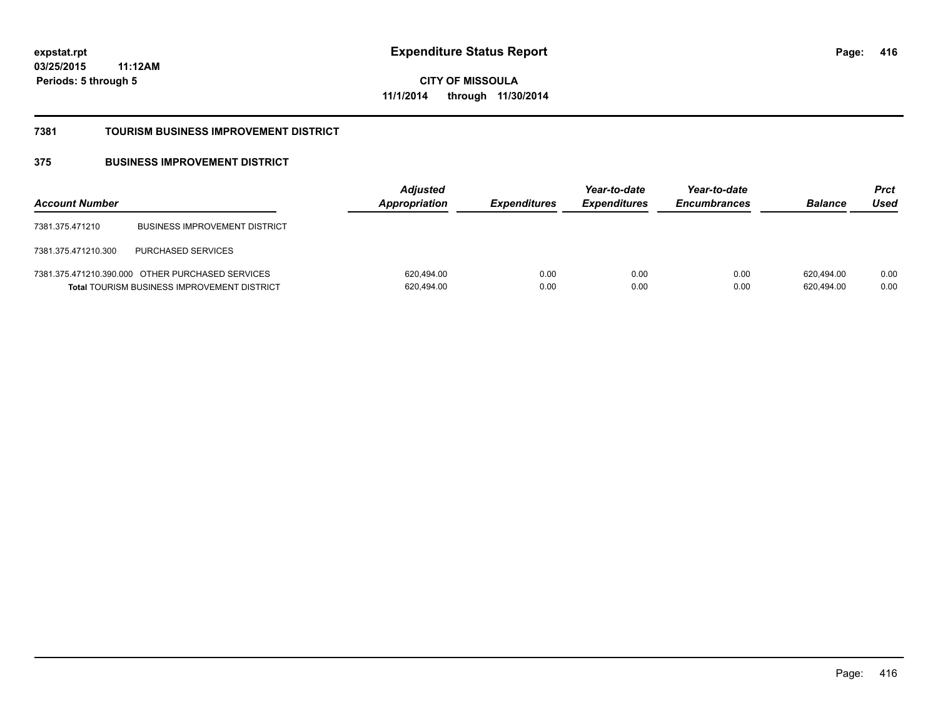**CITY OF MISSOULA 11/1/2014 through 11/30/2014**

#### **7381 TOURISM BUSINESS IMPROVEMENT DISTRICT**

### **375 BUSINESS IMPROVEMENT DISTRICT**

| <b>Account Number</b> |                                                                                                        | <b>Adjusted</b><br>Appropriation | <b>Expenditures</b> | Year-to-date<br><b>Expenditures</b> | Year-to-date<br><b>Encumbrances</b> | <b>Balance</b>           | <b>Prct</b><br>Used |
|-----------------------|--------------------------------------------------------------------------------------------------------|----------------------------------|---------------------|-------------------------------------|-------------------------------------|--------------------------|---------------------|
| 7381.375.471210       | <b>BUSINESS IMPROVEMENT DISTRICT</b>                                                                   |                                  |                     |                                     |                                     |                          |                     |
| 7381.375.471210.300   | <b>PURCHASED SERVICES</b>                                                                              |                                  |                     |                                     |                                     |                          |                     |
|                       | 7381.375.471210.390.000 OTHER PURCHASED SERVICES<br><b>Total TOURISM BUSINESS IMPROVEMENT DISTRICT</b> | 620,494.00<br>620,494.00         | 0.00<br>0.00        | 0.00<br>0.00                        | 0.00<br>0.00                        | 620.494.00<br>620,494.00 | 0.00<br>0.00        |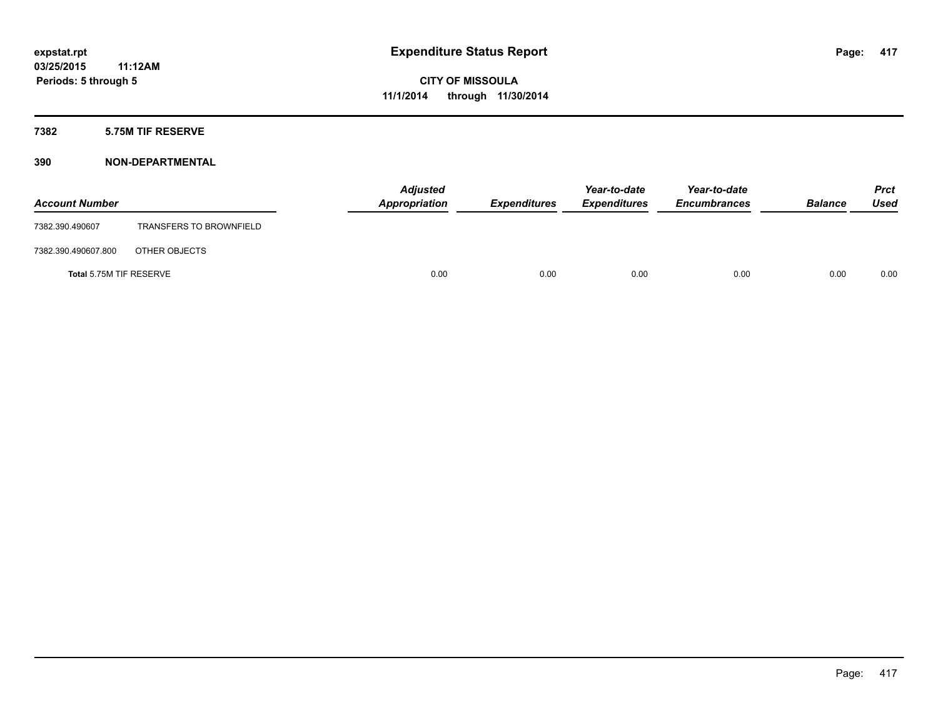### **7382 5.75M TIF RESERVE**

| <b>Account Number</b>   |                                | <b>Adjusted</b><br>Appropriation | <b>Expenditures</b> | Year-to-date<br><b>Expenditures</b> | Year-to-date<br><b>Encumbrances</b> | <b>Balance</b> | <b>Prct</b><br><b>Used</b> |
|-------------------------|--------------------------------|----------------------------------|---------------------|-------------------------------------|-------------------------------------|----------------|----------------------------|
| 7382.390.490607         | <b>TRANSFERS TO BROWNFIELD</b> |                                  |                     |                                     |                                     |                |                            |
| 7382.390.490607.800     | OTHER OBJECTS                  |                                  |                     |                                     |                                     |                |                            |
| Total 5.75M TIF RESERVE |                                | 0.00                             | 0.00                | 0.00                                | 0.00                                | 0.00           | 0.00                       |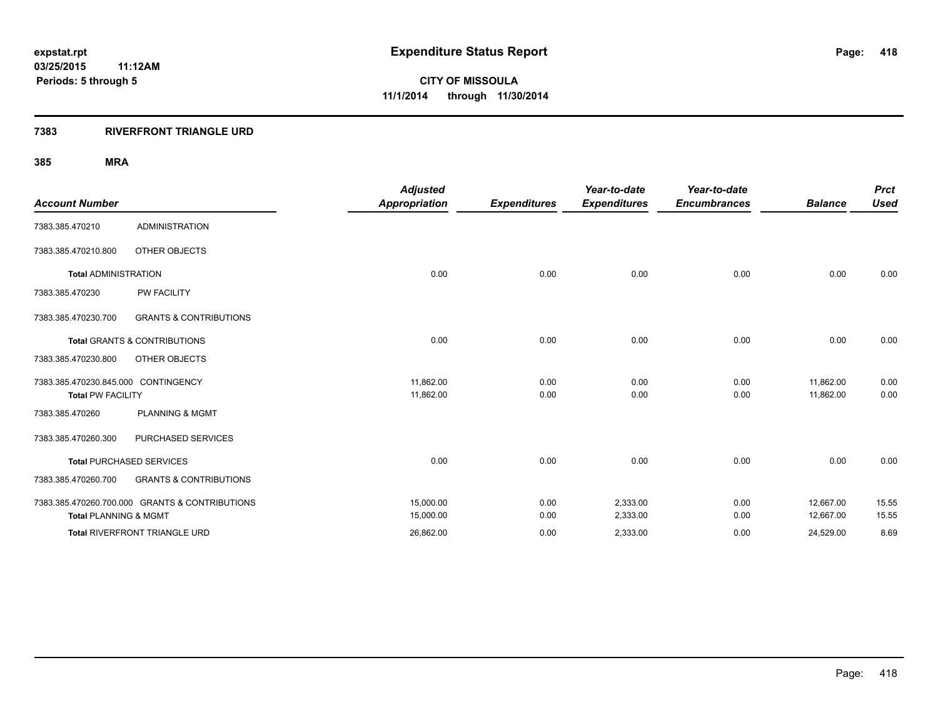#### **7383 RIVERFRONT TRIANGLE URD**

|                                     |                                                | <b>Adjusted</b>      |                     | Year-to-date        | Year-to-date        |                | <b>Prct</b> |
|-------------------------------------|------------------------------------------------|----------------------|---------------------|---------------------|---------------------|----------------|-------------|
| <b>Account Number</b>               |                                                | <b>Appropriation</b> | <b>Expenditures</b> | <b>Expenditures</b> | <b>Encumbrances</b> | <b>Balance</b> | <b>Used</b> |
| 7383.385.470210                     | <b>ADMINISTRATION</b>                          |                      |                     |                     |                     |                |             |
| 7383.385.470210.800                 | OTHER OBJECTS                                  |                      |                     |                     |                     |                |             |
| <b>Total ADMINISTRATION</b>         |                                                | 0.00                 | 0.00                | 0.00                | 0.00                | 0.00           | 0.00        |
| 7383.385.470230                     | <b>PW FACILITY</b>                             |                      |                     |                     |                     |                |             |
| 7383.385.470230.700                 | <b>GRANTS &amp; CONTRIBUTIONS</b>              |                      |                     |                     |                     |                |             |
|                                     | <b>Total GRANTS &amp; CONTRIBUTIONS</b>        | 0.00                 | 0.00                | 0.00                | 0.00                | 0.00           | 0.00        |
| 7383.385.470230.800                 | OTHER OBJECTS                                  |                      |                     |                     |                     |                |             |
| 7383.385.470230.845.000 CONTINGENCY |                                                | 11,862.00            | 0.00                | 0.00                | 0.00                | 11,862.00      | 0.00        |
| <b>Total PW FACILITY</b>            |                                                | 11,862.00            | 0.00                | 0.00                | 0.00                | 11,862.00      | 0.00        |
| 7383.385.470260                     | <b>PLANNING &amp; MGMT</b>                     |                      |                     |                     |                     |                |             |
| 7383.385.470260.300                 | PURCHASED SERVICES                             |                      |                     |                     |                     |                |             |
|                                     | <b>Total PURCHASED SERVICES</b>                | 0.00                 | 0.00                | 0.00                | 0.00                | 0.00           | 0.00        |
| 7383.385.470260.700                 | <b>GRANTS &amp; CONTRIBUTIONS</b>              |                      |                     |                     |                     |                |             |
|                                     | 7383.385.470260.700.000 GRANTS & CONTRIBUTIONS | 15,000.00            | 0.00                | 2,333.00            | 0.00                | 12,667.00      | 15.55       |
| <b>Total PLANNING &amp; MGMT</b>    |                                                | 15,000.00            | 0.00                | 2,333.00            | 0.00                | 12,667.00      | 15.55       |
|                                     | Total RIVERFRONT TRIANGLE URD                  | 26,862.00            | 0.00                | 2,333.00            | 0.00                | 24,529.00      | 8.69        |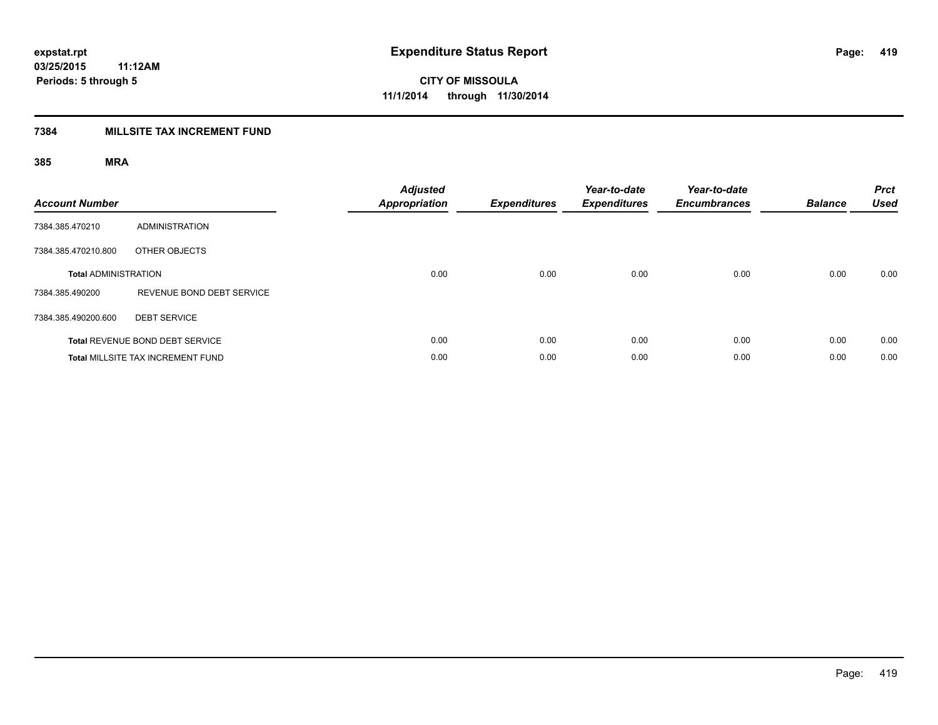### **7384 MILLSITE TAX INCREMENT FUND**

| <b>Account Number</b>       |                                          | <b>Adjusted</b><br><b>Appropriation</b> | <b>Expenditures</b> | Year-to-date<br><b>Expenditures</b> | Year-to-date<br><b>Encumbrances</b> | <b>Balance</b> | <b>Prct</b><br><b>Used</b> |
|-----------------------------|------------------------------------------|-----------------------------------------|---------------------|-------------------------------------|-------------------------------------|----------------|----------------------------|
| 7384.385.470210             | <b>ADMINISTRATION</b>                    |                                         |                     |                                     |                                     |                |                            |
| 7384.385.470210.800         | OTHER OBJECTS                            |                                         |                     |                                     |                                     |                |                            |
| <b>Total ADMINISTRATION</b> |                                          | 0.00                                    | 0.00                | 0.00                                | 0.00                                | 0.00           | 0.00                       |
| 7384.385.490200             | REVENUE BOND DEBT SERVICE                |                                         |                     |                                     |                                     |                |                            |
| 7384.385.490200.600         | <b>DEBT SERVICE</b>                      |                                         |                     |                                     |                                     |                |                            |
|                             | Total REVENUE BOND DEBT SERVICE          | 0.00                                    | 0.00                | 0.00                                | 0.00                                | 0.00           | 0.00                       |
|                             | <b>Total MILLSITE TAX INCREMENT FUND</b> | 0.00                                    | 0.00                | 0.00                                | 0.00                                | 0.00           | 0.00                       |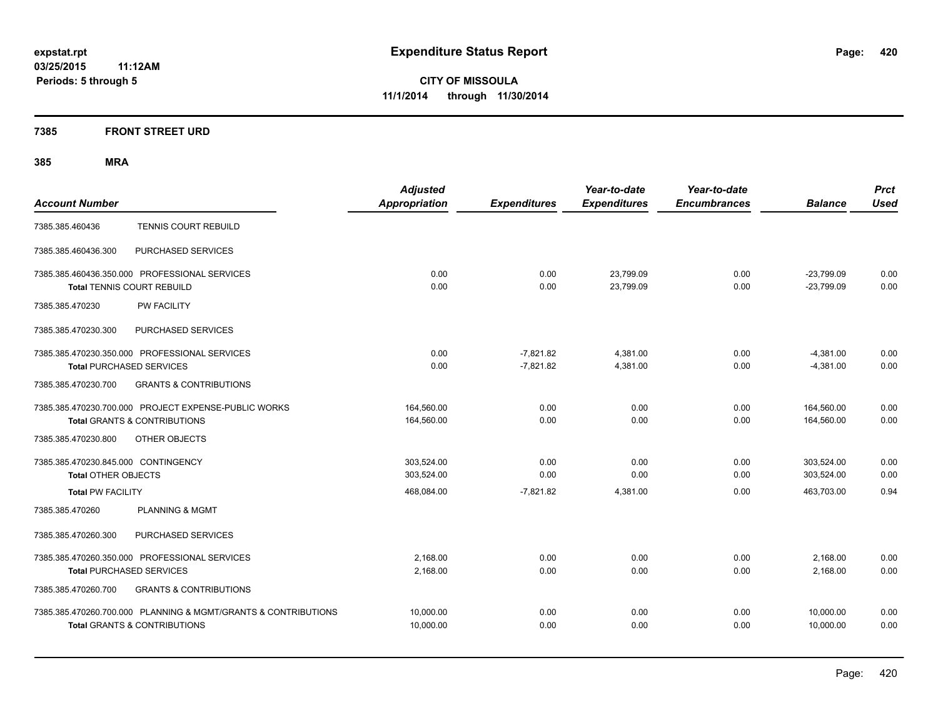#### **7385 FRONT STREET URD**

| <b>Account Number</b>                                                                                     | <b>Adjusted</b><br><b>Appropriation</b> | <b>Expenditures</b>        | Year-to-date<br><b>Expenditures</b> | Year-to-date<br><b>Encumbrances</b> | <b>Balance</b>               | <b>Prct</b><br><b>Used</b> |
|-----------------------------------------------------------------------------------------------------------|-----------------------------------------|----------------------------|-------------------------------------|-------------------------------------|------------------------------|----------------------------|
| <b>TENNIS COURT REBUILD</b><br>7385.385.460436                                                            |                                         |                            |                                     |                                     |                              |                            |
| PURCHASED SERVICES<br>7385.385.460436.300                                                                 |                                         |                            |                                     |                                     |                              |                            |
| 7385.385.460436.350.000 PROFESSIONAL SERVICES<br><b>Total TENNIS COURT REBUILD</b>                        | 0.00<br>0.00                            | 0.00<br>0.00               | 23,799.09<br>23,799.09              | 0.00<br>0.00                        | $-23,799.09$<br>$-23,799.09$ | 0.00<br>0.00               |
| <b>PW FACILITY</b><br>7385.385.470230                                                                     |                                         |                            |                                     |                                     |                              |                            |
| 7385.385.470230.300<br>PURCHASED SERVICES                                                                 |                                         |                            |                                     |                                     |                              |                            |
| 7385.385.470230.350.000 PROFESSIONAL SERVICES<br><b>Total PURCHASED SERVICES</b>                          | 0.00<br>0.00                            | $-7.821.82$<br>$-7,821.82$ | 4.381.00<br>4,381.00                | 0.00<br>0.00                        | $-4,381.00$<br>$-4,381.00$   | 0.00<br>0.00               |
| 7385.385.470230.700<br><b>GRANTS &amp; CONTRIBUTIONS</b>                                                  |                                         |                            |                                     |                                     |                              |                            |
| 7385.385.470230.700.000 PROJECT EXPENSE-PUBLIC WORKS<br><b>Total GRANTS &amp; CONTRIBUTIONS</b>           | 164,560.00<br>164,560.00                | 0.00<br>0.00               | 0.00<br>0.00                        | 0.00<br>0.00                        | 164,560.00<br>164,560.00     | 0.00<br>0.00               |
| OTHER OBJECTS<br>7385.385.470230.800                                                                      |                                         |                            |                                     |                                     |                              |                            |
| 7385.385.470230.845.000 CONTINGENCY<br>Total OTHER OBJECTS                                                | 303.524.00<br>303,524.00                | 0.00<br>0.00               | 0.00<br>0.00                        | 0.00<br>0.00                        | 303.524.00<br>303,524.00     | 0.00<br>0.00               |
| <b>Total PW FACILITY</b>                                                                                  | 468,084.00                              | $-7,821.82$                | 4,381.00                            | 0.00                                | 463.703.00                   | 0.94                       |
| 7385.385.470260<br><b>PLANNING &amp; MGMT</b>                                                             |                                         |                            |                                     |                                     |                              |                            |
| PURCHASED SERVICES<br>7385.385.470260.300                                                                 |                                         |                            |                                     |                                     |                              |                            |
| 7385.385.470260.350.000 PROFESSIONAL SERVICES<br><b>Total PURCHASED SERVICES</b>                          | 2,168.00<br>2,168.00                    | 0.00<br>0.00               | 0.00<br>0.00                        | 0.00<br>0.00                        | 2,168.00<br>2,168.00         | 0.00<br>0.00               |
| 7385.385.470260.700<br><b>GRANTS &amp; CONTRIBUTIONS</b>                                                  |                                         |                            |                                     |                                     |                              |                            |
| 7385.385.470260.700.000 PLANNING & MGMT/GRANTS & CONTRIBUTIONS<br><b>Total GRANTS &amp; CONTRIBUTIONS</b> | 10,000.00<br>10.000.00                  | 0.00<br>0.00               | 0.00<br>0.00                        | 0.00<br>0.00                        | 10,000.00<br>10.000.00       | 0.00<br>0.00               |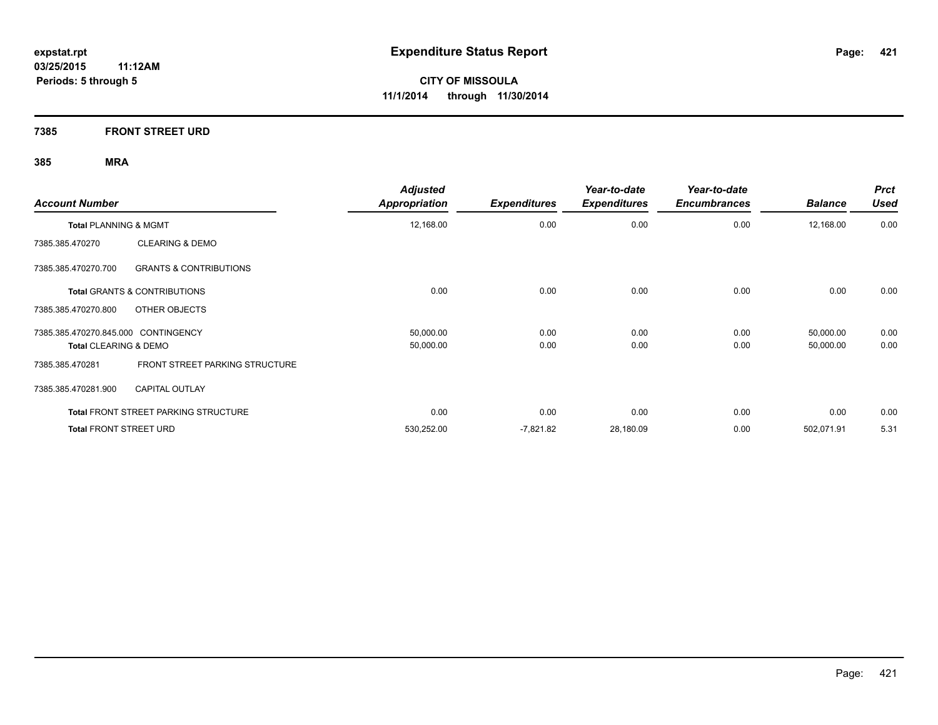**7385 FRONT STREET URD**

| <b>Account Number</b>                                    | <b>Adjusted</b><br><b>Appropriation</b> | <b>Expenditures</b> | Year-to-date<br><b>Expenditures</b> | Year-to-date<br><b>Encumbrances</b> | <b>Balance</b> | <b>Prct</b><br><b>Used</b> |
|----------------------------------------------------------|-----------------------------------------|---------------------|-------------------------------------|-------------------------------------|----------------|----------------------------|
| <b>Total PLANNING &amp; MGMT</b>                         | 12,168.00                               | 0.00                | 0.00                                | 0.00                                | 12,168.00      | 0.00                       |
| <b>CLEARING &amp; DEMO</b><br>7385.385.470270            |                                         |                     |                                     |                                     |                |                            |
| 7385.385.470270.700<br><b>GRANTS &amp; CONTRIBUTIONS</b> |                                         |                     |                                     |                                     |                |                            |
| <b>Total GRANTS &amp; CONTRIBUTIONS</b>                  | 0.00                                    | 0.00                | 0.00                                | 0.00                                | 0.00           | 0.00                       |
| OTHER OBJECTS<br>7385.385.470270.800                     |                                         |                     |                                     |                                     |                |                            |
| 7385.385.470270.845.000 CONTINGENCY                      | 50,000.00                               | 0.00                | 0.00                                | 0.00                                | 50,000.00      | 0.00                       |
| Total CLEARING & DEMO                                    | 50,000.00                               | 0.00                | 0.00                                | 0.00                                | 50,000.00      | 0.00                       |
| FRONT STREET PARKING STRUCTURE<br>7385.385.470281        |                                         |                     |                                     |                                     |                |                            |
| 7385.385.470281.900<br><b>CAPITAL OUTLAY</b>             |                                         |                     |                                     |                                     |                |                            |
| <b>Total FRONT STREET PARKING STRUCTURE</b>              | 0.00                                    | 0.00                | 0.00                                | 0.00                                | 0.00           | 0.00                       |
| <b>Total FRONT STREET URD</b>                            | 530,252.00                              | $-7,821.82$         | 28,180.09                           | 0.00                                | 502,071.91     | 5.31                       |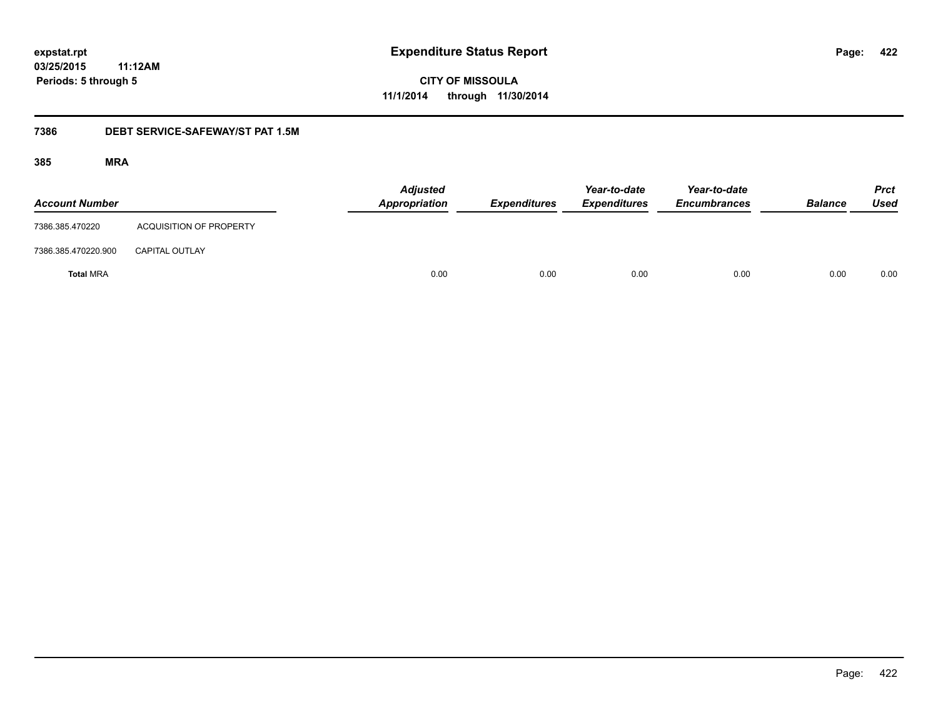**CITY OF MISSOULA 11/1/2014 through 11/30/2014**

#### **7386 DEBT SERVICE-SAFEWAY/ST PAT 1.5M**

| <b>Account Number</b> |                                | <b>Adjusted</b><br><b>Appropriation</b> | <b>Expenditures</b> | Year-to-date<br><b>Expenditures</b> | Year-to-date<br><b>Encumbrances</b> | <b>Balance</b> | <b>Prct</b><br><b>Used</b> |
|-----------------------|--------------------------------|-----------------------------------------|---------------------|-------------------------------------|-------------------------------------|----------------|----------------------------|
| 7386.385.470220       | <b>ACQUISITION OF PROPERTY</b> |                                         |                     |                                     |                                     |                |                            |
| 7386.385.470220.900   | <b>CAPITAL OUTLAY</b>          |                                         |                     |                                     |                                     |                |                            |
| <b>Total MRA</b>      |                                | 0.00                                    | 0.00                | 0.00                                | 0.00                                | 0.00           | 0.00                       |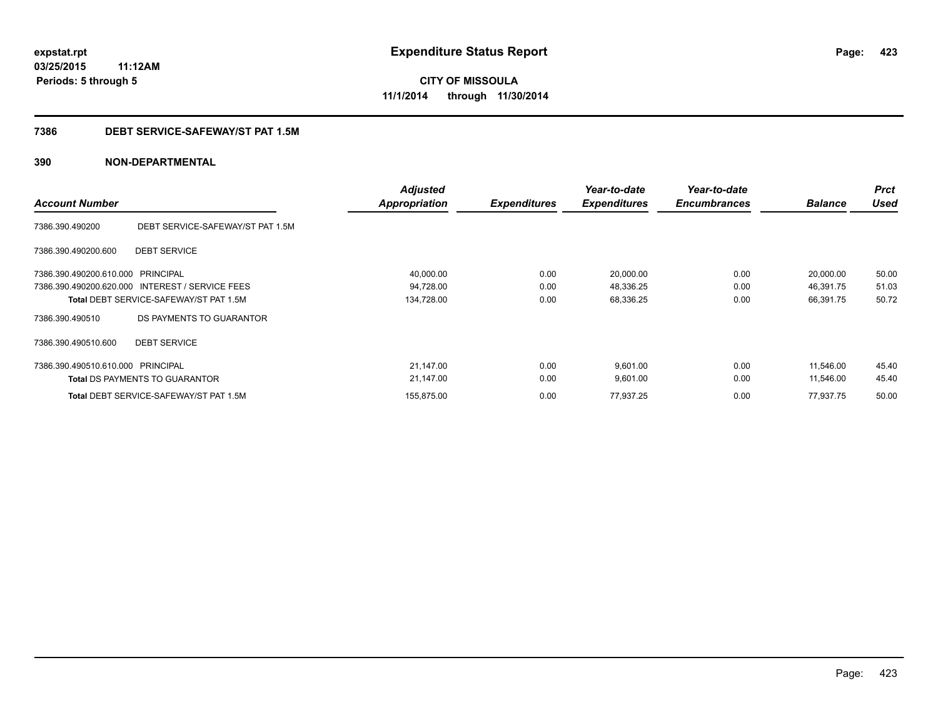# **CITY OF MISSOULA 11/1/2014 through 11/30/2014**

#### **7386 DEBT SERVICE-SAFEWAY/ST PAT 1.5M**

| <b>Account Number</b>             |                                                 | <b>Adjusted</b><br><b>Appropriation</b> | <b>Expenditures</b> | Year-to-date<br><b>Expenditures</b> | Year-to-date<br><b>Encumbrances</b> | <b>Balance</b> | <b>Prct</b><br><b>Used</b> |
|-----------------------------------|-------------------------------------------------|-----------------------------------------|---------------------|-------------------------------------|-------------------------------------|----------------|----------------------------|
| 7386.390.490200                   | DEBT SERVICE-SAFEWAY/ST PAT 1.5M                |                                         |                     |                                     |                                     |                |                            |
| 7386.390.490200.600               | <b>DEBT SERVICE</b>                             |                                         |                     |                                     |                                     |                |                            |
| 7386.390.490200.610.000 PRINCIPAL |                                                 | 40,000.00                               | 0.00                | 20,000.00                           | 0.00                                | 20,000.00      | 50.00                      |
|                                   | 7386.390.490200.620.000 INTEREST / SERVICE FEES | 94,728.00                               | 0.00                | 48,336.25                           | 0.00                                | 46,391.75      | 51.03                      |
|                                   | <b>Total DEBT SERVICE-SAFEWAY/ST PAT 1.5M</b>   | 134,728.00                              | 0.00                | 68,336.25                           | 0.00                                | 66,391.75      | 50.72                      |
| 7386.390.490510                   | DS PAYMENTS TO GUARANTOR                        |                                         |                     |                                     |                                     |                |                            |
| 7386.390.490510.600               | <b>DEBT SERVICE</b>                             |                                         |                     |                                     |                                     |                |                            |
| 7386.390.490510.610.000 PRINCIPAL |                                                 | 21,147.00                               | 0.00                | 9,601.00                            | 0.00                                | 11.546.00      | 45.40                      |
|                                   | <b>Total DS PAYMENTS TO GUARANTOR</b>           | 21,147.00                               | 0.00                | 9,601.00                            | 0.00                                | 11.546.00      | 45.40                      |
|                                   | Total DEBT SERVICE-SAFEWAY/ST PAT 1.5M          | 155,875.00                              | 0.00                | 77,937.25                           | 0.00                                | 77,937.75      | 50.00                      |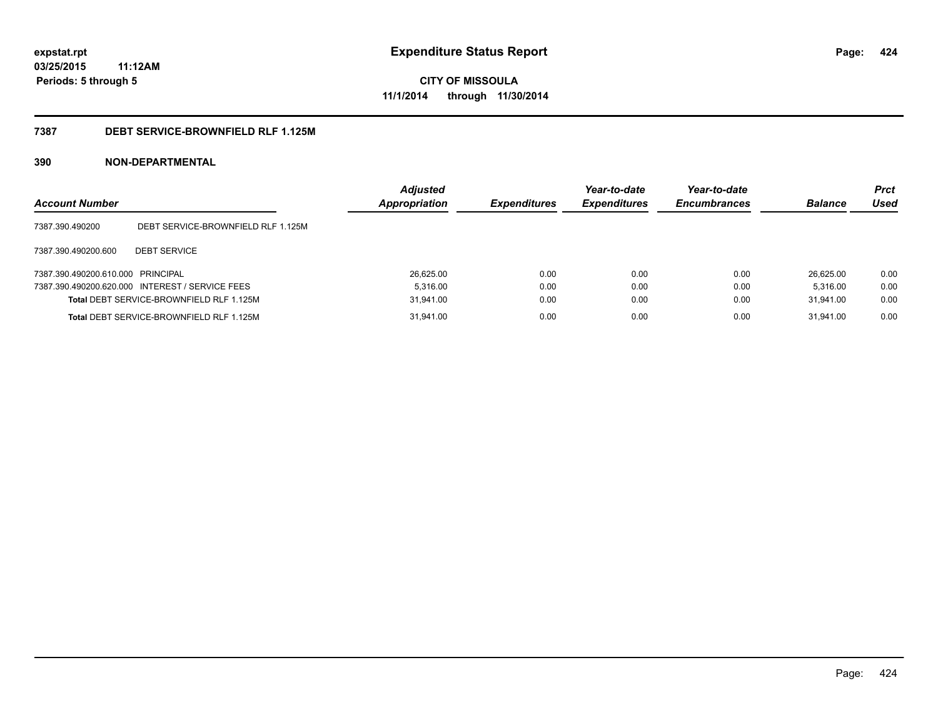**CITY OF MISSOULA 11/1/2014 through 11/30/2014**

#### **7387 DEBT SERVICE-BROWNFIELD RLF 1.125M**

| <b>Account Number</b>             |                                                 | <b>Adjusted</b><br><b>Appropriation</b> | <b>Expenditures</b> | Year-to-date<br><b>Expenditures</b> | Year-to-date<br><b>Encumbrances</b> | <b>Balance</b> | <b>Prct</b><br>Used |
|-----------------------------------|-------------------------------------------------|-----------------------------------------|---------------------|-------------------------------------|-------------------------------------|----------------|---------------------|
| 7387.390.490200                   | DEBT SERVICE-BROWNFIELD RLF 1.125M              |                                         |                     |                                     |                                     |                |                     |
| 7387.390.490200.600               | <b>DEBT SERVICE</b>                             |                                         |                     |                                     |                                     |                |                     |
| 7387.390.490200.610.000 PRINCIPAL |                                                 | 26.625.00                               | 0.00                | 0.00                                | 0.00                                | 26.625.00      | 0.00                |
|                                   | 7387.390.490200.620.000 INTEREST / SERVICE FEES | 5.316.00                                | 0.00                | 0.00                                | 0.00                                | 5.316.00       | 0.00                |
|                                   | Total DEBT SERVICE-BROWNFIELD RLF 1.125M        | 31.941.00                               | 0.00                | 0.00                                | 0.00                                | 31.941.00      | 0.00                |
|                                   | Total DEBT SERVICE-BROWNFIELD RLF 1.125M        | 31,941.00                               | 0.00                | 0.00                                | 0.00                                | 31.941.00      | 0.00                |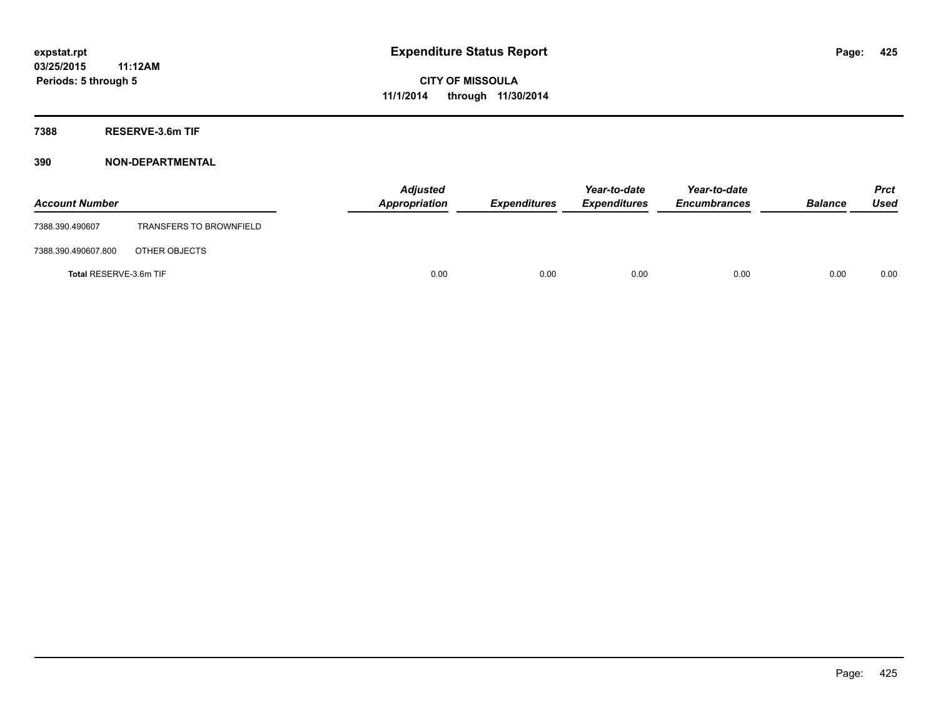**7388 RESERVE-3.6m TIF**

| <b>Account Number</b>  |                                | <b>Adjusted</b><br>Appropriation | <b>Expenditures</b> | Year-to-date<br><b>Expenditures</b> | Year-to-date<br><b>Encumbrances</b> | <b>Balance</b> | <b>Prct</b><br><b>Used</b> |
|------------------------|--------------------------------|----------------------------------|---------------------|-------------------------------------|-------------------------------------|----------------|----------------------------|
| 7388.390.490607        | <b>TRANSFERS TO BROWNFIELD</b> |                                  |                     |                                     |                                     |                |                            |
| 7388.390.490607.800    | OTHER OBJECTS                  |                                  |                     |                                     |                                     |                |                            |
| Total RESERVE-3.6m TIF |                                | 0.00                             | 0.00                | 0.00                                | 0.00                                | 0.00           | 0.00                       |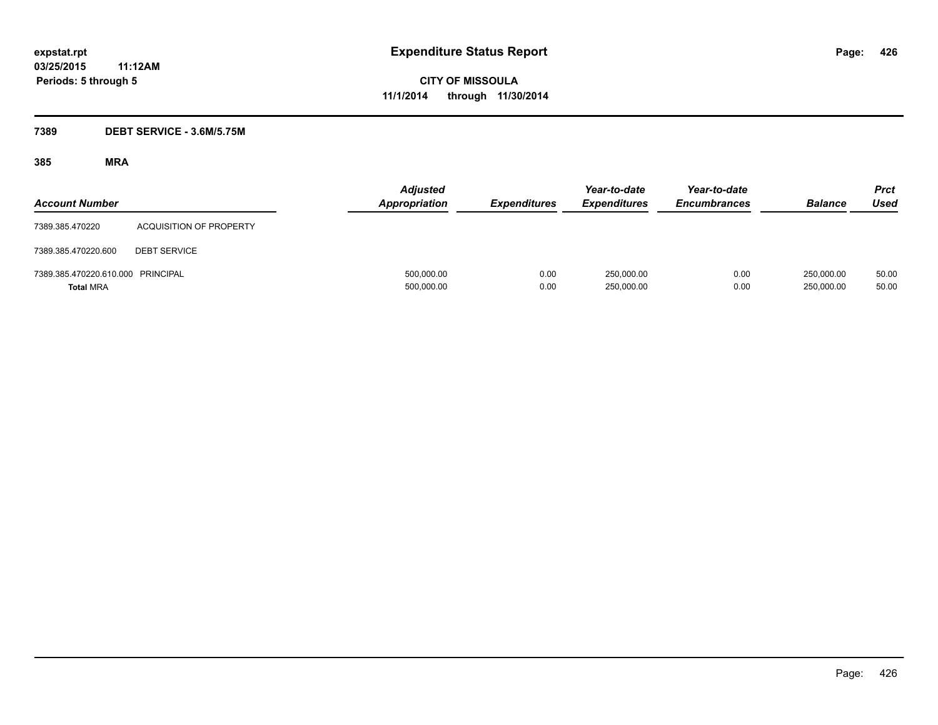#### **7389 DEBT SERVICE - 3.6M/5.75M**

| <b>Account Number</b>                                 |                                | <b>Adjusted</b><br><b>Appropriation</b> | <b>Expenditures</b> | Year-to-date<br><b>Expenditures</b> | Year-to-date<br><b>Encumbrances</b> | <b>Balance</b>           | Prct<br><b>Used</b> |
|-------------------------------------------------------|--------------------------------|-----------------------------------------|---------------------|-------------------------------------|-------------------------------------|--------------------------|---------------------|
| 7389.385.470220                                       | <b>ACQUISITION OF PROPERTY</b> |                                         |                     |                                     |                                     |                          |                     |
| 7389.385.470220.600                                   | <b>DEBT SERVICE</b>            |                                         |                     |                                     |                                     |                          |                     |
| 7389.385.470220.610.000 PRINCIPAL<br><b>Total MRA</b> |                                | 500,000.00<br>500,000.00                | 0.00<br>0.00        | 250,000.00<br>250,000.00            | 0.00<br>0.00                        | 250,000.00<br>250,000.00 | 50.00<br>50.00      |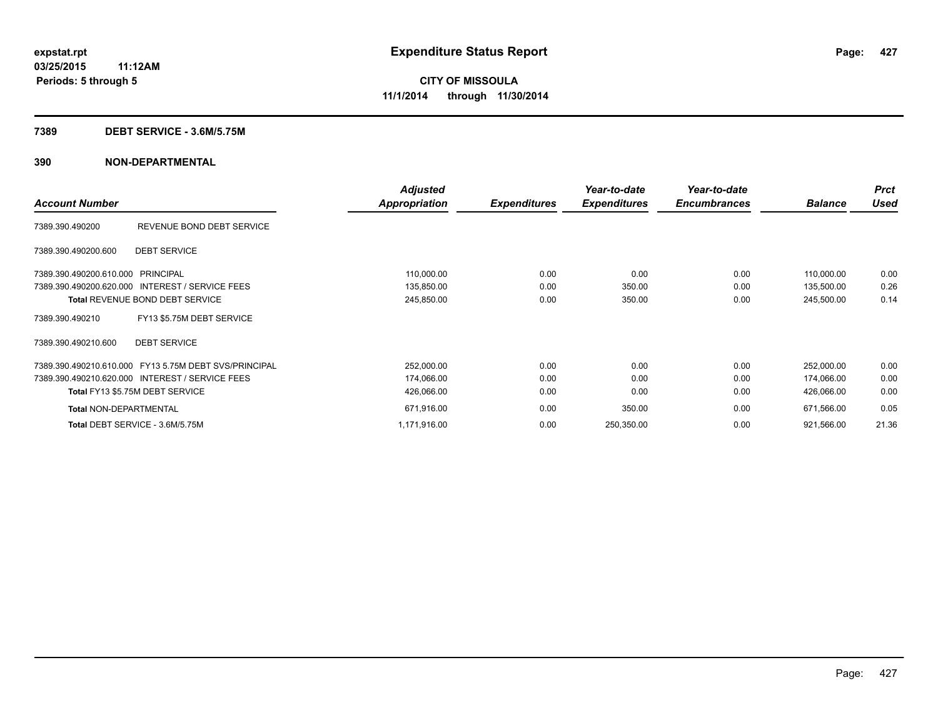#### **7389 DEBT SERVICE - 3.6M/5.75M**

|                                                       | <b>Adjusted</b>      |                     | Year-to-date        | Year-to-date        |                | <b>Prct</b> |
|-------------------------------------------------------|----------------------|---------------------|---------------------|---------------------|----------------|-------------|
| <b>Account Number</b>                                 | <b>Appropriation</b> | <b>Expenditures</b> | <b>Expenditures</b> | <b>Encumbrances</b> | <b>Balance</b> | <b>Used</b> |
| REVENUE BOND DEBT SERVICE<br>7389.390.490200          |                      |                     |                     |                     |                |             |
| <b>DEBT SERVICE</b><br>7389.390.490200.600            |                      |                     |                     |                     |                |             |
| 7389.390.490200.610.000 PRINCIPAL                     | 110,000.00           | 0.00                | 0.00                | 0.00                | 110,000.00     | 0.00        |
| 7389.390.490200.620.000 INTEREST / SERVICE FEES       | 135,850.00           | 0.00                | 350.00              | 0.00                | 135,500.00     | 0.26        |
| <b>Total REVENUE BOND DEBT SERVICE</b>                | 245,850.00           | 0.00                | 350.00              | 0.00                | 245,500.00     | 0.14        |
| FY13 \$5.75M DEBT SERVICE<br>7389.390.490210          |                      |                     |                     |                     |                |             |
| <b>DEBT SERVICE</b><br>7389.390.490210.600            |                      |                     |                     |                     |                |             |
| 7389.390.490210.610.000 FY13 5.75M DEBT SVS/PRINCIPAL | 252,000.00           | 0.00                | 0.00                | 0.00                | 252,000.00     | 0.00        |
| 7389.390.490210.620.000 INTEREST / SERVICE FEES       | 174,066.00           | 0.00                | 0.00                | 0.00                | 174,066.00     | 0.00        |
| Total FY13 \$5.75M DEBT SERVICE                       | 426,066.00           | 0.00                | 0.00                | 0.00                | 426,066.00     | 0.00        |
| <b>Total NON-DEPARTMENTAL</b>                         | 671,916.00           | 0.00                | 350.00              | 0.00                | 671,566.00     | 0.05        |
| Total DEBT SERVICE - 3.6M/5.75M                       | 1,171,916.00         | 0.00                | 250,350.00          | 0.00                | 921,566.00     | 21.36       |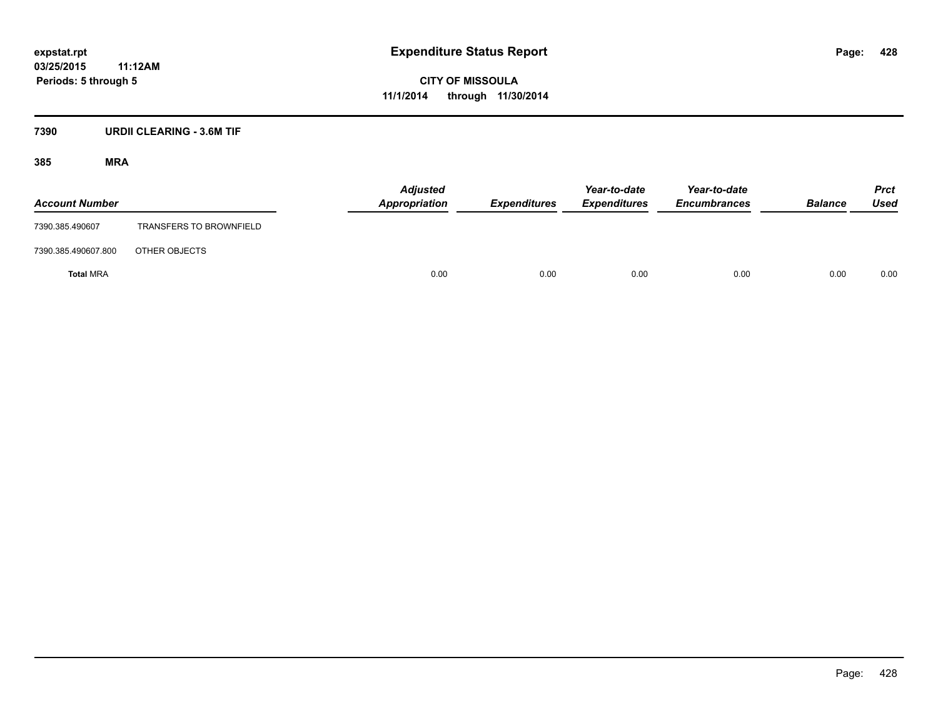#### **7390 URDII CLEARING - 3.6M TIF**

| <b>Account Number</b> |                                | <b>Adjusted</b><br>Appropriation | <b>Expenditures</b> | Year-to-date<br><b>Expenditures</b> | Year-to-date<br><b>Encumbrances</b> | <b>Balance</b> | <b>Prct</b><br>Used |
|-----------------------|--------------------------------|----------------------------------|---------------------|-------------------------------------|-------------------------------------|----------------|---------------------|
| 7390.385.490607       | <b>TRANSFERS TO BROWNFIELD</b> |                                  |                     |                                     |                                     |                |                     |
| 7390.385.490607.800   | OTHER OBJECTS                  |                                  |                     |                                     |                                     |                |                     |
| <b>Total MRA</b>      |                                | 0.00                             | 0.00                | 0.00                                | 0.00                                | 0.00           | 0.00                |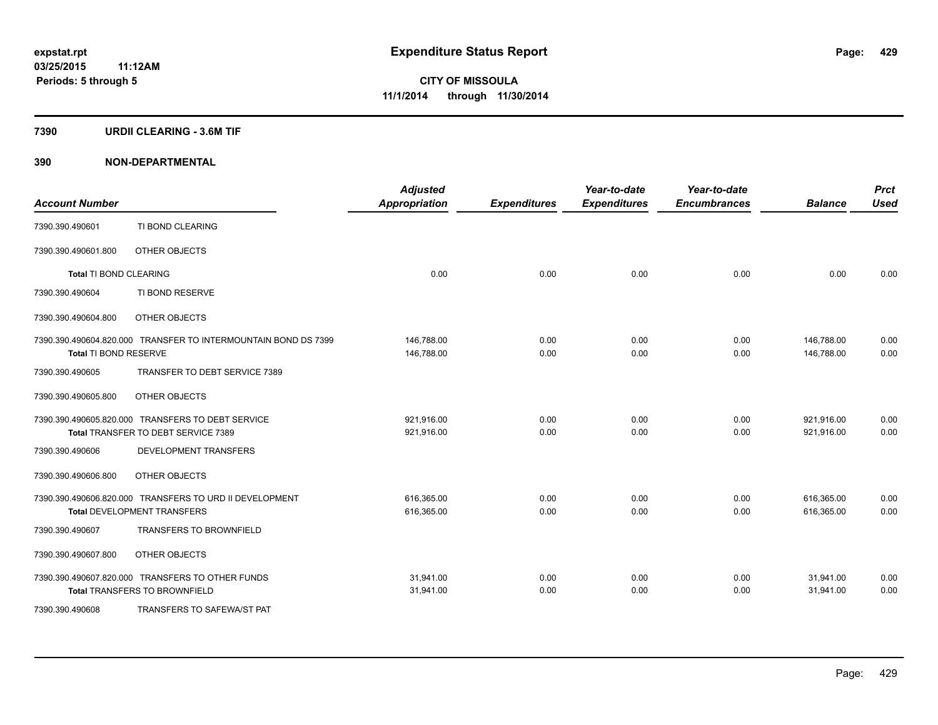#### **7390 URDII CLEARING - 3.6M TIF**

| <b>Account Number</b>         |                                                                | <b>Adjusted</b><br><b>Appropriation</b> | <b>Expenditures</b> | Year-to-date<br><b>Expenditures</b> | Year-to-date<br><b>Encumbrances</b> | <b>Balance</b> | <b>Prct</b><br><b>Used</b> |
|-------------------------------|----------------------------------------------------------------|-----------------------------------------|---------------------|-------------------------------------|-------------------------------------|----------------|----------------------------|
| 7390.390.490601               | TI BOND CLEARING                                               |                                         |                     |                                     |                                     |                |                            |
| 7390.390.490601.800           | OTHER OBJECTS                                                  |                                         |                     |                                     |                                     |                |                            |
| <b>Total TI BOND CLEARING</b> |                                                                | 0.00                                    | 0.00                | 0.00                                | 0.00                                | 0.00           | 0.00                       |
| 7390.390.490604               | TI BOND RESERVE                                                |                                         |                     |                                     |                                     |                |                            |
| 7390.390.490604.800           | OTHER OBJECTS                                                  |                                         |                     |                                     |                                     |                |                            |
|                               | 7390.390.490604.820.000 TRANSFER TO INTERMOUNTAIN BOND DS 7399 | 146,788.00                              | 0.00                | 0.00                                | 0.00                                | 146,788.00     | 0.00                       |
| Total TI BOND RESERVE         |                                                                | 146,788.00                              | 0.00                | 0.00                                | 0.00                                | 146,788.00     | 0.00                       |
| 7390.390.490605               | TRANSFER TO DEBT SERVICE 7389                                  |                                         |                     |                                     |                                     |                |                            |
| 7390.390.490605.800           | OTHER OBJECTS                                                  |                                         |                     |                                     |                                     |                |                            |
|                               | 7390.390.490605.820.000 TRANSFERS TO DEBT SERVICE              | 921,916.00                              | 0.00                | 0.00                                | 0.00                                | 921,916.00     | 0.00                       |
|                               | Total TRANSFER TO DEBT SERVICE 7389                            | 921,916.00                              | 0.00                | 0.00                                | 0.00                                | 921,916.00     | 0.00                       |
| 7390.390.490606               | DEVELOPMENT TRANSFERS                                          |                                         |                     |                                     |                                     |                |                            |
| 7390.390.490606.800           | OTHER OBJECTS                                                  |                                         |                     |                                     |                                     |                |                            |
|                               | 7390.390.490606.820.000 TRANSFERS TO URD II DEVELOPMENT        | 616,365.00                              | 0.00                | 0.00                                | 0.00                                | 616,365.00     | 0.00                       |
|                               | <b>Total DEVELOPMENT TRANSFERS</b>                             | 616,365.00                              | 0.00                | 0.00                                | 0.00                                | 616,365.00     | 0.00                       |
| 7390.390.490607               | <b>TRANSFERS TO BROWNFIELD</b>                                 |                                         |                     |                                     |                                     |                |                            |
| 7390.390.490607.800           | OTHER OBJECTS                                                  |                                         |                     |                                     |                                     |                |                            |
|                               | 7390.390.490607.820.000 TRANSFERS TO OTHER FUNDS               | 31,941.00                               | 0.00                | 0.00                                | 0.00                                | 31,941.00      | 0.00                       |
|                               | <b>Total TRANSFERS TO BROWNFIELD</b>                           | 31,941.00                               | 0.00                | 0.00                                | 0.00                                | 31,941.00      | 0.00                       |
| 7390.390.490608               | TRANSFERS TO SAFEWA/ST PAT                                     |                                         |                     |                                     |                                     |                |                            |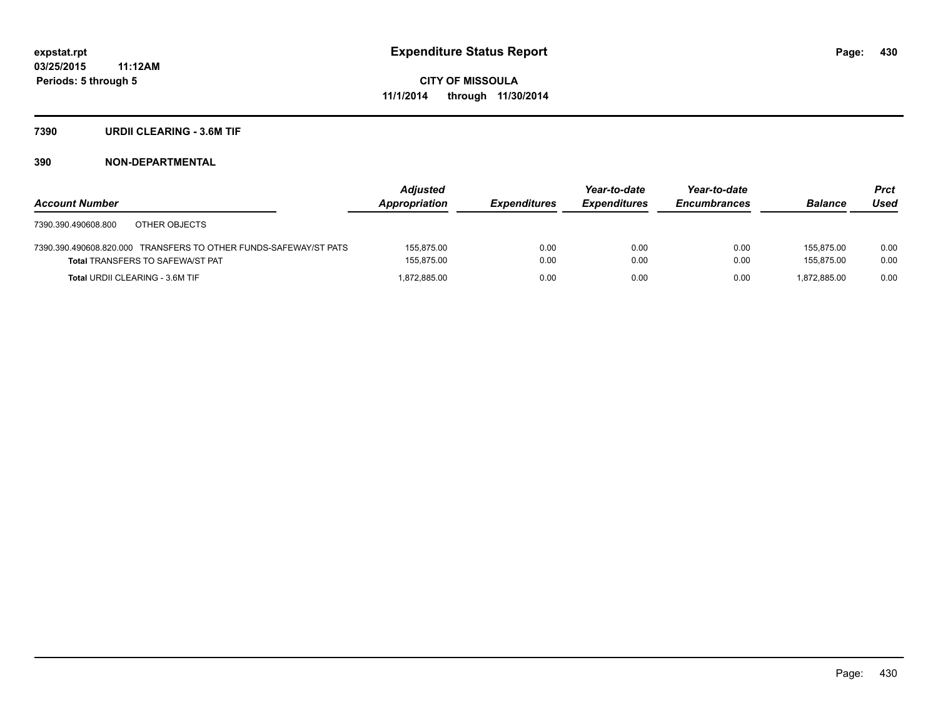#### **7390 URDII CLEARING - 3.6M TIF**

|                                                                  | <b>Adjusted</b> |                     | Year-to-date        | Year-to-date        |                | <b>Prct</b> |
|------------------------------------------------------------------|-----------------|---------------------|---------------------|---------------------|----------------|-------------|
| <b>Account Number</b>                                            | Appropriation   | <b>Expenditures</b> | <b>Expenditures</b> | <b>Encumbrances</b> | <b>Balance</b> | Used        |
| OTHER OBJECTS<br>7390.390.490608.800                             |                 |                     |                     |                     |                |             |
| 7390.390.490608.820.000 TRANSFERS TO OTHER FUNDS-SAFEWAY/ST PATS | 155.875.00      | 0.00                | 0.00                | 0.00                | 155.875.00     | 0.00        |
| <b>Total TRANSFERS TO SAFEWA/ST PAT</b>                          | 155,875.00      | 0.00                | 0.00                | 0.00                | 155.875.00     | 0.00        |
| <b>Total URDII CLEARING - 3.6M TIF</b>                           | 1.872.885.00    | 0.00                | 0.00                | 0.00                | 1.872.885.00   | 0.00        |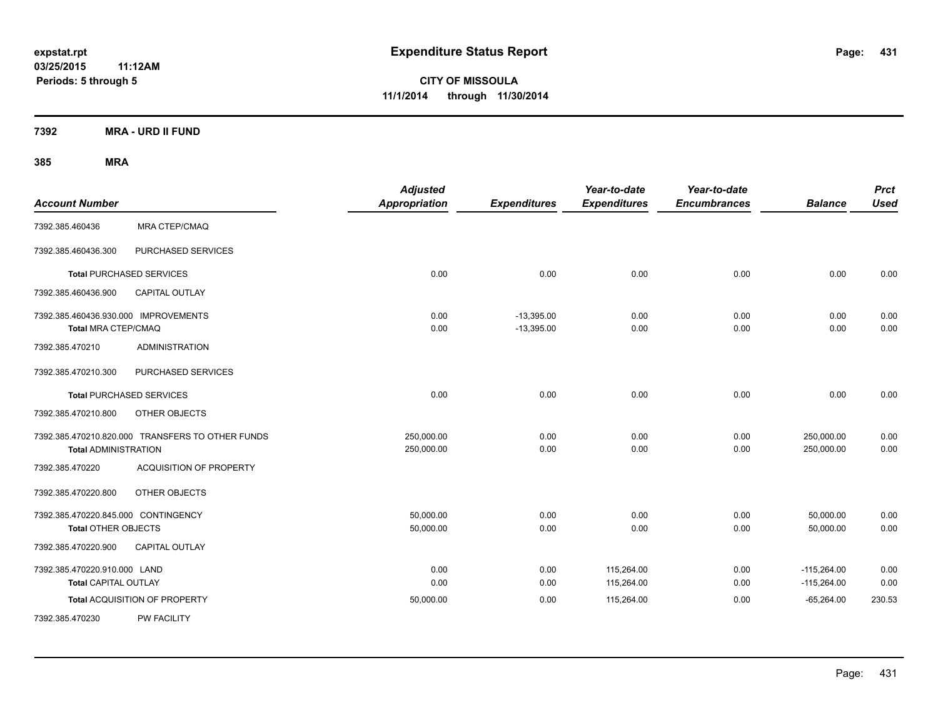**CITY OF MISSOULA 11/1/2014 through 11/30/2014**

**7392 MRA - URD II FUND**

| <b>Account Number</b>                                             |                                                  | <b>Adjusted</b><br><b>Appropriation</b> | <b>Expenditures</b>          | Year-to-date<br><b>Expenditures</b> | Year-to-date<br><b>Encumbrances</b> | <b>Balance</b>                 | <b>Prct</b><br><b>Used</b> |
|-------------------------------------------------------------------|--------------------------------------------------|-----------------------------------------|------------------------------|-------------------------------------|-------------------------------------|--------------------------------|----------------------------|
| 7392.385.460436                                                   | <b>MRA CTEP/CMAQ</b>                             |                                         |                              |                                     |                                     |                                |                            |
| 7392.385.460436.300                                               | PURCHASED SERVICES                               |                                         |                              |                                     |                                     |                                |                            |
| <b>Total PURCHASED SERVICES</b>                                   |                                                  | 0.00                                    | 0.00                         | 0.00                                | 0.00                                | 0.00                           | 0.00                       |
| 7392.385.460436.900                                               | <b>CAPITAL OUTLAY</b>                            |                                         |                              |                                     |                                     |                                |                            |
| 7392.385.460436.930.000 IMPROVEMENTS<br>Total MRA CTEP/CMAQ       |                                                  | 0.00<br>0.00                            | $-13,395.00$<br>$-13,395.00$ | 0.00<br>0.00                        | 0.00<br>0.00                        | 0.00<br>0.00                   | 0.00<br>0.00               |
| 7392.385.470210                                                   | <b>ADMINISTRATION</b>                            |                                         |                              |                                     |                                     |                                |                            |
| 7392.385.470210.300                                               | PURCHASED SERVICES                               |                                         |                              |                                     |                                     |                                |                            |
| <b>Total PURCHASED SERVICES</b>                                   |                                                  | 0.00                                    | 0.00                         | 0.00                                | 0.00                                | 0.00                           | 0.00                       |
| 7392.385.470210.800                                               | OTHER OBJECTS                                    |                                         |                              |                                     |                                     |                                |                            |
| <b>Total ADMINISTRATION</b>                                       | 7392.385.470210.820.000 TRANSFERS TO OTHER FUNDS | 250,000.00<br>250,000.00                | 0.00<br>0.00                 | 0.00<br>0.00                        | 0.00<br>0.00                        | 250,000.00<br>250,000.00       | 0.00<br>0.00               |
| 7392.385.470220                                                   | <b>ACQUISITION OF PROPERTY</b>                   |                                         |                              |                                     |                                     |                                |                            |
| 7392.385.470220.800                                               | OTHER OBJECTS                                    |                                         |                              |                                     |                                     |                                |                            |
| 7392.385.470220.845.000 CONTINGENCY<br><b>Total OTHER OBJECTS</b> |                                                  | 50,000.00<br>50,000.00                  | 0.00<br>0.00                 | 0.00<br>0.00                        | 0.00<br>0.00                        | 50,000.00<br>50,000.00         | 0.00<br>0.00               |
| 7392.385.470220.900                                               | CAPITAL OUTLAY                                   |                                         |                              |                                     |                                     |                                |                            |
| 7392.385.470220.910.000 LAND<br>Total CAPITAL OUTLAY              |                                                  | 0.00<br>0.00                            | 0.00<br>0.00                 | 115,264.00<br>115,264.00            | 0.00<br>0.00                        | $-115,264.00$<br>$-115,264.00$ | 0.00<br>0.00               |
|                                                                   | Total ACQUISITION OF PROPERTY                    | 50,000.00                               | 0.00                         | 115,264.00                          | 0.00                                | $-65,264.00$                   | 230.53                     |
| 7392.385.470230                                                   | <b>PW FACILITY</b>                               |                                         |                              |                                     |                                     |                                |                            |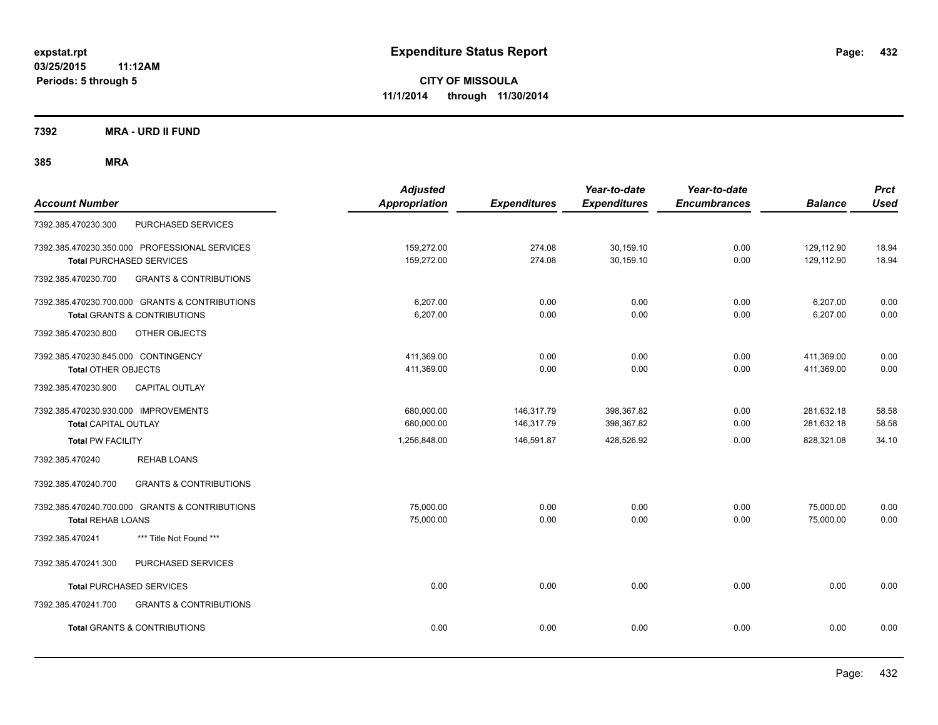**7392 MRA - URD II FUND**

| <b>Account Number</b>                                                                     | <b>Adjusted</b><br><b>Appropriation</b> | <b>Expenditures</b>      | Year-to-date<br><b>Expenditures</b> | Year-to-date<br><b>Encumbrances</b> | <b>Balance</b>           | <b>Prct</b><br><b>Used</b> |
|-------------------------------------------------------------------------------------------|-----------------------------------------|--------------------------|-------------------------------------|-------------------------------------|--------------------------|----------------------------|
| PURCHASED SERVICES<br>7392.385.470230.300                                                 |                                         |                          |                                     |                                     |                          |                            |
| 7392.385.470230.350.000 PROFESSIONAL SERVICES<br><b>Total PURCHASED SERVICES</b>          | 159,272.00<br>159,272.00                | 274.08<br>274.08         | 30,159.10<br>30,159.10              | 0.00<br>0.00                        | 129,112.90<br>129,112.90 | 18.94<br>18.94             |
| 7392.385.470230.700<br><b>GRANTS &amp; CONTRIBUTIONS</b>                                  |                                         |                          |                                     |                                     |                          |                            |
| 7392.385.470230.700.000 GRANTS & CONTRIBUTIONS<br><b>Total GRANTS &amp; CONTRIBUTIONS</b> | 6,207.00<br>6,207.00                    | 0.00<br>0.00             | 0.00<br>0.00                        | 0.00<br>0.00                        | 6,207.00<br>6,207.00     | 0.00<br>0.00               |
| 7392.385.470230.800<br>OTHER OBJECTS                                                      |                                         |                          |                                     |                                     |                          |                            |
| 7392.385.470230.845.000 CONTINGENCY<br><b>Total OTHER OBJECTS</b>                         | 411,369.00<br>411,369.00                | 0.00<br>0.00             | 0.00<br>0.00                        | 0.00<br>0.00                        | 411,369.00<br>411,369.00 | 0.00<br>0.00               |
| <b>CAPITAL OUTLAY</b><br>7392.385.470230.900                                              |                                         |                          |                                     |                                     |                          |                            |
| 7392.385.470230.930.000 IMPROVEMENTS<br><b>Total CAPITAL OUTLAY</b>                       | 680,000.00<br>680,000.00                | 146,317.79<br>146,317.79 | 398,367.82<br>398,367.82            | 0.00<br>0.00                        | 281,632.18<br>281,632.18 | 58.58<br>58.58             |
| <b>Total PW FACILITY</b>                                                                  | 1,256,848.00                            | 146,591.87               | 428,526.92                          | 0.00                                | 828,321.08               | 34.10                      |
| 7392.385.470240<br><b>REHAB LOANS</b>                                                     |                                         |                          |                                     |                                     |                          |                            |
| 7392.385.470240.700<br><b>GRANTS &amp; CONTRIBUTIONS</b>                                  |                                         |                          |                                     |                                     |                          |                            |
| 7392.385.470240.700.000 GRANTS & CONTRIBUTIONS<br><b>Total REHAB LOANS</b>                | 75,000.00<br>75,000.00                  | 0.00<br>0.00             | 0.00<br>0.00                        | 0.00<br>0.00                        | 75,000.00<br>75,000.00   | 0.00<br>0.00               |
| *** Title Not Found ***<br>7392.385.470241                                                |                                         |                          |                                     |                                     |                          |                            |
| 7392.385.470241.300<br>PURCHASED SERVICES                                                 |                                         |                          |                                     |                                     |                          |                            |
| <b>Total PURCHASED SERVICES</b>                                                           | 0.00                                    | 0.00                     | 0.00                                | 0.00                                | 0.00                     | 0.00                       |
| <b>GRANTS &amp; CONTRIBUTIONS</b><br>7392.385.470241.700                                  |                                         |                          |                                     |                                     |                          |                            |
| <b>Total GRANTS &amp; CONTRIBUTIONS</b>                                                   | 0.00                                    | 0.00                     | 0.00                                | 0.00                                | 0.00                     | 0.00                       |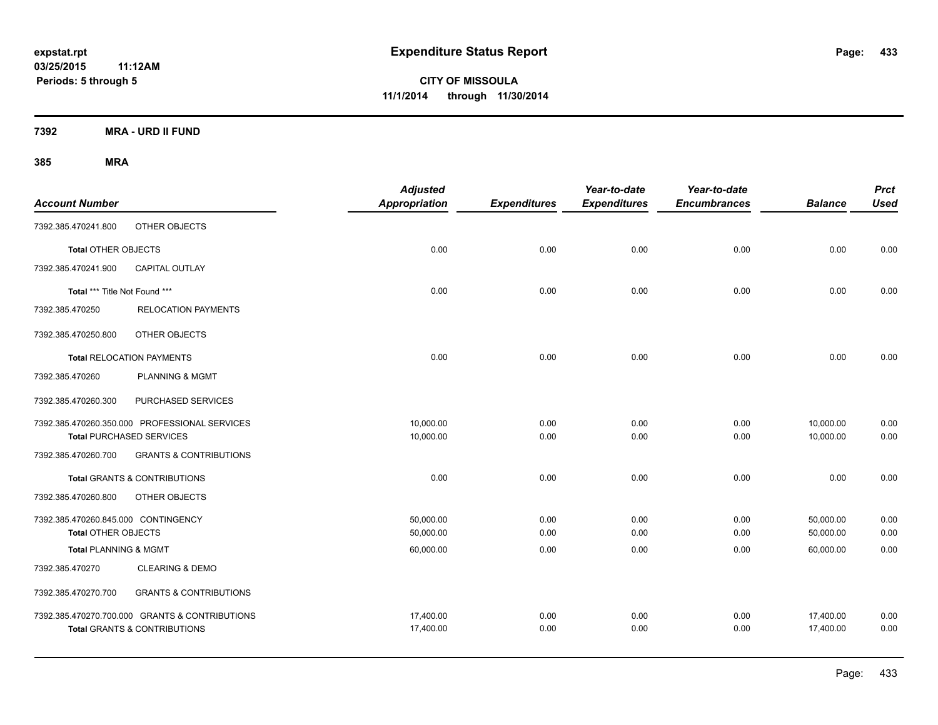**7392 MRA - URD II FUND**

| <b>Account Number</b>               |                                                | <b>Adjusted</b><br><b>Appropriation</b> | <b>Expenditures</b> | Year-to-date<br><b>Expenditures</b> | Year-to-date<br><b>Encumbrances</b> | <b>Balance</b> | <b>Prct</b><br><b>Used</b> |
|-------------------------------------|------------------------------------------------|-----------------------------------------|---------------------|-------------------------------------|-------------------------------------|----------------|----------------------------|
| 7392.385.470241.800                 | OTHER OBJECTS                                  |                                         |                     |                                     |                                     |                |                            |
| Total OTHER OBJECTS                 |                                                | 0.00                                    | 0.00                | 0.00                                | 0.00                                | 0.00           | 0.00                       |
| 7392.385.470241.900                 | CAPITAL OUTLAY                                 |                                         |                     |                                     |                                     |                |                            |
| Total *** Title Not Found ***       |                                                | 0.00                                    | 0.00                | 0.00                                | 0.00                                | 0.00           | 0.00                       |
| 7392.385.470250                     | <b>RELOCATION PAYMENTS</b>                     |                                         |                     |                                     |                                     |                |                            |
| 7392.385.470250.800                 | OTHER OBJECTS                                  |                                         |                     |                                     |                                     |                |                            |
|                                     | <b>Total RELOCATION PAYMENTS</b>               | 0.00                                    | 0.00                | 0.00                                | 0.00                                | 0.00           | 0.00                       |
| 7392.385.470260                     | <b>PLANNING &amp; MGMT</b>                     |                                         |                     |                                     |                                     |                |                            |
| 7392.385.470260.300                 | PURCHASED SERVICES                             |                                         |                     |                                     |                                     |                |                            |
|                                     | 7392.385.470260.350.000 PROFESSIONAL SERVICES  | 10,000.00                               | 0.00                | 0.00                                | 0.00                                | 10,000.00      | 0.00                       |
|                                     | <b>Total PURCHASED SERVICES</b>                | 10,000.00                               | 0.00                | 0.00                                | 0.00                                | 10,000.00      | 0.00                       |
| 7392.385.470260.700                 | <b>GRANTS &amp; CONTRIBUTIONS</b>              |                                         |                     |                                     |                                     |                |                            |
|                                     | <b>Total GRANTS &amp; CONTRIBUTIONS</b>        | 0.00                                    | 0.00                | 0.00                                | 0.00                                | 0.00           | 0.00                       |
| 7392.385.470260.800                 | OTHER OBJECTS                                  |                                         |                     |                                     |                                     |                |                            |
| 7392.385.470260.845.000 CONTINGENCY |                                                | 50,000.00                               | 0.00                | 0.00                                | 0.00                                | 50,000.00      | 0.00                       |
| <b>Total OTHER OBJECTS</b>          |                                                | 50,000.00                               | 0.00                | 0.00                                | 0.00                                | 50,000.00      | 0.00                       |
| <b>Total PLANNING &amp; MGMT</b>    |                                                | 60,000.00                               | 0.00                | 0.00                                | 0.00                                | 60,000.00      | 0.00                       |
| 7392.385.470270                     | <b>CLEARING &amp; DEMO</b>                     |                                         |                     |                                     |                                     |                |                            |
| 7392.385.470270.700                 | <b>GRANTS &amp; CONTRIBUTIONS</b>              |                                         |                     |                                     |                                     |                |                            |
|                                     | 7392.385.470270.700.000 GRANTS & CONTRIBUTIONS | 17,400.00                               | 0.00                | 0.00                                | 0.00                                | 17,400.00      | 0.00                       |
|                                     | <b>Total GRANTS &amp; CONTRIBUTIONS</b>        | 17,400.00                               | 0.00                | 0.00                                | 0.00                                | 17,400.00      | 0.00                       |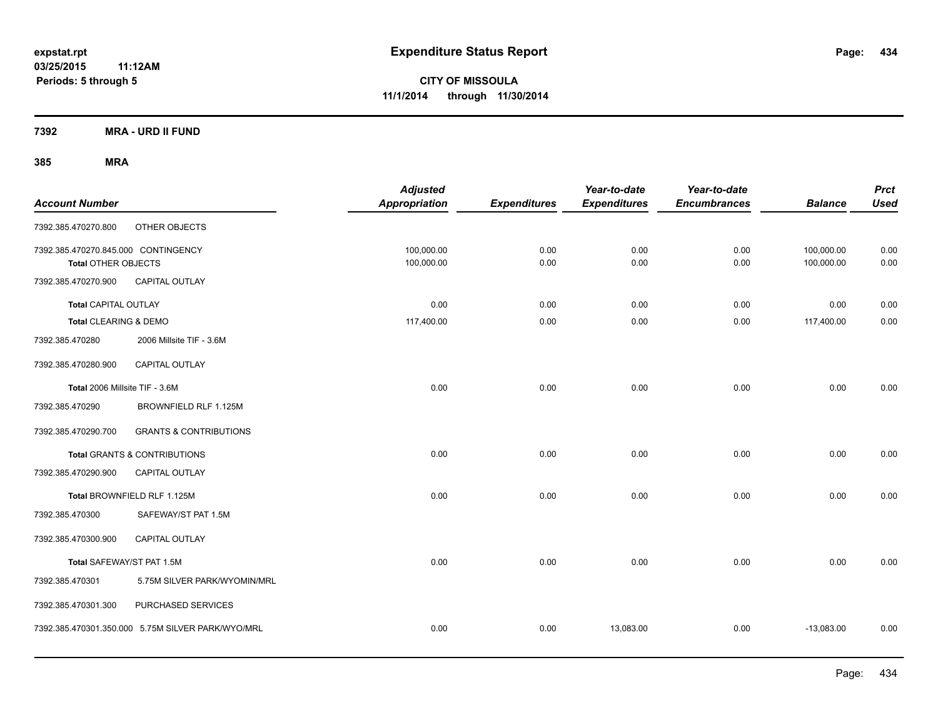**7392 MRA - URD II FUND**

| <b>Account Number</b>                                      |                                                   | <b>Adjusted</b><br><b>Appropriation</b> | <b>Expenditures</b> | Year-to-date<br><b>Expenditures</b> | Year-to-date<br><b>Encumbrances</b> | <b>Balance</b>           | <b>Prct</b><br><b>Used</b> |
|------------------------------------------------------------|---------------------------------------------------|-----------------------------------------|---------------------|-------------------------------------|-------------------------------------|--------------------------|----------------------------|
| 7392.385.470270.800                                        | OTHER OBJECTS                                     |                                         |                     |                                     |                                     |                          |                            |
| 7392.385.470270.845.000 CONTINGENCY<br>Total OTHER OBJECTS |                                                   | 100,000.00<br>100,000.00                | 0.00<br>0.00        | 0.00<br>0.00                        | 0.00<br>0.00                        | 100,000.00<br>100,000.00 | 0.00<br>0.00               |
| 7392.385.470270.900                                        | CAPITAL OUTLAY                                    |                                         |                     |                                     |                                     |                          |                            |
| <b>Total CAPITAL OUTLAY</b>                                |                                                   | 0.00                                    | 0.00                | 0.00                                | 0.00                                | 0.00                     | 0.00                       |
| Total CLEARING & DEMO                                      |                                                   | 117,400.00                              | 0.00                | 0.00                                | 0.00                                | 117,400.00               | 0.00                       |
| 7392.385.470280                                            | 2006 Millsite TIF - 3.6M                          |                                         |                     |                                     |                                     |                          |                            |
| 7392.385.470280.900                                        | <b>CAPITAL OUTLAY</b>                             |                                         |                     |                                     |                                     |                          |                            |
| Total 2006 Millsite TIF - 3.6M                             |                                                   | 0.00                                    | 0.00                | 0.00                                | 0.00                                | 0.00                     | 0.00                       |
| 7392.385.470290                                            | BROWNFIELD RLF 1.125M                             |                                         |                     |                                     |                                     |                          |                            |
| 7392.385.470290.700                                        | <b>GRANTS &amp; CONTRIBUTIONS</b>                 |                                         |                     |                                     |                                     |                          |                            |
|                                                            | Total GRANTS & CONTRIBUTIONS                      | 0.00                                    | 0.00                | 0.00                                | 0.00                                | 0.00                     | 0.00                       |
| 7392.385.470290.900                                        | <b>CAPITAL OUTLAY</b>                             |                                         |                     |                                     |                                     |                          |                            |
|                                                            | Total BROWNFIELD RLF 1.125M                       | 0.00                                    | 0.00                | 0.00                                | 0.00                                | 0.00                     | 0.00                       |
| 7392.385.470300                                            | SAFEWAY/ST PAT 1.5M                               |                                         |                     |                                     |                                     |                          |                            |
| 7392.385.470300.900                                        | <b>CAPITAL OUTLAY</b>                             |                                         |                     |                                     |                                     |                          |                            |
| Total SAFEWAY/ST PAT 1.5M                                  |                                                   | 0.00                                    | 0.00                | 0.00                                | 0.00                                | 0.00                     | 0.00                       |
| 7392.385.470301                                            | 5.75M SILVER PARK/WYOMIN/MRL                      |                                         |                     |                                     |                                     |                          |                            |
| 7392.385.470301.300                                        | PURCHASED SERVICES                                |                                         |                     |                                     |                                     |                          |                            |
|                                                            | 7392.385.470301.350.000 5.75M SILVER PARK/WYO/MRL | 0.00                                    | 0.00                | 13,083.00                           | 0.00                                | $-13,083.00$             | 0.00                       |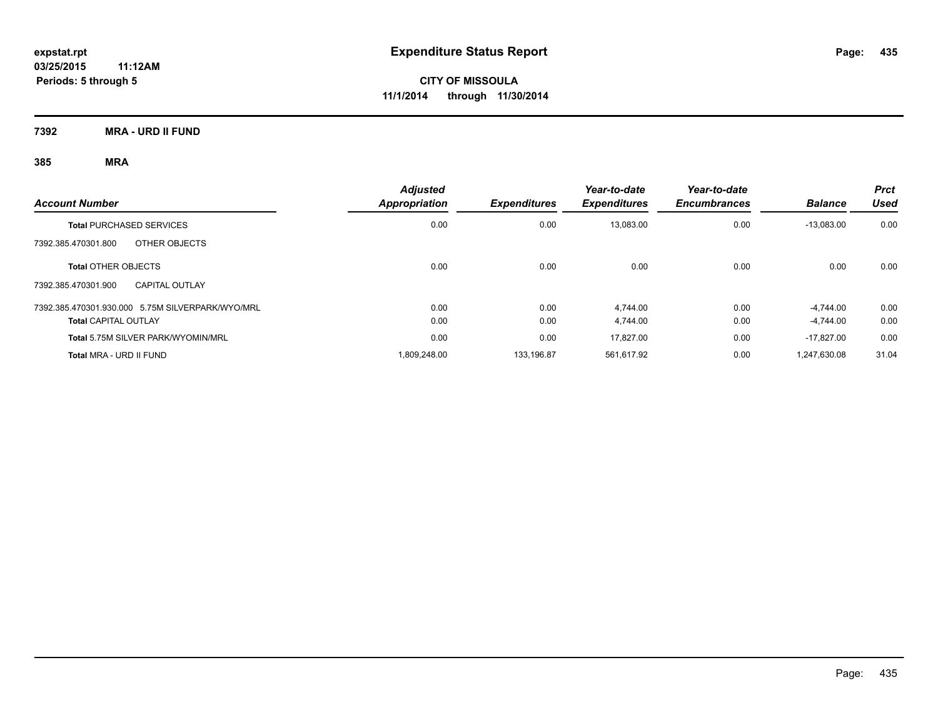**7392 MRA - URD II FUND**

|                                                  | <b>Adjusted</b>      |                     | Year-to-date        | Year-to-date        |                | <b>Prct</b> |
|--------------------------------------------------|----------------------|---------------------|---------------------|---------------------|----------------|-------------|
| <b>Account Number</b>                            | <b>Appropriation</b> | <b>Expenditures</b> | <b>Expenditures</b> | <b>Encumbrances</b> | <b>Balance</b> | Used        |
| <b>Total PURCHASED SERVICES</b>                  | 0.00                 | 0.00                | 13,083.00           | 0.00                | $-13,083.00$   | 0.00        |
| OTHER OBJECTS<br>7392.385.470301.800             |                      |                     |                     |                     |                |             |
| <b>Total OTHER OBJECTS</b>                       | 0.00                 | 0.00                | 0.00                | 0.00                | 0.00           | 0.00        |
| 7392.385.470301.900<br><b>CAPITAL OUTLAY</b>     |                      |                     |                     |                     |                |             |
| 7392.385.470301.930.000 5.75M SILVERPARK/WYO/MRL | 0.00                 | 0.00                | 4.744.00            | 0.00                | $-4.744.00$    | 0.00        |
| <b>Total CAPITAL OUTLAY</b>                      | 0.00                 | 0.00                | 4,744.00            | 0.00                | $-4.744.00$    | 0.00        |
| Total 5.75M SILVER PARK/WYOMIN/MRL               | 0.00                 | 0.00                | 17.827.00           | 0.00                | $-17.827.00$   | 0.00        |
| Total MRA - URD II FUND                          | 1.809.248.00         | 133.196.87          | 561.617.92          | 0.00                | 1.247.630.08   | 31.04       |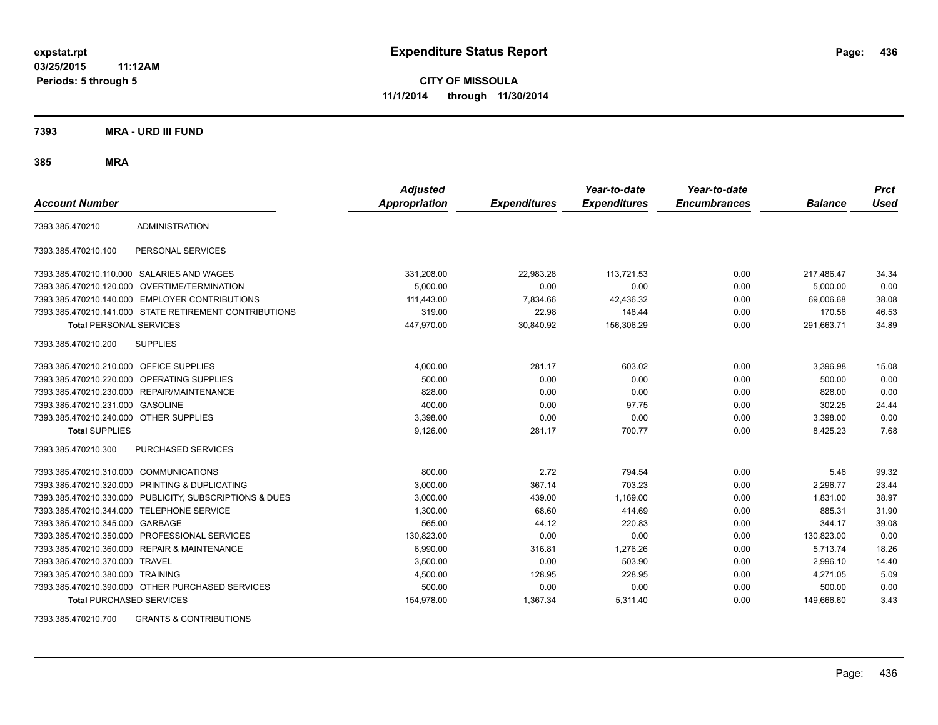**CITY OF MISSOULA 11/1/2014 through 11/30/2014**

**7393 MRA - URD III FUND**

**385 MRA**

| <b>Account Number</b>                   |                                                        | <b>Adjusted</b><br><b>Appropriation</b> | <b>Expenditures</b> | Year-to-date<br><b>Expenditures</b> | Year-to-date<br><b>Encumbrances</b> | <b>Balance</b> | <b>Prct</b><br><b>Used</b> |
|-----------------------------------------|--------------------------------------------------------|-----------------------------------------|---------------------|-------------------------------------|-------------------------------------|----------------|----------------------------|
| 7393.385.470210                         | <b>ADMINISTRATION</b>                                  |                                         |                     |                                     |                                     |                |                            |
| 7393.385.470210.100                     | PERSONAL SERVICES                                      |                                         |                     |                                     |                                     |                |                            |
|                                         | 7393.385.470210.110.000 SALARIES AND WAGES             | 331,208.00                              | 22,983.28           | 113,721.53                          | 0.00                                | 217,486.47     | 34.34                      |
|                                         | 7393.385.470210.120.000 OVERTIME/TERMINATION           | 5,000.00                                | 0.00                | 0.00                                | 0.00                                | 5,000.00       | 0.00                       |
|                                         | 7393.385.470210.140.000 EMPLOYER CONTRIBUTIONS         | 111,443.00                              | 7,834.66            | 42,436.32                           | 0.00                                | 69.006.68      | 38.08                      |
|                                         | 7393.385.470210.141.000 STATE RETIREMENT CONTRIBUTIONS | 319.00                                  | 22.98               | 148.44                              | 0.00                                | 170.56         | 46.53                      |
| <b>Total PERSONAL SERVICES</b>          |                                                        | 447,970.00                              | 30,840.92           | 156,306.29                          | 0.00                                | 291,663.71     | 34.89                      |
| 7393.385.470210.200                     | <b>SUPPLIES</b>                                        |                                         |                     |                                     |                                     |                |                            |
| 7393.385.470210.210.000 OFFICE SUPPLIES |                                                        | 4,000.00                                | 281.17              | 603.02                              | 0.00                                | 3,396.98       | 15.08                      |
|                                         | 7393.385.470210.220.000 OPERATING SUPPLIES             | 500.00                                  | 0.00                | 0.00                                | 0.00                                | 500.00         | 0.00                       |
| 7393.385.470210.230.000                 | REPAIR/MAINTENANCE                                     | 828.00                                  | 0.00                | 0.00                                | 0.00                                | 828.00         | 0.00                       |
| 7393.385.470210.231.000                 | <b>GASOLINE</b>                                        | 400.00                                  | 0.00                | 97.75                               | 0.00                                | 302.25         | 24.44                      |
| 7393.385.470210.240.000 OTHER SUPPLIES  |                                                        | 3,398.00                                | 0.00                | 0.00                                | 0.00                                | 3,398.00       | 0.00                       |
| <b>Total SUPPLIES</b>                   |                                                        | 9,126.00                                | 281.17              | 700.77                              | 0.00                                | 8,425.23       | 7.68                       |
| 7393.385.470210.300                     | PURCHASED SERVICES                                     |                                         |                     |                                     |                                     |                |                            |
| 7393.385.470210.310.000                 | <b>COMMUNICATIONS</b>                                  | 800.00                                  | 2.72                | 794.54                              | 0.00                                | 5.46           | 99.32                      |
| 7393.385.470210.320.000                 | <b>PRINTING &amp; DUPLICATING</b>                      | 3,000.00                                | 367.14              | 703.23                              | 0.00                                | 2,296.77       | 23.44                      |
| 7393.385.470210.330.000                 | PUBLICITY, SUBSCRIPTIONS & DUES                        | 3,000.00                                | 439.00              | 1,169.00                            | 0.00                                | 1.831.00       | 38.97                      |
| 7393.385.470210.344.000                 | <b>TELEPHONE SERVICE</b>                               | 1,300.00                                | 68.60               | 414.69                              | 0.00                                | 885.31         | 31.90                      |
| 7393.385.470210.345.000                 | GARBAGE                                                | 565.00                                  | 44.12               | 220.83                              | 0.00                                | 344.17         | 39.08                      |
| 7393.385.470210.350.000                 | PROFESSIONAL SERVICES                                  | 130,823.00                              | 0.00                | 0.00                                | 0.00                                | 130,823.00     | 0.00                       |
| 7393.385.470210.360.000                 | <b>REPAIR &amp; MAINTENANCE</b>                        | 6,990.00                                | 316.81              | 1,276.26                            | 0.00                                | 5,713.74       | 18.26                      |
| 7393.385.470210.370.000                 | <b>TRAVEL</b>                                          | 3,500.00                                | 0.00                | 503.90                              | 0.00                                | 2,996.10       | 14.40                      |
| 7393.385.470210.380.000 TRAINING        |                                                        | 4,500.00                                | 128.95              | 228.95                              | 0.00                                | 4,271.05       | 5.09                       |
|                                         | 7393.385.470210.390.000 OTHER PURCHASED SERVICES       | 500.00                                  | 0.00                | 0.00                                | 0.00                                | 500.00         | 0.00                       |
| <b>Total PURCHASED SERVICES</b>         |                                                        | 154,978.00                              | 1,367.34            | 5,311.40                            | 0.00                                | 149,666.60     | 3.43                       |

7393.385.470210.700 GRANTS & CONTRIBUTIONS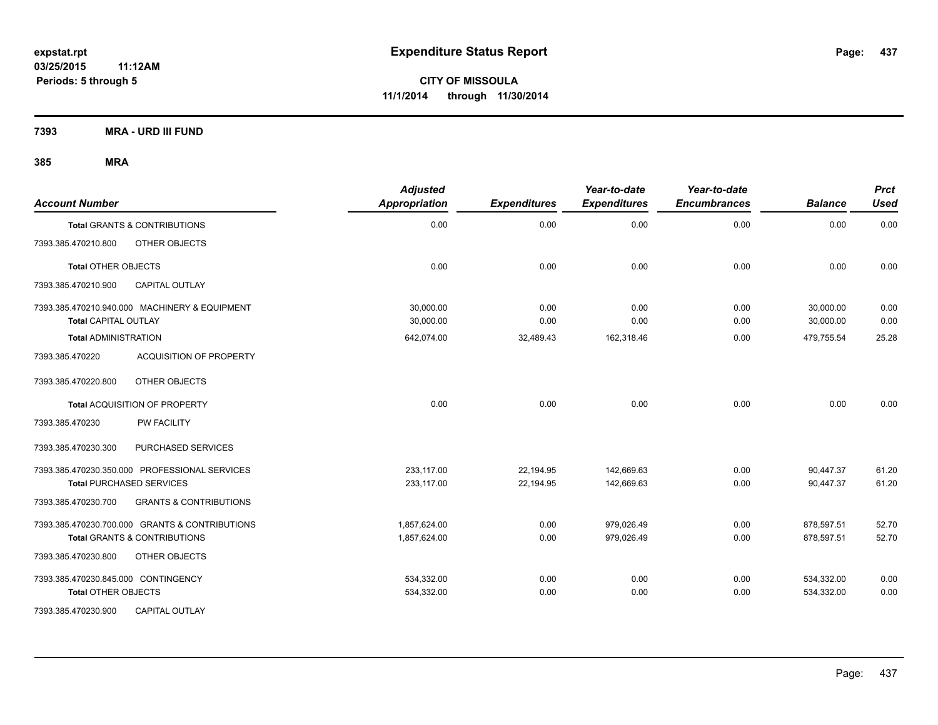**7393 MRA - URD III FUND**

| <b>Account Number</b>                                                        | <b>Adjusted</b><br><b>Appropriation</b> | <b>Expenditures</b> | Year-to-date<br><b>Expenditures</b> | Year-to-date<br><b>Encumbrances</b> | <b>Balance</b>         | <b>Prct</b><br>Used |
|------------------------------------------------------------------------------|-----------------------------------------|---------------------|-------------------------------------|-------------------------------------|------------------------|---------------------|
| <b>Total GRANTS &amp; CONTRIBUTIONS</b>                                      | 0.00                                    | 0.00                | 0.00                                | 0.00                                | 0.00                   | 0.00                |
| 7393.385.470210.800<br>OTHER OBJECTS                                         |                                         |                     |                                     |                                     |                        |                     |
| <b>Total OTHER OBJECTS</b>                                                   | 0.00                                    | 0.00                | 0.00                                | 0.00                                | 0.00                   | 0.00                |
| <b>CAPITAL OUTLAY</b><br>7393.385.470210.900                                 |                                         |                     |                                     |                                     |                        |                     |
| 7393.385.470210.940.000 MACHINERY & EQUIPMENT<br><b>Total CAPITAL OUTLAY</b> | 30.000.00<br>30,000.00                  | 0.00<br>0.00        | 0.00<br>0.00                        | 0.00<br>0.00                        | 30,000.00<br>30,000.00 | 0.00<br>0.00        |
| <b>Total ADMINISTRATION</b>                                                  | 642,074.00                              | 32,489.43           | 162,318.46                          | 0.00                                | 479,755.54             | 25.28               |
| <b>ACQUISITION OF PROPERTY</b><br>7393.385.470220                            |                                         |                     |                                     |                                     |                        |                     |
| OTHER OBJECTS<br>7393.385.470220.800                                         |                                         |                     |                                     |                                     |                        |                     |
| Total ACQUISITION OF PROPERTY                                                | 0.00                                    | 0.00                | 0.00                                | 0.00                                | 0.00                   | 0.00                |
| <b>PW FACILITY</b><br>7393.385.470230                                        |                                         |                     |                                     |                                     |                        |                     |
| 7393.385.470230.300<br>PURCHASED SERVICES                                    |                                         |                     |                                     |                                     |                        |                     |
| 7393.385.470230.350.000 PROFESSIONAL SERVICES                                | 233,117.00                              | 22,194.95           | 142,669.63                          | 0.00                                | 90,447.37              | 61.20               |
| <b>Total PURCHASED SERVICES</b>                                              | 233,117.00                              | 22,194.95           | 142,669.63                          | 0.00                                | 90,447.37              | 61.20               |
| 7393.385.470230.700<br><b>GRANTS &amp; CONTRIBUTIONS</b>                     |                                         |                     |                                     |                                     |                        |                     |
| 7393.385.470230.700.000 GRANTS & CONTRIBUTIONS                               | 1,857,624.00                            | 0.00                | 979,026.49                          | 0.00                                | 878,597.51             | 52.70               |
| Total GRANTS & CONTRIBUTIONS                                                 | 1,857,624.00                            | 0.00                | 979.026.49                          | 0.00                                | 878.597.51             | 52.70               |
| 7393.385.470230.800<br>OTHER OBJECTS                                         |                                         |                     |                                     |                                     |                        |                     |
| 7393.385.470230.845.000 CONTINGENCY                                          | 534,332.00                              | 0.00                | 0.00                                | 0.00                                | 534,332.00             | 0.00                |
| <b>Total OTHER OBJECTS</b>                                                   | 534,332.00                              | 0.00                | 0.00                                | 0.00                                | 534,332.00             | 0.00                |
| 7393.385.470230.900<br><b>CAPITAL OUTLAY</b>                                 |                                         |                     |                                     |                                     |                        |                     |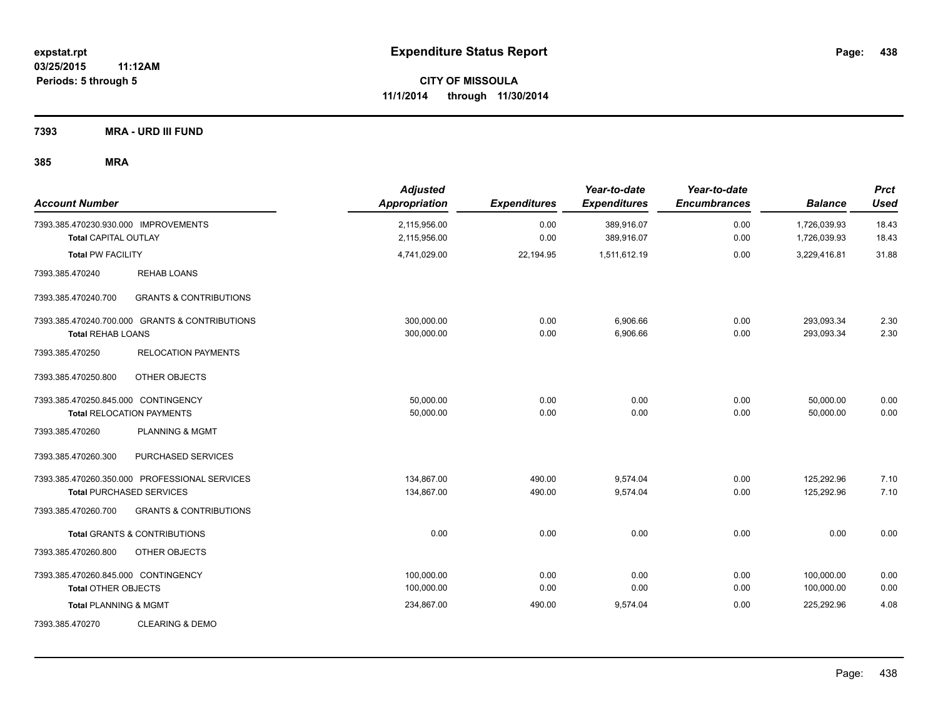**7393 MRA - URD III FUND**

| <b>Account Number</b>                                               |                                                                                  | <b>Adjusted</b><br><b>Appropriation</b> | <b>Expenditures</b> | Year-to-date<br><b>Expenditures</b> | Year-to-date<br><b>Encumbrances</b> | <b>Balance</b>               | <b>Prct</b><br><b>Used</b> |
|---------------------------------------------------------------------|----------------------------------------------------------------------------------|-----------------------------------------|---------------------|-------------------------------------|-------------------------------------|------------------------------|----------------------------|
| 7393.385.470230.930.000 IMPROVEMENTS<br><b>Total CAPITAL OUTLAY</b> |                                                                                  | 2,115,956.00<br>2,115,956.00            | 0.00<br>0.00        | 389,916.07<br>389,916.07            | 0.00<br>0.00                        | 1,726,039.93<br>1,726,039.93 | 18.43<br>18.43             |
| <b>Total PW FACILITY</b>                                            |                                                                                  | 4,741,029.00                            | 22,194.95           | 1,511,612.19                        | 0.00                                | 3,229,416.81                 | 31.88                      |
| 7393.385.470240                                                     | <b>REHAB LOANS</b>                                                               |                                         |                     |                                     |                                     |                              |                            |
| 7393.385.470240.700                                                 | <b>GRANTS &amp; CONTRIBUTIONS</b>                                                |                                         |                     |                                     |                                     |                              |                            |
| <b>Total REHAB LOANS</b>                                            | 7393.385.470240.700.000 GRANTS & CONTRIBUTIONS                                   | 300,000.00<br>300,000.00                | 0.00<br>0.00        | 6,906.66<br>6,906.66                | 0.00<br>0.00                        | 293,093.34<br>293,093.34     | 2.30<br>2.30               |
| 7393.385.470250                                                     | <b>RELOCATION PAYMENTS</b>                                                       |                                         |                     |                                     |                                     |                              |                            |
| 7393.385.470250.800                                                 | OTHER OBJECTS                                                                    |                                         |                     |                                     |                                     |                              |                            |
| 7393.385.470250.845.000 CONTINGENCY                                 | <b>Total RELOCATION PAYMENTS</b>                                                 | 50,000.00<br>50,000.00                  | 0.00<br>0.00        | 0.00<br>0.00                        | 0.00<br>0.00                        | 50,000.00<br>50,000.00       | 0.00<br>0.00               |
| 7393.385.470260                                                     | PLANNING & MGMT                                                                  |                                         |                     |                                     |                                     |                              |                            |
| 7393.385.470260.300                                                 | PURCHASED SERVICES                                                               |                                         |                     |                                     |                                     |                              |                            |
|                                                                     | 7393.385.470260.350.000 PROFESSIONAL SERVICES<br><b>Total PURCHASED SERVICES</b> | 134.867.00<br>134,867.00                | 490.00<br>490.00    | 9,574.04<br>9,574.04                | 0.00<br>0.00                        | 125,292.96<br>125,292.96     | 7.10<br>7.10               |
| 7393.385.470260.700                                                 | <b>GRANTS &amp; CONTRIBUTIONS</b>                                                |                                         |                     |                                     |                                     |                              |                            |
|                                                                     | <b>Total GRANTS &amp; CONTRIBUTIONS</b>                                          | 0.00                                    | 0.00                | 0.00                                | 0.00                                | 0.00                         | 0.00                       |
| 7393.385.470260.800                                                 | OTHER OBJECTS                                                                    |                                         |                     |                                     |                                     |                              |                            |
| 7393.385.470260.845.000 CONTINGENCY<br><b>Total OTHER OBJECTS</b>   |                                                                                  | 100,000.00<br>100,000.00                | 0.00<br>0.00        | 0.00<br>0.00                        | 0.00<br>0.00                        | 100,000.00<br>100,000.00     | 0.00<br>0.00               |
| <b>Total PLANNING &amp; MGMT</b>                                    |                                                                                  | 234,867.00                              | 490.00              | 9,574.04                            | 0.00                                | 225,292.96                   | 4.08                       |
| 7393.385.470270                                                     | <b>CLEARING &amp; DEMO</b>                                                       |                                         |                     |                                     |                                     |                              |                            |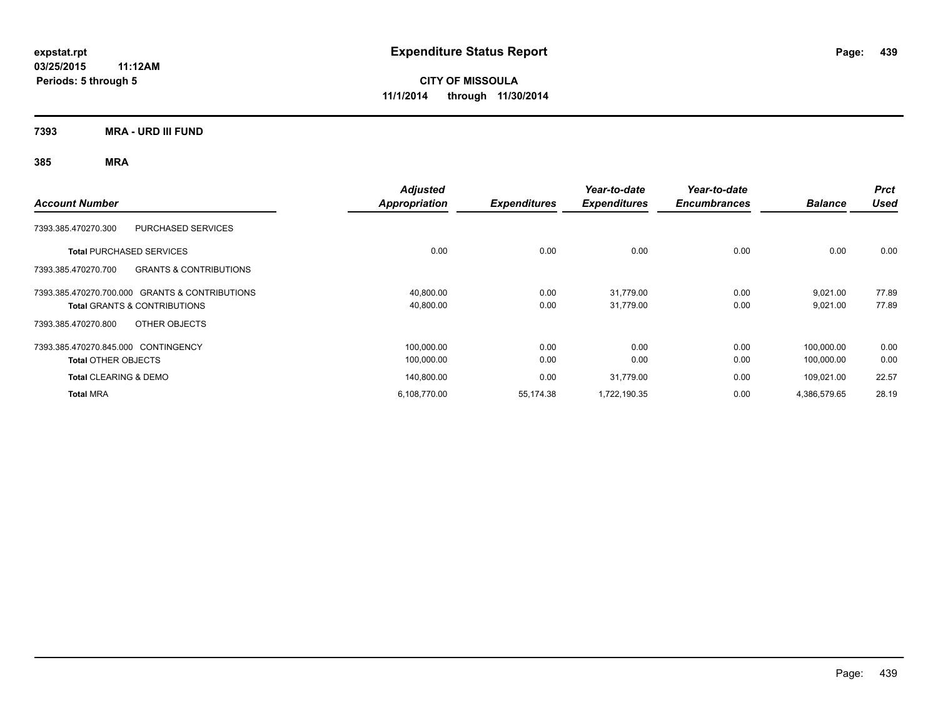**CITY OF MISSOULA 11/1/2014 through 11/30/2014**

**7393 MRA - URD III FUND**

| <b>Account Number</b>                                    | <b>Adjusted</b><br><b>Appropriation</b> | <b>Expenditures</b> | Year-to-date<br><b>Expenditures</b> | Year-to-date<br><b>Encumbrances</b> | <b>Balance</b> | <b>Prct</b><br><b>Used</b> |
|----------------------------------------------------------|-----------------------------------------|---------------------|-------------------------------------|-------------------------------------|----------------|----------------------------|
| <b>PURCHASED SERVICES</b><br>7393.385.470270.300         |                                         |                     |                                     |                                     |                |                            |
| <b>Total PURCHASED SERVICES</b>                          | 0.00                                    | 0.00                | 0.00                                | 0.00                                | 0.00           | 0.00                       |
| 7393.385.470270.700<br><b>GRANTS &amp; CONTRIBUTIONS</b> |                                         |                     |                                     |                                     |                |                            |
| 7393.385.470270.700.000 GRANTS & CONTRIBUTIONS           | 40,800.00                               | 0.00                | 31,779.00                           | 0.00                                | 9,021.00       | 77.89                      |
| Total GRANTS & CONTRIBUTIONS                             | 40,800.00                               | 0.00                | 31,779.00                           | 0.00                                | 9,021.00       | 77.89                      |
| OTHER OBJECTS<br>7393.385.470270.800                     |                                         |                     |                                     |                                     |                |                            |
| 7393.385.470270.845.000 CONTINGENCY                      | 100,000.00                              | 0.00                | 0.00                                | 0.00                                | 100,000.00     | 0.00                       |
| <b>Total OTHER OBJECTS</b>                               | 100,000.00                              | 0.00                | 0.00                                | 0.00                                | 100,000.00     | 0.00                       |
| <b>Total CLEARING &amp; DEMO</b>                         | 140,800.00                              | 0.00                | 31,779.00                           | 0.00                                | 109,021.00     | 22.57                      |
| <b>Total MRA</b>                                         | 6,108,770.00                            | 55,174.38           | 1,722,190.35                        | 0.00                                | 4,386,579.65   | 28.19                      |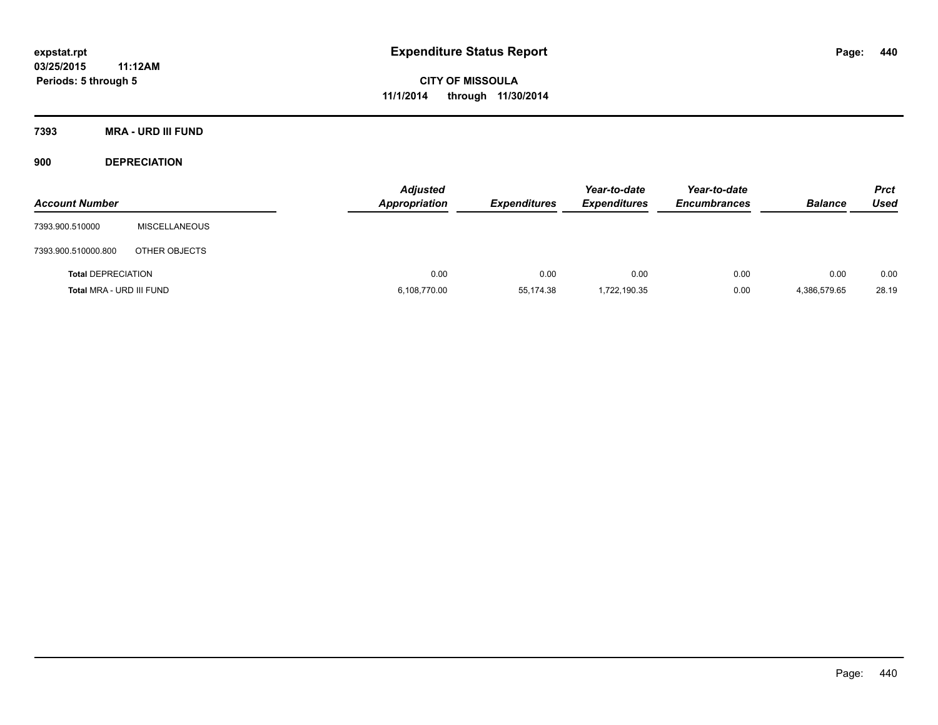**Periods: 5 through 5**

**CITY OF MISSOULA 11/1/2014 through 11/30/2014**

**7393 MRA - URD III FUND**

**900 DEPRECIATION**

| <b>Account Number</b>     |                      | <b>Adjusted</b><br>Appropriation | <b>Expenditures</b> | Year-to-date<br><b>Expenditures</b> | Year-to-date<br><b>Encumbrances</b> | <b>Balance</b> | <b>Prct</b><br>Used |
|---------------------------|----------------------|----------------------------------|---------------------|-------------------------------------|-------------------------------------|----------------|---------------------|
| 7393.900.510000           | <b>MISCELLANEOUS</b> |                                  |                     |                                     |                                     |                |                     |
| 7393.900.510000.800       | OTHER OBJECTS        |                                  |                     |                                     |                                     |                |                     |
| <b>Total DEPRECIATION</b> |                      | 0.00                             | 0.00                | 0.00                                | 0.00                                | 0.00           | 0.00                |
| Total MRA - URD III FUND  |                      | 6,108,770.00                     | 55,174.38           | 1,722,190.35                        | 0.00                                | 4,386,579.65   | 28.19               |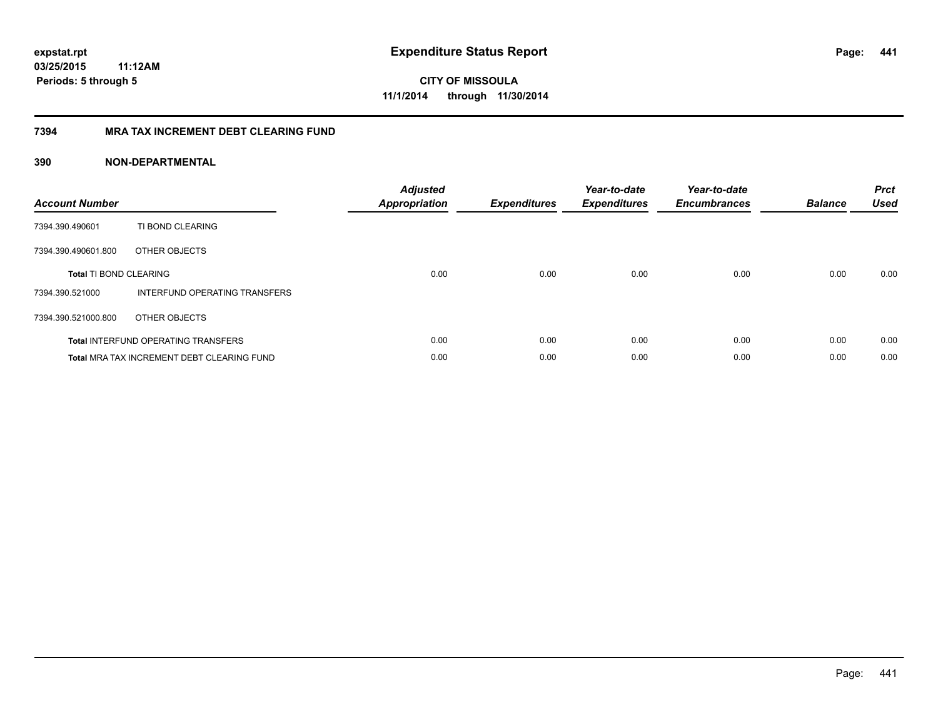**441**

**CITY OF MISSOULA 11/1/2014 through 11/30/2014**

#### **7394 MRA TAX INCREMENT DEBT CLEARING FUND**

| <b>Account Number</b>         |                                                   | <b>Adjusted</b><br><b>Appropriation</b> | <b>Expenditures</b> | Year-to-date<br><b>Expenditures</b> | Year-to-date<br><b>Encumbrances</b> | <b>Balance</b> | <b>Prct</b><br><b>Used</b> |
|-------------------------------|---------------------------------------------------|-----------------------------------------|---------------------|-------------------------------------|-------------------------------------|----------------|----------------------------|
| 7394.390.490601               | TI BOND CLEARING                                  |                                         |                     |                                     |                                     |                |                            |
| 7394.390.490601.800           | OTHER OBJECTS                                     |                                         |                     |                                     |                                     |                |                            |
| <b>Total TI BOND CLEARING</b> |                                                   | 0.00                                    | 0.00                | 0.00                                | 0.00                                | 0.00           | 0.00                       |
| 7394.390.521000               | INTERFUND OPERATING TRANSFERS                     |                                         |                     |                                     |                                     |                |                            |
| 7394.390.521000.800           | OTHER OBJECTS                                     |                                         |                     |                                     |                                     |                |                            |
|                               | <b>Total INTERFUND OPERATING TRANSFERS</b>        | 0.00                                    | 0.00                | 0.00                                | 0.00                                | 0.00           | 0.00                       |
|                               | <b>Total MRA TAX INCREMENT DEBT CLEARING FUND</b> | 0.00                                    | 0.00                | 0.00                                | 0.00                                | 0.00           | 0.00                       |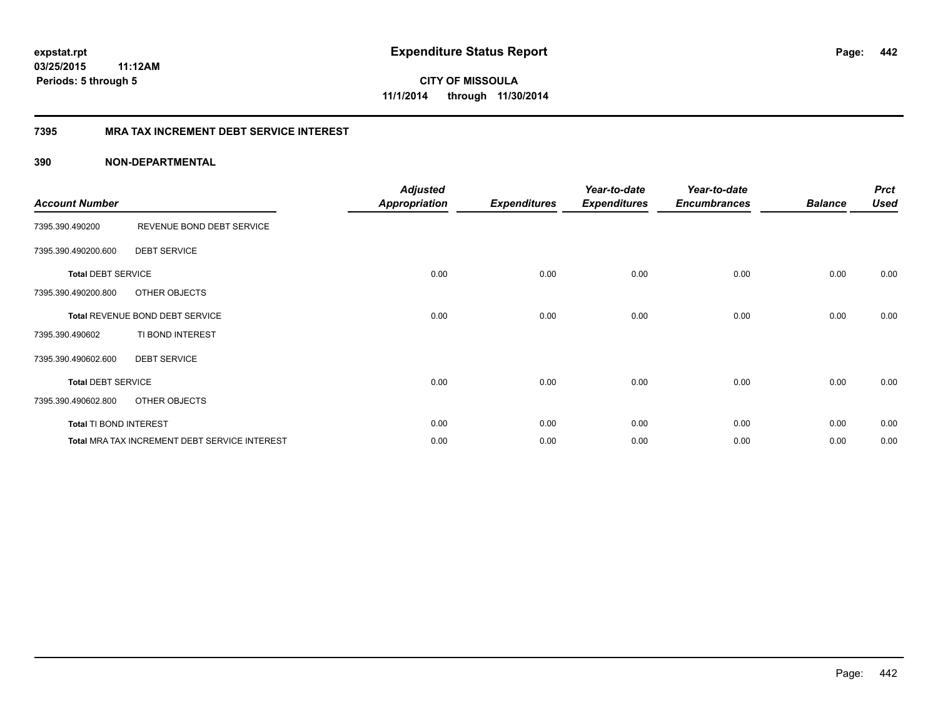**CITY OF MISSOULA 11/1/2014 through 11/30/2014**

#### **7395 MRA TAX INCREMENT DEBT SERVICE INTEREST**

| <b>Account Number</b>     |                                               | <b>Adjusted</b><br><b>Appropriation</b> | <b>Expenditures</b> | Year-to-date<br><b>Expenditures</b> | Year-to-date<br><b>Encumbrances</b> | <b>Balance</b> | <b>Prct</b><br><b>Used</b> |
|---------------------------|-----------------------------------------------|-----------------------------------------|---------------------|-------------------------------------|-------------------------------------|----------------|----------------------------|
| 7395.390.490200           | REVENUE BOND DEBT SERVICE                     |                                         |                     |                                     |                                     |                |                            |
| 7395.390.490200.600       | <b>DEBT SERVICE</b>                           |                                         |                     |                                     |                                     |                |                            |
| <b>Total DEBT SERVICE</b> |                                               | 0.00                                    | 0.00                | 0.00                                | 0.00                                | 0.00           | 0.00                       |
| 7395.390.490200.800       | OTHER OBJECTS                                 |                                         |                     |                                     |                                     |                |                            |
|                           | Total REVENUE BOND DEBT SERVICE               | 0.00                                    | 0.00                | 0.00                                | 0.00                                | 0.00           | 0.00                       |
| 7395.390.490602           | TI BOND INTEREST                              |                                         |                     |                                     |                                     |                |                            |
| 7395.390.490602.600       | <b>DEBT SERVICE</b>                           |                                         |                     |                                     |                                     |                |                            |
| <b>Total DEBT SERVICE</b> |                                               | 0.00                                    | 0.00                | 0.00                                | 0.00                                | 0.00           | 0.00                       |
| 7395.390.490602.800       | OTHER OBJECTS                                 |                                         |                     |                                     |                                     |                |                            |
| Total TI BOND INTEREST    |                                               | 0.00                                    | 0.00                | 0.00                                | 0.00                                | 0.00           | 0.00                       |
|                           | Total MRA TAX INCREMENT DEBT SERVICE INTEREST | 0.00                                    | 0.00                | 0.00                                | 0.00                                | 0.00           | 0.00                       |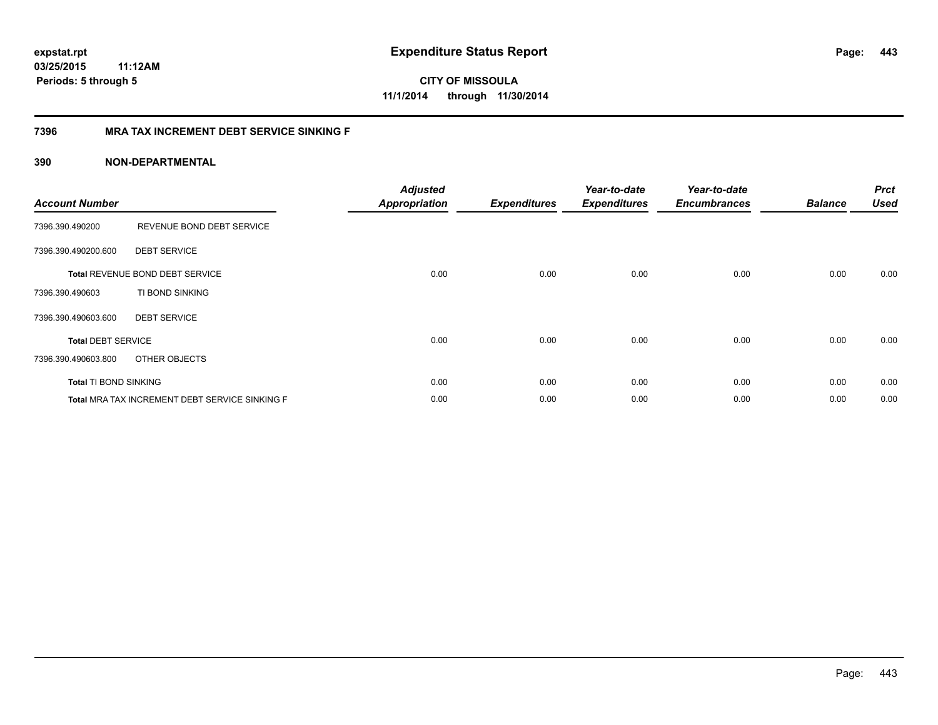**443**

**CITY OF MISSOULA 11/1/2014 through 11/30/2014**

#### **7396 MRA TAX INCREMENT DEBT SERVICE SINKING F**

| <b>Account Number</b>        |                                                | <b>Adjusted</b><br>Appropriation | <b>Expenditures</b> | Year-to-date<br><b>Expenditures</b> | Year-to-date<br><b>Encumbrances</b> | <b>Balance</b> | <b>Prct</b><br><b>Used</b> |
|------------------------------|------------------------------------------------|----------------------------------|---------------------|-------------------------------------|-------------------------------------|----------------|----------------------------|
| 7396.390.490200              | REVENUE BOND DEBT SERVICE                      |                                  |                     |                                     |                                     |                |                            |
| 7396.390.490200.600          | <b>DEBT SERVICE</b>                            |                                  |                     |                                     |                                     |                |                            |
|                              | Total REVENUE BOND DEBT SERVICE                | 0.00                             | 0.00                | 0.00                                | 0.00                                | 0.00           | 0.00                       |
| 7396.390.490603              | TI BOND SINKING                                |                                  |                     |                                     |                                     |                |                            |
| 7396.390.490603.600          | <b>DEBT SERVICE</b>                            |                                  |                     |                                     |                                     |                |                            |
| <b>Total DEBT SERVICE</b>    |                                                | 0.00                             | 0.00                | 0.00                                | 0.00                                | 0.00           | 0.00                       |
| 7396.390.490603.800          | OTHER OBJECTS                                  |                                  |                     |                                     |                                     |                |                            |
| <b>Total TI BOND SINKING</b> |                                                | 0.00                             | 0.00                | 0.00                                | 0.00                                | 0.00           | 0.00                       |
|                              | Total MRA TAX INCREMENT DEBT SERVICE SINKING F | 0.00                             | 0.00                | 0.00                                | 0.00                                | 0.00           | 0.00                       |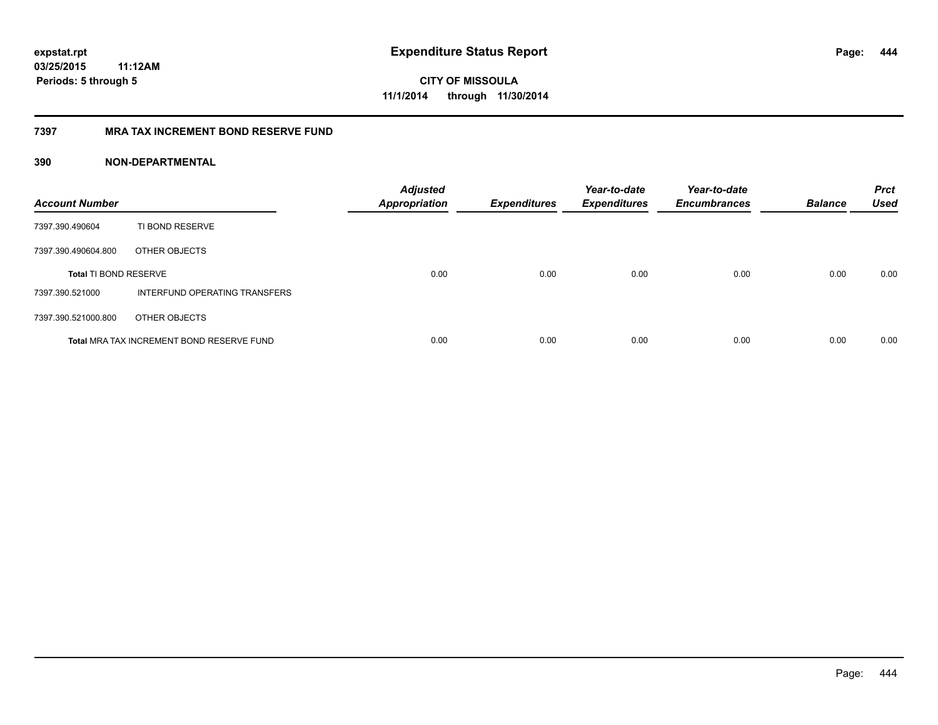**444**

**CITY OF MISSOULA 11/1/2014 through 11/30/2014**

#### **7397 MRA TAX INCREMENT BOND RESERVE FUND**

| <b>Account Number</b>        |                                           | <b>Adjusted</b><br><b>Appropriation</b> | <b>Expenditures</b> | Year-to-date<br><b>Expenditures</b> | Year-to-date<br><b>Encumbrances</b> | <b>Balance</b> | <b>Prct</b><br><b>Used</b> |
|------------------------------|-------------------------------------------|-----------------------------------------|---------------------|-------------------------------------|-------------------------------------|----------------|----------------------------|
| 7397.390.490604              | TI BOND RESERVE                           |                                         |                     |                                     |                                     |                |                            |
| 7397.390.490604.800          | OTHER OBJECTS                             |                                         |                     |                                     |                                     |                |                            |
| <b>Total TI BOND RESERVE</b> |                                           | 0.00                                    | 0.00                | 0.00                                | 0.00                                | 0.00           | 0.00                       |
| 7397.390.521000              | INTERFUND OPERATING TRANSFERS             |                                         |                     |                                     |                                     |                |                            |
| 7397.390.521000.800          | OTHER OBJECTS                             |                                         |                     |                                     |                                     |                |                            |
|                              | Total MRA TAX INCREMENT BOND RESERVE FUND | 0.00                                    | 0.00                | 0.00                                | 0.00                                | 0.00           | 0.00                       |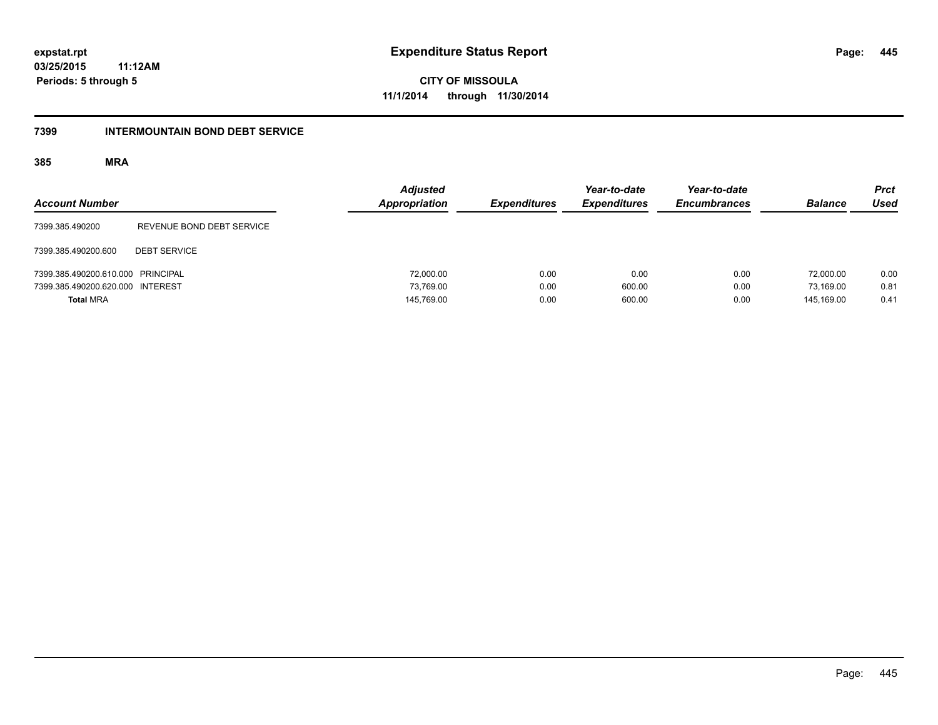**03/25/2015 11:12AM**

**Periods: 5 through 5**

**445**

**CITY OF MISSOULA 11/1/2014 through 11/30/2014**

#### **7399 INTERMOUNTAIN BOND DEBT SERVICE**

| <b>Account Number</b>             |                           | <b>Adjusted</b><br>Appropriation | <b>Expenditures</b> | Year-to-date<br><b>Expenditures</b> | Year-to-date<br><b>Encumbrances</b> | <b>Balance</b> | <b>Prct</b><br><b>Used</b> |
|-----------------------------------|---------------------------|----------------------------------|---------------------|-------------------------------------|-------------------------------------|----------------|----------------------------|
| 7399.385.490200                   | REVENUE BOND DEBT SERVICE |                                  |                     |                                     |                                     |                |                            |
| 7399.385.490200.600               | <b>DEBT SERVICE</b>       |                                  |                     |                                     |                                     |                |                            |
| 7399.385.490200.610.000 PRINCIPAL |                           | 72,000.00                        | 0.00                | 0.00                                | 0.00                                | 72,000.00      | 0.00                       |
| 7399.385.490200.620.000 INTEREST  |                           | 73.769.00                        | 0.00                | 600.00                              | 0.00                                | 73.169.00      | 0.81                       |
| <b>Total MRA</b>                  |                           | 145,769.00                       | 0.00                | 600.00                              | 0.00                                | 145.169.00     | 0.41                       |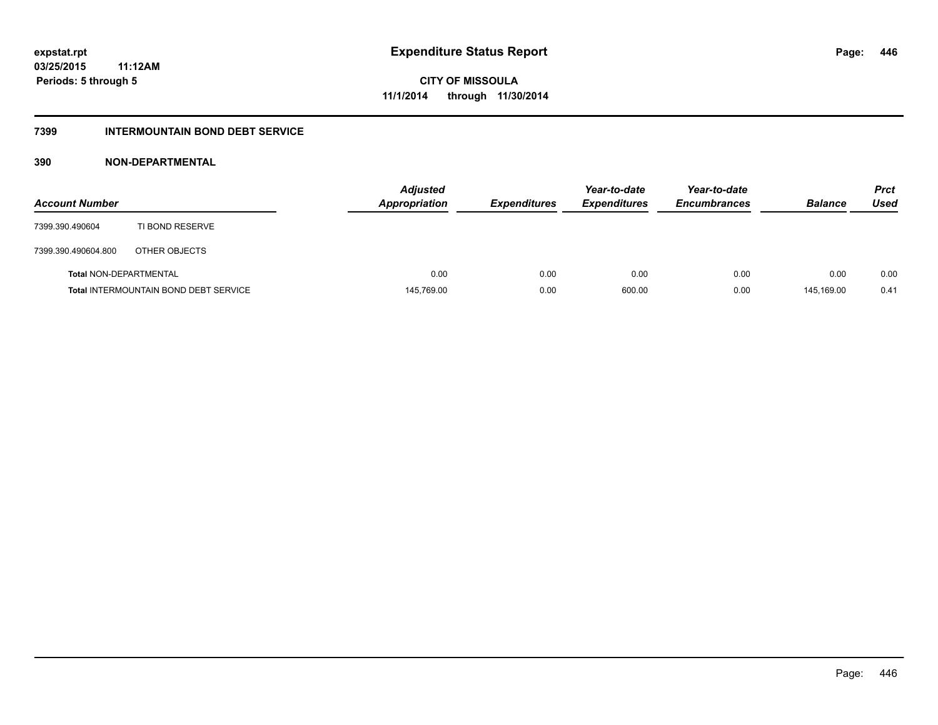#### **7399 INTERMOUNTAIN BOND DEBT SERVICE**

| <b>Account Number</b>         |                                              | <b>Adjusted</b><br><b>Appropriation</b> | <b>Expenditures</b> | Year-to-date<br><b>Expenditures</b> | Year-to-date<br><b>Encumbrances</b> | <b>Balance</b> | <b>Prct</b><br>Used |
|-------------------------------|----------------------------------------------|-----------------------------------------|---------------------|-------------------------------------|-------------------------------------|----------------|---------------------|
| 7399.390.490604               | TI BOND RESERVE                              |                                         |                     |                                     |                                     |                |                     |
| 7399.390.490604.800           | OTHER OBJECTS                                |                                         |                     |                                     |                                     |                |                     |
| <b>Total NON-DEPARTMENTAL</b> |                                              | 0.00                                    | 0.00                | 0.00                                | 0.00                                | 0.00           | 0.00                |
|                               | <b>Total INTERMOUNTAIN BOND DEBT SERVICE</b> | 145,769.00                              | 0.00                | 600.00                              | 0.00                                | 145.169.00     | 0.41                |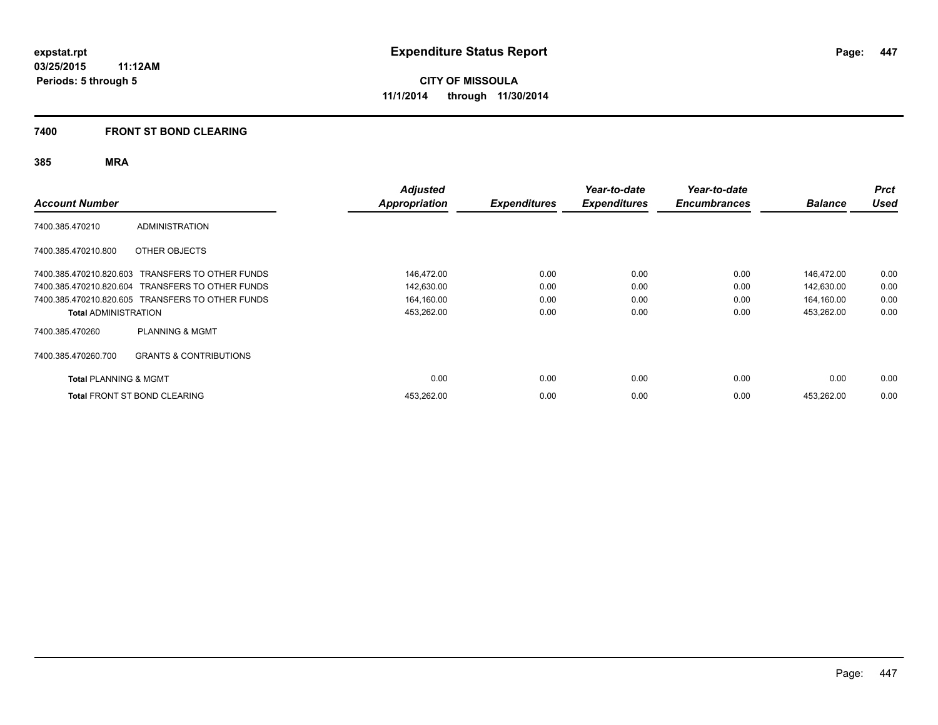#### **7400 FRONT ST BOND CLEARING**

| <b>Account Number</b>            |                                                  | <b>Adjusted</b><br>Appropriation | <b>Expenditures</b> | Year-to-date<br><b>Expenditures</b> | Year-to-date<br><b>Encumbrances</b> | <b>Balance</b> | <b>Prct</b><br><b>Used</b> |
|----------------------------------|--------------------------------------------------|----------------------------------|---------------------|-------------------------------------|-------------------------------------|----------------|----------------------------|
| 7400.385.470210                  | <b>ADMINISTRATION</b>                            |                                  |                     |                                     |                                     |                |                            |
| 7400.385.470210.800              | OTHER OBJECTS                                    |                                  |                     |                                     |                                     |                |                            |
|                                  | 7400.385.470210.820.603 TRANSFERS TO OTHER FUNDS | 146,472.00                       | 0.00                | 0.00                                | 0.00                                | 146,472.00     | 0.00                       |
|                                  | 7400.385.470210.820.604 TRANSFERS TO OTHER FUNDS | 142,630.00                       | 0.00                | 0.00                                | 0.00                                | 142,630.00     | 0.00                       |
|                                  | 7400.385.470210.820.605 TRANSFERS TO OTHER FUNDS | 164,160.00                       | 0.00                | 0.00                                | 0.00                                | 164,160.00     | 0.00                       |
| <b>Total ADMINISTRATION</b>      |                                                  | 453,262.00                       | 0.00                | 0.00                                | 0.00                                | 453,262.00     | 0.00                       |
| 7400.385.470260                  | <b>PLANNING &amp; MGMT</b>                       |                                  |                     |                                     |                                     |                |                            |
| 7400.385.470260.700              | <b>GRANTS &amp; CONTRIBUTIONS</b>                |                                  |                     |                                     |                                     |                |                            |
| <b>Total PLANNING &amp; MGMT</b> |                                                  | 0.00                             | 0.00                | 0.00                                | 0.00                                | 0.00           | 0.00                       |
|                                  | <b>Total FRONT ST BOND CLEARING</b>              | 453,262.00                       | 0.00                | 0.00                                | 0.00                                | 453,262.00     | 0.00                       |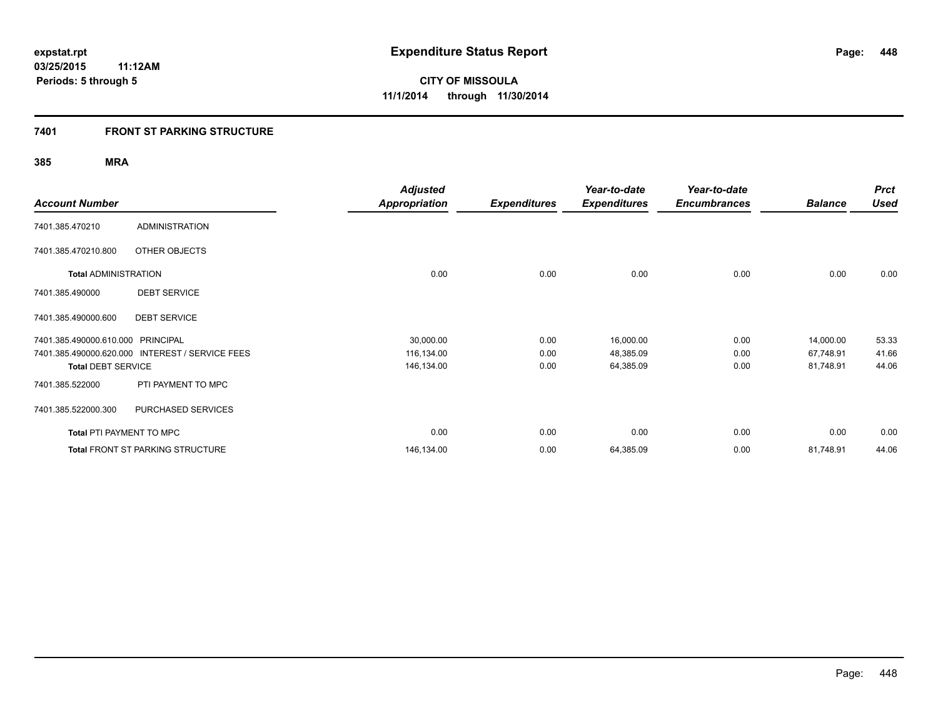#### **7401 FRONT ST PARKING STRUCTURE**

|                                 |                                         | <b>Adjusted</b>      |                     | Year-to-date        | Year-to-date        |                | <b>Prct</b> |
|---------------------------------|-----------------------------------------|----------------------|---------------------|---------------------|---------------------|----------------|-------------|
| <b>Account Number</b>           |                                         | <b>Appropriation</b> | <b>Expenditures</b> | <b>Expenditures</b> | <b>Encumbrances</b> | <b>Balance</b> | <b>Used</b> |
| 7401.385.470210                 | <b>ADMINISTRATION</b>                   |                      |                     |                     |                     |                |             |
| 7401.385.470210.800             | OTHER OBJECTS                           |                      |                     |                     |                     |                |             |
| <b>Total ADMINISTRATION</b>     |                                         | 0.00                 | 0.00                | 0.00                | 0.00                | 0.00           | 0.00        |
| 7401.385.490000                 | <b>DEBT SERVICE</b>                     |                      |                     |                     |                     |                |             |
| 7401.385.490000.600             | <b>DEBT SERVICE</b>                     |                      |                     |                     |                     |                |             |
| 7401.385.490000.610.000         | <b>PRINCIPAL</b>                        | 30,000.00            | 0.00                | 16,000.00           | 0.00                | 14,000.00      | 53.33       |
| 7401.385.490000.620.000         | <b>INTEREST / SERVICE FEES</b>          | 116,134.00           | 0.00                | 48,385.09           | 0.00                | 67,748.91      | 41.66       |
| <b>Total DEBT SERVICE</b>       |                                         | 146,134.00           | 0.00                | 64,385.09           | 0.00                | 81,748.91      | 44.06       |
| 7401.385.522000                 | PTI PAYMENT TO MPC                      |                      |                     |                     |                     |                |             |
| 7401.385.522000.300             | PURCHASED SERVICES                      |                      |                     |                     |                     |                |             |
| <b>Total PTI PAYMENT TO MPC</b> |                                         | 0.00                 | 0.00                | 0.00                | 0.00                | 0.00           | 0.00        |
|                                 | <b>Total FRONT ST PARKING STRUCTURE</b> | 146,134.00           | 0.00                | 64,385.09           | 0.00                | 81,748.91      | 44.06       |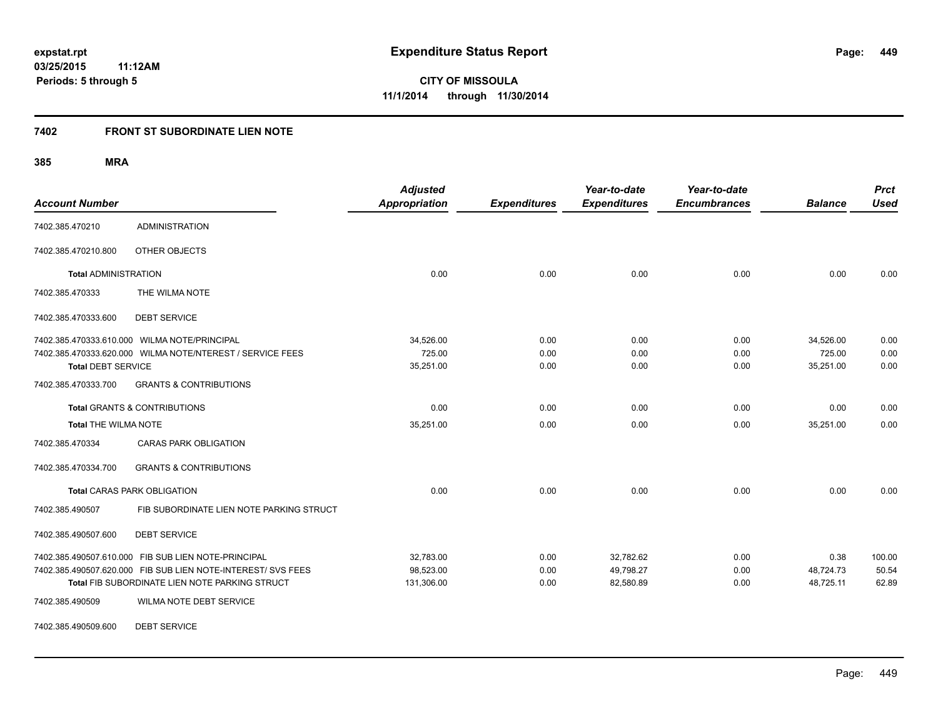### **7402 FRONT ST SUBORDINATE LIEN NOTE**

**385 MRA**

| <b>Account Number</b>       |                                                              | <b>Adjusted</b><br><b>Appropriation</b> | <b>Expenditures</b> | Year-to-date<br><b>Expenditures</b> | Year-to-date<br><b>Encumbrances</b> | <b>Balance</b> | <b>Prct</b><br><b>Used</b> |
|-----------------------------|--------------------------------------------------------------|-----------------------------------------|---------------------|-------------------------------------|-------------------------------------|----------------|----------------------------|
| 7402.385.470210             | <b>ADMINISTRATION</b>                                        |                                         |                     |                                     |                                     |                |                            |
| 7402.385.470210.800         | OTHER OBJECTS                                                |                                         |                     |                                     |                                     |                |                            |
| <b>Total ADMINISTRATION</b> |                                                              | 0.00                                    | 0.00                | 0.00                                | 0.00                                | 0.00           | 0.00                       |
| 7402.385.470333             | THE WILMA NOTE                                               |                                         |                     |                                     |                                     |                |                            |
| 7402.385.470333.600         | <b>DEBT SERVICE</b>                                          |                                         |                     |                                     |                                     |                |                            |
|                             | 7402.385.470333.610.000 WILMA NOTE/PRINCIPAL                 | 34,526.00                               | 0.00                | 0.00                                | 0.00                                | 34,526.00      | 0.00                       |
|                             | 7402.385.470333.620.000 WILMA NOTE/NTEREST / SERVICE FEES    | 725.00                                  | 0.00                | 0.00                                | 0.00                                | 725.00         | 0.00                       |
| <b>Total DEBT SERVICE</b>   |                                                              | 35,251.00                               | 0.00                | 0.00                                | 0.00                                | 35,251.00      | 0.00                       |
| 7402.385.470333.700         | <b>GRANTS &amp; CONTRIBUTIONS</b>                            |                                         |                     |                                     |                                     |                |                            |
|                             | <b>Total GRANTS &amp; CONTRIBUTIONS</b>                      | 0.00                                    | 0.00                | 0.00                                | 0.00                                | 0.00           | 0.00                       |
| <b>Total THE WILMA NOTE</b> |                                                              | 35,251.00                               | 0.00                | 0.00                                | 0.00                                | 35,251.00      | 0.00                       |
| 7402.385.470334             | <b>CARAS PARK OBLIGATION</b>                                 |                                         |                     |                                     |                                     |                |                            |
| 7402.385.470334.700         | <b>GRANTS &amp; CONTRIBUTIONS</b>                            |                                         |                     |                                     |                                     |                |                            |
|                             | <b>Total CARAS PARK OBLIGATION</b>                           | 0.00                                    | 0.00                | 0.00                                | 0.00                                | 0.00           | 0.00                       |
| 7402.385.490507             | FIB SUBORDINATE LIEN NOTE PARKING STRUCT                     |                                         |                     |                                     |                                     |                |                            |
| 7402.385.490507.600         | <b>DEBT SERVICE</b>                                          |                                         |                     |                                     |                                     |                |                            |
|                             | 7402.385.490507.610.000 FIB SUB LIEN NOTE-PRINCIPAL          | 32,783.00                               | 0.00                | 32,782.62                           | 0.00                                | 0.38           | 100.00                     |
|                             | 7402.385.490507.620.000 FIB SUB LIEN NOTE-INTEREST/ SVS FEES | 98,523.00                               | 0.00                | 49,798.27                           | 0.00                                | 48,724.73      | 50.54                      |
|                             | Total FIB SUBORDINATE LIEN NOTE PARKING STRUCT               | 131,306.00                              | 0.00                | 82,580.89                           | 0.00                                | 48,725.11      | 62.89                      |
| 7402.385.490509             | WILMA NOTE DEBT SERVICE                                      |                                         |                     |                                     |                                     |                |                            |

7402.385.490509.600 DEBT SERVICE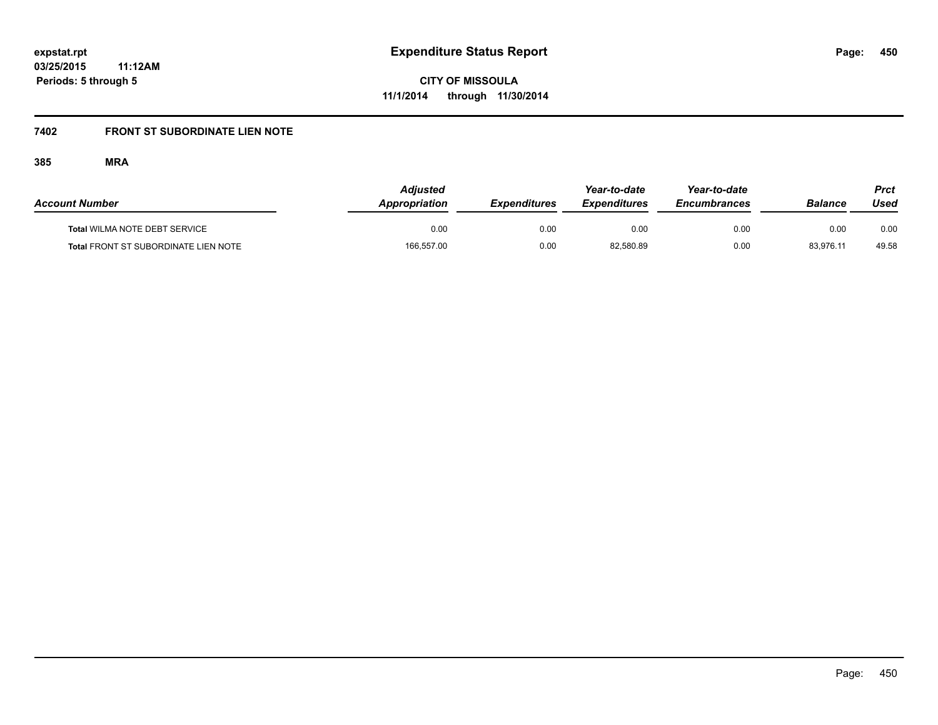# **7402 FRONT ST SUBORDINATE LIEN NOTE**

| <b>Account Number</b>                       | <b>Adiusted</b><br><b>Appropriation</b> | <b>Expenditures</b> | Year-to-date<br><b>Expenditures</b> | Year-to-date<br><b>Encumbrances</b> | Balance   | Prct<br>Used |
|---------------------------------------------|-----------------------------------------|---------------------|-------------------------------------|-------------------------------------|-----------|--------------|
| Total WILMA NOTE DEBT SERVICE               | 0.00                                    | 0.00                | 0.00                                | 0.00                                | 0.00      | 0.00         |
| <b>Total FRONT ST SUBORDINATE LIEN NOTE</b> | 166,557.00                              | 0.00                | 82,580.89                           | 0.00                                | 83,976.11 | 49.58        |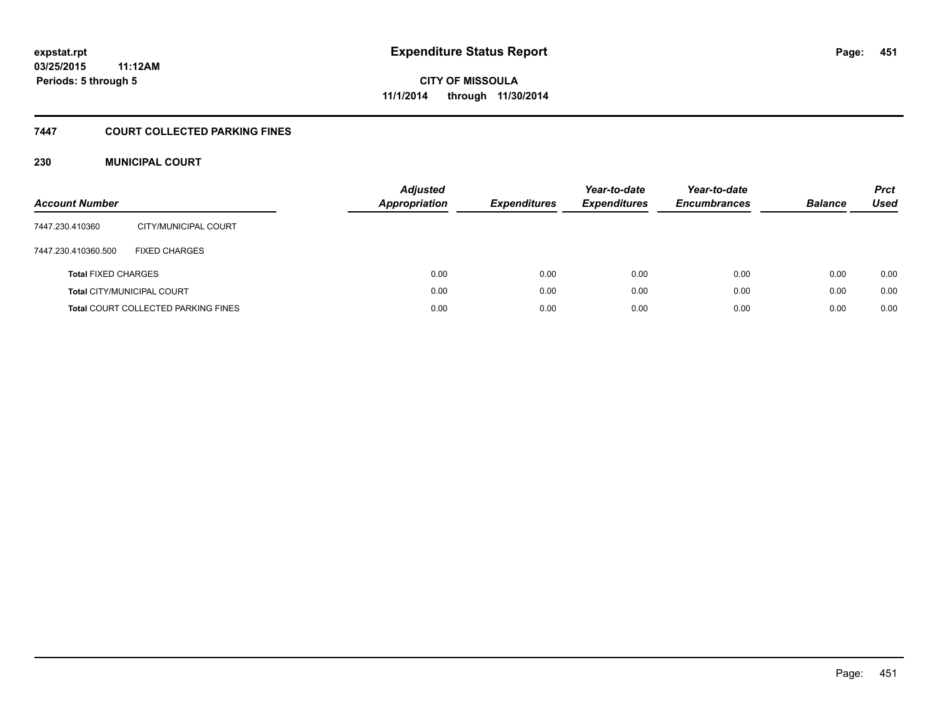#### **7447 COURT COLLECTED PARKING FINES**

#### **230 MUNICIPAL COURT**

| <b>Account Number</b>      |                                            | <b>Adjusted</b><br><b>Appropriation</b> | <b>Expenditures</b> | Year-to-date<br><b>Expenditures</b> | Year-to-date<br><b>Encumbrances</b> | <b>Balance</b> | <b>Prct</b><br>Used |
|----------------------------|--------------------------------------------|-----------------------------------------|---------------------|-------------------------------------|-------------------------------------|----------------|---------------------|
| 7447.230.410360            | CITY/MUNICIPAL COURT                       |                                         |                     |                                     |                                     |                |                     |
| 7447.230.410360.500        | <b>FIXED CHARGES</b>                       |                                         |                     |                                     |                                     |                |                     |
| <b>Total FIXED CHARGES</b> |                                            | 0.00                                    | 0.00                | 0.00                                | 0.00                                | 0.00           | 0.00                |
|                            | <b>Total CITY/MUNICIPAL COURT</b>          | 0.00                                    | 0.00                | 0.00                                | 0.00                                | 0.00           | 0.00                |
|                            | <b>Total COURT COLLECTED PARKING FINES</b> | 0.00                                    | 0.00                | 0.00                                | 0.00                                | 0.00           | 0.00                |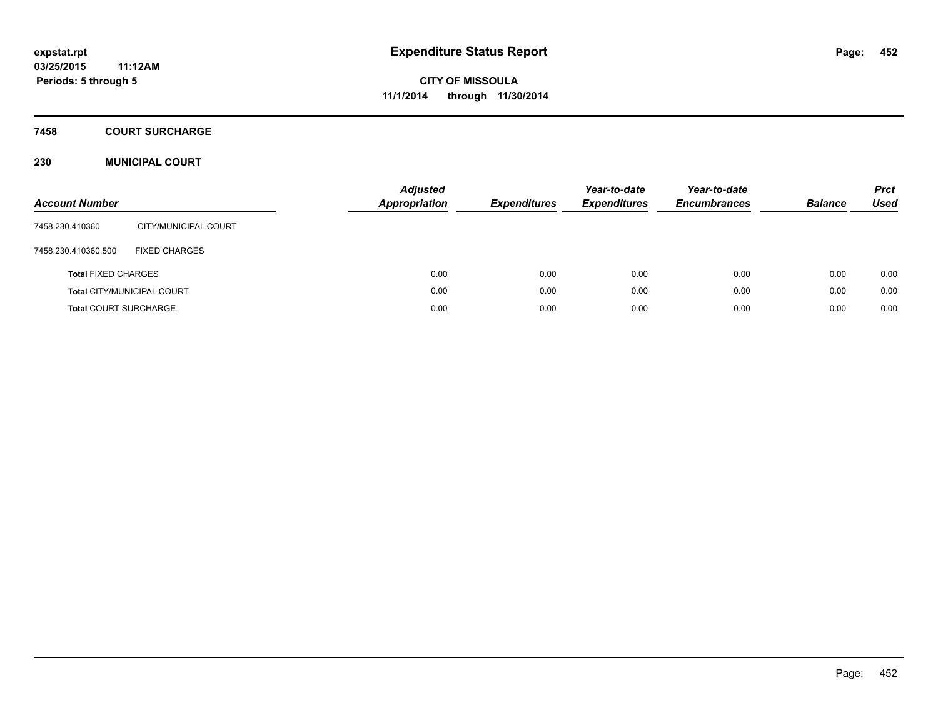### **7458 COURT SURCHARGE**

#### **230 MUNICIPAL COURT**

| <b>Account Number</b>        |                                   | <b>Adjusted</b><br><b>Appropriation</b> | <b>Expenditures</b> | Year-to-date<br><b>Expenditures</b> | Year-to-date<br><b>Encumbrances</b> | <b>Balance</b> | <b>Prct</b><br><b>Used</b> |
|------------------------------|-----------------------------------|-----------------------------------------|---------------------|-------------------------------------|-------------------------------------|----------------|----------------------------|
| 7458.230.410360              | CITY/MUNICIPAL COURT              |                                         |                     |                                     |                                     |                |                            |
| 7458.230.410360.500          | <b>FIXED CHARGES</b>              |                                         |                     |                                     |                                     |                |                            |
| <b>Total FIXED CHARGES</b>   |                                   | 0.00                                    | 0.00                | 0.00                                | 0.00                                | 0.00           | 0.00                       |
|                              | <b>Total CITY/MUNICIPAL COURT</b> | 0.00                                    | 0.00                | 0.00                                | 0.00                                | 0.00           | 0.00                       |
| <b>Total COURT SURCHARGE</b> |                                   | 0.00                                    | 0.00                | 0.00                                | 0.00                                | 0.00           | 0.00                       |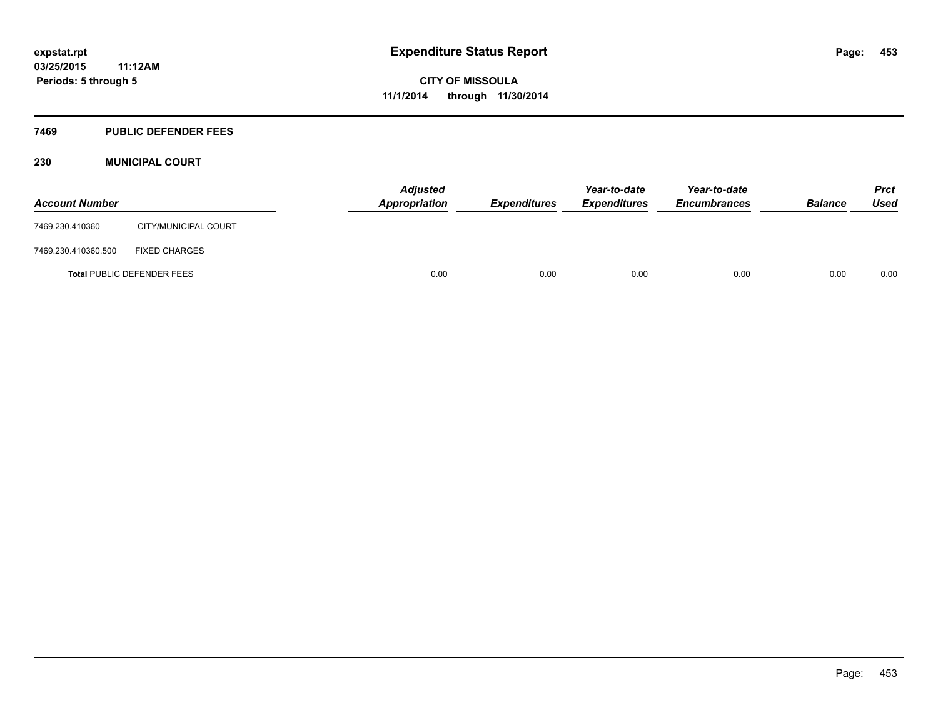#### **7469 PUBLIC DEFENDER FEES**

#### **230 MUNICIPAL COURT**

| <b>Account Number</b> |                                   | <b>Adjusted</b><br>Appropriation | <b>Expenditures</b> | Year-to-date<br><b>Expenditures</b> | Year-to-date<br><b>Encumbrances</b> | <b>Balance</b> | <b>Prct</b><br><b>Used</b> |
|-----------------------|-----------------------------------|----------------------------------|---------------------|-------------------------------------|-------------------------------------|----------------|----------------------------|
| 7469.230.410360       | CITY/MUNICIPAL COURT              |                                  |                     |                                     |                                     |                |                            |
| 7469.230.410360.500   | <b>FIXED CHARGES</b>              |                                  |                     |                                     |                                     |                |                            |
|                       | <b>Total PUBLIC DEFENDER FEES</b> | 0.00                             | 0.00                | 0.00                                | 0.00                                | 0.00           | 0.00                       |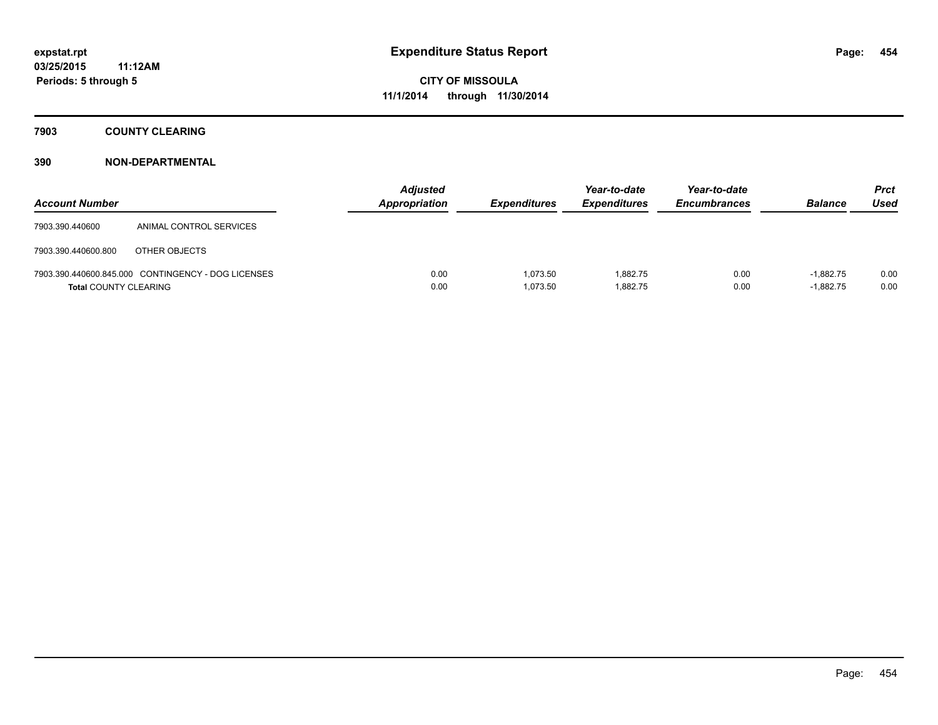### **7903 COUNTY CLEARING**

| <b>Account Number</b>        |                                                    | <b>Adjusted</b><br><b>Appropriation</b> | <b>Expenditures</b>  | Year-to-date<br><b>Expenditures</b> | Year-to-date<br><b>Encumbrances</b> | <b>Balance</b>             | <b>Prct</b><br><b>Used</b> |
|------------------------------|----------------------------------------------------|-----------------------------------------|----------------------|-------------------------------------|-------------------------------------|----------------------------|----------------------------|
| 7903.390.440600              | ANIMAL CONTROL SERVICES                            |                                         |                      |                                     |                                     |                            |                            |
| 7903.390.440600.800          | OTHER OBJECTS                                      |                                         |                      |                                     |                                     |                            |                            |
| <b>Total COUNTY CLEARING</b> | 7903.390.440600.845.000 CONTINGENCY - DOG LICENSES | 0.00<br>0.00                            | 1,073.50<br>1,073.50 | 1.882.75<br>1,882.75                | 0.00<br>0.00                        | $-1.882.75$<br>$-1.882.75$ | 0.00<br>0.00               |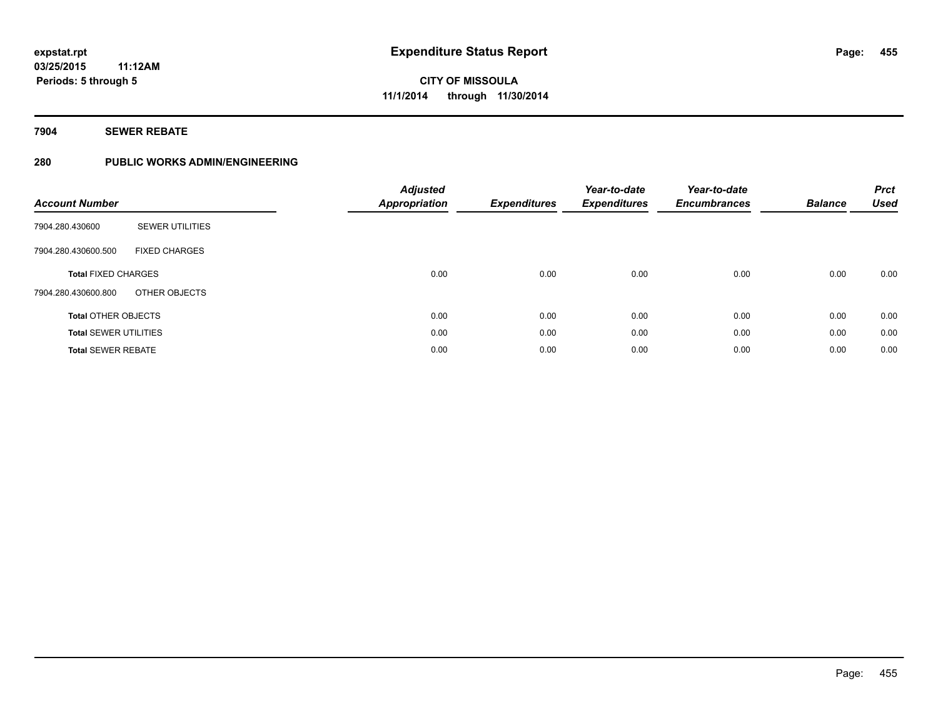#### **7904 SEWER REBATE**

### **280 PUBLIC WORKS ADMIN/ENGINEERING**

| <b>Account Number</b>        |                        | <b>Adjusted</b><br><b>Appropriation</b> | <b>Expenditures</b> | Year-to-date<br><b>Expenditures</b> | Year-to-date<br><b>Encumbrances</b> | <b>Balance</b> | <b>Prct</b><br><b>Used</b> |
|------------------------------|------------------------|-----------------------------------------|---------------------|-------------------------------------|-------------------------------------|----------------|----------------------------|
| 7904.280.430600              | <b>SEWER UTILITIES</b> |                                         |                     |                                     |                                     |                |                            |
| 7904.280.430600.500          | <b>FIXED CHARGES</b>   |                                         |                     |                                     |                                     |                |                            |
| <b>Total FIXED CHARGES</b>   |                        | 0.00                                    | 0.00                | 0.00                                | 0.00                                | 0.00           | 0.00                       |
| 7904.280.430600.800          | OTHER OBJECTS          |                                         |                     |                                     |                                     |                |                            |
| <b>Total OTHER OBJECTS</b>   |                        | 0.00                                    | 0.00                | 0.00                                | 0.00                                | 0.00           | 0.00                       |
| <b>Total SEWER UTILITIES</b> |                        | 0.00                                    | 0.00                | 0.00                                | 0.00                                | 0.00           | 0.00                       |
| <b>Total SEWER REBATE</b>    |                        | 0.00                                    | 0.00                | 0.00                                | 0.00                                | 0.00           | 0.00                       |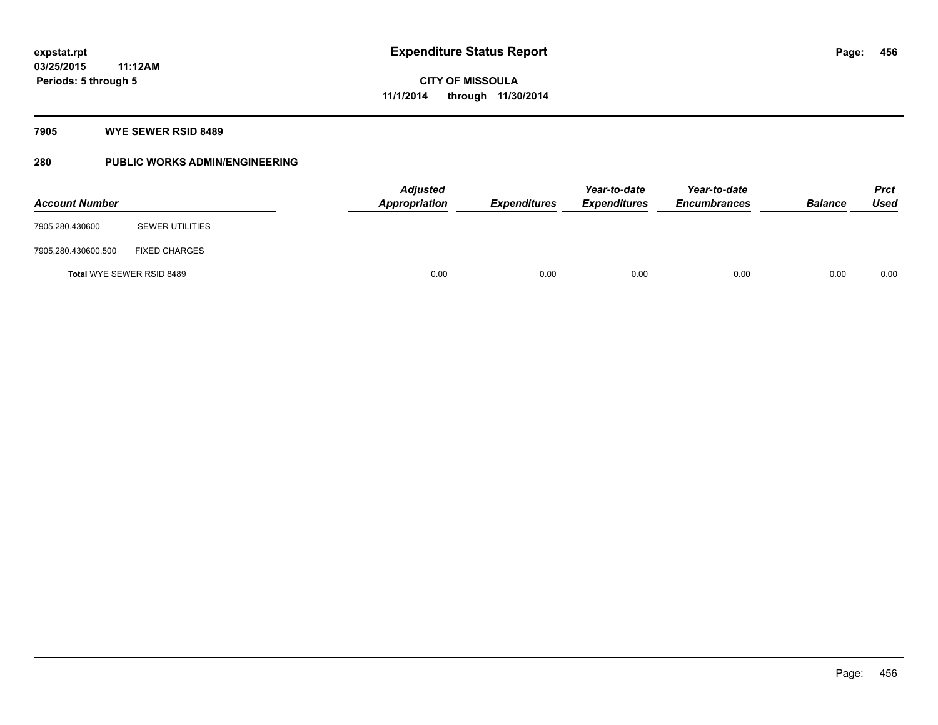#### **7905 WYE SEWER RSID 8489**

### **280 PUBLIC WORKS ADMIN/ENGINEERING**

| <b>Account Number</b> |                                  | Adjusted<br>Appropriation | <b>Expenditures</b> | Year-to-date<br><b>Expenditures</b> | Year-to-date<br><b>Encumbrances</b> | <b>Balance</b> | <b>Prct</b><br><b>Used</b> |
|-----------------------|----------------------------------|---------------------------|---------------------|-------------------------------------|-------------------------------------|----------------|----------------------------|
| 7905.280.430600       | <b>SEWER UTILITIES</b>           |                           |                     |                                     |                                     |                |                            |
| 7905.280.430600.500   | <b>FIXED CHARGES</b>             |                           |                     |                                     |                                     |                |                            |
|                       | <b>Total WYE SEWER RSID 8489</b> | 0.00                      | 0.00                | 0.00                                | 0.00                                | 0.00           | 0.00                       |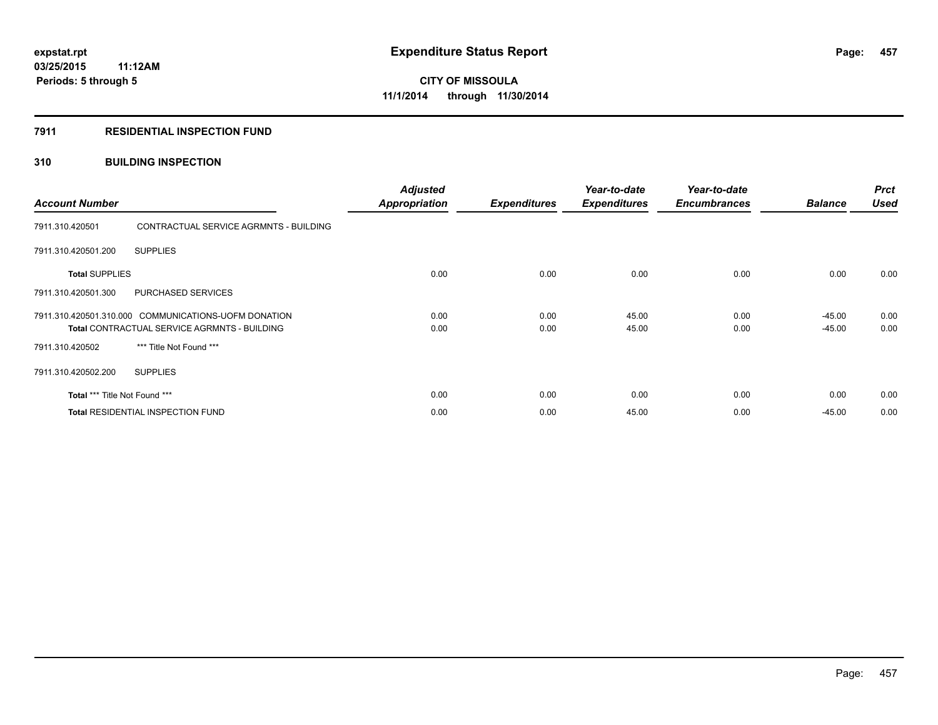#### **7911 RESIDENTIAL INSPECTION FUND**

#### **310 BUILDING INSPECTION**

| <b>Account Number</b>                                                                                       |                                        | <b>Adjusted</b><br><b>Appropriation</b> | <b>Expenditures</b> | Year-to-date<br><b>Expenditures</b> | Year-to-date<br><b>Encumbrances</b> | <b>Balance</b>       | <b>Prct</b><br><b>Used</b> |
|-------------------------------------------------------------------------------------------------------------|----------------------------------------|-----------------------------------------|---------------------|-------------------------------------|-------------------------------------|----------------------|----------------------------|
| 7911.310.420501                                                                                             | CONTRACTUAL SERVICE AGRMNTS - BUILDING |                                         |                     |                                     |                                     |                      |                            |
| 7911.310.420501.200                                                                                         | <b>SUPPLIES</b>                        |                                         |                     |                                     |                                     |                      |                            |
| <b>Total SUPPLIES</b>                                                                                       |                                        | 0.00                                    | 0.00                | 0.00                                | 0.00                                | 0.00                 | 0.00                       |
| 7911.310.420501.300                                                                                         | PURCHASED SERVICES                     |                                         |                     |                                     |                                     |                      |                            |
| 7911.310.420501.310.000 COMMUNICATIONS-UOFM DONATION<br><b>Total CONTRACTUAL SERVICE AGRMNTS - BUILDING</b> |                                        | 0.00<br>0.00                            | 0.00<br>0.00        | 45.00<br>45.00                      | 0.00<br>0.00                        | $-45.00$<br>$-45.00$ | 0.00<br>0.00               |
| 7911.310.420502                                                                                             | *** Title Not Found ***                |                                         |                     |                                     |                                     |                      |                            |
| 7911.310.420502.200                                                                                         | <b>SUPPLIES</b>                        |                                         |                     |                                     |                                     |                      |                            |
| Total *** Title Not Found ***                                                                               |                                        | 0.00                                    | 0.00                | 0.00                                | 0.00                                | 0.00                 | 0.00                       |
| <b>Total RESIDENTIAL INSPECTION FUND</b>                                                                    |                                        | 0.00                                    | 0.00                | 45.00                               | 0.00                                | $-45.00$             | 0.00                       |